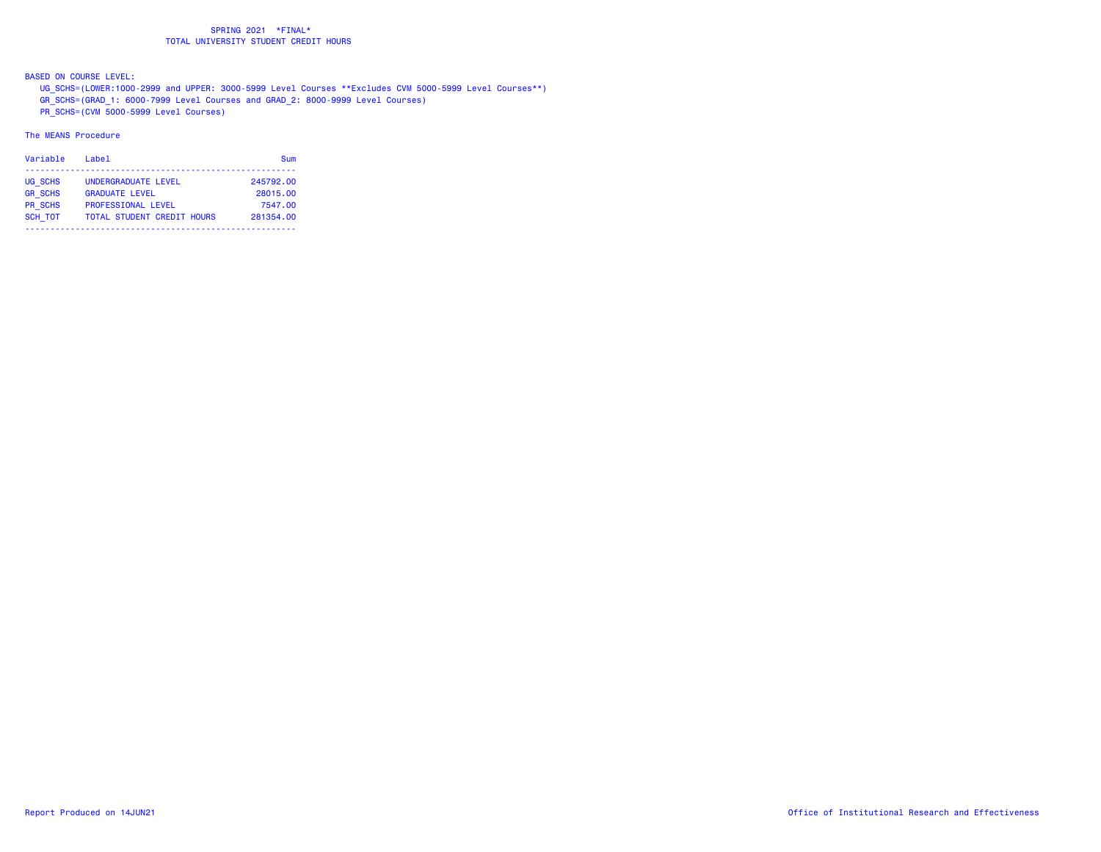BASED ON COURSE LEVEL:

UG\_SCHS=(LOWER:1000-2999 and UPPER: 3000-5999 Level Courses \*\*Excludes CVM 5000-5999 Level Courses\*\*)

GR\_SCHS=(GRAD\_1: 6000-7999 Level Courses and GRAD\_2: 8000-9999 Level Courses)

PR\_SCHS=(CVM 5000-5999 Level Courses)

| Variable       | Labe <sub>1</sub>                 | Sum       |
|----------------|-----------------------------------|-----------|
| UG SCHS        | UNDERGRADUATE LEVEL               | 245792.00 |
| <b>GR SCHS</b> | <b>GRADUATE LEVEL</b>             | 28015.00  |
| <b>PR SCHS</b> | <b>PROFESSIONAL LEVEL</b>         | 7547.00   |
| <b>SCH TOT</b> | <b>TOTAL STUDENT CREDIT HOURS</b> | 281354.00 |
|                |                                   |           |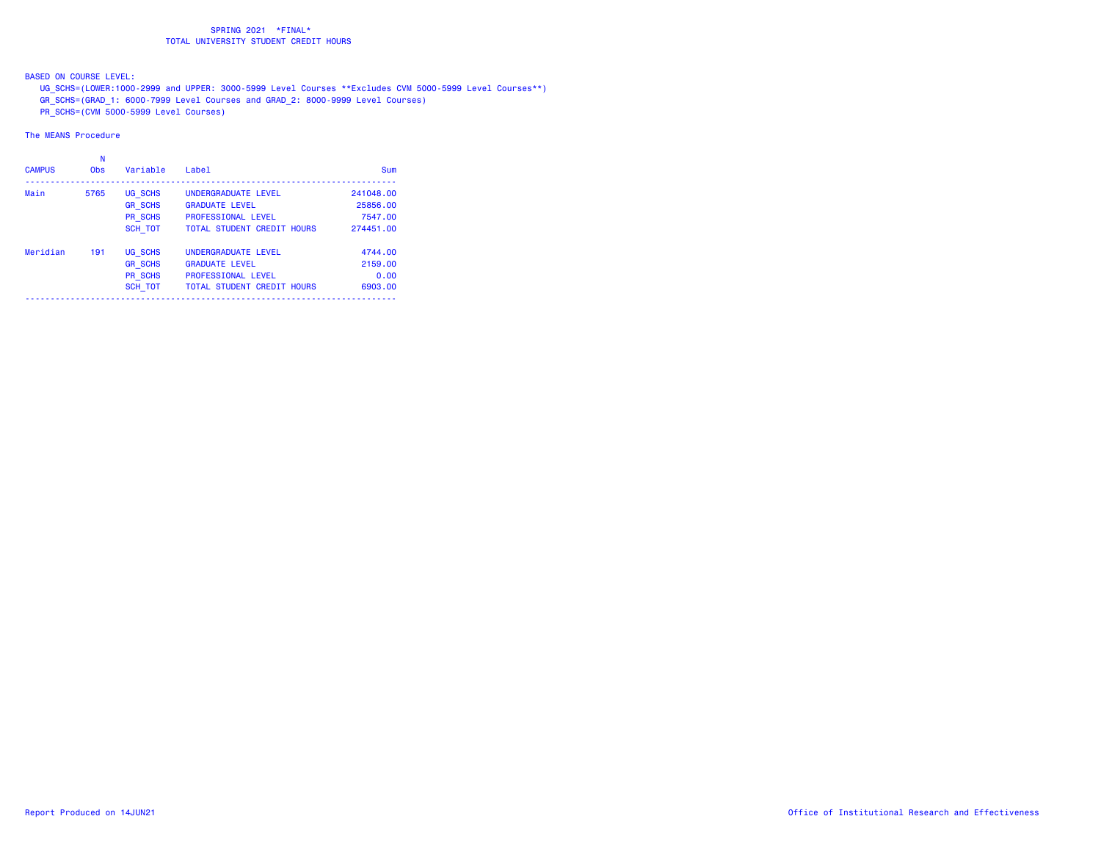BASED ON COURSE LEVEL:

UG\_SCHS=(LOWER:1000-2999 and UPPER: 3000-5999 Level Courses \*\*Excludes CVM 5000-5999 Level Courses\*\*)

GR\_SCHS=(GRAD\_1: 6000-7999 Level Courses and GRAD\_2: 8000-9999 Level Courses)

PR\_SCHS=(CVM 5000-5999 Level Courses)

| <b>CAMPUS</b> | <b>Obs</b> | Variable       | Label                             | Sum       |
|---------------|------------|----------------|-----------------------------------|-----------|
| Main          | 5765       | UG SCHS        | UNDERGRADUATE LEVEL               | 241048.00 |
|               |            | <b>GR SCHS</b> | <b>GRADUATE LEVEL</b>             | 25856.00  |
|               |            | PR SCHS        | <b>PROFESSIONAL LEVEL</b>         | 7547.00   |
|               |            | SCH TOT        | <b>TOTAL STUDENT CREDIT HOURS</b> | 274451.00 |
| Meridian      | 191        | UG SCHS        | UNDERGRADUATE LEVEL               | 4744.00   |
|               |            | <b>GR SCHS</b> | <b>GRADUATE LEVEL</b>             | 2159.00   |
|               |            | PR SCHS        | <b>PROFESSIONAL LEVEL</b>         | 0.00      |
|               |            | <b>SCH TOT</b> | <b>TOTAL STUDENT CREDIT HOURS</b> | 6903.00   |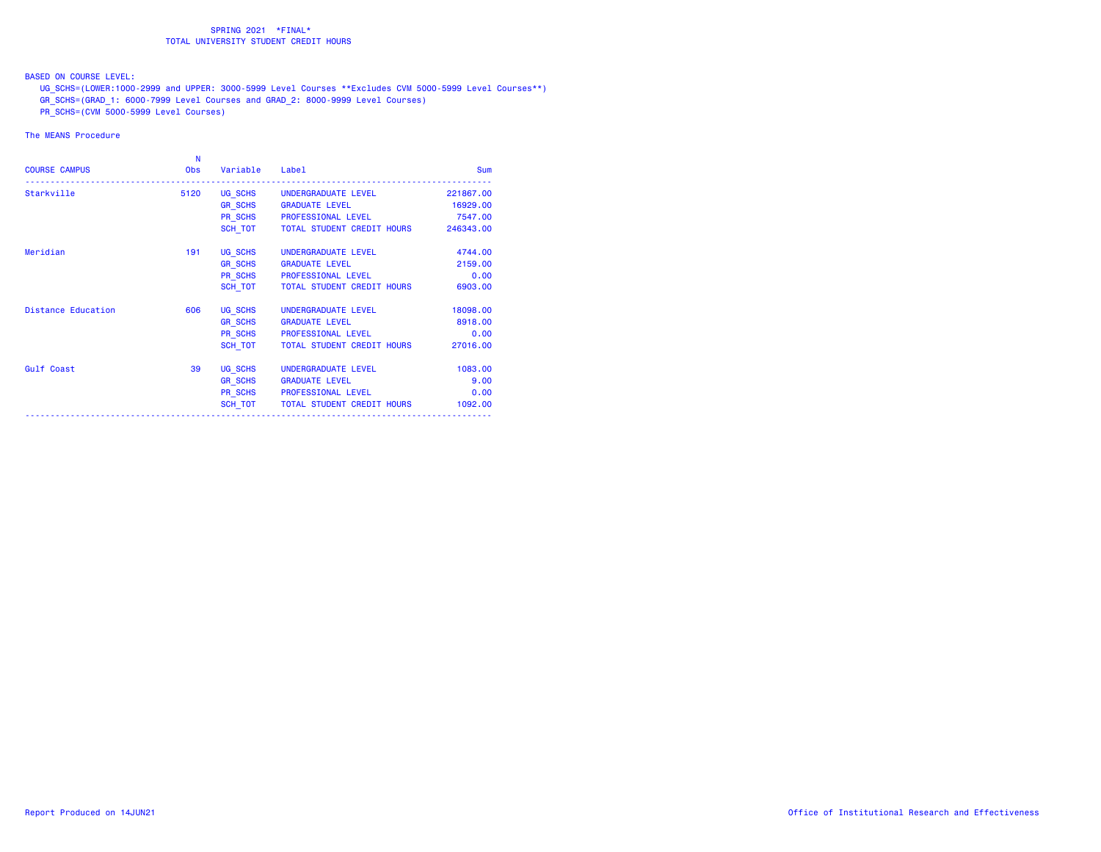BASED ON COURSE LEVEL:

UG\_SCHS=(LOWER:1000-2999 and UPPER: 3000-5999 Level Courses \*\*Excludes CVM 5000-5999 Level Courses\*\*)

GR\_SCHS=(GRAD\_1: 6000-7999 Level Courses and GRAD\_2: 8000-9999 Level Courses)

PR\_SCHS=(CVM 5000-5999 Level Courses)

| <b>COURSE CAMPUS</b>      | N<br><b>Obs</b> | Variable       | Label                                | Sum       |
|---------------------------|-----------------|----------------|--------------------------------------|-----------|
| Starkville                | 5120            |                | UG SCHS UNDERGRADUATE LEVEL          | 221867.00 |
|                           |                 |                | GR SCHS GRADUATE LEVEL               | 16929.00  |
|                           |                 |                | PR SCHS PROFESSIONAL LEVEL           | 7547.00   |
|                           |                 |                | SCH TOT   TOTAL STUDENT CREDIT HOURS | 246343.00 |
| Meridian                  | 191             | UG SCHS        | UNDERGRADUATE LEVEL                  | 4744.00   |
|                           |                 |                | GR SCHS GRADUATE LEVEL               | 2159.00   |
|                           |                 |                | PR_SCHS PROFESSIONAL LEVEL           | 0.00      |
|                           |                 | SCH TOT        | TOTAL STUDENT CREDIT HOURS           | 6903.00   |
| <b>Distance Education</b> | 606             | UG SCHS        | UNDERGRADUATE LEVEL                  | 18098.00  |
|                           |                 | <b>GR SCHS</b> | <b>GRADUATE LEVEL</b>                | 8918.00   |
|                           |                 |                | PR SCHS PROFESSIONAL LEVEL           | 0.00      |
|                           |                 |                | SCH TOT   TOTAL STUDENT CREDIT HOURS | 27016.00  |
| Gulf Coast                | 39              | UG SCHS        | UNDERGRADUATE LEVEL                  | 1083.00   |
|                           |                 | <b>GR SCHS</b> | <b>GRADUATE LEVEL</b>                | 9.00      |
|                           |                 |                | PR SCHS PROFESSIONAL LEVEL           | 0.00      |
|                           |                 | SCH_TOT        | TOTAL STUDENT CREDIT HOURS           | 1092.00   |
|                           |                 |                |                                      |           |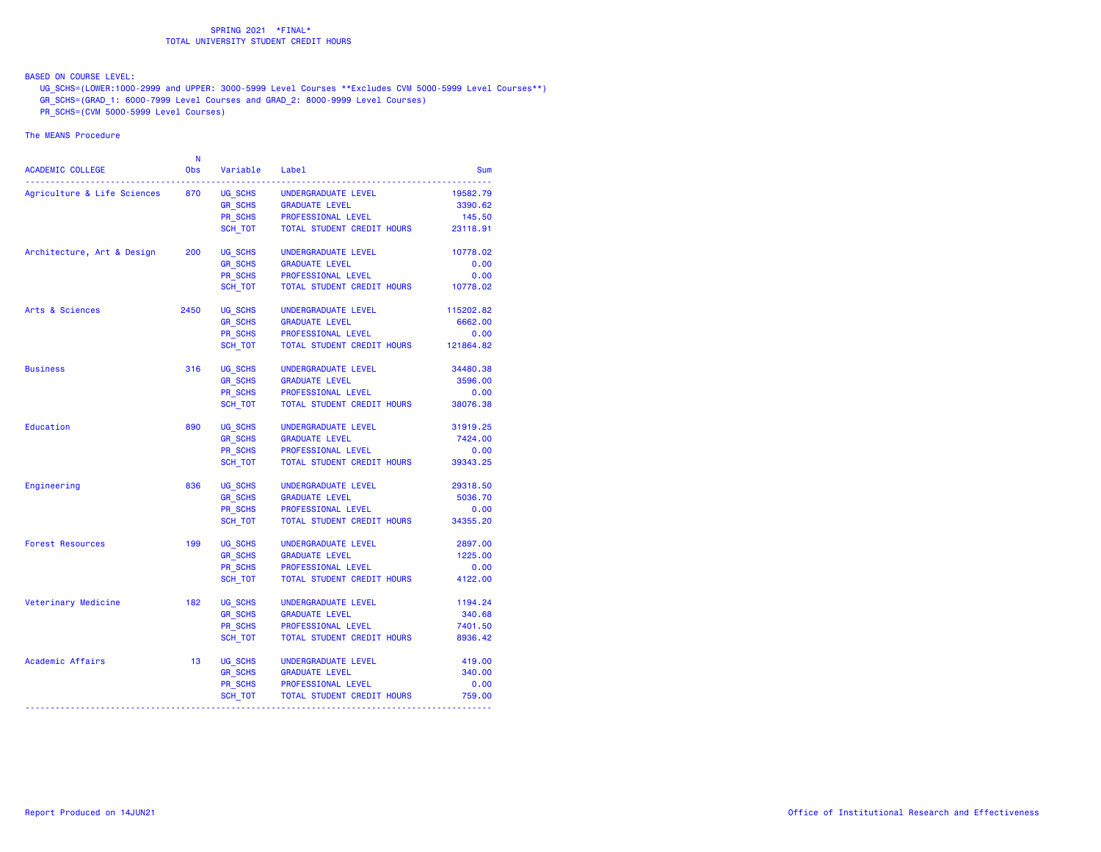BASED ON COURSE LEVEL:

UG\_SCHS=(LOWER:1000-2999 and UPPER: 3000-5999 Level Courses \*\*Excludes CVM 5000-5999 Level Courses\*\*)

GR\_SCHS=(GRAD\_1: 6000-7999 Level Courses and GRAD\_2: 8000-9999 Level Courses)

PR\_SCHS=(CVM 5000-5999 Level Courses)

| ACADEMIC COLLEGE            | N<br><b>Obs</b> | Variable       | Label                      | Sum       |
|-----------------------------|-----------------|----------------|----------------------------|-----------|
| Agriculture & Life Sciences | 870             | UG SCHS        | UNDERGRADUATE LEVEL        | 19582.79  |
|                             |                 | GR_SCHS        | <b>GRADUATE LEVEL</b>      | 3390.62   |
|                             |                 | PR_SCHS        | PROFESSIONAL LEVEL         | 145.50    |
|                             |                 | SCH TOT        | TOTAL STUDENT CREDIT HOURS | 23118.91  |
| Architecture, Art & Design  | 200             | UG SCHS        | UNDERGRADUATE LEVEL        | 10778.02  |
|                             |                 | <b>GR SCHS</b> | <b>GRADUATE LEVEL</b>      | 0.00      |
|                             |                 | <b>PR SCHS</b> | PROFESSIONAL LEVEL         | 0.00      |
|                             |                 | SCH TOT        | TOTAL STUDENT CREDIT HOURS | 10778.02  |
| Arts & Sciences             | 2450            | UG SCHS        | UNDERGRADUATE LEVEL        | 115202.82 |
|                             |                 | <b>GR_SCHS</b> | <b>GRADUATE LEVEL</b>      | 6662.00   |
|                             |                 | <b>PR SCHS</b> | PROFESSIONAL LEVEL         | 0.00      |
|                             |                 | SCH_TOT        | TOTAL STUDENT CREDIT HOURS | 121864.82 |
| <b>Business</b>             | 316             | UG SCHS        | UNDERGRADUATE LEVEL        | 34480.38  |
|                             |                 | <b>GR_SCHS</b> | <b>GRADUATE LEVEL</b>      | 3596.00   |
|                             |                 | <b>PR SCHS</b> | PROFESSIONAL LEVEL         | 0.00      |
|                             |                 | SCH TOT        | TOTAL STUDENT CREDIT HOURS | 38076.38  |
| Education                   | 890             | UG SCHS        | UNDERGRADUATE LEVEL        | 31919.25  |
|                             |                 | <b>GR SCHS</b> | <b>GRADUATE LEVEL</b>      | 7424.00   |
|                             |                 | <b>PR SCHS</b> | PROFESSIONAL LEVEL         | 0.00      |
|                             |                 | SCH TOT        | TOTAL STUDENT CREDIT HOURS | 39343.25  |
| Engineering                 | 836             | UG SCHS        | UNDERGRADUATE LEVEL        | 29318.50  |
|                             |                 | <b>GR_SCHS</b> | <b>GRADUATE LEVEL</b>      | 5036.70   |
|                             |                 | PR_SCHS        | PROFESSIONAL LEVEL         | 0.00      |
|                             |                 | SCH_TOT        | TOTAL STUDENT CREDIT HOURS | 34355.20  |
| <b>Forest Resources</b>     | 199             | UG SCHS        | UNDERGRADUATE LEVEL        | 2897.00   |
|                             |                 | <b>GR SCHS</b> | <b>GRADUATE LEVEL</b>      | 1225.00   |
|                             |                 | <b>PR SCHS</b> | PROFESSIONAL LEVEL         | 0.00      |
|                             |                 | SCH TOT        | TOTAL STUDENT CREDIT HOURS | 4122.00   |
| Veterinary Medicine         | 182             | UG SCHS        | UNDERGRADUATE LEVEL        | 1194.24   |
|                             |                 | <b>GR SCHS</b> | <b>GRADUATE LEVEL</b>      | 340.68    |
|                             |                 | <b>PR SCHS</b> | PROFESSIONAL LEVEL         | 7401.50   |
|                             |                 | SCH TOT        | TOTAL STUDENT CREDIT HOURS | 8936.42   |
| Academic Affairs            | 13              | UG_SCHS        | UNDERGRADUATE LEVEL        | 419.00    |
|                             |                 | <b>GR_SCHS</b> | <b>GRADUATE LEVEL</b>      | 340.00    |
|                             |                 | PR_SCHS        | PROFESSIONAL LEVEL         | 0.00      |
|                             |                 | SCH_TOT        | TOTAL STUDENT CREDIT HOURS | 759.00    |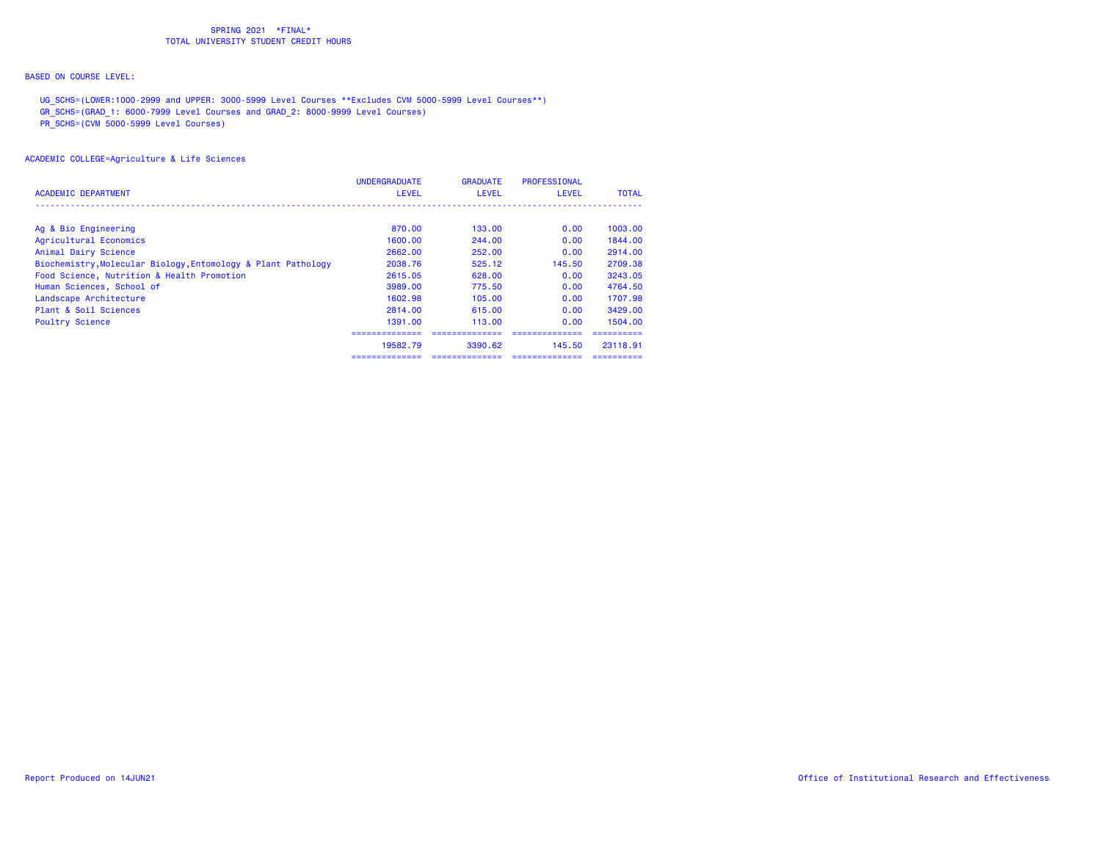# BASED ON COURSE LEVEL:

UG\_SCHS=(LOWER:1000-2999 and UPPER: 3000-5999 Level Courses \*\*Excludes CVM 5000-5999 Level Courses\*\*)

GR\_SCHS=(GRAD\_1: 6000-7999 Level Courses and GRAD\_2: 8000-9999 Level Courses)

PR\_SCHS=(CVM 5000-5999 Level Courses)

| <b>ACADEMIC DEPARTMENT</b>                                    | <b>UNDERGRADUATE</b><br><b>LEVEL</b> | <b>GRADUATE</b><br><b>LEVEL</b> | <b>PROFESSIONAL</b><br><b>LEVEL</b> | <b>TOTAL</b> |
|---------------------------------------------------------------|--------------------------------------|---------------------------------|-------------------------------------|--------------|
|                                                               |                                      |                                 |                                     |              |
| Ag & Bio Engineering                                          | 870.00                               | 133.00                          | 0.00                                | 1003.00      |
| Agricultural Economics                                        | 1600.00                              | 244.00                          | 0.00                                | 1844.00      |
| Animal Dairy Science                                          | 2662.00                              | 252.00                          | 0.00                                | 2914.00      |
| Biochemistry, Molecular Biology, Entomology & Plant Pathology | 2038.76                              | 525.12                          | 145.50                              | 2709.38      |
| Food Science, Nutrition & Health Promotion                    | 2615.05                              | 628.00                          | 0.00                                | 3243.05      |
| Human Sciences, School of                                     | 3989,00                              | 775.50                          | 0.00                                | 4764.50      |
| Landscape Architecture                                        | 1602.98                              | 105.00                          | 0.00                                | 1707.98      |
| Plant & Soil Sciences                                         | 2814.00                              | 615.00                          | 0.00                                | 3429.00      |
| <b>Poultry Science</b>                                        | 1391.00                              | 113.00                          | 0.00                                | 1504.00      |
|                                                               | ===============                      |                                 |                                     |              |
|                                                               | 19582.79                             | 3390.62                         | 145.50                              | 23118.91     |
|                                                               | ==============                       | --------------                  |                                     | ----------   |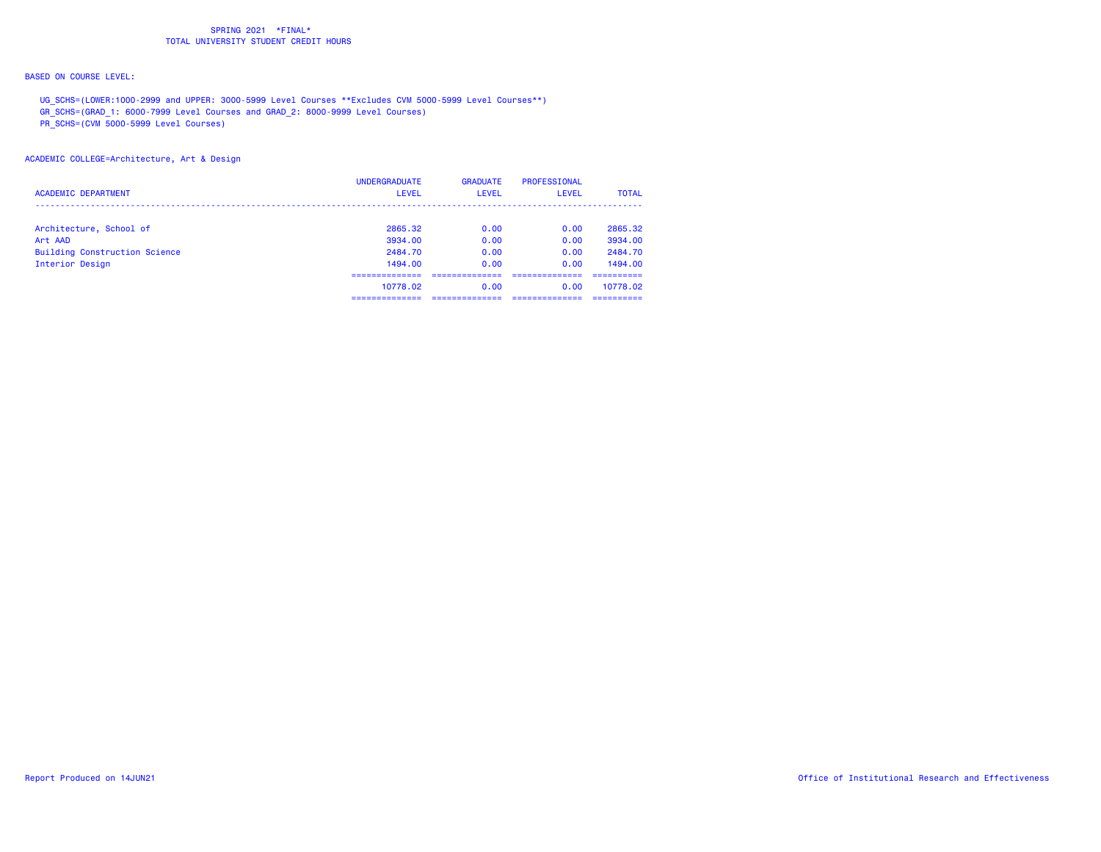# BASED ON COURSE LEVEL:

UG\_SCHS=(LOWER:1000-2999 and UPPER: 3000-5999 Level Courses \*\*Excludes CVM 5000-5999 Level Courses\*\*)

GR\_SCHS=(GRAD\_1: 6000-7999 Level Courses and GRAD\_2: 8000-9999 Level Courses)

PR\_SCHS=(CVM 5000-5999 Level Courses)

## ACADEMIC COLLEGE=Architecture, Art & Design

| <b>ACADEMIC DEPARTMENT</b>           | <b>UNDERGRADUATE</b><br><b>LEVEL</b> | <b>GRADUATE</b><br>LEVEL | PROFESSIONAL<br>LEVEL | <b>TOTAL</b> |
|--------------------------------------|--------------------------------------|--------------------------|-----------------------|--------------|
| Architecture, School of              | 2865.32                              | 0.00                     | 0.00                  | 2865.32      |
| Art AAD                              | 3934.00                              | 0.00                     | 0.00                  | 3934.00      |
| <b>Building Construction Science</b> | 2484.70                              | 0.00                     | 0.00                  | 2484.70      |
| Interior Design                      | 1494.00                              | 0.00                     | 0.00                  | 1494.00      |
|                                      |                                      |                          |                       |              |
|                                      | 10778.02                             | 0.00                     | 0.00                  | 10778.02     |
|                                      | ----------                           |                          |                       | ----------   |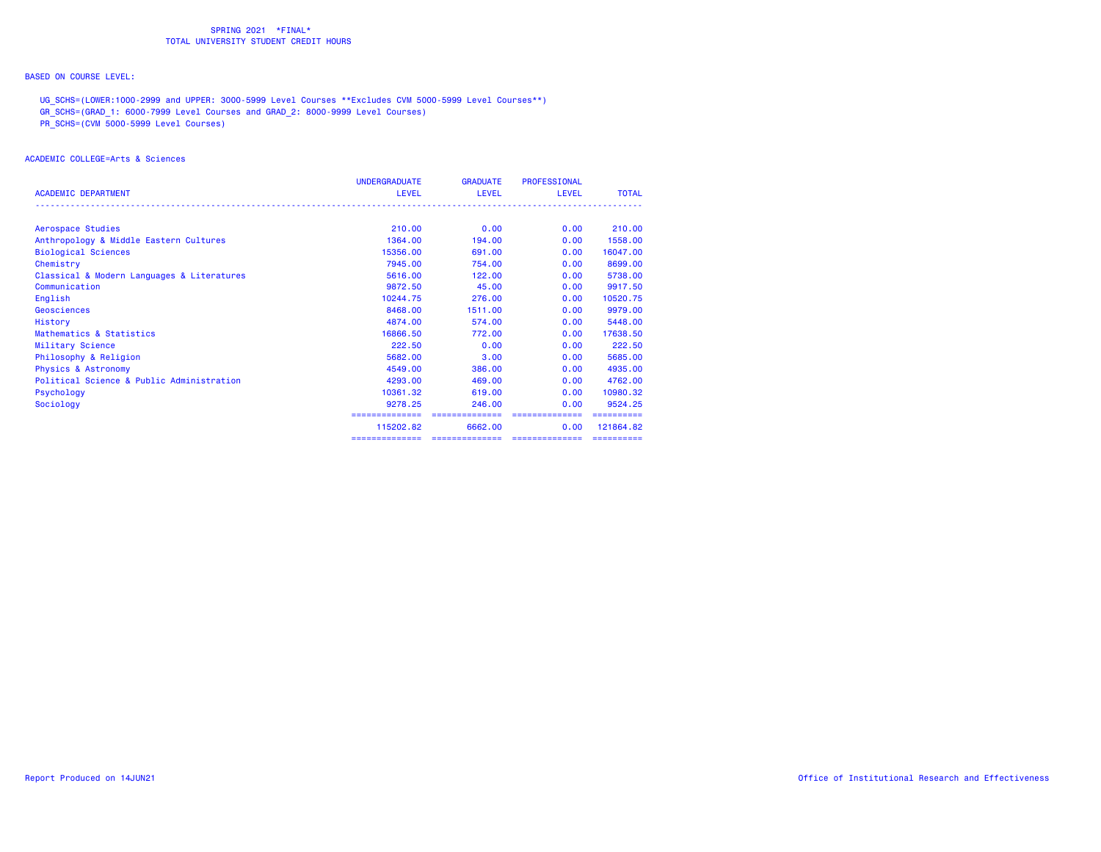# BASED ON COURSE LEVEL:

UG\_SCHS=(LOWER:1000-2999 and UPPER: 3000-5999 Level Courses \*\*Excludes CVM 5000-5999 Level Courses\*\*)

GR\_SCHS=(GRAD\_1: 6000-7999 Level Courses and GRAD\_2: 8000-9999 Level Courses)

PR\_SCHS=(CVM 5000-5999 Level Courses)

#### ACADEMIC COLLEGE=Arts & Sciences

|                                            | <b>UNDERGRADUATE</b> | <b>GRADUATE</b> | <b>PROFESSIONAL</b> |              |
|--------------------------------------------|----------------------|-----------------|---------------------|--------------|
| <b>ACADEMIC DEPARTMENT</b>                 | <b>LEVEL</b>         | LEVEL           | <b>LEVEL</b>        | <b>TOTAL</b> |
|                                            |                      |                 |                     |              |
| Aerospace Studies                          | 210,00               | 0.00            | 0.00                | 210,00       |
| Anthropology & Middle Eastern Cultures     | 1364,00              | 194,00          | 0.00                | 1558.00      |
| <b>Biological Sciences</b>                 | 15356.00             | 691,00          | 0.00                | 16047.00     |
| Chemistry                                  | 7945.00              | 754.00          | 0.00                | 8699.00      |
| Classical & Modern Languages & Literatures | 5616,00              | 122,00          | 0.00                | 5738.00      |
| Communication                              | 9872.50              | 45.00           | 0.00                | 9917.50      |
| English                                    | 10244.75             | 276.00          | 0.00                | 10520.75     |
| Geosciences                                | 8468.00              | 1511.00         | 0.00                | 9979.00      |
| History                                    | 4874.00              | 574.00          | 0.00                | 5448.00      |
| Mathematics & Statistics                   | 16866.50             | 772.00          | 0.00                | 17638.50     |
| Military Science                           | 222.50               | 0.00            | 0.00                | 222.50       |
| Philosophy & Religion                      | 5682.00              | 3.00            | 0.00                | 5685.00      |
| <b>Physics &amp; Astronomy</b>             | 4549.00              | 386,00          | 0.00                | 4935,00      |
| Political Science & Public Administration  | 4293.00              | 469,00          | 0.00                | 4762.00      |
| Psychology                                 | 10361.32             | 619.00          | 0.00                | 10980.32     |
| Sociology                                  | 9278.25              | 246,00          | 0.00                | 9524.25      |
|                                            |                      |                 |                     |              |
|                                            | 115202.82            | 6662.00         | 0.00                | 121864.82    |
|                                            | ==============       | ==============  | ==============      | ==========   |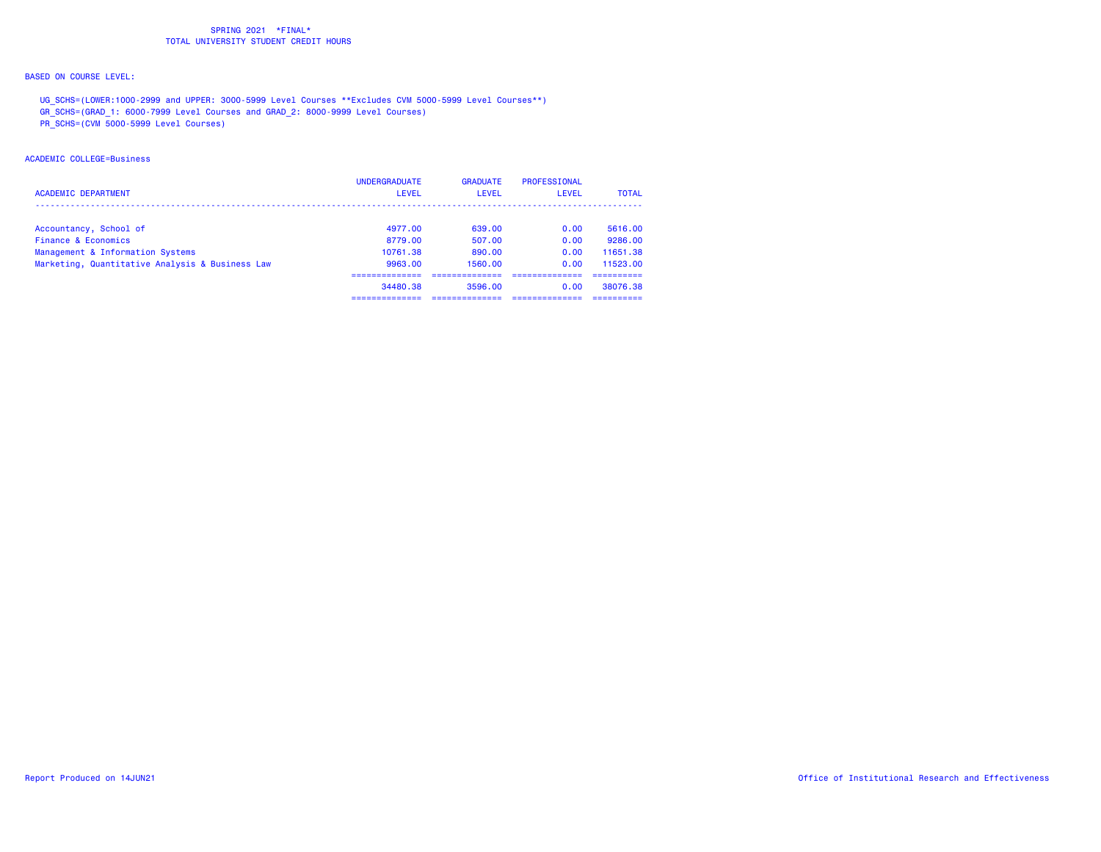# BASED ON COURSE LEVEL:

UG\_SCHS=(LOWER:1000-2999 and UPPER: 3000-5999 Level Courses \*\*Excludes CVM 5000-5999 Level Courses\*\*)

GR\_SCHS=(GRAD\_1: 6000-7999 Level Courses and GRAD\_2: 8000-9999 Level Courses)

PR\_SCHS=(CVM 5000-5999 Level Courses)

#### ACADEMIC COLLEGE=Business

| <b>ACADEMIC DEPARTMENT</b>                      | <b>UNDERGRADUATE</b><br><b>LEVEL</b> | <b>GRADUATE</b><br>LEVEL | PROFESSIONAL<br>LEVEL | <b>TOTAL</b> |
|-------------------------------------------------|--------------------------------------|--------------------------|-----------------------|--------------|
| Accountancy, School of                          | 4977.00                              | 639.00                   | 0.00                  | 5616.00      |
| Finance & Economics                             | 8779.00                              | 507.00                   | 0.00                  | 9286.00      |
| Management & Information Systems                | 10761.38                             | 890.00                   | 0.00                  | 11651.38     |
| Marketing, Quantitative Analysis & Business Law | 9963.00                              | 1560.00                  | 0.00                  | 11523.00     |
|                                                 |                                      |                          |                       |              |
|                                                 | 34480.38                             | 3596.00                  | 0.00                  | 38076.38     |
|                                                 |                                      |                          |                       |              |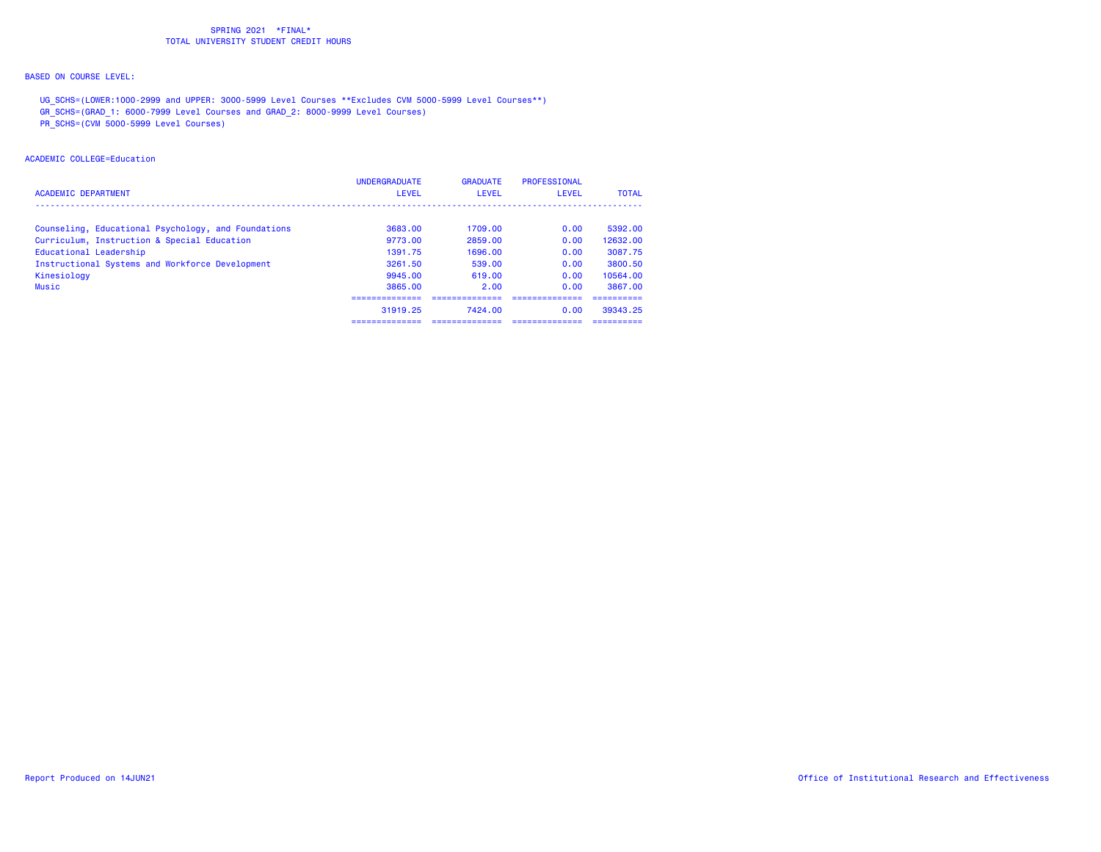# BASED ON COURSE LEVEL:

UG\_SCHS=(LOWER:1000-2999 and UPPER: 3000-5999 Level Courses \*\*Excludes CVM 5000-5999 Level Courses\*\*)

GR\_SCHS=(GRAD\_1: 6000-7999 Level Courses and GRAD\_2: 8000-9999 Level Courses)

PR\_SCHS=(CVM 5000-5999 Level Courses)

#### ACADEMIC COLLEGE=Education

| <b>ACADEMIC DEPARTMENT</b>                          | <b>UNDERGRADUATE</b><br><b>LEVEL</b> | <b>GRADUATE</b><br>LEVEL | PROFESSIONAL<br>LEVEL | <b>TOTAL</b> |
|-----------------------------------------------------|--------------------------------------|--------------------------|-----------------------|--------------|
| Counseling, Educational Psychology, and Foundations | 3683.00                              | 1709.00                  | 0.00                  | 5392.00      |
| Curriculum, Instruction & Special Education         | 9773.00                              | 2859.00                  | 0.00                  | 12632.00     |
| Educational Leadership                              | 1391.75                              | 1696.00                  | 0.00                  | 3087.75      |
| Instructional Systems and Workforce Development     | 3261.50                              | 539.00                   | 0.00                  | 3800.50      |
| Kinesiology                                         | 9945.00                              | 619.00                   | 0.00                  | 10564.00     |
| Music                                               | 3865.00                              | 2.00                     | 0.00                  | 3867.00      |
|                                                     |                                      |                          |                       |              |
|                                                     | 31919.25                             | 7424.00                  | 0.00                  | 39343.25     |
|                                                     | ___________                          |                          |                       |              |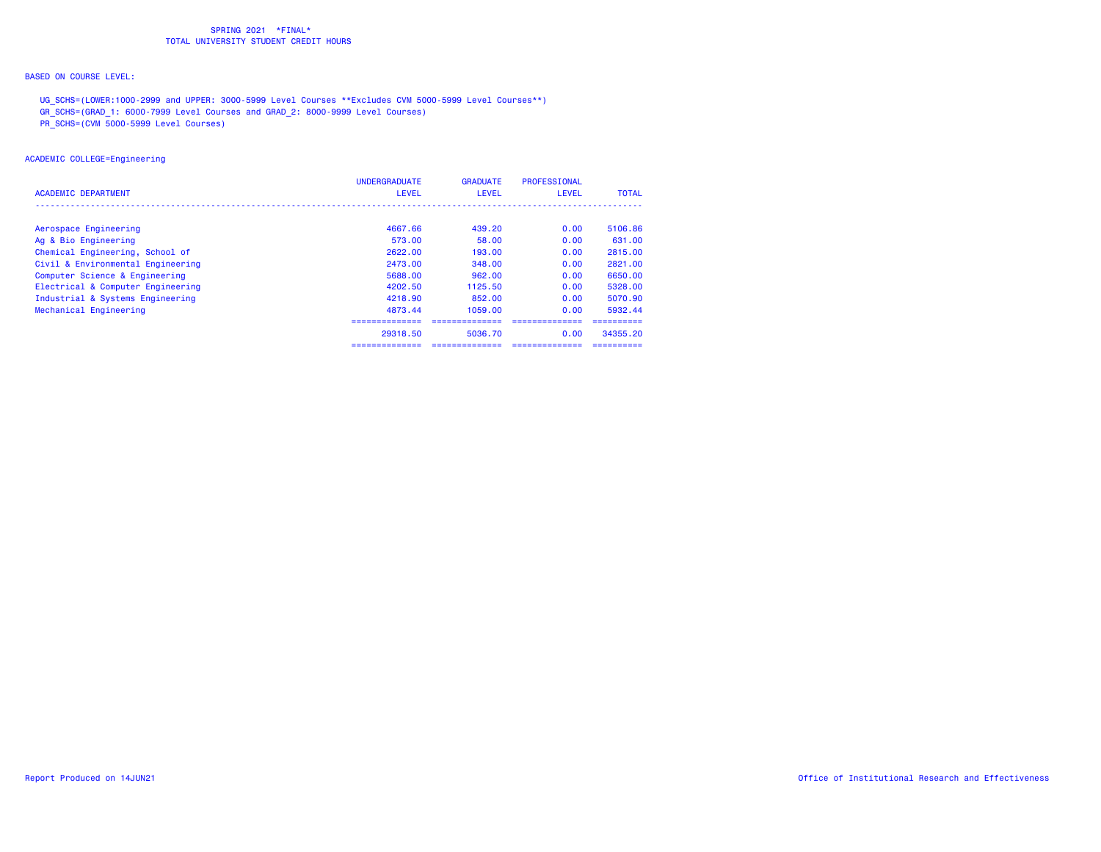# BASED ON COURSE LEVEL:

UG\_SCHS=(LOWER:1000-2999 and UPPER: 3000-5999 Level Courses \*\*Excludes CVM 5000-5999 Level Courses\*\*)

GR\_SCHS=(GRAD\_1: 6000-7999 Level Courses and GRAD\_2: 8000-9999 Level Courses)

PR\_SCHS=(CVM 5000-5999 Level Courses)

## ACADEMIC COLLEGE=Engineering

| ACADEMIC DEPARTMENT               | <b>UNDERGRADUATE</b><br><b>LEVEL</b> | <b>GRADUATE</b><br><b>LEVEL</b> | <b>PROFESSIONAL</b><br>LEVEL | <b>TOTAL</b> |
|-----------------------------------|--------------------------------------|---------------------------------|------------------------------|--------------|
|                                   |                                      |                                 |                              |              |
| Aerospace Engineering             | 4667.66                              | 439.20                          | 0.00                         | 5106.86      |
| Ag & Bio Engineering              | 573.00                               | 58.00                           | 0.00                         | 631.00       |
| Chemical Engineering, School of   | 2622.00                              | 193.00                          | 0.00                         | 2815.00      |
| Civil & Environmental Engineering | 2473.00                              | 348.00                          | 0.00                         | 2821.00      |
| Computer Science & Engineering    | 5688.00                              | 962.00                          | 0.00                         | 6650.00      |
| Electrical & Computer Engineering | 4202.50                              | 1125.50                         | 0.00                         | 5328.00      |
| Industrial & Systems Engineering  | 4218.90                              | 852.00                          | 0.00                         | 5070.90      |
| Mechanical Engineering            | 4873.44                              | 1059.00                         | 0.00                         | 5932.44      |
|                                   |                                      |                                 |                              |              |
|                                   | 29318.50                             | 5036.70                         | 0.00                         | 34355.20     |
|                                   |                                      |                                 |                              |              |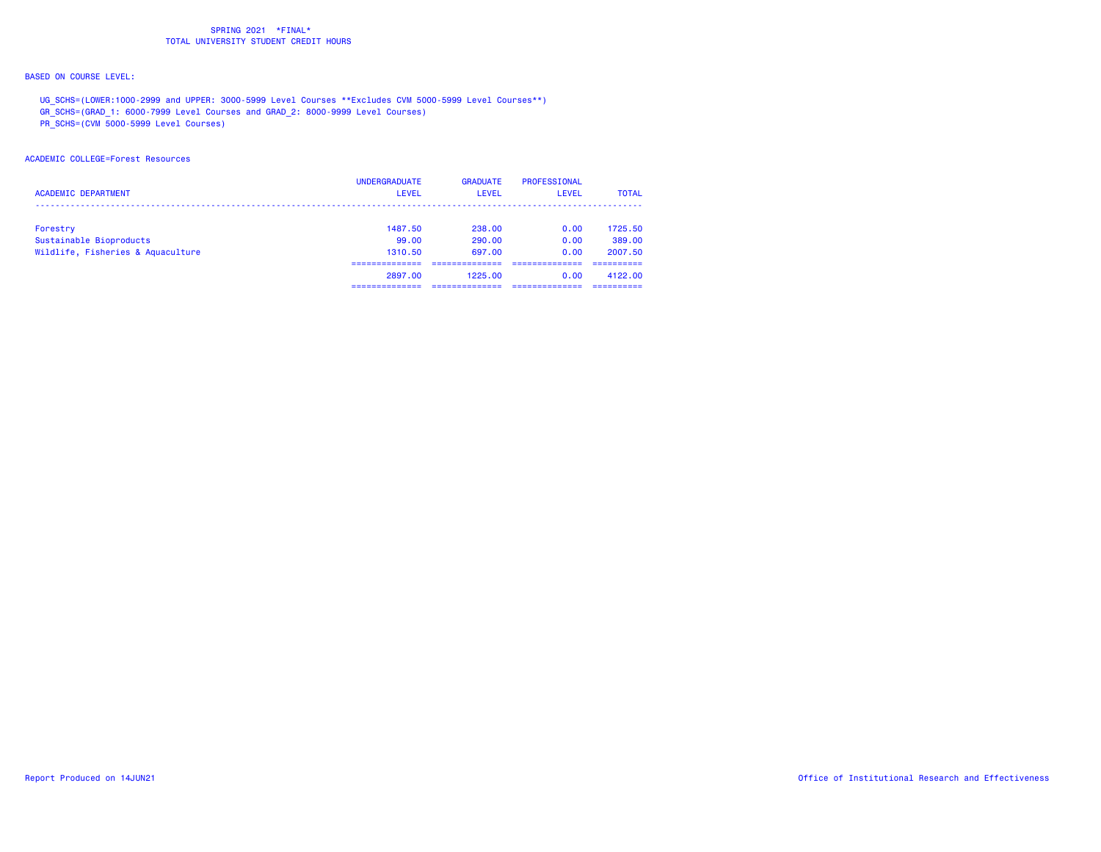# BASED ON COURSE LEVEL:

UG\_SCHS=(LOWER:1000-2999 and UPPER: 3000-5999 Level Courses \*\*Excludes CVM 5000-5999 Level Courses\*\*)

GR\_SCHS=(GRAD\_1: 6000-7999 Level Courses and GRAD\_2: 8000-9999 Level Courses)

PR\_SCHS=(CVM 5000-5999 Level Courses)

#### ACADEMIC COLLEGE=Forest Resources

| <b>ACADEMIC DEPARTMENT</b>        | <b>UNDERGRADUATE</b><br>LEVEL | <b>GRADUATE</b><br>LEVEL | PROFESSIONAL<br><b>LEVEL</b> | <b>TOTAL</b> |
|-----------------------------------|-------------------------------|--------------------------|------------------------------|--------------|
| Forestry                          | 1487.50                       | 238.00                   | 0.00                         | 1725.50      |
| Sustainable Bioproducts           | 99.00                         | 290.00                   | 0.00                         | 389.00       |
| Wildlife, Fisheries & Aquaculture | 1310.50                       | 697.00                   | 0.00                         | 2007.50      |
|                                   |                               |                          |                              |              |
|                                   | 2897.00                       | 1225.00                  | 0.00                         | 4122.00      |
|                                   |                               |                          |                              |              |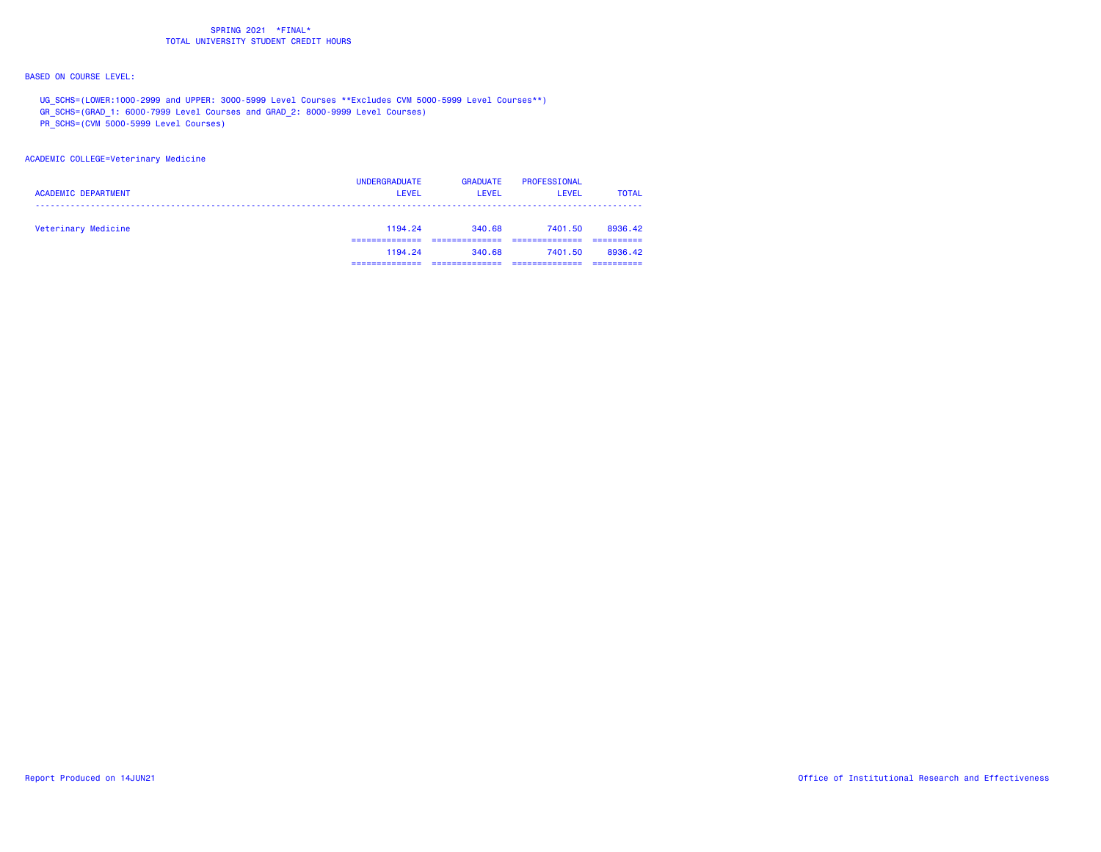# BASED ON COURSE LEVEL:

UG\_SCHS=(LOWER:1000-2999 and UPPER: 3000-5999 Level Courses \*\*Excludes CVM 5000-5999 Level Courses\*\*)

GR\_SCHS=(GRAD\_1: 6000-7999 Level Courses and GRAD\_2: 8000-9999 Level Courses)

PR\_SCHS=(CVM 5000-5999 Level Courses)

## ACADEMIC COLLEGE=Veterinary Medicine

| <b>ACADEMIC DEPARTMENT</b> | <b>UNDERGRADUATE</b><br><b>LEVEL</b> | <b>GRADUATE</b><br><b>LEVEL</b> | PROFESSIONAL<br><b>LEVEL</b> | <b>TOTAL</b> |
|----------------------------|--------------------------------------|---------------------------------|------------------------------|--------------|
| Veterinary Medicine        | 1194.24                              | 340.68                          | 7401.50                      | 8936.42      |
|                            | 1194.24                              | 340.68                          | 7401.50                      | 8936.42      |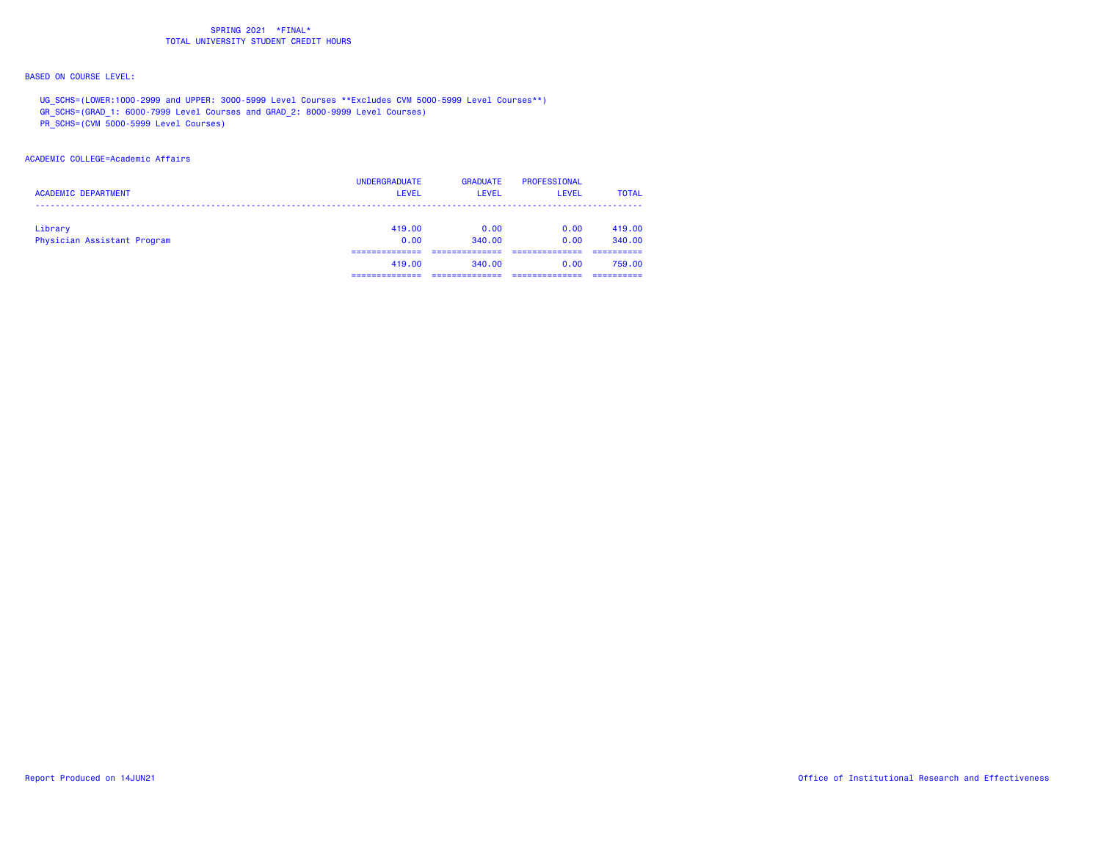# BASED ON COURSE LEVEL:

UG\_SCHS=(LOWER:1000-2999 and UPPER: 3000-5999 Level Courses \*\*Excludes CVM 5000-5999 Level Courses\*\*)

GR\_SCHS=(GRAD\_1: 6000-7999 Level Courses and GRAD\_2: 8000-9999 Level Courses)

PR\_SCHS=(CVM 5000-5999 Level Courses)

#### ACADEMIC COLLEGE=Academic Affairs

| <b>ACADEMIC DEPARTMENT</b>             | <b>UNDERGRADUATE</b><br><b>LEVEL</b> | <b>GRADUATE</b><br>LEVEL | <b>PROFESSIONAL</b><br>LEVEL | <b>TOTAL</b>     |
|----------------------------------------|--------------------------------------|--------------------------|------------------------------|------------------|
| Library<br>Physician Assistant Program | 419,00<br>0.00                       | 0.00<br>340.00           | 0.00<br>0.00                 | 419,00<br>340.00 |
|                                        | 419,00                               | 340.00                   | 0.00                         | 759.00           |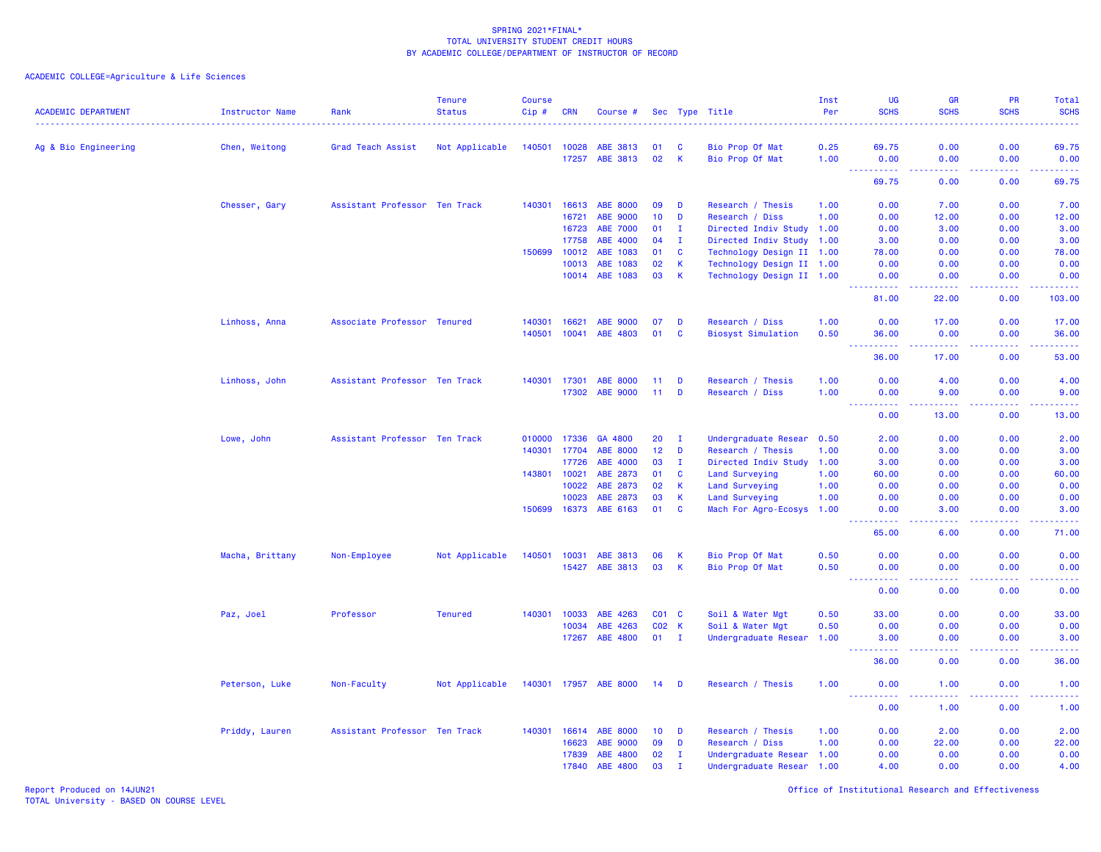| <b>ACADEMIC DEPARTMENT</b> | <b>Instructor Name</b> | Rank                          | <b>Tenure</b><br><b>Status</b> | Course<br>$Cip$ # | <b>CRN</b> | Course #              |                 |              | Sec Type Title            | Inst<br>Per | <b>UG</b><br><b>SCHS</b>                                                                                                                                                               | GR<br><b>SCHS</b>                   | <b>PR</b><br><b>SCHS</b>              | Total<br><b>SCHS</b><br>$\frac{1}{2} \left( \frac{1}{2} \right) \left( \frac{1}{2} \right) \left( \frac{1}{2} \right) \left( \frac{1}{2} \right)$ |
|----------------------------|------------------------|-------------------------------|--------------------------------|-------------------|------------|-----------------------|-----------------|--------------|---------------------------|-------------|----------------------------------------------------------------------------------------------------------------------------------------------------------------------------------------|-------------------------------------|---------------------------------------|---------------------------------------------------------------------------------------------------------------------------------------------------|
| Ag & Bio Engineering       | Chen, Weitong          | Grad Teach Assist             | Not Applicable                 | 140501            | 10028      | ABE 3813              | 01              | <b>C</b>     | Bio Prop Of Mat           | 0.25        | 69.75                                                                                                                                                                                  | 0.00                                | 0.00                                  | 69.75                                                                                                                                             |
|                            |                        |                               |                                |                   | 17257      | ABE 3813              | 02              | K            | Bio Prop Of Mat           | 1.00        | 0.00<br>$\sim$ $\sim$ $\sim$ $\sim$                                                                                                                                                    | 0.00                                | 0.00                                  | 0.00<br>د د د د                                                                                                                                   |
|                            |                        |                               |                                |                   |            |                       |                 |              |                           |             | 69.75                                                                                                                                                                                  | $\sim$ $\sim$ $\sim$ $\sim$<br>0.00 | المستبد<br>0.00                       | 69.75                                                                                                                                             |
|                            | Chesser, Gary          | Assistant Professor Ten Track |                                | 140301            | 16613      | <b>ABE 8000</b>       | 09              | D            | Research / Thesis         | 1.00        | 0.00                                                                                                                                                                                   | 7.00                                | 0.00                                  | 7.00                                                                                                                                              |
|                            |                        |                               |                                |                   | 16721      | <b>ABE 9000</b>       | 10              | D            | Research / Diss           | 1.00        | 0.00                                                                                                                                                                                   | 12.00                               | 0.00                                  | 12.00                                                                                                                                             |
|                            |                        |                               |                                |                   | 16723      | <b>ABE 7000</b>       | 01              | I.           | Directed Indiv Study 1.00 |             | 0.00                                                                                                                                                                                   | 3.00                                | 0.00                                  | 3.00                                                                                                                                              |
|                            |                        |                               |                                |                   | 17758      | ABE 4000              | 04              | $\mathbf{I}$ | Directed Indiv Study 1.00 |             | 3.00                                                                                                                                                                                   | 0.00                                | 0.00                                  | 3.00                                                                                                                                              |
|                            |                        |                               |                                | 150699            | 10012      | ABE 1083              | 01              | C            | Technology Design II 1.00 |             | 78.00                                                                                                                                                                                  | 0.00                                | 0.00                                  | 78.00                                                                                                                                             |
|                            |                        |                               |                                |                   | 10013      | ABE 1083              | 02              | $\mathsf K$  | Technology Design II 1.00 |             | 0.00                                                                                                                                                                                   | 0.00                                | 0.00                                  | 0.00                                                                                                                                              |
|                            |                        |                               |                                |                   | 10014      | ABE 1083              | 03              | $\mathsf K$  | Technology Design II 1.00 |             | 0.00                                                                                                                                                                                   | 0.00                                | 0.00                                  | 0.00                                                                                                                                              |
|                            |                        |                               |                                |                   |            |                       |                 |              |                           |             | 81.00                                                                                                                                                                                  | 22.00                               | 0.00                                  | $\frac{1}{2} \left( \frac{1}{2} \right) \left( \frac{1}{2} \right) \left( \frac{1}{2} \right) \left( \frac{1}{2} \right)$<br>103.00               |
|                            | Linhoss, Anna          | Associate Professor Tenured   |                                | 140301            | 16621      | <b>ABE 9000</b>       | 07              | D            | Research / Diss           | 1.00        | 0.00                                                                                                                                                                                   | 17.00                               | 0.00                                  | 17.00                                                                                                                                             |
|                            |                        |                               |                                | 140501            | 10041      | ABE 4803              | 01              | $\mathbf{C}$ | <b>Biosyst Simulation</b> | 0.50        | 36.00<br>.<br>$\sim$ $\sim$ $\sim$                                                                                                                                                     | 0.00<br>22222                       | 0.00<br>22222                         | 36.00<br>.                                                                                                                                        |
|                            |                        |                               |                                |                   |            |                       |                 |              |                           |             | 36.00                                                                                                                                                                                  | 17.00                               | 0.00                                  | 53.00                                                                                                                                             |
|                            | Linhoss, John          | Assistant Professor Ten Track |                                | 140301            | 17301      | <b>ABE 8000</b>       | 11              | D            | Research / Thesis         | 1.00        | 0.00                                                                                                                                                                                   | 4.00                                | 0.00                                  | 4.00                                                                                                                                              |
|                            |                        |                               |                                |                   | 17302      | <b>ABE 9000</b>       | 11              | D            | Research / Diss           | 1.00        | 0.00<br>$\frac{1}{2} \left( \frac{1}{2} \right) \left( \frac{1}{2} \right) \left( \frac{1}{2} \right)$<br>.                                                                            | 9.00<br>.                           | 0.00<br><b><i><u><u>.</u></u></i></b> | 9.00<br>.                                                                                                                                         |
|                            |                        |                               |                                |                   |            |                       |                 |              |                           |             | 0.00                                                                                                                                                                                   | 13.00                               | 0.00                                  | 13.00                                                                                                                                             |
|                            | Lowe, John             | Assistant Professor Ten Track |                                | 010000            | 17336      | GA 4800               | 20              | $\mathbf{I}$ | Undergraduate Resear      | 0.50        | 2.00                                                                                                                                                                                   | 0.00                                | 0.00                                  | 2.00                                                                                                                                              |
|                            |                        |                               |                                | 140301            | 17704      | <b>ABE 8000</b>       | 12              | D            | Research / Thesis         | 1.00        | 0.00                                                                                                                                                                                   | 3.00                                | 0.00                                  | 3.00                                                                                                                                              |
|                            |                        |                               |                                |                   | 17726      | ABE 4000              | 03              | $\mathbf{I}$ | Directed Indiv Study      | 1.00        | 3.00                                                                                                                                                                                   | 0.00                                | 0.00                                  | 3.00                                                                                                                                              |
|                            |                        |                               |                                | 143801            | 10021      | ABE 2873              | 01              | C            | Land Surveying            | 1.00        | 60.00                                                                                                                                                                                  | 0.00                                | 0.00                                  | 60.00                                                                                                                                             |
|                            |                        |                               |                                |                   | 10022      | ABE 2873              | 02              | К            | Land Surveying            | 1.00        | 0.00                                                                                                                                                                                   | 0.00                                | 0.00                                  | 0.00                                                                                                                                              |
|                            |                        |                               |                                |                   | 10023      | ABE 2873              | 03              | K            | Land Surveying            | 1.00        | 0.00                                                                                                                                                                                   | 0.00                                | 0.00                                  | 0.00                                                                                                                                              |
|                            |                        |                               |                                | 150699            | 16373      | ABE 6163              | 01              | C            | Mach For Agro-Ecosys 1.00 |             | 0.00<br>$\frac{1}{2} \left( \frac{1}{2} \right) \left( \frac{1}{2} \right) \left( \frac{1}{2} \right) \left( \frac{1}{2} \right) \left( \frac{1}{2} \right)$                           | 3.00<br>المتمامين                   | 0.00<br>.                             | 3.00<br>المالم عامان                                                                                                                              |
|                            |                        |                               |                                |                   |            |                       |                 |              |                           |             | 65.00                                                                                                                                                                                  | 6.00                                | 0.00                                  | 71.00                                                                                                                                             |
|                            | Macha, Brittany        | Non-Employee                  | Not Applicable                 | 140501            | 10031      | ABE 3813              | 06              | К            | Bio Prop Of Mat           | 0.50        | 0.00                                                                                                                                                                                   | 0.00                                | 0.00                                  | 0.00                                                                                                                                              |
|                            |                        |                               |                                |                   | 15427      | ABE 3813              | 03              | К            | Bio Prop Of Mat           | 0.50        | 0.00<br>$\omega$ is a $\omega$<br>$\frac{1}{2} \left( \frac{1}{2} \right) \left( \frac{1}{2} \right) \left( \frac{1}{2} \right) \left( \frac{1}{2} \right) \left( \frac{1}{2} \right)$ | 0.00<br>$\omega$ is $\omega$ .      | 0.00                                  | 0.00<br>$\frac{1}{2} \left( \frac{1}{2} \right) \left( \frac{1}{2} \right) \left( \frac{1}{2} \right) \left( \frac{1}{2} \right)$                 |
|                            |                        |                               |                                |                   |            |                       |                 |              |                           |             | 0.00                                                                                                                                                                                   | 0.00                                | 0.00                                  | 0.00                                                                                                                                              |
|                            | Paz, Joel              | Professor                     | <b>Tenured</b>                 | 140301            | 10033      | ABE 4263              |                 | $CO1$ $C$    | Soil & Water Mgt          | 0.50        | 33.00                                                                                                                                                                                  | 0.00                                | 0.00                                  | 33.00                                                                                                                                             |
|                            |                        |                               |                                |                   | 10034      | ABE 4263              | CO <sub>2</sub> | $\mathbf{K}$ | Soil & Water Mgt          | 0.50        | 0.00                                                                                                                                                                                   | 0.00                                | 0.00                                  | 0.00                                                                                                                                              |
|                            |                        |                               |                                |                   | 17267      | ABE 4800              | 01              | $\mathbf{I}$ | Undergraduate Resear      | 1.00        | 3.00<br>.                                                                                                                                                                              | 0.00<br>.                           | 0.00                                  | 3.00<br>$  -$                                                                                                                                     |
|                            |                        |                               |                                |                   |            |                       |                 |              |                           |             | 36.00                                                                                                                                                                                  | 0.00                                | 0.00                                  | 36.00                                                                                                                                             |
|                            | Peterson, Luke         | Non-Faculty                   | Not Applicable                 |                   |            | 140301 17957 ABE 8000 | 14              | <b>D</b>     | Research / Thesis         | 1.00        | 0.00                                                                                                                                                                                   | 1.00                                | 0.00                                  | 1.00                                                                                                                                              |
|                            |                        |                               |                                |                   |            |                       |                 |              |                           |             | 0.00                                                                                                                                                                                   | 1.00                                | 0.00                                  | 1.00                                                                                                                                              |
|                            | Priddy, Lauren         | Assistant Professor Ten Track |                                | 140301            | 16614      | ABE 8000              | 10              | D            | Research / Thesis         | 1.00        | 0.00                                                                                                                                                                                   | 2.00                                | 0.00                                  | 2.00                                                                                                                                              |
|                            |                        |                               |                                |                   | 16623      | <b>ABE 9000</b>       | 09              | D            | Research / Diss           | 1.00        | 0.00                                                                                                                                                                                   | 22.00                               | 0.00                                  | 22.00                                                                                                                                             |
|                            |                        |                               |                                |                   | 17839      | ABE 4800              | 02              | $\mathbf{I}$ | Undergraduate Resear 1.00 |             | 0.00                                                                                                                                                                                   | 0.00                                | 0.00                                  | 0.00                                                                                                                                              |
|                            |                        |                               |                                |                   | 17840      | ABE 4800              | 03              | $\mathbf{I}$ | Undergraduate Resear 1.00 |             | 4.00                                                                                                                                                                                   | 0.00                                | 0.00                                  | 4.00                                                                                                                                              |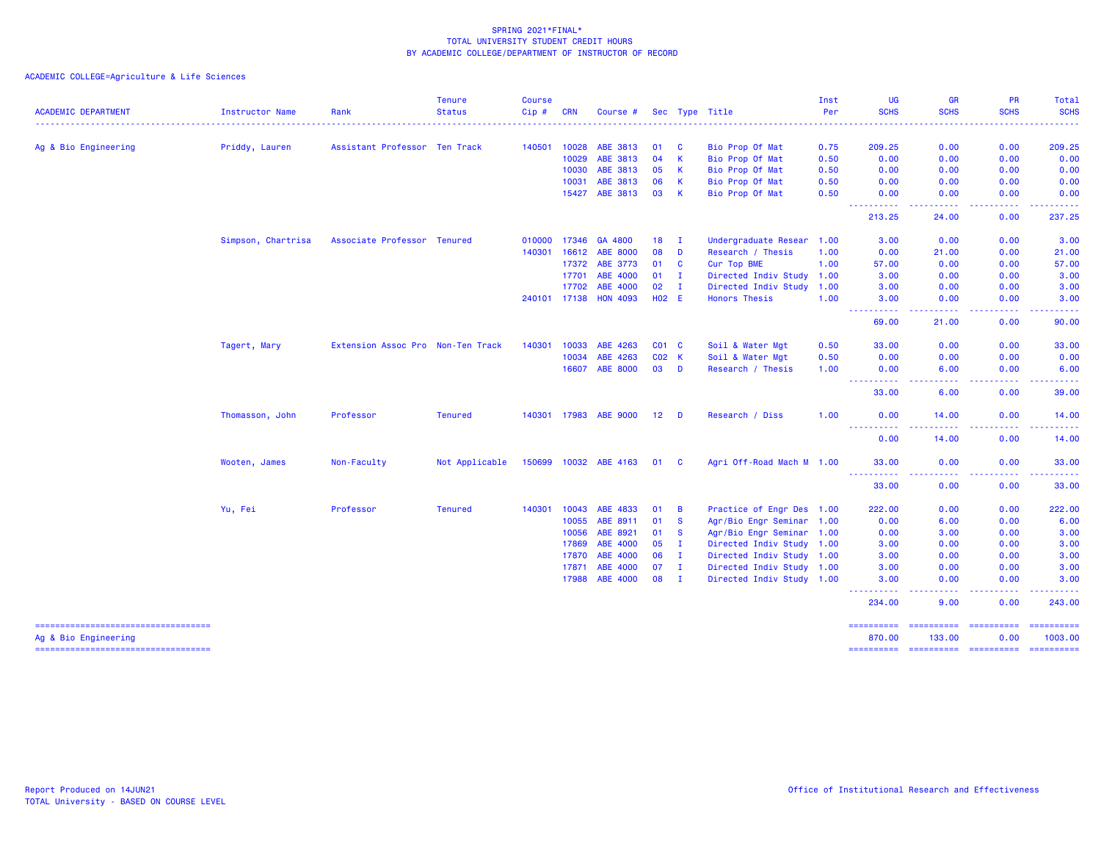|                                                               |                    |                                   | <b>Tenure</b>  | <b>Course</b> |              |                       |                 |              |                           | Inst | UG                                                                                             | <b>GR</b>                                                                                                                         | PR                 | Total                 |
|---------------------------------------------------------------|--------------------|-----------------------------------|----------------|---------------|--------------|-----------------------|-----------------|--------------|---------------------------|------|------------------------------------------------------------------------------------------------|-----------------------------------------------------------------------------------------------------------------------------------|--------------------|-----------------------|
| <b>ACADEMIC DEPARTMENT</b>                                    | Instructor Name    | Rank                              | <b>Status</b>  | Cip#          | <b>CRN</b>   | Course #              |                 |              | Sec Type Title            | Per  | <b>SCHS</b>                                                                                    | <b>SCHS</b>                                                                                                                       | <b>SCHS</b>        | <b>SCHS</b><br>.      |
| Ag & Bio Engineering                                          | Priddy, Lauren     | Assistant Professor Ten Track     |                | 140501        | 10028        | ABE 3813              | 01              | - C          | Bio Prop Of Mat           | 0.75 | 209.25                                                                                         | 0.00                                                                                                                              | 0.00               | 209.25                |
|                                                               |                    |                                   |                |               | 10029        | ABE 3813              | 04              | $\mathsf{K}$ | Bio Prop Of Mat           | 0.50 | 0.00                                                                                           | 0.00                                                                                                                              | 0.00               | 0.00                  |
|                                                               |                    |                                   |                |               | 10030        | ABE 3813              | 05              | $\mathsf{K}$ | Bio Prop Of Mat           | 0.50 | 0.00                                                                                           | 0.00                                                                                                                              | 0.00               | 0.00                  |
|                                                               |                    |                                   |                |               | 10031        | ABE 3813              | 06              | $\mathsf{K}$ | Bio Prop Of Mat           | 0.50 | 0.00                                                                                           | 0.00                                                                                                                              | 0.00               | 0.00                  |
|                                                               |                    |                                   |                |               | 15427        | ABE 3813              | 03              | $\mathsf{K}$ | Bio Prop Of Mat           | 0.50 | 0.00                                                                                           | 0.00                                                                                                                              | 0.00               | 0.00                  |
|                                                               |                    |                                   |                |               |              |                       |                 |              |                           |      | $\frac{1}{2} \left( \frac{1}{2} \right) \frac{1}{2} \left( \frac{1}{2} \right)$<br>.<br>213.25 | 24.00                                                                                                                             | 0.00               | 237.25                |
|                                                               | Simpson, Chartrisa | Associate Professor Tenured       |                | 010000        | 17346        | GA 4800               | 18              | $\mathbf{I}$ | Undergraduate Resear 1.00 |      | 3.00                                                                                           | 0.00                                                                                                                              | 0.00               | 3.00                  |
|                                                               |                    |                                   |                | 140301        | 16612        | <b>ABE 8000</b>       | 08              | D            | Research / Thesis         | 1.00 | 0.00                                                                                           | 21.00                                                                                                                             | 0.00               | 21.00                 |
|                                                               |                    |                                   |                |               | 17372        | ABE 3773              | 01              | $\mathbf{C}$ | Cur Top BME               | 1.00 | 57.00                                                                                          | 0.00                                                                                                                              | 0.00               | 57.00                 |
|                                                               |                    |                                   |                |               | 17701        | ABE 4000              | 01              | $\mathbf{I}$ | Directed Indiv Study 1.00 |      | 3.00                                                                                           | 0.00                                                                                                                              | 0.00               | 3.00                  |
|                                                               |                    |                                   |                |               | 17702        | ABE 4000              | 02              | $\mathbf{I}$ | Directed Indiv Study      | 1.00 | 3.00                                                                                           | 0.00                                                                                                                              | 0.00               | 3.00                  |
|                                                               |                    |                                   |                |               | 240101 17138 | <b>HON 4093</b>       | <b>HO2 E</b>    |              | <b>Honors Thesis</b>      | 1.00 | 3.00                                                                                           | 0.00                                                                                                                              | 0.00               | 3.00                  |
|                                                               |                    |                                   |                |               |              |                       |                 |              |                           |      | 69.00                                                                                          | 21.00                                                                                                                             | 0.00               | 90.00                 |
|                                                               | Tagert, Mary       | Extension Assoc Pro Non-Ten Track |                | 140301        | 10033        | ABE 4263              | $CO1$ $C$       |              | Soil & Water Mgt          | 0.50 | 33.00                                                                                          | 0.00                                                                                                                              | 0.00               | 33.00                 |
|                                                               |                    |                                   |                |               | 10034        | ABE 4263              | C02 K           |              | Soil & Water Mgt          | 0.50 | 0.00                                                                                           | 0.00                                                                                                                              | 0.00               | 0.00                  |
|                                                               |                    |                                   |                |               | 16607        | <b>ABE 8000</b>       | 03              | D            | Research / Thesis         | 1.00 | 0.00<br>444                                                                                    | 6.00                                                                                                                              | 0.00               | 6.00                  |
|                                                               |                    |                                   |                |               |              |                       |                 |              |                           |      | 33.00                                                                                          | 6.00                                                                                                                              | 0.00               | 39.00                 |
|                                                               | Thomasson, John    | Professor                         | <b>Tenured</b> |               |              | 140301 17983 ABE 9000 | 12 <sup>2</sup> | D            | Research / Diss           | 1.00 | 0.00                                                                                           | 14.00                                                                                                                             | 0.00               | 14.00                 |
|                                                               |                    |                                   |                |               |              |                       |                 |              |                           |      | ----------<br>0.00                                                                             | .<br>14.00                                                                                                                        | المستما<br>0.00    | .<br>14.00            |
|                                                               | Wooten, James      | Non-Faculty                       | Not Applicable | 150699        |              | 10032 ABE 4163        | 01              | <b>C</b>     | Agri Off-Road Mach M 1.00 |      | 33,00                                                                                          | 0.00                                                                                                                              | 0.00               | 33.00                 |
|                                                               |                    |                                   |                |               |              |                       |                 |              |                           |      | ----------<br>33.00                                                                            | <b>.</b><br>0.00                                                                                                                  | 0.00               | 33.00                 |
|                                                               | Yu, Fei            | Professor                         | <b>Tenured</b> | 140301        | 10043        | ABE 4833              | 01              | B            | Practice of Engr Des 1.00 |      | 222.00                                                                                         | 0.00                                                                                                                              | 0.00               | 222.00                |
|                                                               |                    |                                   |                |               | 10055        | ABE 8911              | 01              | <b>S</b>     | Agr/Bio Engr Seminar 1.00 |      | 0.00                                                                                           | 6.00                                                                                                                              | 0.00               | 6.00                  |
|                                                               |                    |                                   |                |               | 10056        | ABE 8921              | 01              | <b>S</b>     | Agr/Bio Engr Seminar 1.00 |      | 0.00                                                                                           | 3.00                                                                                                                              | 0.00               | 3.00                  |
|                                                               |                    |                                   |                |               | 17869        | ABE 4000              | 05              | $\mathbf{I}$ | Directed Indiv Study 1.00 |      | 3.00                                                                                           | 0.00                                                                                                                              | 0.00               | 3.00                  |
|                                                               |                    |                                   |                |               | 17870        | ABE 4000              | 06              | $\mathbf{I}$ | Directed Indiv Study 1.00 |      | 3.00                                                                                           | 0.00                                                                                                                              | 0.00               | 3.00                  |
|                                                               |                    |                                   |                |               | 17871        | ABE 4000              | 07              | $\mathbf{I}$ | Directed Indiv Study 1.00 |      | 3.00                                                                                           | 0.00                                                                                                                              | 0.00               | 3.00                  |
|                                                               |                    |                                   |                |               | 17988        | ABE 4000              | 08              | $\mathbf{I}$ | Directed Indiv Study 1.00 |      | 3.00                                                                                           | 0.00                                                                                                                              | 0.00               | 3.00                  |
|                                                               |                    |                                   |                |               |              |                       |                 |              |                           |      | 234.00                                                                                         | $\frac{1}{2} \left( \frac{1}{2} \right) \left( \frac{1}{2} \right) \left( \frac{1}{2} \right) \left( \frac{1}{2} \right)$<br>9.00 | .<br>0.00          | ------<br>243.00      |
| =====================================<br>Ag & Bio Engineering |                    |                                   |                |               |              |                       |                 |              |                           |      | ==========<br>870.00                                                                           | ==========<br>133.00                                                                                                              | ==========<br>0.00 | ==========<br>1003.00 |
| ======================================                        |                    |                                   |                |               |              |                       |                 |              |                           |      | ==========                                                                                     |                                                                                                                                   |                    |                       |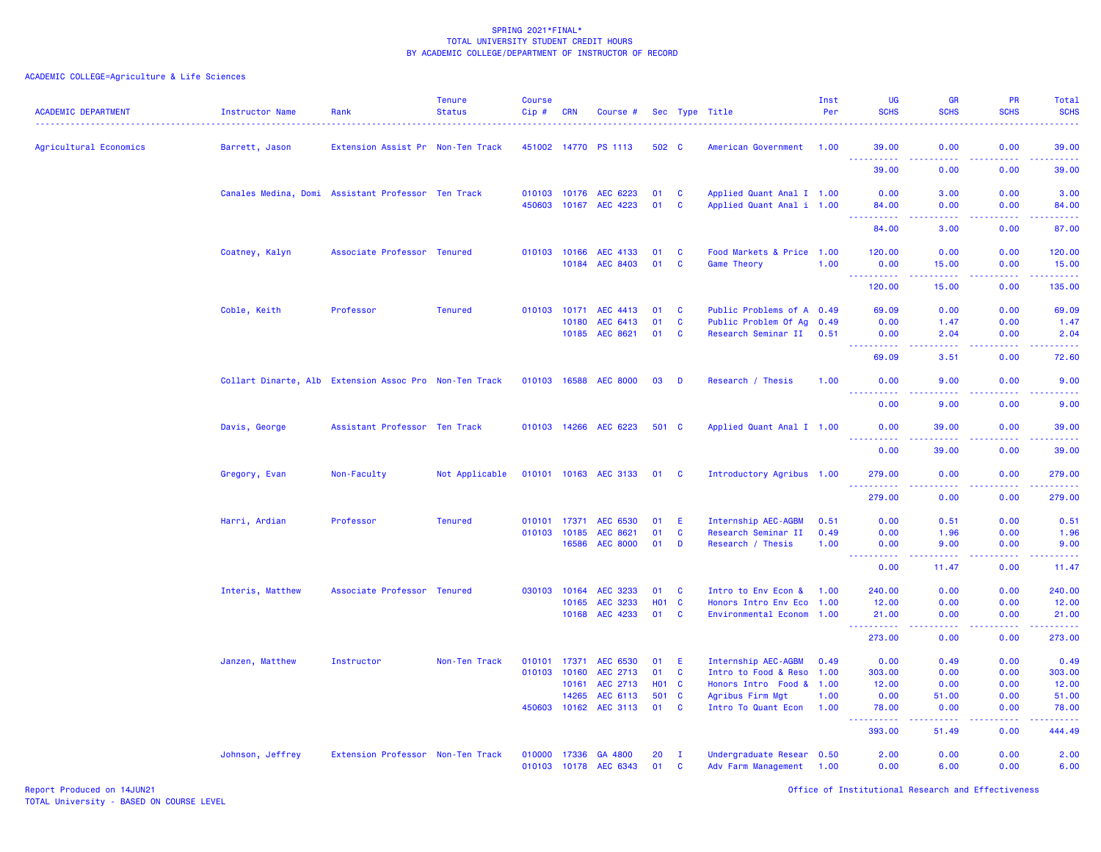| <b>ACADEMIC DEPARTMENT</b> | Instructor Name  | Rank                                                   | <b>Tenure</b><br><b>Status</b> | <b>Course</b><br>Cip#        | CRN   | Course #                                |                   |                  | Sec Type Title                                        | Inst<br>Per | UG<br><b>SCHS</b>                                                                                                                                             | <b>GR</b><br><b>SCHS</b>                                                                                                                                      | <b>PR</b><br><b>SCHS</b>                                                                                                                                     | Total<br><b>SCHS</b> |
|----------------------------|------------------|--------------------------------------------------------|--------------------------------|------------------------------|-------|-----------------------------------------|-------------------|------------------|-------------------------------------------------------|-------------|---------------------------------------------------------------------------------------------------------------------------------------------------------------|---------------------------------------------------------------------------------------------------------------------------------------------------------------|--------------------------------------------------------------------------------------------------------------------------------------------------------------|----------------------|
| Agricultural Economics     | Barrett, Jason   | Extension Assist Pr Non-Ten Track                      |                                |                              |       | 451002 14770 PS 1113                    | 502 C             |                  | American Government 1.00                              |             | 39.00                                                                                                                                                         | 0.00                                                                                                                                                          | 0.00                                                                                                                                                         | 39.00                |
|                            |                  |                                                        |                                |                              |       |                                         |                   |                  |                                                       |             | $\frac{1}{2} \left( \frac{1}{2} \right) \left( \frac{1}{2} \right) \left( \frac{1}{2} \right) \left( \frac{1}{2} \right) \left( \frac{1}{2} \right)$<br>39.00 | د د د د<br>0.00                                                                                                                                               | .<br>0.00                                                                                                                                                    | .<br>39.00           |
|                            |                  | Canales Medina, Domi Assistant Professor Ten Track     |                                |                              |       | 010103 10176 AEC 6223                   | 01                | C                | Applied Quant Anal I 1.00                             |             | 0.00                                                                                                                                                          | 3.00                                                                                                                                                          | 0.00                                                                                                                                                         | 3.00                 |
|                            |                  |                                                        |                                |                              |       | 450603 10167 AEC 4223                   | 01                | $\mathbf{C}$     | Applied Quant Anal i 1.00                             |             | 84.00<br>.                                                                                                                                                    | 0.00<br>$\sim 100$                                                                                                                                            | 0.00<br>.                                                                                                                                                    | 84.00<br>والانتاب    |
|                            |                  |                                                        |                                |                              |       |                                         |                   |                  |                                                       |             | 84.00                                                                                                                                                         | 3.00                                                                                                                                                          | 0.00                                                                                                                                                         | 87.00                |
|                            | Coatney, Kalyn   | Associate Professor Tenured                            |                                |                              |       | 010103 10166 AEC 4133<br>10184 AEC 8403 | 01<br>01          | C<br><b>C</b>    | Food Markets & Price 1.00<br>Game Theory              | 1.00        | 120.00<br>0.00                                                                                                                                                | 0.00<br>15.00                                                                                                                                                 | 0.00<br>0.00                                                                                                                                                 | 120.00<br>15.00      |
|                            |                  |                                                        |                                |                              |       |                                         |                   |                  |                                                       |             | <b></b><br>120.00                                                                                                                                             | $\frac{1}{2} \left( \frac{1}{2} \right) \left( \frac{1}{2} \right) \left( \frac{1}{2} \right) \left( \frac{1}{2} \right) \left( \frac{1}{2} \right)$<br>15.00 | .<br>0.00                                                                                                                                                    | <u>.</u><br>135.00   |
|                            | Coble, Keith     | Professor                                              | <b>Tenured</b>                 | 010103 10171                 |       | AEC 4413                                | 01                | C                | Public Problems of A 0.49                             |             | 69.09                                                                                                                                                         | 0.00                                                                                                                                                          | 0.00                                                                                                                                                         | 69.09                |
|                            |                  |                                                        |                                |                              | 10180 | AEC 6413                                | 01                | $\mathbf{C}$     | Public Problem Of Ag 0.49                             |             | 0.00                                                                                                                                                          | 1.47                                                                                                                                                          | 0.00                                                                                                                                                         | 1.47                 |
|                            |                  |                                                        |                                |                              |       | 10185 AEC 8621                          | 01                | <b>C</b>         | Research Seminar II 0.51                              |             | 0.00                                                                                                                                                          | 2.04                                                                                                                                                          | 0.00                                                                                                                                                         | 2.04                 |
|                            |                  |                                                        |                                |                              |       |                                         |                   |                  |                                                       |             | .<br>69.09                                                                                                                                                    | د د د د<br>3.51                                                                                                                                               | .<br>0.00                                                                                                                                                    | والانتاب<br>72.60    |
|                            |                  | Collart Dinarte, Alb Extension Assoc Pro Non-Ten Track |                                | 010103 16588                 |       | <b>AEC 8000</b>                         | 03                | D                | Research / Thesis                                     | 1.00        | 0.00                                                                                                                                                          | 9.00                                                                                                                                                          | 0.00                                                                                                                                                         | 9.00                 |
|                            |                  |                                                        |                                |                              |       |                                         |                   |                  |                                                       |             | $- - - - -$<br>0.00                                                                                                                                           | $  -$<br>9.00                                                                                                                                                 | .<br>0.00                                                                                                                                                    | $- - - - -$<br>9.00  |
|                            | Davis, George    | Assistant Professor Ten Track                          |                                |                              |       | 010103 14266 AEC 6223                   | 501 C             |                  | Applied Quant Anal I 1.00                             |             | 0.00                                                                                                                                                          | 39.00                                                                                                                                                         | 0.00                                                                                                                                                         | 39.00                |
|                            |                  |                                                        |                                |                              |       |                                         |                   |                  |                                                       |             | <u>.</u><br>0.00                                                                                                                                              | 39.00                                                                                                                                                         | 0.00                                                                                                                                                         | .<br>39.00           |
|                            | Gregory, Evan    | Non-Faculty                                            | Not Applicable                 |                              |       | 010101 10163 AEC 3133                   | 01                | <b>C</b>         | Introductory Agribus 1.00                             |             | 279.00                                                                                                                                                        | 0.00                                                                                                                                                          | 0.00                                                                                                                                                         | 279.00               |
|                            |                  |                                                        |                                |                              |       |                                         |                   |                  |                                                       |             | <u>.</u><br>279.00                                                                                                                                            | 0.00                                                                                                                                                          | <u>.</u><br>0.00                                                                                                                                             | .<br>279.00          |
|                            | Harri, Ardian    | Professor                                              | <b>Tenured</b>                 | 010101 17371                 |       | AEC 6530                                | 01                | E                | Internship AEC-AGBM                                   | 0.51        | 0.00                                                                                                                                                          | 0.51                                                                                                                                                          | 0.00                                                                                                                                                         | 0.51                 |
|                            |                  |                                                        |                                | 010103 10185                 |       | AEC 8621                                | 01                | $\mathbf{C}$     | Research Seminar II                                   | 0.49        | 0.00                                                                                                                                                          | 1.96                                                                                                                                                          | 0.00                                                                                                                                                         | 1.96                 |
|                            |                  |                                                        |                                |                              | 16586 | <b>AEC 8000</b>                         | 01                | D                | Research / Thesis                                     | 1.00        | 0.00<br><b>_________</b>                                                                                                                                      | 9.00<br>المتمام والمناور                                                                                                                                      | 0.00<br>22222)                                                                                                                                               | 9.00<br>.            |
|                            |                  |                                                        |                                |                              |       |                                         |                   |                  |                                                       |             | 0.00                                                                                                                                                          | 11.47                                                                                                                                                         | 0.00                                                                                                                                                         | 11.47                |
|                            | Interis, Matthew | Associate Professor Tenured                            |                                | 030103                       | 10164 | AEC 3233                                | 01                | <b>C</b>         | Intro to Env Econ &                                   | 1.00        | 240.00                                                                                                                                                        | 0.00                                                                                                                                                          | 0.00                                                                                                                                                         | 240.00               |
|                            |                  |                                                        |                                |                              | 10165 | AEC 3233                                | <b>HO1 C</b>      |                  | Honors Intro Env Eco 1.00                             |             | 12.00                                                                                                                                                         | 0.00                                                                                                                                                          | 0.00                                                                                                                                                         | 12.00                |
|                            |                  |                                                        |                                |                              | 10168 | AEC 4233                                | 01                | <b>C</b>         | Environmental Econom 1.00                             |             | 21,00<br><b></b>                                                                                                                                              | 0.00<br>.                                                                                                                                                     | 0.00<br>$\frac{1}{2} \left( \frac{1}{2} \right) \left( \frac{1}{2} \right) \left( \frac{1}{2} \right) \left( \frac{1}{2} \right) \left( \frac{1}{2} \right)$ | 21,00<br>.           |
|                            |                  |                                                        |                                |                              |       |                                         |                   |                  |                                                       |             | 273.00                                                                                                                                                        | 0.00                                                                                                                                                          | 0.00                                                                                                                                                         | 273.00               |
|                            | Janzen, Matthew  | Instructor                                             | Non-Ten Track                  | 010101                       | 17371 | AEC 6530                                | 01                | E.               | Internship AEC-AGBM                                   | 0.49        | 0.00                                                                                                                                                          | 0.49                                                                                                                                                          | 0.00                                                                                                                                                         | 0.49                 |
|                            |                  |                                                        |                                | 010103                       | 10160 | AEC 2713                                | 01                | $\mathbf{C}$     | Intro to Food & Reso 1.00                             |             | 303.00                                                                                                                                                        | 0.00                                                                                                                                                          | 0.00                                                                                                                                                         | 303.00               |
|                            |                  |                                                        |                                |                              | 10161 | AEC 2713                                | H <sub>01</sub> C |                  | Honors Intro Food & 1.00                              |             | 12.00                                                                                                                                                         | 0.00                                                                                                                                                          | 0.00                                                                                                                                                         | 12.00                |
|                            |                  |                                                        |                                |                              | 14265 | AEC 6113                                | 501 C             |                  | Agribus Firm Mgt                                      | 1.00        | 0.00                                                                                                                                                          | 51.00                                                                                                                                                         | 0.00                                                                                                                                                         | 51.00                |
|                            |                  |                                                        |                                | 450603                       | 10162 | AEC 3113                                | 01                | C                | Intro To Quant Econ                                   | 1.00        | 78.00<br>.                                                                                                                                                    | 0.00<br>$\frac{1}{2} \left( \frac{1}{2} \right) \left( \frac{1}{2} \right) \left( \frac{1}{2} \right) \left( \frac{1}{2} \right) \left( \frac{1}{2} \right)$  | 0.00<br>. <b>.</b>                                                                                                                                           | 78.00<br>22222       |
|                            |                  |                                                        |                                |                              |       |                                         |                   |                  |                                                       |             | 393.00                                                                                                                                                        | 51.49                                                                                                                                                         | 0.00                                                                                                                                                         | 444.49               |
|                            | Johnson, Jeffrey | Extension Professor Non-Ten Track                      |                                | 010000 17336<br>010103 10178 |       | GA 4800<br>AEC 6343                     | 20<br>01          | $\mathbf I$<br>C | Undergraduate Resear 0.50<br>Adv Farm Management 1.00 |             | 2.00<br>0.00                                                                                                                                                  | 0.00<br>6.00                                                                                                                                                  | 0.00<br>0.00                                                                                                                                                 | 2.00<br>6.00         |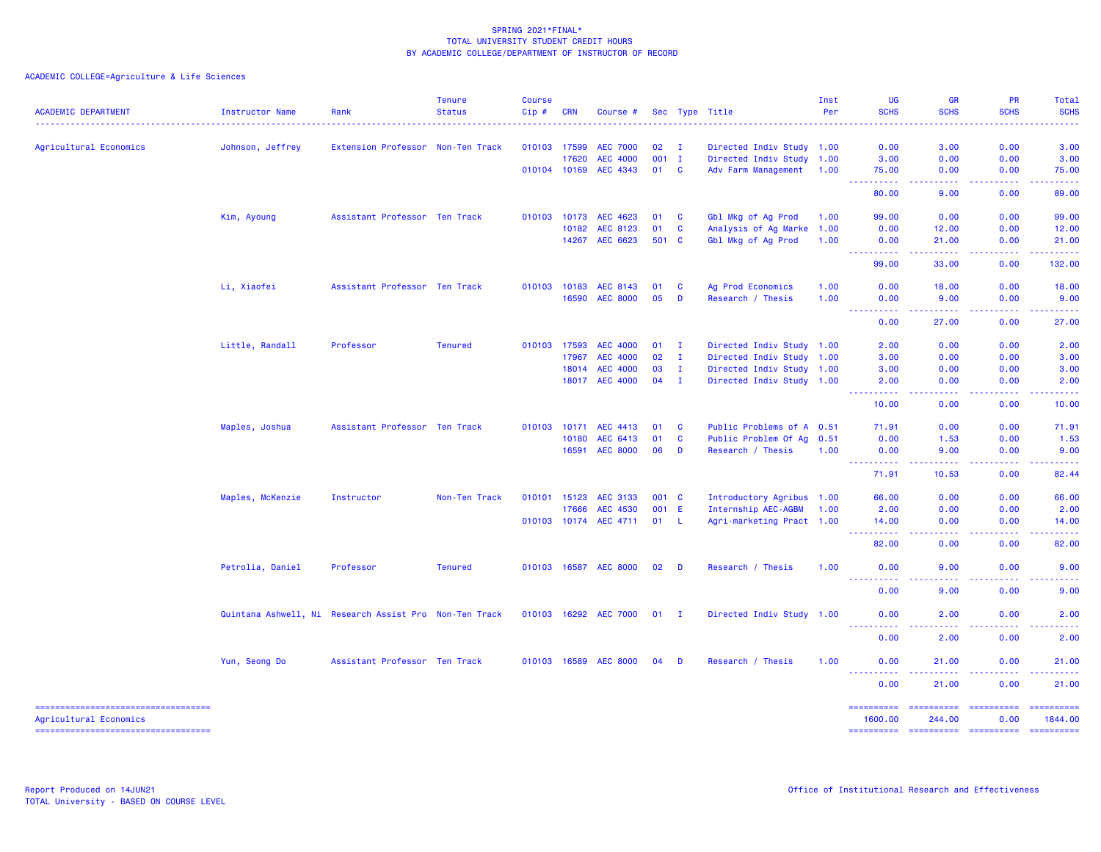| <b>ACADEMIC DEPARTMENT</b>          | <b>Instructor Name</b>                                 | Rank                              | <b>Tenure</b><br><b>Status</b> | <b>Course</b><br>Cip# | <b>CRN</b> | Course #              |         |              | Sec Type Title            | Inst<br>Per | <b>UG</b><br><b>SCHS</b>            | <b>GR</b><br><b>SCHS</b>                                                                                                                                                                                                                                                                                                                                                                                                                                                                  | PR<br><b>SCHS</b>                                                                                                                                            | Total<br><b>SCHS</b>                                                                                                              |
|-------------------------------------|--------------------------------------------------------|-----------------------------------|--------------------------------|-----------------------|------------|-----------------------|---------|--------------|---------------------------|-------------|-------------------------------------|-------------------------------------------------------------------------------------------------------------------------------------------------------------------------------------------------------------------------------------------------------------------------------------------------------------------------------------------------------------------------------------------------------------------------------------------------------------------------------------------|--------------------------------------------------------------------------------------------------------------------------------------------------------------|-----------------------------------------------------------------------------------------------------------------------------------|
| Agricultural Economics              | Johnson, Jeffrey                                       | Extension Professor Non-Ten Track |                                | 010103 17599          |            | <b>AEC 7000</b>       | 02      | - I          | Directed Indiv Study 1.00 |             | 0.00                                | 3.00                                                                                                                                                                                                                                                                                                                                                                                                                                                                                      | 0.00                                                                                                                                                         | 3.00                                                                                                                              |
|                                     |                                                        |                                   |                                |                       | 17620      | <b>AEC 4000</b>       | $001$ I |              | Directed Indiv Study 1.00 |             | 3.00                                | 0.00                                                                                                                                                                                                                                                                                                                                                                                                                                                                                      | 0.00                                                                                                                                                         | 3.00                                                                                                                              |
|                                     |                                                        |                                   |                                | 010104 10169          |            | AEC 4343              | 01      | <b>C</b>     | Adv Farm Management       | 1.00        | 75.00<br>222222                     | 0.00<br>22222                                                                                                                                                                                                                                                                                                                                                                                                                                                                             | 0.00<br>. <b>.</b>                                                                                                                                           | 75.00                                                                                                                             |
|                                     |                                                        |                                   |                                |                       |            |                       |         |              |                           |             | 80.00                               | 9.00                                                                                                                                                                                                                                                                                                                                                                                                                                                                                      | 0.00                                                                                                                                                         | .<br>89.00                                                                                                                        |
|                                     | Kim, Ayoung                                            | Assistant Professor Ten Track     |                                | 010103 10173          |            | AEC 4623              | 01      | <b>C</b>     | Gbl Mkg of Ag Prod        | 1.00        | 99.00                               | 0.00                                                                                                                                                                                                                                                                                                                                                                                                                                                                                      | 0.00                                                                                                                                                         | 99.00                                                                                                                             |
|                                     |                                                        |                                   |                                |                       | 10182      | AEC 8123              | 01      | <b>C</b>     | Analysis of Ag Marke      | 1.00        | 0.00                                | 12.00                                                                                                                                                                                                                                                                                                                                                                                                                                                                                     | 0.00                                                                                                                                                         | 12.00                                                                                                                             |
|                                     |                                                        |                                   |                                |                       | 14267      | AEC 6623              | 501 C   |              | Gbl Mkg of Ag Prod        | 1.00        | 0.00<br><u> - - - - - - - - - -</u> | 21.00<br>.                                                                                                                                                                                                                                                                                                                                                                                                                                                                                | 0.00<br>$\frac{1}{2} \left( \frac{1}{2} \right) \left( \frac{1}{2} \right) \left( \frac{1}{2} \right) \left( \frac{1}{2} \right) \left( \frac{1}{2} \right)$ | 21.00                                                                                                                             |
|                                     |                                                        |                                   |                                |                       |            |                       |         |              |                           |             | 99.00                               | 33.00                                                                                                                                                                                                                                                                                                                                                                                                                                                                                     | 0.00                                                                                                                                                         | 132.00                                                                                                                            |
|                                     | Li, Xiaofei                                            | Assistant Professor Ten Track     |                                | 010103 10183          |            | AEC 8143              | 01      | C            | Ag Prod Economics         | 1.00        | 0.00                                | 18.00                                                                                                                                                                                                                                                                                                                                                                                                                                                                                     | 0.00                                                                                                                                                         | 18.00                                                                                                                             |
|                                     |                                                        |                                   |                                |                       | 16590      | <b>AEC 8000</b>       | 05      | D            | Research / Thesis         | 1.00        | 0.00<br>.                           | 9.00<br>$\frac{1}{2} \left( \frac{1}{2} \right) \left( \frac{1}{2} \right) \left( \frac{1}{2} \right) \left( \frac{1}{2} \right) \left( \frac{1}{2} \right)$                                                                                                                                                                                                                                                                                                                              | 0.00                                                                                                                                                         | 9.00<br>.                                                                                                                         |
|                                     |                                                        |                                   |                                |                       |            |                       |         |              |                           |             | 0.00                                | 27.00                                                                                                                                                                                                                                                                                                                                                                                                                                                                                     | 0.00                                                                                                                                                         | 27.00                                                                                                                             |
|                                     | Little, Randall                                        | Professor                         | <b>Tenured</b>                 | 010103 17593          |            | <b>AEC 4000</b>       | 01      | $\mathbf{I}$ | Directed Indiv Study 1.00 |             | 2.00                                | 0.00                                                                                                                                                                                                                                                                                                                                                                                                                                                                                      | 0.00                                                                                                                                                         | 2.00                                                                                                                              |
|                                     |                                                        |                                   |                                |                       | 17967      | <b>AEC 4000</b>       | 02      | $\mathbf{I}$ | Directed Indiv Study 1.00 |             | 3.00                                | 0.00                                                                                                                                                                                                                                                                                                                                                                                                                                                                                      | 0.00                                                                                                                                                         | 3.00                                                                                                                              |
|                                     |                                                        |                                   |                                |                       | 18014      | <b>AEC 4000</b>       | 03      | $\mathbf{I}$ | Directed Indiv Study 1.00 |             | 3.00                                | 0.00                                                                                                                                                                                                                                                                                                                                                                                                                                                                                      | 0.00                                                                                                                                                         | 3.00                                                                                                                              |
|                                     |                                                        |                                   |                                |                       |            | 18017 AEC 4000        | $04$ I  |              | Directed Indiv Study 1.00 |             | 2.00<br><b><i><u></u></i></b>       | 0.00<br>$\sim$ $\sim$ $\sim$                                                                                                                                                                                                                                                                                                                                                                                                                                                              | 0.00<br>.                                                                                                                                                    | 2.00<br>$\frac{1}{2} \left( \frac{1}{2} \right) \left( \frac{1}{2} \right) \left( \frac{1}{2} \right) \left( \frac{1}{2} \right)$ |
|                                     |                                                        |                                   |                                |                       |            |                       |         |              |                           |             | 10.00                               | 0.00                                                                                                                                                                                                                                                                                                                                                                                                                                                                                      | 0.00                                                                                                                                                         | 10.00                                                                                                                             |
|                                     | Maples, Joshua                                         | Assistant Professor Ten Track     |                                | 010103 10171          |            | AEC 4413              | 01      | <b>C</b>     | Public Problems of A 0.51 |             | 71.91                               | 0.00                                                                                                                                                                                                                                                                                                                                                                                                                                                                                      | 0.00                                                                                                                                                         | 71.91                                                                                                                             |
|                                     |                                                        |                                   |                                |                       | 10180      | AEC 6413              | 01      | <b>C</b>     | Public Problem Of Ag      | 0.51        | 0.00                                | 1.53                                                                                                                                                                                                                                                                                                                                                                                                                                                                                      | 0.00                                                                                                                                                         | 1.53                                                                                                                              |
|                                     |                                                        |                                   |                                |                       | 16591      | <b>AEC 8000</b>       | 06      | D            | Research / Thesis         | 1.00        | 0.00<br>22,<br>بالمستنا             | 9.00<br>وعاعاها                                                                                                                                                                                                                                                                                                                                                                                                                                                                           | 0.00<br>.                                                                                                                                                    | 9.00<br>الداعات الما                                                                                                              |
|                                     |                                                        |                                   |                                |                       |            |                       |         |              |                           |             | 71.91                               | 10.53                                                                                                                                                                                                                                                                                                                                                                                                                                                                                     | 0.00                                                                                                                                                         | 82.44                                                                                                                             |
|                                     | Maples, McKenzie                                       | Instructor                        | Non-Ten Track                  | 010101                | 15123      | AEC 3133              | 001 C   |              | Introductory Agribus 1.00 |             | 66.00                               | 0.00                                                                                                                                                                                                                                                                                                                                                                                                                                                                                      | 0.00                                                                                                                                                         | 66.00                                                                                                                             |
|                                     |                                                        |                                   |                                |                       | 17666      | AEC 4530              | 001 E   |              | Internship AEC-AGBM       | 1.00        | 2.00                                | 0.00                                                                                                                                                                                                                                                                                                                                                                                                                                                                                      | 0.00                                                                                                                                                         | 2.00                                                                                                                              |
|                                     |                                                        |                                   |                                |                       |            | 010103 10174 AEC 4711 | 01 L    |              | Agri-marketing Pract 1.00 |             | 14.00<br>.                          | 0.00<br>والمستناء                                                                                                                                                                                                                                                                                                                                                                                                                                                                         | 0.00<br>.                                                                                                                                                    | 14.00<br>.                                                                                                                        |
|                                     |                                                        |                                   |                                |                       |            |                       |         |              |                           |             | 82.00                               | 0.00                                                                                                                                                                                                                                                                                                                                                                                                                                                                                      | 0.00                                                                                                                                                         | 82.00                                                                                                                             |
|                                     | Petrolia, Daniel                                       | Professor                         | <b>Tenured</b>                 |                       |            | 010103 16587 AEC 8000 | 02      | <b>D</b>     | Research / Thesis         | 1.00        | 0.00<br><u>.</u>                    | 9.00<br>.                                                                                                                                                                                                                                                                                                                                                                                                                                                                                 | 0.00<br>.                                                                                                                                                    | 9.00<br>.                                                                                                                         |
|                                     |                                                        |                                   |                                |                       |            |                       |         |              |                           |             | 0.00                                | 9.00                                                                                                                                                                                                                                                                                                                                                                                                                                                                                      | 0.00                                                                                                                                                         | 9.00                                                                                                                              |
|                                     | Quintana Ashwell, Ni Research Assist Pro Non-Ten Track |                                   |                                |                       |            | 010103 16292 AEC 7000 | 01      | - I          | Directed Indiv Study 1.00 |             | 0.00                                | 2.00                                                                                                                                                                                                                                                                                                                                                                                                                                                                                      | 0.00                                                                                                                                                         | 2.00                                                                                                                              |
|                                     |                                                        |                                   |                                |                       |            |                       |         |              |                           |             | 0.00                                | 2.00                                                                                                                                                                                                                                                                                                                                                                                                                                                                                      | 0.00                                                                                                                                                         | 2.00                                                                                                                              |
|                                     | Yun, Seong Do                                          | Assistant Professor Ten Track     |                                |                       |            | 010103 16589 AEC 8000 | 04      | D            | Research / Thesis         | 1.00        | 0.00                                | 21.00                                                                                                                                                                                                                                                                                                                                                                                                                                                                                     | 0.00                                                                                                                                                         | 21.00                                                                                                                             |
|                                     |                                                        |                                   |                                |                       |            |                       |         |              |                           |             | ----------<br>0.00                  | .<br>21.00                                                                                                                                                                                                                                                                                                                                                                                                                                                                                | $\frac{1}{2} \left( \frac{1}{2} \right) \left( \frac{1}{2} \right) \left( \frac{1}{2} \right) \left( \frac{1}{2} \right) \left( \frac{1}{2} \right)$<br>0.00 | 21.00                                                                                                                             |
| ----------------------------------- |                                                        |                                   |                                |                       |            |                       |         |              |                           |             | ==========                          | $\begin{array}{cccccccccc} \multicolumn{2}{c}{} & \multicolumn{2}{c}{} & \multicolumn{2}{c}{} & \multicolumn{2}{c}{} & \multicolumn{2}{c}{} & \multicolumn{2}{c}{} & \multicolumn{2}{c}{} & \multicolumn{2}{c}{} & \multicolumn{2}{c}{} & \multicolumn{2}{c}{} & \multicolumn{2}{c}{} & \multicolumn{2}{c}{} & \multicolumn{2}{c}{} & \multicolumn{2}{c}{} & \multicolumn{2}{c}{} & \multicolumn{2}{c}{} & \multicolumn{2}{c}{} & \multicolumn{2}{c}{} & \multicolumn{2}{c}{} & \mult$    | -----------                                                                                                                                                  | -----------                                                                                                                       |
| Agricultural Economics              |                                                        |                                   |                                |                       |            |                       |         |              |                           |             | 1600.00                             | 244.00                                                                                                                                                                                                                                                                                                                                                                                                                                                                                    | 0.00                                                                                                                                                         | 1844.00                                                                                                                           |
| ----------------------------------  |                                                        |                                   |                                |                       |            |                       |         |              |                           |             | ==========                          | $\begin{minipage}{0.03\linewidth} \begin{tabular}{l} \multicolumn{2}{l}{} & \multicolumn{2}{l}{} & \multicolumn{2}{l}{} \\ \multicolumn{2}{l}{} & \multicolumn{2}{l}{} & \multicolumn{2}{l}{} \\ \multicolumn{2}{l}{} & \multicolumn{2}{l}{} & \multicolumn{2}{l}{} \\ \multicolumn{2}{l}{} & \multicolumn{2}{l}{} & \multicolumn{2}{l}{} \\ \multicolumn{2}{l}{} & \multicolumn{2}{l}{} & \multicolumn{2}{l}{} \\ \multicolumn{2}{l}{} & \multicolumn{2}{l}{} & \multicolumn{2}{l}{} \\$ | -----------                                                                                                                                                  | $=$ ==========                                                                                                                    |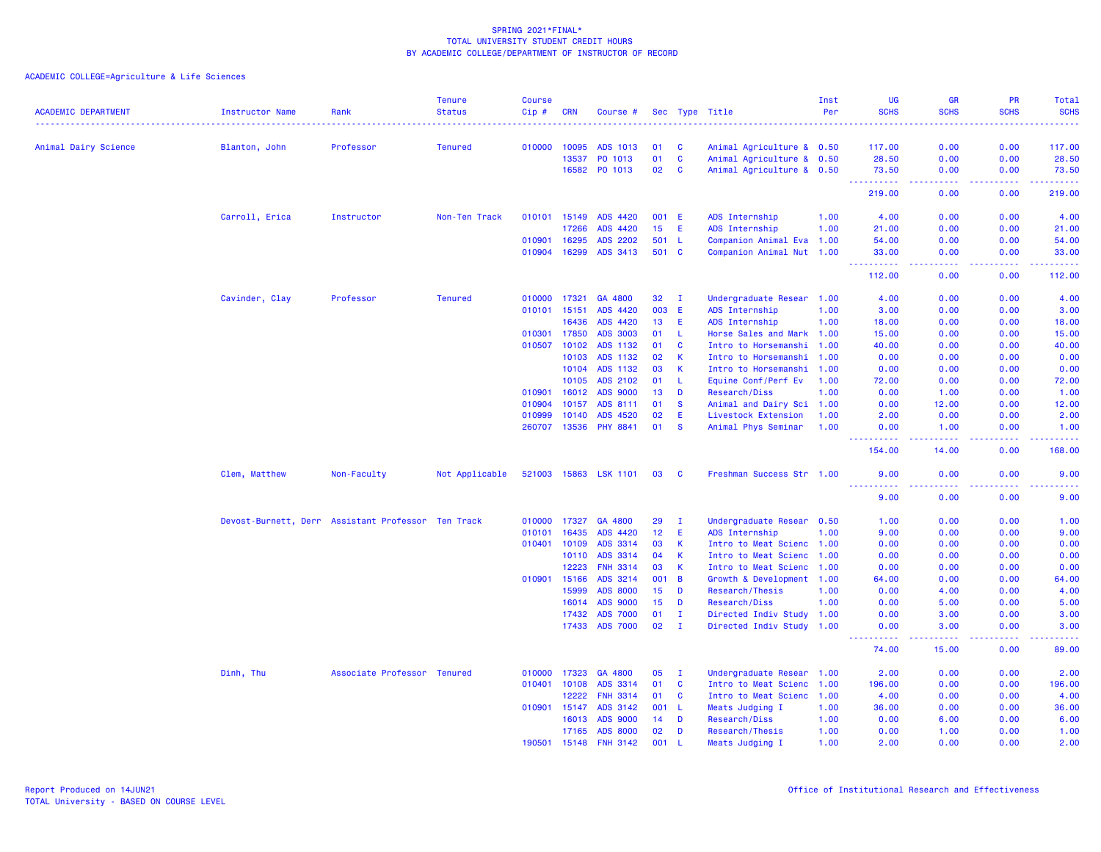| Animal Dairy Science<br>Professor<br><b>Tenured</b><br>010000<br>10095<br>ADS 1013<br>01<br>C<br>Animal Agriculture & 0.50<br>117.00<br>0.00<br>0.00<br>117.00<br>Blanton, John<br>$\mathbf c$<br>0.00<br>0.00<br>28.50<br>13537<br>PO 1013<br>01<br>Animal Agriculture & 0.50<br>28.50<br>16582 P0 1013<br>02<br><b>C</b><br>Animal Agriculture & 0.50<br>73.50<br>0.00<br>0.00<br>73.50<br>.<br>والمستبدات<br>د د د د<br>.<br>219.00<br>0.00<br>0.00<br>219.00<br>Carroll, Erica<br>Instructor<br>Non-Ten Track<br>010101 15149<br>ADS 4420<br>001<br>Æ<br>ADS Internship<br>1.00<br>4.00<br>0.00<br>0.00<br>4.00<br>17266<br>ADS 4420<br>15<br>E<br>0.00<br>ADS Internship<br>1.00<br>21.00<br>0.00<br>21.00<br>010901<br>16295<br><b>ADS 2202</b><br>501<br>-L<br>Companion Animal Eva 1.00<br>54.00<br>0.00<br>0.00<br>54.00<br>010904<br>ADS 3413<br>501 C<br>16299<br>Companion Animal Nut 1.00<br>33.00<br>0.00<br>0.00<br>33.00<br>.<br>.<br>$\frac{1}{2} \left( \frac{1}{2} \right) \left( \frac{1}{2} \right) \left( \frac{1}{2} \right) \left( \frac{1}{2} \right)$<br>.<br>112.00<br>0.00<br>0.00<br>112.00<br>Cavinder, Clay<br>Professor<br><b>Tenured</b><br>010000<br>17321<br>GA 4800<br>32<br>Undergraduate Resear 1.00<br>0.00<br>0.00<br>4.00<br>$\mathbf{I}$<br>4.00<br>010101<br>15151<br>ADS 4420<br>003<br>E<br>ADS Internship<br>1.00<br>0.00<br>0.00<br>3.00<br>3.00<br>E<br>16436<br>ADS 4420<br>13<br>ADS Internship<br>1.00<br>18.00<br>0.00<br>0.00<br>18.00<br>010301<br>17850<br>ADS 3003<br>01<br><b>L</b><br>Horse Sales and Mark 1.00<br>0.00<br>0.00<br>15.00<br>15.00<br>010507<br>10102<br>ADS 1132<br>C<br>01<br>Intro to Horsemanshi<br>1.00<br>0.00<br>0.00<br>40.00<br>40.00<br>10103<br>ADS 1132<br>02<br>K<br>0.00<br>0.00<br>0.00<br>Intro to Horsemanshi<br>1.00<br>0.00<br>10104<br>ADS 1132<br>03<br>К<br>Intro to Horsemanshi<br>0.00<br>0.00<br>0.00<br>0.00<br>1.00<br>10105<br>ADS 2102<br>L<br>Equine Conf/Perf Ev<br>72.00<br>01<br>1.00<br>72.00<br>0.00<br>0.00<br>D<br>010901<br>16012<br><b>ADS 9000</b><br>13<br>Research/Diss<br>1.00<br>0.00<br>1.00<br>0.00<br>1.00<br>010904<br>ADS 8111<br>$\mathbf{s}$<br>10157<br>01<br>Animal and Dairy Sci 1.00<br>0.00<br>12.00<br>0.00<br>12.00<br>010999<br>10140<br>ADS 4520<br>02<br>E<br>Livestock Extension<br>2.00<br>0.00<br>0.00<br>2.00<br>1.00<br>01<br><b>S</b><br>260707<br>13536<br><b>PHY 8841</b><br>Animal Phys Seminar<br>1.00<br>0.00<br>1.00<br>0.00<br>1.00<br><u>.</u><br>22222<br>.<br>$\sim$ $\sim$ $\sim$ $\sim$<br>154.00<br>14.00<br>0.00<br>168.00<br>Clem, Matthew<br>Non-Faculty<br>Not Applicable<br>521003<br>15863 LSK 1101<br>03<br>Freshman Success Str 1.00<br>9.00<br>0.00<br>0.00<br>9.00<br><b>C</b><br>.<br>.<br><b><i><u><u>.</u></u></i></b><br>.<br>9.00<br>9.00<br>0.00<br>0.00<br>010000<br>17327<br>GA 4800<br>29<br>Undergraduate Resear<br>0.00<br>Devost-Burnett, Derr Assistant Professor Ten Track<br>п<br>0.50<br>0.00<br>1.00<br>1.00<br>E<br>16435<br>ADS 4420<br>12 <sub>2</sub><br>0.00<br>9.00<br>010101<br>ADS Internship<br>1.00<br>9.00<br>0.00<br>010401<br>10109<br>ADS 3314<br>03<br>K<br>Intro to Meat Scienc 1.00<br>0.00<br>0.00<br>0.00<br>0.00<br>10110<br>ADS 3314<br>04<br>К<br>Intro to Meat Scienc<br>0.00<br>0.00<br>0.00<br>1.00<br>0.00<br>$\mathsf{K}$<br>12223<br><b>FNH 3314</b><br>03<br>Intro to Meat Scienc<br>0.00<br>0.00<br>0.00<br>1.00<br>0.00<br>ADS 3214<br>$\overline{B}$<br>010901<br>15166<br>001<br>Growth & Development 1.00<br>64.00<br>0.00<br>0.00<br>64.00<br><b>ADS 8000</b><br>15999<br>15<br>D<br>Research/Thesis<br>4.00<br>0.00<br>4.00<br>1.00<br>0.00<br>D<br><b>ADS 9000</b><br>15<br>0.00<br>5.00<br>16014<br>Research/Diss<br>1.00<br>0.00<br>5.00<br><b>ADS 7000</b><br>01<br>$\mathbf I$<br>3.00<br>17432<br>Directed Indiv Study<br>1.00<br>0.00<br>3.00<br>0.00<br>17433<br><b>ADS 7000</b><br>02<br>$\mathbf{I}$<br>Directed Indiv Study 1.00<br>0.00<br>3.00<br>0.00<br>3.00<br>.<br>الداليات الداري<br>.<br>وعاماما<br>15.00<br>0.00<br>89.00<br>74.00<br>Associate Professor Tenured<br>17323<br>GA 4800<br>05<br>0.00<br>2.00<br>Dinh, Thu<br>010000<br>Undergraduate Resear 1.00<br>2.00<br>0.00<br>п.<br>ADS 3314<br>C<br>010401<br>10108<br>01<br>Intro to Meat Scienc<br>1.00<br>196.00<br>0.00<br>0.00<br>196.00<br><b>FNH 3314</b><br>C<br>Intro to Meat Scienc<br>12222<br>01<br>1.00<br>4.00<br>0.00<br>0.00<br>4.00<br>ADS 3142<br>001<br>0.00<br>36.00<br>010901<br>15147<br>-L<br>Meats Judging I<br>1.00<br>36.00<br>0.00<br><b>ADS 9000</b><br>D<br>Research/Diss<br>6.00<br>16013<br>14<br>1.00<br>0.00<br>6.00<br>0.00<br>17165<br><b>ADS 8000</b><br>02<br>D<br>Research/Thesis<br>0.00<br>1.00<br>0.00<br>1.00<br>1.00<br>190501<br>15148<br><b>FNH 3142</b><br>001<br>0.00<br>0.00<br>2.00<br>$\mathbf{L}$<br>1.00<br>2.00 | <b>ACADEMIC DEPARTMENT</b> | <b>Instructor Name</b> | Rank | <b>Tenure</b><br><b>Status</b> | <b>Course</b><br>$Cip$ # | <b>CRN</b> | Course # |  | Sec Type Title  | Inst<br>Per | <b>UG</b><br><b>SCHS</b> | <b>GR</b><br><b>SCHS</b> | <b>PR</b><br><b>SCHS</b> | Total<br><b>SCHS</b> |
|------------------------------------------------------------------------------------------------------------------------------------------------------------------------------------------------------------------------------------------------------------------------------------------------------------------------------------------------------------------------------------------------------------------------------------------------------------------------------------------------------------------------------------------------------------------------------------------------------------------------------------------------------------------------------------------------------------------------------------------------------------------------------------------------------------------------------------------------------------------------------------------------------------------------------------------------------------------------------------------------------------------------------------------------------------------------------------------------------------------------------------------------------------------------------------------------------------------------------------------------------------------------------------------------------------------------------------------------------------------------------------------------------------------------------------------------------------------------------------------------------------------------------------------------------------------------------------------------------------------------------------------------------------------------------------------------------------------------------------------------------------------------------------------------------------------------------------------------------------------------------------------------------------------------------------------------------------------------------------------------------------------------------------------------------------------------------------------------------------------------------------------------------------------------------------------------------------------------------------------------------------------------------------------------------------------------------------------------------------------------------------------------------------------------------------------------------------------------------------------------------------------------------------------------------------------------------------------------------------------------------------------------------------------------------------------------------------------------------------------------------------------------------------------------------------------------------------------------------------------------------------------------------------------------------------------------------------------------------------------------------------------------------------------------------------------------------------------------------------------------------------------------------------------------------------------------------------------------------------------------------------------------------------------------------------------------------------------------------------------------------------------------------------------------------------------------------------------------------------------------------------------------------------------------------------------------------------------------------------------------------------------------------------------------------------------------------------------------------------------------------------------------------------------------------------------------------------------------------------------------------------------------------------------------------------------------------------------------------------------------------------------------------------------------------------------------------------------------------------------------------------------------------------------------------------------------------------------------------------------------------------------------------------------------------------------------------------------------------------------------------------------------------------------------------------------------------------------------------------------------------------------------------------------------------------------------------------------------------------------------------------------------------------------------------------------------------------------------------------------------------------------------------------------------------------------------------------------------------------------------|----------------------------|------------------------|------|--------------------------------|--------------------------|------------|----------|--|-----------------|-------------|--------------------------|--------------------------|--------------------------|----------------------|
|                                                                                                                                                                                                                                                                                                                                                                                                                                                                                                                                                                                                                                                                                                                                                                                                                                                                                                                                                                                                                                                                                                                                                                                                                                                                                                                                                                                                                                                                                                                                                                                                                                                                                                                                                                                                                                                                                                                                                                                                                                                                                                                                                                                                                                                                                                                                                                                                                                                                                                                                                                                                                                                                                                                                                                                                                                                                                                                                                                                                                                                                                                                                                                                                                                                                                                                                                                                                                                                                                                                                                                                                                                                                                                                                                                                                                                                                                                                                                                                                                                                                                                                                                                                                                                                                                                                                                                                                                                                                                                                                                                                                                                                                                                                                                                                                                                                                        |                            |                        |      |                                |                          |            |          |  |                 |             |                          |                          |                          |                      |
|                                                                                                                                                                                                                                                                                                                                                                                                                                                                                                                                                                                                                                                                                                                                                                                                                                                                                                                                                                                                                                                                                                                                                                                                                                                                                                                                                                                                                                                                                                                                                                                                                                                                                                                                                                                                                                                                                                                                                                                                                                                                                                                                                                                                                                                                                                                                                                                                                                                                                                                                                                                                                                                                                                                                                                                                                                                                                                                                                                                                                                                                                                                                                                                                                                                                                                                                                                                                                                                                                                                                                                                                                                                                                                                                                                                                                                                                                                                                                                                                                                                                                                                                                                                                                                                                                                                                                                                                                                                                                                                                                                                                                                                                                                                                                                                                                                                                        |                            |                        |      |                                |                          |            |          |  |                 |             |                          |                          |                          |                      |
|                                                                                                                                                                                                                                                                                                                                                                                                                                                                                                                                                                                                                                                                                                                                                                                                                                                                                                                                                                                                                                                                                                                                                                                                                                                                                                                                                                                                                                                                                                                                                                                                                                                                                                                                                                                                                                                                                                                                                                                                                                                                                                                                                                                                                                                                                                                                                                                                                                                                                                                                                                                                                                                                                                                                                                                                                                                                                                                                                                                                                                                                                                                                                                                                                                                                                                                                                                                                                                                                                                                                                                                                                                                                                                                                                                                                                                                                                                                                                                                                                                                                                                                                                                                                                                                                                                                                                                                                                                                                                                                                                                                                                                                                                                                                                                                                                                                                        |                            |                        |      |                                |                          |            |          |  |                 |             |                          |                          |                          |                      |
|                                                                                                                                                                                                                                                                                                                                                                                                                                                                                                                                                                                                                                                                                                                                                                                                                                                                                                                                                                                                                                                                                                                                                                                                                                                                                                                                                                                                                                                                                                                                                                                                                                                                                                                                                                                                                                                                                                                                                                                                                                                                                                                                                                                                                                                                                                                                                                                                                                                                                                                                                                                                                                                                                                                                                                                                                                                                                                                                                                                                                                                                                                                                                                                                                                                                                                                                                                                                                                                                                                                                                                                                                                                                                                                                                                                                                                                                                                                                                                                                                                                                                                                                                                                                                                                                                                                                                                                                                                                                                                                                                                                                                                                                                                                                                                                                                                                                        |                            |                        |      |                                |                          |            |          |  |                 |             |                          |                          |                          |                      |
|                                                                                                                                                                                                                                                                                                                                                                                                                                                                                                                                                                                                                                                                                                                                                                                                                                                                                                                                                                                                                                                                                                                                                                                                                                                                                                                                                                                                                                                                                                                                                                                                                                                                                                                                                                                                                                                                                                                                                                                                                                                                                                                                                                                                                                                                                                                                                                                                                                                                                                                                                                                                                                                                                                                                                                                                                                                                                                                                                                                                                                                                                                                                                                                                                                                                                                                                                                                                                                                                                                                                                                                                                                                                                                                                                                                                                                                                                                                                                                                                                                                                                                                                                                                                                                                                                                                                                                                                                                                                                                                                                                                                                                                                                                                                                                                                                                                                        |                            |                        |      |                                |                          |            |          |  |                 |             |                          |                          |                          |                      |
|                                                                                                                                                                                                                                                                                                                                                                                                                                                                                                                                                                                                                                                                                                                                                                                                                                                                                                                                                                                                                                                                                                                                                                                                                                                                                                                                                                                                                                                                                                                                                                                                                                                                                                                                                                                                                                                                                                                                                                                                                                                                                                                                                                                                                                                                                                                                                                                                                                                                                                                                                                                                                                                                                                                                                                                                                                                                                                                                                                                                                                                                                                                                                                                                                                                                                                                                                                                                                                                                                                                                                                                                                                                                                                                                                                                                                                                                                                                                                                                                                                                                                                                                                                                                                                                                                                                                                                                                                                                                                                                                                                                                                                                                                                                                                                                                                                                                        |                            |                        |      |                                |                          |            |          |  |                 |             |                          |                          |                          |                      |
|                                                                                                                                                                                                                                                                                                                                                                                                                                                                                                                                                                                                                                                                                                                                                                                                                                                                                                                                                                                                                                                                                                                                                                                                                                                                                                                                                                                                                                                                                                                                                                                                                                                                                                                                                                                                                                                                                                                                                                                                                                                                                                                                                                                                                                                                                                                                                                                                                                                                                                                                                                                                                                                                                                                                                                                                                                                                                                                                                                                                                                                                                                                                                                                                                                                                                                                                                                                                                                                                                                                                                                                                                                                                                                                                                                                                                                                                                                                                                                                                                                                                                                                                                                                                                                                                                                                                                                                                                                                                                                                                                                                                                                                                                                                                                                                                                                                                        |                            |                        |      |                                |                          |            |          |  |                 |             |                          |                          |                          |                      |
|                                                                                                                                                                                                                                                                                                                                                                                                                                                                                                                                                                                                                                                                                                                                                                                                                                                                                                                                                                                                                                                                                                                                                                                                                                                                                                                                                                                                                                                                                                                                                                                                                                                                                                                                                                                                                                                                                                                                                                                                                                                                                                                                                                                                                                                                                                                                                                                                                                                                                                                                                                                                                                                                                                                                                                                                                                                                                                                                                                                                                                                                                                                                                                                                                                                                                                                                                                                                                                                                                                                                                                                                                                                                                                                                                                                                                                                                                                                                                                                                                                                                                                                                                                                                                                                                                                                                                                                                                                                                                                                                                                                                                                                                                                                                                                                                                                                                        |                            |                        |      |                                |                          |            |          |  |                 |             |                          |                          |                          |                      |
|                                                                                                                                                                                                                                                                                                                                                                                                                                                                                                                                                                                                                                                                                                                                                                                                                                                                                                                                                                                                                                                                                                                                                                                                                                                                                                                                                                                                                                                                                                                                                                                                                                                                                                                                                                                                                                                                                                                                                                                                                                                                                                                                                                                                                                                                                                                                                                                                                                                                                                                                                                                                                                                                                                                                                                                                                                                                                                                                                                                                                                                                                                                                                                                                                                                                                                                                                                                                                                                                                                                                                                                                                                                                                                                                                                                                                                                                                                                                                                                                                                                                                                                                                                                                                                                                                                                                                                                                                                                                                                                                                                                                                                                                                                                                                                                                                                                                        |                            |                        |      |                                |                          |            |          |  |                 |             |                          |                          |                          |                      |
|                                                                                                                                                                                                                                                                                                                                                                                                                                                                                                                                                                                                                                                                                                                                                                                                                                                                                                                                                                                                                                                                                                                                                                                                                                                                                                                                                                                                                                                                                                                                                                                                                                                                                                                                                                                                                                                                                                                                                                                                                                                                                                                                                                                                                                                                                                                                                                                                                                                                                                                                                                                                                                                                                                                                                                                                                                                                                                                                                                                                                                                                                                                                                                                                                                                                                                                                                                                                                                                                                                                                                                                                                                                                                                                                                                                                                                                                                                                                                                                                                                                                                                                                                                                                                                                                                                                                                                                                                                                                                                                                                                                                                                                                                                                                                                                                                                                                        |                            |                        |      |                                |                          |            |          |  |                 |             |                          |                          |                          |                      |
|                                                                                                                                                                                                                                                                                                                                                                                                                                                                                                                                                                                                                                                                                                                                                                                                                                                                                                                                                                                                                                                                                                                                                                                                                                                                                                                                                                                                                                                                                                                                                                                                                                                                                                                                                                                                                                                                                                                                                                                                                                                                                                                                                                                                                                                                                                                                                                                                                                                                                                                                                                                                                                                                                                                                                                                                                                                                                                                                                                                                                                                                                                                                                                                                                                                                                                                                                                                                                                                                                                                                                                                                                                                                                                                                                                                                                                                                                                                                                                                                                                                                                                                                                                                                                                                                                                                                                                                                                                                                                                                                                                                                                                                                                                                                                                                                                                                                        |                            |                        |      |                                |                          |            |          |  |                 |             |                          |                          |                          |                      |
|                                                                                                                                                                                                                                                                                                                                                                                                                                                                                                                                                                                                                                                                                                                                                                                                                                                                                                                                                                                                                                                                                                                                                                                                                                                                                                                                                                                                                                                                                                                                                                                                                                                                                                                                                                                                                                                                                                                                                                                                                                                                                                                                                                                                                                                                                                                                                                                                                                                                                                                                                                                                                                                                                                                                                                                                                                                                                                                                                                                                                                                                                                                                                                                                                                                                                                                                                                                                                                                                                                                                                                                                                                                                                                                                                                                                                                                                                                                                                                                                                                                                                                                                                                                                                                                                                                                                                                                                                                                                                                                                                                                                                                                                                                                                                                                                                                                                        |                            |                        |      |                                |                          |            |          |  |                 |             |                          |                          |                          |                      |
|                                                                                                                                                                                                                                                                                                                                                                                                                                                                                                                                                                                                                                                                                                                                                                                                                                                                                                                                                                                                                                                                                                                                                                                                                                                                                                                                                                                                                                                                                                                                                                                                                                                                                                                                                                                                                                                                                                                                                                                                                                                                                                                                                                                                                                                                                                                                                                                                                                                                                                                                                                                                                                                                                                                                                                                                                                                                                                                                                                                                                                                                                                                                                                                                                                                                                                                                                                                                                                                                                                                                                                                                                                                                                                                                                                                                                                                                                                                                                                                                                                                                                                                                                                                                                                                                                                                                                                                                                                                                                                                                                                                                                                                                                                                                                                                                                                                                        |                            |                        |      |                                |                          |            |          |  |                 |             |                          |                          |                          |                      |
|                                                                                                                                                                                                                                                                                                                                                                                                                                                                                                                                                                                                                                                                                                                                                                                                                                                                                                                                                                                                                                                                                                                                                                                                                                                                                                                                                                                                                                                                                                                                                                                                                                                                                                                                                                                                                                                                                                                                                                                                                                                                                                                                                                                                                                                                                                                                                                                                                                                                                                                                                                                                                                                                                                                                                                                                                                                                                                                                                                                                                                                                                                                                                                                                                                                                                                                                                                                                                                                                                                                                                                                                                                                                                                                                                                                                                                                                                                                                                                                                                                                                                                                                                                                                                                                                                                                                                                                                                                                                                                                                                                                                                                                                                                                                                                                                                                                                        |                            |                        |      |                                |                          |            |          |  |                 |             |                          |                          |                          |                      |
|                                                                                                                                                                                                                                                                                                                                                                                                                                                                                                                                                                                                                                                                                                                                                                                                                                                                                                                                                                                                                                                                                                                                                                                                                                                                                                                                                                                                                                                                                                                                                                                                                                                                                                                                                                                                                                                                                                                                                                                                                                                                                                                                                                                                                                                                                                                                                                                                                                                                                                                                                                                                                                                                                                                                                                                                                                                                                                                                                                                                                                                                                                                                                                                                                                                                                                                                                                                                                                                                                                                                                                                                                                                                                                                                                                                                                                                                                                                                                                                                                                                                                                                                                                                                                                                                                                                                                                                                                                                                                                                                                                                                                                                                                                                                                                                                                                                                        |                            |                        |      |                                |                          |            |          |  |                 |             |                          |                          |                          |                      |
|                                                                                                                                                                                                                                                                                                                                                                                                                                                                                                                                                                                                                                                                                                                                                                                                                                                                                                                                                                                                                                                                                                                                                                                                                                                                                                                                                                                                                                                                                                                                                                                                                                                                                                                                                                                                                                                                                                                                                                                                                                                                                                                                                                                                                                                                                                                                                                                                                                                                                                                                                                                                                                                                                                                                                                                                                                                                                                                                                                                                                                                                                                                                                                                                                                                                                                                                                                                                                                                                                                                                                                                                                                                                                                                                                                                                                                                                                                                                                                                                                                                                                                                                                                                                                                                                                                                                                                                                                                                                                                                                                                                                                                                                                                                                                                                                                                                                        |                            |                        |      |                                |                          |            |          |  |                 |             |                          |                          |                          |                      |
|                                                                                                                                                                                                                                                                                                                                                                                                                                                                                                                                                                                                                                                                                                                                                                                                                                                                                                                                                                                                                                                                                                                                                                                                                                                                                                                                                                                                                                                                                                                                                                                                                                                                                                                                                                                                                                                                                                                                                                                                                                                                                                                                                                                                                                                                                                                                                                                                                                                                                                                                                                                                                                                                                                                                                                                                                                                                                                                                                                                                                                                                                                                                                                                                                                                                                                                                                                                                                                                                                                                                                                                                                                                                                                                                                                                                                                                                                                                                                                                                                                                                                                                                                                                                                                                                                                                                                                                                                                                                                                                                                                                                                                                                                                                                                                                                                                                                        |                            |                        |      |                                |                          |            |          |  |                 |             |                          |                          |                          |                      |
|                                                                                                                                                                                                                                                                                                                                                                                                                                                                                                                                                                                                                                                                                                                                                                                                                                                                                                                                                                                                                                                                                                                                                                                                                                                                                                                                                                                                                                                                                                                                                                                                                                                                                                                                                                                                                                                                                                                                                                                                                                                                                                                                                                                                                                                                                                                                                                                                                                                                                                                                                                                                                                                                                                                                                                                                                                                                                                                                                                                                                                                                                                                                                                                                                                                                                                                                                                                                                                                                                                                                                                                                                                                                                                                                                                                                                                                                                                                                                                                                                                                                                                                                                                                                                                                                                                                                                                                                                                                                                                                                                                                                                                                                                                                                                                                                                                                                        |                            |                        |      |                                |                          |            |          |  |                 |             |                          |                          |                          |                      |
|                                                                                                                                                                                                                                                                                                                                                                                                                                                                                                                                                                                                                                                                                                                                                                                                                                                                                                                                                                                                                                                                                                                                                                                                                                                                                                                                                                                                                                                                                                                                                                                                                                                                                                                                                                                                                                                                                                                                                                                                                                                                                                                                                                                                                                                                                                                                                                                                                                                                                                                                                                                                                                                                                                                                                                                                                                                                                                                                                                                                                                                                                                                                                                                                                                                                                                                                                                                                                                                                                                                                                                                                                                                                                                                                                                                                                                                                                                                                                                                                                                                                                                                                                                                                                                                                                                                                                                                                                                                                                                                                                                                                                                                                                                                                                                                                                                                                        |                            |                        |      |                                |                          |            |          |  |                 |             |                          |                          |                          |                      |
|                                                                                                                                                                                                                                                                                                                                                                                                                                                                                                                                                                                                                                                                                                                                                                                                                                                                                                                                                                                                                                                                                                                                                                                                                                                                                                                                                                                                                                                                                                                                                                                                                                                                                                                                                                                                                                                                                                                                                                                                                                                                                                                                                                                                                                                                                                                                                                                                                                                                                                                                                                                                                                                                                                                                                                                                                                                                                                                                                                                                                                                                                                                                                                                                                                                                                                                                                                                                                                                                                                                                                                                                                                                                                                                                                                                                                                                                                                                                                                                                                                                                                                                                                                                                                                                                                                                                                                                                                                                                                                                                                                                                                                                                                                                                                                                                                                                                        |                            |                        |      |                                |                          |            |          |  |                 |             |                          |                          |                          |                      |
|                                                                                                                                                                                                                                                                                                                                                                                                                                                                                                                                                                                                                                                                                                                                                                                                                                                                                                                                                                                                                                                                                                                                                                                                                                                                                                                                                                                                                                                                                                                                                                                                                                                                                                                                                                                                                                                                                                                                                                                                                                                                                                                                                                                                                                                                                                                                                                                                                                                                                                                                                                                                                                                                                                                                                                                                                                                                                                                                                                                                                                                                                                                                                                                                                                                                                                                                                                                                                                                                                                                                                                                                                                                                                                                                                                                                                                                                                                                                                                                                                                                                                                                                                                                                                                                                                                                                                                                                                                                                                                                                                                                                                                                                                                                                                                                                                                                                        |                            |                        |      |                                |                          |            |          |  |                 |             |                          |                          |                          |                      |
|                                                                                                                                                                                                                                                                                                                                                                                                                                                                                                                                                                                                                                                                                                                                                                                                                                                                                                                                                                                                                                                                                                                                                                                                                                                                                                                                                                                                                                                                                                                                                                                                                                                                                                                                                                                                                                                                                                                                                                                                                                                                                                                                                                                                                                                                                                                                                                                                                                                                                                                                                                                                                                                                                                                                                                                                                                                                                                                                                                                                                                                                                                                                                                                                                                                                                                                                                                                                                                                                                                                                                                                                                                                                                                                                                                                                                                                                                                                                                                                                                                                                                                                                                                                                                                                                                                                                                                                                                                                                                                                                                                                                                                                                                                                                                                                                                                                                        |                            |                        |      |                                |                          |            |          |  |                 |             |                          |                          |                          |                      |
|                                                                                                                                                                                                                                                                                                                                                                                                                                                                                                                                                                                                                                                                                                                                                                                                                                                                                                                                                                                                                                                                                                                                                                                                                                                                                                                                                                                                                                                                                                                                                                                                                                                                                                                                                                                                                                                                                                                                                                                                                                                                                                                                                                                                                                                                                                                                                                                                                                                                                                                                                                                                                                                                                                                                                                                                                                                                                                                                                                                                                                                                                                                                                                                                                                                                                                                                                                                                                                                                                                                                                                                                                                                                                                                                                                                                                                                                                                                                                                                                                                                                                                                                                                                                                                                                                                                                                                                                                                                                                                                                                                                                                                                                                                                                                                                                                                                                        |                            |                        |      |                                |                          |            |          |  |                 |             |                          |                          |                          |                      |
|                                                                                                                                                                                                                                                                                                                                                                                                                                                                                                                                                                                                                                                                                                                                                                                                                                                                                                                                                                                                                                                                                                                                                                                                                                                                                                                                                                                                                                                                                                                                                                                                                                                                                                                                                                                                                                                                                                                                                                                                                                                                                                                                                                                                                                                                                                                                                                                                                                                                                                                                                                                                                                                                                                                                                                                                                                                                                                                                                                                                                                                                                                                                                                                                                                                                                                                                                                                                                                                                                                                                                                                                                                                                                                                                                                                                                                                                                                                                                                                                                                                                                                                                                                                                                                                                                                                                                                                                                                                                                                                                                                                                                                                                                                                                                                                                                                                                        |                            |                        |      |                                |                          |            |          |  |                 |             |                          |                          |                          |                      |
|                                                                                                                                                                                                                                                                                                                                                                                                                                                                                                                                                                                                                                                                                                                                                                                                                                                                                                                                                                                                                                                                                                                                                                                                                                                                                                                                                                                                                                                                                                                                                                                                                                                                                                                                                                                                                                                                                                                                                                                                                                                                                                                                                                                                                                                                                                                                                                                                                                                                                                                                                                                                                                                                                                                                                                                                                                                                                                                                                                                                                                                                                                                                                                                                                                                                                                                                                                                                                                                                                                                                                                                                                                                                                                                                                                                                                                                                                                                                                                                                                                                                                                                                                                                                                                                                                                                                                                                                                                                                                                                                                                                                                                                                                                                                                                                                                                                                        |                            |                        |      |                                |                          |            |          |  |                 |             |                          |                          |                          |                      |
|                                                                                                                                                                                                                                                                                                                                                                                                                                                                                                                                                                                                                                                                                                                                                                                                                                                                                                                                                                                                                                                                                                                                                                                                                                                                                                                                                                                                                                                                                                                                                                                                                                                                                                                                                                                                                                                                                                                                                                                                                                                                                                                                                                                                                                                                                                                                                                                                                                                                                                                                                                                                                                                                                                                                                                                                                                                                                                                                                                                                                                                                                                                                                                                                                                                                                                                                                                                                                                                                                                                                                                                                                                                                                                                                                                                                                                                                                                                                                                                                                                                                                                                                                                                                                                                                                                                                                                                                                                                                                                                                                                                                                                                                                                                                                                                                                                                                        |                            |                        |      |                                |                          |            |          |  |                 |             |                          |                          |                          |                      |
|                                                                                                                                                                                                                                                                                                                                                                                                                                                                                                                                                                                                                                                                                                                                                                                                                                                                                                                                                                                                                                                                                                                                                                                                                                                                                                                                                                                                                                                                                                                                                                                                                                                                                                                                                                                                                                                                                                                                                                                                                                                                                                                                                                                                                                                                                                                                                                                                                                                                                                                                                                                                                                                                                                                                                                                                                                                                                                                                                                                                                                                                                                                                                                                                                                                                                                                                                                                                                                                                                                                                                                                                                                                                                                                                                                                                                                                                                                                                                                                                                                                                                                                                                                                                                                                                                                                                                                                                                                                                                                                                                                                                                                                                                                                                                                                                                                                                        |                            |                        |      |                                |                          |            |          |  |                 |             |                          |                          |                          |                      |
|                                                                                                                                                                                                                                                                                                                                                                                                                                                                                                                                                                                                                                                                                                                                                                                                                                                                                                                                                                                                                                                                                                                                                                                                                                                                                                                                                                                                                                                                                                                                                                                                                                                                                                                                                                                                                                                                                                                                                                                                                                                                                                                                                                                                                                                                                                                                                                                                                                                                                                                                                                                                                                                                                                                                                                                                                                                                                                                                                                                                                                                                                                                                                                                                                                                                                                                                                                                                                                                                                                                                                                                                                                                                                                                                                                                                                                                                                                                                                                                                                                                                                                                                                                                                                                                                                                                                                                                                                                                                                                                                                                                                                                                                                                                                                                                                                                                                        |                            |                        |      |                                |                          |            |          |  |                 |             |                          |                          |                          |                      |
|                                                                                                                                                                                                                                                                                                                                                                                                                                                                                                                                                                                                                                                                                                                                                                                                                                                                                                                                                                                                                                                                                                                                                                                                                                                                                                                                                                                                                                                                                                                                                                                                                                                                                                                                                                                                                                                                                                                                                                                                                                                                                                                                                                                                                                                                                                                                                                                                                                                                                                                                                                                                                                                                                                                                                                                                                                                                                                                                                                                                                                                                                                                                                                                                                                                                                                                                                                                                                                                                                                                                                                                                                                                                                                                                                                                                                                                                                                                                                                                                                                                                                                                                                                                                                                                                                                                                                                                                                                                                                                                                                                                                                                                                                                                                                                                                                                                                        |                            |                        |      |                                |                          |            |          |  |                 |             |                          |                          |                          |                      |
|                                                                                                                                                                                                                                                                                                                                                                                                                                                                                                                                                                                                                                                                                                                                                                                                                                                                                                                                                                                                                                                                                                                                                                                                                                                                                                                                                                                                                                                                                                                                                                                                                                                                                                                                                                                                                                                                                                                                                                                                                                                                                                                                                                                                                                                                                                                                                                                                                                                                                                                                                                                                                                                                                                                                                                                                                                                                                                                                                                                                                                                                                                                                                                                                                                                                                                                                                                                                                                                                                                                                                                                                                                                                                                                                                                                                                                                                                                                                                                                                                                                                                                                                                                                                                                                                                                                                                                                                                                                                                                                                                                                                                                                                                                                                                                                                                                                                        |                            |                        |      |                                |                          |            |          |  |                 |             |                          |                          |                          |                      |
|                                                                                                                                                                                                                                                                                                                                                                                                                                                                                                                                                                                                                                                                                                                                                                                                                                                                                                                                                                                                                                                                                                                                                                                                                                                                                                                                                                                                                                                                                                                                                                                                                                                                                                                                                                                                                                                                                                                                                                                                                                                                                                                                                                                                                                                                                                                                                                                                                                                                                                                                                                                                                                                                                                                                                                                                                                                                                                                                                                                                                                                                                                                                                                                                                                                                                                                                                                                                                                                                                                                                                                                                                                                                                                                                                                                                                                                                                                                                                                                                                                                                                                                                                                                                                                                                                                                                                                                                                                                                                                                                                                                                                                                                                                                                                                                                                                                                        |                            |                        |      |                                |                          |            |          |  |                 |             |                          |                          |                          |                      |
|                                                                                                                                                                                                                                                                                                                                                                                                                                                                                                                                                                                                                                                                                                                                                                                                                                                                                                                                                                                                                                                                                                                                                                                                                                                                                                                                                                                                                                                                                                                                                                                                                                                                                                                                                                                                                                                                                                                                                                                                                                                                                                                                                                                                                                                                                                                                                                                                                                                                                                                                                                                                                                                                                                                                                                                                                                                                                                                                                                                                                                                                                                                                                                                                                                                                                                                                                                                                                                                                                                                                                                                                                                                                                                                                                                                                                                                                                                                                                                                                                                                                                                                                                                                                                                                                                                                                                                                                                                                                                                                                                                                                                                                                                                                                                                                                                                                                        |                            |                        |      |                                |                          |            |          |  |                 |             |                          |                          |                          |                      |
|                                                                                                                                                                                                                                                                                                                                                                                                                                                                                                                                                                                                                                                                                                                                                                                                                                                                                                                                                                                                                                                                                                                                                                                                                                                                                                                                                                                                                                                                                                                                                                                                                                                                                                                                                                                                                                                                                                                                                                                                                                                                                                                                                                                                                                                                                                                                                                                                                                                                                                                                                                                                                                                                                                                                                                                                                                                                                                                                                                                                                                                                                                                                                                                                                                                                                                                                                                                                                                                                                                                                                                                                                                                                                                                                                                                                                                                                                                                                                                                                                                                                                                                                                                                                                                                                                                                                                                                                                                                                                                                                                                                                                                                                                                                                                                                                                                                                        |                            |                        |      |                                |                          |            |          |  |                 |             |                          |                          |                          |                      |
|                                                                                                                                                                                                                                                                                                                                                                                                                                                                                                                                                                                                                                                                                                                                                                                                                                                                                                                                                                                                                                                                                                                                                                                                                                                                                                                                                                                                                                                                                                                                                                                                                                                                                                                                                                                                                                                                                                                                                                                                                                                                                                                                                                                                                                                                                                                                                                                                                                                                                                                                                                                                                                                                                                                                                                                                                                                                                                                                                                                                                                                                                                                                                                                                                                                                                                                                                                                                                                                                                                                                                                                                                                                                                                                                                                                                                                                                                                                                                                                                                                                                                                                                                                                                                                                                                                                                                                                                                                                                                                                                                                                                                                                                                                                                                                                                                                                                        |                            |                        |      |                                |                          |            |          |  |                 |             |                          |                          |                          |                      |
|                                                                                                                                                                                                                                                                                                                                                                                                                                                                                                                                                                                                                                                                                                                                                                                                                                                                                                                                                                                                                                                                                                                                                                                                                                                                                                                                                                                                                                                                                                                                                                                                                                                                                                                                                                                                                                                                                                                                                                                                                                                                                                                                                                                                                                                                                                                                                                                                                                                                                                                                                                                                                                                                                                                                                                                                                                                                                                                                                                                                                                                                                                                                                                                                                                                                                                                                                                                                                                                                                                                                                                                                                                                                                                                                                                                                                                                                                                                                                                                                                                                                                                                                                                                                                                                                                                                                                                                                                                                                                                                                                                                                                                                                                                                                                                                                                                                                        |                            |                        |      |                                |                          |            |          |  |                 |             |                          |                          |                          |                      |
|                                                                                                                                                                                                                                                                                                                                                                                                                                                                                                                                                                                                                                                                                                                                                                                                                                                                                                                                                                                                                                                                                                                                                                                                                                                                                                                                                                                                                                                                                                                                                                                                                                                                                                                                                                                                                                                                                                                                                                                                                                                                                                                                                                                                                                                                                                                                                                                                                                                                                                                                                                                                                                                                                                                                                                                                                                                                                                                                                                                                                                                                                                                                                                                                                                                                                                                                                                                                                                                                                                                                                                                                                                                                                                                                                                                                                                                                                                                                                                                                                                                                                                                                                                                                                                                                                                                                                                                                                                                                                                                                                                                                                                                                                                                                                                                                                                                                        |                            |                        |      |                                |                          |            |          |  |                 |             |                          |                          |                          |                      |
|                                                                                                                                                                                                                                                                                                                                                                                                                                                                                                                                                                                                                                                                                                                                                                                                                                                                                                                                                                                                                                                                                                                                                                                                                                                                                                                                                                                                                                                                                                                                                                                                                                                                                                                                                                                                                                                                                                                                                                                                                                                                                                                                                                                                                                                                                                                                                                                                                                                                                                                                                                                                                                                                                                                                                                                                                                                                                                                                                                                                                                                                                                                                                                                                                                                                                                                                                                                                                                                                                                                                                                                                                                                                                                                                                                                                                                                                                                                                                                                                                                                                                                                                                                                                                                                                                                                                                                                                                                                                                                                                                                                                                                                                                                                                                                                                                                                                        |                            |                        |      |                                |                          |            |          |  |                 |             |                          |                          |                          |                      |
|                                                                                                                                                                                                                                                                                                                                                                                                                                                                                                                                                                                                                                                                                                                                                                                                                                                                                                                                                                                                                                                                                                                                                                                                                                                                                                                                                                                                                                                                                                                                                                                                                                                                                                                                                                                                                                                                                                                                                                                                                                                                                                                                                                                                                                                                                                                                                                                                                                                                                                                                                                                                                                                                                                                                                                                                                                                                                                                                                                                                                                                                                                                                                                                                                                                                                                                                                                                                                                                                                                                                                                                                                                                                                                                                                                                                                                                                                                                                                                                                                                                                                                                                                                                                                                                                                                                                                                                                                                                                                                                                                                                                                                                                                                                                                                                                                                                                        |                            |                        |      |                                |                          |            |          |  |                 |             |                          |                          |                          |                      |
|                                                                                                                                                                                                                                                                                                                                                                                                                                                                                                                                                                                                                                                                                                                                                                                                                                                                                                                                                                                                                                                                                                                                                                                                                                                                                                                                                                                                                                                                                                                                                                                                                                                                                                                                                                                                                                                                                                                                                                                                                                                                                                                                                                                                                                                                                                                                                                                                                                                                                                                                                                                                                                                                                                                                                                                                                                                                                                                                                                                                                                                                                                                                                                                                                                                                                                                                                                                                                                                                                                                                                                                                                                                                                                                                                                                                                                                                                                                                                                                                                                                                                                                                                                                                                                                                                                                                                                                                                                                                                                                                                                                                                                                                                                                                                                                                                                                                        |                            |                        |      |                                |                          |            |          |  |                 |             |                          |                          |                          |                      |
|                                                                                                                                                                                                                                                                                                                                                                                                                                                                                                                                                                                                                                                                                                                                                                                                                                                                                                                                                                                                                                                                                                                                                                                                                                                                                                                                                                                                                                                                                                                                                                                                                                                                                                                                                                                                                                                                                                                                                                                                                                                                                                                                                                                                                                                                                                                                                                                                                                                                                                                                                                                                                                                                                                                                                                                                                                                                                                                                                                                                                                                                                                                                                                                                                                                                                                                                                                                                                                                                                                                                                                                                                                                                                                                                                                                                                                                                                                                                                                                                                                                                                                                                                                                                                                                                                                                                                                                                                                                                                                                                                                                                                                                                                                                                                                                                                                                                        |                            |                        |      |                                |                          |            |          |  |                 |             |                          |                          |                          |                      |
|                                                                                                                                                                                                                                                                                                                                                                                                                                                                                                                                                                                                                                                                                                                                                                                                                                                                                                                                                                                                                                                                                                                                                                                                                                                                                                                                                                                                                                                                                                                                                                                                                                                                                                                                                                                                                                                                                                                                                                                                                                                                                                                                                                                                                                                                                                                                                                                                                                                                                                                                                                                                                                                                                                                                                                                                                                                                                                                                                                                                                                                                                                                                                                                                                                                                                                                                                                                                                                                                                                                                                                                                                                                                                                                                                                                                                                                                                                                                                                                                                                                                                                                                                                                                                                                                                                                                                                                                                                                                                                                                                                                                                                                                                                                                                                                                                                                                        |                            |                        |      |                                |                          |            |          |  |                 |             |                          |                          |                          |                      |
|                                                                                                                                                                                                                                                                                                                                                                                                                                                                                                                                                                                                                                                                                                                                                                                                                                                                                                                                                                                                                                                                                                                                                                                                                                                                                                                                                                                                                                                                                                                                                                                                                                                                                                                                                                                                                                                                                                                                                                                                                                                                                                                                                                                                                                                                                                                                                                                                                                                                                                                                                                                                                                                                                                                                                                                                                                                                                                                                                                                                                                                                                                                                                                                                                                                                                                                                                                                                                                                                                                                                                                                                                                                                                                                                                                                                                                                                                                                                                                                                                                                                                                                                                                                                                                                                                                                                                                                                                                                                                                                                                                                                                                                                                                                                                                                                                                                                        |                            |                        |      |                                |                          |            |          |  |                 |             |                          |                          |                          |                      |
|                                                                                                                                                                                                                                                                                                                                                                                                                                                                                                                                                                                                                                                                                                                                                                                                                                                                                                                                                                                                                                                                                                                                                                                                                                                                                                                                                                                                                                                                                                                                                                                                                                                                                                                                                                                                                                                                                                                                                                                                                                                                                                                                                                                                                                                                                                                                                                                                                                                                                                                                                                                                                                                                                                                                                                                                                                                                                                                                                                                                                                                                                                                                                                                                                                                                                                                                                                                                                                                                                                                                                                                                                                                                                                                                                                                                                                                                                                                                                                                                                                                                                                                                                                                                                                                                                                                                                                                                                                                                                                                                                                                                                                                                                                                                                                                                                                                                        |                            |                        |      |                                |                          |            |          |  | Meats Judging I |             |                          |                          |                          |                      |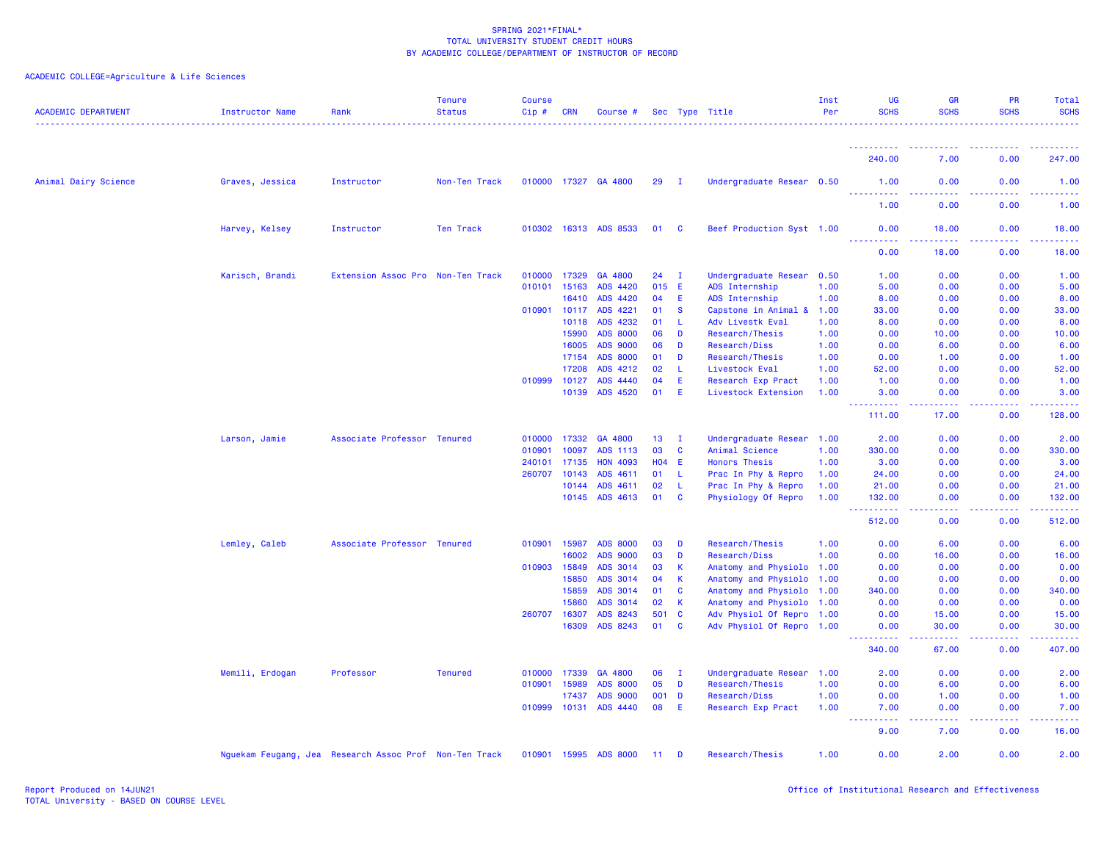| <b>ACADEMIC DEPARTMENT</b> | Instructor Name | Rank                                                   | <b>Tenure</b><br><b>Status</b> | Course<br>Cip# | CRN            | Course #              |                 |              | Sec Type Title                            | Inst<br>Per  | <b>UG</b><br><b>SCHS</b>            | <b>GR</b><br><b>SCHS</b> | PR<br><b>SCHS</b>                            | Total<br><b>SCHS</b><br>. |
|----------------------------|-----------------|--------------------------------------------------------|--------------------------------|----------------|----------------|-----------------------|-----------------|--------------|-------------------------------------------|--------------|-------------------------------------|--------------------------|----------------------------------------------|---------------------------|
|                            |                 |                                                        |                                |                |                |                       |                 |              |                                           |              | <u>.</u>                            |                          | .                                            | .                         |
|                            |                 |                                                        |                                |                |                |                       |                 |              |                                           |              | 240.00                              | 7.00                     | 0.00                                         | 247.00                    |
| Animal Dairy Science       | Graves, Jessica | Instructor                                             | Non-Ten Track                  |                |                | 010000 17327 GA 4800  | 29              | $\mathbf{I}$ | Undergraduate Resear 0.50                 |              | 1.00<br><u> - - - - - - - - - -</u> | 0.00                     | 0.00                                         | 1.00                      |
|                            |                 |                                                        |                                |                |                |                       |                 |              |                                           |              | 1.00                                | 0.00                     | 0.00                                         | 1.00                      |
|                            | Harvey, Kelsey  | Instructor                                             | Ten Track                      |                |                | 010302 16313 ADS 8533 | 01              | <b>C</b>     | Beef Production Syst 1.00                 |              | 0.00<br><u>.</u>                    | 18.00                    | 0.00<br>.                                    | 18.00<br>.                |
|                            |                 |                                                        |                                |                |                |                       |                 |              |                                           |              | 0.00                                | 18.00                    | 0.00                                         | 18.00                     |
|                            | Karisch, Brandi | Extension Assoc Pro Non-Ten Track                      |                                | 010000         | 17329          | GA 4800               | 24              | $\mathbf I$  | Undergraduate Resear 0.50                 |              | 1.00                                | 0.00                     | 0.00                                         | 1.00                      |
|                            |                 |                                                        |                                | 010101         | 15163          | ADS 4420              | 015 E           |              | ADS Internship                            | 1.00         | 5.00                                | 0.00                     | 0.00                                         | 5.00                      |
|                            |                 |                                                        |                                |                | 16410          | ADS 4420              | 04              | Ε            | ADS Internship                            | 1.00         | 8.00                                | 0.00                     | 0.00                                         | 8.00                      |
|                            |                 |                                                        |                                | 010901         | 10117          | ADS 4221              | 01              | <b>S</b>     | Capstone in Animal &                      | 1.00         | 33.00                               | 0.00                     | 0.00                                         | 33.00                     |
|                            |                 |                                                        |                                |                | 10118          | ADS 4232              | 01              | L.           | Adv Livestk Eval                          | 1.00         | 8.00                                | 0.00                     | 0.00                                         | 8.00                      |
|                            |                 |                                                        |                                |                | 15990          | <b>ADS 8000</b>       | 06              | D            | Research/Thesis                           | 1.00         | 0.00                                | 10.00                    | 0.00                                         | 10.00                     |
|                            |                 |                                                        |                                |                | 16005          | <b>ADS 9000</b>       | 06              | D            | Research/Diss                             | 1.00         | 0.00                                | 6.00                     | 0.00                                         | 6.00                      |
|                            |                 |                                                        |                                |                | 17154          | <b>ADS 8000</b>       | 01              | D            | Research/Thesis                           | 1.00         | 0.00                                | 1.00                     | 0.00                                         | 1.00                      |
|                            |                 |                                                        |                                |                | 17208          | ADS 4212              | 02              | <b>L</b>     | Livestock Eval                            | 1.00         | 52.00                               | 0.00                     | 0.00                                         | 52.00                     |
|                            |                 |                                                        |                                | 010999         | 10127<br>10139 | ADS 4440<br>ADS 4520  | 04<br>01        | Ε<br>E       | Research Exp Pract<br>Livestock Extension | 1.00<br>1.00 | 1.00<br>3.00                        | 0.00<br>0.00             | 0.00<br>0.00                                 | 1.00<br>3.00              |
|                            |                 |                                                        |                                |                |                |                       |                 |              |                                           |              | .<br>111.00                         | -----<br>17.00           | <b><i><u><u> - - - -</u></u></i></b><br>0.00 | .<br>128.00               |
|                            | Larson, Jamie   | Associate Professor Tenured                            |                                | 010000         | 17332          | GA 4800               | 13 <sup>°</sup> | $\mathbf{I}$ | Undergraduate Resear 1.00                 |              | 2.00                                | 0.00                     | 0.00                                         | 2.00                      |
|                            |                 |                                                        |                                | 010901         | 10097          | ADS 1113              | 03              | <b>C</b>     | Animal Science                            | 1.00         | 330.00                              | 0.00                     | 0.00                                         | 330.00                    |
|                            |                 |                                                        |                                | 240101         | 17135          | <b>HON 4093</b>       | $H04$ E         |              | <b>Honors Thesis</b>                      | 1.00         | 3.00                                | 0.00                     | 0.00                                         | 3.00                      |
|                            |                 |                                                        |                                | 260707         | 10143          | ADS 4611              | 01              | L.           | Prac In Phy & Repro                       | 1.00         | 24.00                               | 0.00                     | 0.00                                         | 24.00                     |
|                            |                 |                                                        |                                |                | 10144          | ADS 4611              | 02              | -L           | Prac In Phy & Repro                       | 1.00         | 21.00                               | 0.00                     | 0.00                                         | 21.00                     |
|                            |                 |                                                        |                                |                | 10145          | ADS 4613              | 01              | <b>C</b>     | Physiology Of Repro                       | 1.00         | 132.00<br><u>.</u>                  | 0.00<br>.                | 0.00<br>. <b>.</b>                           | 132.00<br>. <u>.</u> .    |
|                            |                 |                                                        |                                |                |                |                       |                 |              |                                           |              | 512.00                              | 0.00                     | 0.00                                         | 512.00                    |
|                            | Lemley, Caleb   | Associate Professor Tenured                            |                                | 010901         | 15987          | <b>ADS 8000</b>       | 03              | D            | <b>Research/Thesis</b>                    | 1.00         | 0.00                                | 6.00                     | 0.00                                         | 6.00                      |
|                            |                 |                                                        |                                |                | 16002          | <b>ADS 9000</b>       | 03              | D            | <b>Research/Diss</b>                      | 1.00         | 0.00                                | 16.00                    | 0.00                                         | 16.00                     |
|                            |                 |                                                        |                                | 010903         | 15849          | ADS 3014              | 03              | K            | Anatomy and Physiolo 1.00                 |              | 0.00                                | 0.00                     | 0.00                                         | 0.00                      |
|                            |                 |                                                        |                                |                | 15850          | ADS 3014              | 04              | K            | Anatomy and Physiolo                      | 1.00         | 0.00                                | 0.00                     | 0.00                                         | 0.00                      |
|                            |                 |                                                        |                                |                | 15859          | ADS 3014              | 01              | <b>C</b>     | Anatomy and Physiolo                      | 1.00         | 340.00                              | 0.00                     | 0.00                                         | 340.00                    |
|                            |                 |                                                        |                                |                | 15860          | ADS 3014              | 02              | К            | Anatomy and Physiolo                      | 1.00         | 0.00                                | 0.00                     | 0.00                                         | 0.00                      |
|                            |                 |                                                        |                                | 260707 16307   |                | ADS 8243              | 501             | <b>C</b>     | Adv Physiol Of Repro 1.00                 |              | 0.00                                | 15.00                    | 0.00                                         | 15.00                     |
|                            |                 |                                                        |                                |                | 16309          | ADS 8243              | 01              | $\mathbf{C}$ | Adv Physiol Of Repro 1.00                 |              | 0.00<br>.                           | 30.00<br>.               | 0.00<br>.                                    | 30.00<br>.                |
|                            |                 |                                                        |                                |                |                |                       |                 |              |                                           |              | 340.00                              | 67.00                    | 0.00                                         | 407.00                    |
|                            | Memili, Erdogan | Professor                                              | <b>Tenured</b>                 | 010000         | 17339          | GA 4800               | 06              | $\mathbf{I}$ | Undergraduate Resear                      | 1.00         | 2.00                                | 0.00                     | 0.00                                         | 2.00                      |
|                            |                 |                                                        |                                | 010901         | 15989          | <b>ADS 8000</b>       | 05              | D            | Research/Thesis                           | 1.00         | 0.00                                | 6.00                     | 0.00                                         | 6.00                      |
|                            |                 |                                                        |                                |                | 17437          | <b>ADS 9000</b>       | 001 D           |              | <b>Research/Diss</b>                      | 1.00         | 0.00                                | 1.00                     | 0.00                                         | 1.00                      |
|                            |                 |                                                        |                                |                | 010999 10131   | ADS 4440              | 08              | E            | Research Exp Pract                        | 1.00         | 7.00<br>.<br>----                   | 0.00<br>.                | 0.00<br>2.2.2.2.2                            | 7.00<br>.                 |
|                            |                 |                                                        |                                |                |                |                       |                 |              |                                           |              | 9.00                                | 7.00                     | 0.00                                         | 16.00                     |
|                            |                 | Nguekam Feugang, Jea Research Assoc Prof Non-Ten Track |                                | 010901 15995   |                | <b>ADS 8000</b>       | 11 <sub>1</sub> | D            | <b>Research/Thesis</b>                    | 1.00         | 0.00                                | 2.00                     | 0.00                                         | 2.00                      |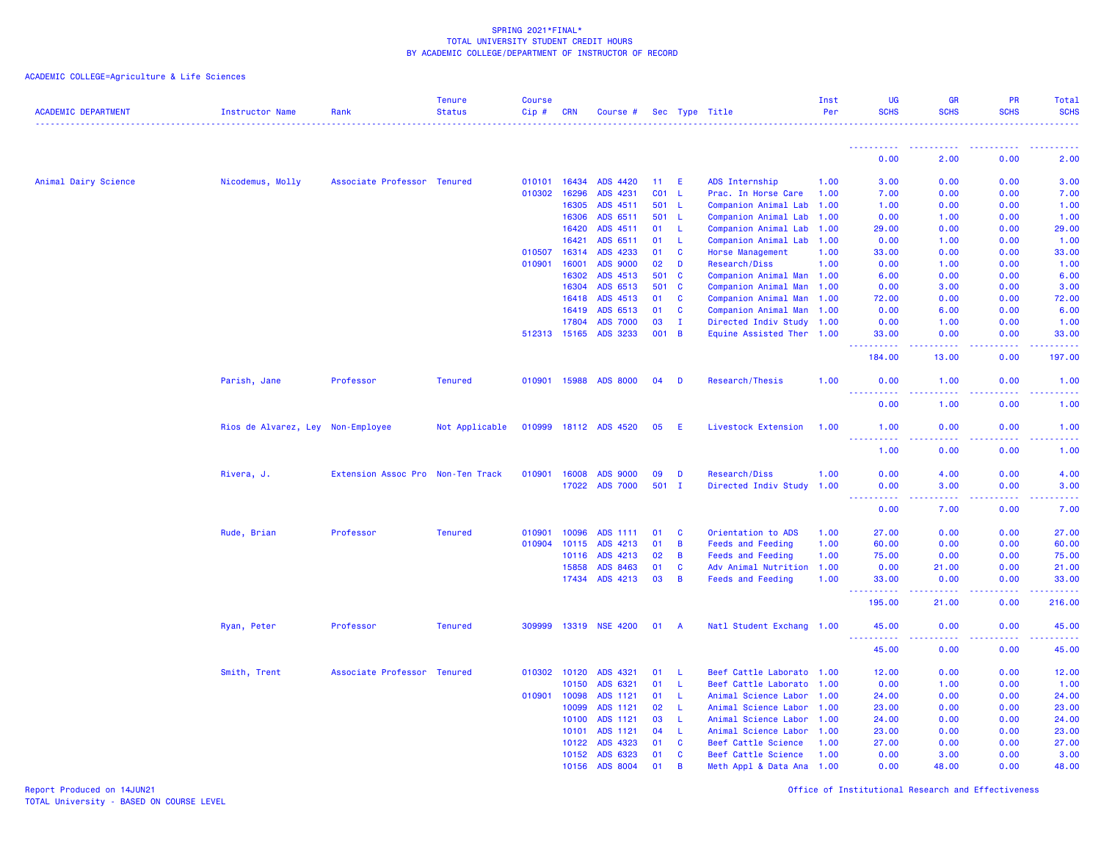ACADEMIC COLLEGE=Agriculture & Life Sciences

| <b>ACADEMIC DEPARTMENT</b> | <b>Instructor Name</b>            | Rank                              | <b>Tenure</b><br><b>Status</b> | <b>Course</b><br>$Cip \#$ | <b>CRN</b> | Course #        |                 |                | Sec Type Title            | Inst<br>Per | UG<br><b>SCHS</b>                                                                                                                                             | <b>GR</b><br><b>SCHS</b>                                                                               | <b>PR</b><br><b>SCHS</b> | Total<br><b>SCHS</b>                                                                                                      |
|----------------------------|-----------------------------------|-----------------------------------|--------------------------------|---------------------------|------------|-----------------|-----------------|----------------|---------------------------|-------------|---------------------------------------------------------------------------------------------------------------------------------------------------------------|--------------------------------------------------------------------------------------------------------|--------------------------|---------------------------------------------------------------------------------------------------------------------------|
|                            |                                   |                                   |                                |                           |            |                 |                 |                |                           |             |                                                                                                                                                               | $\frac{1}{2} \left( \frac{1}{2} \right) \left( \frac{1}{2} \right) \left( \frac{1}{2} \right)$         |                          |                                                                                                                           |
|                            |                                   |                                   |                                |                           |            |                 |                 |                |                           |             | 0.00                                                                                                                                                          | 2.00                                                                                                   | 0.00                     | 2.00                                                                                                                      |
| Animal Dairy Science       | Nicodemus, Molly                  | Associate Professor Tenured       |                                | 010101                    | 16434      | ADS 4420        | 11              | E              | ADS Internship            | 1.00        | 3.00                                                                                                                                                          | 0.00                                                                                                   | 0.00                     | 3.00                                                                                                                      |
|                            |                                   |                                   |                                | 010302                    | 16296      | ADS 4231        | CO <sub>1</sub> | - L            | Prac. In Horse Care       | 1.00        | 7.00                                                                                                                                                          | 0.00                                                                                                   | 0.00                     | 7.00                                                                                                                      |
|                            |                                   |                                   |                                |                           | 16305      | ADS 4511        |                 | 501 L          | Companion Animal Lab      | 1.00        | 1.00                                                                                                                                                          | 0.00                                                                                                   | 0.00                     | 1.00                                                                                                                      |
|                            |                                   |                                   |                                |                           | 16306      | ADS 6511        | 501             | -L             | Companion Animal Lab      | 1.00        | 0.00                                                                                                                                                          | 1.00                                                                                                   | 0.00                     | 1.00                                                                                                                      |
|                            |                                   |                                   |                                |                           | 16420      | ADS 4511        | 01              | L              | Companion Animal Lab      | 1.00        | 29.00                                                                                                                                                         | 0.00                                                                                                   | 0.00                     | 29.00                                                                                                                     |
|                            |                                   |                                   |                                |                           | 16421      | ADS 6511        | 01              | -L             | Companion Animal Lab      | 1.00        | 0.00                                                                                                                                                          | 1.00                                                                                                   | 0.00                     | 1.00                                                                                                                      |
|                            |                                   |                                   |                                | 010507                    | 16314      | ADS 4233        | 01              | C              | Horse Management          | 1.00        | 33.00                                                                                                                                                         | 0.00                                                                                                   | 0.00                     | 33.00                                                                                                                     |
|                            |                                   |                                   |                                | 010901                    | 16001      | <b>ADS 9000</b> | 02              | D              | Research/Diss             | 1.00        | 0.00                                                                                                                                                          | 1.00                                                                                                   | 0.00                     | 1.00                                                                                                                      |
|                            |                                   |                                   |                                |                           | 16302      | ADS 4513        | 501             | <b>C</b>       | Companion Animal Man 1.00 |             | 6.00                                                                                                                                                          | 0.00                                                                                                   | 0.00                     | 6.00                                                                                                                      |
|                            |                                   |                                   |                                |                           | 16304      | ADS 6513        | 501             | <b>C</b>       | Companion Animal Man 1.00 |             | 0.00                                                                                                                                                          | 3.00                                                                                                   | 0.00                     | 3.00                                                                                                                      |
|                            |                                   |                                   |                                |                           | 16418      | ADS 4513        | 01              | C              | Companion Animal Man      | 1.00        | 72.00                                                                                                                                                         | 0.00                                                                                                   | 0.00                     | 72.00                                                                                                                     |
|                            |                                   |                                   |                                |                           | 16419      | ADS 6513        | 01              | C              | Companion Animal Man      | 1.00        | 0.00                                                                                                                                                          | 6.00                                                                                                   | 0.00                     | 6.00                                                                                                                      |
|                            |                                   |                                   |                                |                           | 17804      | <b>ADS 7000</b> | 03              | $\mathbf{I}$   | Directed Indiv Study 1.00 |             | 0.00                                                                                                                                                          | 1.00                                                                                                   | 0.00                     | 1.00                                                                                                                      |
|                            |                                   |                                   |                                | 512313 15165              |            | ADS 3233        | 001             | $\overline{B}$ | Equine Assisted Ther 1.00 |             | 33.00<br><u>.</u><br><b>.</b>                                                                                                                                 | 0.00<br>د د د د                                                                                        | 0.00<br>22222            | 33.00<br>.                                                                                                                |
|                            |                                   |                                   |                                |                           |            |                 |                 |                |                           |             | 184.00                                                                                                                                                        | 13.00                                                                                                  | 0.00                     | 197.00                                                                                                                    |
|                            | Parish, Jane                      | Professor                         | <b>Tenured</b>                 | 010901                    | 15988      | <b>ADS 8000</b> | 04              | D              | Research/Thesis           | 1.00        | 0.00<br>.                                                                                                                                                     | 1.00<br>$\omega$ is $\omega$ in                                                                        | 0.00<br>.                | 1.00<br>المتمامين                                                                                                         |
|                            |                                   |                                   |                                |                           |            |                 |                 |                |                           |             | 0.00                                                                                                                                                          | 1.00                                                                                                   | 0.00                     | 1.00                                                                                                                      |
|                            | Rios de Alvarez, Ley Non-Employee |                                   | Not Applicable                 | 010999                    |            | 18112 ADS 4520  | 05              | E              | Livestock Extension       | 1.00        | 1.00<br><u>.</u>                                                                                                                                              | 0.00<br>$\frac{1}{2} \left( \frac{1}{2} \right) \left( \frac{1}{2} \right) \left( \frac{1}{2} \right)$ | 0.00<br>.                | 1.00<br>المالم عامان                                                                                                      |
|                            |                                   |                                   |                                |                           |            |                 |                 |                |                           |             | 1.00                                                                                                                                                          | 0.00                                                                                                   | 0.00                     | 1.00                                                                                                                      |
|                            | Rivera, J.                        | Extension Assoc Pro Non-Ten Track |                                | 010901                    | 16008      | <b>ADS 9000</b> | 09              | D              | Research/Diss             | 1.00        | 0.00                                                                                                                                                          | 4.00                                                                                                   | 0.00                     | 4.00                                                                                                                      |
|                            |                                   |                                   |                                |                           | 17022      | <b>ADS 7000</b> | 501 I           |                | Directed Indiv Study      | 1.00        | 0.00                                                                                                                                                          | 3.00                                                                                                   | 0.00                     | 3.00                                                                                                                      |
|                            |                                   |                                   |                                |                           |            |                 |                 |                |                           |             | $\frac{1}{2} \left( \frac{1}{2} \right) \left( \frac{1}{2} \right) \left( \frac{1}{2} \right) \left( \frac{1}{2} \right) \left( \frac{1}{2} \right)$<br>- - - | .                                                                                                      | .                        | $\frac{1}{2} \left( \frac{1}{2} \right) \left( \frac{1}{2} \right) \left( \frac{1}{2} \right) \left( \frac{1}{2} \right)$ |
|                            |                                   |                                   |                                |                           |            |                 |                 |                |                           |             | 0.00                                                                                                                                                          | 7.00                                                                                                   | 0.00                     | 7.00                                                                                                                      |
|                            | Rude, Brian                       | Professor                         | <b>Tenured</b>                 | 010901                    | 10096      | ADS 1111        | 01              | C              | Orientation to ADS        | 1.00        | 27.00                                                                                                                                                         | 0.00                                                                                                   | 0.00                     | 27.00                                                                                                                     |
|                            |                                   |                                   |                                | 010904                    | 10115      | ADS 4213        | 01              | B              | <b>Feeds and Feeding</b>  | 1.00        | 60.00                                                                                                                                                         | 0.00                                                                                                   | 0.00                     | 60.00                                                                                                                     |
|                            |                                   |                                   |                                |                           | 10116      | ADS 4213        | 02              | B              | <b>Feeds and Feeding</b>  | 1.00        | 75.00                                                                                                                                                         | 0.00                                                                                                   | 0.00                     | 75.00                                                                                                                     |
|                            |                                   |                                   |                                |                           | 15858      | ADS 8463        | 01              | C              | Adv Animal Nutrition      | 1.00        | 0.00                                                                                                                                                          | 21.00                                                                                                  | 0.00                     | 21.00                                                                                                                     |
|                            |                                   |                                   |                                |                           |            | 17434 ADS 4213  | 03              | B              | <b>Feeds and Feeding</b>  | 1.00        | 33,00<br>.                                                                                                                                                    | 0.00<br>.                                                                                              | 0.00<br>.                | 33.00<br>.                                                                                                                |
|                            |                                   |                                   |                                |                           |            |                 |                 |                |                           |             | 195.00                                                                                                                                                        | 21.00                                                                                                  | 0.00                     | 216.00                                                                                                                    |
|                            | Ryan, Peter                       | Professor                         | <b>Tenured</b>                 | 309999                    | 13319      | <b>NSE 4200</b> | 01              | - A            | Natl Student Exchang 1.00 |             | 45.00<br>222222<br>الماليات                                                                                                                                   | 0.00<br>د د د د                                                                                        | 0.00<br>$- - - - -$      | 45.00<br>.                                                                                                                |
|                            |                                   |                                   |                                |                           |            |                 |                 |                |                           |             | 45.00                                                                                                                                                         | 0.00                                                                                                   | 0.00                     | 45.00                                                                                                                     |
|                            | Smith, Trent                      | Associate Professor               | <b>Tenured</b>                 | 010302                    | 10120      | ADS 4321        | 01              | -L.            | Beef Cattle Laborato 1.00 |             | 12.00                                                                                                                                                         | 0.00                                                                                                   | 0.00                     | 12.00                                                                                                                     |
|                            |                                   |                                   |                                |                           | 10150      | ADS 6321        | 01              | L              | Beef Cattle Laborato      | 1.00        | 0.00                                                                                                                                                          | 1.00                                                                                                   | 0.00                     | 1.00                                                                                                                      |
|                            |                                   |                                   |                                | 010901                    | 10098      | ADS 1121        | 01              | -L             | Animal Science Labor      | 1.00        | 24.00                                                                                                                                                         | 0.00                                                                                                   | 0.00                     | 24.00                                                                                                                     |
|                            |                                   |                                   |                                |                           | 10099      | ADS 1121        | 02              | L              | Animal Science Labor      | 1.00        | 23.00                                                                                                                                                         | 0.00                                                                                                   | 0.00                     | 23.00                                                                                                                     |
|                            |                                   |                                   |                                |                           | 10100      | ADS 1121        | 03              | -L             | Animal Science Labor      | 1.00        | 24.00                                                                                                                                                         | 0.00                                                                                                   | 0.00                     | 24.00                                                                                                                     |
|                            |                                   |                                   |                                |                           | 10101      | ADS 1121        | 04              | L              | Animal Science Labor      | 1.00        | 23.00                                                                                                                                                         | 0.00                                                                                                   | 0.00                     | 23.00                                                                                                                     |
|                            |                                   |                                   |                                |                           | 10122      | ADS 4323        | 01              | C              | Beef Cattle Science       | 1.00        | 27.00                                                                                                                                                         | 0.00                                                                                                   | 0.00                     | 27.00                                                                                                                     |
|                            |                                   |                                   |                                |                           | 10152      | ADS 6323        | 01              | C              | Beef Cattle Science       | 1.00        | 0.00                                                                                                                                                          | 3.00                                                                                                   | 0.00                     | 3.00                                                                                                                      |
|                            |                                   |                                   |                                |                           | 10156      | ADS 8004        | 01              | <b>B</b>       | Meth Appl & Data Ana      | 1.00        | 0.00                                                                                                                                                          | 48.00                                                                                                  | 0.00                     | 48.00                                                                                                                     |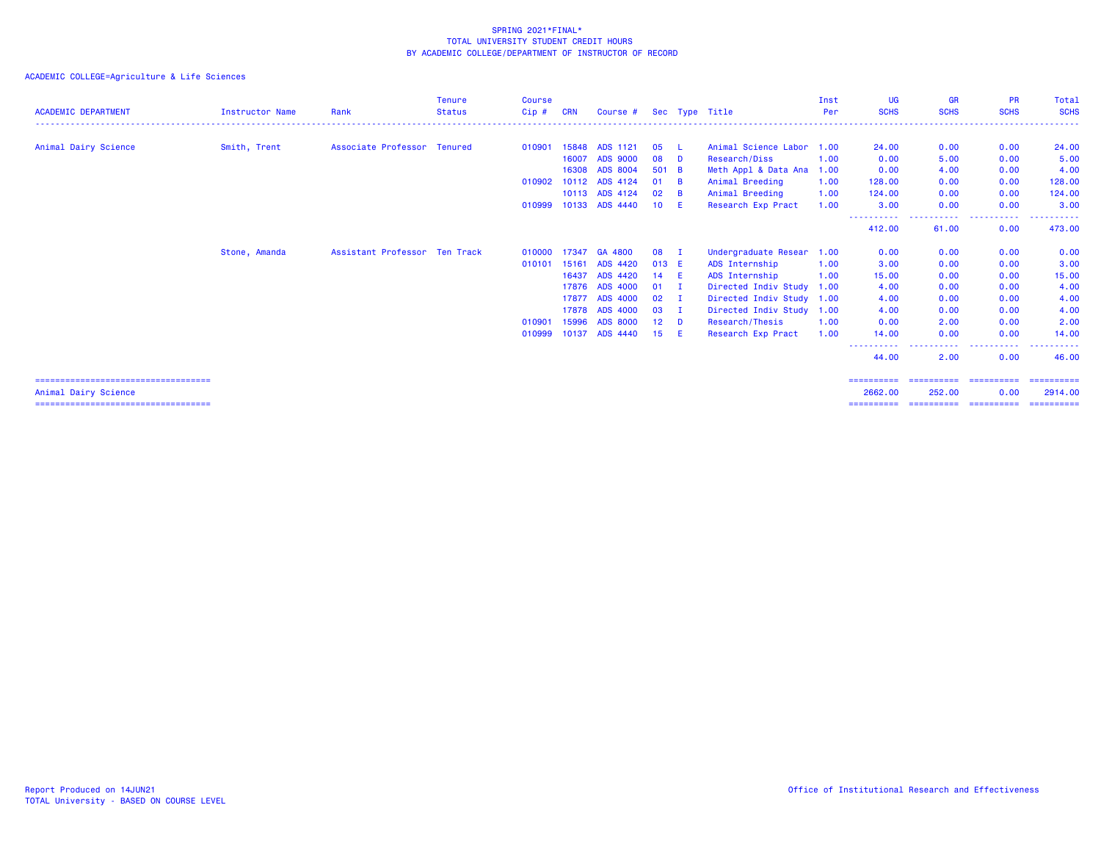## ACADEMIC COLLEGE=Agriculture & Life Sciences

| <b>ACADEMIC DEPARTMENT</b>             | Instructor Name | Rank                          | Tenure<br><b>Status</b> | Course<br>$Cip$ # | <b>CRN</b> | Course #              |        |              | Sec Type Title            | Inst<br>Per | UG<br><b>SCHS</b>    | <b>GR</b><br><b>SCHS</b> | <b>PR</b><br><b>SCHS</b> | Total<br><b>SCHS</b> |
|----------------------------------------|-----------------|-------------------------------|-------------------------|-------------------|------------|-----------------------|--------|--------------|---------------------------|-------------|----------------------|--------------------------|--------------------------|----------------------|
| Animal Dairy Science                   | Smith, Trent    | Associate Professor Tenured   |                         | 010901            |            | 15848 ADS 1121        | 05     | L            | Animal Science Labor      | 1.00        | 24.00                | 0.00                     | 0.00                     | 24.00                |
|                                        |                 |                               |                         |                   | 16007      | <b>ADS 9000</b>       | 08     | $\mathbf{D}$ | Research/Diss             | 1.00        | 0.00                 | 5.00                     | 0.00                     | 5.00                 |
|                                        |                 |                               |                         |                   |            | 16308 ADS 8004        | 501 B  |              |                           |             |                      | 4.00                     | 0.00                     |                      |
|                                        |                 |                               |                         |                   |            |                       |        |              | Meth Appl & Data Ana 1.00 |             | 0.00                 |                          |                          | 4.00                 |
|                                        |                 |                               |                         |                   |            | 010902 10112 ADS 4124 | 01     | <b>B</b>     | Animal Breeding           | 1.00        | 128,00               | 0.00                     | 0.00                     | 128.00               |
|                                        |                 |                               |                         |                   |            | 10113 ADS 4124        | 02     | <b>B</b>     | Animal Breeding           | 1.00        | 124,00               | 0.00                     | 0.00                     | 124.00               |
|                                        |                 |                               |                         |                   |            | 010999 10133 ADS 4440 | 10 E   |              | Research Exp Pract        | 1.00        | 3.00                 | 0.00                     | 0.00                     | 3.00                 |
|                                        |                 |                               |                         |                   |            |                       |        |              |                           |             | ----------<br>412.00 | .<br>61.00               | .<br>$\cdots$<br>0.00    | -------<br>473.00    |
|                                        | Stone, Amanda   | Assistant Professor Ten Track |                         | 010000 17347      |            | GA 4800               | 08     | - 1          | Undergraduate Resear      | 1.00        | 0.00                 | 0.00                     | 0.00                     | 0.00                 |
|                                        |                 |                               |                         | 010101            | 15161      | <b>ADS 4420</b>       | 013 E  |              | ADS Internship            | 1.00        | 3.00                 | 0.00                     | 0.00                     | 3.00                 |
|                                        |                 |                               |                         |                   | 16437      | ADS 4420              | 14 E   |              | ADS Internship            | 1.00        | 15,00                | 0.00                     | 0.00                     | 15.00                |
|                                        |                 |                               |                         |                   | 17876      | <b>ADS 4000</b>       | $01$ I |              | Directed Indiv Study 1.00 |             | 4.00                 | 0.00                     | 0.00                     | 4.00                 |
|                                        |                 |                               |                         |                   | 17877      | <b>ADS 4000</b>       | 02     | - 1          | Directed Indiv Study 1.00 |             | 4.00                 | 0.00                     | 0.00                     | 4.00                 |
|                                        |                 |                               |                         |                   | 17878      | <b>ADS 4000</b>       | 03     | - 1          | Directed Indiv Study 1.00 |             | 4.00                 | 0.00                     | 0.00                     | 4.00                 |
|                                        |                 |                               |                         | 010901            | 15996      | <b>ADS 8000</b>       | 12     | D            | Research/Thesis           | 1.00        | 0.00                 | 2.00                     | 0.00                     | 2.00                 |
|                                        |                 |                               |                         | 010999 10137      |            | <b>ADS 4440</b>       | 15     | - E 1        | Research Exp Pract        | 1.00        | 14,00                | 0.00                     | 0.00                     | 14.00                |
|                                        |                 |                               |                         |                   |            |                       |        |              |                           |             | -----------<br>44.00 | .<br>2.00                | .<br>0.00                | .<br>46.00           |
| ====================================== |                 |                               |                         |                   |            |                       |        |              |                           |             |                      |                          |                          |                      |

Animal Dairy Science 2662.00 252.00 0.00 2914.00 =================================== ========== ========== ========== ==========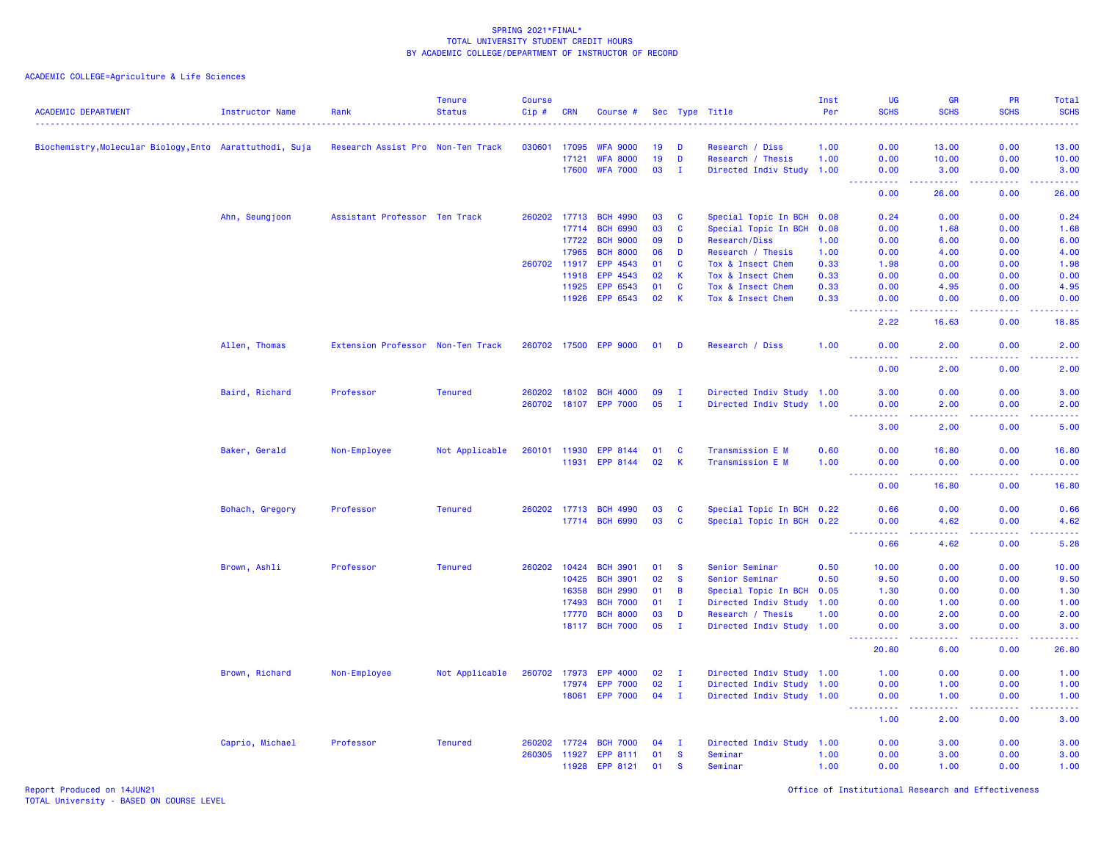| <b>ACADEMIC DEPARTMENT</b>                               | <b>Instructor Name</b> | Rank                              | <b>Tenure</b><br><b>Status</b> | <b>Course</b><br>$Cip$ # | <b>CRN</b>   | Course #              |        |              | Sec Type Title            | Inst<br>Per | UG<br><b>SCHS</b>                                                                                                                                            | <b>GR</b><br><b>SCHS</b>                                                                                                                                      | PR<br><b>SCHS</b>                                                                                                                                            | Total<br><b>SCHS</b>                                                                                                                                          |
|----------------------------------------------------------|------------------------|-----------------------------------|--------------------------------|--------------------------|--------------|-----------------------|--------|--------------|---------------------------|-------------|--------------------------------------------------------------------------------------------------------------------------------------------------------------|---------------------------------------------------------------------------------------------------------------------------------------------------------------|--------------------------------------------------------------------------------------------------------------------------------------------------------------|---------------------------------------------------------------------------------------------------------------------------------------------------------------|
|                                                          |                        |                                   |                                |                          |              |                       |        |              |                           |             |                                                                                                                                                              |                                                                                                                                                               |                                                                                                                                                              |                                                                                                                                                               |
| Biochemistry, Molecular Biology, Ento Aarattuthodi, Suja |                        | Research Assist Pro Non-Ten Track |                                | 030601                   | 17095        | <b>WFA 9000</b>       | 19     | D            | Research / Diss           | 1.00        | 0.00                                                                                                                                                         | 13.00                                                                                                                                                         | 0.00                                                                                                                                                         | 13.00                                                                                                                                                         |
|                                                          |                        |                                   |                                |                          | 17121        | <b>WFA 8000</b>       | 19     | D            | Research / Thesis         | 1.00        | 0.00                                                                                                                                                         | 10.00                                                                                                                                                         | 0.00                                                                                                                                                         | 10.00                                                                                                                                                         |
|                                                          |                        |                                   |                                |                          | 17600        | <b>WFA 7000</b>       | 03     | $\mathbf{I}$ | Directed Indiv Study 1.00 |             | 0.00                                                                                                                                                         | 3.00                                                                                                                                                          | 0.00                                                                                                                                                         | 3.00                                                                                                                                                          |
|                                                          |                        |                                   |                                |                          |              |                       |        |              |                           |             | -----------<br>0.00                                                                                                                                          | .<br>26.00                                                                                                                                                    | $\mathbf{L}^{\prime} = \mathbf{L}^{\prime} + \mathbf{L}^{\prime} + \mathbf{L}^{\prime}$<br>0.00                                                              | $\frac{1}{2} \left( \frac{1}{2} \right) \left( \frac{1}{2} \right) \left( \frac{1}{2} \right) \left( \frac{1}{2} \right) \left( \frac{1}{2} \right)$<br>26.00 |
|                                                          | Ahn, Seungjoon         | Assistant Professor Ten Track     |                                |                          | 260202 17713 | <b>BCH 4990</b>       | 03     | C            | Special Topic In BCH 0.08 |             | 0.24                                                                                                                                                         | 0.00                                                                                                                                                          | 0.00                                                                                                                                                         | 0.24                                                                                                                                                          |
|                                                          |                        |                                   |                                |                          | 17714        | <b>BCH 6990</b>       | 03     | C            | Special Topic In BCH      | 0.08        | 0.00                                                                                                                                                         | 1.68                                                                                                                                                          | 0.00                                                                                                                                                         | 1.68                                                                                                                                                          |
|                                                          |                        |                                   |                                |                          | 17722        | <b>BCH 9000</b>       | 09     | D            | Research/Diss             | 1.00        | 0.00                                                                                                                                                         | 6.00                                                                                                                                                          | 0.00                                                                                                                                                         | 6.00                                                                                                                                                          |
|                                                          |                        |                                   |                                |                          | 17965        | <b>BCH 8000</b>       | 06     | D            | Research / Thesis         | 1.00        | 0.00                                                                                                                                                         | 4.00                                                                                                                                                          | 0.00                                                                                                                                                         | 4.00                                                                                                                                                          |
|                                                          |                        |                                   |                                |                          | 260702 11917 | EPP 4543              | 01     | <b>C</b>     | Tox & Insect Chem         | 0.33        | 1.98                                                                                                                                                         | 0.00                                                                                                                                                          | 0.00                                                                                                                                                         | 1.98                                                                                                                                                          |
|                                                          |                        |                                   |                                |                          | 11918        | EPP 4543              | 02     | К            | Tox & Insect Chem         | 0.33        | 0.00                                                                                                                                                         | 0.00                                                                                                                                                          | 0.00                                                                                                                                                         | 0.00                                                                                                                                                          |
|                                                          |                        |                                   |                                |                          | 11925        | EPP 6543              | 01     | <b>C</b>     | Tox & Insect Chem         | 0.33        | 0.00                                                                                                                                                         | 4.95                                                                                                                                                          | 0.00                                                                                                                                                         | 4.95                                                                                                                                                          |
|                                                          |                        |                                   |                                |                          | 11926        | EPP 6543              | 02     | К            | Tox & Insect Chem         | 0.33        | 0.00<br>$\sim$ $\sim$ $\sim$                                                                                                                                 | 0.00<br>$\sim$ $\sim$ $\sim$                                                                                                                                  | 0.00<br>.                                                                                                                                                    | 0.00                                                                                                                                                          |
|                                                          |                        |                                   |                                |                          |              |                       |        |              |                           |             | 2.22                                                                                                                                                         | 16.63                                                                                                                                                         | 0.00                                                                                                                                                         | $\sim$ $\sim$ $\sim$ $\sim$<br>18.85                                                                                                                          |
|                                                          | Allen, Thomas          | Extension Professor Non-Ten Track |                                |                          |              | 260702 17500 EPP 9000 | 01     | D            | Research / Diss           | 1.00        | 0.00<br>$\frac{1}{2} \left( \frac{1}{2} \right) \left( \frac{1}{2} \right) \left( \frac{1}{2} \right) \left( \frac{1}{2} \right) \left( \frac{1}{2} \right)$ | 2.00<br>المتمامين                                                                                                                                             | 0.00                                                                                                                                                         | 2.00                                                                                                                                                          |
|                                                          |                        |                                   |                                |                          |              |                       |        |              |                           |             | 0.00                                                                                                                                                         | 2.00                                                                                                                                                          | 0.00                                                                                                                                                         | 2.00                                                                                                                                                          |
|                                                          | Baird, Richard         | Professor                         | <b>Tenured</b>                 | 260202                   | 18102        | <b>BCH 4000</b>       | 09     | $\mathbf{I}$ | Directed Indiv Study 1.00 |             | 3.00                                                                                                                                                         | 0.00                                                                                                                                                          | 0.00                                                                                                                                                         | 3.00                                                                                                                                                          |
|                                                          |                        |                                   |                                |                          |              | 260702 18107 EPP 7000 | 05     | $\mathbf{I}$ | Directed Indiv Study 1.00 |             | 0.00                                                                                                                                                         | 2.00                                                                                                                                                          | 0.00                                                                                                                                                         | 2.00                                                                                                                                                          |
|                                                          |                        |                                   |                                |                          |              |                       |        |              |                           |             | بالأباب<br>3.00                                                                                                                                              | $\sim$ $\sim$ $\sim$ $\sim$<br>2.00                                                                                                                           | 0.00                                                                                                                                                         | 5.00                                                                                                                                                          |
|                                                          | Baker, Gerald          | Non-Employee                      | Not Applicable                 |                          | 260101 11930 | EPP 8144              | 01     | C            | Transmission E M          | 0.60        | 0.00                                                                                                                                                         | 16.80                                                                                                                                                         | 0.00                                                                                                                                                         | 16.80                                                                                                                                                         |
|                                                          |                        |                                   |                                |                          | 11931        | EPP 8144              | 02     | K            | Transmission E M          | 1.00        | 0.00                                                                                                                                                         | 0.00                                                                                                                                                          | 0.00                                                                                                                                                         | 0.00                                                                                                                                                          |
|                                                          |                        |                                   |                                |                          |              |                       |        |              |                           |             | <u>.</u><br>0.00                                                                                                                                             | $\frac{1}{2} \left( \frac{1}{2} \right) \left( \frac{1}{2} \right) \left( \frac{1}{2} \right) \left( \frac{1}{2} \right) \left( \frac{1}{2} \right)$<br>16.80 | $\frac{1}{2} \left( \frac{1}{2} \right) \left( \frac{1}{2} \right) \left( \frac{1}{2} \right) \left( \frac{1}{2} \right) \left( \frac{1}{2} \right)$<br>0.00 | <u>.</u><br>16.80                                                                                                                                             |
|                                                          | Bohach, Gregory        | Professor                         | <b>Tenured</b>                 |                          | 260202 17713 | <b>BCH 4990</b>       | 03     | C            | Special Topic In BCH 0.22 |             | 0.66                                                                                                                                                         | 0.00                                                                                                                                                          | 0.00                                                                                                                                                         | 0.66                                                                                                                                                          |
|                                                          |                        |                                   |                                |                          |              | 17714 BCH 6990        | 03     | <b>C</b>     | Special Topic In BCH 0.22 |             | 0.00                                                                                                                                                         | 4.62                                                                                                                                                          | 0.00                                                                                                                                                         | 4.62                                                                                                                                                          |
|                                                          |                        |                                   |                                |                          |              |                       |        |              |                           |             | 22222<br>0.66                                                                                                                                                | .<br>4.62                                                                                                                                                     | .<br>0.00                                                                                                                                                    | وعاماما<br>5.28                                                                                                                                               |
|                                                          | Brown, Ashli           | Professor                         | <b>Tenured</b>                 | 260202                   | 10424        | <b>BCH 3901</b>       | 01     | <b>S</b>     | Senior Seminar            | 0.50        | 10.00                                                                                                                                                        | 0.00                                                                                                                                                          | 0.00                                                                                                                                                         | 10.00                                                                                                                                                         |
|                                                          |                        |                                   |                                |                          | 10425        | <b>BCH 3901</b>       | 02     | <b>S</b>     | Senior Seminar            | 0.50        | 9.50                                                                                                                                                         | 0.00                                                                                                                                                          | 0.00                                                                                                                                                         | 9.50                                                                                                                                                          |
|                                                          |                        |                                   |                                |                          | 16358        | <b>BCH 2990</b>       | 01     | В            | Special Topic In BCH      | 0.05        | 1.30                                                                                                                                                         | 0.00                                                                                                                                                          | 0.00                                                                                                                                                         | 1.30                                                                                                                                                          |
|                                                          |                        |                                   |                                |                          | 17493        | <b>BCH 7000</b>       | 01     | $\mathbf{I}$ | Directed Indiv Study      | 1.00        | 0.00                                                                                                                                                         | 1.00                                                                                                                                                          | 0.00                                                                                                                                                         | 1.00                                                                                                                                                          |
|                                                          |                        |                                   |                                |                          | 17770        | <b>BCH 8000</b>       | 03     | D            | Research / Thesis         | 1.00        | 0.00                                                                                                                                                         | 2.00                                                                                                                                                          | 0.00                                                                                                                                                         | 2.00                                                                                                                                                          |
|                                                          |                        |                                   |                                |                          |              | 18117 BCH 7000        | 05     | $\mathbf{I}$ | Directed Indiv Study 1.00 |             | 0.00<br>.                                                                                                                                                    | 3.00                                                                                                                                                          | 0.00<br>22222                                                                                                                                                | 3.00<br>22222)                                                                                                                                                |
|                                                          |                        |                                   |                                |                          |              |                       |        |              |                           |             | $\frac{1}{2} \left( \frac{1}{2} \right) \frac{1}{2} \left( \frac{1}{2} \right)$<br>20.80                                                                     | الأبالات<br>6.00                                                                                                                                              | 0.00                                                                                                                                                         | 26.80                                                                                                                                                         |
|                                                          | Brown, Richard         | Non-Employee                      | Not Applicable                 | 260702                   | 17973        | <b>EPP 4000</b>       | 02     | $\mathbf{I}$ | Directed Indiv Study 1.00 |             | 1.00                                                                                                                                                         | 0.00                                                                                                                                                          | 0.00                                                                                                                                                         | 1.00                                                                                                                                                          |
|                                                          |                        |                                   |                                |                          | 17974        | <b>EPP 7000</b>       | 02     | $\mathbf{I}$ | Directed Indiv Study 1.00 |             | 0.00                                                                                                                                                         | 1.00                                                                                                                                                          | 0.00                                                                                                                                                         | 1.00                                                                                                                                                          |
|                                                          |                        |                                   |                                |                          | 18061        | <b>EPP 7000</b>       | $04$ I |              | Directed Indiv Study 1.00 |             | 0.00<br>د د د د .                                                                                                                                            | 1.00<br>د د د د                                                                                                                                               | 0.00<br>22222                                                                                                                                                | 1.00<br>$\frac{1}{2} \left( \frac{1}{2} \right) \left( \frac{1}{2} \right) \left( \frac{1}{2} \right)$                                                        |
|                                                          |                        |                                   |                                |                          |              |                       |        |              |                           |             | 1.00                                                                                                                                                         | 2.00                                                                                                                                                          | 0.00                                                                                                                                                         | 3.00                                                                                                                                                          |
|                                                          | Caprio, Michael        | Professor                         | <b>Tenured</b>                 |                          | 260202 17724 | <b>BCH 7000</b>       | 04     | $\mathbf{I}$ | Directed Indiv Study 1.00 |             | 0.00                                                                                                                                                         | 3.00                                                                                                                                                          | 0.00                                                                                                                                                         | 3.00                                                                                                                                                          |
|                                                          |                        |                                   |                                | 260305                   | 11927        | EPP 8111              | 01     | S            | Seminar                   | 1.00        | 0.00                                                                                                                                                         | 3.00                                                                                                                                                          | 0.00                                                                                                                                                         | 3.00                                                                                                                                                          |
|                                                          |                        |                                   |                                |                          | 11928        | EPP 8121              | 01     | S            | Seminar                   | 1.00        | 0.00                                                                                                                                                         | 1.00                                                                                                                                                          | 0.00                                                                                                                                                         | 1.00                                                                                                                                                          |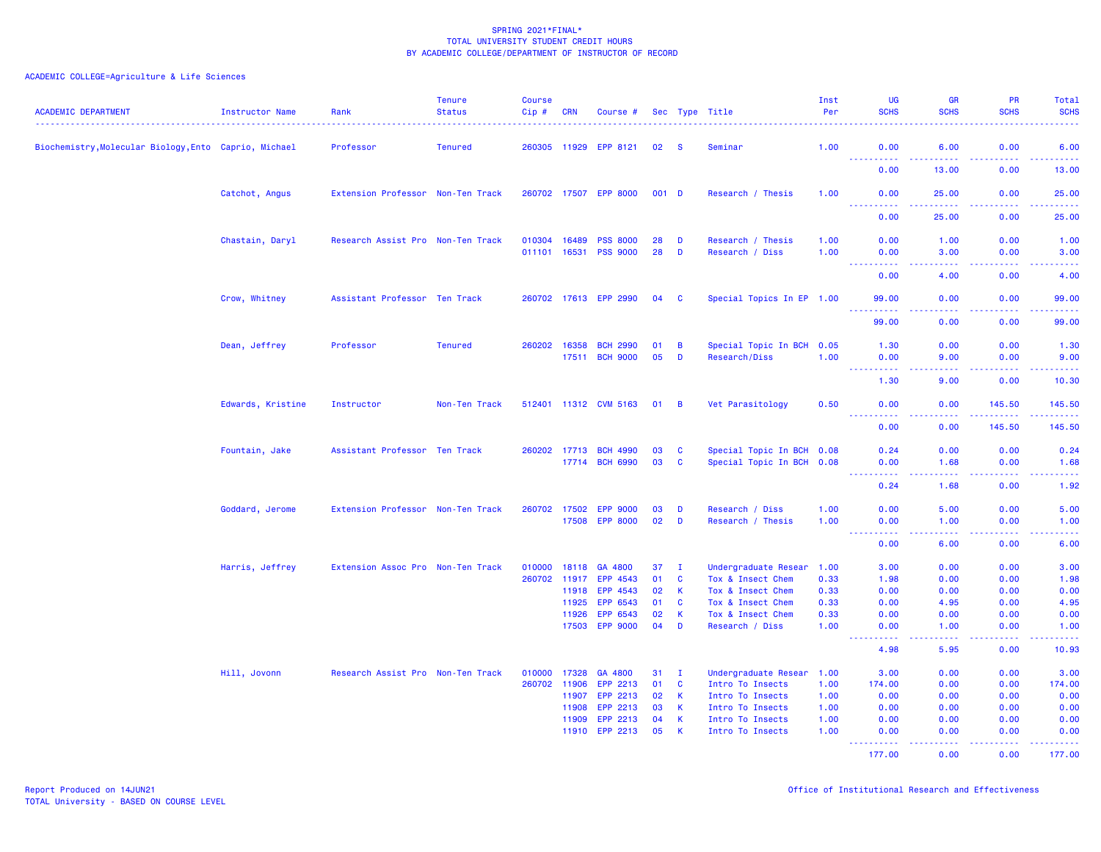| <b>ACADEMIC DEPARTMENT</b>                            | Instructor Name   | Rank                              | <b>Tenure</b><br><b>Status</b> | <b>Course</b><br>Cip# | <b>CRN</b> | Course #              |       |                | Sec Type Title            | Inst<br>Per | <b>UG</b><br><b>SCHS</b>                                                                                                                                     | <b>GR</b><br><b>SCHS</b>                                                                                                          | PR<br><b>SCHS</b>                   | Total<br><b>SCHS</b>                                                                                                                                         |
|-------------------------------------------------------|-------------------|-----------------------------------|--------------------------------|-----------------------|------------|-----------------------|-------|----------------|---------------------------|-------------|--------------------------------------------------------------------------------------------------------------------------------------------------------------|-----------------------------------------------------------------------------------------------------------------------------------|-------------------------------------|--------------------------------------------------------------------------------------------------------------------------------------------------------------|
| Biochemistry, Molecular Biology, Ento Caprio, Michael |                   | Professor                         | <b>Tenured</b>                 | 260305 11929          |            | EPP 8121              | 02    | -S             | Seminar                   | 1.00        | 0.00<br><u> - - - - - - - - - -</u>                                                                                                                          | 6.00<br>.                                                                                                                         | 0.00<br>$\sim$ $\sim$ $\sim$ $\sim$ | 6.00<br>$\frac{1}{2} \left( \frac{1}{2} \right) \left( \frac{1}{2} \right) \left( \frac{1}{2} \right) \left( \frac{1}{2} \right)$                            |
|                                                       |                   |                                   |                                |                       |            |                       |       |                |                           |             | 0.00                                                                                                                                                         | 13.00                                                                                                                             | 0.00                                | 13.00                                                                                                                                                        |
|                                                       | Catchot, Angus    | Extension Professor Non-Ten Track |                                |                       |            | 260702 17507 EPP 8000 | 001 D |                | Research / Thesis         | 1.00        | 0.00<br>22222                                                                                                                                                | 25.00<br>. <u>.</u>                                                                                                               | 0.00<br>$\sim$ $\sim$ $\sim$ $\sim$ | 25.00<br>.                                                                                                                                                   |
|                                                       |                   |                                   |                                |                       |            |                       |       |                |                           |             | 0.00                                                                                                                                                         | 25.00                                                                                                                             | 0.00                                | 25.00                                                                                                                                                        |
|                                                       | Chastain, Daryl   | Research Assist Pro Non-Ten Track |                                | 010304                | 16489      | <b>PSS 8000</b>       | 28    | D              | Research / Thesis         | 1.00        | 0.00                                                                                                                                                         | 1.00                                                                                                                              | 0.00                                | 1.00                                                                                                                                                         |
|                                                       |                   |                                   |                                | 011101 16531          |            | <b>PSS 9000</b>       | 28    | D              | Research / Diss           | 1.00        | 0.00<br><b><i><u>AAAAA</u></i></b>                                                                                                                           | 3.00                                                                                                                              | 0.00                                | 3.00<br>-----                                                                                                                                                |
|                                                       |                   |                                   |                                |                       |            |                       |       |                |                           |             | 0.00                                                                                                                                                         | 4.00                                                                                                                              | 0.00                                | 4.00                                                                                                                                                         |
|                                                       | Crow, Whitney     | Assistant Professor Ten Track     |                                |                       |            | 260702 17613 EPP 2990 | 04    | C              | Special Topics In EP 1.00 |             | 99.00                                                                                                                                                        | 0.00                                                                                                                              | 0.00                                | 99.00<br><u>.</u>                                                                                                                                            |
|                                                       |                   |                                   |                                |                       |            |                       |       |                |                           |             | 99.00                                                                                                                                                        | 0.00                                                                                                                              | 0.00                                | 99.00                                                                                                                                                        |
|                                                       | Dean, Jeffrey     | Professor                         | <b>Tenured</b>                 | 260202                | 16358      | <b>BCH 2990</b>       | 01    | B              | Special Topic In BCH 0.05 |             | 1.30                                                                                                                                                         | 0.00                                                                                                                              | 0.00                                | 1.30                                                                                                                                                         |
|                                                       |                   |                                   |                                |                       | 17511      | <b>BCH 9000</b>       | 05    | D              | Research/Diss             | 1.00        | 0.00<br>$\frac{1}{2} \left( \frac{1}{2} \right) \left( \frac{1}{2} \right) \left( \frac{1}{2} \right) \left( \frac{1}{2} \right) \left( \frac{1}{2} \right)$ | 9.00                                                                                                                              | 0.00<br>والمحامر                    | 9.00<br>2222)                                                                                                                                                |
|                                                       |                   |                                   |                                |                       |            |                       |       |                |                           |             | 1.30                                                                                                                                                         | 9.00                                                                                                                              | 0.00                                | 10.30                                                                                                                                                        |
|                                                       | Edwards, Kristine | Instructor                        | Non-Ten Track                  |                       |            | 512401 11312 CVM 5163 | 01    | $\overline{B}$ | Vet Parasitology          | 0.50        | 0.00                                                                                                                                                         | 0.00                                                                                                                              | 145.50<br>.                         | 145.50<br>$\begin{array}{cccccccccc} \bot & \bot & \bot & \bot & \bot & \bot \end{array}$                                                                    |
|                                                       |                   |                                   |                                |                       |            |                       |       |                |                           |             | <b><i><u></u></i></b><br>0.00                                                                                                                                | .<br>0.00                                                                                                                         | 145.50                              | 145.50                                                                                                                                                       |
|                                                       | Fountain, Jake    | Assistant Professor Ten Track     |                                | 260202                | 17713      | <b>BCH 4990</b>       | 03    | C              | Special Topic In BCH 0.08 |             | 0.24                                                                                                                                                         | 0.00                                                                                                                              | 0.00                                | 0.24                                                                                                                                                         |
|                                                       |                   |                                   |                                |                       | 17714      | <b>BCH 6990</b>       | 03    | $\mathbf{C}$   | Special Topic In BCH 0.08 |             | 0.00<br>.<br>$\frac{1}{2} \left( \frac{1}{2} \right) \left( \frac{1}{2} \right) \left( \frac{1}{2} \right)$                                                  | 1.68<br>.                                                                                                                         | 0.00<br>المتمامين                   | 1.68<br>$\omega$ is $\omega$ in $\omega$                                                                                                                     |
|                                                       |                   |                                   |                                |                       |            |                       |       |                |                           |             | 0.24                                                                                                                                                         | 1.68                                                                                                                              | 0.00                                | 1.92                                                                                                                                                         |
|                                                       | Goddard, Jerome   | Extension Professor Non-Ten Track |                                | 260702                | 17502      | <b>EPP 9000</b>       | 03    | D              | Research / Diss           | 1.00        | 0.00                                                                                                                                                         | 5.00                                                                                                                              | 0.00                                | 5.00                                                                                                                                                         |
|                                                       |                   |                                   |                                |                       | 17508      | <b>EPP 8000</b>       | 02    | $\overline{D}$ | Research / Thesis         | 1.00        | 0.00<br>.                                                                                                                                                    | 1.00                                                                                                                              | 0.00<br>.                           | 1.00<br>22222                                                                                                                                                |
|                                                       |                   |                                   |                                |                       |            |                       |       |                |                           |             | $\sim$ $\sim$ $\sim$ $\sim$<br>0.00                                                                                                                          | .<br>6.00                                                                                                                         | 0.00                                | 6.00                                                                                                                                                         |
|                                                       | Harris, Jeffrey   | Extension Assoc Pro Non-Ten Track |                                | 010000                | 18118      | GA 4800               | 37    | п.             | Undergraduate Resear      | 1.00        | 3.00                                                                                                                                                         | 0.00                                                                                                                              | 0.00                                | 3.00                                                                                                                                                         |
|                                                       |                   |                                   |                                | 260702                | 11917      | EPP 4543              | 01    | <b>C</b>       | Tox & Insect Chem         | 0.33        | 1.98                                                                                                                                                         | 0.00                                                                                                                              | 0.00                                | 1.98                                                                                                                                                         |
|                                                       |                   |                                   |                                |                       | 11918      | EPP 4543              | 02    | K              | Tox & Insect Chem         | 0.33        | 0.00                                                                                                                                                         | 0.00                                                                                                                              | 0.00                                | 0.00                                                                                                                                                         |
|                                                       |                   |                                   |                                |                       | 11925      | EPP 6543              | 01    | C              | Tox & Insect Chem         | 0.33        | 0.00                                                                                                                                                         | 4.95                                                                                                                              | 0.00                                | 4.95                                                                                                                                                         |
|                                                       |                   |                                   |                                |                       | 11926      | EPP 6543              | 02    | K              | Tox & Insect Chem         | 0.33        | 0.00                                                                                                                                                         | 0.00                                                                                                                              | 0.00                                | 0.00                                                                                                                                                         |
|                                                       |                   |                                   |                                |                       | 17503      | <b>EPP 9000</b>       | 04    | D              | Research / Diss           | 1.00        | 0.00<br>.                                                                                                                                                    | 1.00<br>$\frac{1}{2} \left( \frac{1}{2} \right) \left( \frac{1}{2} \right) \left( \frac{1}{2} \right) \left( \frac{1}{2} \right)$ | 0.00<br>.                           | 1.00<br>$\frac{1}{2} \left( \frac{1}{2} \right) \left( \frac{1}{2} \right) \left( \frac{1}{2} \right) \left( \frac{1}{2} \right) \left( \frac{1}{2} \right)$ |
|                                                       |                   |                                   |                                |                       |            |                       |       |                |                           |             | 4.98                                                                                                                                                         | 5.95                                                                                                                              | 0.00                                | 10.93                                                                                                                                                        |
|                                                       | Hill, Jovonn      | Research Assist Pro Non-Ten Track |                                | 010000                | 17328      | GA 4800               | 31    | T              | Undergraduate Resear      | 1.00        | 3.00                                                                                                                                                         | 0.00                                                                                                                              | 0.00                                | 3.00                                                                                                                                                         |
|                                                       |                   |                                   |                                | 260702                | 11906      | EPP 2213              | 01    | C              | Intro To Insects          | 1.00        | 174.00                                                                                                                                                       | 0.00                                                                                                                              | 0.00                                | 174.00                                                                                                                                                       |
|                                                       |                   |                                   |                                |                       | 11907      | EPP 2213              | 02    | K              | Intro To Insects          | 1.00        | 0.00                                                                                                                                                         | 0.00                                                                                                                              | 0.00                                | 0.00                                                                                                                                                         |
|                                                       |                   |                                   |                                |                       | 11908      | EPP 2213              | 03    | K              | Intro To Insects          | 1.00        | 0.00                                                                                                                                                         | 0.00                                                                                                                              | 0.00                                | 0.00                                                                                                                                                         |
|                                                       |                   |                                   |                                |                       | 11909      | EPP 2213              | 04    | K              | Intro To Insects          | 1.00        | 0.00                                                                                                                                                         | 0.00                                                                                                                              | 0.00                                | 0.00                                                                                                                                                         |
|                                                       |                   |                                   |                                |                       | 11910      | EPP 2213              | 05    | K              | Intro To Insects          | 1.00        | 0.00<br><u>.</u>                                                                                                                                             | 0.00<br>.                                                                                                                         | 0.00<br>.                           | 0.00<br>222222                                                                                                                                               |
|                                                       |                   |                                   |                                |                       |            |                       |       |                |                           |             | 177.00                                                                                                                                                       | 0.00                                                                                                                              | 0.00                                | 177.00                                                                                                                                                       |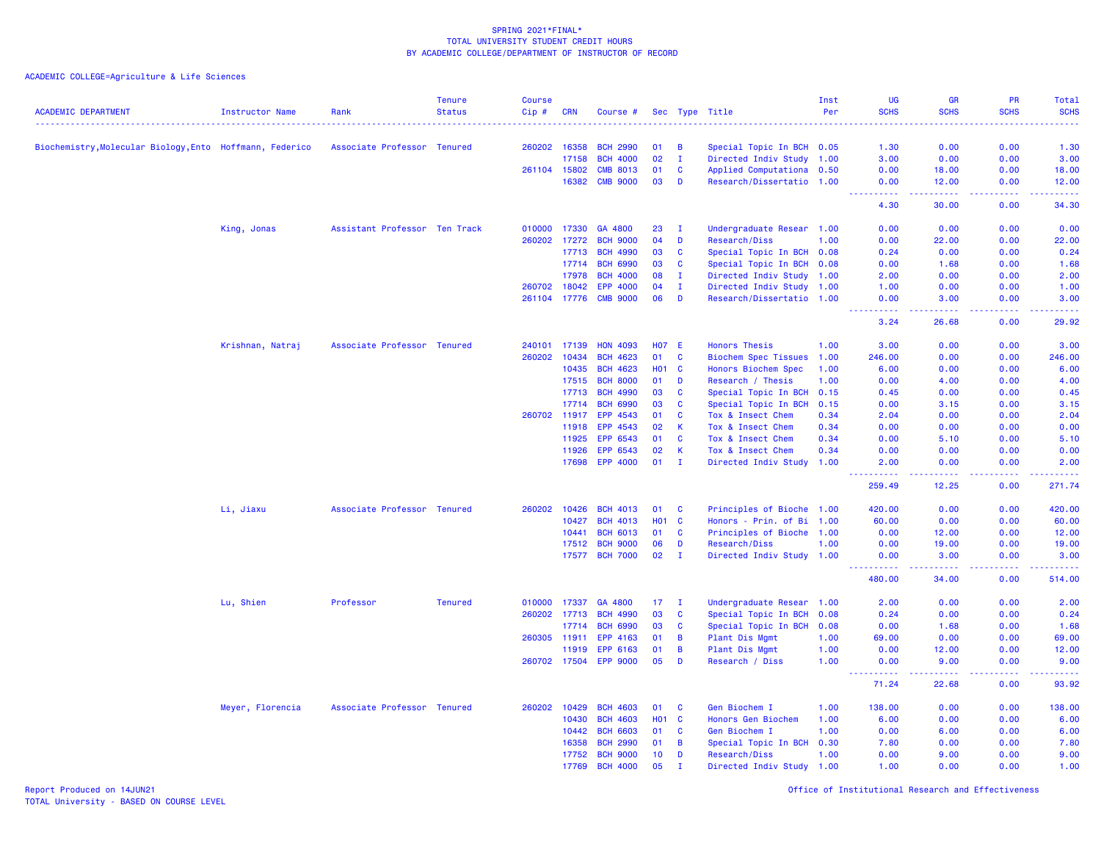ACADEMIC COLLEGE=Agriculture & Life Sciences

| <b>ACADEMIC DEPARTMENT</b>                               | <b>Instructor Name</b> | Rank                          | <b>Tenure</b><br><b>Status</b> | Course<br>Cip# | <b>CRN</b> | Course #        |            |              | Sec Type Title              | Inst<br>Per | <b>UG</b><br><b>SCHS</b> | <b>GR</b><br><b>SCHS</b> | PR<br><b>SCHS</b> | Total<br><b>SCHS</b>                                                                                                                    |
|----------------------------------------------------------|------------------------|-------------------------------|--------------------------------|----------------|------------|-----------------|------------|--------------|-----------------------------|-------------|--------------------------|--------------------------|-------------------|-----------------------------------------------------------------------------------------------------------------------------------------|
|                                                          |                        |                               |                                |                |            |                 |            |              |                             |             |                          |                          |                   | وعاعاها                                                                                                                                 |
| Biochemistry, Molecular Biology, Ento Hoffmann, Federico |                        | Associate Professor Tenured   |                                | 260202 16358   |            | <b>BCH 2990</b> | 01         | B            | Special Topic In BCH 0.05   |             | 1.30                     | 0.00                     | 0.00              | 1.30                                                                                                                                    |
|                                                          |                        |                               |                                |                | 17158      | <b>BCH 4000</b> | 02         | $\mathbf{I}$ | Directed Indiv Study 1.00   |             | 3.00                     | 0.00                     | 0.00              | 3.00                                                                                                                                    |
|                                                          |                        |                               |                                | 261104 15802   |            | <b>CMB 8013</b> | 01         | C            | Applied Computationa 0.50   |             | 0.00                     | 18.00                    | 0.00              | 18.00                                                                                                                                   |
|                                                          |                        |                               |                                |                | 16382      | <b>CMB 9000</b> | 03         | D            | Research/Dissertatio 1.00   |             | 0.00                     | 12.00                    | 0.00              | 12.00                                                                                                                                   |
|                                                          |                        |                               |                                |                |            |                 |            |              |                             |             | 4.30                     | 30.00                    | 0.00              | 34.30                                                                                                                                   |
|                                                          | King, Jonas            | Assistant Professor Ten Track |                                | 010000         | 17330      | GA 4800         | 23         | $\mathbf{I}$ | Undergraduate Resear 1.00   |             | 0.00                     | 0.00                     | 0.00              | 0.00                                                                                                                                    |
|                                                          |                        |                               |                                | 260202 17272   |            | <b>BCH 9000</b> | 04         | D            | Research/Diss               | 1.00        | 0.00                     | 22.00                    | 0.00              | 22.00                                                                                                                                   |
|                                                          |                        |                               |                                |                | 17713      | <b>BCH 4990</b> | 03         | C            | Special Topic In BCH 0.08   |             | 0.24                     | 0.00                     | 0.00              | 0.24                                                                                                                                    |
|                                                          |                        |                               |                                |                | 17714      | <b>BCH 6990</b> | 03         | C            | Special Topic In BCH 0.08   |             | 0.00                     | 1.68                     | 0.00              | 1.68                                                                                                                                    |
|                                                          |                        |                               |                                |                | 17978      | <b>BCH 4000</b> | 08         | $\mathbf{I}$ | Directed Indiv Study 1.00   |             | 2.00                     | 0.00                     | 0.00              | 2.00                                                                                                                                    |
|                                                          |                        |                               |                                | 260702         | 18042      | EPP 4000        | 04         | $\mathbf{I}$ | Directed Indiv Study 1.00   |             | 1.00                     | 0.00                     | 0.00              | 1.00                                                                                                                                    |
|                                                          |                        |                               |                                | 261104 17776   |            | <b>CMB 9000</b> | 06         | D            | Research/Dissertatio 1.00   |             | 0.00<br>----------       | 3.00<br>22222            | 0.00<br>22222     | 3.00<br>.                                                                                                                               |
|                                                          |                        |                               |                                |                |            |                 |            |              |                             |             | 3.24                     | 26.68                    | 0.00              | 29.92                                                                                                                                   |
|                                                          | Krishnan, Natraj       | Associate Professor Tenured   |                                | 240101         | 17139      | <b>HON 4093</b> | <b>HO7</b> | -E           | <b>Honors Thesis</b>        | 1.00        | 3.00                     | 0.00                     | 0.00              | 3.00                                                                                                                                    |
|                                                          |                        |                               |                                | 260202         | 10434      | <b>BCH 4623</b> | 01         | C            | <b>Biochem Spec Tissues</b> | 1.00        | 246.00                   | 0.00                     | 0.00              | 246.00                                                                                                                                  |
|                                                          |                        |                               |                                |                | 10435      | <b>BCH 4623</b> | <b>HO1</b> | <b>C</b>     | Honors Biochem Spec         | 1.00        | 6.00                     | 0.00                     | 0.00              | 6.00                                                                                                                                    |
|                                                          |                        |                               |                                |                | 17515      | <b>BCH 8000</b> | 01         | D            | Research / Thesis           | 1.00        | 0.00                     | 4.00                     | 0.00              | 4.00                                                                                                                                    |
|                                                          |                        |                               |                                |                | 17713      | <b>BCH 4990</b> | 03         | C            | Special Topic In BCH        | 0.15        | 0.45                     | 0.00                     | 0.00              | 0.45                                                                                                                                    |
|                                                          |                        |                               |                                |                | 17714      | <b>BCH 6990</b> | 03         | C            | Special Topic In BCH        | 0.15        | 0.00                     | 3.15                     | 0.00              | 3.15                                                                                                                                    |
|                                                          |                        |                               |                                | 260702 11917   |            | EPP 4543        | 01         | C            | Tox & Insect Chem           | 0.34        | 2.04                     | 0.00                     | 0.00              | 2.04                                                                                                                                    |
|                                                          |                        |                               |                                |                | 11918      | EPP 4543        | 02         | К            | Tox & Insect Chem           | 0.34        | 0.00                     | 0.00                     | 0.00              | 0.00                                                                                                                                    |
|                                                          |                        |                               |                                |                | 11925      | EPP 6543        | 01         | C            | Tox & Insect Chem           | 0.34        | 0.00                     | 5.10                     | 0.00              | 5.10                                                                                                                                    |
|                                                          |                        |                               |                                |                | 11926      | EPP 6543        | 02         | K            | Tox & Insect Chem           | 0.34        | 0.00                     | 0.00                     | 0.00              | 0.00                                                                                                                                    |
|                                                          |                        |                               |                                |                | 17698      | EPP 4000        | 01         | $\mathbf{I}$ | Directed Indiv Study        | 1.00        | 2.00<br>22222            | 0.00<br>.                | 0.00<br>22222     | 2.00<br>$\mathcal{L}^{\mathcal{L}}\mathcal{L}^{\mathcal{L}}\mathcal{L}^{\mathcal{L}}\mathcal{L}^{\mathcal{L}}\mathcal{L}^{\mathcal{L}}$ |
|                                                          |                        |                               |                                |                |            |                 |            |              |                             |             | 259.49                   | 12.25                    | 0.00              | 271.74                                                                                                                                  |
|                                                          | Li, Jiaxu              | Associate Professor Tenured   |                                | 260202         | 10426      | <b>BCH 4013</b> | 01         | <b>C</b>     | Principles of Bioche 1.00   |             | 420.00                   | 0.00                     | 0.00              | 420.00                                                                                                                                  |
|                                                          |                        |                               |                                |                | 10427      | <b>BCH 4013</b> | <b>HO1</b> | <b>C</b>     | Honors - Prin. of Bi 1.00   |             | 60.00                    | 0.00                     | 0.00              | 60.00                                                                                                                                   |
|                                                          |                        |                               |                                |                | 10441      | <b>BCH 6013</b> | 01         | C            | Principles of Bioche 1.00   |             | 0.00                     | 12.00                    | 0.00              | 12.00                                                                                                                                   |
|                                                          |                        |                               |                                |                | 17512      | <b>BCH 9000</b> | 06         | D            | Research/Diss               | 1.00        | 0.00                     | 19.00                    | 0.00              | 19.00                                                                                                                                   |
|                                                          |                        |                               |                                |                | 17577      | <b>BCH 7000</b> | 02         | $\mathbf{I}$ | Directed Indiv Study 1.00   |             | 0.00                     | 3.00<br>.                | 0.00              | 3.00                                                                                                                                    |
|                                                          |                        |                               |                                |                |            |                 |            |              |                             |             | 480.00                   | 34.00                    | 0.00              | 514.00                                                                                                                                  |
|                                                          | Lu, Shien              | Professor                     | <b>Tenured</b>                 | 010000         | 17337      | GA 4800         | 17         | $\mathbf{I}$ | Undergraduate Resear 1.00   |             | 2.00                     | 0.00                     | 0.00              | 2.00                                                                                                                                    |
|                                                          |                        |                               |                                | 260202 17713   |            | <b>BCH 4990</b> | 03         | C            | Special Topic In BCH 0.08   |             | 0.24                     | 0.00                     | 0.00              | 0.24                                                                                                                                    |
|                                                          |                        |                               |                                |                | 17714      | <b>BCH 6990</b> | 03         | C            | Special Topic In BCH        | 0.08        | 0.00                     | 1.68                     | 0.00              | 1.68                                                                                                                                    |
|                                                          |                        |                               |                                | 260305         | 11911      | EPP 4163        | 01         | B            | Plant Dis Mgmt              | 1.00        | 69.00                    | 0.00                     | 0.00              | 69.00                                                                                                                                   |
|                                                          |                        |                               |                                |                | 11919      | EPP 6163        | 01         | B            | Plant Dis Mgmt              | 1.00        | 0.00                     | 12.00                    | 0.00              | 12.00                                                                                                                                   |
|                                                          |                        |                               |                                | 260702 17504   |            | <b>EPP 9000</b> | 05         | D            | Research / Diss             | 1.00        | 0.00<br>.                | 9.00<br>.                | 0.00<br>.         | 9.00<br>المتمامين                                                                                                                       |
|                                                          |                        |                               |                                |                |            |                 |            |              |                             |             | 71.24                    | 22.68                    | 0.00              | 93.92                                                                                                                                   |
|                                                          | Meyer, Florencia       | Associate Professor Tenured   |                                | 260202         | 10429      | <b>BCH 4603</b> | 01         | C            | Gen Biochem I               | 1.00        | 138.00                   | 0.00                     | 0.00              | 138.00                                                                                                                                  |
|                                                          |                        |                               |                                |                | 10430      | <b>BCH 4603</b> | <b>HO1</b> | <b>C</b>     | Honors Gen Biochem          | 1.00        | 6.00                     | 0.00                     | 0.00              | 6.00                                                                                                                                    |
|                                                          |                        |                               |                                |                | 10442      | <b>BCH 6603</b> | 01         | C            | Gen Biochem I               | 1.00        | 0.00                     | 6.00                     | 0.00              | 6.00                                                                                                                                    |
|                                                          |                        |                               |                                |                | 16358      | <b>BCH 2990</b> | 01         | B            | Special Topic In BCH        | 0.30        | 7.80                     | 0.00                     | 0.00              | 7.80                                                                                                                                    |
|                                                          |                        |                               |                                |                | 17752      | <b>BCH 9000</b> | 10         | D            | Research/Diss               | 1.00        | 0.00                     | 9.00                     | 0.00              | 9.00                                                                                                                                    |
|                                                          |                        |                               |                                |                | 17769      | <b>BCH 4000</b> | 05         | $\mathbf{I}$ | Directed Indiv Study 1.00   |             | 1.00                     | 0.00                     | 0.00              | 1.00                                                                                                                                    |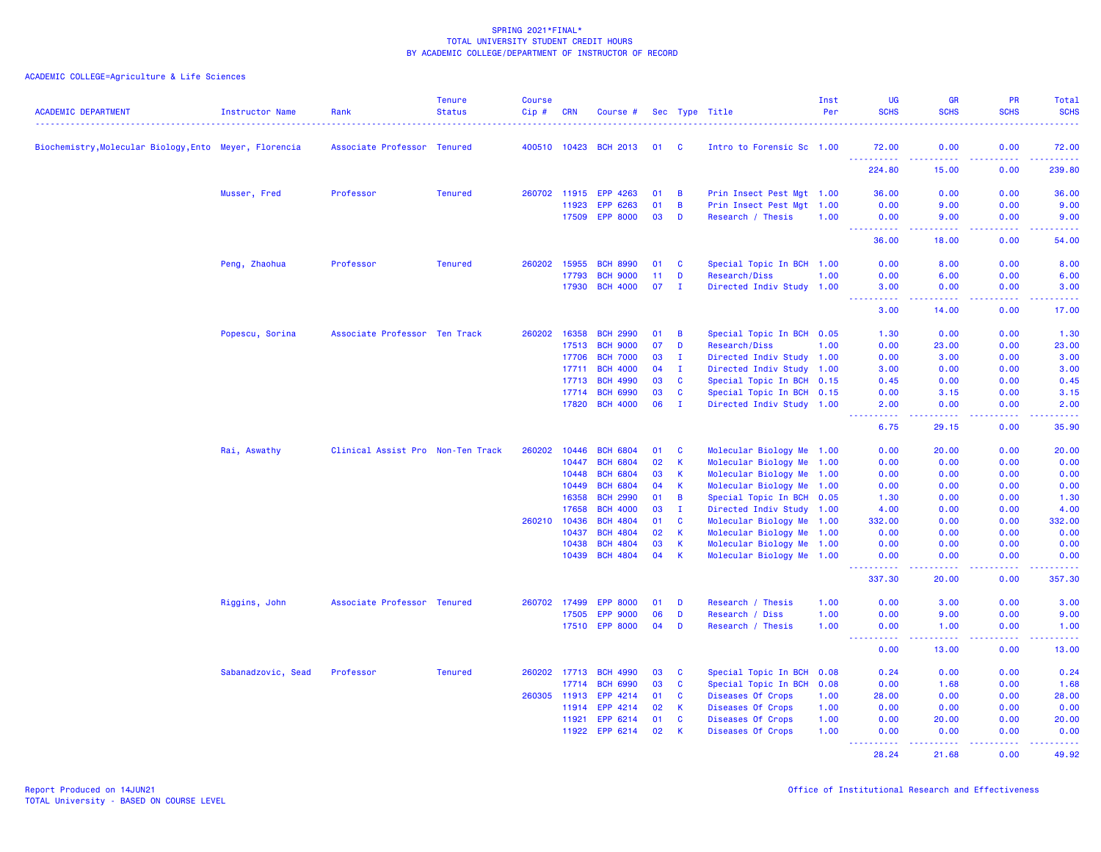| <b>ACADEMIC DEPARTMENT</b>                             | Instructor Name    | Rank                              | <b>Tenure</b><br><b>Status</b> | <b>Course</b><br>$Cip$ # | CRN            | Course #                           |          |                   | Sec Type Title                                         | Inst<br>Per | <b>LIG</b><br><b>SCHS</b>                      | <b>GR</b><br><b>SCHS</b>                                                                                                                                      | PR<br><b>SCHS</b> | <b>Total</b><br><b>SCHS</b>                                                                                                       |
|--------------------------------------------------------|--------------------|-----------------------------------|--------------------------------|--------------------------|----------------|------------------------------------|----------|-------------------|--------------------------------------------------------|-------------|------------------------------------------------|---------------------------------------------------------------------------------------------------------------------------------------------------------------|-------------------|-----------------------------------------------------------------------------------------------------------------------------------|
| Biochemistry, Molecular Biology, Ento Meyer, Florencia |                    | Associate Professor Tenured       |                                |                          | 400510 10423   | <b>BCH 2013</b>                    | 01 C     |                   | Intro to Forensic Sc 1.00                              |             | 72.00                                          | 0.00                                                                                                                                                          | 0.00              | 72.00                                                                                                                             |
|                                                        |                    |                                   |                                |                          |                |                                    |          |                   |                                                        |             | <u>.</u><br>224.80                             | <b><i><u><u>.</u></u></i></b><br>15.00                                                                                                                        | .<br>0.00         | <u>.</u><br>239.80                                                                                                                |
|                                                        | Musser, Fred       | Professor                         | <b>Tenured</b>                 |                          |                | 260702 11915 EPP 4263              | 01       | B                 | Prin Insect Pest Mgt 1.00                              |             | 36.00                                          | 0.00                                                                                                                                                          | 0.00              | 36.00                                                                                                                             |
|                                                        |                    |                                   |                                |                          | 11923          | EPP 6263                           | 01       | B                 | Prin Insect Pest Mgt 1.00                              |             | 0.00                                           | 9.00                                                                                                                                                          | 0.00              | 9.00                                                                                                                              |
|                                                        |                    |                                   |                                |                          | 17509          | <b>EPP 8000</b>                    | 03       | D                 | Research / Thesis                                      | 1.00        | 0.00<br><b><i><u><u> - - - - -</u></u></i></b> | 9.00<br>د د د د                                                                                                                                               | 0.00              | 9.00                                                                                                                              |
|                                                        |                    |                                   |                                |                          |                |                                    |          |                   |                                                        |             | 36.00                                          | 18.00                                                                                                                                                         | 0.00              | 54.00                                                                                                                             |
|                                                        | Peng, Zhaohua      | Professor                         | <b>Tenured</b>                 | 260202                   | 15955          | <b>BCH 8990</b>                    | 01       | C                 | Special Topic In BCH 1.00                              |             | 0.00                                           | 8.00                                                                                                                                                          | 0.00              | 8.00                                                                                                                              |
|                                                        |                    |                                   |                                |                          | 17793          | <b>BCH 9000</b>                    | 11       | D                 | Research/Diss                                          | 1.00        | 0.00                                           | 6.00                                                                                                                                                          | 0.00              | 6.00                                                                                                                              |
|                                                        |                    |                                   |                                |                          | 17930          | <b>BCH 4000</b>                    | 07       | $\mathbf I$       | Directed Indiv Study 1.00                              |             | 3.00<br>.                                      | 0.00<br>.                                                                                                                                                     | 0.00<br>.         | 3.00<br>$\frac{1}{2} \left( \frac{1}{2} \right) \left( \frac{1}{2} \right) \left( \frac{1}{2} \right) \left( \frac{1}{2} \right)$ |
|                                                        |                    |                                   |                                |                          |                |                                    |          |                   |                                                        |             | 3.00                                           | 14.00                                                                                                                                                         | 0.00              | 17.00                                                                                                                             |
|                                                        | Popescu, Sorina    | Associate Professor Ten Track     |                                | 260202                   | 16358          | <b>BCH 2990</b>                    | 01       | B                 | Special Topic In BCH 0.05                              |             | 1.30                                           | 0.00                                                                                                                                                          | 0.00              | 1.30                                                                                                                              |
|                                                        |                    |                                   |                                |                          | 17513          | <b>BCH 9000</b>                    | 07       | D                 | Research/Diss                                          | 1.00        | 0.00                                           | 23.00                                                                                                                                                         | 0.00              | 23.00                                                                                                                             |
|                                                        |                    |                                   |                                |                          | 17706          | <b>BCH 7000</b>                    | 03       | Ι.                | Directed Indiv Study 1.00                              |             | 0.00                                           | 3.00                                                                                                                                                          | 0.00              | 3.00                                                                                                                              |
|                                                        |                    |                                   |                                |                          | 17711          | <b>BCH 4000</b>                    | 04       | $\mathbf{I}$      | Directed Indiv Study 1.00                              |             | 3.00                                           | 0.00                                                                                                                                                          | 0.00              | 3.00                                                                                                                              |
|                                                        |                    |                                   |                                |                          | 17713          | <b>BCH 4990</b>                    | 03       | <b>C</b>          | Special Topic In BCH 0.15                              |             | 0.45                                           | 0.00                                                                                                                                                          | 0.00              | 0.45                                                                                                                              |
|                                                        |                    |                                   |                                |                          | 17714          | <b>BCH 6990</b>                    | 03       | C                 | Special Topic In BCH 0.15                              |             | 0.00                                           | 3.15                                                                                                                                                          | 0.00              | 3.15                                                                                                                              |
|                                                        |                    |                                   |                                |                          | 17820          | <b>BCH 4000</b>                    | 06       | $\mathbf{I}$      | Directed Indiv Study 1.00                              |             | 2.00<br>بالمحام                                | 0.00<br>.                                                                                                                                                     | 0.00<br>د د د د   | 2.00<br>والمستحيل                                                                                                                 |
|                                                        |                    |                                   |                                |                          |                |                                    |          |                   |                                                        |             | 6.75                                           | 29.15                                                                                                                                                         | 0.00              | 35.90                                                                                                                             |
|                                                        | Rai, Aswathy       | Clinical Assist Pro Non-Ten Track |                                | 260202                   | 10446          | <b>BCH 6804</b>                    | 01       | C                 | Molecular Biology Me 1.00                              |             | 0.00                                           | 20.00                                                                                                                                                         | 0.00              | 20.00                                                                                                                             |
|                                                        |                    |                                   |                                |                          | 10447          | <b>BCH 6804</b>                    | 02       | K                 | Molecular Biology Me 1.00                              |             | 0.00                                           | 0.00                                                                                                                                                          | 0.00              | 0.00                                                                                                                              |
|                                                        |                    |                                   |                                |                          | 10448          | <b>BCH 6804</b>                    | 03       | K                 | Molecular Biology Me 1.00                              |             | 0.00                                           | 0.00                                                                                                                                                          | 0.00              | 0.00                                                                                                                              |
|                                                        |                    |                                   |                                |                          | 10449          | <b>BCH 6804</b>                    | 04       | $\mathsf{K}$      | Molecular Biology Me 1.00                              |             | 0.00                                           | 0.00                                                                                                                                                          | 0.00              | 0.00                                                                                                                              |
|                                                        |                    |                                   |                                |                          | 16358          | <b>BCH 2990</b>                    | 01       | B                 | Special Topic In BCH 0.05                              |             | 1.30                                           | 0.00                                                                                                                                                          | 0.00              | 1.30                                                                                                                              |
|                                                        |                    |                                   |                                |                          | 17658          | <b>BCH 4000</b>                    | 03       | $\mathbf{I}$      | Directed Indiv Study 1.00                              |             | 4.00                                           | 0.00                                                                                                                                                          | 0.00              | 4.00                                                                                                                              |
|                                                        |                    |                                   |                                | 260210                   | 10436          | <b>BCH 4804</b>                    | 01       | C                 | Molecular Biology Me 1.00                              |             | 332.00                                         | 0.00                                                                                                                                                          | 0.00              | 332.00                                                                                                                            |
|                                                        |                    |                                   |                                |                          | 10437          | <b>BCH 4804</b>                    | 02       | K                 | Molecular Biology Me 1.00                              |             | 0.00                                           | 0.00                                                                                                                                                          | 0.00              | 0.00                                                                                                                              |
|                                                        |                    |                                   |                                |                          | 10438<br>10439 | <b>BCH 4804</b><br><b>BCH 4804</b> | 03<br>04 | K<br>$\mathsf{K}$ | Molecular Biology Me 1.00<br>Molecular Biology Me 1.00 |             | 0.00<br>0.00                                   | 0.00<br>0.00                                                                                                                                                  | 0.00<br>0.00      | 0.00<br>0.00                                                                                                                      |
|                                                        |                    |                                   |                                |                          |                |                                    |          |                   |                                                        |             | <u> - - - - - - - - - -</u><br>337.30          | $\frac{1}{2} \left( \frac{1}{2} \right) \left( \frac{1}{2} \right) \left( \frac{1}{2} \right) \left( \frac{1}{2} \right) \left( \frac{1}{2} \right)$<br>20.00 | .<br>0.00         | $\begin{array}{cccccccccc} \bullet & \bullet & \bullet & \bullet & \bullet & \bullet & \bullet & \bullet \end{array}$<br>357.30   |
|                                                        | Riggins, John      | Associate Professor Tenured       |                                | 260702 17499             |                | <b>EPP 8000</b>                    | 01       | D                 | Research / Thesis                                      | 1.00        | 0.00                                           | 3.00                                                                                                                                                          | 0.00              | 3.00                                                                                                                              |
|                                                        |                    |                                   |                                |                          | 17505          | <b>EPP 9000</b>                    | 06       | D                 | Research / Diss                                        | 1.00        | 0.00                                           | 9.00                                                                                                                                                          | 0.00              | 9.00                                                                                                                              |
|                                                        |                    |                                   |                                |                          |                | 17510 EPP 8000                     | 04       | D                 | Research / Thesis                                      | 1.00        | 0.00                                           | 1.00                                                                                                                                                          | 0.00              | 1.00                                                                                                                              |
|                                                        |                    |                                   |                                |                          |                |                                    |          |                   |                                                        |             | <b></b><br>0.00                                | -----<br>13.00                                                                                                                                                | .<br>0.00         | .<br>13.00                                                                                                                        |
|                                                        | Sabanadzovic, Sead | Professor                         | <b>Tenured</b>                 | 260202 17713             |                | <b>BCH 4990</b>                    | 03       | C                 | Special Topic In BCH 0.08                              |             | 0.24                                           | 0.00                                                                                                                                                          | 0.00              | 0.24                                                                                                                              |
|                                                        |                    |                                   |                                |                          | 17714          | <b>BCH 6990</b>                    | 03       | C                 | Special Topic In BCH 0.08                              |             | 0.00                                           | 1.68                                                                                                                                                          | 0.00              | 1.68                                                                                                                              |
|                                                        |                    |                                   |                                | 260305                   | 11913          | EPP 4214                           | 01       | C                 | Diseases Of Crops                                      | 1.00        | 28.00                                          | 0.00                                                                                                                                                          | 0.00              | 28.00                                                                                                                             |
|                                                        |                    |                                   |                                |                          | 11914          | EPP 4214                           | 02       | $\mathsf K$       | Diseases Of Crops                                      | 1.00        | 0.00                                           | 0.00                                                                                                                                                          | 0.00              | 0.00                                                                                                                              |
|                                                        |                    |                                   |                                |                          | 11921          | EPP 6214                           | 01       | <b>C</b>          | Diseases Of Crops                                      | 1.00        | 0.00                                           | 20.00                                                                                                                                                         | 0.00              | 20.00                                                                                                                             |
|                                                        |                    |                                   |                                |                          | 11922          | EPP 6214                           | 02       | K                 | Diseases Of Crops                                      | 1.00        | 0.00<br><u>.</u>                               | 0.00<br>2.2.2.2.2.2                                                                                                                                           | 0.00<br>22222     | 0.00<br>222222                                                                                                                    |
|                                                        |                    |                                   |                                |                          |                |                                    |          |                   |                                                        |             | 28.24                                          | 21.68                                                                                                                                                         | 0.00              | 49.92                                                                                                                             |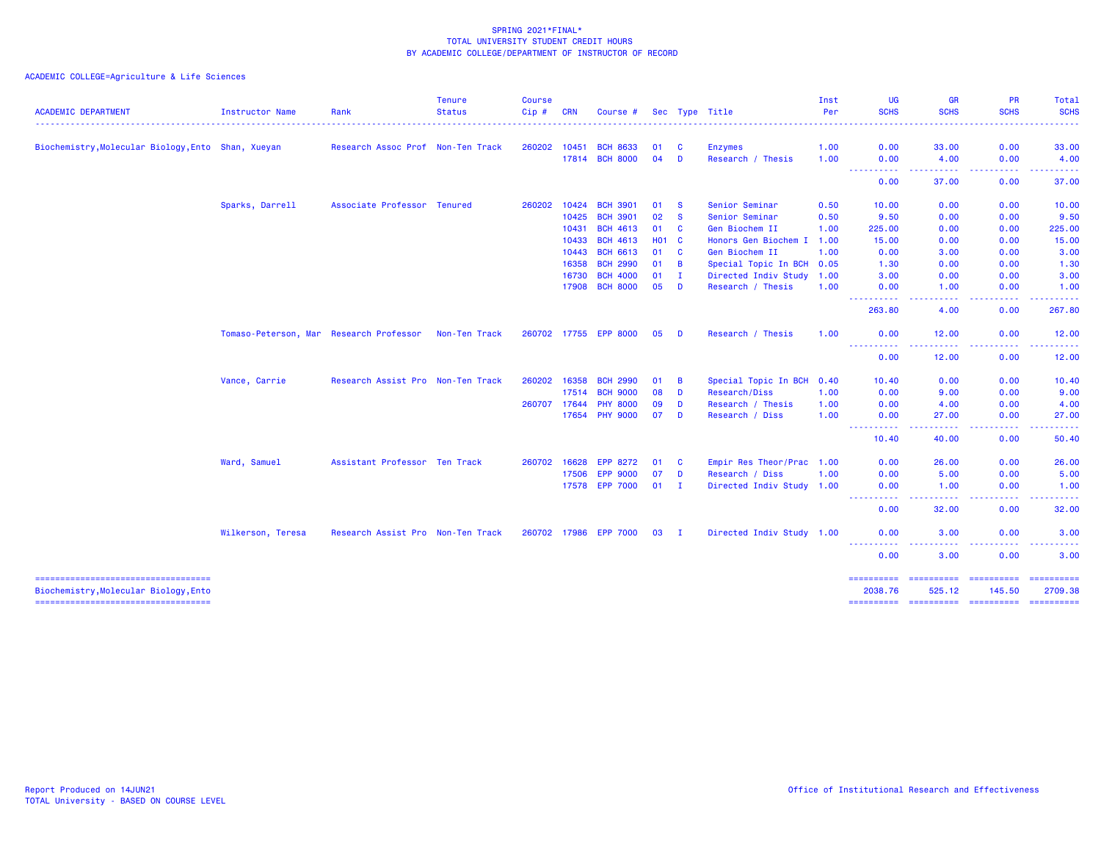| Biochemistry, Molecular Biology, Ento Shan, Xueyan<br>Sparks, Darrell | Research Assoc Prof Non-Ten Track<br>Associate Professor Tenured |                                         | 260202 10451                                                                                            | 17814            | <b>BCH 8633</b><br><b>BCH 8000</b>                        | 01<br>04                                                                                                                                                                          | <b>C</b><br>D              | <b>Enzymes</b><br>Research / Thesis                      | 1.00<br>1.00                                                 | 0.00                                                                                                                                                                                                                            | 33.00                                                                                                                                                   | 0.00                                                                                             | . <b>.</b><br>33.00                                                                                                                                                                                                                                                                                                                                                                                                                                                                    |
|-----------------------------------------------------------------------|------------------------------------------------------------------|-----------------------------------------|---------------------------------------------------------------------------------------------------------|------------------|-----------------------------------------------------------|-----------------------------------------------------------------------------------------------------------------------------------------------------------------------------------|----------------------------|----------------------------------------------------------|--------------------------------------------------------------|---------------------------------------------------------------------------------------------------------------------------------------------------------------------------------------------------------------------------------|---------------------------------------------------------------------------------------------------------------------------------------------------------|--------------------------------------------------------------------------------------------------|----------------------------------------------------------------------------------------------------------------------------------------------------------------------------------------------------------------------------------------------------------------------------------------------------------------------------------------------------------------------------------------------------------------------------------------------------------------------------------------|
|                                                                       |                                                                  |                                         |                                                                                                         |                  |                                                           |                                                                                                                                                                                   |                            |                                                          |                                                              |                                                                                                                                                                                                                                 |                                                                                                                                                         |                                                                                                  |                                                                                                                                                                                                                                                                                                                                                                                                                                                                                        |
|                                                                       |                                                                  |                                         |                                                                                                         |                  |                                                           |                                                                                                                                                                                   |                            |                                                          |                                                              |                                                                                                                                                                                                                                 |                                                                                                                                                         |                                                                                                  | 4.00                                                                                                                                                                                                                                                                                                                                                                                                                                                                                   |
|                                                                       |                                                                  |                                         |                                                                                                         |                  |                                                           |                                                                                                                                                                                   |                            |                                                          |                                                              | 0.00<br>.                                                                                                                                                                                                                       | 4.00<br>.                                                                                                                                               | 0.00<br>-----                                                                                    |                                                                                                                                                                                                                                                                                                                                                                                                                                                                                        |
|                                                                       |                                                                  |                                         |                                                                                                         |                  |                                                           |                                                                                                                                                                                   |                            |                                                          |                                                              | 0.00                                                                                                                                                                                                                            | 37.00                                                                                                                                                   | 0.00                                                                                             | 37.00                                                                                                                                                                                                                                                                                                                                                                                                                                                                                  |
|                                                                       |                                                                  |                                         | 260202 10424                                                                                            |                  | <b>BCH 3901</b>                                           | 01                                                                                                                                                                                | - S                        | Senior Seminar                                           | 0.50                                                         | 10.00                                                                                                                                                                                                                           | 0.00                                                                                                                                                    | 0.00                                                                                             | 10.00                                                                                                                                                                                                                                                                                                                                                                                                                                                                                  |
|                                                                       |                                                                  |                                         |                                                                                                         | 10425            | <b>BCH 3901</b>                                           | 02                                                                                                                                                                                | <b>S</b>                   | Senior Seminar                                           | 0.50                                                         | 9.50                                                                                                                                                                                                                            | 0.00                                                                                                                                                    | 0.00                                                                                             | 9.50                                                                                                                                                                                                                                                                                                                                                                                                                                                                                   |
|                                                                       |                                                                  |                                         |                                                                                                         | 10431            | <b>BCH 4613</b>                                           | 01                                                                                                                                                                                | <b>C</b>                   | Gen Biochem II                                           | 1.00                                                         | 225.00                                                                                                                                                                                                                          | 0.00                                                                                                                                                    | 0.00                                                                                             | 225.00                                                                                                                                                                                                                                                                                                                                                                                                                                                                                 |
|                                                                       |                                                                  |                                         |                                                                                                         | 10433            | <b>BCH 4613</b>                                           |                                                                                                                                                                                   |                            |                                                          |                                                              | 15.00                                                                                                                                                                                                                           | 0.00                                                                                                                                                    | 0.00                                                                                             | 15.00                                                                                                                                                                                                                                                                                                                                                                                                                                                                                  |
|                                                                       |                                                                  |                                         |                                                                                                         |                  | <b>BCH 6613</b>                                           | 01                                                                                                                                                                                | <b>C</b>                   | Gen Biochem II                                           | 1.00                                                         | 0.00                                                                                                                                                                                                                            | 3.00                                                                                                                                                    | 0.00                                                                                             | 3.00                                                                                                                                                                                                                                                                                                                                                                                                                                                                                   |
|                                                                       |                                                                  |                                         |                                                                                                         | 16358            | <b>BCH 2990</b>                                           | 01                                                                                                                                                                                | $\overline{B}$             |                                                          |                                                              | 1.30                                                                                                                                                                                                                            | 0.00                                                                                                                                                    | 0.00                                                                                             | 1.30                                                                                                                                                                                                                                                                                                                                                                                                                                                                                   |
|                                                                       |                                                                  |                                         |                                                                                                         | 16730            | <b>BCH 4000</b>                                           | 01                                                                                                                                                                                | I.                         |                                                          |                                                              | 3.00                                                                                                                                                                                                                            | 0.00                                                                                                                                                    | 0.00                                                                                             | 3.00                                                                                                                                                                                                                                                                                                                                                                                                                                                                                   |
|                                                                       |                                                                  |                                         |                                                                                                         | 17908            | <b>BCH 8000</b>                                           | 05                                                                                                                                                                                | D                          | Research / Thesis                                        | 1.00                                                         | 0.00                                                                                                                                                                                                                            | 1.00                                                                                                                                                    | 0.00                                                                                             | 1.00                                                                                                                                                                                                                                                                                                                                                                                                                                                                                   |
|                                                                       |                                                                  |                                         |                                                                                                         |                  |                                                           |                                                                                                                                                                                   |                            |                                                          |                                                              | 263.80                                                                                                                                                                                                                          | 4.00                                                                                                                                                    | 0.00                                                                                             | 267.80                                                                                                                                                                                                                                                                                                                                                                                                                                                                                 |
|                                                                       |                                                                  | Non-Ten Track                           |                                                                                                         |                  |                                                           | 05                                                                                                                                                                                | <b>D</b>                   | Research / Thesis                                        | 1.00                                                         | 0.00                                                                                                                                                                                                                            | 12.00                                                                                                                                                   | 0.00                                                                                             | 12.00                                                                                                                                                                                                                                                                                                                                                                                                                                                                                  |
|                                                                       |                                                                  |                                         |                                                                                                         |                  |                                                           |                                                                                                                                                                                   |                            |                                                          |                                                              | 0.00                                                                                                                                                                                                                            | 12.00                                                                                                                                                   | 0.00                                                                                             | 12.00                                                                                                                                                                                                                                                                                                                                                                                                                                                                                  |
|                                                                       |                                                                  |                                         |                                                                                                         |                  |                                                           |                                                                                                                                                                                   |                            |                                                          |                                                              |                                                                                                                                                                                                                                 |                                                                                                                                                         |                                                                                                  | 10.40                                                                                                                                                                                                                                                                                                                                                                                                                                                                                  |
|                                                                       |                                                                  |                                         |                                                                                                         |                  |                                                           |                                                                                                                                                                                   |                            |                                                          |                                                              |                                                                                                                                                                                                                                 |                                                                                                                                                         |                                                                                                  | 9.00                                                                                                                                                                                                                                                                                                                                                                                                                                                                                   |
|                                                                       |                                                                  |                                         |                                                                                                         |                  |                                                           |                                                                                                                                                                                   |                            |                                                          |                                                              |                                                                                                                                                                                                                                 |                                                                                                                                                         |                                                                                                  | 4.00                                                                                                                                                                                                                                                                                                                                                                                                                                                                                   |
|                                                                       |                                                                  |                                         |                                                                                                         |                  |                                                           | 07                                                                                                                                                                                | <b>D</b>                   | Research / Diss                                          | 1.00                                                         | 0.00                                                                                                                                                                                                                            | 27.00                                                                                                                                                   | 0.00                                                                                             | 27.00                                                                                                                                                                                                                                                                                                                                                                                                                                                                                  |
|                                                                       |                                                                  |                                         |                                                                                                         |                  |                                                           |                                                                                                                                                                                   |                            |                                                          |                                                              | 10.40                                                                                                                                                                                                                           | 40.00                                                                                                                                                   | .<br>0.00                                                                                        | .<br>50.40                                                                                                                                                                                                                                                                                                                                                                                                                                                                             |
|                                                                       |                                                                  |                                         |                                                                                                         |                  |                                                           |                                                                                                                                                                                   |                            |                                                          |                                                              |                                                                                                                                                                                                                                 |                                                                                                                                                         |                                                                                                  | 26.00                                                                                                                                                                                                                                                                                                                                                                                                                                                                                  |
|                                                                       |                                                                  |                                         |                                                                                                         |                  |                                                           |                                                                                                                                                                                   |                            |                                                          |                                                              |                                                                                                                                                                                                                                 |                                                                                                                                                         |                                                                                                  | 5.00                                                                                                                                                                                                                                                                                                                                                                                                                                                                                   |
|                                                                       |                                                                  |                                         |                                                                                                         |                  |                                                           | 01                                                                                                                                                                                | - I                        |                                                          |                                                              | 0.00                                                                                                                                                                                                                            | 1.00                                                                                                                                                    | 0.00                                                                                             | 1.00                                                                                                                                                                                                                                                                                                                                                                                                                                                                                   |
|                                                                       |                                                                  |                                         |                                                                                                         |                  |                                                           |                                                                                                                                                                                   |                            |                                                          |                                                              | 0.00                                                                                                                                                                                                                            | 32.00                                                                                                                                                   | 0.00                                                                                             | 32.00                                                                                                                                                                                                                                                                                                                                                                                                                                                                                  |
| Wilkerson, Teresa                                                     |                                                                  |                                         |                                                                                                         |                  |                                                           | 03                                                                                                                                                                                | $\mathbf{I}$               |                                                          |                                                              | 0.00                                                                                                                                                                                                                            | 3.00                                                                                                                                                    | 0.00                                                                                             | 3.00                                                                                                                                                                                                                                                                                                                                                                                                                                                                                   |
|                                                                       |                                                                  |                                         |                                                                                                         |                  |                                                           |                                                                                                                                                                                   |                            |                                                          |                                                              | 0.00                                                                                                                                                                                                                            | $\frac{1}{2} \left( \frac{1}{2} \right) \left( \frac{1}{2} \right) \left( \frac{1}{2} \right)$<br>3.00                                                  | .<br>0.00                                                                                        | 3.00                                                                                                                                                                                                                                                                                                                                                                                                                                                                                   |
|                                                                       |                                                                  |                                         |                                                                                                         |                  |                                                           |                                                                                                                                                                                   |                            |                                                          |                                                              |                                                                                                                                                                                                                                 |                                                                                                                                                         |                                                                                                  | $\begin{array}{cccccccccc} \multicolumn{2}{c}{} & \multicolumn{2}{c}{} & \multicolumn{2}{c}{} & \multicolumn{2}{c}{} & \multicolumn{2}{c}{} & \multicolumn{2}{c}{} & \multicolumn{2}{c}{} & \multicolumn{2}{c}{} & \multicolumn{2}{c}{} & \multicolumn{2}{c}{} & \multicolumn{2}{c}{} & \multicolumn{2}{c}{} & \multicolumn{2}{c}{} & \multicolumn{2}{c}{} & \multicolumn{2}{c}{} & \multicolumn{2}{c}{} & \multicolumn{2}{c}{} & \multicolumn{2}{c}{} & \multicolumn{2}{c}{} & \mult$ |
|                                                                       |                                                                  |                                         |                                                                                                         |                  |                                                           |                                                                                                                                                                                   |                            |                                                          |                                                              | 2038.76                                                                                                                                                                                                                         | 525.12                                                                                                                                                  | 145.50                                                                                           | 2709.38                                                                                                                                                                                                                                                                                                                                                                                                                                                                                |
|                                                                       | Vance, Carrie<br>Ward, Samuel                                    | Tomaso-Peterson, Mar Research Professor | Research Assist Pro Non-Ten Track<br>Assistant Professor Ten Track<br>Research Assist Pro Non-Ten Track | 260202<br>260707 | 10443<br>16358<br>17514<br>17644<br>260702 16628<br>17506 | 260702 17755 EPP 8000<br><b>BCH 2990</b><br><b>BCH 9000</b><br><b>PHY 8000</b><br>17654 PHY 9000<br><b>EPP 8272</b><br><b>EPP 9000</b><br>17578 EPP 7000<br>260702 17986 EPP 7000 | 01<br>08<br>09<br>01<br>07 | H <sub>01</sub> C<br>B<br>D<br>D<br><b>C</b><br><b>D</b> | <b>Research/Diss</b><br>Research / Thesis<br>Research / Diss | Honors Gen Biochem I 1.00<br>Special Topic In BCH 0.05<br>Directed Indiv Study 1.00<br>Special Topic In BCH 0.40<br>1.00<br>1.00<br>Empir Res Theor/Prac 1.00<br>1.00<br>Directed Indiv Study 1.00<br>Directed Indiv Study 1.00 | <u> - - - - - - - - - -</u><br><u> - - - - - - - - - -</u><br>10.40<br>0.00<br>0.00<br>----------<br>0.00<br>0.00<br>.<br>.<br>----------<br>========== | .<br>0.00<br>9.00<br>4.00<br><b><i><u><u>.</u></u></i></b><br>26.00<br>5.00<br>---<br>========== | . <u>.</u> .<br>$- - - - -$<br>0.00<br>0.00<br>0.00<br>0.00<br>0.00<br>.<br>==========                                                                                                                                                                                                                                                                                                                                                                                                 |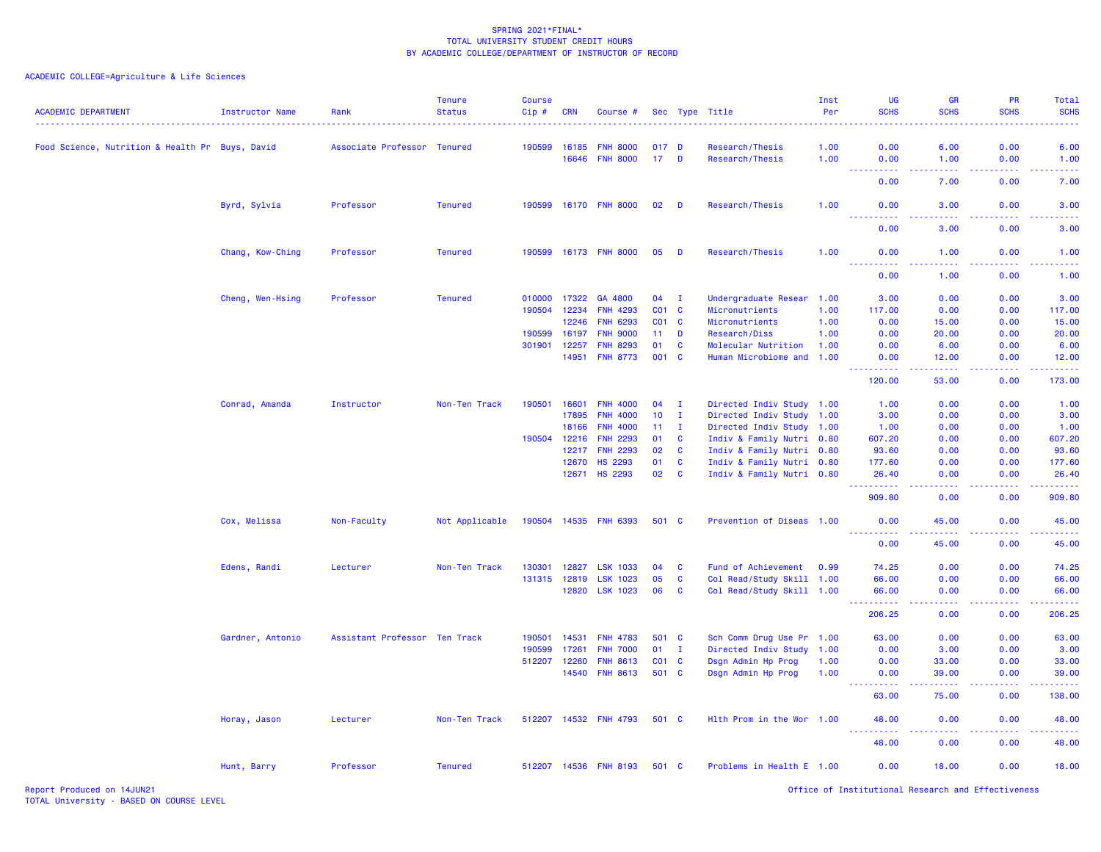# ACADEMIC COLLEGE=Agriculture & Life Sciences

| <b>ACADEMIC DEPARTMENT</b>                      | <b>Instructor Name</b> | Rank                          | <b>Tenure</b><br><b>Status</b> | <b>Course</b><br>Cip# | <b>CRN</b> | Course #              |                 |              | Sec Type Title            | Inst<br>Per<br>. | <b>UG</b><br><b>SCHS</b>                               | GR<br><b>SCHS</b>                                                                                                                  | <b>PR</b><br><b>SCHS</b> | Total<br><b>SCHS</b><br><b>.</b> |
|-------------------------------------------------|------------------------|-------------------------------|--------------------------------|-----------------------|------------|-----------------------|-----------------|--------------|---------------------------|------------------|--------------------------------------------------------|------------------------------------------------------------------------------------------------------------------------------------|--------------------------|----------------------------------|
| Food Science, Nutrition & Health Pr Buys, David |                        | Associate Professor Tenured   |                                | 190599                | 16185      | <b>FNH 8000</b>       | 017 D           |              | Research/Thesis           | 1.00             | 0.00                                                   | 6.00                                                                                                                               | 0.00                     | 6.00                             |
|                                                 |                        |                               |                                |                       | 16646      | <b>FNH 8000</b>       | $17$ D          |              | Research/Thesis           | 1.00             | 0.00                                                   | 1.00                                                                                                                               | 0.00                     | 1.00                             |
|                                                 |                        |                               |                                |                       |            |                       |                 |              |                           |                  | $\sim$ $\sim$<br><b><i><u><u>.</u></u></i></b><br>0.00 | $\sim$ $\sim$ $\sim$ $\sim$<br>7.00                                                                                                | .<br>0.00                | 22223<br>7.00                    |
|                                                 | Byrd, Sylvia           | Professor                     | <b>Tenured</b>                 |                       |            | 190599 16170 FNH 8000 | 02              | D            | Research/Thesis           | 1.00             | 0.00                                                   | 3.00                                                                                                                               | 0.00                     | 3.00                             |
|                                                 |                        |                               |                                |                       |            |                       |                 |              |                           |                  | $\omega \sim \omega$<br>.<br>0.00                      | وعاعات<br>3.00                                                                                                                     | .<br>0.00                | 2222<br>3.00                     |
|                                                 | Chang, Kow-Ching       | Professor                     | <b>Tenured</b>                 |                       |            | 190599 16173 FNH 8000 | 05              | D            | Research/Thesis           | 1.00             | 0.00                                                   | 1.00<br>$\frac{1}{2} \left( \frac{1}{2} \right) \left( \frac{1}{2} \right) \left( \frac{1}{2} \right)$                             | 0.00<br>.                | 1.00<br>د د د د                  |
|                                                 |                        |                               |                                |                       |            |                       |                 |              |                           |                  | 0.00                                                   | 1.00                                                                                                                               | 0.00                     | 1.00                             |
|                                                 | Cheng, Wen-Hsing       | Professor                     | <b>Tenured</b>                 | 010000                | 17322      | GA 4800               | 04              | $\mathbf{I}$ | Undergraduate Resear 1.00 |                  | 3.00                                                   | 0.00                                                                                                                               | 0.00                     | 3.00                             |
|                                                 |                        |                               |                                | 190504                | 12234      | <b>FNH 4293</b>       | CO <sub>1</sub> | <b>C</b>     | Micronutrients            | 1.00             | 117.00                                                 | 0.00                                                                                                                               | 0.00                     | 117.00                           |
|                                                 |                        |                               |                                |                       | 12246      | <b>FNH 6293</b>       | CO1             | $\mathbf{C}$ | Micronutrients            | 1.00             | 0.00                                                   | 15.00                                                                                                                              | 0.00                     | 15.00                            |
|                                                 |                        |                               |                                | 190599                | 16197      | <b>FNH 9000</b>       | 11 <sub>1</sub> | D            | Research/Diss             | 1.00             | 0.00                                                   | 20.00                                                                                                                              | 0.00                     | 20.00                            |
|                                                 |                        |                               |                                | 301901                | 12257      | <b>FNH 8293</b>       | 01              | <b>C</b>     | Molecular Nutrition       | 1.00             | 0.00                                                   | 6.00                                                                                                                               | 0.00                     | 6.00                             |
|                                                 |                        |                               |                                |                       | 14951      | <b>FNH 8773</b>       | 001 C           |              | Human Microbiome and      | 1.00             | 0.00<br>.                                              | 12.00<br>.                                                                                                                         | 0.00<br>.                | 12.00<br>22222                   |
|                                                 |                        |                               |                                |                       |            |                       |                 |              |                           |                  | 120.00                                                 | 53.00                                                                                                                              | 0.00                     | 173.00                           |
|                                                 | Conrad, Amanda         | Instructor                    | Non-Ten Track                  | 190501                | 16601      | <b>FNH 4000</b>       | 04              | $\mathbf I$  | Directed Indiv Study 1.00 |                  | 1.00                                                   | 0.00                                                                                                                               | 0.00                     | 1.00                             |
|                                                 |                        |                               |                                |                       | 17895      | <b>FNH 4000</b>       | 10 <sub>1</sub> | $\mathbf{I}$ | Directed Indiv Study 1.00 |                  | 3.00                                                   | 0.00                                                                                                                               | 0.00                     | 3.00                             |
|                                                 |                        |                               |                                |                       | 18166      | <b>FNH 4000</b>       | 11              | $\mathbf{I}$ | Directed Indiv Study 1.00 |                  | 1.00                                                   | 0.00                                                                                                                               | 0.00                     | 1.00                             |
|                                                 |                        |                               |                                | 190504                | 12216      | <b>FNH 2293</b>       | 01              | $\mathbf{C}$ | Indiv & Family Nutri 0.80 |                  | 607.20                                                 | 0.00                                                                                                                               | 0.00                     | 607.20                           |
|                                                 |                        |                               |                                |                       | 12217      | <b>FNH 2293</b>       | 02              | <b>C</b>     | Indiv & Family Nutri 0.80 |                  | 93.60                                                  | 0.00                                                                                                                               | 0.00                     | 93.60                            |
|                                                 |                        |                               |                                |                       | 12670      | <b>HS 2293</b>        | 01              | $\mathbf{C}$ | Indiv & Family Nutri 0.80 |                  | 177.60                                                 | 0.00                                                                                                                               | 0.00                     | 177.60                           |
|                                                 |                        |                               |                                |                       | 12671      | <b>HS 2293</b>        | 02              | $\mathbf{C}$ | Indiv & Family Nutri 0.80 |                  | 26.40<br>.                                             | 0.00<br>والرابات                                                                                                                   | 0.00<br>الأعامات         | 26,40<br>.                       |
|                                                 |                        |                               |                                |                       |            |                       |                 |              |                           |                  | 909.80                                                 | 0.00                                                                                                                               | 0.00                     | 909.80                           |
|                                                 | Cox, Melissa           | Non-Faculty                   | Not Applicable                 |                       |            | 190504 14535 FNH 6393 | 501 C           |              | Prevention of Diseas 1.00 |                  | 0.00<br><u>.</u>                                       | 45.00<br>$-1 - 1 - 1 = 1$                                                                                                          | 0.00<br>. <b>.</b>       | 45.00<br>.                       |
|                                                 |                        |                               |                                |                       |            |                       |                 |              |                           |                  | 0.00                                                   | 45.00                                                                                                                              | 0.00                     | 45.00                            |
|                                                 | Edens, Randi           | Lecturer                      | Non-Ten Track                  | 130301                | 12827      | <b>LSK 1033</b>       | 04              | <b>C</b>     | Fund of Achievement       | 0.99             | 74.25                                                  | 0.00                                                                                                                               | 0.00                     | 74.25                            |
|                                                 |                        |                               |                                | 131315                | 12819      | <b>LSK 1023</b>       | 05              | $\mathbf{C}$ | Col Read/Study Skill 1.00 |                  | 66.00                                                  | 0.00                                                                                                                               | 0.00                     | 66.00                            |
|                                                 |                        |                               |                                |                       | 12820      | <b>LSK 1023</b>       | 06              | <b>C</b>     | Col Read/Study Skill 1.00 |                  | 66.00<br>د د د د د د                                   | 0.00<br>$\sim$ $\sim$ $\sim$ $\sim$                                                                                                | 0.00<br>.                | 66.00                            |
|                                                 |                        |                               |                                |                       |            |                       |                 |              |                           |                  | 206.25                                                 | 0.00                                                                                                                               | 0.00                     | 206.25                           |
|                                                 | Gardner, Antonio       | Assistant Professor Ten Track |                                | 190501                | 14531      | <b>FNH 4783</b>       | 501 C           |              | Sch Comm Drug Use Pr 1.00 |                  | 63.00                                                  | 0.00                                                                                                                               | 0.00                     | 63.00                            |
|                                                 |                        |                               |                                | 190599                | 17261      | <b>FNH 7000</b>       | 01              | $\mathbf{I}$ | Directed Indiv Study      | 1.00             | 0.00                                                   | 3.00                                                                                                                               | 0.00                     | 3.00                             |
|                                                 |                        |                               |                                | 512207                | 12260      | <b>FNH 8613</b>       | $CO1$ $C$       |              | Dsgn Admin Hp Prog        | 1.00             | 0.00                                                   | 33.00                                                                                                                              | 0.00                     | 33.00                            |
|                                                 |                        |                               |                                |                       | 14540      | <b>FNH 8613</b>       | 501 C           |              | Dsgn Admin Hp Prog        | 1.00             | 0.00<br>الداعات عامان                                  | 39.00<br>$\frac{1}{2} \left( \frac{1}{2} \right) \left( \frac{1}{2} \right) \left( \frac{1}{2} \right) \left( \frac{1}{2} \right)$ | 0.00<br>22222            | 39.00<br>.                       |
|                                                 |                        |                               |                                |                       |            |                       |                 |              |                           |                  | 63.00                                                  | 75.00                                                                                                                              | 0.00                     | 138.00                           |
|                                                 | Horay, Jason           | Lecturer                      | Non-Ten Track                  |                       |            | 512207 14532 FNH 4793 | 501 C           |              | Hlth Prom in the Wor 1.00 |                  | 48.00                                                  | 0.00                                                                                                                               | 0.00                     | 48.00                            |
|                                                 |                        |                               |                                |                       |            |                       |                 |              |                           |                  | 48.00                                                  | 0.00                                                                                                                               | 0.00                     | 48.00                            |
|                                                 | Hunt, Barry            | Professor                     | <b>Tenured</b>                 |                       |            | 512207 14536 FNH 8193 | 501 C           |              | Problems in Health E 1.00 |                  | 0.00                                                   | 18.00                                                                                                                              | 0.00                     | 18.00                            |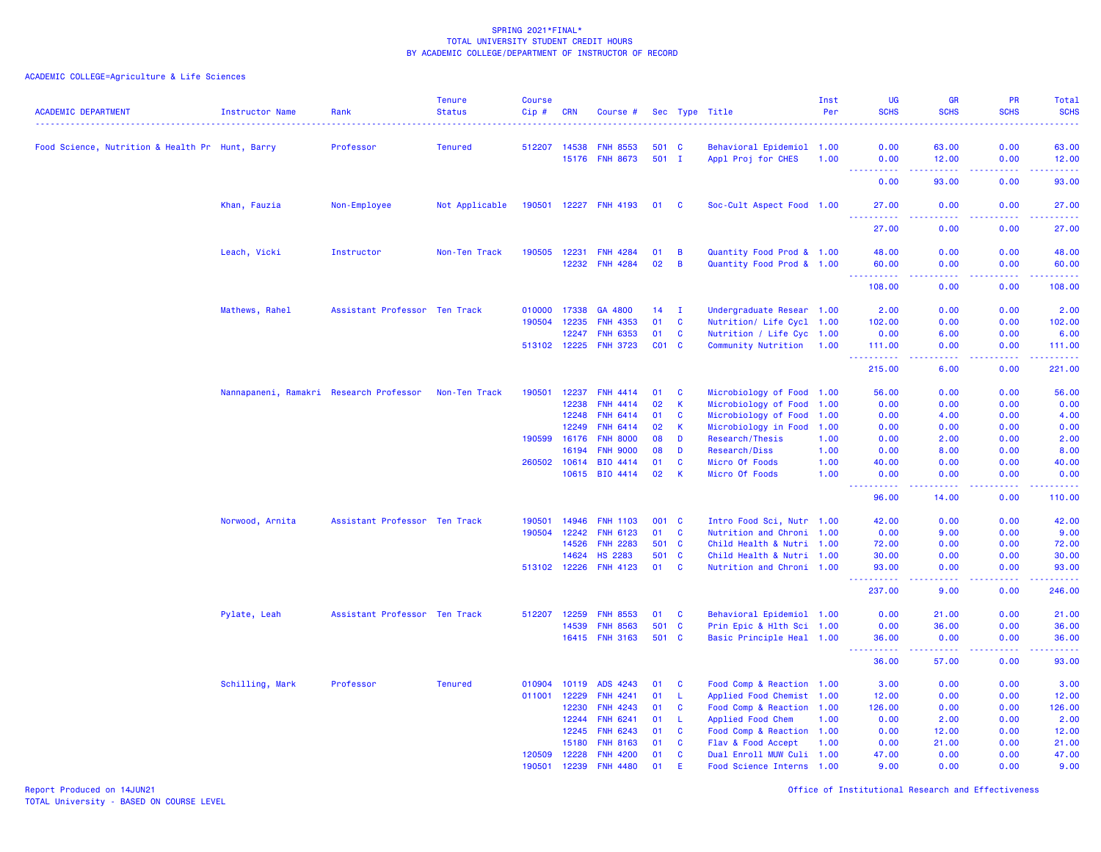| <b>ACADEMIC DEPARTMENT</b>                      | <b>Instructor Name</b>                  | Rank                          | <b>Tenure</b><br><b>Status</b> | <b>Course</b><br>Cip # | <b>CRN</b> | Course #              |           |                | Sec Type Title            | Inst<br>Per | UG<br><b>SCHS</b>   | <b>GR</b><br><b>SCHS</b>                                                                                                          | PR<br><b>SCHS</b><br>$\sim$ $\sim$ $\sim$ $\sim$ | Total<br><b>SCHS</b><br>$\frac{1}{2} \left( \frac{1}{2} \right) \left( \frac{1}{2} \right) \left( \frac{1}{2} \right) \left( \frac{1}{2} \right)$ |
|-------------------------------------------------|-----------------------------------------|-------------------------------|--------------------------------|------------------------|------------|-----------------------|-----------|----------------|---------------------------|-------------|---------------------|-----------------------------------------------------------------------------------------------------------------------------------|--------------------------------------------------|---------------------------------------------------------------------------------------------------------------------------------------------------|
| Food Science, Nutrition & Health Pr Hunt, Barry |                                         | Professor                     | <b>Tenured</b>                 | 512207                 | 14538      | <b>FNH 8553</b>       | 501 C     |                | Behavioral Epidemiol 1.00 |             | 0.00                | 63.00                                                                                                                             | 0.00                                             | 63.00                                                                                                                                             |
|                                                 |                                         |                               |                                |                        |            | 15176 FNH 8673        | $501$ I   |                | Appl Proj for CHES        | 1.00        | 0.00                | 12.00                                                                                                                             | 0.00                                             | 12.00<br>$\omega_{\rm{eff}}$ and $\omega_{\rm{eff}}$                                                                                              |
|                                                 |                                         |                               |                                |                        |            |                       |           |                |                           |             | 0.00                | 93.00                                                                                                                             | 0.00                                             | 93.00                                                                                                                                             |
|                                                 | Khan, Fauzia                            | Non-Employee                  | Not Applicable                 |                        |            | 190501 12227 FNH 4193 | 01 C      |                | Soc-Cult Aspect Food 1.00 |             | 27.00               | 0.00                                                                                                                              | 0.00                                             | 27.00                                                                                                                                             |
|                                                 |                                         |                               |                                |                        |            |                       |           |                |                           |             | .<br>27.00          | .<br>0.00                                                                                                                         | .<br>0.00                                        | .<br>27.00                                                                                                                                        |
|                                                 | Leach, Vicki                            | Instructor                    | Non-Ten Track                  | 190505                 | 12231      | <b>FNH 4284</b>       | 01        | B              | Quantity Food Prod & 1.00 |             | 48.00               | 0.00                                                                                                                              | 0.00                                             | 48.00                                                                                                                                             |
|                                                 |                                         |                               |                                |                        |            | 12232 FNH 4284        | 02        | $\overline{B}$ | Quantity Food Prod & 1.00 |             | 60.00<br><b></b>    | 0.00<br>$\frac{1}{2} \left( \frac{1}{2} \right) \left( \frac{1}{2} \right) \left( \frac{1}{2} \right) \left( \frac{1}{2} \right)$ | 0.00<br>.                                        | 60.00<br>.                                                                                                                                        |
|                                                 |                                         |                               |                                |                        |            |                       |           |                |                           |             | 108.00              | 0.00                                                                                                                              | 0.00                                             | 108.00                                                                                                                                            |
|                                                 | Mathews, Rahel                          | Assistant Professor Ten Track |                                | 010000                 | 17338      | GA 4800               | 14        | $\mathbf I$    | Undergraduate Resear 1.00 |             | 2.00                | 0.00                                                                                                                              | 0.00                                             | 2.00                                                                                                                                              |
|                                                 |                                         |                               |                                | 190504                 | 12235      | <b>FNH 4353</b>       | 01        | C              | Nutrition/ Life Cycl 1.00 |             | 102.00              | 0.00                                                                                                                              | 0.00                                             | 102.00                                                                                                                                            |
|                                                 |                                         |                               |                                |                        | 12247      | <b>FNH 6353</b>       | 01        | $\mathbf{C}$   | Nutrition / Life Cyc 1.00 |             | 0.00                | 6.00                                                                                                                              | 0.00                                             | 6.00                                                                                                                                              |
|                                                 |                                         |                               |                                | 513102 12225           |            | <b>FNH 3723</b>       | $CO1$ $C$ |                | Community Nutrition 1.00  |             | 111.00<br>.         | 0.00<br>$- - - -$                                                                                                                 | 0.00<br>.                                        | 111.00<br>.                                                                                                                                       |
|                                                 |                                         |                               |                                |                        |            |                       |           |                |                           |             | 215.00              | 6.00                                                                                                                              | 0.00                                             | 221.00                                                                                                                                            |
|                                                 | Nannapaneni, Ramakri Research Professor |                               | Non-Ten Track                  | 190501                 | 12237      | <b>FNH 4414</b>       | 01        | C              | Microbiology of Food 1.00 |             | 56.00               | 0.00                                                                                                                              | 0.00                                             | 56.00                                                                                                                                             |
|                                                 |                                         |                               |                                |                        | 12238      | <b>FNH 4414</b>       | 02        | K              | Microbiology of Food 1.00 |             | 0.00                | 0.00                                                                                                                              | 0.00                                             | 0.00                                                                                                                                              |
|                                                 |                                         |                               |                                |                        | 12248      | <b>FNH 6414</b>       | 01        | C              | Microbiology of Food 1.00 |             | 0.00                | 4.00                                                                                                                              | 0.00                                             | 4.00                                                                                                                                              |
|                                                 |                                         |                               |                                |                        | 12249      | <b>FNH 6414</b>       | 02        | К              | Microbiology in Food 1.00 |             | 0.00                | 0.00                                                                                                                              | 0.00                                             | 0.00                                                                                                                                              |
|                                                 |                                         |                               |                                | 190599                 | 16176      | <b>FNH 8000</b>       | 08        | D              | Research/Thesis           | 1.00        | 0.00                | 2.00                                                                                                                              | 0.00                                             | 2.00                                                                                                                                              |
|                                                 |                                         |                               |                                |                        | 16194      | <b>FNH 9000</b>       | 08        | D              | Research/Diss             | 1.00        | 0.00                | 8.00                                                                                                                              | 0.00                                             | 8.00                                                                                                                                              |
|                                                 |                                         |                               |                                | 260502                 | 10614      | BIO 4414              | 01        | C              | Micro Of Foods            | 1.00        | 40.00               | 0.00                                                                                                                              | 0.00                                             | 40.00                                                                                                                                             |
|                                                 |                                         |                               |                                |                        |            | 10615 BIO 4414        | 02        | $\mathsf{K}$   | Micro Of Foods            | 1.00        | 0.00                | 0.00                                                                                                                              | 0.00                                             | 0.00<br>والمستحيل                                                                                                                                 |
|                                                 |                                         |                               |                                |                        |            |                       |           |                |                           |             | 96.00               | 14.00                                                                                                                             | 0.00                                             | 110.00                                                                                                                                            |
|                                                 | Norwood, Arnita                         | Assistant Professor Ten Track |                                | 190501                 | 14946      | <b>FNH 1103</b>       | 001 C     |                | Intro Food Sci, Nutr 1.00 |             | 42.00               | 0.00                                                                                                                              | 0.00                                             | 42.00                                                                                                                                             |
|                                                 |                                         |                               |                                | 190504                 | 12242      | <b>FNH 6123</b>       | 01        | <b>C</b>       | Nutrition and Chroni 1.00 |             | 0.00                | 9.00                                                                                                                              | 0.00                                             | 9.00                                                                                                                                              |
|                                                 |                                         |                               |                                |                        | 14526      | <b>FNH 2283</b>       | 501       | $\mathbf{C}$   | Child Health & Nutri 1.00 |             | 72.00               | 0.00                                                                                                                              | 0.00                                             | 72.00                                                                                                                                             |
|                                                 |                                         |                               |                                |                        | 14624      | <b>HS 2283</b>        | 501 C     |                | Child Health & Nutri 1.00 |             | 30.00               | 0.00                                                                                                                              | 0.00                                             | 30.00                                                                                                                                             |
|                                                 |                                         |                               |                                | 513102 12226           |            | <b>FNH 4123</b>       | 01 C      |                | Nutrition and Chroni 1.00 |             | 93.00               | 0.00                                                                                                                              | 0.00<br>ولايت                                    | 93.00<br>وساسمات                                                                                                                                  |
|                                                 |                                         |                               |                                |                        |            |                       |           |                |                           |             | 237.00              | 9.00                                                                                                                              | 0.00                                             | 246.00                                                                                                                                            |
|                                                 | Pylate, Leah                            | Assistant Professor Ten Track |                                | 512207                 | 12259      | <b>FNH 8553</b>       | 01        | $\mathbf{C}$   | Behavioral Epidemiol 1.00 |             | 0.00                | 21.00                                                                                                                             | 0.00                                             | 21.00                                                                                                                                             |
|                                                 |                                         |                               |                                |                        | 14539      | <b>FNH 8563</b>       | 501       | C              | Prin Epic & Hlth Sci 1.00 |             | 0.00                | 36.00                                                                                                                             | 0.00                                             | 36.00                                                                                                                                             |
|                                                 |                                         |                               |                                |                        | 16415      | <b>FNH 3163</b>       | 501 C     |                | Basic Principle Heal 1.00 |             | 36.00<br>بالأباليات | 0.00<br>.                                                                                                                         | 0.00                                             | 36.00<br>وبالمستريب                                                                                                                               |
|                                                 |                                         |                               |                                |                        |            |                       |           |                |                           |             | 36.00               | 57.00                                                                                                                             | 0.00                                             | 93.00                                                                                                                                             |
|                                                 | Schilling, Mark                         | Professor                     | <b>Tenured</b>                 | 010904                 | 10119      | ADS 4243              | 01        | C              | Food Comp & Reaction 1.00 |             | 3.00                | 0.00                                                                                                                              | 0.00                                             | 3.00                                                                                                                                              |
|                                                 |                                         |                               |                                | 011001                 | 12229      | <b>FNH 4241</b>       | 01        | L.             | Applied Food Chemist 1.00 |             | 12.00               | 0.00                                                                                                                              | 0.00                                             | 12.00                                                                                                                                             |
|                                                 |                                         |                               |                                |                        | 12230      | <b>FNH 4243</b>       | 01        | C              | Food Comp & Reaction 1.00 |             | 126.00              | 0.00                                                                                                                              | 0.00                                             | 126.00                                                                                                                                            |
|                                                 |                                         |                               |                                |                        | 12244      | <b>FNH 6241</b>       | 01        | L              | Applied Food Chem         | 1.00        | 0.00                | 2.00                                                                                                                              | 0.00                                             | 2.00                                                                                                                                              |
|                                                 |                                         |                               |                                |                        | 12245      | <b>FNH 6243</b>       | 01        | C              | Food Comp & Reaction 1.00 |             | 0.00                | 12.00                                                                                                                             | 0.00                                             | 12.00                                                                                                                                             |
|                                                 |                                         |                               |                                |                        | 15180      | <b>FNH 8163</b>       | 01        | $\mathbf{C}$   | Flav & Food Accept        | 1.00        | 0.00                | 21.00                                                                                                                             | 0.00                                             | 21.00                                                                                                                                             |
|                                                 |                                         |                               |                                | 120509                 | 12228      | <b>FNH 4200</b>       | 01        | $\mathbf{C}$   | Dual Enroll MUW Culi 1.00 |             | 47.00               | 0.00                                                                                                                              | 0.00                                             | 47.00                                                                                                                                             |
|                                                 |                                         |                               |                                | 190501                 | 12239      | <b>FNH 4480</b>       | 01        | F              | Food Science Interns 1.00 |             | 9.00                | 0.00                                                                                                                              | 0.00                                             | 9.00                                                                                                                                              |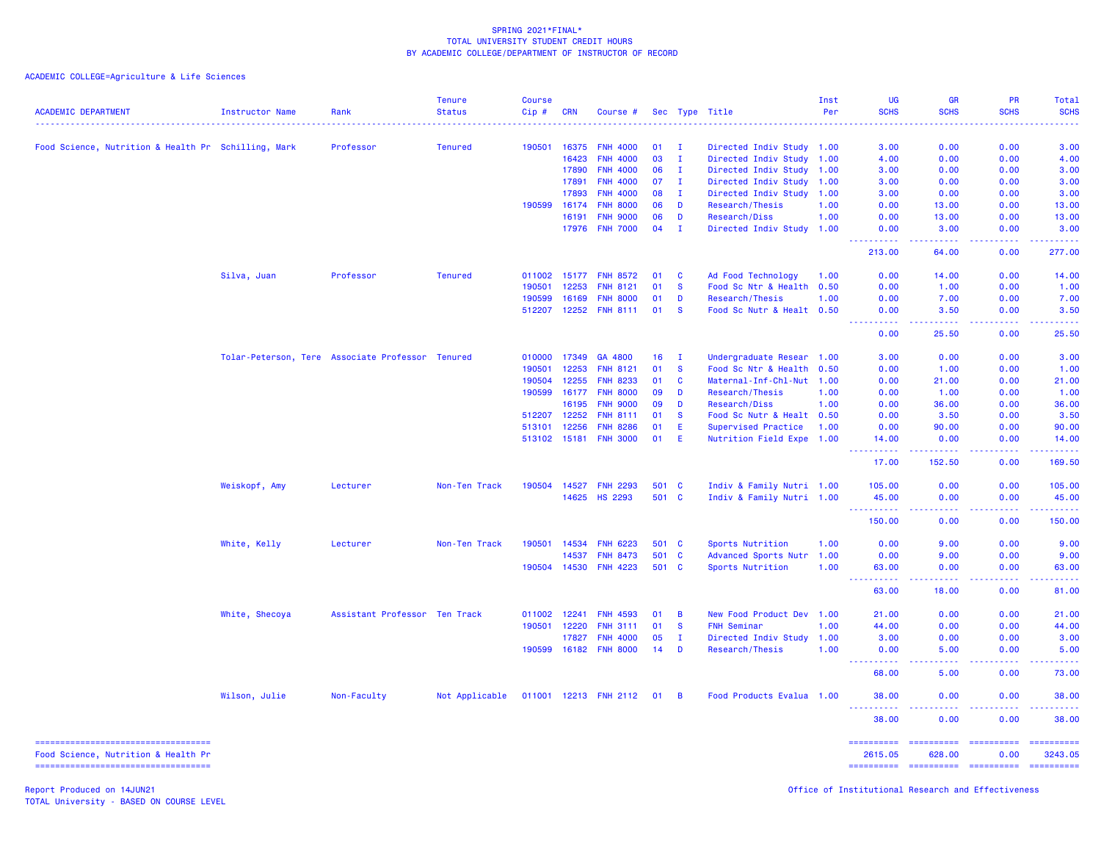ACADEMIC COLLEGE=Agriculture & Life Sciences

| <b>ACADEMIC DEPARTMENT</b>                                                   | <b>Instructor Name</b> | Rank                                             | <b>Tenure</b><br><b>Status</b> | <b>Course</b><br>Cip# | <b>CRN</b>     | Course #                           |          |                              | Sec Type Title                                         | Inst<br>Per | <b>UG</b><br><b>SCHS</b> | GR<br><b>SCHS</b>    | <b>PR</b><br><b>SCHS</b>                                                                                                          | <b>Total</b><br><b>SCHS</b>                                                                                                       |
|------------------------------------------------------------------------------|------------------------|--------------------------------------------------|--------------------------------|-----------------------|----------------|------------------------------------|----------|------------------------------|--------------------------------------------------------|-------------|--------------------------|----------------------|-----------------------------------------------------------------------------------------------------------------------------------|-----------------------------------------------------------------------------------------------------------------------------------|
|                                                                              |                        |                                                  |                                |                       |                |                                    |          |                              |                                                        |             |                          |                      |                                                                                                                                   |                                                                                                                                   |
| Food Science, Nutrition & Health Pr Schilling, Mark                          |                        | Professor                                        | <b>Tenured</b>                 | 190501                | 16375          | <b>FNH 4000</b>                    | 01       | $\mathbf I$                  | Directed Indiv Study 1.00                              |             | 3.00                     | 0.00                 | 0.00                                                                                                                              | 3.00                                                                                                                              |
|                                                                              |                        |                                                  |                                |                       | 16423<br>17890 | <b>FNH 4000</b><br><b>FNH 4000</b> | 03<br>06 | $\mathbf{I}$<br>$\mathbf{I}$ | Directed Indiv Study 1.00                              |             | 4.00<br>3.00             | 0.00<br>0.00         | 0.00<br>0.00                                                                                                                      | 4.00<br>3.00                                                                                                                      |
|                                                                              |                        |                                                  |                                |                       |                |                                    |          |                              | Directed Indiv Study 1.00                              |             |                          |                      |                                                                                                                                   |                                                                                                                                   |
|                                                                              |                        |                                                  |                                |                       | 17891<br>17893 | <b>FNH 4000</b><br><b>FNH 4000</b> | 07<br>08 | $\mathbf{I}$<br>$\mathbf{I}$ | Directed Indiv Study 1.00<br>Directed Indiv Study 1.00 |             | 3.00<br>3.00             | 0.00<br>0.00         | 0.00<br>0.00                                                                                                                      | 3.00<br>3.00                                                                                                                      |
|                                                                              |                        |                                                  |                                | 190599                | 16174          | <b>FNH 8000</b>                    | 06       | D                            | Research/Thesis                                        | 1.00        | 0.00                     | 13.00                | 0.00                                                                                                                              | 13.00                                                                                                                             |
|                                                                              |                        |                                                  |                                |                       | 16191          | <b>FNH 9000</b>                    | 06       | D                            | Research/Diss                                          | 1.00        | 0.00                     | 13.00                | 0.00                                                                                                                              | 13.00                                                                                                                             |
|                                                                              |                        |                                                  |                                |                       | 17976          | <b>FNH 7000</b>                    | 04       | $\mathbf I$                  | Directed Indiv Study 1.00                              |             | 0.00                     | 3.00                 | 0.00                                                                                                                              | 3.00                                                                                                                              |
|                                                                              |                        |                                                  |                                |                       |                |                                    |          |                              |                                                        |             | .                        | .                    | .                                                                                                                                 | .                                                                                                                                 |
|                                                                              |                        |                                                  |                                |                       |                |                                    |          |                              |                                                        |             | 213.00                   | 64.00                | 0.00                                                                                                                              | 277.00                                                                                                                            |
|                                                                              | Silva, Juan            | Professor                                        | <b>Tenured</b>                 | 011002                | 15177          | <b>FNH 8572</b>                    | 01       | <b>C</b>                     | Ad Food Technology                                     | 1.00        | 0.00                     | 14.00                | 0.00                                                                                                                              | 14.00                                                                                                                             |
|                                                                              |                        |                                                  |                                | 190501                | 12253          | <b>FNH 8121</b>                    | 01       | <b>S</b>                     | Food Sc Ntr & Health                                   | 0.50        | 0.00                     | 1.00                 | 0.00                                                                                                                              | 1.00                                                                                                                              |
|                                                                              |                        |                                                  |                                | 190599                | 16169          | <b>FNH 8000</b>                    | 01       | D                            | Research/Thesis                                        | 1.00        | 0.00                     | 7.00                 | 0.00                                                                                                                              | 7.00                                                                                                                              |
|                                                                              |                        |                                                  |                                | 512207                | 12252          | <b>FNH 8111</b>                    | 01       | <b>S</b>                     | Food Sc Nutr & Healt 0.50                              |             | 0.00<br>$  -$            | 3.50<br>22222        | 0.00<br>$\frac{1}{2} \left( \frac{1}{2} \right) \left( \frac{1}{2} \right) \left( \frac{1}{2} \right) \left( \frac{1}{2} \right)$ | 3.50<br>$\frac{1}{2} \left( \frac{1}{2} \right) \left( \frac{1}{2} \right) \left( \frac{1}{2} \right) \left( \frac{1}{2} \right)$ |
|                                                                              |                        |                                                  |                                |                       |                |                                    |          |                              |                                                        |             | 0.00                     | 25.50                | 0.00                                                                                                                              | 25.50                                                                                                                             |
|                                                                              |                        | Tolar-Peterson, Tere Associate Professor Tenured |                                | 010000                | 17349          | GA 4800                            | 16       | $\mathbf{I}$                 | Undergraduate Resear 1.00                              |             | 3.00                     | 0.00                 | 0.00                                                                                                                              | 3.00                                                                                                                              |
|                                                                              |                        |                                                  |                                | 190501                | 12253          | <b>FNH 8121</b>                    | 01       | <b>S</b>                     | Food Sc Ntr & Health                                   | 0.50        | 0.00                     | 1.00                 | 0.00                                                                                                                              | 1.00                                                                                                                              |
|                                                                              |                        |                                                  |                                | 190504                | 12255          | <b>FNH 8233</b>                    | 01       | <b>C</b>                     | Maternal-Inf-Chl-Nut 1.00                              |             | 0.00                     | 21.00                | 0.00                                                                                                                              | 21.00                                                                                                                             |
|                                                                              |                        |                                                  |                                | 190599                | 16177          | <b>FNH 8000</b>                    | 09       | D                            | Research/Thesis                                        | 1.00        | 0.00                     | 1.00                 | 0.00                                                                                                                              | 1.00                                                                                                                              |
|                                                                              |                        |                                                  |                                |                       | 16195          | <b>FNH 9000</b>                    | 09       | D                            | Research/Diss                                          | 1.00        | 0.00                     | 36.00                | 0.00                                                                                                                              | 36.00                                                                                                                             |
|                                                                              |                        |                                                  |                                | 512207                | 12252          | <b>FNH 8111</b>                    | 01       | $\mathbf{s}$                 | Food Sc Nutr & Healt 0.50                              |             | 0.00                     | 3.50                 | 0.00                                                                                                                              | 3.50                                                                                                                              |
|                                                                              |                        |                                                  |                                | 513101                | 12256          | <b>FNH 8286</b>                    | 01       | E                            | Supervised Practice                                    | 1.00        | 0.00                     | 90.00                | 0.00                                                                                                                              | 90.00                                                                                                                             |
|                                                                              |                        |                                                  |                                | 513102 15181          |                | <b>FNH 3000</b>                    | 01       | E                            | Nutrition Field Expe 1.00                              |             | 14.00                    | 0.00                 | 0.00                                                                                                                              | 14,00                                                                                                                             |
|                                                                              |                        |                                                  |                                |                       |                |                                    |          |                              |                                                        |             | <b></b><br>17.00         | .<br>152.50          | .<br>0.00                                                                                                                         | <u>.</u><br>169.50                                                                                                                |
|                                                                              | Weiskopf, Amy          | Lecturer                                         | Non-Ten Track                  | 190504                | 14527          | <b>FNH 2293</b>                    | 501      | <b>C</b>                     | Indiv & Family Nutri 1.00                              |             | 105.00                   | 0.00                 | 0.00                                                                                                                              | 105.00                                                                                                                            |
|                                                                              |                        |                                                  |                                |                       | 14625          | <b>HS 2293</b>                     |          | 501 C                        | Indiv & Family Nutri 1.00                              |             | 45.00                    | 0.00                 | 0.00                                                                                                                              | 45.00                                                                                                                             |
|                                                                              |                        |                                                  |                                |                       |                |                                    |          |                              |                                                        |             | .<br>150.00              | 0.00                 | 0.00                                                                                                                              | .<br>150.00                                                                                                                       |
|                                                                              | White, Kelly           | Lecturer                                         | Non-Ten Track                  | 190501                | 14534          | <b>FNH 6223</b>                    | 501 C    |                              | Sports Nutrition                                       | 1.00        | 0.00                     | 9.00                 | 0.00                                                                                                                              | 9.00                                                                                                                              |
|                                                                              |                        |                                                  |                                |                       | 14537          | <b>FNH 8473</b>                    | 501      | $\mathbf{C}$                 | Advanced Sports Nutr                                   | 1.00        | 0.00                     | 9.00                 | 0.00                                                                                                                              | 9.00                                                                                                                              |
|                                                                              |                        |                                                  |                                | 190504                | 14530          | <b>FNH 4223</b>                    | 501 C    |                              | Sports Nutrition                                       | 1.00        | 63.00<br>.               | 0.00                 | 0.00                                                                                                                              | 63.00<br>.                                                                                                                        |
|                                                                              |                        |                                                  |                                |                       |                |                                    |          |                              |                                                        |             | 63.00                    | 18.00                | 0.00                                                                                                                              | 81.00                                                                                                                             |
|                                                                              | White, Shecoya         | Assistant Professor Ten Track                    |                                | 011002                | 12241          | <b>FNH 4593</b>                    | 01       | B                            | New Food Product Dev 1.00                              |             | 21.00                    | 0.00                 | 0.00                                                                                                                              | 21.00                                                                                                                             |
|                                                                              |                        |                                                  |                                | 190501                | 12220          | <b>FNH 3111</b>                    | 01       | <b>S</b>                     | <b>FNH Seminar</b>                                     | 1.00        | 44.00                    | 0.00                 | 0.00                                                                                                                              | 44.00                                                                                                                             |
|                                                                              |                        |                                                  |                                |                       | 17827          | <b>FNH 4000</b>                    | 05       | $\mathbf{I}$                 | Directed Indiv Study                                   | 1.00        | 3.00                     | 0.00                 | 0.00                                                                                                                              | 3.00                                                                                                                              |
|                                                                              |                        |                                                  |                                | 190599                | 16182          | <b>FNH 8000</b>                    | 14       | D                            | Research/Thesis                                        | 1.00        | 0.00                     | 5.00                 | 0.00                                                                                                                              | 5.00                                                                                                                              |
|                                                                              |                        |                                                  |                                |                       |                |                                    |          |                              |                                                        |             | .<br><b>.</b><br>68.00   | د د د د<br>5.00      | <u>.</u><br>0.00                                                                                                                  | .<br>73.00                                                                                                                        |
|                                                                              | Wilson, Julie          | Non-Faculty                                      | Not Applicable                 |                       |                | 011001 12213 FNH 2112              | 01       | $\overline{B}$               | Food Products Evalua 1.00                              |             | 38.00                    | 0.00                 | 0.00                                                                                                                              | 38,00                                                                                                                             |
|                                                                              |                        |                                                  |                                |                       |                |                                    |          |                              |                                                        |             | <u>.</u><br>38.00        | .<br>0.00            | 0.00                                                                                                                              | .<br>38.00                                                                                                                        |
| =====================================<br>Food Science, Nutrition & Health Pr |                        |                                                  |                                |                       |                |                                    |          |                              |                                                        |             | ==========<br>2615.05    | ==========<br>628.00 | <b>EEEEEEEEE</b><br>0.00                                                                                                          | ==========<br>3243.05                                                                                                             |
| =====================================                                        |                        |                                                  |                                |                       |                |                                    |          |                              |                                                        |             | ==========               | ==========           | ==========                                                                                                                        | ==========                                                                                                                        |

Report Produced on 14JUN21 Office of Institutional Research and Effectiveness

TOTAL University - BASED ON COURSE LEVEL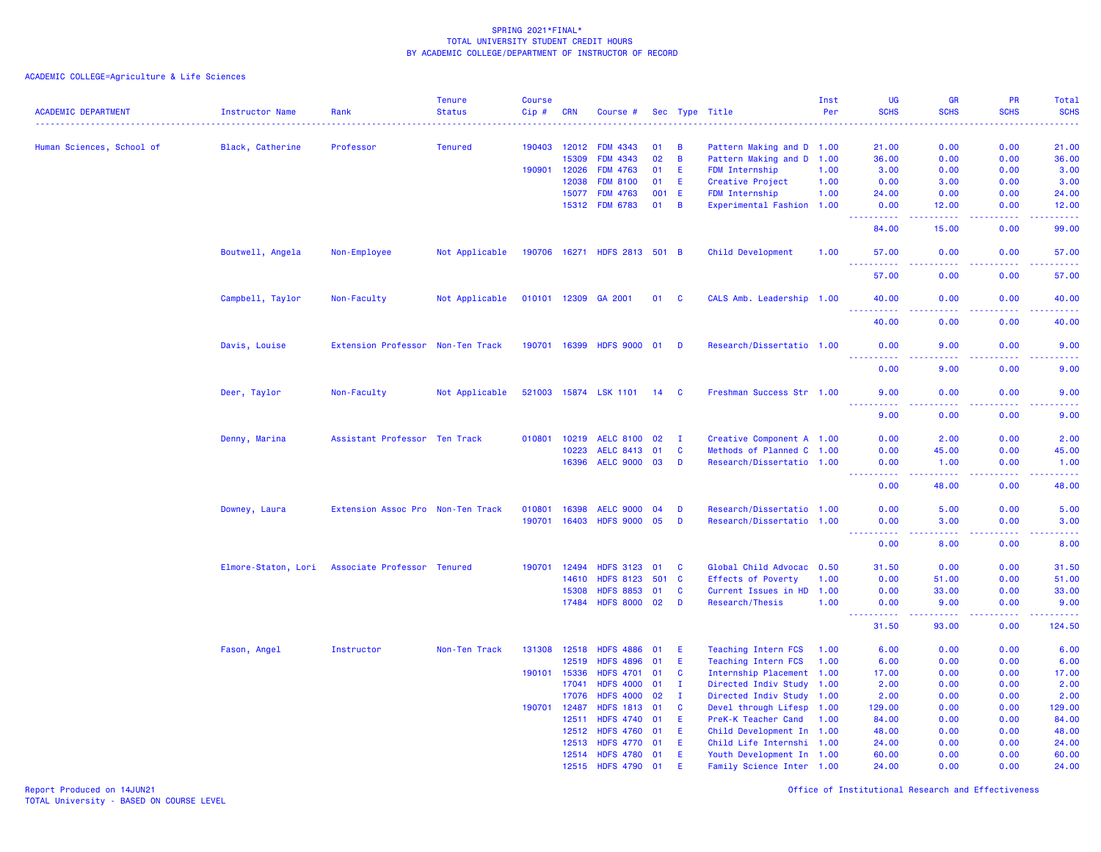ACADEMIC COLLEGE=Agriculture & Life Sciences

| <b>ACADEMIC DEPARTMENT</b> | <b>Instructor Name</b> | Rank                              | <b>Tenure</b><br><b>Status</b> | <b>Course</b><br>Cip# | <b>CRN</b>     | Course #                             |             |                | Sec Type Title                                         | Inst<br>Per | <b>UG</b><br><b>SCHS</b>                      | <b>GR</b><br><b>SCHS</b>                                                                                                          | <b>PR</b><br><b>SCHS</b> | Total<br><b>SCHS</b><br><b><i><u><u>.</u></u></i></b> |
|----------------------------|------------------------|-----------------------------------|--------------------------------|-----------------------|----------------|--------------------------------------|-------------|----------------|--------------------------------------------------------|-------------|-----------------------------------------------|-----------------------------------------------------------------------------------------------------------------------------------|--------------------------|-------------------------------------------------------|
| Human Sciences, School of  | Black, Catherine       | Professor                         | <b>Tenured</b>                 | 190403                | 12012          | <b>FDM 4343</b>                      | 01          | B              | Pattern Making and D 1.00                              |             | 21.00                                         | 0.00                                                                                                                              | 0.00                     | 21.00                                                 |
|                            |                        |                                   |                                |                       | 15309          | FDM 4343                             | 02          | $\overline{B}$ | Pattern Making and D                                   | 1.00        | 36.00                                         | 0.00                                                                                                                              | 0.00                     | 36.00                                                 |
|                            |                        |                                   |                                | 190901                | 12026          | <b>FDM 4763</b>                      | 01          | E              | FDM Internship                                         | 1.00        | 3.00                                          | 0.00                                                                                                                              | 0.00                     | 3.00                                                  |
|                            |                        |                                   |                                |                       | 12038          | <b>FDM 8100</b>                      | 01          | E.             | Creative Project                                       | 1.00        | 0.00                                          | 3.00                                                                                                                              | 0.00                     | 3.00                                                  |
|                            |                        |                                   |                                |                       | 15077          | <b>FDM 4763</b>                      | 001         | - E            | FDM Internship                                         | 1.00        | 24.00                                         | 0.00                                                                                                                              | 0.00                     | 24.00                                                 |
|                            |                        |                                   |                                |                       |                | 15312 FDM 6783                       | 01          | $\overline{B}$ | Experimental Fashion 1.00                              |             | 0.00<br><b>.</b>                              | 12.00<br>22222                                                                                                                    | 0.00<br>.                | 12.00<br>.                                            |
|                            |                        |                                   |                                |                       |                |                                      |             |                |                                                        |             | 84.00                                         | 15.00                                                                                                                             | 0.00                     | 99.00                                                 |
|                            | Boutwell, Angela       | Non-Employee                      | Not Applicable                 |                       |                | 190706 16271 HDFS 2813 501 B         |             |                | Child Development                                      | 1.00        | 57.00<br><b>.</b>                             | 0.00<br>$\sim$ $\sim$ $\sim$ $\sim$                                                                                               | 0.00<br>.                | 57.00<br>المتمامي                                     |
|                            |                        |                                   |                                |                       |                |                                      |             |                |                                                        |             | 57.00                                         | 0.00                                                                                                                              | 0.00                     | 57.00                                                 |
|                            | Campbell, Taylor       | Non-Faculty                       | Not Applicable                 |                       | 010101 12309   | GA 2001                              |             | 01 C           | CALS Amb. Leadership 1.00                              |             | 40.00<br><b><i><u><u><b>A</b></u></u></i></b> | 0.00<br>.                                                                                                                         | 0.00<br>.                | 40.00<br>.                                            |
|                            |                        |                                   |                                |                       |                |                                      |             |                |                                                        |             | 40.00                                         | 0.00                                                                                                                              | 0.00                     | 40.00                                                 |
|                            | Davis, Louise          | Extension Professor Non-Ten Track |                                |                       |                | 190701 16399 HDFS 9000 01            |             | <b>D</b>       | Research/Dissertatio 1.00                              |             | 0.00                                          | 9.00                                                                                                                              | 0.00                     | 9.00                                                  |
|                            |                        |                                   |                                |                       |                |                                      |             |                |                                                        |             | 0.00                                          | 9.00                                                                                                                              | 0.00                     | 9.00                                                  |
|                            | Deer, Taylor           | Non-Faculty                       | Not Applicable                 |                       |                | 521003 15874 LSK 1101                | $14\quad C$ |                | Freshman Success Str 1.00                              |             | 9.00<br><u>.</u>                              | 0.00<br>.                                                                                                                         | 0.00                     | 9.00                                                  |
|                            |                        |                                   |                                |                       |                |                                      |             |                |                                                        |             | 9.00                                          | 0.00                                                                                                                              | 0.00                     | 9.00                                                  |
|                            | Denny, Marina          | Assistant Professor Ten Track     |                                | 010801                | 10219          | <b>AELC 8100</b>                     | 02          | $\mathbf{I}$   | Creative Component A 1.00                              |             | 0.00                                          | 2.00                                                                                                                              | 0.00                     | 2.00                                                  |
|                            |                        |                                   |                                |                       | 10223          | <b>AELC 8413</b>                     | 01          | <b>C</b>       | Methods of Planned C 1.00                              |             | 0.00                                          | 45.00                                                                                                                             | 0.00                     | 45.00                                                 |
|                            |                        |                                   |                                |                       | 16396          | <b>AELC 9000</b>                     | 03          | D              | Research/Dissertatio 1.00                              |             | 0.00                                          | 1.00                                                                                                                              | 0.00                     | 1.00                                                  |
|                            |                        |                                   |                                |                       |                |                                      |             |                |                                                        |             | <u>.</u><br>0.00                              | الداعات عامان<br>48.00                                                                                                            | 2.2.2.2.2<br>0.00        | <u>.</u><br>48.00                                     |
|                            | Downey, Laura          | Extension Assoc Pro Non-Ten Track |                                | 010801                | 16398          | <b>AELC 9000</b>                     | 04          | D              | Research/Dissertatio 1.00                              |             | 0.00                                          | 5.00                                                                                                                              | 0.00                     | 5.00                                                  |
|                            |                        |                                   |                                | 190701                | 16403          | <b>HDFS 9000</b>                     | 05          | D              | Research/Dissertatio 1.00                              |             | 0.00                                          | 3.00                                                                                                                              | 0.00                     | 3.00                                                  |
|                            |                        |                                   |                                |                       |                |                                      |             |                |                                                        |             | 222222<br>0.00                                | .<br>8.00                                                                                                                         | .<br>0.00                | .<br>8.00                                             |
|                            | Elmore-Staton, Lori    | Associate Professor Tenured       |                                | 190701                | 12494          | <b>HDFS 3123</b>                     | 01          | <b>C</b>       | Global Child Advocac 0.50                              |             | 31.50                                         | 0.00                                                                                                                              | 0.00                     | 31.50                                                 |
|                            |                        |                                   |                                |                       | 14610          | <b>HDFS 8123</b>                     | 501 C       |                | <b>Effects of Poverty</b>                              | 1.00        | 0.00                                          | 51.00                                                                                                                             | 0.00                     | 51.00                                                 |
|                            |                        |                                   |                                |                       | 15308          | <b>HDFS 8853</b>                     | 01          | $\mathbf{C}$   | Current Issues in HD 1.00                              |             | 0.00                                          | 33.00                                                                                                                             | 0.00                     | 33.00                                                 |
|                            |                        |                                   |                                |                       | 17484          | <b>HDFS 8000</b>                     | 02          | D              | <b>Research/Thesis</b>                                 | 1.00        | 0.00<br>22222                                 | 9.00<br>$\frac{1}{2} \left( \frac{1}{2} \right) \left( \frac{1}{2} \right) \left( \frac{1}{2} \right) \left( \frac{1}{2} \right)$ | 0.00                     | 9.00<br>.                                             |
|                            |                        |                                   |                                |                       |                |                                      |             |                |                                                        |             | 31.50                                         | 93.00                                                                                                                             | 0.00                     | 124.50                                                |
|                            | Fason, Angel           | Instructor                        | Non-Ten Track                  |                       | 131308 12518   | <b>HDFS 4886</b>                     | 01          | -E             | Teaching Intern FCS                                    | 1.00        | 6.00                                          | 0.00                                                                                                                              | 0.00                     | 6.00                                                  |
|                            |                        |                                   |                                |                       | 12519          | <b>HDFS 4896</b>                     | 01          | E              | Teaching Intern FCS                                    | 1.00        | 6.00                                          | 0.00                                                                                                                              | 0.00                     | 6.00                                                  |
|                            |                        |                                   |                                | 190101                | 15336          | <b>HDFS 4701</b>                     | 01          | <b>C</b>       | Internship Placement 1.00                              |             | 17.00                                         | 0.00                                                                                                                              | 0.00                     | 17.00                                                 |
|                            |                        |                                   |                                |                       | 17041          | <b>HDFS 4000</b>                     | 01          | $\mathbf{I}$   | Directed Indiv Study 1.00                              |             | 2.00                                          | 0.00                                                                                                                              | 0.00                     | 2.00                                                  |
|                            |                        |                                   |                                |                       | 17076          | <b>HDFS 4000</b>                     | 02          | $\mathbf{I}$   | Directed Indiv Study 1.00                              |             | 2.00                                          | 0.00                                                                                                                              | 0.00                     | 2.00                                                  |
|                            |                        |                                   |                                | 190701                | 12487          | <b>HDFS 1813</b>                     | 01          | C              | Devel through Lifesp 1.00                              |             | 129.00                                        | 0.00                                                                                                                              | 0.00                     | 129.00                                                |
|                            |                        |                                   |                                |                       | 12511          | <b>HDFS 4740</b><br><b>HDFS 4760</b> | 01          | E<br>E         | PreK-K Teacher Cand                                    | 1.00        | 84.00<br>48.00                                | 0.00<br>0.00                                                                                                                      | 0.00<br>0.00             | 84.00<br>48.00                                        |
|                            |                        |                                   |                                |                       | 12512<br>12513 | <b>HDFS 4770</b>                     | 01<br>01    | E              | Child Development In 1.00<br>Child Life Internshi 1.00 |             | 24.00                                         | 0.00                                                                                                                              | 0.00                     | 24.00                                                 |
|                            |                        |                                   |                                |                       | 12514          | <b>HDFS 4780</b>                     | 01          | E              | Youth Development In 1.00                              |             | 60.00                                         | 0.00                                                                                                                              | 0.00                     | 60.00                                                 |
|                            |                        |                                   |                                |                       | 12515          | <b>HDFS 4790</b>                     | 01          | Ε              | Family Science Inter 1.00                              |             | 24.00                                         | 0.00                                                                                                                              | 0.00                     | 24.00                                                 |
|                            |                        |                                   |                                |                       |                |                                      |             |                |                                                        |             |                                               |                                                                                                                                   |                          |                                                       |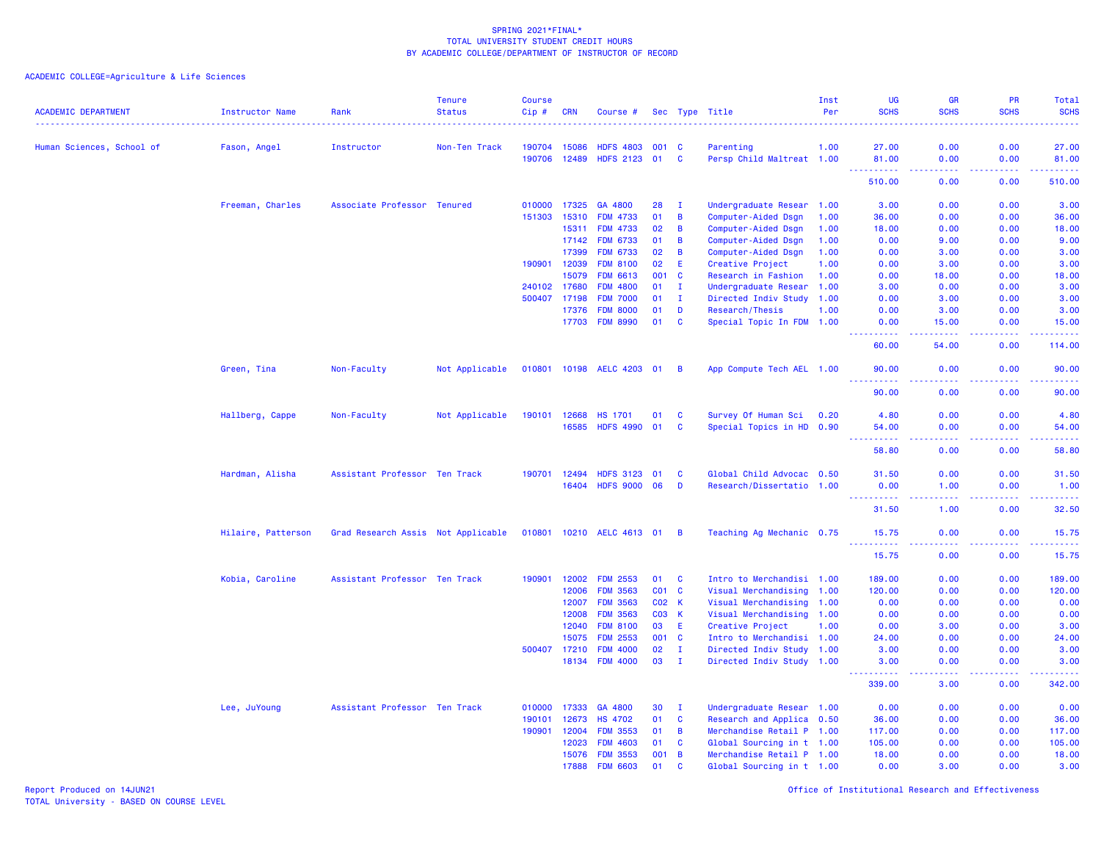ACADEMIC COLLEGE=Agriculture & Life Sciences

| <b>ACADEMIC DEPARTMENT</b> | <b>Instructor Name</b> | Rank                               | <b>Tenure</b><br><b>Status</b> | <b>Course</b><br>Cip# | <b>CRN</b>   | Course #                    |       |                | Sec Type Title            | Inst<br>Per | <b>UG</b><br><b>SCHS</b> | <b>GR</b><br><b>SCHS</b>            | <b>PR</b><br><b>SCHS</b> | Total<br><b>SCHS</b><br><u>.</u> |
|----------------------------|------------------------|------------------------------------|--------------------------------|-----------------------|--------------|-----------------------------|-------|----------------|---------------------------|-------------|--------------------------|-------------------------------------|--------------------------|----------------------------------|
| Human Sciences, School of  | Fason, Angel           | Instructor                         | Non-Ten Track                  | 190704                | 15086        | <b>HDFS 4803</b>            | 001 C |                | Parenting                 | 1.00        | 27.00                    | 0.00                                | 0.00                     | 27.00                            |
|                            |                        |                                    |                                | 190706                | 12489        | <b>HDFS 2123</b>            | 01    | <b>C</b>       | Persp Child Maltreat 1.00 |             | 81.00                    | 0.00                                | 0.00                     | 81.00                            |
|                            |                        |                                    |                                |                       |              |                             |       |                |                           |             | -----<br>510.00          | $\sim$ $\sim$ $\sim$ $\sim$<br>0.00 | د د د د<br>0.00          | .<br>510.00                      |
|                            | Freeman, Charles       | Associate Professor Tenured        |                                | 010000                | 17325        | GA 4800                     | 28    | $\mathbf{I}$   | Undergraduate Resear 1.00 |             | 3.00                     | 0.00                                | 0.00                     | 3.00                             |
|                            |                        |                                    |                                | 151303                | 15310        | <b>FDM 4733</b>             | 01    | $\overline{B}$ | Computer-Aided Dsgn       | 1.00        | 36.00                    | 0.00                                | 0.00                     | 36.00                            |
|                            |                        |                                    |                                |                       | 15311        | <b>FDM 4733</b>             | 02    | $\,$ B         | Computer-Aided Dsgn       | 1.00        | 18.00                    | 0.00                                | 0.00                     | 18.00                            |
|                            |                        |                                    |                                |                       | 17142        | <b>FDM 6733</b>             | 01    | $\overline{B}$ | Computer-Aided Dsgn       | 1.00        | 0.00                     | 9.00                                | 0.00                     | 9.00                             |
|                            |                        |                                    |                                |                       | 17399        | <b>FDM 6733</b>             | 02    | B              | Computer-Aided Dsgn       | 1.00        | 0.00                     | 3.00                                | 0.00                     | 3.00                             |
|                            |                        |                                    |                                | 190901                | 12039        | <b>FDM 8100</b>             | 02    | E.             | Creative Project          | 1.00        | 0.00                     | 3.00                                | 0.00                     | 3.00                             |
|                            |                        |                                    |                                |                       | 15079        | <b>FDM 6613</b>             | 001 C |                | Research in Fashion       | 1.00        | 0.00                     | 18.00                               | 0.00                     | 18.00                            |
|                            |                        |                                    |                                | 240102                | 17680        | <b>FDM 4800</b>             | 01    | $\mathbf{I}$   | Undergraduate Resear 1.00 |             | 3.00                     | 0.00                                | 0.00                     | 3.00                             |
|                            |                        |                                    |                                | 500407                | 17198        | <b>FDM 7000</b>             | 01    | $\mathbf{I}$   | Directed Indiv Study      | 1.00        | 0.00                     | 3.00                                | 0.00                     | 3.00                             |
|                            |                        |                                    |                                |                       | 17376        | <b>FDM 8000</b>             | 01    | D              | Research/Thesis           | 1.00        | 0.00                     | 3.00                                | 0.00                     | 3.00                             |
|                            |                        |                                    |                                |                       | 17703        | <b>FDM 8990</b>             | 01    | $\mathbf{C}$   | Special Topic In FDM 1.00 |             | 0.00                     | 15.00                               | 0.00                     | 15.00                            |
|                            |                        |                                    |                                |                       |              |                             |       |                |                           |             | 60.00                    | 54.00                               | 0.00                     | 114.00                           |
|                            | Green, Tina            | Non-Faculty                        | Not Applicable                 |                       |              | 010801 10198 AELC 4203 01 B |       |                | App Compute Tech AEL 1.00 |             | 90.00<br>.               | 0.00<br>.                           | 0.00<br>-----            | 90.00<br>.                       |
|                            |                        |                                    |                                |                       |              |                             |       |                |                           |             | 90.00                    | 0.00                                | 0.00                     | 90.00                            |
|                            | Hallberg, Cappe        | Non-Faculty                        | Not Applicable                 | 190101                | 12668        | <b>HS 1701</b>              | 01    | <b>C</b>       | Survey Of Human Sci       | 0.20        | 4.80                     | 0.00                                | 0.00                     | 4.80                             |
|                            |                        |                                    |                                |                       | 16585        | <b>HDFS 4990</b>            | 01    | <b>C</b>       | Special Topics in HD 0.90 |             | 54.00                    | 0.00                                | 0.00                     | 54.00                            |
|                            |                        |                                    |                                |                       |              |                             |       |                |                           |             |                          |                                     |                          |                                  |
|                            |                        |                                    |                                |                       |              |                             |       |                |                           |             | 58.80                    | 0.00                                | 0.00                     | 58.80                            |
|                            | Hardman, Alisha        | Assistant Professor Ten Track      |                                |                       | 190701 12494 | <b>HDFS 3123</b>            | 01    | <b>C</b>       | Global Child Advocac 0.50 |             | 31.50                    | 0.00                                | 0.00                     | 31.50                            |
|                            |                        |                                    |                                |                       | 16404        | <b>HDFS 9000</b>            | 06    | D              | Research/Dissertatio 1.00 |             | 0.00<br>.                | 1.00<br>.                           | 0.00<br>$   -$           | 1.00<br>.                        |
|                            |                        |                                    |                                |                       |              |                             |       |                |                           |             | 31.50                    | 1.00                                | 0.00                     | 32.50                            |
|                            | Hilaire, Patterson     | Grad Research Assis Not Applicable |                                |                       |              | 010801 10210 AELC 4613 01 B |       |                | Teaching Ag Mechanic 0.75 |             | 15.75<br>.               | 0.00<br>.                           | 0.00<br>.                | 15.75<br>.                       |
|                            |                        |                                    |                                |                       |              |                             |       |                |                           |             | 15.75                    | 0.00                                | 0.00                     | 15.75                            |
|                            | Kobia, Caroline        | Assistant Professor Ten Track      |                                | 190901                | 12002        | <b>FDM 2553</b>             | 01 C  |                | Intro to Merchandisi 1.00 |             | 189.00                   | 0.00                                | 0.00                     | 189.00                           |
|                            |                        |                                    |                                |                       | 12006        | <b>FDM 3563</b>             | CO1   | $\mathbf{C}$   | Visual Merchandising      | 1.00        | 120.00                   | 0.00                                | 0.00                     | 120.00                           |
|                            |                        |                                    |                                |                       | 12007        | <b>FDM 3563</b>             | CO2 K |                | Visual Merchandising 1.00 |             | 0.00                     | 0.00                                | 0.00                     | 0.00                             |
|                            |                        |                                    |                                |                       | 12008        | <b>FDM 3563</b>             | C03 K |                | Visual Merchandising 1.00 |             | 0.00                     | 0.00                                | 0.00                     | 0.00                             |
|                            |                        |                                    |                                |                       | 12040        | <b>FDM 8100</b>             | 03    | E.             | Creative Project          | 1.00        | 0.00                     | 3.00                                | 0.00                     | 3.00                             |
|                            |                        |                                    |                                |                       | 15075        | <b>FDM 2553</b>             | 001 C |                | Intro to Merchandisi 1.00 |             | 24.00                    | 0.00                                | 0.00                     | 24.00                            |
|                            |                        |                                    |                                | 500407                | 17210        | <b>FDM 4000</b>             | 02    | $\mathbf{I}$   | Directed Indiv Study 1.00 |             | 3.00                     | 0.00                                | 0.00                     | 3.00                             |
|                            |                        |                                    |                                |                       | 18134        | <b>FDM 4000</b>             | 03    | $\mathbf{I}$   | Directed Indiv Study 1.00 |             | 3.00<br>.                | 0.00<br>$\sim$ $\sim$ $\sim$ $\sim$ | 0.00<br>22222            | 3.00<br>.                        |
|                            |                        |                                    |                                |                       |              |                             |       |                |                           |             | 339.00                   | 3.00                                | 0.00                     | 342.00                           |
|                            | Lee, JuYoung           | Assistant Professor Ten Track      |                                | 010000                | 17333        | GA 4800                     | 30    | $\mathbf{I}$   | Undergraduate Resear 1.00 |             | 0.00                     | 0.00                                | 0.00                     | 0.00                             |
|                            |                        |                                    |                                | 190101                | 12673        | <b>HS 4702</b>              | 01    | $\mathbf{C}$   | Research and Applica 0.50 |             | 36.00                    | 0.00                                | 0.00                     | 36.00                            |
|                            |                        |                                    |                                | 190901                | 12004        | <b>FDM 3553</b>             | 01    | $\overline{B}$ | Merchandise Retail P 1.00 |             | 117.00                   | 0.00                                | 0.00                     | 117.00                           |
|                            |                        |                                    |                                |                       | 12023        | <b>FDM 4603</b>             | 01    | $\mathbf{C}$   | Global Sourcing in t 1.00 |             | 105.00                   | 0.00                                | 0.00                     | 105.00                           |
|                            |                        |                                    |                                |                       | 15076        | <b>FDM 3553</b>             | 001   | $\overline{B}$ | Merchandise Retail P 1.00 |             | 18.00                    | 0.00                                | 0.00                     | 18.00                            |
|                            |                        |                                    |                                |                       | 17888        | <b>FDM 6603</b>             | 01    | $\mathbf{C}$   | Global Sourcing in t 1.00 |             | 0.00                     | 3.00                                | 0.00                     | 3.00                             |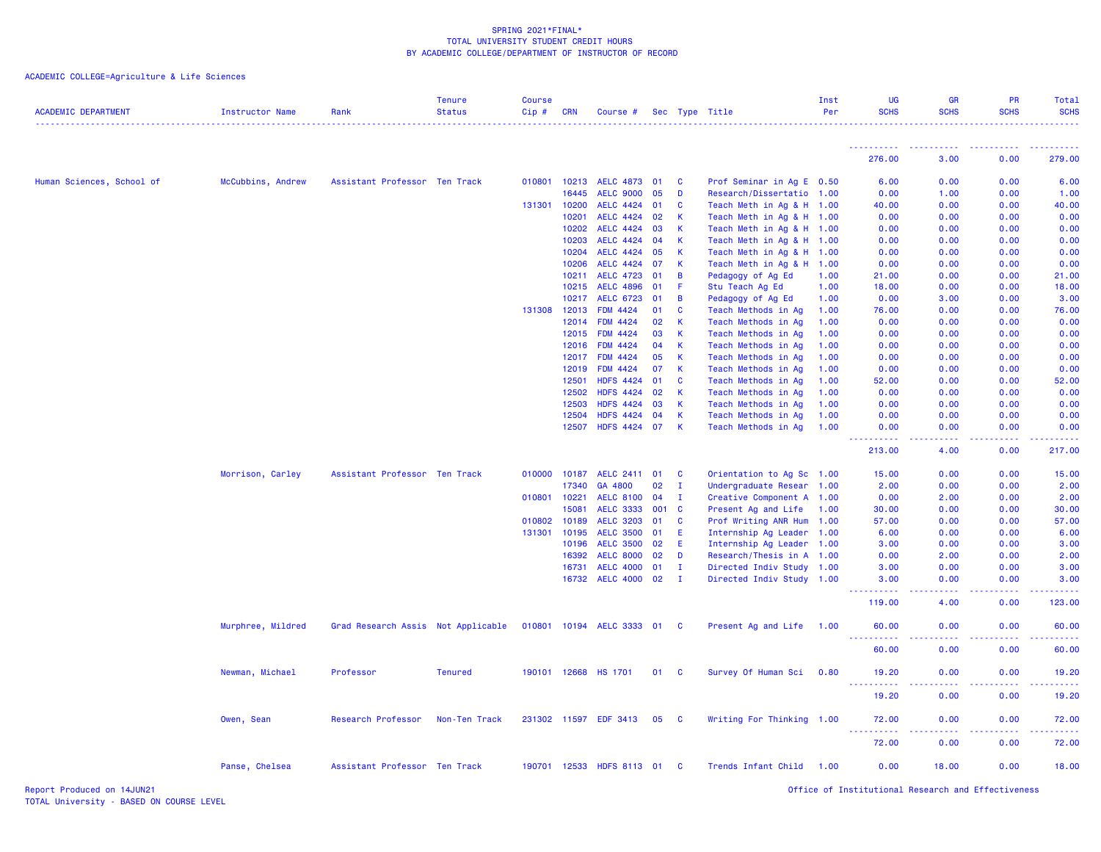# ACADEMIC COLLEGE=Agriculture & Life Sciences

| <b>ACADEMIC DEPARTMENT</b> | <b>Instructor Name</b> | Rank                               | <b>Tenure</b><br><b>Status</b> | <b>Course</b><br>$Cip \#$ | <b>CRN</b>   | Course #                    |       |              | Sec Type Title            | Inst<br>Per | <b>UG</b><br><b>SCHS</b>             | <b>GR</b><br><b>SCHS</b> | PR<br><b>SCHS</b>                                                                                                                                            | Total<br><b>SCHS</b>                                                                                                                                                                    |
|----------------------------|------------------------|------------------------------------|--------------------------------|---------------------------|--------------|-----------------------------|-------|--------------|---------------------------|-------------|--------------------------------------|--------------------------|--------------------------------------------------------------------------------------------------------------------------------------------------------------|-----------------------------------------------------------------------------------------------------------------------------------------------------------------------------------------|
|                            |                        |                                    |                                |                           |              |                             |       |              |                           |             | ----------                           |                          | .                                                                                                                                                            |                                                                                                                                                                                         |
|                            |                        |                                    |                                |                           |              |                             |       |              |                           |             | 276.00                               | 3.00                     | 0.00                                                                                                                                                         | 279.00                                                                                                                                                                                  |
| Human Sciences, School of  | McCubbins, Andrew      | Assistant Professor Ten Track      |                                | 010801                    | 10213        | AELC 4873 01                |       | <b>C</b>     | Prof Seminar in Ag E 0.50 |             | 6.00                                 | 0.00                     | 0.00                                                                                                                                                         | 6.00                                                                                                                                                                                    |
|                            |                        |                                    |                                |                           | 16445        | <b>AELC 9000</b>            | 05    | D            | Research/Dissertatio 1.00 |             | 0.00                                 | 1.00                     | 0.00                                                                                                                                                         | 1.00                                                                                                                                                                                    |
|                            |                        |                                    |                                |                           | 131301 10200 | AELC 4424 01                |       | C            | Teach Meth in Ag & H      | 1.00        | 40.00                                | 0.00                     | 0.00                                                                                                                                                         | 40.00                                                                                                                                                                                   |
|                            |                        |                                    |                                |                           | 10201        | <b>AELC 4424</b>            | 02    | K            | Teach Meth in Ag & H      | 1.00        | 0.00                                 | 0.00                     | 0.00                                                                                                                                                         | 0.00                                                                                                                                                                                    |
|                            |                        |                                    |                                |                           | 10202        | AELC 4424 03                |       | К            | Teach Meth in Ag & H      | 1.00        | 0.00                                 | 0.00                     | 0.00                                                                                                                                                         | 0.00                                                                                                                                                                                    |
|                            |                        |                                    |                                |                           | 10203        | <b>AELC 4424</b>            | 04    | K            | Teach Meth in Ag & H      | 1.00        | 0.00                                 | 0.00                     | 0.00                                                                                                                                                         | 0.00                                                                                                                                                                                    |
|                            |                        |                                    |                                |                           | 10204        | AELC 4424 05                |       | K            | Teach Meth in Ag & H      | 1.00        | 0.00                                 | 0.00                     | 0.00                                                                                                                                                         | 0.00                                                                                                                                                                                    |
|                            |                        |                                    |                                |                           | 10206        | <b>AELC 4424</b>            | 07    | K.           | Teach Meth in Ag & H      | 1.00        | 0.00                                 | 0.00                     | 0.00                                                                                                                                                         | 0.00                                                                                                                                                                                    |
|                            |                        |                                    |                                |                           | 10211        | <b>AELC 4723</b>            | 01    | B            | Pedagogy of Ag Ed         | 1.00        | 21.00                                | 0.00                     | 0.00                                                                                                                                                         | 21.00                                                                                                                                                                                   |
|                            |                        |                                    |                                |                           | 10215        | AELC 4896 01                |       | -F           | Stu Teach Ag Ed           | 1.00        | 18.00                                | 0.00                     | 0.00                                                                                                                                                         | 18.00                                                                                                                                                                                   |
|                            |                        |                                    |                                |                           | 10217        | <b>AELC 6723</b>            | 01    | B            | Pedagogy of Ag Ed         | 1.00        | 0.00                                 | 3.00                     | 0.00                                                                                                                                                         | 3.00                                                                                                                                                                                    |
|                            |                        |                                    |                                | 131308                    | 12013        | <b>FDM 4424</b>             | 01    | C            | Teach Methods in Ag       | 1.00        | 76.00                                | 0.00                     | 0.00                                                                                                                                                         | 76.00                                                                                                                                                                                   |
|                            |                        |                                    |                                |                           | 12014        | <b>FDM 4424</b>             | 02    | К            | Teach Methods in Ag       | 1.00        | 0.00                                 | 0.00                     | 0.00                                                                                                                                                         | 0.00                                                                                                                                                                                    |
|                            |                        |                                    |                                |                           | 12015        | <b>FDM 4424</b>             | 03    | К            | Teach Methods in Ag       | 1.00        | 0.00                                 | 0.00                     | 0.00                                                                                                                                                         | 0.00                                                                                                                                                                                    |
|                            |                        |                                    |                                |                           | 12016        | <b>FDM 4424</b>             | 04    | К            | Teach Methods in Ag       | 1.00        | 0.00                                 | 0.00                     | 0.00                                                                                                                                                         | 0.00                                                                                                                                                                                    |
|                            |                        |                                    |                                |                           | 12017        | <b>FDM 4424</b>             | 05    | К            | Teach Methods in Ag       | 1.00        | 0.00                                 | 0.00                     | 0.00                                                                                                                                                         | 0.00                                                                                                                                                                                    |
|                            |                        |                                    |                                |                           | 12019        | <b>FDM 4424</b>             | 07    | К            | Teach Methods in Ag       | 1.00        | 0.00                                 | 0.00                     | 0.00                                                                                                                                                         | 0.00                                                                                                                                                                                    |
|                            |                        |                                    |                                |                           | 12501        | HDFS 4424 01                |       | C            | Teach Methods in Ag       | 1.00        | 52.00                                | 0.00                     | 0.00                                                                                                                                                         | 52.00                                                                                                                                                                                   |
|                            |                        |                                    |                                |                           | 12502        | <b>HDFS 4424</b>            | 02    | K.           | Teach Methods in Ag       | 1.00        | 0.00                                 | 0.00                     | 0.00                                                                                                                                                         | 0.00                                                                                                                                                                                    |
|                            |                        |                                    |                                |                           | 12503        | <b>HDFS 4424</b>            | 03    | K            | Teach Methods in Ag       | 1.00        | 0.00                                 | 0.00                     | 0.00                                                                                                                                                         | 0.00                                                                                                                                                                                    |
|                            |                        |                                    |                                |                           | 12504        | HDFS 4424 04                |       | $\mathsf K$  | Teach Methods in Ag       | 1.00        | 0.00                                 | 0.00                     | 0.00                                                                                                                                                         | 0.00                                                                                                                                                                                    |
|                            |                        |                                    |                                |                           | 12507        | HDFS 4424 07                |       | K            | Teach Methods in Ag       | 1.00        | 0.00<br>.                            | 0.00<br>.                | 0.00<br>22222                                                                                                                                                | 0.00<br>$\frac{1}{2} \left( \frac{1}{2} \right) \left( \frac{1}{2} \right) \left( \frac{1}{2} \right) \left( \frac{1}{2} \right) \left( \frac{1}{2} \right) \left( \frac{1}{2} \right)$ |
|                            |                        |                                    |                                |                           |              |                             |       |              |                           |             | 213.00                               | 4.00                     | 0.00                                                                                                                                                         | 217.00                                                                                                                                                                                  |
|                            | Morrison, Carley       | Assistant Professor Ten Track      |                                | 010000                    | 10187        | <b>AELC 2411</b>            | 01    | C            | Orientation to Ag Sc 1.00 |             | 15.00                                | 0.00                     | 0.00                                                                                                                                                         | 15.00                                                                                                                                                                                   |
|                            |                        |                                    |                                |                           | 17340        | GA 4800                     | 02    | $\mathbf{I}$ | Undergraduate Resear 1.00 |             | 2.00                                 | 0.00                     | 0.00                                                                                                                                                         | 2.00                                                                                                                                                                                    |
|                            |                        |                                    |                                | 010801                    | 10221        | AELC 8100 04                |       | $\mathbf I$  | Creative Component A 1.00 |             | 0.00                                 | 2.00                     | 0.00                                                                                                                                                         | 2.00                                                                                                                                                                                    |
|                            |                        |                                    |                                |                           | 15081        | <b>AELC 3333</b>            | 001 C |              | Present Ag and Life       | 1.00        | 30,00                                | 0.00                     | 0.00                                                                                                                                                         | 30.00                                                                                                                                                                                   |
|                            |                        |                                    |                                |                           | 010802 10189 | AELC 3203 01                |       | <b>C</b>     | Prof Writing ANR Hum      | 1.00        | 57.00                                | 0.00                     | 0.00                                                                                                                                                         | 57.00                                                                                                                                                                                   |
|                            |                        |                                    |                                | 131301                    | 10195        | <b>AELC 3500</b>            | 01    | Æ            | Internship Ag Leader      | 1.00        | 6.00                                 | 0.00                     | 0.00                                                                                                                                                         | 6.00                                                                                                                                                                                    |
|                            |                        |                                    |                                |                           | 10196        | AELC 3500 02                |       | E            | Internship Ag Leader      | 1.00        | 3.00                                 | 0.00                     | 0.00                                                                                                                                                         | 3.00                                                                                                                                                                                    |
|                            |                        |                                    |                                |                           | 16392        | <b>AELC 8000</b>            | 02    | D            | Research/Thesis in A 1.00 |             | 0.00                                 | 2.00                     | 0.00                                                                                                                                                         | 2.00                                                                                                                                                                                    |
|                            |                        |                                    |                                |                           | 16731        | AELC 4000 01                |       | - I          | Directed Indiv Study 1.00 |             | 3.00                                 | 0.00                     | 0.00                                                                                                                                                         | 3.00                                                                                                                                                                                    |
|                            |                        |                                    |                                |                           | 16732        | AELC 4000 02                |       | $\mathbf{I}$ | Directed Indiv Study 1.00 |             | 3.00<br>.                            | 0.00                     | 0.00                                                                                                                                                         | 3.00                                                                                                                                                                                    |
|                            |                        |                                    |                                |                           |              |                             |       |              |                           |             | 119.00                               | 4.00                     | 0.00                                                                                                                                                         | 123.00                                                                                                                                                                                  |
|                            | Murphree, Mildred      | Grad Research Assis Not Applicable |                                |                           |              | 010801 10194 AELC 3333 01 C |       |              | Present Ag and Life 1.00  |             | 60.00<br><b>.</b>                    | 0.00                     | 0.00                                                                                                                                                         | 60.00                                                                                                                                                                                   |
|                            |                        |                                    |                                |                           |              |                             |       |              |                           |             | 60.00                                | 0.00                     | 0.00                                                                                                                                                         | 60.00                                                                                                                                                                                   |
|                            | Newman, Michael        | Professor                          | <b>Tenured</b>                 |                           |              | 190101 12668 HS 1701        | 01    | C            | Survey Of Human Sci       | 0.80        | 19.20<br><u> - - - - - - - - - -</u> | 0.00<br>.                | 0.00<br>-----                                                                                                                                                | 19.20<br>.                                                                                                                                                                              |
|                            |                        |                                    |                                |                           |              |                             |       |              |                           |             | 19.20                                | 0.00                     | 0.00                                                                                                                                                         | 19.20                                                                                                                                                                                   |
|                            | Owen, Sean             | Research Professor                 | Non-Ten Track                  |                           |              | 231302 11597 EDF 3413       | 05    | <b>C</b>     | Writing For Thinking 1.00 |             | 72.00<br>.                           | 0.00<br>.                | 0.00<br>$\frac{1}{2} \left( \frac{1}{2} \right) \left( \frac{1}{2} \right) \left( \frac{1}{2} \right) \left( \frac{1}{2} \right) \left( \frac{1}{2} \right)$ | 72.00<br><u> 22222</u>                                                                                                                                                                  |
|                            |                        |                                    |                                |                           |              |                             |       |              |                           |             | 72.00                                | 0.00                     | 0.00                                                                                                                                                         | 72.00                                                                                                                                                                                   |
|                            | Panse, Chelsea         | Assistant Professor Ten Track      |                                |                           |              | 190701 12533 HDFS 8113 01   |       | <b>C</b>     | Trends Infant Child       | 1.00        | 0.00                                 | 18.00                    | 0.00                                                                                                                                                         | 18.00                                                                                                                                                                                   |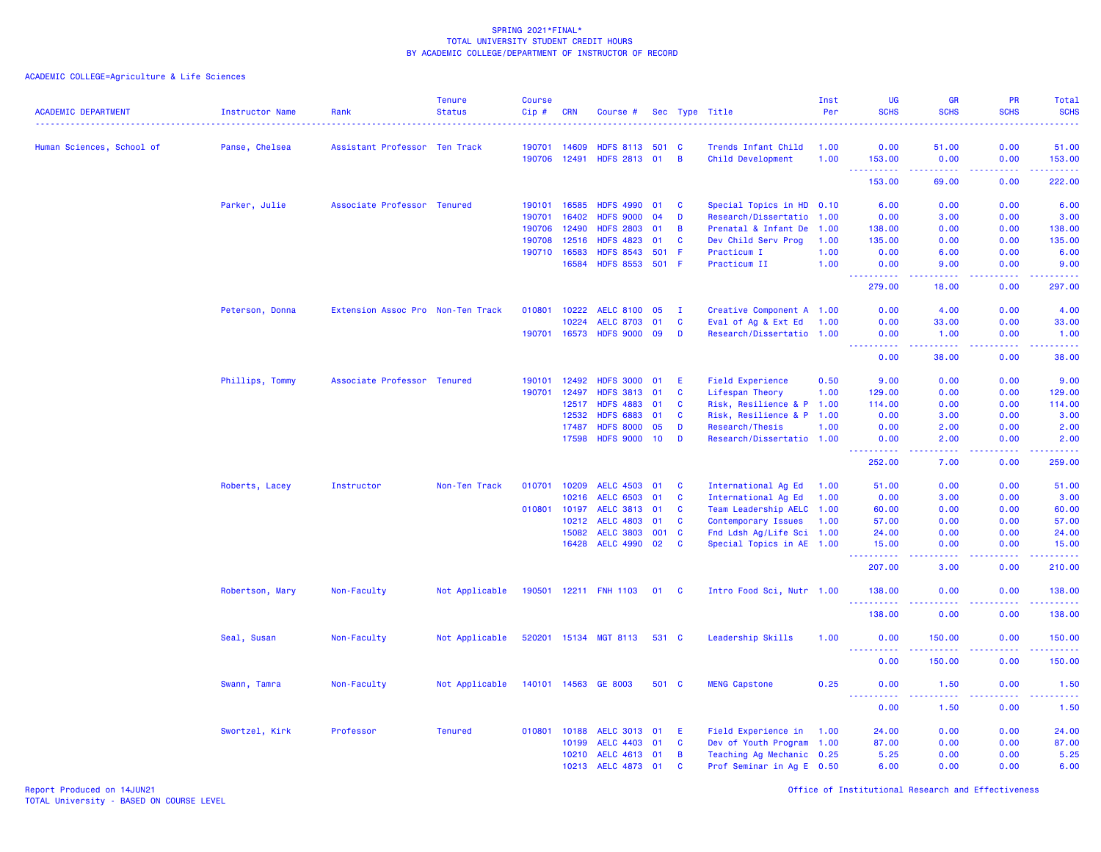| <b>ACADEMIC DEPARTMENT</b> | <b>Instructor Name</b> | Rank                              | <b>Tenure</b><br><b>Status</b> | <b>Course</b><br>Cip#  | <b>CRN</b> | Course #                         |       |                | Sec Type Title<br><u>.</u>               | Inst<br>Per  | <b>UG</b><br><b>SCHS</b>                                                                                                                                       | GR<br><b>SCHS</b> | PR<br><b>SCHS</b> | Total<br><b>SCHS</b><br>. <u>.</u> .                                                                                                                           |
|----------------------------|------------------------|-----------------------------------|--------------------------------|------------------------|------------|----------------------------------|-------|----------------|------------------------------------------|--------------|----------------------------------------------------------------------------------------------------------------------------------------------------------------|-------------------|-------------------|----------------------------------------------------------------------------------------------------------------------------------------------------------------|
|                            |                        |                                   |                                |                        |            |                                  |       |                |                                          |              |                                                                                                                                                                |                   |                   |                                                                                                                                                                |
| Human Sciences, School of  | Panse, Chelsea         | Assistant Professor Ten Track     |                                | 190701<br>190706 12491 | 14609      | <b>HDFS 8113</b><br>HDFS 2813 01 | 501 C | $\overline{B}$ | Trends Infant Child<br>Child Development | 1.00<br>1.00 | 0.00<br>153.00                                                                                                                                                 | 51.00<br>0.00     | 0.00<br>0.00      | 51.00<br>153.00                                                                                                                                                |
|                            |                        |                                   |                                |                        |            |                                  |       |                |                                          |              | . <b>.</b><br>153.00                                                                                                                                           | 2222.<br>69.00    | .<br>0.00         | $\frac{1}{2} \left( \frac{1}{2} \right) \left( \frac{1}{2} \right) \left( \frac{1}{2} \right) \left( \frac{1}{2} \right) \left( \frac{1}{2} \right)$<br>222.00 |
|                            | Parker, Julie          | Associate Professor Tenured       |                                | 190101                 | 16585      | <b>HDFS 4990</b>                 | 01    | <b>C</b>       | Special Topics in HD 0.10                |              | 6.00                                                                                                                                                           | 0.00              | 0.00              | 6.00                                                                                                                                                           |
|                            |                        |                                   |                                | 190701                 | 16402      | <b>HDFS 9000</b>                 | 04    | D              | Research/Dissertatio 1.00                |              | 0.00                                                                                                                                                           | 3.00              | 0.00              | 3.00                                                                                                                                                           |
|                            |                        |                                   |                                | 190706                 | 12490      | <b>HDFS 2803</b>                 | 01    | В              | Prenatal & Infant De                     | 1.00         | 138.00                                                                                                                                                         | 0.00              | 0.00              | 138.00                                                                                                                                                         |
|                            |                        |                                   |                                | 190708                 | 12516      | <b>HDFS 4823</b>                 | 01    | C              | Dev Child Serv Prog                      | 1.00         | 135.00                                                                                                                                                         | 0.00              | 0.00              | 135.00                                                                                                                                                         |
|                            |                        |                                   |                                | 190710                 | 16583      | <b>HDFS 8543</b>                 | 501   | -F             | Practicum I                              | 1.00         | 0.00                                                                                                                                                           | 6.00              | 0.00              | 6.00                                                                                                                                                           |
|                            |                        |                                   |                                |                        | 16584      | <b>HDFS 8553</b>                 | 501   | - F            | Practicum II                             | 1.00         | 0.00                                                                                                                                                           | 9.00              | 0.00              | 9.00                                                                                                                                                           |
|                            |                        |                                   |                                |                        |            |                                  |       |                |                                          |              | $\frac{1}{2} \left( \frac{1}{2} \right) \left( \frac{1}{2} \right) \left( \frac{1}{2} \right) \left( \frac{1}{2} \right) \left( \frac{1}{2} \right)$<br>279.00 | .<br>18.00        | .<br>0.00         | .<br>297.00                                                                                                                                                    |
|                            | Peterson, Donna        | Extension Assoc Pro Non-Ten Track |                                | 010801                 | 10222      | <b>AELC 8100</b>                 | 05    | - I            | Creative Component A 1.00                |              | 0.00                                                                                                                                                           | 4.00              | 0.00              | 4.00                                                                                                                                                           |
|                            |                        |                                   |                                |                        | 10224      | <b>AELC 8703</b>                 | 01    | C              | Eval of Ag & Ext Ed                      | 1.00         | 0.00                                                                                                                                                           | 33.00             | 0.00              | 33.00                                                                                                                                                          |
|                            |                        |                                   |                                | 190701                 | 16573      | <b>HDFS 9000</b>                 | 09    | D              | Research/Dissertatio 1.00                |              | 0.00                                                                                                                                                           | 1.00              | 0.00              | 1.00                                                                                                                                                           |
|                            |                        |                                   |                                |                        |            |                                  |       |                |                                          |              | المتمامين<br>0.00                                                                                                                                              | 22222<br>38.00    | 22222<br>0.00     | .<br>38.00                                                                                                                                                     |
|                            | Phillips, Tommy        | Associate Professor Tenured       |                                | 190101                 | 12492      | <b>HDFS 3000</b>                 | 01    | E              | <b>Field Experience</b>                  | 0.50         | 9.00                                                                                                                                                           | 0.00              | 0.00              | 9.00                                                                                                                                                           |
|                            |                        |                                   |                                | 190701                 | 12497      | <b>HDFS 3813</b>                 | 01    | C              | Lifespan Theory                          | 1.00         | 129.00                                                                                                                                                         | 0.00              | 0.00              | 129.00                                                                                                                                                         |
|                            |                        |                                   |                                |                        | 12517      | <b>HDFS 4883</b>                 | 01    | C              | Risk, Resilience & P 1.00                |              | 114.00                                                                                                                                                         | 0.00              | 0.00              | 114.00                                                                                                                                                         |
|                            |                        |                                   |                                |                        | 12532      | <b>HDFS 6883</b>                 | 01    | C              | Risk, Resilience & P 1.00                |              | 0.00                                                                                                                                                           | 3.00              | 0.00              | 3.00                                                                                                                                                           |
|                            |                        |                                   |                                |                        | 17487      | <b>HDFS 8000</b>                 | 05    | D              | Research/Thesis                          | 1.00         | 0.00                                                                                                                                                           | 2.00              | 0.00              | 2.00                                                                                                                                                           |
|                            |                        |                                   |                                |                        | 17598      | <b>HDFS 9000</b>                 | 10    | D              | Research/Dissertatio 1.00                |              | 0.00<br>.                                                                                                                                                      | 2.00<br>.         | 0.00<br>.         | 2.00<br>$\frac{1}{2} \left( \frac{1}{2} \right) \left( \frac{1}{2} \right) \left( \frac{1}{2} \right) \left( \frac{1}{2} \right) \left( \frac{1}{2} \right)$   |
|                            |                        |                                   |                                |                        |            |                                  |       |                |                                          |              | 252.00                                                                                                                                                         | 7.00              | 0.00              | 259.00                                                                                                                                                         |
|                            | Roberts, Lacey         | Instructor                        | Non-Ten Track                  | 010701                 | 10209      | <b>AELC 4503</b>                 | 01    | <b>C</b>       | International Ag Ed 1.00                 |              | 51.00                                                                                                                                                          | 0.00              | 0.00              | 51.00                                                                                                                                                          |
|                            |                        |                                   |                                |                        | 10216      | <b>AELC 6503</b>                 | 01    | C              | International Ag Ed                      | 1.00         | 0.00                                                                                                                                                           | 3.00              | 0.00              | 3.00                                                                                                                                                           |
|                            |                        |                                   |                                | 010801                 | 10197      | <b>AELC 3813</b>                 | 01    | <b>C</b>       | Team Leadership AELC 1.00                |              | 60.00                                                                                                                                                          | 0.00              | 0.00              | 60.00                                                                                                                                                          |
|                            |                        |                                   |                                |                        | 10212      | <b>AELC 4803</b>                 | 01    | C              | Contemporary Issues                      | 1.00         | 57.00                                                                                                                                                          | 0.00              | 0.00              | 57.00                                                                                                                                                          |
|                            |                        |                                   |                                |                        | 15082      | <b>AELC 3803</b>                 | 001   | $\mathbf{C}$   | Fnd Ldsh Ag/Life Sci 1.00                |              | 24.00                                                                                                                                                          | 0.00              | 0.00              | 24.00                                                                                                                                                          |
|                            |                        |                                   |                                |                        | 16428      | <b>AELC 4990</b>                 | 02    | C              | Special Topics in AE 1.00                |              | 15.00<br>.                                                                                                                                                     | 0.00<br>.         | 0.00<br>.         | 15.00<br>.                                                                                                                                                     |
|                            |                        |                                   |                                |                        |            |                                  |       |                |                                          |              | 207.00                                                                                                                                                         | 3.00              | 0.00              | 210.00                                                                                                                                                         |
|                            | Robertson, Mary        | Non-Faculty                       | Not Applicable                 | 190501                 |            | 12211 FNH 1103                   | 01 C  |                | Intro Food Sci, Nutr 1.00                |              | 138,00                                                                                                                                                         | 0.00              | 0.00              | 138.00                                                                                                                                                         |
|                            |                        |                                   |                                |                        |            |                                  |       |                |                                          |              | 138.00                                                                                                                                                         | 0.00              | 0.00              | 138.00                                                                                                                                                         |
|                            | Seal, Susan            | Non-Faculty                       | Not Applicable                 |                        |            | 520201 15134 MGT 8113            | 531 C |                | Leadership Skills                        | 1.00         | 0.00<br><u>.</u>                                                                                                                                               | 150.00            | 0.00              | 150.00                                                                                                                                                         |
|                            |                        |                                   |                                |                        |            |                                  |       |                |                                          |              | 0.00                                                                                                                                                           | 150.00            | 0.00              | 150.00                                                                                                                                                         |
|                            | Swann, Tamra           | Non-Faculty                       | Not Applicable                 |                        |            | 140101 14563 GE 8003             | 501 C |                | <b>MENG Capstone</b>                     | 0.25         | 0.00                                                                                                                                                           | 1.50              | 0.00              | 1.50<br>المتمام المنا                                                                                                                                          |
|                            |                        |                                   |                                |                        |            |                                  |       |                |                                          |              | 0.00                                                                                                                                                           | 1.50              | 0.00              | 1.50                                                                                                                                                           |
|                            | Swortzel, Kirk         | Professor                         | <b>Tenured</b>                 | 010801                 | 10188      | <b>AELC 3013</b>                 | 01    | E              | Field Experience in 1.00                 |              | 24.00                                                                                                                                                          | 0.00              | 0.00              | 24.00                                                                                                                                                          |
|                            |                        |                                   |                                |                        | 10199      | <b>AELC 4403</b>                 | 01    | C              | Dev of Youth Program 1.00                |              | 87.00                                                                                                                                                          | 0.00              | 0.00              | 87.00                                                                                                                                                          |
|                            |                        |                                   |                                |                        | 10210      | <b>AELC 4613</b>                 | 01    | В              | Teaching Ag Mechanic 0.25                |              | 5.25                                                                                                                                                           | 0.00              | 0.00              | 5.25                                                                                                                                                           |
|                            |                        |                                   |                                |                        | 10213      | AELC 4873 01                     |       | $\mathbf{C}$   | Prof Seminar in Ag E 0.50                |              | 6.00                                                                                                                                                           | 0.00              | 0.00              | 6.00                                                                                                                                                           |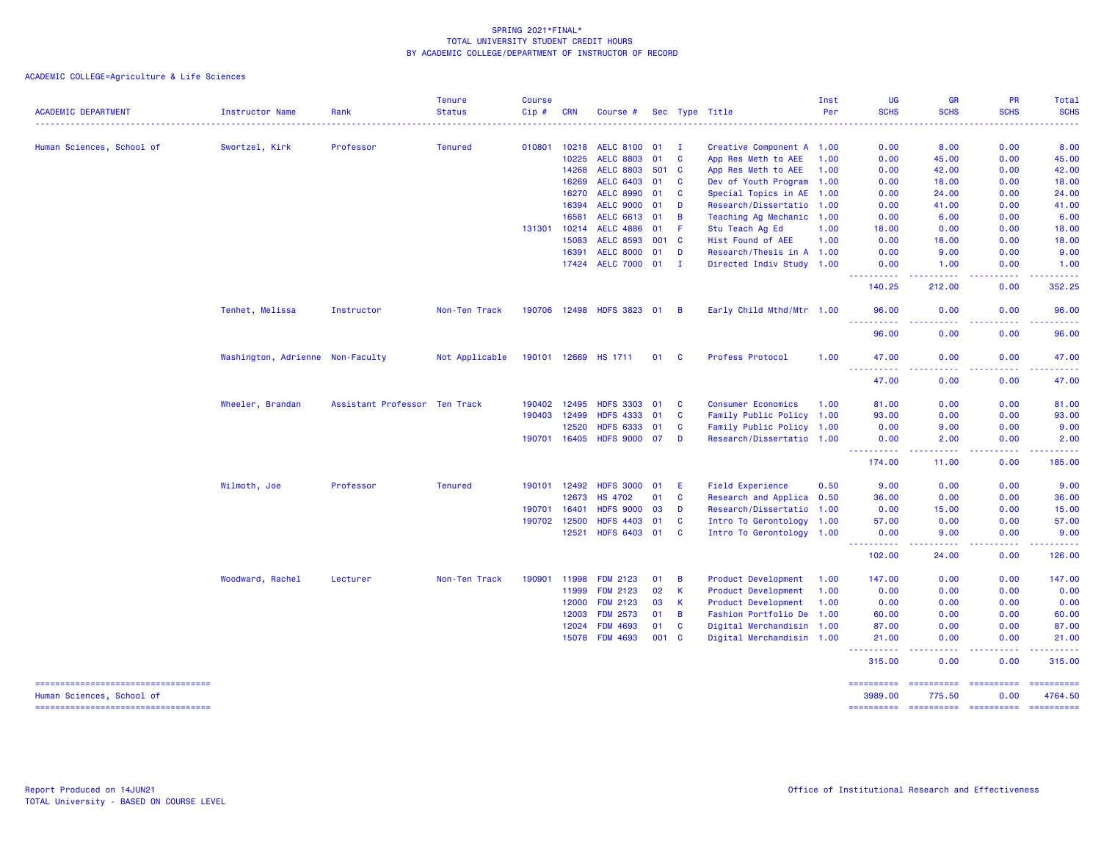ACADEMIC COLLEGE=Agriculture & Life Sciences

| <b>ACADEMIC DEPARTMENT</b> | Instructor Name                  | Rank                          | <b>Tenure</b><br><b>Status</b> | <b>Course</b><br>Cip# | <b>CRN</b>   | Course #                  |       |                | Sec Type Title            | Inst<br>Per | <b>UG</b><br><b>SCHS</b>                                                                               | <b>GR</b><br><b>SCHS</b>                                                                                                          | <b>PR</b><br><b>SCHS</b> | Total<br><b>SCHS</b>                                                                                                                                 |
|----------------------------|----------------------------------|-------------------------------|--------------------------------|-----------------------|--------------|---------------------------|-------|----------------|---------------------------|-------------|--------------------------------------------------------------------------------------------------------|-----------------------------------------------------------------------------------------------------------------------------------|--------------------------|------------------------------------------------------------------------------------------------------------------------------------------------------|
|                            |                                  |                               |                                |                       |              |                           |       |                |                           |             |                                                                                                        |                                                                                                                                   | $- - - - -$              | $\frac{1}{2} \left( \frac{1}{2} \right) \left( \frac{1}{2} \right) \left( \frac{1}{2} \right) \left( \frac{1}{2} \right) \left( \frac{1}{2} \right)$ |
| Human Sciences, School of  | Swortzel, Kirk                   | Professor                     | <b>Tenured</b>                 | 010801                | 10218        | <b>AELC 8100</b>          | 01    | - I            | Creative Component A 1.00 |             | 0.00                                                                                                   | 8.00                                                                                                                              | 0.00                     | 8.00                                                                                                                                                 |
|                            |                                  |                               |                                |                       | 10225        | <b>AELC 8803</b>          | 01    | C              | App Res Meth to AEE       | 1.00        | 0.00                                                                                                   | 45.00                                                                                                                             | 0.00                     | 45.00                                                                                                                                                |
|                            |                                  |                               |                                |                       | 14268        | <b>AELC 8803</b>          | 501   | <b>C</b>       | App Res Meth to AEE       | 1.00        | 0.00                                                                                                   | 42.00                                                                                                                             | 0.00                     | 42.00                                                                                                                                                |
|                            |                                  |                               |                                |                       | 16269        | <b>AELC 6403</b>          | 01    | <b>C</b>       | Dev of Youth Program 1.00 |             | 0.00                                                                                                   | 18.00                                                                                                                             | 0.00                     | 18.00                                                                                                                                                |
|                            |                                  |                               |                                |                       | 16270        | <b>AELC 8990</b>          | 01    | C              | Special Topics in AE 1.00 |             | 0.00                                                                                                   | 24,00                                                                                                                             | 0.00                     | 24.00                                                                                                                                                |
|                            |                                  |                               |                                |                       | 16394        | <b>AELC 9000</b>          | 01    | D              | Research/Dissertatio 1.00 |             | 0.00                                                                                                   | 41.00                                                                                                                             | 0.00                     | 41.00                                                                                                                                                |
|                            |                                  |                               |                                |                       | 16581        | <b>AELC 6613</b>          | 01    | B              | Teaching Ag Mechanic 1.00 |             | 0.00                                                                                                   | 6.00                                                                                                                              | 0.00                     | 6.00                                                                                                                                                 |
|                            |                                  |                               |                                | 131301                | 10214        | <b>AELC 4886</b>          | 01    | -F             | Stu Teach Ag Ed           | 1.00        | 18.00                                                                                                  | 0.00                                                                                                                              | 0.00                     | 18.00                                                                                                                                                |
|                            |                                  |                               |                                |                       | 15083        | <b>AELC 8593</b>          | 001   | <b>C</b>       | Hist Found of AEE         | 1.00        | 0.00                                                                                                   | 18.00                                                                                                                             | 0.00                     | 18.00                                                                                                                                                |
|                            |                                  |                               |                                |                       | 16391        | <b>AELC 8000</b>          | 01    | D              | Research/Thesis in A 1.00 |             | 0.00                                                                                                   | 9.00                                                                                                                              | 0.00                     | 9.00                                                                                                                                                 |
|                            |                                  |                               |                                |                       | 17424        | <b>AELC 7000</b>          | 01    | $\mathbf I$    | Directed Indiv Study 1.00 |             | 0.00                                                                                                   | 1.00<br>.                                                                                                                         | 0.00                     | 1.00<br>.                                                                                                                                            |
|                            |                                  |                               |                                |                       |              |                           |       |                |                           |             | 140.25                                                                                                 | 212.00                                                                                                                            | 0.00                     | 352.25                                                                                                                                               |
|                            | Tenhet, Melissa                  | Instructor                    | Non-Ten Track                  |                       |              | 190706 12498 HDFS 3823 01 |       | - B            | Early Child Mthd/Mtr 1.00 |             | 96.00<br><u> - - - - - - - - - -</u>                                                                   | 0.00<br>$- - - -$                                                                                                                 | 0.00<br>$  -$            | 96.00<br>.                                                                                                                                           |
|                            |                                  |                               |                                |                       |              |                           |       |                |                           |             | 96.00                                                                                                  | 0.00                                                                                                                              | 0.00                     | 96.00                                                                                                                                                |
|                            | Washington, Adrienne Non-Faculty |                               | Not Applicable                 |                       |              | 190101 12669 HS 1711      | 01    | - C            | Profess Protocol          | 1.00        | 47.00                                                                                                  | 0.00                                                                                                                              | 0.00                     | 47.00                                                                                                                                                |
|                            |                                  |                               |                                |                       |              |                           |       |                |                           |             | <b></b><br>47.00                                                                                       | المتمامين<br>0.00                                                                                                                 | 22222<br>0.00            | .<br>47.00                                                                                                                                           |
|                            | Wheeler, Brandan                 | Assistant Professor Ten Track |                                | 190402                | 12495        | <b>HDFS 3303</b>          | 01    | <b>C</b>       | <b>Consumer Economics</b> | 1.00        | 81.00                                                                                                  | 0.00                                                                                                                              | 0.00                     | 81.00                                                                                                                                                |
|                            |                                  |                               |                                | 190403                | 12499        | <b>HDFS 4333</b>          | 01    | $\mathbf{C}$   | Family Public Policy 1.00 |             | 93.00                                                                                                  | 0.00                                                                                                                              | 0.00                     | 93.00                                                                                                                                                |
|                            |                                  |                               |                                |                       | 12520        | <b>HDFS 6333</b>          | 01    | C              | Family Public Policy 1.00 |             | 0.00                                                                                                   | 9.00                                                                                                                              | 0.00                     | 9.00                                                                                                                                                 |
|                            |                                  |                               |                                |                       | 190701 16405 | <b>HDFS 9000</b>          | 07    | D              | Research/Dissertatio 1.00 |             | 0.00<br>$\frac{1}{2} \left( \frac{1}{2} \right) \left( \frac{1}{2} \right) \left( \frac{1}{2} \right)$ | 2.00<br>د د د د                                                                                                                   | 0.00                     | 2.00                                                                                                                                                 |
|                            |                                  |                               |                                |                       |              |                           |       |                |                           |             | 174.00                                                                                                 | 11.00                                                                                                                             | 0.00                     | 185.00                                                                                                                                               |
|                            | Wilmoth, Joe                     | Professor                     | <b>Tenured</b>                 | 190101                | 12492        | <b>HDFS 3000</b>          | 01    | E.             | <b>Field Experience</b>   | 0.50        | 9.00                                                                                                   | 0.00                                                                                                                              | 0.00                     | 9.00                                                                                                                                                 |
|                            |                                  |                               |                                |                       | 12673        | <b>HS 4702</b>            | 01    | <b>C</b>       | Research and Applica 0.50 |             | 36.00                                                                                                  | 0.00                                                                                                                              | 0.00                     | 36.00                                                                                                                                                |
|                            |                                  |                               |                                | 190701                | 16401        | <b>HDFS 9000</b>          | 03    | D              | Research/Dissertatio 1.00 |             | 0.00                                                                                                   | 15.00                                                                                                                             | 0.00                     | 15.00                                                                                                                                                |
|                            |                                  |                               |                                | 190702                | 12500        | <b>HDFS 4403</b>          | 01    | C              | Intro To Gerontology 1.00 |             | 57.00                                                                                                  | 0.00                                                                                                                              | 0.00                     | 57.00                                                                                                                                                |
|                            |                                  |                               |                                |                       | 12521        | <b>HDFS 6403</b>          | 01    | <b>C</b>       | Intro To Gerontology 1.00 |             | 0.00<br><u> - - - - - - - - - -</u>                                                                    | 9.00                                                                                                                              | 0.00                     | 9.00<br>.                                                                                                                                            |
|                            |                                  |                               |                                |                       |              |                           |       |                |                           |             | 102.00                                                                                                 | 24.00                                                                                                                             | 0.00                     | 126.00                                                                                                                                               |
|                            | Woodward, Rachel                 | Lecturer                      | Non-Ten Track                  | 190901                | 11998        | <b>FDM 2123</b>           | 01    | B              | Product Development       | 1.00        | 147.00                                                                                                 | 0.00                                                                                                                              | 0.00                     | 147.00                                                                                                                                               |
|                            |                                  |                               |                                |                       | 11999        | <b>FDM 2123</b>           | 02    | K              | Product Development       | 1.00        | 0.00                                                                                                   | 0.00                                                                                                                              | 0.00                     | 0.00                                                                                                                                                 |
|                            |                                  |                               |                                |                       | 12000        | <b>FDM 2123</b>           | 03    | <b>K</b>       | Product Development       | 1.00        | 0.00                                                                                                   | 0.00                                                                                                                              | 0.00                     | 0.00                                                                                                                                                 |
|                            |                                  |                               |                                |                       | 12003        | <b>FDM 2573</b>           | 01    | $\overline{B}$ | Fashion Portfolio De 1.00 |             | 60.00                                                                                                  | 0.00                                                                                                                              | 0.00                     | 60.00                                                                                                                                                |
|                            |                                  |                               |                                |                       | 12024        | <b>FDM 4693</b>           | 01    | $\mathbf{C}$   | Digital Merchandisin 1.00 |             | 87.00                                                                                                  | 0.00                                                                                                                              | 0.00                     | 87.00                                                                                                                                                |
|                            |                                  |                               |                                |                       | 15078        | <b>FDM 4693</b>           | 001 C |                | Digital Merchandisin 1.00 |             | 21.00<br>$- - - - - - -$                                                                               | 0.00<br>$\frac{1}{2} \left( \frac{1}{2} \right) \left( \frac{1}{2} \right) \left( \frac{1}{2} \right) \left( \frac{1}{2} \right)$ | 0.00<br>.                | 21.00<br>.                                                                                                                                           |
|                            |                                  |                               |                                |                       |              |                           |       |                |                           |             | 315.00                                                                                                 | 0.00                                                                                                                              | 0.00                     | 315.00                                                                                                                                               |
|                            |                                  |                               |                                |                       |              |                           |       |                |                           |             |                                                                                                        |                                                                                                                                   |                          |                                                                                                                                                      |

 =================================== ========== ========== ========== ========== Human Sciences, School of 3989.00 775.50 0.00 4764.50

=================================== ========== ========== ========== ==========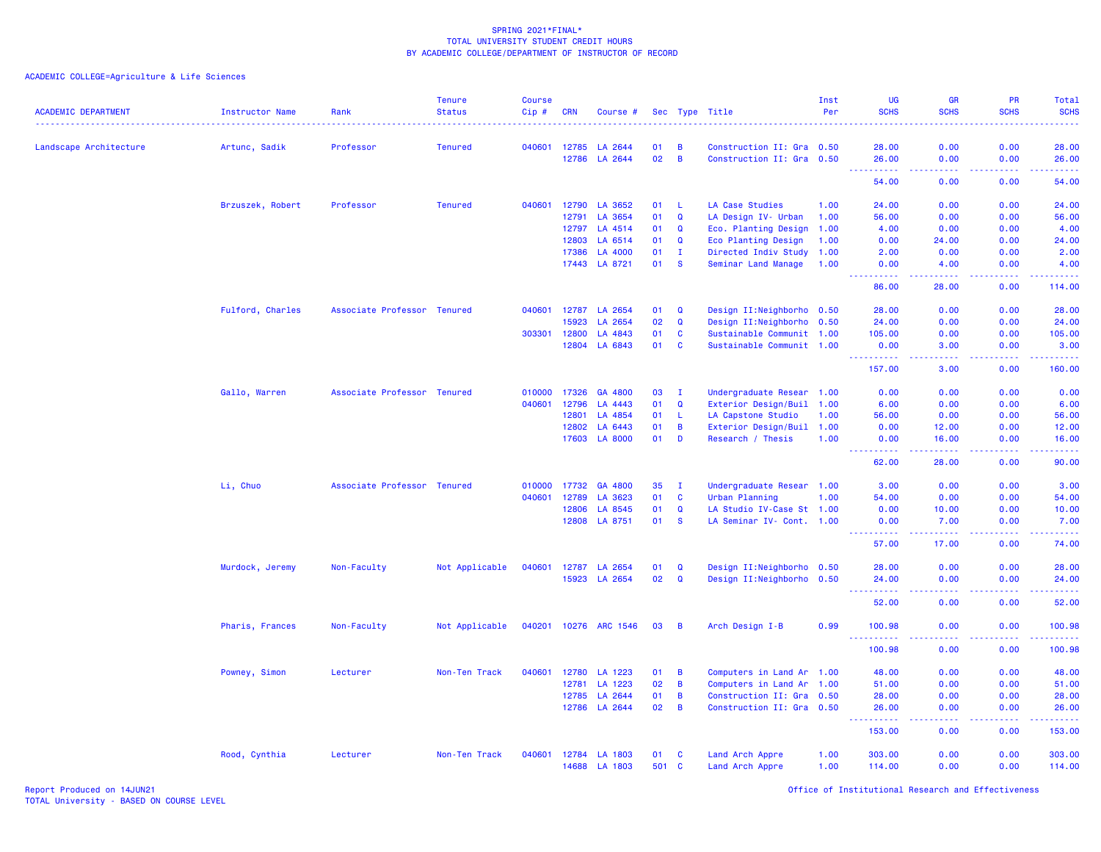| <b>ACADEMIC DEPARTMENT</b> | <b>Instructor Name</b> | Rank                        | <b>Tenure</b><br><b>Status</b> | <b>Course</b><br>Cip# | <b>CRN</b> | Course #              |     |                | Sec Type Title             | Inst<br>Per | <b>UG</b><br><b>SCHS</b>                                                                                                                                      | <b>GR</b><br><b>SCHS</b>                                                                                                                                      | PR<br><b>SCHS</b>                                                                                                                                            | <b>Total</b><br><b>SCHS</b><br>المالمات                                                                                                                        |
|----------------------------|------------------------|-----------------------------|--------------------------------|-----------------------|------------|-----------------------|-----|----------------|----------------------------|-------------|---------------------------------------------------------------------------------------------------------------------------------------------------------------|---------------------------------------------------------------------------------------------------------------------------------------------------------------|--------------------------------------------------------------------------------------------------------------------------------------------------------------|----------------------------------------------------------------------------------------------------------------------------------------------------------------|
| Landscape Architecture     | Artunc, Sadik          | Professor                   | <b>Tenured</b>                 | 040601                | 12785      | LA 2644               | 01  | В              | Construction II: Gra 0.50  |             | 28.00                                                                                                                                                         | 0.00                                                                                                                                                          | 0.00                                                                                                                                                         | 28.00                                                                                                                                                          |
|                            |                        |                             |                                |                       | 12786      | LA 2644               | 02  | B              | Construction II: Gra 0.50  |             | 26.00<br>$\frac{1}{2} \left( \frac{1}{2} \right) \left( \frac{1}{2} \right) \left( \frac{1}{2} \right) \left( \frac{1}{2} \right) \left( \frac{1}{2} \right)$ | 0.00<br>.                                                                                                                                                     | 0.00<br><b><i><u><u> - - - -</u></u></i></b>                                                                                                                 | 26.00<br>.                                                                                                                                                     |
|                            |                        |                             |                                |                       |            |                       |     |                |                            |             | 54.00                                                                                                                                                         | 0.00                                                                                                                                                          | 0.00                                                                                                                                                         | 54.00                                                                                                                                                          |
|                            | Brzuszek, Robert       | Professor                   | <b>Tenured</b>                 | 040601                | 12790      | LA 3652               | 01  | -L             | LA Case Studies            | 1.00        | 24.00                                                                                                                                                         | 0.00                                                                                                                                                          | 0.00                                                                                                                                                         | 24.00                                                                                                                                                          |
|                            |                        |                             |                                |                       | 12791      | LA 3654               | 01  | $\mathbf Q$    | LA Design IV- Urban        | 1.00        | 56.00                                                                                                                                                         | 0.00                                                                                                                                                          | 0.00                                                                                                                                                         | 56.00                                                                                                                                                          |
|                            |                        |                             |                                |                       | 12797      | LA 4514               | 01  | Q              | Eco. Planting Design       | 1.00        | 4.00                                                                                                                                                          | 0.00                                                                                                                                                          | 0.00                                                                                                                                                         | 4.00                                                                                                                                                           |
|                            |                        |                             |                                |                       | 12803      | LA 6514               | 01  | $\mathbf Q$    | Eco Planting Design        | 1.00        | 0.00                                                                                                                                                          | 24.00                                                                                                                                                         | 0.00                                                                                                                                                         | 24.00                                                                                                                                                          |
|                            |                        |                             |                                |                       | 17386      | LA 4000               | 01  | $\mathbf{I}$   | Directed Indiv Study 1.00  |             | 2.00                                                                                                                                                          | 0.00                                                                                                                                                          | 0.00                                                                                                                                                         | 2.00                                                                                                                                                           |
|                            |                        |                             |                                |                       | 17443      | LA 8721               | 01  | S              | Seminar Land Manage        | 1.00        | 0.00<br><u>.</u>                                                                                                                                              | 4.00<br>22222                                                                                                                                                 | 0.00<br>22222                                                                                                                                                | 4.00<br>$\mathcal{L}^{\mathcal{L}}\mathcal{L}^{\mathcal{L}}\mathcal{L}^{\mathcal{L}}\mathcal{L}^{\mathcal{L}}\mathcal{L}^{\mathcal{L}}$                        |
|                            |                        |                             |                                |                       |            |                       |     |                |                            |             | 86.00                                                                                                                                                         | 28.00                                                                                                                                                         | 0.00                                                                                                                                                         | 114.00                                                                                                                                                         |
|                            | Fulford, Charles       | Associate Professor Tenured |                                | 040601                | 12787      | LA 2654               | 01  | Q              | Design II: Neighborho 0.50 |             | 28.00                                                                                                                                                         | 0.00                                                                                                                                                          | 0.00                                                                                                                                                         | 28.00                                                                                                                                                          |
|                            |                        |                             |                                |                       | 15923      | LA 2654               | 02  | $\mathbf Q$    | Design II: Neighborho 0.50 |             | 24.00                                                                                                                                                         | 0.00                                                                                                                                                          | 0.00                                                                                                                                                         | 24.00                                                                                                                                                          |
|                            |                        |                             |                                | 303301                | 12800      | LA 4843               | 01  | C              | Sustainable Communit 1.00  |             | 105.00                                                                                                                                                        | 0.00                                                                                                                                                          | 0.00                                                                                                                                                         | 105.00                                                                                                                                                         |
|                            |                        |                             |                                |                       | 12804      | LA 6843               | 01  | $\mathbf{C}$   | Sustainable Communit 1.00  |             | 0.00<br><u>.</u> .                                                                                                                                            | 3.00<br>.                                                                                                                                                     | 0.00<br>a a a a an                                                                                                                                           | 3.00<br>لاستشفاها                                                                                                                                              |
|                            |                        |                             |                                |                       |            |                       |     |                |                            |             | 157.00                                                                                                                                                        | 3.00                                                                                                                                                          | 0.00                                                                                                                                                         | 160.00                                                                                                                                                         |
|                            | Gallo, Warren          | Associate Professor Tenured |                                | 010000                | 17326      | GA 4800               | 03  | $\mathbf{I}$   | Undergraduate Resear 1.00  |             | 0.00                                                                                                                                                          | 0.00                                                                                                                                                          | 0.00                                                                                                                                                         | 0.00                                                                                                                                                           |
|                            |                        |                             |                                | 040601                | 12796      | LA 4443               | 01  | $\mathbf Q$    | Exterior Design/Buil 1.00  |             | 6.00                                                                                                                                                          | 0.00                                                                                                                                                          | 0.00                                                                                                                                                         | 6.00                                                                                                                                                           |
|                            |                        |                             |                                |                       | 12801      | LA 4854               | 01  | L              | LA Capstone Studio         | 1.00        | 56.00                                                                                                                                                         | 0.00                                                                                                                                                          | 0.00                                                                                                                                                         | 56.00                                                                                                                                                          |
|                            |                        |                             |                                |                       | 12802      | LA 6443               | 01  | B              | Exterior Design/Buil 1.00  |             | 0.00                                                                                                                                                          | 12.00                                                                                                                                                         | 0.00                                                                                                                                                         | 12,00                                                                                                                                                          |
|                            |                        |                             |                                |                       | 17603      | <b>LA 8000</b>        | 01  | D              | Research / Thesis          | 1.00        | 0.00                                                                                                                                                          | 16.00                                                                                                                                                         | 0.00                                                                                                                                                         | 16.00                                                                                                                                                          |
|                            |                        |                             |                                |                       |            |                       |     |                |                            |             | .<br>62.00                                                                                                                                                    | 22222<br>28.00                                                                                                                                                | <b></b><br>0.00                                                                                                                                              | .<br>90.00                                                                                                                                                     |
|                            | Li, Chuo               | Associate Professor Tenured |                                | 010000                | 17732      | GA 4800               | 35  | $\mathbf{I}$   | Undergraduate Resear 1.00  |             | 3.00                                                                                                                                                          | 0.00                                                                                                                                                          | 0.00                                                                                                                                                         | 3.00                                                                                                                                                           |
|                            |                        |                             |                                | 040601                | 12789      | LA 3623               | 01  | <b>C</b>       | Urban Planning             | 1.00        | 54.00                                                                                                                                                         | 0.00                                                                                                                                                          | 0.00                                                                                                                                                         | 54.00                                                                                                                                                          |
|                            |                        |                             |                                |                       | 12806      | LA 8545               | 01  | $\mathbf Q$    | LA Studio IV-Case St 1.00  |             | 0.00                                                                                                                                                          | 10.00                                                                                                                                                         | 0.00                                                                                                                                                         | 10.00                                                                                                                                                          |
|                            |                        |                             |                                |                       | 12808      | LA 8751               | 01  | <b>S</b>       | LA Seminar IV- Cont. 1.00  |             | 0.00                                                                                                                                                          | 7.00                                                                                                                                                          | 0.00                                                                                                                                                         | 7.00                                                                                                                                                           |
|                            |                        |                             |                                |                       |            |                       |     |                |                            |             | $\frac{1}{2} \left( \frac{1}{2} \right) \left( \frac{1}{2} \right) \left( \frac{1}{2} \right) \left( \frac{1}{2} \right) \left( \frac{1}{2} \right)$<br>57.00 | $\frac{1}{2} \left( \frac{1}{2} \right) \left( \frac{1}{2} \right) \left( \frac{1}{2} \right) \left( \frac{1}{2} \right) \left( \frac{1}{2} \right)$<br>17.00 | $\frac{1}{2} \left( \frac{1}{2} \right) \left( \frac{1}{2} \right) \left( \frac{1}{2} \right) \left( \frac{1}{2} \right) \left( \frac{1}{2} \right)$<br>0.00 | 22222<br>74.00                                                                                                                                                 |
|                            | Murdock, Jeremy        | Non-Faculty                 | Not Applicable                 | 040601                | 12787      | LA 2654               | 01  | $\mathbf Q$    | Design II:Neighborho 0.50  |             | 28.00                                                                                                                                                         | 0.00                                                                                                                                                          | 0.00                                                                                                                                                         | 28.00                                                                                                                                                          |
|                            |                        |                             |                                |                       | 15923      | LA 2654               | 02  | $\mathbf Q$    | Design II:Neighborho 0.50  |             | 24.00                                                                                                                                                         | 0.00                                                                                                                                                          | 0.00                                                                                                                                                         | 24.00                                                                                                                                                          |
|                            |                        |                             |                                |                       |            |                       |     |                |                            |             | 52.00                                                                                                                                                         | .<br>0.00                                                                                                                                                     | 0.00                                                                                                                                                         | 52.00                                                                                                                                                          |
|                            | Pharis, Frances        | Non-Faculty                 | Not Applicable                 |                       |            | 040201 10276 ARC 1546 | 03  | $\overline{B}$ | Arch Design I-B            | 0.99        | 100.98<br>$\omega$ $\omega$ .                                                                                                                                 | 0.00                                                                                                                                                          | 0.00                                                                                                                                                         | 100.98                                                                                                                                                         |
|                            |                        |                             |                                |                       |            |                       |     |                |                            |             | $\begin{array}{cccccccccc} \bullet & \bullet & \bullet & \bullet & \bullet & \bullet & \bullet \end{array}$<br>100.98                                         | .<br>0.00                                                                                                                                                     | $\frac{1}{2} \left( \frac{1}{2} \right) \left( \frac{1}{2} \right) \left( \frac{1}{2} \right) \left( \frac{1}{2} \right) \left( \frac{1}{2} \right)$<br>0.00 | $\frac{1}{2} \left( \frac{1}{2} \right) \left( \frac{1}{2} \right) \left( \frac{1}{2} \right) \left( \frac{1}{2} \right) \left( \frac{1}{2} \right)$<br>100.98 |
|                            | Powney, Simon          | Lecturer                    | Non-Ten Track                  | 040601                | 12780      | LA 1223               | 01  | B              | Computers in Land Ar 1.00  |             | 48.00                                                                                                                                                         | 0.00                                                                                                                                                          | 0.00                                                                                                                                                         | 48.00                                                                                                                                                          |
|                            |                        |                             |                                |                       | 12781      | LA 1223               | 02  | B              | Computers in Land Ar       | 1.00        | 51.00                                                                                                                                                         | 0.00                                                                                                                                                          | 0.00                                                                                                                                                         | 51.00                                                                                                                                                          |
|                            |                        |                             |                                |                       | 12785      | LA 2644               | 01  | B              | Construction II: Gra 0.50  |             | 28.00                                                                                                                                                         | 0.00                                                                                                                                                          | 0.00                                                                                                                                                         | 28.00                                                                                                                                                          |
|                            |                        |                             |                                |                       |            | 12786 LA 2644         | 02  | B              | Construction II: Gra 0.50  |             | 26.00<br>.                                                                                                                                                    | 0.00<br>وعاعات                                                                                                                                                | 0.00<br>.                                                                                                                                                    | 26.00<br>.                                                                                                                                                     |
|                            |                        |                             |                                |                       |            |                       |     |                |                            |             | 153.00                                                                                                                                                        | 0.00                                                                                                                                                          | 0.00                                                                                                                                                         | 153.00                                                                                                                                                         |
|                            | Rood, Cynthia          | Lecturer                    | Non-Ten Track                  | 040601                | 12784      | LA 1803               | 01  | <b>C</b>       | Land Arch Appre            | 1.00        | 303.00                                                                                                                                                        | 0.00                                                                                                                                                          | 0.00                                                                                                                                                         | 303.00                                                                                                                                                         |
|                            |                        |                             |                                |                       | 14688      | LA 1803               | 501 | $\mathbf{C}$   | Land Arch Appre            | 1.00        | 114.00                                                                                                                                                        | 0.00                                                                                                                                                          | 0.00                                                                                                                                                         | 114.00                                                                                                                                                         |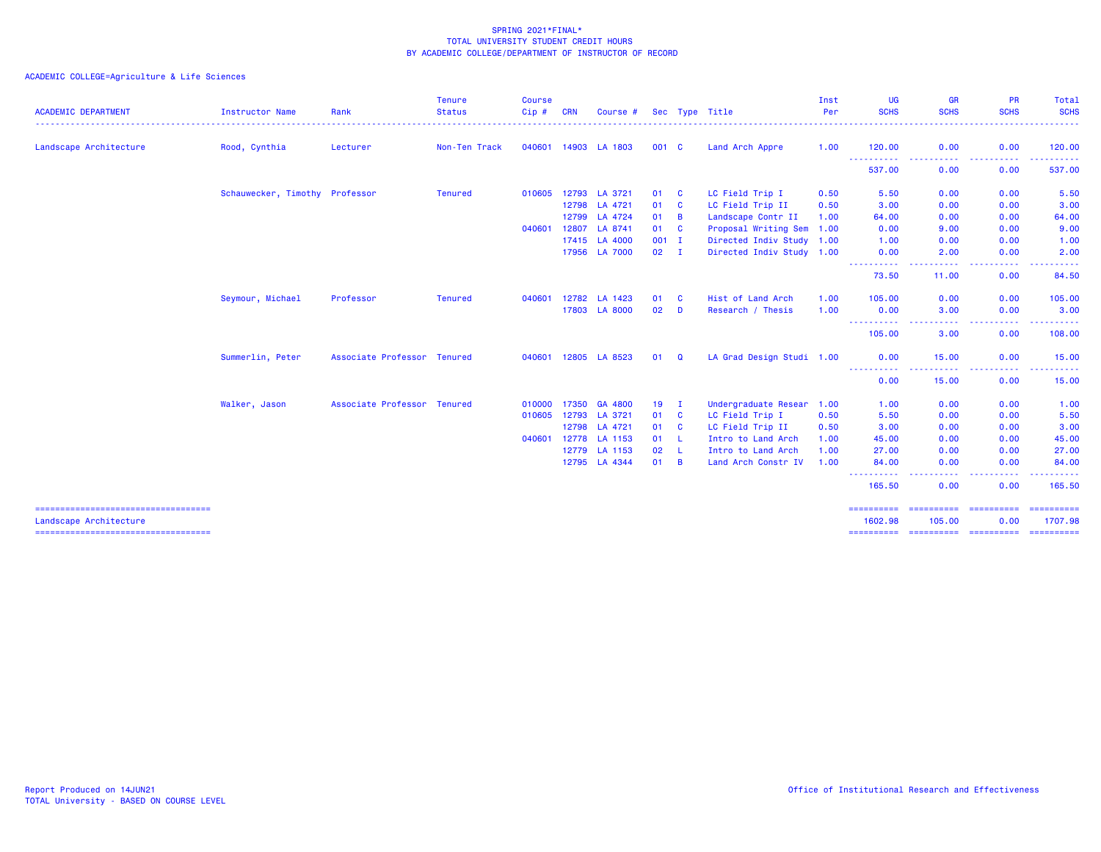| <b>ACADEMIC DEPARTMENT</b>                                      | Instructor Name                | Rank                        | <b>Tenure</b><br><b>Status</b> | <b>Course</b><br>Cip# | <b>CRN</b> | Course #       |       |                | Sec Type Title            | Inst<br>Per | <b>UG</b><br><b>SCHS</b>            | <b>GR</b><br><b>SCHS</b>                                                                                                                                     | <b>PR</b><br><b>SCHS</b>                                                                                                                                             | Total<br><b>SCHS</b><br>.                                                                                                                                                                                                                                                                                                                                                                                                                                                                         |
|-----------------------------------------------------------------|--------------------------------|-----------------------------|--------------------------------|-----------------------|------------|----------------|-------|----------------|---------------------------|-------------|-------------------------------------|--------------------------------------------------------------------------------------------------------------------------------------------------------------|----------------------------------------------------------------------------------------------------------------------------------------------------------------------|---------------------------------------------------------------------------------------------------------------------------------------------------------------------------------------------------------------------------------------------------------------------------------------------------------------------------------------------------------------------------------------------------------------------------------------------------------------------------------------------------|
| Landscape Architecture                                          | Rood, Cynthia                  | Lecturer                    | Non-Ten Track                  | 040601 14903          |            | LA 1803        | 001 C |                | Land Arch Appre           | 1.00        | 120.00                              | 0.00                                                                                                                                                         | 0.00                                                                                                                                                                 | 120.00                                                                                                                                                                                                                                                                                                                                                                                                                                                                                            |
|                                                                 |                                |                             |                                |                       |            |                |       |                |                           |             | -----------<br>537.00               | $\frac{1}{2} \left( \frac{1}{2} \right) \left( \frac{1}{2} \right) \left( \frac{1}{2} \right) \left( \frac{1}{2} \right)$<br>.<br>0.00                       | $\frac{1}{2} \left( \frac{1}{2} \right) \left( \frac{1}{2} \right) \left( \frac{1}{2} \right) \left( \frac{1}{2} \right) \left( \frac{1}{2} \right)$<br>----<br>0.00 | .<br>537.00                                                                                                                                                                                                                                                                                                                                                                                                                                                                                       |
|                                                                 | Schauwecker, Timothy Professor |                             | <b>Tenured</b>                 | 010605 12793          |            | LA 3721        | 01    | C              | LC Field Trip I           | 0.50        | 5.50                                | 0.00                                                                                                                                                         | 0.00                                                                                                                                                                 | 5.50                                                                                                                                                                                                                                                                                                                                                                                                                                                                                              |
|                                                                 |                                |                             |                                |                       | 12798      | LA 4721        | 01    | C              | LC Field Trip II          | 0.50        | 3.00                                | 0.00                                                                                                                                                         | 0.00                                                                                                                                                                 | 3.00                                                                                                                                                                                                                                                                                                                                                                                                                                                                                              |
|                                                                 |                                |                             |                                |                       | 12799      | LA 4724        | 01    | $\overline{B}$ | Landscape Contr II        | 1.00        | 64.00                               | 0.00                                                                                                                                                         | 0.00                                                                                                                                                                 | 64.00                                                                                                                                                                                                                                                                                                                                                                                                                                                                                             |
|                                                                 |                                |                             |                                | 040601                | 12807      | LA 8741        | 01    | C              | Proposal Writing Sem 1.00 |             | 0.00                                | 9.00                                                                                                                                                         | 0.00                                                                                                                                                                 | 9.00                                                                                                                                                                                                                                                                                                                                                                                                                                                                                              |
|                                                                 |                                |                             |                                |                       | 17415      | <b>LA 4000</b> | 001   | - I            | Directed Indiv Study 1.00 |             | 1.00                                | 0.00                                                                                                                                                         | 0.00                                                                                                                                                                 | 1.00                                                                                                                                                                                                                                                                                                                                                                                                                                                                                              |
|                                                                 |                                |                             |                                |                       | 17956      | <b>LA 7000</b> | 02    | I.             | Directed Indiv Study 1.00 |             | 0.00<br>-----------                 | 2.00<br>.                                                                                                                                                    | 0.00<br>. <b>.</b> .                                                                                                                                                 | 2.00                                                                                                                                                                                                                                                                                                                                                                                                                                                                                              |
|                                                                 |                                |                             |                                |                       |            |                |       |                |                           |             | 73.50                               | 11.00                                                                                                                                                        | 0.00                                                                                                                                                                 | 84.50                                                                                                                                                                                                                                                                                                                                                                                                                                                                                             |
|                                                                 | Seymour, Michael               | Professor                   | <b>Tenured</b>                 | 040601                | 12782      | LA 1423        | 01    | C              | Hist of Land Arch         | 1.00        | 105.00                              | 0.00                                                                                                                                                         | 0.00                                                                                                                                                                 | 105.00                                                                                                                                                                                                                                                                                                                                                                                                                                                                                            |
|                                                                 |                                |                             |                                |                       |            | 17803 LA 8000  | 02    | D              | Research / Thesis         | 1.00        | 0.00<br>-----------                 | 3.00<br>$\frac{1}{2} \left( \frac{1}{2} \right) \left( \frac{1}{2} \right) \left( \frac{1}{2} \right) \left( \frac{1}{2} \right) \left( \frac{1}{2} \right)$ | 0.00<br>. <b>.</b> .                                                                                                                                                 | 3.00<br>.                                                                                                                                                                                                                                                                                                                                                                                                                                                                                         |
|                                                                 |                                |                             |                                |                       |            |                |       |                |                           |             | 105.00                              | 3.00                                                                                                                                                         | 0.00                                                                                                                                                                 | 108.00                                                                                                                                                                                                                                                                                                                                                                                                                                                                                            |
|                                                                 | Summerlin, Peter               | Associate Professor Tenured |                                | 040601                |            | 12805 LA 8523  | 01    | Q              | LA Grad Design Studi 1.00 |             | 0.00                                | 15,00                                                                                                                                                        | 0.00                                                                                                                                                                 | 15.00                                                                                                                                                                                                                                                                                                                                                                                                                                                                                             |
|                                                                 |                                |                             |                                |                       |            |                |       |                |                           |             | ----------<br>0.00                  | -----<br>15.00                                                                                                                                               | -----<br>$\frac{1}{2} \left( \frac{1}{2} \right) \left( \frac{1}{2} \right) \left( \frac{1}{2} \right)$<br>0.00                                                      | ------<br>15.00                                                                                                                                                                                                                                                                                                                                                                                                                                                                                   |
|                                                                 | Walker, Jason                  | Associate Professor Tenured |                                | 010000                | 17350      | GA 4800        | 19    | - 1            | Undergraduate Resear      | 1.00        | 1.00                                | 0.00                                                                                                                                                         | 0.00                                                                                                                                                                 | 1.00                                                                                                                                                                                                                                                                                                                                                                                                                                                                                              |
|                                                                 |                                |                             |                                | 010605                | 12793      | LA 3721        | 01    | <b>C</b>       | LC Field Trip I           | 0.50        | 5.50                                | 0.00                                                                                                                                                         | 0.00                                                                                                                                                                 | 5.50                                                                                                                                                                                                                                                                                                                                                                                                                                                                                              |
|                                                                 |                                |                             |                                |                       | 12798      | LA 4721        | 01    | <b>C</b>       | LC Field Trip II          | 0.50        | 3.00                                | 0.00                                                                                                                                                         | 0.00                                                                                                                                                                 | 3.00                                                                                                                                                                                                                                                                                                                                                                                                                                                                                              |
|                                                                 |                                |                             |                                | 040601                | 12778      | LA 1153        | 01    | -L             | Intro to Land Arch        | 1.00        | 45.00                               | 0.00                                                                                                                                                         | 0.00                                                                                                                                                                 | 45.00                                                                                                                                                                                                                                                                                                                                                                                                                                                                                             |
|                                                                 |                                |                             |                                |                       | 12779      | LA 1153        | 02    | -L             | Intro to Land Arch        | 1.00        | 27.00                               | 0.00                                                                                                                                                         | 0.00                                                                                                                                                                 | 27.00                                                                                                                                                                                                                                                                                                                                                                                                                                                                                             |
|                                                                 |                                |                             |                                |                       |            | 12795 LA 4344  | 01    | $\overline{B}$ | Land Arch Constr IV       | 1.00        | 84.00                               | 0.00                                                                                                                                                         | 0.00                                                                                                                                                                 | 84.00                                                                                                                                                                                                                                                                                                                                                                                                                                                                                             |
|                                                                 |                                |                             |                                |                       |            |                |       |                |                           |             | 165.50                              | 0.00                                                                                                                                                         | 0.00                                                                                                                                                                 | 165.50                                                                                                                                                                                                                                                                                                                                                                                                                                                                                            |
| =====================================<br>Landscape Architecture |                                |                             |                                |                       |            |                |       |                |                           |             | ==========<br>1602.98               | =======================<br>105.00                                                                                                                            | 0.00                                                                                                                                                                 | $\begin{array}{cccccccccc} \multicolumn{2}{c}{} & \multicolumn{2}{c}{} & \multicolumn{2}{c}{} & \multicolumn{2}{c}{} & \multicolumn{2}{c}{} & \multicolumn{2}{c}{} & \multicolumn{2}{c}{} & \multicolumn{2}{c}{} & \multicolumn{2}{c}{} & \multicolumn{2}{c}{} & \multicolumn{2}{c}{} & \multicolumn{2}{c}{} & \multicolumn{2}{c}{} & \multicolumn{2}{c}{} & \multicolumn{2}{c}{} & \multicolumn{2}{c}{} & \multicolumn{2}{c}{} & \multicolumn{2}{c}{} & \multicolumn{2}{c}{} & \mult$<br>1707.98 |
| ======================================                          |                                |                             |                                |                       |            |                |       |                |                           |             | =================================== |                                                                                                                                                              |                                                                                                                                                                      | ==========                                                                                                                                                                                                                                                                                                                                                                                                                                                                                        |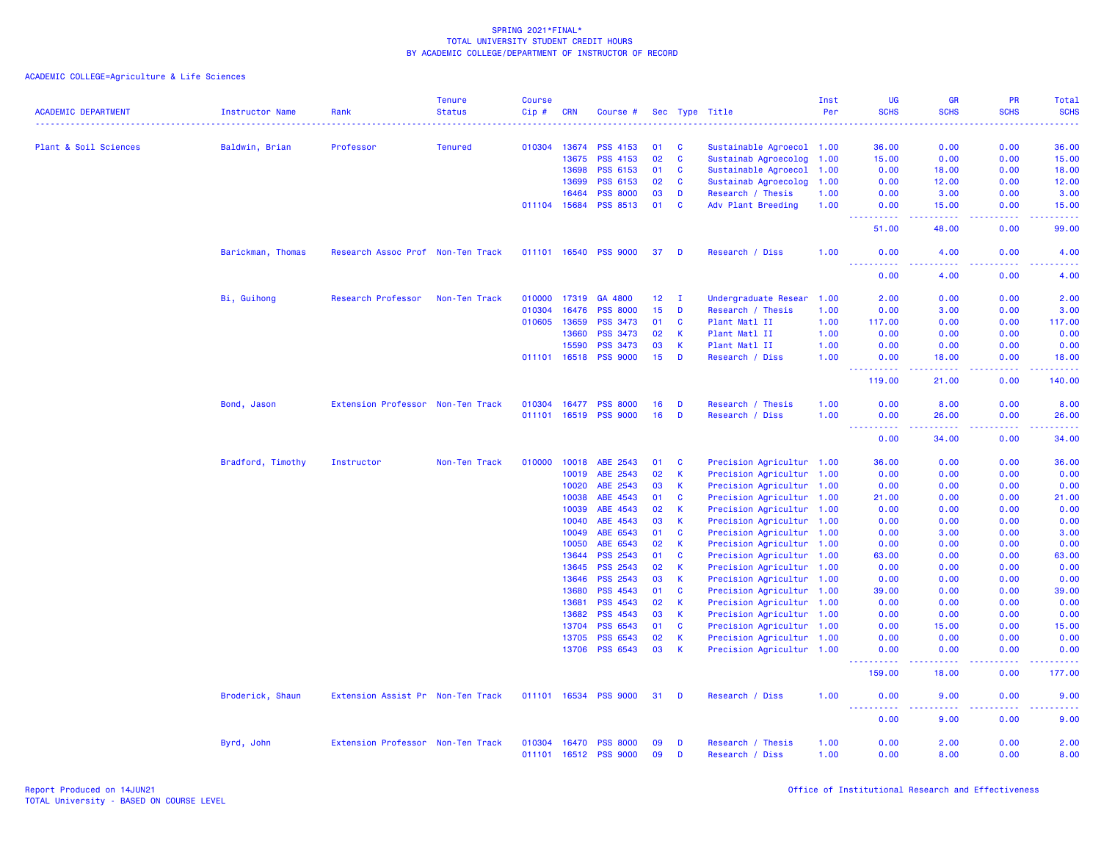ACADEMIC COLLEGE=Agriculture & Life Sciences

| <b>ACADEMIC DEPARTMENT</b> | <b>Instructor Name</b> | Rank                              | <b>Tenure</b><br><b>Status</b> | Course<br>Cip #        | <b>CRN</b> | Course #                           |          |              | Sec Type Title                       | Inst<br>Per  | <b>UG</b><br><b>SCHS</b>            | <b>GR</b><br><b>SCHS</b>                                                                                                           | <b>PR</b><br><b>SCHS</b> | Total<br><b>SCHS</b>                                                                                                                                           |
|----------------------------|------------------------|-----------------------------------|--------------------------------|------------------------|------------|------------------------------------|----------|--------------|--------------------------------------|--------------|-------------------------------------|------------------------------------------------------------------------------------------------------------------------------------|--------------------------|----------------------------------------------------------------------------------------------------------------------------------------------------------------|
|                            |                        |                                   |                                |                        |            |                                    |          |              |                                      |              |                                     |                                                                                                                                    |                          | $\frac{1}{2} \left( \frac{1}{2} \right) \left( \frac{1}{2} \right) \left( \frac{1}{2} \right) \left( \frac{1}{2} \right)$                                      |
| Plant & Soil Sciences      | Baldwin, Brian         | Professor                         | <b>Tenured</b>                 | 010304                 | 13674      | <b>PSS 4153</b>                    | 01       | C            | Sustainable Agroecol 1.00            |              | 36.00                               | 0.00                                                                                                                               | 0.00                     | 36.00                                                                                                                                                          |
|                            |                        |                                   |                                |                        | 13675      | <b>PSS 4153</b>                    | 02       | <b>C</b>     | Sustainab Agroecolog                 | 1.00         | 15.00                               | 0.00                                                                                                                               | 0.00                     | 15.00                                                                                                                                                          |
|                            |                        |                                   |                                |                        | 13698      | PSS 6153                           | 01       | C            | Sustainable Agroecol                 | 1.00         | 0.00                                | 18.00                                                                                                                              | 0.00                     | 18.00                                                                                                                                                          |
|                            |                        |                                   |                                |                        | 13699      | <b>PSS 6153</b>                    | 02       | C            | Sustainab Agroecolog                 | 1.00         | 0.00                                | 12.00                                                                                                                              | 0.00                     | 12.00                                                                                                                                                          |
|                            |                        |                                   |                                |                        | 16464      | <b>PSS 8000</b>                    | 03       | D            | Research / Thesis                    | 1.00         | 0.00                                | 3.00                                                                                                                               | 0.00                     | 3.00                                                                                                                                                           |
|                            |                        |                                   |                                | 011104 15684           |            | <b>PSS 8513</b>                    | 01       | C            | Adv Plant Breeding                   | 1.00         | 0.00<br>.                           | 15.00<br>.                                                                                                                         | 0.00<br>.                | 15.00<br>.                                                                                                                                                     |
|                            |                        |                                   |                                |                        |            |                                    |          |              |                                      |              | 51.00                               | 48.00                                                                                                                              | 0.00                     | 99.00                                                                                                                                                          |
|                            | Barickman, Thomas      | Research Assoc Prof Non-Ten Track |                                | 011101 16540           |            | <b>PSS 9000</b>                    | 37       | D            | Research / Diss                      | 1.00         | 0.00                                | 4.00                                                                                                                               | 0.00                     | 4.00                                                                                                                                                           |
|                            |                        |                                   |                                |                        |            |                                    |          |              |                                      |              | 0.00                                | 4.00                                                                                                                               | 0.00                     | 4.00                                                                                                                                                           |
|                            | Bi, Guihong            | Research Professor                | Non-Ten Track                  | 010000                 | 17319      | GA 4800                            | 12       | $\mathbf{I}$ | Undergraduate Resear                 | 1.00         | 2.00                                | 0.00                                                                                                                               | 0.00                     | 2.00                                                                                                                                                           |
|                            |                        |                                   |                                | 010304                 | 16476      | <b>PSS 8000</b>                    | 15       | D            | Research / Thesis                    | 1.00         | 0.00                                | 3.00                                                                                                                               | 0.00                     | 3.00                                                                                                                                                           |
|                            |                        |                                   |                                | 010605                 | 13659      | <b>PSS 3473</b>                    | 01       | C            | Plant Matl II                        | 1.00         | 117.00                              | 0.00                                                                                                                               | 0.00                     | 117.00                                                                                                                                                         |
|                            |                        |                                   |                                |                        | 13660      | <b>PSS 3473</b>                    | 02       | К            | Plant Matl II                        | 1.00         | 0.00                                | 0.00                                                                                                                               | 0.00                     | 0.00                                                                                                                                                           |
|                            |                        |                                   |                                |                        | 15590      | <b>PSS 3473</b>                    | 03       | $\mathsf K$  | Plant Matl II                        | 1.00         | 0.00                                | 0.00                                                                                                                               | 0.00                     | 0.00                                                                                                                                                           |
|                            |                        |                                   |                                | 011101                 | 16518      | <b>PSS 9000</b>                    | 15       | D            | Research / Diss                      | 1.00         | 0.00                                | 18.00                                                                                                                              | 0.00                     | 18.00                                                                                                                                                          |
|                            |                        |                                   |                                |                        |            |                                    |          |              |                                      |              | .<br>119.00                         | .<br>21.00                                                                                                                         | .<br>0.00                | .<br>140.00                                                                                                                                                    |
|                            | Bond, Jason            | Extension Professor Non-Ten Track |                                | 010304                 | 16477      | <b>PSS 8000</b>                    | 16       | D            | Research / Thesis                    | 1.00         | 0.00                                | 8.00                                                                                                                               | 0.00                     | 8.00                                                                                                                                                           |
|                            |                        |                                   |                                | 011101                 | 16519      | <b>PSS 9000</b>                    | 16       | D            | Research / Diss                      | 1.00         | 0.00                                | 26.00                                                                                                                              | 0.00                     | 26.00                                                                                                                                                          |
|                            |                        |                                   |                                |                        |            |                                    |          |              |                                      |              | .<br>0.00                           | $\frac{1}{2} \left( \frac{1}{2} \right) \left( \frac{1}{2} \right) \left( \frac{1}{2} \right) \left( \frac{1}{2} \right)$<br>34.00 | 0.00                     | .<br>34.00                                                                                                                                                     |
|                            | Bradford, Timothy      | Instructor                        | Non-Ten Track                  | 010000                 | 10018      | ABE 2543                           | 01       | C            | Precision Agricultur 1.00            |              | 36.00                               | 0.00                                                                                                                               | 0.00                     | 36.00                                                                                                                                                          |
|                            |                        |                                   |                                |                        | 10019      | ABE 2543                           | 02       | К            | Precision Agricultur 1.00            |              | 0.00                                | 0.00                                                                                                                               | 0.00                     | 0.00                                                                                                                                                           |
|                            |                        |                                   |                                |                        | 10020      | ABE 2543                           | 03       | К            | Precision Agricultur 1.00            |              | 0.00                                | 0.00                                                                                                                               | 0.00                     | 0.00                                                                                                                                                           |
|                            |                        |                                   |                                |                        | 10038      | ABE 4543                           | 01       | <b>C</b>     | Precision Agricultur 1.00            |              | 21.00                               | 0.00                                                                                                                               | 0.00                     | 21.00                                                                                                                                                          |
|                            |                        |                                   |                                |                        | 10039      | ABE 4543                           | 02       | К            | Precision Agricultur 1.00            |              | 0.00                                | 0.00                                                                                                                               | 0.00                     | 0.00                                                                                                                                                           |
|                            |                        |                                   |                                |                        | 10040      | ABE 4543                           | 03       | К            | Precision Agricultur 1.00            |              | 0.00                                | 0.00                                                                                                                               | 0.00                     | 0.00                                                                                                                                                           |
|                            |                        |                                   |                                |                        | 10049      | ABE 6543                           | 01       | C            | Precision Agricultur 1.00            |              | 0.00                                | 3.00                                                                                                                               | 0.00                     | 3.00                                                                                                                                                           |
|                            |                        |                                   |                                |                        | 10050      | ABE 6543                           | 02       | K            | Precision Agricultur 1.00            |              | 0.00                                | 0.00                                                                                                                               | 0.00                     | 0.00                                                                                                                                                           |
|                            |                        |                                   |                                |                        | 13644      | <b>PSS 2543</b>                    | 01       | C            | Precision Agricultur 1.00            |              | 63.00                               | 0.00                                                                                                                               | 0.00                     | 63.00                                                                                                                                                          |
|                            |                        |                                   |                                |                        | 13645      | <b>PSS 2543</b>                    | 02       | K            | Precision Agricultur 1.00            |              | 0.00                                | 0.00                                                                                                                               | 0.00                     | 0.00                                                                                                                                                           |
|                            |                        |                                   |                                |                        | 13646      | <b>PSS 2543</b>                    | 03       | К            | Precision Agricultur 1.00            |              | 0.00                                | 0.00                                                                                                                               | 0.00                     | 0.00                                                                                                                                                           |
|                            |                        |                                   |                                |                        | 13680      | <b>PSS 4543</b>                    | 01       | <b>C</b>     | Precision Agricultur 1.00            |              | 39.00                               | 0.00                                                                                                                               | 0.00                     | 39.00                                                                                                                                                          |
|                            |                        |                                   |                                |                        | 13681      | <b>PSS 4543</b>                    | 02       | К            | Precision Agricultur 1.00            |              | 0.00                                | 0.00                                                                                                                               | 0.00                     | 0.00                                                                                                                                                           |
|                            |                        |                                   |                                |                        | 13682      | <b>PSS 4543</b>                    | 03       | К            | Precision Agricultur 1.00            |              | 0.00                                | 0.00                                                                                                                               | 0.00                     | 0.00                                                                                                                                                           |
|                            |                        |                                   |                                |                        | 13704      | <b>PSS 6543</b>                    | 01       | C            | Precision Agricultur 1.00            |              | 0.00                                | 15.00                                                                                                                              | 0.00                     | 15.00                                                                                                                                                          |
|                            |                        |                                   |                                |                        | 13705      | <b>PSS 6543</b>                    | 02       | К            | Precision Agricultur 1.00            |              | 0.00                                | 0.00                                                                                                                               | 0.00                     | 0.00                                                                                                                                                           |
|                            |                        |                                   |                                |                        | 13706      | <b>PSS 6543</b>                    | 03       | K            | Precision Agricultur 1.00            |              | 0.00                                | 0.00                                                                                                                               | 0.00                     | 0.00                                                                                                                                                           |
|                            |                        |                                   |                                |                        |            |                                    |          |              |                                      |              | <u>.</u><br>159.00                  | .<br>18.00                                                                                                                         | .<br>0.00                | $\frac{1}{2} \left( \frac{1}{2} \right) \left( \frac{1}{2} \right) \left( \frac{1}{2} \right) \left( \frac{1}{2} \right) \left( \frac{1}{2} \right)$<br>177.00 |
|                            | Broderick, Shaun       | Extension Assist Pr Non-Ten Track |                                | 011101 16534           |            | <b>PSS 9000</b>                    | 31       | D            | Research / Diss                      | 1.00         | 0.00                                | 9.00                                                                                                                               | 0.00                     | 9.00                                                                                                                                                           |
|                            |                        |                                   |                                |                        |            |                                    |          |              |                                      |              | $\sim$ $\sim$ $\sim$ $\sim$<br>0.00 | والمستناء<br>9.00                                                                                                                  | .<br>0.00                | د د د د<br>9.00                                                                                                                                                |
|                            | Byrd, John             | Extension Professor Non-Ten Track |                                | 010304<br>011101 16512 | 16470      | <b>PSS 8000</b><br><b>PSS 9000</b> | 09<br>09 | D<br>D       | Research / Thesis<br>Research / Diss | 1.00<br>1.00 | 0.00<br>0.00                        | 2.00<br>8.00                                                                                                                       | 0.00<br>0.00             | 2.00<br>8.00                                                                                                                                                   |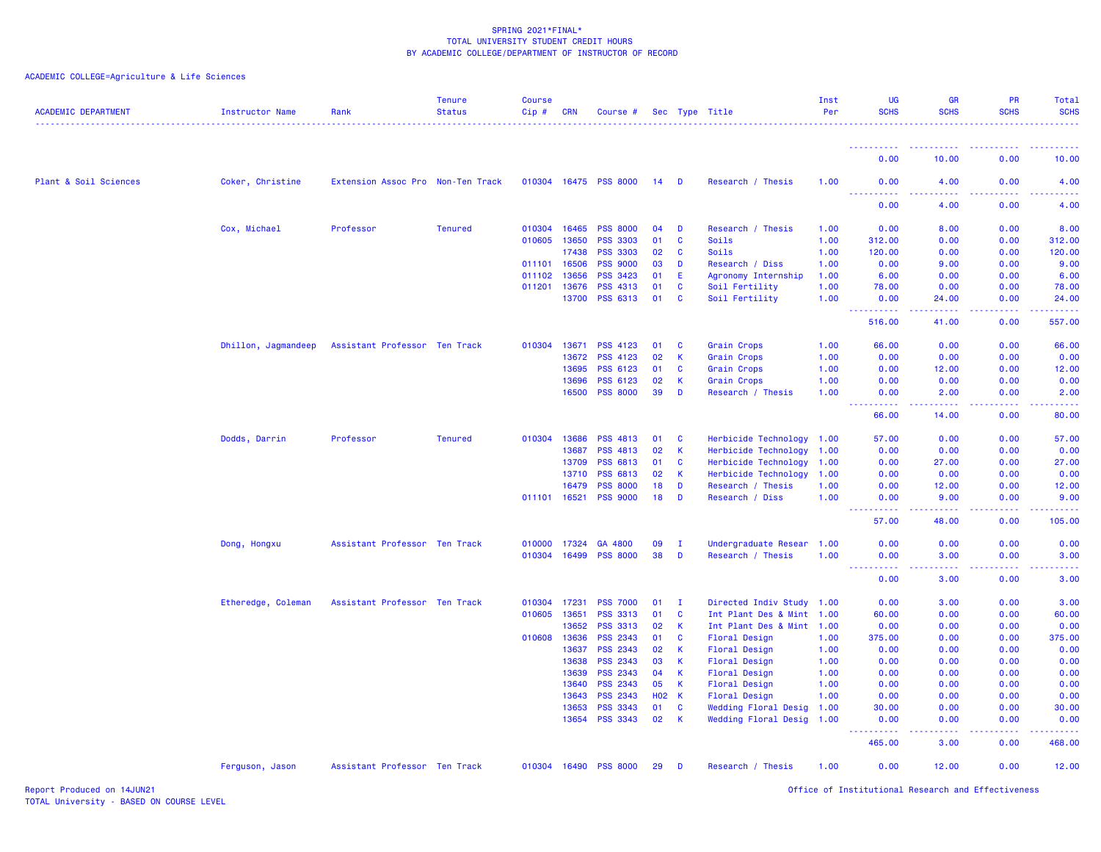ACADEMIC COLLEGE=Agriculture & Life Sciences

| <b>ACADEMIC DEPARTMENT</b> | <b>Instructor Name</b> | Rank                              | <b>Tenure</b><br><b>Status</b> | <b>Course</b><br>Cip# | <b>CRN</b> | Course #              |              |              | Sec Type Title              | Inst<br>Per | UG<br><b>SCHS</b>                                                                                                                                             | <b>GR</b><br><b>SCHS</b>                                                                                                                                      | <b>PR</b><br><b>SCHS</b>                            | Total<br><b>SCHS</b>                                                                                                            |
|----------------------------|------------------------|-----------------------------------|--------------------------------|-----------------------|------------|-----------------------|--------------|--------------|-----------------------------|-------------|---------------------------------------------------------------------------------------------------------------------------------------------------------------|---------------------------------------------------------------------------------------------------------------------------------------------------------------|-----------------------------------------------------|---------------------------------------------------------------------------------------------------------------------------------|
|                            |                        |                                   |                                |                       |            |                       |              |              |                             |             |                                                                                                                                                               |                                                                                                                                                               |                                                     |                                                                                                                                 |
|                            |                        |                                   |                                |                       |            |                       |              |              |                             |             | 0.00                                                                                                                                                          | 10.00                                                                                                                                                         | 0.00                                                | 10.00                                                                                                                           |
| Plant & Soil Sciences      | Coker, Christine       | Extension Assoc Pro Non-Ten Track |                                |                       |            | 010304 16475 PSS 8000 | $14$ D       |              | Research / Thesis           | 1.00        | 0.00                                                                                                                                                          | 4.00<br><b><i><u><u>.</u></u></i></b>                                                                                                                         | 0.00                                                | 4.00                                                                                                                            |
|                            |                        |                                   |                                |                       |            |                       |              |              |                             |             | ----------<br>0.00                                                                                                                                            | 4.00                                                                                                                                                          | 0.00                                                | 4.00                                                                                                                            |
|                            | Cox, Michael           | Professor                         | <b>Tenured</b>                 | 010304                | 16465      | <b>PSS 8000</b>       | 04           | D            | Research / Thesis           | 1.00        | 0.00                                                                                                                                                          | 8.00                                                                                                                                                          | 0.00                                                | 8.00                                                                                                                            |
|                            |                        |                                   |                                | 010605 13650          |            | <b>PSS 3303</b>       | 01           | $\mathbf{C}$ | Soils                       | 1.00        | 312.00                                                                                                                                                        | 0.00                                                                                                                                                          | 0.00                                                | 312.00                                                                                                                          |
|                            |                        |                                   |                                |                       | 17438      | <b>PSS 3303</b>       | 02           | C            | Soils                       | 1.00        | 120.00                                                                                                                                                        | 0.00                                                                                                                                                          | 0.00                                                | 120.00                                                                                                                          |
|                            |                        |                                   |                                | 011101 16506          |            | <b>PSS 9000</b>       | 03           | D            | Research / Diss             | 1.00        | 0.00                                                                                                                                                          | 9.00                                                                                                                                                          | 0.00                                                | 9.00                                                                                                                            |
|                            |                        |                                   |                                | 011102 13656          |            | <b>PSS 3423</b>       | 01           | E.           | Agronomy Internship         | 1.00        | 6.00                                                                                                                                                          | 0.00                                                                                                                                                          | 0.00                                                | 6.00                                                                                                                            |
|                            |                        |                                   |                                | 011201 13676          |            | <b>PSS 4313</b>       | 01           | <b>C</b>     | Soil Fertility              | 1.00        | 78.00                                                                                                                                                         | 0.00                                                                                                                                                          | 0.00                                                | 78.00                                                                                                                           |
|                            |                        |                                   |                                |                       | 13700      | <b>PSS 6313</b>       | 01           | $\mathbf{C}$ | Soil Fertility              | 1.00        | 0.00<br><b><i><u>AAAAAAAAA</u></i></b>                                                                                                                        | 24.00<br>المتمامين                                                                                                                                            | 0.00<br>$\omega_{\rm{eff}}$ and $\omega_{\rm{eff}}$ | 24.00                                                                                                                           |
|                            |                        |                                   |                                |                       |            |                       |              |              |                             |             | 516.00                                                                                                                                                        | 41.00                                                                                                                                                         | 0.00                                                | 557.00                                                                                                                          |
|                            | Dhillon, Jagmandeep    | Assistant Professor Ten Track     |                                | 010304                | 13671      | <b>PSS 4123</b>       | 01           | C            | Grain Crops                 | 1.00        | 66.00                                                                                                                                                         | 0.00                                                                                                                                                          | 0.00                                                | 66.00                                                                                                                           |
|                            |                        |                                   |                                |                       | 13672      | <b>PSS 4123</b>       | 02           | K            | Grain Crops                 | 1.00        | 0.00                                                                                                                                                          | 0.00                                                                                                                                                          | 0.00                                                | 0.00                                                                                                                            |
|                            |                        |                                   |                                |                       | 13695      | PSS 6123              | 01           | C            | <b>Grain Crops</b>          | 1.00        | 0.00                                                                                                                                                          | 12.00                                                                                                                                                         | 0.00                                                | 12.00                                                                                                                           |
|                            |                        |                                   |                                |                       | 13696      | <b>PSS 6123</b>       | 02           | K.           | Grain Crops                 | 1.00        | 0.00                                                                                                                                                          | 0.00                                                                                                                                                          | 0.00                                                | 0.00                                                                                                                            |
|                            |                        |                                   |                                |                       |            | 16500 PSS 8000        | 39           | D            | Research / Thesis           | 1.00        | 0.00                                                                                                                                                          | 2.00                                                                                                                                                          | 0.00                                                | 2.00                                                                                                                            |
|                            |                        |                                   |                                |                       |            |                       |              |              |                             |             | .<br>$\frac{1}{2} \left( \frac{1}{2} \right) \left( \frac{1}{2} \right) \left( \frac{1}{2} \right) \left( \frac{1}{2} \right)$<br>66.00                       | $\frac{1}{2} \left( \frac{1}{2} \right) \left( \frac{1}{2} \right) \left( \frac{1}{2} \right) \left( \frac{1}{2} \right) \left( \frac{1}{2} \right)$<br>14.00 | 0.00                                                | 80.00                                                                                                                           |
|                            | Dodds, Darrin          | Professor                         | <b>Tenured</b>                 | 010304 13686          |            | <b>PSS 4813</b>       | 01           | C            | Herbicide Technology        | 1.00        | 57.00                                                                                                                                                         | 0.00                                                                                                                                                          | 0.00                                                | 57.00                                                                                                                           |
|                            |                        |                                   |                                |                       | 13687      | <b>PSS 4813</b>       | 02           | K            | Herbicide Technology        | 1.00        | 0.00                                                                                                                                                          | 0.00                                                                                                                                                          | 0.00                                                | 0.00                                                                                                                            |
|                            |                        |                                   |                                |                       | 13709      | <b>PSS 6813</b>       | 01           | C            | Herbicide Technology        | 1.00        | 0.00                                                                                                                                                          | 27.00                                                                                                                                                         | 0.00                                                | 27.00                                                                                                                           |
|                            |                        |                                   |                                |                       | 13710      | PSS 6813              | 02           | K.           | Herbicide Technology        | 1.00        | 0.00                                                                                                                                                          | 0.00                                                                                                                                                          | 0.00                                                | 0.00                                                                                                                            |
|                            |                        |                                   |                                |                       | 16479      | <b>PSS 8000</b>       | 18           | D            | Research / Thesis           | 1.00        | 0.00                                                                                                                                                          | 12.00                                                                                                                                                         | 0.00                                                | 12.00                                                                                                                           |
|                            |                        |                                   |                                | 011101 16521          |            | <b>PSS 9000</b>       | 18           | D            | Research / Diss             | 1.00        | 0.00                                                                                                                                                          | 9.00                                                                                                                                                          | 0.00                                                | 9.00                                                                                                                            |
|                            |                        |                                   |                                |                       |            |                       |              |              |                             |             | $\frac{1}{2} \left( \frac{1}{2} \right) \left( \frac{1}{2} \right) \left( \frac{1}{2} \right) \left( \frac{1}{2} \right)$<br>$\omega$ is $\omega$ in<br>57.00 | .<br>48.00                                                                                                                                                    | .<br>0.00                                           | 105.00                                                                                                                          |
|                            | Dong, Hongxu           | Assistant Professor Ten Track     |                                | 010000 17324          |            | GA 4800               | 09           | $\mathbf{I}$ | Undergraduate Resear 1.00   |             | 0.00                                                                                                                                                          | 0.00                                                                                                                                                          | 0.00                                                | 0.00                                                                                                                            |
|                            |                        |                                   |                                | 010304 16499          |            | <b>PSS 8000</b>       | 38           | D            | Research / Thesis           | 1.00        | 0.00                                                                                                                                                          | 3.00                                                                                                                                                          | 0.00                                                | 3.00                                                                                                                            |
|                            |                        |                                   |                                |                       |            |                       |              |              |                             |             | 22222<br>$   -$<br>0.00                                                                                                                                       | .<br>3.00                                                                                                                                                     | 22222<br>0.00                                       | $- - - - -$<br>3.00                                                                                                             |
|                            | Etheredge, Coleman     | Assistant Professor Ten Track     |                                | 010304                | 17231      | <b>PSS 7000</b>       | 01           | $\mathbf I$  | Directed Indiv Study        | 1.00        | 0.00                                                                                                                                                          | 3.00                                                                                                                                                          | 0.00                                                | 3.00                                                                                                                            |
|                            |                        |                                   |                                | 010605                | 13651      | <b>PSS 3313</b>       | 01           | C            | Int Plant Des & Mint 1.00   |             | 60.00                                                                                                                                                         | 0.00                                                                                                                                                          | 0.00                                                | 60.00                                                                                                                           |
|                            |                        |                                   |                                |                       | 13652      | <b>PSS 3313</b>       | 02           | <b>K</b>     | Int Plant Des & Mint 1.00   |             | 0.00                                                                                                                                                          | 0.00                                                                                                                                                          | 0.00                                                | 0.00                                                                                                                            |
|                            |                        |                                   |                                | 010608 13636          |            | <b>PSS 2343</b>       | 01           | C            | Floral Design               | 1.00        | 375.00                                                                                                                                                        | 0.00                                                                                                                                                          | 0.00                                                | 375.00                                                                                                                          |
|                            |                        |                                   |                                |                       | 13637      | PSS 2343              | 02           | K            | Floral Design               | 1.00        | 0.00                                                                                                                                                          | 0.00                                                                                                                                                          | 0.00                                                | 0.00                                                                                                                            |
|                            |                        |                                   |                                |                       | 13638      | <b>PSS 2343</b>       | 03           | K            | Floral Design               | 1.00        | 0.00                                                                                                                                                          | 0.00                                                                                                                                                          | 0.00                                                | 0.00                                                                                                                            |
|                            |                        |                                   |                                |                       | 13639      | <b>PSS 2343</b>       | 04           | K            | Floral Design               | 1.00        | 0.00                                                                                                                                                          | 0.00                                                                                                                                                          | 0.00                                                | 0.00                                                                                                                            |
|                            |                        |                                   |                                |                       | 13640      | <b>PSS 2343</b>       | 05           | K            | Floral Design               | 1.00        | 0.00                                                                                                                                                          | 0.00                                                                                                                                                          | 0.00                                                | 0.00                                                                                                                            |
|                            |                        |                                   |                                |                       | 13643      | <b>PSS 2343</b>       | <b>HO2 K</b> |              | Floral Design               | 1.00        | 0.00                                                                                                                                                          | 0.00                                                                                                                                                          | 0.00                                                | 0.00                                                                                                                            |
|                            |                        |                                   |                                |                       | 13653      | <b>PSS 3343</b>       | 01           | C            | <b>Wedding Floral Desig</b> | 1.00        | 30.00                                                                                                                                                         | 0.00                                                                                                                                                          | 0.00                                                | 30.00                                                                                                                           |
|                            |                        |                                   |                                |                       | 13654      | <b>PSS 3343</b>       | 02           | K            | Wedding Floral Desig 1.00   |             | 0.00                                                                                                                                                          | 0.00                                                                                                                                                          | 0.00                                                | 0.00                                                                                                                            |
|                            |                        |                                   |                                |                       |            |                       |              |              |                             |             | .<br>465.00                                                                                                                                                   | .<br>3.00                                                                                                                                                     | 22222<br>0.00                                       | $\begin{array}{cccccccccc} \bullet & \bullet & \bullet & \bullet & \bullet & \bullet & \bullet & \bullet \end{array}$<br>468.00 |
|                            | Ferguson, Jason        | Assistant Professor Ten Track     |                                |                       |            | 010304 16490 PSS 8000 | 29           | D            | Research / Thesis           | 1.00        | 0.00                                                                                                                                                          | 12.00                                                                                                                                                         | 0.00                                                | 12.00                                                                                                                           |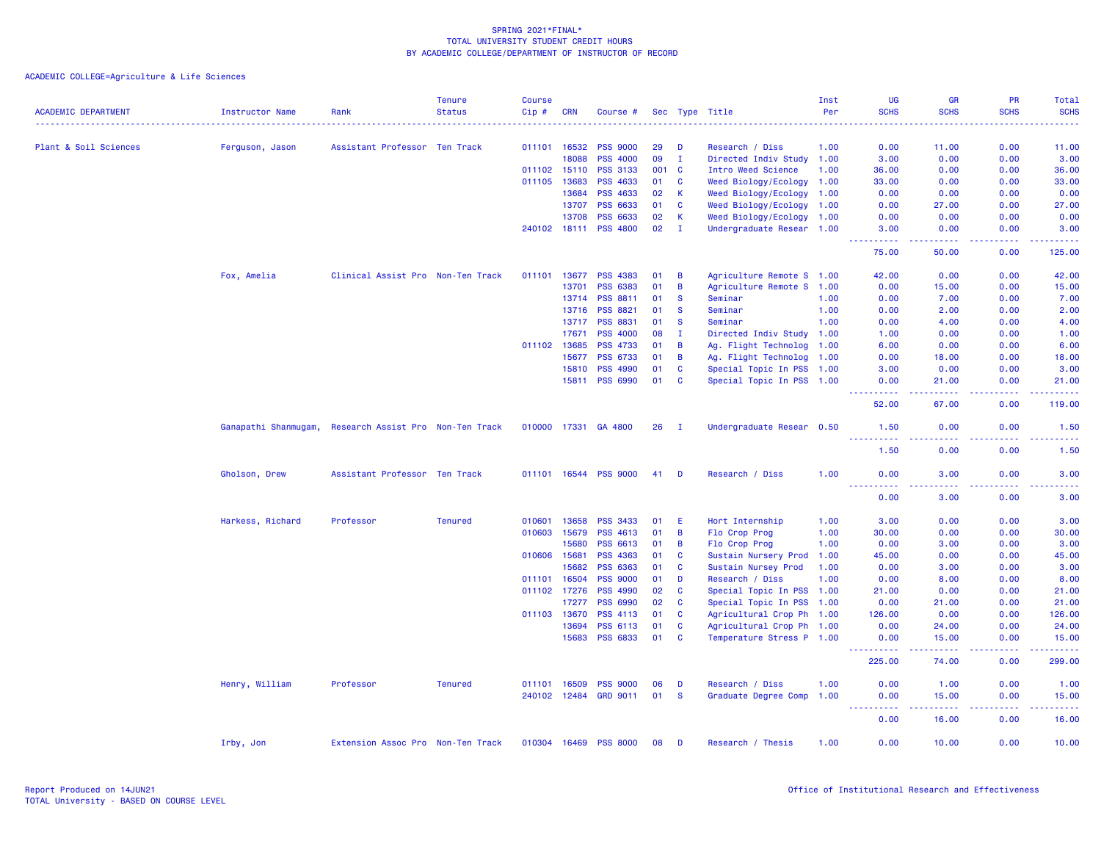ACADEMIC COLLEGE=Agriculture & Life Sciences

|                            |                        |                                   | <b>Tenure</b>  | <b>Course</b> |            |                       |     |                |                           | Inst<br>Per | <b>UG</b><br><b>SCHS</b>                                                                                                                                     | <b>GR</b><br><b>SCHS</b>                                                                                                                                      | <b>PR</b><br><b>SCHS</b> | Total<br><b>SCHS</b> |
|----------------------------|------------------------|-----------------------------------|----------------|---------------|------------|-----------------------|-----|----------------|---------------------------|-------------|--------------------------------------------------------------------------------------------------------------------------------------------------------------|---------------------------------------------------------------------------------------------------------------------------------------------------------------|--------------------------|----------------------|
| <b>ACADEMIC DEPARTMENT</b> | <b>Instructor Name</b> | Rank                              | <b>Status</b>  | Cip#          | <b>CRN</b> | Course #              |     |                | Sec Type Title            |             |                                                                                                                                                              |                                                                                                                                                               |                          |                      |
| Plant & Soil Sciences      | Ferguson, Jason        | Assistant Professor Ten Track     |                | 011101 16532  |            | <b>PSS 9000</b>       | 29  | D              | Research / Diss           | 1.00        | 0.00                                                                                                                                                         | 11.00                                                                                                                                                         | 0.00                     | 11.00                |
|                            |                        |                                   |                |               | 18088      | <b>PSS 4000</b>       | 09  | $\mathbf{I}$   | Directed Indiv Study 1.00 |             | 3.00                                                                                                                                                         | 0.00                                                                                                                                                          | 0.00                     | 3.00                 |
|                            |                        |                                   |                | 011102 15110  |            | <b>PSS 3133</b>       | 001 | $\mathbf{C}$   | Intro Weed Science        | 1.00        | 36.00                                                                                                                                                        | 0.00                                                                                                                                                          | 0.00                     | 36.00                |
|                            |                        |                                   |                | 011105 13683  |            | <b>PSS 4633</b>       | 01  | <b>C</b>       | Weed Biology/Ecology      | 1.00        | 33,00                                                                                                                                                        | 0.00                                                                                                                                                          | 0.00                     | 33.00                |
|                            |                        |                                   |                |               | 13684      | <b>PSS 4633</b>       | 02  | $\mathsf{K}$   | Weed Biology/Ecology      | 1.00        | 0.00                                                                                                                                                         | 0.00                                                                                                                                                          | 0.00                     | 0.00                 |
|                            |                        |                                   |                |               | 13707      | PSS 6633              | 01  | $\mathbf{C}$   | Weed Biology/Ecology      | 1.00        | 0.00                                                                                                                                                         | 27.00                                                                                                                                                         | 0.00                     | 27.00                |
|                            |                        |                                   |                |               | 13708      | <b>PSS 6633</b>       | 02  | $\mathsf{K}$   | Weed Biology/Ecology 1.00 |             | 0.00                                                                                                                                                         | 0.00                                                                                                                                                          | 0.00                     | 0.00                 |
|                            |                        |                                   |                |               |            | 240102 18111 PSS 4800 | 02  | $\mathbf{I}$   | Undergraduate Resear 1.00 |             | 3.00<br>$\frac{1}{2} \left( \frac{1}{2} \right) \left( \frac{1}{2} \right) \left( \frac{1}{2} \right) \left( \frac{1}{2} \right) \left( \frac{1}{2} \right)$ | 0.00<br>.                                                                                                                                                     | 0.00<br>22222            | 3.00<br>22222        |
|                            |                        |                                   |                |               |            |                       |     |                |                           |             | 75.00                                                                                                                                                        | 50.00                                                                                                                                                         | 0.00                     | 125.00               |
|                            | Fox, Amelia            | Clinical Assist Pro Non-Ten Track |                | 011101        | 13677      | <b>PSS 4383</b>       | 01  | B              | Agriculture Remote S 1.00 |             | 42.00                                                                                                                                                        | 0.00                                                                                                                                                          | 0.00                     | 42.00                |
|                            |                        |                                   |                |               | 13701      | <b>PSS 6383</b>       | 01  | B              | Agriculture Remote S 1.00 |             | 0.00                                                                                                                                                         | 15.00                                                                                                                                                         | 0.00                     | 15.00                |
|                            |                        |                                   |                |               | 13714      | <b>PSS 8811</b>       | 01  | <b>S</b>       | Seminar                   | 1.00        | 0.00                                                                                                                                                         | 7.00                                                                                                                                                          | 0.00                     | 7.00                 |
|                            |                        |                                   |                |               | 13716      | <b>PSS 8821</b>       | 01  | $\mathbf{s}$   | Seminar                   | 1.00        | 0.00                                                                                                                                                         | 2.00                                                                                                                                                          | 0.00                     | 2.00                 |
|                            |                        |                                   |                |               | 13717      | <b>PSS 8831</b>       | 01  | <b>S</b>       | Seminar                   | 1.00        | 0.00                                                                                                                                                         | 4.00                                                                                                                                                          | 0.00                     | 4.00                 |
|                            |                        |                                   |                |               | 17671      | <b>PSS 4000</b>       | 08  | $\mathbf{I}$   | Directed Indiv Study 1.00 |             | 1.00                                                                                                                                                         | 0.00                                                                                                                                                          | 0.00                     | 1.00                 |
|                            |                        |                                   |                | 011102        | 13685      | <b>PSS 4733</b>       | 01  | $\overline{B}$ | Ag. Flight Technolog 1.00 |             | 6.00                                                                                                                                                         | 0.00                                                                                                                                                          | 0.00                     | 6.00                 |
|                            |                        |                                   |                |               | 15677      | <b>PSS 6733</b>       | 01  | B              | Ag. Flight Technolog 1.00 |             | 0.00                                                                                                                                                         | 18.00                                                                                                                                                         | 0.00                     | 18.00                |
|                            |                        |                                   |                |               | 15810      | <b>PSS 4990</b>       | 01  | $\mathbf{C}$   | Special Topic In PSS 1.00 |             | 3.00                                                                                                                                                         | 0.00                                                                                                                                                          | 0.00                     | 3.00                 |
|                            |                        |                                   |                |               | 15811      | <b>PSS 6990</b>       | 01  | <b>C</b>       | Special Topic In PSS 1.00 |             | 0.00                                                                                                                                                         | 21.00<br>$\frac{1}{2} \left( \frac{1}{2} \right) \left( \frac{1}{2} \right) \left( \frac{1}{2} \right) \left( \frac{1}{2} \right)$                            | 0.00<br>. <b>.</b>       | 21.00<br>.           |
|                            |                        |                                   |                |               |            |                       |     |                |                           |             | 52.00                                                                                                                                                        | 67.00                                                                                                                                                         | 0.00                     | 119.00               |
|                            | Ganapathi Shanmugam,   | Research Assist Pro Non-Ten Track |                | 010000 17331  |            | GA 4800               | 26  | $\mathbf{I}$   | Undergraduate Resear 0.50 |             | 1.50<br><u>.</u>                                                                                                                                             | 0.00                                                                                                                                                          | 0.00                     | 1.50<br>. <u>.</u> . |
|                            |                        |                                   |                |               |            |                       |     |                |                           |             | 1.50                                                                                                                                                         | 0.00                                                                                                                                                          | 0.00                     | 1.50                 |
|                            | Gholson, Drew          | Assistant Professor Ten Track     |                |               |            | 011101 16544 PSS 9000 | 41  | D              | Research / Diss           | 1.00        | 0.00                                                                                                                                                         | 3.00                                                                                                                                                          | 0.00                     | 3.00                 |
|                            |                        |                                   |                |               |            |                       |     |                |                           |             | 0.00                                                                                                                                                         | 3.00                                                                                                                                                          | 0.00                     | 3.00                 |
|                            | Harkess, Richard       | Professor                         | <b>Tenured</b> | 010601        | 13658      | <b>PSS 3433</b>       | 01  | E              | Hort Internship           | 1.00        | 3.00                                                                                                                                                         | 0.00                                                                                                                                                          | 0.00                     | 3.00                 |
|                            |                        |                                   |                | 010603        | 15679      | PSS 4613              | 01  | $\overline{B}$ | Flo Crop Prog             | 1.00        | 30.00                                                                                                                                                        | 0.00                                                                                                                                                          | 0.00                     | 30.00                |
|                            |                        |                                   |                |               | 15680      | PSS 6613              | 01  | $\overline{B}$ | Flo Crop Prog             | 1.00        | 0.00                                                                                                                                                         | 3.00                                                                                                                                                          | 0.00                     | 3.00                 |
|                            |                        |                                   |                | 010606 15681  |            | PSS 4363              | 01  | $\mathbf{C}$   | Sustain Nursery Prod 1.00 |             | 45.00                                                                                                                                                        | 0.00                                                                                                                                                          | 0.00                     | 45.00                |
|                            |                        |                                   |                |               | 15682      | PSS 6363              | 01  | C              | Sustain Nursey Prod       | 1.00        | 0.00                                                                                                                                                         | 3.00                                                                                                                                                          | 0.00                     | 3.00                 |
|                            |                        |                                   |                | 011101 16504  |            | <b>PSS 9000</b>       | 01  | D              | Research / Diss           | 1.00        | 0.00                                                                                                                                                         | 8.00                                                                                                                                                          | 0.00                     | 8.00                 |
|                            |                        |                                   |                | 011102 17276  |            | <b>PSS 4990</b>       | 02  | $\mathbf{C}$   | Special Topic In PSS 1.00 |             | 21.00                                                                                                                                                        | 0.00                                                                                                                                                          | 0.00                     | 21.00                |
|                            |                        |                                   |                |               | 17277      | PSS 6990              | 02  | $\mathbf{C}$   | Special Topic In PSS 1.00 |             | 0.00                                                                                                                                                         | 21.00                                                                                                                                                         | 0.00                     | 21.00                |
|                            |                        |                                   |                | 011103 13670  |            | <b>PSS 4113</b>       | 01  | C              | Agricultural Crop Ph 1.00 |             | 126.00                                                                                                                                                       | 0.00                                                                                                                                                          | 0.00                     | 126.00               |
|                            |                        |                                   |                |               | 13694      | PSS 6113              | 01  | <b>C</b>       | Agricultural Crop Ph 1.00 |             | 0.00                                                                                                                                                         | 24.00                                                                                                                                                         | 0.00                     | 24.00                |
|                            |                        |                                   |                |               | 15683      | PSS 6833              | 01  | C              | Temperature Stress P 1.00 |             | 0.00                                                                                                                                                         | 15.00<br>.                                                                                                                                                    | 0.00<br>بالمحامي         | 15.00<br>المستمات    |
|                            |                        |                                   |                |               |            |                       |     |                |                           |             | 225.00                                                                                                                                                       | 74.00                                                                                                                                                         | 0.00                     | 299.00               |
|                            | Henry, William         | Professor                         | <b>Tenured</b> | 011101 16509  |            | <b>PSS 9000</b>       | 06  | D              | Research / Diss           | 1.00        | 0.00                                                                                                                                                         | 1.00                                                                                                                                                          | 0.00                     | 1.00                 |
|                            |                        |                                   |                | 240102 12484  |            | <b>GRD 9011</b>       | 01  | <b>S</b>       | Graduate Degree Comp      | 1.00        | 0.00                                                                                                                                                         | 15.00                                                                                                                                                         | 0.00                     | 15.00                |
|                            |                        |                                   |                |               |            |                       |     |                |                           |             | $\sim 100$<br><b><i><u></u></i></b><br>0.00                                                                                                                  | $\frac{1}{2} \left( \frac{1}{2} \right) \left( \frac{1}{2} \right) \left( \frac{1}{2} \right) \left( \frac{1}{2} \right) \left( \frac{1}{2} \right)$<br>16.00 | 22222<br>0.00            | .<br>16.00           |
|                            | Irby, Jon              | Extension Assoc Pro Non-Ten Track |                | 010304 16469  |            | <b>PSS 8000</b>       | 08  | D              | Research / Thesis         | 1.00        | 0.00                                                                                                                                                         | 10.00                                                                                                                                                         | 0.00                     | 10.00                |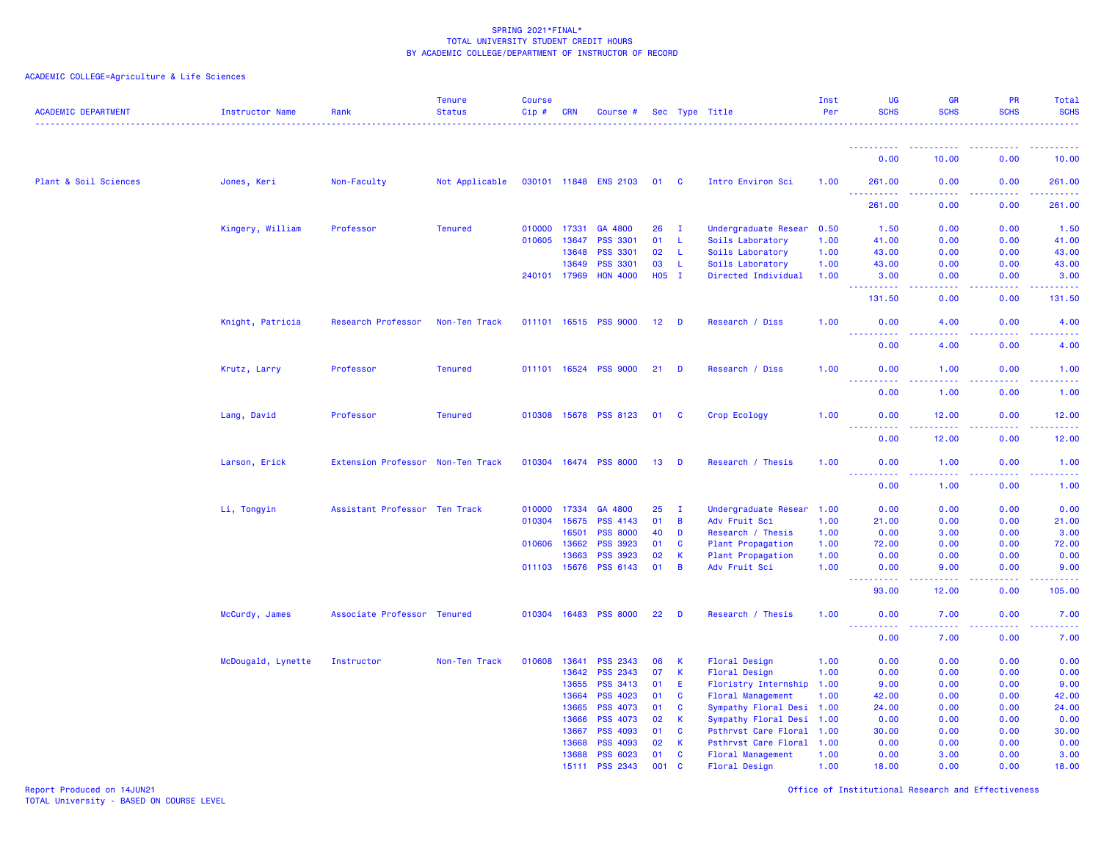ACADEMIC COLLEGE=Agriculture & Life Sciences

| 0.00<br>10.00<br>0.00<br>10.00<br>Plant & Soil Sciences<br>Not Applicable<br>030101 11848 ENS 2103<br>Intro Environ Sci<br>0.00<br>261.00<br>Jones, Keri<br>Non-Faculty<br>01 C<br>1.00<br>261.00<br>0.00<br>2.2.2.2.2<br>$\sim$ $\sim$ $\sim$<br>261.00<br>0.00<br>261.00<br>0.00<br>Kingery, William<br>0.00<br>1.50<br>Professor<br><b>Tenured</b><br>010000 17331<br>GA 4800<br>26<br>I.<br>Undergraduate Resear<br>0.50<br>1.50<br>0.00<br>010605 13647<br>PSS 3301<br>01<br>0.00<br>41.00<br>-L<br>Soils Laboratory<br>1.00<br>41.00<br>0.00<br>PSS 3301<br>02<br>43.00<br>13648<br>L.<br>Soils Laboratory<br>1.00<br>43.00<br>0.00<br>0.00<br><b>PSS 3301</b><br>43.00<br>13649<br>03<br>$\mathsf{L}$<br>Soils Laboratory<br>1.00<br>43.00<br>0.00<br>0.00<br><b>HON 4000</b><br>H05 I<br>3.00<br>240101 17969<br>Directed Individual<br>0.00<br>0.00<br>1.00<br>3.00<br><b></b><br>$\omega$ $\omega$ $\omega$ $\omega$<br>$\sim$ $\sim$ $\sim$ $\sim$<br>.<br>131.50<br>131.50<br>0.00<br>0.00<br>Knight, Patricia<br>Research Professor<br>011101 16515 PSS 9000<br>$12$ D<br>0.00<br>4.00<br>Non-Ten Track<br>Research / Diss<br>1.00<br>0.00<br>4.00<br>$\sim$ $\sim$ $\sim$ $\sim$<br>0.00<br>4.00<br>0.00<br>4.00<br>Professor<br><b>Tenured</b><br>011101 16524 PSS 9000<br>21<br>Krutz, Larry<br><b>D</b><br>Research / Diss<br>1.00<br>0.00<br>1.00<br>0.00<br>1.00<br>$\frac{1}{2} \left( \frac{1}{2} \right) \left( \frac{1}{2} \right) \left( \frac{1}{2} \right) \left( \frac{1}{2} \right)$<br>.<br>.<br>.<br>.<br>0.00<br>1.00<br>0.00<br>1.00<br>Lang, David<br>Professor<br><b>Tenured</b><br>010308 15678 PSS 8123<br>01<br>Crop Ecology<br>1.00<br>0.00<br>12.00<br>0.00<br>12.00<br><b>C</b><br>د د د د .<br>وعاعاها<br>.<br>0.00<br>12.00<br>0.00<br>12.00<br>Extension Professor<br>010304 16474 PSS 8000<br>$13$ D<br>1.00<br>0.00<br>1.00<br>Larson, Erick<br>Non-Ten Track<br>Research / Thesis<br>0.00<br>1.00<br>$\frac{1}{2} \left( \frac{1}{2} \right) \left( \frac{1}{2} \right) \left( \frac{1}{2} \right)$<br>$\omega$ $\omega$ $\omega$ $\omega$<br>1.00<br>0.00<br>1.00<br>0.00<br>0.00<br>Li, Tongyin<br>Assistant Professor Ten Track<br>010000 17334<br>GA 4800<br>25<br>I.<br>Undergraduate Resear<br>1.00<br>0.00<br>0.00<br>0.00<br>01<br>010304 15675<br><b>PSS 4143</b><br>B<br>Adv Fruit Sci<br>1.00<br>21.00<br>0.00<br>0.00<br>21.00<br><b>PSS 8000</b><br>3.00<br>16501<br>40<br>D<br>Research / Thesis<br>1.00<br>0.00<br>3.00<br>0.00<br>72.00<br>010606 13662<br><b>PSS 3923</b><br>01<br>C<br>Plant Propagation<br>72.00<br>0.00<br>0.00<br>1.00<br>13663<br>PSS 3923<br>02<br>K<br>Plant Propagation<br>1.00<br>0.00<br>0.00<br>0.00<br>0.00<br>011103 15676<br>PSS 6143<br>01<br>Adv Fruit Sci<br>9.00<br>B<br>1.00<br>0.00<br>9.00<br>0.00<br>$\frac{1}{2} \left( \frac{1}{2} \right) \left( \frac{1}{2} \right) \left( \frac{1}{2} \right) \left( \frac{1}{2} \right)$<br>105.00<br>93.00<br>12.00<br>0.00<br>010304 16483 PSS 8000<br>7.00<br>McCurdy, James<br>Associate Professor Tenured<br>22<br>D<br>Research / Thesis<br>1.00<br>0.00<br>7.00<br>0.00<br>$\frac{1}{2} \left( \frac{1}{2} \right) \left( \frac{1}{2} \right) \left( \frac{1}{2} \right) \left( \frac{1}{2} \right)$<br>0.00<br>7.00<br>0.00<br>7.00<br>010608 13641<br><b>PSS 2343</b><br>0.00<br>0.00<br>0.00<br>McDougald, Lynette<br>Instructor<br>Non-Ten Track<br>06<br>$\mathsf K$<br>Floral Design<br>1.00<br>0.00<br><b>PSS 2343</b><br>07<br>0.00<br>13642<br>$\mathsf K$<br>Floral Design<br>1.00<br>0.00<br>0.00<br>0.00<br>9.00<br>13655<br><b>PSS 3413</b><br>01<br>9.00<br>0.00<br>0.00<br>E<br>Floristry Internship<br>1.00<br>42.00<br>13664<br><b>PSS 4023</b><br>01<br>Floral Management<br>C<br>1.00<br>42.00<br>0.00<br>0.00<br>13665<br><b>PSS 4073</b><br>01<br><b>C</b><br>Sympathy Floral Desi<br>24.00<br>0.00<br>0.00<br>24.00<br>1.00<br>13666<br><b>PSS 4073</b><br>02<br>Sympathy Floral Desi<br>0.00<br>0.00<br>0.00<br>К<br>1.00<br>0.00<br><b>PSS 4093</b><br>01<br>30.00<br>13667<br>C<br>Psthrvst Care Floral<br>1.00<br>30.00<br>0.00<br>0.00<br>13668<br><b>PSS 4093</b><br>02<br>K<br>Psthrvst Care Floral<br>0.00<br>0.00<br>0.00<br>0.00<br>1.00<br>13688<br><b>PSS 6023</b><br>01<br>0.00<br>3.00<br>0.00<br>3.00<br>C<br>Floral Management<br>1.00<br><b>PSS 2343</b><br>001<br>$\mathbf{C}$<br>1.00<br>18.00<br>0.00<br>0.00<br>18.00<br>15111<br>Floral Design | <b>ACADEMIC DEPARTMENT</b> | Instructor Name | Rank | <b>Tenure</b><br><b>Status</b> | <b>Course</b><br>Cip# | <b>CRN</b> | Course # |  | Sec Type Title | Inst<br>Per | <b>UG</b><br><b>SCHS</b> | <b>GR</b><br><b>SCHS</b> | <b>PR</b><br><b>SCHS</b> | Total<br><b>SCHS</b> |
|----------------------------------------------------------------------------------------------------------------------------------------------------------------------------------------------------------------------------------------------------------------------------------------------------------------------------------------------------------------------------------------------------------------------------------------------------------------------------------------------------------------------------------------------------------------------------------------------------------------------------------------------------------------------------------------------------------------------------------------------------------------------------------------------------------------------------------------------------------------------------------------------------------------------------------------------------------------------------------------------------------------------------------------------------------------------------------------------------------------------------------------------------------------------------------------------------------------------------------------------------------------------------------------------------------------------------------------------------------------------------------------------------------------------------------------------------------------------------------------------------------------------------------------------------------------------------------------------------------------------------------------------------------------------------------------------------------------------------------------------------------------------------------------------------------------------------------------------------------------------------------------------------------------------------------------------------------------------------------------------------------------------------------------------------------------------------------------------------------------------------------------------------------------------------------------------------------------------------------------------------------------------------------------------------------------------------------------------------------------------------------------------------------------------------------------------------------------------------------------------------------------------------------------------------------------------------------------------------------------------------------------------------------------------------------------------------------------------------------------------------------------------------------------------------------------------------------------------------------------------------------------------------------------------------------------------------------------------------------------------------------------------------------------------------------------------------------------------------------------------------------------------------------------------------------------------------------------------------------------------------------------------------------------------------------------------------------------------------------------------------------------------------------------------------------------------------------------------------------------------------------------------------------------------------------------------------------------------------------------------------------------------------------------------------------------------------------------------------------------------------------------------------------------------------------------------------------------------------------------------------------------------------------------------------------------------------------------------------------------------------------------------------------------------------------------------------------------------------------------------------------------------------------------------------------------------------------------------------------------------------------------------------------------------------------------------------------------------------------------------------------------------------------------------------------------------|----------------------------|-----------------|------|--------------------------------|-----------------------|------------|----------|--|----------------|-------------|--------------------------|--------------------------|--------------------------|----------------------|
|                                                                                                                                                                                                                                                                                                                                                                                                                                                                                                                                                                                                                                                                                                                                                                                                                                                                                                                                                                                                                                                                                                                                                                                                                                                                                                                                                                                                                                                                                                                                                                                                                                                                                                                                                                                                                                                                                                                                                                                                                                                                                                                                                                                                                                                                                                                                                                                                                                                                                                                                                                                                                                                                                                                                                                                                                                                                                                                                                                                                                                                                                                                                                                                                                                                                                                                                                                                                                                                                                                                                                                                                                                                                                                                                                                                                                                                                                                                                                                                                                                                                                                                                                                                                                                                                                                                                                                                                                                              |                            |                 |      |                                |                       |            |          |  |                |             |                          |                          |                          |                      |
|                                                                                                                                                                                                                                                                                                                                                                                                                                                                                                                                                                                                                                                                                                                                                                                                                                                                                                                                                                                                                                                                                                                                                                                                                                                                                                                                                                                                                                                                                                                                                                                                                                                                                                                                                                                                                                                                                                                                                                                                                                                                                                                                                                                                                                                                                                                                                                                                                                                                                                                                                                                                                                                                                                                                                                                                                                                                                                                                                                                                                                                                                                                                                                                                                                                                                                                                                                                                                                                                                                                                                                                                                                                                                                                                                                                                                                                                                                                                                                                                                                                                                                                                                                                                                                                                                                                                                                                                                                              |                            |                 |      |                                |                       |            |          |  |                |             |                          |                          |                          |                      |
|                                                                                                                                                                                                                                                                                                                                                                                                                                                                                                                                                                                                                                                                                                                                                                                                                                                                                                                                                                                                                                                                                                                                                                                                                                                                                                                                                                                                                                                                                                                                                                                                                                                                                                                                                                                                                                                                                                                                                                                                                                                                                                                                                                                                                                                                                                                                                                                                                                                                                                                                                                                                                                                                                                                                                                                                                                                                                                                                                                                                                                                                                                                                                                                                                                                                                                                                                                                                                                                                                                                                                                                                                                                                                                                                                                                                                                                                                                                                                                                                                                                                                                                                                                                                                                                                                                                                                                                                                                              |                            |                 |      |                                |                       |            |          |  |                |             |                          |                          |                          |                      |
|                                                                                                                                                                                                                                                                                                                                                                                                                                                                                                                                                                                                                                                                                                                                                                                                                                                                                                                                                                                                                                                                                                                                                                                                                                                                                                                                                                                                                                                                                                                                                                                                                                                                                                                                                                                                                                                                                                                                                                                                                                                                                                                                                                                                                                                                                                                                                                                                                                                                                                                                                                                                                                                                                                                                                                                                                                                                                                                                                                                                                                                                                                                                                                                                                                                                                                                                                                                                                                                                                                                                                                                                                                                                                                                                                                                                                                                                                                                                                                                                                                                                                                                                                                                                                                                                                                                                                                                                                                              |                            |                 |      |                                |                       |            |          |  |                |             |                          |                          |                          |                      |
|                                                                                                                                                                                                                                                                                                                                                                                                                                                                                                                                                                                                                                                                                                                                                                                                                                                                                                                                                                                                                                                                                                                                                                                                                                                                                                                                                                                                                                                                                                                                                                                                                                                                                                                                                                                                                                                                                                                                                                                                                                                                                                                                                                                                                                                                                                                                                                                                                                                                                                                                                                                                                                                                                                                                                                                                                                                                                                                                                                                                                                                                                                                                                                                                                                                                                                                                                                                                                                                                                                                                                                                                                                                                                                                                                                                                                                                                                                                                                                                                                                                                                                                                                                                                                                                                                                                                                                                                                                              |                            |                 |      |                                |                       |            |          |  |                |             |                          |                          |                          |                      |
|                                                                                                                                                                                                                                                                                                                                                                                                                                                                                                                                                                                                                                                                                                                                                                                                                                                                                                                                                                                                                                                                                                                                                                                                                                                                                                                                                                                                                                                                                                                                                                                                                                                                                                                                                                                                                                                                                                                                                                                                                                                                                                                                                                                                                                                                                                                                                                                                                                                                                                                                                                                                                                                                                                                                                                                                                                                                                                                                                                                                                                                                                                                                                                                                                                                                                                                                                                                                                                                                                                                                                                                                                                                                                                                                                                                                                                                                                                                                                                                                                                                                                                                                                                                                                                                                                                                                                                                                                                              |                            |                 |      |                                |                       |            |          |  |                |             |                          |                          |                          |                      |
|                                                                                                                                                                                                                                                                                                                                                                                                                                                                                                                                                                                                                                                                                                                                                                                                                                                                                                                                                                                                                                                                                                                                                                                                                                                                                                                                                                                                                                                                                                                                                                                                                                                                                                                                                                                                                                                                                                                                                                                                                                                                                                                                                                                                                                                                                                                                                                                                                                                                                                                                                                                                                                                                                                                                                                                                                                                                                                                                                                                                                                                                                                                                                                                                                                                                                                                                                                                                                                                                                                                                                                                                                                                                                                                                                                                                                                                                                                                                                                                                                                                                                                                                                                                                                                                                                                                                                                                                                                              |                            |                 |      |                                |                       |            |          |  |                |             |                          |                          |                          |                      |
|                                                                                                                                                                                                                                                                                                                                                                                                                                                                                                                                                                                                                                                                                                                                                                                                                                                                                                                                                                                                                                                                                                                                                                                                                                                                                                                                                                                                                                                                                                                                                                                                                                                                                                                                                                                                                                                                                                                                                                                                                                                                                                                                                                                                                                                                                                                                                                                                                                                                                                                                                                                                                                                                                                                                                                                                                                                                                                                                                                                                                                                                                                                                                                                                                                                                                                                                                                                                                                                                                                                                                                                                                                                                                                                                                                                                                                                                                                                                                                                                                                                                                                                                                                                                                                                                                                                                                                                                                                              |                            |                 |      |                                |                       |            |          |  |                |             |                          |                          |                          |                      |
|                                                                                                                                                                                                                                                                                                                                                                                                                                                                                                                                                                                                                                                                                                                                                                                                                                                                                                                                                                                                                                                                                                                                                                                                                                                                                                                                                                                                                                                                                                                                                                                                                                                                                                                                                                                                                                                                                                                                                                                                                                                                                                                                                                                                                                                                                                                                                                                                                                                                                                                                                                                                                                                                                                                                                                                                                                                                                                                                                                                                                                                                                                                                                                                                                                                                                                                                                                                                                                                                                                                                                                                                                                                                                                                                                                                                                                                                                                                                                                                                                                                                                                                                                                                                                                                                                                                                                                                                                                              |                            |                 |      |                                |                       |            |          |  |                |             |                          |                          |                          |                      |
|                                                                                                                                                                                                                                                                                                                                                                                                                                                                                                                                                                                                                                                                                                                                                                                                                                                                                                                                                                                                                                                                                                                                                                                                                                                                                                                                                                                                                                                                                                                                                                                                                                                                                                                                                                                                                                                                                                                                                                                                                                                                                                                                                                                                                                                                                                                                                                                                                                                                                                                                                                                                                                                                                                                                                                                                                                                                                                                                                                                                                                                                                                                                                                                                                                                                                                                                                                                                                                                                                                                                                                                                                                                                                                                                                                                                                                                                                                                                                                                                                                                                                                                                                                                                                                                                                                                                                                                                                                              |                            |                 |      |                                |                       |            |          |  |                |             |                          |                          |                          |                      |
|                                                                                                                                                                                                                                                                                                                                                                                                                                                                                                                                                                                                                                                                                                                                                                                                                                                                                                                                                                                                                                                                                                                                                                                                                                                                                                                                                                                                                                                                                                                                                                                                                                                                                                                                                                                                                                                                                                                                                                                                                                                                                                                                                                                                                                                                                                                                                                                                                                                                                                                                                                                                                                                                                                                                                                                                                                                                                                                                                                                                                                                                                                                                                                                                                                                                                                                                                                                                                                                                                                                                                                                                                                                                                                                                                                                                                                                                                                                                                                                                                                                                                                                                                                                                                                                                                                                                                                                                                                              |                            |                 |      |                                |                       |            |          |  |                |             |                          |                          |                          |                      |
|                                                                                                                                                                                                                                                                                                                                                                                                                                                                                                                                                                                                                                                                                                                                                                                                                                                                                                                                                                                                                                                                                                                                                                                                                                                                                                                                                                                                                                                                                                                                                                                                                                                                                                                                                                                                                                                                                                                                                                                                                                                                                                                                                                                                                                                                                                                                                                                                                                                                                                                                                                                                                                                                                                                                                                                                                                                                                                                                                                                                                                                                                                                                                                                                                                                                                                                                                                                                                                                                                                                                                                                                                                                                                                                                                                                                                                                                                                                                                                                                                                                                                                                                                                                                                                                                                                                                                                                                                                              |                            |                 |      |                                |                       |            |          |  |                |             |                          |                          |                          |                      |
|                                                                                                                                                                                                                                                                                                                                                                                                                                                                                                                                                                                                                                                                                                                                                                                                                                                                                                                                                                                                                                                                                                                                                                                                                                                                                                                                                                                                                                                                                                                                                                                                                                                                                                                                                                                                                                                                                                                                                                                                                                                                                                                                                                                                                                                                                                                                                                                                                                                                                                                                                                                                                                                                                                                                                                                                                                                                                                                                                                                                                                                                                                                                                                                                                                                                                                                                                                                                                                                                                                                                                                                                                                                                                                                                                                                                                                                                                                                                                                                                                                                                                                                                                                                                                                                                                                                                                                                                                                              |                            |                 |      |                                |                       |            |          |  |                |             |                          |                          |                          |                      |
|                                                                                                                                                                                                                                                                                                                                                                                                                                                                                                                                                                                                                                                                                                                                                                                                                                                                                                                                                                                                                                                                                                                                                                                                                                                                                                                                                                                                                                                                                                                                                                                                                                                                                                                                                                                                                                                                                                                                                                                                                                                                                                                                                                                                                                                                                                                                                                                                                                                                                                                                                                                                                                                                                                                                                                                                                                                                                                                                                                                                                                                                                                                                                                                                                                                                                                                                                                                                                                                                                                                                                                                                                                                                                                                                                                                                                                                                                                                                                                                                                                                                                                                                                                                                                                                                                                                                                                                                                                              |                            |                 |      |                                |                       |            |          |  |                |             |                          |                          |                          |                      |
|                                                                                                                                                                                                                                                                                                                                                                                                                                                                                                                                                                                                                                                                                                                                                                                                                                                                                                                                                                                                                                                                                                                                                                                                                                                                                                                                                                                                                                                                                                                                                                                                                                                                                                                                                                                                                                                                                                                                                                                                                                                                                                                                                                                                                                                                                                                                                                                                                                                                                                                                                                                                                                                                                                                                                                                                                                                                                                                                                                                                                                                                                                                                                                                                                                                                                                                                                                                                                                                                                                                                                                                                                                                                                                                                                                                                                                                                                                                                                                                                                                                                                                                                                                                                                                                                                                                                                                                                                                              |                            |                 |      |                                |                       |            |          |  |                |             |                          |                          |                          |                      |
|                                                                                                                                                                                                                                                                                                                                                                                                                                                                                                                                                                                                                                                                                                                                                                                                                                                                                                                                                                                                                                                                                                                                                                                                                                                                                                                                                                                                                                                                                                                                                                                                                                                                                                                                                                                                                                                                                                                                                                                                                                                                                                                                                                                                                                                                                                                                                                                                                                                                                                                                                                                                                                                                                                                                                                                                                                                                                                                                                                                                                                                                                                                                                                                                                                                                                                                                                                                                                                                                                                                                                                                                                                                                                                                                                                                                                                                                                                                                                                                                                                                                                                                                                                                                                                                                                                                                                                                                                                              |                            |                 |      |                                |                       |            |          |  |                |             |                          |                          |                          |                      |
|                                                                                                                                                                                                                                                                                                                                                                                                                                                                                                                                                                                                                                                                                                                                                                                                                                                                                                                                                                                                                                                                                                                                                                                                                                                                                                                                                                                                                                                                                                                                                                                                                                                                                                                                                                                                                                                                                                                                                                                                                                                                                                                                                                                                                                                                                                                                                                                                                                                                                                                                                                                                                                                                                                                                                                                                                                                                                                                                                                                                                                                                                                                                                                                                                                                                                                                                                                                                                                                                                                                                                                                                                                                                                                                                                                                                                                                                                                                                                                                                                                                                                                                                                                                                                                                                                                                                                                                                                                              |                            |                 |      |                                |                       |            |          |  |                |             |                          |                          |                          |                      |
|                                                                                                                                                                                                                                                                                                                                                                                                                                                                                                                                                                                                                                                                                                                                                                                                                                                                                                                                                                                                                                                                                                                                                                                                                                                                                                                                                                                                                                                                                                                                                                                                                                                                                                                                                                                                                                                                                                                                                                                                                                                                                                                                                                                                                                                                                                                                                                                                                                                                                                                                                                                                                                                                                                                                                                                                                                                                                                                                                                                                                                                                                                                                                                                                                                                                                                                                                                                                                                                                                                                                                                                                                                                                                                                                                                                                                                                                                                                                                                                                                                                                                                                                                                                                                                                                                                                                                                                                                                              |                            |                 |      |                                |                       |            |          |  |                |             |                          |                          |                          |                      |
|                                                                                                                                                                                                                                                                                                                                                                                                                                                                                                                                                                                                                                                                                                                                                                                                                                                                                                                                                                                                                                                                                                                                                                                                                                                                                                                                                                                                                                                                                                                                                                                                                                                                                                                                                                                                                                                                                                                                                                                                                                                                                                                                                                                                                                                                                                                                                                                                                                                                                                                                                                                                                                                                                                                                                                                                                                                                                                                                                                                                                                                                                                                                                                                                                                                                                                                                                                                                                                                                                                                                                                                                                                                                                                                                                                                                                                                                                                                                                                                                                                                                                                                                                                                                                                                                                                                                                                                                                                              |                            |                 |      |                                |                       |            |          |  |                |             |                          |                          |                          |                      |
|                                                                                                                                                                                                                                                                                                                                                                                                                                                                                                                                                                                                                                                                                                                                                                                                                                                                                                                                                                                                                                                                                                                                                                                                                                                                                                                                                                                                                                                                                                                                                                                                                                                                                                                                                                                                                                                                                                                                                                                                                                                                                                                                                                                                                                                                                                                                                                                                                                                                                                                                                                                                                                                                                                                                                                                                                                                                                                                                                                                                                                                                                                                                                                                                                                                                                                                                                                                                                                                                                                                                                                                                                                                                                                                                                                                                                                                                                                                                                                                                                                                                                                                                                                                                                                                                                                                                                                                                                                              |                            |                 |      |                                |                       |            |          |  |                |             |                          |                          |                          |                      |
|                                                                                                                                                                                                                                                                                                                                                                                                                                                                                                                                                                                                                                                                                                                                                                                                                                                                                                                                                                                                                                                                                                                                                                                                                                                                                                                                                                                                                                                                                                                                                                                                                                                                                                                                                                                                                                                                                                                                                                                                                                                                                                                                                                                                                                                                                                                                                                                                                                                                                                                                                                                                                                                                                                                                                                                                                                                                                                                                                                                                                                                                                                                                                                                                                                                                                                                                                                                                                                                                                                                                                                                                                                                                                                                                                                                                                                                                                                                                                                                                                                                                                                                                                                                                                                                                                                                                                                                                                                              |                            |                 |      |                                |                       |            |          |  |                |             |                          |                          |                          |                      |
|                                                                                                                                                                                                                                                                                                                                                                                                                                                                                                                                                                                                                                                                                                                                                                                                                                                                                                                                                                                                                                                                                                                                                                                                                                                                                                                                                                                                                                                                                                                                                                                                                                                                                                                                                                                                                                                                                                                                                                                                                                                                                                                                                                                                                                                                                                                                                                                                                                                                                                                                                                                                                                                                                                                                                                                                                                                                                                                                                                                                                                                                                                                                                                                                                                                                                                                                                                                                                                                                                                                                                                                                                                                                                                                                                                                                                                                                                                                                                                                                                                                                                                                                                                                                                                                                                                                                                                                                                                              |                            |                 |      |                                |                       |            |          |  |                |             |                          |                          |                          |                      |
|                                                                                                                                                                                                                                                                                                                                                                                                                                                                                                                                                                                                                                                                                                                                                                                                                                                                                                                                                                                                                                                                                                                                                                                                                                                                                                                                                                                                                                                                                                                                                                                                                                                                                                                                                                                                                                                                                                                                                                                                                                                                                                                                                                                                                                                                                                                                                                                                                                                                                                                                                                                                                                                                                                                                                                                                                                                                                                                                                                                                                                                                                                                                                                                                                                                                                                                                                                                                                                                                                                                                                                                                                                                                                                                                                                                                                                                                                                                                                                                                                                                                                                                                                                                                                                                                                                                                                                                                                                              |                            |                 |      |                                |                       |            |          |  |                |             |                          |                          |                          |                      |
|                                                                                                                                                                                                                                                                                                                                                                                                                                                                                                                                                                                                                                                                                                                                                                                                                                                                                                                                                                                                                                                                                                                                                                                                                                                                                                                                                                                                                                                                                                                                                                                                                                                                                                                                                                                                                                                                                                                                                                                                                                                                                                                                                                                                                                                                                                                                                                                                                                                                                                                                                                                                                                                                                                                                                                                                                                                                                                                                                                                                                                                                                                                                                                                                                                                                                                                                                                                                                                                                                                                                                                                                                                                                                                                                                                                                                                                                                                                                                                                                                                                                                                                                                                                                                                                                                                                                                                                                                                              |                            |                 |      |                                |                       |            |          |  |                |             |                          |                          |                          |                      |
|                                                                                                                                                                                                                                                                                                                                                                                                                                                                                                                                                                                                                                                                                                                                                                                                                                                                                                                                                                                                                                                                                                                                                                                                                                                                                                                                                                                                                                                                                                                                                                                                                                                                                                                                                                                                                                                                                                                                                                                                                                                                                                                                                                                                                                                                                                                                                                                                                                                                                                                                                                                                                                                                                                                                                                                                                                                                                                                                                                                                                                                                                                                                                                                                                                                                                                                                                                                                                                                                                                                                                                                                                                                                                                                                                                                                                                                                                                                                                                                                                                                                                                                                                                                                                                                                                                                                                                                                                                              |                            |                 |      |                                |                       |            |          |  |                |             |                          |                          |                          |                      |
|                                                                                                                                                                                                                                                                                                                                                                                                                                                                                                                                                                                                                                                                                                                                                                                                                                                                                                                                                                                                                                                                                                                                                                                                                                                                                                                                                                                                                                                                                                                                                                                                                                                                                                                                                                                                                                                                                                                                                                                                                                                                                                                                                                                                                                                                                                                                                                                                                                                                                                                                                                                                                                                                                                                                                                                                                                                                                                                                                                                                                                                                                                                                                                                                                                                                                                                                                                                                                                                                                                                                                                                                                                                                                                                                                                                                                                                                                                                                                                                                                                                                                                                                                                                                                                                                                                                                                                                                                                              |                            |                 |      |                                |                       |            |          |  |                |             |                          |                          |                          |                      |
|                                                                                                                                                                                                                                                                                                                                                                                                                                                                                                                                                                                                                                                                                                                                                                                                                                                                                                                                                                                                                                                                                                                                                                                                                                                                                                                                                                                                                                                                                                                                                                                                                                                                                                                                                                                                                                                                                                                                                                                                                                                                                                                                                                                                                                                                                                                                                                                                                                                                                                                                                                                                                                                                                                                                                                                                                                                                                                                                                                                                                                                                                                                                                                                                                                                                                                                                                                                                                                                                                                                                                                                                                                                                                                                                                                                                                                                                                                                                                                                                                                                                                                                                                                                                                                                                                                                                                                                                                                              |                            |                 |      |                                |                       |            |          |  |                |             |                          |                          |                          |                      |
|                                                                                                                                                                                                                                                                                                                                                                                                                                                                                                                                                                                                                                                                                                                                                                                                                                                                                                                                                                                                                                                                                                                                                                                                                                                                                                                                                                                                                                                                                                                                                                                                                                                                                                                                                                                                                                                                                                                                                                                                                                                                                                                                                                                                                                                                                                                                                                                                                                                                                                                                                                                                                                                                                                                                                                                                                                                                                                                                                                                                                                                                                                                                                                                                                                                                                                                                                                                                                                                                                                                                                                                                                                                                                                                                                                                                                                                                                                                                                                                                                                                                                                                                                                                                                                                                                                                                                                                                                                              |                            |                 |      |                                |                       |            |          |  |                |             |                          |                          |                          |                      |
|                                                                                                                                                                                                                                                                                                                                                                                                                                                                                                                                                                                                                                                                                                                                                                                                                                                                                                                                                                                                                                                                                                                                                                                                                                                                                                                                                                                                                                                                                                                                                                                                                                                                                                                                                                                                                                                                                                                                                                                                                                                                                                                                                                                                                                                                                                                                                                                                                                                                                                                                                                                                                                                                                                                                                                                                                                                                                                                                                                                                                                                                                                                                                                                                                                                                                                                                                                                                                                                                                                                                                                                                                                                                                                                                                                                                                                                                                                                                                                                                                                                                                                                                                                                                                                                                                                                                                                                                                                              |                            |                 |      |                                |                       |            |          |  |                |             |                          |                          |                          |                      |
|                                                                                                                                                                                                                                                                                                                                                                                                                                                                                                                                                                                                                                                                                                                                                                                                                                                                                                                                                                                                                                                                                                                                                                                                                                                                                                                                                                                                                                                                                                                                                                                                                                                                                                                                                                                                                                                                                                                                                                                                                                                                                                                                                                                                                                                                                                                                                                                                                                                                                                                                                                                                                                                                                                                                                                                                                                                                                                                                                                                                                                                                                                                                                                                                                                                                                                                                                                                                                                                                                                                                                                                                                                                                                                                                                                                                                                                                                                                                                                                                                                                                                                                                                                                                                                                                                                                                                                                                                                              |                            |                 |      |                                |                       |            |          |  |                |             |                          |                          |                          |                      |
|                                                                                                                                                                                                                                                                                                                                                                                                                                                                                                                                                                                                                                                                                                                                                                                                                                                                                                                                                                                                                                                                                                                                                                                                                                                                                                                                                                                                                                                                                                                                                                                                                                                                                                                                                                                                                                                                                                                                                                                                                                                                                                                                                                                                                                                                                                                                                                                                                                                                                                                                                                                                                                                                                                                                                                                                                                                                                                                                                                                                                                                                                                                                                                                                                                                                                                                                                                                                                                                                                                                                                                                                                                                                                                                                                                                                                                                                                                                                                                                                                                                                                                                                                                                                                                                                                                                                                                                                                                              |                            |                 |      |                                |                       |            |          |  |                |             |                          |                          |                          |                      |
|                                                                                                                                                                                                                                                                                                                                                                                                                                                                                                                                                                                                                                                                                                                                                                                                                                                                                                                                                                                                                                                                                                                                                                                                                                                                                                                                                                                                                                                                                                                                                                                                                                                                                                                                                                                                                                                                                                                                                                                                                                                                                                                                                                                                                                                                                                                                                                                                                                                                                                                                                                                                                                                                                                                                                                                                                                                                                                                                                                                                                                                                                                                                                                                                                                                                                                                                                                                                                                                                                                                                                                                                                                                                                                                                                                                                                                                                                                                                                                                                                                                                                                                                                                                                                                                                                                                                                                                                                                              |                            |                 |      |                                |                       |            |          |  |                |             |                          |                          |                          |                      |
|                                                                                                                                                                                                                                                                                                                                                                                                                                                                                                                                                                                                                                                                                                                                                                                                                                                                                                                                                                                                                                                                                                                                                                                                                                                                                                                                                                                                                                                                                                                                                                                                                                                                                                                                                                                                                                                                                                                                                                                                                                                                                                                                                                                                                                                                                                                                                                                                                                                                                                                                                                                                                                                                                                                                                                                                                                                                                                                                                                                                                                                                                                                                                                                                                                                                                                                                                                                                                                                                                                                                                                                                                                                                                                                                                                                                                                                                                                                                                                                                                                                                                                                                                                                                                                                                                                                                                                                                                                              |                            |                 |      |                                |                       |            |          |  |                |             |                          |                          |                          |                      |
|                                                                                                                                                                                                                                                                                                                                                                                                                                                                                                                                                                                                                                                                                                                                                                                                                                                                                                                                                                                                                                                                                                                                                                                                                                                                                                                                                                                                                                                                                                                                                                                                                                                                                                                                                                                                                                                                                                                                                                                                                                                                                                                                                                                                                                                                                                                                                                                                                                                                                                                                                                                                                                                                                                                                                                                                                                                                                                                                                                                                                                                                                                                                                                                                                                                                                                                                                                                                                                                                                                                                                                                                                                                                                                                                                                                                                                                                                                                                                                                                                                                                                                                                                                                                                                                                                                                                                                                                                                              |                            |                 |      |                                |                       |            |          |  |                |             |                          |                          |                          |                      |
|                                                                                                                                                                                                                                                                                                                                                                                                                                                                                                                                                                                                                                                                                                                                                                                                                                                                                                                                                                                                                                                                                                                                                                                                                                                                                                                                                                                                                                                                                                                                                                                                                                                                                                                                                                                                                                                                                                                                                                                                                                                                                                                                                                                                                                                                                                                                                                                                                                                                                                                                                                                                                                                                                                                                                                                                                                                                                                                                                                                                                                                                                                                                                                                                                                                                                                                                                                                                                                                                                                                                                                                                                                                                                                                                                                                                                                                                                                                                                                                                                                                                                                                                                                                                                                                                                                                                                                                                                                              |                            |                 |      |                                |                       |            |          |  |                |             |                          |                          |                          |                      |
|                                                                                                                                                                                                                                                                                                                                                                                                                                                                                                                                                                                                                                                                                                                                                                                                                                                                                                                                                                                                                                                                                                                                                                                                                                                                                                                                                                                                                                                                                                                                                                                                                                                                                                                                                                                                                                                                                                                                                                                                                                                                                                                                                                                                                                                                                                                                                                                                                                                                                                                                                                                                                                                                                                                                                                                                                                                                                                                                                                                                                                                                                                                                                                                                                                                                                                                                                                                                                                                                                                                                                                                                                                                                                                                                                                                                                                                                                                                                                                                                                                                                                                                                                                                                                                                                                                                                                                                                                                              |                            |                 |      |                                |                       |            |          |  |                |             |                          |                          |                          |                      |
|                                                                                                                                                                                                                                                                                                                                                                                                                                                                                                                                                                                                                                                                                                                                                                                                                                                                                                                                                                                                                                                                                                                                                                                                                                                                                                                                                                                                                                                                                                                                                                                                                                                                                                                                                                                                                                                                                                                                                                                                                                                                                                                                                                                                                                                                                                                                                                                                                                                                                                                                                                                                                                                                                                                                                                                                                                                                                                                                                                                                                                                                                                                                                                                                                                                                                                                                                                                                                                                                                                                                                                                                                                                                                                                                                                                                                                                                                                                                                                                                                                                                                                                                                                                                                                                                                                                                                                                                                                              |                            |                 |      |                                |                       |            |          |  |                |             |                          |                          |                          |                      |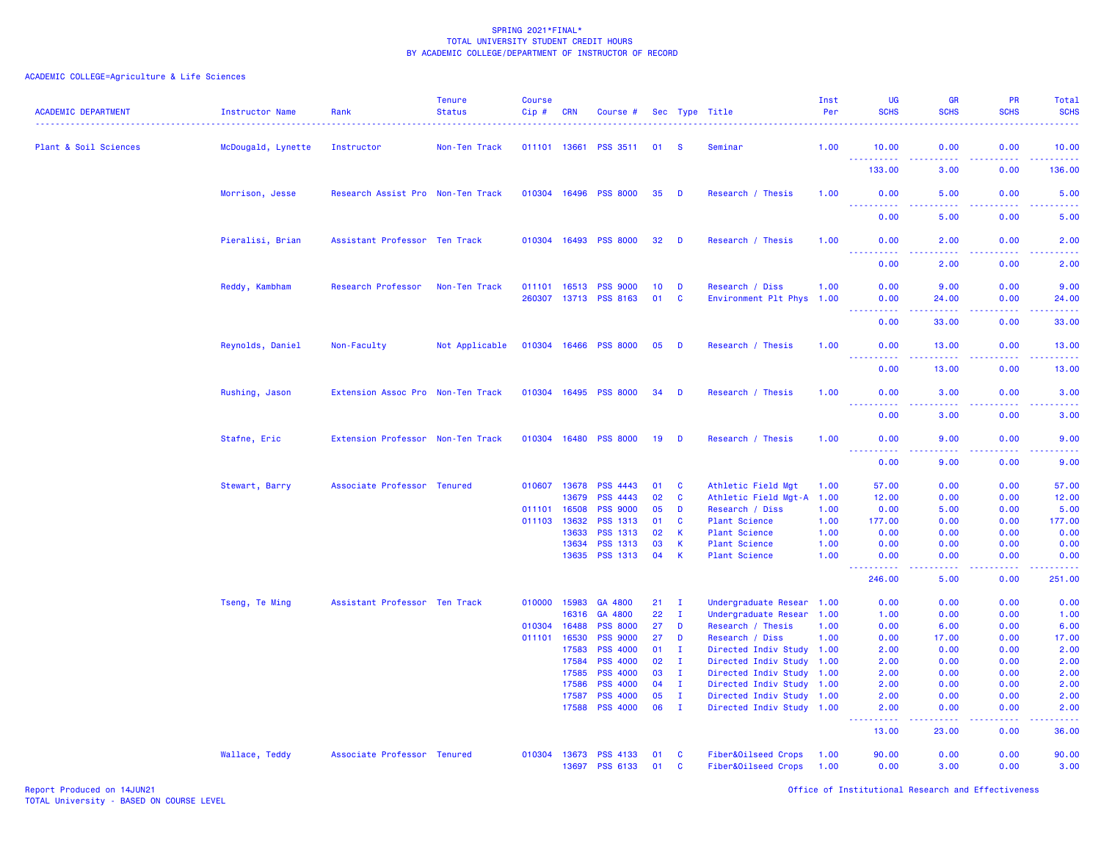# ACADEMIC COLLEGE=Agriculture & Life Sciences

| <b>ACADEMIC DEPARTMENT</b> | Instructor Name    | Rank                              | <b>Tenure</b><br><b>Status</b> | <b>Course</b><br>Cip# | CRN                   | Course #                           |                 |                      | Sec Type Title                                  | Inst<br>Per | UG<br><b>SCHS</b>                                                                                                                                            | <b>GR</b><br><b>SCHS</b>                                                                                                                                     | <b>PR</b><br><b>SCHS</b>                                                                                                                                     | Total<br><b>SCHS</b>  |
|----------------------------|--------------------|-----------------------------------|--------------------------------|-----------------------|-----------------------|------------------------------------|-----------------|----------------------|-------------------------------------------------|-------------|--------------------------------------------------------------------------------------------------------------------------------------------------------------|--------------------------------------------------------------------------------------------------------------------------------------------------------------|--------------------------------------------------------------------------------------------------------------------------------------------------------------|-----------------------|
| Plant & Soil Sciences      | McDougald, Lynette | Instructor                        | Non-Ten Track                  |                       |                       | 011101 13661 PSS 3511              | 01              | <b>S</b>             | Seminar                                         | 1.00        | 10.00                                                                                                                                                        | 0.00                                                                                                                                                         | 0.00                                                                                                                                                         | 10.00                 |
|                            |                    |                                   |                                |                       |                       |                                    |                 |                      |                                                 |             | $- - -$<br>.<br>133.00                                                                                                                                       | .<br>3.00                                                                                                                                                    | .<br>0.00                                                                                                                                                    | .<br>136.00           |
|                            | Morrison, Jesse    | Research Assist Pro Non-Ten Track |                                | 010304 16496          |                       | <b>PSS 8000</b>                    | 35              | <b>D</b>             | Research / Thesis                               | 1.00        | 0.00                                                                                                                                                         | 5.00                                                                                                                                                         | 0.00                                                                                                                                                         | 5.00                  |
|                            |                    |                                   |                                |                       |                       |                                    |                 |                      |                                                 |             | المالمات<br>0.00                                                                                                                                             | 5.00                                                                                                                                                         | بالأباد<br>0.00                                                                                                                                              | 5.00                  |
|                            | Pieralisi, Brian   | Assistant Professor Ten Track     |                                |                       |                       | 010304 16493 PSS 8000              | 32              | D                    | Research / Thesis                               | 1.00        | 0.00                                                                                                                                                         | 2.00                                                                                                                                                         | 0.00                                                                                                                                                         | 2.00                  |
|                            |                    |                                   |                                |                       |                       |                                    |                 |                      |                                                 |             | <b>.</b><br>0.00                                                                                                                                             | -----<br>2.00                                                                                                                                                | $\frac{1}{2} \left( \frac{1}{2} \right) \left( \frac{1}{2} \right) \left( \frac{1}{2} \right) \left( \frac{1}{2} \right) \left( \frac{1}{2} \right)$<br>0.00 | المالم عامان<br>2.00  |
|                            | Reddy, Kambham     | Research Professor                | Non-Ten Track                  | 011101 16513          |                       | <b>PSS 9000</b>                    | 10 <sup>°</sup> | D                    | Research / Diss                                 | 1.00        | 0.00                                                                                                                                                         | 9.00                                                                                                                                                         | 0.00                                                                                                                                                         | 9.00                  |
|                            |                    |                                   |                                |                       |                       | 260307 13713 PSS 8163              | 01              | <b>C</b>             | Environment Plt Phys                            | 1.00        | 0.00                                                                                                                                                         | 24,00                                                                                                                                                        | 0.00                                                                                                                                                         | 24.00                 |
|                            |                    |                                   |                                |                       |                       |                                    |                 |                      |                                                 |             | 0.00                                                                                                                                                         | 33.00                                                                                                                                                        | 0.00                                                                                                                                                         | 33.00                 |
|                            | Reynolds, Daniel   | Non-Faculty                       | Not Applicable                 |                       |                       | 010304 16466 PSS 8000              | 05              | <b>D</b>             | Research / Thesis                               | 1.00        | 0.00<br>2.2.2.2.2.2                                                                                                                                          | 13.00                                                                                                                                                        | 0.00                                                                                                                                                         | 13.00                 |
|                            |                    |                                   |                                |                       |                       |                                    |                 |                      |                                                 |             | 0.00                                                                                                                                                         | 13.00                                                                                                                                                        | 0.00                                                                                                                                                         | 13.00                 |
|                            | Rushing, Jason     | Extension Assoc Pro Non-Ten Track |                                | 010304 16495          |                       | <b>PSS 8000</b>                    | 34              | D                    | Research / Thesis                               | 1.00        | 0.00<br>$\frac{1}{2} \left( \frac{1}{2} \right) \left( \frac{1}{2} \right) \left( \frac{1}{2} \right) \left( \frac{1}{2} \right) \left( \frac{1}{2} \right)$ | 3.00<br>.                                                                                                                                                    | 0.00                                                                                                                                                         | 3.00                  |
|                            |                    |                                   |                                |                       |                       |                                    |                 |                      |                                                 |             | 0.00                                                                                                                                                         | 3.00                                                                                                                                                         | 0.00                                                                                                                                                         | 3.00                  |
|                            | Stafne, Eric       | Extension Professor Non-Ten Track |                                | 010304 16480          |                       | <b>PSS 8000</b>                    | 19              | <b>D</b>             | Research / Thesis                               | 1.00        | 0.00<br><u>.</u>                                                                                                                                             | 9.00<br>د د د د                                                                                                                                              | 0.00<br><u>.</u>                                                                                                                                             | 9.00<br>$\frac{1}{2}$ |
|                            |                    |                                   |                                |                       |                       |                                    |                 |                      |                                                 |             | 0.00                                                                                                                                                         | 9.00                                                                                                                                                         | 0.00                                                                                                                                                         | 9.00                  |
|                            | Stewart, Barry     | Associate Professor Tenured       |                                |                       | 010607 13678<br>13679 | <b>PSS 4443</b><br><b>PSS 4443</b> | 01<br>02        | <b>C</b><br><b>C</b> | Athletic Field Mgt<br>Athletic Field Mgt-A 1.00 | 1.00        | 57.00<br>12.00                                                                                                                                               | 0.00<br>0.00                                                                                                                                                 | 0.00<br>0.00                                                                                                                                                 | 57.00<br>12.00        |
|                            |                    |                                   |                                | 011101                | 16508                 | <b>PSS 9000</b>                    | 05              | D                    | Research / Diss                                 | 1.00        | 0.00                                                                                                                                                         | 5.00                                                                                                                                                         | 0.00                                                                                                                                                         | 5.00                  |
|                            |                    |                                   |                                | 011103 13632          |                       | <b>PSS 1313</b>                    | 01              | $\mathbf{C}$         | <b>Plant Science</b>                            | 1.00        | 177.00                                                                                                                                                       | 0.00                                                                                                                                                         | 0.00                                                                                                                                                         | 177.00                |
|                            |                    |                                   |                                |                       | 13633                 | <b>PSS 1313</b>                    | 02              | $\mathbf{K}$         | <b>Plant Science</b>                            | 1.00        | 0.00                                                                                                                                                         | 0.00                                                                                                                                                         | 0.00                                                                                                                                                         | 0.00                  |
|                            |                    |                                   |                                |                       | 13634                 | PSS 1313                           | 03              | $\mathsf K$          | <b>Plant Science</b>                            | 1.00        | 0.00                                                                                                                                                         | 0.00                                                                                                                                                         | 0.00                                                                                                                                                         | 0.00                  |
|                            |                    |                                   |                                |                       |                       | 13635 PSS 1313                     | 04              | $\mathsf{K}$         | <b>Plant Science</b>                            | 1.00        | 0.00<br>- - - -                                                                                                                                              | 0.00<br>$\frac{1}{2} \left( \frac{1}{2} \right) \left( \frac{1}{2} \right) \left( \frac{1}{2} \right)$                                                       | 0.00<br>.                                                                                                                                                    | 0.00                  |
|                            |                    |                                   |                                |                       |                       |                                    |                 |                      |                                                 |             | 246.00                                                                                                                                                       | 5.00                                                                                                                                                         | 0.00                                                                                                                                                         | 251.00                |
|                            | Tseng, Te Ming     | Assistant Professor Ten Track     |                                | 010000                | 15983                 | GA 4800                            | 21              | $\mathbf{I}$         | Undergraduate Resear 1.00                       |             | 0.00                                                                                                                                                         | 0.00                                                                                                                                                         | 0.00                                                                                                                                                         | 0.00                  |
|                            |                    |                                   |                                |                       | 16316                 | GA 4800                            | 22              | $\mathbf{I}$         | Undergraduate Resear 1.00                       |             | 1.00                                                                                                                                                         | 0.00                                                                                                                                                         | 0.00                                                                                                                                                         | 1.00                  |
|                            |                    |                                   |                                | 010304                | 16488                 | <b>PSS 8000</b>                    | 27              | D                    | Research / Thesis                               | 1.00        | 0.00                                                                                                                                                         | 6.00                                                                                                                                                         | 0.00                                                                                                                                                         | 6.00                  |
|                            |                    |                                   |                                | 011101                | 16530                 | <b>PSS 9000</b>                    | 27              | D                    | Research / Diss                                 | 1.00        | 0.00                                                                                                                                                         | 17.00                                                                                                                                                        | 0.00                                                                                                                                                         | 17.00                 |
|                            |                    |                                   |                                |                       | 17583                 | <b>PSS 4000</b>                    | 01              | $\mathbf{I}$         | Directed Indiv Study 1.00                       |             | 2.00                                                                                                                                                         | 0.00                                                                                                                                                         | 0.00                                                                                                                                                         | 2.00                  |
|                            |                    |                                   |                                |                       | 17584                 | <b>PSS 4000</b>                    | 02              | $\mathbf{I}$         | Directed Indiv Study 1.00                       |             | 2.00                                                                                                                                                         | 0.00                                                                                                                                                         | 0.00                                                                                                                                                         | 2.00                  |
|                            |                    |                                   |                                |                       | 17585                 | <b>PSS 4000</b>                    | 03              | $\mathbf{I}$         | Directed Indiv Study                            | 1.00        | 2.00                                                                                                                                                         | 0.00                                                                                                                                                         | 0.00                                                                                                                                                         | 2.00                  |
|                            |                    |                                   |                                |                       | 17586                 | <b>PSS 4000</b>                    | 04              | $\mathbf{I}$         | Directed Indiv Study 1.00                       |             | 2.00                                                                                                                                                         | 0.00                                                                                                                                                         | 0.00                                                                                                                                                         | 2.00                  |
|                            |                    |                                   |                                |                       | 17587                 | <b>PSS 4000</b>                    | 05              | $\mathbf{I}$         | Directed Indiv Study 1.00                       |             | 2.00                                                                                                                                                         | 0.00                                                                                                                                                         | 0.00                                                                                                                                                         | 2.00                  |
|                            |                    |                                   |                                |                       | 17588                 | <b>PSS 4000</b>                    | 06              | $\mathbf{I}$         | Directed Indiv Study 1.00                       |             | 2.00<br>الداعات عامان                                                                                                                                        | 0.00<br>$\frac{1}{2} \left( \frac{1}{2} \right) \left( \frac{1}{2} \right) \left( \frac{1}{2} \right) \left( \frac{1}{2} \right) \left( \frac{1}{2} \right)$ | 0.00<br>. <b>.</b> .                                                                                                                                         | 2.00<br>.             |
|                            |                    |                                   |                                |                       |                       |                                    |                 |                      |                                                 |             | 13.00                                                                                                                                                        | 23.00                                                                                                                                                        | 0.00                                                                                                                                                         | 36.00                 |
|                            | Wallace, Teddy     | Associate Professor Tenured       |                                | 010304                | 13673                 | <b>PSS 4133</b>                    | 01              | <b>C</b>             | Fiber&Oilseed Crops                             | 1.00        | 90.00                                                                                                                                                        | 0.00                                                                                                                                                         | 0.00                                                                                                                                                         | 90.00                 |
|                            |                    |                                   |                                |                       | 13697                 | <b>PSS 6133</b>                    | 01              | <b>C</b>             | Fiber&Oilseed Crops                             | 1.00        | 0.00                                                                                                                                                         | 3.00                                                                                                                                                         | 0.00                                                                                                                                                         | 3.00                  |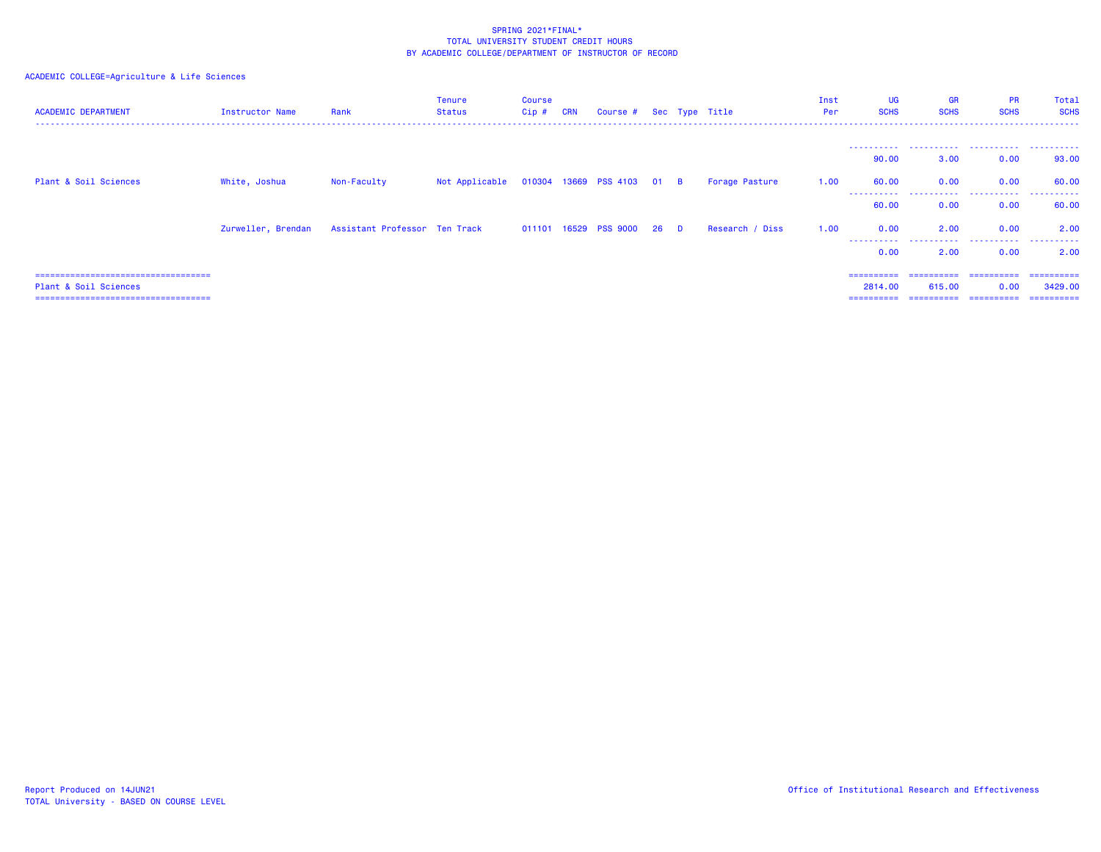# ACADEMIC COLLEGE=Agriculture & Life Sciences

| <b>ACADEMIC DEPARTMENT</b>            | Instructor Name | Rank                                             | <b>Tenure</b><br>Status | <b>Course</b><br>Cip # | <b>CRN</b> | Course # Sec Type Title    |  |                 | Inst<br>Per | UG<br><b>SCHS</b>   | <b>GR</b><br><b>SCHS</b> | <b>PR</b><br><b>SCHS</b> | Total<br><b>SCHS</b> |
|---------------------------------------|-----------------|--------------------------------------------------|-------------------------|------------------------|------------|----------------------------|--|-----------------|-------------|---------------------|--------------------------|--------------------------|----------------------|
|                                       |                 |                                                  |                         |                        |            |                            |  |                 |             |                     |                          |                          |                      |
|                                       |                 |                                                  |                         |                        |            |                            |  |                 |             | 90.00               | 3.00                     | 0.00                     | 93.00                |
| Plant & Soil Sciences                 | White, Joshua   | Non-Faculty                                      | Not Applicable          |                        |            | 010304 13669 PSS 4103 01 B |  | Forage Pasture  | 1.00        | 60.00<br>---------- | 0.00<br>.                | 0.00<br>.                | 60.00<br>.           |
|                                       |                 |                                                  |                         |                        |            |                            |  |                 |             | 60.00               | 0.00                     | 0.00                     | 60.00                |
|                                       |                 | Zurweller, Brendan Assistant Professor Ten Track |                         |                        |            | 011101 16529 PSS 9000 26 D |  | Research / Diss | 1.00        | 0.00<br>----------  | 2.00<br>-----------      | 0.00<br>.                | 2.00<br>.            |
|                                       |                 |                                                  |                         |                        |            |                            |  |                 |             | 0.00                | 2.00                     | 0.00                     | 2.00                 |
| ===================================== |                 |                                                  |                         |                        |            |                            |  |                 |             | ==========          | ==========               | -----------              | ==========           |
| Plant & Soil Sciences                 |                 |                                                  |                         |                        |            |                            |  |                 |             | 2814.00             | 615,00                   | 0.00                     | 3429,00              |
| ===================================== |                 |                                                  |                         |                        |            |                            |  |                 |             |                     | ==========               | ==========               | -----------          |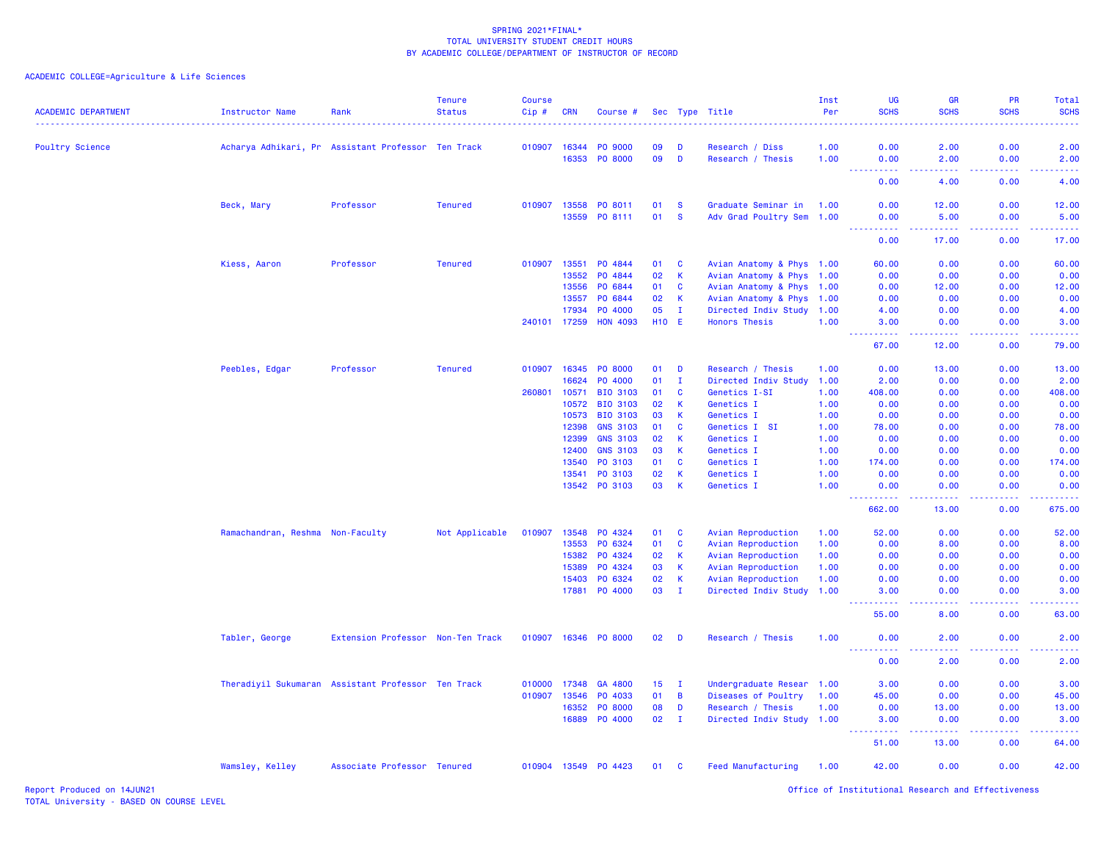# ACADEMIC COLLEGE=Agriculture & Life Sciences

| <b>ACADEMIC DEPARTMENT</b> | Instructor Name                                    | Rank                              | <b>Tenure</b><br><b>Status</b> | <b>Course</b><br>Cip# | <b>CRN</b>   | Course #             |                 |              | Sec Type Title            | Inst<br>Per | UG<br><b>SCHS</b>                                                                                                                                             | <b>GR</b><br><b>SCHS</b> | PR<br><b>SCHS</b>                    | Total<br><b>SCHS</b> |
|----------------------------|----------------------------------------------------|-----------------------------------|--------------------------------|-----------------------|--------------|----------------------|-----------------|--------------|---------------------------|-------------|---------------------------------------------------------------------------------------------------------------------------------------------------------------|--------------------------|--------------------------------------|----------------------|
| <b>Poultry Science</b>     | Acharya Adhikari, Pr Assistant Professor Ten Track |                                   |                                |                       | 010907 16344 | PO 9000              | 09              | D            | Research / Diss           | 1.00        | 0.00                                                                                                                                                          | 2.00                     | 0.00                                 | 2.00                 |
|                            |                                                    |                                   |                                |                       | 16353        | PO 8000              | 09              | D            | Research / Thesis         | 1.00        | 0.00                                                                                                                                                          | 2.00                     | 0.00                                 | 2.00                 |
|                            |                                                    |                                   |                                |                       |              |                      |                 |              |                           |             | 0.00                                                                                                                                                          | 4.00                     | 0.00                                 | 4.00                 |
|                            | Beck, Mary                                         | Professor                         | <b>Tenured</b>                 |                       | 010907 13558 | PO 8011              | 01              | -S           | Graduate Seminar in       | 1.00        | 0.00                                                                                                                                                          | 12.00                    | 0.00                                 | 12.00                |
|                            |                                                    |                                   |                                |                       | 13559        | PO 8111              | 01              | <b>S</b>     | Adv Grad Poultry Sem 1.00 |             | 0.00                                                                                                                                                          | 5.00                     | 0.00                                 | 5.00                 |
|                            |                                                    |                                   |                                |                       |              |                      |                 |              |                           |             | 22222<br>0.00                                                                                                                                                 | المستمرين<br>17.00       | .<br>0.00                            | .<br>17.00           |
|                            | Kiess, Aaron                                       | Professor                         | <b>Tenured</b>                 | 010907                | 13551        | PO 4844              | 01              | <b>C</b>     | Avian Anatomy & Phys 1.00 |             | 60.00                                                                                                                                                         | 0.00                     | 0.00                                 | 60.00                |
|                            |                                                    |                                   |                                |                       | 13552        | PO 4844              | 02              | $\mathbf{K}$ | Avian Anatomy & Phys 1.00 |             | 0.00                                                                                                                                                          | 0.00                     | 0.00                                 | 0.00                 |
|                            |                                                    |                                   |                                |                       | 13556        | PO 6844              | 01              | C            | Avian Anatomy & Phys 1.00 |             | 0.00                                                                                                                                                          | 12.00                    | 0.00                                 | 12.00                |
|                            |                                                    |                                   |                                |                       | 13557        | PO 6844              | 02              | $\mathsf{K}$ | Avian Anatomy & Phys 1.00 |             | 0.00                                                                                                                                                          | 0.00                     | 0.00                                 | 0.00                 |
|                            |                                                    |                                   |                                |                       | 17934        | PO 4000              | 05              | $\mathbf{I}$ | Directed Indiv Study      | 1.00        | 4.00                                                                                                                                                          | 0.00                     | 0.00                                 | 4.00                 |
|                            |                                                    |                                   |                                |                       | 240101 17259 | <b>HON 4093</b>      | <b>H10 E</b>    |              | <b>Honors Thesis</b>      | 1.00        | 3.00                                                                                                                                                          | 0.00                     | 0.00                                 | 3.00                 |
|                            |                                                    |                                   |                                |                       |              |                      |                 |              |                           |             | .<br>67.00                                                                                                                                                    | .<br>12.00               | 2.2.2.2.2<br>0.00                    | .<br>79.00           |
|                            | Peebles, Edgar                                     | Professor                         | <b>Tenured</b>                 | 010907                | 16345        | PO 8000              | 01              | D            | Research / Thesis         | 1.00        | 0.00                                                                                                                                                          | 13.00                    | 0.00                                 | 13.00                |
|                            |                                                    |                                   |                                |                       | 16624        | PO 4000              | 01              | Ι.           | Directed Indiv Study      | 1.00        | 2.00                                                                                                                                                          | 0.00                     | 0.00                                 | 2.00                 |
|                            |                                                    |                                   |                                | 260801                | 10571        | BIO 3103             | 01              | C            | Genetics I-SI             | 1.00        | 408.00                                                                                                                                                        | 0.00                     | 0.00                                 | 408.00               |
|                            |                                                    |                                   |                                |                       | 10572        | BIO 3103             | 02              | К            | Genetics I                | 1.00        | 0.00                                                                                                                                                          | 0.00                     | 0.00                                 | 0.00                 |
|                            |                                                    |                                   |                                |                       | 10573        | <b>BIO 3103</b>      | 03              | <b>K</b>     | Genetics I                | 1.00        | 0.00                                                                                                                                                          | 0.00                     | 0.00                                 | 0.00                 |
|                            |                                                    |                                   |                                |                       | 12398        | <b>GNS 3103</b>      | 01              | C            | Genetics I SI             | 1.00        | 78.00                                                                                                                                                         | 0.00                     | 0.00                                 | 78.00                |
|                            |                                                    |                                   |                                |                       | 12399        | <b>GNS 3103</b>      | 02              | К            | Genetics I                | 1.00        | 0.00                                                                                                                                                          | 0.00                     | 0.00                                 | 0.00                 |
|                            |                                                    |                                   |                                |                       | 12400        | <b>GNS 3103</b>      | 03              | K            | Genetics I                | 1.00        | 0.00                                                                                                                                                          | 0.00                     | 0.00                                 | 0.00                 |
|                            |                                                    |                                   |                                |                       | 13540        | PO 3103              | 01              | <b>C</b>     | Genetics I                | 1.00        | 174.00                                                                                                                                                        | 0.00                     | 0.00                                 | 174.00               |
|                            |                                                    |                                   |                                |                       | 13541        |                      |                 |              |                           |             | 0.00                                                                                                                                                          |                          | 0.00                                 |                      |
|                            |                                                    |                                   |                                |                       |              | PO 3103              | 02<br>03        | K<br>K       | Genetics I                | 1.00        |                                                                                                                                                               | 0.00<br>0.00             | 0.00                                 | 0.00<br>0.00         |
|                            |                                                    |                                   |                                |                       |              | 13542 PO 3103        |                 |              | Genetics I                | 1.00        | 0.00<br>----------                                                                                                                                            | -----                    | <b><i><u><u> - - - -</u></u></i></b> | .                    |
|                            |                                                    |                                   |                                |                       |              |                      |                 |              |                           |             | 662.00                                                                                                                                                        | 13.00                    | 0.00                                 | 675.00               |
|                            | Ramachandran, Reshma Non-Faculty                   |                                   | Not Applicable                 | 010907                | 13548        | PO 4324              | 01              | <b>C</b>     | Avian Reproduction        | 1.00        | 52.00                                                                                                                                                         | 0.00                     | 0.00                                 | 52.00                |
|                            |                                                    |                                   |                                |                       | 13553        | PO 6324              | 01              | C            | Avian Reproduction        | 1.00        | 0.00                                                                                                                                                          | 8.00                     | 0.00                                 | 8.00                 |
|                            |                                                    |                                   |                                |                       | 15382        | PO 4324              | 02              | -K           | Avian Reproduction        | 1.00        | 0.00                                                                                                                                                          | 0.00                     | 0.00                                 | 0.00                 |
|                            |                                                    |                                   |                                |                       | 15389        | PO 4324              | 03              | <b>K</b>     | Avian Reproduction        | 1.00        | 0.00                                                                                                                                                          | 0.00                     | 0.00                                 | 0.00                 |
|                            |                                                    |                                   |                                |                       | 15403        | PO 6324              | 02              | <b>K</b>     | Avian Reproduction        | 1.00        | 0.00                                                                                                                                                          | 0.00                     | 0.00                                 | 0.00                 |
|                            |                                                    |                                   |                                |                       |              | 17881 PO 4000        | 03              | $\mathbf{I}$ | Directed Indiv Study 1.00 |             | 3.00                                                                                                                                                          | 0.00<br>د د د د .        | 0.00                                 | 3.00                 |
|                            |                                                    |                                   |                                |                       |              |                      |                 |              |                           |             | $  -$<br>.<br>55.00                                                                                                                                           | 8.00                     | .<br>0.00                            | .<br>63.00           |
|                            | Tabler, George                                     | Extension Professor Non-Ten Track |                                |                       |              | 010907 16346 PO 8000 | 02              | D            | Research / Thesis         | 1.00        | 0.00<br>.                                                                                                                                                     | 2.00<br>.                | 0.00<br>.                            | 2.00<br>$   -$       |
|                            |                                                    |                                   |                                |                       |              |                      |                 |              |                           |             | 0.00                                                                                                                                                          | 2.00                     | 0.00                                 | 2.00                 |
|                            | Theradiyil Sukumaran Assistant Professor Ten Track |                                   |                                | 010000                | 17348        | GA 4800              | 15 <sub>1</sub> | $\mathbf{I}$ | Undergraduate Resear 1.00 |             | 3.00                                                                                                                                                          | 0.00                     | 0.00                                 | 3.00                 |
|                            |                                                    |                                   |                                | 010907                | 13546        | PO 4033              | 01              | B            | Diseases of Poultry       | 1.00        | 45.00                                                                                                                                                         | 0.00                     | 0.00                                 | 45.00                |
|                            |                                                    |                                   |                                |                       | 16352        | PO 8000              | 08              | D            | Research / Thesis         | 1.00        | 0.00                                                                                                                                                          | 13.00                    | 0.00                                 | 13.00                |
|                            |                                                    |                                   |                                |                       | 16889        | PO 4000              | 02              | $\mathbf{I}$ | Directed Indiv Study 1.00 |             | 3.00                                                                                                                                                          | 0.00                     | 0.00                                 | 3.00                 |
|                            |                                                    |                                   |                                |                       |              |                      |                 |              |                           |             | $\frac{1}{2} \left( \frac{1}{2} \right) \left( \frac{1}{2} \right) \left( \frac{1}{2} \right) \left( \frac{1}{2} \right) \left( \frac{1}{2} \right)$<br>51.00 | -----<br>13.00           | .<br>0.00                            | .<br>64.00           |
|                            | Wamsley, Kelley                                    | Associate Professor Tenured       |                                |                       |              | 010904 13549 P0 4423 | 01              | <b>C</b>     | <b>Feed Manufacturing</b> | 1.00        | 42.00                                                                                                                                                         | 0.00                     | 0.00                                 | 42.00                |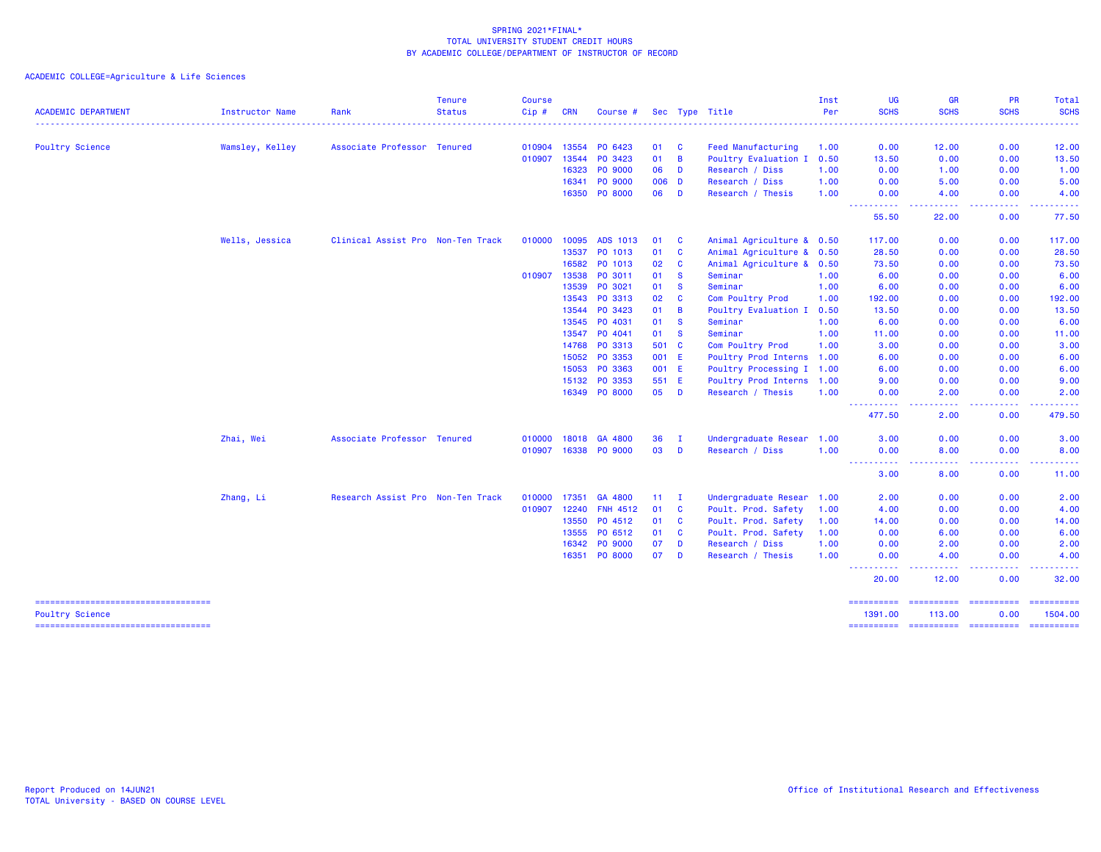ACADEMIC COLLEGE=Agriculture & Life Sciences

| <b>ACADEMIC DEPARTMENT</b>                                     | Instructor Name | Rank                              | <b>Tenure</b><br><b>Status</b> | <b>Course</b><br>Cip# | <b>CRN</b> | Course #        |       |                | Sec Type Title              | Inst<br>Per | UG<br><b>SCHS</b>                                                                                                                                                                                                                                               | <b>GR</b><br><b>SCHS</b>                                                                               | <b>PR</b><br><b>SCHS</b> | Total<br><b>SCHS</b>                                                                                                                                                                                                                                                                                                                                                                                                                                                                              |
|----------------------------------------------------------------|-----------------|-----------------------------------|--------------------------------|-----------------------|------------|-----------------|-------|----------------|-----------------------------|-------------|-----------------------------------------------------------------------------------------------------------------------------------------------------------------------------------------------------------------------------------------------------------------|--------------------------------------------------------------------------------------------------------|--------------------------|---------------------------------------------------------------------------------------------------------------------------------------------------------------------------------------------------------------------------------------------------------------------------------------------------------------------------------------------------------------------------------------------------------------------------------------------------------------------------------------------------|
|                                                                |                 |                                   |                                |                       |            |                 |       |                | --------------------------- |             | ---------                                                                                                                                                                                                                                                       | .                                                                                                      | - - - - - - -            | .                                                                                                                                                                                                                                                                                                                                                                                                                                                                                                 |
| <b>Poultry Science</b>                                         | Wamsley, Kelley | Associate Professor Tenured       |                                | 010904                | 13554      | PO 6423         | 01    | <b>C</b>       | <b>Feed Manufacturing</b>   | 1.00        | 0.00                                                                                                                                                                                                                                                            | 12.00                                                                                                  | 0.00                     | 12.00                                                                                                                                                                                                                                                                                                                                                                                                                                                                                             |
|                                                                |                 |                                   |                                | 010907                | 13544      | PO 3423         | 01    | $\overline{B}$ | Poultry Evaluation I        | 0.50        | 13.50                                                                                                                                                                                                                                                           | 0.00                                                                                                   | 0.00                     | 13.50                                                                                                                                                                                                                                                                                                                                                                                                                                                                                             |
|                                                                |                 |                                   |                                |                       | 16323      | PO 9000         | 06    | D              | Research / Diss             | 1.00        | 0.00                                                                                                                                                                                                                                                            | 1.00                                                                                                   | 0.00                     | 1.00                                                                                                                                                                                                                                                                                                                                                                                                                                                                                              |
|                                                                |                 |                                   |                                |                       | 16341      | PO 9000         | 006 D |                | Research / Diss             | 1.00        | 0.00                                                                                                                                                                                                                                                            | 5.00                                                                                                   | 0.00                     | 5.00                                                                                                                                                                                                                                                                                                                                                                                                                                                                                              |
|                                                                |                 |                                   |                                |                       |            | 16350 PO 8000   | 06    | D              | Research / Thesis           | 1.00        | 0.00                                                                                                                                                                                                                                                            | 4.00                                                                                                   | 0.00                     | 4.00                                                                                                                                                                                                                                                                                                                                                                                                                                                                                              |
|                                                                |                 |                                   |                                |                       |            |                 |       |                |                             |             | ----------<br>55.50                                                                                                                                                                                                                                             | المالم المالية الما<br>22.00                                                                           | المتمامية<br>0.00        | 222222<br>77.50                                                                                                                                                                                                                                                                                                                                                                                                                                                                                   |
|                                                                | Wells, Jessica  | Clinical Assist Pro Non-Ten Track |                                | 010000                | 10095      | ADS 1013        | 01    | <b>C</b>       | Animal Agriculture & 0.50   |             | 117,00                                                                                                                                                                                                                                                          | 0.00                                                                                                   | 0.00                     | 117.00                                                                                                                                                                                                                                                                                                                                                                                                                                                                                            |
|                                                                |                 |                                   |                                |                       | 13537      | PO 1013         | 01    | $\mathbf{C}$   | Animal Agriculture & 0.50   |             | 28.50                                                                                                                                                                                                                                                           | 0.00                                                                                                   | 0.00                     | 28.50                                                                                                                                                                                                                                                                                                                                                                                                                                                                                             |
|                                                                |                 |                                   |                                |                       | 16582      | PO 1013         | 02    | <b>C</b>       | Animal Agriculture & 0.50   |             | 73.50                                                                                                                                                                                                                                                           | 0.00                                                                                                   | 0.00                     | 73.50                                                                                                                                                                                                                                                                                                                                                                                                                                                                                             |
|                                                                |                 |                                   |                                | 010907                | 13538      | PO 3011         | 01    | $\mathbf{s}$   | Seminar                     | 1.00        | 6.00                                                                                                                                                                                                                                                            | 0.00                                                                                                   | 0.00                     | 6.00                                                                                                                                                                                                                                                                                                                                                                                                                                                                                              |
|                                                                |                 |                                   |                                |                       | 13539      | PO 3021         | 01    | <b>S</b>       | Seminar                     | 1.00        | 6.00                                                                                                                                                                                                                                                            | 0.00                                                                                                   | 0.00                     | 6.00                                                                                                                                                                                                                                                                                                                                                                                                                                                                                              |
|                                                                |                 |                                   |                                |                       | 13543      | PO 3313         | 02    | <b>C</b>       | Com Poultry Prod            | 1.00        | 192.00                                                                                                                                                                                                                                                          | 0.00                                                                                                   | 0.00                     | 192.00                                                                                                                                                                                                                                                                                                                                                                                                                                                                                            |
|                                                                |                 |                                   |                                |                       | 13544      | PO 3423         | 01    | $\overline{B}$ | Poultry Evaluation I        | 0.50        | 13.50                                                                                                                                                                                                                                                           | 0.00                                                                                                   | 0.00                     | 13.50                                                                                                                                                                                                                                                                                                                                                                                                                                                                                             |
|                                                                |                 |                                   |                                |                       | 13545      | PO 4031         | 01    | <b>S</b>       | Seminar                     | 1.00        | 6.00                                                                                                                                                                                                                                                            | 0.00                                                                                                   | 0.00                     | 6.00                                                                                                                                                                                                                                                                                                                                                                                                                                                                                              |
|                                                                |                 |                                   |                                |                       | 13547      | PO 4041         | 01    | <b>S</b>       | Seminar                     | 1.00        | 11.00                                                                                                                                                                                                                                                           | 0.00                                                                                                   | 0.00                     | 11.00                                                                                                                                                                                                                                                                                                                                                                                                                                                                                             |
|                                                                |                 |                                   |                                |                       |            | 14768 PO 3313   | 501 C |                | Com Poultry Prod            | 1.00        | 3.00                                                                                                                                                                                                                                                            | 0.00                                                                                                   | 0.00                     | 3.00                                                                                                                                                                                                                                                                                                                                                                                                                                                                                              |
|                                                                |                 |                                   |                                |                       | 15052      | PO 3353         | 001 E |                | Poultry Prod Interns 1.00   |             | 6.00                                                                                                                                                                                                                                                            | 0.00                                                                                                   | 0.00                     | 6.00                                                                                                                                                                                                                                                                                                                                                                                                                                                                                              |
|                                                                |                 |                                   |                                |                       | 15053      | PO 3363         | 001 E |                | Poultry Processing I 1.00   |             | 6.00                                                                                                                                                                                                                                                            | 0.00                                                                                                   | 0.00                     | 6.00                                                                                                                                                                                                                                                                                                                                                                                                                                                                                              |
|                                                                |                 |                                   |                                |                       | 15132      | PO 3353         | 551 E |                | Poultry Prod Interns 1.00   |             | 9.00                                                                                                                                                                                                                                                            | 0.00                                                                                                   | 0.00                     | 9.00                                                                                                                                                                                                                                                                                                                                                                                                                                                                                              |
|                                                                |                 |                                   |                                |                       | 16349      | PO 8000         | 05    | D              | Research / Thesis           | 1.00        | 0.00                                                                                                                                                                                                                                                            | 2.00                                                                                                   | 0.00                     | 2.00                                                                                                                                                                                                                                                                                                                                                                                                                                                                                              |
|                                                                |                 |                                   |                                |                       |            |                 |       |                |                             |             | ----------<br>477.50                                                                                                                                                                                                                                            | وبالمحام<br>2.00                                                                                       | .<br>0.00                | .<br>479.50                                                                                                                                                                                                                                                                                                                                                                                                                                                                                       |
|                                                                | Zhai, Wei       | Associate Professor Tenured       |                                | 010000                | 18018      | GA 4800         | 36    | <b>I</b>       | Undergraduate Resear 1.00   |             | 3.00                                                                                                                                                                                                                                                            | 0.00                                                                                                   | 0.00                     | 3.00                                                                                                                                                                                                                                                                                                                                                                                                                                                                                              |
|                                                                |                 |                                   |                                | 010907                | 16338      | PO 9000         | 03    | D              | Research / Diss             | 1.00        | 0.00                                                                                                                                                                                                                                                            | 8.00                                                                                                   | 0.00                     | 8.00                                                                                                                                                                                                                                                                                                                                                                                                                                                                                              |
|                                                                |                 |                                   |                                |                       |            |                 |       |                |                             |             | <b>.</b><br>3.00                                                                                                                                                                                                                                                | $\frac{1}{2} \left( \frac{1}{2} \right) \left( \frac{1}{2} \right) \left( \frac{1}{2} \right)$<br>8.00 | . <b>.</b> .<br>0.00     | $\frac{1}{2} \left( \frac{1}{2} \right) \left( \frac{1}{2} \right) \left( \frac{1}{2} \right) \left( \frac{1}{2} \right)$<br>11.00                                                                                                                                                                                                                                                                                                                                                                |
|                                                                | Zhang, Li       | Research Assist Pro Non-Ten Track |                                | 010000                | 17351      | GA 4800         | 11    | л.             | Undergraduate Resear 1.00   |             | 2.00                                                                                                                                                                                                                                                            | 0.00                                                                                                   | 0.00                     | 2.00                                                                                                                                                                                                                                                                                                                                                                                                                                                                                              |
|                                                                |                 |                                   |                                | 010907                | 12240      | <b>FNH 4512</b> | 01    | <b>C</b>       | Poult. Prod. Safety         | 1.00        | 4.00                                                                                                                                                                                                                                                            | 0.00                                                                                                   | 0.00                     | 4.00                                                                                                                                                                                                                                                                                                                                                                                                                                                                                              |
|                                                                |                 |                                   |                                |                       | 13550      | PO 4512         | 01    | $\mathbf{C}$   | Poult. Prod. Safety         | 1.00        | 14.00                                                                                                                                                                                                                                                           | 0.00                                                                                                   | 0.00                     | 14.00                                                                                                                                                                                                                                                                                                                                                                                                                                                                                             |
|                                                                |                 |                                   |                                |                       | 13555      | PO 6512         | 01    | <b>C</b>       | Poult. Prod. Safety         | 1.00        | 0.00                                                                                                                                                                                                                                                            | 6.00                                                                                                   | 0.00                     | 6.00                                                                                                                                                                                                                                                                                                                                                                                                                                                                                              |
|                                                                |                 |                                   |                                |                       | 16342      | PO 9000         | 07    | D              | Research / Diss             | 1.00        | 0.00                                                                                                                                                                                                                                                            | 2.00                                                                                                   | 0.00                     | 2.00                                                                                                                                                                                                                                                                                                                                                                                                                                                                                              |
|                                                                |                 |                                   |                                |                       |            | 16351 PO 8000   | 07    | D              | Research / Thesis           | 1.00        | 0.00                                                                                                                                                                                                                                                            | 4.00                                                                                                   | 0.00                     | 4.00                                                                                                                                                                                                                                                                                                                                                                                                                                                                                              |
|                                                                |                 |                                   |                                |                       |            |                 |       |                |                             |             | $\frac{1}{2} \left( \frac{1}{2} \right) \left( \frac{1}{2} \right) \left( \frac{1}{2} \right) \left( \frac{1}{2} \right)$<br>$\frac{1}{2} \left( \frac{1}{2} \right) \left( \frac{1}{2} \right) \left( \frac{1}{2} \right) \left( \frac{1}{2} \right)$<br>20.00 | .<br>12.00                                                                                             | .<br>0.00                | .<br>32.00                                                                                                                                                                                                                                                                                                                                                                                                                                                                                        |
| ====================================<br><b>Poultry Science</b> |                 |                                   |                                |                       |            |                 |       |                |                             |             | ==========<br>1391.00                                                                                                                                                                                                                                           | ==========<br>113.00                                                                                   | ==========<br>0.00       | $\begin{array}{cccccccccc} \multicolumn{2}{c}{} & \multicolumn{2}{c}{} & \multicolumn{2}{c}{} & \multicolumn{2}{c}{} & \multicolumn{2}{c}{} & \multicolumn{2}{c}{} & \multicolumn{2}{c}{} & \multicolumn{2}{c}{} & \multicolumn{2}{c}{} & \multicolumn{2}{c}{} & \multicolumn{2}{c}{} & \multicolumn{2}{c}{} & \multicolumn{2}{c}{} & \multicolumn{2}{c}{} & \multicolumn{2}{c}{} & \multicolumn{2}{c}{} & \multicolumn{2}{c}{} & \multicolumn{2}{c}{} & \multicolumn{2}{c}{} & \mult$<br>1504.00 |
| ----------------------------------                             |                 |                                   |                                |                       |            |                 |       |                |                             |             |                                                                                                                                                                                                                                                                 |                                                                                                        |                          | $\begin{array}{cccccccccc} \multicolumn{2}{c}{} & \multicolumn{2}{c}{} & \multicolumn{2}{c}{} & \multicolumn{2}{c}{} & \multicolumn{2}{c}{} & \multicolumn{2}{c}{} & \multicolumn{2}{c}{} & \multicolumn{2}{c}{} & \multicolumn{2}{c}{} & \multicolumn{2}{c}{} & \multicolumn{2}{c}{} & \multicolumn{2}{c}{} & \multicolumn{2}{c}{} & \multicolumn{2}{c}{} & \multicolumn{2}{c}{} & \multicolumn{2}{c}{} & \multicolumn{2}{c}{} & \multicolumn{2}{c}{} & \multicolumn{2}{c}{} & \mult$            |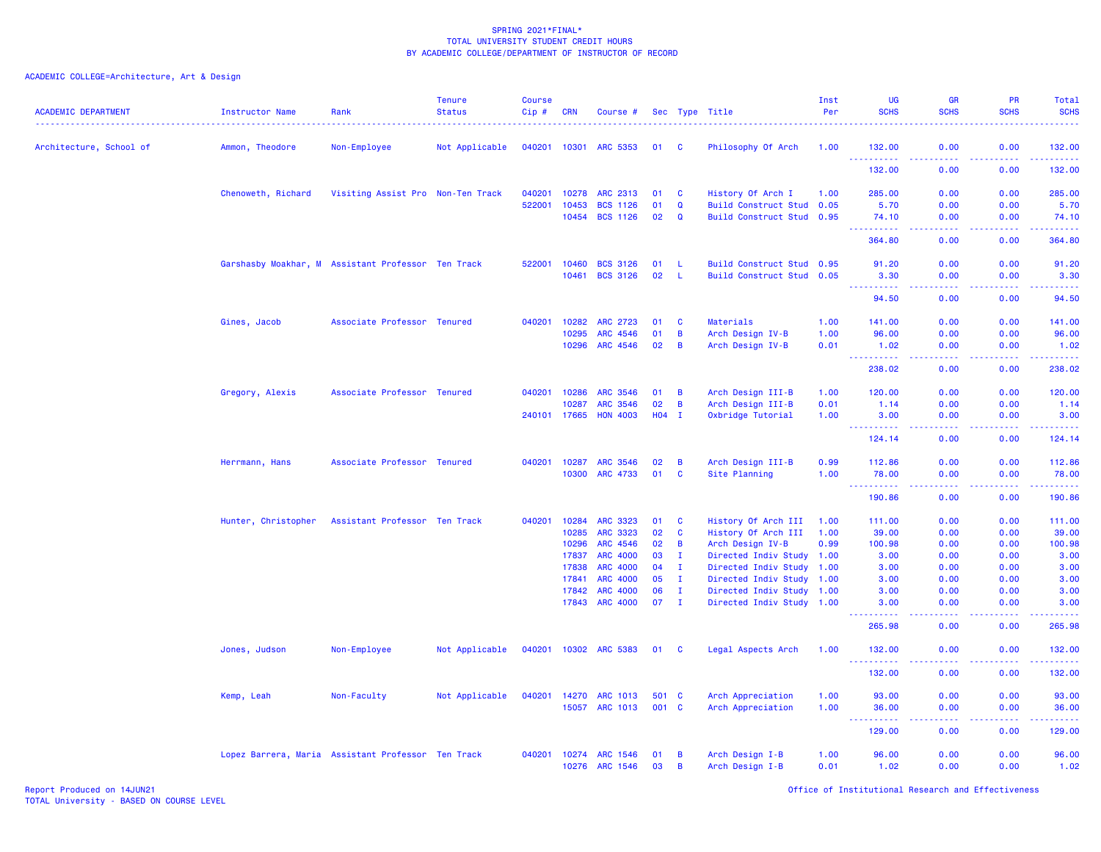| <b>ACADEMIC DEPARTMENT</b> | Instructor Name                                    | Rank                              | <b>Tenure</b><br><b>Status</b> | <b>Course</b><br>Cip# | <b>CRN</b>     | Course #                           |          |                             | Sec Type Title                                         | Inst<br>Per | UG<br><b>SCHS</b>                                        | <b>GR</b><br><b>SCHS</b>                                                                               | <b>PR</b><br><b>SCHS</b> | Total<br><b>SCHS</b>           |
|----------------------------|----------------------------------------------------|-----------------------------------|--------------------------------|-----------------------|----------------|------------------------------------|----------|-----------------------------|--------------------------------------------------------|-------------|----------------------------------------------------------|--------------------------------------------------------------------------------------------------------|--------------------------|--------------------------------|
| Architecture, School of    | Ammon, Theodore                                    | Non-Employee                      | Not Applicable                 | 040201                | 10301          | <b>ARC 5353</b>                    | 01       | - C                         | Philosophy Of Arch                                     | 1.00        | 132.00                                                   | 0.00                                                                                                   | 0.00                     | 132.00                         |
|                            |                                                    |                                   |                                |                       |                |                                    |          |                             |                                                        |             | $\sim 100$<br>.<br>132.00                                | د د د د<br>0.00                                                                                        | .<br>0.00                | $\omega$ is a single<br>132.00 |
|                            | Chenoweth, Richard                                 | Visiting Assist Pro Non-Ten Track |                                | 040201                | 10278          | ARC 2313                           | 01       | C                           | History Of Arch I                                      | 1.00        | 285.00                                                   | 0.00                                                                                                   | 0.00                     | 285.00                         |
|                            |                                                    |                                   |                                | 522001                | 10453          | <b>BCS 1126</b>                    | 01       | $\mathbf Q$                 | Build Construct Stud 0.05                              |             | 5.70                                                     | 0.00                                                                                                   | 0.00                     | 5.70                           |
|                            |                                                    |                                   |                                |                       | 10454          | <b>BCS 1126</b>                    | 02       | $\mathbf Q$                 | Build Construct Stud 0.95                              |             | 74.10<br>2.2.2.2.2.2                                     | 0.00<br>$\frac{1}{2} \left( \frac{1}{2} \right) \left( \frac{1}{2} \right) \left( \frac{1}{2} \right)$ | 0.00<br>.                | 74.10<br><u>.</u>              |
|                            |                                                    |                                   |                                |                       |                |                                    |          |                             |                                                        |             | 364.80                                                   | 0.00                                                                                                   | 0.00                     | 364.80                         |
|                            | Garshasby Moakhar, M Assistant Professor Ten Track |                                   |                                | 522001                | 10460          | <b>BCS 3126</b>                    | 01       | -L                          | Build Construct Stud 0.95                              |             | 91.20                                                    | 0.00                                                                                                   | 0.00                     | 91.20                          |
|                            |                                                    |                                   |                                |                       | 10461          | <b>BCS 3126</b>                    | 02       | -L                          | Build Construct Stud 0.05                              |             | 3.30                                                     | 0.00<br>بالأباد                                                                                        | 0.00                     | 3.30<br>.                      |
|                            |                                                    |                                   |                                |                       |                |                                    |          |                             |                                                        |             | 94.50                                                    | 0.00                                                                                                   | 0.00                     | 94.50                          |
|                            | Gines, Jacob                                       | Associate Professor Tenured       |                                | 040201                | 10282          | ARC 2723                           | 01       | C                           | Materials                                              | 1.00        | 141.00                                                   | 0.00                                                                                                   | 0.00                     | 141.00                         |
|                            |                                                    |                                   |                                |                       | 10295          | ARC 4546                           | 01       | B                           | Arch Design IV-B                                       | 1.00        | 96.00                                                    | 0.00                                                                                                   | 0.00                     | 96.00                          |
|                            |                                                    |                                   |                                |                       | 10296          | ARC 4546                           | 02       | B                           | Arch Design IV-B                                       | 0.01        | 1.02                                                     | 0.00                                                                                                   | 0.00                     | 1.02<br>.                      |
|                            |                                                    |                                   |                                |                       |                |                                    |          |                             |                                                        |             | 238.02                                                   | 0.00                                                                                                   | 0.00                     | 238.02                         |
|                            | Gregory, Alexis                                    | Associate Professor Tenured       |                                | 040201                | 10286          | <b>ARC 3546</b>                    | 01       | $\overline{B}$              | Arch Design III-B                                      | 1.00        | 120.00                                                   | 0.00                                                                                                   | 0.00                     | 120.00                         |
|                            |                                                    |                                   |                                |                       | 10287          | <b>ARC 3546</b>                    | 02       | B                           | Arch Design III-B                                      | 0.01        | 1.14                                                     | 0.00                                                                                                   | 0.00                     | 1.14                           |
|                            |                                                    |                                   |                                | 240101 17665          |                | <b>HON 4003</b>                    | H04 I    |                             | Oxbridge Tutorial                                      | 1.00        | 3.00<br>.                                                | 0.00<br>$\frac{1}{2} \left( \frac{1}{2} \right) \left( \frac{1}{2} \right) \left( \frac{1}{2} \right)$ | 0.00<br>.                | 3.00<br>222223                 |
|                            |                                                    |                                   |                                |                       |                |                                    |          |                             |                                                        |             | 124.14                                                   | 0.00                                                                                                   | 0.00                     | 124.14                         |
|                            | Herrmann, Hans                                     | Associate Professor Tenured       |                                | 040201                | 10287          | <b>ARC 3546</b>                    | 02       | B                           | Arch Design III-B                                      | 0.99        | 112.86                                                   | 0.00                                                                                                   | 0.00                     | 112.86                         |
|                            |                                                    |                                   |                                |                       | 10300          | ARC 4733                           | 01       | C                           | Site Planning                                          | 1.00        | 78.00                                                    | 0.00                                                                                                   | 0.00                     | 78.00<br>22222)                |
|                            |                                                    |                                   |                                |                       |                |                                    |          |                             |                                                        |             | 190.86                                                   | 0.00                                                                                                   | 0.00                     | 190.86                         |
|                            | Hunter, Christopher                                | Assistant Professor Ten Track     |                                | 040201                | 10284          | <b>ARC 3323</b>                    | 01       | C                           | History Of Arch III                                    | 1.00        | 111.00                                                   | 0.00                                                                                                   | 0.00                     | 111.00                         |
|                            |                                                    |                                   |                                |                       | 10285          | ARC 3323                           | 02       | $\mathbf c$                 | History Of Arch III                                    | 1.00        | 39.00                                                    | 0.00                                                                                                   | 0.00                     | 39.00                          |
|                            |                                                    |                                   |                                |                       | 10296          | ARC 4546                           | 02       | B                           | Arch Design IV-B                                       | 0.99        | 100.98                                                   | 0.00                                                                                                   | 0.00                     | 100.98                         |
|                            |                                                    |                                   |                                |                       | 17837          | ARC 4000                           | 03       | $\mathbf I$                 | Directed Indiv Study 1.00                              |             | 3.00                                                     | 0.00                                                                                                   | 0.00                     | 3.00                           |
|                            |                                                    |                                   |                                |                       | 17838          | <b>ARC 4000</b>                    | 04       | $\mathbf I$                 | Directed Indiv Study 1.00                              |             | 3.00                                                     | 0.00                                                                                                   | 0.00                     | 3.00                           |
|                            |                                                    |                                   |                                |                       | 17841<br>17842 | <b>ARC 4000</b><br><b>ARC 4000</b> | 05<br>06 | $\mathbf{I}$<br>$\mathbf I$ | Directed Indiv Study 1.00                              |             | 3.00<br>3.00                                             | 0.00<br>0.00                                                                                           | 0.00<br>0.00             | 3.00<br>3.00                   |
|                            |                                                    |                                   |                                |                       | 17843          | <b>ARC 4000</b>                    | 07       | $\mathbf I$                 | Directed Indiv Study 1.00<br>Directed Indiv Study 1.00 |             | 3.00                                                     | 0.00                                                                                                   | 0.00                     | 3.00                           |
|                            |                                                    |                                   |                                |                       |                |                                    |          |                             |                                                        |             | .<br>265.98                                              | $- - - -$<br>0.00                                                                                      | .<br>0.00                | .<br>265.98                    |
|                            | Jones, Judson                                      | Non-Employee                      | Not Applicable                 | 040201                | 10302          | <b>ARC 5383</b>                    | 01       | C                           | Legal Aspects Arch                                     | 1.00        | 132.00                                                   | 0.00                                                                                                   | 0.00                     | 132.00                         |
|                            |                                                    |                                   |                                |                       |                |                                    |          |                             |                                                        |             | . <b>.</b><br>132.00                                     | 0.00                                                                                                   | بالأباد<br>0.00          | والمرامي مرامين<br>132.00      |
|                            | Kemp, Leah                                         | Non-Faculty                       | Not Applicable                 | 040201                | 14270          | ARC 1013                           | 501 C    |                             | Arch Appreciation                                      | 1.00        | 93.00                                                    | 0.00                                                                                                   | 0.00                     | 93.00                          |
|                            |                                                    |                                   |                                |                       | 15057          | <b>ARC 1013</b>                    | 001 C    |                             | Arch Appreciation                                      | 1.00        | 36.00                                                    | 0.00                                                                                                   | 0.00                     | 36.00                          |
|                            |                                                    |                                   |                                |                       |                |                                    |          |                             |                                                        |             | <b><i><u><u>.</u></u></i></b><br>$\frac{1}{2}$<br>129.00 | .<br>0.00                                                                                              | .<br>0.00                | <u>.</u><br>129.00             |
|                            | Lopez Barrera, Maria Assistant Professor Ten Track |                                   |                                | 040201                | 10274          | ARC 1546                           | 01       | B                           | Arch Design I-B                                        | 1.00        | 96.00                                                    | 0.00                                                                                                   | 0.00                     | 96.00                          |
|                            |                                                    |                                   |                                |                       | 10276          | <b>ARC 1546</b>                    | 03       | B                           | Arch Design I-B                                        | 0.01        | 1.02                                                     | 0.00                                                                                                   | 0.00                     | 1.02                           |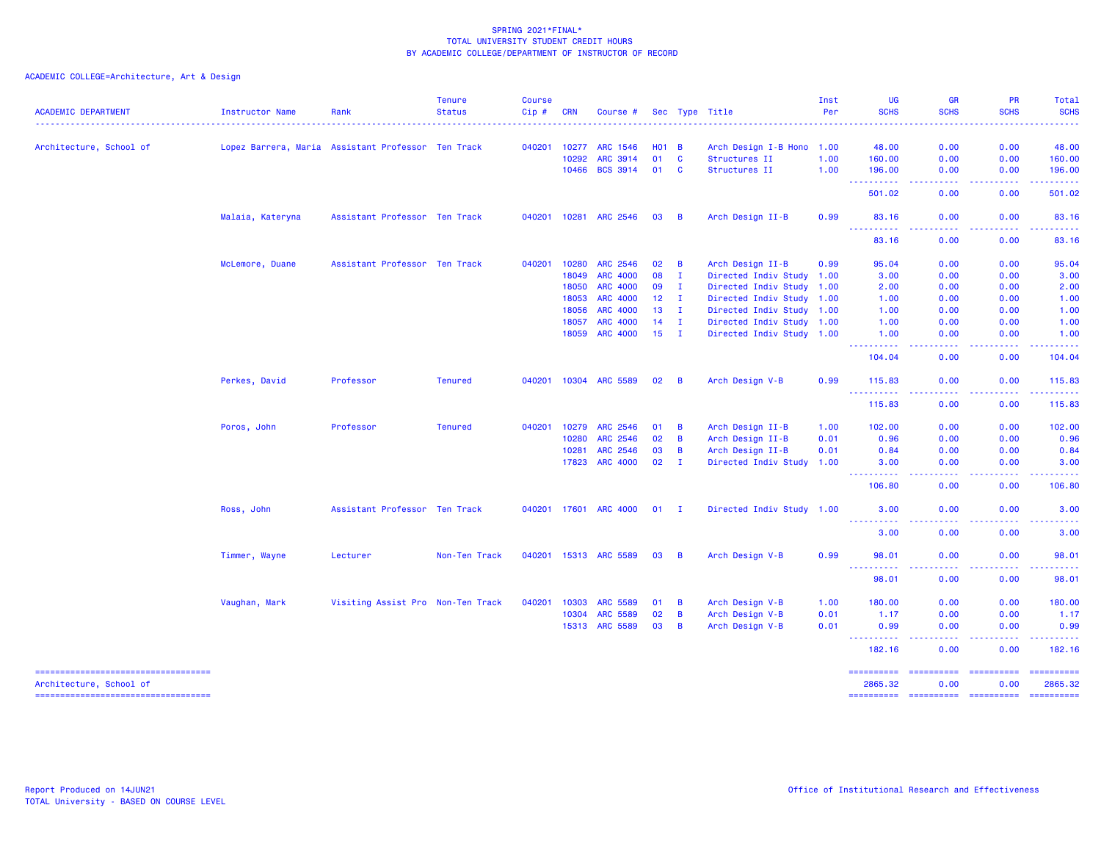| <b>ACADEMIC DEPARTMENT</b>                                    | Instructor Name  | Rank                                               | <b>Tenure</b><br><b>Status</b> | <b>Course</b><br>Cip# | <b>CRN</b>   | Course #              |              |                | Sec Type Title            | Inst<br>Per | <b>UG</b><br><b>SCHS</b> | <b>GR</b><br><b>SCHS</b><br>. | PR<br><b>SCHS</b> | Total<br><b>SCHS</b><br>.                                                                                                                                                                                                                                                                                                                                                                                                                                                                         |
|---------------------------------------------------------------|------------------|----------------------------------------------------|--------------------------------|-----------------------|--------------|-----------------------|--------------|----------------|---------------------------|-------------|--------------------------|-------------------------------|-------------------|---------------------------------------------------------------------------------------------------------------------------------------------------------------------------------------------------------------------------------------------------------------------------------------------------------------------------------------------------------------------------------------------------------------------------------------------------------------------------------------------------|
| Architecture, School of                                       |                  | Lopez Barrera, Maria Assistant Professor Ten Track |                                | 040201                | 10277        | ARC 1546              | $H01$ B      |                | Arch Design I-B Hono      | 1.00        | 48.00                    | 0.00                          | 0.00              | 48.00                                                                                                                                                                                                                                                                                                                                                                                                                                                                                             |
|                                                               |                  |                                                    |                                |                       | 10292        | ARC 3914              | 01           | $\mathbf{C}$   | Structures II             | 1.00        | 160.00                   | 0.00                          | 0.00              | 160.00                                                                                                                                                                                                                                                                                                                                                                                                                                                                                            |
|                                                               |                  |                                                    |                                |                       | 10466        | <b>BCS 3914</b>       | 01           | <b>C</b>       | Structures II             | 1.00        | 196.00                   | 0.00                          | 0.00              | 196.00                                                                                                                                                                                                                                                                                                                                                                                                                                                                                            |
|                                                               |                  |                                                    |                                |                       |              |                       |              |                |                           |             | 501.02                   | 0.00                          | 0.00              | 501.02                                                                                                                                                                                                                                                                                                                                                                                                                                                                                            |
|                                                               | Malaia, Kateryna | Assistant Professor Ten Track                      |                                |                       |              | 040201 10281 ARC 2546 | 03           | $\overline{B}$ | Arch Design II-B          | 0.99        | 83.16<br>----------      | 0.00<br>د عام عام ا           | 0.00<br>-----     | 83.16<br>.                                                                                                                                                                                                                                                                                                                                                                                                                                                                                        |
|                                                               |                  |                                                    |                                |                       |              |                       |              |                |                           |             | 83.16                    | 0.00                          | 0.00              | 83.16                                                                                                                                                                                                                                                                                                                                                                                                                                                                                             |
|                                                               | McLemore, Duane  | Assistant Professor Ten Track                      |                                | 040201                | 10280        | ARC 2546              | 02           | $\overline{B}$ | Arch Design II-B          | 0.99        | 95.04                    | 0.00                          | 0.00              | 95.04                                                                                                                                                                                                                                                                                                                                                                                                                                                                                             |
|                                                               |                  |                                                    |                                |                       | 18049        | ARC 4000              | 08           | $\mathbf{I}$   | Directed Indiv Study 1.00 |             | 3.00                     | 0.00                          | 0.00              | 3.00                                                                                                                                                                                                                                                                                                                                                                                                                                                                                              |
|                                                               |                  |                                                    |                                |                       | 18050        | <b>ARC 4000</b>       | 09           | $\mathbf{I}$   | Directed Indiv Study 1.00 |             | 2.00                     | 0.00                          | 0.00              | 2.00                                                                                                                                                                                                                                                                                                                                                                                                                                                                                              |
|                                                               |                  |                                                    |                                |                       | 18053        | ARC 4000              | $12 \quad I$ |                | Directed Indiv Study 1.00 |             | 1.00                     | 0.00                          | 0.00              | 1.00                                                                                                                                                                                                                                                                                                                                                                                                                                                                                              |
|                                                               |                  |                                                    |                                |                       | 18056        | <b>ARC 4000</b>       | 13           | $\mathbf{I}$   | Directed Indiv Study 1.00 |             | 1.00                     | 0.00                          | 0.00              | 1.00                                                                                                                                                                                                                                                                                                                                                                                                                                                                                              |
|                                                               |                  |                                                    |                                |                       | 18057        | <b>ARC 4000</b>       | 14           | $\mathbf{I}$   | Directed Indiv Study 1.00 |             | 1.00                     | 0.00                          | 0.00              | 1.00                                                                                                                                                                                                                                                                                                                                                                                                                                                                                              |
|                                                               |                  |                                                    |                                |                       | 18059        | <b>ARC 4000</b>       | 15           | $\mathbf{I}$   | Directed Indiv Study 1.00 |             | 1.00                     | 0.00                          | 0.00              | 1.00                                                                                                                                                                                                                                                                                                                                                                                                                                                                                              |
|                                                               |                  |                                                    |                                |                       |              |                       |              |                |                           |             | 104.04                   | 0.00                          | 0.00              | 104.04                                                                                                                                                                                                                                                                                                                                                                                                                                                                                            |
|                                                               | Perkes, David    | Professor                                          | <b>Tenured</b>                 |                       |              | 040201 10304 ARC 5589 | 02           | $\overline{B}$ | Arch Design V-B           | 0.99        | 115.83                   | 0.00                          | 0.00              | 115.83                                                                                                                                                                                                                                                                                                                                                                                                                                                                                            |
|                                                               |                  |                                                    |                                |                       |              |                       |              |                |                           |             | <b></b><br>115.83        | .<br>0.00                     | -----<br>0.00     | .<br>115.83                                                                                                                                                                                                                                                                                                                                                                                                                                                                                       |
|                                                               | Poros, John      | Professor                                          | <b>Tenured</b>                 |                       | 040201 10279 | ARC 2546              | 01           | $\overline{B}$ | Arch Design II-B          | 1.00        | 102.00                   | 0.00                          | 0.00              | 102.00                                                                                                                                                                                                                                                                                                                                                                                                                                                                                            |
|                                                               |                  |                                                    |                                |                       | 10280        | <b>ARC 2546</b>       | 02           | B              | Arch Design II-B          | 0.01        | 0.96                     | 0.00                          | 0.00              | 0.96                                                                                                                                                                                                                                                                                                                                                                                                                                                                                              |
|                                                               |                  |                                                    |                                |                       | 10281        | ARC 2546              | 03           | $\overline{B}$ | Arch Design II-B          | 0.01        | 0.84                     | 0.00                          | 0.00              | 0.84                                                                                                                                                                                                                                                                                                                                                                                                                                                                                              |
|                                                               |                  |                                                    |                                |                       | 17823        | <b>ARC 4000</b>       | 02           | $\mathbf{I}$   | Directed Indiv Study 1.00 |             | 3.00                     | 0.00                          | 0.00              | 3.00                                                                                                                                                                                                                                                                                                                                                                                                                                                                                              |
|                                                               |                  |                                                    |                                |                       |              |                       |              |                |                           |             | ----------<br>106.80     | .<br>0.00                     | .<br>0.00         | <u>.</u><br>106.80                                                                                                                                                                                                                                                                                                                                                                                                                                                                                |
|                                                               | Ross, John       | Assistant Professor Ten Track                      |                                |                       |              | 040201 17601 ARC 4000 | $01$ I       |                | Directed Indiv Study 1.00 |             | 3.00                     | 0.00                          | 0.00              | 3.00                                                                                                                                                                                                                                                                                                                                                                                                                                                                                              |
|                                                               |                  |                                                    |                                |                       |              |                       |              |                |                           |             | <u>.</u><br>3.00         | . <b>. .</b><br>0.00          | 0.00              | .<br>3.00                                                                                                                                                                                                                                                                                                                                                                                                                                                                                         |
|                                                               | Timmer, Wayne    | Lecturer                                           | Non-Ten Track                  | 040201                |              | 15313 ARC 5589        | 03           | <b>B</b>       | Arch Design V-B           | 0.99        | 98.01                    | 0.00                          | 0.00              | 98.01                                                                                                                                                                                                                                                                                                                                                                                                                                                                                             |
|                                                               |                  |                                                    |                                |                       |              |                       |              |                |                           |             | <u>.</u><br>98.01        | 0.00                          | 0.00              | 98.01                                                                                                                                                                                                                                                                                                                                                                                                                                                                                             |
|                                                               | Vaughan, Mark    | Visiting Assist Pro Non-Ten Track                  |                                | 040201                | 10303        | <b>ARC 5589</b>       | 01           | B              | Arch Design V-B           | 1.00        | 180.00                   | 0.00                          | 0.00              | 180.00                                                                                                                                                                                                                                                                                                                                                                                                                                                                                            |
|                                                               |                  |                                                    |                                |                       | 10304        | ARC 5589              | 02           | B              | Arch Design V-B           | 0.01        | 1.17                     | 0.00                          | 0.00              | 1.17                                                                                                                                                                                                                                                                                                                                                                                                                                                                                              |
|                                                               |                  |                                                    |                                |                       | 15313        | <b>ARC 5589</b>       | 03           | $\overline{B}$ | Arch Design V-B           | 0.01        | 0.99                     | 0.00                          | 0.00              | 0.99                                                                                                                                                                                                                                                                                                                                                                                                                                                                                              |
|                                                               |                  |                                                    |                                |                       |              |                       |              |                |                           |             | 182.16                   | 0.00                          | 0.00              | 182.16                                                                                                                                                                                                                                                                                                                                                                                                                                                                                            |
| ------------------------------------                          |                  |                                                    |                                |                       |              |                       |              |                |                           |             | ==========               | ======================        |                   | ==========                                                                                                                                                                                                                                                                                                                                                                                                                                                                                        |
| Architecture, School of<br>---------------------------------- |                  |                                                    |                                |                       |              |                       |              |                |                           |             | 2865.32                  | 0.00                          | 0.00              | 2865.32<br>$\begin{array}{cccccccccc} \multicolumn{2}{c}{} & \multicolumn{2}{c}{} & \multicolumn{2}{c}{} & \multicolumn{2}{c}{} & \multicolumn{2}{c}{} & \multicolumn{2}{c}{} & \multicolumn{2}{c}{} & \multicolumn{2}{c}{} & \multicolumn{2}{c}{} & \multicolumn{2}{c}{} & \multicolumn{2}{c}{} & \multicolumn{2}{c}{} & \multicolumn{2}{c}{} & \multicolumn{2}{c}{} & \multicolumn{2}{c}{} & \multicolumn{2}{c}{} & \multicolumn{2}{c}{} & \multicolumn{2}{c}{} & \multicolumn{2}{c}{} & \mult$ |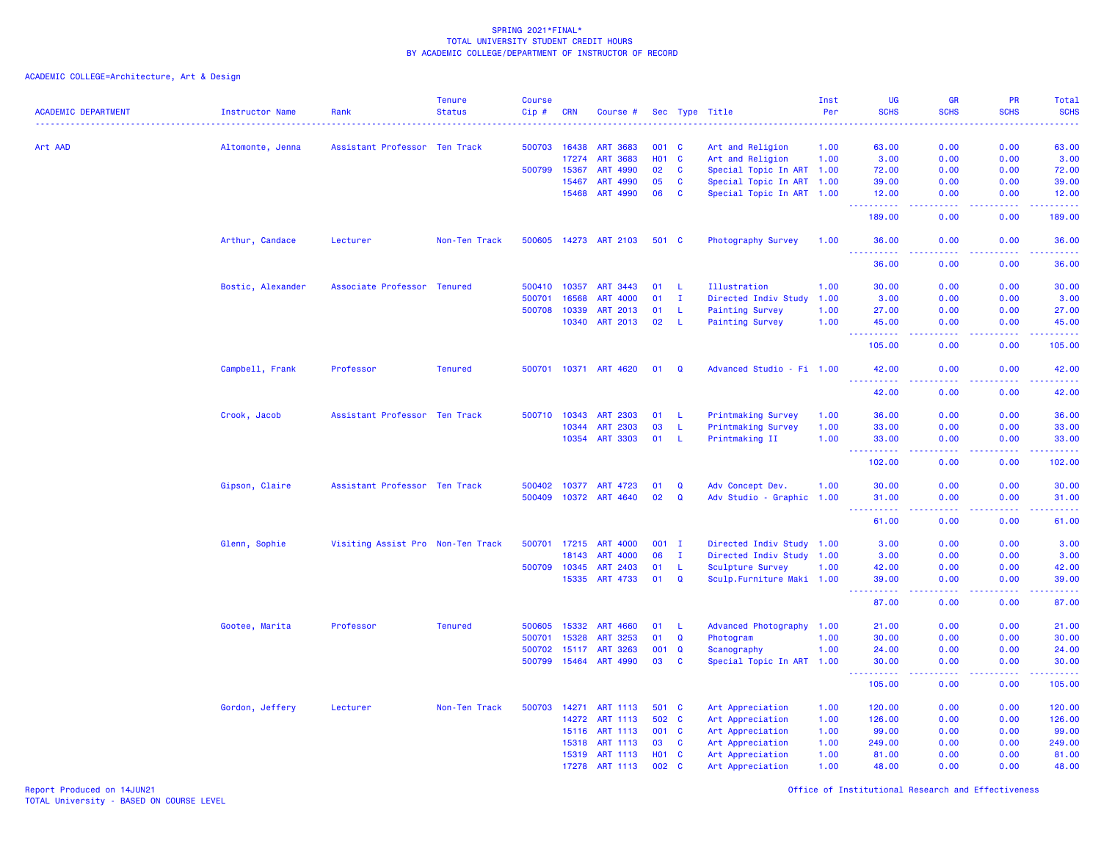ACADEMIC COLLEGE=Architecture, Art & Design

| <b>ACADEMIC DEPARTMENT</b> | <b>Instructor Name</b> | Rank                              | <b>Tenure</b><br><b>Status</b> | <b>Course</b><br>Cip# | <b>CRN</b>   | Course #              |            |              | Sec Type Title             | Inst<br>Per | <b>UG</b><br><b>SCHS</b>           | GR<br><b>SCHS</b>                   | <b>PR</b><br><b>SCHS</b> | Total<br><b>SCHS</b> |
|----------------------------|------------------------|-----------------------------------|--------------------------------|-----------------------|--------------|-----------------------|------------|--------------|----------------------------|-------------|------------------------------------|-------------------------------------|--------------------------|----------------------|
| Art AAD                    | .<br>Altomonte, Jenna  | Assistant Professor Ten Track     |                                | 500703                | 16438        | <b>ART 3683</b>       | 001        | $\mathbf{C}$ | Art and Religion           | 1.00        | 63.00                              | 0.00                                | 0.00                     | ----<br>63.00        |
|                            |                        |                                   |                                |                       | 17274        | <b>ART 3683</b>       | <b>HO1</b> | $\mathbf{C}$ | Art and Religion           | 1.00        | 3.00                               | 0.00                                | 0.00                     | 3.00                 |
|                            |                        |                                   |                                | 500799                | 15367        | ART 4990              | 02         | <b>C</b>     | Special Topic In ART 1.00  |             | 72.00                              | 0.00                                | 0.00                     | 72.00                |
|                            |                        |                                   |                                |                       | 15467        | <b>ART 4990</b>       | 05         | C            | Special Topic In ART 1.00  |             | 39.00                              | 0.00                                | 0.00                     | 39.00                |
|                            |                        |                                   |                                |                       | 15468        | <b>ART 4990</b>       | 06         | $\mathbf{C}$ | Special Topic In ART 1.00  |             | 12.00                              | 0.00                                | 0.00                     | 12.00                |
|                            |                        |                                   |                                |                       |              |                       |            |              |                            |             | د د د د د<br>189.00                | $\omega$ and $\omega$<br>0.00       | 0.00                     | .<br>189.00          |
|                            | Arthur, Candace        | Lecturer                          | Non-Ten Track                  |                       |              | 500605 14273 ART 2103 | 501 C      |              | Photography Survey         | 1.00        | 36.00<br>$\sim$ $\sim$ $\sim$<br>. | 0.00<br>$\sim$ $\sim$ $\sim$ $\sim$ | 0.00<br>.                | 36.00<br>.           |
|                            |                        |                                   |                                |                       |              |                       |            |              |                            |             | 36.00                              | 0.00                                | 0.00                     | 36.00                |
|                            | Bostic, Alexander      | Associate Professor Tenured       |                                | 500410                | 10357        | ART 3443              | 01         | -L           | Illustration               | 1.00        | 30.00                              | 0.00                                | 0.00                     | 30.00                |
|                            |                        |                                   |                                | 500701                | 16568        | <b>ART 4000</b>       | 01         | $\mathbf{I}$ | Directed Indiv Study       | 1.00        | 3.00                               | 0.00                                | 0.00                     | 3.00                 |
|                            |                        |                                   |                                | 500708                | 10339        | ART 2013              | 01         | -L           | <b>Painting Survey</b>     | 1.00        | 27.00                              | 0.00                                | 0.00                     | 27.00                |
|                            |                        |                                   |                                |                       | 10340        | <b>ART 2013</b>       | 02         | - L          | <b>Painting Survey</b>     | 1.00        | 45.00<br>.                         | 0.00<br>.                           | 0.00<br>المالمات         | 45.00<br>.           |
|                            |                        |                                   |                                |                       |              |                       |            |              |                            |             | 105.00                             | 0.00                                | 0.00                     | 105.00               |
|                            | Campbell, Frank        | Professor                         | <b>Tenured</b>                 |                       |              | 500701 10371 ART 4620 | 01         | Q            | Advanced Studio - Fi 1.00  |             | 42.00                              | 0.00                                | 0.00                     | 42.00                |
|                            |                        |                                   |                                |                       |              |                       |            |              |                            |             | 42.00                              | 0.00                                | 0.00                     | 42.00                |
|                            | Crook, Jacob           | Assistant Professor Ten Track     |                                |                       | 500710 10343 | <b>ART 2303</b>       | 01         | -L           | <b>Printmaking Survey</b>  | 1.00        | 36.00                              | 0.00                                | 0.00                     | 36.00                |
|                            |                        |                                   |                                |                       | 10344        | ART 2303              | 03         | -L           | <b>Printmaking Survey</b>  | 1.00        | 33.00                              | 0.00                                | 0.00                     | 33.00                |
|                            |                        |                                   |                                |                       | 10354        | <b>ART 3303</b>       | 01         | -L           | Printmaking II             | 1.00        | 33.00<br>222<br>.                  | 0.00<br>$  -$                       | 0.00<br>بالأباد          | 33.00<br>المتمامين   |
|                            |                        |                                   |                                |                       |              |                       |            |              |                            |             | 102.00                             | 0.00                                | 0.00                     | 102.00               |
|                            | Gipson, Claire         | Assistant Professor Ten Track     |                                | 500402                | 10377        | ART 4723              | 01         | $\mathbf Q$  | Adv Concept Dev.           | 1.00        | 30.00                              | 0.00                                | 0.00                     | 30.00                |
|                            |                        |                                   |                                |                       |              | 500409 10372 ART 4640 | 02         | $\mathbf Q$  | Adv Studio - Graphic 1.00  |             | 31.00<br>.<br>$\frac{1}{2}$        | 0.00<br>د د د د                     | 0.00<br>22222            | 31.00<br>.           |
|                            |                        |                                   |                                |                       |              |                       |            |              |                            |             | 61.00                              | 0.00                                | 0.00                     | 61.00                |
|                            | Glenn, Sophie          | Visiting Assist Pro Non-Ten Track |                                | 500701                | 17215        | <b>ART 4000</b>       | $001$ I    |              | Directed Indiv Study 1.00  |             | 3.00                               | 0.00                                | 0.00                     | 3.00                 |
|                            |                        |                                   |                                |                       | 18143        | <b>ART 4000</b>       | 06         | Ι.           | Directed Indiv Study 1.00  |             | 3.00                               | 0.00                                | 0.00                     | 3.00                 |
|                            |                        |                                   |                                | 500709                | 10345        | ART 2403              | 01         | -L           | Sculpture Survey           | 1.00        | 42.00                              | 0.00                                | 0.00                     | 42.00                |
|                            |                        |                                   |                                |                       | 15335        | ART 4733              | 01         | $\mathbf Q$  | Sculp. Furniture Maki 1.00 |             | 39.00<br>.                         | 0.00<br>.                           | 0.00<br>.                | 39.00<br>.           |
|                            |                        |                                   |                                |                       |              |                       |            |              |                            |             | 87.00                              | 0.00                                | 0.00                     | 87.00                |
|                            | Gootee, Marita         | Professor                         | <b>Tenured</b>                 | 500605                | 15332        | <b>ART 4660</b>       | 01         | -L           | Advanced Photography       | 1.00        | 21.00                              | 0.00                                | 0.00                     | 21.00                |
|                            |                        |                                   |                                | 500701                | 15328        | ART 3253              | 01         | Q            | Photogram                  | 1.00        | 30.00                              | 0.00                                | 0.00                     | 30.00                |
|                            |                        |                                   |                                | 500702                | 15117        | <b>ART 3263</b>       | 001        | Q            | Scanography                | 1.00        | 24.00                              | 0.00                                | 0.00                     | 24.00                |
|                            |                        |                                   |                                | 500799                | 15464        | <b>ART 4990</b>       | 03         | $\mathbf{C}$ | Special Topic In ART 1.00  |             | 30.00<br>.                         | 0.00<br>.                           | 0.00<br>.                | 30.00<br>.           |
|                            |                        |                                   |                                |                       |              |                       |            |              |                            |             | 105.00                             | 0.00                                | 0.00                     | 105.00               |
|                            | Gordon, Jeffery        | Lecturer                          | Non-Ten Track                  | 500703                | 14271        | ART 1113              | 501 C      |              | Art Appreciation           | 1.00        | 120.00                             | 0.00                                | 0.00                     | 120.00               |
|                            |                        |                                   |                                |                       | 14272        | ART 1113              | 502        | <b>C</b>     | Art Appreciation           | 1.00        | 126.00                             | 0.00                                | 0.00                     | 126.00               |
|                            |                        |                                   |                                |                       | 15116        | ART 1113              | 001 C      |              | Art Appreciation           | 1.00        | 99.00                              | 0.00                                | 0.00                     | 99.00                |
|                            |                        |                                   |                                |                       | 15318        | <b>ART 1113</b>       | 03         | <b>C</b>     | Art Appreciation           | 1.00        | 249.00                             | 0.00                                | 0.00                     | 249.00               |
|                            |                        |                                   |                                |                       | 15319        | <b>ART 1113</b>       | <b>HO1</b> | $\mathbf{C}$ | Art Appreciation           | 1.00        | 81.00                              | 0.00                                | 0.00                     | 81.00                |
|                            |                        |                                   |                                |                       | 17278        | ART 1113              | 002 C      |              | Art Appreciation           | 1.00        | 48.00                              | 0.00                                | 0.00                     | 48.00                |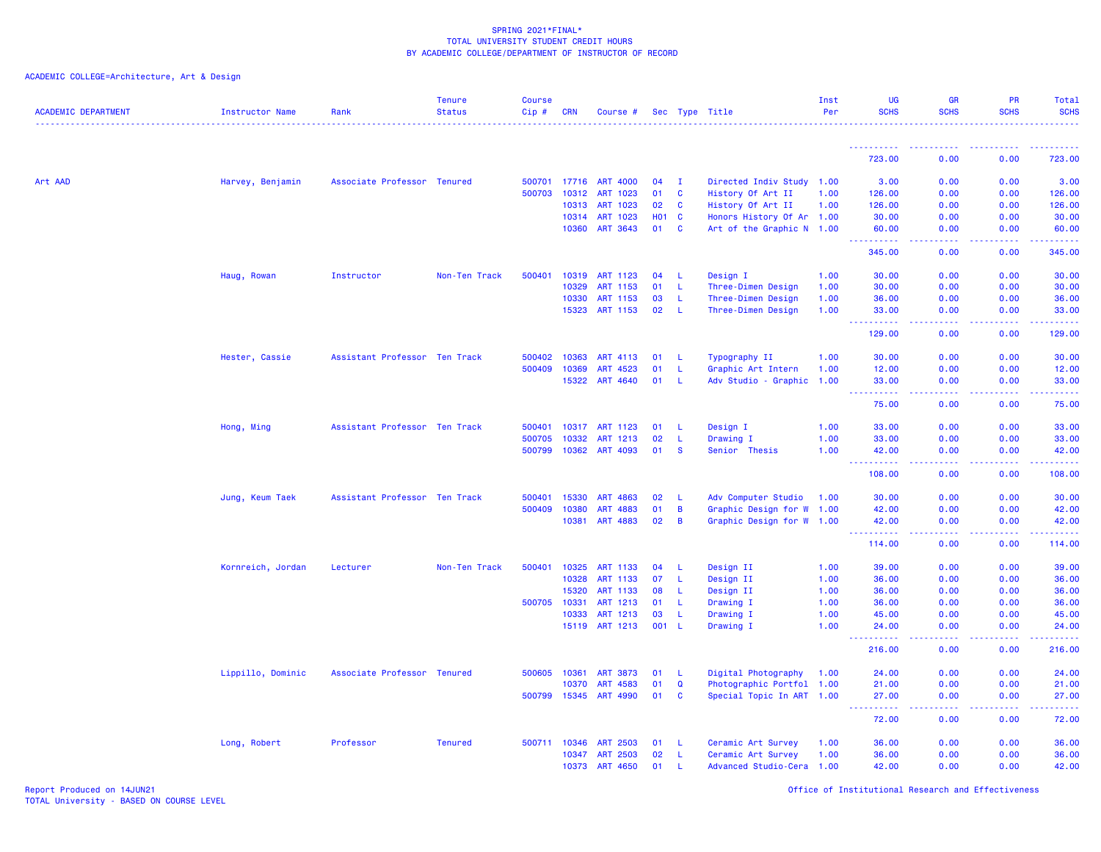ACADEMIC COLLEGE=Architecture, Art & Design

| <b>ACADEMIC DEPARTMENT</b> | Instructor Name   | Rank                          | <b>Tenure</b><br><b>Status</b> | <b>Course</b><br>$Cip \#$ | <b>CRN</b>   | Course #              |                   |                | Sec Type Title            | Inst<br>Per | <b>UG</b><br><b>SCHS</b> | GR<br><b>SCHS</b> | PR<br><b>SCHS</b> | Total<br><b>SCHS</b> |
|----------------------------|-------------------|-------------------------------|--------------------------------|---------------------------|--------------|-----------------------|-------------------|----------------|---------------------------|-------------|--------------------------|-------------------|-------------------|----------------------|
|                            |                   |                               |                                |                           |              |                       |                   |                |                           |             |                          |                   |                   |                      |
|                            |                   |                               |                                |                           |              |                       |                   |                |                           |             | 723.00                   | 0.00              | 0.00              | 723.00               |
| Art AAD                    | Harvey, Benjamin  | Associate Professor Tenured   |                                |                           |              | 500701 17716 ART 4000 | 04                | - I            | Directed Indiv Study 1.00 |             | 3.00                     | 0.00              | 0.00              | 3.00                 |
|                            |                   |                               |                                |                           | 500703 10312 | ART 1023              | 01                | C              | History Of Art II         | 1.00        | 126.00                   | 0.00              | 0.00              | 126.00               |
|                            |                   |                               |                                |                           | 10313        | <b>ART 1023</b>       | 02                | <b>C</b>       | History Of Art II         | 1.00        | 126.00                   | 0.00              | 0.00              | 126.00               |
|                            |                   |                               |                                |                           | 10314        | <b>ART 1023</b>       | H <sub>01</sub> C |                | Honors History Of Ar 1.00 |             | 30.00                    | 0.00              | 0.00              | 30.00                |
|                            |                   |                               |                                |                           |              | 10360 ART 3643        | 01                | <b>C</b>       | Art of the Graphic N 1.00 |             | 60.00<br>.               | 0.00<br>.         | 0.00<br>.         | 60.00<br>222222      |
|                            |                   |                               |                                |                           |              |                       |                   |                |                           |             | 345.00                   | 0.00              | 0.00              | 345.00               |
|                            | Haug, Rowan       | Instructor                    | Non-Ten Track                  | 500401                    | 10319        | ART 1123              | 04                | -L             | Design I                  | 1.00        | 30.00                    | 0.00              | 0.00              | 30.00                |
|                            |                   |                               |                                |                           | 10329        | ART 1153              | 01                | -L             | Three-Dimen Design        | 1.00        | 30.00                    | 0.00              | 0.00              | 30.00                |
|                            |                   |                               |                                |                           | 10330        | ART 1153              | 03                | -L             | Three-Dimen Design        | 1.00        | 36.00                    | 0.00              | 0.00              | 36.00                |
|                            |                   |                               |                                |                           |              | 15323 ART 1153        | 02                | - L            | Three-Dimen Design        | 1.00        | 33.00<br><b></b>         | 0.00<br>ولالات    | 0.00<br>.         | 33.00<br>.           |
|                            |                   |                               |                                |                           |              |                       |                   |                |                           |             | 129.00                   | 0.00              | 0.00              | 129.00               |
|                            | Hester, Cassie    | Assistant Professor Ten Track |                                | 500402                    | 10363        | ART 4113              | 01                | -L             | Typography II             | 1.00        | 30.00                    | 0.00              | 0.00              | 30.00                |
|                            |                   |                               |                                |                           | 500409 10369 | ART 4523              | 01                | L              | Graphic Art Intern        | 1.00        | 12.00                    | 0.00              | 0.00              | 12.00                |
|                            |                   |                               |                                |                           | 15322        | ART 4640              | 01                | -L.            | Adv Studio - Graphic      | 1.00        | 33.00<br><b></b>         | 0.00<br>.         | 0.00              | 33.00<br>.           |
|                            |                   |                               |                                |                           |              |                       |                   |                |                           |             | 75.00                    | 0.00              | 0.00              | 75.00                |
|                            | Hong, Ming        | Assistant Professor Ten Track |                                | 500401                    | 10317        | ART 1123              | 01                | -L             | Design I                  | 1.00        | 33.00                    | 0.00              | 0.00              | 33.00                |
|                            |                   |                               |                                | 500705                    | 10332        | ART 1213              | 02                | -L             | Drawing I                 | 1.00        | 33.00                    | 0.00              | 0.00              | 33.00                |
|                            |                   |                               |                                |                           | 500799 10362 | ART 4093              | 01                | -S             | Senior Thesis             | 1.00        | 42.00<br>د د د د د       | 0.00<br>ولالات    | 0.00<br>.         | 42.00<br>.           |
|                            |                   |                               |                                |                           |              |                       |                   |                |                           |             | 108.00                   | 0.00              | 0.00              | 108.00               |
|                            | Jung, Keum Taek   | Assistant Professor Ten Track |                                | 500401                    | 15330        | ART 4863              | 02                | $-L$           | Adv Computer Studio       | 1.00        | 30.00                    | 0.00              | 0.00              | 30.00                |
|                            |                   |                               |                                |                           | 500409 10380 | ART 4883              | 01                | B              | Graphic Design for W      | 1.00        | 42.00                    | 0.00              | 0.00              | 42.00                |
|                            |                   |                               |                                |                           | 10381        | <b>ART 4883</b>       | 02                | $\overline{B}$ | Graphic Design for W 1.00 |             | 42.00                    | 0.00              | 0.00              | 42.00                |
|                            |                   |                               |                                |                           |              |                       |                   |                |                           |             | 114.00                   | 0.00              | 0.00              | 114.00               |
|                            | Kornreich, Jordan | Lecturer                      | Non-Ten Track                  |                           | 500401 10325 | ART 1133              | 04                | - L            | Design II                 | 1.00        | 39.00                    | 0.00              | 0.00              | 39.00                |
|                            |                   |                               |                                |                           | 10328        | ART 1133              | 07                | L.             | Design II                 | 1.00        | 36.00                    | 0.00              | 0.00              | 36.00                |
|                            |                   |                               |                                |                           | 15320        | ART 1133              | 08                | -L             | Design II                 | 1.00        | 36.00                    | 0.00              | 0.00              | 36.00                |
|                            |                   |                               |                                | 500705                    | 10331        | ART 1213              | 01                | -L             | Drawing I                 | 1.00        | 36.00                    | 0.00              | 0.00              | 36.00                |
|                            |                   |                               |                                |                           | 10333        | ART 1213              | 03                | -L             | Drawing I                 | 1.00        | 45.00                    | 0.00              | 0.00              | 45.00                |
|                            |                   |                               |                                |                           |              | 15119 ART 1213        | 001 L             |                | Drawing I                 | 1.00        | 24,00                    | 0.00              | 0.00              | 24.00                |
|                            |                   |                               |                                |                           |              |                       |                   |                |                           |             | 216.00                   | 0.00              | 0.00              | 216.00               |
|                            | Lippillo, Dominic | Associate Professor Tenured   |                                |                           | 500605 10361 | <b>ART 3873</b>       | 01                | - L            | Digital Photography       | 1.00        | 24.00                    | 0.00              | 0.00              | 24.00                |
|                            |                   |                               |                                |                           | 10370        | ART 4583              | 01                | $\mathbf Q$    | Photographic Portfol 1.00 |             | 21.00                    | 0.00              | 0.00              | 21.00                |
|                            |                   |                               |                                |                           |              | 500799 15345 ART 4990 | 01                | <b>C</b>       | Special Topic In ART 1.00 |             | 27.00<br>.               | 0.00<br>د د د د   | 0.00<br>.         | 27.00<br>.           |
|                            |                   |                               |                                |                           |              |                       |                   |                |                           |             | 72.00                    | 0.00              | 0.00              | 72.00                |
|                            | Long, Robert      | Professor                     | <b>Tenured</b>                 |                           | 500711 10346 | ART 2503              | 01                | - L            | Ceramic Art Survey        | 1.00        | 36.00                    | 0.00              | 0.00              | 36.00                |
|                            |                   |                               |                                |                           |              | 10347 ART 2503        | 02                | - L            | Ceramic Art Survey        | 1.00        | 36.00                    | 0.00              | 0.00              | 36.00                |
|                            |                   |                               |                                |                           | 10373        | <b>ART 4650</b>       | 01                | -11            | Advanced Studio-Cera 1.00 |             | 42.00                    | 0.00              | 0.00              | 42.00                |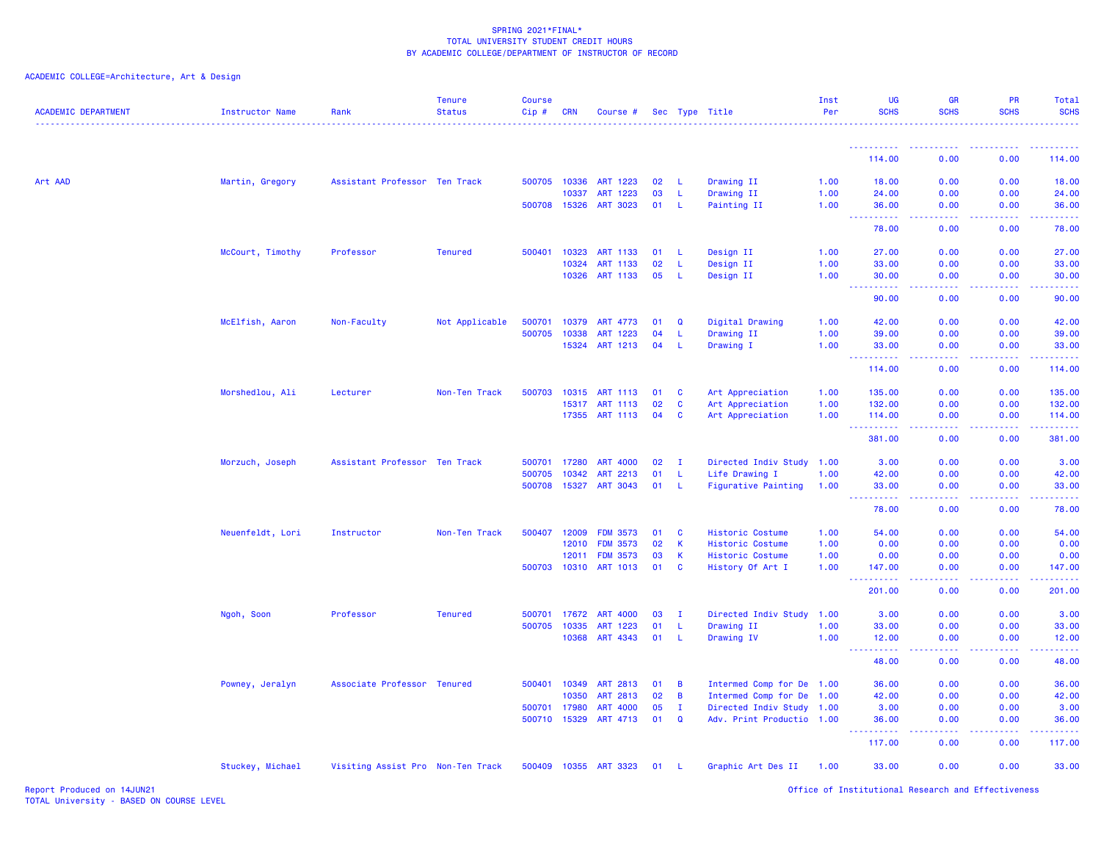| <b>ACADEMIC DEPARTMENT</b> | <b>Instructor Name</b> | Rank                              | <b>Tenure</b><br><b>Status</b> | <b>Course</b><br>Cip# | <b>CRN</b> | Course #              |    |              | Sec Type Title             | Inst<br>Per | <b>UG</b><br><b>SCHS</b>                                                                                                                                                                                                                                                                   | <b>GR</b><br><b>SCHS</b> | PR<br><b>SCHS</b> | Total<br><b>SCHS</b>                   |
|----------------------------|------------------------|-----------------------------------|--------------------------------|-----------------------|------------|-----------------------|----|--------------|----------------------------|-------------|--------------------------------------------------------------------------------------------------------------------------------------------------------------------------------------------------------------------------------------------------------------------------------------------|--------------------------|-------------------|----------------------------------------|
|                            |                        |                                   |                                |                       |            |                       |    |              |                            |             |                                                                                                                                                                                                                                                                                            |                          |                   |                                        |
|                            |                        |                                   |                                |                       |            |                       |    |              |                            |             | 114.00                                                                                                                                                                                                                                                                                     | 0.00                     | 0.00              | 114.00                                 |
| Art AAD                    | Martin, Gregory        | Assistant Professor Ten Track     |                                | 500705 10336          |            | ART 1223              | 02 | -L           | Drawing II                 | 1.00        | 18.00                                                                                                                                                                                                                                                                                      | 0.00                     | 0.00              | 18.00                                  |
|                            |                        |                                   |                                |                       | 10337      | ART 1223              | 03 | L.           | Drawing II                 | 1.00        | 24.00                                                                                                                                                                                                                                                                                      | 0.00                     | 0.00              | 24.00                                  |
|                            |                        |                                   |                                | 500708 15326          |            | <b>ART 3023</b>       | 01 | L            | Painting II                | 1.00        | 36.00<br>.<br>د د د د                                                                                                                                                                                                                                                                      | 0.00<br>.                | 0.00<br>22222     | 36.00<br>.                             |
|                            |                        |                                   |                                |                       |            |                       |    |              |                            |             | 78.00                                                                                                                                                                                                                                                                                      | 0.00                     | 0.00              | 78.00                                  |
|                            | McCourt, Timothy       | Professor                         | <b>Tenured</b>                 | 500401                | 10323      | ART 1133              | 01 | -L           | Design II                  | 1.00        | 27.00                                                                                                                                                                                                                                                                                      | 0.00                     | 0.00              | 27.00                                  |
|                            |                        |                                   |                                |                       | 10324      | ART 1133              | 02 | L.           | Design II                  | 1.00        | 33.00                                                                                                                                                                                                                                                                                      | 0.00                     | 0.00              | 33.00                                  |
|                            |                        |                                   |                                |                       | 10326      | ART 1133              | 05 | -L           | Design II                  | 1.00        | 30.00<br>. <b>.</b>                                                                                                                                                                                                                                                                        | 0.00                     | 0.00              | 30.00                                  |
|                            |                        |                                   |                                |                       |            |                       |    |              |                            |             | 90.00                                                                                                                                                                                                                                                                                      | 0.00                     | 0.00              | 90.00                                  |
|                            | McElfish, Aaron        | Non-Faculty                       | Not Applicable                 | 500701                | 10379      | ART 4773              | 01 | Q            | Digital Drawing            | 1.00        | 42.00                                                                                                                                                                                                                                                                                      | 0.00                     | 0.00              | 42.00                                  |
|                            |                        |                                   |                                | 500705                | 10338      | ART 1223              | 04 | L.           | Drawing II                 | 1.00        | 39.00                                                                                                                                                                                                                                                                                      | 0.00                     | 0.00              | 39.00                                  |
|                            |                        |                                   |                                |                       | 15324      | ART 1213              | 04 | L.           | Drawing I                  | 1.00        | 33.00<br><u> - - - - - - - - - -</u>                                                                                                                                                                                                                                                       | 0.00<br>.                | 0.00<br>.         | 33.00<br><b><i><u><u>.</u></u></i></b> |
|                            |                        |                                   |                                |                       |            |                       |    |              |                            |             | 114.00                                                                                                                                                                                                                                                                                     | 0.00                     | 0.00              | 114.00                                 |
|                            | Morshedlou, Ali        | Lecturer                          | Non-Ten Track                  | 500703                | 10315      | <b>ART 1113</b>       | 01 | <b>C</b>     | Art Appreciation           | 1.00        | 135.00                                                                                                                                                                                                                                                                                     | 0.00                     | 0.00              | 135.00                                 |
|                            |                        |                                   |                                |                       | 15317      | <b>ART 1113</b>       | 02 | C            | Art Appreciation           | 1.00        | 132.00                                                                                                                                                                                                                                                                                     | 0.00                     | 0.00              | 132.00                                 |
|                            |                        |                                   |                                |                       | 17355      | ART 1113              | 04 | C            | Art Appreciation           | 1.00        | 114.00<br>والمالمات                                                                                                                                                                                                                                                                        | 0.00                     | 0.00              | 114.00                                 |
|                            |                        |                                   |                                |                       |            |                       |    |              |                            |             | 381.00                                                                                                                                                                                                                                                                                     | 0.00                     | 0.00              | 381.00                                 |
|                            | Morzuch, Joseph        | Assistant Professor Ten Track     |                                | 500701                | 17280      | <b>ART 4000</b>       | 02 | $\mathbf{I}$ | Directed Indiv Study       | 1.00        | 3.00                                                                                                                                                                                                                                                                                       | 0.00                     | 0.00              | 3.00                                   |
|                            |                        |                                   |                                | 500705                | 10342      | <b>ART 2213</b>       | 01 | -L           | Life Drawing I             | 1.00        | 42.00                                                                                                                                                                                                                                                                                      | 0.00                     | 0.00              | 42.00                                  |
|                            |                        |                                   |                                | 500708                | 15327      | <b>ART 3043</b>       | 01 | -L           | <b>Figurative Painting</b> | 1.00        | 33.00<br>$\frac{1}{2} \left( \frac{1}{2} \right) \left( \frac{1}{2} \right) \left( \frac{1}{2} \right) \left( \frac{1}{2} \right)$<br>$\frac{1}{2} \left( \frac{1}{2} \right) \left( \frac{1}{2} \right) \left( \frac{1}{2} \right) \left( \frac{1}{2} \right) \left( \frac{1}{2} \right)$ | 0.00                     | 0.00              | 33.00                                  |
|                            |                        |                                   |                                |                       |            |                       |    |              |                            |             | 78.00                                                                                                                                                                                                                                                                                      | 0.00                     | 0.00              | 78.00                                  |
|                            | Neuenfeldt, Lori       | Instructor                        | Non-Ten Track                  | 500407                | 12009      | <b>FDM 3573</b>       | 01 | $\mathbf{C}$ | <b>Historic Costume</b>    | 1.00        | 54.00                                                                                                                                                                                                                                                                                      | 0.00                     | 0.00              | 54.00                                  |
|                            |                        |                                   |                                |                       | 12010      | <b>FDM 3573</b>       | 02 | $\mathsf K$  | Historic Costume           | 1.00        | 0.00                                                                                                                                                                                                                                                                                       | 0.00                     | 0.00              | 0.00                                   |
|                            |                        |                                   |                                |                       | 12011      | <b>FDM 3573</b>       | 03 | $\mathbf{K}$ | Historic Costume           | 1.00        | 0.00                                                                                                                                                                                                                                                                                       | 0.00                     | 0.00              | 0.00                                   |
|                            |                        |                                   |                                | 500703                | 10310      | ART 1013              | 01 | $\mathbf{C}$ | History Of Art I           | 1.00        | 147.00<br>. <b>.</b>                                                                                                                                                                                                                                                                       | 0.00<br>.                | 0.00<br>.         | 147.00<br>$- - - - - -$                |
|                            |                        |                                   |                                |                       |            |                       |    |              |                            |             | 201.00                                                                                                                                                                                                                                                                                     | 0.00                     | 0.00              | 201.00                                 |
|                            | Ngoh, Soon             | Professor                         | <b>Tenured</b>                 | 500701                | 17672      | <b>ART 4000</b>       | 03 | I.           | Directed Indiv Study       | 1.00        | 3.00                                                                                                                                                                                                                                                                                       | 0.00                     | 0.00              | 3.00                                   |
|                            |                        |                                   |                                | 500705                | 10335      | ART 1223              | 01 | $\mathsf{L}$ | Drawing II                 | 1.00        | 33.00                                                                                                                                                                                                                                                                                      | 0.00                     | 0.00              | 33.00                                  |
|                            |                        |                                   |                                |                       | 10368      | ART 4343              | 01 | $\mathsf{L}$ | Drawing IV                 | 1.00        | 12.00<br><u> - - - - - - - - - -</u>                                                                                                                                                                                                                                                       | 0.00<br>.                | 0.00<br>-----     | 12.00<br>.                             |
|                            |                        |                                   |                                |                       |            |                       |    |              |                            |             | 48.00                                                                                                                                                                                                                                                                                      | 0.00                     | 0.00              | 48.00                                  |
|                            | Powney, Jeralyn        | Associate Professor Tenured       |                                | 500401                | 10349      | <b>ART 2813</b>       | 01 | B            | Intermed Comp for De 1.00  |             | 36.00                                                                                                                                                                                                                                                                                      | 0.00                     | 0.00              | 36.00                                  |
|                            |                        |                                   |                                |                       | 10350      | <b>ART 2813</b>       | 02 | B            | Intermed Comp for De       | 1.00        | 42.00                                                                                                                                                                                                                                                                                      | 0.00                     | 0.00              | 42.00                                  |
|                            |                        |                                   |                                | 500701                | 17980      | <b>ART 4000</b>       | 05 | $\mathbf{I}$ | Directed Indiv Study 1.00  |             | 3.00                                                                                                                                                                                                                                                                                       | 0.00                     | 0.00              | 3.00                                   |
|                            |                        |                                   |                                | 500710 15329          |            | ART 4713              | 01 | $\mathbf Q$  | Adv. Print Productio 1.00  |             | 36.00<br>$- - - - -$                                                                                                                                                                                                                                                                       | 0.00                     | 0.00              | 36.00                                  |
|                            |                        |                                   |                                |                       |            |                       |    |              |                            |             | 117.00                                                                                                                                                                                                                                                                                     | 0.00                     | 0.00              | 117.00                                 |
|                            | Stuckey, Michael       | Visiting Assist Pro Non-Ten Track |                                |                       |            | 500409 10355 ART 3323 | 01 | -L           | Graphic Art Des II         | 1.00        | 33.00                                                                                                                                                                                                                                                                                      | 0.00                     | 0.00              | 33.00                                  |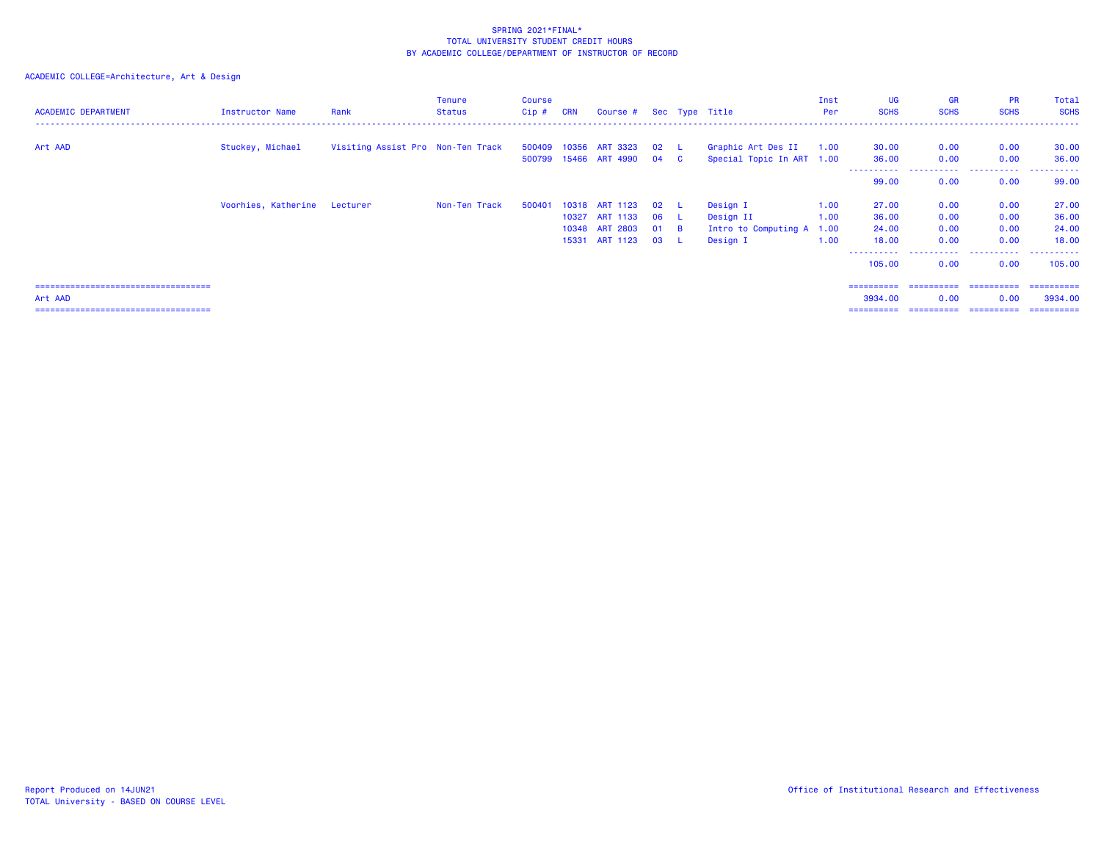| <b>ACADEMIC DEPARTMENT</b>            | Instructor Name              | Rank                              | Tenure<br><b>Status</b> | <b>Course</b><br>Cip# | <b>CRN</b> | Course # Sec Type Title |        |      |                           | Inst<br>Per | <b>UG</b><br><b>SCHS</b> | <b>GR</b><br><b>SCHS</b> | <b>PR</b><br><b>SCHS</b> | Total<br><b>SCHS</b> |
|---------------------------------------|------------------------------|-----------------------------------|-------------------------|-----------------------|------------|-------------------------|--------|------|---------------------------|-------------|--------------------------|--------------------------|--------------------------|----------------------|
| Art AAD                               | Stuckey, Michael             | Visiting Assist Pro Non-Ten Track |                         |                       |            | 500409 10356 ART 3323   | 02 L   |      | Graphic Art Des II        | 1.00        | 30.00                    | 0.00                     | 0.00                     | 30.00                |
|                                       |                              |                                   |                         |                       |            | 500799 15466 ART 4990   | 04 C   |      | Special Topic In ART 1.00 |             | 36.00                    | 0.00                     | 0.00                     | 36,00                |
|                                       |                              |                                   |                         |                       |            |                         |        |      |                           |             | -----------<br>99.00     | .<br>0.00                | .<br>0.00                | .<br>99.00           |
|                                       | Voorhies, Katherine Lecturer |                                   | Non-Ten Track           | 500401                |            | 10318 ART 1123          | 02     | - L. | Design I                  | 1.00        | 27.00                    | 0.00                     | 0.00                     | 27.00                |
|                                       |                              |                                   |                         |                       | 10327      | <b>ART 1133</b>         | 06 L   |      | Design II                 | 1.00        | 36.00                    | 0.00                     | 0.00                     | 36.00                |
|                                       |                              |                                   |                         |                       |            | 10348 ART 2803          | $01$ B |      | Intro to Computing A 1.00 |             | 24.00                    | 0.00                     | 0.00                     | 24.00                |
|                                       |                              |                                   |                         |                       |            | 15331 ART 1123          | 03 L   |      | Design I                  | 1.00        | 18.00                    | 0.00                     | 0.00                     | 18.00                |
|                                       |                              |                                   |                         |                       |            |                         |        |      |                           |             | .<br>105,00              | .<br>0.00                | .<br>0.00                | .<br>105.00          |
|                                       |                              |                                   |                         |                       |            |                         |        |      |                           |             |                          |                          |                          |                      |
| Art AAD                               |                              |                                   |                         |                       |            |                         |        |      |                           |             | 3934.00                  | 0.00                     | 0.00                     | 3934.00              |
| ===================================== |                              |                                   |                         |                       |            |                         |        |      |                           |             | ==========               | ==========               | -----------              | -----------          |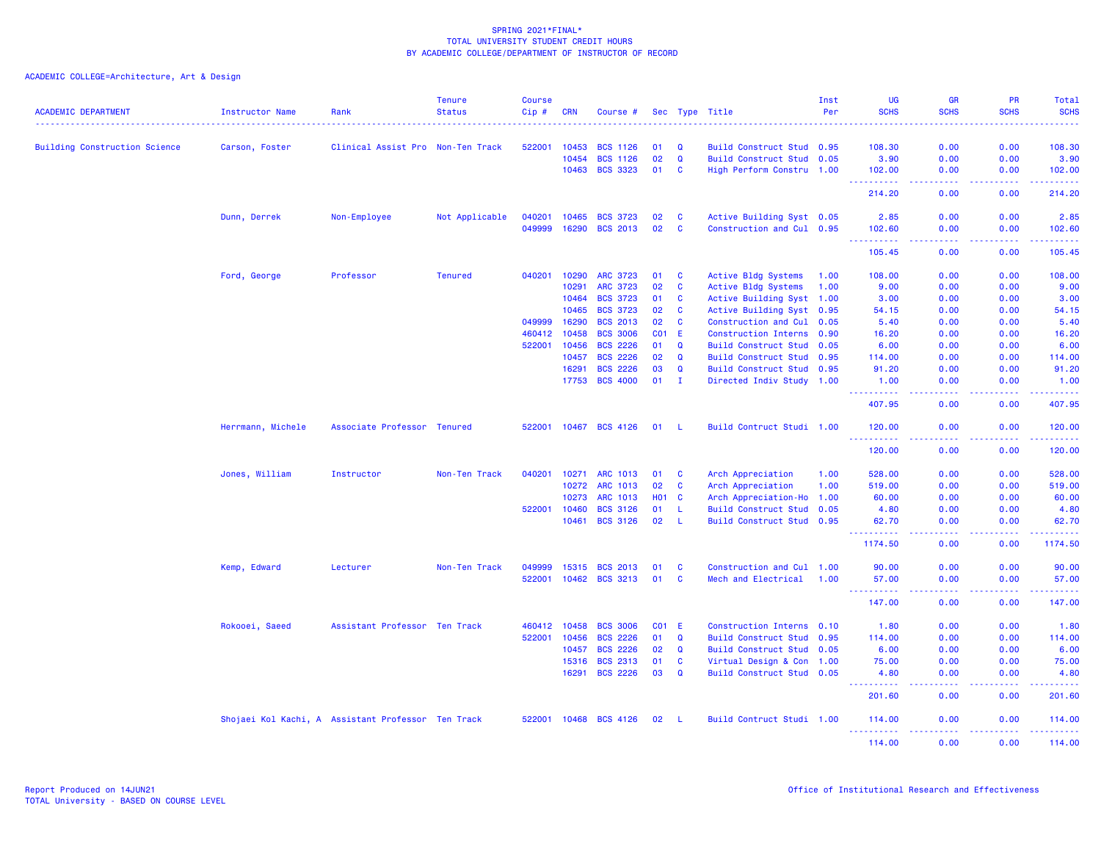| <b>ACADEMIC DEPARTMENT</b>           | <b>Instructor Name</b> | Rank                                               | <b>Tenure</b><br><b>Status</b> | <b>Course</b><br>Cip# | <b>CRN</b> | Course #        |                 |              | Sec Type Title              | Inst<br>Per | UG<br><b>SCHS</b>                    | <b>GR</b><br><b>SCHS</b>       | PR<br><b>SCHS</b>                     | Total<br><b>SCHS</b><br>$\frac{1}{2} \left( \frac{1}{2} \right) \left( \frac{1}{2} \right) \left( \frac{1}{2} \right) \left( \frac{1}{2} \right)$                  |
|--------------------------------------|------------------------|----------------------------------------------------|--------------------------------|-----------------------|------------|-----------------|-----------------|--------------|-----------------------------|-------------|--------------------------------------|--------------------------------|---------------------------------------|--------------------------------------------------------------------------------------------------------------------------------------------------------------------|
| <b>Building Construction Science</b> | Carson, Foster         | Clinical Assist Pro Non-Ten Track                  |                                | 522001                | 10453      | <b>BCS 1126</b> | 01              | $\Omega$     | Build Construct Stud 0.95   |             | 108.30                               | 0.00                           | 0.00                                  | 108.30                                                                                                                                                             |
|                                      |                        |                                                    |                                |                       | 10454      | <b>BCS 1126</b> | 02              | $\mathbf Q$  | Build Construct Stud 0.05   |             | 3.90                                 | 0.00                           | 0.00                                  | 3.90                                                                                                                                                               |
|                                      |                        |                                                    |                                |                       | 10463      | <b>BCS 3323</b> | 01              | C            | High Perform Constru 1.00   |             | 102.00                               | 0.00                           | 0.00                                  | 102.00                                                                                                                                                             |
|                                      |                        |                                                    |                                |                       |            |                 |                 |              |                             |             | <u>.</u><br>214.20                   | .<br>0.00                      | 0.00                                  | .<br>214.20                                                                                                                                                        |
|                                      | Dunn, Derrek           | Non-Employee                                       | Not Applicable                 | 040201                | 10465      | <b>BCS 3723</b> | 02              | C            | Active Building Syst 0.05   |             | 2.85                                 | 0.00                           | 0.00                                  | 2.85                                                                                                                                                               |
|                                      |                        |                                                    |                                | 049999                | 16290      | <b>BCS 2013</b> | 02              | C            | Construction and Cul 0.95   |             | 102.60                               | 0.00                           | 0.00                                  | 102.60                                                                                                                                                             |
|                                      |                        |                                                    |                                |                       |            |                 |                 |              |                             |             | والمراما<br>105.45                   | والمسامين<br>0.00              | .<br>0.00                             | $\mathcal{L}^{\mathcal{L}}\mathcal{L}^{\mathcal{L}}\mathcal{L}^{\mathcal{L}}\mathcal{L}^{\mathcal{L}}\mathcal{L}^{\mathcal{L}}\mathcal{L}^{\mathcal{L}}$<br>105.45 |
|                                      | Ford, George           | Professor                                          | <b>Tenured</b>                 | 040201                | 10290      | <b>ARC 3723</b> | 01              | C            | Active Bldg Systems         | 1.00        | 108.00                               | 0.00                           | 0.00                                  | 108.00                                                                                                                                                             |
|                                      |                        |                                                    |                                |                       | 10291      | <b>ARC 3723</b> | 02              | C            | Active Bldg Systems         | 1.00        | 9.00                                 | 0.00                           | 0.00                                  | 9.00                                                                                                                                                               |
|                                      |                        |                                                    |                                |                       | 10464      | <b>BCS 3723</b> | 01              | C            | Active Building Syst 1.00   |             | 3.00                                 | 0.00                           | 0.00                                  | 3.00                                                                                                                                                               |
|                                      |                        |                                                    |                                |                       | 10465      | <b>BCS 3723</b> | 02              | C            | Active Building Syst 0.95   |             | 54.15                                | 0.00                           | 0.00                                  | 54.15                                                                                                                                                              |
|                                      |                        |                                                    |                                | 049999                | 16290      | <b>BCS 2013</b> | 02              | C            | Construction and Cul 0.05   |             | 5.40                                 | 0.00                           | 0.00                                  | 5.40                                                                                                                                                               |
|                                      |                        |                                                    |                                | 460412                | 10458      | <b>BCS 3006</b> | CO <sub>1</sub> | E.           | Construction Interns 0.90   |             | 16.20                                | 0.00                           | 0.00                                  | 16.20                                                                                                                                                              |
|                                      |                        |                                                    |                                | 522001                | 10456      | <b>BCS 2226</b> | 01              | Q            | Build Construct Stud        | 0.05        | 6.00                                 | 0.00                           | 0.00                                  | 6.00                                                                                                                                                               |
|                                      |                        |                                                    |                                |                       | 10457      | <b>BCS 2226</b> | 02              | $\mathbf Q$  | <b>Build Construct Stud</b> | 0.95        | 114.00                               | 0.00                           | 0.00                                  | 114.00                                                                                                                                                             |
|                                      |                        |                                                    |                                |                       | 16291      | <b>BCS 2226</b> | 03              | $\mathbf Q$  | Build Construct Stud 0.95   |             | 91.20                                | 0.00                           | 0.00                                  | 91.20                                                                                                                                                              |
|                                      |                        |                                                    |                                |                       | 17753      | <b>BCS 4000</b> | 01              | $\mathbf{I}$ | Directed Indiv Study 1.00   |             | 1.00<br><u> - - - - - - - - - -</u>  | 0.00<br>المتمامين              | 0.00<br>.                             | 1.00<br>$\begin{array}{cccccccccc} \bullet & \bullet & \bullet & \bullet & \bullet & \bullet & \bullet \end{array}$                                                |
|                                      |                        |                                                    |                                |                       |            |                 |                 |              |                             |             | 407.95                               | 0.00                           | 0.00                                  | 407.95                                                                                                                                                             |
|                                      | Herrmann, Michele      | Associate Professor Tenured                        |                                | 522001                | 10467      | <b>BCS 4126</b> | 01              | -L           | Build Contruct Studi 1.00   |             | 120.00                               | 0.00                           | 0.00                                  | 120.00<br>. <b>.</b>                                                                                                                                               |
|                                      |                        |                                                    |                                |                       |            |                 |                 |              |                             |             | 120.00                               | 0.00                           | 0.00                                  | 120.00                                                                                                                                                             |
|                                      | Jones, William         | Instructor                                         | Non-Ten Track                  | 040201                | 10271      | ARC 1013        | 01              | C            | Arch Appreciation           | 1.00        | 528.00                               | 0.00                           | 0.00                                  | 528.00                                                                                                                                                             |
|                                      |                        |                                                    |                                |                       | 10272      | ARC 1013        | 02              | C            | Arch Appreciation           | 1.00        | 519.00                               | 0.00                           | 0.00                                  | 519.00                                                                                                                                                             |
|                                      |                        |                                                    |                                |                       | 10273      | <b>ARC 1013</b> | <b>HO1</b>      | <b>C</b>     | Arch Appreciation-Ho 1.00   |             | 60.00                                | 0.00                           | 0.00                                  | 60.00                                                                                                                                                              |
|                                      |                        |                                                    |                                | 522001                | 10460      | <b>BCS 3126</b> | 01              | L            | <b>Build Construct Stud</b> | 0.05        | 4.80                                 | 0.00                           | 0.00                                  | 4.80                                                                                                                                                               |
|                                      |                        |                                                    |                                |                       | 10461      | <b>BCS 3126</b> | 02              | $\mathbf{I}$ | Build Construct Stud 0.95   |             | 62.70<br><u> - - - - - - - - - -</u> | 0.00<br>$\omega$ is a $\omega$ | 0.00<br>.                             | 62.70<br>22222                                                                                                                                                     |
|                                      |                        |                                                    |                                |                       |            |                 |                 |              |                             |             | 1174.50                              | 0.00                           | 0.00                                  | 1174.50                                                                                                                                                            |
|                                      | Kemp, Edward           | Lecturer                                           | Non-Ten Track                  | 049999                | 15315      | <b>BCS 2013</b> | 01              | C            | Construction and Cul 1.00   |             | 90.00                                | 0.00                           | 0.00                                  | 90.00                                                                                                                                                              |
|                                      |                        |                                                    |                                | 522001                | 10462      | <b>BCS 3213</b> | 01              | C            | Mech and Electrical         | 1.00        | 57.00                                | 0.00                           | 0.00                                  | 57.00                                                                                                                                                              |
|                                      |                        |                                                    |                                |                       |            |                 |                 |              |                             |             | <u>.</u><br>147.00                   | .<br>0.00                      | <b><i><u><u>.</u></u></i></b><br>0.00 | .<br>147.00                                                                                                                                                        |
|                                      | Rokooei, Saeed         | Assistant Professor Ten Track                      |                                | 460412                | 10458      | <b>BCS 3006</b> |                 | <b>CO1 E</b> | Construction Interns 0.10   |             | 1.80                                 | 0.00                           | 0.00                                  | 1.80                                                                                                                                                               |
|                                      |                        |                                                    |                                | 522001                | 10456      | <b>BCS 2226</b> | 01              | $\mathbf Q$  | <b>Build Construct Stud</b> | 0.95        | 114.00                               | 0.00                           | 0.00                                  | 114.00                                                                                                                                                             |
|                                      |                        |                                                    |                                |                       | 10457      | <b>BCS 2226</b> | 02              | Q            | Build Construct Stud 0.05   |             | 6.00                                 | 0.00                           | 0.00                                  | 6.00                                                                                                                                                               |
|                                      |                        |                                                    |                                |                       | 15316      | <b>BCS 2313</b> | 01              | C            | Virtual Design & Con 1.00   |             | 75.00                                | 0.00                           | 0.00                                  | 75.00                                                                                                                                                              |
|                                      |                        |                                                    |                                |                       | 16291      | <b>BCS 2226</b> | 03              | $\mathbf Q$  | Build Construct Stud 0.05   |             | 4.80                                 | 0.00                           | 0.00                                  | 4.80                                                                                                                                                               |
|                                      |                        |                                                    |                                |                       |            |                 |                 |              |                             |             | .<br>201.60                          | .<br>0.00                      | .<br>0.00                             | 22222<br>201.60                                                                                                                                                    |
|                                      |                        | Shojaei Kol Kachi, A Assistant Professor Ten Track |                                | 522001                | 10468      | <b>BCS 4126</b> | 02              | - L          | Build Contruct Studi 1.00   |             | 114.00                               | 0.00                           | 0.00                                  | 114.00                                                                                                                                                             |
|                                      |                        |                                                    |                                |                       |            |                 |                 |              |                             |             | 114.00                               | 0.00                           | 0.00                                  | 114.00                                                                                                                                                             |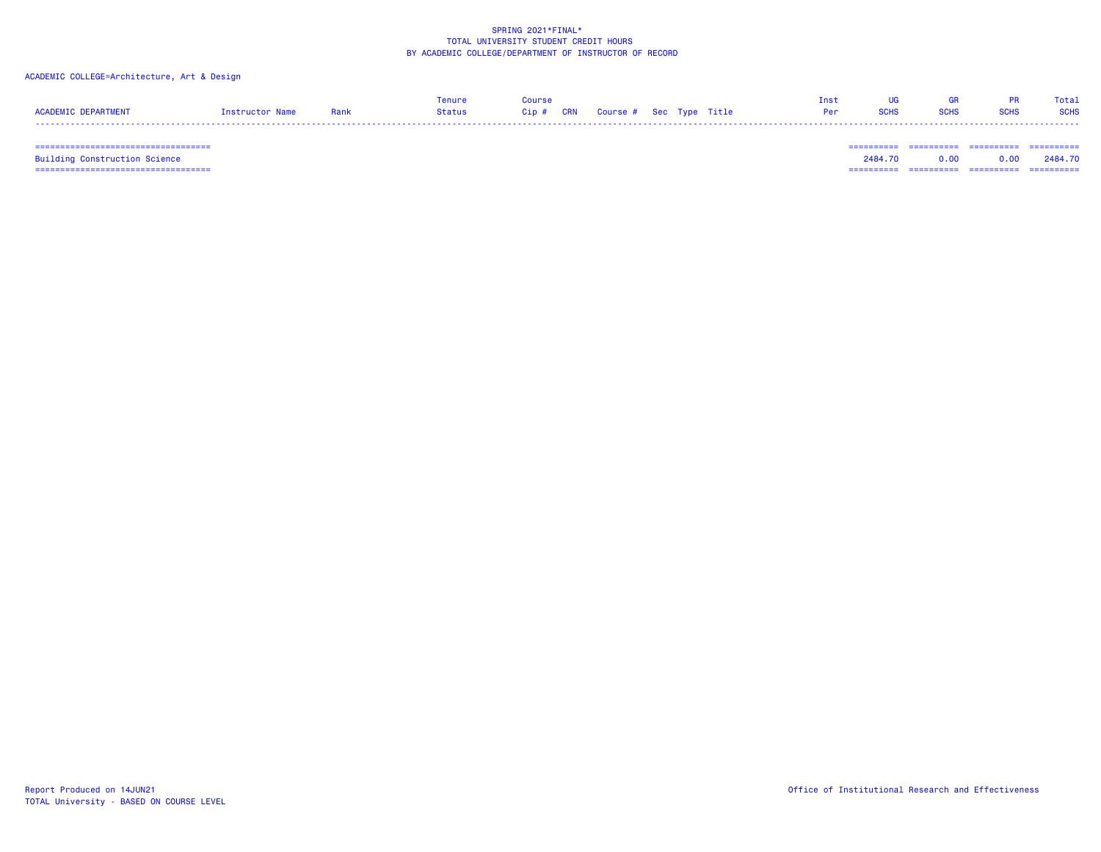## ACADEMIC COLLEGE=Architecture, Art & Design

|                     |                   |      | enure  | ourse              |                         | <b>Ins</b> |  | Total       |
|---------------------|-------------------|------|--------|--------------------|-------------------------|------------|--|-------------|
| ACADEMIC DEDADTMENT | <b>Instructor</b> | Rank | Status | <b>CRN</b><br>Cip# | Course # Sec Type Title |            |  | <b>SCHS</b> |
| ----                |                   |      |        |                    |                         |            |  |             |

 =================================== ========== ========== ========== ==========Building Construction Science 2484.70 0.00 0.00 2484.70 =================================== ========== ========== ========== ==========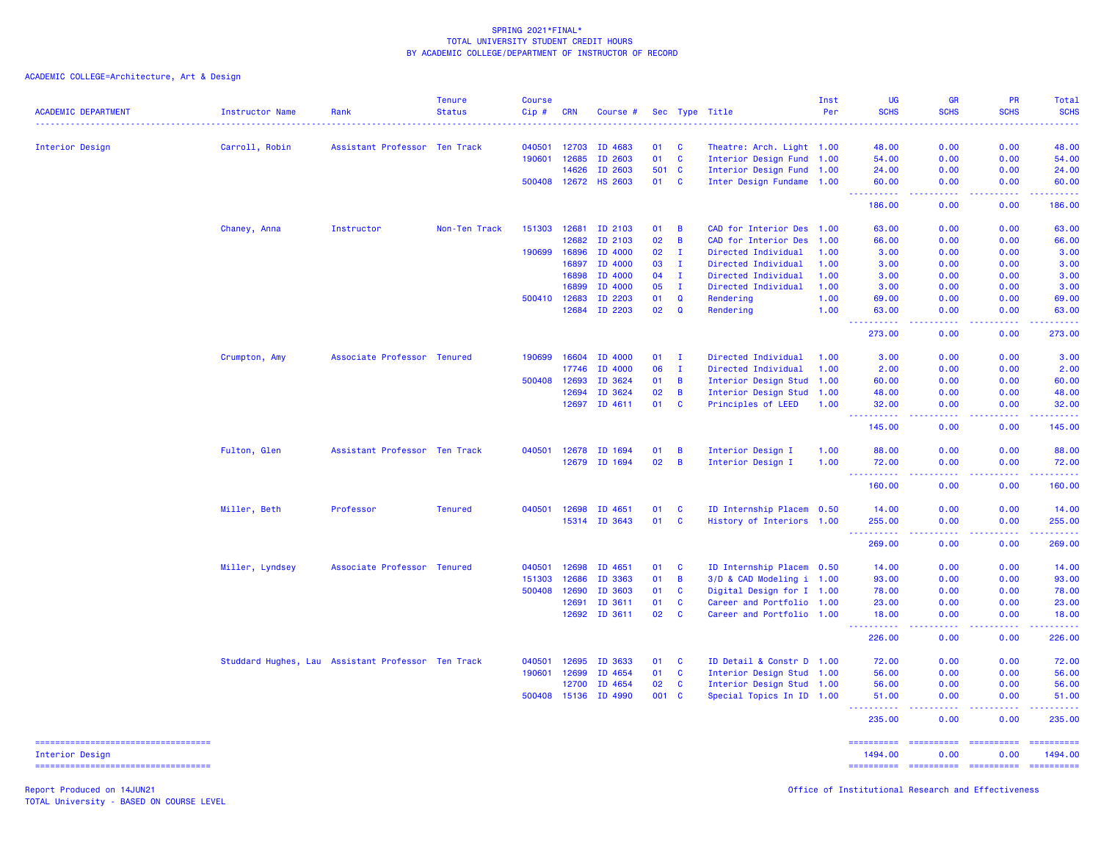ACADEMIC COLLEGE=Architecture, Art & Design

| <b>ACADEMIC DEPARTMENT</b>                             | <b>Instructor Name</b> | Rank                                               | <b>Tenure</b><br><b>Status</b> | <b>Course</b><br>Cip# | <b>CRN</b> | Course #                 |          |              | Sec Type Title                                         | Inst<br>Per | <b>UG</b><br><b>SCHS</b>              | <b>GR</b><br><b>SCHS</b>                                                                                                          | <b>PR</b><br><b>SCHS</b>                                                                                                                                                                                                                                                                                                                                                                                                                                                               | Total<br><b>SCHS</b><br>. |
|--------------------------------------------------------|------------------------|----------------------------------------------------|--------------------------------|-----------------------|------------|--------------------------|----------|--------------|--------------------------------------------------------|-------------|---------------------------------------|-----------------------------------------------------------------------------------------------------------------------------------|----------------------------------------------------------------------------------------------------------------------------------------------------------------------------------------------------------------------------------------------------------------------------------------------------------------------------------------------------------------------------------------------------------------------------------------------------------------------------------------|---------------------------|
| Interior Design                                        | Carroll, Robin         | Assistant Professor Ten Track                      |                                | 040501                | 12703      | ID 4683                  | 01       | - C          | Theatre: Arch. Light 1.00                              |             | 48.00                                 | 0.00                                                                                                                              | 0.00                                                                                                                                                                                                                                                                                                                                                                                                                                                                                   | 48.00                     |
|                                                        |                        |                                                    |                                | 190601                | 12685      | ID 2603                  | 01       | $\mathbf{C}$ | Interior Design Fund 1.00                              |             | 54.00                                 | 0.00                                                                                                                              | 0.00                                                                                                                                                                                                                                                                                                                                                                                                                                                                                   | 54.00                     |
|                                                        |                        |                                                    |                                |                       | 14626      | ID 2603                  | 501      | C            | Interior Design Fund 1.00                              |             | 24.00                                 | 0.00                                                                                                                              | 0.00                                                                                                                                                                                                                                                                                                                                                                                                                                                                                   | 24.00                     |
|                                                        |                        |                                                    |                                | 500408 12672          |            | <b>HS 2603</b>           | 01       | $\mathbf{C}$ | Inter Design Fundame 1.00                              |             | 60.00                                 | 0.00                                                                                                                              | 0.00                                                                                                                                                                                                                                                                                                                                                                                                                                                                                   | 60.00                     |
|                                                        |                        |                                                    |                                |                       |            |                          |          |              |                                                        |             | 186.00                                | 0.00                                                                                                                              | 0.00                                                                                                                                                                                                                                                                                                                                                                                                                                                                                   | .<br>186.00               |
|                                                        | Chaney, Anna           | Instructor                                         | Non-Ten Track                  | 151303                | 12681      | ID 2103                  | 01       | B            | CAD for Interior Des 1.00                              |             | 63.00                                 | 0.00                                                                                                                              | 0.00                                                                                                                                                                                                                                                                                                                                                                                                                                                                                   | 63.00                     |
|                                                        |                        |                                                    |                                |                       | 12682      | ID 2103                  | 02       | B            | CAD for Interior Des                                   | 1.00        | 66.00                                 | 0.00                                                                                                                              | 0.00                                                                                                                                                                                                                                                                                                                                                                                                                                                                                   | 66.00                     |
|                                                        |                        |                                                    |                                | 190699                | 16896      | ID 4000                  | 02       | $\mathbf I$  | Directed Individual                                    | 1.00        | 3.00                                  | 0.00                                                                                                                              | 0.00                                                                                                                                                                                                                                                                                                                                                                                                                                                                                   | 3.00                      |
|                                                        |                        |                                                    |                                |                       | 16897      | ID 4000                  | 03       | $\mathbf I$  | Directed Individual                                    | 1.00        | 3.00                                  | 0.00                                                                                                                              | 0.00                                                                                                                                                                                                                                                                                                                                                                                                                                                                                   | 3.00                      |
|                                                        |                        |                                                    |                                |                       | 16898      | ID 4000                  | 04       | $\mathbf I$  | Directed Individual                                    | 1.00        | 3.00                                  | 0.00                                                                                                                              | 0.00                                                                                                                                                                                                                                                                                                                                                                                                                                                                                   | 3.00                      |
|                                                        |                        |                                                    |                                |                       | 16899      | ID 4000                  | 05       | $\mathbf{I}$ | Directed Individual                                    | 1.00        | 3.00                                  | 0.00                                                                                                                              | 0.00                                                                                                                                                                                                                                                                                                                                                                                                                                                                                   | 3.00                      |
|                                                        |                        |                                                    |                                | 500410                | 12683      | ID 2203                  | 01       | $\mathbf Q$  | Rendering                                              | 1.00        | 69.00                                 | 0.00                                                                                                                              | 0.00                                                                                                                                                                                                                                                                                                                                                                                                                                                                                   | 69.00                     |
|                                                        |                        |                                                    |                                |                       | 12684      | ID 2203                  | 02       | $\mathbf Q$  | Rendering                                              | 1.00        | 63.00<br>222222                       | 0.00<br>د د د د                                                                                                                   | 0.00<br>.                                                                                                                                                                                                                                                                                                                                                                                                                                                                              | 63.00<br>22222            |
|                                                        |                        |                                                    |                                |                       |            |                          |          |              |                                                        |             | 273.00                                | 0.00                                                                                                                              | 0.00                                                                                                                                                                                                                                                                                                                                                                                                                                                                                   | 273.00                    |
|                                                        | Crumpton, Amy          | Associate Professor Tenured                        |                                | 190699                | 16604      | ID 4000                  | 01       | $\mathbf I$  | Directed Individual                                    | 1.00        | 3.00                                  | 0.00                                                                                                                              | 0.00                                                                                                                                                                                                                                                                                                                                                                                                                                                                                   | 3.00                      |
|                                                        |                        |                                                    |                                |                       | 17746      | ID 4000                  | 06       | $\mathbf{I}$ | Directed Individual                                    | 1.00        | 2.00                                  | 0.00                                                                                                                              | 0.00                                                                                                                                                                                                                                                                                                                                                                                                                                                                                   | 2.00                      |
|                                                        |                        |                                                    |                                | 500408                | 12693      | ID 3624                  | 01       | B            | Interior Design Stud 1.00                              |             | 60.00                                 | 0.00                                                                                                                              | 0.00                                                                                                                                                                                                                                                                                                                                                                                                                                                                                   | 60.00                     |
|                                                        |                        |                                                    |                                |                       | 12694      | ID 3624                  | 02       | B            | Interior Design Stud 1.00                              |             | 48.00                                 | 0.00                                                                                                                              | 0.00                                                                                                                                                                                                                                                                                                                                                                                                                                                                                   | 48.00                     |
|                                                        |                        |                                                    |                                |                       |            | 12697 ID 4611            | 01       | C            | Principles of LEED                                     | 1.00        | 32.00                                 | 0.00                                                                                                                              | 0.00                                                                                                                                                                                                                                                                                                                                                                                                                                                                                   | 32.00                     |
|                                                        |                        |                                                    |                                |                       |            |                          |          |              |                                                        |             | 2.2.2.2.2.2<br>145.00                 | د د د د<br>0.00                                                                                                                   | 22222<br>0.00                                                                                                                                                                                                                                                                                                                                                                                                                                                                          | <u>.</u><br>145.00        |
|                                                        | Fulton, Glen           | Assistant Professor Ten Track                      |                                | 040501                | 12678      | ID 1694                  | 01       | B            | Interior Design I                                      | 1.00        | 88.00                                 | 0.00                                                                                                                              | 0.00                                                                                                                                                                                                                                                                                                                                                                                                                                                                                   | 88.00                     |
|                                                        |                        |                                                    |                                |                       |            | 12679 ID 1694            | 02       | B            | Interior Design I                                      | 1.00        | 72.00                                 | 0.00                                                                                                                              | 0.00                                                                                                                                                                                                                                                                                                                                                                                                                                                                                   | 72.00                     |
|                                                        |                        |                                                    |                                |                       |            |                          |          |              |                                                        |             | <b></b><br>160.00                     | .<br>0.00                                                                                                                         | .<br>0.00                                                                                                                                                                                                                                                                                                                                                                                                                                                                              | <u>.</u><br>160.00        |
|                                                        |                        |                                                    |                                |                       |            |                          |          |              |                                                        |             |                                       |                                                                                                                                   |                                                                                                                                                                                                                                                                                                                                                                                                                                                                                        |                           |
|                                                        | Miller, Beth           | Professor                                          | <b>Tenured</b>                 | 040501                | 12698      | ID 4651<br>15314 ID 3643 | 01<br>01 | C<br>C       | ID Internship Placem 0.50<br>History of Interiors 1.00 |             | 14.00<br>255.00                       | 0.00<br>0.00                                                                                                                      | 0.00<br>0.00                                                                                                                                                                                                                                                                                                                                                                                                                                                                           | 14.00<br>255.00           |
|                                                        |                        |                                                    |                                |                       |            |                          |          |              |                                                        |             | .<br>269.00                           | $\frac{1}{2} \left( \frac{1}{2} \right) \left( \frac{1}{2} \right) \left( \frac{1}{2} \right) \left( \frac{1}{2} \right)$<br>0.00 | .<br>0.00                                                                                                                                                                                                                                                                                                                                                                                                                                                                              | <u>.</u><br>269.00        |
|                                                        |                        |                                                    |                                | 040501                | 12698      | ID 4651                  | 01       | C            | ID Internship Placem 0.50                              |             | 14.00                                 | 0.00                                                                                                                              | 0.00                                                                                                                                                                                                                                                                                                                                                                                                                                                                                   |                           |
|                                                        | Miller, Lyndsey        | Associate Professor Tenured                        |                                | 151303                | 12686      | ID 3363                  | 01       | B            | 3/D & CAD Modeling i 1.00                              |             | 93.00                                 | 0.00                                                                                                                              | 0.00                                                                                                                                                                                                                                                                                                                                                                                                                                                                                   | 14.00<br>93.00            |
|                                                        |                        |                                                    |                                | 500408                | 12690      | ID 3603                  | 01       | $\mathbf{c}$ | Digital Design for I 1.00                              |             | 78.00                                 | 0.00                                                                                                                              | 0.00                                                                                                                                                                                                                                                                                                                                                                                                                                                                                   | 78.00                     |
|                                                        |                        |                                                    |                                |                       | 12691      | ID 3611                  | 01       | <b>C</b>     | Career and Portfolio 1.00                              |             | 23.00                                 | 0.00                                                                                                                              | 0.00                                                                                                                                                                                                                                                                                                                                                                                                                                                                                   | 23,00                     |
|                                                        |                        |                                                    |                                |                       | 12692      | ID 3611                  | 02       | C            | Career and Portfolio 1.00                              |             | 18.00                                 | 0.00                                                                                                                              | 0.00                                                                                                                                                                                                                                                                                                                                                                                                                                                                                   | 18.00                     |
|                                                        |                        |                                                    |                                |                       |            |                          |          |              |                                                        |             | <u> - - - - - - - - - -</u><br>226.00 | .<br>0.00                                                                                                                         | 22222.<br>0.00                                                                                                                                                                                                                                                                                                                                                                                                                                                                         | 2.2.2.2.2.2<br>226.00     |
|                                                        |                        | Studdard Hughes, Lau Assistant Professor Ten Track |                                | 040501                | 12695      | ID 3633                  | 01       | C            | ID Detail & Constr D 1.00                              |             | 72.00                                 | 0.00                                                                                                                              | 0.00                                                                                                                                                                                                                                                                                                                                                                                                                                                                                   | 72.00                     |
|                                                        |                        |                                                    |                                | 190601                | 12699      | ID 4654                  | 01       | $\mathbf c$  | Interior Design Stud 1.00                              |             | 56.00                                 | 0.00                                                                                                                              | 0.00                                                                                                                                                                                                                                                                                                                                                                                                                                                                                   | 56.00                     |
|                                                        |                        |                                                    |                                |                       | 12700      | ID 4654                  | 02       | $\mathbf{C}$ | Interior Design Stud 1.00                              |             | 56.00                                 | 0.00                                                                                                                              | 0.00                                                                                                                                                                                                                                                                                                                                                                                                                                                                                   | 56.00                     |
|                                                        |                        |                                                    |                                | 500408 15136          |            | ID 4990                  | 001 C    |              | Special Topics In ID 1.00                              |             | 51.00                                 | 0.00                                                                                                                              | 0.00                                                                                                                                                                                                                                                                                                                                                                                                                                                                                   | 51.00                     |
|                                                        |                        |                                                    |                                |                       |            |                          |          |              |                                                        |             | .                                     | $- - -$                                                                                                                           | .                                                                                                                                                                                                                                                                                                                                                                                                                                                                                      | .                         |
|                                                        |                        |                                                    |                                |                       |            |                          |          |              |                                                        |             | 235.00                                | 0.00                                                                                                                              | 0.00                                                                                                                                                                                                                                                                                                                                                                                                                                                                                   | 235.00                    |
| -----------------------------------<br>Interior Design |                        |                                                    |                                |                       |            |                          |          |              |                                                        |             | =========<br>1494.00                  | 0.00                                                                                                                              | 0.00                                                                                                                                                                                                                                                                                                                                                                                                                                                                                   | =======<br>1494.00        |
| -----------------------------------                    |                        |                                                    |                                |                       |            |                          |          |              |                                                        |             | ==========                            | ==========                                                                                                                        | $\begin{array}{cccccccccc} \multicolumn{2}{c}{} & \multicolumn{2}{c}{} & \multicolumn{2}{c}{} & \multicolumn{2}{c}{} & \multicolumn{2}{c}{} & \multicolumn{2}{c}{} & \multicolumn{2}{c}{} & \multicolumn{2}{c}{} & \multicolumn{2}{c}{} & \multicolumn{2}{c}{} & \multicolumn{2}{c}{} & \multicolumn{2}{c}{} & \multicolumn{2}{c}{} & \multicolumn{2}{c}{} & \multicolumn{2}{c}{} & \multicolumn{2}{c}{} & \multicolumn{2}{c}{} & \multicolumn{2}{c}{} & \multicolumn{2}{c}{} & \mult$ | ==========                |

TOTAL University - BASED ON COURSE LEVEL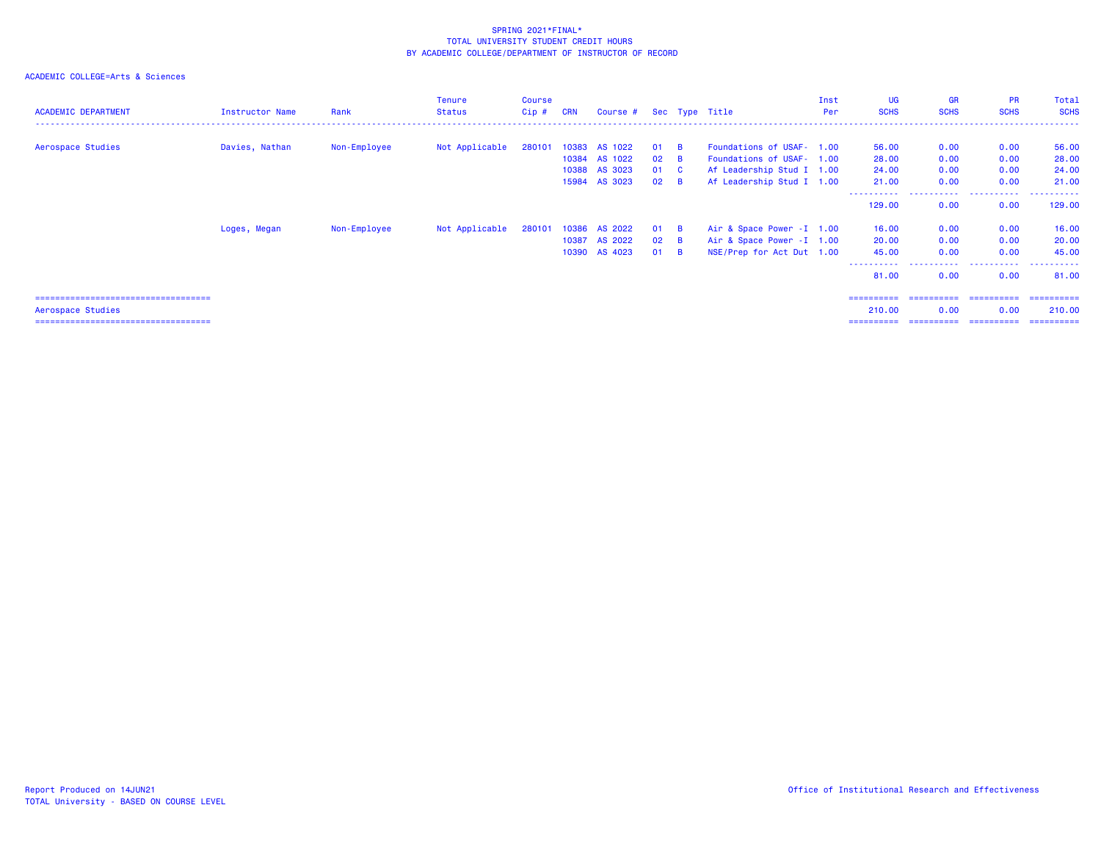# ACADEMIC COLLEGE=Arts & Sciences

| <b>ACADEMIC DEPARTMENT</b>             | Instructor Name | Rank         | <b>Tenure</b><br><b>Status</b> | <b>Course</b><br>$Cip$ # | <b>CRN</b> | Course #      |              |                         | Sec Type Title             | Inst<br>Per | UG<br><b>SCHS</b> | <b>GR</b><br><b>SCHS</b> | <b>PR</b><br><b>SCHS</b> | Total<br><b>SCHS</b> |
|----------------------------------------|-----------------|--------------|--------------------------------|--------------------------|------------|---------------|--------------|-------------------------|----------------------------|-------------|-------------------|--------------------------|--------------------------|----------------------|
|                                        |                 |              |                                |                          |            |               |              |                         |                            |             |                   |                          |                          |                      |
| Aerospace Studies                      | Davies, Nathan  | Non-Employee | Not Applicable                 | 280101                   | 10383      | AS 1022       | 01           | <b>B</b>                | Foundations of USAF- 1.00  |             | 56.00             | 0.00                     | 0.00                     | 56.00                |
|                                        |                 |              |                                |                          |            | 10384 AS 1022 | $02 \quad B$ |                         | Foundations of USAF- 1.00  |             | 28.00             | 0.00                     | 0.00                     | 28.00                |
|                                        |                 |              |                                |                          |            | 10388 AS 3023 | 01           | $\overline{\mathbf{C}}$ | Af Leadership Stud I 1.00  |             | 24.00             | 0.00                     | 0.00                     | 24.00                |
|                                        |                 |              |                                |                          |            | 15984 AS 3023 | 02           | $\overline{B}$          | Af Leadership Stud I 1.00  |             | 21.00             | 0.00                     | 0.00                     | 21.00                |
|                                        |                 |              |                                |                          |            |               |              |                         |                            |             | 129.00            | -----<br>0.00            | .<br>0.00                | .<br>129.00          |
|                                        | Loges, Megan    | Non-Employee | Not Applicable                 | 280101                   |            | 10386 AS 2022 | 01 B         |                         | Air & Space Power - I 1.00 |             | 16.00             | 0.00                     | 0.00                     | 16.00                |
|                                        |                 |              |                                |                          | 10387      | AS 2022       | $02 \quad B$ |                         | Air & Space Power - I 1.00 |             | 20.00             | 0.00                     | 0.00                     | 20.00                |
|                                        |                 |              |                                |                          |            | 10390 AS 4023 | 01           | $\overline{B}$          | NSE/Prep for Act Dut 1.00  |             | 45.00             | 0.00                     | 0.00                     | 45.00                |
|                                        |                 |              |                                |                          |            |               |              |                         |                            |             | 81.00             | 0.00                     | 0.00                     | 81.00                |
| ====================================== |                 |              |                                |                          |            |               |              |                         |                            |             | ==========        | ==========               | -----------              | -----------          |
| Aerospace Studies                      |                 |              |                                |                          |            |               |              |                         |                            |             | 210.00            | 0.00                     | 0.00                     | 210.00               |

=================================== ========== ========== ========== ==========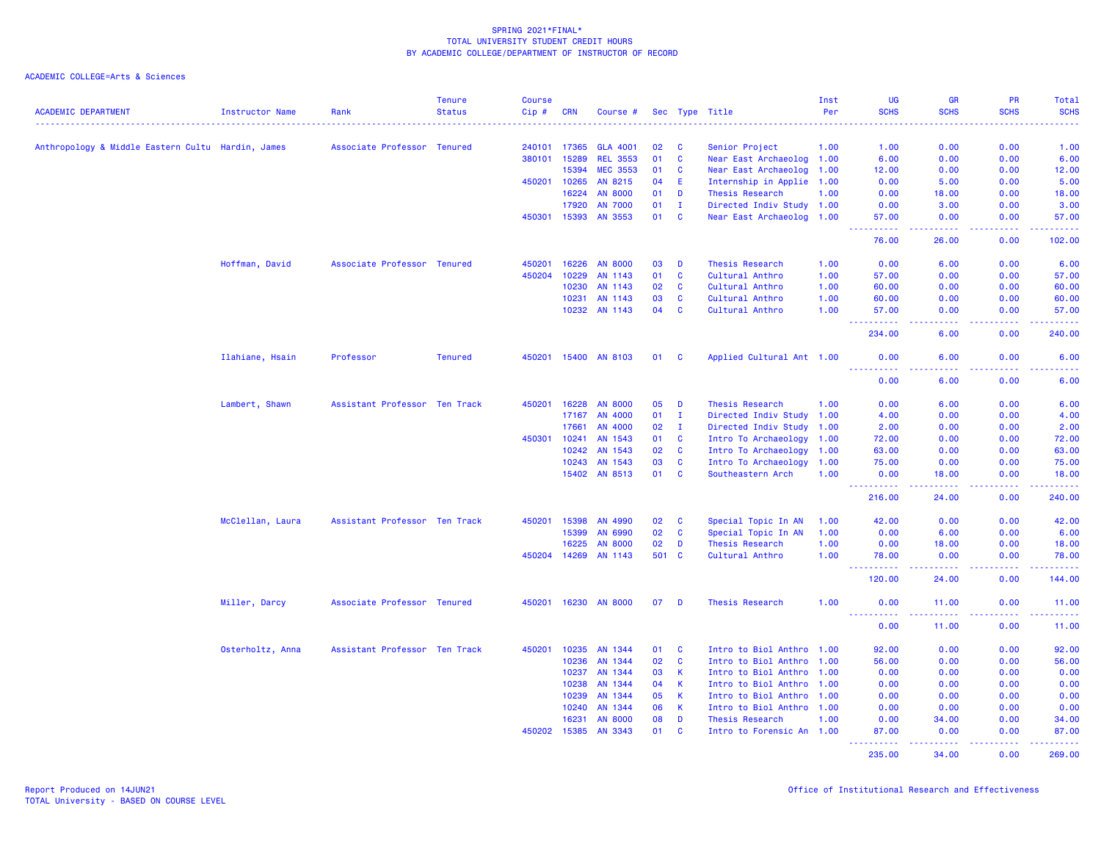|                                                   |                        |                               | <b>Tenure</b>  | <b>Course</b> |                |                           |          |                              |                                                     | Inst | <b>UG</b>                                               | <b>GR</b>                                                                                                                                                     | PR                                                                                                                                       | Total                  |
|---------------------------------------------------|------------------------|-------------------------------|----------------|---------------|----------------|---------------------------|----------|------------------------------|-----------------------------------------------------|------|---------------------------------------------------------|---------------------------------------------------------------------------------------------------------------------------------------------------------------|------------------------------------------------------------------------------------------------------------------------------------------|------------------------|
| <b>ACADEMIC DEPARTMENT</b>                        | <b>Instructor Name</b> | Rank                          | <b>Status</b>  | Cip#          | <b>CRN</b>     | Course #                  |          |                              | Sec Type Title                                      | Per  | <b>SCHS</b>                                             | <b>SCHS</b>                                                                                                                                                   | <b>SCHS</b><br>$\frac{1}{2} \left( \frac{1}{2} \right) \left( \frac{1}{2} \right) \left( \frac{1}{2} \right) \left( \frac{1}{2} \right)$ | <b>SCHS</b><br>2222.   |
| Anthropology & Middle Eastern Cultu Hardin, James |                        | Associate Professor Tenured   |                | 240101        | 17365          | <b>GLA 4001</b>           | 02       | C                            | Senior Project                                      | 1.00 | 1.00                                                    | 0.00                                                                                                                                                          | 0.00                                                                                                                                     | 1.00                   |
|                                                   |                        |                               |                | 380101        | 15289          | <b>REL 3553</b>           | 01       | $\mathbf{C}$                 | Near East Archaeolog 1.00                           |      | 6.00                                                    | 0.00                                                                                                                                                          | 0.00                                                                                                                                     | 6.00                   |
|                                                   |                        |                               |                |               | 15394          | <b>MEC 3553</b>           | 01       | C                            | Near East Archaeolog 1.00                           |      | 12.00                                                   | 0.00                                                                                                                                                          | 0.00                                                                                                                                     | 12.00                  |
|                                                   |                        |                               |                | 450201        | 10265          | AN 8215                   | 04       | E                            | Internship in Applie 1.00                           |      | 0.00                                                    | 5.00                                                                                                                                                          | 0.00                                                                                                                                     | 5.00                   |
|                                                   |                        |                               |                |               | 16224          | <b>AN 8000</b>            | 01       | D                            | <b>Thesis Research</b>                              | 1.00 | 0.00                                                    | 18.00                                                                                                                                                         | 0.00                                                                                                                                     | 18.00                  |
|                                                   |                        |                               |                |               | 17920          | <b>AN 7000</b>            | 01       | п.                           | Directed Indiv Study 1.00                           |      | 0.00                                                    | 3.00                                                                                                                                                          | 0.00                                                                                                                                     | 3.00                   |
|                                                   |                        |                               |                | 450301        | 15393          | AN 3553                   | 01       | C                            | Near East Archaeolog 1.00                           |      | 57.00                                                   | 0.00                                                                                                                                                          | 0.00                                                                                                                                     | 57.00                  |
|                                                   |                        |                               |                |               |                |                           |          |                              |                                                     |      | .<br>76.00                                              | .<br>26.00                                                                                                                                                    | .<br>0.00                                                                                                                                | 222222<br>102.00       |
|                                                   | Hoffman, David         | Associate Professor Tenured   |                | 450201        | 16226          | <b>AN 8000</b>            | 03       | D                            | Thesis Research                                     | 1.00 | 0.00                                                    | 6.00                                                                                                                                                          | 0.00                                                                                                                                     | 6.00                   |
|                                                   |                        |                               |                | 450204        | 10229          | AN 1143                   | 01       | $\mathbf{C}$                 | Cultural Anthro                                     | 1.00 | 57.00                                                   | 0.00                                                                                                                                                          | 0.00                                                                                                                                     | 57.00                  |
|                                                   |                        |                               |                |               | 10230          | AN 1143                   | 02       | $\mathbf{C}$                 | Cultural Anthro                                     | 1.00 | 60.00                                                   | 0.00                                                                                                                                                          | 0.00                                                                                                                                     | 60.00                  |
|                                                   |                        |                               |                |               | 10231          | AN 1143                   | 03       | $\mathbf{C}$                 | Cultural Anthro                                     | 1.00 | 60.00                                                   | 0.00                                                                                                                                                          | 0.00                                                                                                                                     | 60.00                  |
|                                                   |                        |                               |                |               |                |                           | 04       | $\mathbf{C}$                 |                                                     | 1.00 |                                                         | 0.00                                                                                                                                                          | 0.00                                                                                                                                     | 57.00                  |
|                                                   |                        |                               |                |               |                | 10232 AN 1143             |          |                              | Cultural Anthro                                     |      | 57.00<br><b><i><u><u><b>a</b></u></u> a a a a a</i></b> | .                                                                                                                                                             | .                                                                                                                                        | .                      |
|                                                   |                        |                               |                |               |                |                           |          |                              |                                                     |      | 234.00                                                  | 6.00                                                                                                                                                          | 0.00                                                                                                                                     | 240.00                 |
|                                                   | Ilahiane, Hsain        | Professor                     | <b>Tenured</b> | 450201        | 15400          | AN 8103                   | 01       | <b>C</b>                     | Applied Cultural Ant 1.00                           |      | 0.00<br>.                                               | 6.00<br>$\sim$ $\sim$ $\sim$ $\sim$                                                                                                                           | 0.00<br>.                                                                                                                                | 6.00<br>$- - - - -$    |
|                                                   |                        |                               |                |               |                |                           |          |                              |                                                     |      | 0.00                                                    | 6.00                                                                                                                                                          | 0.00                                                                                                                                     | 6.00                   |
|                                                   | Lambert, Shawn         | Assistant Professor Ten Track |                | 450201        | 16228          | <b>AN 8000</b>            | 05       | D                            | <b>Thesis Research</b>                              | 1.00 | 0.00                                                    | 6.00                                                                                                                                                          | 0.00                                                                                                                                     | 6.00                   |
|                                                   |                        |                               |                |               | 17167          | AN 4000                   | 01       | $\mathbf I$                  | Directed Indiv Study 1.00                           |      | 4.00                                                    | 0.00                                                                                                                                                          | 0.00                                                                                                                                     | 4.00                   |
|                                                   |                        |                               |                |               | 17661          | AN 4000                   | 02       | $\mathbf{I}$                 | Directed Indiv Study 1.00                           |      | 2.00                                                    | 0.00                                                                                                                                                          | 0.00                                                                                                                                     | 2.00                   |
|                                                   |                        |                               |                | 450301        | 10241          | AN 1543                   | 01       | <b>C</b>                     | Intro To Archaeology 1.00                           |      | 72.00                                                   | 0.00                                                                                                                                                          | 0.00                                                                                                                                     | 72.00                  |
|                                                   |                        |                               |                |               | 10242          | AN 1543                   | 02       | $\mathbf{C}$                 | Intro To Archaeology 1.00                           |      | 63.00                                                   | 0.00                                                                                                                                                          | 0.00                                                                                                                                     | 63.00                  |
|                                                   |                        |                               |                |               | 10243          | AN 1543                   | 03       | $\mathbf{C}$                 | Intro To Archaeology                                | 1.00 | 75.00                                                   | 0.00                                                                                                                                                          | 0.00                                                                                                                                     | 75.00                  |
|                                                   |                        |                               |                |               |                | 15402 AN 8513             | 01       | <b>C</b>                     | Southeastern Arch                                   | 1.00 | 0.00                                                    | 18.00                                                                                                                                                         | 0.00                                                                                                                                     | 18.00                  |
|                                                   |                        |                               |                |               |                |                           |          |                              |                                                     |      | <u>.</u><br>216.00                                      | $\frac{1}{2} \left( \frac{1}{2} \right) \left( \frac{1}{2} \right) \left( \frac{1}{2} \right) \left( \frac{1}{2} \right) \left( \frac{1}{2} \right)$<br>24.00 | .<br>0.00                                                                                                                                | .<br>240.00            |
|                                                   | McClellan, Laura       | Assistant Professor Ten Track |                | 450201        | 15398          | AN 4990                   | 02       | C                            | Special Topic In AN                                 | 1.00 | 42.00                                                   | 0.00                                                                                                                                                          | 0.00                                                                                                                                     | 42.00                  |
|                                                   |                        |                               |                |               | 15399          | AN 6990                   | 02       | $\mathbf{C}$                 | Special Topic In AN                                 | 1.00 | 0.00                                                    | 6.00                                                                                                                                                          | 0.00                                                                                                                                     | 6.00                   |
|                                                   |                        |                               |                |               | 16225          | <b>AN 8000</b>            | 02       | D                            | Thesis Research                                     | 1.00 | 0.00                                                    | 18.00                                                                                                                                                         | 0.00                                                                                                                                     | 18.00                  |
|                                                   |                        |                               |                | 450204        | 14269          | AN 1143                   | 501      | C                            | Cultural Anthro                                     | 1.00 | 78.00                                                   | 0.00                                                                                                                                                          | 0.00                                                                                                                                     | 78.00                  |
|                                                   |                        |                               |                |               |                |                           |          |                              |                                                     |      | .<br>120.00                                             | .<br>24.00                                                                                                                                                    | .<br>0.00                                                                                                                                | .<br>144.00            |
|                                                   | Miller, Darcy          | Associate Professor Tenured   |                |               |                | 450201 16230 AN 8000      | 07       | D                            | Thesis Research                                     | 1.00 | 0.00                                                    | 11.00                                                                                                                                                         | 0.00                                                                                                                                     | 11.00                  |
|                                                   |                        |                               |                |               |                |                           |          |                              |                                                     |      | ----------<br>0.00                                      | .<br>11.00                                                                                                                                                    | .<br>0.00                                                                                                                                | <u> 22222</u><br>11.00 |
|                                                   |                        |                               |                |               |                |                           |          |                              |                                                     |      |                                                         |                                                                                                                                                               |                                                                                                                                          |                        |
|                                                   | Osterholtz, Anna       | Assistant Professor Ten Track |                | 450201        | 10235          | AN 1344                   | 01       | $\mathbf{C}$<br>$\mathbf{C}$ | Intro to Biol Anthro 1.00                           |      | 92.00                                                   | 0.00                                                                                                                                                          | 0.00                                                                                                                                     | 92.00                  |
|                                                   |                        |                               |                |               | 10236          | AN 1344                   | 02       |                              | Intro to Biol Anthro 1.00                           |      | 56.00                                                   | 0.00                                                                                                                                                          | 0.00                                                                                                                                     | 56.00                  |
|                                                   |                        |                               |                |               | 10237          | AN 1344                   | 03       | K.                           | Intro to Biol Anthro 1.00                           |      | 0.00                                                    | 0.00                                                                                                                                                          | 0.00                                                                                                                                     | 0.00                   |
|                                                   |                        |                               |                |               | 10238          | AN 1344                   | 04       | <b>K</b>                     | Intro to Biol Anthro 1.00                           |      | 0.00                                                    | 0.00                                                                                                                                                          | 0.00                                                                                                                                     | 0.00                   |
|                                                   |                        |                               |                |               | 10239          | AN 1344                   | 05       | К                            | Intro to Biol Anthro 1.00                           |      | 0.00                                                    | 0.00                                                                                                                                                          | 0.00                                                                                                                                     | 0.00                   |
|                                                   |                        |                               |                |               | 10240          | AN 1344                   | 06       | K                            | Intro to Biol Anthro 1.00                           |      | 0.00                                                    | 0.00                                                                                                                                                          | 0.00                                                                                                                                     | 0.00                   |
|                                                   |                        |                               |                | 450202        | 16231<br>15385 | <b>AN 8000</b><br>AN 3343 | 08<br>01 | D<br>C                       | <b>Thesis Research</b><br>Intro to Forensic An 1.00 | 1.00 | 0.00<br>87.00                                           | 34.00<br>0.00                                                                                                                                                 | 0.00<br>0.00                                                                                                                             | 34.00<br>87.00         |
|                                                   |                        |                               |                |               |                |                           |          |                              |                                                     |      | .<br>235.00                                             | <u>.</u><br>34.00                                                                                                                                             | $- - - - -$<br>0.00                                                                                                                      | <u>.</u><br>269.00     |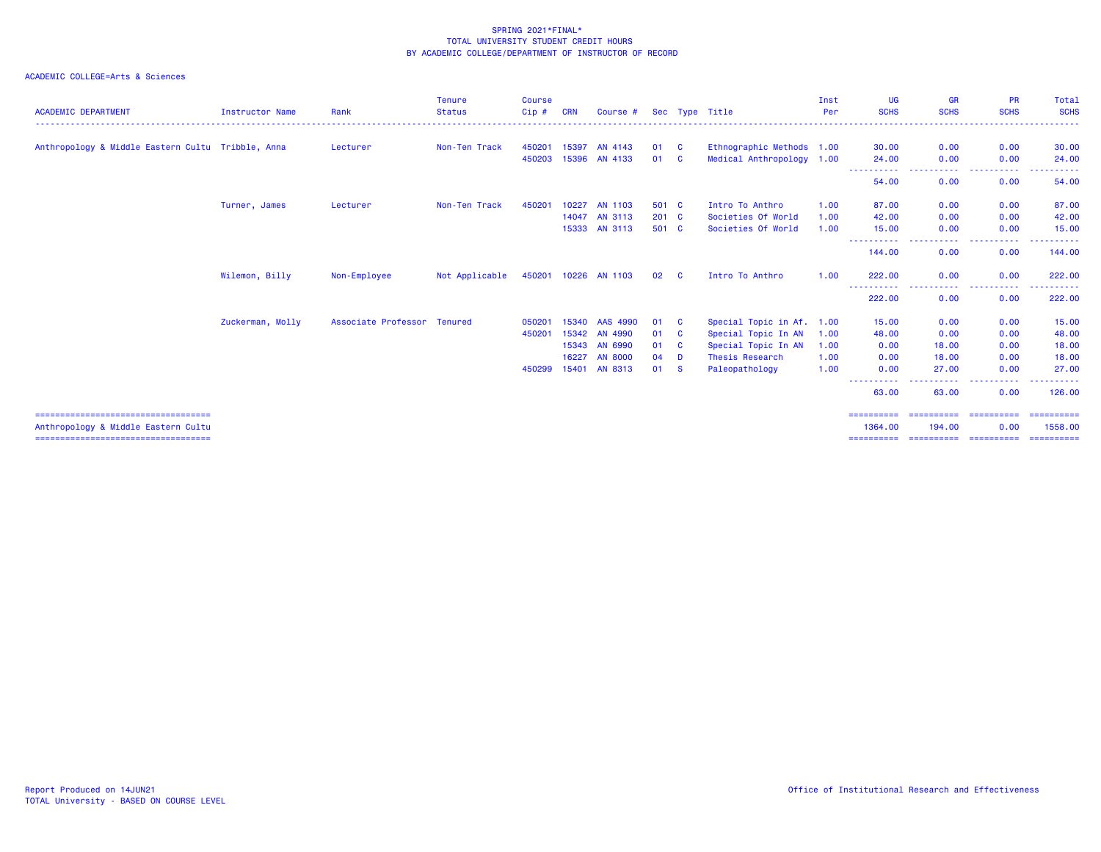| <b>ACADEMIC DEPARTMENT</b>                                                    | <b>Instructor Name</b> | Rank                        | <b>Tenure</b><br><b>Status</b> | <b>Course</b><br>Cip# | <b>CRN</b> | Course #             |               |          | Sec Type Title            | Inst<br>Per | <b>UG</b><br><b>SCHS</b> | <b>GR</b><br><b>SCHS</b>                                                                                                          | <b>PR</b><br><b>SCHS</b>                                                                                                               | Total<br><b>SCHS</b>    |
|-------------------------------------------------------------------------------|------------------------|-----------------------------|--------------------------------|-----------------------|------------|----------------------|---------------|----------|---------------------------|-------------|--------------------------|-----------------------------------------------------------------------------------------------------------------------------------|----------------------------------------------------------------------------------------------------------------------------------------|-------------------------|
| Anthropology & Middle Eastern Cultu Tribble, Anna                             |                        | Lecturer                    | Non-Ten Track                  | 450201                | 15397      | AN 4143              | 01            | <b>C</b> | Ethnographic Methods 1.00 |             | 30.00                    | 0.00                                                                                                                              | 0.00                                                                                                                                   | 30.00                   |
|                                                                               |                        |                             |                                | 450203                | 15396      | AN 4133              | 01            | <b>C</b> | Medical Anthropology 1.00 |             | 24,00                    | 0.00                                                                                                                              | 0.00                                                                                                                                   | 24.00                   |
|                                                                               |                        |                             |                                |                       |            |                      |               |          |                           |             | -----------<br>54.00     | <b></b><br>0.00                                                                                                                   | .<br>0.00                                                                                                                              | ------<br>54.00         |
|                                                                               | Turner, James          | Lecturer                    | Non-Ten Track                  | 450201                | 10227      | <b>AN 1103</b>       | 501 C         |          | Intro To Anthro           | 1.00        | 87.00                    | 0.00                                                                                                                              | 0.00                                                                                                                                   | 87.00                   |
|                                                                               |                        |                             |                                |                       | 14047      | AN 3113              | $201 \quad C$ |          | Societies Of World        | 1.00        | 42.00                    | 0.00                                                                                                                              | 0.00                                                                                                                                   | 42.00                   |
|                                                                               |                        |                             |                                |                       |            | 15333 AN 3113        | 501 C         |          | Societies Of World        | 1.00        | 15.00                    | 0.00                                                                                                                              | 0.00                                                                                                                                   | 15.00                   |
|                                                                               |                        |                             |                                |                       |            |                      |               |          |                           |             | ----------<br>144.00     | $\frac{1}{2} \left( \frac{1}{2} \right) \left( \frac{1}{2} \right) \left( \frac{1}{2} \right) \left( \frac{1}{2} \right)$<br>0.00 | . <u>.</u> .<br>0.00                                                                                                                   | 144.00                  |
|                                                                               | Wilemon, Billy         | Non-Employee                | Not Applicable                 |                       |            | 450201 10226 AN 1103 | 02            | <b>C</b> | Intro To Anthro           | 1.00        | 222.00                   | 0.00                                                                                                                              | 0.00                                                                                                                                   | 222.00                  |
|                                                                               |                        |                             |                                |                       |            |                      |               |          |                           |             | ----<br>222.00           | الداعات عاما<br>0.00                                                                                                              | .<br>$\frac{1}{2} \left( \frac{1}{2} \right) \left( \frac{1}{2} \right) \left( \frac{1}{2} \right) \left( \frac{1}{2} \right)$<br>0.00 | ------<br>222.00        |
|                                                                               | Zuckerman, Molly       | Associate Professor Tenured |                                | 050201                | 15340      | AAS 4990             | 01            | <b>C</b> | Special Topic in Af. 1.00 |             | 15.00                    | 0.00                                                                                                                              | 0.00                                                                                                                                   | 15.00                   |
|                                                                               |                        |                             |                                | 450201                | 15342      | AN 4990              | 01            | <b>C</b> | Special Topic In AN       | 1.00        | 48.00                    | 0.00                                                                                                                              | 0.00                                                                                                                                   | 48.00                   |
|                                                                               |                        |                             |                                |                       |            | 15343 AN 6990        | 01            | <b>C</b> | Special Topic In AN       | 1.00        | 0.00                     | 18.00                                                                                                                             | 0.00                                                                                                                                   | 18.00                   |
|                                                                               |                        |                             |                                |                       | 16227      | <b>AN 8000</b>       | 04            | D        | Thesis Research           | 1.00        | 0.00                     | 18.00                                                                                                                             | 0.00                                                                                                                                   | 18.00                   |
|                                                                               |                        |                             |                                | 450299                | 15401      | AN 8313              | 01            | <b>S</b> | Paleopathology            | 1.00        | 0.00                     | 27.00                                                                                                                             | 0.00                                                                                                                                   | 27.00                   |
|                                                                               |                        |                             |                                |                       |            |                      |               |          |                           |             | -----------<br>63.00     | .<br>63.00                                                                                                                        | -----<br>0.00                                                                                                                          | ------<br>126,00        |
| ======================================<br>Anthropology & Middle Eastern Cultu |                        |                             |                                |                       |            |                      |               |          |                           |             | ==========<br>1364.00    | ========================<br>194.00                                                                                                | 0.00                                                                                                                                   | - ==========<br>1558.00 |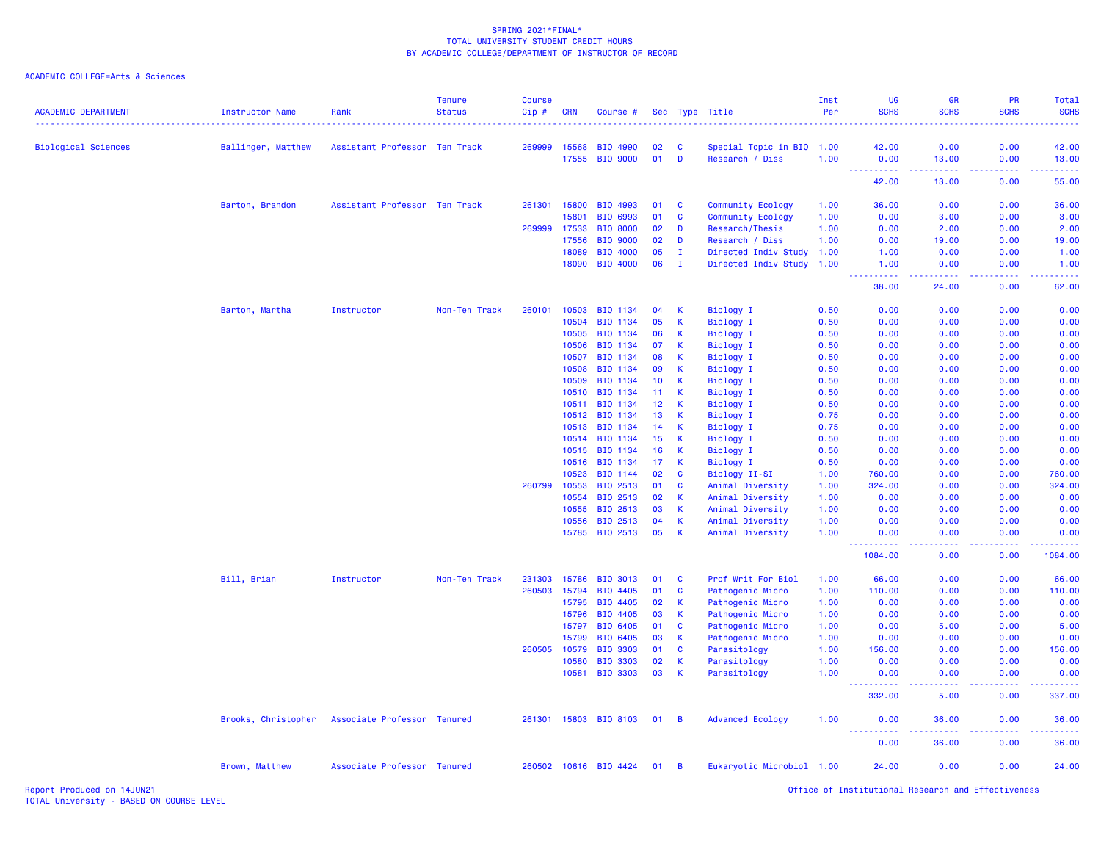### ACADEMIC COLLEGE=Arts & Sciences

| <b>ACADEMIC DEPARTMENT</b> | <b>Instructor Name</b> | Rank                          | <b>Tenure</b><br><b>Status</b> | <b>Course</b><br>Cip# | <b>CRN</b>     | Course #              |          |              | Sec Type Title                       | Inst<br>Per  | <b>UG</b><br><b>SCHS</b>    | GR<br><b>SCHS</b> | PR<br><b>SCHS</b>  | Total<br><b>SCHS</b><br>. |
|----------------------------|------------------------|-------------------------------|--------------------------------|-----------------------|----------------|-----------------------|----------|--------------|--------------------------------------|--------------|-----------------------------|-------------------|--------------------|---------------------------|
| <b>Biological Sciences</b> | Ballinger, Matthew     | Assistant Professor Ten Track |                                | 269999                | 15568          | <b>BIO 4990</b>       | 02       | C            | Special Topic in BIO 1.00            |              | 42.00                       | 0.00              | 0.00               | 42.00                     |
|                            |                        |                               |                                |                       | 17555          | BIO 9000              | 01       | D            | Research / Diss                      | 1.00         | 0.00                        | 13.00             | 0.00               | 13.00                     |
|                            |                        |                               |                                |                       |                |                       |          |              |                                      |              | $\sim$ $\sim$<br>.<br>42.00 | .<br>13.00        | بالمحامي<br>0.00   | .<br>55.00                |
|                            | Barton, Brandon        | Assistant Professor Ten Track |                                | 261301                | 15800          | BIO 4993              | 01       | <b>C</b>     | Community Ecology                    | 1.00         | 36.00                       | 0.00              | 0.00               | 36.00                     |
|                            |                        |                               |                                |                       | 15801          | BIO 6993              | 01       | C            | Community Ecology                    | 1.00         | 0.00                        | 3.00              | 0.00               | 3.00                      |
|                            |                        |                               |                                | 269999                | 17533          | <b>BIO 8000</b>       | 02       | D            | Research/Thesis                      | 1.00         | 0.00                        | 2.00              | 0.00               | 2.00                      |
|                            |                        |                               |                                |                       | 17556          | <b>BIO 9000</b>       | 02       | D            | Research / Diss                      | 1.00         | 0.00                        | 19.00             | 0.00               | 19.00                     |
|                            |                        |                               |                                |                       | 18089          | BIO 4000              | 05       | $\mathbf{I}$ | Directed Indiv Study 1.00            |              | 1.00                        | 0.00              | 0.00               | 1.00                      |
|                            |                        |                               |                                |                       | 18090          | BIO 4000              | 06       | $\mathbf{I}$ | Directed Indiv Study                 | 1.00         | 1.00<br>.<br>د د د د        | 0.00<br>22222     | 0.00<br>. <b>.</b> | 1.00<br>.                 |
|                            |                        |                               |                                |                       |                |                       |          |              |                                      |              | 38.00                       | 24.00             | 0.00               | 62.00                     |
|                            | Barton, Martha         | Instructor                    | Non-Ten Track                  | 260101                | 10503          | <b>BIO 1134</b>       | 04       | К            | Biology I                            | 0.50         | 0.00                        | 0.00              | 0.00               | 0.00                      |
|                            |                        |                               |                                |                       | 10504          | <b>BIO 1134</b>       | 05       | К            | <b>Biology I</b>                     | 0.50         | 0.00                        | 0.00              | 0.00               | 0.00                      |
|                            |                        |                               |                                |                       | 10505          | BIO 1134              | 06       | K            | <b>Biology I</b>                     | 0.50         | 0.00                        | 0.00              | 0.00               | 0.00                      |
|                            |                        |                               |                                |                       | 10506          | BIO 1134              | 07       | К            | <b>Biology I</b>                     | 0.50         | 0.00                        | 0.00              | 0.00               | 0.00                      |
|                            |                        |                               |                                |                       | 10507          | BIO 1134              | 08       | К            | <b>Biology I</b>                     | 0.50         | 0.00                        | 0.00              | 0.00               | 0.00                      |
|                            |                        |                               |                                |                       | 10508          | BIO 1134              | 09       | $\mathsf K$  | <b>Biology I</b>                     | 0.50         | 0.00                        | 0.00              | 0.00               | 0.00                      |
|                            |                        |                               |                                |                       | 10509          | BIO 1134              | 10       | K            | <b>Biology I</b>                     | 0.50         | 0.00                        | 0.00              | 0.00               | 0.00                      |
|                            |                        |                               |                                |                       | 10510          | BIO 1134              | 11       | К<br>К       | <b>Biology I</b>                     | 0.50         | 0.00                        | 0.00              | 0.00               | 0.00                      |
|                            |                        |                               |                                |                       | 10511          | BIO 1134              | 12       | $\mathsf{K}$ | <b>Biology I</b>                     | 0.50         | 0.00                        | 0.00              | 0.00               | 0.00                      |
|                            |                        |                               |                                |                       | 10512<br>10513 | BIO 1134<br>BIO 1134  | 13<br>14 | K            | <b>Biology I</b><br><b>Biology I</b> | 0.75<br>0.75 | 0.00<br>0.00                | 0.00<br>0.00      | 0.00<br>0.00       | 0.00<br>0.00              |
|                            |                        |                               |                                |                       | 10514          | BIO 1134              | 15       | K            | <b>Biology I</b>                     | 0.50         | 0.00                        | 0.00              | 0.00               | 0.00                      |
|                            |                        |                               |                                |                       | 10515          | BIO 1134              | 16       | K            | <b>Biology I</b>                     | 0.50         | 0.00                        | 0.00              | 0.00               | 0.00                      |
|                            |                        |                               |                                |                       | 10516          | BIO 1134              | 17       | K            | <b>Biology I</b>                     | 0.50         | 0.00                        | 0.00              | 0.00               | 0.00                      |
|                            |                        |                               |                                |                       | 10523          | BIO 1144              | 02       | C            | <b>Biology II-SI</b>                 | 1.00         | 760.00                      | 0.00              | 0.00               | 760.00                    |
|                            |                        |                               |                                | 260799                | 10553          | BIO 2513              | 01       | C            | Animal Diversity                     | 1.00         | 324.00                      | 0.00              | 0.00               | 324.00                    |
|                            |                        |                               |                                |                       | 10554          | BIO 2513              | 02       | $\mathsf{K}$ | Animal Diversity                     | 1.00         | 0.00                        | 0.00              | 0.00               | 0.00                      |
|                            |                        |                               |                                |                       | 10555          | BIO 2513              | 03       | $\mathsf K$  | Animal Diversity                     | 1.00         | 0.00                        | 0.00              | 0.00               | 0.00                      |
|                            |                        |                               |                                |                       | 10556          | BIO 2513              | 04       | $\mathsf K$  | Animal Diversity                     | 1.00         | 0.00                        | 0.00              | 0.00               | 0.00                      |
|                            |                        |                               |                                |                       | 15785          | BIO 2513              | 05       | $\mathsf K$  | Animal Diversity                     | 1.00         | 0.00                        | 0.00              | 0.00               | 0.00                      |
|                            |                        |                               |                                |                       |                |                       |          |              |                                      |              | .<br>1084.00                | 0.00              | 0.00               | 1084.00                   |
|                            | Bill, Brian            | Instructor                    | Non-Ten Track                  | 231303                | 15786          | BIO 3013              | 01       | C            | Prof Writ For Biol                   | 1.00         | 66.00                       | 0.00              | 0.00               | 66.00                     |
|                            |                        |                               |                                | 260503                | 15794          | BIO 4405              | 01       | $\mathbf{C}$ | Pathogenic Micro                     | 1.00         | 110.00                      | 0.00              | 0.00               | 110.00                    |
|                            |                        |                               |                                |                       | 15795          | BIO 4405              | 02       | $\mathsf{K}$ | Pathogenic Micro                     | 1.00         | 0.00                        | 0.00              | 0.00               | 0.00                      |
|                            |                        |                               |                                |                       | 15796          | BIO 4405              | 03       | $\mathsf K$  | Pathogenic Micro                     | 1.00         | 0.00                        | 0.00              | 0.00               | 0.00                      |
|                            |                        |                               |                                |                       | 15797          | BIO 6405              | 01       | $\mathbf{C}$ | Pathogenic Micro                     | 1.00         | 0.00                        | 5.00              | 0.00               | 5.00                      |
|                            |                        |                               |                                |                       | 15799          | BIO 6405              | 03       | $\mathsf K$  | Pathogenic Micro                     | 1.00         | 0.00                        | 0.00              | 0.00               | 0.00                      |
|                            |                        |                               |                                | 260505                | 10579          | BIO 3303              | 01       | C            | Parasitology                         | 1.00         | 156.00                      | 0.00              | 0.00               | 156.00                    |
|                            |                        |                               |                                |                       | 10580          | BIO 3303              | 02       | $\mathsf{K}$ | Parasitology                         | 1.00         | 0.00                        | 0.00              | 0.00               | 0.00                      |
|                            |                        |                               |                                |                       | 10581          | <b>BIO 3303</b>       | 03       | $\mathsf K$  | Parasitology                         | 1.00         | 0.00<br>-----               | 0.00<br>وعامات    | 0.00<br>وعاعات     | 0.00<br>-----             |
|                            |                        |                               |                                |                       |                |                       |          |              |                                      |              | 332.00                      | 5.00              | 0.00               | 337.00                    |
|                            | Brooks, Christopher    | Associate Professor Tenured   |                                |                       |                | 261301 15803 BIO 8103 | 01       | <b>B</b>     | <b>Advanced Ecology</b>              | 1.00         | 0.00                        | 36.00             | 0.00               | 36.00                     |
|                            |                        |                               |                                |                       |                |                       |          |              |                                      |              | 0.00                        | 36.00             | 0.00               | 36.00                     |
|                            | Brown, Matthew         | Associate Professor Tenured   |                                |                       |                | 260502 10616 BIO 4424 | 01       | B            | Eukaryotic Microbiol 1.00            |              | 24.00                       | 0.00              | 0.00               | 24.00                     |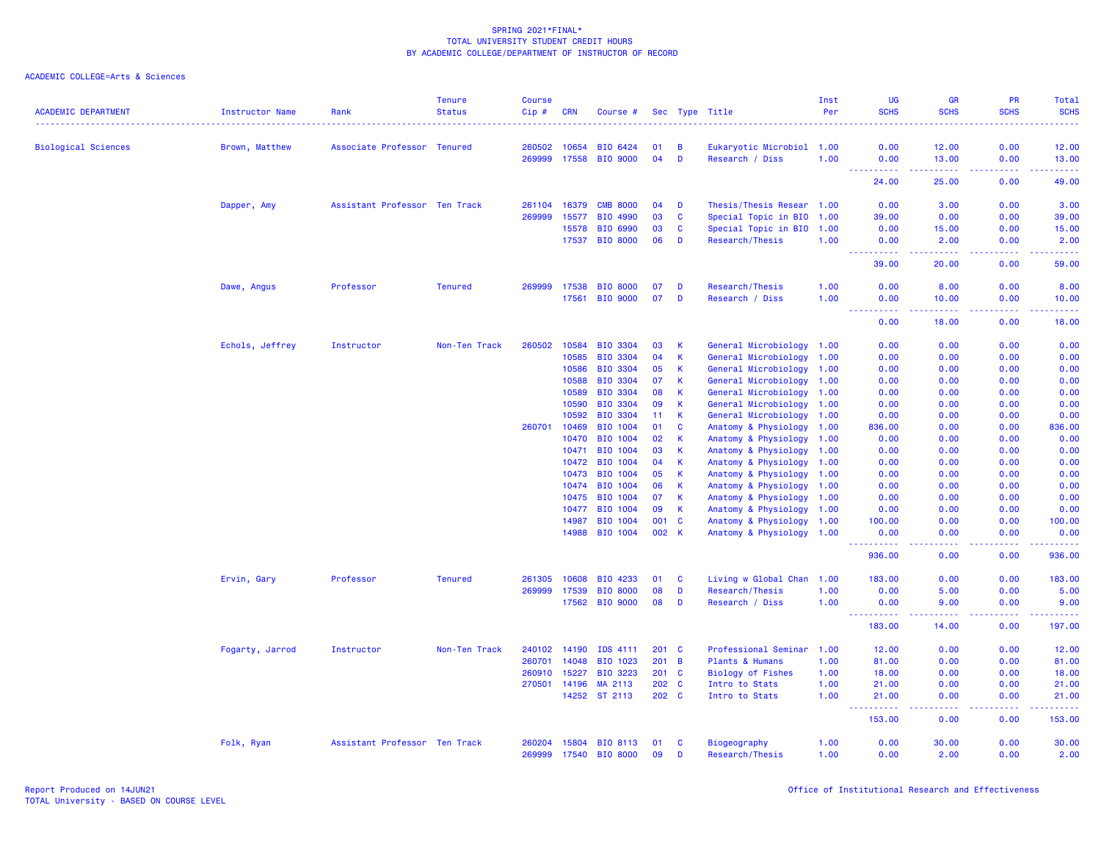|                            |                        |                               | <b>Tenure</b>  | <b>Course</b> |                |                      |          |                             |                                                   | Inst | <b>UG</b>                               | <b>GR</b>                                                                                                                                                     | <b>PR</b>        | Total               |
|----------------------------|------------------------|-------------------------------|----------------|---------------|----------------|----------------------|----------|-----------------------------|---------------------------------------------------|------|-----------------------------------------|---------------------------------------------------------------------------------------------------------------------------------------------------------------|------------------|---------------------|
| <b>ACADEMIC DEPARTMENT</b> | <b>Instructor Name</b> | Rank                          | <b>Status</b>  | Cip#<br>.     | <b>CRN</b>     | Course #             |          |                             | Sec Type Title                                    | Per  | <b>SCHS</b>                             | <b>SCHS</b>                                                                                                                                                   | <b>SCHS</b><br>. | <b>SCHS</b><br>.    |
| <b>Biological Sciences</b> | Brown, Matthew         | Associate Professor Tenured   |                | 260502        | 10654          | <b>BIO 6424</b>      | 01       | B                           | Eukaryotic Microbiol 1.00                         |      | 0.00                                    | 12.00                                                                                                                                                         | 0.00             | 12.00               |
|                            |                        |                               |                | 269999        | 17558          | <b>BIO 9000</b>      | 04       | D                           | Research / Diss                                   | 1.00 | 0.00                                    | 13.00                                                                                                                                                         | 0.00             | 13.00               |
|                            |                        |                               |                |               |                |                      |          |                             |                                                   |      | <u>.</u>                                | $\frac{1}{2} \left( \frac{1}{2} \right) \left( \frac{1}{2} \right) \left( \frac{1}{2} \right) \left( \frac{1}{2} \right) \left( \frac{1}{2} \right)$          | .                | .                   |
|                            |                        |                               |                |               |                |                      |          |                             |                                                   |      | 24.00                                   | 25.00                                                                                                                                                         | 0.00             | 49.00               |
|                            | Dapper, Amy            | Assistant Professor Ten Track |                | 261104        | 16379          | <b>CMB 8000</b>      | 04       | D                           | Thesis/Thesis Resear 1.00                         |      | 0.00                                    | 3.00                                                                                                                                                          | 0.00             | 3.00                |
|                            |                        |                               |                | 269999        | 15577          | BIO 4990             | 03       | C                           | Special Topic in BIO 1.00                         |      | 39.00                                   | 0.00                                                                                                                                                          | 0.00             | 39.00               |
|                            |                        |                               |                |               | 15578          | <b>BIO 6990</b>      | 03       | $\mathbf{C}$                | Special Topic in BIO 1.00                         |      | 0.00                                    | 15.00                                                                                                                                                         | 0.00             | 15.00               |
|                            |                        |                               |                |               | 17537          | <b>BIO 8000</b>      | 06       | D                           | Research/Thesis                                   | 1.00 | 0.00<br>.<br>$\sim 100$                 | 2.00<br>$\omega$ is a set of                                                                                                                                  | 0.00<br>.        | 2.00<br>.           |
|                            |                        |                               |                |               |                |                      |          |                             |                                                   |      | 39.00                                   | 20.00                                                                                                                                                         | 0.00             | 59.00               |
|                            | Dawe, Angus            | Professor                     | <b>Tenured</b> | 269999        | 17538          | <b>BIO 8000</b>      | 07       | D                           | Research/Thesis                                   | 1.00 | 0.00                                    | 8.00                                                                                                                                                          | 0.00             | 8.00                |
|                            |                        |                               |                |               | 17561          | <b>BIO 9000</b>      | 07       | D                           | Research / Diss                                   | 1.00 | 0.00                                    | 10.00                                                                                                                                                         | 0.00             | 10.00               |
|                            |                        |                               |                |               |                |                      |          |                             |                                                   |      | .<br>0.00                               | $\frac{1}{2} \left( \frac{1}{2} \right) \left( \frac{1}{2} \right) \left( \frac{1}{2} \right) \left( \frac{1}{2} \right) \left( \frac{1}{2} \right)$<br>18.00 | 22222<br>0.00    | .<br>18.00          |
|                            | Echols, Jeffrey        | Instructor                    | Non-Ten Track  | 260502        | 10584          | BIO 3304             | 03       | К                           | General Microbiology 1.00                         |      | 0.00                                    | 0.00                                                                                                                                                          | 0.00             | 0.00                |
|                            |                        |                               |                |               | 10585          | <b>BIO 3304</b>      | 04       | K                           | General Microbiology 1.00                         |      | 0.00                                    | 0.00                                                                                                                                                          | 0.00             | 0.00                |
|                            |                        |                               |                |               | 10586          | <b>BIO 3304</b>      | 05       | К                           | General Microbiology 1.00                         |      | 0.00                                    | 0.00                                                                                                                                                          | 0.00             | 0.00                |
|                            |                        |                               |                |               | 10588          | <b>BIO 3304</b>      | 07       | $\mathsf K$                 | General Microbiology 1.00                         |      | 0.00                                    | 0.00                                                                                                                                                          | 0.00             | 0.00                |
|                            |                        |                               |                |               | 10589          | BIO 3304             | 08       | $\mathsf K$                 | General Microbiology 1.00                         |      | 0.00                                    | 0.00                                                                                                                                                          | 0.00             | 0.00                |
|                            |                        |                               |                |               | 10590          | <b>BIO 3304</b>      | 09       | К                           | General Microbiology 1.00                         |      | 0.00                                    | 0.00                                                                                                                                                          | 0.00             | 0.00                |
|                            |                        |                               |                |               | 10592          | BIO 3304             | 11       | $\mathbf{K}$                | General Microbiology 1.00                         |      | 0.00                                    | 0.00                                                                                                                                                          | 0.00             | 0.00                |
|                            |                        |                               |                | 260701        | 10469          | <b>BIO 1004</b>      | 01       | C                           | Anatomy & Physiology 1.00                         |      | 836.00                                  | 0.00                                                                                                                                                          | 0.00             | 836.00              |
|                            |                        |                               |                |               | 10470          | <b>BIO 1004</b>      | 02       | K                           | Anatomy & Physiology 1.00                         |      | 0.00                                    | 0.00                                                                                                                                                          | 0.00             | 0.00                |
|                            |                        |                               |                |               | 10471          | <b>BIO 1004</b>      | 03       | K                           | Anatomy & Physiology 1.00                         |      | 0.00                                    | 0.00                                                                                                                                                          | 0.00             | 0.00                |
|                            |                        |                               |                |               | 10472          | BIO 1004             | 04       | $\mathsf K$                 | Anatomy & Physiology 1.00                         |      | 0.00                                    | 0.00                                                                                                                                                          | 0.00             | 0.00                |
|                            |                        |                               |                |               | 10473          | BIO 1004             | 05       | K                           | Anatomy & Physiology                              | 1.00 | 0.00                                    | 0.00                                                                                                                                                          | 0.00             | 0.00                |
|                            |                        |                               |                |               | 10474<br>10475 | BIO 1004<br>BIO 1004 | 06<br>07 | $\mathsf K$<br>$\mathsf{K}$ | Anatomy & Physiology 1.00                         |      | 0.00<br>0.00                            | 0.00<br>0.00                                                                                                                                                  | 0.00<br>0.00     | 0.00<br>0.00        |
|                            |                        |                               |                |               | 10477          | BIO 1004             | 09       | $\mathsf K$                 | Anatomy & Physiology 1.00<br>Anatomy & Physiology | 1.00 | 0.00                                    | 0.00                                                                                                                                                          | 0.00             | 0.00                |
|                            |                        |                               |                |               | 14987          | <b>BIO 1004</b>      | 001      | $\mathbf{C}$                | Anatomy & Physiology 1.00                         |      | 100.00                                  | 0.00                                                                                                                                                          | 0.00             | 100.00              |
|                            |                        |                               |                |               |                | 14988 BIO 1004       | 002 K    |                             | Anatomy & Physiology 1.00                         |      | 0.00                                    | 0.00                                                                                                                                                          | 0.00             | 0.00                |
|                            |                        |                               |                |               |                |                      |          |                             |                                                   |      | <b><i><u><u>.</u></u></i></b><br>936.00 | .<br>0.00                                                                                                                                                     | .<br>0.00        | .<br>936.00         |
|                            | Ervin, Gary            | Professor                     | <b>Tenured</b> | 261305        | 10608          | BIO 4233             | 01       | C                           | Living w Global Chan 1.00                         |      | 183.00                                  | 0.00                                                                                                                                                          | 0.00             | 183.00              |
|                            |                        |                               |                | 269999        | 17539          | <b>BIO 8000</b>      | 08       | D                           | Research/Thesis                                   | 1.00 | 0.00                                    | 5.00                                                                                                                                                          | 0.00             | 5.00                |
|                            |                        |                               |                |               | 17562          | <b>BIO 9000</b>      | 08       | D                           | Research / Diss                                   | 1.00 | 0.00                                    | 9.00                                                                                                                                                          | 0.00             | 9.00                |
|                            |                        |                               |                |               |                |                      |          |                             |                                                   |      | .<br>183.00                             | 14.00                                                                                                                                                         | ولايت<br>0.00    | المتمامين<br>197.00 |
|                            | Fogarty, Jarrod        | Instructor                    | Non-Ten Track  | 240102        | 14190          | IDS 4111             | 201 C    |                             | Professional Seminar                              | 1.00 | 12.00                                   | 0.00                                                                                                                                                          | 0.00             | 12.00               |
|                            |                        |                               |                | 260701        | 14048          | BIO 1023             | 201      | $\overline{B}$              | Plants & Humans                                   | 1.00 | 81.00                                   | 0.00                                                                                                                                                          | 0.00             | 81.00               |
|                            |                        |                               |                | 260910        | 15227          | BIO 3223             | $201$ C  |                             | <b>Biology of Fishes</b>                          | 1.00 | 18.00                                   | 0.00                                                                                                                                                          | 0.00             | 18.00               |
|                            |                        |                               |                | 270501        | 14196          | MA 2113              | 202 C    |                             | Intro to Stats                                    | 1.00 | 21.00                                   | 0.00                                                                                                                                                          | 0.00             | 21.00               |
|                            |                        |                               |                |               | 14252          | ST 2113              | 202 C    |                             | Intro to Stats                                    | 1.00 | 21.00                                   | 0.00                                                                                                                                                          | 0.00             | 21,00               |
|                            |                        |                               |                |               |                |                      |          |                             |                                                   |      | $\omega_{\rm{max}}$<br>153.00           | بالأباد<br>0.00                                                                                                                                               | .<br>0.00        | .<br>153.00         |
|                            | Folk, Ryan             | Assistant Professor Ten Track |                | 260204        |                | 15804 BIO 8113       | 01       | C                           | Biogeography                                      | 1.00 | 0.00                                    | 30.00                                                                                                                                                         | 0.00             | 30.00               |
|                            |                        |                               |                | 269999        | 17540          | <b>BIO 8000</b>      | 09       | Ð                           | Research/Thesis                                   | 1.00 | 0.00                                    | 2.00                                                                                                                                                          | 0.00             | 2.00                |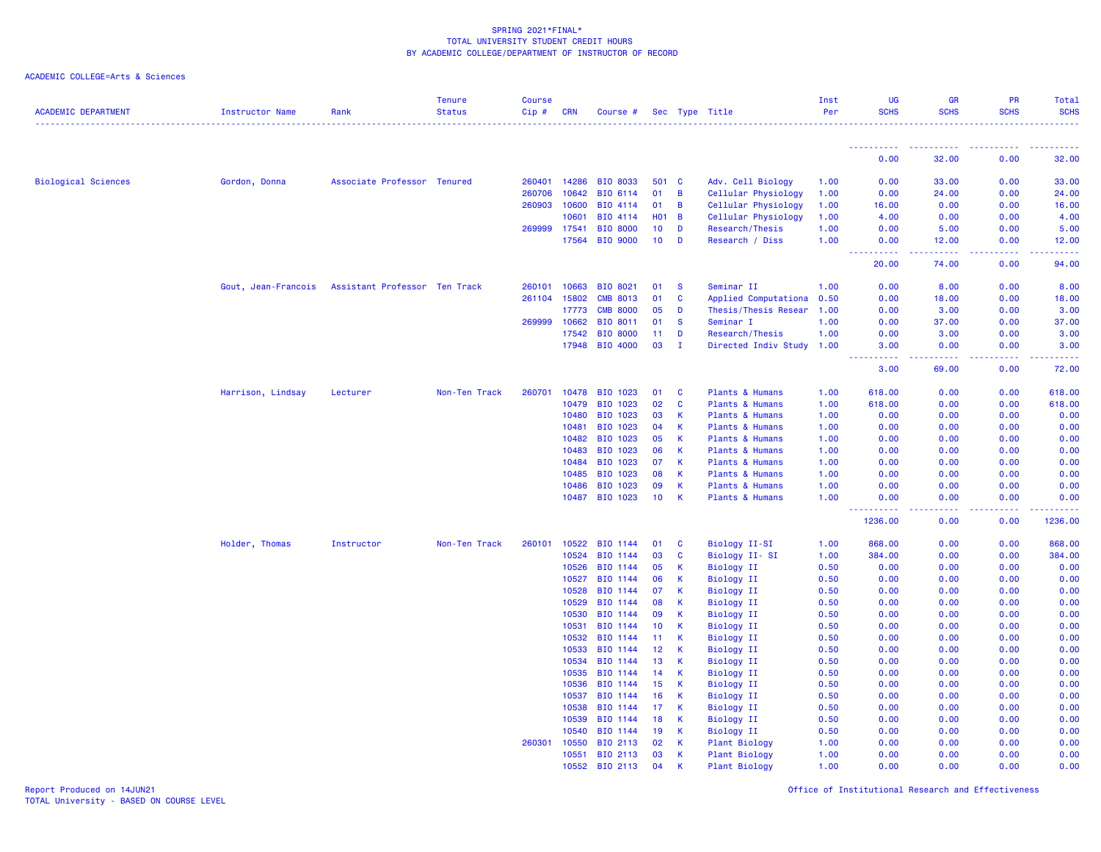| <b>ACADEMIC DEPARTMENT</b> | <b>Instructor Name</b> | Rank                          | Tenure<br><b>Status</b> | <b>Course</b><br>$Cip$ # | <b>CRN</b>     | Course #             |                 |              | Sec Type Title                  | Inst<br>Per  | <b>UG</b><br><b>SCHS</b>                                                     | <b>GR</b><br><b>SCHS</b>                                                                                                                                      | PR<br><b>SCHS</b> | Total<br><b>SCHS</b> |
|----------------------------|------------------------|-------------------------------|-------------------------|--------------------------|----------------|----------------------|-----------------|--------------|---------------------------------|--------------|------------------------------------------------------------------------------|---------------------------------------------------------------------------------------------------------------------------------------------------------------|-------------------|----------------------|
|                            |                        |                               |                         |                          |                |                      |                 |              |                                 |              | ----------                                                                   |                                                                                                                                                               |                   |                      |
|                            |                        |                               |                         |                          |                |                      |                 |              |                                 |              | 0.00                                                                         | 32.00                                                                                                                                                         | 0.00              | 32.00                |
| <b>Biological Sciences</b> | Gordon, Donna          | Associate Professor Tenured   |                         | 260401                   | 14286          | BIO 8033             | 501             | <b>C</b>     | Adv. Cell Biology               | 1.00         | 0.00                                                                         | 33.00                                                                                                                                                         | 0.00              | 33.00                |
|                            |                        |                               |                         | 260706                   | 10642          | BIO 6114             | 01              | B            | Cellular Physiology             | 1.00         | 0.00                                                                         | 24.00                                                                                                                                                         | 0.00              | 24.00                |
|                            |                        |                               |                         | 260903                   | 10600          | BIO 4114             | 01              | B            | Cellular Physiology             | 1.00         | 16.00                                                                        | 0.00                                                                                                                                                          | 0.00              | 16.00                |
|                            |                        |                               |                         |                          | 10601          | BIO 4114             | <b>HO1</b>      | B            | Cellular Physiology             | 1.00         | 4.00                                                                         | 0.00                                                                                                                                                          | 0.00              | 4.00                 |
|                            |                        |                               |                         |                          | 269999 17541   | <b>BIO 8000</b>      | 10 <sub>1</sub> | D            | <b>Research/Thesis</b>          | 1.00         | 0.00                                                                         | 5.00                                                                                                                                                          | 0.00              | 5.00                 |
|                            |                        |                               |                         |                          | 17564          | <b>BIO 9000</b>      | 10 <sub>1</sub> | D            | Research / Diss                 | 1.00         | 0.00                                                                         | 12.00                                                                                                                                                         | 0.00              | 12.00                |
|                            |                        |                               |                         |                          |                |                      |                 |              |                                 |              | د د د د د<br>$\frac{1}{2} \left( \frac{1}{2} + \frac{1}{2} \right)$<br>20.00 | $\frac{1}{2} \left( \frac{1}{2} \right) \left( \frac{1}{2} \right) \left( \frac{1}{2} \right) \left( \frac{1}{2} \right) \left( \frac{1}{2} \right)$<br>74.00 | .<br>0.00         | .<br>94.00           |
|                            | Gout, Jean-Francois    | Assistant Professor Ten Track |                         | 260101                   | 10663          | BIO 8021             | 01              | -S           | Seminar II                      | 1.00         | 0.00                                                                         | 8.00                                                                                                                                                          | 0.00              | 8.00                 |
|                            |                        |                               |                         | 261104                   | 15802          | <b>CMB 8013</b>      | 01              | $\mathbf{C}$ | Applied Computationa            | 0.50         | 0.00                                                                         | 18.00                                                                                                                                                         | 0.00              | 18.00                |
|                            |                        |                               |                         |                          | 17773          | <b>CMB 8000</b>      | 05              | D            | Thesis/Thesis Resear            | 1.00         | 0.00                                                                         | 3.00                                                                                                                                                          | 0.00              | 3.00                 |
|                            |                        |                               |                         |                          | 269999 10662   | BIO 8011             | 01              | <b>S</b>     | Seminar I                       | 1.00         | 0.00                                                                         | 37.00                                                                                                                                                         | 0.00              | 37.00                |
|                            |                        |                               |                         |                          | 17542          | <b>BIO 8000</b>      | 11              | D            | Research/Thesis                 | 1.00         | 0.00                                                                         | 3.00                                                                                                                                                          | 0.00              | 3.00                 |
|                            |                        |                               |                         |                          | 17948          | BIO 4000             | 03              | $\mathbf I$  | Directed Indiv Study 1.00       |              | 3.00<br>$\sim 1000$                                                          | 0.00                                                                                                                                                          | 0.00              | 3.00                 |
|                            |                        |                               |                         |                          |                |                      |                 |              |                                 |              | 3.00                                                                         | 69.00                                                                                                                                                         | 0.00              | 72.00                |
|                            | Harrison, Lindsay      | Lecturer                      | Non-Ten Track           | 260701                   | 10478          | BIO 1023             | 01              | C            | Plants & Humans                 | 1.00         | 618.00                                                                       | 0.00                                                                                                                                                          | 0.00              | 618.00               |
|                            |                        |                               |                         |                          | 10479          | BIO 1023             | 02              | <b>C</b>     | Plants & Humans                 | 1.00         | 618.00                                                                       | 0.00                                                                                                                                                          | 0.00              | 618.00               |
|                            |                        |                               |                         |                          | 10480          | BIO 1023             | 03              | K            | Plants & Humans                 | 1.00         | 0.00                                                                         | 0.00                                                                                                                                                          | 0.00              | 0.00                 |
|                            |                        |                               |                         |                          | 10481          | BIO 1023             | 04              | К            | Plants & Humans                 | 1.00         | 0.00                                                                         | 0.00                                                                                                                                                          | 0.00              | 0.00                 |
|                            |                        |                               |                         |                          | 10482          | BIO 1023             | 05              | К            | Plants & Humans                 | 1.00         | 0.00                                                                         | 0.00                                                                                                                                                          | 0.00              | 0.00                 |
|                            |                        |                               |                         |                          | 10483          | BIO 1023             | 06              | К            | Plants & Humans                 | 1.00         | 0.00                                                                         | 0.00                                                                                                                                                          | 0.00              | 0.00                 |
|                            |                        |                               |                         |                          | 10484          | BIO 1023             | 07              | K            | Plants & Humans                 | 1.00         | 0.00                                                                         | 0.00                                                                                                                                                          | 0.00              | 0.00                 |
|                            |                        |                               |                         |                          | 10485          | BIO 1023             | 08              | K            | Plants & Humans                 | 1.00         | 0.00                                                                         | 0.00                                                                                                                                                          | 0.00              | 0.00                 |
|                            |                        |                               |                         |                          | 10486          | BIO 1023             | 09              | K            | Plants & Humans                 | 1.00         | 0.00                                                                         | 0.00                                                                                                                                                          | 0.00              | 0.00                 |
|                            |                        |                               |                         |                          | 10487          | BIO 1023             | 10 <sub>1</sub> | К            | Plants & Humans                 | 1.00         | 0.00<br>.                                                                    | 0.00<br>$\sim$ $\sim$ $\sim$                                                                                                                                  | 0.00<br>.         | 0.00                 |
|                            |                        |                               |                         |                          |                |                      |                 |              |                                 |              | 1236.00                                                                      | 0.00                                                                                                                                                          | 0.00              | 1236.00              |
|                            | Holder, Thomas         | Instructor                    | Non-Ten Track           | 260101                   | 10522          | BIO 1144             | 01              | <b>C</b>     | Biology II-SI                   | 1.00         | 868,00                                                                       | 0.00                                                                                                                                                          | 0.00              | 868.00               |
|                            |                        |                               |                         |                          | 10524          | BIO 1144             | 03              | C            | Biology II-SI                   | 1.00         | 384.00                                                                       | 0.00                                                                                                                                                          | 0.00              | 384.00               |
|                            |                        |                               |                         |                          | 10526          | BIO 1144             | 05              | К            | <b>Biology II</b>               | 0.50         | 0.00                                                                         | 0.00                                                                                                                                                          | 0.00              | 0.00                 |
|                            |                        |                               |                         |                          | 10527          | BIO 1144             | 06              | К            | <b>Biology II</b>               | 0.50         | 0.00                                                                         | 0.00                                                                                                                                                          | 0.00              | 0.00                 |
|                            |                        |                               |                         |                          | 10528          | BIO 1144             | 07              | K            | <b>Biology II</b>               | 0.50         | 0.00                                                                         | 0.00                                                                                                                                                          | 0.00              | 0.00                 |
|                            |                        |                               |                         |                          | 10529          | BIO 1144             | 08              | К            | Biology II                      | 0.50         | 0.00                                                                         | 0.00                                                                                                                                                          | 0.00              | 0.00                 |
|                            |                        |                               |                         |                          | 10530          | BIO 1144             | 09              | К            | Biology II                      | 0.50         | 0.00                                                                         | 0.00                                                                                                                                                          | 0.00              | 0.00                 |
|                            |                        |                               |                         |                          | 10531          | BIO 1144             | 10              | к            | Biology II                      | 0.50         | 0.00                                                                         | 0.00                                                                                                                                                          | 0.00              | 0.00                 |
|                            |                        |                               |                         |                          | 10532          | BIO 1144             | 11              | K            | <b>Biology II</b>               | 0.50         | 0.00                                                                         | 0.00                                                                                                                                                          | 0.00              | 0.00                 |
|                            |                        |                               |                         |                          | 10533          | BIO 1144             | 12 <sub>2</sub> | K            | <b>Biology II</b>               | 0.50         | 0.00                                                                         | 0.00                                                                                                                                                          | 0.00              | 0.00                 |
|                            |                        |                               |                         |                          | 10534          | BIO 1144             | 13              | К            | <b>Biology II</b>               | 0.50         | 0.00                                                                         | 0.00                                                                                                                                                          | 0.00              | 0.00                 |
|                            |                        |                               |                         |                          | 10535<br>10536 | BIO 1144<br>BIO 1144 | 14<br>15        | К<br>К       | <b>Biology II</b>               | 0.50<br>0.50 | 0.00<br>0.00                                                                 | 0.00<br>0.00                                                                                                                                                  | 0.00<br>0.00      | 0.00<br>0.00         |
|                            |                        |                               |                         |                          | 10537          | BIO 1144             | 16              | К            | Biology II<br><b>Biology II</b> | 0.50         | 0.00                                                                         | 0.00                                                                                                                                                          | 0.00              | 0.00                 |
|                            |                        |                               |                         |                          | 10538          | BIO 1144             | 17              | К            | <b>Biology II</b>               | 0.50         | 0.00                                                                         | 0.00                                                                                                                                                          | 0.00              | 0.00                 |
|                            |                        |                               |                         |                          | 10539          | BIO 1144             | 18              | K            | <b>Biology II</b>               | 0.50         | 0.00                                                                         | 0.00                                                                                                                                                          | 0.00              | 0.00                 |
|                            |                        |                               |                         |                          | 10540          | BIO 1144             | 19              | К            | <b>Biology II</b>               | 0.50         | 0.00                                                                         | 0.00                                                                                                                                                          | 0.00              | 0.00                 |
|                            |                        |                               |                         | 260301                   | 10550          | BIO 2113             | 02              | к            | <b>Plant Biology</b>            | 1.00         | 0.00                                                                         | 0.00                                                                                                                                                          | 0.00              | 0.00                 |
|                            |                        |                               |                         |                          | 10551          | BIO 2113             | 03              | к            | Plant Biology                   | 1.00         | 0.00                                                                         | 0.00                                                                                                                                                          | 0.00              | 0.00                 |
|                            |                        |                               |                         |                          | 10552          | BIO 2113             | 04              | K            | <b>Plant Biology</b>            | 1.00         | 0.00                                                                         | 0.00                                                                                                                                                          | 0.00              | 0.00                 |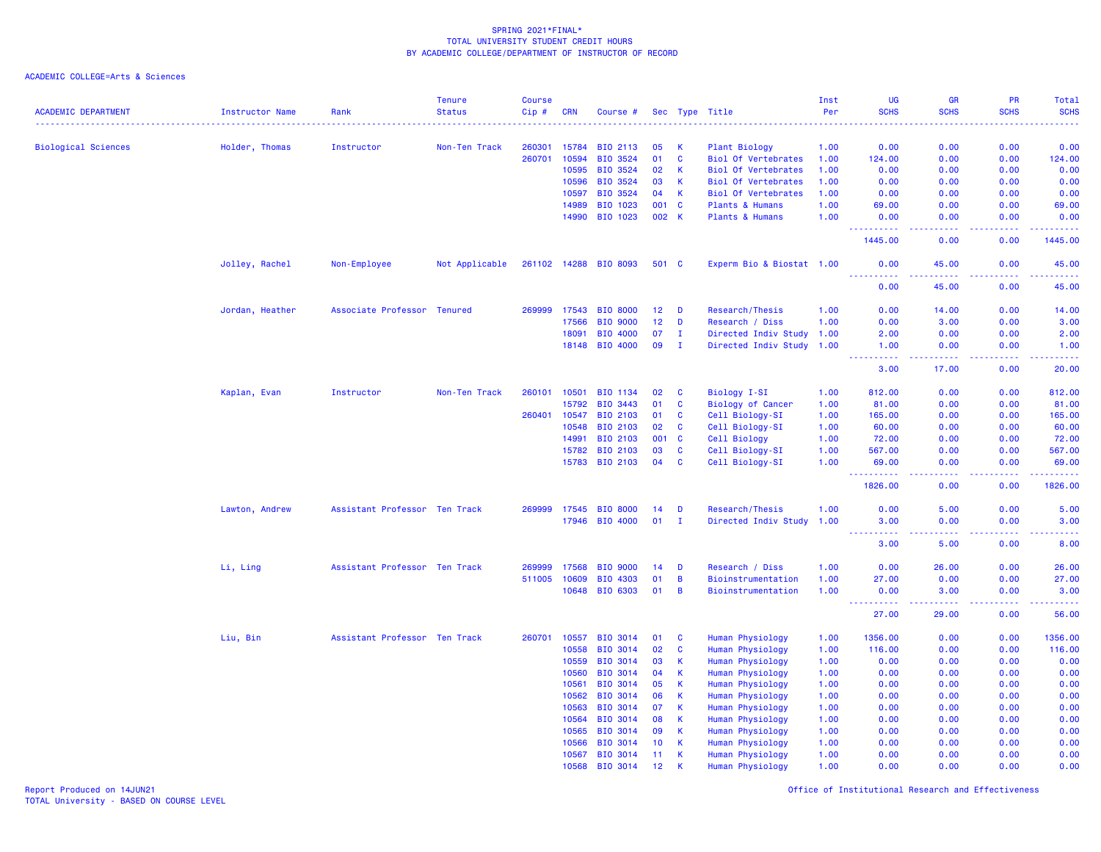ACADEMIC COLLEGE=Arts & Sciences

|                            |                 |                               | <b>Tenure</b>  | <b>Course</b> |                |                      |          |                     |                                          | Inst         | UG                                     | GR           | PR                                  | Total                                                                                                                             |
|----------------------------|-----------------|-------------------------------|----------------|---------------|----------------|----------------------|----------|---------------------|------------------------------------------|--------------|----------------------------------------|--------------|-------------------------------------|-----------------------------------------------------------------------------------------------------------------------------------|
| <b>ACADEMIC DEPARTMENT</b> | Instructor Name | Rank                          | <b>Status</b>  | Cip#          | <b>CRN</b>     | Course #             |          |                     | Sec Type Title                           | Per          | <b>SCHS</b>                            | <b>SCHS</b>  | <b>SCHS</b>                         | <b>SCHS</b>                                                                                                                       |
| <b>Biological Sciences</b> | Holder, Thomas  | Instructor                    | Non-Ten Track  | 260301        | 15784          | BIO 2113             | 05       | <b>K</b>            | Plant Biology                            | 1.00         | 0.00                                   | 0.00         | 0.00                                | 0.00                                                                                                                              |
|                            |                 |                               |                | 260701        | 10594          | BIO 3524             | 01       | $\mathbf{C}$        | <b>Biol Of Vertebrates</b>               | 1.00         | 124.00                                 | 0.00         | 0.00                                | 124.00                                                                                                                            |
|                            |                 |                               |                |               | 10595          | BIO 3524             | 02       | $\mathsf{K}$        | <b>Biol Of Vertebrates</b>               | 1.00         | 0.00                                   | 0.00         | 0.00                                | 0.00                                                                                                                              |
|                            |                 |                               |                |               | 10596          | BIO 3524             | 03       | $\mathsf{K}$        | <b>Biol Of Vertebrates</b>               | 1.00         | 0.00                                   | 0.00         | 0.00                                | 0.00                                                                                                                              |
|                            |                 |                               |                |               | 10597          | BIO 3524             | 04       | $\mathsf{K}$        | <b>Biol Of Vertebrates</b>               | 1.00         | 0.00                                   | 0.00         | 0.00                                | 0.00                                                                                                                              |
|                            |                 |                               |                |               | 14989          | BIO 1023             | 001      | $\mathbf{C}$        | Plants & Humans                          | 1.00         | 69.00                                  | 0.00         | 0.00                                | 69.00                                                                                                                             |
|                            |                 |                               |                |               | 14990          | BIO 1023             | 002 K    |                     | Plants & Humans                          | 1.00         | 0.00                                   | 0.00         | 0.00                                | 0.00                                                                                                                              |
|                            |                 |                               |                |               |                |                      |          |                     |                                          |              | <u> - - - - - - - - - -</u><br>1445.00 | .<br>0.00    | .<br>0.00                           | لأعام ماعاما<br>1445.00                                                                                                           |
|                            | Jolley, Rachel  | Non-Employee                  | Not Applicable |               | 261102 14288   | <b>BIO 8093</b>      | 501 C    |                     | Experm Bio & Biostat 1.00                |              | 0.00                                   | 45.00        | 0.00                                | 45.00                                                                                                                             |
|                            |                 |                               |                |               |                |                      |          |                     |                                          |              | 0.00                                   | 45.00        | $\sim$ $\sim$ $\sim$ $\sim$<br>0.00 | 45.00                                                                                                                             |
|                            | Jordan, Heather | Associate Professor Tenured   |                | 269999        | 17543          | <b>BIO 8000</b>      | 12       | D                   | Research/Thesis                          | 1.00         | 0.00                                   | 14.00        | 0.00                                | 14.00                                                                                                                             |
|                            |                 |                               |                |               | 17566          | BIO 9000             | 12       | D                   | Research / Diss                          | 1.00         | 0.00                                   | 3.00         | 0.00                                | 3.00                                                                                                                              |
|                            |                 |                               |                |               | 18091          | <b>BIO 4000</b>      | 07       | л.                  | Directed Indiv Study 1.00                |              | 2.00                                   | 0.00         | 0.00                                | 2.00                                                                                                                              |
|                            |                 |                               |                |               | 18148          | BIO 4000             | 09       | I.                  | Directed Indiv Study                     |              |                                        | 0.00         | 0.00                                | 1.00                                                                                                                              |
|                            |                 |                               |                |               |                |                      |          |                     |                                          | 1.00         | 1.00<br><u> - - - - - - - - - -</u>    | .            | .                                   | .                                                                                                                                 |
|                            |                 |                               |                |               |                |                      |          |                     |                                          |              | 3.00                                   | 17.00        | 0.00                                | 20.00                                                                                                                             |
|                            | Kaplan, Evan    | Instructor                    | Non-Ten Track  | 260101        | 10501          | BIO 1134             | 02       | <b>C</b>            | Biology I-SI                             | 1.00         | 812.00                                 | 0.00         | 0.00                                | 812.00                                                                                                                            |
|                            |                 |                               |                |               | 15792          | BIO 3443             | 01       | C                   | <b>Biology of Cancer</b>                 | 1.00         | 81.00                                  | 0.00         | 0.00                                | 81.00                                                                                                                             |
|                            |                 |                               |                | 260401        | 10547          | BIO 2103             | 01       | C                   | Cell Biology-SI                          | 1.00         | 165.00                                 | 0.00         | 0.00                                | 165.00                                                                                                                            |
|                            |                 |                               |                |               | 10548          | BIO 2103             | 02       | C                   | Cell Biology-SI                          | 1.00         | 60.00                                  | 0.00         | 0.00                                | 60.00                                                                                                                             |
|                            |                 |                               |                |               | 14991          | BIO 2103             | 001      | <b>C</b>            | Cell Biology                             | 1.00         | 72.00                                  | 0.00         | 0.00                                | 72.00                                                                                                                             |
|                            |                 |                               |                |               | 15782          | BIO 2103             | 03       | <b>C</b>            | Cell Biology-SI                          | 1.00         | 567.00                                 | 0.00         | 0.00                                | 567.00                                                                                                                            |
|                            |                 |                               |                |               | 15783          | BIO 2103             | 04       | $\mathbf{C}$        | Cell Biology-SI                          | 1.00         | 69.00                                  | 0.00         | 0.00                                | 69.00                                                                                                                             |
|                            |                 |                               |                |               |                |                      |          |                     |                                          |              | <u>.</u><br>1826.00                    | .<br>0.00    | . <b>.</b><br>0.00                  | .<br>1826.00                                                                                                                      |
|                            | Lawton, Andrew  | Assistant Professor Ten Track |                | 269999        | 17545          | <b>BIO 8000</b>      | 14       | D                   | Research/Thesis                          | 1.00         | 0.00                                   | 5.00         | 0.00                                | 5.00                                                                                                                              |
|                            |                 |                               |                |               | 17946          | BIO 4000             | 01       | $\mathbf{I}$        | Directed Indiv Study                     | 1.00         | 3.00                                   | 0.00         | 0.00                                | 3.00                                                                                                                              |
|                            |                 |                               |                |               |                |                      |          |                     |                                          |              | 22222<br>3.00                          | .<br>5.00    | .<br>0.00                           | $\frac{1}{2} \left( \frac{1}{2} \right) \left( \frac{1}{2} \right) \left( \frac{1}{2} \right) \left( \frac{1}{2} \right)$<br>8.00 |
|                            |                 |                               |                |               |                |                      |          |                     |                                          |              |                                        |              |                                     |                                                                                                                                   |
|                            | Li, Ling        | Assistant Professor Ten Track |                | 269999        | 17568          | <b>BIO 9000</b>      | 14       | D                   | Research / Diss                          | 1.00         | 0.00                                   | 26.00        | 0.00                                | 26.00                                                                                                                             |
|                            |                 |                               |                | 511005        | 10609<br>10648 | BIO 4303<br>BIO 6303 | 01<br>01 | B<br>$\overline{B}$ | Bioinstrumentation<br>Bioinstrumentation | 1.00<br>1.00 | 27.00<br>0.00                          | 0.00<br>3.00 | 0.00<br>0.00                        | 27.00<br>3.00                                                                                                                     |
|                            |                 |                               |                |               |                |                      |          |                     |                                          |              | .                                      |              |                                     | المتمامين                                                                                                                         |
|                            |                 |                               |                |               |                |                      |          |                     |                                          |              | 27.00                                  | 29.00        | 0.00                                | 56.00                                                                                                                             |
|                            | Liu, Bin        | Assistant Professor Ten Track |                | 260701        | 10557          | BIO 3014             | 01       | <b>C</b>            | Human Physiology                         | 1.00         | 1356.00                                | 0.00         | 0.00                                | 1356.00                                                                                                                           |
|                            |                 |                               |                |               | 10558          | BIO 3014             | 02       | $\mathbf{C}$        | Human Physiology                         | 1.00         | 116.00                                 | 0.00         | 0.00                                | 116.00                                                                                                                            |
|                            |                 |                               |                |               | 10559          | BIO 3014             | 03       | $\mathsf{K}$        | Human Physiology                         | 1.00         | 0.00                                   | 0.00         | 0.00                                | 0.00                                                                                                                              |
|                            |                 |                               |                |               | 10560          | BIO 3014             | 04       | -K                  | Human Physiology                         | 1.00         | 0.00                                   | 0.00         | 0.00                                | 0.00                                                                                                                              |
|                            |                 |                               |                |               | 10561          | BIO 3014             | 05       | $\mathbf{K}$        | Human Physiology                         | 1.00         | 0.00                                   | 0.00         | 0.00                                | 0.00                                                                                                                              |
|                            |                 |                               |                |               | 10562          | BIO 3014             | 06       | $\mathsf{K}$        | Human Physiology                         | 1.00         | 0.00                                   | 0.00         | 0.00                                | 0.00                                                                                                                              |
|                            |                 |                               |                |               | 10563          | BIO 3014             | 07       | K                   | Human Physiology                         | 1.00         | 0.00                                   | 0.00         | 0.00                                | 0.00                                                                                                                              |
|                            |                 |                               |                |               | 10564          | BIO 3014             | 08       | K                   | Human Physiology                         | 1.00         | 0.00                                   | 0.00         | 0.00                                | 0.00                                                                                                                              |
|                            |                 |                               |                |               | 10565          | <b>BIO 3014</b>      | 09       | $\mathsf{K}$        | Human Physiology                         | 1.00         | 0.00                                   | 0.00         | 0.00                                | 0.00                                                                                                                              |
|                            |                 |                               |                |               | 10566          | BIO 3014             | 10       | $\mathsf{K}$        | Human Physiology                         | 1.00         | 0.00                                   | 0.00         | 0.00                                | 0.00                                                                                                                              |
|                            |                 |                               |                |               | 10567          | BIO 3014             | 11       | K                   | Human Physiology                         | 1.00         | 0.00                                   | 0.00         | 0.00                                | 0.00                                                                                                                              |
|                            |                 |                               |                |               | 10568          | BIO 3014             | 12       | K                   | Human Physiology                         | 1.00         | 0.00                                   | 0.00         | 0.00                                | 0.00                                                                                                                              |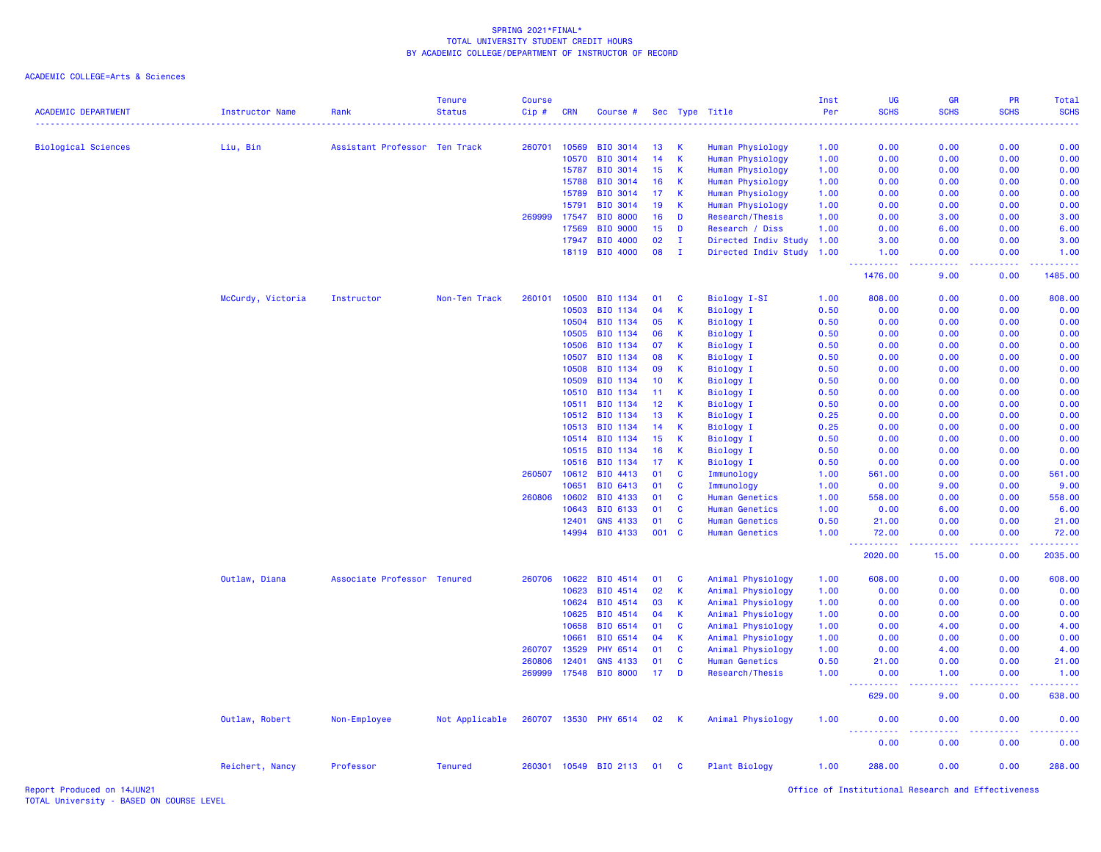ACADEMIC COLLEGE=Arts & Sciences

| <b>ACADEMIC DEPARTMENT</b> | <b>Instructor Name</b> | Rank                          | <b>Tenure</b><br><b>Status</b> | <b>Course</b><br>Cip# | <b>CRN</b> | Course #              |                 |              | Sec Type Title        | Inst<br>Per<br>. | UG<br><b>SCHS</b>                                             | GR<br><b>SCHS</b>           | PR<br><b>SCHS</b> | <b>Total</b><br><b>SCHS</b><br>الدائدات |
|----------------------------|------------------------|-------------------------------|--------------------------------|-----------------------|------------|-----------------------|-----------------|--------------|-----------------------|------------------|---------------------------------------------------------------|-----------------------------|-------------------|-----------------------------------------|
| <b>Biological Sciences</b> | Liu, Bin               | Assistant Professor Ten Track |                                | 260701                | 10569      | <b>BIO 3014</b>       | 13              | <b>K</b>     | Human Physiology      | 1.00             | 0.00                                                          | 0.00                        | 0.00              | 0.00                                    |
|                            |                        |                               |                                |                       | 10570      | BIO 3014              | 14              | <b>K</b>     | Human Physiology      | 1.00             | 0.00                                                          | 0.00                        | 0.00              | 0.00                                    |
|                            |                        |                               |                                |                       | 15787      | BIO 3014              | 15              | <b>K</b>     | Human Physiology      | 1.00             | 0.00                                                          | 0.00                        | 0.00              | 0.00                                    |
|                            |                        |                               |                                |                       | 15788      | BIO 3014              | 16              | $\mathsf K$  | Human Physiology      | 1.00             | 0.00                                                          | 0.00                        | 0.00              | 0.00                                    |
|                            |                        |                               |                                |                       | 15789      | BIO 3014              | 17              | К            | Human Physiology      | 1.00             | 0.00                                                          | 0.00                        | 0.00              | 0.00                                    |
|                            |                        |                               |                                |                       | 15791      | <b>BIO 3014</b>       | 19              | $\mathbf{K}$ | Human Physiology      | 1.00             | 0.00                                                          | 0.00                        | 0.00              | 0.00                                    |
|                            |                        |                               |                                | 269999                | 17547      | <b>BIO 8000</b>       | 16              | D            | Research/Thesis       | 1.00             | 0.00                                                          | 3.00                        | 0.00              | 3.00                                    |
|                            |                        |                               |                                |                       | 17569      | <b>BIO 9000</b>       | 15              | D            | Research / Diss       | 1.00             | 0.00                                                          | 6.00                        | 0.00              | 6.00                                    |
|                            |                        |                               |                                |                       | 17947      | BIO 4000              | 02              | $\mathbf{I}$ | Directed Indiv Study  | 1.00             | 3.00                                                          | 0.00                        | 0.00              | 3.00                                    |
|                            |                        |                               |                                |                       |            | 18119 BIO 4000        | 08              | $\mathbf{I}$ | Directed Indiv Study  | 1.00             | 1.00                                                          | 0.00                        | 0.00              | 1.00                                    |
|                            |                        |                               |                                |                       |            |                       |                 |              |                       |                  | 1476.00                                                       | 9.00                        | 0.00              | 1485.00                                 |
|                            | McCurdy, Victoria      | Instructor                    | Non-Ten Track                  | 260101                | 10500      | <b>BIO 1134</b>       | 01              | <b>C</b>     | Biology I-SI          | 1.00             | 808.00                                                        | 0.00                        | 0.00              | 808.00                                  |
|                            |                        |                               |                                |                       | 10503      | BIO 1134              | 04              | K            | <b>Biology I</b>      | 0.50             | 0.00                                                          | 0.00                        | 0.00              | 0.00                                    |
|                            |                        |                               |                                |                       | 10504      | BIO 1134              | 05              | K            | <b>Biology I</b>      | 0.50             | 0.00                                                          | 0.00                        | 0.00              | 0.00                                    |
|                            |                        |                               |                                |                       | 10505      | BIO 1134              | 06              | $\mathsf{K}$ | <b>Biology I</b>      | 0.50             | 0.00                                                          | 0.00                        | 0.00              | 0.00                                    |
|                            |                        |                               |                                |                       | 10506      | BIO 1134              | 07              | K            | Biology I             | 0.50             | 0.00                                                          | 0.00                        | 0.00              | 0.00                                    |
|                            |                        |                               |                                |                       | 10507      | BIO 1134              | 08              | K            | <b>Biology I</b>      | 0.50             | 0.00                                                          | 0.00                        | 0.00              | 0.00                                    |
|                            |                        |                               |                                |                       | 10508      | BIO 1134              | 09              | K            | Biology I             | 0.50             | 0.00                                                          | 0.00                        | 0.00              | 0.00                                    |
|                            |                        |                               |                                |                       | 10509      | <b>BIO 1134</b>       | 10 <sub>1</sub> | К            | <b>Biology I</b>      | 0.50             | 0.00                                                          | 0.00                        | 0.00              | 0.00                                    |
|                            |                        |                               |                                |                       | 10510      | BIO 1134              | 11              | K            | Biology I             | 0.50             | 0.00                                                          | 0.00                        | 0.00              | 0.00                                    |
|                            |                        |                               |                                |                       | 10511      | BIO 1134              | 12              | K            | <b>Biology I</b>      | 0.50             | 0.00                                                          | 0.00                        | 0.00              | 0.00                                    |
|                            |                        |                               |                                |                       | 10512      | BIO 1134              | 13              | K            | <b>Biology I</b>      | 0.25             | 0.00                                                          | 0.00                        | 0.00              | 0.00                                    |
|                            |                        |                               |                                |                       | 10513      | BIO 1134              | 14              | K            | <b>Biology I</b>      | 0.25             | 0.00                                                          | 0.00                        | 0.00              | 0.00                                    |
|                            |                        |                               |                                |                       | 10514      | BIO 1134              | 15              | K            | <b>Biology I</b>      | 0.50             | 0.00                                                          | 0.00                        | 0.00              | 0.00                                    |
|                            |                        |                               |                                |                       | 10515      | BIO 1134              | 16              | K            | <b>Biology I</b>      | 0.50             | 0.00                                                          | 0.00                        | 0.00              | 0.00                                    |
|                            |                        |                               |                                |                       | 10516      | <b>BIO 1134</b>       | 17              | K            | Biology I             | 0.50             | 0.00                                                          | 0.00                        | 0.00              | 0.00                                    |
|                            |                        |                               |                                | 260507                | 10612      | BIO 4413              | 01              | <b>C</b>     | Immunology            | 1.00             | 561.00                                                        | 0.00                        | 0.00              | 561.00                                  |
|                            |                        |                               |                                |                       | 10651      | BIO 6413              | 01              | <b>C</b>     | Immunology            | 1.00             | 0.00                                                          | 9.00                        | 0.00              | 9.00                                    |
|                            |                        |                               |                                | 260806                | 10602      | BIO 4133              | 01              | C            | <b>Human Genetics</b> | 1.00             | 558.00                                                        | 0.00                        | 0.00              | 558.00                                  |
|                            |                        |                               |                                |                       | 10643      | BIO 6133              | 01              | $\mathbf{C}$ | <b>Human Genetics</b> | 1.00             | 0.00                                                          | 6.00                        | 0.00              | 6.00                                    |
|                            |                        |                               |                                |                       | 12401      | <b>GNS 4133</b>       | 01              | $\mathbf{C}$ | <b>Human Genetics</b> | 0.50             | 21.00                                                         | 0.00                        | 0.00              | 21.00                                   |
|                            |                        |                               |                                |                       | 14994      | BIO 4133              | 001             | <b>C</b>     | <b>Human Genetics</b> | 1.00             | 72.00<br>$\omega_{\rm{eff}}$ and $\omega_{\rm{eff}}$<br>$  -$ | 0.00                        | 0.00              | 72.00                                   |
|                            |                        |                               |                                |                       |            |                       |                 |              |                       |                  | 2020.00                                                       | 15.00                       | 0.00              | 2035.00                                 |
|                            | Outlaw, Diana          | Associate Professor Tenured   |                                | 260706                | 10622      | BIO 4514              | 01              | C            | Animal Physiology     | 1.00             | 608.00                                                        | 0.00                        | 0.00              | 608.00                                  |
|                            |                        |                               |                                |                       | 10623      | BIO 4514              | 02              | <b>K</b>     | Animal Physiology     | 1.00             | 0.00                                                          | 0.00                        | 0.00              | 0.00                                    |
|                            |                        |                               |                                |                       | 10624      | BIO 4514              | 03              | K,           | Animal Physiology     | 1.00             | 0.00                                                          | 0.00                        | 0.00              | 0.00                                    |
|                            |                        |                               |                                |                       | 10625      | BIO 4514              | 04              | -K           | Animal Physiology     | 1.00             | 0.00                                                          | 0.00                        | 0.00              | 0.00                                    |
|                            |                        |                               |                                |                       | 10658      | BIO 6514              | 01              | $\mathbf{C}$ | Animal Physiology     | 1.00             | 0.00                                                          | 4.00                        | 0.00              | 4.00                                    |
|                            |                        |                               |                                |                       | 10661      | BIO 6514              | 04              | $\mathsf K$  | Animal Physiology     | 1.00             | 0.00                                                          | 0.00                        | 0.00              | 0.00                                    |
|                            |                        |                               |                                | 260707                | 13529      | <b>PHY 6514</b>       | 01              | C            | Animal Physiology     | 1.00             | 0.00                                                          | 4.00                        | 0.00              | 4.00                                    |
|                            |                        |                               |                                | 260806                | 12401      | <b>GNS 4133</b>       | 01              | <b>C</b>     | <b>Human Genetics</b> | 0.50             | 21.00                                                         | 0.00                        | 0.00              | 21.00                                   |
|                            |                        |                               |                                | 269999                | 17548      | <b>BIO 8000</b>       | 17              | D            | Research/Thesis       | 1.00             | 0.00<br>.                                                     | 1.00<br>$\omega_{\rm{eff}}$ | 0.00              | 1.00                                    |
|                            |                        |                               |                                |                       |            |                       |                 |              |                       |                  | 629.00                                                        | 9.00                        | 0.00              | 638.00                                  |
|                            | Outlaw, Robert         | Non-Employee                  | Not Applicable                 |                       |            | 260707 13530 PHY 6514 | 02              | $\mathbf{K}$ | Animal Physiology     | 1.00             | 0.00                                                          | 0.00                        | 0.00              | 0.00                                    |
|                            |                        |                               |                                |                       |            |                       |                 |              |                       |                  | 0.00                                                          | 0.00                        | 0.00              | 0.00                                    |
|                            | Reichert, Nancy        | Professor                     | <b>Tenured</b>                 | 260301                |            | 10549 BIO 2113        | 01              | C            | <b>Plant Biology</b>  | 1.00             | 288.00                                                        | 0.00                        | 0.00              | 288.00                                  |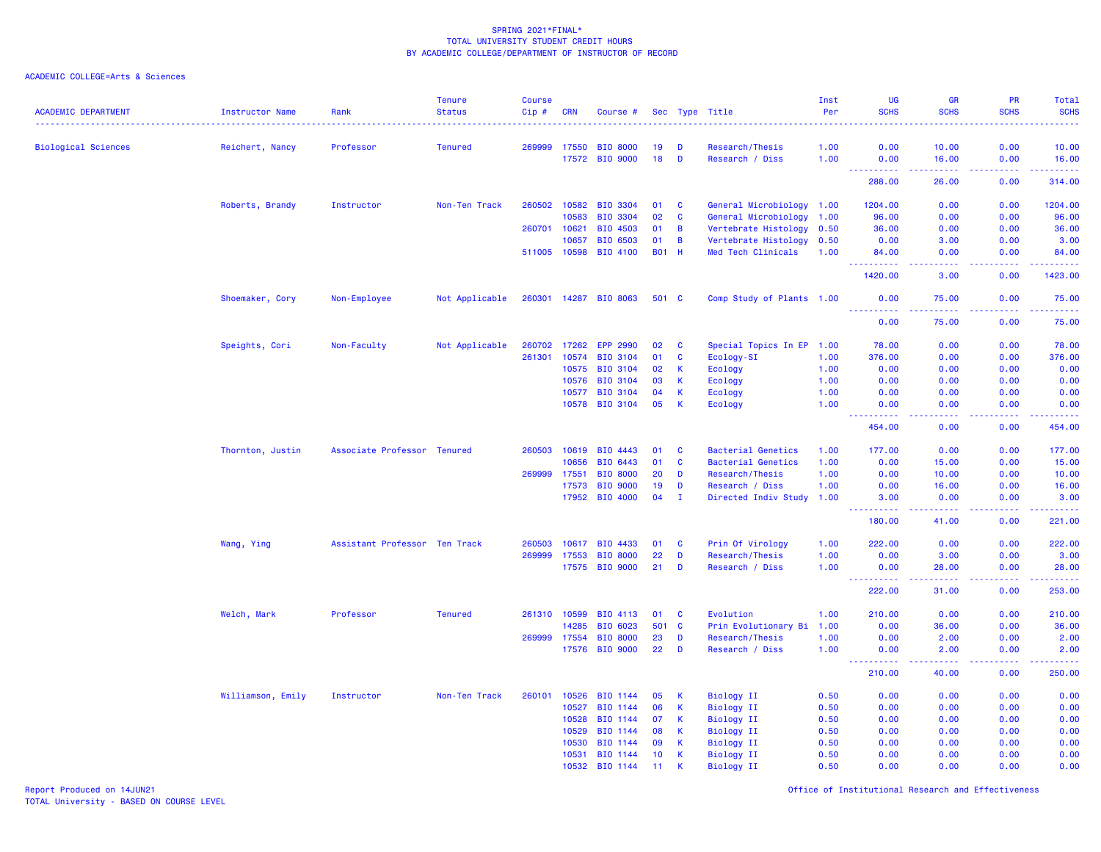### ACADEMIC COLLEGE=Arts & Sciences

| <b>ACADEMIC DEPARTMENT</b> | <b>Instructor Name</b><br>. | Rank                          | <b>Tenure</b><br><b>Status</b> | <b>Course</b><br>Cip# | <b>CRN</b> | Course #              |              |                | Sec Type Title            | Inst<br>Per | UG<br><b>SCHS</b>                     | <b>GR</b><br><b>SCHS</b>                                                                                                                                      | <b>PR</b><br><b>SCHS</b> | Total<br><b>SCHS</b><br>22223 |
|----------------------------|-----------------------------|-------------------------------|--------------------------------|-----------------------|------------|-----------------------|--------------|----------------|---------------------------|-------------|---------------------------------------|---------------------------------------------------------------------------------------------------------------------------------------------------------------|--------------------------|-------------------------------|
| <b>Biological Sciences</b> | Reichert, Nancy             | Professor                     | <b>Tenured</b>                 | 269999                | 17550      | <b>BIO 8000</b>       | 19           | D              | Research/Thesis           | 1.00        | 0.00                                  | 10.00                                                                                                                                                         | 0.00                     | 10.00                         |
|                            |                             |                               |                                |                       | 17572      | <b>BIO 9000</b>       | 18           | D              | Research / Diss           | 1.00        | 0.00                                  | 16.00                                                                                                                                                         | 0.00                     | 16.00                         |
|                            |                             |                               |                                |                       |            |                       |              |                |                           |             | <u> - - - - - - - - - -</u><br>288.00 | $\frac{1}{2} \left( \frac{1}{2} \right) \left( \frac{1}{2} \right) \left( \frac{1}{2} \right) \left( \frac{1}{2} \right) \left( \frac{1}{2} \right)$<br>26.00 | .<br>0.00                | .<br>314.00                   |
|                            | Roberts, Brandy             | Instructor                    | Non-Ten Track                  | 260502                | 10582      | BIO 3304              | 01           | C              | General Microbiology 1.00 |             | 1204.00                               | 0.00                                                                                                                                                          | 0.00                     | 1204.00                       |
|                            |                             |                               |                                |                       | 10583      | BIO 3304              | 02           | $\mathbf c$    | General Microbiology 1.00 |             | 96.00                                 | 0.00                                                                                                                                                          | 0.00                     | 96.00                         |
|                            |                             |                               |                                | 260701                | 10621      | BIO 4503              | 01           | B              | Vertebrate Histology 0.50 |             | 36.00                                 | 0.00                                                                                                                                                          | 0.00                     | 36.00                         |
|                            |                             |                               |                                |                       | 10657      | BIO 6503              | 01           | $\overline{B}$ | Vertebrate Histology 0.50 |             | 0.00                                  | 3.00                                                                                                                                                          | 0.00                     | 3.00                          |
|                            |                             |                               |                                | 511005 10598          |            | BIO 4100              | <b>B01 H</b> |                | Med Tech Clinicals        | 1.00        | 84.00<br>2.2.2.2.2.2                  | 0.00<br>$\frac{1}{2} \left( \frac{1}{2} \right) \left( \frac{1}{2} \right) \left( \frac{1}{2} \right)$                                                        | 0.00<br>.                | 84.00<br><u>.</u>             |
|                            |                             |                               |                                |                       |            |                       |              |                |                           |             | 1420.00                               | 3.00                                                                                                                                                          | 0.00                     | 1423.00                       |
|                            | Shoemaker, Cory             | Non-Employee                  | Not Applicable                 |                       |            | 260301 14287 BIO 8063 | 501 C        |                | Comp Study of Plants 1.00 |             | 0.00<br><u> - - - - - - - - - -</u>   | 75.00<br>$\frac{1}{2} \left( \frac{1}{2} \right) \left( \frac{1}{2} \right) \left( \frac{1}{2} \right) \left( \frac{1}{2} \right) \left( \frac{1}{2} \right)$ | 0.00<br>.                | 75.00<br>.                    |
|                            |                             |                               |                                |                       |            |                       |              |                |                           |             | 0.00                                  | 75.00                                                                                                                                                         | 0.00                     | 75.00                         |
|                            | Speights, Cori              | Non-Faculty                   | Not Applicable                 | 260702                | 17262      | <b>EPP 2990</b>       | 02           | <b>C</b>       | Special Topics In EP 1.00 |             | 78.00                                 | 0.00                                                                                                                                                          | 0.00                     | 78.00                         |
|                            |                             |                               |                                | 261301                | 10574      | <b>BIO 3104</b>       | 01           | $\mathbf c$    | Ecology-SI                | 1.00        | 376.00                                | 0.00                                                                                                                                                          | 0.00                     | 376.00                        |
|                            |                             |                               |                                |                       | 10575      | <b>BIO 3104</b>       | 02           | $\mathsf K$    | Ecology                   | 1.00        | 0.00                                  | 0.00                                                                                                                                                          | 0.00                     | 0.00                          |
|                            |                             |                               |                                |                       | 10576      | BIO 3104              | 03           | K              | Ecology                   | 1.00        | 0.00                                  | 0.00                                                                                                                                                          | 0.00                     | 0.00                          |
|                            |                             |                               |                                |                       | 10577      | <b>BIO 3104</b>       | 04           | K              | Ecology                   | 1.00        | 0.00                                  | 0.00                                                                                                                                                          | 0.00                     | 0.00                          |
|                            |                             |                               |                                |                       | 10578      | BIO 3104              | 05           | K              | Ecology                   | 1.00        | 0.00<br><b></b>                       | 0.00<br>.                                                                                                                                                     | 0.00<br>.                | 0.00<br><u>.</u>              |
|                            |                             |                               |                                |                       |            |                       |              |                |                           |             | 454.00                                | 0.00                                                                                                                                                          | 0.00                     | 454.00                        |
|                            | Thornton, Justin            | Associate Professor Tenured   |                                | 260503                | 10619      | BIO 4443              | 01           | C              | <b>Bacterial Genetics</b> | 1.00        | 177.00                                | 0.00                                                                                                                                                          | 0.00                     | 177.00                        |
|                            |                             |                               |                                |                       | 10656      | BIO 6443              | 01           | C              | <b>Bacterial Genetics</b> | 1.00        | 0.00                                  | 15.00                                                                                                                                                         | 0.00                     | 15.00                         |
|                            |                             |                               |                                | 269999                | 17551      | <b>BIO 8000</b>       | 20           | D              | Research/Thesis           | 1.00        | 0.00                                  | 10.00                                                                                                                                                         | 0.00                     | 10.00                         |
|                            |                             |                               |                                |                       | 17573      | <b>BIO 9000</b>       | 19           | D              | Research / Diss           | 1.00        | 0.00                                  | 16.00                                                                                                                                                         | 0.00                     | 16.00                         |
|                            |                             |                               |                                |                       |            | 17952 BIO 4000        | 04           | $\mathbf I$    | Directed Indiv Study      | 1.00        | 3.00<br>. <b>.</b>                    | 0.00                                                                                                                                                          | 0.00<br>.                | 3.00<br>.                     |
|                            |                             |                               |                                |                       |            |                       |              |                |                           |             | 180.00                                | 41.00                                                                                                                                                         | 0.00                     | 221.00                        |
|                            | Wang, Ying                  | Assistant Professor Ten Track |                                | 260503                |            | 10617 BIO 4433        | 01           | C              | Prin Of Virology          | 1.00        | 222.00                                | 0.00                                                                                                                                                          | 0.00                     | 222.00                        |
|                            |                             |                               |                                | 269999                | 17553      | <b>BIO 8000</b>       | 22           | D              | Research/Thesis           | 1.00        | 0.00                                  | 3.00                                                                                                                                                          | 0.00                     | 3.00                          |
|                            |                             |                               |                                |                       |            | 17575 BIO 9000        | 21           | D              | Research / Diss           | 1.00        | 0.00                                  | 28.00                                                                                                                                                         | 0.00                     | 28.00<br>المتمامين            |
|                            |                             |                               |                                |                       |            |                       |              |                |                           |             | 222.00                                | 31.00                                                                                                                                                         | 0.00                     | 253.00                        |
|                            | Welch, Mark                 | Professor                     | <b>Tenured</b>                 | 261310 10599          |            | BIO 4113              | 01           | C              | Evolution                 | 1.00        | 210.00                                | 0.00                                                                                                                                                          | 0.00                     | 210.00                        |
|                            |                             |                               |                                |                       | 14285      | BIO 6023              | 501          | $\mathbf{C}$   | Prin Evolutionary Bi      | 1.00        | 0.00                                  | 36.00                                                                                                                                                         | 0.00                     | 36.00                         |
|                            |                             |                               |                                | 269999                | 17554      | <b>BIO 8000</b>       | 23           | D              | Research/Thesis           | 1.00        | 0.00                                  | 2.00                                                                                                                                                          | 0.00                     | 2.00                          |
|                            |                             |                               |                                |                       |            | 17576 BIO 9000        | 22           | D              | Research / Diss           | 1.00        | 0.00<br>$\omega$ is a $\omega$        | 2.00<br>.                                                                                                                                                     | 0.00<br>.                | 2.00<br>.                     |
|                            |                             |                               |                                |                       |            |                       |              |                |                           |             | 210.00                                | 40.00                                                                                                                                                         | 0.00                     | 250.00                        |
|                            | Williamson, Emily           | Instructor                    | Non-Ten Track                  | 260101                | 10526      | BIO 1144              | 05           | К              | <b>Biology II</b>         | 0.50        | 0.00                                  | 0.00                                                                                                                                                          | 0.00                     | 0.00                          |
|                            |                             |                               |                                |                       | 10527      | BIO 1144              | 06           | $\mathsf K$    | <b>Biology II</b>         | 0.50        | 0.00                                  | 0.00                                                                                                                                                          | 0.00                     | 0.00                          |
|                            |                             |                               |                                |                       | 10528      | BIO 1144              | 07           | $\mathsf K$    | <b>Biology II</b>         | 0.50        | 0.00                                  | 0.00                                                                                                                                                          | 0.00                     | 0.00                          |
|                            |                             |                               |                                |                       | 10529      | BIO 1144              | 08           | К              | <b>Biology II</b>         | 0.50        | 0.00                                  | 0.00                                                                                                                                                          | 0.00                     | 0.00                          |
|                            |                             |                               |                                |                       | 10530      | BIO 1144              | 09           | К              | Biology II                | 0.50        | 0.00                                  | 0.00                                                                                                                                                          | 0.00                     | 0.00                          |
|                            |                             |                               |                                |                       | 10531      | BIO 1144              | 10           | К              | <b>Biology II</b>         | 0.50        | 0.00                                  | 0.00                                                                                                                                                          | 0.00                     | 0.00                          |
|                            |                             |                               |                                |                       | 10532      | BIO 1144              | 11           | K              | <b>Biology II</b>         | 0.50        | 0.00                                  | 0.00                                                                                                                                                          | 0.00                     | 0.00                          |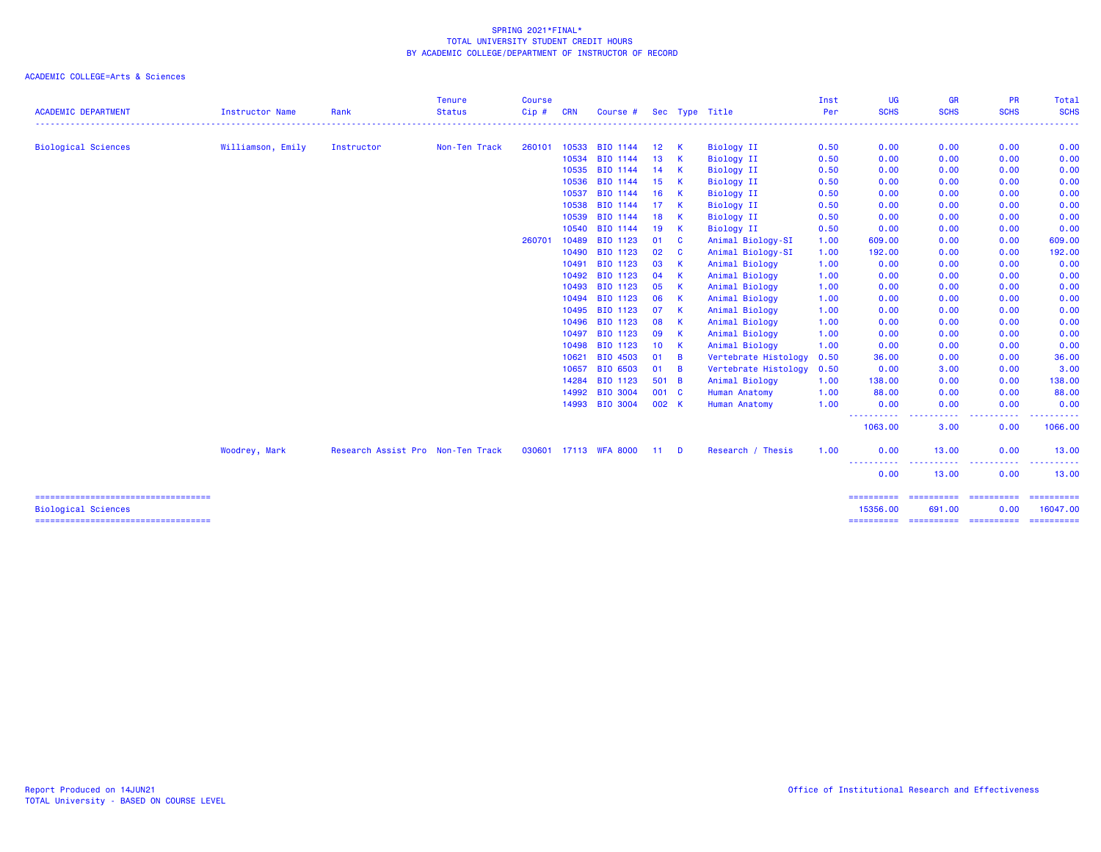| <b>ACADEMIC DEPARTMENT</b>             | Instructor Name   | Rank                              | <b>Tenure</b><br><b>Status</b> | <b>Course</b><br>Cip# | <b>CRN</b> | Course #              |                 |                | Sec Type Title       | Inst<br>Per | UG<br><b>SCHS</b>     | <b>GR</b><br><b>SCHS</b>                                                                                                          | <b>PR</b><br><b>SCHS</b> | Total<br><b>SCHS</b>                                                                                                      |
|----------------------------------------|-------------------|-----------------------------------|--------------------------------|-----------------------|------------|-----------------------|-----------------|----------------|----------------------|-------------|-----------------------|-----------------------------------------------------------------------------------------------------------------------------------|--------------------------|---------------------------------------------------------------------------------------------------------------------------|
|                                        |                   |                                   |                                |                       |            |                       |                 |                |                      |             |                       |                                                                                                                                   |                          | $\frac{1}{2} \left( \frac{1}{2} \right) \left( \frac{1}{2} \right) \left( \frac{1}{2} \right) \left( \frac{1}{2} \right)$ |
| <b>Biological Sciences</b>             | Williamson, Emily | Instructor                        | Non-Ten Track                  | 260101                | 10533      | BIO 1144              | 12 <sup>2</sup> | K              | <b>Biology II</b>    | 0.50        | 0.00                  | 0.00                                                                                                                              | 0.00                     | 0.00                                                                                                                      |
|                                        |                   |                                   |                                |                       | 10534      | BIO 1144              | 13              | K              | <b>Biology II</b>    | 0.50        | 0.00                  | 0.00                                                                                                                              | 0.00                     | 0.00                                                                                                                      |
|                                        |                   |                                   |                                |                       | 10535      | BIO 1144              | 14              | - K            | <b>Biology II</b>    | 0.50        | 0.00                  | 0.00                                                                                                                              | 0.00                     | 0.00                                                                                                                      |
|                                        |                   |                                   |                                |                       | 10536      | BIO 1144              | 15              | $\mathsf{K}$   | <b>Biology II</b>    | 0.50        | 0.00                  | 0.00                                                                                                                              | 0.00                     | 0.00                                                                                                                      |
|                                        |                   |                                   |                                |                       | 10537      | BIO 1144              | 16              | $\mathsf{K}$   | <b>Biology II</b>    | 0.50        | 0.00                  | 0.00                                                                                                                              | 0.00                     | 0.00                                                                                                                      |
|                                        |                   |                                   |                                |                       | 10538      | BIO 1144              | 17              | -K             | <b>Biology II</b>    | 0.50        | 0.00                  | 0.00                                                                                                                              | 0.00                     | 0.00                                                                                                                      |
|                                        |                   |                                   |                                |                       | 10539      | BIO 1144              | 18              | K              | <b>Biology II</b>    | 0.50        | 0.00                  | 0.00                                                                                                                              | 0.00                     | 0.00                                                                                                                      |
|                                        |                   |                                   |                                |                       | 10540      | BIO 1144              | 19              | -K             | <b>Biology II</b>    | 0.50        | 0.00                  | 0.00                                                                                                                              | 0.00                     | 0.00                                                                                                                      |
|                                        |                   |                                   |                                | 260701                | 10489      | BIO 1123              | 01              | <b>C</b>       | Animal Biology-SI    | 1.00        | 609.00                | 0.00                                                                                                                              | 0.00                     | 609.00                                                                                                                    |
|                                        |                   |                                   |                                |                       | 10490      | BIO 1123              | 02              | <b>C</b>       | Animal Biology-SI    | 1.00        | 192.00                | 0.00                                                                                                                              | 0.00                     | 192.00                                                                                                                    |
|                                        |                   |                                   |                                |                       | 10491      | BIO 1123              | 03              | -K             | Animal Biology       | 1.00        | 0.00                  | 0.00                                                                                                                              | 0.00                     | 0.00                                                                                                                      |
|                                        |                   |                                   |                                |                       | 10492      | BIO 1123              | 04              | <b>K</b>       | Animal Biology       | 1.00        | 0.00                  | 0.00                                                                                                                              | 0.00                     | 0.00                                                                                                                      |
|                                        |                   |                                   |                                |                       | 10493      | BIO 1123              | 05              | <b>K</b>       | Animal Biology       | 1.00        | 0.00                  | 0.00                                                                                                                              | 0.00                     | 0.00                                                                                                                      |
|                                        |                   |                                   |                                |                       | 10494      | BIO 1123              | 06              | -K             | Animal Biology       | 1.00        | 0.00                  | 0.00                                                                                                                              | 0.00                     | 0.00                                                                                                                      |
|                                        |                   |                                   |                                |                       | 10495      | BIO 1123              | 07              | -K             | Animal Biology       | 1.00        | 0.00                  | 0.00                                                                                                                              | 0.00                     | 0.00                                                                                                                      |
|                                        |                   |                                   |                                |                       | 10496      | BIO 1123              | 08              | -K             | Animal Biology       | 1.00        | 0.00                  | 0.00                                                                                                                              | 0.00                     | 0.00                                                                                                                      |
|                                        |                   |                                   |                                |                       | 10497      | BIO 1123              | 09              | - K            | Animal Biology       | 1.00        | 0.00                  | 0.00                                                                                                                              | 0.00                     | 0.00                                                                                                                      |
|                                        |                   |                                   |                                |                       | 10498      | BIO 1123              | 10 <sup>°</sup> | $\mathbf{K}$   | Animal Biology       | 1.00        | 0.00                  | 0.00                                                                                                                              | 0.00                     | 0.00                                                                                                                      |
|                                        |                   |                                   |                                |                       | 10621      | BIO 4503              | 01              | $\overline{B}$ | Vertebrate Histology | 0.50        | 36.00                 | 0.00                                                                                                                              | 0.00                     | 36.00                                                                                                                     |
|                                        |                   |                                   |                                |                       | 10657      | BIO 6503              | 01              | $\overline{B}$ | Vertebrate Histology | 0.50        | 0.00                  | 3.00                                                                                                                              | 0.00                     | 3.00                                                                                                                      |
|                                        |                   |                                   |                                |                       | 14284      | BIO 1123              | 501 B           |                | Animal Biology       | 1.00        | 138.00                | 0.00                                                                                                                              | 0.00                     | 138.00                                                                                                                    |
|                                        |                   |                                   |                                |                       | 14992      | BIO 3004              | 001 C           |                | Human Anatomy        | 1.00        | 88.00                 | 0.00                                                                                                                              | 0.00                     | 88.00                                                                                                                     |
|                                        |                   |                                   |                                |                       | 14993      | <b>BIO 3004</b>       | 002 K           |                | Human Anatomy        | 1.00        | 0.00                  | 0.00                                                                                                                              | 0.00                     | 0.00                                                                                                                      |
|                                        |                   |                                   |                                |                       |            |                       |                 |                |                      |             | ----------<br>1063.00 | $\frac{1}{2} \left( \frac{1}{2} \right) \left( \frac{1}{2} \right) \left( \frac{1}{2} \right) \left( \frac{1}{2} \right)$<br>3.00 | .<br>0.00                | ------<br>1066.00                                                                                                         |
|                                        | Woodrey, Mark     | Research Assist Pro Non-Ten Track |                                |                       |            | 030601 17113 WFA 8000 | 11              | <b>D</b>       | Research / Thesis    | 1.00        | 0.00                  | 13.00                                                                                                                             | 0.00                     | 13.00                                                                                                                     |
|                                        |                   |                                   |                                |                       |            |                       |                 |                |                      |             | ----------<br>0.00    | -----<br>13.00                                                                                                                    | . <b>.</b><br>0.00       | ------<br>13.00                                                                                                           |
| ====================================== |                   |                                   |                                |                       |            |                       |                 |                |                      |             | ==========            | ==========                                                                                                                        | ==========               | ==========                                                                                                                |
| <b>Biological Sciences</b>             |                   |                                   |                                |                       |            |                       |                 |                |                      |             | 15356.00              | 691.00                                                                                                                            | 0.00                     | 16047.00<br>-----------                                                                                                   |
| ====================================== |                   |                                   |                                |                       |            |                       |                 |                |                      |             |                       |                                                                                                                                   |                          |                                                                                                                           |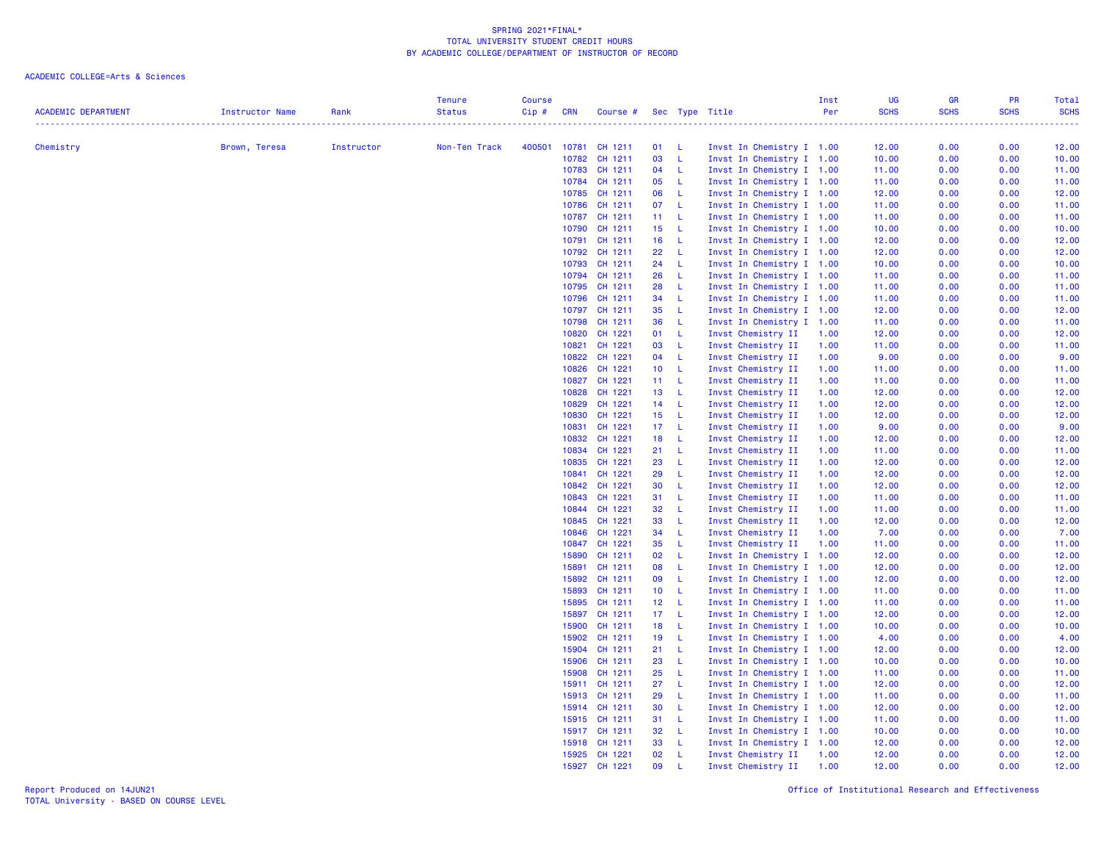| <b>ACADEMIC DEPARTMENT</b> | Instructor Name | Rank       | <b>Tenure</b><br><b>Status</b> | <b>Course</b><br>$Cip \#$ | <b>CRN</b> | Course #                 |                 |                     | Sec Type Title                           | Inst<br>Per  | UG<br><b>SCHS</b> | GR<br><b>SCHS</b><br>. | PR<br><b>SCHS</b><br>. | Total<br><b>SCHS</b><br>22222 |
|----------------------------|-----------------|------------|--------------------------------|---------------------------|------------|--------------------------|-----------------|---------------------|------------------------------------------|--------------|-------------------|------------------------|------------------------|-------------------------------|
| Chemistry                  | Brown, Teresa   | Instructor | Non-Ten Track                  | 400501                    |            | 10781 CH 1211            | 01 L            |                     | Invst In Chemistry I 1.00                |              | 12.00             | 0.00                   | 0.00                   | 12.00                         |
|                            |                 |            |                                |                           | 10782      | CH 1211                  | 03 L            |                     | Invst In Chemistry I 1.00                |              | 10.00             | 0.00                   | 0.00                   | 10.00                         |
|                            |                 |            |                                |                           |            | 10783 CH 1211            | 04 L            |                     | Invst In Chemistry I 1.00                |              | 11.00             | 0.00                   | 0.00                   | 11.00                         |
|                            |                 |            |                                |                           |            | 10784 CH 1211            | 05              | - Li                | Invst In Chemistry I 1.00                |              | 11.00             | 0.00                   | 0.00                   | 11.00                         |
|                            |                 |            |                                |                           |            | 10785 CH 1211            | 06              | - L                 | Invst In Chemistry I 1.00                |              | 12.00             | 0.00                   | 0.00                   | 12.00                         |
|                            |                 |            |                                |                           |            | 10786 CH 1211            | 07 L            |                     | Invst In Chemistry I 1.00                |              | 11.00             | 0.00                   | 0.00                   | 11.00                         |
|                            |                 |            |                                |                           | 10787      | CH 1211                  | 11 L            |                     | Invst In Chemistry I 1.00                |              | 11.00             | 0.00                   | 0.00                   | 11.00                         |
|                            |                 |            |                                |                           |            | 10790 CH 1211            | 15              | $-L$                | Invst In Chemistry I 1.00                |              | 10.00             | 0.00                   | 0.00                   | 10.00                         |
|                            |                 |            |                                |                           | 10791      | CH 1211                  | 16 L            |                     | Invst In Chemistry I 1.00                |              | 12.00             | 0.00                   | 0.00                   | 12.00                         |
|                            |                 |            |                                |                           |            | 10792 CH 1211            | 22              | $\mathsf{L}$        | Invst In Chemistry I 1.00                |              | 12.00             | 0.00                   | 0.00                   | 12.00                         |
|                            |                 |            |                                |                           |            | 10793 CH 1211            | 24              | $\mathsf{L}$        | Invst In Chemistry I 1.00                |              | 10.00             | 0.00                   | 0.00                   | 10.00                         |
|                            |                 |            |                                |                           |            | 10794 CH 1211            | 26              | - L                 | Invst In Chemistry I 1.00                |              | 11.00             | 0.00                   | 0.00                   | 11.00                         |
|                            |                 |            |                                |                           |            | 10795 CH 1211            | 28              | $\mathbf{L}$        | Invst In Chemistry I 1.00                |              | 11.00             | 0.00                   | 0.00                   | 11.00                         |
|                            |                 |            |                                |                           | 10796      | CH 1211                  | 34              | $\mathbf{L}$        | Invst In Chemistry I 1.00                |              | 11.00             | 0.00                   | 0.00                   | 11.00                         |
|                            |                 |            |                                |                           |            | 10797 CH 1211            | 35              | $\mathsf{L}$        | Invst In Chemistry I 1.00                |              | 12.00             | 0.00                   | 0.00                   | 12.00                         |
|                            |                 |            |                                |                           | 10798      | CH 1211                  | 36              | $-L$                | Invst In Chemistry I 1.00                |              | 11.00             | 0.00                   | 0.00                   | 11.00                         |
|                            |                 |            |                                |                           | 10820      | CH 1221                  | 01 L            |                     | Invst Chemistry II                       | 1.00         | 12.00             | 0.00                   | 0.00                   | 12.00                         |
|                            |                 |            |                                |                           | 10821      | CH 1221                  | 03              | - L                 | Invst Chemistry II                       | 1.00         | 11.00             | 0.00                   | 0.00                   | 11.00                         |
|                            |                 |            |                                |                           | 10822      | CH 1221                  | 04 L            |                     | Invst Chemistry II                       | 1.00         | 9.00              | 0.00                   | 0.00                   | 9.00                          |
|                            |                 |            |                                |                           | 10826      | CH 1221                  | 10 L            |                     | Invst Chemistry II                       | 1.00         | 11.00             | 0.00                   | 0.00                   | 11.00                         |
|                            |                 |            |                                |                           | 10827      | CH 1221                  | 11 L            |                     | Invst Chemistry II                       | 1.00         | 11.00             | 0.00                   | 0.00                   | 11.00                         |
|                            |                 |            |                                |                           |            | 10828 CH 1221            | 13              | $-L$                | Invst Chemistry II                       | 1.00         | 12.00             | 0.00                   | 0.00                   | 12.00                         |
|                            |                 |            |                                |                           | 10829      | CH 1221                  | 14 L            |                     | Invst Chemistry II                       | 1.00         | 12.00             | 0.00                   | 0.00                   | 12.00                         |
|                            |                 |            |                                |                           | 10830      | CH 1221                  | 15 L            |                     | Invst Chemistry II                       | 1.00         | 12.00             | 0.00                   | 0.00                   | 12.00                         |
|                            |                 |            |                                |                           | 10831      | CH 1221                  | 17 <sub>1</sub> | - L                 | Invst Chemistry II                       | 1.00         | 9.00              | 0.00                   | 0.00                   | 9.00                          |
|                            |                 |            |                                |                           | 10832      | CH 1221                  | 18              | $\mathbf{L}$        | Invst Chemistry II                       | 1.00         | 12.00             | 0.00                   | 0.00                   | 12.00                         |
|                            |                 |            |                                |                           | 10834      | CH 1221                  | 21 L            |                     | Invst Chemistry II                       | 1.00         | 11.00             | 0.00                   | 0.00                   | 11.00                         |
|                            |                 |            |                                |                           | 10835      | CH 1221                  | 23              | $\mathbf{L}$        | Invst Chemistry II                       | 1.00         | 12.00             | 0.00                   | 0.00                   | 12.00                         |
|                            |                 |            |                                |                           | 10841      | CH 1221                  | 29              | $\mathsf L$         | Invst Chemistry II                       | 1.00         | 12.00             | 0.00                   | 0.00                   | 12.00                         |
|                            |                 |            |                                |                           | 10842      | CH 1221                  | 30              | $\mathsf{L}$        | Invst Chemistry II                       | 1.00         | 12.00             | 0.00                   | 0.00                   | 12.00                         |
|                            |                 |            |                                |                           | 10843      | CH 1221                  | 31              | - L                 | Invst Chemistry II                       | 1.00         | 11.00             | 0.00                   | 0.00                   | 11.00                         |
|                            |                 |            |                                |                           | 10844      | CH 1221<br>10845 CH 1221 | 32<br>33        | - L<br>$\mathbf{L}$ | Invst Chemistry II                       | 1.00<br>1.00 | 11.00<br>12.00    | 0.00<br>0.00           | 0.00<br>0.00           | 11.00                         |
|                            |                 |            |                                |                           | 10846      | CH 1221                  | 34 L            |                     | Invst Chemistry II<br>Invst Chemistry II | 1.00         | 7.00              | 0.00                   | 0.00                   | 12.00<br>7.00                 |
|                            |                 |            |                                |                           | 10847      | CH 1221                  | 35              | $\mathsf{L}$        | Invst Chemistry II                       | 1.00         | 11.00             | 0.00                   | 0.00                   | 11.00                         |
|                            |                 |            |                                |                           | 15890      | CH 1211                  | 02              | $\mathsf{L}$        | Invst In Chemistry I 1.00                |              | 12.00             | 0.00                   | 0.00                   | 12.00                         |
|                            |                 |            |                                |                           | 15891      | CH 1211                  | 08              | $\mathsf{L}$        | Invst In Chemistry I 1.00                |              | 12.00             | 0.00                   | 0.00                   | 12.00                         |
|                            |                 |            |                                |                           |            | 15892 CH 1211            | 09              | - L                 | Invst In Chemistry I 1.00                |              | 12.00             | 0.00                   | 0.00                   | 12.00                         |
|                            |                 |            |                                |                           | 15893      | CH 1211                  | 10 <sub>1</sub> | $-L$                | Invst In Chemistry I 1.00                |              | 11.00             | 0.00                   | 0.00                   | 11.00                         |
|                            |                 |            |                                |                           | 15895      | CH 1211                  | 12 L            |                     | Invst In Chemistry I 1.00                |              | 11.00             | 0.00                   | 0.00                   | 11.00                         |
|                            |                 |            |                                |                           | 15897      | CH 1211                  | 17 L            |                     | Invst In Chemistry I 1.00                |              | 12.00             | 0.00                   | 0.00                   | 12.00                         |
|                            |                 |            |                                |                           | 15900      | CH 1211                  | 18              | $\mathsf{L}$        | Invst In Chemistry I 1.00                |              | 10.00             | 0.00                   | 0.00                   | 10.00                         |
|                            |                 |            |                                |                           |            | 15902 CH 1211            | 19              | $\mathsf{L}$        | Invst In Chemistry I 1.00                |              | 4.00              | 0.00                   | 0.00                   | 4.00                          |
|                            |                 |            |                                |                           | 15904      | CH 1211                  | 21 L            |                     | Invst In Chemistry I 1.00                |              | 12.00             | 0.00                   | 0.00                   | 12.00                         |
|                            |                 |            |                                |                           | 15906      | CH 1211                  | 23              | $\mathsf{L}$        | Invst In Chemistry I 1.00                |              | 10.00             | 0.00                   | 0.00                   | 10.00                         |
|                            |                 |            |                                |                           | 15908      | CH 1211                  | 25              | $\mathsf{L}$        | Invst In Chemistry I 1.00                |              | 11.00             | 0.00                   | 0.00                   | 11.00                         |
|                            |                 |            |                                |                           | 15911      | CH 1211                  | 27 L            |                     | Invst In Chemistry I 1.00                |              | 12.00             | 0.00                   | 0.00                   | 12.00                         |
|                            |                 |            |                                |                           |            | 15913 CH 1211            | 29              | $-L$                | Invst In Chemistry I 1.00                |              | 11.00             | 0.00                   | 0.00                   | 11.00                         |
|                            |                 |            |                                |                           | 15914      | CH 1211                  | 30              | $-L$                | Invst In Chemistry I 1.00                |              | 12.00             | 0.00                   | 0.00                   | 12.00                         |
|                            |                 |            |                                |                           |            | 15915 CH 1211            | 31              | - L                 | Invst In Chemistry I 1.00                |              | 11.00             | 0.00                   | 0.00                   | 11.00                         |
|                            |                 |            |                                |                           |            | 15917 CH 1211            | 32              | $\mathsf{L}$        | Invst In Chemistry I 1.00                |              | 10.00             | 0.00                   | 0.00                   | 10.00                         |
|                            |                 |            |                                |                           | 15918      | CH 1211                  | 33              | $\mathsf{L}$        | Invst In Chemistry I 1.00                |              | 12.00             | 0.00                   | 0.00                   | 12.00                         |
|                            |                 |            |                                |                           |            | 15925 CH 1221            | 02              | $\mathsf{L}$        | Invst Chemistry II                       | 1.00         | 12.00             | 0.00                   | 0.00                   | 12.00                         |
|                            |                 |            |                                |                           | 15927      | CH 1221                  | 09              | $\mathsf{L}$        | Invst Chemistry II                       | 1.00         | 12.00             | 0.00                   | 0.00                   | 12.00                         |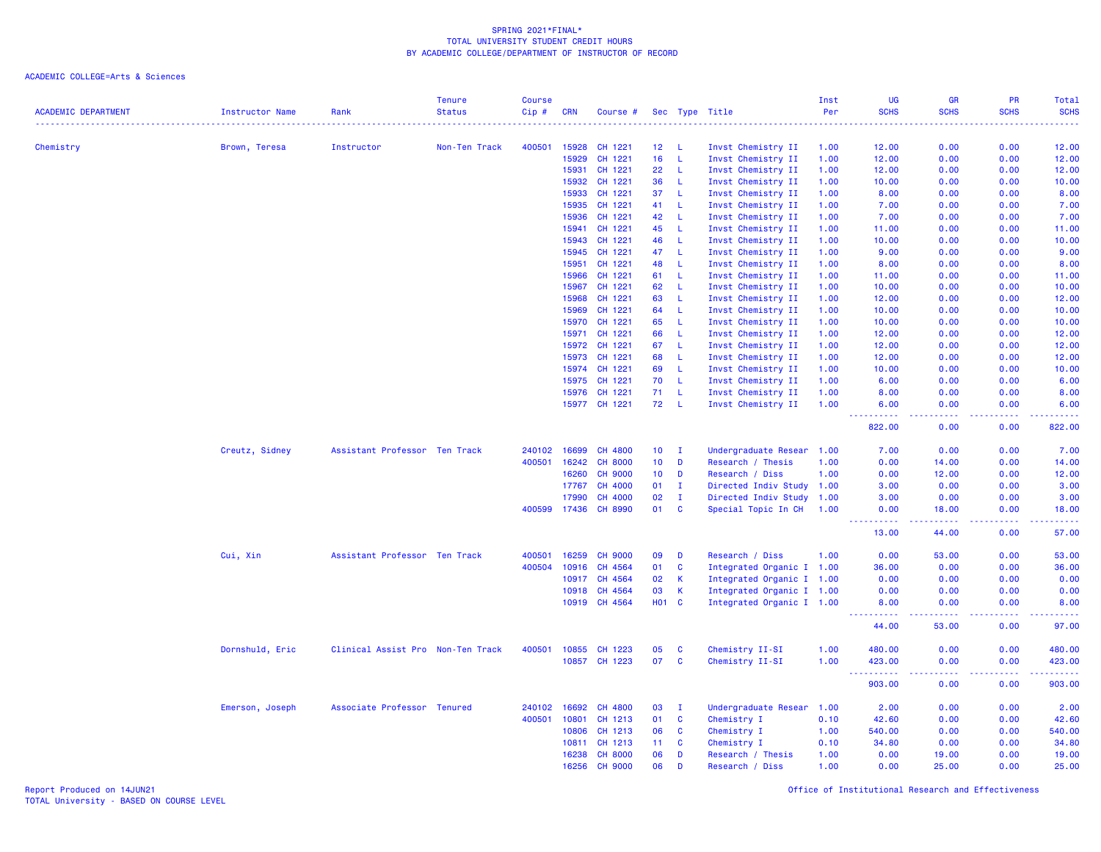ACADEMIC COLLEGE=Arts & Sciences

| <b>ACADEMIC DEPARTMENT</b> | <b>Instructor Name</b> | Rank                              | <b>Tenure</b><br><b>Status</b> | <b>Course</b><br>Cip# | <b>CRN</b> | Course #       |                 |              | Sec Type Title            | Inst<br>Per | UG<br><b>SCHS</b>                                                                                                                   | <b>GR</b><br><b>SCHS</b> | <b>PR</b><br><b>SCHS</b> | Total<br><b>SCHS</b><br>---- |
|----------------------------|------------------------|-----------------------------------|--------------------------------|-----------------------|------------|----------------|-----------------|--------------|---------------------------|-------------|-------------------------------------------------------------------------------------------------------------------------------------|--------------------------|--------------------------|------------------------------|
| Chemistry                  | Brown, Teresa          | Instructor                        | Non-Ten Track                  | 400501                | 15928      | CH 1221        | 12 <sup>2</sup> | - L          | Invst Chemistry II        | 1.00        | 12.00                                                                                                                               | 0.00                     | 0.00                     | 12.00                        |
|                            |                        |                                   |                                |                       | 15929      | CH 1221        | 16              | -L           | Invst Chemistry II        | 1.00        | 12.00                                                                                                                               | 0.00                     | 0.00                     | 12.00                        |
|                            |                        |                                   |                                |                       | 15931      | CH 1221        | 22              | -L           | Invst Chemistry II        | 1.00        | 12.00                                                                                                                               | 0.00                     | 0.00                     | 12.00                        |
|                            |                        |                                   |                                |                       | 15932      | CH 1221        | 36              | -L           | Invst Chemistry II        | 1.00        | 10.00                                                                                                                               | 0.00                     | 0.00                     | 10.00                        |
|                            |                        |                                   |                                |                       | 15933      | CH 1221        | 37              | -L           | Invst Chemistry II        | 1.00        | 8.00                                                                                                                                | 0.00                     | 0.00                     | 8.00                         |
|                            |                        |                                   |                                |                       | 15935      | CH 1221        | 41              | -L           | Invst Chemistry II        | 1.00        | 7.00                                                                                                                                | 0.00                     | 0.00                     | 7.00                         |
|                            |                        |                                   |                                |                       | 15936      | CH 1221        | 42              | -L           | Invst Chemistry II        | 1.00        | 7.00                                                                                                                                | 0.00                     | 0.00                     | 7.00                         |
|                            |                        |                                   |                                |                       | 15941      | CH 1221        | 45              | -L           | Invst Chemistry II        | 1.00        | 11.00                                                                                                                               | 0.00                     | 0.00                     | 11.00                        |
|                            |                        |                                   |                                |                       | 15943      | CH 1221        | 46              | $\mathsf L$  | Invst Chemistry II        | 1.00        | 10.00                                                                                                                               | 0.00                     | 0.00                     | 10.00                        |
|                            |                        |                                   |                                |                       | 15945      | CH 1221        | 47              | $\mathsf{L}$ | Invst Chemistry II        | 1.00        | 9.00                                                                                                                                | 0.00                     | 0.00                     | 9.00                         |
|                            |                        |                                   |                                |                       | 15951      | CH 1221        | 48              | -L           | Invst Chemistry II        | 1.00        | 8.00                                                                                                                                | 0.00                     | 0.00                     | 8.00                         |
|                            |                        |                                   |                                |                       | 15966      | CH 1221        | 61              | -L           | Invst Chemistry II        | 1.00        | 11.00                                                                                                                               | 0.00                     | 0.00                     | 11.00                        |
|                            |                        |                                   |                                |                       | 15967      | CH 1221        | 62              | -L           | Invst Chemistry II        | 1.00        | 10.00                                                                                                                               | 0.00                     | 0.00                     | 10.00                        |
|                            |                        |                                   |                                |                       | 15968      | CH 1221        | 63              | -L           | Invst Chemistry II        | 1.00        | 12.00                                                                                                                               | 0.00                     | 0.00                     | 12.00                        |
|                            |                        |                                   |                                |                       | 15969      | CH 1221        | 64              | -L           | Invst Chemistry II        | 1.00        | 10.00                                                                                                                               | 0.00                     | 0.00                     | 10.00                        |
|                            |                        |                                   |                                |                       | 15970      | CH 1221        | 65              | -L           | Invst Chemistry II        | 1.00        | 10.00                                                                                                                               | 0.00                     | 0.00                     | 10.00                        |
|                            |                        |                                   |                                |                       | 15971      | CH 1221        | 66              | -L           | Invst Chemistry II        | 1.00        | 12.00                                                                                                                               | 0.00                     | 0.00                     | 12.00                        |
|                            |                        |                                   |                                |                       | 15972      | CH 1221        | 67              | L.           | Invst Chemistry II        | 1.00        | 12.00                                                                                                                               | 0.00                     | 0.00                     | 12.00                        |
|                            |                        |                                   |                                |                       | 15973      | CH 1221        | 68              | $\mathsf L$  | Invst Chemistry II        | 1.00        | 12.00                                                                                                                               | 0.00                     | 0.00                     | 12.00                        |
|                            |                        |                                   |                                |                       | 15974      | CH 1221        | 69              | $\mathsf{L}$ | Invst Chemistry II        | 1.00        | 10.00                                                                                                                               | 0.00                     | 0.00                     | 10.00                        |
|                            |                        |                                   |                                |                       | 15975      | CH 1221        | 70              | -L           | Invst Chemistry II        | 1.00        | 6.00                                                                                                                                | 0.00                     | 0.00                     | 6.00                         |
|                            |                        |                                   |                                |                       | 15976      | CH 1221        | 71              | -L           | Invst Chemistry II        | 1.00        | 8.00                                                                                                                                | 0.00                     | 0.00                     | 8.00                         |
|                            |                        |                                   |                                |                       |            | 15977 CH 1221  | 72              | - L          | Invst Chemistry II        | 1.00        | 6.00                                                                                                                                | 0.00                     | 0.00                     | 6.00                         |
|                            |                        |                                   |                                |                       |            |                |                 |              |                           |             | $\frac{1}{2} \left( \frac{1}{2} \right) \left( \frac{1}{2} \right) \left( \frac{1}{2} \right) \left( \frac{1}{2} \right)$<br>822.00 | د د د د<br>0.00          | .<br>0.00                | .<br>822.00                  |
|                            | Creutz, Sidney         | Assistant Professor Ten Track     |                                | 240102                | 16699      | <b>CH 4800</b> | 10 <sub>1</sub> | $\mathbf{I}$ | Undergraduate Resear 1.00 |             | 7.00                                                                                                                                | 0.00                     | 0.00                     | 7.00                         |
|                            |                        |                                   |                                | 400501                | 16242      | <b>CH 8000</b> | 10 <sub>1</sub> | D            | Research / Thesis         | 1.00        | 0.00                                                                                                                                | 14.00                    | 0.00                     | 14.00                        |
|                            |                        |                                   |                                |                       | 16260      | <b>CH 9000</b> | 10 <sup>°</sup> | D            | Research / Diss           | 1.00        | 0.00                                                                                                                                | 12.00                    | 0.00                     | 12.00                        |
|                            |                        |                                   |                                |                       | 17767      | <b>CH 4000</b> | 01              | I.           | Directed Indiv Study 1.00 |             | 3.00                                                                                                                                | 0.00                     | 0.00                     | 3.00                         |
|                            |                        |                                   |                                |                       | 17990      | <b>CH 4000</b> | 02              | $\mathbf{I}$ | Directed Indiv Study      | 1.00        | 3.00                                                                                                                                | 0.00                     | 0.00                     | 3.00                         |
|                            |                        |                                   |                                | 400599                | 17436      | CH 8990        | 01              | <b>C</b>     | Special Topic In CH       | 1.00        | 0.00<br>$  -$                                                                                                                       | 18.00<br>.               | 0.00<br>.                | 18.00<br>.                   |
|                            |                        |                                   |                                |                       |            |                |                 |              |                           |             | 13.00                                                                                                                               | 44.00                    | 0.00                     | 57.00                        |
|                            | Cui, Xin               | Assistant Professor Ten Track     |                                | 400501                | 16259      | <b>CH 9000</b> | 09              | D            | Research / Diss           | 1.00        | 0.00                                                                                                                                | 53.00                    | 0.00                     | 53.00                        |
|                            |                        |                                   |                                | 400504                | 10916      | CH 4564        | 01              | C            | Integrated Organic I 1.00 |             | 36.00                                                                                                                               | 0.00                     | 0.00                     | 36.00                        |
|                            |                        |                                   |                                |                       | 10917      | CH 4564        | 02              | $\mathsf{K}$ | Integrated Organic I 1.00 |             | 0.00                                                                                                                                | 0.00                     | 0.00                     | 0.00                         |
|                            |                        |                                   |                                |                       | 10918      | CH 4564        | 03              | $\mathsf{K}$ | Integrated Organic I 1.00 |             | 0.00                                                                                                                                | 0.00                     | 0.00                     | 0.00                         |
|                            |                        |                                   |                                |                       | 10919      | CH 4564        | <b>HO1</b>      | $\mathbf{C}$ | Integrated Organic I 1.00 |             | 8.00                                                                                                                                | 0.00                     | 0.00                     | 8.00                         |
|                            |                        |                                   |                                |                       |            |                |                 |              |                           |             | <u>.</u><br>44.00                                                                                                                   | .<br>53.00               | 0.00                     | .<br>97.00                   |
|                            | Dornshuld, Eric        | Clinical Assist Pro Non-Ten Track |                                | 400501                | 10855      | CH 1223        | 05              | <b>C</b>     | Chemistry II-SI           | 1.00        | 480.00                                                                                                                              | 0.00                     | 0.00                     | 480.00                       |
|                            |                        |                                   |                                |                       |            | 10857 CH 1223  | 07              | $\mathbf{C}$ | Chemistry II-SI           | 1.00        | 423.00<br>$\sim$ $\sim$ .<br>.                                                                                                      | 0.00<br>والمالمات        | 0.00<br>.                | 423.00<br>22222              |
|                            |                        |                                   |                                |                       |            |                |                 |              |                           |             | 903.00                                                                                                                              | 0.00                     | 0.00                     | 903.00                       |
|                            | Emerson, Joseph        | Associate Professor Tenured       |                                | 240102                | 16692      | CH 4800        | 03              | $\mathbf{I}$ | Undergraduate Resear 1.00 |             | 2.00                                                                                                                                | 0.00                     | 0.00                     | 2.00                         |
|                            |                        |                                   |                                | 400501                | 10801      | CH 1213        | 01              | $\mathbf{C}$ | Chemistry I               | 0.10        | 42.60                                                                                                                               | 0.00                     | 0.00                     | 42.60                        |
|                            |                        |                                   |                                |                       | 10806      | CH 1213        | 06              | C            | Chemistry I               | 1.00        | 540.00                                                                                                                              | 0.00                     | 0.00                     | 540.00                       |
|                            |                        |                                   |                                |                       | 10811      | CH 1213        | 11              | <b>C</b>     | Chemistry I               | 0.10        | 34.80                                                                                                                               | 0.00                     | 0.00                     | 34.80                        |
|                            |                        |                                   |                                |                       | 16238      | <b>CH 8000</b> | 06              | D            | Research / Thesis         | 1.00        | 0.00                                                                                                                                | 19.00                    | 0.00                     | 19.00                        |
|                            |                        |                                   |                                |                       | 16256      | <b>CH 9000</b> | 06              | D            | Research / Diss           | 1.00        | 0.00                                                                                                                                | 25.00                    | 0.00                     | 25.00                        |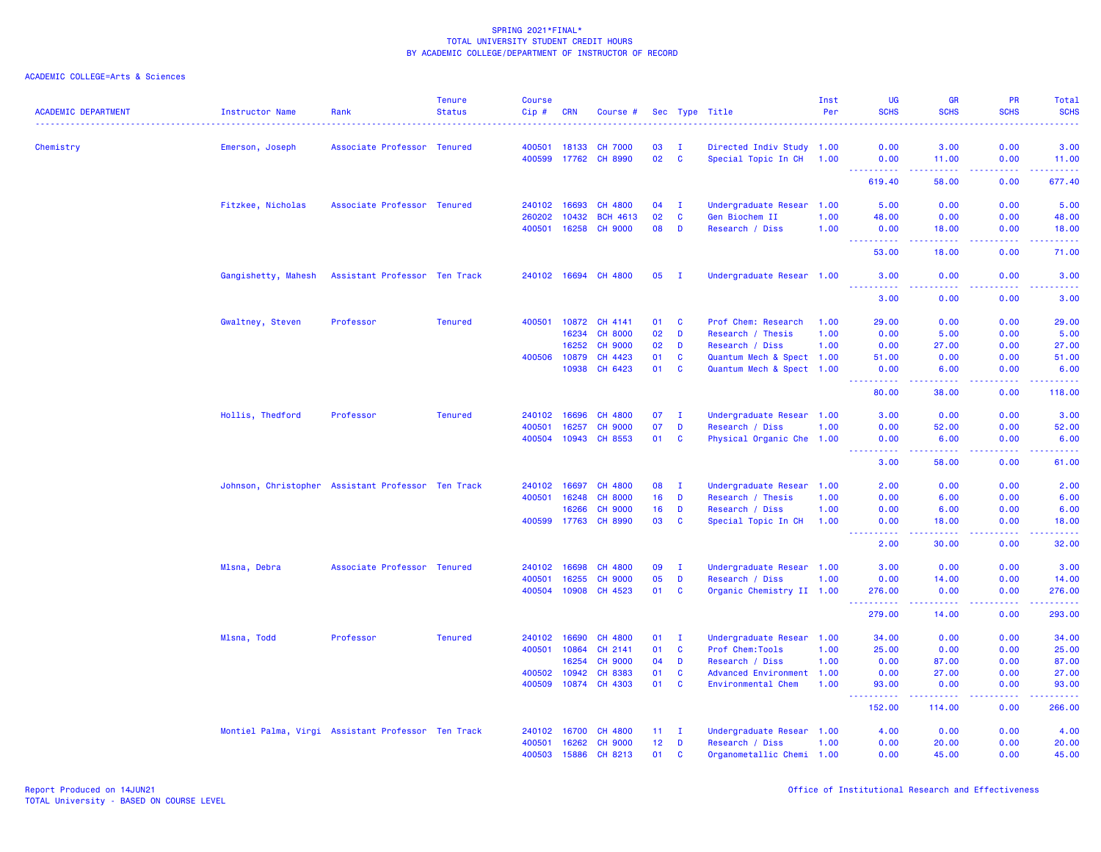| <b>ACADEMIC DEPARTMENT</b> | Instructor Name     | Rank                                               | <b>Tenure</b><br><b>Status</b> | <b>Course</b><br>Cip# | CRN   | Course #             |                 |                              | Sec Type Title                    | Inst<br>Per  | <b>UG</b><br><b>SCHS</b>  | <b>GR</b><br><b>SCHS</b>                                                                                                                                     | <b>PR</b><br><b>SCHS</b> | Total<br><b>SCHS</b>                                                                                                              |
|----------------------------|---------------------|----------------------------------------------------|--------------------------------|-----------------------|-------|----------------------|-----------------|------------------------------|-----------------------------------|--------------|---------------------------|--------------------------------------------------------------------------------------------------------------------------------------------------------------|--------------------------|-----------------------------------------------------------------------------------------------------------------------------------|
| Chemistry                  | Emerson, Joseph     | Associate Professor Tenured                        |                                | 400501                | 18133 | <b>CH 7000</b>       | 03              | $\mathbf I$                  | Directed Indiv Study 1.00         |              | 0.00                      | 3.00                                                                                                                                                         | 0.00                     | 3.00                                                                                                                              |
|                            |                     |                                                    |                                | 400599 17762          |       | <b>CH 8990</b>       | 02              | $\mathbf{C}$                 | Special Topic In CH 1.00          |              | 0.00                      | 11.00                                                                                                                                                        | 0.00                     | 11.00                                                                                                                             |
|                            |                     |                                                    |                                |                       |       |                      |                 |                              |                                   |              | <u>.</u><br>619.40        | .<br>58.00                                                                                                                                                   | .<br>0.00                | $- - - - - - -$<br>677.40                                                                                                         |
|                            |                     |                                                    |                                |                       | 16693 | CH 4800              |                 |                              |                                   |              | 5.00                      | 0.00                                                                                                                                                         | 0.00                     |                                                                                                                                   |
|                            | Fitzkee, Nicholas   | Associate Professor Tenured                        |                                | 240102<br>260202      | 10432 | <b>BCH 4613</b>      | 04<br>02        | $\mathbf{I}$<br>$\mathbf{C}$ | Undergraduate Resear              | 1.00<br>1.00 | 48.00                     | 0.00                                                                                                                                                         | 0.00                     | 5.00<br>48.00                                                                                                                     |
|                            |                     |                                                    |                                | 400501                | 16258 | <b>CH 9000</b>       | 80              | D                            | Gen Biochem II<br>Research / Diss | 1.00         | 0.00                      | 18.00                                                                                                                                                        | 0.00                     | 18.00                                                                                                                             |
|                            |                     |                                                    |                                |                       |       |                      |                 |                              |                                   |              | .<br>$\sim$ $\sim$ $\sim$ | -----                                                                                                                                                        | .                        | .                                                                                                                                 |
|                            |                     |                                                    |                                |                       |       |                      |                 |                              |                                   |              | 53.00                     | 18.00                                                                                                                                                        | 0.00                     | 71.00                                                                                                                             |
|                            | Gangishetty, Mahesh | Assistant Professor Ten Track                      |                                |                       |       | 240102 16694 CH 4800 | 05              | - I                          | Undergraduate Resear 1.00         |              | 3.00                      | 0.00<br>بالمحام                                                                                                                                              | 0.00<br>بالمحامي         | 3.00<br>$\frac{1}{2} \left( \frac{1}{2} \right) \left( \frac{1}{2} \right) \left( \frac{1}{2} \right) \left( \frac{1}{2} \right)$ |
|                            |                     |                                                    |                                |                       |       |                      |                 |                              |                                   |              | 3.00                      | 0.00                                                                                                                                                         | 0.00                     | 3.00                                                                                                                              |
|                            | Gwaltney, Steven    | Professor                                          | <b>Tenured</b>                 | 400501                | 10872 | CH 4141              | 01              | C                            | Prof Chem: Research               | 1.00         | 29.00                     | 0.00                                                                                                                                                         | 0.00                     | 29.00                                                                                                                             |
|                            |                     |                                                    |                                |                       | 16234 | <b>CH 8000</b>       | 02              | D                            | Research / Thesis                 | 1.00         | 0.00                      | 5.00                                                                                                                                                         | 0.00                     | 5.00                                                                                                                              |
|                            |                     |                                                    |                                |                       | 16252 | <b>CH 9000</b>       | 02              | D                            | Research / Diss                   | 1.00         | 0.00                      | 27.00                                                                                                                                                        | 0.00                     | 27.00                                                                                                                             |
|                            |                     |                                                    |                                | 400506                | 10879 | CH 4423              | 01              | C                            | Quantum Mech & Spect 1.00         |              | 51.00                     | 0.00                                                                                                                                                         | 0.00                     | 51.00                                                                                                                             |
|                            |                     |                                                    |                                |                       | 10938 | CH 6423              | 01              | $\mathbf c$                  | Quantum Mech & Spect 1.00         |              | 0.00<br>.                 | 6.00<br>$\frac{1}{2} \left( \frac{1}{2} \right) \left( \frac{1}{2} \right) \left( \frac{1}{2} \right) \left( \frac{1}{2} \right) \left( \frac{1}{2} \right)$ | 0.00<br>22222            | 6.00<br>$\begin{array}{cccccccccc} \bullet & \bullet & \bullet & \bullet & \bullet & \bullet & \bullet & \bullet \end{array}$     |
|                            |                     |                                                    |                                |                       |       |                      |                 |                              |                                   |              | 80.00                     | 38.00                                                                                                                                                        | 0.00                     | 118.00                                                                                                                            |
|                            | Hollis, Thedford    | Professor                                          | <b>Tenured</b>                 | 240102                | 16696 | CH 4800              | 07              | п                            | Undergraduate Resear 1.00         |              | 3.00                      | 0.00                                                                                                                                                         | 0.00                     | 3.00                                                                                                                              |
|                            |                     |                                                    |                                | 400501                | 16257 | <b>CH 9000</b>       | 07              | D                            | Research / Diss                   | 1.00         | 0.00                      | 52.00                                                                                                                                                        | 0.00                     | 52.00                                                                                                                             |
|                            |                     |                                                    |                                | 400504 10943          |       | CH 8553              | 01              | $\mathbf{C}$                 | Physical Organic Che 1.00         |              | 0.00<br>.                 | 6.00<br>$\frac{1}{2} \left( \frac{1}{2} \right) \left( \frac{1}{2} \right) \left( \frac{1}{2} \right) \left( \frac{1}{2} \right) \left( \frac{1}{2} \right)$ | 0.00<br>22222            | 6.00<br>.                                                                                                                         |
|                            |                     |                                                    |                                |                       |       |                      |                 |                              |                                   |              | 3.00                      | 58.00                                                                                                                                                        | 0.00                     | 61.00                                                                                                                             |
|                            |                     | Johnson, Christopher Assistant Professor Ten Track |                                | 240102                | 16697 | CH 4800              | 08              | $\mathbf I$                  | Undergraduate Resear 1.00         |              | 2.00                      | 0.00                                                                                                                                                         | 0.00                     | 2.00                                                                                                                              |
|                            |                     |                                                    |                                | 400501                | 16248 | <b>CH 8000</b>       | 16              | D                            | Research / Thesis                 | 1.00         | 0.00                      | 6.00                                                                                                                                                         | 0.00                     | 6.00                                                                                                                              |
|                            |                     |                                                    |                                |                       | 16266 | <b>CH 9000</b>       | 16              | D                            | Research / Diss                   | 1.00         | 0.00                      | 6.00                                                                                                                                                         | 0.00                     | 6.00                                                                                                                              |
|                            |                     |                                                    |                                | 400599                | 17763 | <b>CH 8990</b>       | 03              | C                            | Special Topic In CH               | 1.00         | 0.00<br>.                 | 18,00<br>22222                                                                                                                                               | 0.00<br>. <b>.</b>       | 18.00<br>.                                                                                                                        |
|                            |                     |                                                    |                                |                       |       |                      |                 |                              |                                   |              | 2.00                      | 30.00                                                                                                                                                        | 0.00                     | 32.00                                                                                                                             |
|                            | Mlsna, Debra        | Associate Professor Tenured                        |                                | 240102                | 16698 | CH 4800              | 09              | I.                           | Undergraduate Resear 1.00         |              | 3.00                      | 0.00                                                                                                                                                         | 0.00                     | 3.00                                                                                                                              |
|                            |                     |                                                    |                                | 400501                | 16255 | <b>CH 9000</b>       | 05              | D                            | Research / Diss                   | 1.00         | 0.00                      | 14.00                                                                                                                                                        | 0.00                     | 14.00                                                                                                                             |
|                            |                     |                                                    |                                | 400504                | 10908 | CH 4523              | 01              | $\mathbf{C}$                 | Organic Chemistry II 1.00         |              | 276.00<br>.               | 0.00<br>.                                                                                                                                                    | 0.00<br>.                | 276.00<br>بالمستعب                                                                                                                |
|                            |                     |                                                    |                                |                       |       |                      |                 |                              |                                   |              | 279.00                    | 14.00                                                                                                                                                        | 0.00                     | 293.00                                                                                                                            |
|                            | Mlsna, Todd         | Professor                                          | <b>Tenured</b>                 | 240102                | 16690 | CH 4800              | 01              | $\mathbf{I}$                 | Undergraduate Resear 1.00         |              | 34.00                     | 0.00                                                                                                                                                         | 0.00                     | 34.00                                                                                                                             |
|                            |                     |                                                    |                                | 400501                | 10864 | CH 2141              | 01              | $\mathbf{C}$                 | Prof Chem: Tools                  | 1.00         | 25.00                     | 0.00                                                                                                                                                         | 0.00                     | 25.00                                                                                                                             |
|                            |                     |                                                    |                                |                       | 16254 | <b>CH 9000</b>       | 04              | D                            | Research / Diss                   | 1.00         | 0.00                      | 87.00                                                                                                                                                        | 0.00                     | 87.00                                                                                                                             |
|                            |                     |                                                    |                                | 400502                | 10942 | CH 8383              | 01              | $\mathbf{C}$                 | Advanced Environment 1.00         |              | 0.00                      | 27.00                                                                                                                                                        | 0.00                     | 27.00                                                                                                                             |
|                            |                     |                                                    |                                | 400509                | 10874 | CH 4303              | 01              | $\mathbf c$                  | Environmental Chem                | 1.00         | 93.00<br><b>.</b>         | 0.00<br>$-1 - 1 - 1$                                                                                                                                         | 0.00<br>22222            | 93.00<br>.                                                                                                                        |
|                            |                     |                                                    |                                |                       |       |                      |                 |                              |                                   |              | 152.00                    | 114.00                                                                                                                                                       | 0.00                     | 266.00                                                                                                                            |
|                            |                     | Montiel Palma, Virgi Assistant Professor Ten Track |                                | 240102                | 16700 | CH 4800              | 11              | $\mathbf{I}$                 | Undergraduate Resear 1.00         |              | 4.00                      | 0.00                                                                                                                                                         | 0.00                     | 4.00                                                                                                                              |
|                            |                     |                                                    |                                | 400501                | 16262 | <b>CH 9000</b>       | 12 <sub>2</sub> | D                            | Research / Diss                   | 1.00         | 0.00                      | 20.00                                                                                                                                                        | 0.00                     | 20.00                                                                                                                             |
|                            |                     |                                                    |                                | 400503                | 15886 | CH 8213              | 01              | C                            | Organometallic Chemi 1.00         |              | 0.00                      | 45.00                                                                                                                                                        | 0.00                     | 45.00                                                                                                                             |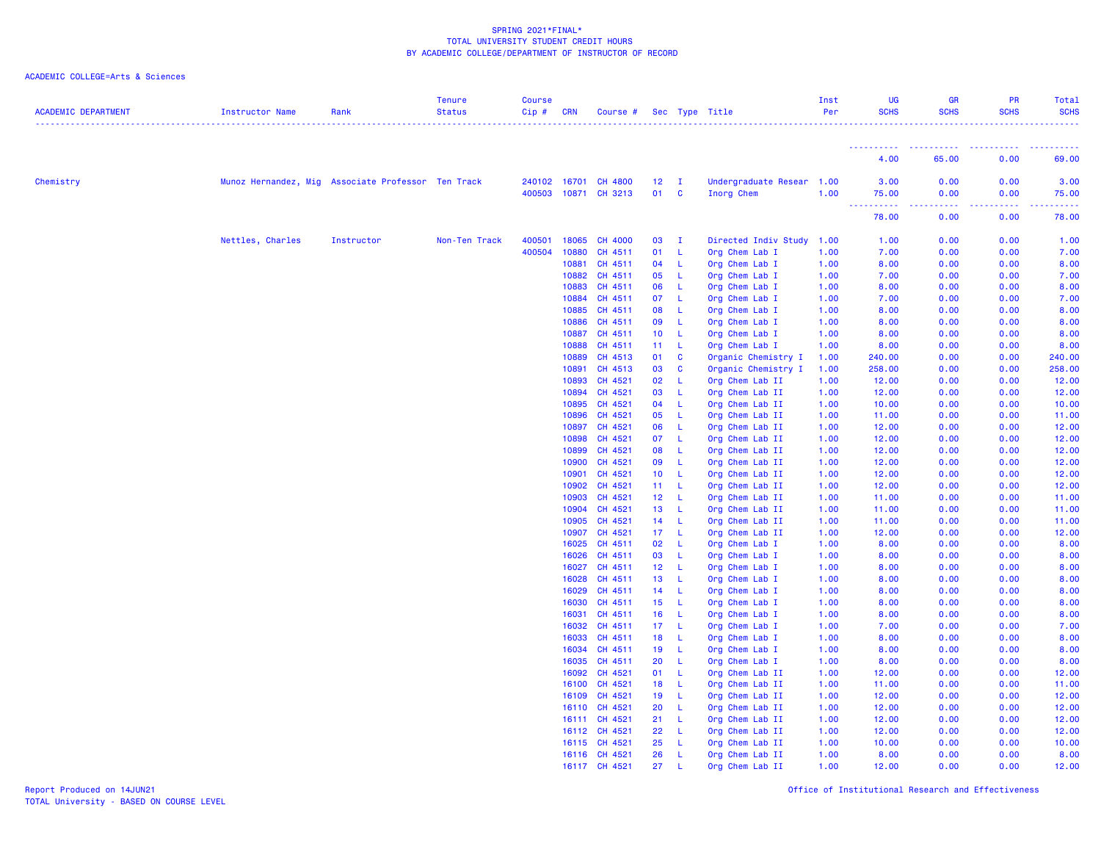| <b>ACADEMIC DEPARTMENT</b> | Instructor Name                                    | Rank       | <b>Tenure</b><br><b>Status</b> | <b>Course</b><br>Cip# | <b>CRN</b>     | Course #           |                       |              | Sec Type Title                   | Inst<br>Per  | UG<br><b>SCHS</b>        | GR<br><b>SCHS</b> | PR<br><b>SCHS</b> | Total<br><b>SCHS</b> |
|----------------------------|----------------------------------------------------|------------|--------------------------------|-----------------------|----------------|--------------------|-----------------------|--------------|----------------------------------|--------------|--------------------------|-------------------|-------------------|----------------------|
|                            |                                                    |            |                                |                       |                |                    |                       |              |                                  |              | .                        |                   |                   |                      |
|                            |                                                    |            |                                |                       |                |                    |                       |              |                                  |              | 4.00                     | 65.00             | 0.00              | 69.00                |
| Chemistry                  | Munoz Hernandez, Mig Associate Professor Ten Track |            |                                | 240102 16701          |                | CH 4800            | 12 <sup>2</sup>       | $\mathbf{I}$ | Undergraduate Resear 1.00        |              | 3.00                     | 0.00              | 0.00              | 3.00                 |
|                            |                                                    |            |                                | 400503                | 10871          | CH 3213            | 01                    | C            | Inorg Chem                       | 1.00         | 75.00<br><u>.</u><br>444 | 0.00<br>.         | 0.00<br>.         | 75.00<br>.           |
|                            |                                                    |            |                                |                       |                |                    |                       |              |                                  |              | 78.00                    | 0.00              | 0.00              | 78.00                |
|                            | Nettles, Charles                                   | Instructor | Non-Ten Track                  | 400501                | 18065          | CH 4000            | 03                    | $\mathbf{I}$ | Directed Indiv Study 1.00        |              | 1.00                     | 0.00              | 0.00              | 1.00                 |
|                            |                                                    |            |                                | 400504                | 10880          | CH 4511            | 01                    | -L           | Org Chem Lab I                   | 1.00         | 7.00                     | 0.00              | 0.00              | 7.00                 |
|                            |                                                    |            |                                |                       | 10881          | CH 4511            | 04                    | -L           | Org Chem Lab I                   | 1.00         | 8.00                     | 0.00              | 0.00              | 8.00                 |
|                            |                                                    |            |                                |                       | 10882          | CH 4511            | 05                    | -L           | Org Chem Lab I                   | 1.00         | 7.00                     | 0.00              | 0.00              | 7.00                 |
|                            |                                                    |            |                                |                       | 10883          | CH 4511            | 06                    | -L           | Org Chem Lab I                   | 1.00         | 8.00                     | 0.00              | 0.00              | 8.00                 |
|                            |                                                    |            |                                |                       | 10884          | CH 4511            | 07                    | L.           | Org Chem Lab I                   | 1.00         | 7.00                     | 0.00              | 0.00              | 7.00                 |
|                            |                                                    |            |                                |                       | 10885          | CH 4511            | 08                    | -L.          | Org Chem Lab I                   | 1.00         | 8.00                     | 0.00              | 0.00              | 8.00                 |
|                            |                                                    |            |                                |                       | 10886          | CH 4511            | 09                    | $\mathsf{L}$ | Org Chem Lab I                   | 1.00         | 8.00                     | 0.00              | 0.00              | 8.00                 |
|                            |                                                    |            |                                |                       | 10887          | CH 4511            | 10                    | $\mathbb{L}$ | Org Chem Lab I                   | 1.00         | 8.00                     | 0.00              | 0.00              | 8.00                 |
|                            |                                                    |            |                                |                       | 10888          | CH 4511            | 11                    | -L           | Org Chem Lab I                   | 1.00         | 8.00                     | 0.00              | 0.00              | 8.00                 |
|                            |                                                    |            |                                |                       | 10889          | CH 4513            | 01                    | $\mathbf{C}$ | Organic Chemistry I              | 1.00         | 240.00                   | 0.00              | 0.00              | 240.00               |
|                            |                                                    |            |                                |                       | 10891          | CH 4513            | 03                    | C            | Organic Chemistry I              | 1.00         | 258.00                   | 0.00              | 0.00              | 258.00               |
|                            |                                                    |            |                                |                       | 10893          | CH 4521            | 02                    | L.           | Org Chem Lab II                  | 1.00         | 12.00                    | 0.00              | 0.00              | 12.00                |
|                            |                                                    |            |                                |                       | 10894          | CH 4521            | 03                    | -L.          | Org Chem Lab II                  | 1.00         | 12.00                    | 0.00              | 0.00              | 12.00                |
|                            |                                                    |            |                                |                       | 10895          | CH 4521            | 04                    | -L           | Org Chem Lab II                  | 1.00         | 10.00                    | 0.00              | 0.00              | 10.00                |
|                            |                                                    |            |                                |                       | 10896          | CH 4521            | 05                    | $\mathsf{L}$ | Org Chem Lab II                  | 1.00         | 11.00                    | 0.00              | 0.00              | 11.00                |
|                            |                                                    |            |                                |                       | 10897          | CH 4521            | 06                    | L.           | Org Chem Lab II                  | 1.00         | 12.00                    | 0.00              | 0.00              | 12.00                |
|                            |                                                    |            |                                |                       | 10898          | CH 4521            | 07                    | -L           | Org Chem Lab II                  | 1.00         | 12.00                    | 0.00              | 0.00              | 12.00                |
|                            |                                                    |            |                                |                       | 10899          | CH 4521            | 08                    | -L           | Org Chem Lab II                  | 1.00         | 12.00                    | 0.00              | 0.00              | 12.00                |
|                            |                                                    |            |                                |                       | 10900          | CH 4521            | 09                    | L.           | Org Chem Lab II                  | 1.00         | 12.00                    | 0.00              | 0.00              | 12.00                |
|                            |                                                    |            |                                |                       | 10901          | CH 4521            | 10 <sub>1</sub>       | -L           | Org Chem Lab II                  | 1.00         | 12.00                    | 0.00              | 0.00              | 12.00                |
|                            |                                                    |            |                                |                       | 10902          | CH 4521            | $11 -$                | - L          | Org Chem Lab II                  | 1.00         | 12.00                    | 0.00              | 0.00              | 12.00                |
|                            |                                                    |            |                                |                       | 10903          | CH 4521            | 12 <sub>2</sub>       | $\mathbb{E}$ | Org Chem Lab II                  | 1.00         | 11.00                    | 0.00              | 0.00              | 11.00                |
|                            |                                                    |            |                                |                       | 10904          | CH 4521            | 13                    | -L.          | Org Chem Lab II                  | 1.00         | 11.00                    | 0.00              | 0.00              | 11.00                |
|                            |                                                    |            |                                |                       | 10905          | CH 4521            | 14                    | - L          | Org Chem Lab II                  | 1.00         | 11.00                    | 0.00              | 0.00              | 11.00                |
|                            |                                                    |            |                                |                       | 10907          | CH 4521            | 17 <sub>2</sub>       | -L           | Org Chem Lab II                  | 1.00         | 12.00                    | 0.00              | 0.00              | 12.00                |
|                            |                                                    |            |                                |                       | 16025          | CH 4511            | 02                    | -L<br>-L.    | Org Chem Lab I                   | 1.00         | 8.00<br>8.00             | 0.00              | 0.00              | 8.00                 |
|                            |                                                    |            |                                |                       | 16026          | CH 4511            | 03                    | - L          | Org Chem Lab I                   | 1.00         | 8.00                     | 0.00              | 0.00              | 8.00                 |
|                            |                                                    |            |                                |                       | 16027<br>16028 | CH 4511<br>CH 4511 | 12 <sub>1</sub><br>13 | - L          | Org Chem Lab I<br>Org Chem Lab I | 1.00         | 8.00                     | 0.00<br>0.00      | 0.00<br>0.00      | 8.00<br>8.00         |
|                            |                                                    |            |                                |                       | 16029          | CH 4511            | 14                    | -L           | Org Chem Lab I                   | 1.00<br>1.00 | 8.00                     | 0.00              | 0.00              | 8.00                 |
|                            |                                                    |            |                                |                       | 16030          | CH 4511            | 15 <sub>1</sub>       | -L           | Org Chem Lab I                   | 1.00         | 8.00                     | 0.00              | 0.00              | 8.00                 |
|                            |                                                    |            |                                |                       | 16031          | CH 4511            | 16                    | - L          | Org Chem Lab I                   | 1.00         | 8.00                     | 0.00              | 0.00              | 8.00                 |
|                            |                                                    |            |                                |                       | 16032          | CH 4511            | 17                    | -L.          | Org Chem Lab I                   | 1.00         | 7.00                     | 0.00              | 0.00              | 7.00                 |
|                            |                                                    |            |                                |                       | 16033          | CH 4511            | 18                    | -L           | Org Chem Lab I                   | 1.00         | 8.00                     | 0.00              | 0.00              | 8.00                 |
|                            |                                                    |            |                                |                       | 16034          | CH 4511            | 19                    | $\mathsf{L}$ | Org Chem Lab I                   | 1.00         | 8.00                     | 0.00              | 0.00              | 8.00                 |
|                            |                                                    |            |                                |                       | 16035          | CH 4511            | 20                    | L.           | Org Chem Lab I                   | 1.00         | 8.00                     | 0.00              | 0.00              | 8.00                 |
|                            |                                                    |            |                                |                       | 16092          | CH 4521            | 01                    | -L           | Org Chem Lab II                  | 1.00         | 12.00                    | 0.00              | 0.00              | 12.00                |
|                            |                                                    |            |                                |                       | 16100          | CH 4521            | 18                    | -L           | Org Chem Lab II                  | 1.00         | 11.00                    | 0.00              | 0.00              | 11.00                |
|                            |                                                    |            |                                |                       | 16109          | CH 4521            | 19                    | -L           | Org Chem Lab II                  | 1.00         | 12.00                    | 0.00              | 0.00              | 12.00                |
|                            |                                                    |            |                                |                       | 16110          | CH 4521            | 20                    | -L.          | Org Chem Lab II                  | 1.00         | 12.00                    | 0.00              | 0.00              | 12.00                |
|                            |                                                    |            |                                |                       | 16111          | CH 4521            | 21                    | -L           | Org Chem Lab II                  | 1.00         | 12.00                    | 0.00              | 0.00              | 12.00                |
|                            |                                                    |            |                                |                       |                | 16112 CH 4521      | 22                    | -L           | Org Chem Lab II                  | 1.00         | 12.00                    | 0.00              | 0.00              | 12.00                |
|                            |                                                    |            |                                |                       | 16115          | CH 4521            | 25                    | L.           | Org Chem Lab II                  | 1.00         | 10.00                    | 0.00              | 0.00              | 10.00                |
|                            |                                                    |            |                                |                       |                | 16116 CH 4521      | 26                    | L            | Org Chem Lab II                  | 1.00         | 8.00                     | 0.00              | 0.00              | 8.00                 |
|                            |                                                    |            |                                |                       | 16117          | CH 4521            | 27                    | $\mathbf{I}$ | Org Chem Lab II                  | 1.00         | 12.00                    | 0.00              | 0.00              | 12.00                |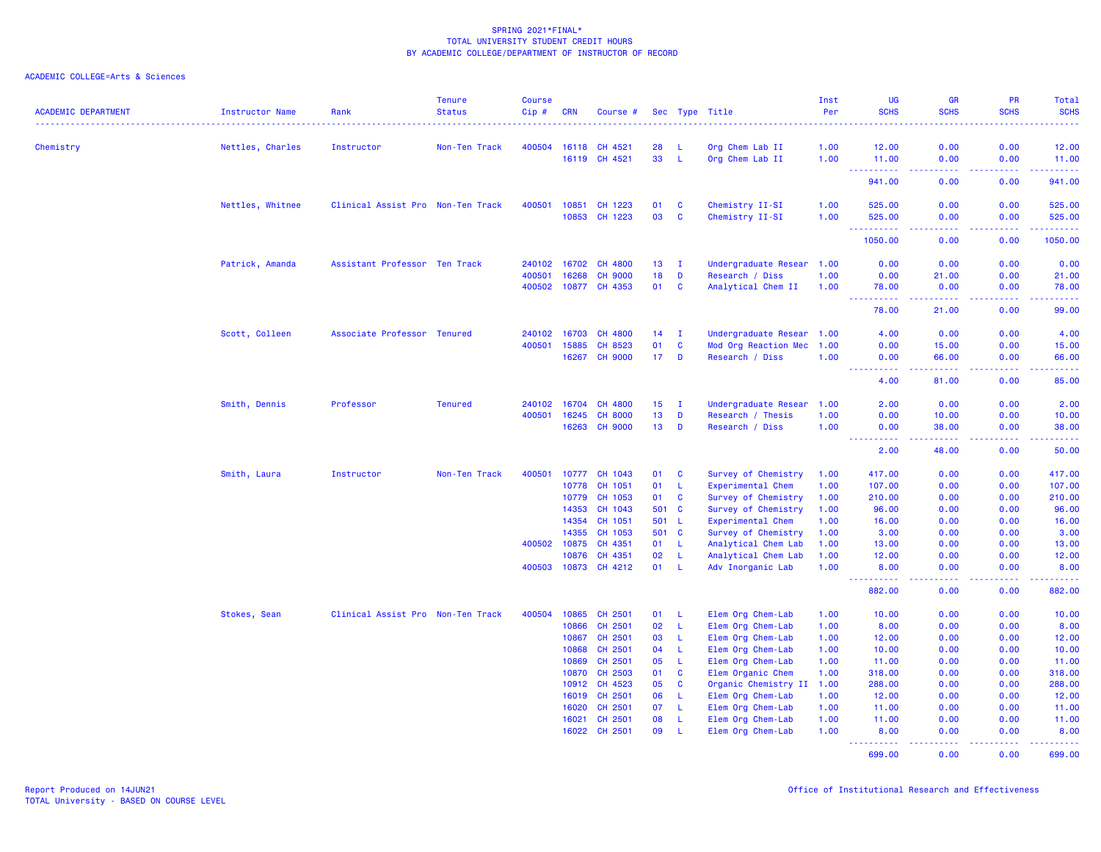| <b>ACADEMIC DEPARTMENT</b> | <b>Instructor Name</b> | Rank                              | <b>Tenure</b><br><b>Status</b> | <b>Course</b><br>$Cip \#$ | <b>CRN</b>     | Course #           |                  |                    | Sec Type Title                             | Inst<br>Per  | <b>UG</b><br><b>SCHS</b>      | <b>GR</b><br><b>SCHS</b>                                                                                                                                      | <b>PR</b><br><b>SCHS</b> | <b>Total</b><br><b>SCHS</b><br>$\frac{1}{2} \left( \frac{1}{2} \right) \left( \frac{1}{2} \right) \left( \frac{1}{2} \right) \left( \frac{1}{2} \right)$ |
|----------------------------|------------------------|-----------------------------------|--------------------------------|---------------------------|----------------|--------------------|------------------|--------------------|--------------------------------------------|--------------|-------------------------------|---------------------------------------------------------------------------------------------------------------------------------------------------------------|--------------------------|----------------------------------------------------------------------------------------------------------------------------------------------------------|
| Chemistry                  | Nettles, Charles       | Instructor                        | Non-Ten Track                  | 400504                    | 16118          | CH 4521            | 28               | -1.                | Org Chem Lab II                            | 1.00         | 12.00                         | 0.00                                                                                                                                                          | 0.00                     | 12.00                                                                                                                                                    |
|                            |                        |                                   |                                |                           | 16119          | CH 4521            | 33               | -L                 | Org Chem Lab II                            | 1.00         | 11.00                         | 0.00                                                                                                                                                          | 0.00                     | 11.00                                                                                                                                                    |
|                            |                        |                                   |                                |                           |                |                    |                  |                    |                                            |              | $\sim 100$<br>941.00          | د د د د<br>0.00                                                                                                                                               | .<br>0.00                | $\begin{array}{cccccccccc} \bullet & \bullet & \bullet & \bullet & \bullet & \bullet & \bullet \end{array}$<br>941.00                                    |
|                            | Nettles, Whitnee       | Clinical Assist Pro Non-Ten Track |                                | 400501                    | 10851          | 1223<br>CH         | 01               | C                  | Chemistry II-SI                            | 1.00         | 525.00                        | 0.00                                                                                                                                                          | 0.00                     | 525.00                                                                                                                                                   |
|                            |                        |                                   |                                |                           | 10853          | CH 1223            | 03               | $\mathbf c$        | Chemistry II-SI                            | 1.00         | 525.00                        | 0.00                                                                                                                                                          | 0.00                     | 525.00                                                                                                                                                   |
|                            |                        |                                   |                                |                           |                |                    |                  |                    |                                            |              | <b></b><br>1050.00            | .<br>0.00                                                                                                                                                     | .<br>0.00                | .<br>1050.00                                                                                                                                             |
|                            | Patrick, Amanda        | Assistant Professor Ten Track     |                                | 240102                    | 16702          | CH 4800            | 13 <sup>°</sup>  | $\mathbf I$        | Undergraduate Resear 1.00                  |              | 0.00                          | 0.00                                                                                                                                                          | 0.00                     | 0.00                                                                                                                                                     |
|                            |                        |                                   |                                | 400501                    | 16268          | <b>CH 9000</b>     | 18               | D                  | Research / Diss                            | 1.00         | 0.00                          | 21.00                                                                                                                                                         | 0.00                     | 21.00                                                                                                                                                    |
|                            |                        |                                   |                                | 400502                    | 10877          | CH 4353            | 01               | C                  | Analytical Chem II                         | 1.00         | 78.00<br>$\sim 10$<br>د د د د | 0.00                                                                                                                                                          | 0.00                     | 78.00<br>وعاعاها                                                                                                                                         |
|                            |                        |                                   |                                |                           |                |                    |                  |                    |                                            |              | 78.00                         | 21.00                                                                                                                                                         | 0.00                     | 99.00                                                                                                                                                    |
|                            | Scott, Colleen         | Associate Professor Tenured       |                                | 240102                    | 16703          | CH 4800            | 14               | п                  | Undergraduate Resear 1.00                  |              | 4.00                          | 0.00                                                                                                                                                          | 0.00                     | 4.00                                                                                                                                                     |
|                            |                        |                                   |                                | 400501                    | 15885          | CH 8523            | 01               | $\mathbf c$        | Mod Org Reaction Mec                       | 1.00         | 0.00                          | 15.00                                                                                                                                                         | 0.00                     | 15.00                                                                                                                                                    |
|                            |                        |                                   |                                |                           | 16267          | <b>CH 9000</b>     | 17 <sub>2</sub>  | D                  | Research / Diss                            | 1.00         | 0.00<br>$\sim$ $\sim$ $\sim$  | 66.00                                                                                                                                                         | 0.00                     | 66.00<br>وعاعاها                                                                                                                                         |
|                            |                        |                                   |                                |                           |                |                    |                  |                    |                                            |              | 4.00                          | 81.00                                                                                                                                                         | 0.00                     | 85.00                                                                                                                                                    |
|                            | Smith, Dennis          | Professor                         | <b>Tenured</b>                 | 240102                    | 16704          | CH 4800            | 15 <sub>15</sub> | $\mathbf I$        | Undergraduate Resear                       | 1.00         | 2.00                          | 0.00                                                                                                                                                          | 0.00                     | 2.00                                                                                                                                                     |
|                            |                        |                                   |                                | 400501                    | 16245          | <b>CH 8000</b>     | 13               | D                  | Research / Thesis                          | 1.00         | 0.00                          | 10.00                                                                                                                                                         | 0.00                     | 10.00                                                                                                                                                    |
|                            |                        |                                   |                                |                           | 16263          | <b>CH 9000</b>     | 13               | D                  | Research / Diss                            | 1.00         | 0.00<br><b></b>               | 38.00<br>$\frac{1}{2} \left( \frac{1}{2} \right) \left( \frac{1}{2} \right) \left( \frac{1}{2} \right) \left( \frac{1}{2} \right) \left( \frac{1}{2} \right)$ | 0.00<br>.                | 38.00<br>.                                                                                                                                               |
|                            |                        |                                   |                                |                           |                |                    |                  |                    |                                            |              | 2.00                          | 48.00                                                                                                                                                         | 0.00                     | 50.00                                                                                                                                                    |
|                            | Smith, Laura           | Instructor                        | Non-Ten Track                  | 400501                    | 10777          | CH 1043            | 01               | C                  | Survey of Chemistry                        | 1.00         | 417.00                        | 0.00                                                                                                                                                          | 0.00                     | 417.00                                                                                                                                                   |
|                            |                        |                                   |                                |                           | 10778          | CH 1051            | 01               | L                  | Experimental Chem                          | 1.00         | 107.00                        | 0.00                                                                                                                                                          | 0.00                     | 107.00                                                                                                                                                   |
|                            |                        |                                   |                                |                           | 10779          | CH 1053            | 01               | $\mathbf c$        | Survey of Chemistry                        | 1.00         | 210.00                        | 0.00                                                                                                                                                          | 0.00                     | 210.00                                                                                                                                                   |
|                            |                        |                                   |                                |                           | 14353          | CH 1043            | 501              | $\mathbf{C}$       | Survey of Chemistry                        | 1.00         | 96.00                         | 0.00                                                                                                                                                          | 0.00                     | 96.00                                                                                                                                                    |
|                            |                        |                                   |                                |                           | 14354          | CH 1051            | 501              | - L                | Experimental Chem                          | 1.00         | 16.00                         | 0.00                                                                                                                                                          | 0.00                     | 16.00                                                                                                                                                    |
|                            |                        |                                   |                                | 400502                    | 14355<br>10875 | CH 1053<br>CH 4351 | 501<br>01        | $\mathbf{C}$<br>L  | Survey of Chemistry<br>Analytical Chem Lab | 1.00<br>1.00 | 3.00<br>13.00                 | 0.00<br>0.00                                                                                                                                                  | 0.00<br>0.00             | 3.00<br>13.00                                                                                                                                            |
|                            |                        |                                   |                                |                           | 10876          | CH 4351            | 02               | -L                 | Analytical Chem Lab                        | 1.00         | 12.00                         | 0.00                                                                                                                                                          | 0.00                     | 12.00                                                                                                                                                    |
|                            |                        |                                   |                                | 400503                    |                | 10873 CH 4212      | 01               | -L                 | Adv Inorganic Lab                          | 1.00         | 8.00                          | 0.00                                                                                                                                                          | 0.00                     | 8.00                                                                                                                                                     |
|                            |                        |                                   |                                |                           |                |                    |                  |                    |                                            |              | . <u>.</u> .<br>882.00        | $\frac{1}{2} \left( \frac{1}{2} \right) \left( \frac{1}{2} \right) \left( \frac{1}{2} \right)$<br>0.00                                                        | .<br>0.00                | .<br>882.00                                                                                                                                              |
|                            | Stokes, Sean           | Clinical Assist Pro Non-Ten Track |                                | 400504                    | 10865          | CH 2501            | 01               | -L                 | Elem Org Chem-Lab                          | 1.00         | 10.00                         | 0.00                                                                                                                                                          | 0.00                     | 10.00                                                                                                                                                    |
|                            |                        |                                   |                                |                           | 10866          | CH 2501            | 02               | $\mathbf{L}$       | Elem Org Chem-Lab                          | 1.00         | 8.00                          | 0.00                                                                                                                                                          | 0.00                     | 8.00                                                                                                                                                     |
|                            |                        |                                   |                                |                           | 10867          | CH 2501            | 03               | L                  | Elem Org Chem-Lab                          | 1.00         | 12.00                         | 0.00                                                                                                                                                          | 0.00                     | 12.00                                                                                                                                                    |
|                            |                        |                                   |                                |                           | 10868          | CH 2501            | 04               | L                  | Elem Org Chem-Lab                          | 1.00         | 10.00                         | 0.00                                                                                                                                                          | 0.00                     | 10.00                                                                                                                                                    |
|                            |                        |                                   |                                |                           | 10869          | CH 2501            | 05               | L                  | Elem Org Chem-Lab                          | 1.00         | 11.00                         | 0.00                                                                                                                                                          | 0.00                     | 11.00                                                                                                                                                    |
|                            |                        |                                   |                                |                           | 10870          | CH 2503            | 01               | $\mathbf c$        | Elem Organic Chem                          | 1.00         | 318.00                        | 0.00                                                                                                                                                          | 0.00                     | 318.00                                                                                                                                                   |
|                            |                        |                                   |                                |                           | 10912          | CH 4523            | 05               | C                  | Organic Chemistry II                       | 1.00         | 288.00                        | 0.00                                                                                                                                                          | 0.00                     | 288.00                                                                                                                                                   |
|                            |                        |                                   |                                |                           | 16019          | CH 2501            | 06               | L                  | Elem Org Chem-Lab                          | 1.00         | 12.00                         | 0.00                                                                                                                                                          | 0.00                     | 12.00                                                                                                                                                    |
|                            |                        |                                   |                                |                           | 16020          | CH 2501            | 07               | -L                 | Elem Org Chem-Lab                          | 1.00         | 11.00                         | 0.00<br>0.00                                                                                                                                                  | 0.00                     | 11.00                                                                                                                                                    |
|                            |                        |                                   |                                |                           | 16021<br>16022 | CH 2501<br>CH 2501 | 08<br>09         | -L<br>$\mathbf{I}$ | Elem Org Chem-Lab<br>Elem Org Chem-Lab     | 1.00<br>1.00 | 11.00<br>8.00                 | 0.00                                                                                                                                                          | 0.00<br>0.00             | 11.00<br>8.00                                                                                                                                            |
|                            |                        |                                   |                                |                           |                |                    |                  |                    |                                            |              | <u>.</u>                      | الداعات عا                                                                                                                                                    | .                        | $\begin{array}{cccccccccc} \bullet & \bullet & \bullet & \bullet & \bullet & \bullet & \bullet & \bullet \end{array}$                                    |
|                            |                        |                                   |                                |                           |                |                    |                  |                    |                                            |              | 699.00                        | 0.00                                                                                                                                                          | 0.00                     | 699.00                                                                                                                                                   |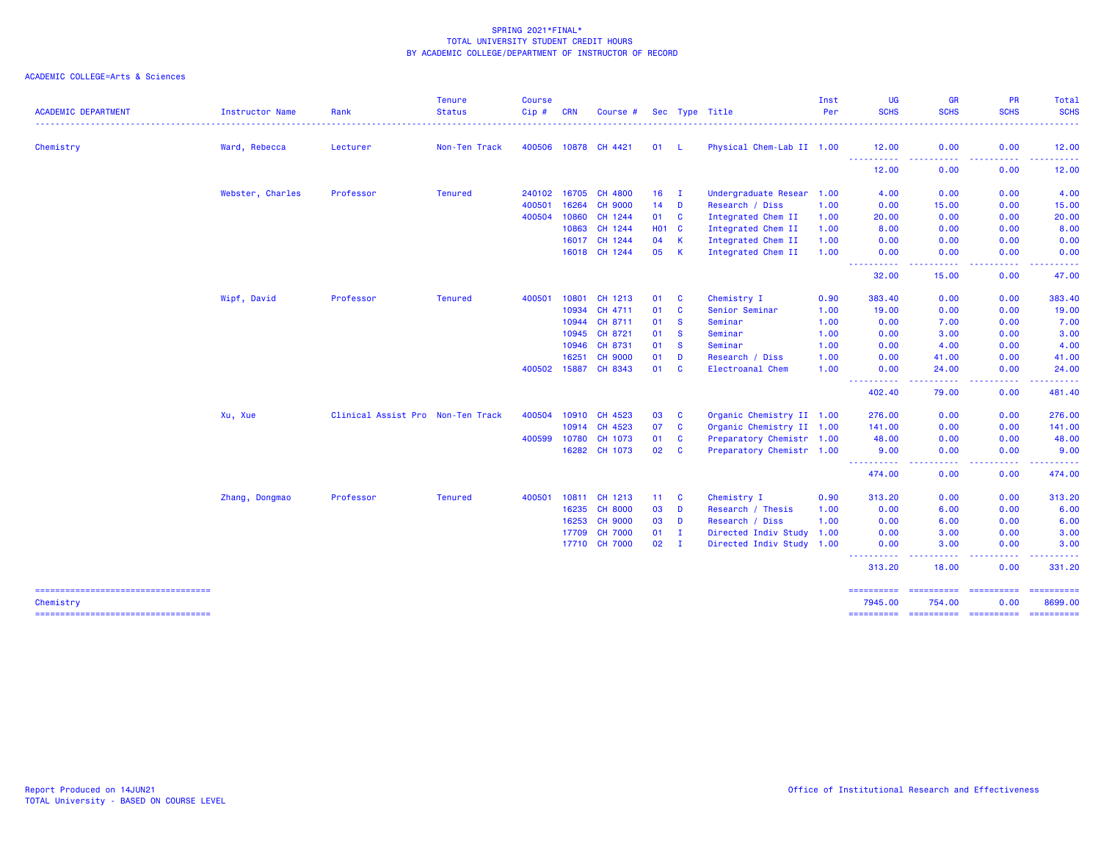| <b>ACADEMIC DEPARTMENT</b>                         | Instructor Name  | Rank                              | <b>Status</b>  | Cip#   | <b>CRN</b> | Course #       |              |              | Sec Type Title            | Inst<br>Per | <b>UG</b><br><b>SCHS</b> | <b>GR</b><br><b>SCHS</b>                                                                                                           | PR<br><b>SCHS</b>  | Total<br><b>SCHS</b>                                                                                                                                                                                                                                                                                                                                                                                                                                                                              |
|----------------------------------------------------|------------------|-----------------------------------|----------------|--------|------------|----------------|--------------|--------------|---------------------------|-------------|--------------------------|------------------------------------------------------------------------------------------------------------------------------------|--------------------|---------------------------------------------------------------------------------------------------------------------------------------------------------------------------------------------------------------------------------------------------------------------------------------------------------------------------------------------------------------------------------------------------------------------------------------------------------------------------------------------------|
|                                                    |                  |                                   |                |        |            |                |              |              |                           |             |                          | .                                                                                                                                  |                    | .                                                                                                                                                                                                                                                                                                                                                                                                                                                                                                 |
| Chemistry                                          | Ward, Rebecca    | Lecturer                          | Non-Ten Track  | 400506 | 10878      | CH 4421        | 01           | - L          | Physical Chem-Lab II 1.00 |             | 12.00<br><u>.</u>        | 0.00<br>.                                                                                                                          | 0.00<br>.          | 12.00                                                                                                                                                                                                                                                                                                                                                                                                                                                                                             |
|                                                    |                  |                                   |                |        |            |                |              |              |                           |             | 12.00                    | 0.00                                                                                                                               | 0.00               | 12.00                                                                                                                                                                                                                                                                                                                                                                                                                                                                                             |
|                                                    | Webster, Charles | Professor                         | <b>Tenured</b> | 240102 | 16705      | CH 4800        | 16           | $\mathbf{I}$ | Undergraduate Resear 1.00 |             | 4.00                     | 0.00                                                                                                                               | 0.00               | 4.00                                                                                                                                                                                                                                                                                                                                                                                                                                                                                              |
|                                                    |                  |                                   |                | 400501 | 16264      | <b>CH 9000</b> | 14           | D            | Research / Diss           | 1.00        | 0.00                     | 15.00                                                                                                                              | 0.00               | 15.00                                                                                                                                                                                                                                                                                                                                                                                                                                                                                             |
|                                                    |                  |                                   |                | 400504 | 10860      | CH 1244        | 01           | $\mathbf{C}$ | Integrated Chem II        | 1.00        | 20.00                    | 0.00                                                                                                                               | 0.00               | 20.00                                                                                                                                                                                                                                                                                                                                                                                                                                                                                             |
|                                                    |                  |                                   |                |        | 10863      | CH 1244        | <b>HO1 C</b> |              | Integrated Chem II        | 1.00        | 8.00                     | 0.00                                                                                                                               | 0.00               | 8.00                                                                                                                                                                                                                                                                                                                                                                                                                                                                                              |
|                                                    |                  |                                   |                |        | 16017      | CH 1244        | 04           | $\mathsf{K}$ | Integrated Chem II        | 1.00        | 0.00                     | 0.00                                                                                                                               | 0.00               | 0.00                                                                                                                                                                                                                                                                                                                                                                                                                                                                                              |
|                                                    |                  |                                   |                |        |            | 16018 CH 1244  | 05           | $\mathsf{K}$ | Integrated Chem II        | 1.00        | 0.00<br><u>.</u>         | 0.00<br>.                                                                                                                          | 0.00<br>.          | 0.00<br>.                                                                                                                                                                                                                                                                                                                                                                                                                                                                                         |
|                                                    |                  |                                   |                |        |            |                |              |              |                           |             | 32.00                    | 15.00                                                                                                                              | 0.00               | 47.00                                                                                                                                                                                                                                                                                                                                                                                                                                                                                             |
|                                                    | Wipf, David      | Professor                         | <b>Tenured</b> | 400501 | 10801      | CH 1213        | 01           | <b>C</b>     | Chemistry I               | 0.90        | 383,40                   | 0.00                                                                                                                               | 0.00               | 383.40                                                                                                                                                                                                                                                                                                                                                                                                                                                                                            |
|                                                    |                  |                                   |                |        | 10934      | CH 4711        | 01           | $\mathbf{C}$ | Senior Seminar            | 1.00        | 19.00                    | 0.00                                                                                                                               | 0.00               | 19.00                                                                                                                                                                                                                                                                                                                                                                                                                                                                                             |
|                                                    |                  |                                   |                |        | 10944      | CH 8711        | 01           | <b>S</b>     | Seminar                   | 1.00        | 0.00                     | 7.00                                                                                                                               | 0.00               | 7.00                                                                                                                                                                                                                                                                                                                                                                                                                                                                                              |
|                                                    |                  |                                   |                |        | 10945      | CH 8721        | 01           | <b>S</b>     | Seminar                   | 1.00        | 0.00                     | 3.00                                                                                                                               | 0.00               | 3.00                                                                                                                                                                                                                                                                                                                                                                                                                                                                                              |
|                                                    |                  |                                   |                |        | 10946      | CH 8731        | 01           | <b>S</b>     | Seminar                   | 1.00        | 0.00                     | 4.00                                                                                                                               | 0.00               | 4.00                                                                                                                                                                                                                                                                                                                                                                                                                                                                                              |
|                                                    |                  |                                   |                |        | 16251      | <b>CH 9000</b> | 01           | D            | Research / Diss           | 1.00        | 0.00                     | 41.00                                                                                                                              | 0.00               | 41.00                                                                                                                                                                                                                                                                                                                                                                                                                                                                                             |
|                                                    |                  |                                   |                | 400502 | 15887      | CH 8343        | 01           | <b>C</b>     | Electroanal Chem          | 1.00        | 0.00<br>. <b>.</b> .     | 24.00<br>$\frac{1}{2} \left( \frac{1}{2} \right) \left( \frac{1}{2} \right) \left( \frac{1}{2} \right) \left( \frac{1}{2} \right)$ | 0.00<br>.          | 24.00<br>$\frac{1}{2} \left( \frac{1}{2} \right) \left( \frac{1}{2} \right) \left( \frac{1}{2} \right) \left( \frac{1}{2} \right) \left( \frac{1}{2} \right) \left( \frac{1}{2} \right)$                                                                                                                                                                                                                                                                                                          |
|                                                    |                  |                                   |                |        |            |                |              |              |                           |             | 402.40                   | 79.00                                                                                                                              | 0.00               | 481.40                                                                                                                                                                                                                                                                                                                                                                                                                                                                                            |
|                                                    | Xu, Xue          | Clinical Assist Pro Non-Ten Track |                | 400504 | 10910      | CH 4523        | 03           | <b>C</b>     | Organic Chemistry II 1.00 |             | 276.00                   | 0.00                                                                                                                               | 0.00               | 276.00                                                                                                                                                                                                                                                                                                                                                                                                                                                                                            |
|                                                    |                  |                                   |                |        | 10914      | CH 4523        | 07           | <b>C</b>     | Organic Chemistry II 1.00 |             | 141.00                   | 0.00                                                                                                                               | 0.00               | 141.00                                                                                                                                                                                                                                                                                                                                                                                                                                                                                            |
|                                                    |                  |                                   |                | 400599 | 10780      | CH 1073        | 01           | $\mathbf{C}$ | Preparatory Chemistr 1.00 |             | 48.00                    | 0.00                                                                                                                               | 0.00               | 48.00                                                                                                                                                                                                                                                                                                                                                                                                                                                                                             |
|                                                    |                  |                                   |                |        |            | 16282 CH 1073  | 02           | <b>C</b>     | Preparatory Chemistr 1.00 |             | 9.00<br>.                | 0.00<br>----                                                                                                                       | 0.00<br>.          | 9.00<br>. <u>.</u> .                                                                                                                                                                                                                                                                                                                                                                                                                                                                              |
|                                                    |                  |                                   |                |        |            |                |              |              |                           |             | 474.00                   | 0.00                                                                                                                               | 0.00               | 474.00                                                                                                                                                                                                                                                                                                                                                                                                                                                                                            |
|                                                    | Zhang, Dongmao   | Professor                         | <b>Tenured</b> | 400501 |            | 10811 CH 1213  | 11           | $\mathbf{C}$ | Chemistry I               | 0.90        | 313.20                   | 0.00                                                                                                                               | 0.00               | 313.20                                                                                                                                                                                                                                                                                                                                                                                                                                                                                            |
|                                                    |                  |                                   |                |        | 16235      | <b>CH 8000</b> | 03           | D            | Research / Thesis         | 1.00        | 0.00                     | 6.00                                                                                                                               | 0.00               | 6.00                                                                                                                                                                                                                                                                                                                                                                                                                                                                                              |
|                                                    |                  |                                   |                |        | 16253      | <b>CH 9000</b> | 03           | D            | Research / Diss           | 1.00        | 0.00                     | 6.00                                                                                                                               | 0.00               | 6.00                                                                                                                                                                                                                                                                                                                                                                                                                                                                                              |
|                                                    |                  |                                   |                |        | 17709      | <b>CH 7000</b> | 01           | $\mathbf{I}$ | Directed Indiv Study 1.00 |             | 0.00                     | 3.00                                                                                                                               | 0.00               | 3.00                                                                                                                                                                                                                                                                                                                                                                                                                                                                                              |
|                                                    |                  |                                   |                |        |            | 17710 CH 7000  | 02           | $\mathbf{I}$ | Directed Indiv Study 1.00 |             | 0.00<br>----------       | 3.00<br>.                                                                                                                          | 0.00<br>.          | 3.00<br>. <u>.</u> .                                                                                                                                                                                                                                                                                                                                                                                                                                                                              |
|                                                    |                  |                                   |                |        |            |                |              |              |                           |             | 313.20                   | 18.00                                                                                                                              | 0.00               | 331.20                                                                                                                                                                                                                                                                                                                                                                                                                                                                                            |
| =====================================<br>Chemistry |                  |                                   |                |        |            |                |              |              |                           |             | ==========<br>7945.00    | <b>ESSESSEES</b><br>754.00                                                                                                         | ==========<br>0.00 | $\begin{array}{cccccccccc} \multicolumn{2}{c}{} & \multicolumn{2}{c}{} & \multicolumn{2}{c}{} & \multicolumn{2}{c}{} & \multicolumn{2}{c}{} & \multicolumn{2}{c}{} & \multicolumn{2}{c}{} & \multicolumn{2}{c}{} & \multicolumn{2}{c}{} & \multicolumn{2}{c}{} & \multicolumn{2}{c}{} & \multicolumn{2}{c}{} & \multicolumn{2}{c}{} & \multicolumn{2}{c}{} & \multicolumn{2}{c}{} & \multicolumn{2}{c}{} & \multicolumn{2}{c}{} & \multicolumn{2}{c}{} & \multicolumn{2}{c}{} & \mult$<br>8699.00 |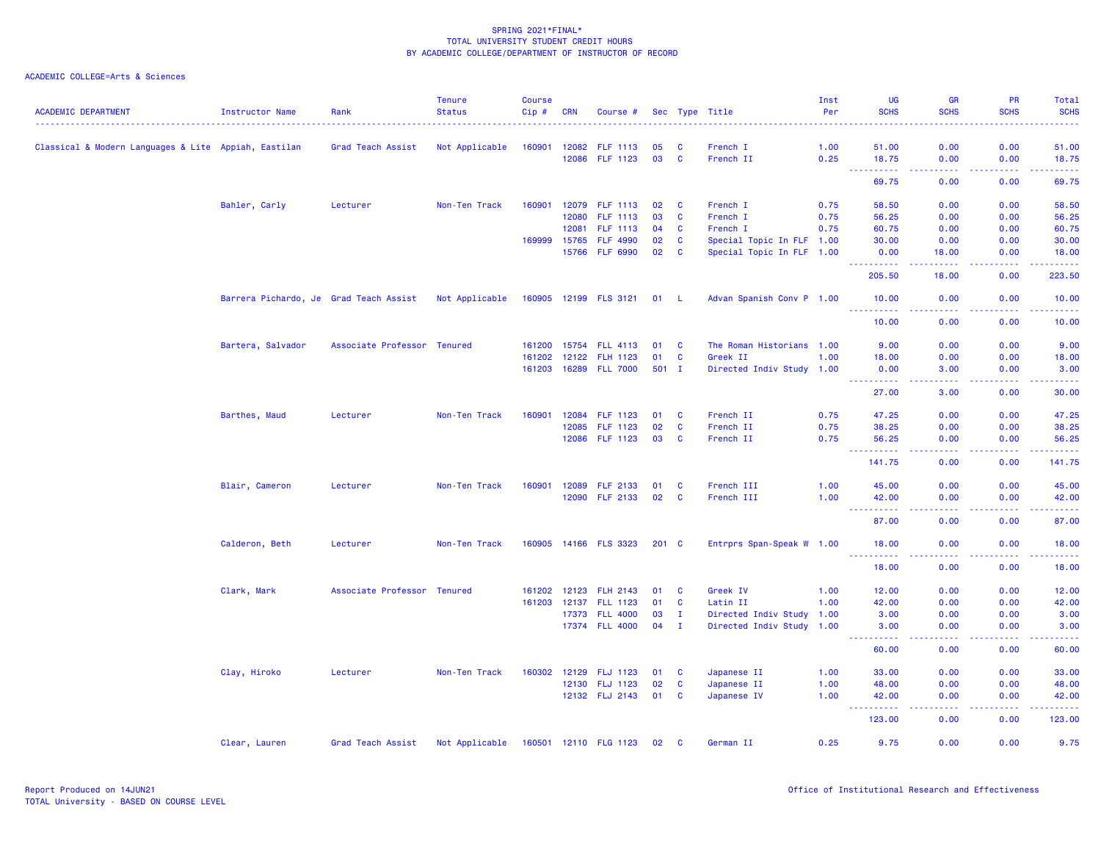| <b>ACADEMIC DEPARTMENT</b>                           | <b>Instructor Name</b>                 | Rank                        | <b>Tenure</b><br><b>Status</b> | <b>Course</b><br>Cip# | <b>CRN</b>     | Course #              |          |                   | Sec Type Title            | Inst<br>Per  | UG<br><b>SCHS</b>                    | <b>GR</b><br><b>SCHS</b>                                                                                                          | <b>PR</b><br><b>SCHS</b> | Total<br><b>SCHS</b>                                                                                                              |
|------------------------------------------------------|----------------------------------------|-----------------------------|--------------------------------|-----------------------|----------------|-----------------------|----------|-------------------|---------------------------|--------------|--------------------------------------|-----------------------------------------------------------------------------------------------------------------------------------|--------------------------|-----------------------------------------------------------------------------------------------------------------------------------|
|                                                      |                                        |                             |                                |                       |                |                       |          |                   |                           |              |                                      |                                                                                                                                   |                          |                                                                                                                                   |
| Classical & Modern Languages & Lite Appiah, Eastilan |                                        | Grad Teach Assist           | Not Applicable                 | 160901                | 12082<br>12086 | FLF 1113<br>FLF 1123  | 05<br>03 | C<br>$\mathbf{C}$ | French I<br>French II     | 1.00<br>0.25 | 51.00<br>18.75                       | 0.00<br>0.00                                                                                                                      | 0.00<br>0.00             | 51.00<br>18.75                                                                                                                    |
|                                                      |                                        |                             |                                |                       |                |                       |          |                   |                           |              | $\sim$ $\sim$ $\sim$<br>.<br>69.75   | $  -$<br>0.00                                                                                                                     | .<br>0.00                | .<br>69.75                                                                                                                        |
|                                                      |                                        |                             |                                |                       |                |                       |          |                   |                           |              |                                      |                                                                                                                                   |                          |                                                                                                                                   |
|                                                      | Bahler, Carly                          | Lecturer                    | Non-Ten Track                  | 160901                | 12079          | <b>FLF 1113</b>       | 02       | $\mathbf{C}$      | French I                  | 0.75         | 58.50                                | 0.00                                                                                                                              | 0.00                     | 58.50                                                                                                                             |
|                                                      |                                        |                             |                                |                       | 12080          | FLF 1113              | 03       | $\mathbf{C}$      | French I                  | 0.75         | 56.25                                | 0.00                                                                                                                              | 0.00                     | 56.25                                                                                                                             |
|                                                      |                                        |                             |                                |                       | 12081          | FLF 1113              | 04       | $\mathbf{C}$      | French I                  | 0.75         | 60.75                                | 0.00                                                                                                                              | 0.00                     | 60.75                                                                                                                             |
|                                                      |                                        |                             |                                | 169999                | 15765          | <b>FLF 4990</b>       | 02       | $\mathbf{C}$      | Special Topic In FLF 1.00 |              | 30.00                                | 0.00                                                                                                                              | 0.00                     | 30.00                                                                                                                             |
|                                                      |                                        |                             |                                |                       |                | 15766 FLF 6990        | 02       | <b>C</b>          | Special Topic In FLF 1.00 |              | 0.00<br>2.2.2.2.2.2                  | 18.00<br>.                                                                                                                        | 0.00<br>.                | 18.00<br>.                                                                                                                        |
|                                                      |                                        |                             |                                |                       |                |                       |          |                   |                           |              | 205.50                               | 18.00                                                                                                                             | 0.00                     | 223.50                                                                                                                            |
|                                                      | Barrera Pichardo, Je Grad Teach Assist |                             | Not Applicable                 |                       |                | 160905 12199 FLS 3121 | 01 L     |                   | Advan Spanish Conv P 1.00 |              | 10.00<br><b></b>                     | 0.00<br>$\frac{1}{2} \left( \frac{1}{2} \right) \left( \frac{1}{2} \right) \left( \frac{1}{2} \right) \left( \frac{1}{2} \right)$ | 0.00<br>.                | 10.00<br>.                                                                                                                        |
|                                                      |                                        |                             |                                |                       |                |                       |          |                   |                           |              | 10.00                                | 0.00                                                                                                                              | 0.00                     | 10.00                                                                                                                             |
|                                                      | Bartera, Salvador                      | Associate Professor Tenured |                                | 161200                |                | 15754 FLL 4113        | 01       | $\mathbf{C}$      | The Roman Historians 1.00 |              | 9.00                                 | 0.00                                                                                                                              | 0.00                     | 9.00                                                                                                                              |
|                                                      |                                        |                             |                                | 161202                | 12122          | <b>FLH 1123</b>       | 01       | C                 | Greek II                  | 1.00         | 18.00                                | 0.00                                                                                                                              | 0.00                     | 18.00                                                                                                                             |
|                                                      |                                        |                             |                                |                       |                | 161203 16289 FLL 7000 | $501$ I  |                   | Directed Indiv Study 1.00 |              | 0.00                                 | 3.00                                                                                                                              | 0.00                     | 3.00                                                                                                                              |
|                                                      |                                        |                             |                                |                       |                |                       |          |                   |                           |              | .<br>27.00                           | .<br>3.00                                                                                                                         | .<br>0.00                | .<br>30.00                                                                                                                        |
|                                                      | Barthes, Maud                          | Lecturer                    | Non-Ten Track                  | 160901                | 12084          | <b>FLF 1123</b>       | 01       | <b>C</b>          | French II                 | 0.75         | 47.25                                | 0.00                                                                                                                              | 0.00                     | 47.25                                                                                                                             |
|                                                      |                                        |                             |                                |                       | 12085          | <b>FLF 1123</b>       | 02       | C                 | French II                 | 0.75         | 38.25                                | 0.00                                                                                                                              | 0.00                     | 38.25                                                                                                                             |
|                                                      |                                        |                             |                                |                       |                | 12086 FLF 1123        | 03       | $\mathbf{C}$      | French II                 | 0.75         | 56.25<br>.                           | 0.00<br>$\sim$ $\sim$ $\sim$ $\sim$                                                                                               | 0.00<br>.                | 56.25<br>.                                                                                                                        |
|                                                      |                                        |                             |                                |                       |                |                       |          |                   |                           |              | 141.75                               | 0.00                                                                                                                              | 0.00                     | 141.75                                                                                                                            |
|                                                      | Blair, Cameron                         | Lecturer                    | Non-Ten Track                  | 160901                | 12089          | <b>FLF 2133</b>       | 01       | C                 | French III                | 1.00         | 45.00                                | 0.00                                                                                                                              | 0.00                     | 45.00                                                                                                                             |
|                                                      |                                        |                             |                                |                       | 12090          | <b>FLF 2133</b>       | 02       | $\mathbf{C}$      | French III                | 1.00         | 42.00                                | 0.00<br>.                                                                                                                         | 0.00                     | 42.00<br>.                                                                                                                        |
|                                                      |                                        |                             |                                |                       |                |                       |          |                   |                           |              | 87.00                                | 0.00                                                                                                                              | 0.00                     | 87.00                                                                                                                             |
|                                                      | Calderon, Beth                         | Lecturer                    | Non-Ten Track                  |                       |                | 160905 14166 FLS 3323 | 201 C    |                   | Entrprs Span-Speak W 1.00 |              | 18.00<br><u> - - - - - - - - - -</u> | 0.00<br>----                                                                                                                      | 0.00<br>.                | 18.00<br>.                                                                                                                        |
|                                                      |                                        |                             |                                |                       |                |                       |          |                   |                           |              | 18.00                                | 0.00                                                                                                                              | 0.00                     | 18.00                                                                                                                             |
|                                                      | Clark, Mark                            | Associate Professor Tenured |                                | 161202                | 12123          | <b>FLH 2143</b>       | 01       | C                 | Greek IV                  | 1.00         | 12.00                                | 0.00                                                                                                                              | 0.00                     | 12.00                                                                                                                             |
|                                                      |                                        |                             |                                | 161203                | 12137          | <b>FLL 1123</b>       | 01       | <b>C</b>          | Latin II                  | 1.00         | 42.00                                | 0.00                                                                                                                              | 0.00                     | 42.00                                                                                                                             |
|                                                      |                                        |                             |                                |                       |                | 17373 FLL 4000        | 03       | $\mathbf{I}$      | Directed Indiv Study 1.00 |              | 3.00                                 | 0.00                                                                                                                              | 0.00                     | 3.00                                                                                                                              |
|                                                      |                                        |                             |                                |                       |                | 17374 FLL 4000        | 04       | $\mathbf{I}$      | Directed Indiv Study 1.00 |              | 3.00<br>22222                        | 0.00<br>بالمحام                                                                                                                   | 0.00<br>.                | 3.00<br>$\frac{1}{2} \left( \frac{1}{2} \right) \left( \frac{1}{2} \right) \left( \frac{1}{2} \right) \left( \frac{1}{2} \right)$ |
|                                                      |                                        |                             |                                |                       |                |                       |          |                   |                           |              | 60.00                                | 0.00                                                                                                                              | 0.00                     | 60.00                                                                                                                             |
|                                                      | Clay, Hiroko                           | Lecturer                    | Non-Ten Track                  | 160302                | 12129          | <b>FLJ 1123</b>       | 01       | <b>C</b>          | Japanese II               | 1.00         | 33.00                                | 0.00                                                                                                                              | 0.00                     | 33.00                                                                                                                             |
|                                                      |                                        |                             |                                |                       |                | 12130 FLJ 1123        | 02       | C                 | Japanese II               | 1.00         | 48.00                                | 0.00                                                                                                                              | 0.00                     | 48.00                                                                                                                             |
|                                                      |                                        |                             |                                |                       |                | 12132 FLJ 2143        | 01       | $\mathbf{C}$      | Japanese IV               | 1.00         | 42.00<br>-----                       | 0.00<br>بالمحام                                                                                                                   | 0.00<br>.                | 42.00<br>.                                                                                                                        |
|                                                      |                                        |                             |                                |                       |                |                       |          |                   |                           |              | 123.00                               | 0.00                                                                                                                              | 0.00                     | 123.00                                                                                                                            |
|                                                      | Clear, Lauren                          | Grad Teach Assist           | Not Applicable                 |                       |                | 160501 12110 FLG 1123 | 02       | <b>C</b>          | German II                 | 0.25         | 9.75                                 | 0.00                                                                                                                              | 0.00                     | 9.75                                                                                                                              |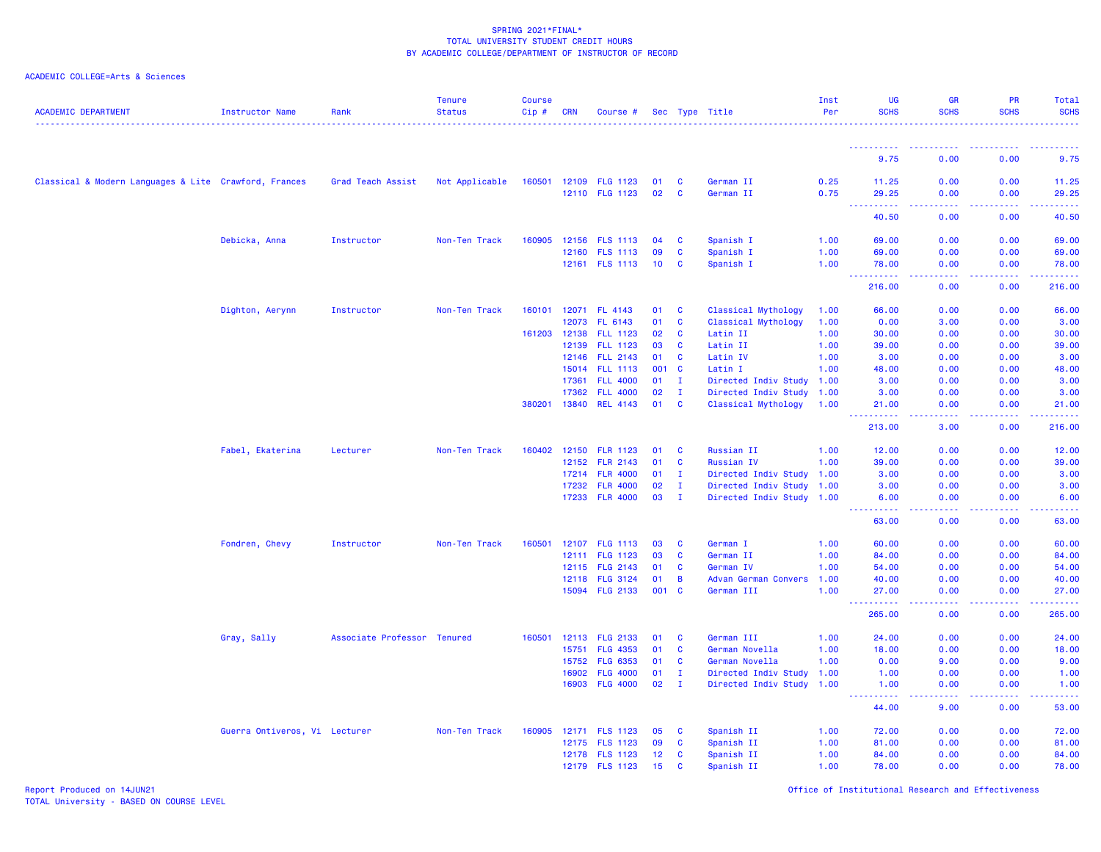### ACADEMIC COLLEGE=Arts & Sciences

| <b>ACADEMIC DEPARTMENT</b>                            | Instructor Name               | Rank                        | <b>Tenure</b><br><b>Status</b> | <b>Course</b><br>Cip# | <b>CRN</b> | Course #        |     |                | Sec Type Title            | Inst<br>Per | UG<br><b>SCHS</b>                   | GR<br><b>SCHS</b>            | <b>PR</b><br><b>SCHS</b>              | Total<br><b>SCHS</b> |
|-------------------------------------------------------|-------------------------------|-----------------------------|--------------------------------|-----------------------|------------|-----------------|-----|----------------|---------------------------|-------------|-------------------------------------|------------------------------|---------------------------------------|----------------------|
|                                                       |                               |                             |                                |                       |            |                 |     |                |                           |             |                                     |                              |                                       |                      |
|                                                       |                               |                             |                                |                       |            |                 |     |                |                           |             | 9.75                                | 0.00                         | 0.00                                  | 9.75                 |
| Classical & Modern Languages & Lite Crawford, Frances |                               | Grad Teach Assist           | Not Applicable                 | 160501                |            | 12109 FLG 1123  | 01  | C              | German II                 | 0.25        | 11.25                               | 0.00                         | 0.00                                  | 11.25                |
|                                                       |                               |                             |                                |                       |            | 12110 FLG 1123  | 02  | <b>C</b>       | German II                 | 0.75        | 29.25<br>.<br>$- - -$               | 0.00<br>.                    | 0.00                                  | 29.25<br>.           |
|                                                       |                               |                             |                                |                       |            |                 |     |                |                           |             | 40.50                               | 0.00                         | 0.00                                  | 40.50                |
|                                                       | Debicka, Anna                 | Instructor                  | Non-Ten Track                  | 160905                |            | 12156 FLS 1113  | 04  | <b>C</b>       | Spanish I                 | 1.00        | 69.00                               | 0.00                         | 0.00                                  | 69.00                |
|                                                       |                               |                             |                                |                       |            | 12160 FLS 1113  | 09  | <b>C</b>       | Spanish I                 | 1.00        | 69.00                               | 0.00                         | 0.00                                  | 69.00                |
|                                                       |                               |                             |                                |                       |            | 12161 FLS 1113  | 10  | <b>C</b>       | Spanish I                 | 1.00        | 78.00<br>$\sim$                     | 0.00<br>$\sim$ $\sim$ $\sim$ | 0.00<br>.                             | 78.00<br>.           |
|                                                       |                               |                             |                                |                       |            |                 |     |                |                           |             | 216.00                              | 0.00                         | 0.00                                  | 216.00               |
|                                                       | Dighton, Aerynn               | Instructor                  | Non-Ten Track                  | 160101                |            | 12071 FL 4143   | 01  | <b>C</b>       | Classical Mythology       | 1.00        | 66.00                               | 0.00                         | 0.00                                  | 66.00                |
|                                                       |                               |                             |                                |                       | 12073      | FL 6143         | 01  | <b>C</b>       | Classical Mythology       | 1.00        | 0.00                                | 3.00                         | 0.00                                  | 3.00                 |
|                                                       |                               |                             |                                | 161203 12138          |            | <b>FLL 1123</b> | 02  | $\mathbf{C}$   | Latin II                  | 1.00        | 30.00                               | 0.00                         | 0.00                                  | 30.00                |
|                                                       |                               |                             |                                |                       | 12139      | <b>FLL 1123</b> | 03  | $\mathbf{C}$   | Latin II                  | 1.00        | 39.00                               | 0.00                         | 0.00                                  | 39.00                |
|                                                       |                               |                             |                                |                       |            | 12146 FLL 2143  | 01  | C              | Latin IV                  | 1.00        | 3.00                                | 0.00                         | 0.00                                  | 3.00                 |
|                                                       |                               |                             |                                |                       | 15014      | <b>FLL 1113</b> | 001 | $\mathbf{C}$   | Latin I                   | 1.00        | 48.00                               | 0.00                         | 0.00                                  | 48.00                |
|                                                       |                               |                             |                                |                       | 17361      | <b>FLL 4000</b> | 01  | $\mathbf{I}$   | Directed Indiv Study 1.00 |             | 3.00                                | 0.00                         | 0.00                                  | 3.00                 |
|                                                       |                               |                             |                                |                       | 17362      | <b>FLL 4000</b> | 02  | $\mathbf{I}$   | Directed Indiv Study 1.00 |             | 3.00                                | 0.00                         | 0.00                                  | 3.00                 |
|                                                       |                               |                             |                                | 380201                | 13840      | <b>REL 4143</b> | 01  | <b>C</b>       | Classical Mythology       | 1.00        | 21.00<br>.                          | 0.00<br>22222                | 0.00<br>. <b>.</b>                    | 21.00<br><u>.</u>    |
|                                                       |                               |                             |                                |                       |            |                 |     |                |                           |             | 213.00                              | 3.00                         | 0.00                                  | 216.00               |
|                                                       | Fabel, Ekaterina              | Lecturer                    | Non-Ten Track                  | 160402                | 12150      | <b>FLR 1123</b> | 01  | <b>C</b>       | Russian II                | 1.00        | 12.00                               | 0.00                         | 0.00                                  | 12.00                |
|                                                       |                               |                             |                                |                       | 12152      | <b>FLR 2143</b> | 01  | C              | <b>Russian IV</b>         | 1.00        | 39.00                               | 0.00                         | 0.00                                  | 39.00                |
|                                                       |                               |                             |                                |                       | 17214      | <b>FLR 4000</b> | 01  | $\mathbf{I}$   | Directed Indiv Study 1.00 |             | 3.00                                | 0.00                         | 0.00                                  | 3.00                 |
|                                                       |                               |                             |                                |                       | 17232      | <b>FLR 4000</b> | 02  | $\mathbf{I}$   | Directed Indiv Study 1.00 |             | 3.00                                | 0.00                         | 0.00                                  | 3.00                 |
|                                                       |                               |                             |                                |                       |            | 17233 FLR 4000  | 03  | $\mathbf{I}$   | Directed Indiv Study 1.00 |             | 6.00<br><u> - - - - - - - - - -</u> | 0.00<br>.                    | 0.00<br><b><i><u><u>.</u></u></i></b> | 6.00<br>.            |
|                                                       |                               |                             |                                |                       |            |                 |     |                |                           |             | 63.00                               | 0.00                         | 0.00                                  | 63.00                |
|                                                       | Fondren, Chevy                | Instructor                  | Non-Ten Track                  | 160501                |            | 12107 FLG 1113  | 03  | C              | German I                  | 1.00        | 60.00                               | 0.00                         | 0.00                                  | 60.00                |
|                                                       |                               |                             |                                |                       | 12111      | FLG 1123        | 03  | C              | German II                 | 1.00        | 84.00                               | 0.00                         | 0.00                                  | 84.00                |
|                                                       |                               |                             |                                |                       |            | 12115 FLG 2143  | 01  | <b>C</b>       | German IV                 | 1.00        | 54.00                               | 0.00                         | 0.00                                  | 54.00                |
|                                                       |                               |                             |                                |                       |            | 12118 FLG 3124  | 01  | $\overline{B}$ | Advan German Convers      | 1.00        | 40.00                               | 0.00                         | 0.00                                  | 40.00                |
|                                                       |                               |                             |                                |                       |            | 15094 FLG 2133  | 001 | $\mathbf{C}$   | German III                | 1.00        | 27.00<br>.                          | 0.00<br>الدالد الدالد        | 0.00<br>.                             | 27.00<br>.           |
|                                                       |                               |                             |                                |                       |            |                 |     |                |                           |             | 265.00                              | 0.00                         | 0.00                                  | 265.00               |
|                                                       | Gray, Sally                   | Associate Professor Tenured |                                | 160501                | 12113      | <b>FLG 2133</b> | 01  | C              | German III                | 1.00        | 24.00                               | 0.00                         | 0.00                                  | 24.00                |
|                                                       |                               |                             |                                |                       | 15751      | <b>FLG 4353</b> | 01  | C              | German Novella            | 1.00        | 18.00                               | 0.00                         | 0.00                                  | 18.00                |
|                                                       |                               |                             |                                |                       | 15752      | <b>FLG 6353</b> | 01  | <b>C</b>       | German Novella            | 1.00        | 0.00                                | 9.00                         | 0.00                                  | 9.00                 |
|                                                       |                               |                             |                                |                       | 16902      | <b>FLG 4000</b> | 01  | $\mathbf{I}$   | Directed Indiv Study      | 1.00        | 1.00                                | 0.00                         | 0.00                                  | 1.00                 |
|                                                       |                               |                             |                                |                       | 16903      | <b>FLG 4000</b> | 02  | $\mathbf{I}$   | Directed Indiv Study 1.00 |             | 1.00<br>.                           | 0.00<br>.                    | 0.00<br>.                             | 1.00<br>.            |
|                                                       |                               |                             |                                |                       |            |                 |     |                |                           |             | 44.00                               | 9.00                         | 0.00                                  | 53.00                |
|                                                       | Guerra Ontiveros, Vi Lecturer |                             | Non-Ten Track                  | 160905                |            | 12171 FLS 1123  | 05  | <b>C</b>       | Spanish II                | 1.00        | 72.00                               | 0.00                         | 0.00                                  | 72.00                |
|                                                       |                               |                             |                                |                       |            | 12175 FLS 1123  | 09  | <b>C</b>       | Spanish II                | 1.00        | 81.00                               | 0.00                         | 0.00                                  | 81.00                |
|                                                       |                               |                             |                                |                       |            | 12178 FLS 1123  | 12  | C              | Spanish II                | 1.00        | 84.00                               | 0.00                         | 0.00                                  | 84.00                |
|                                                       |                               |                             |                                |                       |            | 12179 FLS 1123  | 15  | C              | Spanish II                | 1.00        | 78.00                               | 0.00                         | 0.00                                  | 78.00                |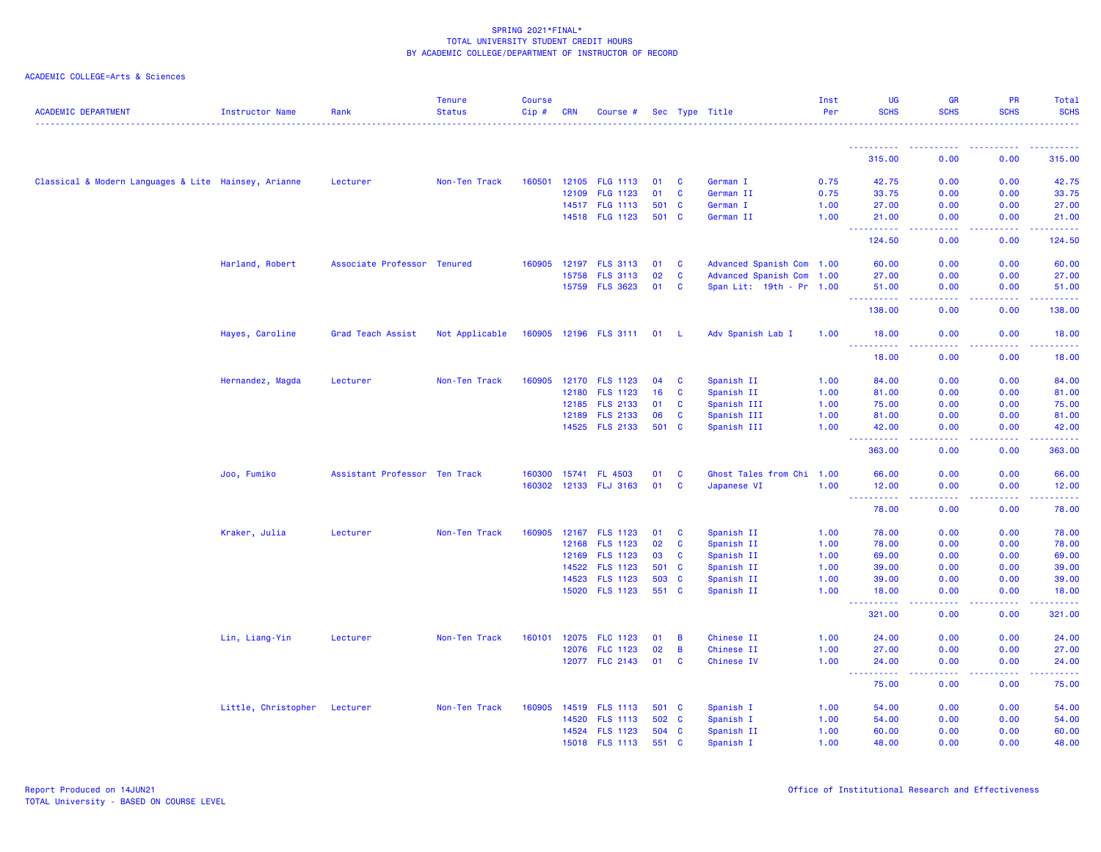| <b>ACADEMIC DEPARTMENT</b>                           | <b>Instructor Name</b>       | Rank                          | <b>Tenure</b><br><b>Status</b> | <b>Course</b><br>Cip# | <b>CRN</b> | Course #              |       |              | Sec Type Title            | Inst<br>Per | UG<br><b>SCHS</b>                                                                             | <b>GR</b><br><b>SCHS</b>                                                                               | <b>PR</b><br><b>SCHS</b>                                                                                                          | <b>Total</b><br><b>SCHS</b> |
|------------------------------------------------------|------------------------------|-------------------------------|--------------------------------|-----------------------|------------|-----------------------|-------|--------------|---------------------------|-------------|-----------------------------------------------------------------------------------------------|--------------------------------------------------------------------------------------------------------|-----------------------------------------------------------------------------------------------------------------------------------|-----------------------------|
|                                                      |                              |                               |                                |                       |            |                       |       |              |                           |             |                                                                                               |                                                                                                        |                                                                                                                                   |                             |
|                                                      |                              |                               |                                |                       |            |                       |       |              |                           |             | ----------<br>315.00                                                                          | . <b>.</b> .<br>0.00                                                                                   | -----<br>0.00                                                                                                                     | -----<br>315.00             |
| Classical & Modern Languages & Lite Hainsey, Arianne |                              | Lecturer                      | Non-Ten Track                  | 160501                |            | 12105 FLG 1113        | 01    | <b>C</b>     | German I                  | 0.75        | 42.75                                                                                         | 0.00                                                                                                   | 0.00                                                                                                                              | 42.75                       |
|                                                      |                              |                               |                                |                       | 12109      | <b>FLG 1123</b>       | 01    | <b>C</b>     | German II                 | 0.75        | 33.75                                                                                         | 0.00                                                                                                   | 0.00                                                                                                                              | 33.75                       |
|                                                      |                              |                               |                                |                       |            | 14517 FLG 1113        | 501   | <b>C</b>     | German I                  | 1.00        | 27.00                                                                                         | 0.00                                                                                                   | 0.00                                                                                                                              | 27.00                       |
|                                                      |                              |                               |                                |                       |            | 14518 FLG 1123        | 501 C |              | German II                 | 1.00        | 21.00                                                                                         | 0.00                                                                                                   | 0.00                                                                                                                              | 21.00                       |
|                                                      |                              |                               |                                |                       |            |                       |       |              |                           |             | $\sim 100$<br>.<br>124.50                                                                     | د د د د<br>0.00                                                                                        | $\frac{1}{2} \left( \frac{1}{2} \right) \left( \frac{1}{2} \right) \left( \frac{1}{2} \right) \left( \frac{1}{2} \right)$<br>0.00 | .<br>124.50                 |
|                                                      | Harland, Robert              | Associate Professor Tenured   |                                | 160905                |            | 12197 FLS 3113        | 01    | $\mathbf{C}$ | Advanced Spanish Com 1.00 |             | 60.00                                                                                         | 0.00                                                                                                   | 0.00                                                                                                                              | 60.00                       |
|                                                      |                              |                               |                                |                       | 15758      | <b>FLS 3113</b>       | 02    | <b>C</b>     | Advanced Spanish Com 1.00 |             | 27.00                                                                                         | 0.00                                                                                                   | 0.00                                                                                                                              | 27.00                       |
|                                                      |                              |                               |                                |                       |            | 15759 FLS 3623        | 01    | $\mathbf{C}$ | Span Lit: 19th - Pr 1.00  |             | 51.00                                                                                         | 0.00                                                                                                   | 0.00                                                                                                                              | 51.00                       |
|                                                      |                              |                               |                                |                       |            |                       |       |              |                           |             | 138.00                                                                                        | 0.00                                                                                                   | 0.00                                                                                                                              | والمناصبات<br>138.00        |
|                                                      | Hayes, Caroline              | Grad Teach Assist             | Not Applicable                 |                       |            | 160905 12196 FLS 3111 | 01    | - L          | Adv Spanish Lab I         | 1.00        | 18.00                                                                                         | 0.00                                                                                                   | 0.00                                                                                                                              | 18.00                       |
|                                                      |                              |                               |                                |                       |            |                       |       |              |                           |             | <u> - - - - - - - - - -</u><br>18.00                                                          | بالأباد<br>0.00                                                                                        | .<br>0.00                                                                                                                         | .<br>18.00                  |
|                                                      | Hernandez, Magda             | Lecturer                      | Non-Ten Track                  | 160905                |            | 12170 FLS 1123        | 04    | <b>C</b>     | Spanish II                | 1.00        | 84.00                                                                                         | 0.00                                                                                                   | 0.00                                                                                                                              | 84.00                       |
|                                                      |                              |                               |                                |                       | 12180      | <b>FLS 1123</b>       | 16    | C            | Spanish II                | 1.00        | 81.00                                                                                         | 0.00                                                                                                   | 0.00                                                                                                                              | 81.00                       |
|                                                      |                              |                               |                                |                       | 12185      | <b>FLS 2133</b>       | 01    | C            | Spanish III               | 1.00        | 75.00                                                                                         | 0.00                                                                                                   | 0.00                                                                                                                              | 75.00                       |
|                                                      |                              |                               |                                |                       | 12189      | <b>FLS 2133</b>       | 06    | C            | Spanish III               | 1.00        | 81.00                                                                                         | 0.00                                                                                                   | 0.00                                                                                                                              | 81.00                       |
|                                                      |                              |                               |                                |                       |            | 14525 FLS 2133        | 501   | <b>C</b>     | Spanish III               | 1.00        | 42.00                                                                                         | 0.00                                                                                                   | 0.00                                                                                                                              | 42.00<br>.                  |
|                                                      |                              |                               |                                |                       |            |                       |       |              |                           |             | $\sim$ $\sim$ $\sim$<br><u>.</u><br>363.00                                                    | $\frac{1}{2} \left( \frac{1}{2} \right) \left( \frac{1}{2} \right) \left( \frac{1}{2} \right)$<br>0.00 | 0.00                                                                                                                              | 363.00                      |
|                                                      | Joo, Fumiko                  | Assistant Professor Ten Track |                                | 160300                | 15741      | <b>FL 4503</b>        | 01    | C            | Ghost Tales from Chi 1.00 |             | 66.00                                                                                         | 0.00                                                                                                   | 0.00                                                                                                                              | 66.00                       |
|                                                      |                              |                               |                                |                       |            | 160302 12133 FLJ 3163 | 01    | $\mathbf{C}$ | Japanese VI               | 1.00        | 12.00                                                                                         | 0.00                                                                                                   | 0.00                                                                                                                              | 12.00                       |
|                                                      |                              |                               |                                |                       |            |                       |       |              |                           |             | ----------<br>78.00                                                                           | .<br>0.00                                                                                              | .<br>0.00                                                                                                                         | .<br>78.00                  |
|                                                      | Kraker, Julia                | Lecturer                      | Non-Ten Track                  | 160905                |            | 12167 FLS 1123        | 01    | C            | Spanish II                | 1.00        | 78.00                                                                                         | 0.00                                                                                                   | 0.00                                                                                                                              | 78.00                       |
|                                                      |                              |                               |                                |                       | 12168      | <b>FLS 1123</b>       | 02    | <b>C</b>     | Spanish II                | 1.00        | 78.00                                                                                         | 0.00                                                                                                   | 0.00                                                                                                                              | 78.00                       |
|                                                      |                              |                               |                                |                       |            | 12169 FLS 1123        | 03    | C            | Spanish II                | 1.00        | 69.00                                                                                         | 0.00                                                                                                   | 0.00                                                                                                                              | 69.00                       |
|                                                      |                              |                               |                                |                       | 14522      | <b>FLS 1123</b>       | 501   | $\mathbf{C}$ | Spanish II                | 1.00        | 39.00                                                                                         | 0.00                                                                                                   | 0.00                                                                                                                              | 39.00                       |
|                                                      |                              |                               |                                |                       | 14523      | <b>FLS 1123</b>       | 503 C |              | Spanish II                | 1.00        | 39.00                                                                                         | 0.00                                                                                                   | 0.00                                                                                                                              | 39.00                       |
|                                                      |                              |                               |                                |                       |            | 15020 FLS 1123        | 551 C |              | Spanish II                | 1.00        | 18.00<br>.<br>$  -$                                                                           | 0.00<br>د د د د                                                                                        | 0.00<br>22222                                                                                                                     | 18.00                       |
|                                                      |                              |                               |                                |                       |            |                       |       |              |                           |             | 321.00                                                                                        | 0.00                                                                                                   | 0.00                                                                                                                              | 321.00                      |
|                                                      | Lin, Liang-Yin               | Lecturer                      | Non-Ten Track                  | 160101                |            | 12075 FLC 1123        | 01    | B            | Chinese II                | 1.00        | 24.00                                                                                         | 0.00                                                                                                   | 0.00                                                                                                                              | 24.00                       |
|                                                      |                              |                               |                                |                       |            | 12076 FLC 1123        | 02    | B            | Chinese II                | 1.00        | 27.00                                                                                         | 0.00                                                                                                   | 0.00                                                                                                                              | 27.00                       |
|                                                      |                              |                               |                                |                       |            | 12077 FLC 2143        | 01    | <b>C</b>     | Chinese IV                | 1.00        | 24.00                                                                                         | 0.00                                                                                                   | 0.00                                                                                                                              | 24.00                       |
|                                                      |                              |                               |                                |                       |            |                       |       |              |                           |             | .<br>$\frac{1}{2} \left( \frac{1}{2} \right) \frac{1}{2} \left( \frac{1}{2} \right)$<br>75.00 | .<br>0.00                                                                                              | .<br>0.00                                                                                                                         | .<br>75.00                  |
|                                                      | Little, Christopher Lecturer |                               | Non-Ten Track                  | 160905                |            | 14519 FLS 1113        | 501 C |              | Spanish I                 | 1.00        | 54.00                                                                                         | 0.00                                                                                                   | 0.00                                                                                                                              | 54.00                       |
|                                                      |                              |                               |                                |                       | 14520      | <b>FLS 1113</b>       | 502 C |              | Spanish I                 | 1.00        | 54.00                                                                                         | 0.00                                                                                                   | 0.00                                                                                                                              | 54.00                       |
|                                                      |                              |                               |                                |                       |            | 14524 FLS 1123        | 504 C |              | Spanish II                | 1.00        | 60.00                                                                                         | 0.00                                                                                                   | 0.00                                                                                                                              | 60.00                       |
|                                                      |                              |                               |                                |                       |            | 15018 FLS 1113        | 551   | <b>C</b>     | Spanish I                 | 1.00        | 48.00                                                                                         | 0.00                                                                                                   | 0.00                                                                                                                              | 48.00                       |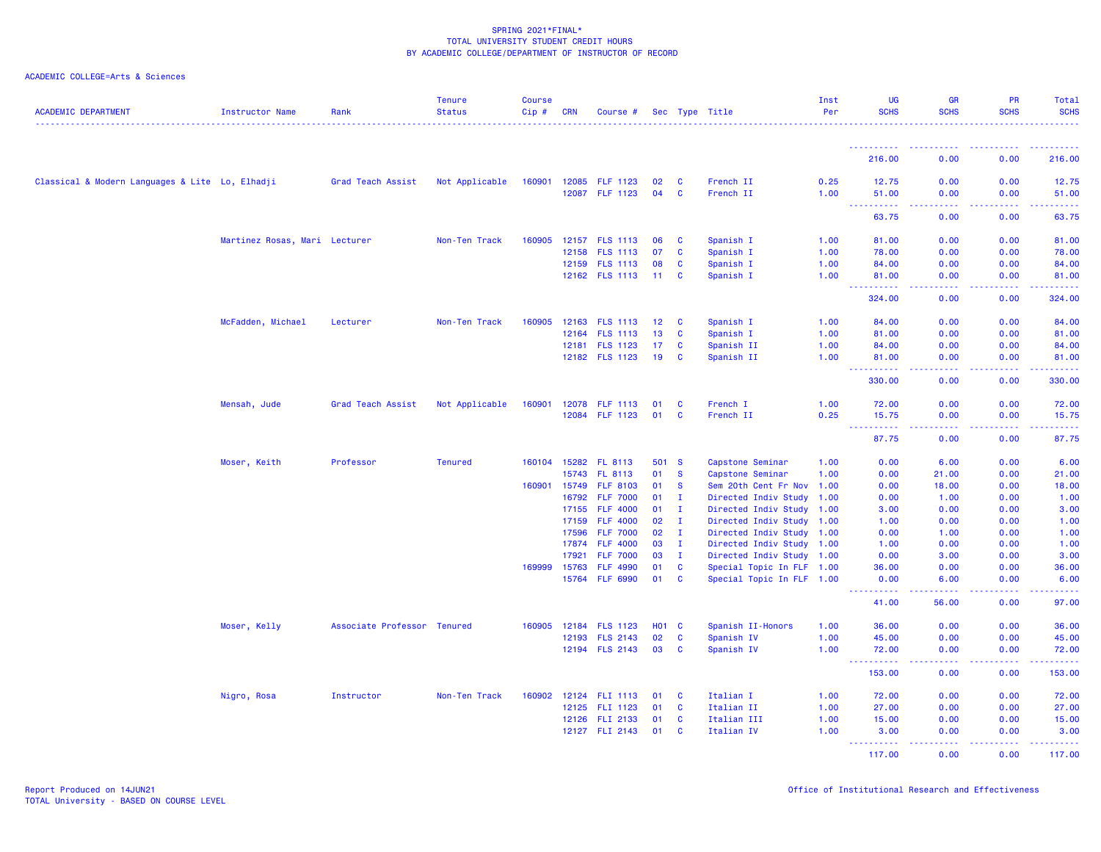| <b>ACADEMIC DEPARTMENT</b>                      | Instructor Name               | Rank                        | <b>Tenure</b><br><b>Status</b> | <b>Course</b><br>Cip# | <b>CRN</b> | Course #              |              |              | Sec Type Title            | Inst<br>Per | UG<br><b>SCHS</b>           | <b>GR</b><br><b>SCHS</b>                                                                               | PR<br><b>SCHS</b>  | Total<br><b>SCHS</b>                                                                                                                                           |
|-------------------------------------------------|-------------------------------|-----------------------------|--------------------------------|-----------------------|------------|-----------------------|--------------|--------------|---------------------------|-------------|-----------------------------|--------------------------------------------------------------------------------------------------------|--------------------|----------------------------------------------------------------------------------------------------------------------------------------------------------------|
|                                                 |                               |                             |                                |                       |            |                       |              |              |                           |             |                             |                                                                                                        |                    |                                                                                                                                                                |
|                                                 |                               |                             |                                |                       |            |                       |              |              |                           |             | -----------<br>216.00       | 0.00                                                                                                   | <u>.</u><br>0.00   | $\frac{1}{2} \left( \frac{1}{2} \right) \left( \frac{1}{2} \right) \left( \frac{1}{2} \right) \left( \frac{1}{2} \right) \left( \frac{1}{2} \right)$<br>216.00 |
| Classical & Modern Languages & Lite Lo, Elhadji |                               | Grad Teach Assist           | Not Applicable                 |                       |            | 160901 12085 FLF 1123 | 02           | - C          | French II                 | 0.25        | 12.75                       | 0.00                                                                                                   | 0.00               | 12.75                                                                                                                                                          |
|                                                 |                               |                             |                                |                       |            | 12087 FLF 1123        | 04           | <b>C</b>     | French II                 | 1.00        | 51.00<br>بالأبابات          | 0.00<br>$\omega$ is $\omega$ .                                                                         | 0.00<br>المتمالين  | 51.00                                                                                                                                                          |
|                                                 |                               |                             |                                |                       |            |                       |              |              |                           |             | 63.75                       | 0.00                                                                                                   | 0.00               | 63.75                                                                                                                                                          |
|                                                 | Martinez Rosas, Mari Lecturer |                             | Non-Ten Track                  | 160905                |            | 12157 FLS 1113        | 06           | <b>C</b>     | Spanish I                 | 1.00        | 81.00                       | 0.00                                                                                                   | 0.00               | 81.00                                                                                                                                                          |
|                                                 |                               |                             |                                |                       | 12158      | <b>FLS 1113</b>       | 07           | <b>C</b>     | Spanish I                 | 1.00        | 78.00                       | 0.00                                                                                                   | 0.00               | 78.00                                                                                                                                                          |
|                                                 |                               |                             |                                |                       |            | 12159 FLS 1113        | 08           | C            | Spanish I                 | 1.00        | 84.00                       | 0.00                                                                                                   | 0.00               | 84.00                                                                                                                                                          |
|                                                 |                               |                             |                                |                       |            | 12162 FLS 1113        | 11           | <b>C</b>     | Spanish I                 | 1.00        | 81.00<br>222222             | 0.00<br>د د د د                                                                                        | 0.00<br>22222      | 81.00<br>.                                                                                                                                                     |
|                                                 |                               |                             |                                |                       |            |                       |              |              |                           |             | 324.00                      | 0.00                                                                                                   | 0.00               | 324.00                                                                                                                                                         |
|                                                 | McFadden, Michael             | Lecturer                    | Non-Ten Track                  | 160905                |            | 12163 FLS 1113        | 12           | <b>C</b>     | Spanish I                 | 1.00        | 84.00                       | 0.00                                                                                                   | 0.00               | 84.00                                                                                                                                                          |
|                                                 |                               |                             |                                |                       |            | 12164 FLS 1113        | 13           | <b>C</b>     | Spanish I                 | 1.00        | 81.00                       | 0.00                                                                                                   | 0.00               | 81.00                                                                                                                                                          |
|                                                 |                               |                             |                                |                       |            | 12181 FLS 1123        | 17           | <b>C</b>     | Spanish II                | 1.00        | 84.00                       | 0.00                                                                                                   | 0.00               | 84.00                                                                                                                                                          |
|                                                 |                               |                             |                                |                       |            | 12182 FLS 1123        | 19           | <b>C</b>     | Spanish II                | 1.00        | 81.00<br>.                  | 0.00<br>$\frac{1}{2} \left( \frac{1}{2} \right) \left( \frac{1}{2} \right) \left( \frac{1}{2} \right)$ | 0.00<br>.          | 81.00<br>.                                                                                                                                                     |
|                                                 |                               |                             |                                |                       |            |                       |              |              |                           |             | 330.00                      | 0.00                                                                                                   | 0.00               | 330.00                                                                                                                                                         |
|                                                 | Mensah, Jude                  | Grad Teach Assist           | Not Applicable                 | 160901                |            | 12078 FLF 1113        | 01           | <b>C</b>     | French I                  | 1.00        | 72.00                       | 0.00                                                                                                   | 0.00               | 72.00                                                                                                                                                          |
|                                                 |                               |                             |                                |                       |            | 12084 FLF 1123        | 01           | <b>C</b>     | French II                 | 0.25        | 15.75                       | 0.00                                                                                                   | 0.00               | 15.75                                                                                                                                                          |
|                                                 |                               |                             |                                |                       |            |                       |              |              |                           |             | 87.75                       | 0.00                                                                                                   | 0.00               | 87.75                                                                                                                                                          |
|                                                 | Moser, Keith                  | Professor                   | <b>Tenured</b>                 |                       |            | 160104 15282 FL 8113  | 501 S        |              | Capstone Seminar          | 1.00        | 0.00                        | 6.00                                                                                                   | 0.00               | 6.00                                                                                                                                                           |
|                                                 |                               |                             |                                |                       | 15743      | FL 8113               | 01           | <b>S</b>     | Capstone Seminar          | 1.00        | 0.00                        | 21.00                                                                                                  | 0.00               | 21.00                                                                                                                                                          |
|                                                 |                               |                             |                                | 160901                | 15749      | <b>FLF 8103</b>       | 01           | <b>S</b>     | Sem 20th Cent Fr Nov 1.00 |             | 0.00                        | 18.00                                                                                                  | 0.00               | 18.00                                                                                                                                                          |
|                                                 |                               |                             |                                |                       | 16792      | <b>FLF 7000</b>       | 01           | $\mathbf{I}$ | Directed Indiv Study 1.00 |             | 0.00                        | 1.00                                                                                                   | 0.00               | 1.00                                                                                                                                                           |
|                                                 |                               |                             |                                |                       | 17155      | <b>FLF 4000</b>       | 01           | $\mathbf{I}$ | Directed Indiv Study 1.00 |             | 3.00                        | 0.00                                                                                                   | 0.00               | 3.00                                                                                                                                                           |
|                                                 |                               |                             |                                |                       | 17159      | <b>FLF 4000</b>       | 02           | л.           | Directed Indiv Study 1.00 |             | 1.00                        | 0.00                                                                                                   | 0.00               | 1.00                                                                                                                                                           |
|                                                 |                               |                             |                                |                       | 17596      | <b>FLF 7000</b>       | 02           | $\mathbf{I}$ | Directed Indiv Study 1.00 |             | 0.00                        | 1.00                                                                                                   | 0.00               | 1.00                                                                                                                                                           |
|                                                 |                               |                             |                                |                       | 17874      | <b>FLF 4000</b>       | 03           | $\mathbf{I}$ | Directed Indiv Study 1.00 |             | 1.00                        | 0.00                                                                                                   | 0.00               | 1.00                                                                                                                                                           |
|                                                 |                               |                             |                                |                       | 17921      | <b>FLF 7000</b>       | 03           | л.           | Directed Indiv Study 1.00 |             | 0.00                        | 3.00                                                                                                   | 0.00               | 3.00                                                                                                                                                           |
|                                                 |                               |                             |                                | 169999                | 15763      | <b>FLF 4990</b>       | 01           | $\mathbf{C}$ | Special Topic In FLF 1.00 |             | 36.00                       | 0.00                                                                                                   | 0.00               | 36.00                                                                                                                                                          |
|                                                 |                               |                             |                                |                       | 15764      | <b>FLF 6990</b>       | 01           | $\mathbf{C}$ | Special Topic In FLF 1.00 |             | 0.00<br><u>.</u>            | 6.00<br>.                                                                                              | 0.00<br>22222      | 6.00<br>.                                                                                                                                                      |
|                                                 |                               |                             |                                |                       |            |                       |              |              |                           |             | 41.00                       | 56.00                                                                                                  | 0.00               | 97.00                                                                                                                                                          |
|                                                 | Moser, Kelly                  | Associate Professor Tenured |                                | 160905                | 12184      | <b>FLS 1123</b>       | <b>HO1 C</b> |              | Spanish II-Honors         | 1.00        | 36.00                       | 0.00                                                                                                   | 0.00               | 36.00                                                                                                                                                          |
|                                                 |                               |                             |                                |                       | 12193      | <b>FLS 2143</b>       | 02           | C            | Spanish IV                | 1.00        | 45.00                       | 0.00                                                                                                   | 0.00               | 45.00                                                                                                                                                          |
|                                                 |                               |                             |                                |                       |            | 12194 FLS 2143        | 03           | <b>C</b>     | Spanish IV                | 1.00        | 72.00<br>.<br>$\frac{1}{2}$ | 0.00<br>. <b>.</b>                                                                                     | 0.00<br>a a a a an | 72.00<br>222222                                                                                                                                                |
|                                                 |                               |                             |                                |                       |            |                       |              |              |                           |             | 153.00                      | 0.00                                                                                                   | 0.00               | 153.00                                                                                                                                                         |
|                                                 | Nigro, Rosa                   | Instructor                  | Non-Ten Track                  | 160902                |            | 12124 FLI 1113        | 01           | <b>C</b>     | Italian I                 | 1.00        | 72.00                       | 0.00                                                                                                   | 0.00               | 72.00                                                                                                                                                          |
|                                                 |                               |                             |                                |                       |            | 12125 FLI 1123        | 01           | $\mathbf{C}$ | Italian II                | 1.00        | 27.00                       | 0.00                                                                                                   | 0.00               | 27.00                                                                                                                                                          |
|                                                 |                               |                             |                                |                       |            | 12126 FLI 2133        | 01           | <b>C</b>     | Italian III               | 1.00        | 15.00                       | 0.00                                                                                                   | 0.00               | 15.00                                                                                                                                                          |
|                                                 |                               |                             |                                |                       |            | 12127 FLI 2143        | 01           | C            | Italian IV                | 1.00        | 3.00<br>.                   | 0.00<br>.                                                                                              | 0.00               | 3.00<br>22222)                                                                                                                                                 |
|                                                 |                               |                             |                                |                       |            |                       |              |              |                           |             | 117.00                      | 0.00                                                                                                   | 0.00               | 117.00                                                                                                                                                         |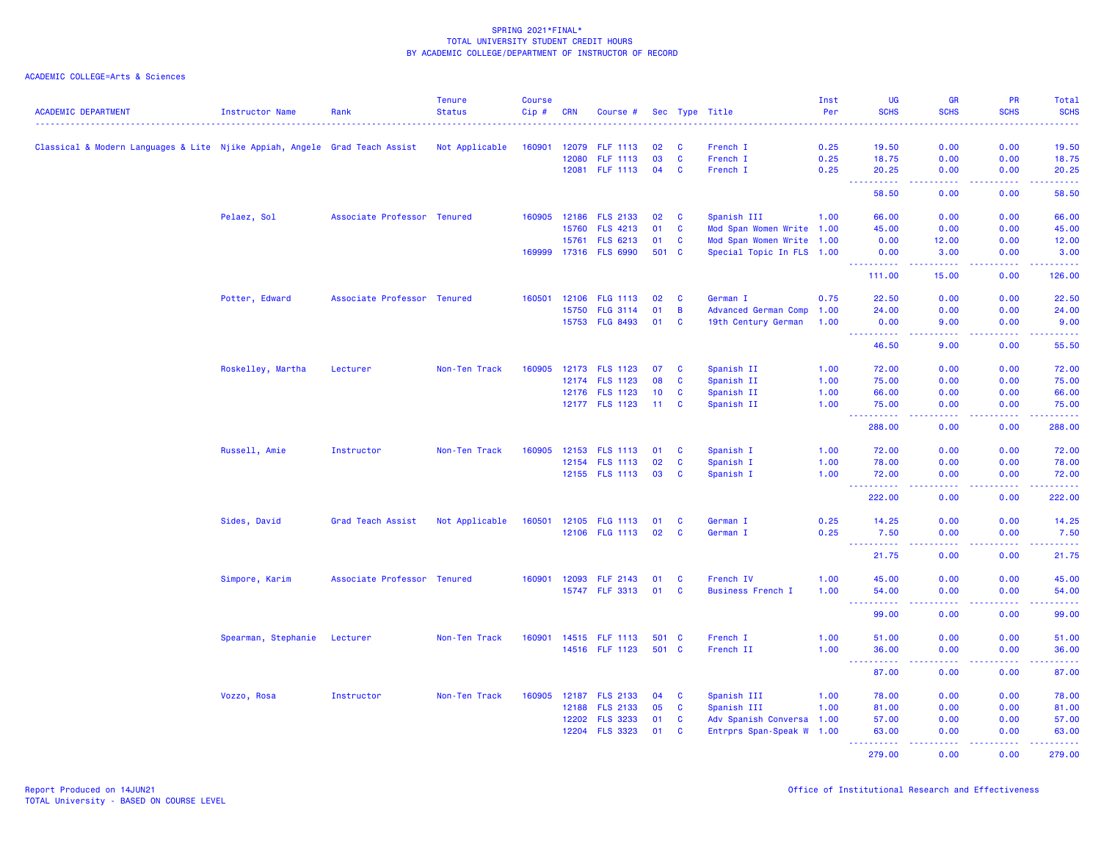| <b>ACADEMIC DEPARTMENT</b>                                                 | Instructor Name     | Rank                        | <b>Tenure</b><br><b>Status</b> | <b>Course</b><br>Cip# | <b>CRN</b> | Course #              |                 |          | Sec Type Title            | Inst<br>Per | <b>UG</b><br><b>SCHS</b>                                 | <b>GR</b><br><b>SCHS</b>                                                                                                                                     | PR<br><b>SCHS</b>                                                                                                                                            | Total<br><b>SCHS</b>                                                                                                           |
|----------------------------------------------------------------------------|---------------------|-----------------------------|--------------------------------|-----------------------|------------|-----------------------|-----------------|----------|---------------------------|-------------|----------------------------------------------------------|--------------------------------------------------------------------------------------------------------------------------------------------------------------|--------------------------------------------------------------------------------------------------------------------------------------------------------------|--------------------------------------------------------------------------------------------------------------------------------|
|                                                                            |                     |                             |                                |                       |            |                       |                 |          |                           |             |                                                          |                                                                                                                                                              |                                                                                                                                                              |                                                                                                                                |
| Classical & Modern Languages & Lite Njike Appiah, Angele Grad Teach Assist |                     |                             | Not Applicable                 | 160901                | 12079      | <b>FLF 1113</b>       | 02              | <b>C</b> | French I                  | 0.25        | 19.50                                                    | 0.00                                                                                                                                                         | 0.00                                                                                                                                                         | 19.50                                                                                                                          |
|                                                                            |                     |                             |                                |                       | 12080      | <b>FLF 1113</b>       | 03              | <b>C</b> | French I                  | 0.25        | 18.75                                                    | 0.00                                                                                                                                                         | 0.00                                                                                                                                                         | 18.75                                                                                                                          |
|                                                                            |                     |                             |                                |                       | 12081      | <b>FLF 1113</b>       | 04              | C        | French I                  | 0.25        | 20.25                                                    | 0.00                                                                                                                                                         | 0.00                                                                                                                                                         | 20.25                                                                                                                          |
|                                                                            |                     |                             |                                |                       |            |                       |                 |          |                           |             | 58.50                                                    | 0.00                                                                                                                                                         | 0.00                                                                                                                                                         | 58.50                                                                                                                          |
|                                                                            | Pelaez, Sol         | Associate Professor Tenured |                                |                       |            | 160905 12186 FLS 2133 | 02              | <b>C</b> | Spanish III               | 1.00        | 66.00                                                    | 0.00                                                                                                                                                         | 0.00                                                                                                                                                         | 66.00                                                                                                                          |
|                                                                            |                     |                             |                                |                       | 15760      | <b>FLS 4213</b>       | 01              | <b>C</b> | Mod Span Women Write 1.00 |             | 45.00                                                    | 0.00                                                                                                                                                         | 0.00                                                                                                                                                         | 45.00                                                                                                                          |
|                                                                            |                     |                             |                                |                       | 15761      | <b>FLS 6213</b>       | 01              | <b>C</b> | Mod Span Women Write 1.00 |             | 0.00                                                     | 12.00                                                                                                                                                        | 0.00                                                                                                                                                         | 12.00                                                                                                                          |
|                                                                            |                     |                             |                                |                       |            | 169999 17316 FLS 6990 | 501 C           |          | Special Topic In FLS 1.00 |             | 0.00<br>----------                                       | 3.00<br>$\frac{1}{2} \left( \frac{1}{2} \right) \left( \frac{1}{2} \right) \left( \frac{1}{2} \right) \left( \frac{1}{2} \right) \left( \frac{1}{2} \right)$ | 0.00<br>2.2.2.2.2                                                                                                                                            | 3.00<br>.                                                                                                                      |
|                                                                            |                     |                             |                                |                       |            |                       |                 |          |                           |             | 111.00                                                   | 15.00                                                                                                                                                        | 0.00                                                                                                                                                         | 126.00                                                                                                                         |
|                                                                            | Potter, Edward      | Associate Professor Tenured |                                | 160501                |            | 12106 FLG 1113        | 02              | C        | German I                  | 0.75        | 22.50                                                    | 0.00                                                                                                                                                         | 0.00                                                                                                                                                         | 22.50                                                                                                                          |
|                                                                            |                     |                             |                                |                       | 15750      | <b>FLG 3114</b>       | 01              | B        | Advanced German Comp      | 1.00        | 24.00                                                    | 0.00                                                                                                                                                         | 0.00                                                                                                                                                         | 24.00                                                                                                                          |
|                                                                            |                     |                             |                                |                       | 15753      | <b>FLG 8493</b>       | 01              | C        | 19th Century German       | 1.00        | 0.00<br>222222                                           | 9.00<br>د د د د                                                                                                                                              | 0.00                                                                                                                                                         | 9.00<br>.                                                                                                                      |
|                                                                            |                     |                             |                                |                       |            |                       |                 |          |                           |             | 46.50                                                    | 9.00                                                                                                                                                         | 0.00                                                                                                                                                         | 55.50                                                                                                                          |
|                                                                            | Roskelley, Martha   | Lecturer                    | Non-Ten Track                  | 160905                |            | 12173 FLS 1123        | 07              | <b>C</b> | Spanish II                | 1.00        | 72.00                                                    | 0.00                                                                                                                                                         | 0.00                                                                                                                                                         | 72.00                                                                                                                          |
|                                                                            |                     |                             |                                |                       |            | 12174 FLS 1123        | 08              | C        | Spanish II                | 1.00        | 75.00                                                    | 0.00                                                                                                                                                         | 0.00                                                                                                                                                         | 75.00                                                                                                                          |
|                                                                            |                     |                             |                                |                       |            | 12176 FLS 1123        | 10              | <b>C</b> | Spanish II                | 1.00        | 66.00                                                    | 0.00                                                                                                                                                         | 0.00                                                                                                                                                         | 66.00                                                                                                                          |
|                                                                            |                     |                             |                                |                       |            | 12177 FLS 1123        | 11 <sub>1</sub> | <b>C</b> | Spanish II                | 1.00        | 75.00<br>.                                               | 0.00<br>$\frac{1}{2} \left( \frac{1}{2} \right) \left( \frac{1}{2} \right) \left( \frac{1}{2} \right) \left( \frac{1}{2} \right)$                            | 0.00                                                                                                                                                         | 75.00<br>.                                                                                                                     |
|                                                                            |                     |                             |                                |                       |            |                       |                 |          |                           |             | 288.00                                                   | 0.00                                                                                                                                                         | 0.00                                                                                                                                                         | 288.00                                                                                                                         |
|                                                                            | Russell, Amie       | Instructor                  | Non-Ten Track                  |                       |            | 160905 12153 FLS 1113 | 01              | <b>C</b> | Spanish I                 | 1.00        | 72.00                                                    | 0.00                                                                                                                                                         | 0.00                                                                                                                                                         | 72.00                                                                                                                          |
|                                                                            |                     |                             |                                |                       |            | 12154 FLS 1113        | 02              | <b>C</b> | Spanish I                 | 1.00        | 78.00                                                    | 0.00                                                                                                                                                         | 0.00                                                                                                                                                         | 78.00                                                                                                                          |
|                                                                            |                     |                             |                                |                       |            | 12155 FLS 1113        | 03              | C        | Spanish I                 | 1.00        | 72.00<br>$\sim$ $\sim$ $\sim$<br>المتمام المتمار         | 0.00<br>د د د د                                                                                                                                              | 0.00<br><b><i><u><u> - - - -</u></u></i></b>                                                                                                                 | 72.00<br>$\begin{array}{cccccccccc} \bullet & \bullet & \bullet & \bullet & \bullet & \bullet & \bullet & \bullet \end{array}$ |
|                                                                            |                     |                             |                                |                       |            |                       |                 |          |                           |             | 222.00                                                   | 0.00                                                                                                                                                         | 0.00                                                                                                                                                         | 222.00                                                                                                                         |
|                                                                            | Sides, David        | Grad Teach Assist           | Not Applicable                 | 160501                |            | 12105 FLG 1113        | 01              | <b>C</b> | German I                  | 0.25        | 14.25                                                    | 0.00                                                                                                                                                         | 0.00                                                                                                                                                         | 14.25                                                                                                                          |
|                                                                            |                     |                             |                                |                       |            | 12106 FLG 1113        | 02              | C        | German I                  | 0.25        | 7.50<br><b><i><u><u> - - - - - - - - - -</u></u></i></b> | 0.00<br>.                                                                                                                                                    | 0.00<br>$\frac{1}{2} \left( \frac{1}{2} \right) \left( \frac{1}{2} \right) \left( \frac{1}{2} \right) \left( \frac{1}{2} \right) \left( \frac{1}{2} \right)$ | 7.50<br>$\begin{array}{cccccccccc} \bullet & \bullet & \bullet & \bullet & \bullet & \bullet & \bullet & \bullet \end{array}$  |
|                                                                            |                     |                             |                                |                       |            |                       |                 |          |                           |             | 21.75                                                    | 0.00                                                                                                                                                         | 0.00                                                                                                                                                         | 21.75                                                                                                                          |
|                                                                            | Simpore, Karim      | Associate Professor Tenured |                                | 160901                | 12093      | <b>FLF 2143</b>       | 01              | C        | French IV                 | 1.00        | 45.00                                                    | 0.00                                                                                                                                                         | 0.00                                                                                                                                                         | 45.00                                                                                                                          |
|                                                                            |                     |                             |                                |                       |            | 15747 FLF 3313        | 01              | <b>C</b> | <b>Business French I</b>  | 1.00        | 54.00<br>والمراجات<br>. <u>.</u>                         | 0.00<br>.                                                                                                                                                    | 0.00<br>$- - - - -$                                                                                                                                          | 54.00<br>.                                                                                                                     |
|                                                                            |                     |                             |                                |                       |            |                       |                 |          |                           |             | 99.00                                                    | 0.00                                                                                                                                                         | 0.00                                                                                                                                                         | 99.00                                                                                                                          |
|                                                                            | Spearman, Stephanie | Lecturer                    | Non-Ten Track                  | 160901                |            | 14515 FLF 1113        | 501 C           |          | French I                  | 1.00        | 51.00                                                    | 0.00                                                                                                                                                         | 0.00                                                                                                                                                         | 51.00                                                                                                                          |
|                                                                            |                     |                             |                                |                       |            | 14516 FLF 1123        | 501 C           |          | French II                 | 1.00        | 36.00<br>.<br>- - -                                      | 0.00<br>.                                                                                                                                                    | 0.00<br>2.2.2.2                                                                                                                                              | 36.00<br>.                                                                                                                     |
|                                                                            |                     |                             |                                |                       |            |                       |                 |          |                           |             | 87.00                                                    | 0.00                                                                                                                                                         | 0.00                                                                                                                                                         | 87.00                                                                                                                          |
|                                                                            | Vozzo, Rosa         | Instructor                  | Non-Ten Track                  | 160905                |            | 12187 FLS 2133        | 04              | <b>C</b> | Spanish III               | 1.00        | 78.00                                                    | 0.00                                                                                                                                                         | 0.00                                                                                                                                                         | 78.00                                                                                                                          |
|                                                                            |                     |                             |                                |                       | 12188      | <b>FLS 2133</b>       | 05              | <b>C</b> | Spanish III               | 1.00        | 81.00                                                    | 0.00                                                                                                                                                         | 0.00                                                                                                                                                         | 81.00                                                                                                                          |
|                                                                            |                     |                             |                                |                       | 12202      | <b>FLS 3233</b>       | 01              | C        | Adv Spanish Conversa 1.00 |             | 57.00                                                    | 0.00                                                                                                                                                         | 0.00                                                                                                                                                         | 57.00                                                                                                                          |
|                                                                            |                     |                             |                                |                       | 12204      | <b>FLS 3323</b>       | 01              | C        | Entrprs Span-Speak W 1.00 |             | 63.00<br><u>.</u>                                        | 0.00<br>.                                                                                                                                                    | 0.00<br>$\mathbf{L}^{\prime} = \mathbf{L}^{\prime} + \mathbf{L}^{\prime} + \mathbf{L}^{\prime}$                                                              | 63.00<br>$\begin{array}{cccccccccc} \bullet & \bullet & \bullet & \bullet & \bullet & \bullet & \bullet & \bullet \end{array}$ |
|                                                                            |                     |                             |                                |                       |            |                       |                 |          |                           |             | 279.00                                                   | 0.00                                                                                                                                                         | 0.00                                                                                                                                                         | 279.00                                                                                                                         |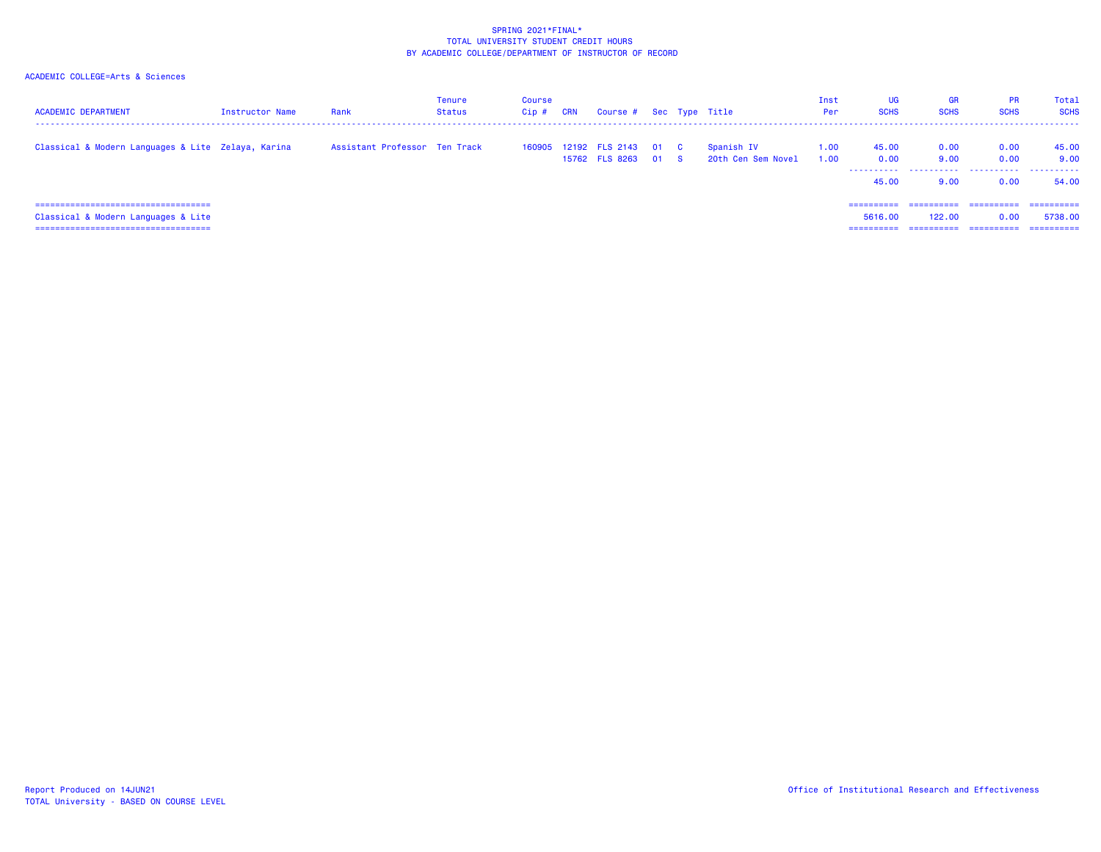| <b>ACADEMIC DEPARTMENT</b>                         | Instructor Name | Rank                          | Tenure<br>Status | Course<br>Cip # | CRN | Course # Sec Type Title                      |      |                                  | Inst<br>Per  | UG<br><b>SCHS</b>                     | <b>GR</b><br><b>SCHS</b> | <b>PR</b><br><b>SCHS</b> | Total<br><b>SCHS</b>   |
|----------------------------------------------------|-----------------|-------------------------------|------------------|-----------------|-----|----------------------------------------------|------|----------------------------------|--------------|---------------------------------------|--------------------------|--------------------------|------------------------|
| Classical & Modern Languages & Lite Zelaya, Karina |                 | Assistant Professor Ten Track |                  |                 |     | 160905 12192 FLS 2143 01 C<br>15762 FLS 8263 | 01 S | Spanish IV<br>20th Cen Sem Novel | 1.00<br>1.00 | 45.00<br>0.00<br>-----------<br>45.00 | 0.00<br>9.00<br>9.00     | 0.00<br>0.00<br>0.00     | 45.00<br>9.00<br>54.00 |
| =====================================              |                 |                               |                  |                 |     |                                              |      |                                  |              | ==========                            | ==========               | ==========               | -----------            |
| Classical & Modern Languages & Lite                |                 |                               |                  |                 |     |                                              |      |                                  |              | 5616,00                               | 122,00                   | 0.00                     | 5738.00                |
| ======================================             |                 |                               |                  |                 |     |                                              |      |                                  |              | =========                             | ==========               | ==========               | ==========             |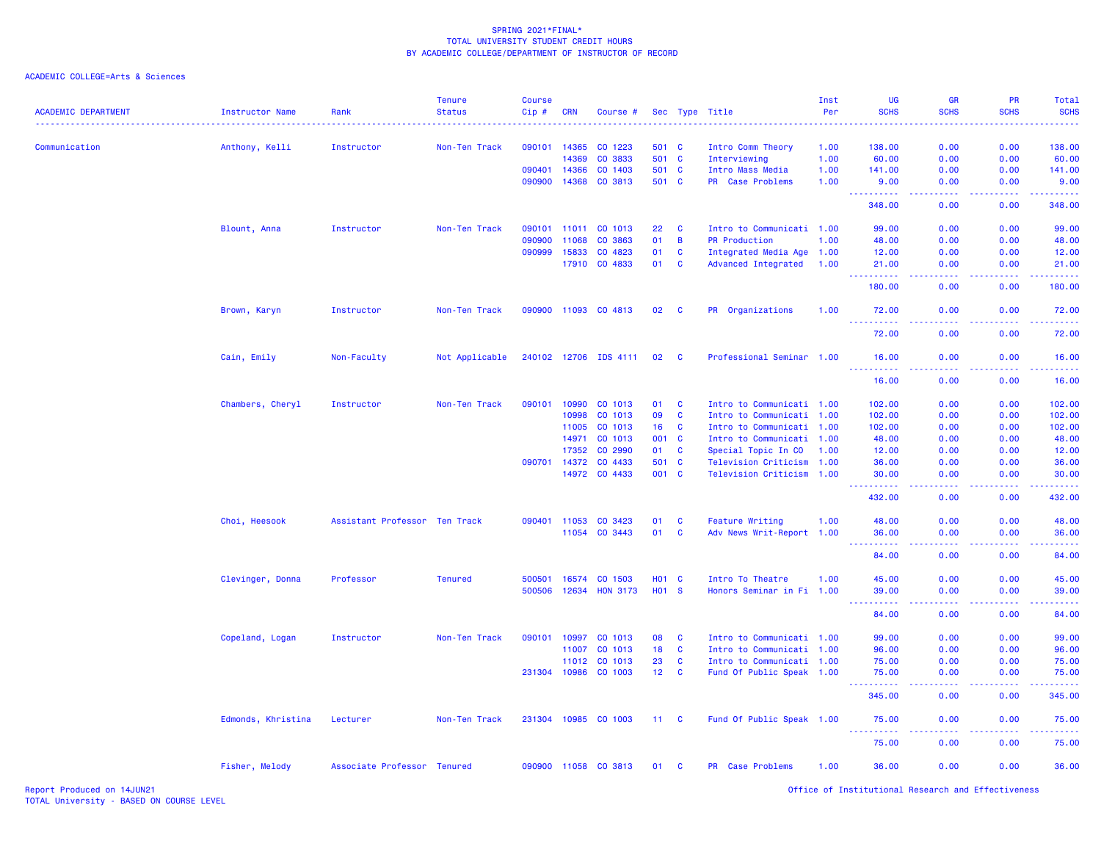ACADEMIC COLLEGE=Arts & Sciences

| <b>ACADEMIC DEPARTMENT</b> | <b>Instructor Name</b> | Rank                          | <b>Tenure</b><br><b>Status</b> | Course<br>Cip# | <b>CRN</b> | Course #              |                 |              | Sec Type Title             | Inst<br>Per | UG<br><b>SCHS</b>             | GR<br><b>SCHS</b> | PR<br><b>SCHS</b>                                                                                                                                            | Total<br><b>SCHS</b>                                                                     |
|----------------------------|------------------------|-------------------------------|--------------------------------|----------------|------------|-----------------------|-----------------|--------------|----------------------------|-------------|-------------------------------|-------------------|--------------------------------------------------------------------------------------------------------------------------------------------------------------|------------------------------------------------------------------------------------------|
| Communication              | Anthony, Kelli         | Instructor                    | Non-Ten Track                  | 090101         | 14365      | CO 1223               | 501 C           |              | Intro Comm Theory          | 1.00        | 138.00                        | 0.00              | 0.00                                                                                                                                                         | 138.00                                                                                   |
|                            |                        |                               |                                |                | 14369      | CO 3833               | 501 C           |              | Interviewing               | 1.00        | 60.00                         | 0.00              | 0.00                                                                                                                                                         | 60.00                                                                                    |
|                            |                        |                               |                                | 090401         | 14366      | CO 1403               | 501 C           |              | Intro Mass Media           | 1.00        | 141.00                        | 0.00              | 0.00                                                                                                                                                         | 141.00                                                                                   |
|                            |                        |                               |                                | 090900         | 14368      | CO 3813               | 501 C           |              | PR Case Problems           | 1.00        | 9.00<br><b>.</b>              | 0.00<br>المتمامين | 0.00<br>.                                                                                                                                                    | 9.00<br>$\mathbf{1} \cdot \mathbf{1} \cdot \mathbf{1} \cdot \mathbf{1} \cdot \mathbf{1}$ |
|                            |                        |                               |                                |                |            |                       |                 |              |                            |             | 348.00                        | 0.00              | 0.00                                                                                                                                                         | 348.00                                                                                   |
|                            | Blount, Anna           | Instructor                    | Non-Ten Track                  | 090101         | 11011      | CO 1013               | 22              | $\mathbf{C}$ | Intro to Communicati 1.00  |             | 99.00                         | 0.00              | 0.00                                                                                                                                                         | 99.00                                                                                    |
|                            |                        |                               |                                | 090900         | 11068      | CO 3863               | 01              | $\, {\bf B}$ | <b>PR Production</b>       | 1.00        | 48.00                         | 0.00              | 0.00                                                                                                                                                         | 48.00                                                                                    |
|                            |                        |                               |                                | 090999         | 15833      | CO 4823               | 01              | C            | Integrated Media Age 1.00  |             | 12.00                         | 0.00              | 0.00                                                                                                                                                         | 12.00                                                                                    |
|                            |                        |                               |                                |                |            | 17910 CO 4833         | 01              | $\mathbf{C}$ | <b>Advanced Integrated</b> | 1.00        | 21.00<br><b>.</b>             | 0.00<br>ولايات    | 0.00<br>$\frac{1}{2} \left( \frac{1}{2} \right) \left( \frac{1}{2} \right) \left( \frac{1}{2} \right) \left( \frac{1}{2} \right) \left( \frac{1}{2} \right)$ | 21.00<br>.                                                                               |
|                            |                        |                               |                                |                |            |                       |                 |              |                            |             | 180.00                        | 0.00              | 0.00                                                                                                                                                         | 180.00                                                                                   |
|                            | Brown, Karyn           | Instructor                    | Non-Ten Track                  | 090900         | 11093      | CO 4813               | 02              | C            | PR Organizations           | 1.00        | 72.00<br>.                    | 0.00<br>والمالمات | 0.00                                                                                                                                                         | 72.00<br>.                                                                               |
|                            |                        |                               |                                |                |            |                       |                 |              |                            |             | 72.00                         | 0.00              | 0.00                                                                                                                                                         | 72.00                                                                                    |
|                            | Cain, Emily            | Non-Faculty                   | Not Applicable                 |                |            | 240102 12706 IDS 4111 | 02              | <b>C</b>     | Professional Seminar 1.00  |             | 16.00<br><b>.</b><br>- - -    | 0.00<br>د د د د   | 0.00<br>.                                                                                                                                                    | 16.00<br>.                                                                               |
|                            |                        |                               |                                |                |            |                       |                 |              |                            |             | 16.00                         | 0.00              | 0.00                                                                                                                                                         | 16.00                                                                                    |
|                            | Chambers, Cheryl       | Instructor                    | Non-Ten Track                  | 090101         | 10990      | CO 1013               | 01              | $\mathbf{C}$ | Intro to Communicati 1.00  |             | 102.00                        | 0.00              | 0.00                                                                                                                                                         | 102.00                                                                                   |
|                            |                        |                               |                                |                | 10998      | CO 1013               | 09              | $\mathbf{C}$ | Intro to Communicati 1.00  |             | 102.00                        | 0.00              | 0.00                                                                                                                                                         | 102.00                                                                                   |
|                            |                        |                               |                                |                | 11005      | CO 1013               | 16              | <b>C</b>     | Intro to Communicati 1.00  |             | 102.00                        | 0.00              | 0.00                                                                                                                                                         | 102.00                                                                                   |
|                            |                        |                               |                                |                | 14971      | CO 1013               | 001 C           |              | Intro to Communicati 1.00  |             | 48.00                         | 0.00              | 0.00                                                                                                                                                         | 48.00                                                                                    |
|                            |                        |                               |                                |                | 17352      | CO 2990               | 01              | <b>C</b>     | Special Topic In CO        | 1.00        | 12.00                         | 0.00              | 0.00                                                                                                                                                         | 12.00                                                                                    |
|                            |                        |                               |                                | 090701         | 14372      | CO 4433               | 501             | $\mathbf{C}$ | Television Criticism 1.00  |             | 36.00                         | 0.00              | 0.00                                                                                                                                                         | 36.00                                                                                    |
|                            |                        |                               |                                |                | 14972      | CO 4433               | 001 C           |              | Television Criticism 1.00  |             | 30.00                         | 0.00              | 0.00                                                                                                                                                         | 30.00                                                                                    |
|                            |                        |                               |                                |                |            |                       |                 |              |                            |             | 432.00                        | 0.00              | 0.00                                                                                                                                                         | 432.00                                                                                   |
|                            | Choi, Heesook          | Assistant Professor Ten Track |                                | 090401         | 11053      | CO 3423               | 01              | C            | <b>Feature Writing</b>     | 1.00        | 48.00                         | 0.00              | 0.00                                                                                                                                                         | 48.00                                                                                    |
|                            |                        |                               |                                |                | 11054      | CO 3443               | 01              | C            | Adv News Writ-Report 1.00  |             | 36.00<br>.                    | 0.00<br>المتمامين | 0.00<br>.                                                                                                                                                    | 36.00<br>.                                                                               |
|                            |                        |                               |                                |                |            |                       |                 |              |                            |             | 84.00                         | 0.00              | 0.00                                                                                                                                                         | 84.00                                                                                    |
|                            | Clevinger, Donna       | Professor                     | <b>Tenured</b>                 | 500501         | 16574      | CO 1503               | H01 C           |              | Intro To Theatre           | 1.00        | 45.00                         | 0.00              | 0.00                                                                                                                                                         | 45.00                                                                                    |
|                            |                        |                               |                                | 500506         | 12634      | <b>HON 3173</b>       | <b>HO1</b>      | $\mathbf{s}$ | Honors Seminar in Fi 1.00  |             | 39.00                         | 0.00              | 0.00                                                                                                                                                         | 39.00                                                                                    |
|                            |                        |                               |                                |                |            |                       |                 |              |                            |             | $\sim 100$<br>------<br>84.00 | والمسامين<br>0.00 | 0.00                                                                                                                                                         | .<br>84.00                                                                               |
|                            | Copeland, Logan        | Instructor                    | Non-Ten Track                  | 090101         | 10997      | CO 1013               | 08              | C            | Intro to Communicati 1.00  |             | 99.00                         | 0.00              | 0.00                                                                                                                                                         | 99.00                                                                                    |
|                            |                        |                               |                                |                | 11007      | CO 1013               | 18              | C            | Intro to Communicati 1.00  |             | 96.00                         | 0.00              | 0.00                                                                                                                                                         | 96.00                                                                                    |
|                            |                        |                               |                                |                | 11012      | CO 1013               | 23              | C            | Intro to Communicati 1.00  |             | 75.00                         | 0.00              | 0.00                                                                                                                                                         | 75.00                                                                                    |
|                            |                        |                               |                                | 231304         | 10986      | CO 1003               | 12 <sub>2</sub> | $\mathbf{C}$ | Fund Of Public Speak 1.00  |             | 75.00                         | 0.00              | 0.00                                                                                                                                                         | 75.00                                                                                    |
|                            |                        |                               |                                |                |            |                       |                 |              |                            |             | 345.00                        | 0.00              | .<br>0.00                                                                                                                                                    | 345.00                                                                                   |
|                            | Edmonds, Khristina     | Lecturer                      | Non-Ten Track                  | 231304         | 10985      | CO 1003               | 11              | <b>C</b>     | Fund Of Public Speak 1.00  |             | 75.00                         | 0.00              | 0.00                                                                                                                                                         | 75.00                                                                                    |
|                            |                        |                               |                                |                |            |                       |                 |              |                            |             | 75.00                         | 0.00              | 0.00                                                                                                                                                         | 75.00                                                                                    |
|                            | Fisher, Melody         | Associate Professor Tenured   |                                |                |            | 090900 11058 CO 3813  | 01              | - C          | PR Case Problems           | 1.00        | 36.00                         | 0.00              | 0.00                                                                                                                                                         | 36.00                                                                                    |

Report Produced on 14JUN21 Office of Institutional Research and Effectiveness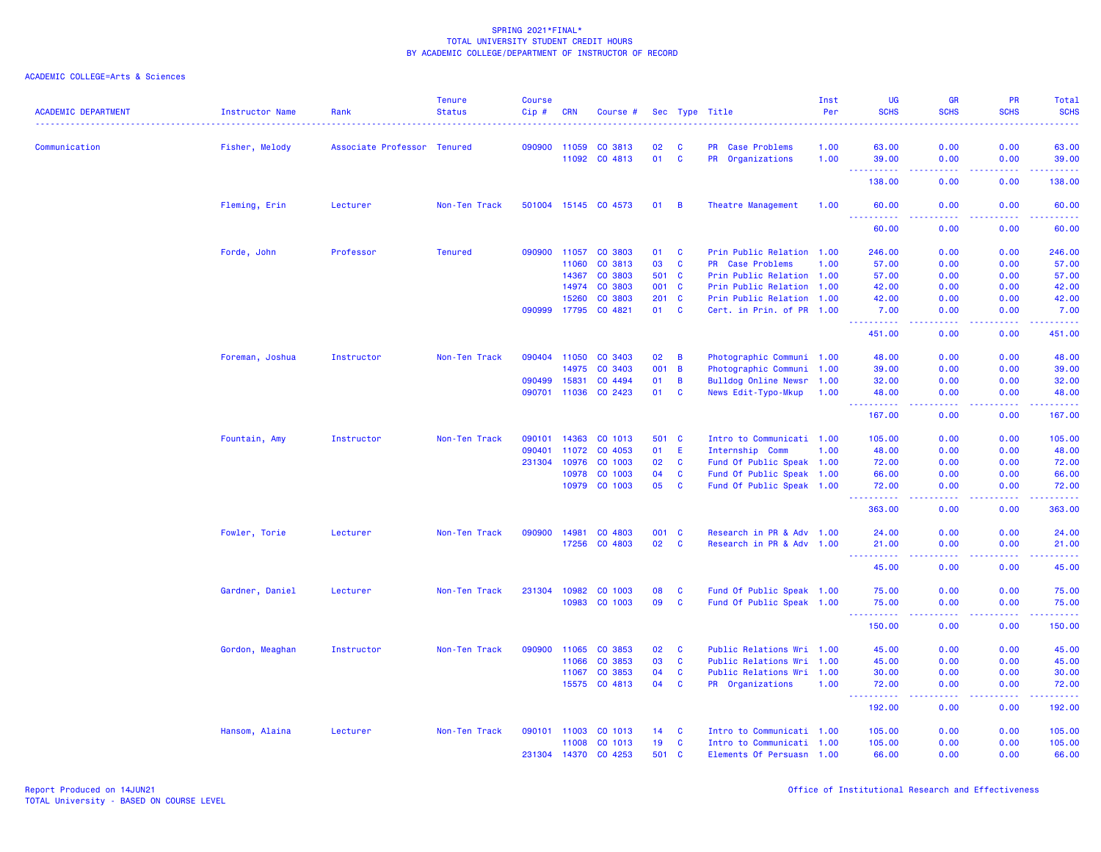| <b>ACADEMIC DEPARTMENT</b> | <b>Instructor Name</b> | Rank                        | <b>Tenure</b><br><b>Status</b> | <b>Course</b><br>Cip# | <b>CRN</b> | Course #             |       |                         | Sec Type Title            | Inst<br>Per | <b>UG</b><br><b>SCHS</b>                                                                                                                                       | <b>GR</b><br><b>SCHS</b> | <b>PR</b><br><b>SCHS</b>            | Total<br><b>SCHS</b> |
|----------------------------|------------------------|-----------------------------|--------------------------------|-----------------------|------------|----------------------|-------|-------------------------|---------------------------|-------------|----------------------------------------------------------------------------------------------------------------------------------------------------------------|--------------------------|-------------------------------------|----------------------|
| Communication              | Fisher, Melody         | Associate Professor Tenured |                                | 090900                | 11059      | CO 3813              | 02    | <b>C</b>                | PR Case Problems          | 1.00        | 63.00                                                                                                                                                          | 0.00                     | 0.00                                | 63.00                |
|                            |                        |                             |                                |                       | 11092      | CO 4813              | 01    | $\mathbf{C}$            | PR Organizations          | 1.00        | 39.00<br>$\sim$ $\sim$ $\sim$<br><b>.</b>                                                                                                                      | 0.00<br>.                | 0.00<br>-----                       | 39.00<br>.           |
|                            |                        |                             |                                |                       |            |                      |       |                         |                           |             | 138.00                                                                                                                                                         | 0.00                     | 0.00                                | 138.00               |
|                            | Fleming, Erin          | Lecturer                    | Non-Ten Track                  |                       |            | 501004 15145 CO 4573 | 01    | $\overline{B}$          | Theatre Management        | 1.00        | 60.00                                                                                                                                                          | 0.00                     | 0.00                                | 60.00                |
|                            |                        |                             |                                |                       |            |                      |       |                         |                           |             | <u> - - - - - - - - - -</u><br>60.00                                                                                                                           | .<br>0.00                | . <b>.</b><br>0.00                  | .<br>60.00           |
|                            | Forde, John            | Professor                   | <b>Tenured</b>                 | 090900                | 11057      | CO 3803              | 01    | <b>C</b>                | Prin Public Relation 1.00 |             | 246.00                                                                                                                                                         | 0.00                     | 0.00                                | 246.00               |
|                            |                        |                             |                                |                       | 11060      | CO 3813              | 03    | C                       | PR Case Problems          | 1.00        | 57.00                                                                                                                                                          | 0.00                     | 0.00                                | 57.00                |
|                            |                        |                             |                                |                       | 14367      | CO 3803              | 501 C |                         | Prin Public Relation 1.00 |             | 57.00                                                                                                                                                          | 0.00                     | 0.00                                | 57.00                |
|                            |                        |                             |                                |                       | 14974      | CO 3803              | 001   | $\mathbf{C}$            | Prin Public Relation 1.00 |             | 42.00                                                                                                                                                          | 0.00                     | 0.00                                | 42.00                |
|                            |                        |                             |                                |                       | 15260      | CO 3803              | 201   | $\overline{\mathbf{C}}$ | Prin Public Relation 1.00 |             | 42.00                                                                                                                                                          | 0.00                     | 0.00                                | 42.00                |
|                            |                        |                             |                                | 090999                | 17795      | CO 4821              | 01    | <b>C</b>                | Cert. in Prin. of PR 1.00 |             | 7.00<br>.                                                                                                                                                      | 0.00<br>.                | 0.00<br>.                           | 7.00<br><u>.</u>     |
|                            |                        |                             |                                |                       |            |                      |       |                         |                           |             | 451.00                                                                                                                                                         | 0.00                     | 0.00                                | 451.00               |
|                            | Foreman, Joshua        | Instructor                  | Non-Ten Track                  | 090404                | 11050      | CO 3403              | 02    | $\overline{B}$          | Photographic Communi 1.00 |             | 48.00                                                                                                                                                          | 0.00                     | 0.00                                | 48.00                |
|                            |                        |                             |                                |                       | 14975      | CO 3403              | 001   | $\overline{B}$          | Photographic Communi 1.00 |             | 39.00                                                                                                                                                          | 0.00                     | 0.00                                | 39.00                |
|                            |                        |                             |                                | 090499                | 15831      | CO 4494              | 01    | B                       | Bulldog Online Newsr 1.00 |             | 32.00                                                                                                                                                          | 0.00                     | 0.00                                | 32.00                |
|                            |                        |                             |                                | 090701                | 11036      | CO 2423              | 01    | $\mathbf{C}$            | News Edit-Typo-Mkup       | 1.00        | 48.00                                                                                                                                                          | 0.00                     | 0.00                                | 48.00                |
|                            |                        |                             |                                |                       |            |                      |       |                         |                           |             | $\frac{1}{2} \left( \frac{1}{2} \right) \left( \frac{1}{2} \right) \left( \frac{1}{2} \right) \left( \frac{1}{2} \right) \left( \frac{1}{2} \right)$<br>167.00 | 0.00                     | $\sim$ $\sim$ $\sim$ $\sim$<br>0.00 | .<br>167.00          |
|                            | Fountain, Amy          | Instructor                  | Non-Ten Track                  | 090101                | 14363      | CO 1013              | 501   | $\mathbf{C}$            | Intro to Communicati 1.00 |             | 105.00                                                                                                                                                         | 0.00                     | 0.00                                | 105.00               |
|                            |                        |                             |                                | 090401                | 11072      | CO 4053              | 01    | E                       | Internship Comm           | 1.00        | 48.00                                                                                                                                                          | 0.00                     | 0.00                                | 48.00                |
|                            |                        |                             |                                | 231304                | 10976      | CO 1003              | 02    | $\mathbf{C}$            | Fund Of Public Speak 1.00 |             | 72.00                                                                                                                                                          | 0.00                     | 0.00                                | 72.00                |
|                            |                        |                             |                                |                       | 10978      | CO 1003              | 04    | $\mathbf{C}$            | Fund Of Public Speak 1.00 |             | 66.00                                                                                                                                                          | 0.00                     | 0.00                                | 66.00                |
|                            |                        |                             |                                |                       | 10979      | CO 1003              | 05    | $\mathbf{C}$            | Fund Of Public Speak 1.00 |             | 72.00<br>.                                                                                                                                                     | 0.00<br>د د د د .        | 0.00<br>.                           | 72.00                |
|                            |                        |                             |                                |                       |            |                      |       |                         |                           |             | 363.00                                                                                                                                                         | 0.00                     | 0.00                                | 363.00               |
|                            | Fowler, Torie          | Lecturer                    | Non-Ten Track                  | 090900                | 14981      | CO 4803              | 001   | C                       | Research in PR & Adv 1.00 |             | 24.00                                                                                                                                                          | 0.00                     | 0.00                                | 24.00                |
|                            |                        |                             |                                |                       | 17256      | CO 4803              | 02    | $\mathbf{C}$            | Research in PR & Adv 1.00 |             | 21.00<br>.                                                                                                                                                     | 0.00<br>.                | 0.00<br>.                           | 21.00<br>.           |
|                            |                        |                             |                                |                       |            |                      |       |                         |                           |             | 45.00                                                                                                                                                          | 0.00                     | 0.00                                | 45.00                |
|                            | Gardner, Daniel        | Lecturer                    | Non-Ten Track                  | 231304                | 10982      | CO 1003              | 08    | C                       | Fund Of Public Speak 1.00 |             | 75.00                                                                                                                                                          | 0.00                     | 0.00                                | 75.00                |
|                            |                        |                             |                                |                       | 10983      | CO 1003              | 09    | <b>C</b>                | Fund Of Public Speak 1.00 |             | 75.00                                                                                                                                                          | 0.00                     | 0.00                                | 75.00                |
|                            |                        |                             |                                |                       |            |                      |       |                         |                           |             | 150.00                                                                                                                                                         | 0.00                     | 0.00                                | .<br>150.00          |
|                            | Gordon, Meaghan        | Instructor                  | Non-Ten Track                  | 090900                | 11065      | CO 3853              | 02    | C                       | Public Relations Wri 1.00 |             | 45.00                                                                                                                                                          | 0.00                     | 0.00                                | 45.00                |
|                            |                        |                             |                                |                       | 11066      | CO 3853              | 03    | $\mathbf{C}$            | Public Relations Wri 1.00 |             | 45.00                                                                                                                                                          | 0.00                     | 0.00                                | 45.00                |
|                            |                        |                             |                                |                       | 11067      | CO 3853              | 04    | <b>C</b>                | Public Relations Wri 1.00 |             | 30.00                                                                                                                                                          | 0.00                     | 0.00                                | 30.00                |
|                            |                        |                             |                                |                       | 15575      | CO 4813              | 04    | $\mathbf{C}$            | PR Organizations          | 1.00        | 72.00                                                                                                                                                          | 0.00                     | 0.00                                | 72.00                |
|                            |                        |                             |                                |                       |            |                      |       |                         |                           |             | <u>.</u><br>192.00                                                                                                                                             | .<br>0.00                | .<br>0.00                           | <u>.</u><br>192.00   |
|                            | Hansom, Alaina         | Lecturer                    | Non-Ten Track                  | 090101 11003          |            | CO 1013              | 14    | <b>C</b>                | Intro to Communicati 1.00 |             | 105.00                                                                                                                                                         | 0.00                     | 0.00                                | 105.00               |
|                            |                        |                             |                                |                       | 11008      | CO 1013              | 19    | C                       | Intro to Communicati 1.00 |             | 105.00                                                                                                                                                         | 0.00                     | 0.00                                | 105.00               |
|                            |                        |                             |                                | 231304                | 14370      | CO 4253              | 501   | $\mathbf{C}$            | Elements Of Persuasn 1.00 |             | 66.00                                                                                                                                                          | 0.00                     | 0.00                                | 66.00                |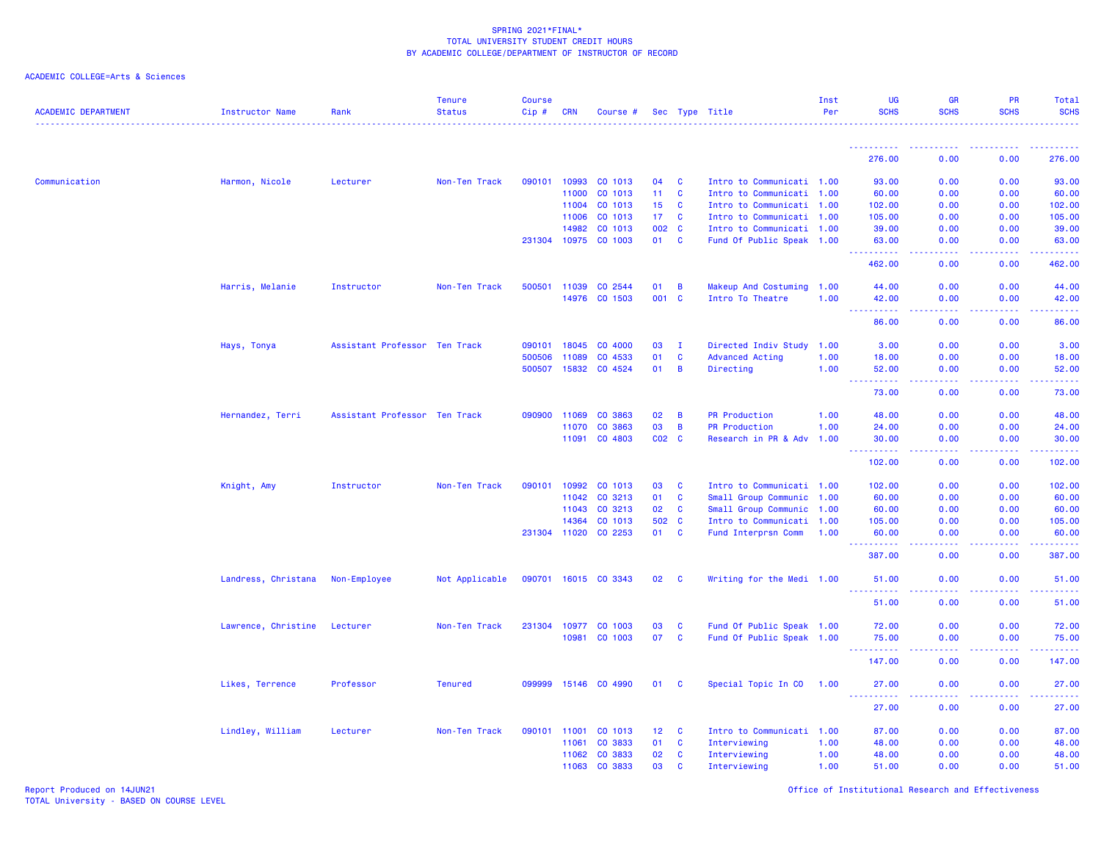# ACADEMIC COLLEGE=Arts & Sciences

| <b>ACADEMIC DEPARTMENT</b> | <b>Instructor Name</b> | Rank                          | <b>Tenure</b><br><b>Status</b> | <b>Course</b><br>Cip# | <b>CRN</b>   | Course #             |           |              | Sec Type Title            | Inst<br>Per | <b>UG</b><br><b>SCHS</b>              | <b>GR</b><br><b>SCHS</b>                                                                               | PR<br><b>SCHS</b>                     | Total<br><b>SCHS</b> |
|----------------------------|------------------------|-------------------------------|--------------------------------|-----------------------|--------------|----------------------|-----------|--------------|---------------------------|-------------|---------------------------------------|--------------------------------------------------------------------------------------------------------|---------------------------------------|----------------------|
|                            |                        |                               |                                |                       |              |                      |           |              |                           |             |                                       |                                                                                                        |                                       |                      |
|                            |                        |                               |                                |                       |              |                      |           |              |                           |             | 276.00                                | 0.00                                                                                                   | 0.00                                  | 276.00               |
| Communication              | Harmon, Nicole         | Lecturer                      | Non-Ten Track                  | 090101                | 10993        | CO 1013              | 04        | <b>C</b>     | Intro to Communicati 1.00 |             | 93.00                                 | 0.00                                                                                                   | 0.00                                  | 93.00                |
|                            |                        |                               |                                |                       | 11000        | CO 1013              | 11        | C            | Intro to Communicati 1.00 |             | 60.00                                 | 0.00                                                                                                   | 0.00                                  | 60.00                |
|                            |                        |                               |                                |                       | 11004        | CO 1013              | 15        | <b>C</b>     | Intro to Communicati 1.00 |             | 102.00                                | 0.00                                                                                                   | 0.00                                  | 102.00               |
|                            |                        |                               |                                |                       | 11006        | CO 1013              | 17        | <b>C</b>     | Intro to Communicati 1.00 |             | 105.00                                | 0.00                                                                                                   | 0.00                                  | 105.00               |
|                            |                        |                               |                                |                       | 14982        | CO 1013              | 002 C     |              | Intro to Communicati 1.00 |             | 39.00                                 | 0.00                                                                                                   | 0.00                                  | 39.00                |
|                            |                        |                               |                                |                       |              | 231304 10975 CO 1003 | 01        | $\mathbf{C}$ | Fund Of Public Speak 1.00 |             | 63.00                                 | 0.00                                                                                                   | 0.00                                  | 63.00                |
|                            |                        |                               |                                |                       |              |                      |           |              |                           |             | <u> - - - - - - - - - -</u><br>462.00 | .<br>0.00                                                                                              | <b><i><u><u>.</u></u></i></b><br>0.00 | .<br>462.00          |
|                            | Harris, Melanie        | Instructor                    | Non-Ten Track                  | 500501                | 11039        | CO 2544              | 01        | В            | Makeup And Costuming 1.00 |             | 44.00                                 | 0.00                                                                                                   | 0.00                                  | 44.00                |
|                            |                        |                               |                                |                       | 14976        | CO 1503              | 001       | $\mathbf{C}$ | Intro To Theatre          | 1.00        | 42.00                                 | 0.00                                                                                                   | 0.00                                  | 42.00                |
|                            |                        |                               |                                |                       |              |                      |           |              |                           |             | .<br>$\frac{1}{2}$<br>86.00           | المتمالين<br>0.00                                                                                      | <b><i><u><u>.</u></u></i></b><br>0.00 | .<br>86.00           |
|                            | Hays, Tonya            | Assistant Professor Ten Track |                                | 090101                | 18045        | CO 4000              | 03        | $\mathbf{I}$ | Directed Indiv Study      | 1.00        | 3.00                                  | 0.00                                                                                                   | 0.00                                  | 3.00                 |
|                            |                        |                               |                                | 500506                | 11089        | CO 4533              | 01        | C            | <b>Advanced Acting</b>    | 1.00        | 18.00                                 | 0.00                                                                                                   | 0.00                                  | 18.00                |
|                            |                        |                               |                                |                       | 500507 15832 | CO 4524              | 01        | B            | Directing                 | 1.00        | 52.00                                 | 0.00                                                                                                   | 0.00                                  | 52.00                |
|                            |                        |                               |                                |                       |              |                      |           |              |                           |             | -----<br>73.00                        | 0.00                                                                                                   | 0.00                                  | 73.00                |
|                            | Hernandez, Terri       | Assistant Professor Ten Track |                                |                       | 090900 11069 | CO 3863              | 02        | B            | <b>PR Production</b>      | 1.00        | 48.00                                 | 0.00                                                                                                   | 0.00                                  | 48.00                |
|                            |                        |                               |                                |                       | 11070        | CO 3863              | 03        | B            | <b>PR Production</b>      | 1.00        | 24.00                                 | 0.00                                                                                                   | 0.00                                  | 24.00                |
|                            |                        |                               |                                |                       | 11091        | CO 4803              | $CO2$ $C$ |              | Research in PR & Adv      | 1.00        | 30.00                                 | 0.00                                                                                                   | 0.00                                  | 30.00                |
|                            |                        |                               |                                |                       |              |                      |           |              |                           |             | .<br>102.00                           | 0.00                                                                                                   | 0.00                                  | .<br>102.00          |
|                            | Knight, Amy            | Instructor                    | Non-Ten Track                  | 090101                | 10992        | CO 1013              | 03        | <b>C</b>     | Intro to Communicati 1.00 |             | 102.00                                | 0.00                                                                                                   | 0.00                                  | 102.00               |
|                            |                        |                               |                                |                       | 11042        | CO 3213              | 01        | $\mathbf{C}$ | Small Group Communic 1.00 |             | 60.00                                 | 0.00                                                                                                   | 0.00                                  | 60.00                |
|                            |                        |                               |                                |                       | 11043        | CO 3213              | 02        | <b>C</b>     | Small Group Communic 1.00 |             | 60.00                                 | 0.00                                                                                                   | 0.00                                  | 60.00                |
|                            |                        |                               |                                |                       | 14364        | CO 1013              | 502       | $\mathbf{C}$ | Intro to Communicati 1.00 |             | 105.00                                | 0.00                                                                                                   | 0.00                                  | 105.00               |
|                            |                        |                               |                                | 231304 11020          |              | CO 2253              | 01        | <b>C</b>     | Fund Interprsn Comm       | 1.00        | 60.00                                 | 0.00                                                                                                   | 0.00                                  | 60.00                |
|                            |                        |                               |                                |                       |              |                      |           |              |                           |             | .<br>387.00                           | $\frac{1}{2} \left( \frac{1}{2} \right) \left( \frac{1}{2} \right) \left( \frac{1}{2} \right)$<br>0.00 | .<br>0.00                             | . <b>.</b><br>387.00 |
|                            | Landress, Christana    | Non-Employee                  | Not Applicable                 |                       |              | 090701 16015 CO 3343 | 02        | <b>C</b>     | Writing for the Medi 1.00 |             | 51.00<br>د د د د د                    | 0.00<br>والمالمات                                                                                      | 0.00<br>.                             | 51.00<br>المتمامين   |
|                            |                        |                               |                                |                       |              |                      |           |              |                           |             | 51.00                                 | 0.00                                                                                                   | 0.00                                  | 51.00                |
|                            | Lawrence, Christine    | Lecturer                      | Non-Ten Track                  | 231304                | 10977        | CO 1003              | 03        | $\mathbf{C}$ | Fund Of Public Speak 1.00 |             | 72.00                                 | 0.00                                                                                                   | 0.00                                  | 72.00                |
|                            |                        |                               |                                |                       | 10981        | CO 1003              | 07        | $\mathbf{C}$ | Fund Of Public Speak 1.00 |             | 75.00                                 | 0.00                                                                                                   | 0.00                                  | 75.00                |
|                            |                        |                               |                                |                       |              |                      |           |              |                           |             | .<br>$\sim$ $\sim$ $\sim$<br>147.00   | $\sim$ $\sim$ $\sim$ $\sim$<br>0.00                                                                    | 0.00                                  | .<br>147.00          |
|                            | Likes, Terrence        | Professor                     | <b>Tenured</b>                 | 099999                |              | 15146 CO 4990        | 01        | <b>C</b>     | Special Topic In CO       | 1.00        | 27,00                                 | 0.00                                                                                                   | 0.00                                  | 27,00                |
|                            |                        |                               |                                |                       |              |                      |           |              |                           |             | 27.00                                 | 0.00                                                                                                   | 0.00                                  | 27.00                |
|                            | Lindley, William       | Lecturer                      | Non-Ten Track                  | 090101 11001          |              | CO 1013              | 12        | <b>C</b>     | Intro to Communicati 1.00 |             | 87.00                                 | 0.00                                                                                                   | 0.00                                  | 87.00                |
|                            |                        |                               |                                |                       | 11061        | CO 3833              | 01        | C            | Interviewing              | 1.00        | 48.00                                 | 0.00                                                                                                   | 0.00                                  | 48.00                |
|                            |                        |                               |                                |                       | 11062        | CO 3833              | 02        | C            | Interviewing              | 1.00        | 48.00                                 | 0.00                                                                                                   | 0.00                                  | 48.00                |
|                            |                        |                               |                                |                       | 11063        | CO 3833              | 03        | C            | Interviewing              | 1.00        | 51.00                                 | 0.00                                                                                                   | 0.00                                  | 51.00                |

Report Produced on 14JUN21 Office of Institutional Research and Effectiveness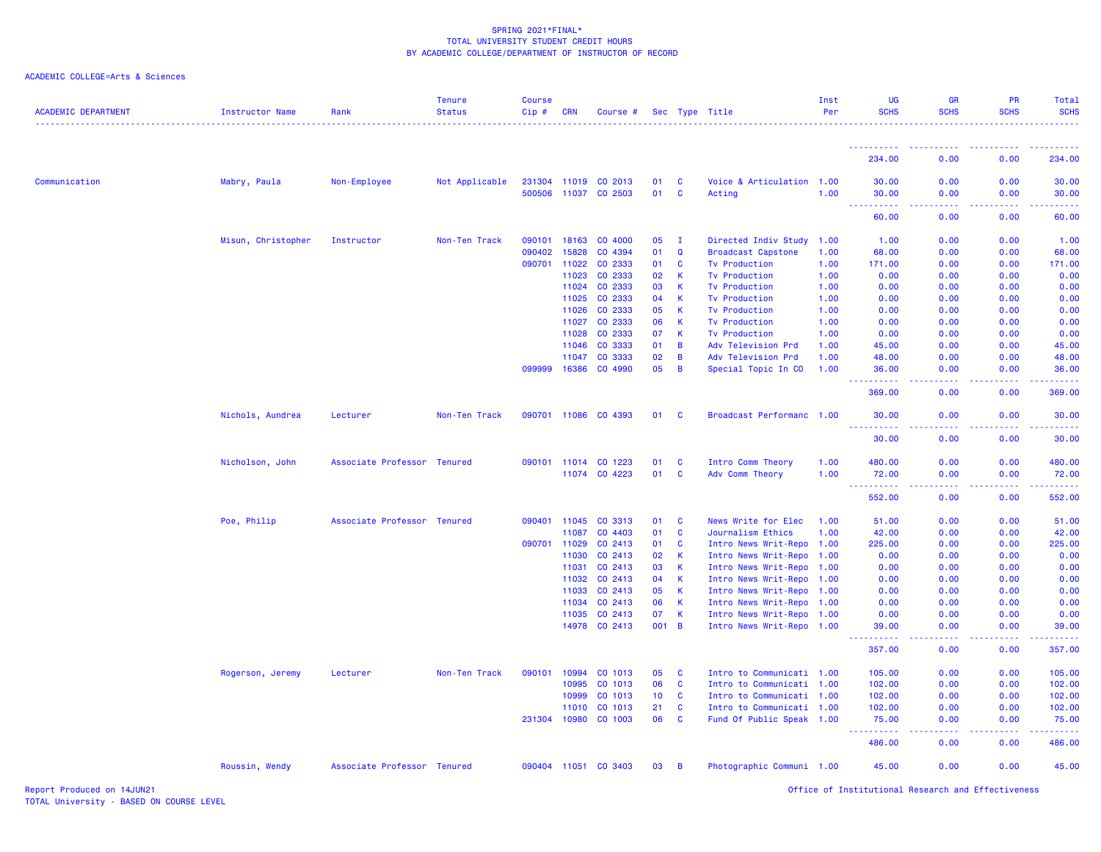| <b>ACADEMIC DEPARTMENT</b> | <b>Instructor Name</b> | Rank                        | <b>Tenure</b><br><b>Status</b> | <b>Course</b><br>Cip# | CRN                   | Course #                 |                 |             | Sec Type Title                                         | Inst<br>Per  | UG<br><b>SCHS</b>                                                                                                                   | GR<br><b>SCHS</b> | <b>PR</b><br><b>SCHS</b>                                                                                                                                     | Total<br><b>SCHS</b> |
|----------------------------|------------------------|-----------------------------|--------------------------------|-----------------------|-----------------------|--------------------------|-----------------|-------------|--------------------------------------------------------|--------------|-------------------------------------------------------------------------------------------------------------------------------------|-------------------|--------------------------------------------------------------------------------------------------------------------------------------------------------------|----------------------|
|                            |                        |                             |                                |                       |                       |                          |                 |             |                                                        |              | ----------                                                                                                                          |                   | $\frac{1}{2} \left( \frac{1}{2} \right) \left( \frac{1}{2} \right) \left( \frac{1}{2} \right) \left( \frac{1}{2} \right) \left( \frac{1}{2} \right)$         |                      |
|                            |                        |                             |                                |                       |                       |                          |                 |             |                                                        |              | 234.00                                                                                                                              | 0.00              | 0.00                                                                                                                                                         | 234.00               |
| Communication              | Mabry, Paula           | Non-Employee                | Not Applicable                 |                       | 231304 11019          | CO 2013                  | 01              | C           | Voice & Articulation 1.00                              |              | 30.00                                                                                                                               | 0.00              | 0.00                                                                                                                                                         | 30.00                |
|                            |                        |                             |                                |                       | 500506 11037          | CO 2503                  | 01              | <b>C</b>    | Acting                                                 | 1.00         | 30.00<br><b>.</b>                                                                                                                   | 0.00              | 0.00                                                                                                                                                         | 30.00                |
|                            |                        |                             |                                |                       |                       |                          |                 |             |                                                        |              | 60.00                                                                                                                               | 0.00              | 0.00                                                                                                                                                         | 60.00                |
|                            | Misun, Christopher     | Instructor                  | Non-Ten Track                  | 090101                | 18163                 | CO 4000                  | 05              | $\mathbf I$ | Directed Indiv Study                                   | 1.00         | 1.00                                                                                                                                | 0.00              | 0.00                                                                                                                                                         | 1.00                 |
|                            |                        |                             |                                | 090402                | 15828                 | CO 4394                  | 01              | Q           | <b>Broadcast Capstone</b>                              | 1.00         | 68.00                                                                                                                               | 0.00              | 0.00                                                                                                                                                         | 68.00                |
|                            |                        |                             |                                | 090701                | 11022                 | CO 2333                  | 01              | C           | <b>Tv Production</b>                                   | 1.00         | 171.00                                                                                                                              | 0.00              | 0.00                                                                                                                                                         | 171.00               |
|                            |                        |                             |                                |                       | 11023                 | CO 2333                  | 02              | K           | <b>Tv Production</b>                                   | 1.00         | 0.00                                                                                                                                | 0.00              | 0.00                                                                                                                                                         | 0.00                 |
|                            |                        |                             |                                |                       | 11024                 | CO 2333                  | 03              | K           | <b>Tv Production</b>                                   | 1.00         | 0.00                                                                                                                                | 0.00              | 0.00                                                                                                                                                         | 0.00                 |
|                            |                        |                             |                                |                       | 11025                 | CO 2333                  | 04              | K           | <b>Tv Production</b>                                   | 1.00         | 0.00                                                                                                                                | 0.00              | 0.00                                                                                                                                                         | 0.00                 |
|                            |                        |                             |                                |                       | 11026                 | CO 2333                  | 05              | K           | <b>Tv Production</b>                                   | 1.00         | 0.00                                                                                                                                | 0.00              | 0.00                                                                                                                                                         | 0.00                 |
|                            |                        |                             |                                |                       | 11027<br>11028        | CO 2333<br>CO 2333       | 06<br>07        | K<br>K      | <b>Tv Production</b><br><b>Tv Production</b>           | 1.00         | 0.00<br>0.00                                                                                                                        | 0.00<br>0.00      | 0.00<br>0.00                                                                                                                                                 | 0.00<br>0.00         |
|                            |                        |                             |                                |                       | 11046                 | CO 3333                  | 01              | B           | Adv Television Prd                                     | 1.00<br>1.00 | 45.00                                                                                                                               | 0.00              | 0.00                                                                                                                                                         | 45.00                |
|                            |                        |                             |                                |                       | 11047                 | CO 3333                  | 02              | B           | Adv Television Prd                                     | 1.00         | 48.00                                                                                                                               | 0.00              | 0.00                                                                                                                                                         | 48.00                |
|                            |                        |                             |                                | 099999                | 16386                 | CO 4990                  | 05              | B           | Special Topic In CO                                    | 1.00         | 36.00                                                                                                                               | 0.00              | 0.00                                                                                                                                                         | 36.00                |
|                            |                        |                             |                                |                       |                       |                          |                 |             |                                                        |              | ----<br>369.00                                                                                                                      | 0.00              | 0.00                                                                                                                                                         | 369.00               |
|                            | Nichols, Aundrea       | Lecturer                    | Non-Ten Track                  |                       |                       | 090701 11086 CO 4393     | 01              | <b>C</b>    | Broadcast Performanc 1.00                              |              | 30.00                                                                                                                               | 0.00              | 0.00                                                                                                                                                         | 30.00                |
|                            |                        |                             |                                |                       |                       |                          |                 |             |                                                        |              | <u>.</u><br>30.00                                                                                                                   | 0.00              | 0.00                                                                                                                                                         | 30.00                |
|                            | Nicholson, John        | Associate Professor Tenured |                                |                       | 090101 11014          | CO 1223                  | 01              | C           | Intro Comm Theory                                      | 1.00         | 480.00                                                                                                                              | 0.00              | 0.00                                                                                                                                                         | 480.00               |
|                            |                        |                             |                                |                       |                       | 11074 CO 4223            | 01              | <b>C</b>    | Adv Comm Theory                                        | 1.00         | 72.00                                                                                                                               | 0.00              | 0.00                                                                                                                                                         | 72.00                |
|                            |                        |                             |                                |                       |                       |                          |                 |             |                                                        |              | .<br>$\sim$ $\sim$ $\sim$<br>552.00                                                                                                 | -----<br>0.00     | $\frac{1}{2} \left( \frac{1}{2} \right) \left( \frac{1}{2} \right) \left( \frac{1}{2} \right) \left( \frac{1}{2} \right) \left( \frac{1}{2} \right)$<br>0.00 | 552.00               |
|                            | Poe, Philip            | Associate Professor Tenured |                                |                       | 090401 11045          | CO 3313                  | 01              | C           | News Write for Elec                                    | 1.00         | 51.00                                                                                                                               | 0.00              | 0.00                                                                                                                                                         | 51.00                |
|                            |                        |                             |                                |                       | 11087                 | CO 4403                  | 01              | C           | Journalism Ethics                                      | 1.00         | 42.00                                                                                                                               | 0.00              | 0.00                                                                                                                                                         | 42.00                |
|                            |                        |                             |                                | 090701 11029          |                       | CO 2413                  | 01              | <b>C</b>    | Intro News Writ-Repo 1.00                              |              | 225.00                                                                                                                              | 0.00              | 0.00                                                                                                                                                         | 225.00               |
|                            |                        |                             |                                |                       | 11030                 | CO 2413                  | 02              | K           | Intro News Writ-Repo 1.00                              |              | 0.00                                                                                                                                | 0.00              | 0.00                                                                                                                                                         | 0.00                 |
|                            |                        |                             |                                |                       | 11031                 | CO 2413                  | 03              | K           | Intro News Writ-Repo 1.00                              |              | 0.00                                                                                                                                | 0.00              | 0.00                                                                                                                                                         | 0.00                 |
|                            |                        |                             |                                |                       | 11032                 | CO 2413                  | 04              | К           | Intro News Writ-Repo                                   | 1.00         | 0.00                                                                                                                                | 0.00              | 0.00                                                                                                                                                         | 0.00                 |
|                            |                        |                             |                                |                       | 11033                 | CO 2413                  | 05              | К           | Intro News Writ-Repo 1.00                              |              | 0.00                                                                                                                                | 0.00              | 0.00                                                                                                                                                         | 0.00                 |
|                            |                        |                             |                                |                       | 11034                 | CO 2413                  | 06              | K           | Intro News Writ-Repo 1.00                              |              | 0.00                                                                                                                                | 0.00              | 0.00                                                                                                                                                         | 0.00                 |
|                            |                        |                             |                                |                       | 11035                 | CO 2413<br>14978 CO 2413 | 07<br>001 B     | К           | Intro News Writ-Repo 1.00<br>Intro News Writ-Repo 1.00 |              | 0.00<br>39.00                                                                                                                       | 0.00<br>0.00      | 0.00<br>0.00                                                                                                                                                 | 0.00<br>39.00        |
|                            |                        |                             |                                |                       |                       |                          |                 |             |                                                        |              | $\frac{1}{2} \left( \frac{1}{2} \right) \left( \frac{1}{2} \right) \left( \frac{1}{2} \right) \left( \frac{1}{2} \right)$<br>357.00 | 0.00              | 0.00                                                                                                                                                         | 357.00               |
|                            |                        |                             |                                |                       |                       |                          |                 |             |                                                        |              |                                                                                                                                     |                   |                                                                                                                                                              |                      |
|                            | Rogerson, Jeremy       | Lecturer                    | Non-Ten Track                  |                       | 090101 10994          | CO 1013                  | 05              | <b>C</b>    | Intro to Communicati 1.00                              |              | 105.00                                                                                                                              | 0.00              | 0.00                                                                                                                                                         | 105.00               |
|                            |                        |                             |                                |                       | 10995                 | CO 1013                  | 06              | C           | Intro to Communicati 1.00                              |              | 102.00                                                                                                                              | 0.00              | 0.00                                                                                                                                                         | 102.00               |
|                            |                        |                             |                                |                       | 10999                 | CO 1013                  | 10 <sub>1</sub> | <b>C</b>    | Intro to Communicati 1.00                              |              | 102.00                                                                                                                              | 0.00              | 0.00                                                                                                                                                         | 102.00               |
|                            |                        |                             |                                |                       | 11010<br>231304 10980 | CO 1013<br>CO 1003       | 21<br>06        | C<br>C      | Intro to Communicati 1.00<br>Fund Of Public Speak 1.00 |              | 102.00<br>75.00                                                                                                                     | 0.00<br>0.00      | 0.00<br>0.00                                                                                                                                                 | 102.00<br>75.00      |
|                            |                        |                             |                                |                       |                       |                          |                 |             |                                                        |              | . <b>.</b>                                                                                                                          |                   |                                                                                                                                                              |                      |
|                            |                        |                             |                                |                       |                       |                          |                 |             |                                                        |              | 486.00                                                                                                                              | 0.00              | 0.00                                                                                                                                                         | 486.00               |
|                            | Roussin, Wendy         | Associate Professor Tenured |                                |                       |                       | 090404 11051 CO 3403     | 03              | B           | Photographic Communi 1.00                              |              | 45.00                                                                                                                               | 0.00              | 0.00                                                                                                                                                         | 45.00                |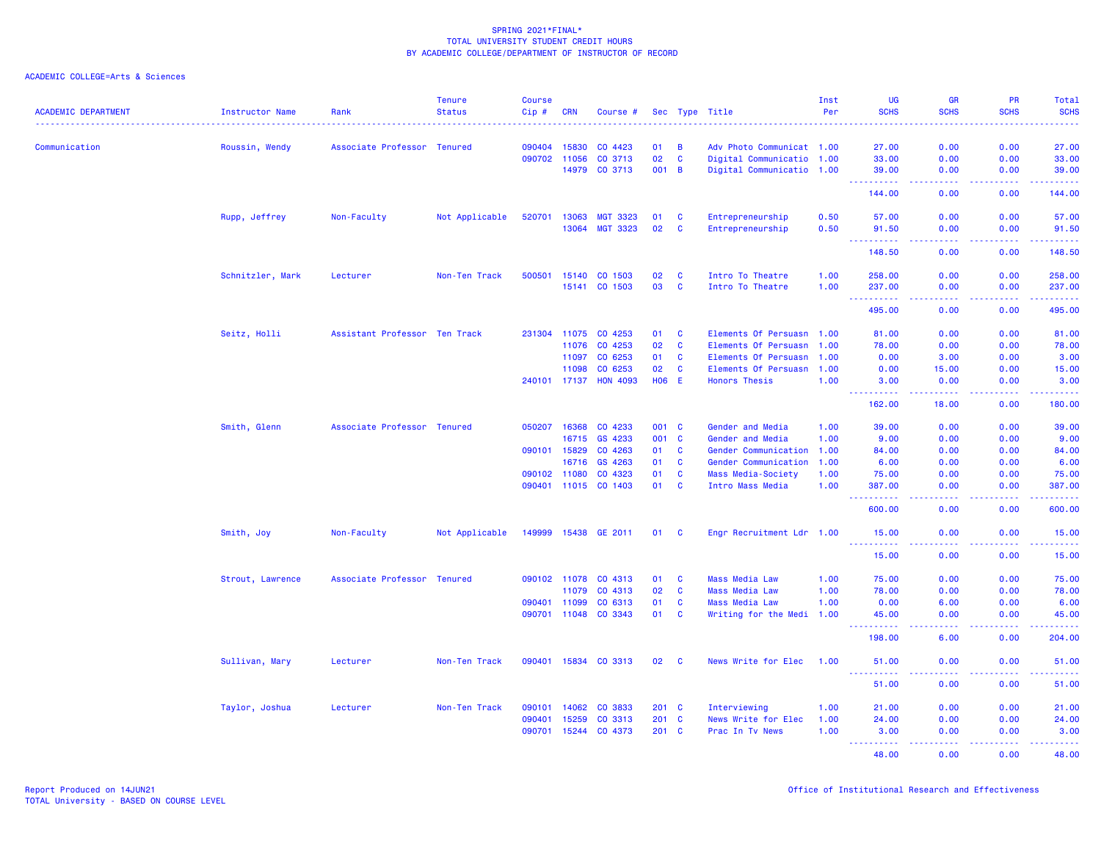| <b>ACADEMIC DEPARTMENT</b> | Instructor Name  | Rank                          | <b>Tenure</b><br><b>Status</b> | <b>Course</b><br>Cip# | <b>CRN</b>     | Course #           |            |              | Sec Type Title                               | Inst<br>Per  | <b>UG</b><br><b>SCHS</b>                                      | <b>GR</b><br><b>SCHS</b>                                                                                                                             | PR<br><b>SCHS</b>                                                                                                         | Total<br><b>SCHS</b>                                                                                                            |
|----------------------------|------------------|-------------------------------|--------------------------------|-----------------------|----------------|--------------------|------------|--------------|----------------------------------------------|--------------|---------------------------------------------------------------|------------------------------------------------------------------------------------------------------------------------------------------------------|---------------------------------------------------------------------------------------------------------------------------|---------------------------------------------------------------------------------------------------------------------------------|
|                            |                  |                               |                                | <b>.</b>              |                |                    |            |              |                                              |              |                                                               | $\frac{1}{2} \left( \frac{1}{2} \right) \left( \frac{1}{2} \right) \left( \frac{1}{2} \right) \left( \frac{1}{2} \right) \left( \frac{1}{2} \right)$ | $\frac{1}{2} \left( \frac{1}{2} \right) \left( \frac{1}{2} \right) \left( \frac{1}{2} \right) \left( \frac{1}{2} \right)$ | د د د د د                                                                                                                       |
| Communication              | Roussin, Wendy   | Associate Professor           | Tenured                        | 090404                | 15830          | CO 4423            | 01         | B            | Adv Photo Communicat 1.00                    |              | 27.00                                                         | 0.00                                                                                                                                                 | 0.00                                                                                                                      | 27.00                                                                                                                           |
|                            |                  |                               |                                | 090702                | 11056          | CO 3713            | 02         | $\mathbf{C}$ | Digital Communicatio 1.00                    |              | 33,00                                                         | 0.00                                                                                                                                                 | 0.00                                                                                                                      | 33.00                                                                                                                           |
|                            |                  |                               |                                |                       | 14979          | CO 3713            | 001        | B            | Digital Communicatio 1.00                    |              | 39.00<br><b></b>                                              | 0.00<br>.                                                                                                                                            | 0.00<br>.                                                                                                                 | 39.00<br>.                                                                                                                      |
|                            |                  |                               |                                |                       |                |                    |            |              |                                              |              | 144.00                                                        | 0.00                                                                                                                                                 | 0.00                                                                                                                      | 144.00                                                                                                                          |
|                            | Rupp, Jeffrey    | Non-Faculty                   | Not Applicable                 | 520701                | 13063          | <b>MGT 3323</b>    | 01         | C            | Entrepreneurship                             | 0.50         | 57.00                                                         | 0.00                                                                                                                                                 | 0.00                                                                                                                      | 57.00                                                                                                                           |
|                            |                  |                               |                                |                       | 13064          | <b>MGT 3323</b>    | 02         | C            | Entrepreneurship                             | 0.50         | 91.50                                                         | 0.00                                                                                                                                                 | 0.00                                                                                                                      | 91.50                                                                                                                           |
|                            |                  |                               |                                |                       |                |                    |            |              |                                              |              | $\omega_{\rm{eff}}$<br><b><i><u><u> - - - - -</u></u></i></b> | $\sim$ $\sim$ $\sim$ $\sim$                                                                                                                          | $\sim$ $\sim$ $\sim$                                                                                                      | .                                                                                                                               |
|                            |                  |                               |                                |                       |                |                    |            |              |                                              |              | 148.50                                                        | 0.00                                                                                                                                                 | 0.00                                                                                                                      | 148.50                                                                                                                          |
|                            | Schnitzler, Mark | Lecturer                      | Non-Ten Track                  | 500501                | 15140          | CO 1503            | 02         | C            | Intro To Theatre                             | 1.00         | 258.00                                                        | 0.00                                                                                                                                                 | 0.00                                                                                                                      | 258.00                                                                                                                          |
|                            |                  |                               |                                |                       | 15141          | CO 1503            | 03         | $\mathbf c$  | Intro To Theatre                             | 1.00         | 237.00                                                        | 0.00                                                                                                                                                 | 0.00                                                                                                                      | 237.00                                                                                                                          |
|                            |                  |                               |                                |                       |                |                    |            |              |                                              |              | .<br>$\sim 100$<br>495.00                                     | $\frac{1}{2} \left( \frac{1}{2} \right) \left( \frac{1}{2} \right) \left( \frac{1}{2} \right) \left( \frac{1}{2} \right)$<br>0.00                    | .<br>0.00                                                                                                                 | $\begin{array}{cccccccccc} \bullet & \bullet & \bullet & \bullet & \bullet & \bullet & \bullet & \bullet \end{array}$<br>495.00 |
|                            |                  |                               |                                | 231304                | 11075          | CO 4253            | 01         | C            | Elements Of Persuasn 1.00                    |              |                                                               |                                                                                                                                                      |                                                                                                                           |                                                                                                                                 |
|                            | Seitz, Holli     | Assistant Professor Ten Track |                                |                       | 11076          | CO 4253            | 02         | $\mathbf{C}$ | Elements Of Persuasn 1.00                    |              | 81.00<br>78.00                                                | 0.00<br>0.00                                                                                                                                         | 0.00<br>0.00                                                                                                              | 81.00<br>78.00                                                                                                                  |
|                            |                  |                               |                                |                       |                |                    | 01         |              |                                              |              |                                                               |                                                                                                                                                      |                                                                                                                           |                                                                                                                                 |
|                            |                  |                               |                                |                       | 11097<br>11098 | CO 6253<br>CO 6253 | 02         | C<br>C       | Elements Of Persuasn<br>Elements Of Persuasn | 1.00         | 0.00                                                          | 3.00                                                                                                                                                 | 0.00<br>0.00                                                                                                              | 3.00<br>15.00                                                                                                                   |
|                            |                  |                               |                                | 240101 17137          |                | <b>HON 4093</b>    | <b>HO6</b> | E            | <b>Honors Thesis</b>                         | 1.00<br>1.00 | 0.00<br>3.00                                                  | 15.00<br>0.00                                                                                                                                        | 0.00                                                                                                                      | 3.00                                                                                                                            |
|                            |                  |                               |                                |                       |                |                    |            |              |                                              |              |                                                               |                                                                                                                                                      |                                                                                                                           |                                                                                                                                 |
|                            |                  |                               |                                |                       |                |                    |            |              |                                              |              | 162.00                                                        | 18.00                                                                                                                                                | 0.00                                                                                                                      | 180.00                                                                                                                          |
|                            | Smith, Glenn     | Associate Professor Tenured   |                                | 050207                | 16368          | CO 4233            | 001 C      |              | Gender and Media                             | 1.00         | 39.00                                                         | 0.00                                                                                                                                                 | 0.00                                                                                                                      | 39.00                                                                                                                           |
|                            |                  |                               |                                |                       | 16715          | GS 4233            | 001        | C            | Gender and Media                             | 1.00         | 9.00                                                          | 0.00                                                                                                                                                 | 0.00                                                                                                                      | 9.00                                                                                                                            |
|                            |                  |                               |                                | 090101 15829          |                | CO 4263            | 01         | $\mathbf c$  | Gender Communication                         | 1.00         | 84.00                                                         | 0.00                                                                                                                                                 | 0.00                                                                                                                      | 84.00                                                                                                                           |
|                            |                  |                               |                                |                       | 16716          | GS 4263            | 01         | $\mathbf c$  | Gender Communication                         | 1.00         | 6.00                                                          | 0.00                                                                                                                                                 | 0.00                                                                                                                      | 6.00                                                                                                                            |
|                            |                  |                               |                                | 090102 11080          |                | CO 4323            | 01         | C            | Mass Media-Society                           | 1.00         | 75.00                                                         | 0.00                                                                                                                                                 | 0.00                                                                                                                      | 75.00                                                                                                                           |
|                            |                  |                               |                                | 090401 11015          |                | CO 1403            | 01         | $\mathbf{C}$ | Intro Mass Media                             | 1.00         | 387.00<br>.                                                   | 0.00                                                                                                                                                 | 0.00                                                                                                                      | 387.00<br>بالمستحب                                                                                                              |
|                            |                  |                               |                                |                       |                |                    |            |              |                                              |              | 600.00                                                        | 0.00                                                                                                                                                 | 0.00                                                                                                                      | 600.00                                                                                                                          |
|                            | Smith, Joy       | Non-Faculty                   | Not Applicable                 | 149999                | 15438          | GE 2011            | 01         | C            | Engr Recruitment Ldr 1.00                    |              | 15.00                                                         | 0.00                                                                                                                                                 | 0.00                                                                                                                      | 15.00                                                                                                                           |
|                            |                  |                               |                                |                       |                |                    |            |              |                                              |              | .<br>15.00                                                    | 0.00                                                                                                                                                 | 0.00                                                                                                                      | وعاعاها<br>15.00                                                                                                                |
|                            | Strout, Lawrence | Associate Professor Tenured   |                                | 090102 11078          |                | CO 4313            | 01         | C            | Mass Media Law                               | 1.00         | 75.00                                                         | 0.00                                                                                                                                                 | 0.00                                                                                                                      | 75.00                                                                                                                           |
|                            |                  |                               |                                |                       | 11079          | CO 4313            | 02         | $\mathbf{C}$ | <b>Mass Media Law</b>                        | 1.00         | 78.00                                                         | 0.00                                                                                                                                                 | 0.00                                                                                                                      | 78.00                                                                                                                           |
|                            |                  |                               |                                | 090401 11099          |                | CO 6313            | 01         | C            | <b>Mass Media Law</b>                        | 1.00         | 0.00                                                          | 6.00                                                                                                                                                 | 0.00                                                                                                                      | 6.00                                                                                                                            |
|                            |                  |                               |                                | 090701 11048          |                | CO 3343            | 01         | C            | Writing for the Medi 1.00                    |              | 45.00                                                         | 0.00                                                                                                                                                 | 0.00                                                                                                                      | 45.00                                                                                                                           |
|                            |                  |                               |                                |                       |                |                    |            |              |                                              |              | .<br>198.00                                                   | $\frac{1}{2} \left( \frac{1}{2} \right) \left( \frac{1}{2} \right) \left( \frac{1}{2} \right) \left( \frac{1}{2} \right)$<br>6.00                    | .<br>0.00                                                                                                                 | .<br>204.00                                                                                                                     |
|                            | Sullivan, Mary   | Lecturer                      | Non-Ten Track                  | 090401                | 15834          | CO 3313            | 02         | C            | News Write for Elec                          | 1.00         | 51.00                                                         | 0.00                                                                                                                                                 | 0.00                                                                                                                      | 51.00                                                                                                                           |
|                            |                  |                               |                                |                       |                |                    |            |              |                                              |              | .<br>51.00                                                    | د د د د<br>0.00                                                                                                                                      | $\sim$ $\sim$ $\sim$ $\sim$<br>0.00                                                                                       | .<br>51.00                                                                                                                      |
|                            |                  |                               |                                |                       |                |                    |            |              |                                              |              |                                                               |                                                                                                                                                      |                                                                                                                           |                                                                                                                                 |
|                            | Taylor, Joshua   | Lecturer                      | Non-Ten Track                  | 090101                | 14062          | CO 3833            | 201 C      |              | Interviewing                                 | 1.00         | 21.00                                                         | 0.00                                                                                                                                                 | 0.00                                                                                                                      | 21.00                                                                                                                           |
|                            |                  |                               |                                | 090401                | 15259          | CO 3313            | 201        | C            | News Write for Elec                          | 1.00         | 24.00                                                         | 0.00                                                                                                                                                 | 0.00                                                                                                                      | 24.00                                                                                                                           |
|                            |                  |                               |                                | 090701                | 15244          | CO 4373            | 201        | <b>C</b>     | Prac In Tv News                              | 1.00         | 3.00<br><u> - - - - - - - - - -</u>                           | 0.00<br>المستملة                                                                                                                                     | 0.00<br>المستمال                                                                                                          | 3.00<br>22222                                                                                                                   |
|                            |                  |                               |                                |                       |                |                    |            |              |                                              |              | 48.00                                                         | 0.00                                                                                                                                                 | 0.00                                                                                                                      | 48.00                                                                                                                           |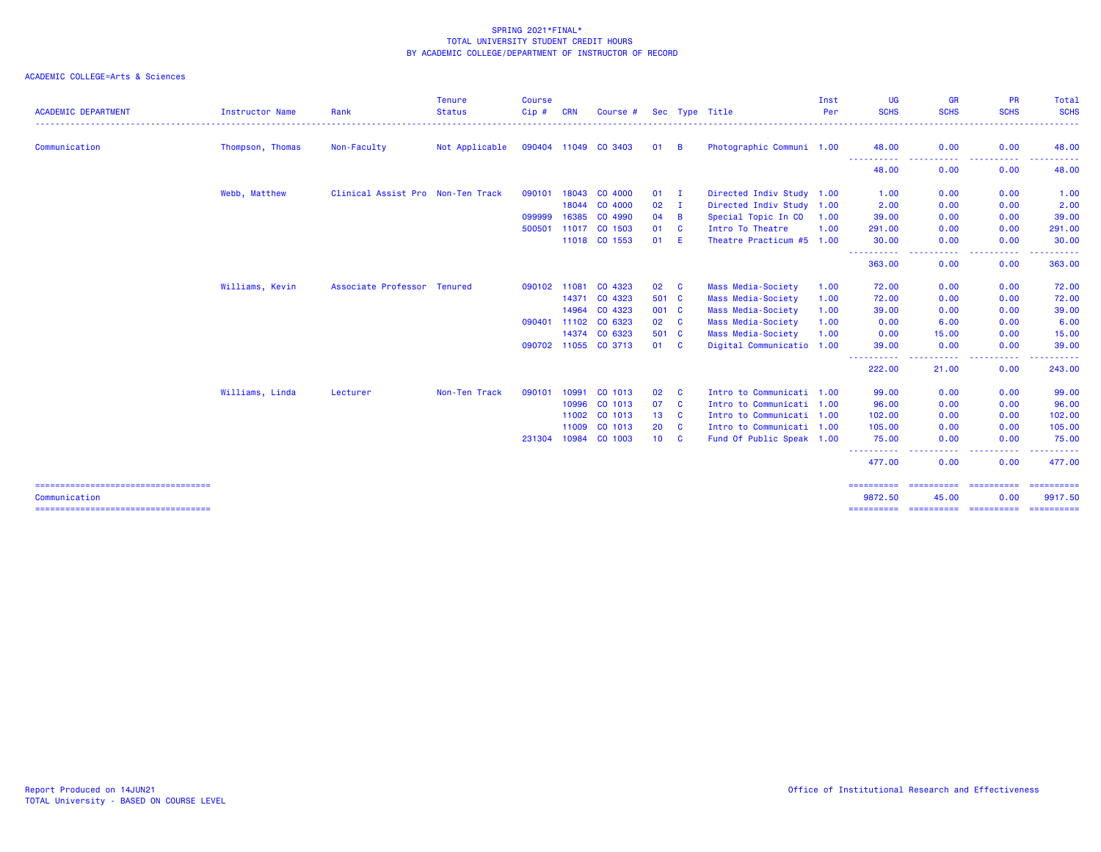| <b>ACADEMIC DEPARTMENT</b>                              | Instructor Name  | Rank                              | <b>Tenure</b><br><b>Status</b> | <b>Course</b><br>Cip# | <b>CRN</b> | Course #             |                 |              | Sec Type Title            | Inst<br>Per | UG<br><b>SCHS</b>     | <b>GR</b><br><b>SCHS</b> | <b>PR</b><br><b>SCHS</b>                                                                                                          | <b>Total</b><br><b>SCHS</b><br>$\frac{1}{2} \left( \frac{1}{2} \right) \left( \frac{1}{2} \right) \left( \frac{1}{2} \right) \left( \frac{1}{2} \right)$                                                                                                                                                                                                                                                                                                                                          |
|---------------------------------------------------------|------------------|-----------------------------------|--------------------------------|-----------------------|------------|----------------------|-----------------|--------------|---------------------------|-------------|-----------------------|--------------------------|-----------------------------------------------------------------------------------------------------------------------------------|---------------------------------------------------------------------------------------------------------------------------------------------------------------------------------------------------------------------------------------------------------------------------------------------------------------------------------------------------------------------------------------------------------------------------------------------------------------------------------------------------|
| Communication                                           | Thompson, Thomas | Non-Faculty                       | Not Applicable                 |                       |            | 090404 11049 CO 3403 | 01 B            |              | Photographic Communi 1.00 |             | 48.00                 | 0.00                     | 0.00                                                                                                                              | 48.00                                                                                                                                                                                                                                                                                                                                                                                                                                                                                             |
|                                                         |                  |                                   |                                |                       |            |                      |                 |              |                           |             | -----------<br>48.00  | ----<br>0.00             | $\sim$ $\sim$ $\sim$ $\sim$<br>0.00                                                                                               | . <b>.</b><br>48.00                                                                                                                                                                                                                                                                                                                                                                                                                                                                               |
|                                                         | Webb, Matthew    | Clinical Assist Pro Non-Ten Track |                                | 090101                | 18043      | CO 4000              | $01$ I          |              | Directed Indiv Study 1.00 |             | 1.00                  | 0.00                     | 0.00                                                                                                                              | 1.00                                                                                                                                                                                                                                                                                                                                                                                                                                                                                              |
|                                                         |                  |                                   |                                |                       | 18044      | CO 4000              | 02              | <b>I</b>     | Directed Indiv Study 1.00 |             | 2.00                  | 0.00                     | 0.00                                                                                                                              | 2.00                                                                                                                                                                                                                                                                                                                                                                                                                                                                                              |
|                                                         |                  |                                   |                                | 099999                | 16385      | CO 4990              | 04              | B            | Special Topic In CO 1.00  |             | 39.00                 | 0.00                     | 0.00                                                                                                                              | 39.00                                                                                                                                                                                                                                                                                                                                                                                                                                                                                             |
|                                                         |                  |                                   |                                | 500501                | 11017      | CO 1503              | 01              | <b>C</b>     | Intro To Theatre          | 1.00        | 291.00                | 0.00                     | 0.00                                                                                                                              | 291.00                                                                                                                                                                                                                                                                                                                                                                                                                                                                                            |
|                                                         |                  |                                   |                                |                       |            | 11018 CO 1553        | 01              | E.           | Theatre Practicum #5 1.00 |             | 30.00<br>----         | 0.00                     | 0.00<br>$\frac{1}{2} \left( \frac{1}{2} \right) \left( \frac{1}{2} \right) \left( \frac{1}{2} \right) \left( \frac{1}{2} \right)$ | 30.00<br>. <b>.</b>                                                                                                                                                                                                                                                                                                                                                                                                                                                                               |
|                                                         |                  |                                   |                                |                       |            |                      |                 |              |                           |             | 363.00                | 0.00                     | 0.00                                                                                                                              | 363.00                                                                                                                                                                                                                                                                                                                                                                                                                                                                                            |
|                                                         | Williams, Kevin  | Associate Professor Tenured       |                                | 090102 11081          |            | CO 4323              | 02              | <b>C</b>     | Mass Media-Society        | 1.00        | 72.00                 | 0.00                     | 0.00                                                                                                                              | 72.00                                                                                                                                                                                                                                                                                                                                                                                                                                                                                             |
|                                                         |                  |                                   |                                |                       |            | 14371 CO 4323        | 501 C           |              | Mass Media-Society        | 1.00        | 72.00                 | 0.00                     | 0.00                                                                                                                              | 72.00                                                                                                                                                                                                                                                                                                                                                                                                                                                                                             |
|                                                         |                  |                                   |                                |                       | 14964      | CO 4323              | 001 C           |              | Mass Media-Society        | 1.00        | 39.00                 | 0.00                     | 0.00                                                                                                                              | 39.00                                                                                                                                                                                                                                                                                                                                                                                                                                                                                             |
|                                                         |                  |                                   |                                | 090401                | 11102      | CO 6323              | 02 C            |              | Mass Media-Society        | 1.00        | 0.00                  | 6.00                     | 0.00                                                                                                                              | 6.00                                                                                                                                                                                                                                                                                                                                                                                                                                                                                              |
|                                                         |                  |                                   |                                |                       |            | 14374 CO 6323        | 501 C           |              | Mass Media-Society        | 1.00        | 0.00                  | 15.00                    | 0.00                                                                                                                              | 15.00                                                                                                                                                                                                                                                                                                                                                                                                                                                                                             |
|                                                         |                  |                                   |                                |                       |            | 090702 11055 CO 3713 | 01 C            |              | Digital Communicatio 1.00 |             | 39.00                 | 0.00                     | 0.00                                                                                                                              | 39.00                                                                                                                                                                                                                                                                                                                                                                                                                                                                                             |
|                                                         |                  |                                   |                                |                       |            |                      |                 |              |                           |             | 222.00                | 21.00                    | ----<br>0.00                                                                                                                      | 243.00                                                                                                                                                                                                                                                                                                                                                                                                                                                                                            |
|                                                         | Williams, Linda  | Lecturer                          | Non-Ten Track                  | 090101                | 10991      | CO 1013              | 02              | <b>C</b>     | Intro to Communicati 1.00 |             | 99.00                 | 0.00                     | 0.00                                                                                                                              | 99.00                                                                                                                                                                                                                                                                                                                                                                                                                                                                                             |
|                                                         |                  |                                   |                                |                       | 10996      | CO 1013              | 07              | <b>C</b>     | Intro to Communicati 1.00 |             | 96.00                 | 0.00                     | 0.00                                                                                                                              | 96.00                                                                                                                                                                                                                                                                                                                                                                                                                                                                                             |
|                                                         |                  |                                   |                                |                       | 11002      | CO 1013              | 13              | <b>C</b>     | Intro to Communicati 1.00 |             | 102.00                | 0.00                     | 0.00                                                                                                                              | 102.00                                                                                                                                                                                                                                                                                                                                                                                                                                                                                            |
|                                                         |                  |                                   |                                |                       | 11009      | CO 1013              | 20              | $\mathbf{C}$ | Intro to Communicati 1.00 |             | 105.00                | 0.00                     | 0.00                                                                                                                              | 105.00                                                                                                                                                                                                                                                                                                                                                                                                                                                                                            |
|                                                         |                  |                                   |                                | 231304                | 10984      | CO 1003              | 10 <sup>°</sup> | <b>C</b>     | Fund Of Public Speak 1.00 |             | 75.00                 | 0.00                     | 0.00                                                                                                                              | 75.00                                                                                                                                                                                                                                                                                                                                                                                                                                                                                             |
|                                                         |                  |                                   |                                |                       |            |                      |                 |              |                           |             | <b>.</b> .<br>477.00  | ----<br>0.00             | .<br>0.00                                                                                                                         | .<br>477.00                                                                                                                                                                                                                                                                                                                                                                                                                                                                                       |
| ======================================<br>Communication |                  |                                   |                                |                       |            |                      |                 |              |                           |             | ==========<br>9872.50 | ==========<br>45.00      | ==========<br>0.00                                                                                                                | $\begin{array}{cccccccccc} \multicolumn{2}{c}{} & \multicolumn{2}{c}{} & \multicolumn{2}{c}{} & \multicolumn{2}{c}{} & \multicolumn{2}{c}{} & \multicolumn{2}{c}{} & \multicolumn{2}{c}{} & \multicolumn{2}{c}{} & \multicolumn{2}{c}{} & \multicolumn{2}{c}{} & \multicolumn{2}{c}{} & \multicolumn{2}{c}{} & \multicolumn{2}{c}{} & \multicolumn{2}{c}{} & \multicolumn{2}{c}{} & \multicolumn{2}{c}{} & \multicolumn{2}{c}{} & \multicolumn{2}{c}{} & \multicolumn{2}{c}{} & \mult$<br>9917.50 |
| ======================================                  |                  |                                   |                                |                       |            |                      |                 |              |                           |             | ==========            | =======================  |                                                                                                                                   | -----------                                                                                                                                                                                                                                                                                                                                                                                                                                                                                       |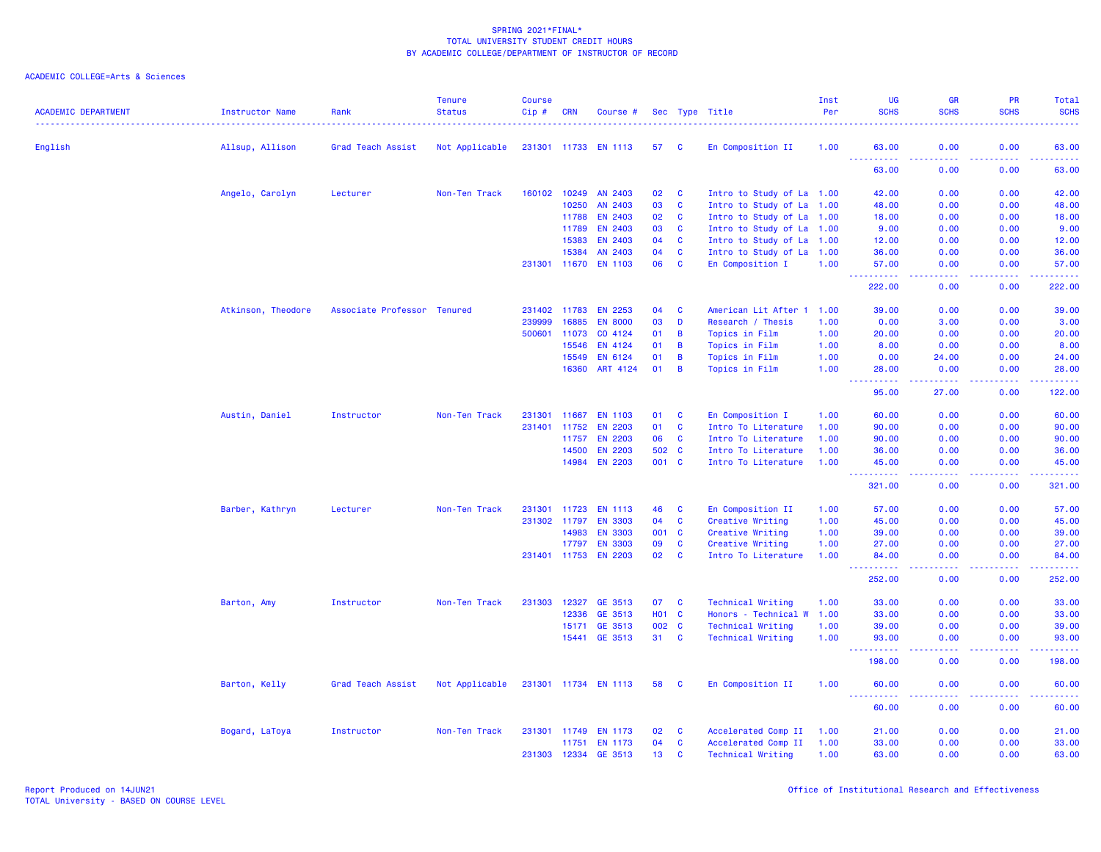| <b>ACADEMIC DEPARTMENT</b> | <b>Instructor Name</b> | Rank                        | <b>Tenure</b><br><b>Status</b> | <b>Course</b><br>Cip# | <b>CRN</b>   | Course #             |                 |                         | Sec Type Title            | Inst<br>Per | UG<br><b>SCHS</b>                                                                                             | <b>GR</b><br><b>SCHS</b> | <b>PR</b><br><b>SCHS</b>            | <b>Total</b><br><b>SCHS</b> |
|----------------------------|------------------------|-----------------------------|--------------------------------|-----------------------|--------------|----------------------|-----------------|-------------------------|---------------------------|-------------|---------------------------------------------------------------------------------------------------------------|--------------------------|-------------------------------------|-----------------------------|
| English                    | Allsup, Allison        | Grad Teach Assist           | Not Applicable                 |                       |              | 231301 11733 EN 1113 | 57              | $\overline{\mathbf{C}}$ | En Composition II         | 1.00        | 63.00                                                                                                         | 0.00                     | 0.00                                | 63.00                       |
|                            |                        |                             |                                |                       |              |                      |                 |                         |                           |             | <b><i><u><u><b>Little Little</b></u></u></i></b><br>63.00                                                     | .<br>0.00                | .<br>0.00                           | .<br>63.00                  |
|                            | Angelo, Carolyn        | Lecturer                    | Non-Ten Track                  |                       |              | 160102 10249 AN 2403 | 02              | <b>C</b>                | Intro to Study of La 1.00 |             | 42.00                                                                                                         | 0.00                     | 0.00                                | 42.00                       |
|                            |                        |                             |                                |                       | 10250        | AN 2403              | 03              | C                       | Intro to Study of La 1.00 |             | 48.00                                                                                                         | 0.00                     | 0.00                                | 48.00                       |
|                            |                        |                             |                                |                       | 11788        | <b>EN 2403</b>       | 02              | $\mathbf{C}$            | Intro to Study of La 1.00 |             | 18.00                                                                                                         | 0.00                     | 0.00                                | 18.00                       |
|                            |                        |                             |                                |                       | 11789        | EN 2403              | 03              | <b>C</b>                | Intro to Study of La 1.00 |             | 9.00                                                                                                          | 0.00                     | 0.00                                | 9.00                        |
|                            |                        |                             |                                |                       | 15383        | <b>EN 2403</b>       | 04              | $\mathbf{C}$            | Intro to Study of La 1.00 |             | 12.00                                                                                                         | 0.00                     | 0.00                                | 12.00                       |
|                            |                        |                             |                                |                       | 15384        | AN 2403              | 04              | C                       | Intro to Study of La 1.00 |             | 36.00                                                                                                         | 0.00                     | 0.00                                | 36.00                       |
|                            |                        |                             |                                |                       |              | 231301 11670 EN 1103 | 06              | $\mathbf{C}$            | En Composition I          | 1.00        | 57.00                                                                                                         | 0.00<br>222 L            | 0.00                                | 57.00<br>.                  |
|                            |                        |                             |                                |                       |              |                      |                 |                         |                           |             | 222.00                                                                                                        | 0.00                     | 0.00                                | 222.00                      |
|                            | Atkinson, Theodore     | Associate Professor Tenured |                                | 231402                | 11783        | <b>EN 2253</b>       | 04              | C                       | American Lit After 1      | 1.00        | 39.00                                                                                                         | 0.00                     | 0.00                                | 39.00                       |
|                            |                        |                             |                                | 239999                | 16885        | <b>EN 8000</b>       | 03              | D                       | Research / Thesis         | 1.00        | 0.00                                                                                                          | 3.00                     | 0.00                                | 3.00                        |
|                            |                        |                             |                                | 500601                | 11073        | CO 4124              | 01              | B                       | Topics in Film            | 1.00        | 20.00                                                                                                         | 0.00                     | 0.00                                | 20.00                       |
|                            |                        |                             |                                |                       | 15546        | EN 4124              | 01              | B                       | Topics in Film            | 1.00        | 8.00                                                                                                          | 0.00                     | 0.00                                | 8.00                        |
|                            |                        |                             |                                |                       | 15549        | EN 6124              | 01              | B                       | Topics in Film            | 1.00        | 0.00                                                                                                          | 24.00                    | 0.00                                | 24.00                       |
|                            |                        |                             |                                |                       | 16360        | ART 4124             | 01              | B                       | Topics in Film            | 1.00        | 28.00<br><b><i><u></u></i></b>                                                                                | 0.00<br>-----            | 0.00<br>.                           | 28.00<br>.                  |
|                            |                        |                             |                                |                       |              |                      |                 |                         |                           |             | 95.00                                                                                                         | 27.00                    | 0.00                                | 122.00                      |
|                            | Austin, Daniel         | Instructor                  | Non-Ten Track                  | 231301                | 11667        | <b>EN 1103</b>       | 01              | <b>C</b>                | En Composition I          | 1.00        | 60.00                                                                                                         | 0.00                     | 0.00                                | 60.00                       |
|                            |                        |                             |                                | 231401                | 11752        | <b>EN 2203</b>       | 01              | $\mathbf{C}$            | Intro To Literature       | 1.00        | 90.00                                                                                                         | 0.00                     | 0.00                                | 90.00                       |
|                            |                        |                             |                                |                       | 11757        | <b>EN 2203</b>       | 06              | <b>C</b>                | Intro To Literature       | 1.00        | 90.00                                                                                                         | 0.00                     | 0.00                                | 90.00                       |
|                            |                        |                             |                                |                       | 14500        | <b>EN 2203</b>       | 502 C           |                         | Intro To Literature       | 1.00        | 36.00                                                                                                         | 0.00                     | 0.00                                | 36.00                       |
|                            |                        |                             |                                |                       | 14984        | <b>EN 2203</b>       | 001 C           |                         | Intro To Literature       | 1.00        | 45.00<br>بالمستعا                                                                                             | 0.00<br>.                | 0.00<br>$\sim$ $\sim$ $\sim$ $\sim$ | 45.00<br>.                  |
|                            |                        |                             |                                |                       |              |                      |                 |                         |                           |             | 321.00                                                                                                        | 0.00                     | 0.00                                | 321.00                      |
|                            | Barber, Kathryn        | Lecturer                    | Non-Ten Track                  | 231301                | 11723        | EN 1113              | 46              | <b>C</b>                | En Composition II         | 1.00        | 57.00                                                                                                         | 0.00                     | 0.00                                | 57.00                       |
|                            |                        |                             |                                | 231302 11797          |              | <b>EN 3303</b>       | 04              | C                       | Creative Writing          | 1.00        | 45.00                                                                                                         | 0.00                     | 0.00                                | 45.00                       |
|                            |                        |                             |                                |                       | 14983        | <b>EN 3303</b>       | 001             | $\mathbf{C}$            | Creative Writing          | 1.00        | 39.00                                                                                                         | 0.00                     | 0.00                                | 39.00                       |
|                            |                        |                             |                                |                       | 17797        | <b>EN 3303</b>       | 09              | C                       | Creative Writing          | 1.00        | 27.00                                                                                                         | 0.00                     | 0.00                                | 27.00                       |
|                            |                        |                             |                                | 231401 11753          |              | <b>EN 2203</b>       | 02              | <b>C</b>                | Intro To Literature       | 1.00        | 84.00                                                                                                         | 0.00                     | 0.00                                | 84.00                       |
|                            |                        |                             |                                |                       |              |                      |                 |                         |                           |             | .<br>$\frac{1}{2} \left( \frac{1}{2} \right) \left( \frac{1}{2} \right) \left( \frac{1}{2} \right)$<br>252.00 | بالأباد<br>0.00          | .<br>0.00                           | .<br>252.00                 |
|                            | Barton, Amy            | Instructor                  | Non-Ten Track                  | 231303                | 12327        | GE 3513              | 07              | $\mathbf{C}$            | <b>Technical Writing</b>  | 1.00        | 33.00                                                                                                         | 0.00                     | 0.00                                | 33.00                       |
|                            |                        |                             |                                |                       | 12336        | GE 3513              | H01 C           |                         | Honors - Technical W 1.00 |             | 33.00                                                                                                         | 0.00                     | 0.00                                | 33.00                       |
|                            |                        |                             |                                |                       | 15171        | GE 3513              | 002 C           |                         | <b>Technical Writing</b>  | 1.00        | 39.00                                                                                                         | 0.00                     | 0.00                                | 39.00                       |
|                            |                        |                             |                                |                       | 15441        | GE 3513              | 31 C            |                         | <b>Technical Writing</b>  | 1.00        | 93.00<br><b><i><u><u><b>A</b></u></u></i></b>                                                                 | 0.00<br>.                | 0.00<br>.                           | 93.00<br>.                  |
|                            |                        |                             |                                |                       |              |                      |                 |                         |                           |             | 198.00                                                                                                        | 0.00                     | 0.00                                | 198.00                      |
|                            | Barton, Kelly          | Grad Teach Assist           | Not Applicable                 |                       |              | 231301 11734 EN 1113 | 58 C            |                         | En Composition II         | 1.00        | 60.00                                                                                                         | 0.00                     | 0.00                                | 60.00                       |
|                            |                        |                             |                                |                       |              |                      |                 |                         |                           |             | $\sim$ $\sim$ $\sim$<br>.<br>60.00                                                                            | .<br>0.00                | -----<br>0.00                       | .<br>60.00                  |
|                            | Bogard, LaToya         | Instructor                  | Non-Ten Track                  |                       | 231301 11749 | <b>EN 1173</b>       | 02              | <b>C</b>                | Accelerated Comp II       | 1.00        | 21.00                                                                                                         | 0.00                     | 0.00                                | 21.00                       |
|                            |                        |                             |                                |                       | 11751        | <b>EN 1173</b>       | 04              | $\mathbf{C}$            | Accelerated Comp II       | 1.00        | 33.00                                                                                                         | 0.00                     | 0.00                                | 33.00                       |
|                            |                        |                             |                                | 231303                | 12334        | GE 3513              | 13 <sup>°</sup> | $\mathbf{C}$            | <b>Technical Writing</b>  | 1.00        | 63.00                                                                                                         | 0.00                     | 0.00                                | 63.00                       |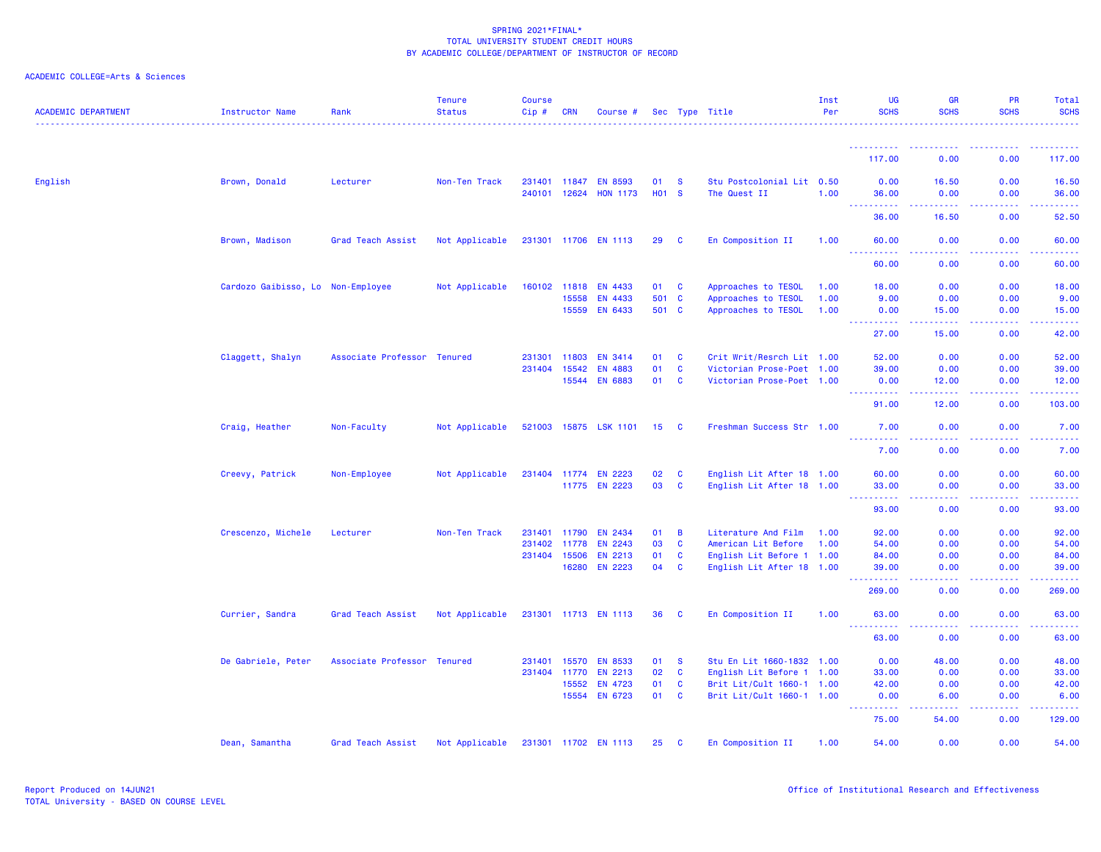| <b>ACADEMIC DEPARTMENT</b> | <b>Instructor Name</b>            | Rank                        | <b>Tenure</b><br><b>Status</b> | <b>Course</b><br>Cip# | <b>CRN</b>   | Course #              |                 |              | Sec Type Title            | Inst<br>Per | <b>UG</b><br><b>SCHS</b>            | <b>GR</b><br><b>SCHS</b>                                                                                                           | PR<br><b>SCHS</b>                                                                                                                                            | Total<br><b>SCHS</b>                                                                                                           |
|----------------------------|-----------------------------------|-----------------------------|--------------------------------|-----------------------|--------------|-----------------------|-----------------|--------------|---------------------------|-------------|-------------------------------------|------------------------------------------------------------------------------------------------------------------------------------|--------------------------------------------------------------------------------------------------------------------------------------------------------------|--------------------------------------------------------------------------------------------------------------------------------|
|                            |                                   |                             |                                |                       |              |                       |                 |              |                           |             | <u>.</u>                            |                                                                                                                                    |                                                                                                                                                              |                                                                                                                                |
|                            |                                   |                             |                                |                       |              |                       |                 |              |                           |             | 117.00                              | 0.00                                                                                                                               | 0.00                                                                                                                                                         | 117.00                                                                                                                         |
| English                    | Brown, Donald                     | Lecturer                    | Non-Ten Track                  |                       | 231401 11847 | <b>EN 8593</b>        | 01              | <b>S</b>     | Stu Postcolonial Lit 0.50 |             | 0.00                                | 16.50                                                                                                                              | 0.00                                                                                                                                                         | 16.50                                                                                                                          |
|                            |                                   |                             |                                | 240101                | 12624        | <b>HON 1173</b>       | <b>HO1</b>      | <b>S</b>     | The Quest II              | 1.00        | 36.00<br>.                          | 0.00<br>.                                                                                                                          | 0.00<br>.                                                                                                                                                    | 36.00<br>.                                                                                                                     |
|                            |                                   |                             |                                |                       |              |                       |                 |              |                           |             | 36.00                               | 16.50                                                                                                                              | 0.00                                                                                                                                                         | 52.50                                                                                                                          |
|                            | Brown, Madison                    | Grad Teach Assist           | Not Applicable                 |                       |              | 231301 11706 EN 1113  | 29 C            |              | En Composition II         | 1.00        | 60.00                               | 0.00                                                                                                                               | 0.00                                                                                                                                                         | 60.00                                                                                                                          |
|                            |                                   |                             |                                |                       |              |                       |                 |              |                           |             | 60.00                               | 0.00                                                                                                                               | 0.00                                                                                                                                                         | 60.00                                                                                                                          |
|                            | Cardozo Gaibisso, Lo Non-Employee |                             | Not Applicable                 |                       | 160102 11818 | <b>EN 4433</b>        | 01 C            |              | Approaches to TESOL       | 1.00        | 18.00                               | 0.00                                                                                                                               | 0.00                                                                                                                                                         | 18.00                                                                                                                          |
|                            |                                   |                             |                                |                       | 15558        | EN 4433               | 501 C           |              | Approaches to TESOL       | 1.00        | 9.00                                | 0.00                                                                                                                               | 0.00                                                                                                                                                         | 9.00                                                                                                                           |
|                            |                                   |                             |                                |                       |              | 15559 EN 6433         | 501 C           |              | Approaches to TESOL       | 1.00        | 0.00<br><u> - - - - - - - - - -</u> | 15.00<br>$\frac{1}{2} \left( \frac{1}{2} \right) \left( \frac{1}{2} \right) \left( \frac{1}{2} \right) \left( \frac{1}{2} \right)$ | 0.00<br>.                                                                                                                                                    | 15.00<br>.                                                                                                                     |
|                            |                                   |                             |                                |                       |              |                       |                 |              |                           |             | 27.00                               | 15.00                                                                                                                              | 0.00                                                                                                                                                         | 42.00                                                                                                                          |
|                            | Claggett, Shalyn                  | Associate Professor Tenured |                                | 231301 11803          |              | <b>EN 3414</b>        | 01              | C            | Crit Writ/Resrch Lit 1.00 |             | 52.00                               | 0.00                                                                                                                               | 0.00                                                                                                                                                         | 52.00                                                                                                                          |
|                            |                                   |                             |                                |                       | 231404 15542 | <b>EN 4883</b>        | 01              | <b>C</b>     | Victorian Prose-Poet 1.00 |             | 39.00                               | 0.00                                                                                                                               | 0.00                                                                                                                                                         | 39.00                                                                                                                          |
|                            |                                   |                             |                                |                       | 15544        | <b>EN 6883</b>        | 01              | <b>C</b>     | Victorian Prose-Poet 1.00 |             | 0.00<br><u>.</u>                    | 12.00<br>.                                                                                                                         | 0.00<br>.                                                                                                                                                    | 12.00<br>$\begin{array}{cccccccccc} \bullet & \bullet & \bullet & \bullet & \bullet & \bullet & \bullet & \bullet \end{array}$ |
|                            |                                   |                             |                                |                       |              |                       |                 |              |                           |             | 91.00                               | 12.00                                                                                                                              | 0.00                                                                                                                                                         | 103.00                                                                                                                         |
|                            | Craig, Heather                    | Non-Faculty                 | Not Applicable                 |                       |              | 521003 15875 LSK 1101 | 15 <sup>1</sup> | <b>C</b>     | Freshman Success Str 1.00 |             | 7.00<br><u>.</u>                    | 0.00                                                                                                                               | 0.00                                                                                                                                                         | 7.00                                                                                                                           |
|                            |                                   |                             |                                |                       |              |                       |                 |              |                           |             | 7.00                                | 0.00                                                                                                                               | 0.00                                                                                                                                                         | 7.00                                                                                                                           |
|                            | Creevy, Patrick                   | Non-Employee                | Not Applicable                 |                       |              | 231404 11774 EN 2223  | 02              | $\mathbf{C}$ | English Lit After 18 1.00 |             | 60.00                               | 0.00                                                                                                                               | 0.00                                                                                                                                                         | 60.00                                                                                                                          |
|                            |                                   |                             |                                |                       |              | 11775 EN 2223         | 03              | <b>C</b>     | English Lit After 18 1.00 |             | 33.00<br>.                          | 0.00<br>د د د د                                                                                                                    | 0.00<br>.                                                                                                                                                    | 33.00<br>.                                                                                                                     |
|                            |                                   |                             |                                |                       |              |                       |                 |              |                           |             | 93.00                               | 0.00                                                                                                                               | 0.00                                                                                                                                                         | 93.00                                                                                                                          |
|                            | Crescenzo, Michele                | Lecturer                    | Non-Ten Track                  |                       | 231401 11790 | <b>EN 2434</b>        | 01              | B            | Literature And Film       | 1.00        | 92.00                               | 0.00                                                                                                                               | 0.00                                                                                                                                                         | 92.00                                                                                                                          |
|                            |                                   |                             |                                |                       | 231402 11778 | <b>EN 2243</b>        | 03              | $\mathbf{C}$ | American Lit Before       | 1.00        | 54.00                               | 0.00                                                                                                                               | 0.00                                                                                                                                                         | 54.00                                                                                                                          |
|                            |                                   |                             |                                |                       | 231404 15506 | EN 2213               | 01              | <b>C</b>     | English Lit Before 1 1.00 |             | 84.00                               | 0.00                                                                                                                               | 0.00                                                                                                                                                         | 84.00                                                                                                                          |
|                            |                                   |                             |                                |                       | 16280        | <b>EN 2223</b>        | 04              | <b>C</b>     | English Lit After 18 1.00 |             | 39.00                               | 0.00                                                                                                                               | 0.00                                                                                                                                                         | 39.00                                                                                                                          |
|                            |                                   |                             |                                |                       |              |                       |                 |              |                           |             | 269.00                              | 0.00                                                                                                                               | 0.00                                                                                                                                                         | 269.00                                                                                                                         |
|                            | Currier, Sandra                   | Grad Teach Assist           | Not Applicable                 |                       |              | 231301 11713 EN 1113  | 36              | <b>C</b>     | En Composition II         | 1.00        | 63.00<br>----------                 | 0.00                                                                                                                               | 0.00                                                                                                                                                         | 63.00                                                                                                                          |
|                            |                                   |                             |                                |                       |              |                       |                 |              |                           |             | 63.00                               | .<br>0.00                                                                                                                          | -----<br>0.00                                                                                                                                                | .<br>63.00                                                                                                                     |
|                            | De Gabriele, Peter                | Associate Professor Tenured |                                | 231401                | 15570        | <b>EN 8533</b>        | 01              | <b>S</b>     | Stu En Lit 1660-1832 1.00 |             | 0.00                                | 48.00                                                                                                                              | 0.00                                                                                                                                                         | 48.00                                                                                                                          |
|                            |                                   |                             |                                |                       | 231404 11770 | EN 2213               | 02              | <b>C</b>     | English Lit Before 1 1.00 |             | 33.00                               | 0.00                                                                                                                               | 0.00                                                                                                                                                         | 33.00                                                                                                                          |
|                            |                                   |                             |                                |                       | 15552        | EN 4723               | 01              | C            | Brit Lit/Cult 1660-1 1.00 |             | 42.00                               | 0.00                                                                                                                               | 0.00                                                                                                                                                         | 42.00                                                                                                                          |
|                            |                                   |                             |                                |                       | 15554        | EN 6723               | 01              | <b>C</b>     | Brit Lit/Cult 1660-1 1.00 |             | 0.00<br><u> - - - - - - - - - -</u> | 6.00<br>.                                                                                                                          | 0.00<br>$\frac{1}{2} \left( \frac{1}{2} \right) \left( \frac{1}{2} \right) \left( \frac{1}{2} \right) \left( \frac{1}{2} \right) \left( \frac{1}{2} \right)$ | 6.00<br>.                                                                                                                      |
|                            |                                   |                             |                                |                       |              |                       |                 |              |                           |             | 75.00                               | 54.00                                                                                                                              | 0.00                                                                                                                                                         | 129.00                                                                                                                         |
|                            | Dean, Samantha                    | Grad Teach Assist           | Not Applicable                 |                       |              | 231301 11702 EN 1113  | 25 C            |              | En Composition II         | 1.00        | 54.00                               | 0.00                                                                                                                               | 0.00                                                                                                                                                         | 54.00                                                                                                                          |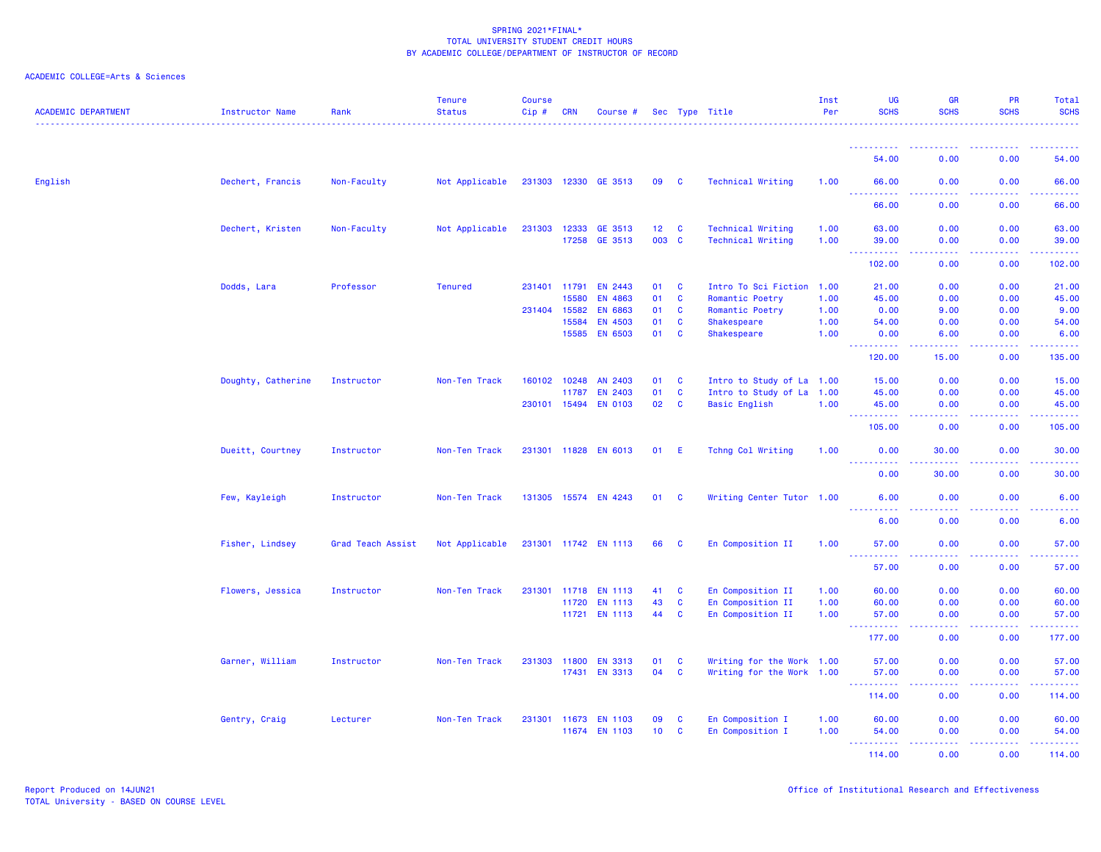| <b>ACADEMIC DEPARTMENT</b> | Instructor Name    | Rank              | <b>Tenure</b><br><b>Status</b> | Course<br>$Cip \#$ | CRN          | Course #             |                 |              | Sec Type Title            | Inst<br>Per | <b>UG</b><br><b>SCHS</b>                                                                                                                                     | <b>GR</b><br><b>SCHS</b>                                                                               | PR<br><b>SCHS</b>                     | Total<br><b>SCHS</b>  |
|----------------------------|--------------------|-------------------|--------------------------------|--------------------|--------------|----------------------|-----------------|--------------|---------------------------|-------------|--------------------------------------------------------------------------------------------------------------------------------------------------------------|--------------------------------------------------------------------------------------------------------|---------------------------------------|-----------------------|
|                            |                    |                   |                                |                    |              |                      |                 |              |                           |             |                                                                                                                                                              |                                                                                                        |                                       |                       |
|                            |                    |                   |                                |                    |              |                      |                 |              |                           |             | 54.00                                                                                                                                                        | 0.00                                                                                                   | 0.00                                  | 54.00                 |
| English                    | Dechert, Francis   | Non-Faculty       | Not Applicable                 |                    |              | 231303 12330 GE 3513 | 09              | <b>C</b>     | <b>Technical Writing</b>  | 1.00        | 66.00<br>$\sim 10$<br>.                                                                                                                                      | 0.00<br>$\frac{1}{2} \left( \frac{1}{2} \right) \left( \frac{1}{2} \right) \left( \frac{1}{2} \right)$ | 0.00<br>.                             | 66.00<br>$- - - - -$  |
|                            |                    |                   |                                |                    |              |                      |                 |              |                           |             | 66.00                                                                                                                                                        | 0.00                                                                                                   | 0.00                                  | 66.00                 |
|                            | Dechert, Kristen   | Non-Faculty       | Not Applicable                 |                    | 231303 12333 | GE 3513              | $12 \quad C$    |              | <b>Technical Writing</b>  | 1.00        | 63.00                                                                                                                                                        | 0.00                                                                                                   | 0.00                                  | 63.00                 |
|                            |                    |                   |                                |                    | 17258        | GE 3513              | 003 C           |              | <b>Technical Writing</b>  | 1.00        | 39.00<br>$\sim$ $\sim$ $\sim$<br>.                                                                                                                           | 0.00<br>$\sim$ $\sim$ $\sim$ $\sim$                                                                    | 0.00<br>.                             | 39.00<br>.            |
|                            |                    |                   |                                |                    |              |                      |                 |              |                           |             | 102.00                                                                                                                                                       | 0.00                                                                                                   | 0.00                                  | 102.00                |
|                            | Dodds, Lara        | Professor         | <b>Tenured</b>                 |                    | 231401 11791 | EN 2443              | 01              | $\mathbf{C}$ | Intro To Sci Fiction 1.00 |             | 21.00                                                                                                                                                        | 0.00                                                                                                   | 0.00                                  | 21.00                 |
|                            |                    |                   |                                |                    | 15580        | <b>EN 4863</b>       | 01              | $\mathbf{C}$ | Romantic Poetry           | 1.00        | 45.00                                                                                                                                                        | 0.00                                                                                                   | 0.00                                  | 45.00                 |
|                            |                    |                   |                                |                    | 231404 15582 | <b>EN 6863</b>       | 01              | C            | Romantic Poetry           | 1.00        | 0.00                                                                                                                                                         | 9.00                                                                                                   | 0.00                                  | 9.00                  |
|                            |                    |                   |                                |                    | 15584        | EN 4503              | 01              | <b>C</b>     | <b>Shakespeare</b>        | 1.00        | 54.00                                                                                                                                                        | 0.00                                                                                                   | 0.00                                  | 54.00                 |
|                            |                    |                   |                                |                    | 15585        | EN 6503              | 01              | <b>C</b>     | <b>Shakespeare</b>        | 1.00        | 0.00<br>$\frac{1}{2} \left( \frac{1}{2} \right) \left( \frac{1}{2} \right) \left( \frac{1}{2} \right) \left( \frac{1}{2} \right) \left( \frac{1}{2} \right)$ | 6.00<br>د د د د                                                                                        | 0.00<br>.                             | 6.00<br>2.2.2.2.2     |
|                            |                    |                   |                                |                    |              |                      |                 |              |                           |             | 120.00                                                                                                                                                       | 15.00                                                                                                  | 0.00                                  | 135.00                |
|                            | Doughty, Catherine | Instructor        | Non-Ten Track                  |                    | 160102 10248 | AN 2403              | 01              | <b>C</b>     | Intro to Study of La 1.00 |             | 15.00                                                                                                                                                        | 0.00                                                                                                   | 0.00                                  | 15.00                 |
|                            |                    |                   |                                |                    | 11787        | EN 2403              | 01              | C            | Intro to Study of La      | 1.00        | 45.00                                                                                                                                                        | 0.00                                                                                                   | 0.00                                  | 45.00                 |
|                            |                    |                   |                                |                    | 230101 15494 | <b>EN 0103</b>       | 02              | $\mathbf{C}$ | <b>Basic English</b>      | 1.00        | 45.00<br>222222<br>$\sim$ $\sim$ $\sim$                                                                                                                      | 0.00<br>ولايات                                                                                         | 0.00<br>.                             | 45.00<br>22222)       |
|                            |                    |                   |                                |                    |              |                      |                 |              |                           |             | 105.00                                                                                                                                                       | 0.00                                                                                                   | 0.00                                  | 105.00                |
|                            | Dueitt, Courtney   | Instructor        | Non-Ten Track                  |                    |              | 231301 11828 EN 6013 | 01              | -E           | Tchng Col Writing         | 1.00        | 0.00                                                                                                                                                         | 30.00                                                                                                  | 0.00                                  | 30.00                 |
|                            |                    |                   |                                |                    |              |                      |                 |              |                           |             | . <b>.</b><br>0.00                                                                                                                                           | $\sim$ $\sim$ $\sim$ $\sim$<br>30.00                                                                   | المستبد<br>0.00                       | 30.00                 |
|                            | Few, Kayleigh      | Instructor        | Non-Ten Track                  |                    |              | 131305 15574 EN 4243 | 01              | <b>C</b>     | Writing Center Tutor 1.00 |             | 6.00                                                                                                                                                         | 0.00                                                                                                   | 0.00                                  | 6.00                  |
|                            |                    |                   |                                |                    |              |                      |                 |              |                           |             | .<br>6.00                                                                                                                                                    | $\omega$ is a $\omega$<br>0.00                                                                         | .<br>0.00                             | المتمالي<br>6.00      |
|                            | Fisher, Lindsey    | Grad Teach Assist | Not Applicable                 |                    |              | 231301 11742 EN 1113 | 66              | <b>C</b>     | En Composition II         | 1.00        | 57.00                                                                                                                                                        | 0.00                                                                                                   | 0.00                                  | 57.00                 |
|                            |                    |                   |                                |                    |              |                      |                 |              |                           |             | المتعام<br>.<br>57.00                                                                                                                                        | $\frac{1}{2} \left( \frac{1}{2} \right) \left( \frac{1}{2} \right) \left( \frac{1}{2} \right)$<br>0.00 | 22222<br>0.00                         | .<br>57.00            |
|                            | Flowers, Jessica   | Instructor        | Non-Ten Track                  | 231301             | 11718        | <b>EN 1113</b>       | 41              | <b>C</b>     | En Composition II         | 1.00        | 60.00                                                                                                                                                        | 0.00                                                                                                   | 0.00                                  | 60.00                 |
|                            |                    |                   |                                |                    | 11720        | <b>EN 1113</b>       | 43              | <b>C</b>     | En Composition II         | 1.00        | 60.00                                                                                                                                                        | 0.00                                                                                                   | 0.00                                  | 60.00                 |
|                            |                    |                   |                                |                    |              | 11721 EN 1113        | 44              | C            | En Composition II         | 1.00        | 57.00                                                                                                                                                        | 0.00                                                                                                   | 0.00                                  | 57.00                 |
|                            |                    |                   |                                |                    |              |                      |                 |              |                           |             | 222222<br>$\frac{1}{2} \left( \frac{1}{2} + \frac{1}{2} \right)$<br>177.00                                                                                   | المتمامين<br>0.00                                                                                      | .<br>0.00                             | 22222.<br>177.00      |
|                            |                    |                   |                                |                    |              |                      |                 |              |                           |             |                                                                                                                                                              |                                                                                                        |                                       |                       |
|                            | Garner, William    | Instructor        | Non-Ten Track                  | 231303             | 11800        | <b>EN 3313</b>       | 01              | <b>C</b>     | Writing for the Work 1.00 |             | 57.00                                                                                                                                                        | 0.00                                                                                                   | 0.00                                  | 57.00                 |
|                            |                    |                   |                                |                    | 17431        | <b>EN 3313</b>       | 04              | <b>C</b>     | Writing for the Work 1.00 |             | 57.00<br><u> - - - - - - - - - -</u>                                                                                                                         | 0.00<br>.                                                                                              | 0.00<br><b><i><u><u>.</u></u></i></b> | 57.00<br>. <u>.</u> . |
|                            |                    |                   |                                |                    |              |                      |                 |              |                           |             | 114.00                                                                                                                                                       | 0.00                                                                                                   | 0.00                                  | 114.00                |
|                            | Gentry, Craig      | Lecturer          | Non-Ten Track                  |                    | 231301 11673 | <b>EN 1103</b>       | 09              | <b>C</b>     | En Composition I          | 1.00        | 60.00                                                                                                                                                        | 0.00                                                                                                   | 0.00                                  | 60.00                 |
|                            |                    |                   |                                |                    | 11674        | <b>EN 1103</b>       | 10 <sub>1</sub> | <b>C</b>     | En Composition I          | 1.00        | 54.00                                                                                                                                                        | 0.00                                                                                                   | 0.00                                  | 54.00                 |
|                            |                    |                   |                                |                    |              |                      |                 |              |                           |             | <u> - - - - - - - - - -</u><br>114.00                                                                                                                        | .<br>0.00                                                                                              | 2.2.2.2.2<br>0.00                     | 2.2.2.2.2.4<br>114.00 |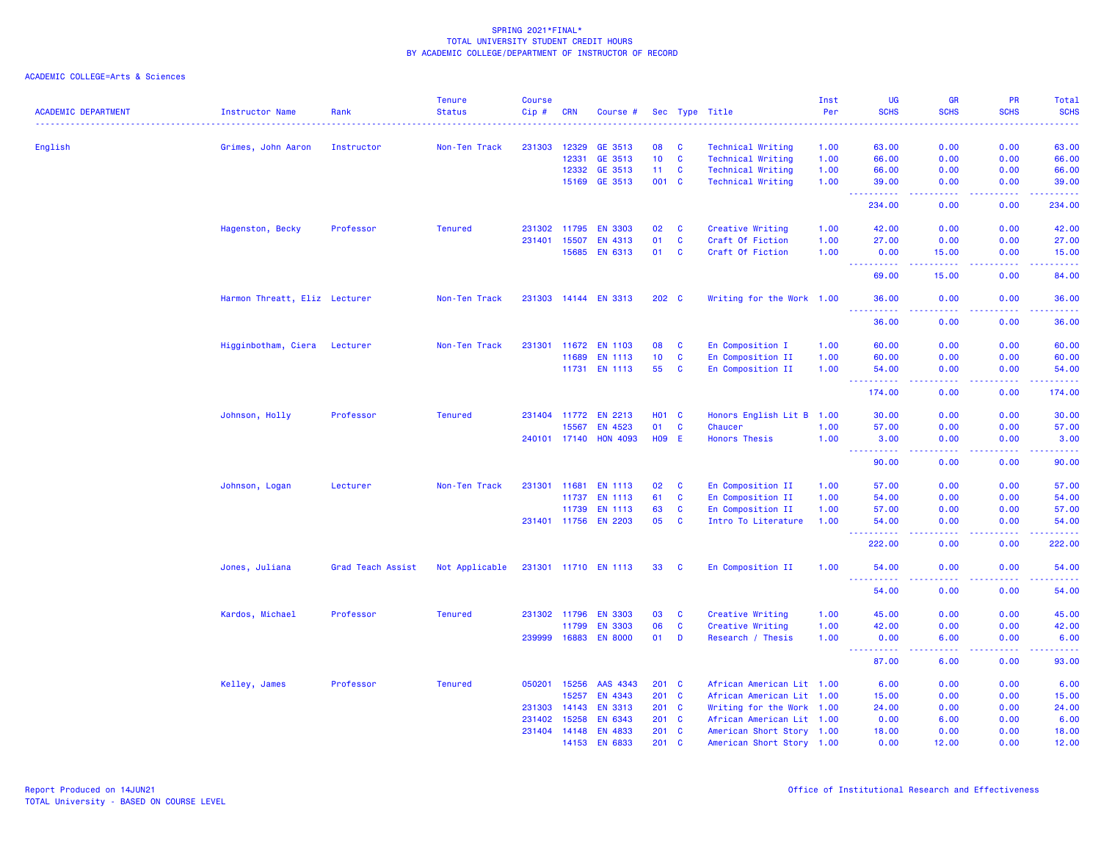| <b>ACADEMIC DEPARTMENT</b> | <b>Instructor Name</b>        | Rank              | <b>Tenure</b><br><b>Status</b> | Course<br>Cip# | <b>CRN</b> | Course #              |                   |              | Sec Type Title            | Inst<br>Per | UG<br><b>SCHS</b>                   | <b>GR</b><br><b>SCHS</b> | PR<br><b>SCHS</b>                            | Total<br><b>SCHS</b> |
|----------------------------|-------------------------------|-------------------|--------------------------------|----------------|------------|-----------------------|-------------------|--------------|---------------------------|-------------|-------------------------------------|--------------------------|----------------------------------------------|----------------------|
| English                    | Grimes, John Aaron            | Instructor        | Non-Ten Track                  | 231303         | 12329      | GE 3513               | 08                | <b>C</b>     | Technical Writing         | 1.00        | 63.00                               | 0.00                     | 0.00                                         | 63.00                |
|                            |                               |                   |                                |                | 12331      | GE 3513               | 10 <sub>1</sub>   | $\mathbf{C}$ | <b>Technical Writing</b>  | 1.00        | 66.00                               | 0.00                     | 0.00                                         | 66.00                |
|                            |                               |                   |                                |                | 12332      | GE 3513               | 11 <sub>1</sub>   | $\mathbf{C}$ | <b>Technical Writing</b>  | 1.00        | 66.00                               | 0.00                     | 0.00                                         | 66.00                |
|                            |                               |                   |                                |                | 15169      | GE 3513               | 001 C             |              | <b>Technical Writing</b>  | 1.00        | 39.00                               | 0.00                     | 0.00                                         | 39.00                |
|                            |                               |                   |                                |                |            |                       |                   |              |                           |             | 234.00                              | 0.00                     | 0.00                                         | 234.00               |
|                            | Hagenston, Becky              | Professor         | <b>Tenured</b>                 | 231302         | 11795      | <b>EN 3303</b>        | 02                | C            | Creative Writing          | 1.00        | 42.00                               | 0.00                     | 0.00                                         | 42.00                |
|                            |                               |                   |                                | 231401         | 15507      | EN 4313               | 01                | C            | Craft Of Fiction          | 1.00        | 27.00                               | 0.00                     | 0.00                                         | 27.00                |
|                            |                               |                   |                                |                | 15685      | EN 6313               | 01                | C            | Craft Of Fiction          | 1.00        | 0.00<br><u>.</u>                    | 15.00                    | 0.00                                         | 15.00                |
|                            |                               |                   |                                |                |            |                       |                   |              |                           |             | 69.00                               | .<br>15.00               | .<br>0.00                                    | .<br>84.00           |
|                            | Harmon Threatt, Eliz Lecturer |                   | Non-Ten Track                  |                |            | 231303 14144 EN 3313  | 202 C             |              | Writing for the Work 1.00 |             | 36.00<br>.                          | 0.00                     | 0.00<br>.                                    | 36.00                |
|                            |                               |                   |                                |                |            |                       |                   |              |                           |             | 36.00                               | $   -$<br>0.00           | 0.00                                         | .<br>36.00           |
|                            | Higginbotham, Ciera           | Lecturer          | Non-Ten Track                  | 231301         | 11672      | <b>EN 1103</b>        | 08                | $\mathbf{C}$ | En Composition I          | 1.00        | 60.00                               | 0.00                     | 0.00                                         | 60.00                |
|                            |                               |                   |                                |                | 11689      | EN 1113               | 10                | <b>C</b>     | En Composition II         | 1.00        | 60.00                               | 0.00                     | 0.00                                         | 60.00                |
|                            |                               |                   |                                |                |            | 11731 EN 1113         | 55                | <b>C</b>     | En Composition II         | 1.00        | 54.00<br>.                          | 0.00<br>د د د د          | 0.00<br><b><i><u><u> - - - -</u></u></i></b> | 54.00<br>.           |
|                            |                               |                   |                                |                |            |                       |                   |              |                           |             | - - -<br>174.00                     | 0.00                     | 0.00                                         | 174.00               |
|                            | Johnson, Holly                | Professor         | <b>Tenured</b>                 | 231404         | 11772      | <b>EN 2213</b>        | <b>HO1 C</b>      |              | Honors English Lit B 1.00 |             | 30.00                               | 0.00                     | 0.00                                         | 30.00                |
|                            |                               |                   |                                |                | 15567      | EN 4523               | 01                | C            | Chaucer                   | 1.00        | 57.00                               | 0.00                     | 0.00                                         | 57.00                |
|                            |                               |                   |                                |                |            | 240101 17140 HON 4093 | H <sub>09</sub> E |              | <b>Honors Thesis</b>      | 1.00        | 3.00<br>444<br><b>.</b>             | 0.00<br>د د د د          | 0.00<br><b><i><u><u> - - - -</u></u></i></b> | 3.00<br>.            |
|                            |                               |                   |                                |                |            |                       |                   |              |                           |             | 90.00                               | 0.00                     | 0.00                                         | 90.00                |
|                            | Johnson, Logan                | Lecturer          | Non-Ten Track                  | 231301         | 11681      | <b>EN 1113</b>        | 02                | $\mathbf{C}$ | En Composition II         | 1.00        | 57.00                               | 0.00                     | 0.00                                         | 57.00                |
|                            |                               |                   |                                |                | 11737      | <b>EN 1113</b>        | 61                | C            | En Composition II         | 1.00        | 54.00                               | 0.00                     | 0.00                                         | 54.00                |
|                            |                               |                   |                                |                | 11739      | <b>EN 1113</b>        | 63                | <b>C</b>     | En Composition II         | 1.00        | 57.00                               | 0.00                     | 0.00                                         | 57.00                |
|                            |                               |                   |                                | 231401 11756   |            | <b>EN 2203</b>        | 05                | <b>C</b>     | Intro To Literature       | 1.00        | 54.00<br>.                          | 0.00<br>بالمحام          | 0.00<br>.                                    | 54.00<br>.           |
|                            |                               |                   |                                |                |            |                       |                   |              |                           |             | 222.00                              | 0.00                     | 0.00                                         | 222.00               |
|                            | Jones, Juliana                | Grad Teach Assist | Not Applicable                 |                |            | 231301 11710 EN 1113  | 33                | <b>C</b>     | En Composition II         | 1.00        | 54.00<br><b>.</b>                   | 0.00                     | 0.00                                         | 54.00                |
|                            |                               |                   |                                |                |            |                       |                   |              |                           |             | 54.00                               | 0.00                     | 0.00                                         | 54.00                |
|                            | Kardos, Michael               | Professor         | <b>Tenured</b>                 | 231302 11796   |            | <b>EN 3303</b>        | 03                | <b>C</b>     | Creative Writing          | 1.00        | 45.00                               | 0.00                     | 0.00                                         | 45.00                |
|                            |                               |                   |                                |                | 11799      | <b>EN 3303</b>        | 06                | $\mathbf{C}$ | Creative Writing          | 1.00        | 42.00                               | 0.00                     | 0.00                                         | 42.00                |
|                            |                               |                   |                                | 239999         | 16883      | <b>EN 8000</b>        | 01                | D            | Research / Thesis         | 1.00        | 0.00<br><u> - - - - - - - - - -</u> | 6.00<br>د د د د          | 0.00                                         | 6.00<br>.            |
|                            |                               |                   |                                |                |            |                       |                   |              |                           |             | 87.00                               | 6.00                     | 0.00                                         | 93.00                |
|                            | Kelley, James                 | Professor         | <b>Tenured</b>                 | 050201         | 15256      | AAS 4343              | 201 C             |              | African American Lit 1.00 |             | 6.00                                | 0.00                     | 0.00                                         | 6.00                 |
|                            |                               |                   |                                |                | 15257      | EN 4343               | 201 C             |              | African American Lit 1.00 |             | 15.00                               | 0.00                     | 0.00                                         | 15.00                |
|                            |                               |                   |                                | 231303         | 14143      | <b>EN 3313</b>        | 201 C             |              | Writing for the Work 1.00 |             | 24.00                               | 0.00                     | 0.00                                         | 24.00                |
|                            |                               |                   |                                | 231402         | 15258      | EN 6343               | 201 C             |              | African American Lit 1.00 |             | 0.00                                | 6.00                     | 0.00                                         | 6.00                 |
|                            |                               |                   |                                | 231404         | 14148      | EN 4833               | 201 C             |              | American Short Story 1.00 |             | 18.00                               | 0.00                     | 0.00                                         | 18.00                |
|                            |                               |                   |                                |                | 14153      | <b>EN 6833</b>        | 201 C             |              | American Short Story 1.00 |             | 0.00                                | 12.00                    | 0.00                                         | 12.00                |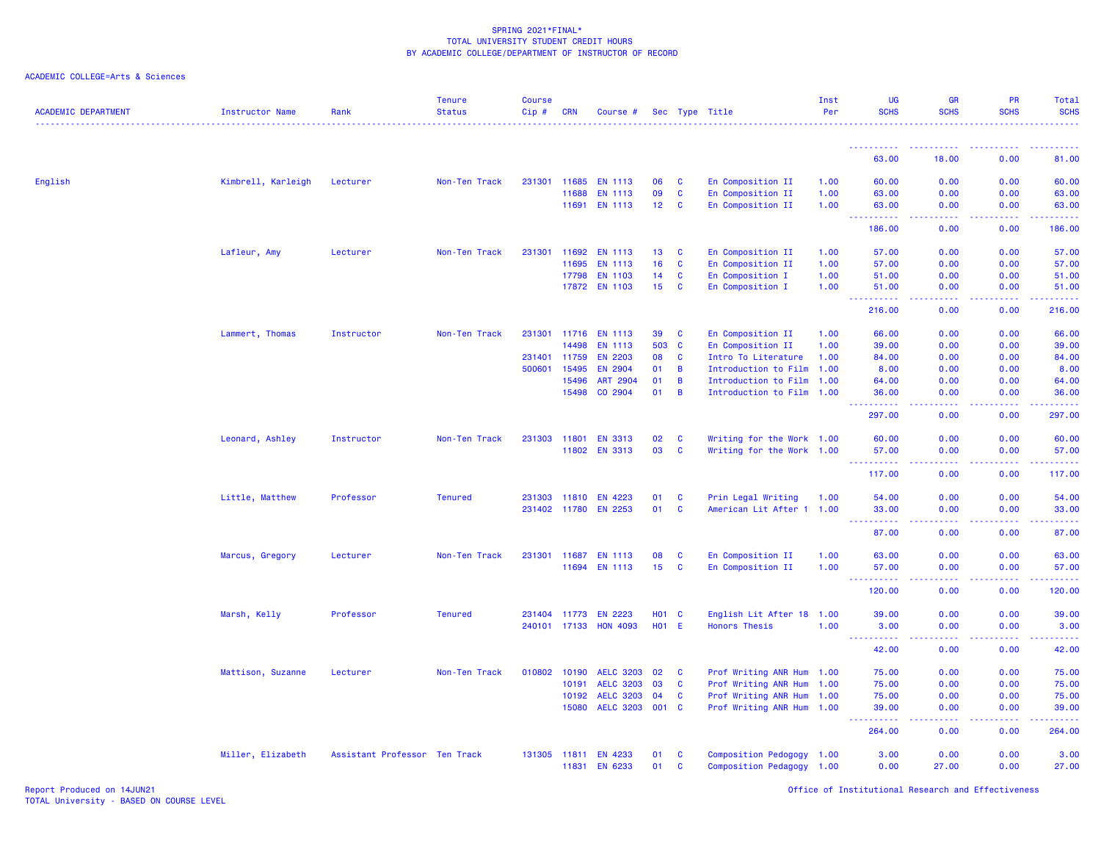| <b>ACADEMIC DEPARTMENT</b> | Instructor Name    | Rank                          | <b>Tenure</b><br><b>Status</b> | <b>Course</b><br>Cip# | <b>CRN</b>   | Course #                        |                       |                          | Sec Type Title                                         | Inst<br>Per  | UG<br><b>SCHS</b>          | <b>GR</b><br><b>SCHS</b>            | PR<br><b>SCHS</b> | Total<br><b>SCHS</b>      |
|----------------------------|--------------------|-------------------------------|--------------------------------|-----------------------|--------------|---------------------------------|-----------------------|--------------------------|--------------------------------------------------------|--------------|----------------------------|-------------------------------------|-------------------|---------------------------|
|                            |                    |                               |                                |                       |              |                                 |                       |                          |                                                        |              | <u>.</u>                   |                                     |                   |                           |
|                            |                    |                               |                                |                       |              |                                 |                       |                          |                                                        |              | 63.00                      | 18.00                               | 0.00              | 81.00                     |
| English                    | Kimbrell, Karleigh | Lecturer                      | Non-Ten Track                  |                       |              | 231301 11685 EN 1113            | 06                    | <b>C</b>                 | En Composition II                                      | 1.00         | 60.00                      | 0.00                                | 0.00              | 60.00                     |
|                            |                    |                               |                                |                       | 11688        | <b>EN 1113</b>                  | 09                    | $\mathbf{C}$             | En Composition II                                      | 1.00         | 63.00                      | 0.00                                | 0.00              | 63.00                     |
|                            |                    |                               |                                |                       |              | 11691 EN 1113                   | 12 <sub>2</sub>       | $\mathbf{C}$             | En Composition II                                      | 1.00         | 63.00                      | 0.00                                | 0.00              | 63.00                     |
|                            |                    |                               |                                |                       |              |                                 |                       |                          |                                                        |              | 444<br>186.00              | .<br>0.00                           | <u>.</u><br>0.00  | .<br>186.00               |
|                            | Lafleur, Amy       | Lecturer                      | Non-Ten Track                  | 231301                | 11692        | <b>EN 1113</b>                  | 13                    | $\mathbf{C}$             | En Composition II                                      | 1.00         | 57.00                      | 0.00                                | 0.00              | 57.00                     |
|                            |                    |                               |                                |                       | 11695        | <b>EN 1113</b>                  | 16                    | <b>C</b>                 | En Composition II                                      | 1.00         | 57.00                      | 0.00                                | 0.00              | 57.00                     |
|                            |                    |                               |                                |                       | 17798        | <b>EN 1103</b>                  | 14                    | $\mathbf{C}$             | En Composition I                                       | 1.00         | 51.00                      | 0.00                                | 0.00              | 51.00                     |
|                            |                    |                               |                                |                       |              | 17872 EN 1103                   | 15 <sub>15</sub>      | <b>C</b>                 | En Composition I                                       | 1.00         | 51.00                      | 0.00                                | 0.00              | 51.00                     |
|                            |                    |                               |                                |                       |              |                                 |                       |                          |                                                        |              | .<br>216.00                | د د د د .<br>0.00                   | .<br>0.00         | والمالمات مالما<br>216.00 |
|                            | Lammert, Thomas    | Instructor                    | Non-Ten Track                  | 231301                | 11716        | <b>EN 1113</b>                  | 39                    | <b>C</b>                 | En Composition II                                      | 1.00         | 66.00                      | 0.00                                | 0.00              | 66.00                     |
|                            |                    |                               |                                |                       | 14498        | <b>EN 1113</b>                  | 503                   | $\mathbf{C}$             | En Composition II                                      | 1.00         | 39.00                      | 0.00                                | 0.00              | 39.00                     |
|                            |                    |                               |                                | 231401                | 11759        | <b>EN 2203</b>                  | 08                    | $\mathbf{C}$             | Intro To Literature                                    | 1.00         | 84.00                      | 0.00                                | 0.00              | 84.00                     |
|                            |                    |                               |                                | 500601                | 15495        | EN 2904                         | 01                    | $\overline{B}$           | Introduction to Film 1.00                              |              | 8.00                       | 0.00                                | 0.00              | 8.00                      |
|                            |                    |                               |                                |                       | 15496        | ART 2904                        | 01                    | $\overline{B}$           | Introduction to Film                                   | 1.00         | 64.00                      | 0.00                                | 0.00              | 64.00                     |
|                            |                    |                               |                                |                       | 15498        | CO 2904                         | 01                    | $\overline{B}$           | Introduction to Film 1.00                              |              | 36.00                      | 0.00                                | 0.00              | 36.00                     |
|                            |                    |                               |                                |                       |              |                                 |                       |                          |                                                        |              | 22222<br>297.00            | .<br>0.00                           | 0.00              | .<br>297.00               |
|                            | Leonard, Ashley    | Instructor                    | Non-Ten Track                  |                       | 231303 11801 | <b>EN 3313</b>                  | 02                    | <b>C</b>                 | Writing for the Work 1.00                              |              | 60.00                      | 0.00                                | 0.00              | 60.00                     |
|                            |                    |                               |                                |                       |              | 11802 EN 3313                   | 03                    | <b>C</b>                 | Writing for the Work 1.00                              |              | 57.00                      | 0.00                                | 0.00              | 57.00                     |
|                            |                    |                               |                                |                       |              |                                 |                       |                          |                                                        |              | <b>.</b><br>117.00         | وبالأباد<br>0.00                    | .<br>0.00         | .<br>117.00               |
|                            | Little, Matthew    | Professor                     | <b>Tenured</b>                 |                       | 231303 11810 | EN 4223                         | 01                    | <b>C</b>                 | Prin Legal Writing                                     | 1.00         | 54.00                      | 0.00                                | 0.00              | 54.00                     |
|                            |                    |                               |                                |                       | 231402 11780 | <b>EN 2253</b>                  | 01                    | C                        | American Lit After 1 1.00                              |              | 33.00                      | 0.00                                | 0.00              | 33.00                     |
|                            |                    |                               |                                |                       |              |                                 |                       |                          |                                                        |              | 444<br><b>.</b> .<br>87.00 | بالأباد<br>0.00                     | .<br>0.00         | .<br>87.00                |
|                            |                    |                               |                                |                       |              |                                 |                       |                          |                                                        |              |                            |                                     |                   |                           |
|                            | Marcus, Gregory    | Lecturer                      | Non-Ten Track                  |                       | 231301 11687 | <b>EN 1113</b><br>11694 EN 1113 | 08<br>15 <sub>1</sub> | <b>C</b><br>$\mathbf{C}$ | En Composition II<br>En Composition II                 | 1.00<br>1.00 | 63.00<br>57.00             | 0.00<br>0.00                        | 0.00<br>0.00      | 63.00<br>57.00            |
|                            |                    |                               |                                |                       |              |                                 |                       |                          |                                                        |              | <b></b>                    | 22222                               | .                 | <u>.</u>                  |
|                            |                    |                               |                                |                       |              |                                 |                       |                          |                                                        |              | 120.00                     | 0.00                                | 0.00              | 120.00                    |
|                            | Marsh, Kelly       | Professor                     | <b>Tenured</b>                 |                       | 231404 11773 | <b>EN 2223</b>                  | <b>HO1 C</b>          |                          | English Lit After 18 1.00                              |              | 39.00                      | 0.00                                | 0.00              | 39.00                     |
|                            |                    |                               |                                |                       | 240101 17133 | <b>HON 4093</b>                 | <b>HO1 E</b>          |                          | <b>Honors Thesis</b>                                   | 1.00         | 3.00                       | 0.00                                | 0.00              | 3.00                      |
|                            |                    |                               |                                |                       |              |                                 |                       |                          |                                                        |              | المتمام المتحدث<br>42.00   | $\sim$ $\sim$ $\sim$ $\sim$<br>0.00 | .<br>0.00         | والمتمام المار<br>42.00   |
|                            | Mattison, Suzanne  | Lecturer                      | Non-Ten Track                  | 010802                | 10190        | <b>AELC 3203</b>                | 02                    | <b>C</b>                 | Prof Writing ANR Hum 1.00                              |              | 75.00                      | 0.00                                | 0.00              | 75.00                     |
|                            |                    |                               |                                |                       | 10191        | <b>AELC 3203</b>                | 03                    | <b>C</b>                 | Prof Writing ANR Hum 1.00                              |              | 75.00                      | 0.00                                | 0.00              | 75.00                     |
|                            |                    |                               |                                |                       | 10192        | <b>AELC 3203</b>                | 04                    | <b>C</b>                 | Prof Writing ANR Hum 1.00                              |              | 75.00                      | 0.00                                | 0.00              | 75.00                     |
|                            |                    |                               |                                |                       | 15080        | <b>AELC 3203</b>                | 001 C                 |                          | Prof Writing ANR Hum 1.00                              |              | 39.00                      | 0.00                                | 0.00              | 39.00                     |
|                            |                    |                               |                                |                       |              |                                 |                       |                          |                                                        |              | المستمدة<br>264.00         | بالأباء<br>0.00                     | .<br>0.00         | المتمامية<br>264.00       |
|                            |                    |                               |                                |                       | 131305 11811 |                                 | 01                    |                          |                                                        |              |                            |                                     | 0.00              |                           |
|                            | Miller, Elizabeth  | Assistant Professor Ten Track |                                |                       |              | <b>EN 4233</b><br>11831 EN 6233 | 01                    | <b>C</b><br>$\mathbf{C}$ | Composition Pedogogy 1.00<br>Composition Pedagogy 1.00 |              | 3.00<br>0.00               | 0.00<br>27.00                       | 0.00              | 3.00<br>27.00             |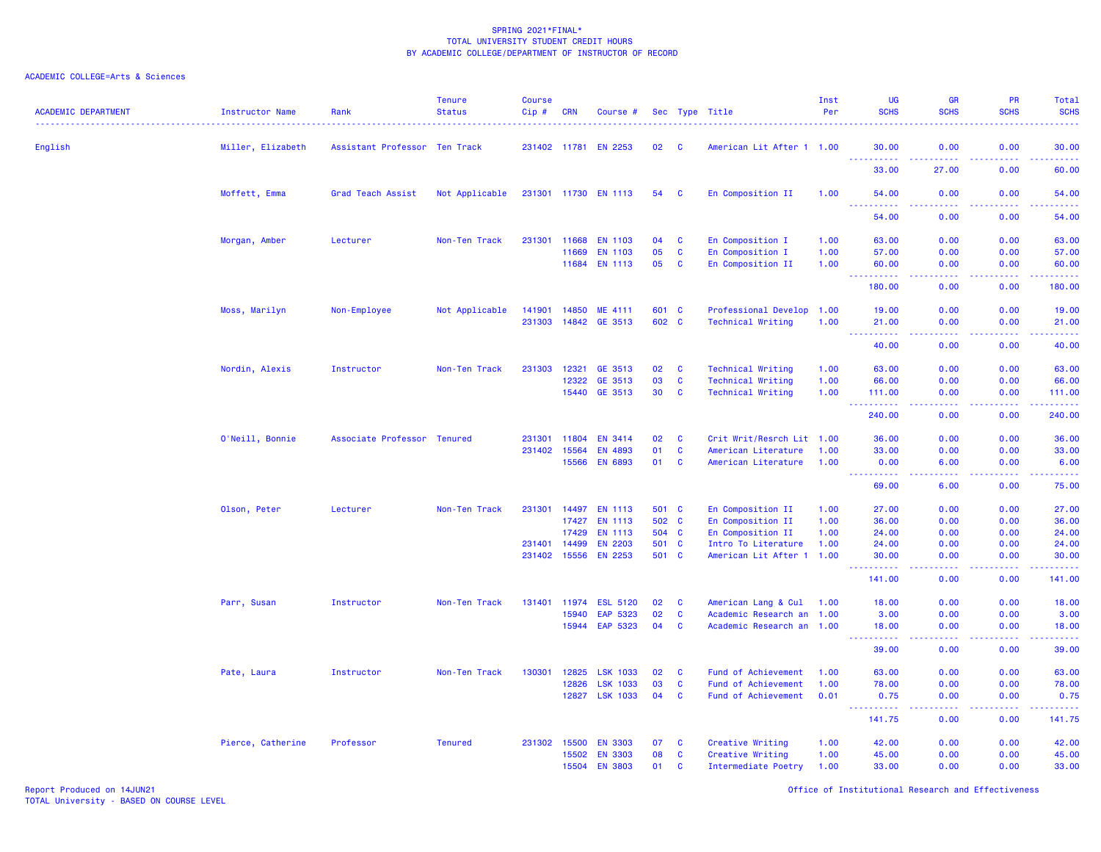# ACADEMIC COLLEGE=Arts & Sciences

| <b>ACADEMIC DEPARTMENT</b> | Instructor Name   | Rank                          | <b>Tenure</b><br><b>Status</b> | <b>Course</b><br>Cip# | <b>CRN</b>   | Course #             |       |              | Sec Type Title            | Inst<br>Per | <b>UG</b><br><b>SCHS</b>             | <b>GR</b><br><b>SCHS</b>       | <b>PR</b><br><b>SCHS</b> | Total<br><b>SCHS</b>                                                                                                              |
|----------------------------|-------------------|-------------------------------|--------------------------------|-----------------------|--------------|----------------------|-------|--------------|---------------------------|-------------|--------------------------------------|--------------------------------|--------------------------|-----------------------------------------------------------------------------------------------------------------------------------|
| English                    | Miller, Elizabeth | Assistant Professor Ten Track |                                |                       |              | 231402 11781 EN 2253 | 02    | - C          | American Lit After 1 1.00 |             | 30.00                                | 0.00                           | 0.00                     | 30.00                                                                                                                             |
|                            |                   |                               |                                |                       |              |                      |       |              |                           |             | <u> - - - - - - - - - -</u><br>33.00 | .<br>27.00                     | .<br>0.00                | .<br>60.00                                                                                                                        |
|                            | Moffett, Emma     | Grad Teach Assist             | Not Applicable                 |                       |              | 231301 11730 EN 1113 | 54    | C            | En Composition II         | 1.00        | 54.00                                | 0.00                           | 0.00                     | 54.00<br>والمستبدات                                                                                                               |
|                            |                   |                               |                                |                       |              |                      |       |              |                           |             | 54.00                                | 0.00                           | 0.00                     | 54.00                                                                                                                             |
|                            | Morgan, Amber     | Lecturer                      | Non-Ten Track                  | 231301                | 11668        | <b>EN 1103</b>       | 04    | C            | En Composition I          | 1.00        | 63.00                                | 0.00                           | 0.00                     | 63.00                                                                                                                             |
|                            |                   |                               |                                |                       | 11669        | EN 1103              | 05    | $\mathbf{C}$ | En Composition I          | 1.00        | 57.00                                | 0.00                           | 0.00                     | 57.00                                                                                                                             |
|                            |                   |                               |                                |                       |              | 11684 EN 1113        | 05    | $\mathbf{C}$ | En Composition II         | 1.00        | 60.00                                | 0.00                           | 0.00<br>.                | 60.00<br>.                                                                                                                        |
|                            |                   |                               |                                |                       |              |                      |       |              |                           |             | 180.00                               | 0.00                           | 0.00                     | 180.00                                                                                                                            |
|                            | Moss, Marilyn     | Non-Employee                  | Not Applicable                 | 141901                | 14850        | ME 4111              | 601 C |              | Professional Develop 1.00 |             | 19.00                                | 0.00                           | 0.00                     | 19.00                                                                                                                             |
|                            |                   |                               |                                | 231303                |              | 14842 GE 3513        | 602 C |              | <b>Technical Writing</b>  | 1.00        | 21.00                                | 0.00                           | 0.00                     | 21.00                                                                                                                             |
|                            |                   |                               |                                |                       |              |                      |       |              |                           |             | 40.00                                | 0.00                           | 0.00                     | 40.00                                                                                                                             |
|                            | Nordin, Alexis    | Instructor                    | Non-Ten Track                  | 231303                | 12321        | GE 3513              | 02    | $\mathbf{C}$ | <b>Technical Writing</b>  | 1.00        | 63.00                                | 0.00                           | 0.00                     | 63.00                                                                                                                             |
|                            |                   |                               |                                |                       | 12322        | GE 3513              | 03    | $\mathbf{C}$ | <b>Technical Writing</b>  | 1.00        | 66.00                                | 0.00                           | 0.00                     | 66.00                                                                                                                             |
|                            |                   |                               |                                |                       | 15440        | GE 3513              | 30    | $\mathbf{C}$ | <b>Technical Writing</b>  | 1.00        | 111.00                               | 0.00                           | 0.00<br>.                | 111.00<br>.                                                                                                                       |
|                            |                   |                               |                                |                       |              |                      |       |              |                           |             | 240.00                               | 0.00                           | 0.00                     | 240.00                                                                                                                            |
|                            | O'Neill, Bonnie   | Associate Professor Tenured   |                                | 231301                | 11804        | <b>EN 3414</b>       | 02    | C            | Crit Writ/Resrch Lit 1.00 |             | 36.00                                | 0.00                           | 0.00                     | 36.00                                                                                                                             |
|                            |                   |                               |                                | 231402 15564          |              | EN 4893              | 01    | $\mathbf{C}$ | American Literature       | 1.00        | 33.00                                | 0.00                           | 0.00                     | 33.00                                                                                                                             |
|                            |                   |                               |                                |                       | 15566        | <b>EN 6893</b>       | 01    | $\mathbf{C}$ | American Literature       | 1.00        | 0.00<br><u>.</u>                     | 6.00<br>$  -$                  | 0.00<br>المالمات         | 6.00<br>$\frac{1}{2} \left( \frac{1}{2} \right) \left( \frac{1}{2} \right) \left( \frac{1}{2} \right) \left( \frac{1}{2} \right)$ |
|                            |                   |                               |                                |                       |              |                      |       |              |                           |             | 69.00                                | 6.00                           | 0.00                     | 75.00                                                                                                                             |
|                            | Olson, Peter      | Lecturer                      | Non-Ten Track                  | 231301                | 14497        | <b>EN 1113</b>       | 501 C |              | En Composition II         | 1.00        | 27.00                                | 0.00                           | 0.00                     | 27.00                                                                                                                             |
|                            |                   |                               |                                |                       | 17427        | <b>EN 1113</b>       | 502 C |              | En Composition II         | 1.00        | 36.00                                | 0.00                           | 0.00                     | 36.00                                                                                                                             |
|                            |                   |                               |                                |                       | 17429        | <b>EN 1113</b>       | 504 C |              | En Composition II         | 1.00        | 24.00                                | 0.00                           | 0.00                     | 24.00                                                                                                                             |
|                            |                   |                               |                                | 231401                | 14499        | <b>EN 2203</b>       | 501   | $\mathbf{C}$ | Intro To Literature       | 1.00        | 24.00                                | 0.00                           | 0.00                     | 24.00                                                                                                                             |
|                            |                   |                               |                                | 231402 15556          |              | <b>EN 2253</b>       | 501 C |              | American Lit After 1 1.00 |             | 30.00<br>.                           | 0.00<br>$\omega$ is a $\omega$ | 0.00<br>.                | 30.00<br>.                                                                                                                        |
|                            |                   |                               |                                |                       |              |                      |       |              |                           |             | 141.00                               | 0.00                           | 0.00                     | 141.00                                                                                                                            |
|                            | Parr, Susan       | Instructor                    | Non-Ten Track                  |                       | 131401 11974 | <b>ESL 5120</b>      | 02    | $\mathbf c$  | American Lang & Cul       | 1.00        | 18.00                                | 0.00                           | 0.00                     | 18.00                                                                                                                             |
|                            |                   |                               |                                |                       | 15940        | EAP 5323             | 02    | $\mathbf{C}$ | Academic Research an 1.00 |             | 3.00                                 | 0.00                           | 0.00                     | 3.00                                                                                                                              |
|                            |                   |                               |                                |                       | 15944        | EAP 5323             | 04    | $\mathbf{C}$ | Academic Research an 1.00 |             | 18.00<br>$\sim 100$                  | 0.00<br>الداعات عا             | 0.00<br>. <b>.</b>       | 18.00<br>.                                                                                                                        |
|                            |                   |                               |                                |                       |              |                      |       |              |                           |             | 39.00                                | 0.00                           | 0.00                     | 39.00                                                                                                                             |
|                            | Pate, Laura       | Instructor                    | Non-Ten Track                  | 130301                | 12825        | <b>LSK 1033</b>      | 02    | <b>C</b>     | Fund of Achievement       | 1.00        | 63.00                                | 0.00                           | 0.00                     | 63.00                                                                                                                             |
|                            |                   |                               |                                |                       | 12826        | <b>LSK 1033</b>      | 03    | $\mathbf{C}$ | Fund of Achievement       | 1.00        | 78.00                                | 0.00                           | 0.00                     | 78.00                                                                                                                             |
|                            |                   |                               |                                |                       |              | 12827 LSK 1033       | 04    | <b>C</b>     | Fund of Achievement       | 0.01        | 0.75<br>2.2.2.2.2.2                  | 0.00<br>.                      | 0.00<br>22222            | 0.75<br><u>.</u>                                                                                                                  |
|                            |                   |                               |                                |                       |              |                      |       |              |                           |             | 141.75                               | 0.00                           | 0.00                     | 141.75                                                                                                                            |
|                            | Pierce, Catherine | Professor                     | <b>Tenured</b>                 | 231302                | 15500        | <b>EN 3303</b>       | 07    | C            | Creative Writing          | 1.00        | 42.00                                | 0.00                           | 0.00                     | 42.00                                                                                                                             |
|                            |                   |                               |                                |                       | 15502        | <b>EN 3303</b>       | 08    | C            | Creative Writing          | 1.00        | 45.00                                | 0.00                           | 0.00                     | 45.00                                                                                                                             |
|                            |                   |                               |                                |                       | 15504        | <b>EN 3803</b>       | 01    | $\mathbf{C}$ | Intermediate Poetry       | 1.00        | 33.00                                | 0.00                           | 0.00                     | 33.00                                                                                                                             |

Report Produced on 14JUN21 Office of Institutional Research and Effectiveness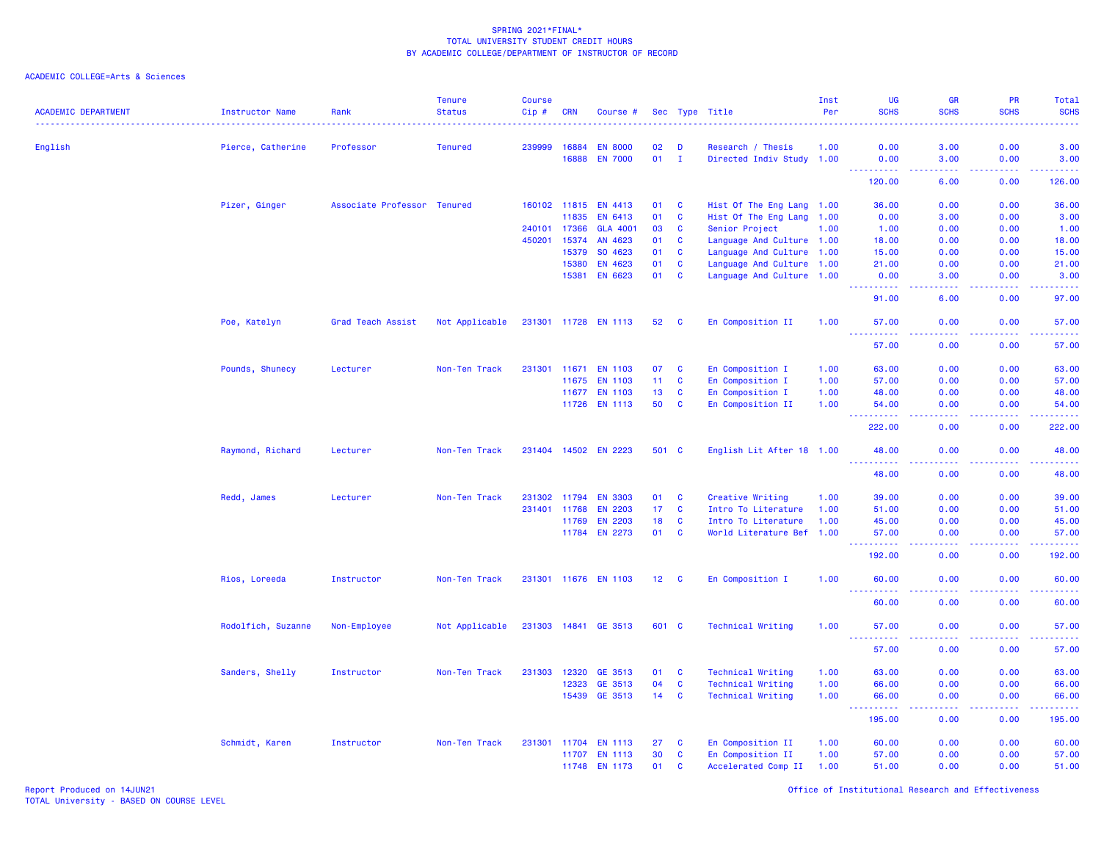| <b>ACADEMIC DEPARTMENT</b> | <b>Instructor Name</b> | Rank                        | <b>Tenure</b><br><b>Status</b> | Course<br>Cip# | <b>CRN</b>   | Course #             |                 |              | Sec Type Title            | Inst<br>Per | UG<br><b>SCHS</b>                                                                                                                  | <b>GR</b><br><b>SCHS</b>                                                                               | PR<br><b>SCHS</b> | <b>Total</b><br><b>SCHS</b> |
|----------------------------|------------------------|-----------------------------|--------------------------------|----------------|--------------|----------------------|-----------------|--------------|---------------------------|-------------|------------------------------------------------------------------------------------------------------------------------------------|--------------------------------------------------------------------------------------------------------|-------------------|-----------------------------|
| English                    | Pierce, Catherine      | Professor                   | <b>Tenured</b>                 | 239999         | 16884        | <b>EN 8000</b>       | 02              | D            | Research / Thesis         | 1.00        | 0.00                                                                                                                               | 3.00                                                                                                   | 0.00              | 3.00                        |
|                            |                        |                             |                                |                | 16888        | <b>EN 7000</b>       | 01              | $\mathbf{I}$ | Directed Indiv Study 1.00 |             | 0.00                                                                                                                               | 3.00                                                                                                   | 0.00              | 3.00                        |
|                            |                        |                             |                                |                |              |                      |                 |              |                           |             | .<br>120.00                                                                                                                        | .<br>6.00                                                                                              | .<br>0.00         | <b>.</b><br>126.00          |
|                            | Pizer, Ginger          | Associate Professor Tenured |                                |                | 160102 11815 | EN 4413              | 01              | C            | Hist Of The Eng Lang 1.00 |             | 36.00                                                                                                                              | 0.00                                                                                                   | 0.00              | 36.00                       |
|                            |                        |                             |                                |                | 11835        | EN 6413              | 01              | C            | Hist Of The Eng Lang      | 1.00        | 0.00                                                                                                                               | 3.00                                                                                                   | 0.00              | 3.00                        |
|                            |                        |                             |                                | 240101         | 17366        | <b>GLA 4001</b>      | 03              | C            | Senior Project            | 1.00        | 1.00                                                                                                                               | 0.00                                                                                                   | 0.00              | 1.00                        |
|                            |                        |                             |                                | 450201         | 15374        | AN 4623              | 01              | <b>C</b>     | Language And Culture 1.00 |             | 18.00                                                                                                                              | 0.00                                                                                                   | 0.00              | 18.00                       |
|                            |                        |                             |                                |                | 15379        | SO 4623              | 01              | C            | Language And Culture 1.00 |             | 15.00                                                                                                                              | 0.00                                                                                                   | 0.00              | 15.00                       |
|                            |                        |                             |                                |                | 15380        | EN 4623              | 01              | C            | Language And Culture 1.00 |             | 21.00                                                                                                                              | 0.00                                                                                                   | 0.00              | 21.00                       |
|                            |                        |                             |                                |                | 15381        | EN 6623              | 01              | $\mathbf{C}$ | Language And Culture 1.00 |             | 0.00                                                                                                                               | 3.00                                                                                                   | 0.00              | 3.00                        |
|                            |                        |                             |                                |                |              |                      |                 |              |                           |             | .<br>91.00                                                                                                                         | $\sim$ $\sim$ $\sim$ $\sim$<br>6.00                                                                    | 0.00              | .<br>97.00                  |
|                            | Poe, Katelyn           | Grad Teach Assist           | Not Applicable                 |                |              | 231301 11728 EN 1113 | 52              | C            | En Composition II         | 1.00        | 57.00<br>22222                                                                                                                     | 0.00                                                                                                   | 0.00              | 57.00                       |
|                            |                        |                             |                                |                |              |                      |                 |              |                           |             | 57.00                                                                                                                              | $\frac{1}{2} \left( \frac{1}{2} \right) \left( \frac{1}{2} \right) \left( \frac{1}{2} \right)$<br>0.00 | .<br>0.00         | .<br>57.00                  |
|                            | Pounds, Shunecy        | Lecturer                    | Non-Ten Track                  | 231301         | 11671        | <b>EN 1103</b>       | 07              | C            | En Composition I          | 1.00        | 63.00                                                                                                                              | 0.00                                                                                                   | 0.00              | 63.00                       |
|                            |                        |                             |                                |                | 11675        | <b>EN 1103</b>       | 11              | C            | En Composition I          | 1.00        | 57.00                                                                                                                              | 0.00                                                                                                   | 0.00              | 57.00                       |
|                            |                        |                             |                                |                | 11677        | <b>EN 1103</b>       | 13              | <b>C</b>     | En Composition I          | 1.00        | 48.00                                                                                                                              | 0.00                                                                                                   | 0.00              | 48.00                       |
|                            |                        |                             |                                |                | 11726        | EN 1113              | 50              | C            | En Composition II         | 1.00        | 54.00<br>$\sim$ $\sim$ $\sim$<br>222222                                                                                            | 0.00<br>.                                                                                              | 0.00              | 54.00                       |
|                            |                        |                             |                                |                |              |                      |                 |              |                           |             | 222.00                                                                                                                             | 0.00                                                                                                   | .<br>0.00         | 22222.<br>222.00            |
|                            | Raymond, Richard       | Lecturer                    | Non-Ten Track                  |                | 231404 14502 | <b>EN 2223</b>       | 501 C           |              | English Lit After 18 1.00 |             | 48.00<br>$\frac{1}{2} \left( \frac{1}{2} \right) \left( \frac{1}{2} \right) \left( \frac{1}{2} \right) \left( \frac{1}{2} \right)$ | 0.00<br>$\sim$ $\sim$ $\sim$                                                                           | 0.00              | 48.00<br>المالم عامان       |
|                            |                        |                             |                                |                |              |                      |                 |              |                           |             | 48.00                                                                                                                              | 0.00                                                                                                   | 0.00              | 48.00                       |
|                            | Redd, James            | Lecturer                    | Non-Ten Track                  | 231302         | 11794        | <b>EN 3303</b>       | 01              | C            | Creative Writing          | 1.00        | 39.00                                                                                                                              | 0.00                                                                                                   | 0.00              | 39.00                       |
|                            |                        |                             |                                | 231401         | 11768        | <b>EN 2203</b>       | 17 <sub>2</sub> | <b>C</b>     | Intro To Literature       | 1.00        | 51.00                                                                                                                              | 0.00                                                                                                   | 0.00              | 51.00                       |
|                            |                        |                             |                                |                | 11769        | <b>EN 2203</b>       | 18              | C            | Intro To Literature       | 1.00        | 45.00                                                                                                                              | 0.00                                                                                                   | 0.00              | 45.00                       |
|                            |                        |                             |                                |                | 11784        | EN 2273              | 01              | $\mathbf{C}$ | World Literature Bef 1.00 |             | 57.00<br>.                                                                                                                         | 0.00<br>----                                                                                           | 0.00              | 57.00<br>.                  |
|                            |                        |                             |                                |                |              |                      |                 |              |                           |             | 192.00                                                                                                                             | 0.00                                                                                                   | 0.00              | 192.00                      |
|                            | Rios, Loreeda          | Instructor                  | Non-Ten Track                  |                |              | 231301 11676 EN 1103 | 12 <sup>2</sup> | <b>C</b>     | En Composition I          | 1.00        | 60.00                                                                                                                              | 0.00                                                                                                   | 0.00              | 60.00                       |
|                            |                        |                             |                                |                |              |                      |                 |              |                           |             | 60.00                                                                                                                              | 0.00                                                                                                   | 0.00              | 60.00                       |
|                            | Rodolfich, Suzanne     | Non-Employee                | Not Applicable                 |                |              | 231303 14841 GE 3513 | 601 C           |              | <b>Technical Writing</b>  | 1.00        | 57.00<br>$  -$<br>.                                                                                                                | 0.00<br>.                                                                                              | 0.00<br><b></b>   | 57.00<br>.                  |
|                            |                        |                             |                                |                |              |                      |                 |              |                           |             | 57.00                                                                                                                              | 0.00                                                                                                   | 0.00              | 57.00                       |
|                            | Sanders, Shelly        | Instructor                  | Non-Ten Track                  | 231303         | 12320        | GE 3513              | 01              | C            | <b>Technical Writing</b>  | 1.00        | 63.00                                                                                                                              | 0.00                                                                                                   | 0.00              | 63.00                       |
|                            |                        |                             |                                |                | 12323        | GE 3513              | 04              | <b>C</b>     | <b>Technical Writing</b>  | 1.00        | 66.00                                                                                                                              | 0.00                                                                                                   | 0.00              | 66.00                       |
|                            |                        |                             |                                |                | 15439        | GE 3513              | 14              | <b>C</b>     | <b>Technical Writing</b>  | 1.00        | 66.00                                                                                                                              | 0.00                                                                                                   | 0.00              | 66.00                       |
|                            |                        |                             |                                |                |              |                      |                 |              |                           |             | <u> - - - - - - - - - -</u><br>195.00                                                                                              | .<br>0.00                                                                                              | .<br>0.00         | 22222)<br>195.00            |
|                            | Schmidt, Karen         | Instructor                  | Non-Ten Track                  | 231301         | 11704        | EN 1113              | 27              | C            | En Composition II         | 1.00        | 60.00                                                                                                                              | 0.00                                                                                                   | 0.00              | 60.00                       |
|                            |                        |                             |                                |                | 11707        | EN 1113              | 30              | C            | En Composition II         | 1.00        | 57.00                                                                                                                              | 0.00                                                                                                   | 0.00              | 57.00                       |
|                            |                        |                             |                                |                | 11748        | <b>EN 1173</b>       | 01              | <b>C</b>     | Accelerated Comp II       | 1.00        | 51.00                                                                                                                              | 0.00                                                                                                   | 0.00              | 51.00                       |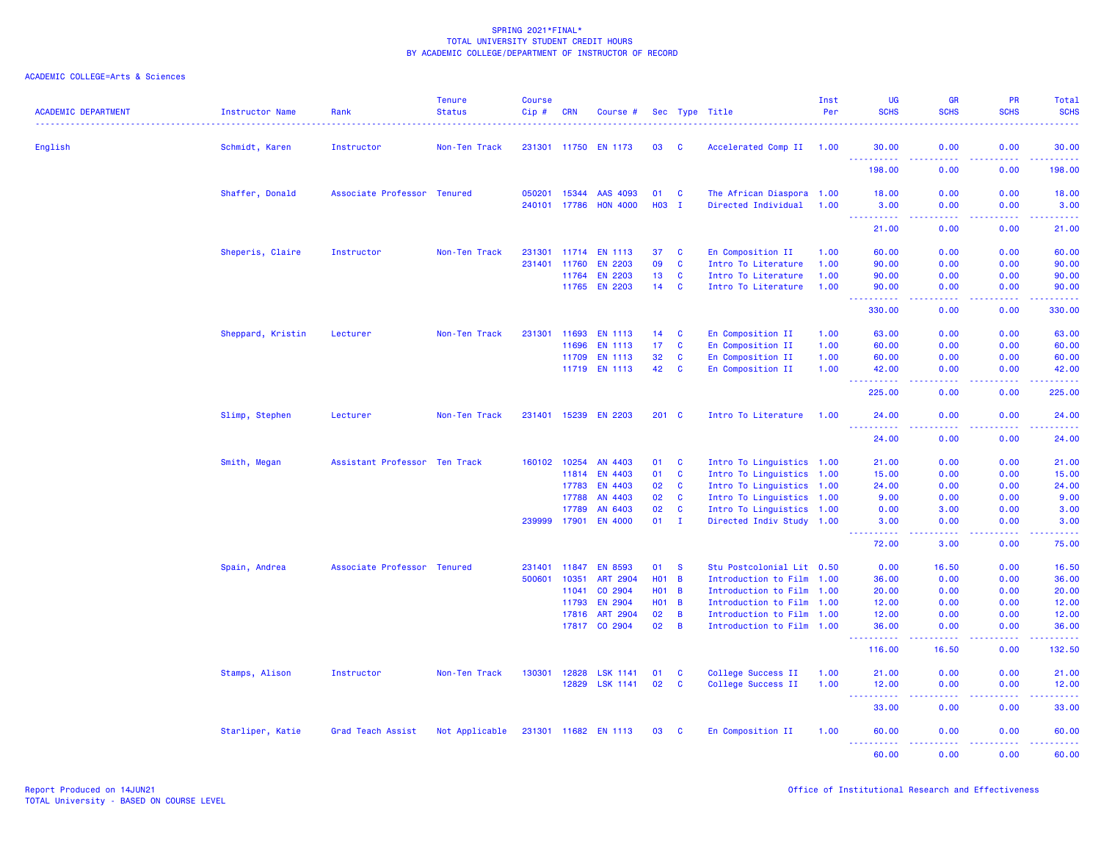| <b>ACADEMIC DEPARTMENT</b> | Instructor Name   | Rank                          | <b>Tenure</b><br><b>Status</b> | <b>Course</b><br>Cip# | <b>CRN</b>   | Course #             |                 |                | Sec Type Title            | Inst<br>Per | <b>UG</b><br><b>SCHS</b>                                   | <b>GR</b><br><b>SCHS</b>                                                                               | PR<br><b>SCHS</b> | Total<br><b>SCHS</b>              |
|----------------------------|-------------------|-------------------------------|--------------------------------|-----------------------|--------------|----------------------|-----------------|----------------|---------------------------|-------------|------------------------------------------------------------|--------------------------------------------------------------------------------------------------------|-------------------|-----------------------------------|
| English                    | Schmidt, Karen    | Instructor                    | Non-Ten Track                  |                       |              | 231301 11750 EN 1173 | 03              | <b>C</b>       | Accelerated Comp II 1.00  |             | 30.00                                                      | 0.00                                                                                                   | 0.00              | 30.00                             |
|                            |                   |                               |                                |                       |              |                      |                 |                |                           |             | .<br>$\omega_{\rm{eff}}$ and $\omega_{\rm{eff}}$<br>198.00 | .<br>0.00                                                                                              | .<br>0.00         | .<br>198.00                       |
|                            | Shaffer, Donald   | Associate Professor Tenured   |                                | 050201                | 15344        | AAS 4093             | 01              | $\mathbf{C}$   | The African Diaspora 1.00 |             | 18.00                                                      | 0.00                                                                                                   | 0.00              | 18.00                             |
|                            |                   |                               |                                |                       | 240101 17786 | <b>HON 4000</b>      | H03 I           |                | Directed Individual       | 1.00        | 3.00<br><u>.</u>                                           | 0.00<br>د د د د                                                                                        | 0.00<br>22222     | 3.00<br>.                         |
|                            |                   |                               |                                |                       |              |                      |                 |                |                           |             | 21.00                                                      | 0.00                                                                                                   | 0.00              | 21.00                             |
|                            | Sheperis, Claire  | Instructor                    | Non-Ten Track                  |                       |              | 231301 11714 EN 1113 | 37              | $\mathbf{C}$   | En Composition II         | 1.00        | 60.00                                                      | 0.00                                                                                                   | 0.00              | 60.00                             |
|                            |                   |                               |                                |                       | 231401 11760 | <b>EN 2203</b>       | 09              | $\mathbf{C}$   | Intro To Literature       | 1.00        | 90.00                                                      | 0.00                                                                                                   | 0.00              | 90.00                             |
|                            |                   |                               |                                |                       | 11764        | <b>EN 2203</b>       | 13              | $\mathbf{C}$   | Intro To Literature       | 1.00        | 90.00                                                      | 0.00                                                                                                   | 0.00              | 90.00                             |
|                            |                   |                               |                                |                       |              | 11765 EN 2203        | 14              | <b>C</b>       | Intro To Literature       | 1.00        | 90.00<br>$  -$<br>.                                        | 0.00<br>$\frac{1}{2} \left( \frac{1}{2} \right) \left( \frac{1}{2} \right) \left( \frac{1}{2} \right)$ | 0.00<br>.         | 90.00<br>.                        |
|                            |                   |                               |                                |                       |              |                      |                 |                |                           |             | 330.00                                                     | 0.00                                                                                                   | 0.00              | 330.00                            |
|                            | Sheppard, Kristin | Lecturer                      | Non-Ten Track                  |                       | 231301 11693 | <b>EN 1113</b>       | 14              | $\mathbf{C}$   | En Composition II         | 1.00        | 63.00                                                      | 0.00                                                                                                   | 0.00              | 63.00                             |
|                            |                   |                               |                                |                       | 11696        | <b>EN 1113</b>       | 17 <sub>2</sub> | C              | En Composition II         | 1.00        | 60.00                                                      | 0.00                                                                                                   | 0.00              | 60.00                             |
|                            |                   |                               |                                |                       | 11709        | <b>EN 1113</b>       | 32              | $\mathbf{C}$   | En Composition II         | 1.00        | 60.00                                                      | 0.00                                                                                                   | 0.00              | 60.00                             |
|                            |                   |                               |                                |                       |              | 11719 EN 1113        | 42              | <b>C</b>       | En Composition II         | 1.00        | 42.00<br>.                                                 | 0.00<br>$  -$                                                                                          | 0.00              | 42.00<br>المتمامين                |
|                            |                   |                               |                                |                       |              |                      |                 |                |                           |             | 225.00                                                     | 0.00                                                                                                   | 0.00              | 225.00                            |
|                            | Slimp, Stephen    | Lecturer                      | Non-Ten Track                  |                       |              | 231401 15239 EN 2203 | 201 C           |                | Intro To Literature       | 1.00        | 24.00                                                      | 0.00                                                                                                   | 0.00              | 24.00                             |
|                            |                   |                               |                                |                       |              |                      |                 |                |                           |             | $\sim$ $\sim$ $\sim$<br>24.00                              | 0.00                                                                                                   | .<br>0.00         | المستمات<br>24.00                 |
|                            | Smith, Megan      | Assistant Professor Ten Track |                                |                       | 160102 10254 | AN 4403              | 01              | $\mathbf{C}$   | Intro To Linguistics 1.00 |             | 21.00                                                      | 0.00                                                                                                   | 0.00              | 21.00                             |
|                            |                   |                               |                                |                       | 11814        | EN 4403              | 01              | $\mathbf{C}$   | Intro To Linguistics 1.00 |             | 15.00                                                      | 0.00                                                                                                   | 0.00              | 15.00                             |
|                            |                   |                               |                                |                       | 17783        | EN 4403              | 02              | $\mathbf{C}$   | Intro To Linguistics 1.00 |             | 24.00                                                      | 0.00                                                                                                   | 0.00              | 24.00                             |
|                            |                   |                               |                                |                       | 17788        | AN 4403              | 02              | $\mathbf{C}$   | Intro To Linguistics 1.00 |             | 9.00                                                       | 0.00                                                                                                   | 0.00              | 9.00                              |
|                            |                   |                               |                                |                       | 17789        | AN 6403              | 02              | $\mathbf{C}$   | Intro To Linguistics 1.00 |             | 0.00                                                       | 3.00                                                                                                   | 0.00              | 3.00                              |
|                            |                   |                               |                                | 239999                | 17901        | <b>EN 4000</b>       | 01              | $\mathbf{I}$   | Directed Indiv Study 1.00 |             | 3.00<br>22222                                              | 0.00<br>.                                                                                              | 0.00              | 3.00<br>$\omega$ is $\omega$ in . |
|                            |                   |                               |                                |                       |              |                      |                 |                |                           |             | 72.00                                                      | 3.00                                                                                                   | 0.00              | 75.00                             |
|                            | Spain, Andrea     | Associate Professor Tenured   |                                | 231401                | 11847        | <b>EN 8593</b>       | 01              | <b>S</b>       | Stu Postcolonial Lit 0.50 |             | 0.00                                                       | 16.50                                                                                                  | 0.00              | 16.50                             |
|                            |                   |                               |                                | 500601                | 10351        | <b>ART 2904</b>      | $H01$ B         |                | Introduction to Film 1.00 |             | 36.00                                                      | 0.00                                                                                                   | 0.00              | 36.00                             |
|                            |                   |                               |                                |                       | 11041        | CO 2904              | $H01$ B         |                | Introduction to Film 1.00 |             | 20.00                                                      | 0.00                                                                                                   | 0.00              | 20.00                             |
|                            |                   |                               |                                |                       | 11793        | <b>EN 2904</b>       | $H01$ B         |                | Introduction to Film 1.00 |             | 12.00                                                      | 0.00                                                                                                   | 0.00              | 12.00                             |
|                            |                   |                               |                                |                       | 17816        | ART 2904             | 02              | $\overline{B}$ | Introduction to Film 1.00 |             | 12.00                                                      | 0.00                                                                                                   | 0.00              | 12.00                             |
|                            |                   |                               |                                |                       | 17817        | CO 2904              | 02              | $\overline{B}$ | Introduction to Film 1.00 |             | 36.00<br>وعاعات<br>.                                       | 0.00<br>.                                                                                              | 0.00<br>-----     | 36.00<br>.                        |
|                            |                   |                               |                                |                       |              |                      |                 |                |                           |             | 116.00                                                     | 16.50                                                                                                  | 0.00              | 132.50                            |
|                            | Stamps, Alison    | Instructor                    | Non-Ten Track                  | 130301                | 12828        | <b>LSK 1141</b>      | 01              | <b>C</b>       | College Success II        | 1.00        | 21.00                                                      | 0.00                                                                                                   | 0.00              | 21.00                             |
|                            |                   |                               |                                |                       |              | 12829 LSK 1141       | 02              | <b>C</b>       | College Success II        | 1.00        | 12.00<br>$  -$<br>.                                        | 0.00<br>.                                                                                              | 0.00<br>.         | 12.00<br>.                        |
|                            |                   |                               |                                |                       |              |                      |                 |                |                           |             | 33.00                                                      | 0.00                                                                                                   | 0.00              | 33.00                             |
|                            | Starliper, Katie  | Grad Teach Assist             | Not Applicable                 |                       |              | 231301 11682 EN 1113 | 03              | - C            | En Composition II         | 1.00        | 60.00                                                      | 0.00                                                                                                   | 0.00              | 60.00                             |
|                            |                   |                               |                                |                       |              |                      |                 |                |                           |             | .<br>60.00                                                 | .<br>0.00                                                                                              | 22222<br>0.00     | .<br>60.00                        |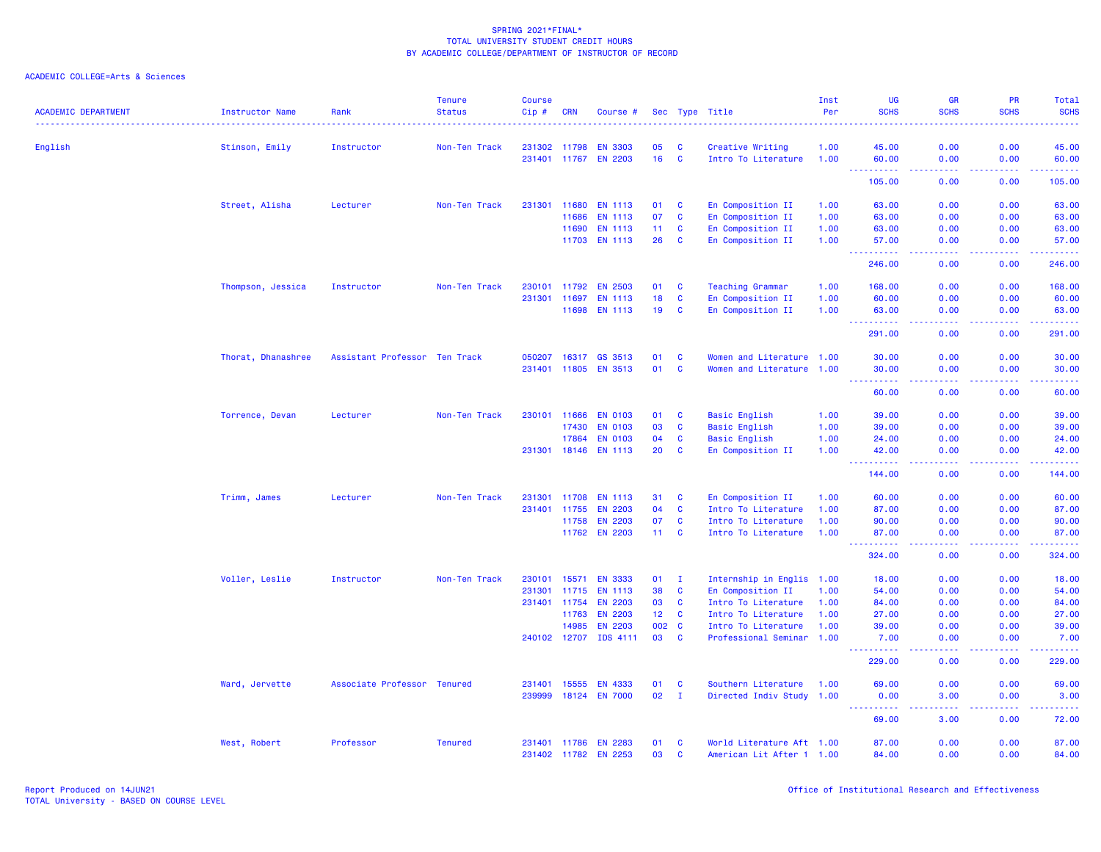| <b>ACADEMIC DEPARTMENT</b> | Instructor Name    | Rank                          | <b>Tenure</b><br><b>Status</b> | <b>Course</b><br>Cip# | <b>CRN</b>   | Course #                               |                 |                          | Sec Type Title                          | Inst<br>Per  | <b>UG</b><br><b>SCHS</b>                                                                                                                                    | <b>GR</b><br><b>SCHS</b>                                                                               | <b>PR</b><br><b>SCHS</b>                                                                                                                                     | Total<br><b>SCHS</b>                  |
|----------------------------|--------------------|-------------------------------|--------------------------------|-----------------------|--------------|----------------------------------------|-----------------|--------------------------|-----------------------------------------|--------------|-------------------------------------------------------------------------------------------------------------------------------------------------------------|--------------------------------------------------------------------------------------------------------|--------------------------------------------------------------------------------------------------------------------------------------------------------------|---------------------------------------|
|                            |                    |                               |                                |                       |              |                                        |                 |                          |                                         |              |                                                                                                                                                             |                                                                                                        |                                                                                                                                                              |                                       |
| English                    | Stinson, Emily     | Instructor                    | Non-Ten Track                  |                       | 231302 11798 | <b>EN 3303</b><br>231401 11767 EN 2203 | 05<br>16        | <b>C</b><br>$\mathbf{C}$ | Creative Writing<br>Intro To Literature | 1.00<br>1.00 | 45.00<br>60.00                                                                                                                                              | 0.00<br>0.00                                                                                           | 0.00<br>0.00                                                                                                                                                 | 45.00<br>60.00                        |
|                            |                    |                               |                                |                       |              |                                        |                 |                          |                                         |              | <u>.</u><br>$ -$<br>105.00                                                                                                                                  | .<br>0.00                                                                                              | .<br>0.00                                                                                                                                                    | .<br>105.00                           |
|                            |                    |                               |                                |                       |              |                                        |                 |                          |                                         |              |                                                                                                                                                             |                                                                                                        |                                                                                                                                                              |                                       |
|                            | Street, Alisha     | Lecturer                      | Non-Ten Track                  | 231301                | 11680        | <b>EN 1113</b>                         | 01              | $\mathbf{C}$             | En Composition II                       | 1.00         | 63.00                                                                                                                                                       | 0.00                                                                                                   | 0.00                                                                                                                                                         | 63.00                                 |
|                            |                    |                               |                                |                       | 11686        | <b>EN 1113</b>                         | 07              | <b>C</b>                 | En Composition II                       | 1.00         | 63.00                                                                                                                                                       | 0.00                                                                                                   | 0.00                                                                                                                                                         | 63.00                                 |
|                            |                    |                               |                                |                       | 11690        | <b>EN 1113</b>                         | 11              | <b>C</b>                 | En Composition II                       | 1.00         | 63.00                                                                                                                                                       | 0.00                                                                                                   | 0.00                                                                                                                                                         | 63.00                                 |
|                            |                    |                               |                                |                       |              | 11703 EN 1113                          | 26              | <b>C</b>                 | En Composition II                       | 1.00         | 57.00<br><u>.</u><br>$\sim$ $\sim$ $\sim$                                                                                                                   | 0.00<br>المستما                                                                                        | 0.00<br>22222                                                                                                                                                | 57.00<br>------                       |
|                            |                    |                               |                                |                       |              |                                        |                 |                          |                                         |              | 246.00                                                                                                                                                      | 0.00                                                                                                   | 0.00                                                                                                                                                         | 246.00                                |
|                            | Thompson, Jessica  | Instructor                    | Non-Ten Track                  | 230101                | 11792        | <b>EN 2503</b>                         | 01              | <b>C</b>                 | <b>Teaching Grammar</b>                 | 1.00         | 168.00                                                                                                                                                      | 0.00                                                                                                   | 0.00                                                                                                                                                         | 168.00                                |
|                            |                    |                               |                                |                       | 231301 11697 | EN 1113                                | 18              | $\mathbf{C}$             | En Composition II                       | 1.00         | 60.00                                                                                                                                                       | 0.00                                                                                                   | 0.00                                                                                                                                                         | 60.00                                 |
|                            |                    |                               |                                |                       |              | 11698 EN 1113                          | 19              | $\mathbf{C}$             | En Composition II                       | 1.00         | 63.00<br>$\sim 100$<br>.                                                                                                                                    | 0.00<br>.                                                                                              | 0.00<br>$\frac{1}{2} \left( \frac{1}{2} \right) \left( \frac{1}{2} \right) \left( \frac{1}{2} \right) \left( \frac{1}{2} \right) \left( \frac{1}{2} \right)$ | 63.00<br>.                            |
|                            |                    |                               |                                |                       |              |                                        |                 |                          |                                         |              | 291.00                                                                                                                                                      | 0.00                                                                                                   | 0.00                                                                                                                                                         | 291.00                                |
|                            | Thorat, Dhanashree | Assistant Professor Ten Track |                                | 050207                | 16317        | GS 3513                                | 01              | <b>C</b>                 | Women and Literature 1.00               |              | 30.00                                                                                                                                                       | 0.00                                                                                                   | 0.00                                                                                                                                                         | 30.00                                 |
|                            |                    |                               |                                |                       |              | 231401 11805 EN 3513                   | 01              | $\mathbf{C}$             | Women and Literature 1.00               |              | 30.00                                                                                                                                                       | 0.00                                                                                                   | 0.00                                                                                                                                                         | 30.00                                 |
|                            |                    |                               |                                |                       |              |                                        |                 |                          |                                         |              | 444<br>$\frac{1}{2} \left( \frac{1}{2} \right) \left( \frac{1}{2} \right) \left( \frac{1}{2} \right) \left( \frac{1}{2} \right) \left( \frac{1}{2} \right)$ | .                                                                                                      | .                                                                                                                                                            | .                                     |
|                            |                    |                               |                                |                       |              |                                        |                 |                          |                                         |              | 60.00                                                                                                                                                       | 0.00                                                                                                   | 0.00                                                                                                                                                         | 60.00                                 |
|                            | Torrence, Devan    | Lecturer                      | Non-Ten Track                  |                       | 230101 11666 | <b>EN 0103</b>                         | 01              | <b>C</b>                 | <b>Basic English</b>                    | 1.00         | 39.00                                                                                                                                                       | 0.00                                                                                                   | 0.00                                                                                                                                                         | 39.00                                 |
|                            |                    |                               |                                |                       | 17430        | <b>EN 0103</b>                         | 03              | $\mathbf{C}$             | <b>Basic English</b>                    | 1.00         | 39.00                                                                                                                                                       | 0.00                                                                                                   | 0.00                                                                                                                                                         | 39.00                                 |
|                            |                    |                               |                                |                       | 17864        | <b>EN 0103</b>                         | 04              | C                        | <b>Basic English</b>                    | 1.00         | 24.00                                                                                                                                                       | 0.00                                                                                                   | 0.00                                                                                                                                                         | 24.00                                 |
|                            |                    |                               |                                |                       |              | 231301 18146 EN 1113                   | 20              | $\mathbf{C}$             | En Composition II                       | 1.00         | 42.00<br>$  -$<br>.                                                                                                                                         | 0.00<br>.                                                                                              | 0.00<br>. <b>.</b>                                                                                                                                           | 42.00<br>.                            |
|                            |                    |                               |                                |                       |              |                                        |                 |                          |                                         |              | 144.00                                                                                                                                                      | 0.00                                                                                                   | 0.00                                                                                                                                                         | 144.00                                |
|                            | Trimm, James       | Lecturer                      | Non-Ten Track                  |                       |              | 231301 11708 EN 1113                   | 31              | <b>C</b>                 | En Composition II                       | 1.00         | 60.00                                                                                                                                                       | 0.00                                                                                                   | 0.00                                                                                                                                                         | 60.00                                 |
|                            |                    |                               |                                | 231401                | 11755        | <b>EN 2203</b>                         | 04              | $\mathbf{C}$             | Intro To Literature                     | 1.00         | 87.00                                                                                                                                                       | 0.00                                                                                                   | 0.00                                                                                                                                                         | 87.00                                 |
|                            |                    |                               |                                |                       | 11758        | <b>EN 2203</b>                         | 07              | <b>C</b>                 | Intro To Literature                     | 1.00         | 90.00                                                                                                                                                       | 0.00                                                                                                   | 0.00                                                                                                                                                         | 90.00                                 |
|                            |                    |                               |                                |                       |              | 11762 EN 2203                          | $11 -$          | $\mathbf{C}$             | Intro To Literature                     | 1.00         | 87.00<br>.                                                                                                                                                  | 0.00<br>$\frac{1}{2} \left( \frac{1}{2} \right) \left( \frac{1}{2} \right) \left( \frac{1}{2} \right)$ | 0.00<br>.                                                                                                                                                    | 87.00<br>.                            |
|                            |                    |                               |                                |                       |              |                                        |                 |                          |                                         |              | 324.00                                                                                                                                                      | 0.00                                                                                                   | 0.00                                                                                                                                                         | 324.00                                |
|                            | Voller, Leslie     | Instructor                    | Non-Ten Track                  | 230101                | 15571        | <b>EN 3333</b>                         | 01              | $\mathbf{I}$             | Internship in Englis 1.00               |              | 18.00                                                                                                                                                       | 0.00                                                                                                   | 0.00                                                                                                                                                         | 18.00                                 |
|                            |                    |                               |                                | 231301                | 11715        | <b>EN 1113</b>                         | 38              | $\mathbf{C}$             | En Composition II                       | 1.00         | 54.00                                                                                                                                                       | 0.00                                                                                                   | 0.00                                                                                                                                                         | 54.00                                 |
|                            |                    |                               |                                |                       | 231401 11754 | <b>EN 2203</b>                         | 03              | $\mathbf{C}$             | Intro To Literature                     | 1.00         | 84.00                                                                                                                                                       | 0.00                                                                                                   | 0.00                                                                                                                                                         | 84.00                                 |
|                            |                    |                               |                                |                       | 11763        | <b>EN 2203</b>                         | 12 <sub>1</sub> | $\mathbf{C}$             | Intro To Literature                     | 1.00         | 27.00                                                                                                                                                       | 0.00                                                                                                   | 0.00                                                                                                                                                         | 27.00                                 |
|                            |                    |                               |                                |                       | 14985        | <b>EN 2203</b>                         | 002             | $\mathbf{C}$             | Intro To Literature                     | 1.00         | 39.00                                                                                                                                                       | 0.00                                                                                                   | 0.00                                                                                                                                                         | 39.00                                 |
|                            |                    |                               |                                |                       |              | 240102 12707 IDS 4111                  | 03              | <b>C</b>                 | Professional Seminar 1.00               |              | 7.00<br>.                                                                                                                                                   | 0.00<br>.                                                                                              | 0.00<br>. <b>.</b>                                                                                                                                           | 7.00<br><b><i><u><u>.</u></u></i></b> |
|                            |                    |                               |                                |                       |              |                                        |                 |                          |                                         |              | 229.00                                                                                                                                                      | 0.00                                                                                                   | 0.00                                                                                                                                                         | 229.00                                |
|                            | Ward, Jervette     | Associate Professor Tenured   |                                | 231401                | 15555        | <b>EN 4333</b>                         | 01              | $\mathbf{C}$             | Southern Literature                     | 1.00         | 69.00                                                                                                                                                       | 0.00                                                                                                   | 0.00                                                                                                                                                         | 69.00                                 |
|                            |                    |                               |                                | 239999                | 18124        | <b>EN 7000</b>                         | 02              | $\mathbf{I}$             | Directed Indiv Study 1.00               |              | 0.00                                                                                                                                                        | 3.00                                                                                                   | 0.00<br>22222                                                                                                                                                | 3.00<br>.                             |
|                            |                    |                               |                                |                       |              |                                        |                 |                          |                                         |              | <u> - - - - - - - - - -</u><br>69.00                                                                                                                        | د د د د<br>3.00                                                                                        | 0.00                                                                                                                                                         | 72.00                                 |
|                            | West, Robert       | Professor                     | <b>Tenured</b>                 |                       |              | 231401 11786 EN 2283                   | 01              | <b>C</b>                 | World Literature Aft 1.00               |              | 87.00                                                                                                                                                       | 0.00                                                                                                   | 0.00                                                                                                                                                         | 87.00                                 |
|                            |                    |                               |                                |                       | 231402 11782 | <b>EN 2253</b>                         | 03              | <b>C</b>                 | American Lit After 1 1.00               |              | 84.00                                                                                                                                                       | 0.00                                                                                                   | 0.00                                                                                                                                                         | 84.00                                 |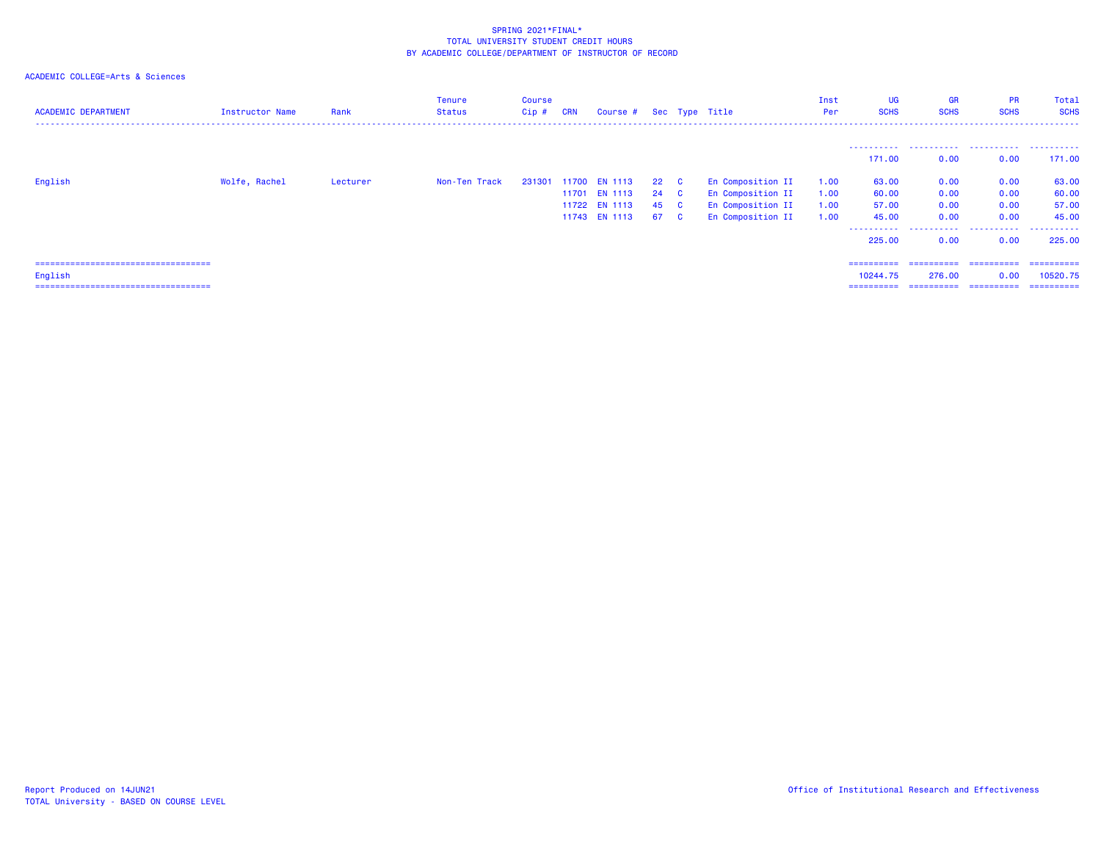| <b>ACADEMIC DEPARTMENT</b>             | Instructor Name | Rank     | Tenure<br>Status | Course<br>$Cip$ # | <b>CRN</b> | Course # Sec Type Title |      |                   | Inst<br>Per | <b>UG</b><br><b>SCHS</b> | <b>GR</b><br><b>SCHS</b> | <b>PR</b><br><b>SCHS</b> | Total<br><b>SCHS</b> |
|----------------------------------------|-----------------|----------|------------------|-------------------|------------|-------------------------|------|-------------------|-------------|--------------------------|--------------------------|--------------------------|----------------------|
|                                        |                 |          |                  |                   |            |                         |      |                   |             |                          |                          |                          |                      |
|                                        |                 |          |                  |                   |            |                         |      |                   |             | 171.00                   | 0.00                     | 0.00                     | 171,00               |
| English                                | Wolfe, Rachel   | Lecturer | Non-Ten Track    |                   |            | 231301 11700 EN 1113    | 22 C | En Composition II | 1.00        | 63.00                    | 0.00                     | 0.00                     | 63.00                |
|                                        |                 |          |                  |                   | 11701      | <b>EN 1113</b>          | 24 C | En Composition II | 1.00        | 60.00                    | 0.00                     | 0.00                     | 60.00                |
|                                        |                 |          |                  |                   |            | 11722 EN 1113           | 45 C | En Composition II | 1.00        | 57.00                    | 0.00                     | 0.00                     | 57.00                |
|                                        |                 |          |                  |                   |            | 11743 EN 1113           | 67 C | En Composition II | 1.00        | 45.00                    | 0.00                     | 0.00                     | 45.00                |
|                                        |                 |          |                  |                   |            |                         |      |                   |             | ----------<br>225,00     | .<br>0.00                | .<br>0.00                | .<br>225,00          |
| ====================================== |                 |          |                  |                   |            |                         |      |                   |             | ==========               |                          |                          | - ==========         |
| English                                |                 |          |                  |                   |            |                         |      |                   |             | 10244.75                 | 276.00                   | 0.00                     | 10520.75             |
| ====================================== |                 |          |                  |                   |            |                         |      |                   |             | ==========               | ==========               | ==========               | ==========           |
|                                        |                 |          |                  |                   |            |                         |      |                   |             |                          |                          |                          |                      |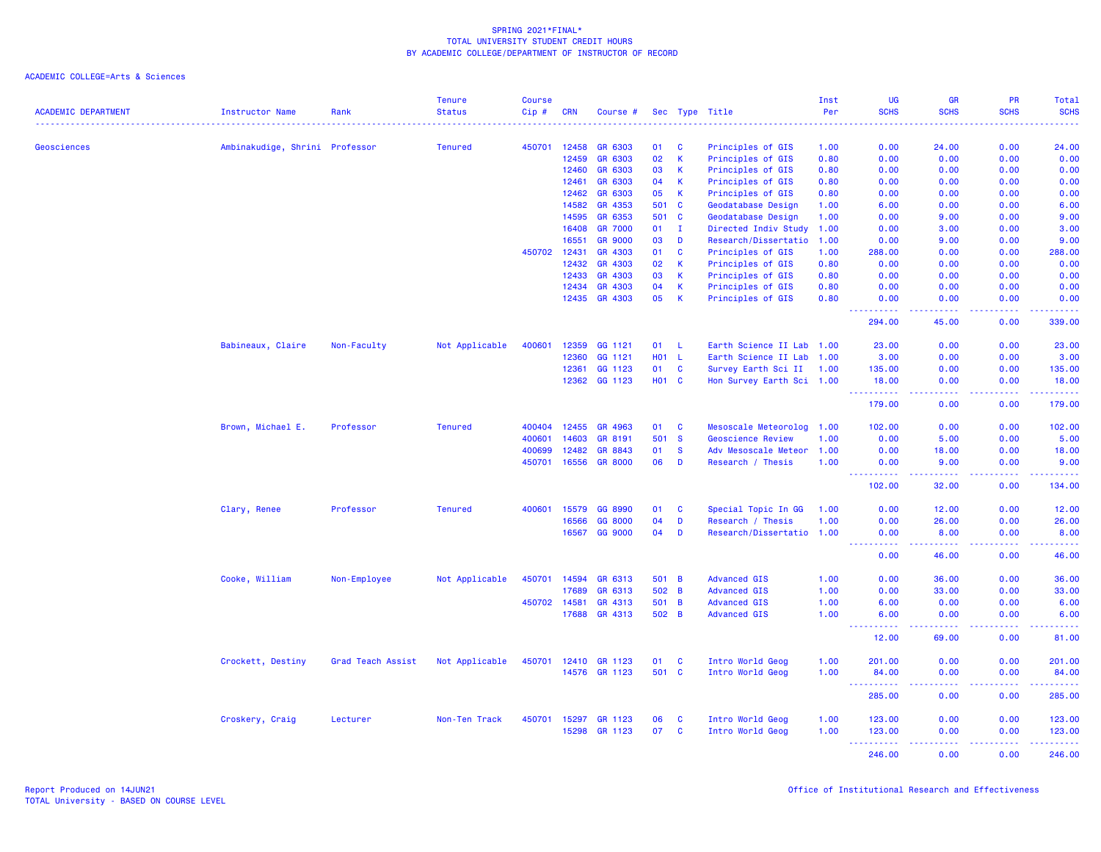| <b>ACADEMIC DEPARTMENT</b> | Instructor Name                | Rank              | <b>Tenure</b><br><b>Status</b> | <b>Course</b><br>Cip# | <b>CRN</b>   | Course #           |              |                      | Sec Type Title                            | Inst<br>Per  | UG<br><b>SCHS</b>                                                                                                                                    | GR<br><b>SCHS</b>                                                                                                                                    | PR<br><b>SCHS</b> | <b>Total</b><br><b>SCHS</b>                                                                                               |
|----------------------------|--------------------------------|-------------------|--------------------------------|-----------------------|--------------|--------------------|--------------|----------------------|-------------------------------------------|--------------|------------------------------------------------------------------------------------------------------------------------------------------------------|------------------------------------------------------------------------------------------------------------------------------------------------------|-------------------|---------------------------------------------------------------------------------------------------------------------------|
|                            |                                |                   |                                |                       |              |                    |              |                      |                                           | . <u>.</u>   | $\frac{1}{2} \left( \frac{1}{2} \right) \left( \frac{1}{2} \right) \left( \frac{1}{2} \right) \left( \frac{1}{2} \right) \left( \frac{1}{2} \right)$ |                                                                                                                                                      | .                 | $\frac{1}{2} \left( \frac{1}{2} \right) \left( \frac{1}{2} \right) \left( \frac{1}{2} \right) \left( \frac{1}{2} \right)$ |
| Geosciences                | Ambinakudige, Shrini Professor |                   | <b>Tenured</b>                 | 450701                | 12458        | GR 6303            | 01           | C                    | Principles of GIS                         | 1.00         | 0.00                                                                                                                                                 | 24.00                                                                                                                                                | 0.00              | 24.00                                                                                                                     |
|                            |                                |                   |                                |                       | 12459        | GR 6303            | 02           | <b>K</b>             | Principles of GIS                         | 0.80         | 0.00                                                                                                                                                 | 0.00                                                                                                                                                 | 0.00              | 0.00                                                                                                                      |
|                            |                                |                   |                                |                       | 12460        | GR 6303            | 03           | $\mathsf{K}$         | Principles of GIS                         | 0.80         | 0.00                                                                                                                                                 | 0.00                                                                                                                                                 | 0.00              | 0.00                                                                                                                      |
|                            |                                |                   |                                |                       | 12461        | GR 6303            | 04           | $\mathsf{K}$         | Principles of GIS                         | 0.80         | 0.00                                                                                                                                                 | 0.00                                                                                                                                                 | 0.00              | 0.00                                                                                                                      |
|                            |                                |                   |                                |                       | 12462        | GR 6303            | 05           | $\mathsf K$          | Principles of GIS                         | 0.80         | 0.00                                                                                                                                                 | 0.00                                                                                                                                                 | 0.00              | 0.00                                                                                                                      |
|                            |                                |                   |                                |                       | 14582        | GR 4353            | 501          | $\mathbf{C}$         | Geodatabase Design                        | 1.00         | 6.00                                                                                                                                                 | 0.00                                                                                                                                                 | 0.00              | 6.00                                                                                                                      |
|                            |                                |                   |                                |                       | 14595        | GR 6353            | 501          | <b>C</b>             | Geodatabase Design                        | 1.00         | 0.00                                                                                                                                                 | 9.00                                                                                                                                                 | 0.00              | 9.00                                                                                                                      |
|                            |                                |                   |                                |                       | 16408        | <b>GR 7000</b>     | 01           | $\mathbf{I}$         | Directed Indiv Study                      | 1.00         | 0.00                                                                                                                                                 | 3.00                                                                                                                                                 | 0.00              | 3.00                                                                                                                      |
|                            |                                |                   |                                |                       | 16551        | <b>GR 9000</b>     | 03           | D                    | Research/Dissertatio                      | 1.00         | 0.00                                                                                                                                                 | 9.00                                                                                                                                                 | 0.00              | 9.00                                                                                                                      |
|                            |                                |                   |                                | 450702                | 12431        | GR 4303            | 01           | C                    | Principles of GIS                         | 1.00         | 288.00                                                                                                                                               | 0.00                                                                                                                                                 | 0.00              | 288.00                                                                                                                    |
|                            |                                |                   |                                |                       | 12432        | GR 4303            | 02           | K                    | Principles of GIS                         | 0.80         | 0.00                                                                                                                                                 | 0.00                                                                                                                                                 | 0.00              | 0.00                                                                                                                      |
|                            |                                |                   |                                |                       | 12433        | GR 4303            | 03           | $\mathsf K$          | Principles of GIS                         | 0.80         | 0.00                                                                                                                                                 | 0.00                                                                                                                                                 | 0.00              | 0.00                                                                                                                      |
|                            |                                |                   |                                |                       | 12434        | GR 4303            | 04           | K                    | Principles of GIS                         | 0.80         | 0.00                                                                                                                                                 | 0.00                                                                                                                                                 | 0.00              | 0.00                                                                                                                      |
|                            |                                |                   |                                |                       | 12435        | GR 4303            | 05           | K                    | Principles of GIS                         | 0.80         | 0.00<br>.                                                                                                                                            | 0.00<br>.                                                                                                                                            | 0.00              | 0.00<br>.                                                                                                                 |
|                            |                                |                   |                                |                       |              |                    |              |                      |                                           |              | 294.00                                                                                                                                               | 45.00                                                                                                                                                | 0.00              | 339.00                                                                                                                    |
|                            | Babineaux, Claire              | Non-Faculty       | Not Applicable                 | 400601                | 12359        | GG 1121            | 01           | - L                  | Earth Science II Lab 1.00                 |              | 23.00                                                                                                                                                | 0.00                                                                                                                                                 | 0.00              | 23.00                                                                                                                     |
|                            |                                |                   |                                |                       | 12360        | GG 1121            | <b>HO1</b>   | - L                  | Earth Science II Lab 1.00                 |              | 3.00                                                                                                                                                 | 0.00                                                                                                                                                 | 0.00              | 3.00                                                                                                                      |
|                            |                                |                   |                                |                       | 12361        | GG 1123            | 01           | $\mathbf{C}$         | Survey Earth Sci II 1.00                  |              | 135.00                                                                                                                                               | 0.00                                                                                                                                                 | 0.00              | 135.00                                                                                                                    |
|                            |                                |                   |                                |                       | 12362        | GG 1123            | <b>HO1 C</b> |                      | Hon Survey Earth Sci 1.00                 |              | 18.00                                                                                                                                                | 0.00                                                                                                                                                 | 0.00              | 18.00                                                                                                                     |
|                            |                                |                   |                                |                       |              |                    |              |                      |                                           |              | 222<br>.<br>179.00                                                                                                                                   | .<br>0.00                                                                                                                                            | 0.00              | .<br>179.00                                                                                                               |
|                            |                                |                   | <b>Tenured</b>                 | 400404                | 12455        |                    | 01           |                      |                                           |              |                                                                                                                                                      |                                                                                                                                                      | 0.00              |                                                                                                                           |
|                            | Brown, Michael E.              | Professor         |                                | 400601                | 14603        | GR 4963<br>GR 8191 | 501          | <b>C</b><br><b>S</b> | Mesoscale Meteorolog                      | 1.00<br>1.00 | 102.00<br>0.00                                                                                                                                       | 0.00<br>5.00                                                                                                                                         | 0.00              | 102.00                                                                                                                    |
|                            |                                |                   |                                | 400699                | 12482        | <b>GR 8843</b>     | 01           | <b>S</b>             | Geoscience Review<br>Adv Mesoscale Meteor | 1.00         | 0.00                                                                                                                                                 |                                                                                                                                                      |                   | 5.00                                                                                                                      |
|                            |                                |                   |                                | 450701                | 16556        | <b>GR 8000</b>     | 06           | D                    | Research / Thesis                         | 1.00         | 0.00                                                                                                                                                 | 18.00<br>9.00                                                                                                                                        | 0.00<br>0.00      | 18.00<br>9.00                                                                                                             |
|                            |                                |                   |                                |                       |              |                    |              |                      |                                           |              | ----------                                                                                                                                           | $\frac{1}{2} \left( \frac{1}{2} \right) \left( \frac{1}{2} \right) \left( \frac{1}{2} \right) \left( \frac{1}{2} \right) \left( \frac{1}{2} \right)$ | .                 | .                                                                                                                         |
|                            |                                |                   |                                |                       |              |                    |              |                      |                                           |              | 102.00                                                                                                                                               | 32.00                                                                                                                                                | 0.00              | 134.00                                                                                                                    |
|                            | Clary, Renee                   | Professor         | <b>Tenured</b>                 | 400601                | 15579        | GG 8990            | 01           | <b>C</b>             | Special Topic In GG                       | 1.00         | 0.00                                                                                                                                                 | 12.00                                                                                                                                                | 0.00              | 12.00                                                                                                                     |
|                            |                                |                   |                                |                       | 16566        | GG 8000            | 04           | D                    | Research / Thesis                         | 1.00         | 0.00                                                                                                                                                 | 26.00                                                                                                                                                | 0.00              | 26.00                                                                                                                     |
|                            |                                |                   |                                |                       | 16567        | GG 9000            | 04           | D                    | Research/Dissertatio 1.00                 |              | 0.00<br>2222                                                                                                                                         | 8.00<br>2222.                                                                                                                                        | 0.00              | 8.00<br>.                                                                                                                 |
|                            |                                |                   |                                |                       |              |                    |              |                      |                                           |              | 0.00                                                                                                                                                 | 46.00                                                                                                                                                | 0.00              | 46.00                                                                                                                     |
|                            | Cooke, William                 | Non-Employee      | Not Applicable                 | 450701                | 14594        | GR 6313            | 501 B        |                      | <b>Advanced GIS</b>                       | 1.00         | 0.00                                                                                                                                                 | 36.00                                                                                                                                                | 0.00              | 36.00                                                                                                                     |
|                            |                                |                   |                                |                       | 17689        | GR 6313            | 502 B        |                      | <b>Advanced GIS</b>                       | 1.00         | 0.00                                                                                                                                                 | 33.00                                                                                                                                                | 0.00              | 33.00                                                                                                                     |
|                            |                                |                   |                                |                       | 450702 14581 | GR 4313            | 501 B        |                      | <b>Advanced GIS</b>                       | 1.00         | 6.00                                                                                                                                                 | 0.00                                                                                                                                                 | 0.00              | 6.00                                                                                                                      |
|                            |                                |                   |                                |                       | 17688        | GR 4313            | 502 B        |                      | <b>Advanced GIS</b>                       | 1.00         | 6.00<br><b>.</b><br>.                                                                                                                                | 0.00<br>.                                                                                                                                            | 0.00<br>22222     | 6.00<br>.                                                                                                                 |
|                            |                                |                   |                                |                       |              |                    |              |                      |                                           |              | 12.00                                                                                                                                                | 69.00                                                                                                                                                | 0.00              | 81.00                                                                                                                     |
|                            | Crockett, Destiny              | Grad Teach Assist | Not Applicable                 | 450701                | 12410        | GR 1123            | 01           | <b>C</b>             | Intro World Geog                          | 1.00         | 201.00                                                                                                                                               | 0.00                                                                                                                                                 | 0.00              | 201.00                                                                                                                    |
|                            |                                |                   |                                |                       |              | 14576 GR 1123      | 501 C        |                      | Intro World Geog                          | 1.00         | 84.00                                                                                                                                                | 0.00                                                                                                                                                 | 0.00              | 84.00                                                                                                                     |
|                            |                                |                   |                                |                       |              |                    |              |                      |                                           |              | 444<br>------<br>285.00                                                                                                                              | بالأباد<br>0.00                                                                                                                                      | .<br>0.00         | ------<br>285.00                                                                                                          |
|                            |                                |                   |                                |                       |              |                    |              |                      |                                           |              |                                                                                                                                                      |                                                                                                                                                      |                   |                                                                                                                           |
|                            | Croskery, Craig                | Lecturer          | Non-Ten Track                  | 450701                | 15297        | GR 1123            | 06           | <b>C</b>             | Intro World Geog                          | 1.00         | 123.00                                                                                                                                               | 0.00                                                                                                                                                 | 0.00              | 123.00                                                                                                                    |
|                            |                                |                   |                                |                       | 15298        | GR 1123            | 07           | $\mathbf{C}$         | Intro World Geog                          | 1.00         | 123.00<br><b><i><u><u> - - - - -</u></u></i></b>                                                                                                     | 0.00<br>$\sim$ $\sim$ $\sim$ $\sim$                                                                                                                  | 0.00<br>المتمالين | 123.00<br>والمواطن المواطن                                                                                                |
|                            |                                |                   |                                |                       |              |                    |              |                      |                                           |              | 246.00                                                                                                                                               | 0.00                                                                                                                                                 | 0.00              | 246,00                                                                                                                    |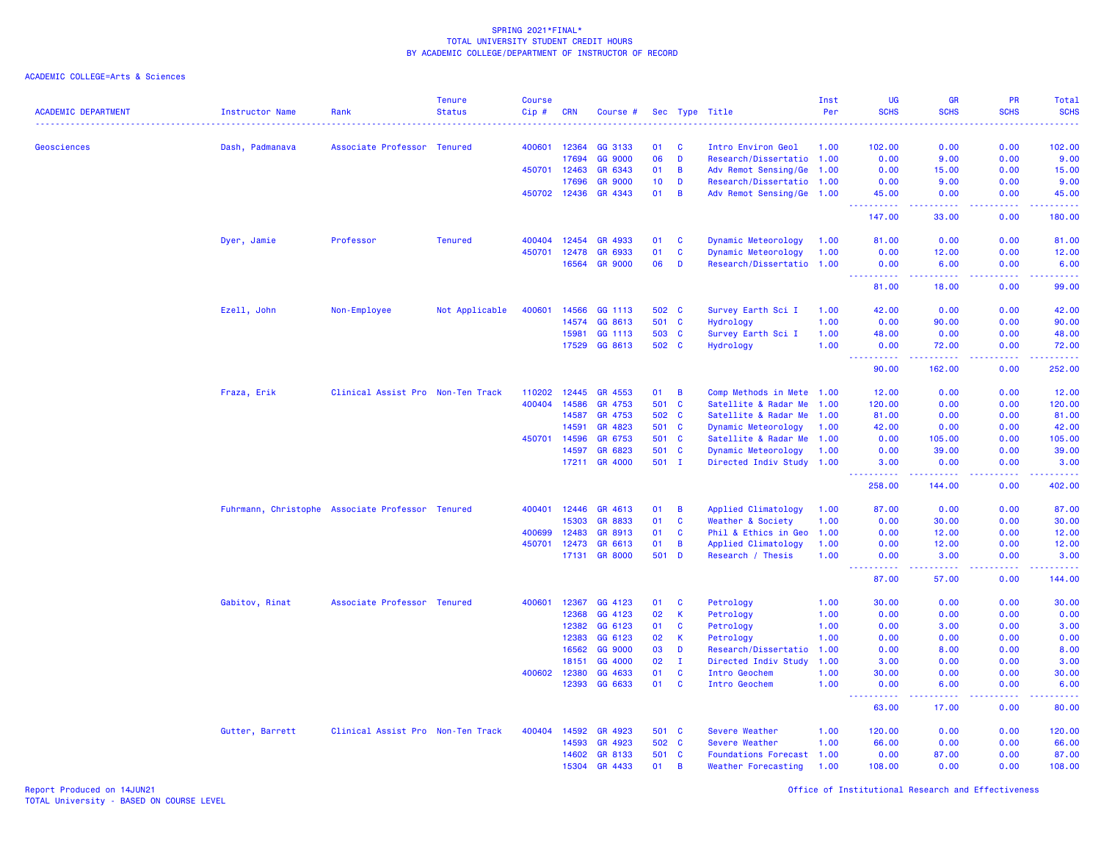| <b>ACADEMIC DEPARTMENT</b> | <b>Instructor Name</b> | Rank                                             | <b>Tenure</b><br><b>Status</b> | <b>Course</b><br>Cip# | <b>CRN</b>   | Course #       |       |                | Sec Type Title            | Inst<br>Per | <b>UG</b><br><b>SCHS</b>                                                                                                                                                             | <b>GR</b><br><b>SCHS</b>               | PR<br><b>SCHS</b> | Total<br><b>SCHS</b><br>.                                                                                                                                    |
|----------------------------|------------------------|--------------------------------------------------|--------------------------------|-----------------------|--------------|----------------|-------|----------------|---------------------------|-------------|--------------------------------------------------------------------------------------------------------------------------------------------------------------------------------------|----------------------------------------|-------------------|--------------------------------------------------------------------------------------------------------------------------------------------------------------|
| Geosciences                | Dash, Padmanava        | Associate Professor Tenured                      |                                | 400601                | 12364        | GG 3133        | 01    | <b>C</b>       | Intro Environ Geol        | 1.00        | 102.00                                                                                                                                                                               | 0.00                                   | 0.00              | 102.00                                                                                                                                                       |
|                            |                        |                                                  |                                |                       | 17694        | GG 9000        | 06    | D              | Research/Dissertatio 1.00 |             | 0.00                                                                                                                                                                                 | 9.00                                   | 0.00              | 9.00                                                                                                                                                         |
|                            |                        |                                                  |                                | 450701 12463          |              | GR 6343        | 01    | $\overline{B}$ | Adv Remot Sensing/Ge 1.00 |             | 0.00                                                                                                                                                                                 | 15.00                                  | 0.00              | 15.00                                                                                                                                                        |
|                            |                        |                                                  |                                |                       | 17696        | <b>GR 9000</b> | 10    | D              | Research/Dissertatio 1.00 |             | 0.00                                                                                                                                                                                 | 9.00                                   | 0.00              | 9.00                                                                                                                                                         |
|                            |                        |                                                  |                                |                       | 450702 12436 | GR 4343        | 01    | $\overline{B}$ | Adv Remot Sensing/Ge 1.00 |             | 45.00<br>المستملة                                                                                                                                                                    | 0.00<br>والمسامات                      | 0.00<br>22222     | 45.00<br>وساعاه سأساط                                                                                                                                        |
|                            |                        |                                                  |                                |                       |              |                |       |                |                           |             | 147.00                                                                                                                                                                               | 33.00                                  | 0.00              | 180.00                                                                                                                                                       |
|                            | Dyer, Jamie            | Professor                                        | <b>Tenured</b>                 | 400404                | 12454        | GR 4933        | 01    | <b>C</b>       | Dynamic Meteorology       | 1.00        | 81.00                                                                                                                                                                                | 0.00                                   | 0.00              | 81.00                                                                                                                                                        |
|                            |                        |                                                  |                                | 450701                | 12478        | GR 6933        | 01    | $\mathbf{C}$   | Dynamic Meteorology       | 1.00        | 0.00                                                                                                                                                                                 | 12.00                                  | 0.00              | 12.00                                                                                                                                                        |
|                            |                        |                                                  |                                |                       | 16564        | <b>GR 9000</b> | 06    | D              | Research/Dissertatio 1.00 |             | 0.00                                                                                                                                                                                 | 6.00<br>22222                          | 0.00<br>.         | 6.00<br>.                                                                                                                                                    |
|                            |                        |                                                  |                                |                       |              |                |       |                |                           |             | 222<br>222222<br>81.00                                                                                                                                                               | 18.00                                  | 0.00              | 99.00                                                                                                                                                        |
|                            | Ezell, John            | Non-Employee                                     | Not Applicable                 | 400601                | 14566        | GG 1113        | 502 C |                | Survey Earth Sci I        | 1.00        | 42.00                                                                                                                                                                                | 0.00                                   | 0.00              | 42.00                                                                                                                                                        |
|                            |                        |                                                  |                                |                       | 14574        | GG 8613        | 501 C |                | Hydrology                 | 1.00        | 0.00                                                                                                                                                                                 | 90.00                                  | 0.00              | 90.00                                                                                                                                                        |
|                            |                        |                                                  |                                |                       | 15981        | GG 1113        | 503   | $\mathbf{C}$   | Survey Earth Sci I        | 1.00        | 48.00                                                                                                                                                                                | 0.00                                   | 0.00              | 48.00                                                                                                                                                        |
|                            |                        |                                                  |                                |                       | 17529        | GG 8613        | 502   | $\mathbf{C}$   | Hydrology                 | 1.00        | 0.00<br>.                                                                                                                                                                            | 72.00<br><b><i><u><u>.</u></u></i></b> | 0.00              | 72.00<br>. <u>.</u> .                                                                                                                                        |
|                            |                        |                                                  |                                |                       |              |                |       |                |                           |             | 90.00                                                                                                                                                                                | 162.00                                 | 0.00              | 252.00                                                                                                                                                       |
|                            | Fraza, Erik            | Clinical Assist Pro Non-Ten Track                |                                | 110202                | 12445        | GR 4553        | 01    | $\overline{B}$ | Comp Methods in Mete 1.00 |             | 12.00                                                                                                                                                                                | 0.00                                   | 0.00              | 12.00                                                                                                                                                        |
|                            |                        |                                                  |                                | 400404                | 14586        | GR 4753        | 501 C |                | Satellite & Radar Me      | 1.00        | 120.00                                                                                                                                                                               | 0.00                                   | 0.00              | 120.00                                                                                                                                                       |
|                            |                        |                                                  |                                |                       | 14587        | GR 4753        | 502 C |                | Satellite & Radar Me 1.00 |             | 81.00                                                                                                                                                                                | 0.00                                   | 0.00              | 81.00                                                                                                                                                        |
|                            |                        |                                                  |                                |                       | 14591        | GR 4823        | 501   | $\mathbf{C}$   | Dynamic Meteorology       | 1.00        | 42.00                                                                                                                                                                                | 0.00                                   | 0.00              | 42.00                                                                                                                                                        |
|                            |                        |                                                  |                                | 450701                | 14596        | GR 6753        | 501   | $\mathbf{C}$   | Satellite & Radar Me 1.00 |             | 0.00                                                                                                                                                                                 | 105.00                                 | 0.00              | 105.00                                                                                                                                                       |
|                            |                        |                                                  |                                |                       | 14597        | GR 6823        | 501 C |                | Dynamic Meteorology       | 1.00        | 0.00                                                                                                                                                                                 | 39.00                                  | 0.00              | 39.00                                                                                                                                                        |
|                            |                        |                                                  |                                |                       | 17211        | GR 4000        | 501 I |                | Directed Indiv Study 1.00 |             | 3.00<br>.                                                                                                                                                                            | 0.00<br>222222                         | 0.00<br>.         | 3.00<br>$\frac{1}{2} \left( \frac{1}{2} \right) \left( \frac{1}{2} \right) \left( \frac{1}{2} \right) \left( \frac{1}{2} \right) \left( \frac{1}{2} \right)$ |
|                            |                        |                                                  |                                |                       |              |                |       |                |                           |             | 258.00                                                                                                                                                                               | 144.00                                 | 0.00              | 402.00                                                                                                                                                       |
|                            |                        | Fuhrmann, Christophe Associate Professor Tenured |                                | 400401                | 12446        | GR 4613        | 01    | B              | Applied Climatology       | 1.00        | 87.00                                                                                                                                                                                | 0.00                                   | 0.00              | 87.00                                                                                                                                                        |
|                            |                        |                                                  |                                |                       | 15303        | GR 8833        | 01    | $\mathbf{C}$   | Weather & Society         | 1.00        | 0.00                                                                                                                                                                                 | 30.00                                  | 0.00              | 30.00                                                                                                                                                        |
|                            |                        |                                                  |                                | 400699                | 12483        | GR 8913        | 01    | $\mathbf{C}$   | Phil & Ethics in Geo      | 1.00        | 0.00                                                                                                                                                                                 | 12.00                                  | 0.00              | 12.00                                                                                                                                                        |
|                            |                        |                                                  |                                | 450701                | 12473        | GR 6613        | 01    | B              | Applied Climatology       | 1.00        | 0.00                                                                                                                                                                                 | 12.00                                  | 0.00              | 12.00                                                                                                                                                        |
|                            |                        |                                                  |                                |                       | 17131        | <b>GR 8000</b> | 501   | <b>D</b>       | Research / Thesis         | 1.00        | 0.00                                                                                                                                                                                 | 3.00                                   | 0.00<br>.         | 3.00<br>.                                                                                                                                                    |
|                            |                        |                                                  |                                |                       |              |                |       |                |                           |             | 87.00                                                                                                                                                                                | 57.00                                  | 0.00              | 144.00                                                                                                                                                       |
|                            | Gabitov, Rinat         | Associate Professor Tenured                      |                                | 400601                | 12367        | GG 4123        | 01    | C              | Petrology                 | 1.00        | 30.00                                                                                                                                                                                | 0.00                                   | 0.00              | 30.00                                                                                                                                                        |
|                            |                        |                                                  |                                |                       | 12368        | GG 4123        | 02    | $\mathsf K$    | Petrology                 | 1.00        | 0.00                                                                                                                                                                                 | 0.00                                   | 0.00              | 0.00                                                                                                                                                         |
|                            |                        |                                                  |                                |                       | 12382        | GG 6123        | 01    | C              | Petrology                 | 1.00        | 0.00                                                                                                                                                                                 | 3.00                                   | 0.00              | 3.00                                                                                                                                                         |
|                            |                        |                                                  |                                |                       | 12383        | GG 6123        | 02    | K              | Petrology                 | 1.00        | 0.00                                                                                                                                                                                 | 0.00                                   | 0.00              | 0.00                                                                                                                                                         |
|                            |                        |                                                  |                                |                       | 16562        | GG 9000        | 03    | D              | Research/Dissertatio      | 1.00        | 0.00                                                                                                                                                                                 | 8.00                                   | 0.00              | 8.00                                                                                                                                                         |
|                            |                        |                                                  |                                |                       | 18151        | GG 4000        | 02    | $\mathbf{I}$   | Directed Indiv Study      | 1.00        | 3.00                                                                                                                                                                                 | 0.00                                   | 0.00              | 3.00                                                                                                                                                         |
|                            |                        |                                                  |                                | 400602                | 12380        | GG 4633        | 01    | $\mathbf{C}$   | Intro Geochem             | 1.00        | 30.00                                                                                                                                                                                | 0.00                                   | 0.00              | 30.00                                                                                                                                                        |
|                            |                        |                                                  |                                |                       | 12393        | GG 6633        | 01    | $\mathbf{C}$   | Intro Geochem             | 1.00        | 0.00<br>$\frac{1}{2} \left( \frac{1}{2} \right) \left( \frac{1}{2} \right) \left( \frac{1}{2} \right) \left( \frac{1}{2} \right) \left( \frac{1}{2} \right)$<br>$\sim$ $\sim$ $\sim$ | 6.00<br><u>.</u>                       | 0.00<br>.         | 6.00<br>.                                                                                                                                                    |
|                            |                        |                                                  |                                |                       |              |                |       |                |                           |             | 63.00                                                                                                                                                                                | 17.00                                  | 0.00              | 80.00                                                                                                                                                        |
|                            | Gutter, Barrett        | Clinical Assist Pro Non-Ten Track                |                                | 400404                | 14592        | GR 4923        | 501 C |                | Severe Weather            | 1.00        | 120.00                                                                                                                                                                               | 0.00                                   | 0.00              | 120.00                                                                                                                                                       |
|                            |                        |                                                  |                                |                       | 14593        | GR 4923        | 502 C |                | Severe Weather            | 1.00        | 66.00                                                                                                                                                                                | 0.00                                   | 0.00              | 66.00                                                                                                                                                        |
|                            |                        |                                                  |                                |                       | 14602        | GR 8133        | 501   | <b>C</b>       | Foundations Forecast 1.00 |             | 0.00                                                                                                                                                                                 | 87.00                                  | 0.00              | 87.00                                                                                                                                                        |
|                            |                        |                                                  |                                |                       | 15304        | GR 4433        | 01    | B              | Weather Forecasting       | 1.00        | 108.00                                                                                                                                                                               | 0.00                                   | 0.00              | 108.00                                                                                                                                                       |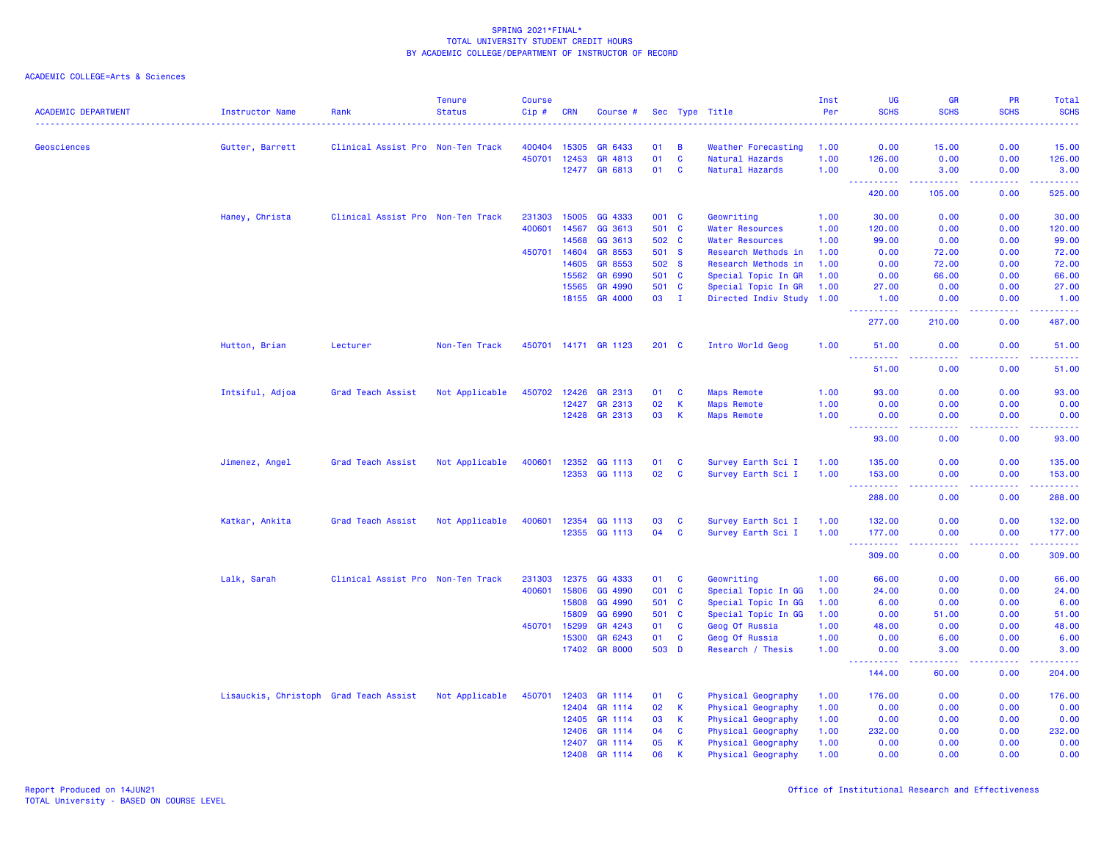| <b>ACADEMIC DEPARTMENT</b> | <b>Instructor Name</b>                 | Rank                              | <b>Tenure</b><br><b>Status</b> | <b>Course</b><br>Cip# | <b>CRN</b>     | Course #             |          |              | Sec Type Title            | Inst<br>Per | UG<br><b>SCHS</b>                                                                                            | <b>GR</b><br><b>SCHS</b>                                                                                                  | <b>PR</b><br><b>SCHS</b>            | Total<br><b>SCHS</b>                |
|----------------------------|----------------------------------------|-----------------------------------|--------------------------------|-----------------------|----------------|----------------------|----------|--------------|---------------------------|-------------|--------------------------------------------------------------------------------------------------------------|---------------------------------------------------------------------------------------------------------------------------|-------------------------------------|-------------------------------------|
| Geosciences                | Gutter, Barrett                        | Clinical Assist Pro Non-Ten Track |                                | 400404                | 15305          | GR 6433              | 01       | B            | Weather Forecasting       | 1.00        | 0.00                                                                                                         | 15.00                                                                                                                     | 0.00                                | 15.00                               |
|                            |                                        |                                   |                                | 450701                | 12453          | GR 4813              | 01       | $\mathbf{C}$ | Natural Hazards           | 1.00        | 126.00                                                                                                       | 0.00                                                                                                                      | 0.00                                | 126.00                              |
|                            |                                        |                                   |                                |                       | 12477          | GR 6813              | 01       | C            | Natural Hazards           | 1.00        | 0.00                                                                                                         | 3.00                                                                                                                      | 0.00                                | 3.00                                |
|                            |                                        |                                   |                                |                       |                |                      |          |              |                           |             | 22222<br>420.00                                                                                              | 105.00                                                                                                                    | $\sim$ $\sim$ $\sim$ $\sim$<br>0.00 | $\omega$ is $\omega$ in .<br>525.00 |
|                            |                                        |                                   |                                |                       |                |                      |          |              |                           |             |                                                                                                              |                                                                                                                           |                                     |                                     |
|                            | Haney, Christa                         | Clinical Assist Pro Non-Ten Track |                                | 231303                | 15005          | GG 4333              | 001 C    |              | Geowriting                | 1.00        | 30.00                                                                                                        | 0.00                                                                                                                      | 0.00                                | 30.00                               |
|                            |                                        |                                   |                                | 400601                | 14567          | GG 3613              | 501 C    |              | Water Resources           | 1.00        | 120.00                                                                                                       | 0.00                                                                                                                      | 0.00                                | 120.00                              |
|                            |                                        |                                   |                                |                       | 14568          | GG 3613              | 502 C    |              | <b>Water Resources</b>    | 1.00        | 99.00                                                                                                        | 0.00                                                                                                                      | 0.00                                | 99.00                               |
|                            |                                        |                                   |                                | 450701                | 14604          | GR 8553              | 501      | <b>S</b>     | Research Methods in       | 1.00        | 0.00                                                                                                         | 72.00                                                                                                                     | 0.00                                | 72.00                               |
|                            |                                        |                                   |                                |                       | 14605          | GR 8553              | 502 S    |              | Research Methods in       | 1.00        | 0.00                                                                                                         | 72.00                                                                                                                     | 0.00                                | 72.00                               |
|                            |                                        |                                   |                                |                       | 15562          | GR 6990              | 501      | $\mathbf{c}$ | Special Topic In GR       | 1.00        | 0.00                                                                                                         | 66.00                                                                                                                     | 0.00                                | 66.00                               |
|                            |                                        |                                   |                                |                       | 15565          | GR 4990              | 501 C    |              | Special Topic In GR       | 1.00        | 27.00                                                                                                        | 0.00                                                                                                                      | 0.00                                | 27.00                               |
|                            |                                        |                                   |                                |                       |                | 18155 GR 4000        | 03       | - I          | Directed Indiv Study 1.00 |             | 1.00<br>.                                                                                                    | 0.00<br>.                                                                                                                 | 0.00<br>.                           | 1.00<br>.                           |
|                            |                                        |                                   |                                |                       |                |                      |          |              |                           |             | 277.00                                                                                                       | 210.00                                                                                                                    | 0.00                                | 487.00                              |
|                            | Hutton, Brian                          | Lecturer                          | Non-Ten Track                  |                       |                | 450701 14171 GR 1123 | $201$ C  |              | Intro World Geog          | 1.00        | 51.00<br>$\frac{1}{2} \left( \frac{1}{2} \right) \left( \frac{1}{2} \right) \left( \frac{1}{2} \right)$<br>. | 0.00<br>.                                                                                                                 | 0.00<br>-----                       | 51.00<br>.                          |
|                            |                                        |                                   |                                |                       |                |                      |          |              |                           |             | 51.00                                                                                                        | 0.00                                                                                                                      | 0.00                                | 51.00                               |
|                            | Intsiful, Adjoa                        | Grad Teach Assist                 | Not Applicable                 | 450702                | 12426          | GR 2313              | 01       | C            | <b>Maps Remote</b>        | 1.00        | 93.00                                                                                                        | 0.00                                                                                                                      | 0.00                                | 93.00                               |
|                            |                                        |                                   |                                |                       | 12427          | GR 2313              | 02       | $\mathsf K$  | <b>Maps Remote</b>        | 1.00        | 0.00                                                                                                         | 0.00                                                                                                                      | 0.00                                | 0.00                                |
|                            |                                        |                                   |                                |                       |                | 12428 GR 2313        | 03       | $\mathsf K$  | <b>Maps Remote</b>        | 1.00        | 0.00                                                                                                         | 0.00                                                                                                                      | 0.00                                | 0.00                                |
|                            |                                        |                                   |                                |                       |                |                      |          |              |                           |             | $\sim$ $\sim$ .<br>93.00                                                                                     | 0.00                                                                                                                      | 0.00                                | 2222.<br>93.00                      |
|                            | Jimenez, Angel                         | Grad Teach Assist                 | Not Applicable                 | 400601                | 12352          | GG 1113              | 01       | C            | Survey Earth Sci I        | 1.00        | 135.00                                                                                                       | 0.00                                                                                                                      | 0.00                                | 135.00                              |
|                            |                                        |                                   |                                |                       | 12353          | GG 1113              | 02       | $\mathbf c$  | Survey Earth Sci I        | 1.00        | 153.00                                                                                                       | 0.00                                                                                                                      | 0.00                                | 153.00                              |
|                            |                                        |                                   |                                |                       |                |                      |          |              |                           |             | 288.00                                                                                                       | 0.00                                                                                                                      | 0.00                                | .<br>288.00                         |
|                            |                                        |                                   |                                |                       |                |                      |          |              |                           |             |                                                                                                              |                                                                                                                           |                                     |                                     |
|                            | Katkar, Ankita                         | Grad Teach Assist                 | Not Applicable                 | 400601                | 12354<br>12355 | GG 1113<br>GG 1113   | 03<br>04 | C<br>C       | Survey Earth Sci I        | 1.00        | 132.00                                                                                                       | 0.00<br>0.00                                                                                                              | 0.00<br>0.00                        | 132.00                              |
|                            |                                        |                                   |                                |                       |                |                      |          |              | Survey Earth Sci I        | 1.00        | 177.00<br>. <u>.</u> .                                                                                       | $\frac{1}{2} \left( \frac{1}{2} \right) \left( \frac{1}{2} \right) \left( \frac{1}{2} \right) \left( \frac{1}{2} \right)$ | .                                   | 177.00<br>222223                    |
|                            |                                        |                                   |                                |                       |                |                      |          |              |                           |             | 309.00                                                                                                       | 0.00                                                                                                                      | 0.00                                | 309.00                              |
|                            | Lalk, Sarah                            | Clinical Assist Pro Non-Ten Track |                                | 231303                | 12375          | GG 4333              | 01       | C            | Geowriting                | 1.00        | 66.00                                                                                                        | 0.00                                                                                                                      | 0.00                                | 66.00                               |
|                            |                                        |                                   |                                | 400601                | 15806          | GG 4990              | CO1      | $\mathbf{C}$ | Special Topic In GG       | 1.00        | 24.00                                                                                                        | 0.00                                                                                                                      | 0.00                                | 24.00                               |
|                            |                                        |                                   |                                |                       | 15808          | GG 4990              | 501      | $\mathbf{C}$ | Special Topic In GG       | 1.00        | 6.00                                                                                                         | 0.00                                                                                                                      | 0.00                                | 6.00                                |
|                            |                                        |                                   |                                |                       | 15809          | GG 6990              | 501      | C            | Special Topic In GG       | 1.00        | 0.00                                                                                                         | 51.00                                                                                                                     | 0.00                                | 51.00                               |
|                            |                                        |                                   |                                | 450701                | 15299          | GR 4243              | 01       | C            | Geog Of Russia            | 1.00        | 48.00                                                                                                        | 0.00                                                                                                                      | 0.00                                | 48.00                               |
|                            |                                        |                                   |                                |                       | 15300          | GR 6243              | 01       | C            | Geog Of Russia            | 1.00        | 0.00                                                                                                         | 6.00                                                                                                                      | 0.00                                | 6.00                                |
|                            |                                        |                                   |                                |                       | 17402          | <b>GR 8000</b>       | 503 D    |              | Research / Thesis         | 1.00        | 0.00<br>22222                                                                                                | 3.00<br>.                                                                                                                 | 0.00<br>.                           | 3.00<br>.                           |
|                            |                                        |                                   |                                |                       |                |                      |          |              |                           |             | 144.00                                                                                                       | 60.00                                                                                                                     | 0.00                                | 204.00                              |
|                            | Lisauckis, Christoph Grad Teach Assist |                                   | Not Applicable                 | 450701                | 12403          | GR 1114              | 01       | C            | Physical Geography        | 1.00        | 176.00                                                                                                       | 0.00                                                                                                                      | 0.00                                | 176.00                              |
|                            |                                        |                                   |                                |                       | 12404          | GR 1114              | 02       | $\mathsf K$  | Physical Geography        | 1.00        | 0.00                                                                                                         | 0.00                                                                                                                      | 0.00                                | 0.00                                |
|                            |                                        |                                   |                                |                       | 12405          | GR 1114              | 03       | K.           | Physical Geography        | 1.00        | 0.00                                                                                                         | 0.00                                                                                                                      | 0.00                                | 0.00                                |
|                            |                                        |                                   |                                |                       | 12406          | GR 1114              | 04       | C            | Physical Geography        | 1.00        | 232.00                                                                                                       | 0.00                                                                                                                      | 0.00                                | 232.00                              |
|                            |                                        |                                   |                                |                       | 12407          | GR 1114              | 05       | $\mathsf K$  | Physical Geography        | 1.00        | 0.00                                                                                                         | 0.00                                                                                                                      | 0.00                                | 0.00                                |
|                            |                                        |                                   |                                |                       | 12408          | GR 1114              | 06       | $\mathbf k$  | Physical Geography        | 1.00        | 0.00                                                                                                         | 0.00                                                                                                                      | 0.00                                | 0.00                                |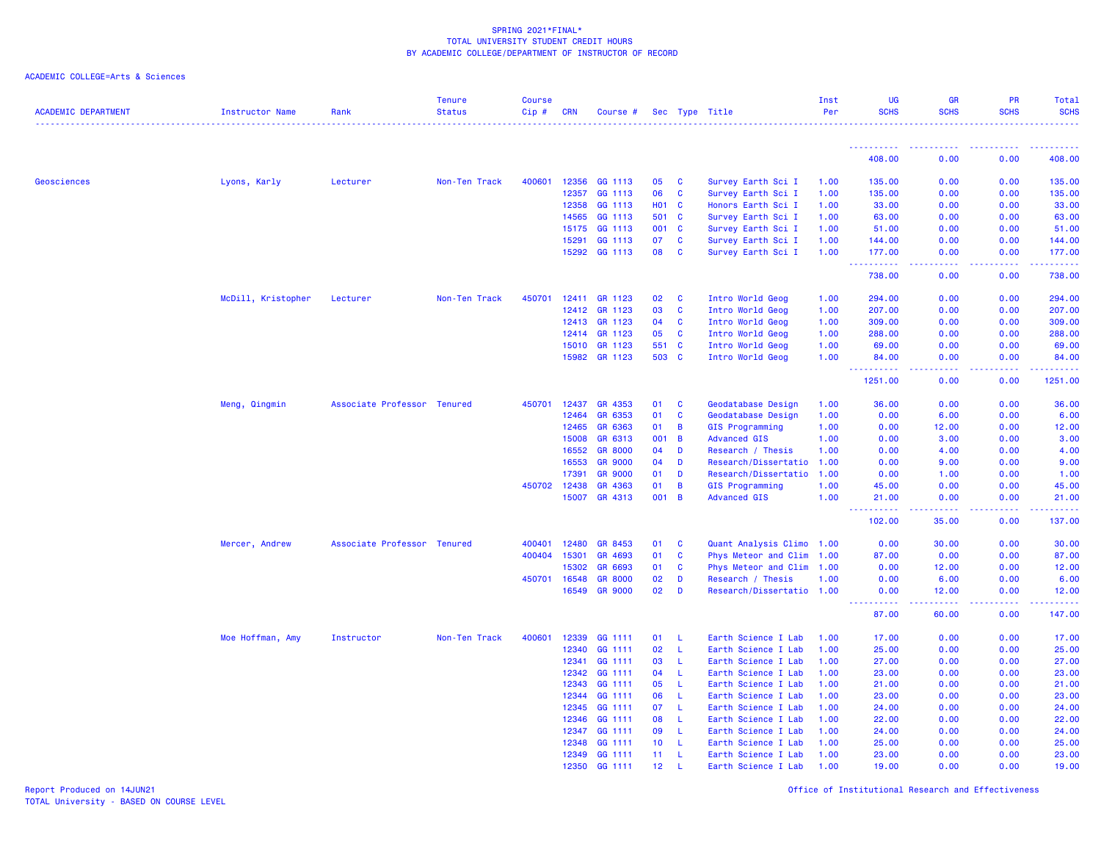# ACADEMIC COLLEGE=Arts & Sciences

| <b>ACADEMIC DEPARTMENT</b> | <b>Instructor Name</b> | Rank                        | <b>Tenure</b><br><b>Status</b> | <b>Course</b><br>Cip# | <b>CRN</b>   | Course #       |                 |                | Sec Type Title            | Inst<br>Per | <b>UG</b><br><b>SCHS</b>   | <b>GR</b><br><b>SCHS</b>                         | <b>PR</b><br><b>SCHS</b> | Total<br><b>SCHS</b>                                                                                                                                           |
|----------------------------|------------------------|-----------------------------|--------------------------------|-----------------------|--------------|----------------|-----------------|----------------|---------------------------|-------------|----------------------------|--------------------------------------------------|--------------------------|----------------------------------------------------------------------------------------------------------------------------------------------------------------|
|                            |                        |                             |                                |                       |              |                |                 |                |                           |             | ----------                 | <b><i><u><u> - - - - - - - - - -</u></u></i></b> | <b></b>                  | .<br>.                                                                                                                                                         |
|                            |                        |                             |                                |                       |              |                |                 |                |                           |             | 408.00                     | 0.00                                             | 0.00                     | 408.00                                                                                                                                                         |
| Geosciences                | Lyons, Karly           | Lecturer                    | Non-Ten Track                  | 400601                | 12356        | GG 1113        | 05              | <b>C</b>       | Survey Earth Sci I        | 1.00        | 135,00                     | 0.00                                             | 0.00                     | 135.00                                                                                                                                                         |
|                            |                        |                             |                                |                       | 12357        | GG 1113        | 06              | <b>C</b>       | Survey Earth Sci I        | 1.00        | 135.00                     | 0.00                                             | 0.00                     | 135.00                                                                                                                                                         |
|                            |                        |                             |                                |                       | 12358        | GG 1113        | <b>HO1 C</b>    |                | Honors Earth Sci I        | 1.00        | 33.00                      | 0.00                                             | 0.00                     | 33.00                                                                                                                                                          |
|                            |                        |                             |                                |                       | 14565        | GG 1113        | 501             | <b>C</b>       | Survey Earth Sci I        | 1.00        | 63.00                      | 0.00                                             | 0.00                     | 63.00                                                                                                                                                          |
|                            |                        |                             |                                |                       | 15175        | GG 1113        | 001             | $\mathbf{C}$   | Survey Earth Sci I        | 1.00        | 51.00                      | 0.00                                             | 0.00                     | 51.00                                                                                                                                                          |
|                            |                        |                             |                                |                       | 15291        | GG 1113        | 07              | $\mathbf{C}$   | Survey Earth Sci I        | 1.00        | 144.00                     | 0.00                                             | 0.00                     | 144.00                                                                                                                                                         |
|                            |                        |                             |                                |                       | 15292        | GG 1113        | 08              | C              | Survey Earth Sci I        | 1.00        | 177.00<br>.                | 0.00<br>$\omega$ is a $\omega$                   | 0.00<br>.                | 177.00<br>$\frac{1}{2} \left( \frac{1}{2} \right) \left( \frac{1}{2} \right) \left( \frac{1}{2} \right) \left( \frac{1}{2} \right) \left( \frac{1}{2} \right)$ |
|                            |                        |                             |                                |                       |              |                |                 |                |                           |             | 738.00                     | 0.00                                             | 0.00                     | 738.00                                                                                                                                                         |
|                            | McDill, Kristopher     | Lecturer                    | Non-Ten Track                  | 450701                | 12411        | GR 1123        | 02              | $\mathbf{C}$   | Intro World Geog          | 1.00        | 294.00                     | 0.00                                             | 0.00                     | 294.00                                                                                                                                                         |
|                            |                        |                             |                                |                       | 12412        | GR 1123        | 03              | <b>C</b>       | Intro World Geog          | 1.00        | 207.00                     | 0.00                                             | 0.00                     | 207.00                                                                                                                                                         |
|                            |                        |                             |                                |                       | 12413        | GR 1123        | 04              | $\mathbf{C}$   | Intro World Geog          | 1.00        | 309.00                     | 0.00                                             | 0.00                     | 309.00                                                                                                                                                         |
|                            |                        |                             |                                |                       | 12414        | GR 1123        | 05              | $\mathbf{C}$   | Intro World Geog          | 1.00        | 288.00                     | 0.00                                             | 0.00                     | 288.00                                                                                                                                                         |
|                            |                        |                             |                                |                       | 15010        | GR 1123        | 551             | $\mathbf{C}$   | Intro World Geog          | 1.00        | 69.00                      | 0.00                                             | 0.00                     | 69.00                                                                                                                                                          |
|                            |                        |                             |                                |                       |              | 15982 GR 1123  | 503 C           |                | Intro World Geog          | 1.00        | 84.00<br><u>.</u>          | 0.00<br>.                                        | 0.00<br>22222            | 84.00<br>.                                                                                                                                                     |
|                            |                        |                             |                                |                       |              |                |                 |                |                           |             | 1251.00                    | 0.00                                             | 0.00                     | 1251.00                                                                                                                                                        |
|                            | Meng, Qingmin          | Associate Professor Tenured |                                | 450701                | 12437        | GR 4353        | 01              | <b>C</b>       | Geodatabase Design        | 1.00        | 36.00                      | 0.00                                             | 0.00                     | 36.00                                                                                                                                                          |
|                            |                        |                             |                                |                       | 12464        | GR 6353        | 01              | $\mathbf{C}$   | Geodatabase Design        | 1.00        | 0.00                       | 6.00                                             | 0.00                     | 6.00                                                                                                                                                           |
|                            |                        |                             |                                |                       | 12465        | GR 6363        | 01              | $\overline{B}$ | GIS Programming           | 1.00        | 0.00                       | 12.00                                            | 0.00                     | 12.00                                                                                                                                                          |
|                            |                        |                             |                                |                       | 15008        | GR 6313        | 001             | $\overline{B}$ | <b>Advanced GIS</b>       | 1.00        | 0.00                       | 3.00                                             | 0.00                     | 3.00                                                                                                                                                           |
|                            |                        |                             |                                |                       | 16552        | <b>GR 8000</b> | 04              | D              | Research / Thesis         | 1.00        | 0.00                       | 4.00                                             | 0.00                     | 4.00                                                                                                                                                           |
|                            |                        |                             |                                |                       | 16553        | <b>GR 9000</b> | 04              | D              | Research/Dissertatio      | 1.00        | 0.00                       | 9.00                                             | 0.00                     | 9.00                                                                                                                                                           |
|                            |                        |                             |                                |                       | 17391        | <b>GR 9000</b> | 01              | D              | Research/Dissertatio      | 1.00        | 0.00                       | 1.00                                             | 0.00                     | 1.00                                                                                                                                                           |
|                            |                        |                             |                                |                       | 450702 12438 | GR 4363        | 01              | $\overline{B}$ | GIS Programming           | 1.00        | 45.00                      | 0.00                                             | 0.00                     | 45.00                                                                                                                                                          |
|                            |                        |                             |                                |                       | 15007        | GR 4313        | 001             | $\overline{B}$ | <b>Advanced GIS</b>       | 1.00        | 21.00<br><u>.</u><br>- - - | 0.00<br>22222                                    | 0.00<br>22222            | 21.00<br><u>.</u>                                                                                                                                              |
|                            |                        |                             |                                |                       |              |                |                 |                |                           |             | 102.00                     | 35.00                                            | 0.00                     | 137.00                                                                                                                                                         |
|                            | Mercer, Andrew         | Associate Professor Tenured |                                | 400401                | 12480        | GR 8453        | 01              | <b>C</b>       | Quant Analysis Climo 1.00 |             | 0.00                       | 30.00                                            | 0.00                     | 30.00                                                                                                                                                          |
|                            |                        |                             |                                | 400404                | 15301        | GR 4693        | 01              | $\mathbf{C}$   | Phys Meteor and Clim 1.00 |             | 87.00                      | 0.00                                             | 0.00                     | 87.00                                                                                                                                                          |
|                            |                        |                             |                                |                       | 15302        | GR 6693        | 01              | C              | Phys Meteor and Clim 1.00 |             | 0.00                       | 12.00                                            | 0.00                     | 12.00                                                                                                                                                          |
|                            |                        |                             |                                | 450701                | 16548        | <b>GR 8000</b> | 02              | D              | Research / Thesis         | 1.00        | 0.00                       | 6.00                                             | 0.00                     | 6.00                                                                                                                                                           |
|                            |                        |                             |                                |                       | 16549        | <b>GR 9000</b> | 02              | D              | Research/Dissertatio 1.00 |             | 0.00<br>.                  | 12.00<br>.                                       | 0.00                     | 12.00<br>.                                                                                                                                                     |
|                            |                        |                             |                                |                       |              |                |                 |                |                           |             | 87.00                      | 60.00                                            | 0.00                     | 147.00                                                                                                                                                         |
|                            | Moe Hoffman, Amy       | Instructor                  | Non-Ten Track                  | 400601                | 12339        | GG 1111        | 01              | - L            | Earth Science I Lab       | 1.00        | 17.00                      | 0.00                                             | 0.00                     | 17.00                                                                                                                                                          |
|                            |                        |                             |                                |                       | 12340        | GG 1111        | 02              | -L             | Earth Science I Lab       | 1.00        | 25.00                      | 0.00                                             | 0.00                     | 25.00                                                                                                                                                          |
|                            |                        |                             |                                |                       | 12341        | GG 1111        | 03              | -L             | Earth Science I Lab       | 1.00        | 27.00                      | 0.00                                             | 0.00                     | 27.00                                                                                                                                                          |
|                            |                        |                             |                                |                       | 12342        | GG 1111        | 04              | <b>L</b>       | Earth Science I Lab       | 1.00        | 23.00                      | 0.00                                             | 0.00                     | 23.00                                                                                                                                                          |
|                            |                        |                             |                                |                       | 12343        | GG 1111        | 05              | -L.            | Earth Science I Lab       | 1.00        | 21,00                      | 0.00                                             | 0.00                     | 21.00                                                                                                                                                          |
|                            |                        |                             |                                |                       | 12344        | GG 1111        | 06              | -L             | Earth Science I Lab       | 1.00        | 23.00                      | 0.00                                             | 0.00                     | 23.00                                                                                                                                                          |
|                            |                        |                             |                                |                       | 12345        | GG 1111        | 07              | -L             | Earth Science I Lab       | 1.00        | 24.00                      | 0.00                                             | 0.00                     | 24.00                                                                                                                                                          |
|                            |                        |                             |                                |                       | 12346        | GG 1111        | 08              | -L             | Earth Science I Lab       | 1.00        | 22.00                      | 0.00                                             | 0.00                     | 22.00                                                                                                                                                          |
|                            |                        |                             |                                |                       | 12347        | GG 1111        | 09              | -L             | Earth Science I Lab       | 1.00        | 24.00                      | 0.00                                             | 0.00                     | 24.00                                                                                                                                                          |
|                            |                        |                             |                                |                       | 12348        | GG 1111        | 10              | -L             | Earth Science I Lab       | 1.00        | 25.00                      | 0.00                                             | 0.00                     | 25.00                                                                                                                                                          |
|                            |                        |                             |                                |                       | 12349        | GG 1111        | 11              | -L             | Earth Science I Lab       | 1.00        | 23.00                      | 0.00                                             | 0.00                     | 23.00                                                                                                                                                          |
|                            |                        |                             |                                |                       | 12350        | GG 1111        | 12 <sup>2</sup> |                | Earth Science I Lab       | 1.00        | 19.00                      | 0.00                                             | 0.00                     | 19.00                                                                                                                                                          |

Report Produced on 14JUN21 Office of Institutional Research and Effectiveness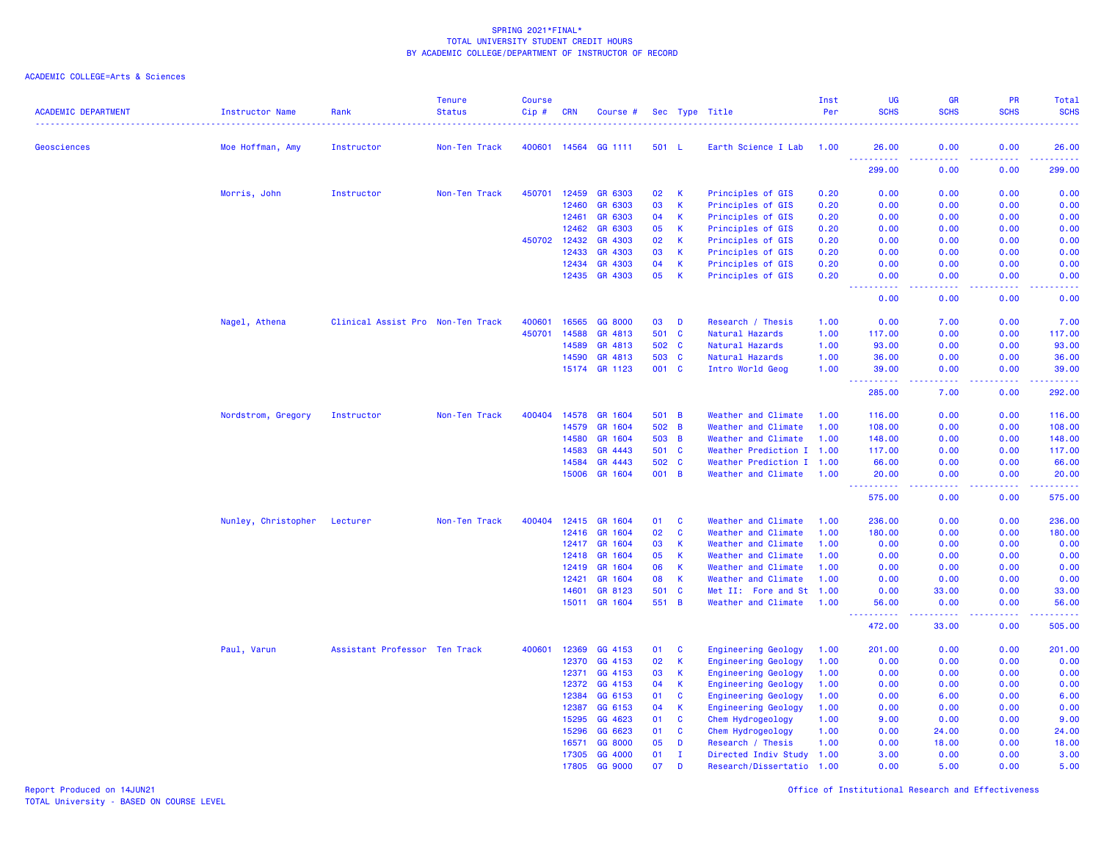# ACADEMIC COLLEGE=Arts & Sciences

| <b>ACADEMIC DEPARTMENT</b> | Instructor Name     | Rank                              | <b>Tenure</b><br><b>Status</b> | <b>Course</b><br>Cip# | <b>CRN</b> | Course #                 |              |                | Sec Type Title                             | Inst<br>Per  | <b>UG</b><br><b>SCHS</b>                                                                                                                                                               | <b>GR</b><br><b>SCHS</b> | <b>PR</b><br><b>SCHS</b>                                                                               | <b>Total</b><br><b>SCHS</b><br>. |
|----------------------------|---------------------|-----------------------------------|--------------------------------|-----------------------|------------|--------------------------|--------------|----------------|--------------------------------------------|--------------|----------------------------------------------------------------------------------------------------------------------------------------------------------------------------------------|--------------------------|--------------------------------------------------------------------------------------------------------|----------------------------------|
| Geosciences                | Moe Hoffman, Amy    | Instructor                        | Non-Ten Track                  | 400601                | 14564      | GG 1111                  | 501 L        |                | Earth Science I Lab                        | 1.00         | 26.00                                                                                                                                                                                  | 0.00                     | 0.00                                                                                                   | 26.00                            |
|                            |                     |                                   |                                |                       |            |                          |              |                |                                            |              | $\sim$ $\sim$ $\sim$<br>$\frac{1}{2} \left( \frac{1}{2} \right) \left( \frac{1}{2} \right) \left( \frac{1}{2} \right) \left( \frac{1}{2} \right) \left( \frac{1}{2} \right)$<br>299.00 | 0.00                     | 0.00                                                                                                   | .<br>299.00                      |
|                            | Morris, John        | Instructor                        | Non-Ten Track                  | 450701                | 12459      | GR 6303                  | 02           | K              | Principles of GIS                          | 0.20         | 0.00                                                                                                                                                                                   | 0.00                     | 0.00                                                                                                   | 0.00                             |
|                            |                     |                                   |                                |                       | 12460      | GR 6303                  | 03           | К              | Principles of GIS                          | 0.20         | 0.00                                                                                                                                                                                   | 0.00                     | 0.00                                                                                                   | 0.00                             |
|                            |                     |                                   |                                |                       | 12461      | GR 6303                  | 04           | К              | Principles of GIS                          | 0.20         | 0.00                                                                                                                                                                                   | 0.00                     | 0.00                                                                                                   | 0.00                             |
|                            |                     |                                   |                                |                       | 12462      | GR 6303                  | 05           | К              | Principles of GIS                          | 0.20         | 0.00                                                                                                                                                                                   | 0.00                     | 0.00                                                                                                   | 0.00                             |
|                            |                     |                                   |                                | 450702                | 12432      | GR 4303                  | 02           | $\mathsf{K}$   | Principles of GIS                          | 0.20         | 0.00                                                                                                                                                                                   | 0.00                     | 0.00                                                                                                   | 0.00                             |
|                            |                     |                                   |                                |                       | 12433      | GR 4303                  | 03           | K              | Principles of GIS                          | 0.20         | 0.00                                                                                                                                                                                   | 0.00                     | 0.00                                                                                                   | 0.00                             |
|                            |                     |                                   |                                |                       | 12434      | GR 4303                  | 04           | K              | Principles of GIS                          | 0.20         | 0.00                                                                                                                                                                                   | 0.00                     | 0.00                                                                                                   | 0.00                             |
|                            |                     |                                   |                                |                       | 12435      | GR 4303                  | 05           | K              | Principles of GIS                          | 0.20         | 0.00<br>$\sim$ $\sim$ $\sim$<br>.                                                                                                                                                      | 0.00<br>.                | 0.00<br>$\frac{1}{2} \left( \frac{1}{2} \right) \left( \frac{1}{2} \right) \left( \frac{1}{2} \right)$ | 0.00<br>.                        |
|                            |                     |                                   |                                |                       |            |                          |              |                |                                            |              | 0.00                                                                                                                                                                                   | 0.00                     | 0.00                                                                                                   | 0.00                             |
|                            | Nagel, Athena       | Clinical Assist Pro Non-Ten Track |                                | 400601                | 16565      | GG 8000                  | 03           | D              | Research / Thesis                          | 1.00         | 0.00                                                                                                                                                                                   | 7.00                     | 0.00                                                                                                   | 7.00                             |
|                            |                     |                                   |                                | 450701                | 14588      | GR 4813                  | 501          | $\mathbf{C}$   | Natural Hazards                            | 1.00         | 117.00                                                                                                                                                                                 | 0.00                     | 0.00                                                                                                   | 117.00                           |
|                            |                     |                                   |                                |                       | 14589      | GR 4813                  | 502          | $\mathbf{C}$   | Natural Hazards                            | 1.00         | 93.00                                                                                                                                                                                  | 0.00                     | 0.00                                                                                                   | 93.00                            |
|                            |                     |                                   |                                |                       | 14590      | GR 4813                  | 503          | <b>C</b>       | Natural Hazards                            | 1.00         | 36.00                                                                                                                                                                                  | 0.00                     | 0.00                                                                                                   | 36.00                            |
|                            |                     |                                   |                                |                       | 15174      | GR 1123                  | 001          | <b>C</b>       | Intro World Geog                           | 1.00         | 39.00<br>$\frac{1}{2} \left( \frac{1}{2} \right) \left( \frac{1}{2} \right) \left( \frac{1}{2} \right) \left( \frac{1}{2} \right) \left( \frac{1}{2} \right)$                          | 0.00<br>.                | 0.00<br>.                                                                                              | 39.00<br>.                       |
|                            |                     |                                   |                                |                       |            |                          |              |                |                                            |              | 285.00                                                                                                                                                                                 | 7.00                     | 0.00                                                                                                   | 292.00                           |
|                            | Nordstrom, Gregory  | Instructor                        | Non-Ten Track                  | 400404                | 14578      | GR 1604                  | 501          | B              | Weather and Climate                        | 1.00         | 116.00                                                                                                                                                                                 | 0.00                     | 0.00                                                                                                   | 116.00                           |
|                            |                     |                                   |                                |                       | 14579      | GR 1604                  | 502          | B              | Weather and Climate                        | 1.00         | 108.00                                                                                                                                                                                 | 0.00                     | 0.00                                                                                                   | 108.00                           |
|                            |                     |                                   |                                |                       | 14580      | GR 1604                  | 503          | B              | Weather and Climate                        | 1.00         | 148.00                                                                                                                                                                                 | 0.00                     | 0.00                                                                                                   | 148.00                           |
|                            |                     |                                   |                                |                       | 14583      | GR 4443                  | 501          | C              | Weather Prediction I 1.00                  |              | 117.00                                                                                                                                                                                 | 0.00                     | 0.00                                                                                                   | 117.00                           |
|                            |                     |                                   |                                |                       | 14584      | GR 4443                  | 502          | C              | Weather Prediction I                       | 1.00         | 66.00                                                                                                                                                                                  | 0.00                     | 0.00                                                                                                   | 66.00                            |
|                            |                     |                                   |                                |                       | 15006      | GR 1604                  | 001          | $\overline{B}$ | Weather and Climate                        | 1.00         | 20.00<br><u> - - - - - - - - - -</u>                                                                                                                                                   | 0.00<br>.                | 0.00<br>.                                                                                              | 20.00<br>.                       |
|                            |                     |                                   |                                |                       |            |                          |              |                |                                            |              | 575.00                                                                                                                                                                                 | 0.00                     | 0.00                                                                                                   | 575.00                           |
|                            | Nunley, Christopher | Lecturer                          | Non-Ten Track                  | 400404                | 12415      | GR 1604                  | 01           | C              | Weather and Climate                        | 1.00         | 236.00                                                                                                                                                                                 | 0.00                     | 0.00                                                                                                   | 236.00                           |
|                            |                     |                                   |                                |                       | 12416      | GR 1604                  | 02           | $\mathbf c$    | Weather and Climate                        | 1.00         | 180.00                                                                                                                                                                                 | 0.00                     | 0.00                                                                                                   | 180.00                           |
|                            |                     |                                   |                                |                       | 12417      | GR 1604                  | 03           | K              | Weather and Climate                        | 1.00         | 0.00                                                                                                                                                                                   | 0.00                     | 0.00                                                                                                   | 0.00                             |
|                            |                     |                                   |                                |                       | 12418      | GR 1604                  | 05           | К              | Weather and Climate                        | 1.00         | 0.00                                                                                                                                                                                   | 0.00                     | 0.00                                                                                                   | 0.00                             |
|                            |                     |                                   |                                |                       | 12419      | GR 1604                  | 06           | $\mathsf K$    | Weather and Climate                        | 1.00         | 0.00                                                                                                                                                                                   | 0.00                     | 0.00                                                                                                   | 0.00                             |
|                            |                     |                                   |                                |                       | 12421      | GR 1604                  | 08           | K              | Weather and Climate                        | 1.00         | 0.00                                                                                                                                                                                   | 0.00                     | 0.00                                                                                                   | 0.00                             |
|                            |                     |                                   |                                |                       | 14601      | GR 8123<br>15011 GR 1604 | 501<br>551 B | $\mathbf{C}$   | Met II: Fore and St<br>Weather and Climate | 1.00<br>1.00 | 0.00<br>56.00                                                                                                                                                                          | 33.00<br>0.00            | 0.00<br>0.00                                                                                           | 33.00<br>56.00                   |
|                            |                     |                                   |                                |                       |            |                          |              |                |                                            |              | المتمام المتحدة<br>472.00                                                                                                                                                              | 33.00                    | والمستناء<br>0.00                                                                                      | وعاعاها<br>505.00                |
|                            | Paul, Varun         | Assistant Professor Ten Track     |                                | 400601                | 12369      | GG 4153                  | 01           | C              | <b>Engineering Geology</b>                 | 1.00         | 201.00                                                                                                                                                                                 | 0.00                     | 0.00                                                                                                   | 201.00                           |
|                            |                     |                                   |                                |                       | 12370      | GG 4153                  | 02           | $\mathsf K$    | Engineering Geology                        | 1.00         | 0.00                                                                                                                                                                                   | 0.00                     | 0.00                                                                                                   | 0.00                             |
|                            |                     |                                   |                                |                       | 12371      | GG 4153                  | 03           | $\mathsf{K}$   | <b>Engineering Geology</b>                 | 1.00         | 0.00                                                                                                                                                                                   | 0.00                     | 0.00                                                                                                   | 0.00                             |
|                            |                     |                                   |                                |                       | 12372      | GG 4153                  | 04           | K              | <b>Engineering Geology</b>                 | 1.00         | 0.00                                                                                                                                                                                   | 0.00                     | 0.00                                                                                                   | 0.00                             |
|                            |                     |                                   |                                |                       | 12384      | GG 6153                  | 01           | C              | Engineering Geology                        | 1.00         | 0.00                                                                                                                                                                                   | 6.00                     | 0.00                                                                                                   | 6.00                             |
|                            |                     |                                   |                                |                       | 12387      | GG 6153                  | 04           | К              | <b>Engineering Geology</b>                 | 1.00         | 0.00                                                                                                                                                                                   | 0.00                     | 0.00                                                                                                   | 0.00                             |
|                            |                     |                                   |                                |                       | 15295      | GG 4623                  | 01           | $\mathbf{C}$   | Chem Hydrogeology                          | 1.00         | 9.00                                                                                                                                                                                   | 0.00                     | 0.00                                                                                                   | 9.00                             |
|                            |                     |                                   |                                |                       | 15296      | GG 6623                  | 01           | C              | Chem Hydrogeology                          | 1.00         | 0.00                                                                                                                                                                                   | 24.00                    | 0.00                                                                                                   | 24.00                            |
|                            |                     |                                   |                                |                       | 16571      | GG 8000                  | 05           | D              | Research / Thesis                          | 1.00         | 0.00                                                                                                                                                                                   | 18.00                    | 0.00                                                                                                   | 18.00                            |
|                            |                     |                                   |                                |                       | 17305      | GG 4000                  | 01           | $\mathbf I$    | Directed Indiv Study 1.00                  |              | 3.00                                                                                                                                                                                   | 0.00                     | 0.00                                                                                                   | 3.00                             |
|                            |                     |                                   |                                |                       | 17805      | GG 9000                  | 07           | D              | Research/Dissertatio 1.00                  |              | 0.00                                                                                                                                                                                   | 5.00                     | 0.00                                                                                                   | 5.00                             |

Report Produced on 14JUN21 Office of Institutional Research and Effectiveness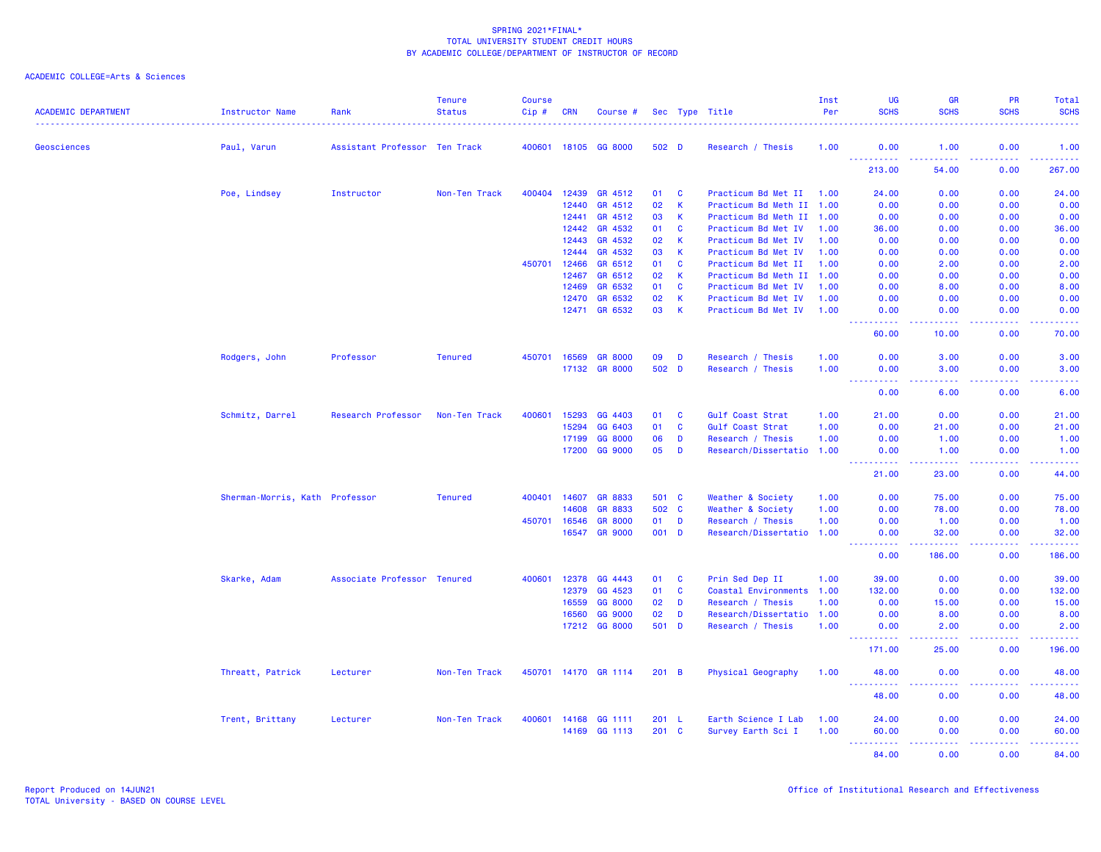| <b>ACADEMIC DEPARTMENT</b> | <b>Instructor Name</b>         | Rank                          | <b>Tenure</b><br><b>Status</b> | <b>Course</b><br>$Cip \#$ | <b>CRN</b> | Course #             |               |              | Sec Type Title            | Inst<br>Per | UG<br><b>SCHS</b>                                                                                                                 | <b>GR</b><br><b>SCHS</b>                                                                                                          | <b>PR</b><br><b>SCHS</b> | Total<br><b>SCHS</b> |
|----------------------------|--------------------------------|-------------------------------|--------------------------------|---------------------------|------------|----------------------|---------------|--------------|---------------------------|-------------|-----------------------------------------------------------------------------------------------------------------------------------|-----------------------------------------------------------------------------------------------------------------------------------|--------------------------|----------------------|
| Geosciences                | Paul, Varun                    | Assistant Professor Ten Track |                                |                           |            | 400601 18105 GG 8000 | 502 D         |              | Research / Thesis         | 1.00        | 0.00                                                                                                                              | 1.00                                                                                                                              | 0.00                     | 1.00                 |
|                            |                                |                               |                                |                           |            |                      |               |              |                           |             | ----------<br>213.00                                                                                                              | والمستوات<br>54.00                                                                                                                | .<br>0.00                | <u>.</u><br>267.00   |
|                            | Poe, Lindsey                   | Instructor                    | Non-Ten Track                  | 400404                    | 12439      | GR 4512              | 01            | $\mathbf{C}$ | Practicum Bd Met II       | 1.00        | 24.00                                                                                                                             | 0.00                                                                                                                              | 0.00                     | 24.00                |
|                            |                                |                               |                                |                           | 12440      | GR 4512              | 02            | $\mathsf K$  | Practicum Bd Meth II 1.00 |             | 0.00                                                                                                                              | 0.00                                                                                                                              | 0.00                     | 0.00                 |
|                            |                                |                               |                                |                           | 12441      | GR 4512              | 03            | K            | Practicum Bd Meth II 1.00 |             | 0.00                                                                                                                              | 0.00                                                                                                                              | 0.00                     | 0.00                 |
|                            |                                |                               |                                |                           | 12442      | GR 4532              | 01            | $\mathbf{C}$ | Practicum Bd Met IV       | 1.00        | 36.00                                                                                                                             | 0.00                                                                                                                              | 0.00                     | 36.00                |
|                            |                                |                               |                                |                           | 12443      | GR 4532              | 02            | $\mathsf K$  | Practicum Bd Met IV       | 1.00        | 0.00                                                                                                                              | 0.00                                                                                                                              | 0.00                     | 0.00                 |
|                            |                                |                               |                                |                           | 12444      | GR 4532              | 03            | $\mathsf K$  | Practicum Bd Met IV       | 1.00        | 0.00                                                                                                                              | 0.00                                                                                                                              | 0.00                     | 0.00                 |
|                            |                                |                               |                                | 450701                    | 12466      | GR 6512              | 01            | <b>C</b>     | Practicum Bd Met II       | 1.00        | 0.00                                                                                                                              | 2.00                                                                                                                              | 0.00                     | 2.00                 |
|                            |                                |                               |                                |                           | 12467      | GR 6512              | 02            | К            | Practicum Bd Meth II 1.00 |             | 0.00                                                                                                                              | 0.00                                                                                                                              | 0.00                     | 0.00                 |
|                            |                                |                               |                                |                           | 12469      | GR 6532              | 01            | $\mathbf{C}$ | Practicum Bd Met IV       | 1.00        | 0.00                                                                                                                              | 8.00                                                                                                                              | 0.00                     | 8.00                 |
|                            |                                |                               |                                |                           | 12470      | GR 6532              | 02            | $\mathsf K$  | Practicum Bd Met IV       | 1.00        | 0.00                                                                                                                              | 0.00                                                                                                                              | 0.00                     | 0.00                 |
|                            |                                |                               |                                |                           |            | 12471 GR 6532        | 03            | $\mathsf{K}$ | Practicum Bd Met IV       | 1.00        | 0.00<br>$  -$<br>. <b>.</b> .                                                                                                     | 0.00<br>-----                                                                                                                     | 0.00<br>-----            | 0.00<br>.            |
|                            |                                |                               |                                |                           |            |                      |               |              |                           |             | 60.00                                                                                                                             | 10.00                                                                                                                             | 0.00                     | 70.00                |
|                            | Rodgers, John                  | Professor                     | <b>Tenured</b>                 | 450701                    | 16569      | <b>GR 8000</b>       | 09            | D            | Research / Thesis         | 1.00        | 0.00                                                                                                                              | 3.00                                                                                                                              | 0.00                     | 3.00                 |
|                            |                                |                               |                                |                           |            | 17132 GR 8000        | 502 D         |              | Research / Thesis         | 1.00        | 0.00                                                                                                                              | 3.00                                                                                                                              | 0.00                     | 3.00                 |
|                            |                                |                               |                                |                           |            |                      |               |              |                           |             | <u> - - - - - - - - - -</u>                                                                                                       | <u>.</u>                                                                                                                          | 2.2.2.2.2                | .                    |
|                            |                                |                               |                                |                           |            |                      |               |              |                           |             | 0.00                                                                                                                              | 6.00                                                                                                                              | 0.00                     | 6.00                 |
|                            | Schmitz, Darrel                | Research Professor            | Non-Ten Track                  | 400601                    | 15293      | GG 4403              | 01            | C            | Gulf Coast Strat          | 1.00        | 21.00                                                                                                                             | 0.00                                                                                                                              | 0.00                     | 21.00                |
|                            |                                |                               |                                |                           | 15294      | GG 6403              | 01            | $\mathbf{C}$ | Gulf Coast Strat          | 1.00        | 0.00                                                                                                                              | 21.00                                                                                                                             | 0.00                     | 21.00                |
|                            |                                |                               |                                |                           | 17199      | GG 8000              | 06            | D            | Research / Thesis         | 1.00        | 0.00                                                                                                                              | 1.00                                                                                                                              | 0.00                     | 1.00                 |
|                            |                                |                               |                                |                           | 17200      | GG 9000              | 05            | D            | Research/Dissertatio 1.00 |             | 0.00<br><b>.</b>                                                                                                                  | 1.00<br>$\frac{1}{2} \left( \frac{1}{2} \right) \left( \frac{1}{2} \right) \left( \frac{1}{2} \right) \left( \frac{1}{2} \right)$ | 0.00<br>.                | 1.00<br>.            |
|                            |                                |                               |                                |                           |            |                      |               |              |                           |             | 21.00                                                                                                                             | 23.00                                                                                                                             | 0.00                     | 44.00                |
|                            | Sherman-Morris, Kath Professor |                               | <b>Tenured</b>                 | 400401 14607              |            | <b>GR 8833</b>       | 501 C         |              | Weather & Society         | 1.00        | 0.00                                                                                                                              | 75.00                                                                                                                             | 0.00                     | 75.00                |
|                            |                                |                               |                                |                           | 14608      | GR 8833              | 502 C         |              | Weather & Society         | 1.00        | 0.00                                                                                                                              | 78.00                                                                                                                             | 0.00                     | 78.00                |
|                            |                                |                               |                                | 450701                    | 16546      | <b>GR 8000</b>       | 01            | D            | Research / Thesis         | 1.00        | 0.00                                                                                                                              | 1.00                                                                                                                              | 0.00                     | 1.00                 |
|                            |                                |                               |                                |                           | 16547      | <b>GR 9000</b>       | 001 D         |              | Research/Dissertatio 1.00 |             | 0.00<br>$\frac{1}{2} \left( \frac{1}{2} \right) \left( \frac{1}{2} \right) \left( \frac{1}{2} \right) \left( \frac{1}{2} \right)$ | 32.00                                                                                                                             | 0.00<br>.                | 32.00<br>وعامات      |
|                            |                                |                               |                                |                           |            |                      |               |              |                           |             | 0.00                                                                                                                              | 186.00                                                                                                                            | 0.00                     | 186.00               |
|                            | Skarke, Adam                   | Associate Professor Tenured   |                                | 400601                    | 12378      | GG 4443              | 01            | C            | Prin Sed Dep II           | 1.00        | 39.00                                                                                                                             | 0.00                                                                                                                              | 0.00                     | 39.00                |
|                            |                                |                               |                                |                           | 12379      | GG 4523              | 01            | $\mathbf{C}$ | Coastal Environments      | 1.00        | 132.00                                                                                                                            | 0.00                                                                                                                              | 0.00                     | 132.00               |
|                            |                                |                               |                                |                           | 16559      | GG 8000              | 02            | D            | Research / Thesis         | 1.00        | 0.00                                                                                                                              | 15.00                                                                                                                             | 0.00                     | 15.00                |
|                            |                                |                               |                                |                           | 16560      | GG 9000              | 02            | D            | Research/Dissertatio 1.00 |             | 0.00                                                                                                                              | 8.00                                                                                                                              | 0.00                     | 8.00                 |
|                            |                                |                               |                                |                           | 17212      | GG 8000              | 501           | D            | Research / Thesis         | 1.00        | 0.00<br><u> - - - - - - - - - -</u>                                                                                               | 2.00                                                                                                                              | 0.00                     | 2.00<br>.            |
|                            |                                |                               |                                |                           |            |                      |               |              |                           |             | 171.00                                                                                                                            | 25.00                                                                                                                             | 0.00                     | 196.00               |
|                            | Threatt, Patrick               | Lecturer                      | Non-Ten Track                  |                           |            | 450701 14170 GR 1114 | 201 B         |              | Physical Geography        | 1.00        | 48.00                                                                                                                             | 0.00                                                                                                                              | 0.00                     | 48.00                |
|                            |                                |                               |                                |                           |            |                      |               |              |                           |             | .<br>48.00                                                                                                                        | 0.00                                                                                                                              | 0.00                     | .<br>48.00           |
|                            |                                |                               |                                |                           |            |                      |               |              |                           |             |                                                                                                                                   |                                                                                                                                   |                          |                      |
|                            | Trent, Brittany                | Lecturer                      | Non-Ten Track                  | 400601                    | 14168      | GG 1111              | 201 L         |              | Earth Science I Lab       | 1.00        | 24.00                                                                                                                             | 0.00                                                                                                                              | 0.00                     | 24.00                |
|                            |                                |                               |                                |                           | 14169      | GG 1113              | $201 \quad C$ |              | Survey Earth Sci I        | 1.00        | 60.00<br>$\sim 100$                                                                                                               | 0.00<br>.                                                                                                                         | 0.00<br>22222            | 60.00<br>.           |
|                            |                                |                               |                                |                           |            |                      |               |              |                           |             | 84.00                                                                                                                             | 0.00                                                                                                                              | 0.00                     | 84.00                |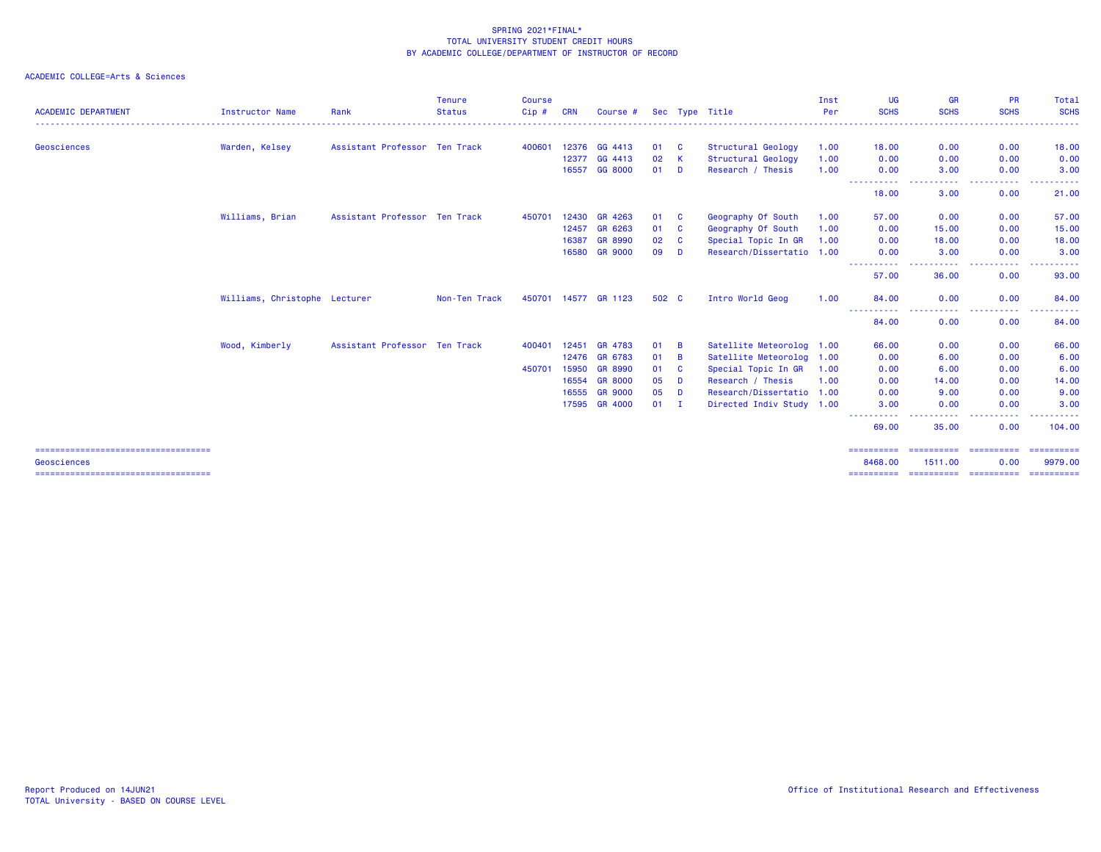| <b>ACADEMIC DEPARTMENT</b>                                                                      | <b>Instructor Name</b>        | Rank                          | <b>Tenure</b><br><b>Status</b> | Course<br>Cip# | <b>CRN</b> | Course #             |        |                | Sec Type Title            | Inst<br>Per | UG<br><b>SCHS</b>                                                                                      | <b>GR</b><br><b>SCHS</b> | <b>PR</b><br><b>SCHS</b>                                                                               | Total<br><b>SCHS</b>                |
|-------------------------------------------------------------------------------------------------|-------------------------------|-------------------------------|--------------------------------|----------------|------------|----------------------|--------|----------------|---------------------------|-------------|--------------------------------------------------------------------------------------------------------|--------------------------|--------------------------------------------------------------------------------------------------------|-------------------------------------|
| Geosciences                                                                                     | Warden, Kelsey                | Assistant Professor Ten Track |                                | 400601         | 12376      | GG 4413              | 01     | <b>C</b>       | Structural Geology        | 1.00        | 18.00                                                                                                  | 0.00                     | 0.00                                                                                                   | 18.00                               |
|                                                                                                 |                               |                               |                                |                | 12377      | GG 4413              | 02     | -K             | Structural Geology        | 1.00        | 0.00                                                                                                   | 0.00                     | 0.00                                                                                                   | 0.00                                |
|                                                                                                 |                               |                               |                                |                | 16557      | GG 8000              | 01     | D              | Research / Thesis         | 1.00        | 0.00                                                                                                   | 3.00                     | 0.00                                                                                                   | 3.00                                |
|                                                                                                 |                               |                               |                                |                |            |                      |        |                |                           |             | <u> - - - - - - - - - -</u><br>18.00                                                                   | 3.00                     | $\frac{1}{2} \left( \frac{1}{2} \right) \left( \frac{1}{2} \right) \left( \frac{1}{2} \right)$<br>0.00 | 21.00                               |
|                                                                                                 | Williams, Brian               | Assistant Professor Ten Track |                                | 450701         | 12430      | GR 4263              | 01     | <b>C</b>       | Geography Of South        | 1.00        | 57.00                                                                                                  | 0.00                     | 0.00                                                                                                   | 57.00                               |
|                                                                                                 |                               |                               |                                |                |            | 12457 GR 6263        | 01     | <b>C</b>       | Geography Of South        | 1.00        | 0.00                                                                                                   | 15.00                    | 0.00                                                                                                   | 15.00                               |
|                                                                                                 |                               |                               |                                |                | 16387      | <b>GR 8990</b>       | 02     | <b>C</b>       | Special Topic In GR       | 1.00        | 0.00                                                                                                   | 18.00                    | 0.00                                                                                                   | 18.00                               |
|                                                                                                 |                               |                               |                                |                | 16580      | <b>GR 9000</b>       | 09     | D              | Research/Dissertatio 1.00 |             | 0.00<br>----------                                                                                     | 3.00<br>.                | 0.00<br>$\frac{1}{2} \left( \frac{1}{2} \right) \left( \frac{1}{2} \right) \left( \frac{1}{2} \right)$ | 3.00                                |
|                                                                                                 |                               |                               |                                |                |            |                      |        |                |                           |             | 57.00                                                                                                  | 36.00                    | 0.00                                                                                                   | 93.00                               |
|                                                                                                 | Williams, Christophe Lecturer |                               | Non-Ten Track                  |                |            | 450701 14577 GR 1123 | 502 C  |                | Intro World Geog          | 1.00        | 84.00                                                                                                  | 0.00                     | 0.00                                                                                                   | 84.00                               |
|                                                                                                 |                               |                               |                                |                |            |                      |        |                |                           |             | 84.00                                                                                                  | ----<br>0.00             | .<br>0.00                                                                                              | . <u>.</u> .<br>84.00               |
|                                                                                                 | Wood, Kimberly                | Assistant Professor Ten Track |                                | 400401         | 12451      | GR 4783              | 01     | $\overline{B}$ | Satellite Meteorolog 1.00 |             | 66.00                                                                                                  | 0.00                     | 0.00                                                                                                   | 66.00                               |
|                                                                                                 |                               |                               |                                |                | 12476      | GR 6783              | 01     | $\overline{B}$ | Satellite Meteorolog 1.00 |             | 0.00                                                                                                   | 6.00                     | 0.00                                                                                                   | 6.00                                |
|                                                                                                 |                               |                               |                                | 450701         | 15950      | <b>GR 8990</b>       | 01     | <b>C</b>       | Special Topic In GR       | 1.00        | 0.00                                                                                                   | 6.00                     | 0.00                                                                                                   | 6.00                                |
|                                                                                                 |                               |                               |                                |                | 16554      | <b>GR 8000</b>       | 05     | D              | Research / Thesis         | 1.00        | 0.00                                                                                                   | 14.00                    | 0.00                                                                                                   | 14.00                               |
|                                                                                                 |                               |                               |                                |                | 16555      | <b>GR 9000</b>       | 05     | <b>D</b>       | Research/Dissertatio 1.00 |             | 0.00                                                                                                   | 9.00                     | 0.00                                                                                                   | 9.00                                |
|                                                                                                 |                               |                               |                                |                | 17595      | <b>GR 4000</b>       | $01$ I |                | Directed Indiv Study 1.00 |             | 3.00<br>$\frac{1}{2} \left( \frac{1}{2} \right) \left( \frac{1}{2} \right) \left( \frac{1}{2} \right)$ | 0.00                     | 0.00                                                                                                   | 3.00                                |
|                                                                                                 |                               |                               |                                |                |            |                      |        |                |                           |             | 69.00                                                                                                  | 35.00                    | 0.00                                                                                                   | 104.00                              |
| ======================================<br>Geosciences<br>====================================== |                               |                               |                                |                |            |                      |        |                |                           |             | ==========<br>8468.00                                                                                  | ==========<br>1511.00    | ==========<br>0.00                                                                                     | ==========<br>9979.00<br>========== |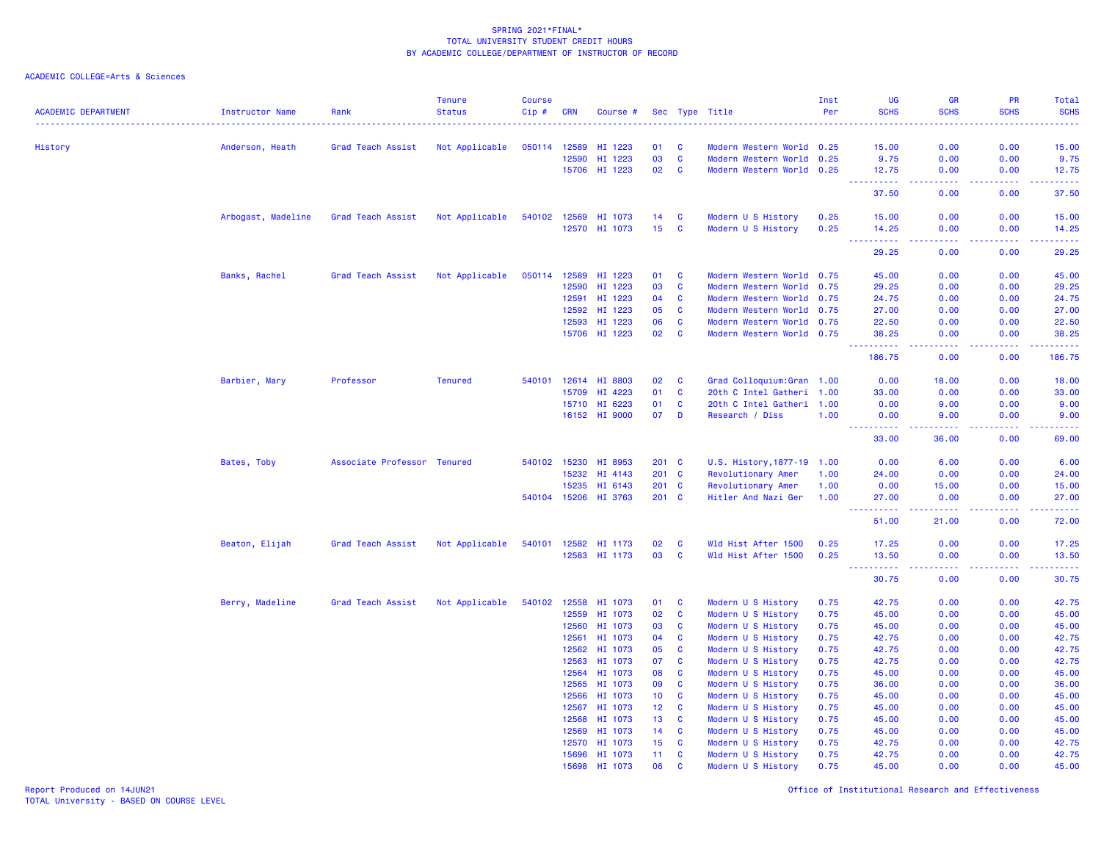# ACADEMIC COLLEGE=Arts & Sciences

| <b>ACADEMIC DEPARTMENT</b> | <b>Instructor Name</b> | Rank                        | <b>Tenure</b><br><b>Status</b> | <b>Course</b><br>Cip# | <b>CRN</b>     | Course #           |                 |                          | Sec Type Title                                         | Inst<br>Per  | <b>UG</b><br><b>SCHS</b> | <b>GR</b><br><b>SCHS</b><br>.                                                                                                                                 | <b>PR</b><br><b>SCHS</b> | <b>Total</b><br><b>SCHS</b><br>.                                                                                                |
|----------------------------|------------------------|-----------------------------|--------------------------------|-----------------------|----------------|--------------------|-----------------|--------------------------|--------------------------------------------------------|--------------|--------------------------|---------------------------------------------------------------------------------------------------------------------------------------------------------------|--------------------------|---------------------------------------------------------------------------------------------------------------------------------|
|                            |                        |                             |                                | 050114                | 12589          |                    | 01              |                          |                                                        |              |                          | 0.00                                                                                                                                                          | 0.00                     | 15.00                                                                                                                           |
| History                    | Anderson, Heath        | Grad Teach Assist           | Not Applicable                 |                       | 12590          | HI 1223<br>HI 1223 | 03              | <b>C</b><br>$\mathbf{C}$ | Modern Western World 0.25<br>Modern Western World 0.25 |              | 15.00<br>9.75            | 0.00                                                                                                                                                          | 0.00                     | 9.75                                                                                                                            |
|                            |                        |                             |                                |                       |                | 15706 HI 1223      | 02              | <b>C</b>                 | Modern Western World 0.25                              |              | 12.75                    | 0.00                                                                                                                                                          | 0.00                     | 12.75                                                                                                                           |
|                            |                        |                             |                                |                       |                |                    |                 |                          |                                                        |              | <b>_________</b>         | 22222                                                                                                                                                         | 22222                    | .                                                                                                                               |
|                            |                        |                             |                                |                       |                |                    |                 |                          |                                                        |              | 37.50                    | 0.00                                                                                                                                                          | 0.00                     | 37.50                                                                                                                           |
|                            | Arbogast, Madeline     | Grad Teach Assist           | Not Applicable                 | 540102                | 12569          | HI 1073            | 14              | C                        | Modern U S History                                     | 0.25         | 15.00                    | 0.00                                                                                                                                                          | 0.00                     | 15.00                                                                                                                           |
|                            |                        |                             |                                |                       |                | 12570 HI 1073      | 15 <sub>1</sub> | $\mathbf{C}$             | Modern U S History                                     | 0.25         | 14.25                    | 0.00                                                                                                                                                          | 0.00                     | 14.25                                                                                                                           |
|                            |                        |                             |                                |                       |                |                    |                 |                          |                                                        |              | .<br>29.25               | 22222<br>0.00                                                                                                                                                 | .<br>0.00                | .<br>29.25                                                                                                                      |
|                            | Banks, Rachel          | Grad Teach Assist           | Not Applicable                 | 050114                | 12589          | HI 1223            | 01              | $\mathbf{C}$             | Modern Western World 0.75                              |              | 45.00                    | 0.00                                                                                                                                                          | 0.00                     | 45.00                                                                                                                           |
|                            |                        |                             |                                |                       | 12590          | HI 1223            | 03              | $\mathbf{C}$             | Modern Western World 0.75                              |              | 29.25                    | 0.00                                                                                                                                                          | 0.00                     | 29.25                                                                                                                           |
|                            |                        |                             |                                |                       | 12591          | HI 1223            | 04              | $\mathbf{C}$             | Modern Western World 0.75                              |              | 24.75                    | 0.00                                                                                                                                                          | 0.00                     | 24.75                                                                                                                           |
|                            |                        |                             |                                |                       | 12592          | HI 1223            | 05              | <b>C</b>                 | Modern Western World 0.75                              |              | 27.00                    | 0.00                                                                                                                                                          | 0.00                     | 27.00                                                                                                                           |
|                            |                        |                             |                                |                       | 12593          | HI 1223            | 06              | $\mathbf{C}$             | Modern Western World 0.75                              |              | 22.50                    | 0.00                                                                                                                                                          | 0.00                     | 22.50                                                                                                                           |
|                            |                        |                             |                                |                       |                | 15706 HI 1223      | 02              | $\mathbf{C}$             | Modern Western World 0.75                              |              | 38.25                    | 0.00                                                                                                                                                          | 0.00                     | 38.25                                                                                                                           |
|                            |                        |                             |                                |                       |                |                    |                 |                          |                                                        |              | -----------<br>186.75    | 22222<br>0.00                                                                                                                                                 | a a a a an<br>0.00       | $\begin{array}{cccccccccc} \bullet & \bullet & \bullet & \bullet & \bullet & \bullet & \bullet & \bullet \end{array}$<br>186.75 |
|                            | Barbier, Mary          | Professor                   | <b>Tenured</b>                 | 540101                | 12614          | HI 8803            | 02              | <b>C</b>                 | Grad Colloquium: Gran 1.00                             |              | 0.00                     | 18.00                                                                                                                                                         | 0.00                     | 18.00                                                                                                                           |
|                            |                        |                             |                                |                       | 15709          | HI 4223            | 01              | <b>C</b>                 | 20th C Intel Gatheri 1.00                              |              | 33,00                    | 0.00                                                                                                                                                          | 0.00                     | 33.00                                                                                                                           |
|                            |                        |                             |                                |                       |                | 15710 HI 6223      | 01              | <b>C</b>                 | 20th C Intel Gatheri 1.00                              |              | 0.00                     | 9.00                                                                                                                                                          | 0.00                     | 9.00                                                                                                                            |
|                            |                        |                             |                                |                       |                | 16152 HI 9000      | 07              | D                        | Research / Diss                                        | 1.00         | 0.00                     | 9.00                                                                                                                                                          | 0.00                     | 9.00                                                                                                                            |
|                            |                        |                             |                                |                       |                |                    |                 |                          |                                                        |              | ----------<br>33.00      | $\frac{1}{2} \left( \frac{1}{2} \right) \left( \frac{1}{2} \right) \left( \frac{1}{2} \right) \left( \frac{1}{2} \right) \left( \frac{1}{2} \right)$<br>36.00 | . <b>.</b><br>0.00       | .<br>69.00                                                                                                                      |
|                            | Bates, Toby            | Associate Professor Tenured |                                | 540102 15230          |                | HI 8953            | $201 \quad C$   |                          | U.S. History, 1877-19 1.00                             |              | 0.00                     | 6.00                                                                                                                                                          | 0.00                     | 6.00                                                                                                                            |
|                            |                        |                             |                                |                       | 15232          | HI 4143            | 201 C           |                          | Revolutionary Amer                                     | 1.00         | 24.00                    | 0.00                                                                                                                                                          | 0.00                     | 24.00                                                                                                                           |
|                            |                        |                             |                                |                       | 15235          | HI 6143            | 201 C           |                          | Revolutionary Amer                                     | 1.00         | 0.00                     | 15.00                                                                                                                                                         | 0.00                     | 15.00                                                                                                                           |
|                            |                        |                             |                                | 540104 15206          |                | HI 3763            | 201 C           |                          | Hitler And Nazi Ger                                    | 1.00         | 27.00                    | 0.00                                                                                                                                                          | 0.00                     | 27.00                                                                                                                           |
|                            |                        |                             |                                |                       |                |                    |                 |                          |                                                        |              | .<br>51.00               | 2.2.2.2.2<br>21.00                                                                                                                                            | .<br>0.00                | .<br>72.00                                                                                                                      |
|                            | Beaton, Elijah         | Grad Teach Assist           |                                | 540101                |                | 12582 HI 1173      | 02              | <b>C</b>                 | Wld Hist After 1500                                    | 0.25         | 17.25                    | 0.00                                                                                                                                                          | 0.00                     | 17.25                                                                                                                           |
|                            |                        |                             | Not Applicable                 |                       |                | 12583 HI 1173      | 03              | <b>C</b>                 | Wld Hist After 1500                                    | 0.25         | 13.50                    | 0.00                                                                                                                                                          | 0.00                     | 13.50                                                                                                                           |
|                            |                        |                             |                                |                       |                |                    |                 |                          |                                                        |              | $\sim 100$               | 22222                                                                                                                                                         | . <b>.</b>               |                                                                                                                                 |
|                            |                        |                             |                                |                       |                |                    |                 |                          |                                                        |              | 30.75                    | 0.00                                                                                                                                                          | 0.00                     | 30.75                                                                                                                           |
|                            | Berry, Madeline        | Grad Teach Assist           | Not Applicable                 | 540102                | 12558          | HI 1073            | 01              | <b>C</b>                 | Modern U S History                                     | 0.75         | 42.75                    | 0.00                                                                                                                                                          | 0.00                     | 42.75                                                                                                                           |
|                            |                        |                             |                                |                       | 12559          | HI 1073            | 02              | $\mathbf{C}$             | Modern U S History                                     | 0.75         | 45.00                    | 0.00                                                                                                                                                          | 0.00                     | 45.00                                                                                                                           |
|                            |                        |                             |                                |                       | 12560          | HI 1073            | 03              | C                        | Modern U S History                                     | 0.75         | 45.00                    | 0.00                                                                                                                                                          | 0.00                     | 45.00                                                                                                                           |
|                            |                        |                             |                                |                       | 12561          | HI 1073            | 04              | C                        | Modern U S History                                     | 0.75         | 42.75                    | 0.00                                                                                                                                                          | 0.00                     | 42.75                                                                                                                           |
|                            |                        |                             |                                |                       | 12562          | HI 1073            | 05              | $\mathbf{C}$             | Modern U S History                                     | 0.75         | 42.75                    | 0.00                                                                                                                                                          | 0.00                     | 42.75                                                                                                                           |
|                            |                        |                             |                                |                       | 12563          | HI 1073            | 07              | $\mathbf{C}$             | Modern U S History                                     | 0.75         | 42.75                    | 0.00                                                                                                                                                          | 0.00                     | 42.75                                                                                                                           |
|                            |                        |                             |                                |                       | 12564          | HI 1073            | 08              | <b>C</b>                 | Modern U S History                                     | 0.75         | 45.00                    | 0.00                                                                                                                                                          | 0.00                     | 45.00                                                                                                                           |
|                            |                        |                             |                                |                       | 12565          | HI 1073            | 09              | <b>C</b>                 | Modern U S History                                     | 0.75         | 36.00                    | 0.00                                                                                                                                                          | 0.00                     | 36.00                                                                                                                           |
|                            |                        |                             |                                |                       | 12566          | HI 1073            | 10 <sub>1</sub> | <b>C</b>                 | Modern U S History                                     | 0.75         | 45.00                    | 0.00                                                                                                                                                          | 0.00                     | 45.00                                                                                                                           |
|                            |                        |                             |                                |                       | 12567          | HI 1073            | 12 <sub>2</sub> | <b>C</b>                 | Modern U S History                                     | 0.75         | 45.00                    | 0.00                                                                                                                                                          | 0.00                     | 45.00                                                                                                                           |
|                            |                        |                             |                                |                       | 12568          | HI 1073            | 13              | $\mathbf{C}$             | Modern U S History                                     | 0.75         | 45.00                    | 0.00                                                                                                                                                          | 0.00                     | 45.00                                                                                                                           |
|                            |                        |                             |                                |                       | 12569          | HI 1073            | 14              | $\mathbf{C}$             | Modern U S History                                     | 0.75         | 45.00                    | 0.00                                                                                                                                                          | 0.00                     | 45.00                                                                                                                           |
|                            |                        |                             |                                |                       | 12570<br>15696 | HI 1073<br>HI 1073 | 15<br>11        | C<br>$\mathbf{C}$        | Modern U S History<br>Modern U S History               | 0.75<br>0.75 | 42.75<br>42.75           | 0.00<br>0.00                                                                                                                                                  | 0.00<br>0.00             | 42.75<br>42.75                                                                                                                  |
|                            |                        |                             |                                |                       | 15698          | HI 1073            | 06              | $\mathbf{C}$             | Modern U S History                                     | 0.75         | 45.00                    | 0.00                                                                                                                                                          | 0.00                     | 45.00                                                                                                                           |
|                            |                        |                             |                                |                       |                |                    |                 |                          |                                                        |              |                          |                                                                                                                                                               |                          |                                                                                                                                 |

Report Produced on 14JUN21 Office of Institutional Research and Effectiveness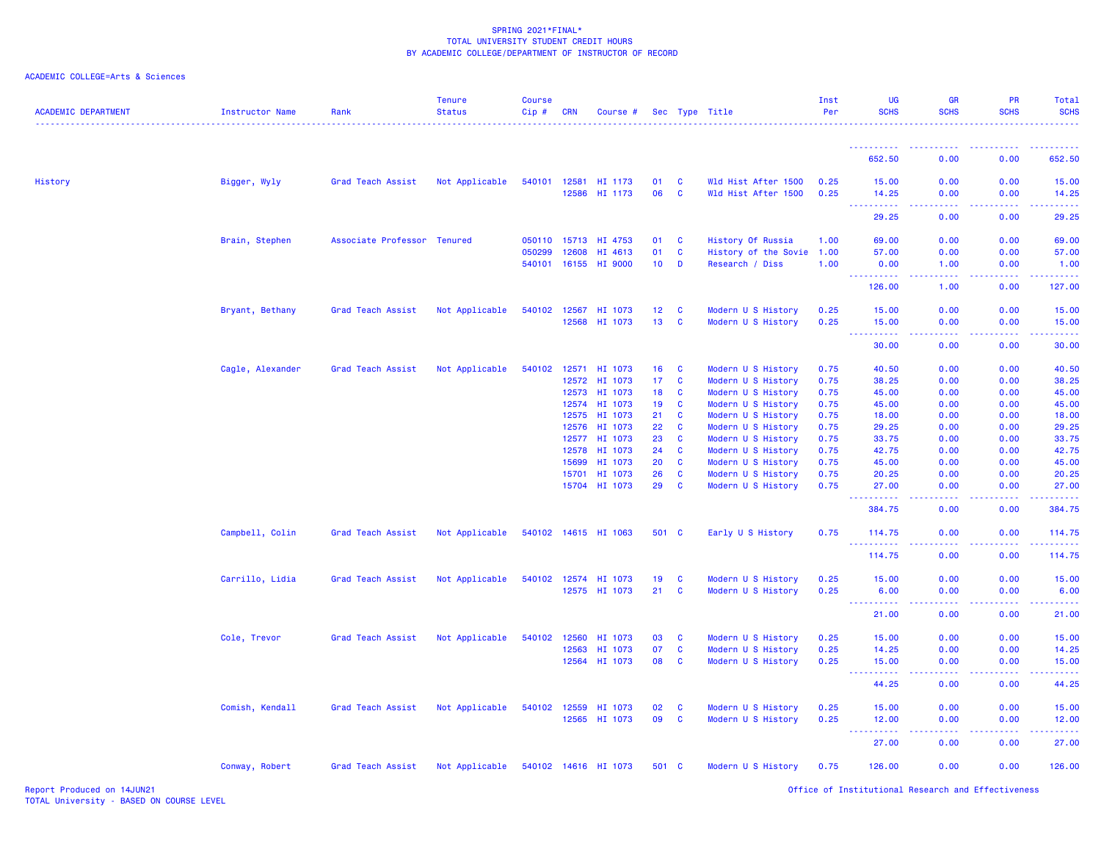| ACADEMIC COLLEGE=Arts & Sciences |  |  |  |
|----------------------------------|--|--|--|
|----------------------------------|--|--|--|

| <b>ACADEMIC DEPARTMENT</b> | <b>Instructor Name</b> | Rank                        | <b>Tenure</b><br><b>Status</b> | <b>Course</b><br>Cip# | <b>CRN</b>     | Course #             |                 |               | Sec Type Title                           | Inst<br>Per  | <b>UG</b><br><b>SCHS</b>                                  | <b>GR</b><br><b>SCHS</b>                                                                                                                                     | <b>PR</b><br><b>SCHS</b> | Total<br><b>SCHS</b> |
|----------------------------|------------------------|-----------------------------|--------------------------------|-----------------------|----------------|----------------------|-----------------|---------------|------------------------------------------|--------------|-----------------------------------------------------------|--------------------------------------------------------------------------------------------------------------------------------------------------------------|--------------------------|----------------------|
|                            |                        |                             |                                |                       |                |                      |                 |               |                                          |              | 652.50                                                    | 0.00                                                                                                                                                         | 0.00                     | 652.50               |
|                            |                        |                             |                                |                       |                |                      |                 |               |                                          |              |                                                           |                                                                                                                                                              |                          |                      |
| History                    | Bigger, Wyly           | Grad Teach Assist           | Not Applicable                 | 540101 12581          |                | HI 1173              | 01              | C             | Wld Hist After 1500                      | 0.25         | 15.00                                                     | 0.00                                                                                                                                                         | 0.00                     | 15.00                |
|                            |                        |                             |                                |                       |                | 12586 HI 1173        | 06              | <b>C</b>      | Wld Hist After 1500                      | 0.25         | 14.25<br><b><i><u><u> - - - - - - - - - -</u></u></i></b> | 0.00<br><b>.</b>                                                                                                                                             | 0.00<br>.                | 14.25<br>.           |
|                            |                        |                             |                                |                       |                |                      |                 |               |                                          |              | 29.25                                                     | 0.00                                                                                                                                                         | 0.00                     | 29.25                |
|                            | Brain, Stephen         | Associate Professor Tenured |                                | 050110 15713          |                | HI 4753              | 01              | C             | History Of Russia                        | 1.00         | 69.00                                                     | 0.00                                                                                                                                                         | 0.00                     | 69.00                |
|                            |                        |                             |                                | 050299                | 12608          | HI 4613              | 01              | <b>C</b>      | History of the Sovie                     | 1.00         | 57.00                                                     | 0.00                                                                                                                                                         | 0.00                     | 57.00                |
|                            |                        |                             |                                | 540101 16155          |                | HI 9000              | 10              | D             | Research / Diss                          | 1.00         | 0.00                                                      | 1.00                                                                                                                                                         | 0.00                     | 1.00                 |
|                            |                        |                             |                                |                       |                |                      |                 |               |                                          |              | د د د د د<br>126.00                                       | 1.00                                                                                                                                                         | 0.00                     | 127.00               |
|                            | Bryant, Bethany        | Grad Teach Assist           | Not Applicable                 | 540102 12567          |                | HI 1073              | 12 <sub>1</sub> | C             | Modern U S History                       | 0.25         | 15.00                                                     | 0.00                                                                                                                                                         | 0.00                     | 15.00                |
|                            |                        |                             |                                |                       | 12568          | HI 1073              | 13 <sup>°</sup> | C             | Modern U S History                       | 0.25         | 15.00                                                     | 0.00                                                                                                                                                         | 0.00                     | 15.00                |
|                            |                        |                             |                                |                       |                |                      |                 |               |                                          |              | <b>.</b> .<br>30.00                                       | $\frac{1}{2} \left( \frac{1}{2} \right) \left( \frac{1}{2} \right) \left( \frac{1}{2} \right) \left( \frac{1}{2} \right) \left( \frac{1}{2} \right)$<br>0.00 | 22222<br>0.00            | .<br>30.00           |
|                            |                        |                             |                                |                       |                |                      |                 |               |                                          |              |                                                           |                                                                                                                                                              |                          |                      |
|                            | Cagle, Alexander       | Grad Teach Assist           | Not Applicable                 |                       |                | 540102 12571 HI 1073 | 16              | C             | Modern U S History                       | 0.75         | 40.50                                                     | 0.00                                                                                                                                                         | 0.00                     | 40.50                |
|                            |                        |                             |                                |                       |                | 12572 HI 1073        | 17              | C             | Modern U S History                       | 0.75         | 38.25                                                     | 0.00                                                                                                                                                         | 0.00                     | 38.25                |
|                            |                        |                             |                                |                       | 12573          | HI 1073              | 18              | C             | Modern U S History                       | 0.75         | 45.00                                                     | 0.00                                                                                                                                                         | 0.00                     | 45.00                |
|                            |                        |                             |                                |                       |                | 12574 HI 1073        | 19              | C             | Modern U S History                       | 0.75         | 45.00                                                     | 0.00                                                                                                                                                         | 0.00                     | 45.00                |
|                            |                        |                             |                                |                       | 12575          | HI 1073              | 21              | C             | Modern U S History                       | 0.75         | 18.00                                                     | 0.00                                                                                                                                                         | 0.00                     | 18.00                |
|                            |                        |                             |                                |                       | 12576<br>12577 | HI 1073<br>HI 1073   | 22<br>23        | <b>C</b><br>C | Modern U S History<br>Modern U S History | 0.75<br>0.75 | 29.25<br>33.75                                            | 0.00<br>0.00                                                                                                                                                 | 0.00<br>0.00             | 29.25<br>33.75       |
|                            |                        |                             |                                |                       | 12578          | HI 1073              | 24              | C             | Modern U S History                       | 0.75         | 42.75                                                     | 0.00                                                                                                                                                         | 0.00                     | 42.75                |
|                            |                        |                             |                                |                       | 15699          | HI 1073              | 20              | $\mathbf{C}$  | Modern U S History                       | 0.75         | 45.00                                                     | 0.00                                                                                                                                                         | 0.00                     | 45.00                |
|                            |                        |                             |                                |                       | 15701          | HI 1073              | 26              | $\mathbf{C}$  | Modern U S History                       | 0.75         | 20.25                                                     | 0.00                                                                                                                                                         | 0.00                     | 20.25                |
|                            |                        |                             |                                |                       |                | 15704 HI 1073        | 29              | C             | Modern U S History                       | 0.75         | 27.00                                                     | 0.00                                                                                                                                                         | 0.00                     | 27.00                |
|                            |                        |                             |                                |                       |                |                      |                 |               |                                          |              | بالابادية                                                 |                                                                                                                                                              |                          |                      |
|                            |                        |                             |                                |                       |                |                      |                 |               |                                          |              | 384.75                                                    | 0.00                                                                                                                                                         | 0.00                     | 384.75               |
|                            | Campbell, Colin        | Grad Teach Assist           | Not Applicable                 |                       |                | 540102 14615 HI 1063 | 501 C           |               | Early U S History                        | 0.75         | 114.75<br><b>.</b>                                        | 0.00                                                                                                                                                         | 0.00                     | 114.75               |
|                            |                        |                             |                                |                       |                |                      |                 |               |                                          |              | 114.75                                                    | 0.00                                                                                                                                                         | 0.00                     | 114.75               |
|                            | Carrillo, Lidia        | Grad Teach Assist           | Not Applicable                 |                       |                | 540102 12574 HI 1073 | 19              | C             | Modern U S History                       | 0.25         | 15.00                                                     | 0.00                                                                                                                                                         | 0.00                     | 15.00                |
|                            |                        |                             |                                |                       |                | 12575 HI 1073        | 21              | C             | Modern U S History                       | 0.25         | 6.00                                                      | 0.00                                                                                                                                                         | 0.00                     | 6.00                 |
|                            |                        |                             |                                |                       |                |                      |                 |               |                                          |              | <b>.</b><br>21.00                                         | 0.00                                                                                                                                                         | 0.00                     | $- - - - -$<br>21.00 |
|                            | Cole, Trevor           | Grad Teach Assist           | Not Applicable                 | 540102 12560          |                | HI 1073              | 03              | C             | Modern U S History                       | 0.25         | 15.00                                                     | 0.00                                                                                                                                                         | 0.00                     | 15.00                |
|                            |                        |                             |                                |                       | 12563          | HI 1073              | 07              | <b>C</b>      | Modern U S History                       | 0.25         | 14.25                                                     | 0.00                                                                                                                                                         | 0.00                     | 14.25                |
|                            |                        |                             |                                |                       |                | 12564 HI 1073        | 08              | C             | Modern U S History                       | 0.25         | 15.00                                                     | 0.00                                                                                                                                                         | 0.00                     | 15.00                |
|                            |                        |                             |                                |                       |                |                      |                 |               |                                          |              | <u>.</u>                                                  | ولالات                                                                                                                                                       | والمحامر                 | $- - - - -$          |
|                            |                        |                             |                                |                       |                |                      |                 |               |                                          |              | 44.25                                                     | 0.00                                                                                                                                                         | 0.00                     | 44.25                |
|                            | Comish, Kendall        | Grad Teach Assist           | Not Applicable                 | 540102 12559          |                | HI 1073              | 02              | <b>C</b>      | Modern U S History                       | 0.25         | 15.00                                                     | 0.00                                                                                                                                                         | 0.00                     | 15.00                |
|                            |                        |                             |                                |                       |                | 12565 HI 1073        | 09              | C             | Modern U S History                       | 0.25         | 12.00                                                     | 0.00                                                                                                                                                         | 0.00                     | 12.00                |
|                            |                        |                             |                                |                       |                |                      |                 |               |                                          |              | <b>.</b><br>27.00                                         | 0.00                                                                                                                                                         | 0.00                     | .<br>27.00           |
|                            | Conway, Robert         | Grad Teach Assist           | Not Applicable                 |                       |                | 540102 14616 HI 1073 | 501 C           |               | Modern U S History                       | 0.75         | 126.00                                                    | 0.00                                                                                                                                                         | 0.00                     | 126.00               |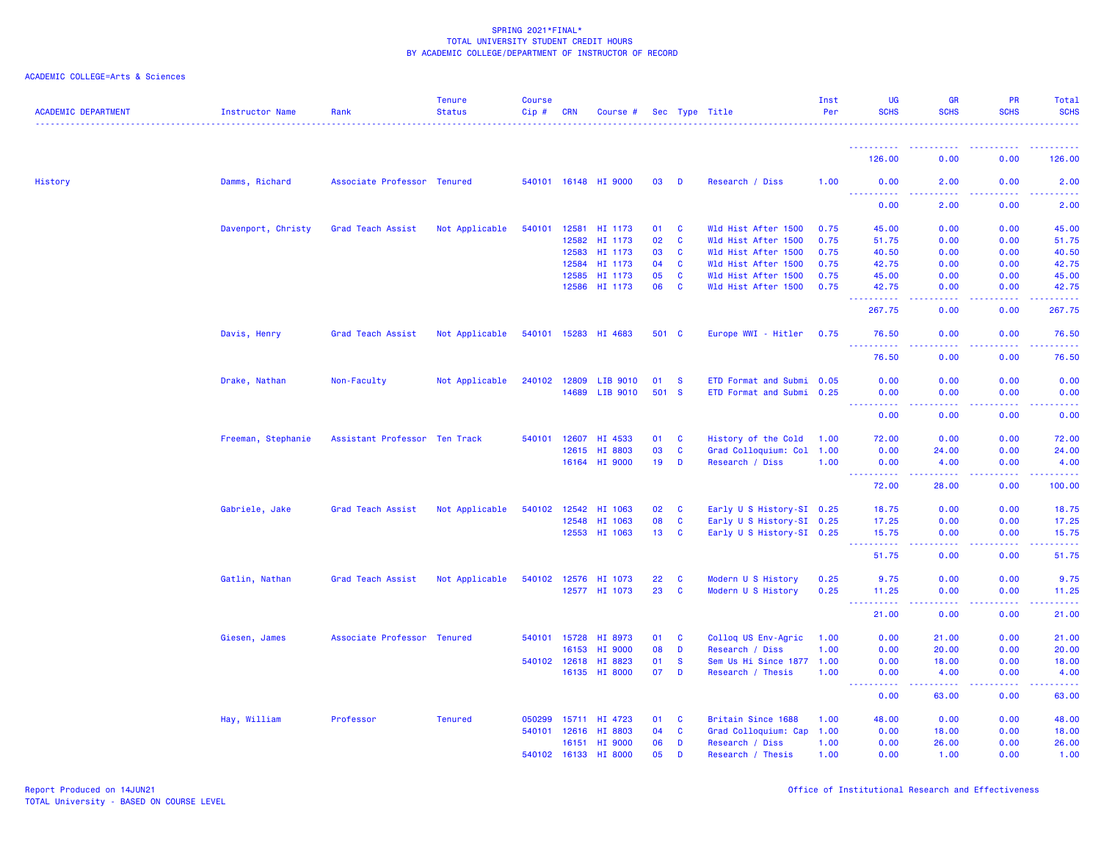| <b>ACADEMIC DEPARTMENT</b> | Instructor Name    | Rank                          | <b>Tenure</b><br><b>Status</b> | <b>Course</b><br>Cip# | <b>CRN</b>   | Course #             |       |              | Sec Type Title            | Inst<br>Per | <b>UG</b><br><b>SCHS</b>                                                                                                                                      | <b>GR</b><br><b>SCHS</b>                                                                                                                                     | <b>PR</b><br><b>SCHS</b>                       | Total<br><b>SCHS</b> |
|----------------------------|--------------------|-------------------------------|--------------------------------|-----------------------|--------------|----------------------|-------|--------------|---------------------------|-------------|---------------------------------------------------------------------------------------------------------------------------------------------------------------|--------------------------------------------------------------------------------------------------------------------------------------------------------------|------------------------------------------------|----------------------|
|                            |                    |                               |                                |                       |              |                      |       |              |                           |             |                                                                                                                                                               |                                                                                                                                                              |                                                | .                    |
|                            |                    |                               |                                |                       |              |                      |       |              |                           |             | 126.00                                                                                                                                                        | 0.00                                                                                                                                                         | 0.00                                           | 126.00               |
| History                    | Damms, Richard     | Associate Professor Tenured   |                                |                       |              | 540101 16148 HI 9000 | 03    | <b>D</b>     | Research / Diss           | 1.00        | 0.00<br>$\frac{1}{2} \left( \frac{1}{2} \right) \left( \frac{1}{2} \right) \left( \frac{1}{2} \right) \left( \frac{1}{2} \right)$<br><b>.</b>                 | 2.00                                                                                                                                                         | 0.00                                           | 2.00                 |
|                            |                    |                               |                                |                       |              |                      |       |              |                           |             | 0.00                                                                                                                                                          | 2.00                                                                                                                                                         | 0.00                                           | 2.00                 |
|                            | Davenport, Christy | Grad Teach Assist             | Not Applicable                 |                       |              | 540101 12581 HI 1173 | 01 C  |              | Wld Hist After 1500       | 0.75        | 45.00                                                                                                                                                         | 0.00                                                                                                                                                         | 0.00                                           | 45.00                |
|                            |                    |                               |                                |                       | 12582        | HI 1173              | 02    | $\mathbf{C}$ | Wld Hist After 1500       | 0.75        | 51.75                                                                                                                                                         | 0.00                                                                                                                                                         | 0.00                                           | 51.75                |
|                            |                    |                               |                                |                       | 12583        | HI 1173              | 03    | C            | Wld Hist After 1500       | 0.75        | 40.50                                                                                                                                                         | 0.00                                                                                                                                                         | 0.00                                           | 40.50                |
|                            |                    |                               |                                |                       | 12584        | HI 1173              | 04    | <b>C</b>     | Wld Hist After 1500       | 0.75        | 42.75                                                                                                                                                         | 0.00                                                                                                                                                         | 0.00                                           | 42.75                |
|                            |                    |                               |                                |                       | 12585        | HI 1173              | 05    | <b>C</b>     | Wld Hist After 1500       | 0.75        | 45.00                                                                                                                                                         | 0.00                                                                                                                                                         | 0.00                                           | 45.00                |
|                            |                    |                               |                                |                       |              | 12586 HI 1173        | 06    | <b>C</b>     | Wld Hist After 1500       | 0.75        | 42.75                                                                                                                                                         | 0.00                                                                                                                                                         | 0.00                                           | 42.75                |
|                            |                    |                               |                                |                       |              |                      |       |              |                           |             | . <b>.</b><br>267.75                                                                                                                                          | $\sim$ $\sim$ $\sim$ $\sim$<br>0.00                                                                                                                          | 0.00                                           | .<br>267.75          |
|                            | Davis, Henry       | Grad Teach Assist             | Not Applicable                 |                       |              | 540101 15283 HI 4683 | 501 C |              | Europe WWI - Hitler 0.75  |             | 76.50                                                                                                                                                         | 0.00                                                                                                                                                         | 0.00                                           | 76.50                |
|                            |                    |                               |                                |                       |              |                      |       |              |                           |             | $\frac{1}{2} \left( \frac{1}{2} \right) \left( \frac{1}{2} \right) \left( \frac{1}{2} \right) \left( \frac{1}{2} \right) \left( \frac{1}{2} \right)$<br>76.50 | .<br>0.00                                                                                                                                                    | 0.00                                           | 76.50                |
|                            | Drake, Nathan      | Non-Faculty                   | Not Applicable                 | 240102 12809          |              | LIB 9010             | 01    | $\mathbf{s}$ | ETD Format and Submi 0.05 |             | 0.00                                                                                                                                                          | 0.00                                                                                                                                                         | 0.00                                           | 0.00                 |
|                            |                    |                               |                                |                       | 14689        | LIB 9010             | 501   | - S          | ETD Format and Submi 0.25 |             | 0.00                                                                                                                                                          | 0.00                                                                                                                                                         | 0.00                                           | 0.00                 |
|                            |                    |                               |                                |                       |              |                      |       |              |                           |             | ----------<br>0.00                                                                                                                                            | $\sim$ $\sim$ $\sim$ $\sim$<br>0.00                                                                                                                          | 0.00                                           | 0.00                 |
|                            |                    |                               |                                |                       |              |                      |       |              |                           |             |                                                                                                                                                               |                                                                                                                                                              |                                                |                      |
|                            | Freeman, Stephanie | Assistant Professor Ten Track |                                |                       | 540101 12607 | HI 4533              | 01    | $\mathbf{C}$ | History of the Cold       | 1.00        | 72.00                                                                                                                                                         | 0.00                                                                                                                                                         | 0.00                                           | 72.00                |
|                            |                    |                               |                                |                       | 12615        | HI 8803              | 03    | $\mathbf{C}$ | Grad Colloquium: Col 1.00 |             | 0.00                                                                                                                                                          | 24.00                                                                                                                                                        | 0.00                                           | 24.00                |
|                            |                    |                               |                                |                       |              | 16164 HI 9000        | 19    | D            | Research / Diss           | 1.00        | 0.00<br>----------                                                                                                                                            | 4.00<br>$\frac{1}{2} \left( \frac{1}{2} \right) \left( \frac{1}{2} \right) \left( \frac{1}{2} \right) \left( \frac{1}{2} \right) \left( \frac{1}{2} \right)$ | 0.00<br>a a a a an                             | 4.00                 |
|                            |                    |                               |                                |                       |              |                      |       |              |                           |             | 72.00                                                                                                                                                         | 28.00                                                                                                                                                        | 0.00                                           | 100.00               |
|                            | Gabriele, Jake     | Grad Teach Assist             | Not Applicable                 | 540102                | 12542        | HI 1063              | 02    | <b>C</b>     | Early U S History-SI 0.25 |             | 18.75                                                                                                                                                         | 0.00                                                                                                                                                         | 0.00                                           | 18.75                |
|                            |                    |                               |                                |                       | 12548        | HI 1063              | 08    | <b>C</b>     | Early U S History-SI 0.25 |             | 17.25                                                                                                                                                         | 0.00                                                                                                                                                         | 0.00                                           | 17.25                |
|                            |                    |                               |                                |                       |              | 12553 HI 1063        | 13 C  |              | Early U S History-SI 0.25 |             | 15.75                                                                                                                                                         | 0.00                                                                                                                                                         | 0.00                                           | 15.75                |
|                            |                    |                               |                                |                       |              |                      |       |              |                           |             | .<br>51.75                                                                                                                                                    | .<br>0.00                                                                                                                                                    | <b><i><u><u> - - - -</u></u></i></b><br>0.00   | .<br>51.75           |
|                            | Gatlin, Nathan     | Grad Teach Assist             | Not Applicable                 |                       |              | 540102 12576 HI 1073 | 22    | $\mathbf{C}$ | Modern U S History        | 0.25        | 9.75                                                                                                                                                          | 0.00                                                                                                                                                         | 0.00                                           | 9.75                 |
|                            |                    |                               |                                |                       |              | 12577 HI 1073        | 23    | $\mathbf{C}$ | Modern U S History        | 0.25        | 11.25                                                                                                                                                         | 0.00                                                                                                                                                         | 0.00                                           | 11.25                |
|                            |                    |                               |                                |                       |              |                      |       |              |                           |             | .<br>$\sim$ $\sim$ $\sim$<br>21.00                                                                                                                            | 0.00                                                                                                                                                         | 0.00                                           | .<br>21.00           |
|                            | Giesen, James      | Associate Professor Tenured   |                                |                       | 540101 15728 | HI 8973              | 01    | $\mathbf{C}$ | Colloq US Env-Agric       | 1.00        | 0.00                                                                                                                                                          | 21.00                                                                                                                                                        | 0.00                                           | 21.00                |
|                            |                    |                               |                                |                       | 16153        | HI 9000              | 08    | D            | Research / Diss           | 1.00        | 0.00                                                                                                                                                          | 20.00                                                                                                                                                        | 0.00                                           | 20.00                |
|                            |                    |                               |                                |                       | 540102 12618 | HI 8823              | 01    | <b>S</b>     | Sem Us Hi Since 1877      | 1.00        | 0.00                                                                                                                                                          | 18.00                                                                                                                                                        | 0.00                                           | 18.00                |
|                            |                    |                               |                                |                       |              | 16135 HI 8000        | 07    | D            | Research / Thesis         | 1.00        | 0.00                                                                                                                                                          | 4.00                                                                                                                                                         | 0.00                                           | 4.00                 |
|                            |                    |                               |                                |                       |              |                      |       |              |                           |             | ----------<br>0.00                                                                                                                                            | .<br>63.00                                                                                                                                                   | <b><i><u><u> - - - - -</u></u></i></b><br>0.00 | .<br>63.00           |
|                            | Hay, William       | Professor                     | <b>Tenured</b>                 |                       | 050299 15711 | HI 4723              | 01    | <b>C</b>     | Britain Since 1688        | 1.00        | 48.00                                                                                                                                                         | 0.00                                                                                                                                                         | 0.00                                           | 48.00                |
|                            |                    |                               |                                | 540101                | 12616        | HI 8803              | 04    | $\mathbf{C}$ | Grad Colloquium: Cap      | 1.00        | 0.00                                                                                                                                                          | 18.00                                                                                                                                                        | 0.00                                           | 18.00                |
|                            |                    |                               |                                |                       |              | 16151 HI 9000        | 06    | D            | Research / Diss           | 1.00        | 0.00                                                                                                                                                          | 26.00                                                                                                                                                        | 0.00                                           | 26.00                |
|                            |                    |                               |                                |                       | 540102 16133 | HI 8000              | 05    | D            | Research / Thesis         | 1.00        | 0.00                                                                                                                                                          | 1.00                                                                                                                                                         | 0.00                                           | 1.00                 |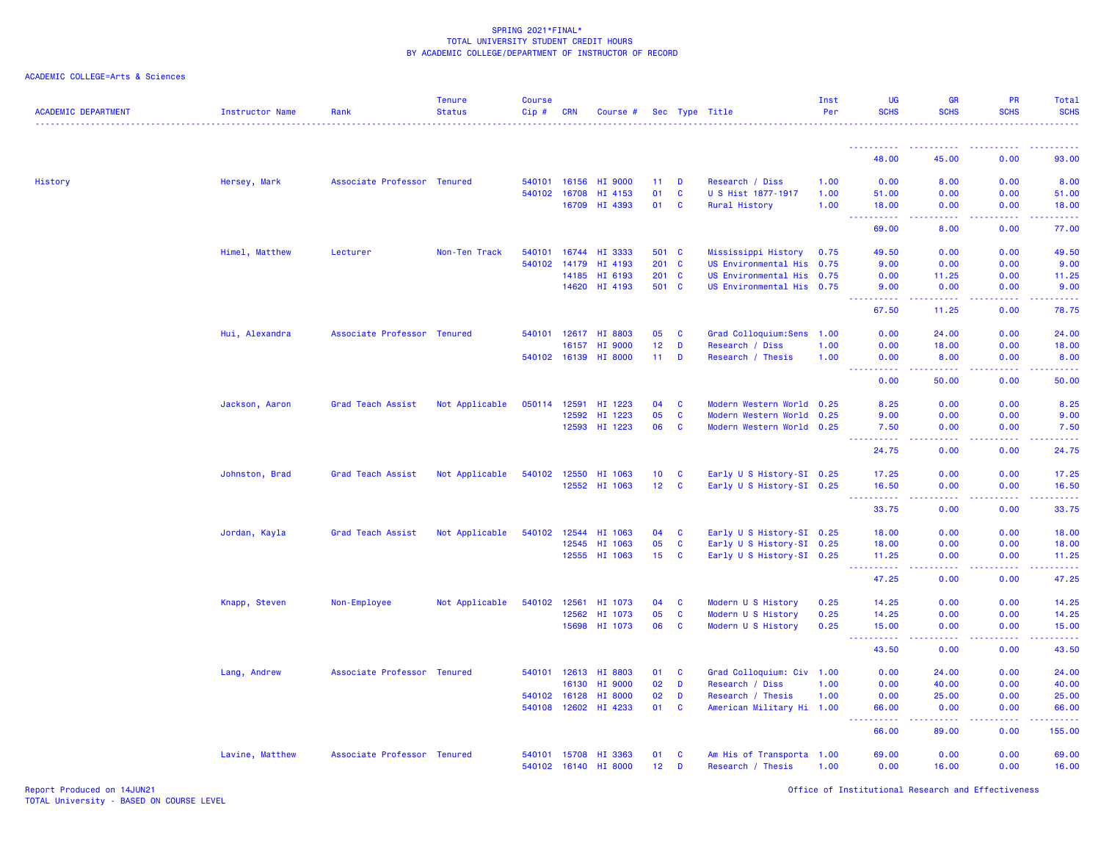| <b>ACADEMIC DEPARTMENT</b> | Instructor Name | Rank                        | <b>Tenure</b><br><b>Status</b> | <b>Course</b><br>Cip# | <b>CRN</b> | Course #             |                 |              | Sec Type Title            | Inst<br>Per | UG<br><b>SCHS</b>                                                   | <b>GR</b><br><b>SCHS</b>                    | <b>PR</b><br><b>SCHS</b>                                                                                                                                     | Total<br><b>SCHS</b>                                                                                                                                          |
|----------------------------|-----------------|-----------------------------|--------------------------------|-----------------------|------------|----------------------|-----------------|--------------|---------------------------|-------------|---------------------------------------------------------------------|---------------------------------------------|--------------------------------------------------------------------------------------------------------------------------------------------------------------|---------------------------------------------------------------------------------------------------------------------------------------------------------------|
|                            |                 |                             |                                |                       |            |                      |                 |              |                           |             |                                                                     |                                             |                                                                                                                                                              |                                                                                                                                                               |
|                            |                 |                             |                                |                       |            |                      |                 |              |                           |             | 48.00                                                               | 45.00                                       | 0.00                                                                                                                                                         | 93.00                                                                                                                                                         |
| History                    | Hersey, Mark    | Associate Professor Tenured |                                | 540101 16156          |            | HI 9000              | 11              | D            | Research / Diss           | 1.00        | 0.00                                                                | 8.00                                        | 0.00                                                                                                                                                         | 8.00                                                                                                                                                          |
|                            |                 |                             |                                | 540102 16708          |            | HI 4153              | 01              | C            | U S Hist 1877-1917        | 1.00        | 51.00                                                               | 0.00                                        | 0.00                                                                                                                                                         | 51.00                                                                                                                                                         |
|                            |                 |                             |                                |                       | 16709      | HI 4393              | 01              | C            | <b>Rural History</b>      | 1.00        | 18.00<br>المستملة                                                   | 0.00<br>بالأباب                             | 0.00<br>-----                                                                                                                                                | 18.00<br>.                                                                                                                                                    |
|                            |                 |                             |                                |                       |            |                      |                 |              |                           |             | 69.00                                                               | 8.00                                        | 0.00                                                                                                                                                         | 77.00                                                                                                                                                         |
|                            | Himel, Matthew  | Lecturer                    | Non-Ten Track                  | 540101                |            | 16744 HI 3333        | 501 C           |              | Mississippi History       | 0.75        | 49.50                                                               | 0.00                                        | 0.00                                                                                                                                                         | 49.50                                                                                                                                                         |
|                            |                 |                             |                                | 540102                | 14179      | HI 4193              | 201 C           |              | US Environmental His 0.75 |             | 9.00                                                                | 0.00                                        | 0.00                                                                                                                                                         | 9.00                                                                                                                                                          |
|                            |                 |                             |                                |                       | 14185      | HI 6193              | 201 C           |              | US Environmental His 0.75 |             | 0.00                                                                | 11.25                                       | 0.00                                                                                                                                                         | 11.25                                                                                                                                                         |
|                            |                 |                             |                                |                       | 14620      | HI 4193              | 501 C           |              | US Environmental His 0.75 |             | 9.00<br>المستمالات                                                  | 0.00<br>بالأباب                             | 0.00<br>22222                                                                                                                                                | 9.00<br>.                                                                                                                                                     |
|                            |                 |                             |                                |                       |            |                      |                 |              |                           |             | 67.50                                                               | 11.25                                       | 0.00                                                                                                                                                         | 78.75                                                                                                                                                         |
|                            | Hui, Alexandra  | Associate Professor Tenured |                                | 540101                | 12617      | HI 8803              | 05              | $\mathbf{C}$ | Grad Colloquium:Sens      | 1.00        | 0.00                                                                | 24.00                                       | 0.00                                                                                                                                                         | 24.00                                                                                                                                                         |
|                            |                 |                             |                                |                       | 16157      | <b>HI 9000</b>       | 12 <sub>2</sub> | D            | Research / Diss           | 1.00        | 0.00                                                                | 18.00                                       | 0.00                                                                                                                                                         | 18.00                                                                                                                                                         |
|                            |                 |                             |                                |                       |            | 540102 16139 HI 8000 | $11 -$          | D            | Research / Thesis         | 1.00        | 0.00                                                                | 8.00                                        | 0.00                                                                                                                                                         | 8.00                                                                                                                                                          |
|                            |                 |                             |                                |                       |            |                      |                 |              |                           |             | .<br>0.00                                                           | .<br>50.00                                  | $\frac{1}{2} \left( \frac{1}{2} \right) \left( \frac{1}{2} \right) \left( \frac{1}{2} \right) \left( \frac{1}{2} \right) \left( \frac{1}{2} \right)$<br>0.00 | .<br>50.00                                                                                                                                                    |
|                            | Jackson, Aaron  | Grad Teach Assist           | Not Applicable                 | 050114                | 12591      | HI 1223              | 04              | C            | Modern Western World 0.25 |             | 8.25                                                                | 0.00                                        | 0.00                                                                                                                                                         | 8.25                                                                                                                                                          |
|                            |                 |                             |                                |                       | 12592      | HI 1223              | 05              | $\mathbf{C}$ | Modern Western World 0.25 |             | 9.00                                                                | 0.00                                        | 0.00                                                                                                                                                         | 9.00                                                                                                                                                          |
|                            |                 |                             |                                |                       | 12593      | HI 1223              | 06              | <b>C</b>     | Modern Western World 0.25 |             | 7.50                                                                | 0.00                                        | 0.00                                                                                                                                                         | 7.50                                                                                                                                                          |
|                            |                 |                             |                                |                       |            |                      |                 |              |                           |             | .<br>24.75                                                          | $\omega$ $\omega$ $\omega$ $\omega$<br>0.00 | 0.00                                                                                                                                                         | 24.75                                                                                                                                                         |
|                            | Johnston, Brad  | Grad Teach Assist           | Not Applicable                 | 540102 12550          |            | HI 1063              | 10 <sub>1</sub> | <b>C</b>     | Early U S History-SI 0.25 |             | 17.25                                                               | 0.00                                        | 0.00                                                                                                                                                         | 17.25                                                                                                                                                         |
|                            |                 |                             |                                |                       | 12552      | HI 1063              | 12 <sup>7</sup> | <b>C</b>     | Early U S History-SI 0.25 |             | 16.50                                                               | 0.00                                        | 0.00                                                                                                                                                         | 16.50                                                                                                                                                         |
|                            |                 |                             |                                |                       |            |                      |                 |              |                           |             |                                                                     | .                                           | 22222                                                                                                                                                        | .                                                                                                                                                             |
|                            |                 |                             |                                |                       |            |                      |                 |              |                           |             | 33.75                                                               | 0.00                                        | 0.00                                                                                                                                                         | 33.75                                                                                                                                                         |
|                            | Jordan, Kayla   | Grad Teach Assist           | Not Applicable                 | 540102 12544          |            | HI 1063              | 04              | <b>C</b>     | Early U S History-SI 0.25 |             | 18.00                                                               | 0.00                                        | 0.00                                                                                                                                                         | 18.00                                                                                                                                                         |
|                            |                 |                             |                                |                       | 12545      | HI 1063              | 05              | C            | Early U S History-SI 0.25 |             | 18.00                                                               | 0.00                                        | 0.00                                                                                                                                                         | 18.00                                                                                                                                                         |
|                            |                 |                             |                                |                       |            | 12555 HI 1063        | 15              | <b>C</b>     | Early U S History-SI 0.25 |             | 11.25<br>.<br>$\sim$ $\sim$ $\sim$                                  | 0.00<br>.                                   | 0.00<br>$\frac{1}{2} \left( \frac{1}{2} \right) \left( \frac{1}{2} \right) \left( \frac{1}{2} \right) \left( \frac{1}{2} \right) \left( \frac{1}{2} \right)$ | 11.25<br>2.2.2.2.2.2                                                                                                                                          |
|                            |                 |                             |                                |                       |            |                      |                 |              |                           |             | 47.25                                                               | 0.00                                        | 0.00                                                                                                                                                         | 47.25                                                                                                                                                         |
|                            | Knapp, Steven   | Non-Employee                | Not Applicable                 | 540102                | 12561      | HI 1073              | 04              | C            | Modern U S History        | 0.25        | 14.25                                                               | 0.00                                        | 0.00                                                                                                                                                         | 14.25                                                                                                                                                         |
|                            |                 |                             |                                |                       | 12562      | HI 1073              | 05              | <b>C</b>     | Modern U S History        | 0.25        | 14.25                                                               | 0.00                                        | 0.00                                                                                                                                                         | 14.25                                                                                                                                                         |
|                            |                 |                             |                                |                       | 15698      | HI 1073              | 06              | C            | Modern U S History        | 0.25        | 15.00                                                               | 0.00                                        | 0.00                                                                                                                                                         | 15.00                                                                                                                                                         |
|                            |                 |                             |                                |                       |            |                      |                 |              |                           |             | $\omega = \omega \omega + \omega \omega.$<br>$\frac{1}{2}$<br>43.50 | المستما<br>0.00                             | $\omega = \omega = \omega$<br>0.00                                                                                                                           | 222222<br>43.50                                                                                                                                               |
|                            | Lang, Andrew    | Associate Professor Tenured |                                | 540101                | 12613      | HI 8803              | 01              | $\mathbf{C}$ | Grad Colloquium: Civ 1.00 |             | 0.00                                                                | 24.00                                       | 0.00                                                                                                                                                         | 24.00                                                                                                                                                         |
|                            |                 |                             |                                |                       | 16130      | HI 9000              | 02              | D            | Research / Diss           | 1.00        | 0.00                                                                | 40.00                                       | 0.00                                                                                                                                                         | 40.00                                                                                                                                                         |
|                            |                 |                             |                                | 540102 16128          |            | HI 8000              | 02              | D            | Research / Thesis         | 1.00        | 0.00                                                                | 25.00                                       | 0.00                                                                                                                                                         | 25.00                                                                                                                                                         |
|                            |                 |                             |                                | 540108                | 12602      | HI 4233              | 01              | C            | American Military Hi 1.00 |             | 66.00<br>.                                                          | 0.00                                        | 0.00<br>22222                                                                                                                                                | 66.00<br>$\frac{1}{2} \left( \frac{1}{2} \right) \left( \frac{1}{2} \right) \left( \frac{1}{2} \right) \left( \frac{1}{2} \right) \left( \frac{1}{2} \right)$ |
|                            |                 |                             |                                |                       |            |                      |                 |              |                           |             | 66.00                                                               | $\omega$ is $\omega$ in $\omega$<br>89.00   | 0.00                                                                                                                                                         | 155.00                                                                                                                                                        |
|                            | Lavine, Matthew | Associate Professor Tenured |                                | 540101 15708          |            | HI 3363              | 01              | <b>C</b>     | Am His of Transporta 1.00 |             | 69.00                                                               | 0.00                                        | 0.00                                                                                                                                                         | 69.00                                                                                                                                                         |
|                            |                 |                             |                                | 540102 16140          |            | <b>HI 8000</b>       | 12 <sub>2</sub> | D            | Research / Thesis         | 1.00        | 0.00                                                                | 16.00                                       | 0.00                                                                                                                                                         | 16.00                                                                                                                                                         |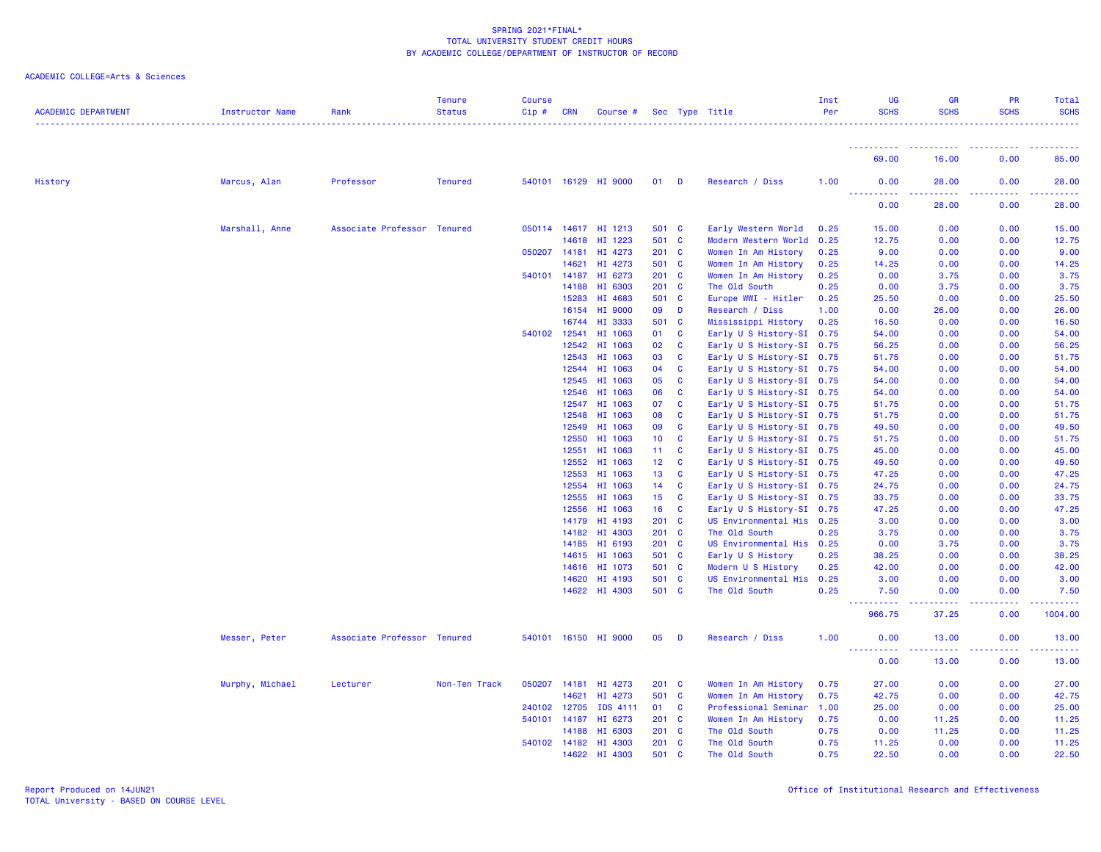| <b>ACADEMIC DEPARTMENT</b> | Instructor Name | Rank                        | <b>Tenure</b><br><b>Status</b> | <b>Course</b><br>$Cip \#$ | <b>CRN</b>   | Course #             |                 |                         | Sec Type Title            | Inst<br>Per | <b>UG</b><br><b>SCHS</b> | <b>GR</b><br><b>SCHS</b> | <b>PR</b><br><b>SCHS</b> | Total<br><b>SCHS</b>                   |
|----------------------------|-----------------|-----------------------------|--------------------------------|---------------------------|--------------|----------------------|-----------------|-------------------------|---------------------------|-------------|--------------------------|--------------------------|--------------------------|----------------------------------------|
|                            |                 |                             |                                |                           |              |                      |                 |                         |                           |             | 69.00                    | 16.00                    | 0.00                     | 85.00                                  |
|                            |                 |                             |                                |                           |              |                      |                 |                         |                           |             |                          |                          |                          |                                        |
| History                    | Marcus, Alan    | Professor                   | <b>Tenured</b>                 |                           |              | 540101 16129 HI 9000 | $01$ D          |                         | Research / Diss           | 1.00        | 0.00<br><u>.</u>         | 28.00<br>.               | 0.00                     | 28.00<br>.                             |
|                            |                 |                             |                                |                           |              |                      |                 |                         |                           |             | 0.00                     | 28.00                    | 0.00                     | 28.00                                  |
|                            | Marshall, Anne  | Associate Professor Tenured |                                |                           |              | 050114 14617 HI 1213 | 501 C           |                         | Early Western World       | 0.25        | 15.00                    | 0.00                     | 0.00                     | 15.00                                  |
|                            |                 |                             |                                |                           | 14618        | HI 1223              | 501 C           |                         | Modern Western World      | 0.25        | 12.75                    | 0.00                     | 0.00                     | 12.75                                  |
|                            |                 |                             |                                | 050207 14181              |              | HI 4273              | $201$ C         |                         | Women In Am History       | 0.25        | 9.00                     | 0.00                     | 0.00                     | 9.00                                   |
|                            |                 |                             |                                |                           | 14621        | HI 4273              | 501 C           |                         | Women In Am History       | 0.25        | 14.25                    | 0.00                     | 0.00                     | 14.25                                  |
|                            |                 |                             |                                |                           | 540101 14187 | HI 6273              | $201 \quad C$   |                         | Women In Am History       | 0.25        | 0.00                     | 3.75                     | 0.00                     | 3.75                                   |
|                            |                 |                             |                                |                           | 14188        | HI 6303              | $201 \quad C$   |                         | The Old South             | 0.25        | 0.00                     | 3.75                     | 0.00                     | 3.75                                   |
|                            |                 |                             |                                |                           | 15283        | HI 4683              | 501 C           |                         | Europe WWI - Hitler       | 0.25        | 25.50                    | 0.00                     | 0.00                     | 25.50                                  |
|                            |                 |                             |                                |                           | 16154        | HI 9000              | 09 D            |                         | Research / Diss           | 1.00        | 0.00                     | 26.00                    | 0.00                     | 26.00                                  |
|                            |                 |                             |                                |                           | 16744        | HI 3333              | 501 C           |                         | Mississippi History       | 0.25        | 16.50                    | 0.00                     | 0.00                     | 16.50                                  |
|                            |                 |                             |                                | 540102 12541              |              | HI 1063              | 01              | C                       | Early U S History-SI 0.75 |             | 54.00                    | 0.00                     | 0.00                     | 54.00                                  |
|                            |                 |                             |                                |                           | 12542        | HI 1063              | 02              | <b>C</b>                | Early U S History-SI 0.75 |             | 56.25                    | 0.00                     | 0.00                     | 56.25                                  |
|                            |                 |                             |                                |                           | 12543        | HI 1063              | 03              | <b>C</b>                | Early U S History-SI 0.75 |             | 51.75                    | 0.00                     | 0.00                     | 51.75                                  |
|                            |                 |                             |                                |                           | 12544        | HI 1063              | 04              | <b>C</b>                | Early U S History-SI 0.75 |             | 54.00                    | 0.00                     | 0.00                     | 54.00                                  |
|                            |                 |                             |                                |                           | 12545        | HI 1063              | 05              | <b>C</b>                | Early U S History-SI 0.75 |             | 54.00                    | 0.00                     | 0.00                     | 54.00                                  |
|                            |                 |                             |                                |                           | 12546        | HI 1063              | 06              | $\mathbf{C}$            | Early U S History-SI 0.75 |             | 54.00                    | 0.00                     | 0.00                     | 54.00                                  |
|                            |                 |                             |                                |                           | 12547        | HI 1063              | 07              | <b>C</b>                | Early U S History-SI 0.75 |             | 51.75                    | 0.00                     | 0.00                     | 51.75                                  |
|                            |                 |                             |                                |                           | 12548        | HI 1063              | 08              | C                       | Early U S History-SI 0.75 |             | 51.75                    | 0.00                     | 0.00                     | 51.75                                  |
|                            |                 |                             |                                |                           | 12549        | HI 1063              | 09              | C                       | Early U S History-SI 0.75 |             | 49.50                    | 0.00                     | 0.00                     | 49.50                                  |
|                            |                 |                             |                                |                           | 12550        | HI 1063              | 10 <sub>1</sub> | <b>C</b>                | Early U S History-SI 0.75 |             | 51.75                    | 0.00                     | 0.00                     | 51.75                                  |
|                            |                 |                             |                                |                           | 12551        | HI 1063              | 11 C            |                         | Early U S History-SI 0.75 |             | 45.00                    | 0.00                     | 0.00                     | 45.00                                  |
|                            |                 |                             |                                |                           | 12552        | HI 1063              | 12 <sub>1</sub> | $\overline{\mathbf{c}}$ | Early U S History-SI 0.75 |             | 49.50                    | 0.00                     | 0.00                     | 49.50                                  |
|                            |                 |                             |                                |                           | 12553        | HI 1063              | 13              | <b>C</b>                | Early U S History-SI 0.75 |             | 47.25                    | 0.00                     | 0.00                     | 47.25                                  |
|                            |                 |                             |                                |                           | 12554        | HI 1063              | 14              | $\mathbf{C}$            | Early U S History-SI 0.75 |             | 24.75                    | 0.00                     | 0.00                     | 24.75                                  |
|                            |                 |                             |                                |                           | 12555        | HI 1063              | $15$ C          |                         | Early U S History-SI 0.75 |             | 33.75                    | 0.00                     | 0.00                     | 33.75                                  |
|                            |                 |                             |                                |                           | 12556        | HI 1063              | 16              | $\overline{\mathbf{C}}$ | Early U S History-SI 0.75 |             | 47.25                    | 0.00                     | 0.00                     | 47.25                                  |
|                            |                 |                             |                                |                           | 14179        | HI 4193              | $201 \quad C$   |                         | US Environmental His 0.25 |             | 3.00                     | 0.00                     | 0.00                     | 3.00                                   |
|                            |                 |                             |                                |                           | 14182        | HI 4303              | $201 \quad C$   |                         | The Old South             | 0.25        | 3.75                     | 0.00                     | 0.00                     | 3.75                                   |
|                            |                 |                             |                                |                           | 14185        | HI 6193              | $201 \quad C$   |                         | US Environmental His 0.25 |             | 0.00                     | 3.75                     | 0.00                     | 3.75                                   |
|                            |                 |                             |                                |                           |              | 14615 HI 1063        | 501 C           |                         | Early U S History         | 0.25        | 38.25                    | 0.00                     | 0.00                     | 38.25                                  |
|                            |                 |                             |                                |                           |              | 14616 HI 1073        | 501 C           |                         | Modern U S History        | 0.25        | 42.00                    | 0.00                     | 0.00                     | 42.00                                  |
|                            |                 |                             |                                |                           | 14620        | HI 4193              | 501 C           |                         | US Environmental His 0.25 |             | 3.00                     | 0.00                     | 0.00                     | 3.00                                   |
|                            |                 |                             |                                |                           |              | 14622 HI 4303        | 501 C           |                         | The Old South             | 0.25        | 7.50<br><b>.</b>         | 0.00<br><b>.</b>         | 0.00<br>$- - - - -$      | 7.50<br>.                              |
|                            |                 |                             |                                |                           |              |                      |                 |                         |                           |             | 966.75                   | 37.25                    | 0.00                     | 1004.00                                |
|                            | Messer, Peter   | Associate Professor Tenured |                                |                           |              | 540101 16150 HI 9000 | 05              | <b>D</b>                | Research / Diss           | 1.00        | 0.00                     | 13.00                    | 0.00                     | 13.00                                  |
|                            |                 |                             |                                |                           |              |                      |                 |                         |                           |             | <b></b><br>0.00          | .<br>13.00               | .<br>0.00                | <b><i><u><u>.</u></u></i></b><br>13.00 |
|                            | Murphy, Michael | Lecturer                    | Non-Ten Track                  |                           | 050207 14181 | HI 4273              | $201$ C         |                         | Women In Am History       | 0.75        | 27.00                    | 0.00                     | 0.00                     | 27.00                                  |
|                            |                 |                             |                                |                           | 14621        | HI 4273              | 501 C           |                         | Women In Am History       | 0.75        | 42.75                    | 0.00                     | 0.00                     | 42.75                                  |
|                            |                 |                             |                                | 240102 12705              |              | IDS 4111             | 01 C            |                         | Professional Seminar      | 1.00        | 25.00                    | 0.00                     | 0.00                     | 25.00                                  |
|                            |                 |                             |                                | 540101 14187              |              | HI 6273              | $201 \quad C$   |                         | Women In Am History       | 0.75        | 0.00                     | 11.25                    | 0.00                     | 11.25                                  |
|                            |                 |                             |                                |                           | 14188        | HI 6303              | $201 \quad C$   |                         | The Old South             | 0.75        | 0.00                     | 11.25                    | 0.00                     | 11.25                                  |
|                            |                 |                             |                                |                           |              | 540102 14182 HI 4303 | $201$ C         |                         | The Old South             | 0.75        | 11.25                    | 0.00                     | 0.00                     | 11.25                                  |
|                            |                 |                             |                                |                           | 14622        | HI 4303              | 501 C           |                         | The Old South             | 0.75        | 22.50                    | 0.00                     | 0.00                     | 22.50                                  |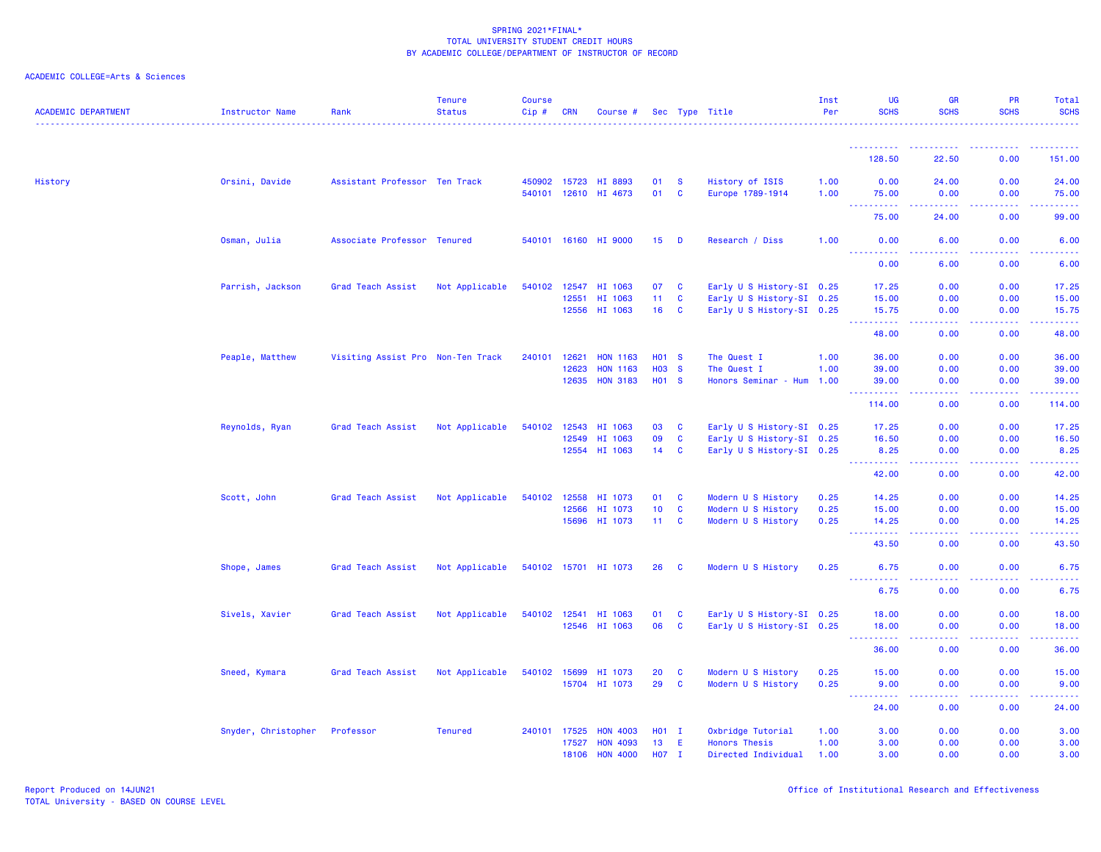| <b>ACADEMIC DEPARTMENT</b> | Instructor Name     | Rank                              | <b>Tenure</b><br><b>Status</b> | <b>Course</b><br>Cip# | <b>CRN</b>   | Course #             |                   |              | Sec Type Title            | Inst<br>Per | <b>UG</b><br><b>SCHS</b>                  | <b>GR</b><br><b>SCHS</b> | PR<br><b>SCHS</b>                                                                                                                                            | Total<br><b>SCHS</b>                                |
|----------------------------|---------------------|-----------------------------------|--------------------------------|-----------------------|--------------|----------------------|-------------------|--------------|---------------------------|-------------|-------------------------------------------|--------------------------|--------------------------------------------------------------------------------------------------------------------------------------------------------------|-----------------------------------------------------|
|                            |                     |                                   |                                |                       |              |                      |                   |              |                           |             | ----------                                |                          |                                                                                                                                                              |                                                     |
|                            |                     |                                   |                                |                       |              |                      |                   |              |                           |             | 128.50                                    | 22.50                    | 0.00                                                                                                                                                         | 151.00                                              |
| History                    | Orsini, Davide      | Assistant Professor Ten Track     |                                |                       | 450902 15723 | HI 8893              | 01                | <b>S</b>     | History of ISIS           | 1.00        | 0.00                                      | 24.00                    | 0.00                                                                                                                                                         | 24.00                                               |
|                            |                     |                                   |                                |                       |              | 540101 12610 HI 4673 | 01                | <b>C</b>     | Europe 1789-1914          | 1.00        | 75.00<br><b>.</b> .                       | 0.00<br>.                | 0.00<br>$\frac{1}{2} \left( \frac{1}{2} \right) \left( \frac{1}{2} \right) \left( \frac{1}{2} \right) \left( \frac{1}{2} \right) \left( \frac{1}{2} \right)$ | 75.00<br>.                                          |
|                            |                     |                                   |                                |                       |              |                      |                   |              |                           |             | 75.00                                     | 24.00                    | 0.00                                                                                                                                                         | 99.00                                               |
|                            | Osman, Julia        | Associate Professor Tenured       |                                |                       |              | 540101 16160 HI 9000 | 15                | $\mathbf{D}$ | Research / Diss           | 1.00        | 0.00<br><u>.</u>                          | 6.00<br>.                | 0.00<br>. <b>.</b>                                                                                                                                           | 6.00<br>.                                           |
|                            |                     |                                   |                                |                       |              |                      |                   |              |                           |             | 0.00                                      | 6.00                     | 0.00                                                                                                                                                         | 6.00                                                |
|                            | Parrish, Jackson    | Grad Teach Assist                 | Not Applicable                 | 540102                | 12547        | HI 1063              | 07                | <b>C</b>     | Early U S History-SI 0.25 |             | 17.25                                     | 0.00                     | 0.00                                                                                                                                                         | 17.25                                               |
|                            |                     |                                   |                                |                       | 12551        | HI 1063              | 11 <sub>1</sub>   | $\mathbf{C}$ | Early U S History-SI 0.25 |             | 15.00                                     | 0.00                     | 0.00                                                                                                                                                         | 15.00                                               |
|                            |                     |                                   |                                |                       | 12556        | HI 1063              | 16                | $\mathbf{C}$ | Early U S History-SI 0.25 |             | 15.75<br>.                                | 0.00<br>الأمال الأما     | 0.00<br>.                                                                                                                                                    | 15.75<br>.                                          |
|                            |                     |                                   |                                |                       |              |                      |                   |              |                           |             | 48.00                                     | 0.00                     | 0.00                                                                                                                                                         | 48.00                                               |
|                            | Peaple, Matthew     | Visiting Assist Pro Non-Ten Track |                                | 240101                | 12621        | <b>HON 1163</b>      | <b>HO1 S</b>      |              | The Quest I               | 1.00        | 36.00                                     | 0.00                     | 0.00                                                                                                                                                         | 36.00                                               |
|                            |                     |                                   |                                |                       | 12623        | <b>HON 1163</b>      | <b>HO3</b>        | $\mathbf{s}$ | The Quest I               | 1.00        | 39.00                                     | 0.00                     | 0.00                                                                                                                                                         | 39.00                                               |
|                            |                     |                                   |                                |                       | 12635        | <b>HON 3183</b>      | H <sub>01</sub> S |              | Honors Seminar - Hum 1.00 |             | 39,00<br>.                                | 0.00<br>.                | 0.00<br>22222                                                                                                                                                | 39.00<br>.                                          |
|                            |                     |                                   |                                |                       |              |                      |                   |              |                           |             | 114.00                                    | 0.00                     | 0.00                                                                                                                                                         | 114.00                                              |
|                            | Reynolds, Ryan      | Grad Teach Assist                 | Not Applicable                 | 540102                | 12543        | HI 1063              | 03                | $\mathbf{C}$ | Early U S History-SI 0.25 |             | 17.25                                     | 0.00                     | 0.00                                                                                                                                                         | 17.25                                               |
|                            |                     |                                   |                                |                       | 12549        | HI 1063              | 09                | $\mathbf{C}$ | Early U S History-SI 0.25 |             | 16.50                                     | 0.00                     | 0.00                                                                                                                                                         | 16.50                                               |
|                            |                     |                                   |                                |                       | 12554        | HI 1063              | 14                | $\mathbf{C}$ | Early U S History-SI 0.25 |             | 8.25<br>.<br>$\sim$ $\sim$ $\sim$         | 0.00<br>.                | 0.00<br>.                                                                                                                                                    | 8.25<br>.                                           |
|                            |                     |                                   |                                |                       |              |                      |                   |              |                           |             | 42.00                                     | 0.00                     | 0.00                                                                                                                                                         | 42.00                                               |
|                            | Scott, John         | Grad Teach Assist                 | Not Applicable                 | 540102 12558          |              | HI 1073              | 01                | $\mathbf{C}$ | Modern U S History        | 0.25        | 14.25                                     | 0.00                     | 0.00                                                                                                                                                         | 14.25                                               |
|                            |                     |                                   |                                |                       | 12566        | HI 1073              | 10                | $\mathbf{C}$ | Modern U S History        | 0.25        | 15.00                                     | 0.00                     | 0.00                                                                                                                                                         | 15.00                                               |
|                            |                     |                                   |                                |                       |              | 15696 HI 1073        | 11 <sub>1</sub>   | $\mathbf{C}$ | Modern U S History        | 0.25        | 14.25<br>$\sim$ $\sim$ $\sim$<br><u>.</u> | 0.00                     | 0.00                                                                                                                                                         | 14.25                                               |
|                            |                     |                                   |                                |                       |              |                      |                   |              |                           |             | 43.50                                     | .<br>0.00                | . <b>.</b><br>0.00                                                                                                                                           | .<br>43.50                                          |
|                            | Shope, James        | Grad Teach Assist                 | Not Applicable                 |                       |              | 540102 15701 HI 1073 | 26                | <b>C</b>     | Modern U S History        | 0.25        | 6.75<br>----------                        | 0.00<br>والمستناء        | 0.00<br>.                                                                                                                                                    | 6.75<br>$\omega_{\rm{eff}}$ and $\omega_{\rm{eff}}$ |
|                            |                     |                                   |                                |                       |              |                      |                   |              |                           |             | 6.75                                      | 0.00                     | 0.00                                                                                                                                                         | 6.75                                                |
|                            | Sivels, Xavier      | Grad Teach Assist                 | Not Applicable                 | 540102 12541          |              | HI 1063              | 01                | C            | Early U S History-SI 0.25 |             | 18.00                                     | 0.00                     | 0.00                                                                                                                                                         | 18.00                                               |
|                            |                     |                                   |                                |                       |              | 12546 HI 1063        | 06                | <b>C</b>     | Early U S History-SI 0.25 |             | 18.00<br>$\sim 100$                       | 0.00                     | 0.00                                                                                                                                                         | 18.00                                               |
|                            |                     |                                   |                                |                       |              |                      |                   |              |                           |             | <u>.</u><br>36.00                         | .<br>0.00                | .<br>0.00                                                                                                                                                    | .<br>36.00                                          |
|                            | Sneed, Kymara       | Grad Teach Assist                 | Not Applicable                 |                       | 540102 15699 | HI 1073              | 20                | <b>C</b>     | Modern U S History        | 0.25        | 15.00                                     | 0.00                     | 0.00                                                                                                                                                         | 15.00                                               |
|                            |                     |                                   |                                |                       |              | 15704 HI 1073        | 29                | <b>C</b>     | Modern U S History        | 0.25        | 9.00                                      | 0.00                     | 0.00                                                                                                                                                         | 9.00                                                |
|                            |                     |                                   |                                |                       |              |                      |                   |              |                           |             | $\sim$ $\sim$ $\sim$<br><b>.</b><br>24.00 | .<br>0.00                | $\frac{1}{2} \left( \frac{1}{2} \right) \left( \frac{1}{2} \right) \left( \frac{1}{2} \right) \left( \frac{1}{2} \right) \left( \frac{1}{2} \right)$<br>0.00 | .<br>24.00                                          |
|                            | Snyder, Christopher | Professor                         | <b>Tenured</b>                 | 240101 17525          |              | <b>HON 4003</b>      | $H01$ I           |              | Oxbridge Tutorial         | 1.00        | 3.00                                      | 0.00                     | 0.00                                                                                                                                                         | 3.00                                                |
|                            |                     |                                   |                                |                       | 17527        | <b>HON 4093</b>      | 13                | E.           | <b>Honors Thesis</b>      | 1.00        | 3.00                                      | 0.00                     | 0.00                                                                                                                                                         | 3.00                                                |
|                            |                     |                                   |                                |                       | 18106        | <b>HON 4000</b>      | <b>HO7</b>        | $\mathbf{I}$ | Directed Individual       | 1.00        | 3.00                                      | 0.00                     | 0.00                                                                                                                                                         | 3.00                                                |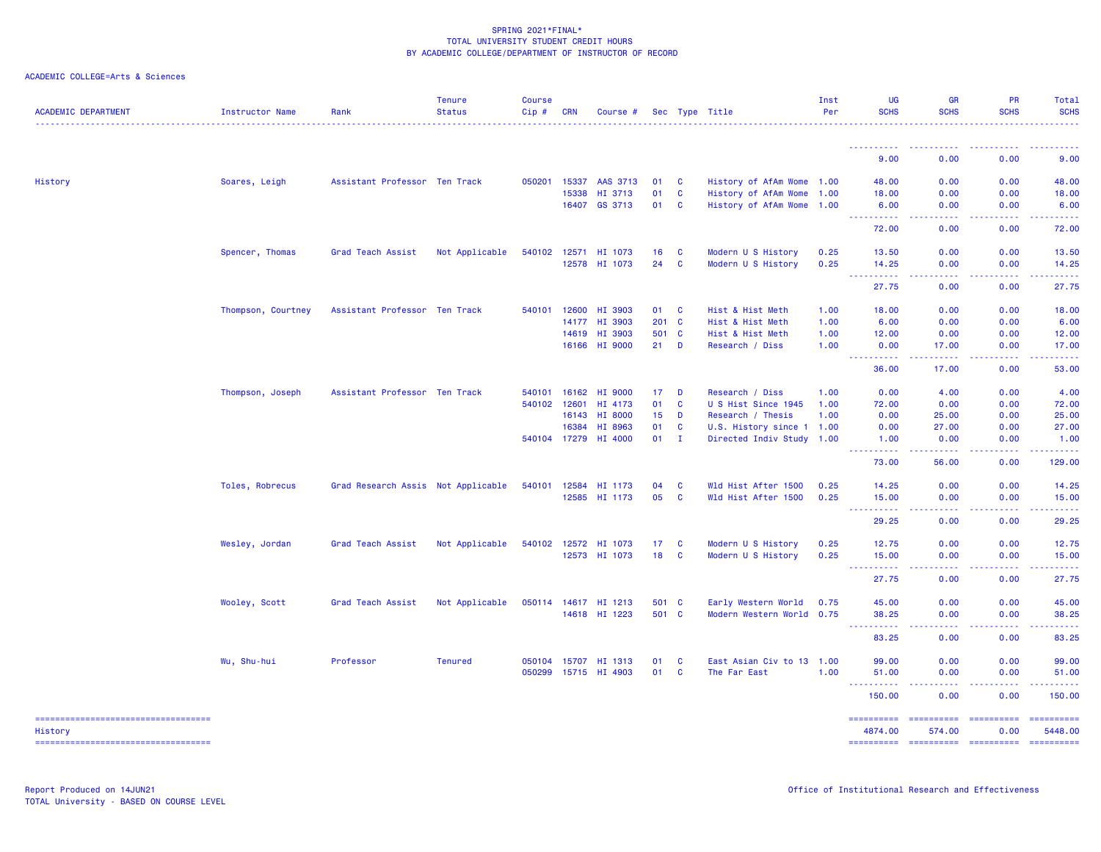| ACADEMIC COLLEGE=Arts & Sciences |  |  |  |
|----------------------------------|--|--|--|
|----------------------------------|--|--|--|

| <b>ACADEMIC DEPARTMENT</b>                    | Instructor Name    | Rank                               | <b>Tenure</b><br><b>Status</b> | <b>Course</b><br>Cip # | <b>CRN</b> | Course #             |         |              | Sec Type Title            | Inst<br>Per | UG<br><b>SCHS</b>                                | <b>GR</b><br><b>SCHS</b>            | <b>PR</b><br><b>SCHS</b> | Total<br><b>SCHS</b>                                                                                                                                                                                                                                                                                                                                                                                                                                                                              |
|-----------------------------------------------|--------------------|------------------------------------|--------------------------------|------------------------|------------|----------------------|---------|--------------|---------------------------|-------------|--------------------------------------------------|-------------------------------------|--------------------------|---------------------------------------------------------------------------------------------------------------------------------------------------------------------------------------------------------------------------------------------------------------------------------------------------------------------------------------------------------------------------------------------------------------------------------------------------------------------------------------------------|
|                                               |                    |                                    |                                |                        |            |                      |         |              |                           |             | <u> - - - - - - - - - -</u>                      | .                                   | . <u>.</u>               | .                                                                                                                                                                                                                                                                                                                                                                                                                                                                                                 |
|                                               |                    |                                    |                                |                        |            |                      |         |              |                           |             | 9.00                                             | 0.00                                | 0.00                     | 9.00                                                                                                                                                                                                                                                                                                                                                                                                                                                                                              |
| History                                       | Soares, Leigh      | Assistant Professor Ten Track      |                                | 050201                 | 15337      | AAS 3713             | 01      | <b>C</b>     | History of AfAm Wome 1.00 |             | 48.00                                            | 0.00                                | 0.00                     | 48.00                                                                                                                                                                                                                                                                                                                                                                                                                                                                                             |
|                                               |                    |                                    |                                |                        | 15338      | HI 3713              | 01      | $\mathbf{C}$ | History of AfAm Wome      | 1.00        | 18.00                                            | 0.00                                | 0.00                     | 18.00                                                                                                                                                                                                                                                                                                                                                                                                                                                                                             |
|                                               |                    |                                    |                                |                        | 16407      | GS 3713              | 01      | <b>C</b>     | History of AfAm Wome 1.00 |             | 6.00<br><b><i><u>AAAAAAAAA</u></i></b>           | 0.00<br>.                           | 0.00<br>-----            | 6.00                                                                                                                                                                                                                                                                                                                                                                                                                                                                                              |
|                                               |                    |                                    |                                |                        |            |                      |         |              |                           |             | 72.00                                            | 0.00                                | 0.00                     | 72.00                                                                                                                                                                                                                                                                                                                                                                                                                                                                                             |
|                                               | Spencer, Thomas    | Grad Teach Assist                  | Not Applicable                 | 540102                 | 12571      | HI 1073              | 16      | <b>C</b>     | Modern U S History        | 0.25        | 13.50                                            | 0.00                                | 0.00                     | 13.50                                                                                                                                                                                                                                                                                                                                                                                                                                                                                             |
|                                               |                    |                                    |                                |                        | 12578      | HI 1073              | 24      | $\mathbf{C}$ | Modern U S History        | 0.25        | 14.25<br>.                                       | 0.00<br>.                           | 0.00<br>.                | 14.25<br>.                                                                                                                                                                                                                                                                                                                                                                                                                                                                                        |
|                                               |                    |                                    |                                |                        |            |                      |         |              |                           |             | 27.75                                            | 0.00                                | 0.00                     | 27.75                                                                                                                                                                                                                                                                                                                                                                                                                                                                                             |
|                                               | Thompson, Courtney | Assistant Professor Ten Track      |                                | 540101                 | 12600      | HI 3903              | 01      | <b>C</b>     | Hist & Hist Meth          | 1.00        | 18.00                                            | 0.00                                | 0.00                     | 18.00                                                                                                                                                                                                                                                                                                                                                                                                                                                                                             |
|                                               |                    |                                    |                                |                        | 14177      | HI 3903              | $201$ C |              | Hist & Hist Meth          | 1.00        | 6.00                                             | 0.00                                | 0.00                     | 6.00                                                                                                                                                                                                                                                                                                                                                                                                                                                                                              |
|                                               |                    |                                    |                                |                        | 14619      | HI 3903              | 501 C   |              | Hist & Hist Meth          | 1.00        | 12.00                                            | 0.00                                | 0.00                     | 12.00                                                                                                                                                                                                                                                                                                                                                                                                                                                                                             |
|                                               |                    |                                    |                                |                        | 16166      | HI 9000              | 21      | D            | Research / Diss           | 1.00        | 0.00<br>.                                        | 17.00                               | 0.00                     | 17.00                                                                                                                                                                                                                                                                                                                                                                                                                                                                                             |
|                                               |                    |                                    |                                |                        |            |                      |         |              |                           |             | 36.00                                            | 17.00                               | 0.00                     | 53.00                                                                                                                                                                                                                                                                                                                                                                                                                                                                                             |
|                                               | Thompson, Joseph   | Assistant Professor Ten Track      |                                | 540101                 | 16162      | HI 9000              | 17      | D            | Research / Diss           | 1.00        | 0.00                                             | 4.00                                | 0.00                     | 4.00                                                                                                                                                                                                                                                                                                                                                                                                                                                                                              |
|                                               |                    |                                    |                                | 540102 12601           |            | HI 4173              | 01      | $\mathbf{C}$ | U S Hist Since 1945       | 1.00        | 72.00                                            | 0.00                                | 0.00                     | 72.00                                                                                                                                                                                                                                                                                                                                                                                                                                                                                             |
|                                               |                    |                                    |                                |                        | 16143      | HI 8000              | 15      | D            | Research / Thesis         | 1.00        | 0.00                                             | 25.00                               | 0.00                     | 25.00                                                                                                                                                                                                                                                                                                                                                                                                                                                                                             |
|                                               |                    |                                    |                                |                        | 16384      | HI 8963              | 01      | $\mathbf{C}$ | U.S. History since 1 1.00 |             | 0.00                                             | 27.00                               | 0.00                     | 27.00                                                                                                                                                                                                                                                                                                                                                                                                                                                                                             |
|                                               |                    |                                    |                                |                        |            | 540104 17279 HI 4000 | 01      | $\mathbf{I}$ | Directed Indiv Study 1.00 |             | 1.00<br>.                                        | 0.00                                | 0.00                     | 1.00                                                                                                                                                                                                                                                                                                                                                                                                                                                                                              |
|                                               |                    |                                    |                                |                        |            |                      |         |              |                           |             | 73.00                                            | 56.00                               | 0.00                     | 129.00                                                                                                                                                                                                                                                                                                                                                                                                                                                                                            |
|                                               | Toles, Robrecus    | Grad Research Assis Not Applicable |                                | 540101                 | 12584      | HI 1173              | 04      | C            | Wld Hist After 1500       | 0.25        | 14.25                                            | 0.00                                | 0.00                     | 14.25                                                                                                                                                                                                                                                                                                                                                                                                                                                                                             |
|                                               |                    |                                    |                                |                        |            | 12585 HI 1173        | 05      | C            | Wld Hist After 1500       | 0.25        | 15.00                                            | 0.00                                | 0.00                     | 15.00                                                                                                                                                                                                                                                                                                                                                                                                                                                                                             |
|                                               |                    |                                    |                                |                        |            |                      |         |              |                           |             | د د د د د<br>29.25                               | 0.00                                | 0.00                     | 29.25                                                                                                                                                                                                                                                                                                                                                                                                                                                                                             |
|                                               | Wesley, Jordan     | Grad Teach Assist                  | Not Applicable                 |                        |            | 540102 12572 HI 1073 | 17      | C            | Modern U S History        | 0.25        | 12.75                                            | 0.00                                | 0.00                     | 12.75                                                                                                                                                                                                                                                                                                                                                                                                                                                                                             |
|                                               |                    |                                    |                                |                        |            | 12573 HI 1073        | 18      | <b>C</b>     | Modern U S History        | 0.25        | 15.00                                            | 0.00                                | 0.00                     | 15.00                                                                                                                                                                                                                                                                                                                                                                                                                                                                                             |
|                                               |                    |                                    |                                |                        |            |                      |         |              |                           |             | <b>.</b> .<br>27.75                              | .<br>0.00                           | <u>.</u><br>0.00         | .<br>27.75                                                                                                                                                                                                                                                                                                                                                                                                                                                                                        |
|                                               | Wooley, Scott      | Grad Teach Assist                  | Not Applicable                 |                        |            | 050114 14617 HI 1213 | 501 C   |              | Early Western World       | 0.75        | 45.00                                            | 0.00                                | 0.00                     | 45.00                                                                                                                                                                                                                                                                                                                                                                                                                                                                                             |
|                                               |                    |                                    |                                |                        |            | 14618 HI 1223        | 501 C   |              | Modern Western World 0.75 |             | 38.25                                            | 0.00                                | 0.00                     | 38.25                                                                                                                                                                                                                                                                                                                                                                                                                                                                                             |
|                                               |                    |                                    |                                |                        |            |                      |         |              |                           |             | <b></b><br>83.25                                 | 22222<br>$- - -$<br>0.00            | . <b>.</b> .<br>0.00     | .<br>83.25                                                                                                                                                                                                                                                                                                                                                                                                                                                                                        |
|                                               | Wu, Shu-hui        | Professor                          | <b>Tenured</b>                 | 050104 15707           |            | HI 1313              | 01      | C            | East Asian Civ to 13 1.00 |             | 99.00                                            | 0.00                                | 0.00                     | 99.00                                                                                                                                                                                                                                                                                                                                                                                                                                                                                             |
|                                               |                    |                                    |                                |                        |            | 050299 15715 HI 4903 | 01      | $\mathbf{C}$ | The Far East              | 1.00        | 51.00                                            | 0.00                                | 0.00                     | 51.00                                                                                                                                                                                                                                                                                                                                                                                                                                                                                             |
|                                               |                    |                                    |                                |                        |            |                      |         |              |                           |             | <b><i><u><u> - - - - -</u></u></i></b><br>150.00 | $\sim$ $\sim$ $\sim$ $\sim$<br>0.00 | -----<br>0.00            | .<br>150.00                                                                                                                                                                                                                                                                                                                                                                                                                                                                                       |
| ----------------------------------<br>History |                    |                                    |                                |                        |            |                      |         |              |                           |             | <b>EEEEEEEEE</b><br>4874.00                      | 574.00                              | 0.00                     | $\begin{array}{cccccccccc} \multicolumn{2}{c}{} & \multicolumn{2}{c}{} & \multicolumn{2}{c}{} & \multicolumn{2}{c}{} & \multicolumn{2}{c}{} & \multicolumn{2}{c}{} & \multicolumn{2}{c}{} & \multicolumn{2}{c}{} & \multicolumn{2}{c}{} & \multicolumn{2}{c}{} & \multicolumn{2}{c}{} & \multicolumn{2}{c}{} & \multicolumn{2}{c}{} & \multicolumn{2}{c}{} & \multicolumn{2}{c}{} & \multicolumn{2}{c}{} & \multicolumn{2}{c}{} & \multicolumn{2}{c}{} & \multicolumn{2}{c}{} & \mult$<br>5448.00 |
| ----------------------------------            |                    |                                    |                                |                        |            |                      |         |              |                           |             |                                                  |                                     |                          |                                                                                                                                                                                                                                                                                                                                                                                                                                                                                                   |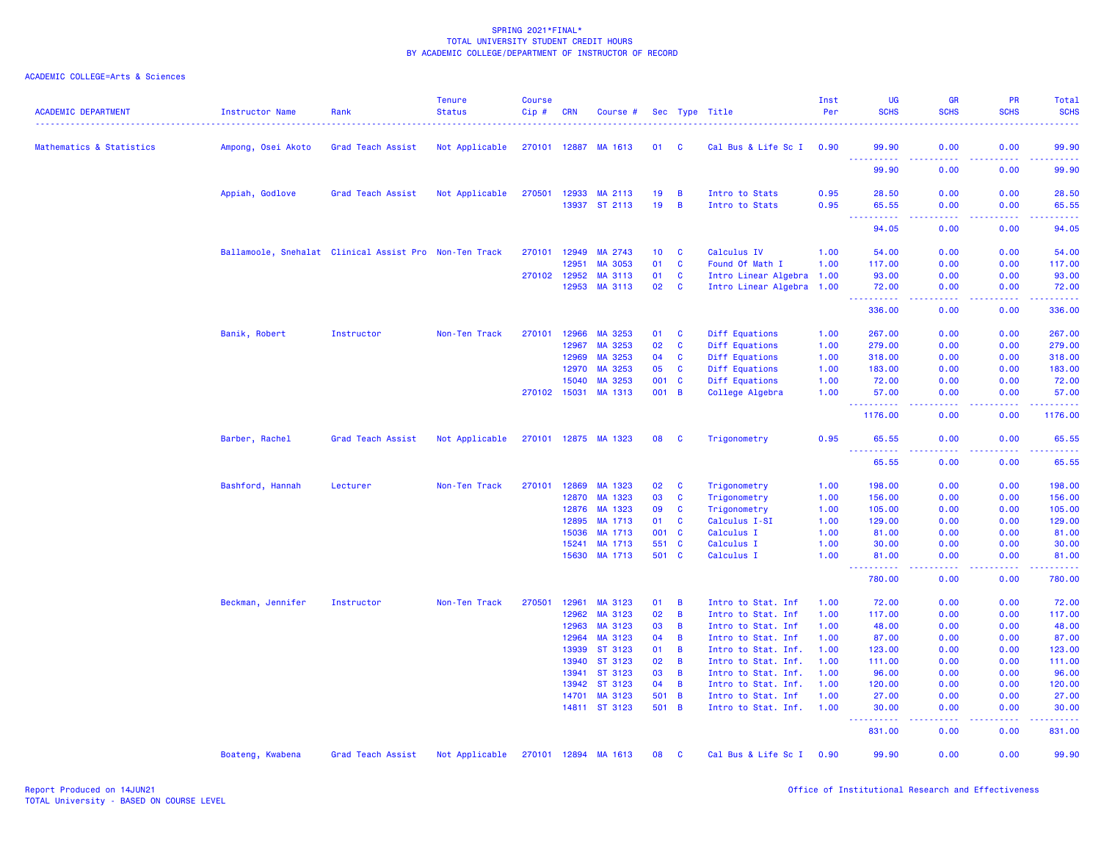| <b>ACADEMIC DEPARTMENT</b> | Instructor Name    | Rank                                                   | <b>Tenure</b><br><b>Status</b> | <b>Course</b><br>Cip# | <b>CRN</b>            | Course #                 |                 |                              | Sec Type Title                            | Inst<br>Per  | <b>UG</b><br><b>SCHS</b>                                  | <b>GR</b><br><b>SCHS</b>            | <b>PR</b><br><b>SCHS</b> | Total<br><b>SCHS</b>                                                                                                                                 |
|----------------------------|--------------------|--------------------------------------------------------|--------------------------------|-----------------------|-----------------------|--------------------------|-----------------|------------------------------|-------------------------------------------|--------------|-----------------------------------------------------------|-------------------------------------|--------------------------|------------------------------------------------------------------------------------------------------------------------------------------------------|
| Mathematics & Statistics   | Ampong, Osei Akoto | Grad Teach Assist                                      | Not Applicable                 | 270101 12887          |                       | MA 1613                  | 01              | <b>C</b>                     | Cal Bus & Life Sc I 0.90                  |              | 99.90                                                     | 0.00                                | 0.00                     | 99.90                                                                                                                                                |
|                            |                    |                                                        |                                |                       |                       |                          |                 |                              |                                           |              | <u>.</u><br>99.90                                         | .<br>0.00                           | .<br>0.00                | .<br>99.90                                                                                                                                           |
|                            | Appiah, Godlove    | Grad Teach Assist                                      | Not Applicable                 | 270501                | 12933                 | MA 2113                  | 19              | $\overline{B}$               | Intro to Stats                            | 0.95         | 28.50                                                     | 0.00                                | 0.00                     | 28.50                                                                                                                                                |
|                            |                    |                                                        |                                |                       | 13937                 | ST 2113                  | 19              | $\overline{B}$               | Intro to Stats                            | 0.95         | 65.55<br>.<br>والمرامين                                   | 0.00<br>د د د د                     | 0.00<br>22222            | 65.55<br>.                                                                                                                                           |
|                            |                    |                                                        |                                |                       |                       |                          |                 |                              |                                           |              | 94.05                                                     | 0.00                                | 0.00                     | 94.05                                                                                                                                                |
|                            |                    | Ballamoole, Snehalat Clinical Assist Pro Non-Ten Track |                                | 270101                | 12949                 | MA 2743                  | 10 <sub>1</sub> | <b>C</b>                     | Calculus IV                               | 1.00         | 54.00                                                     | 0.00                                | 0.00                     | 54.00                                                                                                                                                |
|                            |                    |                                                        |                                |                       | 12951                 | <b>MA 3053</b>           | 01              | $\mathbf{C}$                 | Found Of Math I                           | 1.00         | 117.00                                                    | 0.00                                | 0.00                     | 117.00                                                                                                                                               |
|                            |                    |                                                        |                                |                       | 270102 12952<br>12953 | MA 3113<br>MA 3113       | 01<br>02        | C<br><b>C</b>                | Intro Linear Algebra 1.00                 |              | 93.00                                                     | 0.00<br>0.00                        | 0.00<br>0.00             | 93.00<br>72.00                                                                                                                                       |
|                            |                    |                                                        |                                |                       |                       |                          |                 |                              | Intro Linear Algebra 1.00                 |              | 72.00<br>$\omega_{\rm{eff}}$ and $\omega_{\rm{eff}}$<br>. | والمستناء                           | .                        | .                                                                                                                                                    |
|                            |                    |                                                        |                                |                       |                       |                          |                 |                              |                                           |              | 336.00                                                    | 0.00                                | 0.00                     | 336.00                                                                                                                                               |
|                            | Banik, Robert      | Instructor                                             | Non-Ten Track                  | 270101                | 12966                 | MA 3253                  | 01              | <b>C</b>                     | Diff Equations                            | 1.00         | 267.00                                                    | 0.00                                | 0.00                     | 267.00                                                                                                                                               |
|                            |                    |                                                        |                                |                       | 12967                 | MA 3253                  | 02              | $\mathbf{C}$                 | Diff Equations                            | 1.00         | 279.00                                                    | 0.00                                | 0.00                     | 279.00                                                                                                                                               |
|                            |                    |                                                        |                                |                       | 12969                 | MA 3253                  | 04              | $\mathbf{C}$                 | Diff Equations                            | 1.00         | 318.00                                                    | 0.00                                | 0.00                     | 318.00                                                                                                                                               |
|                            |                    |                                                        |                                |                       | 12970                 | MA 3253                  | 05              | <b>C</b>                     | Diff Equations                            | 1.00         | 183.00                                                    | 0.00                                | 0.00                     | 183.00                                                                                                                                               |
|                            |                    |                                                        |                                |                       | 15040                 | MA 3253                  | 001             | <b>C</b>                     | Diff Equations                            | 1.00         | 72.00                                                     | 0.00                                | 0.00                     | 72.00                                                                                                                                                |
|                            |                    |                                                        |                                |                       | 270102 15031          | MA 1313                  | 001             | $\overline{B}$               | College Algebra                           | 1.00         | 57.00<br><u>.</u>                                         | 0.00<br>د د د د                     | 0.00<br>.                | 57.00<br>$\begin{array}{cccccccccc} \bullet & \bullet & \bullet & \bullet & \bullet & \bullet & \bullet & \bullet \end{array}$                       |
|                            |                    |                                                        |                                |                       |                       |                          |                 |                              |                                           |              | 1176.00                                                   | 0.00                                | 0.00                     | 1176.00                                                                                                                                              |
|                            | Barber, Rachel     | Grad Teach Assist                                      | Not Applicable                 |                       |                       | 270101 12875 MA 1323     | 08              | <b>C</b>                     | Trigonometry                              | 0.95         | 65.55<br><u>.</u><br>$- - -$                              | 0.00                                | 0.00                     | 65.55<br>.                                                                                                                                           |
|                            |                    |                                                        |                                |                       |                       |                          |                 |                              |                                           |              | 65.55                                                     | 0.00                                | 0.00                     | 65.55                                                                                                                                                |
|                            | Bashford, Hannah   | Lecturer                                               | Non-Ten Track                  | 270101                | 12869                 | MA 1323                  | 02              | $\mathbf{C}$                 | Trigonometry                              | 1.00         | 198.00                                                    | 0.00                                | 0.00                     | 198.00                                                                                                                                               |
|                            |                    |                                                        |                                |                       | 12870                 | MA 1323                  | 03              | $\mathbf{C}$                 | Trigonometry                              | 1.00         | 156.00                                                    | 0.00                                | 0.00                     | 156.00                                                                                                                                               |
|                            |                    |                                                        |                                |                       | 12876                 | MA 1323                  | 09              | $\mathbf{C}$                 | Trigonometry                              | 1.00         | 105.00                                                    | 0.00                                | 0.00                     | 105.00                                                                                                                                               |
|                            |                    |                                                        |                                |                       | 12895                 | MA 1713                  | 01              | $\mathbf{C}$                 | Calculus I-SI                             | 1.00         | 129.00                                                    | 0.00                                | 0.00                     | 129.00                                                                                                                                               |
|                            |                    |                                                        |                                |                       | 15036                 | MA 1713                  | 001             | $\mathbf{C}$                 | Calculus I                                | 1.00         | 81.00                                                     | 0.00                                | 0.00                     | 81.00                                                                                                                                                |
|                            |                    |                                                        |                                |                       | 15241<br>15630        | MA 1713<br>MA 1713       | 551<br>501      | $\mathbf{C}$<br>$\mathbf{C}$ | Calculus I<br>Calculus I                  | 1.00<br>1.00 | 30.00<br>81.00                                            | 0.00<br>0.00                        | 0.00<br>0.00             | 30.00<br>81.00                                                                                                                                       |
|                            |                    |                                                        |                                |                       |                       |                          |                 |                              |                                           |              | . <b>.</b><br>780.00                                      | $\sim$ $\sim$ $\sim$ $\sim$<br>0.00 | 0.00                     | ------<br>780.00                                                                                                                                     |
|                            | Beckman, Jennifer  | Instructor                                             | Non-Ten Track                  | 270501                | 12961                 | MA 3123                  | 01              | B                            | Intro to Stat. Inf                        | 1.00         | 72.00                                                     | 0.00                                | 0.00                     | 72.00                                                                                                                                                |
|                            |                    |                                                        |                                |                       | 12962                 | MA 3123                  | 02              | $\overline{B}$               | Intro to Stat. Inf                        | 1.00         | 117.00                                                    | 0.00                                | 0.00                     | 117.00                                                                                                                                               |
|                            |                    |                                                        |                                |                       | 12963                 | MA 3123                  | 03              | $\overline{B}$               | Intro to Stat. Inf                        | 1.00         | 48.00                                                     | 0.00                                | 0.00                     | 48.00                                                                                                                                                |
|                            |                    |                                                        |                                |                       | 12964                 | MA 3123                  | 04              | $\overline{B}$               | Intro to Stat. Inf                        | 1.00         | 87.00                                                     | 0.00                                | 0.00                     | 87.00                                                                                                                                                |
|                            |                    |                                                        |                                |                       | 13939                 | ST 3123                  | 01              | $\overline{B}$               | Intro to Stat. Inf.                       | 1.00         | 123.00                                                    | 0.00                                | 0.00                     | 123.00                                                                                                                                               |
|                            |                    |                                                        |                                |                       | 13940                 | ST 3123                  | 02              | $\overline{B}$               | Intro to Stat. Inf.                       | 1.00         | 111.00                                                    | 0.00                                | 0.00                     | 111.00                                                                                                                                               |
|                            |                    |                                                        |                                |                       | 13941                 | ST 3123                  | 03              | $\overline{B}$               | Intro to Stat. Inf.                       | 1.00         | 96.00                                                     | 0.00                                | 0.00                     | 96.00                                                                                                                                                |
|                            |                    |                                                        |                                |                       | 13942                 | ST 3123                  | 04              | $\overline{B}$               | Intro to Stat. Inf.                       | 1.00         | 120.00                                                    | 0.00                                | 0.00                     | 120.00                                                                                                                                               |
|                            |                    |                                                        |                                |                       | 14701                 | MA 3123<br>14811 ST 3123 | 501<br>501 B    | $\overline{B}$               | Intro to Stat. Inf<br>Intro to Stat. Inf. | 1.00<br>1.00 | 27.00<br>30.00                                            | 0.00<br>0.00                        | 0.00<br>0.00             | 27.00<br>30.00                                                                                                                                       |
|                            |                    |                                                        |                                |                       |                       |                          |                 |                              |                                           |              | ------                                                    | وعامات                              |                          | $\frac{1}{2} \left( \frac{1}{2} \right) \left( \frac{1}{2} \right) \left( \frac{1}{2} \right) \left( \frac{1}{2} \right) \left( \frac{1}{2} \right)$ |
|                            |                    |                                                        |                                |                       |                       |                          |                 |                              |                                           |              | 831.00                                                    | 0.00                                | 0.00                     | 831.00                                                                                                                                               |
|                            | Boateng, Kwabena   | Grad Teach Assist                                      | Not Applicable                 | 270101                | 12894                 | MA 1613                  | 08              | <b>C</b>                     | Cal Bus & Life Sc I                       | 0.90         | 99.90                                                     | 0.00                                | 0.00                     | 99.90                                                                                                                                                |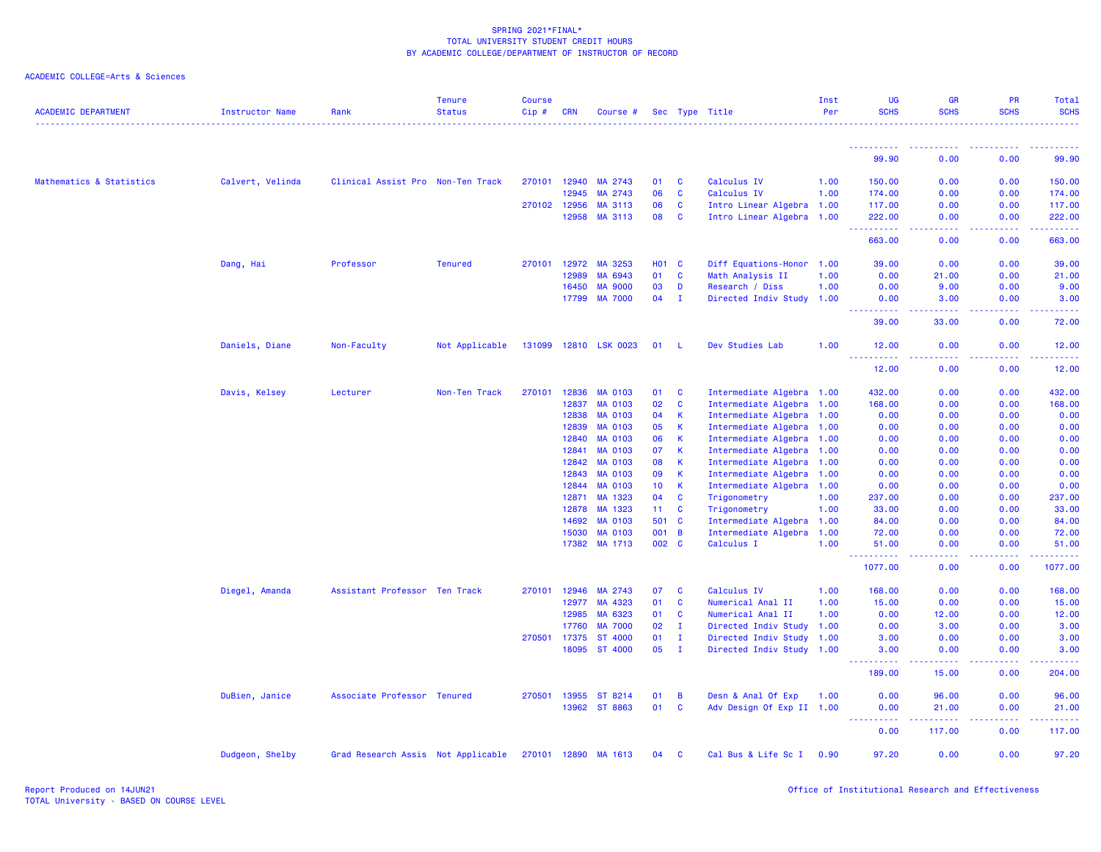| <b>ACADEMIC DEPARTMENT</b> | <b>Instructor Name</b> | Rank                               | <b>Tenure</b><br><b>Status</b> | <b>Course</b><br>Cip# | <b>CRN</b>   | Course #              |                 |              | Sec Type Title            | Inst<br>Per | UG<br><b>SCHS</b>                                                                                                                                            | <b>GR</b><br><b>SCHS</b>                                                                                                           | <b>PR</b><br><b>SCHS</b>                                                                                                                                     | Total<br><b>SCHS</b>                             |
|----------------------------|------------------------|------------------------------------|--------------------------------|-----------------------|--------------|-----------------------|-----------------|--------------|---------------------------|-------------|--------------------------------------------------------------------------------------------------------------------------------------------------------------|------------------------------------------------------------------------------------------------------------------------------------|--------------------------------------------------------------------------------------------------------------------------------------------------------------|--------------------------------------------------|
|                            |                        |                                    |                                |                       |              |                       |                 |              |                           |             |                                                                                                                                                              |                                                                                                                                    |                                                                                                                                                              |                                                  |
|                            |                        |                                    |                                |                       |              |                       |                 |              |                           |             | 99.90                                                                                                                                                        | 0.00                                                                                                                               | 0.00                                                                                                                                                         | 99.90                                            |
| Mathematics & Statistics   | Calvert, Velinda       | Clinical Assist Pro Non-Ten Track  |                                |                       | 270101 12940 | MA 2743               | 01              | <b>C</b>     | Calculus IV               | 1.00        | 150.00                                                                                                                                                       | 0.00                                                                                                                               | 0.00                                                                                                                                                         | 150.00                                           |
|                            |                        |                                    |                                |                       | 12945        | MA 2743               | 06              | <b>C</b>     | Calculus IV               | 1.00        | 174.00                                                                                                                                                       | 0.00                                                                                                                               | 0.00                                                                                                                                                         | 174.00                                           |
|                            |                        |                                    |                                |                       | 270102 12956 | MA 3113               | 06              | C            | Intro Linear Algebra 1.00 |             | 117.00                                                                                                                                                       | 0.00                                                                                                                               | 0.00                                                                                                                                                         | 117.00                                           |
|                            |                        |                                    |                                |                       | 12958        | MA 3113               | 08              | <b>C</b>     | Intro Linear Algebra 1.00 |             | 222.00                                                                                                                                                       | 0.00                                                                                                                               | 0.00                                                                                                                                                         | 222.00                                           |
|                            |                        |                                    |                                |                       |              |                       |                 |              |                           |             | $\sim$ $\sim$ $\sim$<br>.<br>663.00                                                                                                                          | 0.00                                                                                                                               | 0.00                                                                                                                                                         | <b><i><u><u> - - - - -</u></u></i></b><br>663.00 |
|                            | Dang, Hai              | Professor                          | <b>Tenured</b>                 |                       | 270101 12972 | MA 3253               | <b>HO1 C</b>    |              | Diff Equations-Honor 1.00 |             | 39.00                                                                                                                                                        | 0.00                                                                                                                               | 0.00                                                                                                                                                         | 39.00                                            |
|                            |                        |                                    |                                |                       | 12989        | MA 6943               | 01              | C            | Math Analysis II          | 1.00        | 0.00                                                                                                                                                         | 21.00                                                                                                                              | 0.00                                                                                                                                                         | 21.00                                            |
|                            |                        |                                    |                                |                       | 16450        | <b>MA 9000</b>        | 03              | D            | Research / Diss           | 1.00        | 0.00                                                                                                                                                         | 9.00                                                                                                                               | 0.00                                                                                                                                                         | 9.00                                             |
|                            |                        |                                    |                                |                       |              | 17799 MA 7000         | 04              | $\mathbf{I}$ | Directed Indiv Study 1.00 |             | 0.00<br>$\frac{1}{2} \left( \frac{1}{2} \right) \left( \frac{1}{2} \right) \left( \frac{1}{2} \right) \left( \frac{1}{2} \right) \left( \frac{1}{2} \right)$ | 3.00                                                                                                                               | 0.00                                                                                                                                                         | 3.00<br>.                                        |
|                            |                        |                                    |                                |                       |              |                       |                 |              |                           |             | 39.00                                                                                                                                                        | 33.00                                                                                                                              | 0.00                                                                                                                                                         | 72.00                                            |
|                            | Daniels, Diane         | Non-Faculty                        | Not Applicable                 |                       |              | 131099 12810 LSK 0023 | 01              | - L          | Dev Studies Lab           | 1.00        | 12.00                                                                                                                                                        | 0.00                                                                                                                               | 0.00                                                                                                                                                         | 12.00                                            |
|                            |                        |                                    |                                |                       |              |                       |                 |              |                           |             | <u> - - - - - - - - - -</u><br>12.00                                                                                                                         | المتمام<br>0.00                                                                                                                    | .<br>0.00                                                                                                                                                    | 12.00                                            |
|                            | Davis, Kelsey          | Lecturer                           | Non-Ten Track                  |                       | 270101 12836 | <b>MA 0103</b>        | 01              | C            | Intermediate Algebra 1.00 |             | 432.00                                                                                                                                                       | 0.00                                                                                                                               | 0.00                                                                                                                                                         | 432.00                                           |
|                            |                        |                                    |                                |                       | 12837        | MA 0103               | 02              | <b>C</b>     | Intermediate Algebra 1.00 |             | 168.00                                                                                                                                                       | 0.00                                                                                                                               | 0.00                                                                                                                                                         | 168.00                                           |
|                            |                        |                                    |                                |                       | 12838        | <b>MA 0103</b>        | 04              | К            | Intermediate Algebra 1.00 |             | 0.00                                                                                                                                                         | 0.00                                                                                                                               | 0.00                                                                                                                                                         | 0.00                                             |
|                            |                        |                                    |                                |                       | 12839        | MA 0103               | 05              | К            | Intermediate Algebra 1.00 |             | 0.00                                                                                                                                                         | 0.00                                                                                                                               | 0.00                                                                                                                                                         | 0.00                                             |
|                            |                        |                                    |                                |                       | 12840        | <b>MA 0103</b>        | 06              | К            | Intermediate Algebra 1.00 |             | 0.00                                                                                                                                                         | 0.00                                                                                                                               | 0.00                                                                                                                                                         | 0.00                                             |
|                            |                        |                                    |                                |                       | 12841        | <b>MA 0103</b>        | 07              | К            | Intermediate Algebra 1.00 |             | 0.00                                                                                                                                                         | 0.00                                                                                                                               | 0.00                                                                                                                                                         | 0.00                                             |
|                            |                        |                                    |                                |                       | 12842        | <b>MA 0103</b>        | 08              | К            | Intermediate Algebra 1.00 |             | 0.00                                                                                                                                                         | 0.00                                                                                                                               | 0.00                                                                                                                                                         | 0.00                                             |
|                            |                        |                                    |                                |                       | 12843        | <b>MA 0103</b>        | 09              | К            | Intermediate Algebra 1.00 |             | 0.00                                                                                                                                                         | 0.00                                                                                                                               | 0.00                                                                                                                                                         | 0.00                                             |
|                            |                        |                                    |                                |                       | 12844        | <b>MA 0103</b>        | 10              | К            | Intermediate Algebra 1.00 |             | 0.00                                                                                                                                                         | 0.00                                                                                                                               | 0.00                                                                                                                                                         | 0.00                                             |
|                            |                        |                                    |                                |                       | 12871        | MA 1323               | 04              | C            | Trigonometry              | 1.00        | 237.00                                                                                                                                                       | 0.00                                                                                                                               | 0.00                                                                                                                                                         | 237.00                                           |
|                            |                        |                                    |                                |                       | 12878        | MA 1323               | 11 <sub>1</sub> | C            | Trigonometry              | 1.00        | 33.00                                                                                                                                                        | 0.00                                                                                                                               | 0.00                                                                                                                                                         | 33.00                                            |
|                            |                        |                                    |                                |                       | 14692        | MA 0103               | 501             | <b>C</b>     | Intermediate Algebra 1.00 |             | 84.00                                                                                                                                                        | 0.00                                                                                                                               | 0.00                                                                                                                                                         | 84.00                                            |
|                            |                        |                                    |                                |                       | 15030        | <b>MA 0103</b>        | 001 B           |              | Intermediate Algebra 1.00 |             | 72.00                                                                                                                                                        | 0.00                                                                                                                               | 0.00                                                                                                                                                         | 72.00                                            |
|                            |                        |                                    |                                |                       |              | 17382 MA 1713         | 002 C           |              | Calculus I                | 1.00        | 51.00<br><b></b>                                                                                                                                             | 0.00<br>.                                                                                                                          | 0.00<br>$\frac{1}{2} \left( \frac{1}{2} \right) \left( \frac{1}{2} \right) \left( \frac{1}{2} \right) \left( \frac{1}{2} \right) \left( \frac{1}{2} \right)$ | 51.00<br>.                                       |
|                            |                        |                                    |                                |                       |              |                       |                 |              |                           |             | 1077.00                                                                                                                                                      | 0.00                                                                                                                               | 0.00                                                                                                                                                         | 1077.00                                          |
|                            | Diegel, Amanda         | Assistant Professor Ten Track      |                                | 270101                | 12946        | MA 2743               | 07              | C            | Calculus IV               | 1.00        | 168.00                                                                                                                                                       | 0.00                                                                                                                               | 0.00                                                                                                                                                         | 168.00                                           |
|                            |                        |                                    |                                |                       | 12977        | MA 4323               | 01              | <b>C</b>     | Numerical Anal II         | 1.00        | 15.00                                                                                                                                                        | 0.00                                                                                                                               | 0.00                                                                                                                                                         | 15.00                                            |
|                            |                        |                                    |                                |                       | 12985        | MA 6323               | 01              | C            | Numerical Anal II         | 1.00        | 0.00                                                                                                                                                         | 12.00                                                                                                                              | 0.00                                                                                                                                                         | 12.00                                            |
|                            |                        |                                    |                                |                       | 17760        | <b>MA 7000</b>        | 02              | $\mathbf{I}$ | Directed Indiv Study 1.00 |             | 0.00                                                                                                                                                         | 3.00                                                                                                                               | 0.00                                                                                                                                                         | 3.00                                             |
|                            |                        |                                    |                                |                       | 270501 17375 | ST 4000               | 01              | I.           | Directed Indiv Study 1.00 |             | 3.00                                                                                                                                                         | 0.00                                                                                                                               | 0.00                                                                                                                                                         | 3.00                                             |
|                            |                        |                                    |                                |                       | 18095        | ST 4000               | 05              | $\mathbf{I}$ | Directed Indiv Study 1.00 |             | 3.00<br>.                                                                                                                                                    | 0.00                                                                                                                               | 0.00                                                                                                                                                         | 3.00                                             |
|                            |                        |                                    |                                |                       |              |                       |                 |              |                           |             | 189.00                                                                                                                                                       | 15.00                                                                                                                              | 0.00                                                                                                                                                         | 204.00                                           |
|                            | DuBien, Janice         | Associate Professor Tenured        |                                |                       |              | 270501 13955 ST 8214  | 01              | B            | Desn & Anal Of Exp        | 1.00        | 0.00                                                                                                                                                         | 96.00                                                                                                                              | 0.00                                                                                                                                                         | 96.00                                            |
|                            |                        |                                    |                                |                       | 13962        | ST 8863               | 01              | <b>C</b>     | Adv Design Of Exp II 1.00 |             | 0.00<br>.                                                                                                                                                    | 21.00<br>$\frac{1}{2} \left( \frac{1}{2} \right) \left( \frac{1}{2} \right) \left( \frac{1}{2} \right) \left( \frac{1}{2} \right)$ | 0.00<br>.                                                                                                                                                    | 21.00                                            |
|                            |                        |                                    |                                |                       |              |                       |                 |              |                           |             | 0.00                                                                                                                                                         | 117.00                                                                                                                             | 0.00                                                                                                                                                         | 117.00                                           |
|                            | Dudgeon, Shelby        | Grad Research Assis Not Applicable |                                |                       |              | 270101 12890 MA 1613  | 04 C            |              | Cal Bus & Life Sc I 0.90  |             | 97.20                                                                                                                                                        | 0.00                                                                                                                               | 0.00                                                                                                                                                         | 97.20                                            |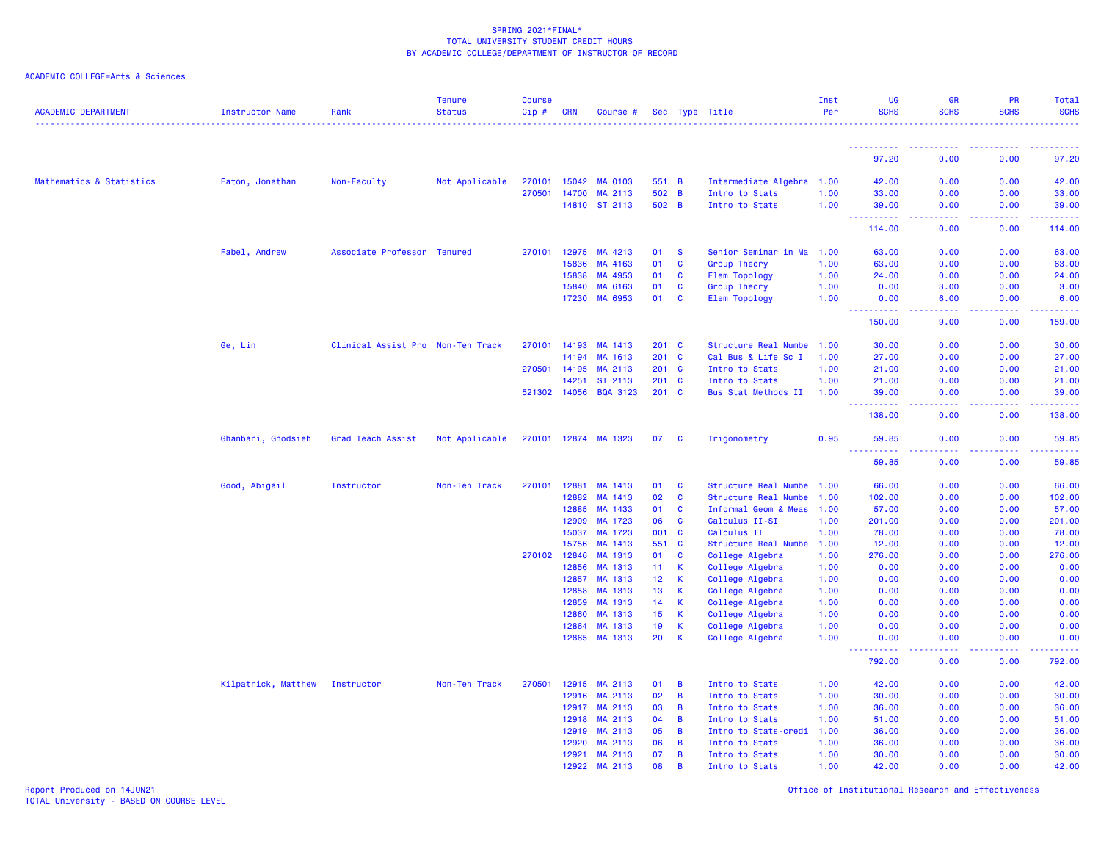|  |  | ACADEMIC COLLEGE=Arts & Sciences |  |
|--|--|----------------------------------|--|
|--|--|----------------------------------|--|

| <b>ACADEMIC DEPARTMENT</b> | <b>Instructor Name</b> | Rank                              | <b>Tenure</b><br><b>Status</b> | <b>Course</b><br>$Cip \#$ | <b>CRN</b>   | Course #             |                 |              | Sec Type Title            | Inst<br>Per | <b>UG</b><br><b>SCHS</b>                     | <b>GR</b><br><b>SCHS</b> | PR<br><b>SCHS</b>                     | <b>Total</b><br><b>SCHS</b><br>.                |
|----------------------------|------------------------|-----------------------------------|--------------------------------|---------------------------|--------------|----------------------|-----------------|--------------|---------------------------|-------------|----------------------------------------------|--------------------------|---------------------------------------|-------------------------------------------------|
|                            |                        |                                   |                                |                           |              |                      |                 |              |                           |             | <u>.</u>                                     |                          |                                       |                                                 |
|                            |                        |                                   |                                |                           |              |                      |                 |              |                           |             | 97.20                                        | 0.00                     | 0.00                                  | 97.20                                           |
| Mathematics & Statistics   | Eaton, Jonathan        | Non-Faculty                       | Not Applicable                 | 270101                    | 15042        | MA 0103              | 551 B           |              | Intermediate Algebra 1.00 |             | 42.00                                        | 0.00                     | 0.00                                  | 42.00                                           |
|                            |                        |                                   |                                | 270501                    | 14700        | MA 2113              | 502 B           |              | Intro to Stats            | 1.00        | 33.00                                        | 0.00                     | 0.00                                  | 33.00                                           |
|                            |                        |                                   |                                |                           |              | 14810 ST 2113        | 502 B           |              | Intro to Stats            | 1.00        | 39.00                                        | 0.00                     | 0.00                                  | 39.00                                           |
|                            |                        |                                   |                                |                           |              |                      |                 |              |                           |             | $\sim$ $\sim$ $\sim$<br>. <u>.</u><br>114.00 | .<br>0.00                | <b></b><br>0.00                       | .<br>114.00                                     |
|                            | Fabel, Andrew          | Associate Professor Tenured       |                                | 270101                    | 12975        | MA 4213              | 01              | <b>S</b>     | Senior Seminar in Ma      | 1.00        | 63.00                                        | 0.00                     | 0.00                                  | 63.00                                           |
|                            |                        |                                   |                                |                           | 15836        | MA 4163              | 01              | C            | <b>Group Theory</b>       | 1.00        | 63.00                                        | 0.00                     | 0.00                                  | 63.00                                           |
|                            |                        |                                   |                                |                           | 15838        | MA 4953              | 01              | $\mathbf{C}$ | <b>Elem Topology</b>      | 1.00        | 24.00                                        | 0.00                     | 0.00                                  | 24.00                                           |
|                            |                        |                                   |                                |                           | 15840        | MA 6163              | 01              | $\mathbf{C}$ | Group Theory              | 1.00        | 0.00                                         | 3.00                     | 0.00                                  | 3.00                                            |
|                            |                        |                                   |                                |                           | 17230        | MA 6953              | 01              | C            | <b>Elem Topology</b>      | 1.00        | 0.00<br><u>.</u>                             | 6.00<br>.                | 0.00<br><b><i><u><u>.</u></u></i></b> | 6.00<br>.                                       |
|                            |                        |                                   |                                |                           |              |                      |                 |              |                           |             | 150.00                                       | 9.00                     | 0.00                                  | 159.00                                          |
|                            | Ge, Lin                | Clinical Assist Pro Non-Ten Track |                                | 270101                    | 14193        | MA 1413              | $201$ C         |              | Structure Real Numbe      | 1.00        | 30.00                                        | 0.00                     | 0.00                                  | 30.00                                           |
|                            |                        |                                   |                                |                           | 14194        | MA 1613              | $201$ C         |              | Cal Bus & Life Sc I       | 1.00        | 27,00                                        | 0.00                     | 0.00                                  | 27.00                                           |
|                            |                        |                                   |                                | 270501                    | 14195        | MA 2113              | $201$ C         |              | Intro to Stats            | 1.00        | 21.00                                        | 0.00                     | 0.00                                  | 21.00                                           |
|                            |                        |                                   |                                |                           | 14251        | ST 2113              | $201$ C         |              | Intro to Stats            | 1.00        | 21.00                                        | 0.00                     | 0.00                                  | 21.00                                           |
|                            |                        |                                   |                                |                           | 521302 14056 | <b>BQA 3123</b>      | $201$ C         |              | Bus Stat Methods II       | 1.00        | 39.00<br>----------                          | 0.00<br>.                | 0.00<br>.                             | 39.00<br><b><i><u><u> - - - - -</u></u></i></b> |
|                            |                        |                                   |                                |                           |              |                      |                 |              |                           |             | 138.00                                       | 0.00                     | 0.00                                  | 138.00                                          |
|                            | Ghanbari, Ghodsieh     | Grad Teach Assist                 | Not Applicable                 |                           |              | 270101 12874 MA 1323 | 07              | <b>C</b>     | Trigonometry              | 0.95        | 59.85                                        | 0.00                     | 0.00                                  | 59.85                                           |
|                            |                        |                                   |                                |                           |              |                      |                 |              |                           |             | 59.85                                        | 0.00                     | 0.00                                  | 59.85                                           |
|                            | Good, Abigail          | Instructor                        | Non-Ten Track                  | 270101                    | 12881        | MA 1413              | 01              | C            | Structure Real Numbe      | 1.00        | 66.00                                        | 0.00                     | 0.00                                  | 66.00                                           |
|                            |                        |                                   |                                |                           | 12882        | MA 1413              | 02              | C            | Structure Real Numbe      | 1.00        | 102.00                                       | 0.00                     | 0.00                                  | 102.00                                          |
|                            |                        |                                   |                                |                           | 12885        | MA 1433              | 01              | $\mathbf{C}$ | Informal Geom & Meas      | 1.00        | 57.00                                        | 0.00                     | 0.00                                  | 57.00                                           |
|                            |                        |                                   |                                |                           | 12909        | MA 1723              | 06              | $\mathbf{C}$ | Calculus II-SI            | 1.00        | 201.00                                       | 0.00                     | 0.00                                  | 201.00                                          |
|                            |                        |                                   |                                |                           | 15037        | MA 1723              | 001             | $\mathbf{C}$ | Calculus II               | 1.00        | 78.00                                        | 0.00                     | 0.00                                  | 78.00                                           |
|                            |                        |                                   |                                |                           | 15756        | MA 1413              | 551             | $\mathbf{C}$ | Structure Real Numbe      | 1.00        | 12.00                                        | 0.00                     | 0.00                                  | 12.00                                           |
|                            |                        |                                   |                                | 270102                    | 12846        | MA 1313              | 01              | C            | College Algebra           | 1.00        | 276.00                                       | 0.00                     | 0.00                                  | 276.00                                          |
|                            |                        |                                   |                                |                           | 12856        | MA 1313              | 11              | K            | College Algebra           | 1.00        | 0.00                                         | 0.00                     | 0.00                                  | 0.00                                            |
|                            |                        |                                   |                                |                           | 12857        | MA 1313              | 12 <sup>7</sup> | K            | College Algebra           | 1.00        | 0.00                                         | 0.00                     | 0.00                                  | 0.00                                            |
|                            |                        |                                   |                                |                           | 12858        | MA 1313              | 13              | K            | College Algebra           | 1.00        | 0.00                                         | 0.00                     | 0.00                                  | 0.00                                            |
|                            |                        |                                   |                                |                           | 12859        | MA 1313              | 14              | K            | College Algebra           | 1.00        | 0.00                                         | 0.00                     | 0.00                                  | 0.00                                            |
|                            |                        |                                   |                                |                           | 12860        | MA 1313              | 15              | K            | College Algebra           | 1.00        | 0.00                                         | 0.00                     | 0.00                                  | 0.00                                            |
|                            |                        |                                   |                                |                           | 12864        | MA 1313              | 19              | К            | College Algebra           | 1.00        | 0.00                                         | 0.00                     | 0.00                                  | 0.00                                            |
|                            |                        |                                   |                                |                           | 12865        | MA 1313              | 20              | К            | College Algebra           | 1.00        | 0.00<br>----------                           | 0.00<br>.                | 0.00<br>.                             | 0.00                                            |
|                            |                        |                                   |                                |                           |              |                      |                 |              |                           |             | 792.00                                       | 0.00                     | 0.00                                  | 792.00                                          |
|                            | Kilpatrick, Matthew    | Instructor                        | Non-Ten Track                  | 270501                    | 12915        | MA 2113              | 01              | B            | Intro to Stats            | 1.00        | 42.00                                        | 0.00                     | 0.00                                  | 42.00                                           |
|                            |                        |                                   |                                |                           | 12916        | MA 2113              | 02              | B            | Intro to Stats            | 1.00        | 30.00                                        | 0.00                     | 0.00                                  | 30.00                                           |
|                            |                        |                                   |                                |                           | 12917        | MA 2113              | 03              | B            | Intro to Stats            | 1.00        | 36.00                                        | 0.00                     | 0.00                                  | 36.00                                           |
|                            |                        |                                   |                                |                           | 12918        | MA 2113              | 04              | B            | Intro to Stats            | 1.00        | 51.00                                        | 0.00                     | 0.00                                  | 51.00                                           |
|                            |                        |                                   |                                |                           | 12919        | MA 2113              | 05              | B            | Intro to Stats-credi      | 1.00        | 36.00                                        | 0.00                     | 0.00                                  | 36.00                                           |
|                            |                        |                                   |                                |                           | 12920        | MA 2113              | 06              | B            | Intro to Stats            | 1.00        | 36.00                                        | 0.00                     | 0.00                                  | 36.00                                           |
|                            |                        |                                   |                                |                           | 12921        | MA 2113              | 07              | B            | Intro to Stats            | 1.00        | 30.00                                        | 0.00                     | 0.00                                  | 30.00                                           |
|                            |                        |                                   |                                |                           | 12922        | MA 2113              | 08              | B            | Intro to Stats            | 1.00        | 42.00                                        | 0.00                     | 0.00                                  | 42.00                                           |

Report Produced on 14JUN21 Office of Institutional Research and Effectiveness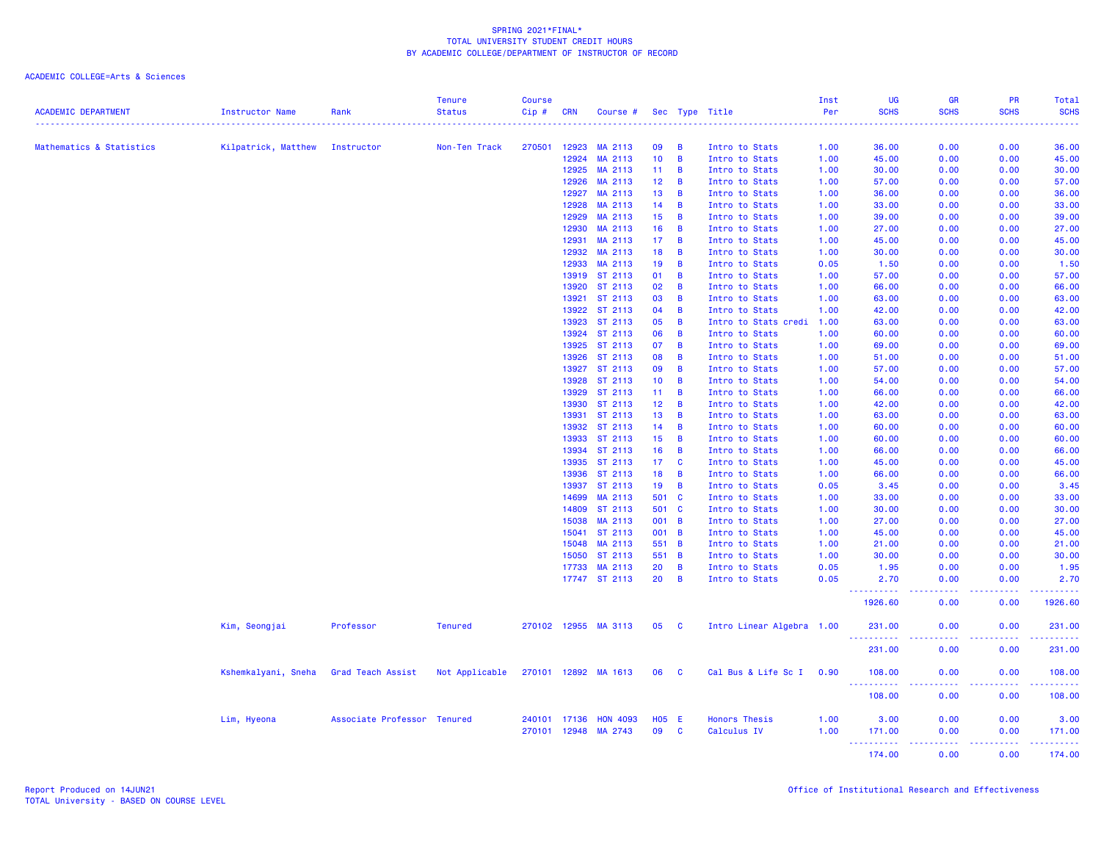| <b>ACADEMIC DEPARTMENT</b> | <b>Instructor Name</b> | Rank                        | <b>Tenure</b><br><b>Status</b> | <b>Course</b><br>Cip# | <b>CRN</b>   | Course #             |                 |                | Sec Type Title            | Inst<br>Per | UG<br><b>SCHS</b>                     | <b>GR</b><br><b>SCHS</b> | <b>PR</b><br><b>SCHS</b> | Total<br><b>SCHS</b>                                                                              |
|----------------------------|------------------------|-----------------------------|--------------------------------|-----------------------|--------------|----------------------|-----------------|----------------|---------------------------|-------------|---------------------------------------|--------------------------|--------------------------|---------------------------------------------------------------------------------------------------|
|                            |                        |                             |                                |                       |              |                      |                 |                |                           |             |                                       |                          |                          |                                                                                                   |
| Mathematics & Statistics   | Kilpatrick, Matthew    | Instructor                  | Non-Ten Track                  | 270501                | 12923        | MA 2113              | 09              | B              | Intro to Stats            | 1.00        | 36.00                                 | 0.00                     | 0.00                     | 36.00                                                                                             |
|                            |                        |                             |                                |                       | 12924        | MA 2113              | 10              | $\overline{B}$ | Intro to Stats            | 1.00        | 45.00                                 | 0.00                     | 0.00                     | 45.00                                                                                             |
|                            |                        |                             |                                |                       | 12925        | MA 2113              | 11              | $\overline{B}$ | Intro to Stats            | 1.00        | 30.00                                 | 0.00                     | 0.00                     | 30.00                                                                                             |
|                            |                        |                             |                                |                       | 12926        | MA 2113              | 12 <sub>2</sub> | $\overline{B}$ | Intro to Stats            | 1.00        | 57.00                                 | 0.00                     | 0.00                     | 57.00                                                                                             |
|                            |                        |                             |                                |                       | 12927        | MA 2113              | 13              | $\overline{B}$ | Intro to Stats            | 1.00        | 36.00                                 | 0.00                     | 0.00                     | 36.00                                                                                             |
|                            |                        |                             |                                |                       | 12928        | MA 2113              | 14              | $\overline{B}$ | Intro to Stats            | 1.00        | 33.00                                 | 0.00                     | 0.00                     | 33.00                                                                                             |
|                            |                        |                             |                                |                       | 12929        | MA 2113              | 15              | B              | Intro to Stats            | 1.00        | 39.00                                 | 0.00                     | 0.00                     | 39.00                                                                                             |
|                            |                        |                             |                                |                       | 12930        | MA 2113              | 16              | $\overline{B}$ | Intro to Stats            | 1.00        | 27.00                                 | 0.00                     | 0.00                     | 27.00                                                                                             |
|                            |                        |                             |                                |                       | 12931        | MA 2113              | 17              | $\overline{B}$ | Intro to Stats            | 1.00        | 45.00                                 | 0.00                     | 0.00                     | 45.00                                                                                             |
|                            |                        |                             |                                |                       | 12932        | MA 2113              | 18              | B              | Intro to Stats            | 1.00        | 30.00                                 | 0.00                     | 0.00                     | 30.00                                                                                             |
|                            |                        |                             |                                |                       | 12933        | MA 2113              | 19              | B              | Intro to Stats            | 0.05        | 1.50                                  | 0.00                     | 0.00                     | 1.50                                                                                              |
|                            |                        |                             |                                |                       |              | 13919 ST 2113        | 01              | $\overline{B}$ | Intro to Stats            | 1.00        | 57.00                                 | 0.00                     | 0.00                     | 57.00                                                                                             |
|                            |                        |                             |                                |                       | 13920        | ST 2113              | 02              | $\overline{B}$ | Intro to Stats            | 1.00        | 66.00                                 | 0.00                     | 0.00                     | 66.00                                                                                             |
|                            |                        |                             |                                |                       |              | 13921 ST 2113        | 03              | $\overline{B}$ | Intro to Stats            | 1.00        | 63.00                                 | 0.00                     | 0.00                     | 63.00                                                                                             |
|                            |                        |                             |                                |                       |              | 13922 ST 2113        | 04              | $\overline{B}$ | Intro to Stats            | 1.00        | 42.00                                 | 0.00                     | 0.00                     | 42.00                                                                                             |
|                            |                        |                             |                                |                       | 13923        | ST 2113              | 05              | $\overline{B}$ | Intro to Stats credi      | 1.00        | 63.00                                 | 0.00                     | 0.00                     | 63.00                                                                                             |
|                            |                        |                             |                                |                       |              | 13924 ST 2113        | 06              | $\overline{B}$ | Intro to Stats            | 1.00        | 60.00                                 | 0.00                     | 0.00                     | 60.00                                                                                             |
|                            |                        |                             |                                |                       |              | 13925 ST 2113        | 07              | $\overline{B}$ | Intro to Stats            | 1.00        | 69.00                                 | 0.00                     | 0.00                     | 69.00                                                                                             |
|                            |                        |                             |                                |                       | 13926        | ST 2113              | 08              | $\overline{B}$ | Intro to Stats            | 1.00        | 51.00                                 | 0.00                     | 0.00                     | 51.00                                                                                             |
|                            |                        |                             |                                |                       |              | 13927 ST 2113        | 09              | $\overline{B}$ | Intro to Stats            | 1.00        | 57.00                                 | 0.00                     | 0.00                     | 57.00                                                                                             |
|                            |                        |                             |                                |                       |              | 13928 ST 2113        | 10              | $\overline{B}$ | Intro to Stats            | 1.00        | 54.00                                 | 0.00                     | 0.00                     | 54.00                                                                                             |
|                            |                        |                             |                                |                       |              | 13929 ST 2113        | 11              | B              | Intro to Stats            | 1.00        | 66.00                                 | 0.00                     | 0.00                     | 66.00                                                                                             |
|                            |                        |                             |                                |                       |              | 13930 ST 2113        | 12              | B              | Intro to Stats            | 1.00        | 42.00                                 | 0.00                     | 0.00                     | 42.00                                                                                             |
|                            |                        |                             |                                |                       | 13931        | ST 2113              | 13              | $\overline{B}$ | Intro to Stats            | 1.00        | 63.00                                 | 0.00                     | 0.00                     | 63.00                                                                                             |
|                            |                        |                             |                                |                       |              | 13932 ST 2113        | 14              | $\overline{B}$ | Intro to Stats            | 1.00        | 60.00                                 | 0.00                     | 0.00                     | 60.00                                                                                             |
|                            |                        |                             |                                |                       |              | 13933 ST 2113        | 15              | B              | Intro to Stats            | 1.00        | 60.00                                 | 0.00                     | 0.00                     | 60.00                                                                                             |
|                            |                        |                             |                                |                       |              | 13934 ST 2113        | 16              | $\overline{B}$ | Intro to Stats            | 1.00        | 66.00                                 | 0.00                     | 0.00                     | 66.00                                                                                             |
|                            |                        |                             |                                |                       |              | 13935 ST 2113        | 17 <sub>2</sub> | $\mathbf{C}$   | Intro to Stats            | 1.00        | 45.00                                 | 0.00                     | 0.00                     | 45.00                                                                                             |
|                            |                        |                             |                                |                       |              | 13936 ST 2113        | 18              | $\overline{B}$ | Intro to Stats            | 1.00        | 66.00                                 | 0.00                     | 0.00                     | 66.00                                                                                             |
|                            |                        |                             |                                |                       |              | 13937 ST 2113        | 19              | $\overline{B}$ | Intro to Stats            | 0.05        | 3.45                                  | 0.00                     | 0.00                     | 3.45                                                                                              |
|                            |                        |                             |                                |                       | 14699        | MA 2113              | 501 C           |                | Intro to Stats            | 1.00        | 33.00                                 | 0.00                     | 0.00                     | 33.00                                                                                             |
|                            |                        |                             |                                |                       | 14809        | ST 2113              | 501 C           |                | Intro to Stats            | 1.00        | 30.00                                 | 0.00                     | 0.00                     | 30.00                                                                                             |
|                            |                        |                             |                                |                       | 15038        | MA 2113              | 001 B           |                | Intro to Stats            | 1.00        | 27.00                                 | 0.00                     | 0.00                     | 27.00                                                                                             |
|                            |                        |                             |                                |                       |              | 15041 ST 2113        | 001 B           |                | Intro to Stats            | 1.00        | 45.00                                 | 0.00                     | 0.00                     | 45.00                                                                                             |
|                            |                        |                             |                                |                       | 15048        | MA 2113              | 551             | $\overline{B}$ | Intro to Stats            | 1.00        | 21.00                                 | 0.00                     | 0.00                     | 21.00                                                                                             |
|                            |                        |                             |                                |                       |              | 15050 ST 2113        | 551 B           |                | Intro to Stats            | 1.00        | 30.00                                 | 0.00                     | 0.00                     | 30.00                                                                                             |
|                            |                        |                             |                                |                       | 17733        | MA 2113              | 20              | B              | Intro to Stats            | 0.05        | 1.95                                  | 0.00                     | 0.00                     | 1.95                                                                                              |
|                            |                        |                             |                                |                       |              | 17747 ST 2113        | 20              | $\overline{B}$ | Intro to Stats            | 0.05        | 2.70<br>.                             | 0.00                     | 0.00                     | 2.70<br>المتمامين                                                                                 |
|                            |                        |                             |                                |                       |              |                      |                 |                |                           |             | 1926.60                               | 0.00                     | 0.00                     | 1926.60                                                                                           |
|                            | Kim, Seongjai          | Professor                   | <b>Tenured</b>                 |                       |              | 270102 12955 MA 3113 | 05              | <b>C</b>       | Intro Linear Algebra 1.00 |             | 231.00<br><b>.</b> .                  | 0.00                     | 0.00                     | 231.00<br>.                                                                                       |
|                            |                        |                             |                                |                       |              |                      |                 |                |                           |             | 231.00                                | 0.00                     | 0.00                     | 231.00                                                                                            |
|                            | Kshemkalyani, Sneha    | Grad Teach Assist           | Not Applicable                 |                       | 270101 12892 | MA 1613              | 06              | <b>C</b>       | Cal Bus & Life Sc I 0.90  |             | 108.00                                | 0.00                     | 0.00                     | 108.00                                                                                            |
|                            |                        |                             |                                |                       |              |                      |                 |                |                           |             | <u> - - - - - - - - - -</u><br>108.00 | .<br>0.00                | .<br>0.00                | $\mathbf{L}^{\prime} = \mathbf{L}^{\prime} + \mathbf{L}^{\prime} + \mathbf{L}^{\prime}$<br>108.00 |
|                            | Lim, Hyeona            | Associate Professor Tenured |                                |                       | 240101 17136 | <b>HON 4093</b>      | $H05$ E         |                | <b>Honors Thesis</b>      | 1.00        | 3.00                                  | 0.00                     | 0.00                     | 3.00                                                                                              |
|                            |                        |                             |                                |                       | 270101 12948 | MA 2743              | 09              | <b>C</b>       | Calculus IV               | 1.00        | 171.00                                | 0.00                     | 0.00                     | 171.00                                                                                            |
|                            |                        |                             |                                |                       |              |                      |                 |                |                           |             | <u>.</u>                              | <u>.</u>                 | .                        | .                                                                                                 |
|                            |                        |                             |                                |                       |              |                      |                 |                |                           |             | 174.00                                | 0.00                     | 0.00                     | 174.00                                                                                            |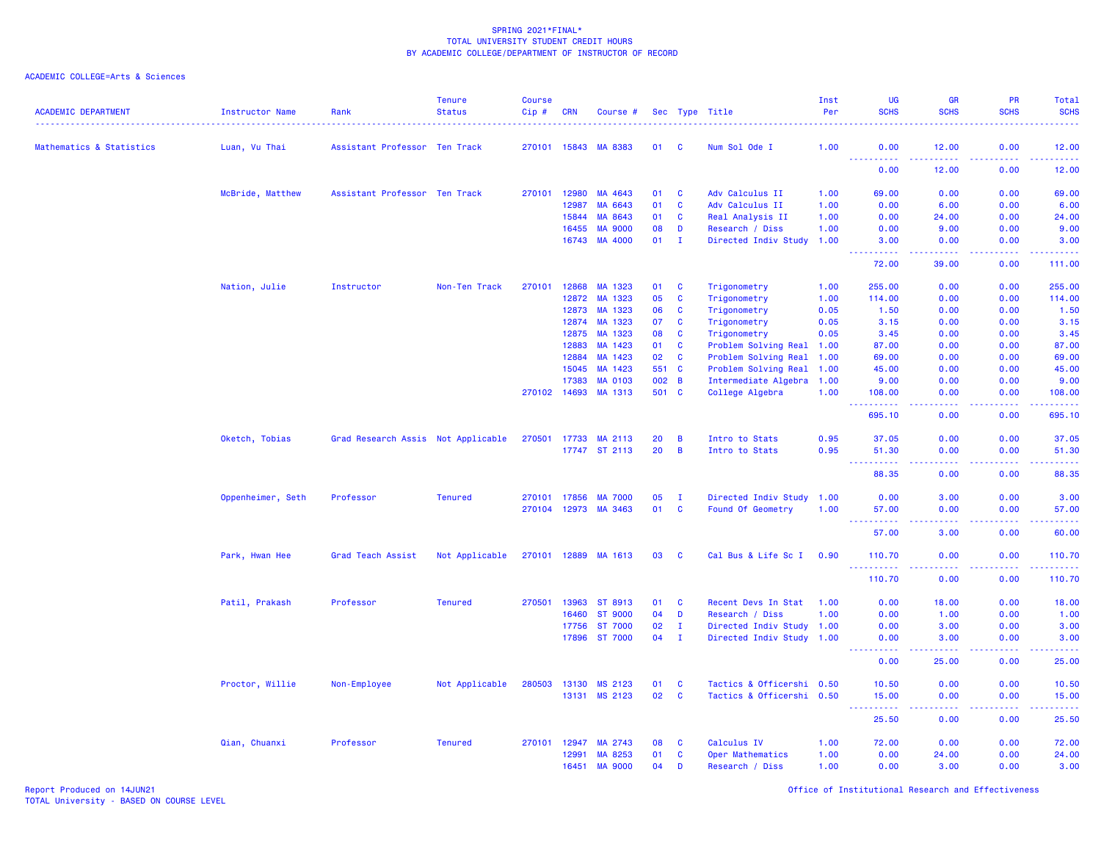| <b>ACADEMIC DEPARTMENT</b> | <b>Instructor Name</b> | Rank                               | <b>Tenure</b><br><b>Status</b> | <b>Course</b><br>Cip# | <b>CRN</b>     | Course #                  |              |                | Sec Type Title                                    | Inst<br>Per | UG<br><b>SCHS</b>   | <b>GR</b><br><b>SCHS</b> | PR<br><b>SCHS</b><br>$- - - - -$ | Total<br><b>SCHS</b><br>.                                                                                                                                    |
|----------------------------|------------------------|------------------------------------|--------------------------------|-----------------------|----------------|---------------------------|--------------|----------------|---------------------------------------------------|-------------|---------------------|--------------------------|----------------------------------|--------------------------------------------------------------------------------------------------------------------------------------------------------------|
| Mathematics & Statistics   | Luan, Vu Thai          | Assistant Professor Ten Track      |                                |                       | 270101 15843   | MA 8383                   | 01           | - C            | Num Sol Ode I                                     | 1.00        | 0.00                | 12.00                    | 0.00                             | 12.00                                                                                                                                                        |
|                            |                        |                                    |                                |                       |                |                           |              |                |                                                   |             | 0.00                | 12.00                    | 0.00                             | وساسمات<br>12.00                                                                                                                                             |
|                            | McBride, Matthew       | Assistant Professor Ten Track      |                                | 270101                | 12980          | MA 4643                   | 01           | C              | Adv Calculus II                                   | 1.00        | 69.00               | 0.00                     | 0.00                             | 69.00                                                                                                                                                        |
|                            |                        |                                    |                                |                       | 12987          | MA 6643                   | 01           | C              | Adv Calculus II                                   | 1.00        | 0.00                | 6.00                     | 0.00                             | 6.00                                                                                                                                                         |
|                            |                        |                                    |                                |                       | 15844          | MA 8643                   | 01           | C              | Real Analysis II                                  | 1.00        | 0.00                | 24.00                    | 0.00                             | 24.00                                                                                                                                                        |
|                            |                        |                                    |                                |                       | 16455          | <b>MA 9000</b>            | 08           | D              | Research / Diss                                   | 1.00        | 0.00                | 9.00                     | 0.00                             | 9.00                                                                                                                                                         |
|                            |                        |                                    |                                |                       |                | 16743 MA 4000             | 01           | - I            | Directed Indiv Study                              | 1.00        | 3.00<br>22222       | 0.00<br>.                | 0.00<br>.                        | 3.00<br>المتمامي                                                                                                                                             |
|                            |                        |                                    |                                |                       |                |                           |              |                |                                                   |             | 72.00               | 39.00                    | 0.00                             | 111.00                                                                                                                                                       |
|                            | Nation, Julie          | Instructor                         | Non-Ten Track                  | 270101                |                | 12868 MA 1323             | 01           | C              | Trigonometry                                      | 1.00        | 255.00              | 0.00                     | 0.00                             | 255.00                                                                                                                                                       |
|                            |                        |                                    |                                |                       | 12872          | MA 1323                   | 05           | $\mathbf{C}$   | Trigonometry                                      | 1.00        | 114.00              | 0.00                     | 0.00                             | 114.00                                                                                                                                                       |
|                            |                        |                                    |                                |                       | 12873          | MA 1323                   | 06           | C              | Trigonometry                                      | 0.05        | 1.50                | 0.00                     | 0.00                             | 1.50                                                                                                                                                         |
|                            |                        |                                    |                                |                       | 12874          | MA 1323                   | 07           | C              | Trigonometry                                      | 0.05        | 3.15                | 0.00                     | 0.00                             | 3.15                                                                                                                                                         |
|                            |                        |                                    |                                |                       | 12875          | MA 1323                   | 08           | $\mathbf{C}$   | Trigonometry                                      | 0.05        | 3.45                | 0.00                     | 0.00                             | 3.45                                                                                                                                                         |
|                            |                        |                                    |                                |                       | 12883          | MA 1423                   | 01           | <b>C</b>       | Problem Solving Real                              | 1.00        | 87.00               | 0.00                     | 0.00                             | 87.00                                                                                                                                                        |
|                            |                        |                                    |                                |                       | 12884          | MA 1423                   | 02           | $\mathbf{C}$   | Problem Solving Real                              | 1.00        | 69.00               | 0.00                     | 0.00                             | 69.00                                                                                                                                                        |
|                            |                        |                                    |                                |                       | 15045<br>17383 | MA 1423<br><b>MA 0103</b> | 551 C<br>002 | B              | Problem Solving Real<br>Intermediate Algebra 1.00 | 1.00        | 45.00<br>9.00       | 0.00<br>0.00             | 0.00<br>0.00                     | 45.00<br>9.00                                                                                                                                                |
|                            |                        |                                    |                                | 270102                | 14693          | MA 1313                   | 501 C        |                | College Algebra                                   | 1.00        | 108.00              | 0.00                     | 0.00                             | 108.00                                                                                                                                                       |
|                            |                        |                                    |                                |                       |                |                           |              |                |                                                   |             | .<br>695.10         | $  -$<br>0.00            | .<br>0.00                        | .<br>695.10                                                                                                                                                  |
|                            | Oketch, Tobias         | Grad Research Assis Not Applicable |                                | 270501                | 17733          | MA 2113                   | 20           | B              | Intro to Stats                                    | 0.95        | 37.05               | 0.00                     | 0.00                             | 37.05                                                                                                                                                        |
|                            |                        |                                    |                                |                       |                | 17747 ST 2113             | 20           | $\overline{B}$ | Intro to Stats                                    | 0.95        | 51.30               | 0.00                     | 0.00                             | 51.30                                                                                                                                                        |
|                            |                        |                                    |                                |                       |                |                           |              |                |                                                   |             | .<br>88.35          | .<br>0.00                | .<br>0.00                        | .<br>88.35                                                                                                                                                   |
|                            | Oppenheimer, Seth      | Professor                          | <b>Tenured</b>                 | 270101                | 17856          | <b>MA 7000</b>            | 05           | п              | Directed Indiv Study 1.00                         |             | 0.00                | 3.00                     | 0.00                             | 3.00                                                                                                                                                         |
|                            |                        |                                    |                                | 270104                | 12973          | MA 3463                   | 01           | <b>C</b>       | Found Of Geometry                                 | 1.00        | 57.00               | 0.00                     | 0.00                             | 57.00                                                                                                                                                        |
|                            |                        |                                    |                                |                       |                |                           |              |                |                                                   |             | 57.00               | 3.00                     | 0.00                             | والمستناب<br>60.00                                                                                                                                           |
|                            | Park, Hwan Hee         | Grad Teach Assist                  | Not Applicable                 | 270101 12889          |                | MA 1613                   | 03           | <b>C</b>       | Cal Bus & Life Sc I                               | 0.90        | 110.70              | 0.00                     | 0.00                             | 110.70                                                                                                                                                       |
|                            |                        |                                    |                                |                       |                |                           |              |                |                                                   |             | .<br>110.70         | 0.00                     | .<br>0.00                        | <u>.</u><br>110.70                                                                                                                                           |
|                            | Patil, Prakash         | Professor                          | <b>Tenured</b>                 | 270501                | 13963          | ST 8913                   | 01           | C              | Recent Devs In Stat                               | 1.00        | 0.00                | 18.00                    | 0.00                             | 18.00                                                                                                                                                        |
|                            |                        |                                    |                                |                       | 16460          | <b>ST 9000</b>            | 04           | D              | Research / Diss                                   | 1.00        | 0.00                | 1.00                     | 0.00                             | 1.00                                                                                                                                                         |
|                            |                        |                                    |                                |                       | 17756          | <b>ST 7000</b>            | 02           | T              | Directed Indiv Study 1.00                         |             | 0.00                | 3.00                     | 0.00                             | 3.00                                                                                                                                                         |
|                            |                        |                                    |                                |                       | 17896          | ST 7000                   | 04           | $\mathbf{I}$   | Directed Indiv Study 1.00                         |             | 0.00<br>.           | 3.00<br>.                | 0.00                             | 3.00<br>$\frac{1}{2} \left( \frac{1}{2} \right) \left( \frac{1}{2} \right) \left( \frac{1}{2} \right) \left( \frac{1}{2} \right) \left( \frac{1}{2} \right)$ |
|                            |                        |                                    |                                |                       |                |                           |              |                |                                                   |             | 0.00                | 25.00                    | 0.00                             | 25.00                                                                                                                                                        |
|                            | Proctor, Willie        | Non-Employee                       | Not Applicable                 | 280503                |                | 13130 MS 2123             | 01           | C              | Tactics & Officershi 0.50                         |             | 10.50               | 0.00                     | 0.00                             | 10.50                                                                                                                                                        |
|                            |                        |                                    |                                |                       |                | 13131 MS 2123             | 02           | $\mathbf{C}$   | Tactics & Officershi 0.50                         |             | 15.00<br>$  -$<br>. | 0.00<br>.                | 0.00<br>.                        | 15.00<br>.                                                                                                                                                   |
|                            |                        |                                    |                                |                       |                |                           |              |                |                                                   |             | 25.50               | 0.00                     | 0.00                             | 25.50                                                                                                                                                        |
|                            | Qian, Chuanxi          | Professor                          | <b>Tenured</b>                 | 270101                | 12947          | MA 2743                   | 08           | C              | Calculus IV                                       | 1.00        | 72.00               | 0.00                     | 0.00                             | 72.00                                                                                                                                                        |
|                            |                        |                                    |                                |                       | 12991          | MA 8253                   | 01           | C              | Oper Mathematics                                  | 1.00        | 0.00                | 24.00                    | 0.00                             | 24.00                                                                                                                                                        |
|                            |                        |                                    |                                |                       | 16451          | <b>MA 9000</b>            | 04           | D              | Research / Diss                                   | 1.00        | 0.00                | 3.00                     | 0.00                             | 3.00                                                                                                                                                         |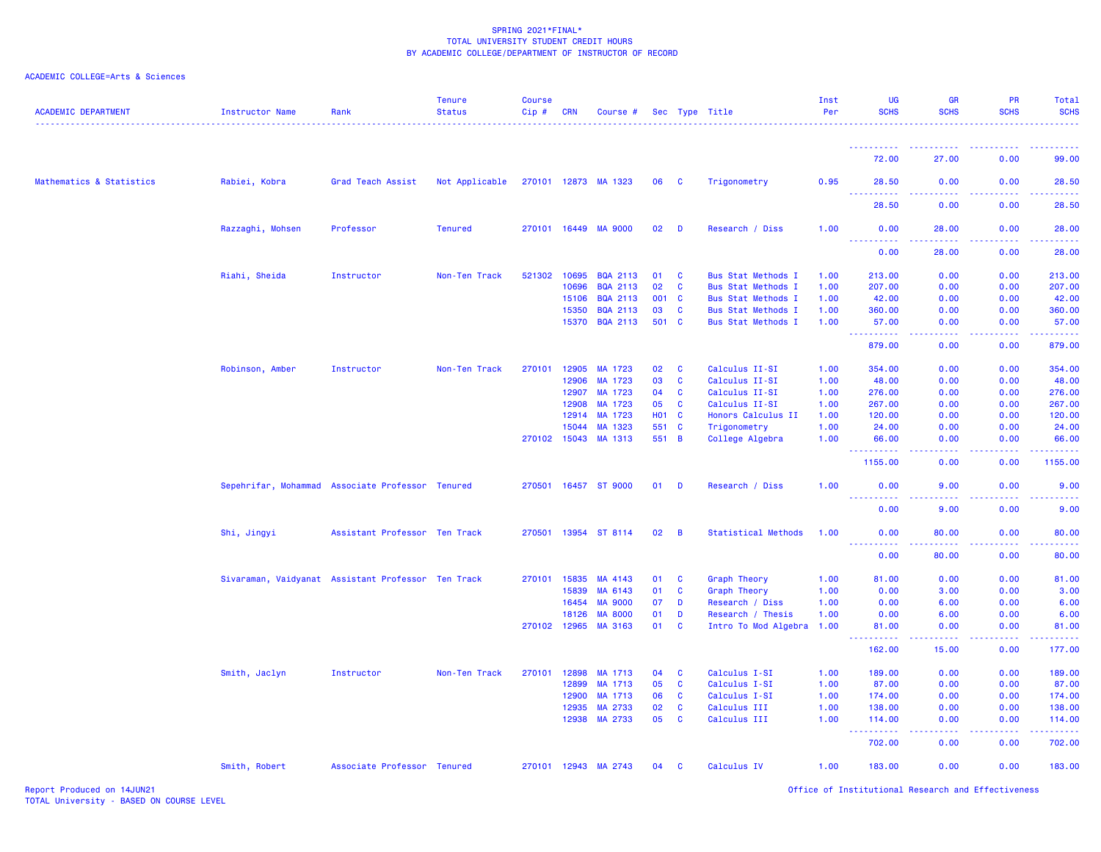| <b>ACADEMIC DEPARTMENT</b> | <b>Instructor Name</b>                             | Rank                          | <b>Tenure</b><br><b>Status</b> | <b>Course</b><br>$Cip \#$ | CRN          | Course #             |              |                | Sec Type Title            | Inst<br>Per | UG<br><b>SCHS</b>                    | <b>GR</b><br><b>SCHS</b> | PR<br><b>SCHS</b> | Total<br><b>SCHS</b> |
|----------------------------|----------------------------------------------------|-------------------------------|--------------------------------|---------------------------|--------------|----------------------|--------------|----------------|---------------------------|-------------|--------------------------------------|--------------------------|-------------------|----------------------|
|                            |                                                    |                               |                                |                           |              |                      |              |                |                           |             | <u> - - - - - - - - - -</u>          | <u>.</u>                 | . <u>.</u>        | .                    |
|                            |                                                    |                               |                                |                           |              |                      |              |                |                           |             | 72.00                                | 27.00                    | 0.00              | 99.00                |
| Mathematics & Statistics   | Rabiei, Kobra                                      | Grad Teach Assist             | Not Applicable                 |                           |              | 270101 12873 MA 1323 | 06 C         |                | Trigonometry              | 0.95        | 28.50                                | 0.00                     | 0.00              | 28.50                |
|                            |                                                    |                               |                                |                           |              |                      |              |                |                           |             | 28.50                                | 0.00                     | 0.00              | 28.50                |
|                            | Razzaghi, Mohsen                                   | Professor                     | <b>Tenured</b>                 |                           |              | 270101 16449 MA 9000 | 02           | $\blacksquare$ | Research / Diss           | 1.00        | 0.00<br><u> - - - - - - - - - -</u>  | 28.00<br>وساعت           | 0.00              | 28.00                |
|                            |                                                    |                               |                                |                           |              |                      |              |                |                           |             | 0.00                                 | 28.00                    | 0.00              | 28.00                |
|                            | Riahi, Sheida                                      | Instructor                    | Non-Ten Track                  | 521302 10695              |              | <b>BQA 2113</b>      | 01           | <b>C</b>       | <b>Bus Stat Methods I</b> | 1.00        | 213.00                               | 0.00                     | 0.00              | 213.00               |
|                            |                                                    |                               |                                |                           | 10696        | <b>BQA 2113</b>      | 02           | C              | <b>Bus Stat Methods I</b> | 1.00        | 207.00                               | 0.00                     | 0.00              | 207.00               |
|                            |                                                    |                               |                                |                           | 15106        | <b>BQA 2113</b>      | 001 C        |                | <b>Bus Stat Methods I</b> | 1.00        | 42.00                                | 0.00                     | 0.00              | 42.00                |
|                            |                                                    |                               |                                |                           | 15350        | <b>BQA 2113</b>      | 03           | C              | <b>Bus Stat Methods I</b> | 1.00        | 360.00                               | 0.00                     | 0.00              | 360.00               |
|                            |                                                    |                               |                                |                           | 15370        | <b>BQA 2113</b>      | 501 C        |                | <b>Bus Stat Methods I</b> | 1.00        | 57.00<br>.                           | 0.00<br>.                | 0.00<br>22222     | 57.00<br>بالمستمات   |
|                            |                                                    |                               |                                |                           |              |                      |              |                |                           |             | 879.00                               | 0.00                     | 0.00              | 879.00               |
|                            | Robinson, Amber                                    | Instructor                    | Non-Ten Track                  |                           | 270101 12905 | MA 1723              | 02           | C              | Calculus II-SI            | 1.00        | 354.00                               | 0.00                     | 0.00              | 354.00               |
|                            |                                                    |                               |                                |                           | 12906        | MA 1723              | 03           | C              | Calculus II-SI            | 1.00        | 48.00                                | 0.00                     | 0.00              | 48.00                |
|                            |                                                    |                               |                                |                           | 12907        | MA 1723              | 04           | C              | Calculus II-SI            | 1.00        | 276.00                               | 0.00                     | 0.00              | 276.00               |
|                            |                                                    |                               |                                |                           | 12908        | MA 1723              | 05           | C              | Calculus II-SI            | 1.00        | 267.00                               | 0.00                     | 0.00              | 267.00               |
|                            |                                                    |                               |                                |                           | 12914        | MA 1723              | <b>HO1 C</b> |                | Honors Calculus II        | 1.00        | 120.00                               | 0.00                     | 0.00              | 120.00               |
|                            |                                                    |                               |                                |                           | 15044        | MA 1323              | 551 C        |                | Trigonometry              | 1.00        | 24.00                                | 0.00                     | 0.00              | 24.00                |
|                            |                                                    |                               |                                |                           | 270102 15043 | MA 1313              | 551 B        |                | College Algebra           | 1.00        | 66.00<br><u> - - - - - - - - - -</u> | 0.00                     | 0.00              | 66.00                |
|                            |                                                    |                               |                                |                           |              |                      |              |                |                           |             | 1155.00                              | 0.00                     | 0.00              | 1155.00              |
|                            | Sepehrifar, Mohammad Associate Professor Tenured   |                               |                                |                           |              | 270501 16457 ST 9000 | 01           | D              | Research / Diss           | 1.00        | 0.00                                 | 9.00                     | 0.00              | 9.00                 |
|                            |                                                    |                               |                                |                           |              |                      |              |                |                           |             | 0.00                                 | 9.00                     | 0.00              | 9.00                 |
|                            | Shi, Jingyi                                        | Assistant Professor Ten Track |                                |                           |              | 270501 13954 ST 8114 | 02           | B              | Statistical Methods       | 1.00        | 0.00                                 | 80.00                    | 0.00              | 80.00                |
|                            |                                                    |                               |                                |                           |              |                      |              |                |                           |             | . <b>.</b><br>0.00                   | 80.00                    | 0.00              | 80.00                |
|                            | Sivaraman, Vaidyanat Assistant Professor Ten Track |                               |                                | 270101 15835              |              | MA 4143              | 01           | C              | Graph Theory              | 1.00        | 81.00                                | 0.00                     | 0.00              | 81.00                |
|                            |                                                    |                               |                                |                           | 15839        | MA 6143              | 01           | <b>C</b>       | <b>Graph Theory</b>       | 1.00        | 0.00                                 | 3.00                     | 0.00              | 3.00                 |
|                            |                                                    |                               |                                |                           | 16454        | <b>MA 9000</b>       | 07           | D              | Research / Diss           | 1.00        | 0.00                                 | 6.00                     | 0.00              | 6.00                 |
|                            |                                                    |                               |                                |                           | 18126        | <b>MA 8000</b>       | 01           | D              | Research / Thesis         | 1.00        | 0.00                                 | 6.00                     | 0.00              | 6.00                 |
|                            |                                                    |                               |                                |                           | 270102 12965 | MA 3163              | 01           | C              | Intro To Mod Algebra 1.00 |             | 81.00<br><b></b>                     | 0.00<br>.                | 0.00<br>.         | 81.00<br>.           |
|                            |                                                    |                               |                                |                           |              |                      |              |                |                           |             | 162.00                               | 15.00                    | 0.00              | 177.00               |
|                            | Smith, Jaclyn                                      | Instructor                    | Non-Ten Track                  |                           | 270101 12898 | MA 1713              | 04           | C              | Calculus I-SI             | 1.00        | 189.00                               | 0.00                     | 0.00              | 189.00               |
|                            |                                                    |                               |                                |                           | 12899        | MA 1713              | 05           | <b>C</b>       | Calculus I-SI             | 1.00        | 87.00                                | 0.00                     | 0.00              | 87.00                |
|                            |                                                    |                               |                                |                           | 12900        | MA 1713              | 06           | C              | Calculus I-SI             | 1.00        | 174.00                               | 0.00                     | 0.00              | 174.00               |
|                            |                                                    |                               |                                |                           | 12935        | MA 2733              | 02           | C              | Calculus III              | 1.00        | 138.00                               | 0.00                     | 0.00              | 138.00               |
|                            |                                                    |                               |                                |                           | 12938        | MA 2733              | 05           | C              | Calculus III              | 1.00        | 114.00<br><b>.</b>                   | 0.00<br>-----            | 0.00<br>.         | 114.00<br>.          |
|                            |                                                    |                               |                                |                           |              |                      |              |                |                           |             | 702.00                               | 0.00                     | 0.00              | 702.00               |
|                            | Smith, Robert                                      | Associate Professor Tenured   |                                |                           |              | 270101 12943 MA 2743 | 04           | C              | Calculus IV               | 1.00        | 183.00                               | 0.00                     | 0.00              | 183.00               |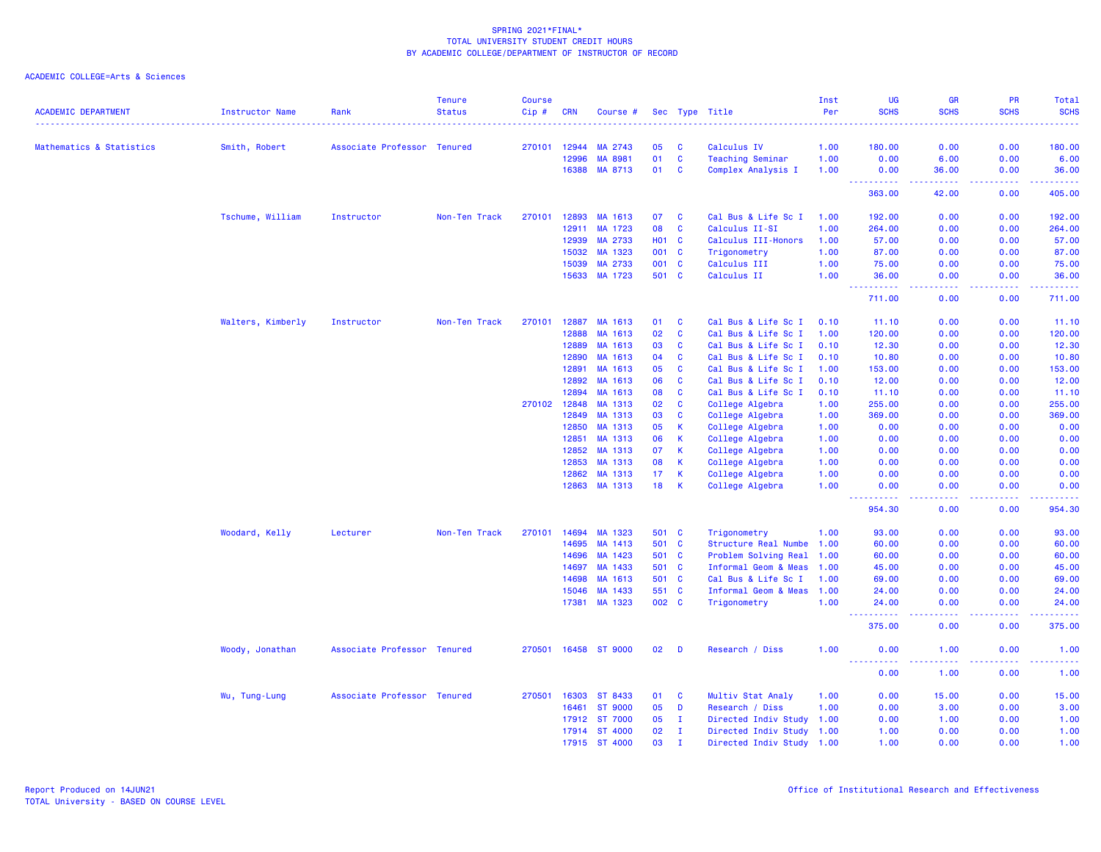| <b>ACADEMIC DEPARTMENT</b> | Instructor Name   | Rank                        | <b>Tenure</b><br><b>Status</b> | <b>Course</b><br>Cip# | <b>CRN</b> | Course #       |            |              | Sec Type Title            | Inst<br>Per | UG<br><b>SCHS</b> | <b>GR</b><br><b>SCHS</b>                                                                                                          | PR<br><b>SCHS</b> | Total<br><b>SCHS</b> |
|----------------------------|-------------------|-----------------------------|--------------------------------|-----------------------|------------|----------------|------------|--------------|---------------------------|-------------|-------------------|-----------------------------------------------------------------------------------------------------------------------------------|-------------------|----------------------|
| Mathematics & Statistics   | Smith, Robert     | Associate Professor Tenured |                                | 270101                | 12944      | MA 2743        | 05         | C            | Calculus IV               | 1.00        | 180.00            | 0.00                                                                                                                              | 0.00              | 180.00               |
|                            |                   |                             |                                |                       | 12996      | MA 8981        | 01         | $\mathbf{C}$ | Teaching Seminar          | 1.00        | 0.00              | 6.00                                                                                                                              | 0.00              | 6.00                 |
|                            |                   |                             |                                |                       | 16388      | MA 8713        | 01         | <b>C</b>     | Complex Analysis I        | 1.00        | 0.00              | 36.00                                                                                                                             | 0.00              | 36.00                |
|                            |                   |                             |                                |                       |            |                |            |              |                           |             | .<br>363.00       | .<br>42.00                                                                                                                        | .<br>0.00         | .<br>405.00          |
|                            | Tschume, William  | Instructor                  | Non-Ten Track                  | 270101                | 12893      | MA 1613        | 07         | C            | Cal Bus & Life Sc I       | 1.00        | 192.00            | 0.00                                                                                                                              | 0.00              | 192.00               |
|                            |                   |                             |                                |                       | 12911      | MA 1723        | 08         | $\mathbf{C}$ | Calculus II-SI            | 1.00        | 264.00            | 0.00                                                                                                                              | 0.00              | 264.00               |
|                            |                   |                             |                                |                       | 12939      | MA 2733        | <b>HO1</b> | <b>C</b>     | Calculus III-Honors       | 1.00        | 57.00             | 0.00                                                                                                                              | 0.00              | 57.00                |
|                            |                   |                             |                                |                       | 15032      | MA 1323        | 001        | C            | Trigonometry              | 1.00        | 87.00             | 0.00                                                                                                                              | 0.00              | 87.00                |
|                            |                   |                             |                                |                       | 15039      | MA 2733        | 001        | $\mathbf{C}$ | Calculus III              | 1.00        | 75.00             | 0.00                                                                                                                              | 0.00              | 75.00                |
|                            |                   |                             |                                |                       | 15633      | MA 1723        | 501 C      |              | Calculus II               | 1.00        | 36.00<br>.        | 0.00                                                                                                                              | 0.00<br>.         | 36.00<br>.           |
|                            |                   |                             |                                |                       |            |                |            |              |                           |             | 711.00            | 0.00                                                                                                                              | 0.00              | 711.00               |
|                            | Walters, Kimberly | Instructor                  | Non-Ten Track                  | 270101                | 12887      | MA 1613        | 01         | C            | Cal Bus & Life Sc I       | 0.10        | 11.10             | 0.00                                                                                                                              | 0.00              | 11.10                |
|                            |                   |                             |                                |                       | 12888      | MA 1613        | 02         | $\mathbf c$  | Cal Bus & Life Sc I       | 1.00        | 120.00            | 0.00                                                                                                                              | 0.00              | 120.00               |
|                            |                   |                             |                                |                       | 12889      | MA 1613        | 03         | C            | Cal Bus & Life Sc I       | 0.10        | 12.30             | 0.00                                                                                                                              | 0.00              | 12.30                |
|                            |                   |                             |                                |                       | 12890      | MA 1613        | 04         | $\mathbf{C}$ | Cal Bus & Life Sc I       | 0.10        | 10.80             | 0.00                                                                                                                              | 0.00              | 10.80                |
|                            |                   |                             |                                |                       | 12891      | MA 1613        | 05         | C            | Cal Bus & Life Sc I       | 1.00        | 153.00            | 0.00                                                                                                                              | 0.00              | 153.00               |
|                            |                   |                             |                                |                       | 12892      | MA 1613        | 06         | C            | Cal Bus & Life Sc I       | 0.10        | 12.00             | 0.00                                                                                                                              | 0.00              | 12.00                |
|                            |                   |                             |                                |                       | 12894      | MA 1613        | 08         | <b>C</b>     | Cal Bus & Life Sc I       | 0.10        | 11.10             | 0.00                                                                                                                              | 0.00              | 11.10                |
|                            |                   |                             |                                | 270102                | 12848      | MA 1313        | 02         | <b>C</b>     | College Algebra           | 1.00        | 255.00            | 0.00                                                                                                                              | 0.00              | 255.00               |
|                            |                   |                             |                                |                       | 12849      | MA 1313        | 03         | C            | College Algebra           | 1.00        | 369.00            | 0.00                                                                                                                              | 0.00              | 369.00               |
|                            |                   |                             |                                |                       | 12850      | MA 1313        | 05         | К            | College Algebra           | 1.00        | 0.00              | 0.00                                                                                                                              | 0.00              | 0.00                 |
|                            |                   |                             |                                |                       | 12851      | MA 1313        | 06         | K            | College Algebra           | 1.00        | 0.00              | 0.00                                                                                                                              | 0.00              | 0.00                 |
|                            |                   |                             |                                |                       | 12852      | MA 1313        | 07         | К            | College Algebra           | 1.00        | 0.00              | 0.00                                                                                                                              | 0.00              | 0.00                 |
|                            |                   |                             |                                |                       | 12853      | MA 1313        | 08         | К            | College Algebra           | 1.00        | 0.00              | 0.00                                                                                                                              | 0.00              | 0.00                 |
|                            |                   |                             |                                |                       | 12862      | MA 1313        | 17         | K            | College Algebra           | 1.00        | 0.00              | 0.00                                                                                                                              | 0.00              | 0.00                 |
|                            |                   |                             |                                |                       | 12863      | MA 1313        | 18         | К            | College Algebra           | 1.00        | 0.00<br>.         | 0.00<br>----                                                                                                                      | 0.00<br>د د د د   | 0.00<br>.            |
|                            |                   |                             |                                |                       |            |                |            |              |                           |             | 954.30            | 0.00                                                                                                                              | 0.00              | 954.30               |
|                            | Woodard, Kelly    | Lecturer                    | Non-Ten Track                  | 270101                | 14694      | MA 1323        | 501        | C            | Trigonometry              | 1.00        | 93.00             | 0.00                                                                                                                              | 0.00              | 93.00                |
|                            |                   |                             |                                |                       | 14695      | MA 1413        | 501 C      |              | Structure Real Numbe      | 1.00        | 60.00             | 0.00                                                                                                                              | 0.00              | 60.00                |
|                            |                   |                             |                                |                       | 14696      | MA 1423        | 501        | C            | Problem Solving Real      | 1.00        | 60.00             | 0.00                                                                                                                              | 0.00              | 60.00                |
|                            |                   |                             |                                |                       | 14697      | MA 1433        | 501 C      |              | Informal Geom & Meas      | 1.00        | 45.00             | 0.00                                                                                                                              | 0.00              | 45.00                |
|                            |                   |                             |                                |                       | 14698      | MA 1613        | 501 C      |              | Cal Bus & Life Sc I       | 1.00        | 69.00             | 0.00                                                                                                                              | 0.00              | 69.00                |
|                            |                   |                             |                                |                       | 15046      | MA 1433        | 551        | C            | Informal Geom & Meas      | 1.00        | 24.00             | 0.00                                                                                                                              | 0.00              | 24.00                |
|                            |                   |                             |                                |                       | 17381      | MA 1323        | 002 C      |              | Trigonometry              | 1.00        | 24.00             | 0.00<br>$\frac{1}{2} \left( \frac{1}{2} \right) \left( \frac{1}{2} \right) \left( \frac{1}{2} \right) \left( \frac{1}{2} \right)$ | 0.00<br>د د د د   | 24.00<br>.           |
|                            |                   |                             |                                |                       |            |                |            |              |                           |             | 375.00            | 0.00                                                                                                                              | 0.00              | 375.00               |
|                            | Woody, Jonathan   | Associate Professor Tenured |                                | 270501                |            | 16458 ST 9000  | 02         | - D          | Research / Diss           | 1.00        | 0.00<br>.         | 1.00<br>$- - - -$                                                                                                                 | 0.00<br>د د د د   | 1.00<br>د د د د د    |
|                            |                   |                             |                                |                       |            |                |            |              |                           |             | 0.00              | 1.00                                                                                                                              | 0.00              | 1.00                 |
|                            | Wu, Tung-Lung     | Associate Professor Tenured |                                | 270501                | 16303      | ST 8433        | 01         | C            | Multiv Stat Analy         | 1.00        | 0.00              | 15.00                                                                                                                             | 0.00              | 15.00                |
|                            |                   |                             |                                |                       | 16461      | <b>ST 9000</b> | 05         | D            | Research / Diss           | 1.00        | 0.00              | 3.00                                                                                                                              | 0.00              | 3.00                 |
|                            |                   |                             |                                |                       | 17912      | ST 7000        | 05         | $\mathbf{I}$ | Directed Indiv Study 1.00 |             | 0.00              | 1.00                                                                                                                              | 0.00              | 1.00                 |
|                            |                   |                             |                                |                       | 17914      | ST 4000        | 02         | п.           | Directed Indiv Study 1.00 |             | 1.00              | 0.00                                                                                                                              | 0.00              | 1.00                 |
|                            |                   |                             |                                |                       | 17915      | ST 4000        | 03         | $\mathbf{I}$ | Directed Indiv Study 1.00 |             | 1.00              | 0.00                                                                                                                              | 0.00              | 1.00                 |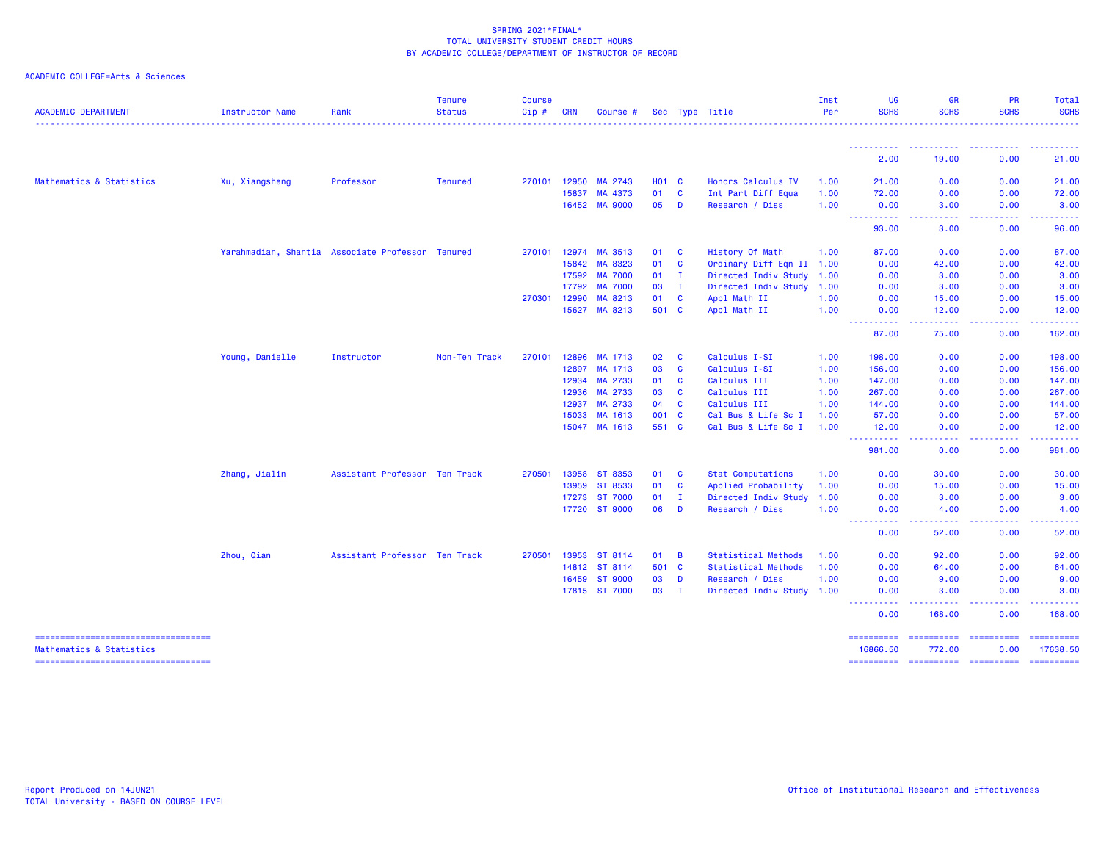| <b>ACADEMIC DEPARTMENT</b>                                       | <b>Instructor Name</b> | Rank                                             | <b>Tenure</b><br><b>Status</b> | <b>Course</b><br>$Cip \#$ | <b>CRN</b> | Course #       |              |              | Sec Type Title            | Inst<br>Per | <b>UG</b><br><b>SCHS</b>                                                                                                                                                                                                                                                                                                                                                                                                                                                                            | <b>GR</b><br><b>SCHS</b>                                  | <b>PR</b><br><b>SCHS</b>                                                                                                                                     | Total<br><b>SCHS</b>                                                                                                                                                                                                                                                                                                                                                                                                                                                                   |
|------------------------------------------------------------------|------------------------|--------------------------------------------------|--------------------------------|---------------------------|------------|----------------|--------------|--------------|---------------------------|-------------|-----------------------------------------------------------------------------------------------------------------------------------------------------------------------------------------------------------------------------------------------------------------------------------------------------------------------------------------------------------------------------------------------------------------------------------------------------------------------------------------------------|-----------------------------------------------------------|--------------------------------------------------------------------------------------------------------------------------------------------------------------|----------------------------------------------------------------------------------------------------------------------------------------------------------------------------------------------------------------------------------------------------------------------------------------------------------------------------------------------------------------------------------------------------------------------------------------------------------------------------------------|
|                                                                  |                        |                                                  |                                |                           |            |                |              |              |                           |             |                                                                                                                                                                                                                                                                                                                                                                                                                                                                                                     |                                                           |                                                                                                                                                              |                                                                                                                                                                                                                                                                                                                                                                                                                                                                                        |
|                                                                  |                        |                                                  |                                |                           |            |                |              |              |                           |             | ----------<br>2.00                                                                                                                                                                                                                                                                                                                                                                                                                                                                                  | <b><i><u><u> - - - - - - - - - -</u></u></i></b><br>19.00 | 0.00                                                                                                                                                         | 21.00                                                                                                                                                                                                                                                                                                                                                                                                                                                                                  |
| Mathematics & Statistics                                         | Xu, Xiangsheng         | Professor                                        | <b>Tenured</b>                 | 270101                    | 12950      | MA 2743        | <b>HO1 C</b> |              | Honors Calculus IV        | 1.00        | 21.00                                                                                                                                                                                                                                                                                                                                                                                                                                                                                               | 0.00                                                      | 0.00                                                                                                                                                         | 21.00                                                                                                                                                                                                                                                                                                                                                                                                                                                                                  |
|                                                                  |                        |                                                  |                                |                           | 15837      | MA 4373        | 01           | <b>C</b>     | Int Part Diff Equa        | 1.00        | 72.00                                                                                                                                                                                                                                                                                                                                                                                                                                                                                               | 0.00                                                      | 0.00                                                                                                                                                         | 72.00                                                                                                                                                                                                                                                                                                                                                                                                                                                                                  |
|                                                                  |                        |                                                  |                                |                           | 16452      | <b>MA 9000</b> | 05           | D            | Research / Diss           | 1.00        | 0.00                                                                                                                                                                                                                                                                                                                                                                                                                                                                                                | 3.00                                                      | 0.00                                                                                                                                                         | 3.00                                                                                                                                                                                                                                                                                                                                                                                                                                                                                   |
|                                                                  |                        |                                                  |                                |                           |            |                |              |              |                           |             | المتمام المتمار<br>93.00                                                                                                                                                                                                                                                                                                                                                                                                                                                                            | .<br>3.00                                                 | 0.00                                                                                                                                                         | 96.00                                                                                                                                                                                                                                                                                                                                                                                                                                                                                  |
|                                                                  |                        | Yarahmadian, Shantia Associate Professor Tenured |                                | 270101                    | 12974      | MA 3513        | 01           | <b>C</b>     | History Of Math           | 1.00        | 87.00                                                                                                                                                                                                                                                                                                                                                                                                                                                                                               | 0.00                                                      | 0.00                                                                                                                                                         | 87.00                                                                                                                                                                                                                                                                                                                                                                                                                                                                                  |
|                                                                  |                        |                                                  |                                |                           | 15842      | MA 8323        | 01           | <b>C</b>     | Ordinary Diff Eqn II 1.00 |             | 0.00                                                                                                                                                                                                                                                                                                                                                                                                                                                                                                | 42.00                                                     | 0.00                                                                                                                                                         | 42.00                                                                                                                                                                                                                                                                                                                                                                                                                                                                                  |
|                                                                  |                        |                                                  |                                |                           | 17592      | <b>MA 7000</b> | 01           | $\mathbf{I}$ | Directed Indiv Study      | 1.00        | 0.00                                                                                                                                                                                                                                                                                                                                                                                                                                                                                                | 3.00                                                      | 0.00                                                                                                                                                         | 3.00                                                                                                                                                                                                                                                                                                                                                                                                                                                                                   |
|                                                                  |                        |                                                  |                                |                           | 17792      | <b>MA 7000</b> | 03           | $\mathbf{I}$ | Directed Indiv Study      | 1.00        | 0.00                                                                                                                                                                                                                                                                                                                                                                                                                                                                                                | 3.00                                                      | 0.00                                                                                                                                                         | 3.00                                                                                                                                                                                                                                                                                                                                                                                                                                                                                   |
|                                                                  |                        |                                                  |                                | 270301                    | 12990      | MA 8213        | 01           | $\mathbf{C}$ | Appl Math II              | 1.00        | 0.00                                                                                                                                                                                                                                                                                                                                                                                                                                                                                                | 15.00                                                     | 0.00                                                                                                                                                         | 15.00                                                                                                                                                                                                                                                                                                                                                                                                                                                                                  |
|                                                                  |                        |                                                  |                                |                           | 15627      | MA 8213        | 501 C        |              | Appl Math II              | 1.00        | 0.00<br><b>.</b>                                                                                                                                                                                                                                                                                                                                                                                                                                                                                    | 12.00<br>.                                                | 0.00<br>$\frac{1}{2} \left( \frac{1}{2} \right) \left( \frac{1}{2} \right) \left( \frac{1}{2} \right) \left( \frac{1}{2} \right) \left( \frac{1}{2} \right)$ | 12.00<br>.                                                                                                                                                                                                                                                                                                                                                                                                                                                                             |
|                                                                  |                        |                                                  |                                |                           |            |                |              |              |                           |             | 87.00                                                                                                                                                                                                                                                                                                                                                                                                                                                                                               | 75.00                                                     | 0.00                                                                                                                                                         | 162.00                                                                                                                                                                                                                                                                                                                                                                                                                                                                                 |
|                                                                  | Young, Danielle        | Instructor                                       | Non-Ten Track                  | 270101                    | 12896      | MA 1713        | 02           | <b>C</b>     | Calculus I-SI             | 1.00        | 198.00                                                                                                                                                                                                                                                                                                                                                                                                                                                                                              | 0.00                                                      | 0.00                                                                                                                                                         | 198.00                                                                                                                                                                                                                                                                                                                                                                                                                                                                                 |
|                                                                  |                        |                                                  |                                |                           | 12897      | MA 1713        | 03           | C            | Calculus I-SI             | 1.00        | 156.00                                                                                                                                                                                                                                                                                                                                                                                                                                                                                              | 0.00                                                      | 0.00                                                                                                                                                         | 156.00                                                                                                                                                                                                                                                                                                                                                                                                                                                                                 |
|                                                                  |                        |                                                  |                                |                           | 12934      | MA 2733        | 01           | $\mathbf{C}$ | Calculus III              | 1.00        | 147.00                                                                                                                                                                                                                                                                                                                                                                                                                                                                                              | 0.00                                                      | 0.00                                                                                                                                                         | 147.00                                                                                                                                                                                                                                                                                                                                                                                                                                                                                 |
|                                                                  |                        |                                                  |                                |                           | 12936      | MA 2733        | 03           | $\mathbf{C}$ | Calculus III              | 1.00        | 267.00                                                                                                                                                                                                                                                                                                                                                                                                                                                                                              | 0.00                                                      | 0.00                                                                                                                                                         | 267.00                                                                                                                                                                                                                                                                                                                                                                                                                                                                                 |
|                                                                  |                        |                                                  |                                |                           | 12937      | MA 2733        | 04           | $\mathbf{C}$ | Calculus III              | 1.00        | 144.00                                                                                                                                                                                                                                                                                                                                                                                                                                                                                              | 0.00                                                      | 0.00                                                                                                                                                         | 144.00                                                                                                                                                                                                                                                                                                                                                                                                                                                                                 |
|                                                                  |                        |                                                  |                                |                           | 15033      | MA 1613        | 001 C        |              | Cal Bus & Life Sc I       | 1.00        | 57.00                                                                                                                                                                                                                                                                                                                                                                                                                                                                                               | 0.00                                                      | 0.00                                                                                                                                                         | 57.00                                                                                                                                                                                                                                                                                                                                                                                                                                                                                  |
|                                                                  |                        |                                                  |                                |                           | 15047      | MA 1613        | 551 C        |              | Cal Bus & Life Sc I       | 1.00        | 12.00                                                                                                                                                                                                                                                                                                                                                                                                                                                                                               | 0.00                                                      | 0.00                                                                                                                                                         | 12.00                                                                                                                                                                                                                                                                                                                                                                                                                                                                                  |
|                                                                  |                        |                                                  |                                |                           |            |                |              |              |                           |             | $\sim$ $\sim$ $\sim$ $\sim$<br>.<br>981.00                                                                                                                                                                                                                                                                                                                                                                                                                                                          | 0.00                                                      | 0.00                                                                                                                                                         | 981.00                                                                                                                                                                                                                                                                                                                                                                                                                                                                                 |
|                                                                  | Zhang, Jialin          | Assistant Professor Ten Track                    |                                | 270501                    | 13958      | ST 8353        | 01           | - C          | <b>Stat Computations</b>  | 1.00        | 0.00                                                                                                                                                                                                                                                                                                                                                                                                                                                                                                | 30.00                                                     | 0.00                                                                                                                                                         | 30.00                                                                                                                                                                                                                                                                                                                                                                                                                                                                                  |
|                                                                  |                        |                                                  |                                |                           | 13959      | ST 8533        | 01           | <b>C</b>     | Applied Probability       | 1.00        | 0.00                                                                                                                                                                                                                                                                                                                                                                                                                                                                                                | 15.00                                                     | 0.00                                                                                                                                                         | 15.00                                                                                                                                                                                                                                                                                                                                                                                                                                                                                  |
|                                                                  |                        |                                                  |                                |                           |            | 17273 ST 7000  | 01           | $\mathbf{I}$ | Directed Indiv Study      | 1.00        | 0.00                                                                                                                                                                                                                                                                                                                                                                                                                                                                                                | 3.00                                                      | 0.00                                                                                                                                                         | 3.00                                                                                                                                                                                                                                                                                                                                                                                                                                                                                   |
|                                                                  |                        |                                                  |                                |                           |            | 17720 ST 9000  | 06 D         |              | Research / Diss           | 1.00        | 0.00<br>-----                                                                                                                                                                                                                                                                                                                                                                                                                                                                                       | 4.00<br>22222                                             | 0.00<br>-----                                                                                                                                                | 4.00<br><b>.</b>                                                                                                                                                                                                                                                                                                                                                                                                                                                                       |
|                                                                  |                        |                                                  |                                |                           |            |                |              |              |                           |             | 0.00                                                                                                                                                                                                                                                                                                                                                                                                                                                                                                | 52.00                                                     | 0.00                                                                                                                                                         | 52.00                                                                                                                                                                                                                                                                                                                                                                                                                                                                                  |
|                                                                  | Zhou, Qian             | Assistant Professor Ten Track                    |                                | 270501                    |            | 13953 ST 8114  | $01 \quad B$ |              | Statistical Methods       | 1.00        | 0.00                                                                                                                                                                                                                                                                                                                                                                                                                                                                                                | 92.00                                                     | 0.00                                                                                                                                                         | 92.00                                                                                                                                                                                                                                                                                                                                                                                                                                                                                  |
|                                                                  |                        |                                                  |                                |                           |            | 14812 ST 8114  | 501 C        |              | Statistical Methods       | 1.00        | 0.00                                                                                                                                                                                                                                                                                                                                                                                                                                                                                                | 64.00                                                     | 0.00                                                                                                                                                         | 64.00                                                                                                                                                                                                                                                                                                                                                                                                                                                                                  |
|                                                                  |                        |                                                  |                                |                           |            | 16459 ST 9000  | 03 D         |              | Research / Diss           | 1.00        | 0.00                                                                                                                                                                                                                                                                                                                                                                                                                                                                                                | 9.00                                                      | 0.00                                                                                                                                                         | 9.00                                                                                                                                                                                                                                                                                                                                                                                                                                                                                   |
|                                                                  |                        |                                                  |                                |                           |            | 17815 ST 7000  | 03           | $\mathbf{I}$ | Directed Indiv Study 1.00 |             | 0.00                                                                                                                                                                                                                                                                                                                                                                                                                                                                                                | 3.00                                                      | 0.00                                                                                                                                                         | 3.00                                                                                                                                                                                                                                                                                                                                                                                                                                                                                   |
|                                                                  |                        |                                                  |                                |                           |            |                |              |              |                           |             | .<br>$\begin{array}{cccccccccccccc} \multicolumn{2}{c}{} & \multicolumn{2}{c}{} & \multicolumn{2}{c}{} & \multicolumn{2}{c}{} & \multicolumn{2}{c}{} & \multicolumn{2}{c}{} & \multicolumn{2}{c}{} & \multicolumn{2}{c}{} & \multicolumn{2}{c}{} & \multicolumn{2}{c}{} & \multicolumn{2}{c}{} & \multicolumn{2}{c}{} & \multicolumn{2}{c}{} & \multicolumn{2}{c}{} & \multicolumn{2}{c}{} & \multicolumn{2}{c}{} & \multicolumn{2}{c}{} & \multicolumn{2}{c}{} & \multicolumn{2}{c}{} & \$<br>0.00 | 168.00                                                    | 0.00                                                                                                                                                         | 168.00                                                                                                                                                                                                                                                                                                                                                                                                                                                                                 |
| ====================================<br>Mathematics & Statistics |                        |                                                  |                                |                           |            |                |              |              |                           |             | ==========<br>16866.50                                                                                                                                                                                                                                                                                                                                                                                                                                                                              | =======================<br>772.00                         | 0.00                                                                                                                                                         | ==========<br>17638.50                                                                                                                                                                                                                                                                                                                                                                                                                                                                 |
| =====================================                            |                        |                                                  |                                |                           |            |                |              |              |                           |             | ==========                                                                                                                                                                                                                                                                                                                                                                                                                                                                                          | =========== ==========                                    |                                                                                                                                                              | $\begin{array}{cccccccccc} \multicolumn{2}{c}{} & \multicolumn{2}{c}{} & \multicolumn{2}{c}{} & \multicolumn{2}{c}{} & \multicolumn{2}{c}{} & \multicolumn{2}{c}{} & \multicolumn{2}{c}{} & \multicolumn{2}{c}{} & \multicolumn{2}{c}{} & \multicolumn{2}{c}{} & \multicolumn{2}{c}{} & \multicolumn{2}{c}{} & \multicolumn{2}{c}{} & \multicolumn{2}{c}{} & \multicolumn{2}{c}{} & \multicolumn{2}{c}{} & \multicolumn{2}{c}{} & \multicolumn{2}{c}{} & \multicolumn{2}{c}{} & \mult$ |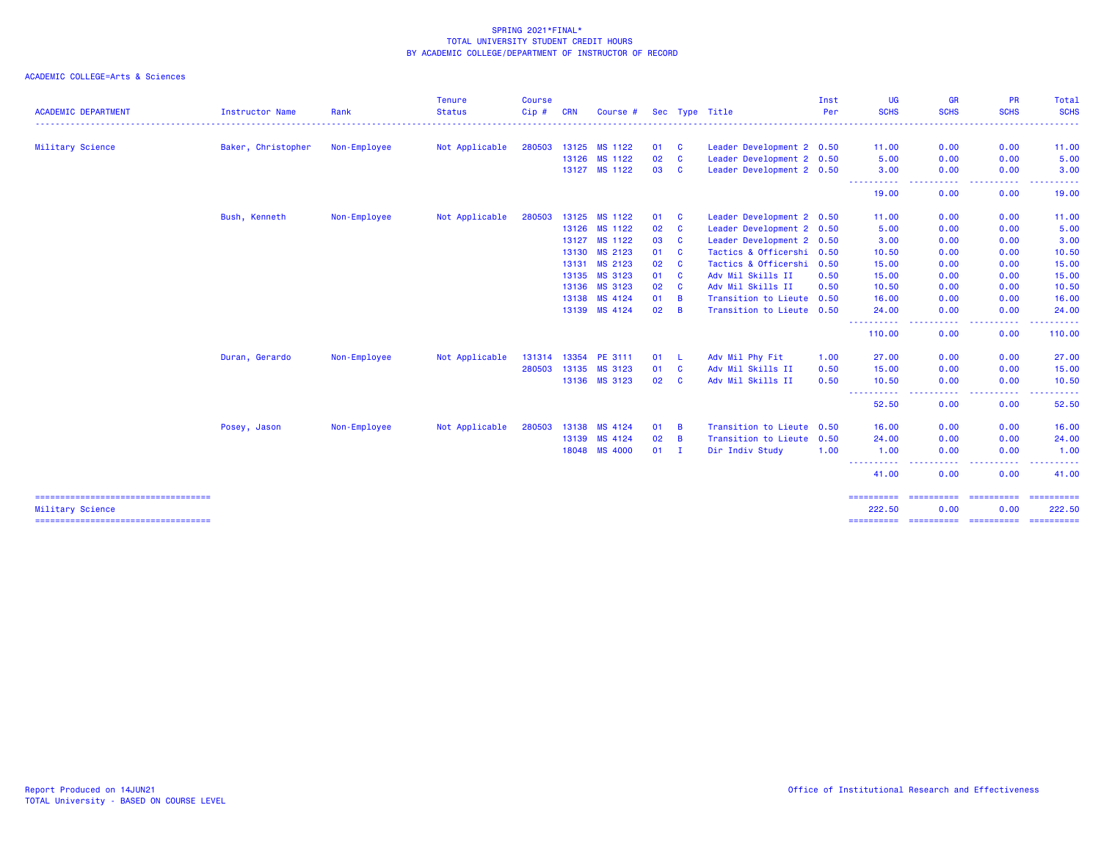|                                                           |                    |              | <b>Tenure</b>  | <b>Course</b> |            |                      |    |                |                           | Inst | <b>UG</b>                                                                                                                              | <b>GR</b>                                                                                                   | PR          | Total                                                                                                                                                                                                                                                                                                                                                                                                                                                                                                                                                                                                                                                                                                                                                                                                                                                                                                                                                                  |
|-----------------------------------------------------------|--------------------|--------------|----------------|---------------|------------|----------------------|----|----------------|---------------------------|------|----------------------------------------------------------------------------------------------------------------------------------------|-------------------------------------------------------------------------------------------------------------|-------------|------------------------------------------------------------------------------------------------------------------------------------------------------------------------------------------------------------------------------------------------------------------------------------------------------------------------------------------------------------------------------------------------------------------------------------------------------------------------------------------------------------------------------------------------------------------------------------------------------------------------------------------------------------------------------------------------------------------------------------------------------------------------------------------------------------------------------------------------------------------------------------------------------------------------------------------------------------------------|
| <b>ACADEMIC DEPARTMENT</b>                                | Instructor Name    | Rank         | <b>Status</b>  | Cip#          | <b>CRN</b> | Course #             |    |                | Sec Type Title            | Per  | <b>SCHS</b>                                                                                                                            | <b>SCHS</b>                                                                                                 | <b>SCHS</b> | <b>SCHS</b>                                                                                                                                                                                                                                                                                                                                                                                                                                                                                                                                                                                                                                                                                                                                                                                                                                                                                                                                                            |
| Military Science                                          | Baker, Christopher | Non-Employee | Not Applicable | 280503        | 13125      | MS 1122              | 01 | $\mathbf{C}$   | Leader Development 2 0.50 |      | 11.00                                                                                                                                  | 0.00                                                                                                        | 0.00        | 11.00                                                                                                                                                                                                                                                                                                                                                                                                                                                                                                                                                                                                                                                                                                                                                                                                                                                                                                                                                                  |
|                                                           |                    |              |                |               | 13126      | MS 1122              | 02 | $\mathbf{C}$   | Leader Development 2 0.50 |      | 5.00                                                                                                                                   | 0.00                                                                                                        | 0.00        | 5.00                                                                                                                                                                                                                                                                                                                                                                                                                                                                                                                                                                                                                                                                                                                                                                                                                                                                                                                                                                   |
|                                                           |                    |              |                |               |            | 13127 MS 1122        | 03 | <b>C</b>       | Leader Development 2 0.50 |      | 3.00<br>$\frac{1}{2} \left( \frac{1}{2} \right) \left( \frac{1}{2} \right) \left( \frac{1}{2} \right) \left( \frac{1}{2} \right)$<br>. | 0.00                                                                                                        | 0.00        | 3.00                                                                                                                                                                                                                                                                                                                                                                                                                                                                                                                                                                                                                                                                                                                                                                                                                                                                                                                                                                   |
|                                                           |                    |              |                |               |            |                      |    |                |                           |      | 19.00                                                                                                                                  | 0.00                                                                                                        | 0.00        | 19.00                                                                                                                                                                                                                                                                                                                                                                                                                                                                                                                                                                                                                                                                                                                                                                                                                                                                                                                                                                  |
|                                                           | Bush, Kenneth      | Non-Employee | Not Applicable | 280503        | 13125      | MS 1122              | 01 | $\mathbf{C}$   | Leader Development 2 0.50 |      | 11.00                                                                                                                                  | 0.00                                                                                                        | 0.00        | 11.00                                                                                                                                                                                                                                                                                                                                                                                                                                                                                                                                                                                                                                                                                                                                                                                                                                                                                                                                                                  |
|                                                           |                    |              |                |               |            | 13126 MS 1122        | 02 | $\mathbf{C}$   | Leader Development 2 0.50 |      | 5.00                                                                                                                                   | 0.00                                                                                                        | 0.00        | 5.00                                                                                                                                                                                                                                                                                                                                                                                                                                                                                                                                                                                                                                                                                                                                                                                                                                                                                                                                                                   |
|                                                           |                    |              |                |               | 13127      | MS 1122              | 03 | <b>C</b>       | Leader Development 2 0.50 |      | 3.00                                                                                                                                   | 0.00                                                                                                        | 0.00        | 3.00                                                                                                                                                                                                                                                                                                                                                                                                                                                                                                                                                                                                                                                                                                                                                                                                                                                                                                                                                                   |
|                                                           |                    |              |                |               |            | 13130 MS 2123        | 01 | $\mathbf{C}$   | Tactics & Officershi 0.50 |      | 10.50                                                                                                                                  | 0.00                                                                                                        | 0.00        | 10.50                                                                                                                                                                                                                                                                                                                                                                                                                                                                                                                                                                                                                                                                                                                                                                                                                                                                                                                                                                  |
|                                                           |                    |              |                |               |            | 13131 MS 2123        | 02 | <b>C</b>       | Tactics & Officershi 0.50 |      | 15.00                                                                                                                                  | 0.00                                                                                                        | 0.00        | 15.00                                                                                                                                                                                                                                                                                                                                                                                                                                                                                                                                                                                                                                                                                                                                                                                                                                                                                                                                                                  |
|                                                           |                    |              |                |               |            | 13135 MS 3123        | 01 | $\mathbf{C}$   | Adv Mil Skills II         | 0.50 | 15.00                                                                                                                                  | 0.00                                                                                                        | 0.00        | 15.00                                                                                                                                                                                                                                                                                                                                                                                                                                                                                                                                                                                                                                                                                                                                                                                                                                                                                                                                                                  |
|                                                           |                    |              |                |               |            | 13136 MS 3123        | 02 | <b>C</b>       | Adv Mil Skills II         | 0.50 | 10.50                                                                                                                                  | 0.00                                                                                                        | 0.00        | 10.50                                                                                                                                                                                                                                                                                                                                                                                                                                                                                                                                                                                                                                                                                                                                                                                                                                                                                                                                                                  |
|                                                           |                    |              |                |               |            | 13138 MS 4124        | 01 | $\overline{B}$ | Transition to Lieute 0.50 |      | 16.00                                                                                                                                  | 0.00                                                                                                        | 0.00        | 16.00                                                                                                                                                                                                                                                                                                                                                                                                                                                                                                                                                                                                                                                                                                                                                                                                                                                                                                                                                                  |
|                                                           |                    |              |                |               |            | 13139 MS 4124        | 02 | $\overline{B}$ | Transition to Lieute 0.50 |      | 24.00<br>----------                                                                                                                    | 0.00<br>$\frac{1}{2} \left( \frac{1}{2} \right) \left( \frac{1}{2} \right) \left( \frac{1}{2} \right)$<br>. | 0.00<br>.   | 24.00<br>.                                                                                                                                                                                                                                                                                                                                                                                                                                                                                                                                                                                                                                                                                                                                                                                                                                                                                                                                                             |
|                                                           |                    |              |                |               |            |                      |    |                |                           |      | 110.00                                                                                                                                 | 0.00                                                                                                        | 0.00        | 110.00                                                                                                                                                                                                                                                                                                                                                                                                                                                                                                                                                                                                                                                                                                                                                                                                                                                                                                                                                                 |
|                                                           | Duran, Gerardo     | Non-Employee | Not Applicable |               |            | 131314 13354 PE 3111 | 01 | - L            | Adv Mil Phy Fit           | 1.00 | 27,00                                                                                                                                  | 0.00                                                                                                        | 0.00        | 27.00                                                                                                                                                                                                                                                                                                                                                                                                                                                                                                                                                                                                                                                                                                                                                                                                                                                                                                                                                                  |
|                                                           |                    |              |                | 280503        | 13135      | MS 3123              | 01 | $\mathbf{C}$   | Adv Mil Skills II         | 0.50 | 15.00                                                                                                                                  | 0.00                                                                                                        | 0.00        | 15.00                                                                                                                                                                                                                                                                                                                                                                                                                                                                                                                                                                                                                                                                                                                                                                                                                                                                                                                                                                  |
|                                                           |                    |              |                |               |            | 13136 MS 3123        | 02 | $\mathbf{C}$   | Adv Mil Skills II         | 0.50 | 10.50<br>----------                                                                                                                    | 0.00<br>.                                                                                                   | 0.00        | 10.50                                                                                                                                                                                                                                                                                                                                                                                                                                                                                                                                                                                                                                                                                                                                                                                                                                                                                                                                                                  |
|                                                           |                    |              |                |               |            |                      |    |                |                           |      | 52.50                                                                                                                                  | 0.00                                                                                                        | 0.00        | 52.50                                                                                                                                                                                                                                                                                                                                                                                                                                                                                                                                                                                                                                                                                                                                                                                                                                                                                                                                                                  |
|                                                           | Posey, Jason       | Non-Employee | Not Applicable | 280503        | 13138      | MS 4124              | 01 | $\overline{B}$ | Transition to Lieute 0.50 |      | 16.00                                                                                                                                  | 0.00                                                                                                        | 0.00        | 16.00                                                                                                                                                                                                                                                                                                                                                                                                                                                                                                                                                                                                                                                                                                                                                                                                                                                                                                                                                                  |
|                                                           |                    |              |                |               | 13139      | MS 4124              | 02 | $\overline{B}$ | Transition to Lieute 0.50 |      | 24,00                                                                                                                                  | 0.00                                                                                                        | 0.00        | 24.00                                                                                                                                                                                                                                                                                                                                                                                                                                                                                                                                                                                                                                                                                                                                                                                                                                                                                                                                                                  |
|                                                           |                    |              |                |               |            | 18048 MS 4000        | 01 | - I            | Dir Indiv Study           | 1.00 | 1.00<br>----------                                                                                                                     | 0.00<br>$\sim$ $\sim$ $\sim$ $\sim$                                                                         | 0.00        | 1.00                                                                                                                                                                                                                                                                                                                                                                                                                                                                                                                                                                                                                                                                                                                                                                                                                                                                                                                                                                   |
|                                                           |                    |              |                |               |            |                      |    |                |                           |      | 41.00                                                                                                                                  | 0.00                                                                                                        | 0.00        | 41.00                                                                                                                                                                                                                                                                                                                                                                                                                                                                                                                                                                                                                                                                                                                                                                                                                                                                                                                                                                  |
| Military Science<br>===================================== |                    |              |                |               |            |                      |    |                |                           |      | ==========<br>222.50                                                                                                                   | ----------- ----------<br>0.00                                                                              | 0.00        | $\begin{array}{cccccccccc} \multicolumn{2}{c}{} & \multicolumn{2}{c}{} & \multicolumn{2}{c}{} & \multicolumn{2}{c}{} & \multicolumn{2}{c}{} & \multicolumn{2}{c}{} & \multicolumn{2}{c}{} & \multicolumn{2}{c}{} & \multicolumn{2}{c}{} & \multicolumn{2}{c}{} & \multicolumn{2}{c}{} & \multicolumn{2}{c}{} & \multicolumn{2}{c}{} & \multicolumn{2}{c}{} & \multicolumn{2}{c}{} & \multicolumn{2}{c}{} & \multicolumn{2}{c}{} & \multicolumn{2}{c}{} & \multicolumn{2}{c}{} & \mult$<br>222.50<br>$\begin{array}{c} \multicolumn{3}{c} {\textbf{2.5}} & \multicolumn{3}{c} {\textbf{2.5}} \\ \multicolumn{3}{c} {\textbf{3.5}} & \multicolumn{3}{c} {\textbf{4.5}} \\ \multicolumn{3}{c} {\textbf{5.5}} & \multicolumn{3}{c} {\textbf{6.5}} \\ \multicolumn{3}{c} {\textbf{6.5}} & \multicolumn{3}{c} {\textbf{6.5}} \\ \multicolumn{3}{c} {\textbf{7.5}} & \multicolumn{3}{c} {\textbf{8.5}} \\ \multicolumn{3}{c} {\textbf{9.5}} & \multicolumn{3}{c} {\textbf{1.$ |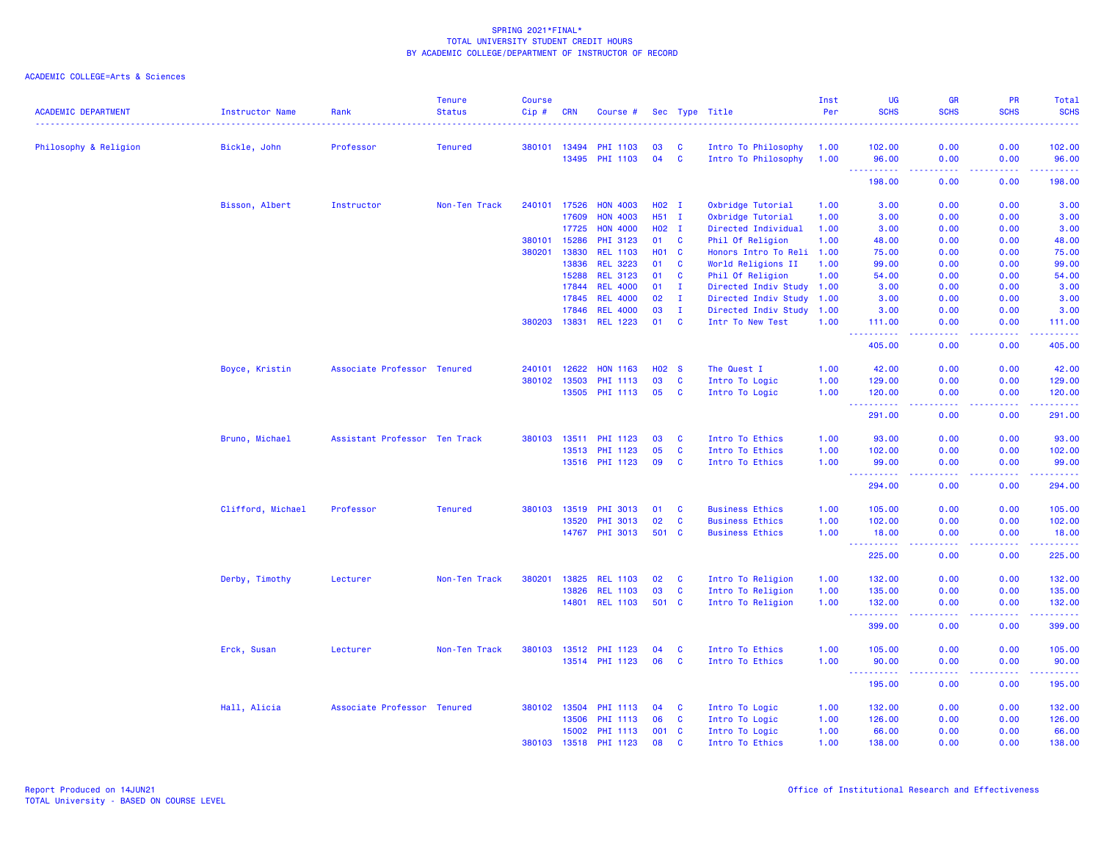| Philosophy & Religion<br>Bickle, John<br>Professor<br><b>Tenured</b><br>380101 13494<br>03<br>C<br>102.00<br>0.00<br>0.00<br>102.00<br>PHI 1103<br>Intro To Philosophy<br>1.00<br>04<br>$\mathbf{C}$<br>13495<br><b>PHI 1103</b><br>Intro To Philosophy<br>1.00<br>0.00<br>96.00<br>96.00<br>0.00<br><b><i><u>AAAAAAAAA</u></i></b><br>$\omega$ is a $\omega$<br>.<br><u>.</u><br>198.00<br>0.00<br>0.00<br>198.00<br>Bisson, Albert<br>Instructor<br>Non-Ten Track<br>240101<br>17526<br><b>HON 4003</b><br>$H02$ I<br>Oxbridge Tutorial<br>1.00<br>3.00<br>0.00<br>0.00<br>3.00<br>17609<br><b>HON 4003</b><br>H51 I<br>Oxbridge Tutorial<br>3.00<br>0.00<br>0.00<br>3.00<br>1.00<br>17725<br><b>HON 4000</b><br>H02 I<br>Directed Individual<br>3.00<br>0.00<br>0.00<br>3.00<br>1.00<br>15286<br>$\mathbf{C}$<br>Phil Of Religion<br>380101<br>PHI 3123<br>01<br>0.00<br>0.00<br>48.00<br>1.00<br>48.00<br>380201<br>13830<br>$\mathbf{C}$<br><b>REL 1103</b><br><b>HO1</b><br>Honors Intro To Reli<br>1.00<br>0.00<br>0.00<br>75.00<br>75.00<br>13836<br><b>REL 3223</b><br>C<br>0.00<br>01<br>World Religions II<br>1.00<br>99.00<br>0.00<br>99.00<br>15288<br>C<br><b>REL 3123</b><br>01<br>Phil Of Religion<br>1.00<br>54.00<br>0.00<br>0.00<br>54.00<br>17844 REL 4000<br>$\mathbf{I}$<br>3.00<br>01<br>Directed Indiv Study 1.00<br>3.00<br>0.00<br>0.00<br>$\mathbf I$<br><b>REL 4000</b><br>02<br>0.00<br>0.00<br>3.00<br>17845<br>Directed Indiv Study 1.00<br>3.00<br>17846<br><b>REL 4000</b><br>$\mathbf I$<br>03<br>Directed Indiv Study 1.00<br>3.00<br>0.00<br>0.00<br>3.00<br>$\mathbf{C}$<br>380203<br>13831<br><b>REL 1223</b><br>01<br>Intr To New Test<br>1.00<br>0.00<br>0.00<br>111.00<br>111.00<br>$\sim$ $\sim$ $\sim$<br>.<br>$\sim$ $\sim$ $\sim$ $\sim$<br>$\sim$ $\sim$ $\sim$ $\sim$<br><u>.</u><br>405.00<br>405.00<br>0.00<br>0.00<br>12622<br><b>HON 1163</b><br>0.00<br>42.00<br>Boyce, Kristin<br>Associate Professor Tenured<br>240101<br><b>HO2 S</b><br>The Quest I<br>1.00<br>42.00<br>0.00<br>13503<br>03<br>C<br>380102<br><b>PHI 1113</b><br>Intro To Logic<br>1.00<br>129.00<br>0.00<br>0.00<br>129.00<br>13505<br><b>PHI 1113</b><br>05<br>C<br>Intro To Logic<br>0.00<br>0.00<br>120.00<br>1.00<br>120.00<br><u> - - - - - - - - - -</u><br>$\begin{array}{cccccccccc} \bullet & \bullet & \bullet & \bullet & \bullet & \bullet & \bullet & \bullet \end{array}$<br>$\sim$ $\sim$ $\sim$ $\sim$<br>.<br>291.00<br>0.00<br>0.00<br>291.00<br>Bruno, Michael<br>Assistant Professor Ten Track<br>380103 13511<br>PHI 1123<br>03<br>C<br>Intro To Ethics<br>1.00<br>93.00<br>0.00<br>0.00<br>93.00<br>05<br>$\mathbf{C}$<br>13513<br><b>PHI 1123</b><br>Intro To Ethics<br>1.00<br>102.00<br>0.00<br>0.00<br>102.00<br>09<br>$\mathbf{C}$<br>13516 PHI 1123<br>Intro To Ethics<br>1.00<br>99.00<br>0.00<br>0.00<br>99.00<br>2.2.2.2.2.2<br><b></b><br>$\frac{1}{2} \left( \frac{1}{2} \right) \left( \frac{1}{2} \right) \left( \frac{1}{2} \right) \left( \frac{1}{2} \right)$<br>.<br>294.00<br>294.00<br>0.00<br>0.00<br>Clifford, Michael<br>Professor<br><b>Tenured</b><br>380103 13519<br>PHI 3013<br>01<br>C<br><b>Business Ethics</b><br>0.00<br>0.00<br>105.00<br>1.00<br>105.00<br>02<br>$\mathbf{C}$<br>102.00<br>13520<br>PHI 3013<br><b>Business Ethics</b><br>1.00<br>102.00<br>0.00<br>0.00<br>14767 PHI 3013<br>501 C<br><b>Business Ethics</b><br>1.00<br>0.00<br>0.00<br>18.00<br>18.00<br><b><i><u><u> - - - - - - - - - -</u></u></i></b><br>.<br>.<br>.<br>225.00<br>225.00<br>0.00<br>0.00<br>380201<br>13825<br>Intro To Religion<br>0.00<br>132.00<br>Derby, Timothy<br>Lecturer<br>Non-Ten Track<br><b>REL 1103</b><br>02<br><b>C</b><br>1.00<br>132.00<br>0.00<br>$\mathbf{C}$<br>13826<br>03<br>Intro To Religion<br>0.00<br>0.00<br>135.00<br><b>REL 1103</b><br>1.00<br>135.00<br>501 C<br>14801 REL 1103<br>Intro To Religion<br>1.00<br>132.00<br>0.00<br>0.00<br>132.00<br><b>.</b><br>بالمتمامين<br>$\sim$ $\sim$ $\sim$ $\sim$<br>د د د د<br>399.00<br>399.00<br>0.00<br>0.00<br>Erck, Susan<br>Lecturer<br>Non-Ten Track<br>380103 13512 PHI 1123<br>04<br>C<br>Intro To Ethics<br>1.00<br>105.00<br>0.00<br>0.00<br>105.00<br>13514 PHI 1123<br>$\mathbf{C}$<br>06<br>Intro To Ethics<br>1.00<br>90.00<br>0.00<br>0.00<br>90.00<br><u>.</u><br>$\sim 100$<br>$- - - -$<br>.<br>195.00<br>0.00<br>0.00<br>195.00<br>Hall, Alicia<br>Associate Professor Tenured<br>380102<br>13504<br><b>PHI 1113</b><br>04<br>C<br>Intro To Logic<br>1.00<br>132.00<br>0.00<br>0.00<br>132.00<br>13506<br><b>PHI 1113</b><br>06<br>$\mathbf{C}$<br>Intro To Logic<br>126.00<br>0.00<br>0.00<br>126.00<br>1.00<br>15002<br><b>PHI 1113</b><br>001<br>$\mathbf{C}$<br>66.00<br>0.00<br>0.00<br>66.00<br>Intro To Logic<br>1.00<br>08<br>$\mathbf{c}$<br>380103 13518<br>PHI 1123<br>Intro To Ethics<br>1.00<br>138.00<br>0.00<br>0.00<br>138.00 | <b>ACADEMIC DEPARTMENT</b> | <b>Instructor Name</b> | Rank | Tenure<br><b>Status</b> | <b>Course</b><br>Cip # | <b>CRN</b> | Course # |  | Sec Type Title | Inst<br>Per | UG<br><b>SCHS</b> | <b>GR</b><br><b>SCHS</b> | <b>PR</b><br><b>SCHS</b> | Total<br><b>SCHS</b> |
|----------------------------------------------------------------------------------------------------------------------------------------------------------------------------------------------------------------------------------------------------------------------------------------------------------------------------------------------------------------------------------------------------------------------------------------------------------------------------------------------------------------------------------------------------------------------------------------------------------------------------------------------------------------------------------------------------------------------------------------------------------------------------------------------------------------------------------------------------------------------------------------------------------------------------------------------------------------------------------------------------------------------------------------------------------------------------------------------------------------------------------------------------------------------------------------------------------------------------------------------------------------------------------------------------------------------------------------------------------------------------------------------------------------------------------------------------------------------------------------------------------------------------------------------------------------------------------------------------------------------------------------------------------------------------------------------------------------------------------------------------------------------------------------------------------------------------------------------------------------------------------------------------------------------------------------------------------------------------------------------------------------------------------------------------------------------------------------------------------------------------------------------------------------------------------------------------------------------------------------------------------------------------------------------------------------------------------------------------------------------------------------------------------------------------------------------------------------------------------------------------------------------------------------------------------------------------------------------------------------------------------------------------------------------------------------------------------------------------------------------------------------------------------------------------------------------------------------------------------------------------------------------------------------------------------------------------------------------------------------------------------------------------------------------------------------------------------------------------------------------------------------------------------------------------------------------------------------------------------------------------------------------------------------------------------------------------------------------------------------------------------------------------------------------------------------------------------------------------------------------------------------------------------------------------------------------------------------------------------------------------------------------------------------------------------------------------------------------------------------------------------------------------------------------------------------------------------------------------------------------------------------------------------------------------------------------------------------------------------------------------------------------------------------------------------------------------------------------------------------------------------------------------------------------------------------------------------------------------------------------------------------------------------------------------------------------------------------------------------------------------------------------------------------------------------------------------------------------------------------------------------------------------------------------------------------------------------------------------------------------------------------------------------------------------------------------------------------------------------------------------------------------------------------------------------------------------------------------------------------------------------------------------------------|----------------------------|------------------------|------|-------------------------|------------------------|------------|----------|--|----------------|-------------|-------------------|--------------------------|--------------------------|----------------------|
|                                                                                                                                                                                                                                                                                                                                                                                                                                                                                                                                                                                                                                                                                                                                                                                                                                                                                                                                                                                                                                                                                                                                                                                                                                                                                                                                                                                                                                                                                                                                                                                                                                                                                                                                                                                                                                                                                                                                                                                                                                                                                                                                                                                                                                                                                                                                                                                                                                                                                                                                                                                                                                                                                                                                                                                                                                                                                                                                                                                                                                                                                                                                                                                                                                                                                                                                                                                                                                                                                                                                                                                                                                                                                                                                                                                                                                                                                                                                                                                                                                                                                                                                                                                                                                                                                                                                                                                                                                                                                                                                                                                                                                                                                                                                                                                                                                                                                                                |                            |                        |      |                         |                        |            |          |  |                |             |                   |                          |                          |                      |
|                                                                                                                                                                                                                                                                                                                                                                                                                                                                                                                                                                                                                                                                                                                                                                                                                                                                                                                                                                                                                                                                                                                                                                                                                                                                                                                                                                                                                                                                                                                                                                                                                                                                                                                                                                                                                                                                                                                                                                                                                                                                                                                                                                                                                                                                                                                                                                                                                                                                                                                                                                                                                                                                                                                                                                                                                                                                                                                                                                                                                                                                                                                                                                                                                                                                                                                                                                                                                                                                                                                                                                                                                                                                                                                                                                                                                                                                                                                                                                                                                                                                                                                                                                                                                                                                                                                                                                                                                                                                                                                                                                                                                                                                                                                                                                                                                                                                                                                |                            |                        |      |                         |                        |            |          |  |                |             |                   |                          |                          |                      |
|                                                                                                                                                                                                                                                                                                                                                                                                                                                                                                                                                                                                                                                                                                                                                                                                                                                                                                                                                                                                                                                                                                                                                                                                                                                                                                                                                                                                                                                                                                                                                                                                                                                                                                                                                                                                                                                                                                                                                                                                                                                                                                                                                                                                                                                                                                                                                                                                                                                                                                                                                                                                                                                                                                                                                                                                                                                                                                                                                                                                                                                                                                                                                                                                                                                                                                                                                                                                                                                                                                                                                                                                                                                                                                                                                                                                                                                                                                                                                                                                                                                                                                                                                                                                                                                                                                                                                                                                                                                                                                                                                                                                                                                                                                                                                                                                                                                                                                                |                            |                        |      |                         |                        |            |          |  |                |             |                   |                          |                          |                      |
|                                                                                                                                                                                                                                                                                                                                                                                                                                                                                                                                                                                                                                                                                                                                                                                                                                                                                                                                                                                                                                                                                                                                                                                                                                                                                                                                                                                                                                                                                                                                                                                                                                                                                                                                                                                                                                                                                                                                                                                                                                                                                                                                                                                                                                                                                                                                                                                                                                                                                                                                                                                                                                                                                                                                                                                                                                                                                                                                                                                                                                                                                                                                                                                                                                                                                                                                                                                                                                                                                                                                                                                                                                                                                                                                                                                                                                                                                                                                                                                                                                                                                                                                                                                                                                                                                                                                                                                                                                                                                                                                                                                                                                                                                                                                                                                                                                                                                                                |                            |                        |      |                         |                        |            |          |  |                |             |                   |                          |                          |                      |
|                                                                                                                                                                                                                                                                                                                                                                                                                                                                                                                                                                                                                                                                                                                                                                                                                                                                                                                                                                                                                                                                                                                                                                                                                                                                                                                                                                                                                                                                                                                                                                                                                                                                                                                                                                                                                                                                                                                                                                                                                                                                                                                                                                                                                                                                                                                                                                                                                                                                                                                                                                                                                                                                                                                                                                                                                                                                                                                                                                                                                                                                                                                                                                                                                                                                                                                                                                                                                                                                                                                                                                                                                                                                                                                                                                                                                                                                                                                                                                                                                                                                                                                                                                                                                                                                                                                                                                                                                                                                                                                                                                                                                                                                                                                                                                                                                                                                                                                |                            |                        |      |                         |                        |            |          |  |                |             |                   |                          |                          |                      |
|                                                                                                                                                                                                                                                                                                                                                                                                                                                                                                                                                                                                                                                                                                                                                                                                                                                                                                                                                                                                                                                                                                                                                                                                                                                                                                                                                                                                                                                                                                                                                                                                                                                                                                                                                                                                                                                                                                                                                                                                                                                                                                                                                                                                                                                                                                                                                                                                                                                                                                                                                                                                                                                                                                                                                                                                                                                                                                                                                                                                                                                                                                                                                                                                                                                                                                                                                                                                                                                                                                                                                                                                                                                                                                                                                                                                                                                                                                                                                                                                                                                                                                                                                                                                                                                                                                                                                                                                                                                                                                                                                                                                                                                                                                                                                                                                                                                                                                                |                            |                        |      |                         |                        |            |          |  |                |             |                   |                          |                          |                      |
|                                                                                                                                                                                                                                                                                                                                                                                                                                                                                                                                                                                                                                                                                                                                                                                                                                                                                                                                                                                                                                                                                                                                                                                                                                                                                                                                                                                                                                                                                                                                                                                                                                                                                                                                                                                                                                                                                                                                                                                                                                                                                                                                                                                                                                                                                                                                                                                                                                                                                                                                                                                                                                                                                                                                                                                                                                                                                                                                                                                                                                                                                                                                                                                                                                                                                                                                                                                                                                                                                                                                                                                                                                                                                                                                                                                                                                                                                                                                                                                                                                                                                                                                                                                                                                                                                                                                                                                                                                                                                                                                                                                                                                                                                                                                                                                                                                                                                                                |                            |                        |      |                         |                        |            |          |  |                |             |                   |                          |                          |                      |
|                                                                                                                                                                                                                                                                                                                                                                                                                                                                                                                                                                                                                                                                                                                                                                                                                                                                                                                                                                                                                                                                                                                                                                                                                                                                                                                                                                                                                                                                                                                                                                                                                                                                                                                                                                                                                                                                                                                                                                                                                                                                                                                                                                                                                                                                                                                                                                                                                                                                                                                                                                                                                                                                                                                                                                                                                                                                                                                                                                                                                                                                                                                                                                                                                                                                                                                                                                                                                                                                                                                                                                                                                                                                                                                                                                                                                                                                                                                                                                                                                                                                                                                                                                                                                                                                                                                                                                                                                                                                                                                                                                                                                                                                                                                                                                                                                                                                                                                |                            |                        |      |                         |                        |            |          |  |                |             |                   |                          |                          |                      |
|                                                                                                                                                                                                                                                                                                                                                                                                                                                                                                                                                                                                                                                                                                                                                                                                                                                                                                                                                                                                                                                                                                                                                                                                                                                                                                                                                                                                                                                                                                                                                                                                                                                                                                                                                                                                                                                                                                                                                                                                                                                                                                                                                                                                                                                                                                                                                                                                                                                                                                                                                                                                                                                                                                                                                                                                                                                                                                                                                                                                                                                                                                                                                                                                                                                                                                                                                                                                                                                                                                                                                                                                                                                                                                                                                                                                                                                                                                                                                                                                                                                                                                                                                                                                                                                                                                                                                                                                                                                                                                                                                                                                                                                                                                                                                                                                                                                                                                                |                            |                        |      |                         |                        |            |          |  |                |             |                   |                          |                          |                      |
|                                                                                                                                                                                                                                                                                                                                                                                                                                                                                                                                                                                                                                                                                                                                                                                                                                                                                                                                                                                                                                                                                                                                                                                                                                                                                                                                                                                                                                                                                                                                                                                                                                                                                                                                                                                                                                                                                                                                                                                                                                                                                                                                                                                                                                                                                                                                                                                                                                                                                                                                                                                                                                                                                                                                                                                                                                                                                                                                                                                                                                                                                                                                                                                                                                                                                                                                                                                                                                                                                                                                                                                                                                                                                                                                                                                                                                                                                                                                                                                                                                                                                                                                                                                                                                                                                                                                                                                                                                                                                                                                                                                                                                                                                                                                                                                                                                                                                                                |                            |                        |      |                         |                        |            |          |  |                |             |                   |                          |                          |                      |
|                                                                                                                                                                                                                                                                                                                                                                                                                                                                                                                                                                                                                                                                                                                                                                                                                                                                                                                                                                                                                                                                                                                                                                                                                                                                                                                                                                                                                                                                                                                                                                                                                                                                                                                                                                                                                                                                                                                                                                                                                                                                                                                                                                                                                                                                                                                                                                                                                                                                                                                                                                                                                                                                                                                                                                                                                                                                                                                                                                                                                                                                                                                                                                                                                                                                                                                                                                                                                                                                                                                                                                                                                                                                                                                                                                                                                                                                                                                                                                                                                                                                                                                                                                                                                                                                                                                                                                                                                                                                                                                                                                                                                                                                                                                                                                                                                                                                                                                |                            |                        |      |                         |                        |            |          |  |                |             |                   |                          |                          |                      |
|                                                                                                                                                                                                                                                                                                                                                                                                                                                                                                                                                                                                                                                                                                                                                                                                                                                                                                                                                                                                                                                                                                                                                                                                                                                                                                                                                                                                                                                                                                                                                                                                                                                                                                                                                                                                                                                                                                                                                                                                                                                                                                                                                                                                                                                                                                                                                                                                                                                                                                                                                                                                                                                                                                                                                                                                                                                                                                                                                                                                                                                                                                                                                                                                                                                                                                                                                                                                                                                                                                                                                                                                                                                                                                                                                                                                                                                                                                                                                                                                                                                                                                                                                                                                                                                                                                                                                                                                                                                                                                                                                                                                                                                                                                                                                                                                                                                                                                                |                            |                        |      |                         |                        |            |          |  |                |             |                   |                          |                          |                      |
|                                                                                                                                                                                                                                                                                                                                                                                                                                                                                                                                                                                                                                                                                                                                                                                                                                                                                                                                                                                                                                                                                                                                                                                                                                                                                                                                                                                                                                                                                                                                                                                                                                                                                                                                                                                                                                                                                                                                                                                                                                                                                                                                                                                                                                                                                                                                                                                                                                                                                                                                                                                                                                                                                                                                                                                                                                                                                                                                                                                                                                                                                                                                                                                                                                                                                                                                                                                                                                                                                                                                                                                                                                                                                                                                                                                                                                                                                                                                                                                                                                                                                                                                                                                                                                                                                                                                                                                                                                                                                                                                                                                                                                                                                                                                                                                                                                                                                                                |                            |                        |      |                         |                        |            |          |  |                |             |                   |                          |                          |                      |
|                                                                                                                                                                                                                                                                                                                                                                                                                                                                                                                                                                                                                                                                                                                                                                                                                                                                                                                                                                                                                                                                                                                                                                                                                                                                                                                                                                                                                                                                                                                                                                                                                                                                                                                                                                                                                                                                                                                                                                                                                                                                                                                                                                                                                                                                                                                                                                                                                                                                                                                                                                                                                                                                                                                                                                                                                                                                                                                                                                                                                                                                                                                                                                                                                                                                                                                                                                                                                                                                                                                                                                                                                                                                                                                                                                                                                                                                                                                                                                                                                                                                                                                                                                                                                                                                                                                                                                                                                                                                                                                                                                                                                                                                                                                                                                                                                                                                                                                |                            |                        |      |                         |                        |            |          |  |                |             |                   |                          |                          |                      |
|                                                                                                                                                                                                                                                                                                                                                                                                                                                                                                                                                                                                                                                                                                                                                                                                                                                                                                                                                                                                                                                                                                                                                                                                                                                                                                                                                                                                                                                                                                                                                                                                                                                                                                                                                                                                                                                                                                                                                                                                                                                                                                                                                                                                                                                                                                                                                                                                                                                                                                                                                                                                                                                                                                                                                                                                                                                                                                                                                                                                                                                                                                                                                                                                                                                                                                                                                                                                                                                                                                                                                                                                                                                                                                                                                                                                                                                                                                                                                                                                                                                                                                                                                                                                                                                                                                                                                                                                                                                                                                                                                                                                                                                                                                                                                                                                                                                                                                                |                            |                        |      |                         |                        |            |          |  |                |             |                   |                          |                          |                      |
|                                                                                                                                                                                                                                                                                                                                                                                                                                                                                                                                                                                                                                                                                                                                                                                                                                                                                                                                                                                                                                                                                                                                                                                                                                                                                                                                                                                                                                                                                                                                                                                                                                                                                                                                                                                                                                                                                                                                                                                                                                                                                                                                                                                                                                                                                                                                                                                                                                                                                                                                                                                                                                                                                                                                                                                                                                                                                                                                                                                                                                                                                                                                                                                                                                                                                                                                                                                                                                                                                                                                                                                                                                                                                                                                                                                                                                                                                                                                                                                                                                                                                                                                                                                                                                                                                                                                                                                                                                                                                                                                                                                                                                                                                                                                                                                                                                                                                                                |                            |                        |      |                         |                        |            |          |  |                |             |                   |                          |                          |                      |
|                                                                                                                                                                                                                                                                                                                                                                                                                                                                                                                                                                                                                                                                                                                                                                                                                                                                                                                                                                                                                                                                                                                                                                                                                                                                                                                                                                                                                                                                                                                                                                                                                                                                                                                                                                                                                                                                                                                                                                                                                                                                                                                                                                                                                                                                                                                                                                                                                                                                                                                                                                                                                                                                                                                                                                                                                                                                                                                                                                                                                                                                                                                                                                                                                                                                                                                                                                                                                                                                                                                                                                                                                                                                                                                                                                                                                                                                                                                                                                                                                                                                                                                                                                                                                                                                                                                                                                                                                                                                                                                                                                                                                                                                                                                                                                                                                                                                                                                |                            |                        |      |                         |                        |            |          |  |                |             |                   |                          |                          |                      |
|                                                                                                                                                                                                                                                                                                                                                                                                                                                                                                                                                                                                                                                                                                                                                                                                                                                                                                                                                                                                                                                                                                                                                                                                                                                                                                                                                                                                                                                                                                                                                                                                                                                                                                                                                                                                                                                                                                                                                                                                                                                                                                                                                                                                                                                                                                                                                                                                                                                                                                                                                                                                                                                                                                                                                                                                                                                                                                                                                                                                                                                                                                                                                                                                                                                                                                                                                                                                                                                                                                                                                                                                                                                                                                                                                                                                                                                                                                                                                                                                                                                                                                                                                                                                                                                                                                                                                                                                                                                                                                                                                                                                                                                                                                                                                                                                                                                                                                                |                            |                        |      |                         |                        |            |          |  |                |             |                   |                          |                          |                      |
|                                                                                                                                                                                                                                                                                                                                                                                                                                                                                                                                                                                                                                                                                                                                                                                                                                                                                                                                                                                                                                                                                                                                                                                                                                                                                                                                                                                                                                                                                                                                                                                                                                                                                                                                                                                                                                                                                                                                                                                                                                                                                                                                                                                                                                                                                                                                                                                                                                                                                                                                                                                                                                                                                                                                                                                                                                                                                                                                                                                                                                                                                                                                                                                                                                                                                                                                                                                                                                                                                                                                                                                                                                                                                                                                                                                                                                                                                                                                                                                                                                                                                                                                                                                                                                                                                                                                                                                                                                                                                                                                                                                                                                                                                                                                                                                                                                                                                                                |                            |                        |      |                         |                        |            |          |  |                |             |                   |                          |                          |                      |
|                                                                                                                                                                                                                                                                                                                                                                                                                                                                                                                                                                                                                                                                                                                                                                                                                                                                                                                                                                                                                                                                                                                                                                                                                                                                                                                                                                                                                                                                                                                                                                                                                                                                                                                                                                                                                                                                                                                                                                                                                                                                                                                                                                                                                                                                                                                                                                                                                                                                                                                                                                                                                                                                                                                                                                                                                                                                                                                                                                                                                                                                                                                                                                                                                                                                                                                                                                                                                                                                                                                                                                                                                                                                                                                                                                                                                                                                                                                                                                                                                                                                                                                                                                                                                                                                                                                                                                                                                                                                                                                                                                                                                                                                                                                                                                                                                                                                                                                |                            |                        |      |                         |                        |            |          |  |                |             |                   |                          |                          |                      |
|                                                                                                                                                                                                                                                                                                                                                                                                                                                                                                                                                                                                                                                                                                                                                                                                                                                                                                                                                                                                                                                                                                                                                                                                                                                                                                                                                                                                                                                                                                                                                                                                                                                                                                                                                                                                                                                                                                                                                                                                                                                                                                                                                                                                                                                                                                                                                                                                                                                                                                                                                                                                                                                                                                                                                                                                                                                                                                                                                                                                                                                                                                                                                                                                                                                                                                                                                                                                                                                                                                                                                                                                                                                                                                                                                                                                                                                                                                                                                                                                                                                                                                                                                                                                                                                                                                                                                                                                                                                                                                                                                                                                                                                                                                                                                                                                                                                                                                                |                            |                        |      |                         |                        |            |          |  |                |             |                   |                          |                          |                      |
|                                                                                                                                                                                                                                                                                                                                                                                                                                                                                                                                                                                                                                                                                                                                                                                                                                                                                                                                                                                                                                                                                                                                                                                                                                                                                                                                                                                                                                                                                                                                                                                                                                                                                                                                                                                                                                                                                                                                                                                                                                                                                                                                                                                                                                                                                                                                                                                                                                                                                                                                                                                                                                                                                                                                                                                                                                                                                                                                                                                                                                                                                                                                                                                                                                                                                                                                                                                                                                                                                                                                                                                                                                                                                                                                                                                                                                                                                                                                                                                                                                                                                                                                                                                                                                                                                                                                                                                                                                                                                                                                                                                                                                                                                                                                                                                                                                                                                                                |                            |                        |      |                         |                        |            |          |  |                |             |                   |                          |                          |                      |
|                                                                                                                                                                                                                                                                                                                                                                                                                                                                                                                                                                                                                                                                                                                                                                                                                                                                                                                                                                                                                                                                                                                                                                                                                                                                                                                                                                                                                                                                                                                                                                                                                                                                                                                                                                                                                                                                                                                                                                                                                                                                                                                                                                                                                                                                                                                                                                                                                                                                                                                                                                                                                                                                                                                                                                                                                                                                                                                                                                                                                                                                                                                                                                                                                                                                                                                                                                                                                                                                                                                                                                                                                                                                                                                                                                                                                                                                                                                                                                                                                                                                                                                                                                                                                                                                                                                                                                                                                                                                                                                                                                                                                                                                                                                                                                                                                                                                                                                |                            |                        |      |                         |                        |            |          |  |                |             |                   |                          |                          |                      |
|                                                                                                                                                                                                                                                                                                                                                                                                                                                                                                                                                                                                                                                                                                                                                                                                                                                                                                                                                                                                                                                                                                                                                                                                                                                                                                                                                                                                                                                                                                                                                                                                                                                                                                                                                                                                                                                                                                                                                                                                                                                                                                                                                                                                                                                                                                                                                                                                                                                                                                                                                                                                                                                                                                                                                                                                                                                                                                                                                                                                                                                                                                                                                                                                                                                                                                                                                                                                                                                                                                                                                                                                                                                                                                                                                                                                                                                                                                                                                                                                                                                                                                                                                                                                                                                                                                                                                                                                                                                                                                                                                                                                                                                                                                                                                                                                                                                                                                                |                            |                        |      |                         |                        |            |          |  |                |             |                   |                          |                          |                      |
|                                                                                                                                                                                                                                                                                                                                                                                                                                                                                                                                                                                                                                                                                                                                                                                                                                                                                                                                                                                                                                                                                                                                                                                                                                                                                                                                                                                                                                                                                                                                                                                                                                                                                                                                                                                                                                                                                                                                                                                                                                                                                                                                                                                                                                                                                                                                                                                                                                                                                                                                                                                                                                                                                                                                                                                                                                                                                                                                                                                                                                                                                                                                                                                                                                                                                                                                                                                                                                                                                                                                                                                                                                                                                                                                                                                                                                                                                                                                                                                                                                                                                                                                                                                                                                                                                                                                                                                                                                                                                                                                                                                                                                                                                                                                                                                                                                                                                                                |                            |                        |      |                         |                        |            |          |  |                |             |                   |                          |                          |                      |
|                                                                                                                                                                                                                                                                                                                                                                                                                                                                                                                                                                                                                                                                                                                                                                                                                                                                                                                                                                                                                                                                                                                                                                                                                                                                                                                                                                                                                                                                                                                                                                                                                                                                                                                                                                                                                                                                                                                                                                                                                                                                                                                                                                                                                                                                                                                                                                                                                                                                                                                                                                                                                                                                                                                                                                                                                                                                                                                                                                                                                                                                                                                                                                                                                                                                                                                                                                                                                                                                                                                                                                                                                                                                                                                                                                                                                                                                                                                                                                                                                                                                                                                                                                                                                                                                                                                                                                                                                                                                                                                                                                                                                                                                                                                                                                                                                                                                                                                |                            |                        |      |                         |                        |            |          |  |                |             |                   |                          |                          |                      |
|                                                                                                                                                                                                                                                                                                                                                                                                                                                                                                                                                                                                                                                                                                                                                                                                                                                                                                                                                                                                                                                                                                                                                                                                                                                                                                                                                                                                                                                                                                                                                                                                                                                                                                                                                                                                                                                                                                                                                                                                                                                                                                                                                                                                                                                                                                                                                                                                                                                                                                                                                                                                                                                                                                                                                                                                                                                                                                                                                                                                                                                                                                                                                                                                                                                                                                                                                                                                                                                                                                                                                                                                                                                                                                                                                                                                                                                                                                                                                                                                                                                                                                                                                                                                                                                                                                                                                                                                                                                                                                                                                                                                                                                                                                                                                                                                                                                                                                                |                            |                        |      |                         |                        |            |          |  |                |             |                   |                          |                          |                      |
|                                                                                                                                                                                                                                                                                                                                                                                                                                                                                                                                                                                                                                                                                                                                                                                                                                                                                                                                                                                                                                                                                                                                                                                                                                                                                                                                                                                                                                                                                                                                                                                                                                                                                                                                                                                                                                                                                                                                                                                                                                                                                                                                                                                                                                                                                                                                                                                                                                                                                                                                                                                                                                                                                                                                                                                                                                                                                                                                                                                                                                                                                                                                                                                                                                                                                                                                                                                                                                                                                                                                                                                                                                                                                                                                                                                                                                                                                                                                                                                                                                                                                                                                                                                                                                                                                                                                                                                                                                                                                                                                                                                                                                                                                                                                                                                                                                                                                                                |                            |                        |      |                         |                        |            |          |  |                |             |                   |                          |                          |                      |
|                                                                                                                                                                                                                                                                                                                                                                                                                                                                                                                                                                                                                                                                                                                                                                                                                                                                                                                                                                                                                                                                                                                                                                                                                                                                                                                                                                                                                                                                                                                                                                                                                                                                                                                                                                                                                                                                                                                                                                                                                                                                                                                                                                                                                                                                                                                                                                                                                                                                                                                                                                                                                                                                                                                                                                                                                                                                                                                                                                                                                                                                                                                                                                                                                                                                                                                                                                                                                                                                                                                                                                                                                                                                                                                                                                                                                                                                                                                                                                                                                                                                                                                                                                                                                                                                                                                                                                                                                                                                                                                                                                                                                                                                                                                                                                                                                                                                                                                |                            |                        |      |                         |                        |            |          |  |                |             |                   |                          |                          |                      |
|                                                                                                                                                                                                                                                                                                                                                                                                                                                                                                                                                                                                                                                                                                                                                                                                                                                                                                                                                                                                                                                                                                                                                                                                                                                                                                                                                                                                                                                                                                                                                                                                                                                                                                                                                                                                                                                                                                                                                                                                                                                                                                                                                                                                                                                                                                                                                                                                                                                                                                                                                                                                                                                                                                                                                                                                                                                                                                                                                                                                                                                                                                                                                                                                                                                                                                                                                                                                                                                                                                                                                                                                                                                                                                                                                                                                                                                                                                                                                                                                                                                                                                                                                                                                                                                                                                                                                                                                                                                                                                                                                                                                                                                                                                                                                                                                                                                                                                                |                            |                        |      |                         |                        |            |          |  |                |             |                   |                          |                          |                      |
|                                                                                                                                                                                                                                                                                                                                                                                                                                                                                                                                                                                                                                                                                                                                                                                                                                                                                                                                                                                                                                                                                                                                                                                                                                                                                                                                                                                                                                                                                                                                                                                                                                                                                                                                                                                                                                                                                                                                                                                                                                                                                                                                                                                                                                                                                                                                                                                                                                                                                                                                                                                                                                                                                                                                                                                                                                                                                                                                                                                                                                                                                                                                                                                                                                                                                                                                                                                                                                                                                                                                                                                                                                                                                                                                                                                                                                                                                                                                                                                                                                                                                                                                                                                                                                                                                                                                                                                                                                                                                                                                                                                                                                                                                                                                                                                                                                                                                                                |                            |                        |      |                         |                        |            |          |  |                |             |                   |                          |                          |                      |
|                                                                                                                                                                                                                                                                                                                                                                                                                                                                                                                                                                                                                                                                                                                                                                                                                                                                                                                                                                                                                                                                                                                                                                                                                                                                                                                                                                                                                                                                                                                                                                                                                                                                                                                                                                                                                                                                                                                                                                                                                                                                                                                                                                                                                                                                                                                                                                                                                                                                                                                                                                                                                                                                                                                                                                                                                                                                                                                                                                                                                                                                                                                                                                                                                                                                                                                                                                                                                                                                                                                                                                                                                                                                                                                                                                                                                                                                                                                                                                                                                                                                                                                                                                                                                                                                                                                                                                                                                                                                                                                                                                                                                                                                                                                                                                                                                                                                                                                |                            |                        |      |                         |                        |            |          |  |                |             |                   |                          |                          |                      |
|                                                                                                                                                                                                                                                                                                                                                                                                                                                                                                                                                                                                                                                                                                                                                                                                                                                                                                                                                                                                                                                                                                                                                                                                                                                                                                                                                                                                                                                                                                                                                                                                                                                                                                                                                                                                                                                                                                                                                                                                                                                                                                                                                                                                                                                                                                                                                                                                                                                                                                                                                                                                                                                                                                                                                                                                                                                                                                                                                                                                                                                                                                                                                                                                                                                                                                                                                                                                                                                                                                                                                                                                                                                                                                                                                                                                                                                                                                                                                                                                                                                                                                                                                                                                                                                                                                                                                                                                                                                                                                                                                                                                                                                                                                                                                                                                                                                                                                                |                            |                        |      |                         |                        |            |          |  |                |             |                   |                          |                          |                      |
|                                                                                                                                                                                                                                                                                                                                                                                                                                                                                                                                                                                                                                                                                                                                                                                                                                                                                                                                                                                                                                                                                                                                                                                                                                                                                                                                                                                                                                                                                                                                                                                                                                                                                                                                                                                                                                                                                                                                                                                                                                                                                                                                                                                                                                                                                                                                                                                                                                                                                                                                                                                                                                                                                                                                                                                                                                                                                                                                                                                                                                                                                                                                                                                                                                                                                                                                                                                                                                                                                                                                                                                                                                                                                                                                                                                                                                                                                                                                                                                                                                                                                                                                                                                                                                                                                                                                                                                                                                                                                                                                                                                                                                                                                                                                                                                                                                                                                                                |                            |                        |      |                         |                        |            |          |  |                |             |                   |                          |                          |                      |
|                                                                                                                                                                                                                                                                                                                                                                                                                                                                                                                                                                                                                                                                                                                                                                                                                                                                                                                                                                                                                                                                                                                                                                                                                                                                                                                                                                                                                                                                                                                                                                                                                                                                                                                                                                                                                                                                                                                                                                                                                                                                                                                                                                                                                                                                                                                                                                                                                                                                                                                                                                                                                                                                                                                                                                                                                                                                                                                                                                                                                                                                                                                                                                                                                                                                                                                                                                                                                                                                                                                                                                                                                                                                                                                                                                                                                                                                                                                                                                                                                                                                                                                                                                                                                                                                                                                                                                                                                                                                                                                                                                                                                                                                                                                                                                                                                                                                                                                |                            |                        |      |                         |                        |            |          |  |                |             |                   |                          |                          |                      |
|                                                                                                                                                                                                                                                                                                                                                                                                                                                                                                                                                                                                                                                                                                                                                                                                                                                                                                                                                                                                                                                                                                                                                                                                                                                                                                                                                                                                                                                                                                                                                                                                                                                                                                                                                                                                                                                                                                                                                                                                                                                                                                                                                                                                                                                                                                                                                                                                                                                                                                                                                                                                                                                                                                                                                                                                                                                                                                                                                                                                                                                                                                                                                                                                                                                                                                                                                                                                                                                                                                                                                                                                                                                                                                                                                                                                                                                                                                                                                                                                                                                                                                                                                                                                                                                                                                                                                                                                                                                                                                                                                                                                                                                                                                                                                                                                                                                                                                                |                            |                        |      |                         |                        |            |          |  |                |             |                   |                          |                          |                      |
|                                                                                                                                                                                                                                                                                                                                                                                                                                                                                                                                                                                                                                                                                                                                                                                                                                                                                                                                                                                                                                                                                                                                                                                                                                                                                                                                                                                                                                                                                                                                                                                                                                                                                                                                                                                                                                                                                                                                                                                                                                                                                                                                                                                                                                                                                                                                                                                                                                                                                                                                                                                                                                                                                                                                                                                                                                                                                                                                                                                                                                                                                                                                                                                                                                                                                                                                                                                                                                                                                                                                                                                                                                                                                                                                                                                                                                                                                                                                                                                                                                                                                                                                                                                                                                                                                                                                                                                                                                                                                                                                                                                                                                                                                                                                                                                                                                                                                                                |                            |                        |      |                         |                        |            |          |  |                |             |                   |                          |                          |                      |
|                                                                                                                                                                                                                                                                                                                                                                                                                                                                                                                                                                                                                                                                                                                                                                                                                                                                                                                                                                                                                                                                                                                                                                                                                                                                                                                                                                                                                                                                                                                                                                                                                                                                                                                                                                                                                                                                                                                                                                                                                                                                                                                                                                                                                                                                                                                                                                                                                                                                                                                                                                                                                                                                                                                                                                                                                                                                                                                                                                                                                                                                                                                                                                                                                                                                                                                                                                                                                                                                                                                                                                                                                                                                                                                                                                                                                                                                                                                                                                                                                                                                                                                                                                                                                                                                                                                                                                                                                                                                                                                                                                                                                                                                                                                                                                                                                                                                                                                |                            |                        |      |                         |                        |            |          |  |                |             |                   |                          |                          |                      |
|                                                                                                                                                                                                                                                                                                                                                                                                                                                                                                                                                                                                                                                                                                                                                                                                                                                                                                                                                                                                                                                                                                                                                                                                                                                                                                                                                                                                                                                                                                                                                                                                                                                                                                                                                                                                                                                                                                                                                                                                                                                                                                                                                                                                                                                                                                                                                                                                                                                                                                                                                                                                                                                                                                                                                                                                                                                                                                                                                                                                                                                                                                                                                                                                                                                                                                                                                                                                                                                                                                                                                                                                                                                                                                                                                                                                                                                                                                                                                                                                                                                                                                                                                                                                                                                                                                                                                                                                                                                                                                                                                                                                                                                                                                                                                                                                                                                                                                                |                            |                        |      |                         |                        |            |          |  |                |             |                   |                          |                          |                      |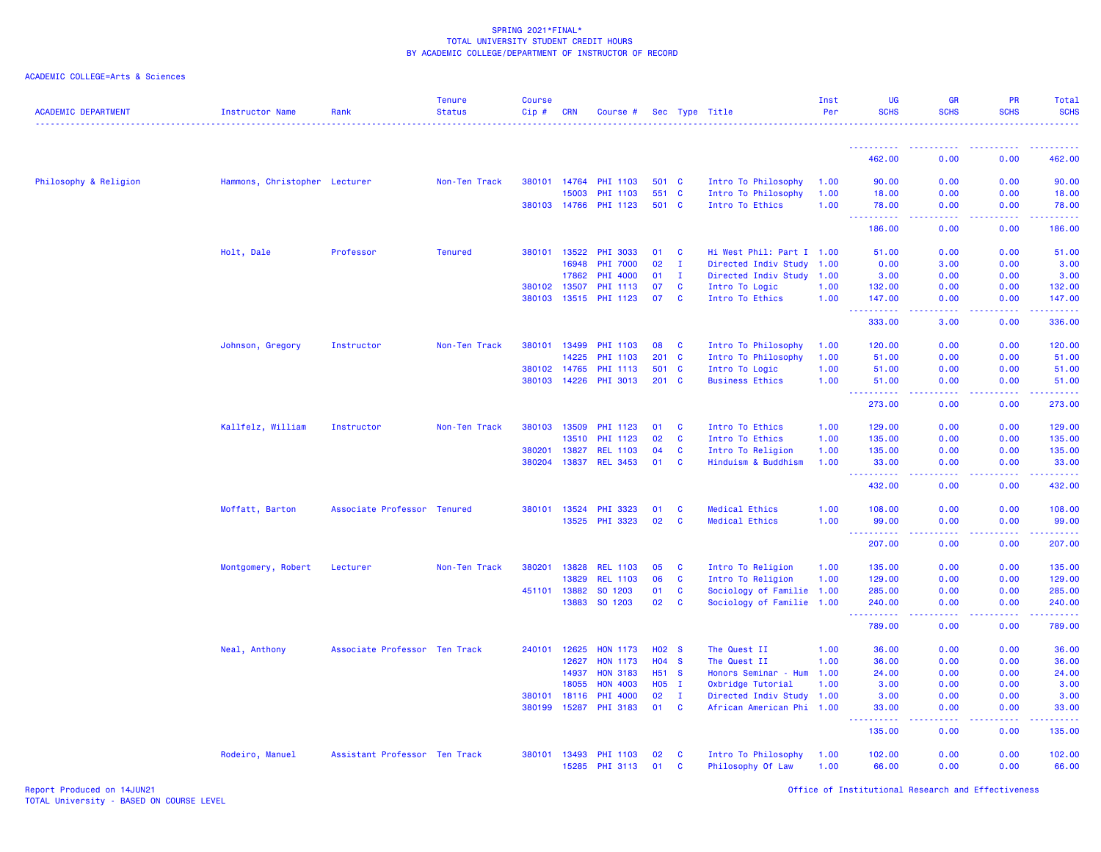# ACADEMIC COLLEGE=Arts & Sciences

| <b>ACADEMIC DEPARTMENT</b> | <b>Instructor Name</b>        | Rank                          | <b>Tenure</b><br><b>Status</b> | Course<br>Cip# | <b>CRN</b>   | Course #        |            |                   | Sec Type Title            | Inst<br>Per | <b>UG</b><br><b>SCHS</b>                                                                                      | <b>GR</b><br><b>SCHS</b> | PR<br><b>SCHS</b> | Total<br><b>SCHS</b><br>.                                                                                                                                                                 |
|----------------------------|-------------------------------|-------------------------------|--------------------------------|----------------|--------------|-----------------|------------|-------------------|---------------------------|-------------|---------------------------------------------------------------------------------------------------------------|--------------------------|-------------------|-------------------------------------------------------------------------------------------------------------------------------------------------------------------------------------------|
|                            |                               |                               |                                |                |              |                 |            |                   |                           |             | -----------                                                                                                   | .                        | . <u>.</u>        | -------                                                                                                                                                                                   |
|                            |                               |                               |                                |                |              |                 |            |                   |                           |             | 462.00                                                                                                        | 0.00                     | 0.00              | 462.00                                                                                                                                                                                    |
| Philosophy & Religion      | Hammons, Christopher Lecturer |                               | Non-Ten Track                  | 380101         | 14764        | <b>PHI 1103</b> |            | 501 C             | Intro To Philosophy       | 1.00        | 90.00                                                                                                         | 0.00                     | 0.00              | 90.00                                                                                                                                                                                     |
|                            |                               |                               |                                |                | 15003        | <b>PHI 1103</b> |            | 551 C             | Intro To Philosophy       | 1.00        | 18.00                                                                                                         | 0.00                     | 0.00              | 18.00                                                                                                                                                                                     |
|                            |                               |                               |                                |                | 380103 14766 | <b>PHI 1123</b> |            | 501 C             | Intro To Ethics           | 1.00        | 78.00<br>$\sim$ $\sim$ $\sim$<br>.                                                                            | 0.00<br>.                | 0.00<br>22222     | 78.00<br>. <b>.</b>                                                                                                                                                                       |
|                            |                               |                               |                                |                |              |                 |            |                   |                           |             | 186.00                                                                                                        | 0.00                     | 0.00              | 186.00                                                                                                                                                                                    |
|                            | Holt, Dale                    | Professor                     | <b>Tenured</b>                 |                | 380101 13522 | <b>PHI 3033</b> | 01         | <b>C</b>          | Hi West Phil: Part I 1.00 |             | 51.00                                                                                                         | 0.00                     | 0.00              | 51.00                                                                                                                                                                                     |
|                            |                               |                               |                                |                | 16948        | <b>PHI 7000</b> | 02         | I.                | Directed Indiv Study      | 1.00        | 0.00                                                                                                          | 3.00                     | 0.00              | 3.00                                                                                                                                                                                      |
|                            |                               |                               |                                |                | 17862        | PHI 4000        | 01         | $\mathbf{I}$      | Directed Indiv Study 1.00 |             | 3.00                                                                                                          | 0.00                     | 0.00              | 3.00                                                                                                                                                                                      |
|                            |                               |                               |                                | 380102         | 13507        | <b>PHI 1113</b> | 07         | <b>C</b>          | Intro To Logic            | 1.00        | 132.00                                                                                                        | 0.00                     | 0.00              | 132.00                                                                                                                                                                                    |
|                            |                               |                               |                                | 380103         | 13515        | <b>PHI 1123</b> | 07         | <b>C</b>          | Intro To Ethics           | 1.00        | 147.00<br>.<br>$\frac{1}{2} \left( \frac{1}{2} \right) \left( \frac{1}{2} \right) \left( \frac{1}{2} \right)$ | 0.00<br>.                | 0.00<br>22222     | 147.00<br>.                                                                                                                                                                               |
|                            |                               |                               |                                |                |              |                 |            |                   |                           |             | 333.00                                                                                                        | 3.00                     | 0.00              | 336.00                                                                                                                                                                                    |
|                            | Johnson, Gregory              | Instructor                    | Non-Ten Track                  | 380101         | 13499        | <b>PHI 1103</b> | 08         | <b>C</b>          | Intro To Philosophy       | 1.00        | 120.00                                                                                                        | 0.00                     | 0.00              | 120.00                                                                                                                                                                                    |
|                            |                               |                               |                                |                | 14225        | PHI 1103        | 201        | <b>C</b>          | Intro To Philosophy       | 1.00        | 51.00                                                                                                         | 0.00                     | 0.00              | 51.00                                                                                                                                                                                     |
|                            |                               |                               |                                |                | 380102 14765 | <b>PHI 1113</b> |            | 501 C             | Intro To Logic            | 1.00        | 51.00                                                                                                         | 0.00                     | 0.00              | 51.00                                                                                                                                                                                     |
|                            |                               |                               |                                | 380103         | 14226        | PHI 3013        | 201        | <b>C</b>          | <b>Business Ethics</b>    | 1.00        | 51.00<br>2.2.2.2.2.2<br>$\sim$ $\sim$ $\sim$                                                                  | 0.00<br>المتمامين        | 0.00<br>.         | 51.00<br>$\frac{1}{2} \left( \frac{1}{2} \right) \left( \frac{1}{2} \right) \left( \frac{1}{2} \right) \left( \frac{1}{2} \right) \left( \frac{1}{2} \right)$                             |
|                            |                               |                               |                                |                |              |                 |            |                   |                           |             | 273.00                                                                                                        | 0.00                     | 0.00              | 273.00                                                                                                                                                                                    |
|                            | Kallfelz, William             | Instructor                    | Non-Ten Track                  | 380103         | 13509        | <b>PHI 1123</b> | 01         | C                 | Intro To Ethics           | 1.00        | 129.00                                                                                                        | 0.00                     | 0.00              | 129.00                                                                                                                                                                                    |
|                            |                               |                               |                                |                | 13510        | PHI 1123        | 02         | <b>C</b>          | Intro To Ethics           | 1.00        | 135.00                                                                                                        | 0.00                     | 0.00              | 135.00                                                                                                                                                                                    |
|                            |                               |                               |                                | 380201         | 13827        | <b>REL 1103</b> | 04         | C                 | Intro To Religion         | 1.00        | 135.00                                                                                                        | 0.00                     | 0.00              | 135.00                                                                                                                                                                                    |
|                            |                               |                               |                                | 380204         | 13837        | <b>REL 3453</b> | 01         | C                 | Hinduism & Buddhism       | 1.00        | 33.00<br>$\sim$ $\sim$ $\sim$                                                                                 | 0.00<br>المتمامين        | 0.00<br>22222     | 33.00<br>$\begin{array}{cccccccccc} \bullet & \bullet & \bullet & \bullet & \bullet & \bullet & \bullet \end{array}$                                                                      |
|                            |                               |                               |                                |                |              |                 |            |                   |                           |             | 432.00                                                                                                        | 0.00                     | 0.00              | 432.00                                                                                                                                                                                    |
|                            | Moffatt, Barton               | Associate Professor Tenured   |                                | 380101         | 13524        | <b>PHI 3323</b> | 01         | C                 | Medical Ethics            | 1.00        | 108.00                                                                                                        | 0.00                     | 0.00              | 108.00                                                                                                                                                                                    |
|                            |                               |                               |                                |                | 13525        | <b>PHI 3323</b> | 02         | C                 | Medical Ethics            | 1.00        | 99.00<br><u>.</u>                                                                                             | 0.00<br>د د د د          | 0.00<br>.         | 99.00<br>$\begin{array}{cccccccccc} \bullet & \bullet & \bullet & \bullet & \bullet & \bullet & \bullet \end{array}$                                                                      |
|                            |                               |                               |                                |                |              |                 |            |                   |                           |             | 207.00                                                                                                        | 0.00                     | 0.00              | 207.00                                                                                                                                                                                    |
|                            | Montgomery, Robert            | Lecturer                      | Non-Ten Track                  | 380201         | 13828        | <b>REL 1103</b> | 05         | C                 | Intro To Religion         | 1.00        | 135.00                                                                                                        | 0.00                     | 0.00              | 135.00                                                                                                                                                                                    |
|                            |                               |                               |                                |                | 13829        | <b>REL 1103</b> | 06         | $\mathbf{C}$      | Intro To Religion         | 1.00        | 129.00                                                                                                        | 0.00                     | 0.00              | 129.00                                                                                                                                                                                    |
|                            |                               |                               |                                | 451101         | 13882        | SO 1203         | 01         | C                 | Sociology of Familie 1.00 |             | 285.00                                                                                                        | 0.00                     | 0.00              | 285.00                                                                                                                                                                                    |
|                            |                               |                               |                                |                | 13883        | SO 1203         | 02         | C                 | Sociology of Familie 1.00 |             | 240.00<br>----------                                                                                          | 0.00<br>وبالمحام         | 0.00              | 240.00<br>$\frac{1}{2} \left( \frac{1}{2} \right) \left( \frac{1}{2} \right) \left( \frac{1}{2} \right) \left( \frac{1}{2} \right) \left( \frac{1}{2} \right) \left( \frac{1}{2} \right)$ |
|                            |                               |                               |                                |                |              |                 |            |                   |                           |             | 789.00                                                                                                        | 0.00                     | 0.00              | 789.00                                                                                                                                                                                    |
|                            | Neal, Anthony                 | Associate Professor Ten Track |                                | 240101         | 12625        | <b>HON 1173</b> |            | H <sub>02</sub> S | The Quest II              | 1.00        | 36.00                                                                                                         | 0.00                     | 0.00              | 36.00                                                                                                                                                                                     |
|                            |                               |                               |                                |                | 12627        | <b>HON 1173</b> | H04 S      |                   | The Quest II              | 1.00        | 36.00                                                                                                         | 0.00                     | 0.00              | 36.00                                                                                                                                                                                     |
|                            |                               |                               |                                |                | 14937        | <b>HON 3183</b> | H51 S      |                   | Honors Seminar - Hum      | 1.00        | 24.00                                                                                                         | 0.00                     | 0.00              | 24.00                                                                                                                                                                                     |
|                            |                               |                               |                                |                | 18055        | <b>HON 4003</b> | <b>HO5</b> | $\mathbf{I}$      | Oxbridge Tutorial         | 1.00        | 3.00                                                                                                          | 0.00                     | 0.00              | 3.00                                                                                                                                                                                      |
|                            |                               |                               |                                | 380101         | 18116        | <b>PHI 4000</b> | 02         | $\mathbf{I}$      | Directed Indiv Study 1.00 |             | 3.00                                                                                                          | 0.00                     | 0.00              | 3.00                                                                                                                                                                                      |
|                            |                               |                               |                                | 380199         | 15287        | <b>PHI 3183</b> | 01         | <b>C</b>          | African American Phi 1.00 |             | 33.00<br>.                                                                                                    | 0.00<br>الداعات عا       | 0.00<br>.         | 33.00<br>.                                                                                                                                                                                |
|                            |                               |                               |                                |                |              |                 |            |                   |                           |             | 135.00                                                                                                        | 0.00                     | 0.00              | 135.00                                                                                                                                                                                    |
|                            | Rodeiro, Manuel               | Assistant Professor Ten Track |                                | 380101         | 13493        | <b>PHI 1103</b> | 02         | C                 | Intro To Philosophy       | 1.00        | 102.00                                                                                                        | 0.00                     | 0.00              | 102.00                                                                                                                                                                                    |
|                            |                               |                               |                                |                | 15285        | <b>PHI 3113</b> | 01         | <b>C</b>          | Philosophy Of Law         | 1.00        | 66.00                                                                                                         | 0.00                     | 0.00              | 66.00                                                                                                                                                                                     |

Report Produced on 14JUN21 Office of Institutional Research and Effectiveness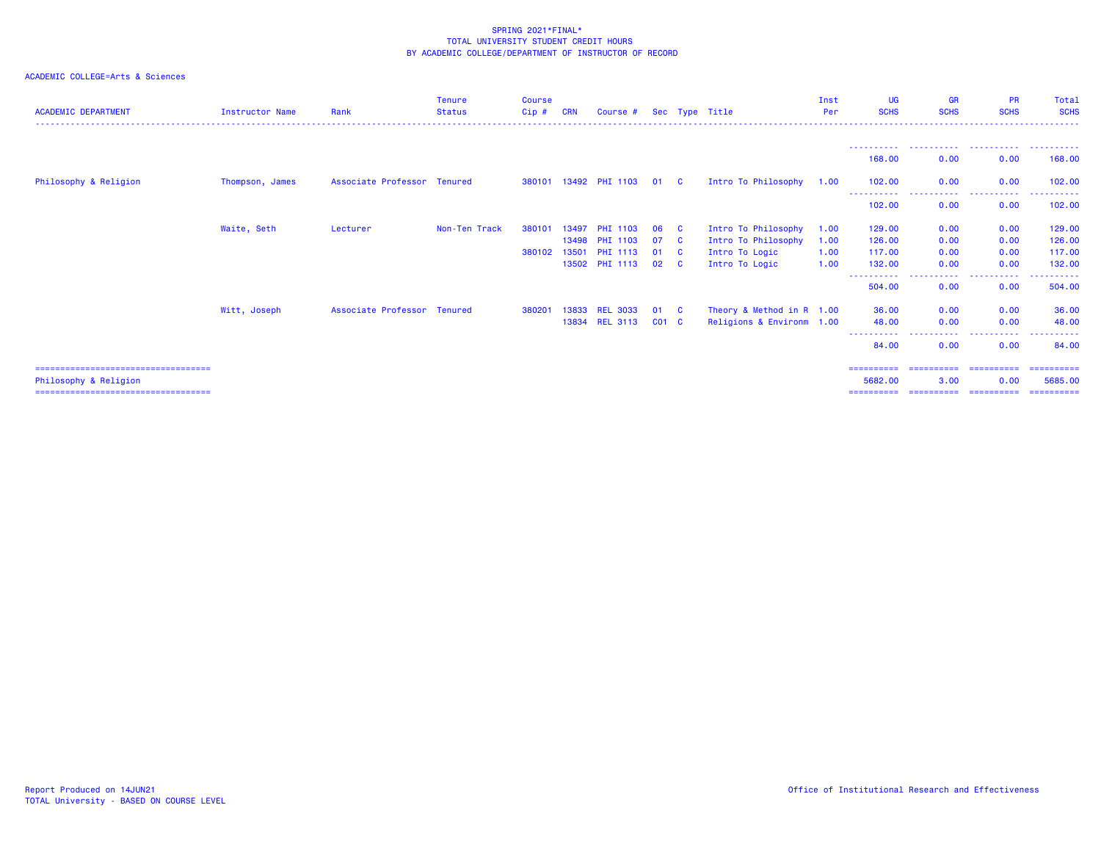| <b>ACADEMIC DEPARTMENT</b>                                      | <b>Instructor Name</b> | Rank                        | <b>Tenure</b><br><b>Status</b> | <b>Course</b><br>Cip# | <b>CRN</b> | Course #              |           |              | Sec Type Title            | Inst<br>Per | UG<br><b>SCHS</b>     | <b>GR</b><br><b>SCHS</b>                                                                                    | <b>PR</b><br><b>SCHS</b>                          | Total<br><b>SCHS</b>  |
|-----------------------------------------------------------------|------------------------|-----------------------------|--------------------------------|-----------------------|------------|-----------------------|-----------|--------------|---------------------------|-------------|-----------------------|-------------------------------------------------------------------------------------------------------------|---------------------------------------------------|-----------------------|
|                                                                 |                        |                             |                                |                       |            |                       |           |              |                           |             | 168,00                | 0.00                                                                                                        | 0.00                                              | . <b>.</b><br>168,00  |
| Philosophy & Religion                                           | Thompson, James        | Associate Professor Tenured |                                |                       |            | 380101 13492 PHI 1103 | 01 C      |              | Intro To Philosophy       | 1.00        | 102,00                | 0.00                                                                                                        | 0.00                                              | 102.00                |
|                                                                 |                        |                             |                                |                       |            |                       |           |              |                           |             | -----------<br>102.00 | $\frac{1}{2} \left( \frac{1}{2} \right) \left( \frac{1}{2} \right) \left( \frac{1}{2} \right)$<br>.<br>0.00 | .<br>0.00                                         | 102.00                |
|                                                                 | Waite, Seth            | Lecturer                    | Non-Ten Track                  | 380101                | 13497      | <b>PHI 1103</b>       | 06        | - C          | Intro To Philosophy       | 1.00        | 129.00                | 0.00                                                                                                        | 0.00                                              | 129.00                |
|                                                                 |                        |                             |                                |                       | 13498      | <b>PHI 1103</b>       | 07        | - C          | Intro To Philosophy       | 1.00        | 126,00                | 0.00                                                                                                        | 0.00                                              | 126.00                |
|                                                                 |                        |                             |                                | 380102                | 13501      | <b>PHI 1113</b>       | 01        | $\mathbf{C}$ | Intro To Logic            | 1.00        | 117,00                | 0.00                                                                                                        | 0.00                                              | 117.00                |
|                                                                 |                        |                             |                                |                       |            | 13502 PHI 1113        | 02        | $\mathbf{C}$ | Intro To Logic            | 1.00        | 132.00                | 0.00<br>-----------                                                                                         | 0.00<br>. <u>.</u> .                              | 132.00                |
|                                                                 |                        |                             |                                |                       |            |                       |           |              |                           |             | -----------<br>504.00 | 0.00                                                                                                        | 0.00                                              | -------<br>504.00     |
|                                                                 | Witt, Joseph           | Associate Professor Tenured |                                | 380201                | 13833      | <b>REL 3033</b>       | 01        | - C          | Theory & Method in R 1.00 |             | 36.00                 | 0.00                                                                                                        | 0.00                                              | 36.00                 |
|                                                                 |                        |                             |                                |                       | 13834      | <b>REL 3113</b>       | $CO1$ $C$ |              | Religions & Environm 1.00 |             | 48.00                 | 0.00                                                                                                        | 0.00                                              | 48.00                 |
|                                                                 |                        |                             |                                |                       |            |                       |           |              |                           |             | -----------<br>84.00  | .<br>0.00                                                                                                   | $\cdots$<br><b><i><u><u>.</u></u></i></b><br>0.00 | .<br>84.00            |
| ====================================                            |                        |                             |                                |                       |            |                       |           |              |                           |             | ==========            | ==========                                                                                                  | ==========                                        | ==========            |
| Philosophy & Religion<br>====================================== |                        |                             |                                |                       |            |                       |           |              |                           |             | 5682.00<br>========== | 3.00<br>==========                                                                                          | 0.00<br>-----------                               | 5685.00<br>========== |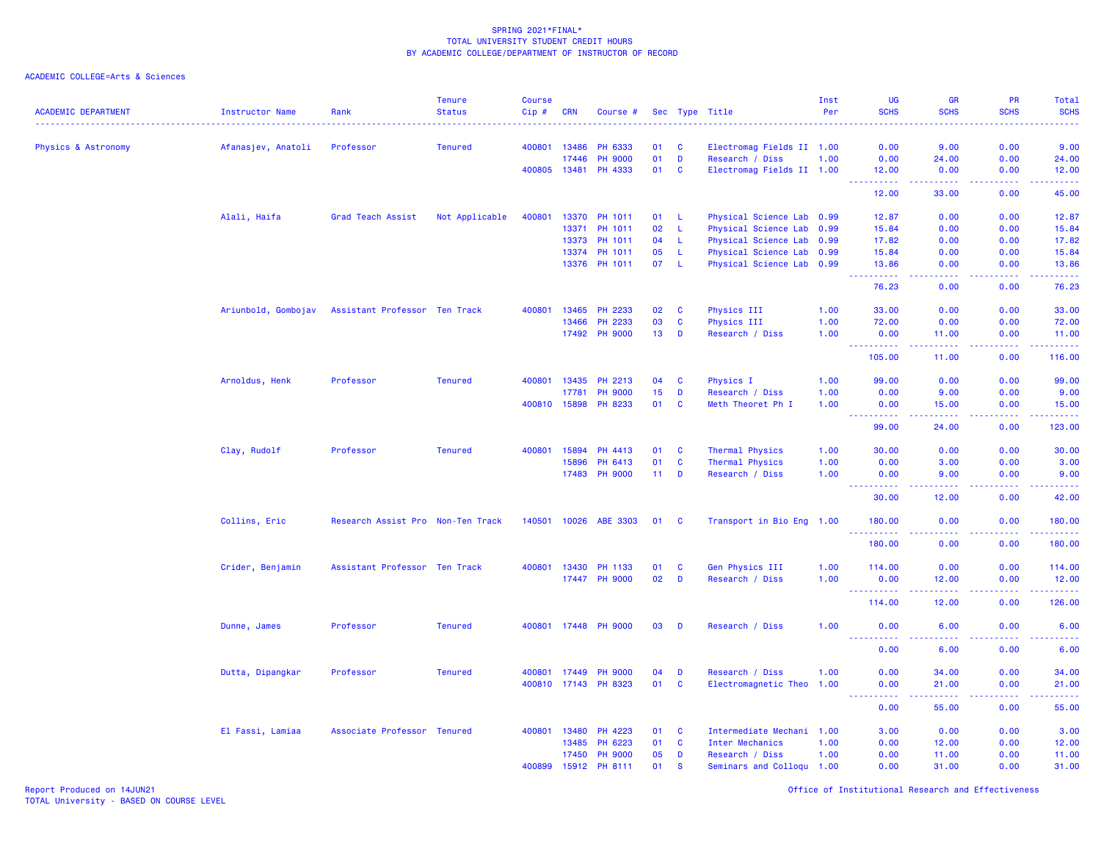ACADEMIC COLLEGE=Arts & Sciences

| <b>ACADEMIC DEPARTMENT</b> | Instructor Name     | Rank                              | <b>Tenure</b><br><b>Status</b> | <b>Course</b><br>Cip# | <b>CRN</b>   | Course #              |                 |              | Sec Type Title                               | Inst<br>Per | <b>UG</b><br><b>SCHS</b>                 | GR<br><b>SCHS</b>                                                                                                                                             | PR<br><b>SCHS</b> | Total<br><b>SCHS</b>                                                                                                 |
|----------------------------|---------------------|-----------------------------------|--------------------------------|-----------------------|--------------|-----------------------|-----------------|--------------|----------------------------------------------|-------------|------------------------------------------|---------------------------------------------------------------------------------------------------------------------------------------------------------------|-------------------|----------------------------------------------------------------------------------------------------------------------|
|                            |                     | Professor                         | <b>Tenured</b>                 | 400801                | 13486        | PH 6333               | 01              | <b>C</b>     |                                              |             | 0.00                                     | 9.00                                                                                                                                                          | 0.00              | 9.00                                                                                                                 |
| Physics & Astronomy        | Afanasjev, Anatoli  |                                   |                                |                       | 17446        | <b>PH 9000</b>        | 01              | D            | Electromag Fields II 1.00<br>Research / Diss | 1.00        | 0.00                                     | 24.00                                                                                                                                                         | 0.00              | 24.00                                                                                                                |
|                            |                     |                                   |                                |                       | 400805 13481 | PH 4333               | 01              | <b>C</b>     | Electromag Fields II 1.00                    |             | 12.00                                    | 0.00                                                                                                                                                          | 0.00              | 12.00                                                                                                                |
|                            |                     |                                   |                                |                       |              |                       |                 |              |                                              |             | 222222                                   | .                                                                                                                                                             | 22222             | .                                                                                                                    |
|                            |                     |                                   |                                |                       |              |                       |                 |              |                                              |             | 12.00                                    | 33.00                                                                                                                                                         | 0.00              | 45.00                                                                                                                |
|                            | Alali, Haifa        | Grad Teach Assist                 | Not Applicable                 | 400801                |              | 13370 PH 1011         | 01 L            |              | Physical Science Lab 0.99                    |             | 12.87                                    | 0.00                                                                                                                                                          | 0.00              | 12.87                                                                                                                |
|                            |                     |                                   |                                |                       | 13371        | PH 1011               | 02              | -L           | Physical Science Lab 0.99                    |             | 15.84                                    | 0.00                                                                                                                                                          | 0.00              | 15.84                                                                                                                |
|                            |                     |                                   |                                |                       | 13373        | PH 1011               | 04              | -L           | Physical Science Lab 0.99                    |             | 17.82                                    | 0.00                                                                                                                                                          | 0.00              | 17.82                                                                                                                |
|                            |                     |                                   |                                |                       | 13374        | PH 1011               | 05              | -L           | Physical Science Lab 0.99                    |             | 15.84                                    | 0.00                                                                                                                                                          | 0.00              | 15.84                                                                                                                |
|                            |                     |                                   |                                |                       |              | 13376 PH 1011         | 07              | - L          | Physical Science Lab 0.99                    |             | 13.86<br>.                               | 0.00<br>الداعات عا                                                                                                                                            | 0.00<br>22222     | 13.86<br>.                                                                                                           |
|                            |                     |                                   |                                |                       |              |                       |                 |              |                                              |             | 76.23                                    | 0.00                                                                                                                                                          | 0.00              | 76.23                                                                                                                |
|                            | Ariunbold, Gombojav | Assistant Professor Ten Track     |                                | 400801                | 13465        | PH 2233               | 02              | <b>C</b>     | Physics III                                  | 1.00        | 33.00                                    | 0.00                                                                                                                                                          | 0.00              | 33.00                                                                                                                |
|                            |                     |                                   |                                |                       | 13466        | PH 2233               | 03              | $\mathbf{C}$ | <b>Physics III</b>                           | 1.00        | 72.00                                    | 0.00                                                                                                                                                          | 0.00              | 72.00                                                                                                                |
|                            |                     |                                   |                                |                       |              | 17492 PH 9000         | 13 <sub>1</sub> | D            | Research / Diss                              | 1.00        | 0.00<br>$  -$                            | 11.00<br>$\frac{1}{2} \left( \frac{1}{2} \right) \left( \frac{1}{2} \right) \left( \frac{1}{2} \right) \left( \frac{1}{2} \right)$                            | 0.00<br>22222     | 11.00<br>22222)                                                                                                      |
|                            |                     |                                   |                                |                       |              |                       |                 |              |                                              |             | 105.00                                   | 11.00                                                                                                                                                         | 0.00              | 116.00                                                                                                               |
|                            | Arnoldus, Henk      | Professor                         | <b>Tenured</b>                 |                       | 400801 13435 | PH 2213               | 04              | <b>C</b>     | Physics I                                    | 1.00        | 99.00                                    | 0.00                                                                                                                                                          | 0.00              | 99.00                                                                                                                |
|                            |                     |                                   |                                |                       | 17781        | <b>PH 9000</b>        | 15              | D            | Research / Diss                              | 1.00        | 0.00                                     | 9.00                                                                                                                                                          | 0.00              | 9.00                                                                                                                 |
|                            |                     |                                   |                                | 400810                | 15898        | PH 8233               | 01              | $\mathbf{C}$ | Meth Theoret Ph I                            | 1.00        | 0.00<br>.                                | 15.00<br>22222                                                                                                                                                | 0.00<br>22222     | 15.00<br>.                                                                                                           |
|                            |                     |                                   |                                |                       |              |                       |                 |              |                                              |             | 99.00                                    | 24.00                                                                                                                                                         | 0.00              | 123.00                                                                                                               |
|                            | Clay, Rudolf        | Professor                         | <b>Tenured</b>                 | 400801                | 15894        | PH 4413               | 01              | <b>C</b>     | Thermal Physics                              | 1.00        | 30.00                                    | 0.00                                                                                                                                                          | 0.00              | 30.00                                                                                                                |
|                            |                     |                                   |                                |                       | 15896        | PH 6413               | 01              | $\mathbf{C}$ | Thermal Physics                              | 1.00        | 0.00                                     | 3.00                                                                                                                                                          | 0.00              | 3.00                                                                                                                 |
|                            |                     |                                   |                                |                       | 17483        | <b>PH 9000</b>        | 11 <sub>1</sub> | D            | Research / Diss                              | 1.00        | 0.00                                     | 9.00                                                                                                                                                          | 0.00              | 9.00                                                                                                                 |
|                            |                     |                                   |                                |                       |              |                       |                 |              |                                              |             | 30,00                                    | 12.00                                                                                                                                                         | 0.00              | 42.00                                                                                                                |
|                            | Collins, Eric       | Research Assist Pro Non-Ten Track |                                |                       |              | 140501 10026 ABE 3303 | 01 C            |              | Transport in Bio Eng 1.00                    |             | 180.00<br>.<br>$   -$                    | 0.00<br>.                                                                                                                                                     | 0.00<br>.         | 180.00<br><u>.</u>                                                                                                   |
|                            |                     |                                   |                                |                       |              |                       |                 |              |                                              |             | 180.00                                   | 0.00                                                                                                                                                          | 0.00              | 180.00                                                                                                               |
|                            | Crider, Benjamin    | Assistant Professor Ten Track     |                                |                       | 400801 13430 | PH 1133               | 01              | $\mathbf{C}$ | Gen Physics III                              | 1.00        | 114.00                                   | 0.00                                                                                                                                                          | 0.00              | 114.00                                                                                                               |
|                            |                     |                                   |                                |                       |              | 17447 PH 9000         | 02              | D            | Research / Diss                              | 1.00        | 0.00<br><b>.</b> .                       | 12.00<br>$\frac{1}{2} \left( \frac{1}{2} \right) \left( \frac{1}{2} \right) \left( \frac{1}{2} \right) \left( \frac{1}{2} \right) \left( \frac{1}{2} \right)$ | 0.00<br>22222     | 12.00<br>$\begin{array}{cccccccccc} \bullet & \bullet & \bullet & \bullet & \bullet & \bullet & \bullet \end{array}$ |
|                            |                     |                                   |                                |                       |              |                       |                 |              |                                              |             | 114.00                                   | 12.00                                                                                                                                                         | 0.00              | 126.00                                                                                                               |
|                            | Dunne, James        | Professor                         | <b>Tenured</b>                 |                       |              | 400801 17448 PH 9000  | 03              | D            | Research / Diss                              | 1.00        | 0.00                                     | 6.00                                                                                                                                                          | 0.00              | 6.00                                                                                                                 |
|                            |                     |                                   |                                |                       |              |                       |                 |              |                                              |             | $\sim$ $\sim$ $\sim$<br><u>.</u><br>0.00 | $\frac{1}{2} \left( \frac{1}{2} \right) \left( \frac{1}{2} \right) \left( \frac{1}{2} \right)$<br>6.00                                                        | .<br>0.00         | الداعات عاد<br>6.00                                                                                                  |
|                            | Dutta, Dipangkar    | Professor                         | <b>Tenured</b>                 |                       | 400801 17449 | <b>PH 9000</b>        | 04              | D            | Research / Diss                              | 1.00        | 0.00                                     | 34.00                                                                                                                                                         | 0.00              | 34.00                                                                                                                |
|                            |                     |                                   |                                |                       |              | 400810 17143 PH 8323  | 01              | $\mathbf{C}$ | Electromagnetic Theo 1.00                    |             | 0.00                                     | 21.00                                                                                                                                                         | 0.00              | 21.00                                                                                                                |
|                            |                     |                                   |                                |                       |              |                       |                 |              |                                              |             | .<br>$  -$                               | $-1 - 1 - 1 = 1$                                                                                                                                              | .                 | .                                                                                                                    |
|                            |                     |                                   |                                |                       |              |                       |                 |              |                                              |             | 0.00                                     | 55.00                                                                                                                                                         | 0.00              | 55.00                                                                                                                |
|                            | El Fassi, Lamiaa    | Associate Professor Tenured       |                                | 400801                | 13480        | PH 4223               | 01              | <b>C</b>     | Intermediate Mechani 1.00                    |             | 3.00                                     | 0.00                                                                                                                                                          | 0.00              | 3.00                                                                                                                 |
|                            |                     |                                   |                                |                       | 13485        | PH 6223               | 01              | $\mathbf{C}$ | <b>Inter Mechanics</b>                       | 1.00        | 0.00                                     | 12.00                                                                                                                                                         | 0.00              | 12.00                                                                                                                |
|                            |                     |                                   |                                |                       | 17450        | <b>PH 9000</b>        | 05              | D            | Research / Diss                              | 1.00        | 0.00                                     | 11.00                                                                                                                                                         | 0.00              | 11.00                                                                                                                |
|                            |                     |                                   |                                | 400899                | 15912        | PH 8111               | 01              | <b>S</b>     | Seminars and Colloqu 1.00                    |             | 0.00                                     | 31.00                                                                                                                                                         | 0.00              | 31.00                                                                                                                |

Report Produced on 14JUN21 Office of Institutional Research and Effectiveness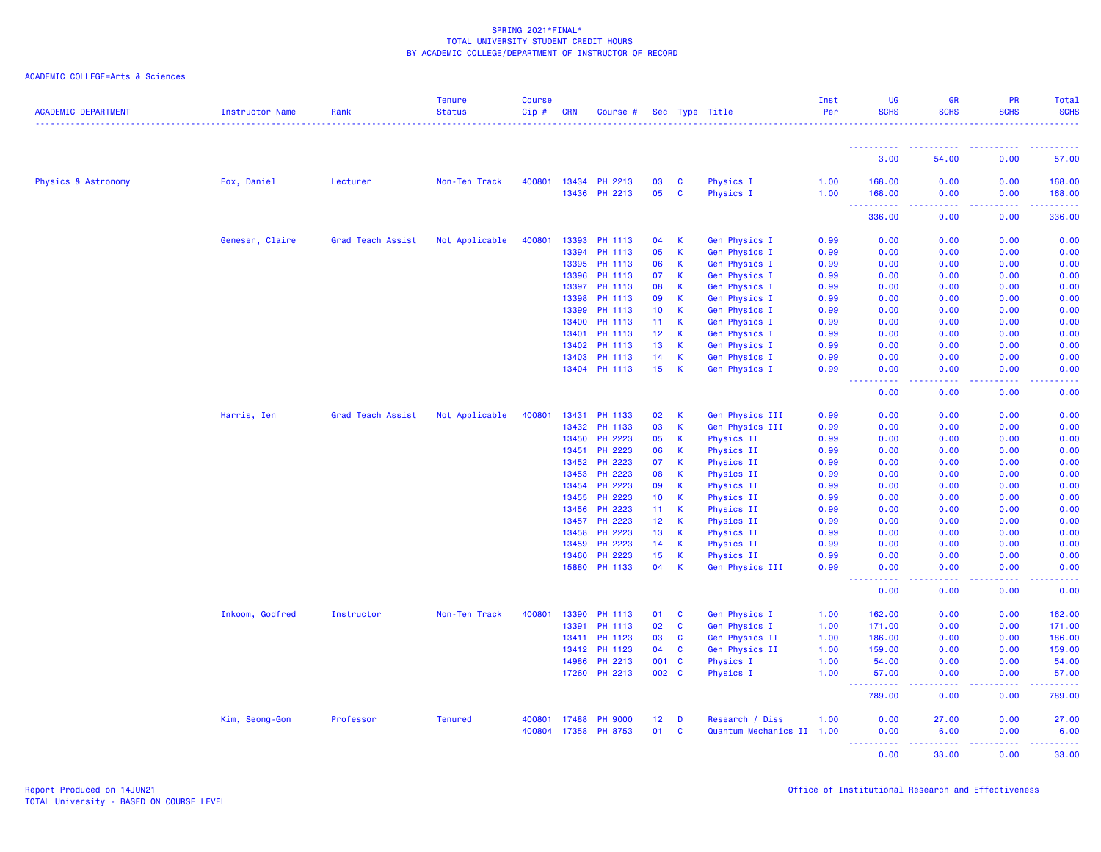| <b>ACADEMIC DEPARTMENT</b> | <b>Instructor Name</b> | Rank              | <b>Tenure</b><br><b>Status</b> | <b>Course</b><br>Cip# | <b>CRN</b>     | Course #           |                 |              | Sec Type Title            | Inst<br>Per  | UG<br><b>SCHS</b>                                                                                    | <b>GR</b><br><b>SCHS</b>                                                                                                                             | PR<br><b>SCHS</b>                                                                                                                                            | Total<br><b>SCHS</b><br>.                                                                                                                            |
|----------------------------|------------------------|-------------------|--------------------------------|-----------------------|----------------|--------------------|-----------------|--------------|---------------------------|--------------|------------------------------------------------------------------------------------------------------|------------------------------------------------------------------------------------------------------------------------------------------------------|--------------------------------------------------------------------------------------------------------------------------------------------------------------|------------------------------------------------------------------------------------------------------------------------------------------------------|
|                            |                        |                   |                                |                       |                |                    |                 |              |                           |              | <u>.</u>                                                                                             | $\frac{1}{2} \left( \frac{1}{2} \right) \left( \frac{1}{2} \right) \left( \frac{1}{2} \right) \left( \frac{1}{2} \right) \left( \frac{1}{2} \right)$ | .                                                                                                                                                            | $\frac{1}{2} \left( \frac{1}{2} \right) \left( \frac{1}{2} \right) \left( \frac{1}{2} \right) \left( \frac{1}{2} \right) \left( \frac{1}{2} \right)$ |
|                            |                        |                   |                                |                       |                |                    |                 |              |                           |              | 3.00                                                                                                 | 54.00                                                                                                                                                | 0.00                                                                                                                                                         | 57.00                                                                                                                                                |
| Physics & Astronomy        | Fox, Daniel            | Lecturer          | Non-Ten Track                  | 400801                | 13434          | PH 2213            | 03              | <b>C</b>     | Physics I                 | 1.00         | 168.00                                                                                               | 0.00                                                                                                                                                 | 0.00                                                                                                                                                         | 168.00                                                                                                                                               |
|                            |                        |                   |                                |                       | 13436          | PH 2213            | 05              | C            | Physics I                 | 1.00         | 168.00<br>$\sim$ $\sim$<br>$\omega_{\alpha}=\omega_{\alpha}=\omega_{\alpha}$                         | 0.00<br>$\sim$ $\sim$ $\sim$ $\sim$                                                                                                                  | 0.00<br>.                                                                                                                                                    | 168.00<br>22222                                                                                                                                      |
|                            |                        |                   |                                |                       |                |                    |                 |              |                           |              | 336.00                                                                                               | 0.00                                                                                                                                                 | 0.00                                                                                                                                                         | 336.00                                                                                                                                               |
|                            | Geneser, Claire        | Grad Teach Assist | Not Applicable                 | 400801                | 13393          | PH 1113            | 04              | К            | Gen Physics I             | 0.99         | 0.00                                                                                                 | 0.00                                                                                                                                                 | 0.00                                                                                                                                                         | 0.00                                                                                                                                                 |
|                            |                        |                   |                                |                       | 13394          | PH 1113            | 05              | К            | Gen Physics I             | 0.99         | 0.00                                                                                                 | 0.00                                                                                                                                                 | 0.00                                                                                                                                                         | 0.00                                                                                                                                                 |
|                            |                        |                   |                                |                       | 13395          | PH 1113            | 06              | К            | Gen Physics I             | 0.99         | 0.00                                                                                                 | 0.00                                                                                                                                                 | 0.00                                                                                                                                                         | 0.00                                                                                                                                                 |
|                            |                        |                   |                                |                       | 13396          | PH 1113            | 07              | $\mathsf K$  | <b>Gen Physics I</b>      | 0.99         | 0.00                                                                                                 | 0.00                                                                                                                                                 | 0.00                                                                                                                                                         | 0.00                                                                                                                                                 |
|                            |                        |                   |                                |                       | 13397          | PH 1113            | 08              | К            | Gen Physics I             | 0.99         | 0.00                                                                                                 | 0.00                                                                                                                                                 | 0.00                                                                                                                                                         | 0.00                                                                                                                                                 |
|                            |                        |                   |                                |                       | 13398          | PH 1113            | 09              | K            | <b>Gen Physics I</b>      | 0.99         | 0.00                                                                                                 | 0.00                                                                                                                                                 | 0.00                                                                                                                                                         | 0.00                                                                                                                                                 |
|                            |                        |                   |                                |                       | 13399          | PH 1113            | 10              | К            | Gen Physics I             | 0.99         | 0.00                                                                                                 | 0.00                                                                                                                                                 | 0.00                                                                                                                                                         | 0.00                                                                                                                                                 |
|                            |                        |                   |                                |                       | 13400          | PH 1113            | 11              | К            | Gen Physics I             | 0.99         | 0.00                                                                                                 | 0.00                                                                                                                                                 | 0.00                                                                                                                                                         | 0.00                                                                                                                                                 |
|                            |                        |                   |                                |                       | 13401          | PH 1113            | 12              | K            | <b>Gen Physics I</b>      | 0.99         | 0.00                                                                                                 | 0.00                                                                                                                                                 | 0.00                                                                                                                                                         | 0.00                                                                                                                                                 |
|                            |                        |                   |                                |                       | 13402          | PH 1113            | 13              | К            | Gen Physics I             | 0.99         | 0.00                                                                                                 | 0.00                                                                                                                                                 | 0.00                                                                                                                                                         | 0.00                                                                                                                                                 |
|                            |                        |                   |                                |                       | 13403          | PH 1113            | 14              | К            | Gen Physics I             | 0.99         | 0.00                                                                                                 | 0.00                                                                                                                                                 | 0.00                                                                                                                                                         | 0.00                                                                                                                                                 |
|                            |                        |                   |                                |                       |                | 13404 PH 1113      | 15              | K            | <b>Gen Physics I</b>      | 0.99         | 0.00<br>----                                                                                         | 0.00<br>$\sim$ $\sim$ $\sim$ $\sim$                                                                                                                  | 0.00                                                                                                                                                         | 0.00                                                                                                                                                 |
|                            |                        |                   |                                |                       |                |                    |                 |              |                           |              | 0.00                                                                                                 | 0.00                                                                                                                                                 | 0.00                                                                                                                                                         | 0.00                                                                                                                                                 |
|                            | Harris, Ien            | Grad Teach Assist | Not Applicable                 | 400801                | 13431          | PH 1133            | 02              | К            | Gen Physics III           | 0.99         | 0.00                                                                                                 | 0.00                                                                                                                                                 | 0.00                                                                                                                                                         | 0.00                                                                                                                                                 |
|                            |                        |                   |                                |                       | 13432          | PH 1133            | 03              | K            | Gen Physics III           | 0.99         | 0.00                                                                                                 | 0.00                                                                                                                                                 | 0.00                                                                                                                                                         | 0.00                                                                                                                                                 |
|                            |                        |                   |                                |                       | 13450          | PH 2223            | 05              | К            | Physics II                | 0.99         | 0.00                                                                                                 | 0.00                                                                                                                                                 | 0.00                                                                                                                                                         | 0.00                                                                                                                                                 |
|                            |                        |                   |                                |                       | 13451          | PH 2223            | 06              | К            | Physics II                | 0.99         | 0.00                                                                                                 | 0.00                                                                                                                                                 | 0.00                                                                                                                                                         | 0.00                                                                                                                                                 |
|                            |                        |                   |                                |                       | 13452          | PH 2223            | 07              | K            | Physics II                | 0.99         | 0.00                                                                                                 | 0.00                                                                                                                                                 | 0.00                                                                                                                                                         | 0.00                                                                                                                                                 |
|                            |                        |                   |                                |                       | 13453          | PH 2223            | 08              | К            | Physics II                | 0.99         | 0.00                                                                                                 | 0.00                                                                                                                                                 | 0.00                                                                                                                                                         | 0.00                                                                                                                                                 |
|                            |                        |                   |                                |                       | 13454          | PH 2223            | 09              | К            | Physics II                | 0.99         | 0.00                                                                                                 | 0.00                                                                                                                                                 | 0.00                                                                                                                                                         | 0.00                                                                                                                                                 |
|                            |                        |                   |                                |                       | 13455          | PH 2223            | 10 <sub>1</sub> | К            | <b>Physics II</b>         | 0.99         | 0.00                                                                                                 | 0.00                                                                                                                                                 | 0.00                                                                                                                                                         | 0.00                                                                                                                                                 |
|                            |                        |                   |                                |                       | 13456          | PH 2223            | 11              | К<br>K       | Physics II                | 0.99         | 0.00                                                                                                 | 0.00                                                                                                                                                 | 0.00                                                                                                                                                         | 0.00                                                                                                                                                 |
|                            |                        |                   |                                |                       | 13457          | PH 2223            | 12              |              | Physics II                | 0.99         | 0.00                                                                                                 | 0.00                                                                                                                                                 | 0.00                                                                                                                                                         | 0.00                                                                                                                                                 |
|                            |                        |                   |                                |                       | 13458          | PH 2223<br>PH 2223 | 13              | К            | Physics II                | 0.99         | 0.00                                                                                                 | 0.00<br>0.00                                                                                                                                         | 0.00                                                                                                                                                         | 0.00                                                                                                                                                 |
|                            |                        |                   |                                |                       | 13459<br>13460 | PH 2223            | 14<br>15        | К<br>K       | Physics II<br>Physics II  | 0.99<br>0.99 | 0.00<br>0.00                                                                                         | 0.00                                                                                                                                                 | 0.00<br>0.00                                                                                                                                                 | 0.00<br>0.00                                                                                                                                         |
|                            |                        |                   |                                |                       | 15880          | PH 1133            | 04              | K            | Gen Physics III           | 0.99         | 0.00                                                                                                 | 0.00                                                                                                                                                 | 0.00                                                                                                                                                         | 0.00                                                                                                                                                 |
|                            |                        |                   |                                |                       |                |                    |                 |              |                           |              | $\sim$ $\sim$ $\sim$<br>.<br>0.00                                                                    | ولايات<br>0.00                                                                                                                                       | $\frac{1}{2} \left( \frac{1}{2} \right) \left( \frac{1}{2} \right) \left( \frac{1}{2} \right) \left( \frac{1}{2} \right) \left( \frac{1}{2} \right)$<br>0.00 | المتمامين<br>0.00                                                                                                                                    |
|                            | Inkoom, Godfred        | Instructor        | Non-Ten Track                  | 400801                | 13390          | PH 1113            | 01              | C            | Gen Physics I             | 1.00         | 162.00                                                                                               | 0.00                                                                                                                                                 | 0.00                                                                                                                                                         | 162.00                                                                                                                                               |
|                            |                        |                   |                                |                       | 13391          | PH 1113            | 02              | C            | Gen Physics I             | 1.00         | 171.00                                                                                               | 0.00                                                                                                                                                 | 0.00                                                                                                                                                         | 171.00                                                                                                                                               |
|                            |                        |                   |                                |                       | 13411          | PH 1123            | 03              | C            | Gen Physics II            | 1.00         | 186.00                                                                                               | 0.00                                                                                                                                                 | 0.00                                                                                                                                                         | 186.00                                                                                                                                               |
|                            |                        |                   |                                |                       | 13412          | PH 1123            | 04              | $\mathbf{C}$ | Gen Physics II            | 1.00         | 159.00                                                                                               | 0.00                                                                                                                                                 | 0.00                                                                                                                                                         | 159.00                                                                                                                                               |
|                            |                        |                   |                                |                       | 14986          | PH 2213            | 001             | <b>C</b>     | <b>Physics I</b>          | 1.00         | 54.00                                                                                                | 0.00                                                                                                                                                 | 0.00                                                                                                                                                         | 54.00                                                                                                                                                |
|                            |                        |                   |                                |                       | 17260          | PH 2213            | 002 C           |              | Physics I                 | 1.00         | 57.00<br><u>.</u><br>$\frac{1}{2} \left( \frac{1}{2} \right) \frac{1}{2} \left( \frac{1}{2} \right)$ | 0.00<br>.                                                                                                                                            | 0.00<br>.                                                                                                                                                    | 57.00<br>.                                                                                                                                           |
|                            |                        |                   |                                |                       |                |                    |                 |              |                           |              | 789.00                                                                                               | 0.00                                                                                                                                                 | 0.00                                                                                                                                                         | 789.00                                                                                                                                               |
|                            | Kim, Seong-Gon         | Professor         | <b>Tenured</b>                 | 400801                | 17488          | <b>PH 9000</b>     | 12              | D            | Research / Diss           | 1.00         | 0.00                                                                                                 | 27.00                                                                                                                                                | 0.00                                                                                                                                                         | 27.00                                                                                                                                                |
|                            |                        |                   |                                | 400804                | 17358          | PH 8753            | 01              | C            | Quantum Mechanics II 1.00 |              | 0.00                                                                                                 | 6.00                                                                                                                                                 | 0.00                                                                                                                                                         | 6.00                                                                                                                                                 |
|                            |                        |                   |                                |                       |                |                    |                 |              |                           |              | .                                                                                                    | .                                                                                                                                                    |                                                                                                                                                              |                                                                                                                                                      |
|                            |                        |                   |                                |                       |                |                    |                 |              |                           |              | 0.00                                                                                                 | 33.00                                                                                                                                                | 0.00                                                                                                                                                         | 33.00                                                                                                                                                |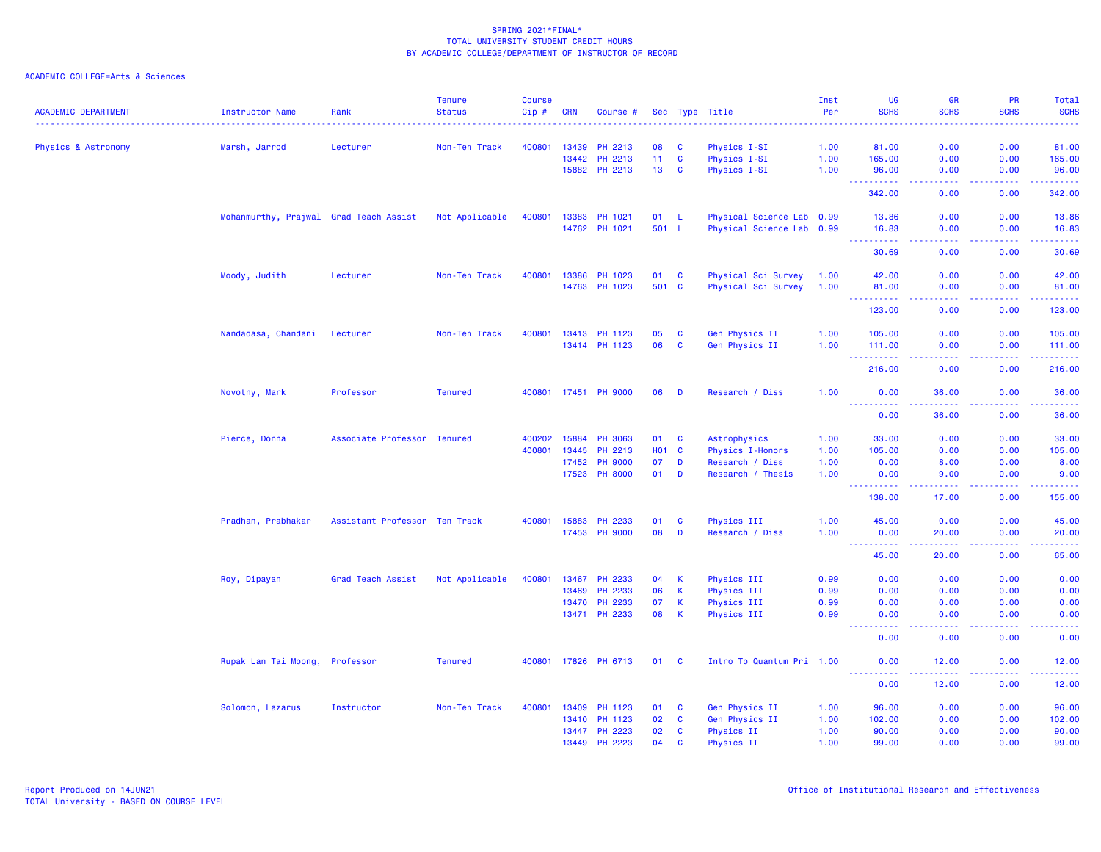| <b>ACADEMIC DEPARTMENT</b> | <b>Instructor Name</b>                 | Rank                          | <b>Tenure</b><br><b>Status</b> | <b>Course</b><br>Cip# | <b>CRN</b>   | Course #       |                 |              | Sec Type Title            | Inst<br>Per | UG<br><b>SCHS</b>              | <b>GR</b><br><b>SCHS</b>                                                                                                                                      | PR<br><b>SCHS</b>                                                                                                                                            | Total<br><b>SCHS</b>                                                                                                                                         |
|----------------------------|----------------------------------------|-------------------------------|--------------------------------|-----------------------|--------------|----------------|-----------------|--------------|---------------------------|-------------|--------------------------------|---------------------------------------------------------------------------------------------------------------------------------------------------------------|--------------------------------------------------------------------------------------------------------------------------------------------------------------|--------------------------------------------------------------------------------------------------------------------------------------------------------------|
|                            |                                        |                               |                                |                       |              |                |                 |              |                           |             |                                |                                                                                                                                                               |                                                                                                                                                              |                                                                                                                                                              |
| Physics & Astronomy        | Marsh, Jarrod                          | Lecturer                      | Non-Ten Track                  | 400801                | 13439        | PH 2213        | 08              | <b>C</b>     | Physics I-SI              | 1.00        | 81.00                          | 0.00                                                                                                                                                          | 0.00                                                                                                                                                         | 81.00                                                                                                                                                        |
|                            |                                        |                               |                                |                       | 13442        | PH 2213        | 11 <sub>1</sub> | C            | Physics I-SI              | 1.00        | 165.00                         | 0.00                                                                                                                                                          | 0.00                                                                                                                                                         | 165.00                                                                                                                                                       |
|                            |                                        |                               |                                |                       | 15882        | PH 2213        | 13              | <b>C</b>     | Physics I-SI              | 1.00        | 96.00                          | 0.00                                                                                                                                                          | 0.00                                                                                                                                                         | 96.00                                                                                                                                                        |
|                            |                                        |                               |                                |                       |              |                |                 |              |                           |             | ----------<br>342.00           | .<br>0.00                                                                                                                                                     | -----<br>0.00                                                                                                                                                | ------<br>342.00                                                                                                                                             |
|                            | Mohanmurthy, Prajwal Grad Teach Assist |                               | Not Applicable                 | 400801                | 13383        | PH 1021        | 01              | - L          | Physical Science Lab 0.99 |             | 13.86                          | 0.00                                                                                                                                                          | 0.00                                                                                                                                                         | 13.86                                                                                                                                                        |
|                            |                                        |                               |                                |                       |              | 14762 PH 1021  | 501 L           |              | Physical Science Lab 0.99 |             | 16.83<br>.                     | 0.00<br>$\omega$ is $\omega$ in                                                                                                                               | 0.00<br>.                                                                                                                                                    | 16.83<br>.                                                                                                                                                   |
|                            |                                        |                               |                                |                       |              |                |                 |              |                           |             | 30.69                          | 0.00                                                                                                                                                          | 0.00                                                                                                                                                         | 30.69                                                                                                                                                        |
|                            | Moody, Judith                          | Lecturer                      | Non-Ten Track                  | 400801                | 13386        | PH 1023        | 01              | <b>C</b>     | Physical Sci Survey       | 1.00        | 42.00                          | 0.00                                                                                                                                                          | 0.00                                                                                                                                                         | 42.00                                                                                                                                                        |
|                            |                                        |                               |                                |                       | 14763        | PH 1023        |                 | 501 C        | Physical Sci Survey       | 1.00        | 81.00<br>.                     | 0.00<br>.                                                                                                                                                     | 0.00<br>.                                                                                                                                                    | 81.00<br>$\begin{array}{cccccccccc} \bullet & \bullet & \bullet & \bullet & \bullet & \bullet & \bullet \end{array}$                                         |
|                            |                                        |                               |                                |                       |              |                |                 |              |                           |             | 123.00                         | 0.00                                                                                                                                                          | 0.00                                                                                                                                                         | 123.00                                                                                                                                                       |
|                            | Nandadasa, Chandani                    | Lecturer                      | Non-Ten Track                  | 400801                | 13413        | PH 1123        | 05              | <b>C</b>     | Gen Physics II            | 1.00        | 105.00                         | 0.00                                                                                                                                                          | 0.00                                                                                                                                                         | 105.00                                                                                                                                                       |
|                            |                                        |                               |                                |                       |              | 13414 PH 1123  | 06              | C            | Gen Physics II            | 1.00        | 111.00<br>.                    | 0.00<br>.                                                                                                                                                     | 0.00                                                                                                                                                         | 111.00<br>22222)                                                                                                                                             |
|                            |                                        |                               |                                |                       |              |                |                 |              |                           |             | 216.00                         | 0.00                                                                                                                                                          | 0.00                                                                                                                                                         | 216.00                                                                                                                                                       |
|                            | Novotny, Mark                          | Professor                     | <b>Tenured</b>                 |                       | 400801 17451 | <b>PH 9000</b> | 06              | D            | Research / Diss           | 1.00        | 0.00<br>.                      | 36.00<br>$\frac{1}{2} \left( \frac{1}{2} \right) \left( \frac{1}{2} \right) \left( \frac{1}{2} \right) \left( \frac{1}{2} \right) \left( \frac{1}{2} \right)$ | 0.00<br>$\frac{1}{2} \left( \frac{1}{2} \right) \left( \frac{1}{2} \right) \left( \frac{1}{2} \right) \left( \frac{1}{2} \right) \left( \frac{1}{2} \right)$ | 36.00<br>.                                                                                                                                                   |
|                            |                                        |                               |                                |                       |              |                |                 |              |                           |             | 0.00                           | 36.00                                                                                                                                                         | 0.00                                                                                                                                                         | 36.00                                                                                                                                                        |
|                            | Pierce, Donna                          | Associate Professor Tenured   |                                | 400202                | 15884        | <b>PH 3063</b> | 01              | $\mathbf{C}$ | Astrophysics              | 1.00        | 33.00                          | 0.00                                                                                                                                                          | 0.00                                                                                                                                                         | 33.00                                                                                                                                                        |
|                            |                                        |                               |                                | 400801                | 13445        | PH 2213        | <b>HO1</b>      | <b>C</b>     | <b>Physics I-Honors</b>   | 1.00        | 105.00                         | 0.00                                                                                                                                                          | 0.00                                                                                                                                                         | 105.00                                                                                                                                                       |
|                            |                                        |                               |                                |                       | 17452        | <b>PH 9000</b> | 07              | D            | Research / Diss           | 1.00        | 0.00                           | 8.00                                                                                                                                                          | 0.00                                                                                                                                                         | 8.00                                                                                                                                                         |
|                            |                                        |                               |                                |                       | 17523        | <b>PH 8000</b> | 01              | D            | Research / Thesis         | 1.00        | 0.00<br>----------             | 9.00<br>.                                                                                                                                                     | 0.00<br>$\frac{1}{2} \left( \frac{1}{2} \right) \left( \frac{1}{2} \right) \left( \frac{1}{2} \right) \left( \frac{1}{2} \right) \left( \frac{1}{2} \right)$ | 9.00<br>$\frac{1}{2} \left( \frac{1}{2} \right) \left( \frac{1}{2} \right) \left( \frac{1}{2} \right) \left( \frac{1}{2} \right) \left( \frac{1}{2} \right)$ |
|                            |                                        |                               |                                |                       |              |                |                 |              |                           |             | 138.00                         | 17.00                                                                                                                                                         | 0.00                                                                                                                                                         | 155.00                                                                                                                                                       |
|                            | Pradhan, Prabhakar                     | Assistant Professor Ten Track |                                | 400801                | 15883        | PH 2233        | 01              | <b>C</b>     | Physics III               | 1.00        | 45.00                          | 0.00                                                                                                                                                          | 0.00                                                                                                                                                         | 45.00                                                                                                                                                        |
|                            |                                        |                               |                                |                       | 17453        | <b>PH 9000</b> | 08              | D            | Research / Diss           | 1.00        | 0.00<br>----------             | 20.00<br>$\frac{1}{2} \left( \frac{1}{2} \right) \left( \frac{1}{2} \right) \left( \frac{1}{2} \right) \left( \frac{1}{2} \right) \left( \frac{1}{2} \right)$ | 0.00<br>2.2.2.2.2                                                                                                                                            | 20.00<br>.                                                                                                                                                   |
|                            |                                        |                               |                                |                       |              |                |                 |              |                           |             | 45.00                          | 20.00                                                                                                                                                         | 0.00                                                                                                                                                         | 65.00                                                                                                                                                        |
|                            | Roy, Dipayan                           | Grad Teach Assist             | Not Applicable                 | 400801                | 13467        | PH 2233        | 04              | К            | Physics III               | 0.99        | 0.00                           | 0.00                                                                                                                                                          | 0.00                                                                                                                                                         | 0.00                                                                                                                                                         |
|                            |                                        |                               |                                |                       | 13469        | PH 2233        | 06              | К            | Physics III               | 0.99        | 0.00                           | 0.00                                                                                                                                                          | 0.00                                                                                                                                                         | 0.00                                                                                                                                                         |
|                            |                                        |                               |                                |                       | 13470        | PH 2233        | 07              | К            | Physics III               | 0.99        | 0.00                           | 0.00                                                                                                                                                          | 0.00                                                                                                                                                         | 0.00                                                                                                                                                         |
|                            |                                        |                               |                                |                       |              | 13471 PH 2233  | 08              | К            | Physics III               | 0.99        | 0.00<br>$\omega$ is a $\omega$ | 0.00<br>$  -$                                                                                                                                                 | 0.00<br>.                                                                                                                                                    | 0.00<br>$\frac{1}{2} \left( \frac{1}{2} \right) \left( \frac{1}{2} \right) \left( \frac{1}{2} \right) \left( \frac{1}{2} \right)$                            |
|                            |                                        |                               |                                |                       |              |                |                 |              |                           |             | 0.00                           | 0.00                                                                                                                                                          | 0.00                                                                                                                                                         | 0.00                                                                                                                                                         |
|                            | Rupak Lan Tai Moong,                   | Professor                     | <b>Tenured</b>                 | 400801                |              | 17826 PH 6713  |                 | 01 C         | Intro To Quantum Pri 1.00 |             | 0.00<br>د د د د                | 12.00<br>.                                                                                                                                                    | 0.00<br>.                                                                                                                                                    | 12.00<br>.                                                                                                                                                   |
|                            |                                        |                               |                                |                       |              |                |                 |              |                           |             | 0.00                           | 12.00                                                                                                                                                         | 0.00                                                                                                                                                         | 12.00                                                                                                                                                        |
|                            | Solomon, Lazarus                       | Instructor                    | Non-Ten Track                  | 400801                | 13409        | PH 1123        | 01              | <b>C</b>     | Gen Physics II            | 1.00        | 96.00                          | 0.00                                                                                                                                                          | 0.00                                                                                                                                                         | 96.00                                                                                                                                                        |
|                            |                                        |                               |                                |                       | 13410        | PH 1123        | 02              | C            | Gen Physics II            | 1.00        | 102.00                         | 0.00                                                                                                                                                          | 0.00                                                                                                                                                         | 102.00                                                                                                                                                       |
|                            |                                        |                               |                                |                       | 13447        | PH 2223        | 02              | C            | <b>Physics II</b>         | 1.00        | 90.00                          | 0.00                                                                                                                                                          | 0.00                                                                                                                                                         | 90.00                                                                                                                                                        |
|                            |                                        |                               |                                |                       | 13449        | PH 2223        | 04              | C            | Physics II                | 1.00        | 99.00                          | 0.00                                                                                                                                                          | 0.00                                                                                                                                                         | 99.00                                                                                                                                                        |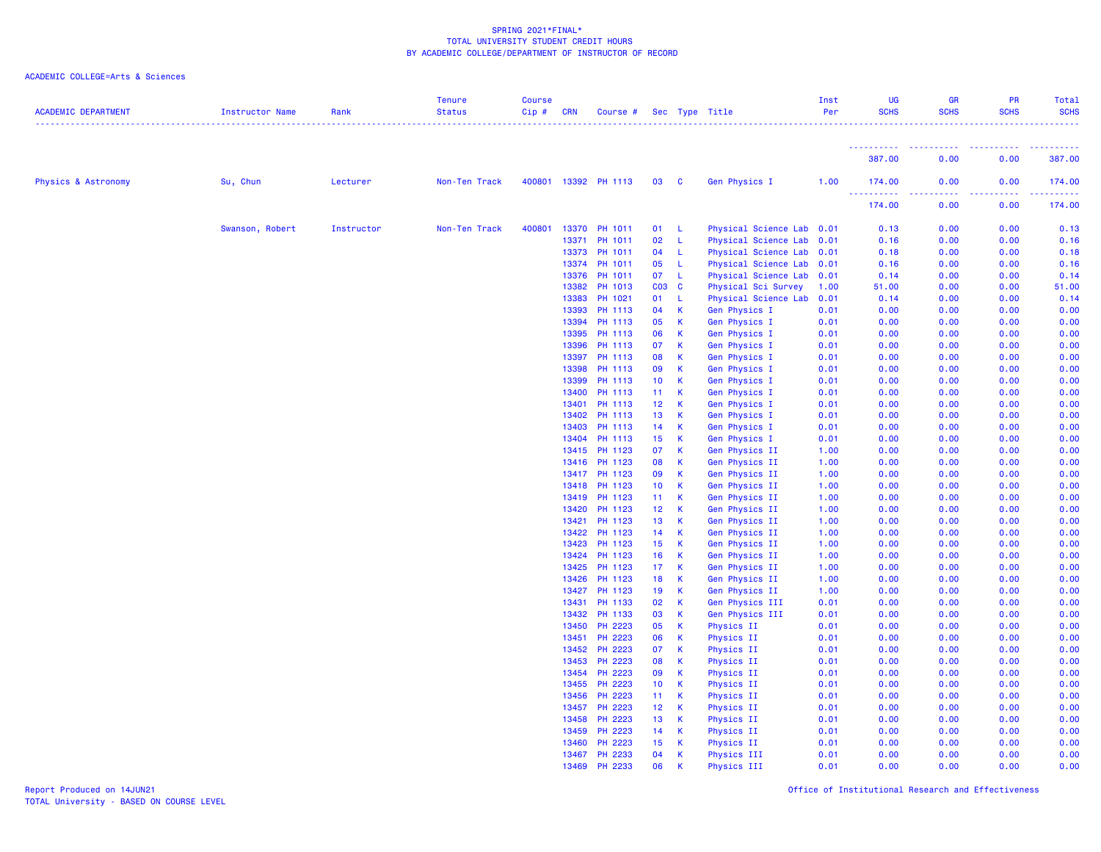| <b>ACADEMIC DEPARTMENT</b> | <b>Instructor Name</b> | Rank       | <b>Tenure</b><br><b>Status</b> | Course<br>Cip# | <b>CRN</b>     | Course #           |                       |          | Sec Type Title                        | Inst<br>Per  | <b>UG</b><br><b>SCHS</b>                                                                                                                                       | <b>GR</b><br><b>SCHS</b><br><u>.</u> | PR<br><b>SCHS</b> | <b>Total</b><br><b>SCHS</b><br>. |
|----------------------------|------------------------|------------|--------------------------------|----------------|----------------|--------------------|-----------------------|----------|---------------------------------------|--------------|----------------------------------------------------------------------------------------------------------------------------------------------------------------|--------------------------------------|-------------------|----------------------------------|
|                            |                        |            |                                |                |                |                    |                       |          |                                       |              | <u>.</u><br>387.00                                                                                                                                             | 0.00                                 | .<br>0.00         | 387.00                           |
| Physics & Astronomy        | Su, Chun               | Lecturer   | Non-Ten Track                  | 400801         |                | 13392 PH 1113      | 03                    | <b>C</b> | Gen Physics I                         | 1.00         | 174.00                                                                                                                                                         | 0.00                                 | 0.00              | 174.00                           |
|                            |                        |            |                                |                |                |                    |                       |          |                                       |              | $\frac{1}{2} \left( \frac{1}{2} \right) \left( \frac{1}{2} \right) \left( \frac{1}{2} \right) \left( \frac{1}{2} \right) \left( \frac{1}{2} \right)$<br>174.00 | والمسامين<br>0.00                    | .<br>0.00         | .<br>174.00                      |
|                            | Swanson, Robert        | Instructor | Non-Ten Track                  | 400801         | 13370          | PH 1011            | 01                    | - L      | Physical Science Lab 0.01             |              | 0.13                                                                                                                                                           | 0.00                                 | 0.00              | 0.13                             |
|                            |                        |            |                                |                | 13371          | PH 1011            | 02                    | -L       | Physical Science Lab                  | 0.01         | 0.16                                                                                                                                                           | 0.00                                 | 0.00              | 0.16                             |
|                            |                        |            |                                |                | 13373          | PH 1011            | 04                    | -L       | Physical Science Lab 0.01             |              | 0.18                                                                                                                                                           | 0.00                                 | 0.00              | 0.18                             |
|                            |                        |            |                                |                | 13374          | PH 1011            | 05                    | -L       | Physical Science Lab                  | 0.01         | 0.16                                                                                                                                                           | 0.00                                 | 0.00              | 0.16                             |
|                            |                        |            |                                |                | 13376          | PH 1011            | 07                    | -L       | Physical Science Lab                  | 0.01         | 0.14                                                                                                                                                           | 0.00                                 | 0.00              | 0.14                             |
|                            |                        |            |                                |                | 13382          | PH 1013            | $CO3$ $C$             |          | Physical Sci Survey                   | 1.00         | 51.00                                                                                                                                                          | 0.00                                 | 0.00              | 51.00                            |
|                            |                        |            |                                |                | 13383          | PH 1021            | 01                    | -L       | Physical Science Lab                  | 0.01         | 0.14                                                                                                                                                           | 0.00                                 | 0.00              | 0.14                             |
|                            |                        |            |                                |                | 13393          | PH 1113            | 04                    | K.       | Gen Physics I                         | 0.01         | 0.00                                                                                                                                                           | 0.00                                 | 0.00              | 0.00                             |
|                            |                        |            |                                |                | 13394          | PH 1113            | 05                    | К        | Gen Physics I                         | 0.01         | 0.00                                                                                                                                                           | 0.00                                 | 0.00              | 0.00                             |
|                            |                        |            |                                |                | 13395          | PH 1113            | 06                    | К        | Gen Physics I                         | 0.01         | 0.00                                                                                                                                                           | 0.00                                 | 0.00              | 0.00                             |
|                            |                        |            |                                |                | 13396          | PH 1113            | 07                    | K        | <b>Gen Physics I</b>                  | 0.01         | 0.00                                                                                                                                                           | 0.00                                 | 0.00              | 0.00                             |
|                            |                        |            |                                |                | 13397          | PH 1113            | 08                    | K        | <b>Gen Physics I</b>                  | 0.01         | 0.00                                                                                                                                                           | 0.00                                 | 0.00              | 0.00                             |
|                            |                        |            |                                |                | 13398          | PH 1113            | 09                    | К        | Gen Physics I                         | 0.01         | 0.00                                                                                                                                                           | 0.00                                 | 0.00              | 0.00                             |
|                            |                        |            |                                |                | 13399          | PH 1113            | 10 <sup>°</sup>       | K        | Gen Physics I                         | 0.01         | 0.00                                                                                                                                                           | 0.00                                 | 0.00              | 0.00                             |
|                            |                        |            |                                |                | 13400          | PH 1113            | 11                    | K        | <b>Gen Physics I</b>                  | 0.01         | 0.00                                                                                                                                                           | 0.00                                 | 0.00              | 0.00                             |
|                            |                        |            |                                |                | 13401          | PH 1113<br>PH 1113 | 12 <sub>2</sub>       | K<br>K   | Gen Physics I                         | 0.01         | 0.00<br>0.00                                                                                                                                                   | 0.00<br>0.00                         | 0.00<br>0.00      | 0.00<br>0.00                     |
|                            |                        |            |                                |                | 13402<br>13403 | PH 1113            | 13<br>14              | K        | Gen Physics I<br><b>Gen Physics I</b> | 0.01<br>0.01 | 0.00                                                                                                                                                           | 0.00                                 | 0.00              | 0.00                             |
|                            |                        |            |                                |                | 13404          | PH 1113            | 15                    | K        | Gen Physics I                         | 0.01         | 0.00                                                                                                                                                           | 0.00                                 | 0.00              | 0.00                             |
|                            |                        |            |                                |                | 13415          | PH 1123            | 07                    | К        | Gen Physics II                        | 1.00         | 0.00                                                                                                                                                           | 0.00                                 | 0.00              | 0.00                             |
|                            |                        |            |                                |                | 13416          | PH 1123            | 08                    | К        | Gen Physics II                        | 1.00         | 0.00                                                                                                                                                           | 0.00                                 | 0.00              | 0.00                             |
|                            |                        |            |                                |                | 13417          | PH 1123            | 09                    | K        | Gen Physics II                        | 1.00         | 0.00                                                                                                                                                           | 0.00                                 | 0.00              | 0.00                             |
|                            |                        |            |                                |                | 13418          | PH 1123            | 10 <sup>°</sup>       | K        | Gen Physics II                        | 1.00         | 0.00                                                                                                                                                           | 0.00                                 | 0.00              | 0.00                             |
|                            |                        |            |                                |                | 13419          | PH 1123            | 11                    | К        | Gen Physics II                        | 1.00         | 0.00                                                                                                                                                           | 0.00                                 | 0.00              | 0.00                             |
|                            |                        |            |                                |                | 13420          | PH 1123            | 12                    | K        | Gen Physics II                        | 1.00         | 0.00                                                                                                                                                           | 0.00                                 | 0.00              | 0.00                             |
|                            |                        |            |                                |                | 13421          | PH 1123            | 13                    | K        | Gen Physics II                        | 1.00         | 0.00                                                                                                                                                           | 0.00                                 | 0.00              | 0.00                             |
|                            |                        |            |                                |                | 13422          | PH 1123            | 14                    | K        | Gen Physics II                        | 1.00         | 0.00                                                                                                                                                           | 0.00                                 | 0.00              | 0.00                             |
|                            |                        |            |                                |                | 13423          | PH 1123            | 15                    | K        | Gen Physics II                        | 1.00         | 0.00                                                                                                                                                           | 0.00                                 | 0.00              | 0.00                             |
|                            |                        |            |                                |                | 13424          | PH 1123            | 16                    | K        | Gen Physics II                        | 1.00         | 0.00                                                                                                                                                           | 0.00                                 | 0.00              | 0.00                             |
|                            |                        |            |                                |                | 13425          | PH 1123            | 17                    | K        | Gen Physics II                        | 1.00         | 0.00                                                                                                                                                           | 0.00                                 | 0.00              | 0.00                             |
|                            |                        |            |                                |                | 13426          | PH 1123            | 18                    | К        | Gen Physics II                        | 1.00         | 0.00                                                                                                                                                           | 0.00                                 | 0.00              | 0.00                             |
|                            |                        |            |                                |                | 13427          | PH 1123            | 19                    | K        | Gen Physics II                        | 1.00         | 0.00                                                                                                                                                           | 0.00                                 | 0.00              | 0.00                             |
|                            |                        |            |                                |                | 13431          | PH 1133            | 02                    | K        | Gen Physics III                       | 0.01         | 0.00                                                                                                                                                           | 0.00                                 | 0.00              | 0.00                             |
|                            |                        |            |                                |                | 13432          | PH 1133            | 03                    | K        | Gen Physics III                       | 0.01         | 0.00                                                                                                                                                           | 0.00                                 | 0.00              | 0.00                             |
|                            |                        |            |                                |                | 13450          | PH 2223            | 05                    | К        | Physics II                            | 0.01         | 0.00                                                                                                                                                           | 0.00                                 | 0.00              | 0.00                             |
|                            |                        |            |                                |                | 13451          | PH 2223            | 06                    | K        | Physics II                            | 0.01         | 0.00                                                                                                                                                           | 0.00                                 | 0.00              | 0.00                             |
|                            |                        |            |                                |                | 13452          | PH 2223            | 07                    | K        | Physics II                            | 0.01         | 0.00                                                                                                                                                           | 0.00                                 | 0.00              | 0.00                             |
|                            |                        |            |                                |                | 13453          | PH 2223            | 08                    | К        | Physics II                            | 0.01         | 0.00<br>0.00                                                                                                                                                   | 0.00                                 | 0.00              | 0.00                             |
|                            |                        |            |                                |                | 13454<br>13455 | PH 2223<br>PH 2223 | 09<br>10 <sub>1</sub> | K<br>K   | Physics II<br>Physics II              | 0.01<br>0.01 | 0.00                                                                                                                                                           | 0.00<br>0.00                         | 0.00<br>0.00      | 0.00<br>0.00                     |
|                            |                        |            |                                |                | 13456          | PH 2223            | 11                    | К        | Physics II                            | 0.01         | 0.00                                                                                                                                                           | 0.00                                 | 0.00              | 0.00                             |
|                            |                        |            |                                |                | 13457          | PH 2223            | 12                    | К        | Physics II                            | 0.01         | 0.00                                                                                                                                                           | 0.00                                 | 0.00              | 0.00                             |
|                            |                        |            |                                |                | 13458          | PH 2223            | 13                    | K        | Physics II                            | 0.01         | 0.00                                                                                                                                                           | 0.00                                 | 0.00              | 0.00                             |
|                            |                        |            |                                |                | 13459          | PH 2223            | 14                    | К        | Physics II                            | 0.01         | 0.00                                                                                                                                                           | 0.00                                 | 0.00              | 0.00                             |
|                            |                        |            |                                |                | 13460          | PH 2223            | 15                    | К        | Physics II                            | 0.01         | 0.00                                                                                                                                                           | 0.00                                 | 0.00              | 0.00                             |
|                            |                        |            |                                |                | 13467          | PH 2233            | 04                    | К        | Physics III                           | 0.01         | 0.00                                                                                                                                                           | 0.00                                 | 0.00              | 0.00                             |
|                            |                        |            |                                |                | 13469          | PH 2233            | 06                    | K        | Physics III                           | 0.01         | 0.00                                                                                                                                                           | 0.00                                 | 0.00              | 0.00                             |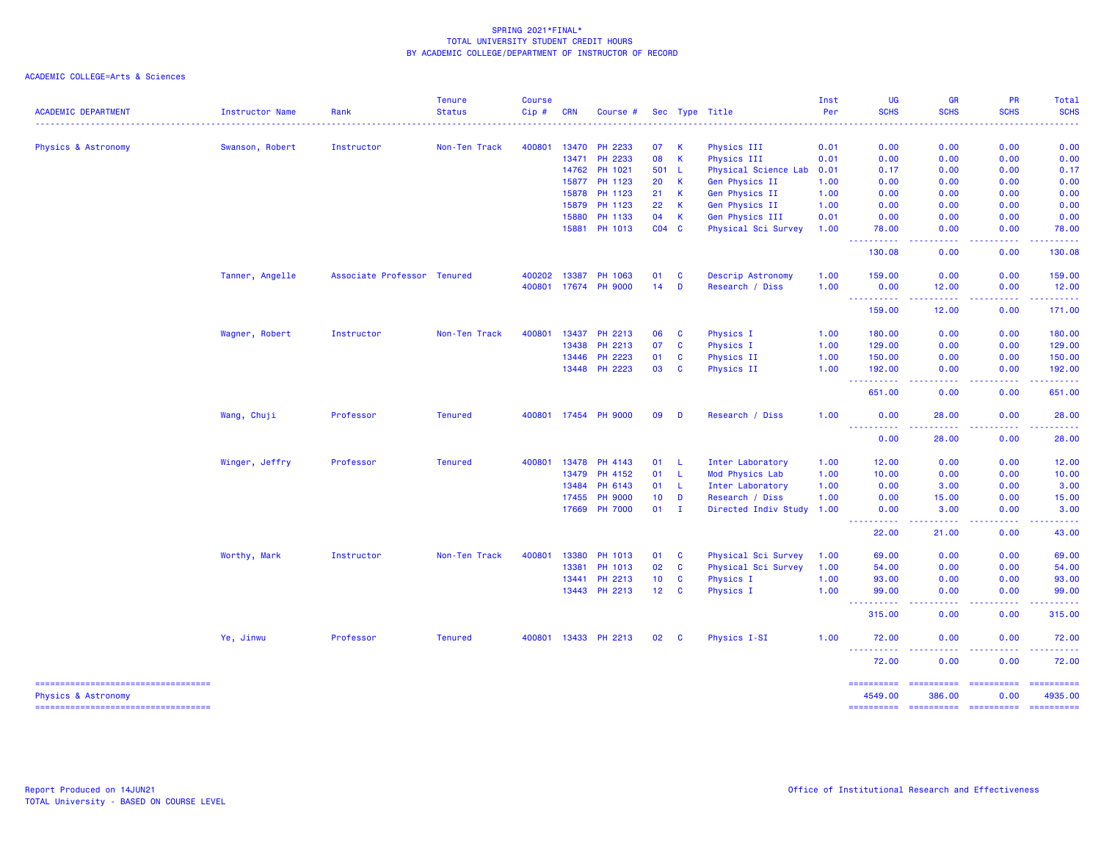## ACADEMIC COLLEGE=Arts & Sciences

| <b>ACADEMIC DEPARTMENT</b>                                            | Instructor Name | Rank                        | <b>Tenure</b><br><b>Status</b> | <b>Course</b><br>Cip# | <b>CRN</b> | Course #             |                 |              | Sec Type Title            | Inst<br>Per | UG<br><b>SCHS</b>                                                                                                                  | <b>GR</b><br><b>SCHS</b>                                                                                                                                                                                                                                                                                                                                                                                                                                                                         | PR<br><b>SCHS</b>              | Total<br><b>SCHS</b>                                                                                                                                          |
|-----------------------------------------------------------------------|-----------------|-----------------------------|--------------------------------|-----------------------|------------|----------------------|-----------------|--------------|---------------------------|-------------|------------------------------------------------------------------------------------------------------------------------------------|--------------------------------------------------------------------------------------------------------------------------------------------------------------------------------------------------------------------------------------------------------------------------------------------------------------------------------------------------------------------------------------------------------------------------------------------------------------------------------------------------|--------------------------------|---------------------------------------------------------------------------------------------------------------------------------------------------------------|
|                                                                       |                 |                             |                                |                       |            |                      |                 |              |                           |             |                                                                                                                                    |                                                                                                                                                                                                                                                                                                                                                                                                                                                                                                  |                                |                                                                                                                                                               |
| Physics & Astronomy                                                   | Swanson, Robert | Instructor                  | Non-Ten Track                  | 400801                | 13470      | PH 2233              | 07              | -K           | Physics III               | 0.01        | 0.00                                                                                                                               | 0.00                                                                                                                                                                                                                                                                                                                                                                                                                                                                                             | 0.00                           | 0.00                                                                                                                                                          |
|                                                                       |                 |                             |                                |                       | 13471      | PH 2233              | 08              | $\mathsf{K}$ | Physics III               | 0.01        | 0.00                                                                                                                               | 0.00                                                                                                                                                                                                                                                                                                                                                                                                                                                                                             | 0.00                           | 0.00                                                                                                                                                          |
|                                                                       |                 |                             |                                |                       | 14762      | PH 1021              | 501 L           |              | Physical Science Lab      | 0.01        | 0.17                                                                                                                               | 0.00                                                                                                                                                                                                                                                                                                                                                                                                                                                                                             | 0.00                           | 0.17                                                                                                                                                          |
|                                                                       |                 |                             |                                |                       |            | 15877 PH 1123        | 20              | <b>K</b>     | Gen Physics II            | 1.00        | 0.00                                                                                                                               | 0.00                                                                                                                                                                                                                                                                                                                                                                                                                                                                                             | 0.00                           | 0.00                                                                                                                                                          |
|                                                                       |                 |                             |                                |                       | 15878      | PH 1123              | 21              | $\mathsf{K}$ | Gen Physics II            | 1.00        | 0.00                                                                                                                               | 0.00                                                                                                                                                                                                                                                                                                                                                                                                                                                                                             | 0.00                           | 0.00                                                                                                                                                          |
|                                                                       |                 |                             |                                |                       | 15879      | PH 1123              | 22              | <b>K</b>     | Gen Physics II            | 1.00        | 0.00                                                                                                                               | 0.00                                                                                                                                                                                                                                                                                                                                                                                                                                                                                             | 0.00                           | 0.00                                                                                                                                                          |
|                                                                       |                 |                             |                                |                       | 15880      | PH 1133              | 04              | <b>K</b>     | Gen Physics III           | 0.01        | 0.00                                                                                                                               | 0.00                                                                                                                                                                                                                                                                                                                                                                                                                                                                                             | 0.00                           | 0.00                                                                                                                                                          |
|                                                                       |                 |                             |                                |                       | 15881      | PH 1013              | $CO4$ $C$       |              | Physical Sci Survey       | 1.00        | 78.00<br>.                                                                                                                         | 0.00<br>.                                                                                                                                                                                                                                                                                                                                                                                                                                                                                        | 0.00<br>.                      | 78.00<br>$\frac{1}{2} \left( \frac{1}{2} \right) \left( \frac{1}{2} \right) \left( \frac{1}{2} \right) \left( \frac{1}{2} \right) \left( \frac{1}{2} \right)$ |
|                                                                       |                 |                             |                                |                       |            |                      |                 |              |                           |             | 130.08                                                                                                                             | 0.00                                                                                                                                                                                                                                                                                                                                                                                                                                                                                             | 0.00                           | 130.08                                                                                                                                                        |
|                                                                       | Tanner, Angelle | Associate Professor Tenured |                                | 400202                | 13387      | PH 1063              | 01              | <b>C</b>     | Descrip Astronomy         | 1.00        | 159.00                                                                                                                             | 0.00                                                                                                                                                                                                                                                                                                                                                                                                                                                                                             | 0.00                           | 159.00                                                                                                                                                        |
|                                                                       |                 |                             |                                | 400801                |            | 17674 PH 9000        | 14              | D            | Research / Diss           | 1.00        | 0.00<br><b></b>                                                                                                                    | 12.00<br>.                                                                                                                                                                                                                                                                                                                                                                                                                                                                                       | 0.00<br>.                      | 12.00<br>.                                                                                                                                                    |
|                                                                       |                 |                             |                                |                       |            |                      |                 |              |                           |             | 159.00                                                                                                                             | 12.00                                                                                                                                                                                                                                                                                                                                                                                                                                                                                            | 0.00                           | 171.00                                                                                                                                                        |
|                                                                       | Wagner, Robert  | Instructor                  | Non-Ten Track                  | 400801                | 13437      | PH 2213              | 06              | <b>C</b>     | Physics I                 | 1.00        | 180.00                                                                                                                             | 0.00                                                                                                                                                                                                                                                                                                                                                                                                                                                                                             | 0.00                           | 180.00                                                                                                                                                        |
|                                                                       |                 |                             |                                |                       | 13438      | PH 2213              | 07              | $\mathbf{C}$ | Physics I                 | 1.00        | 129.00                                                                                                                             | 0.00                                                                                                                                                                                                                                                                                                                                                                                                                                                                                             | 0.00                           | 129.00                                                                                                                                                        |
|                                                                       |                 |                             |                                |                       | 13446      | <b>PH 2223</b>       | 01              | $\mathbf{C}$ | Physics II                | 1.00        | 150.00                                                                                                                             | 0.00                                                                                                                                                                                                                                                                                                                                                                                                                                                                                             | 0.00                           | 150.00                                                                                                                                                        |
|                                                                       |                 |                             |                                |                       |            | 13448 PH 2223        | 03              | <b>C</b>     | Physics II                | 1.00        | 192.00<br>$\frac{1}{2} \left( \frac{1}{2} \right) \left( \frac{1}{2} \right) \left( \frac{1}{2} \right)$<br>.                      | 0.00<br>.                                                                                                                                                                                                                                                                                                                                                                                                                                                                                        | 0.00                           | 192.00<br>.                                                                                                                                                   |
|                                                                       |                 |                             |                                |                       |            |                      |                 |              |                           |             | 651.00                                                                                                                             | 0.00                                                                                                                                                                                                                                                                                                                                                                                                                                                                                             | 0.00                           | 651.00                                                                                                                                                        |
|                                                                       | Wang, Chuji     | Professor                   | <b>Tenured</b>                 |                       |            | 400801 17454 PH 9000 | 09              | D            | Research / Diss           | 1.00        | 0.00<br><u>.</u>                                                                                                                   | 28.00                                                                                                                                                                                                                                                                                                                                                                                                                                                                                            | 0.00                           | 28.00                                                                                                                                                         |
|                                                                       |                 |                             |                                |                       |            |                      |                 |              |                           |             | 0.00                                                                                                                               | 28.00                                                                                                                                                                                                                                                                                                                                                                                                                                                                                            | 0.00                           | 28.00                                                                                                                                                         |
|                                                                       | Winger, Jeffry  | Professor                   | <b>Tenured</b>                 | 400801                | 13478      | PH 4143              | 01              | - L          | Inter Laboratory          | 1.00        | 12.00                                                                                                                              | 0.00                                                                                                                                                                                                                                                                                                                                                                                                                                                                                             | 0.00                           | 12.00                                                                                                                                                         |
|                                                                       |                 |                             |                                |                       | 13479      | PH 4152              | 01              | $\mathsf{L}$ | Mod Physics Lab           | 1.00        | 10.00                                                                                                                              | 0.00                                                                                                                                                                                                                                                                                                                                                                                                                                                                                             | 0.00                           | 10.00                                                                                                                                                         |
|                                                                       |                 |                             |                                |                       | 13484      | PH 6143              | 01              | $\mathsf{L}$ | Inter Laboratory          | 1.00        | 0.00                                                                                                                               | 3.00                                                                                                                                                                                                                                                                                                                                                                                                                                                                                             | 0.00                           | 3.00                                                                                                                                                          |
|                                                                       |                 |                             |                                |                       | 17455      | <b>PH 9000</b>       | 10 <sup>°</sup> | D            | Research / Diss           | 1.00        | 0.00                                                                                                                               | 15.00                                                                                                                                                                                                                                                                                                                                                                                                                                                                                            | 0.00                           | 15.00                                                                                                                                                         |
|                                                                       |                 |                             |                                |                       |            | 17669 PH 7000        | $01$ I          |              | Directed Indiv Study 1.00 |             | 0.00<br>.                                                                                                                          | 3.00<br>.                                                                                                                                                                                                                                                                                                                                                                                                                                                                                        | 0.00<br>.                      | 3.00<br>.                                                                                                                                                     |
|                                                                       |                 |                             |                                |                       |            |                      |                 |              |                           |             | 22.00                                                                                                                              | 21.00                                                                                                                                                                                                                                                                                                                                                                                                                                                                                            | 0.00                           | 43.00                                                                                                                                                         |
|                                                                       | Worthy, Mark    | Instructor                  | Non-Ten Track                  | 400801                | 13380      | PH 1013              | 01              | <b>C</b>     | Physical Sci Survey       | 1.00        | 69.00                                                                                                                              | 0.00                                                                                                                                                                                                                                                                                                                                                                                                                                                                                             | 0.00                           | 69.00                                                                                                                                                         |
|                                                                       |                 |                             |                                |                       | 13381      | PH 1013              | 02              | $\mathbf{C}$ | Physical Sci Survey       | 1.00        | 54.00                                                                                                                              | 0.00                                                                                                                                                                                                                                                                                                                                                                                                                                                                                             | 0.00                           | 54.00                                                                                                                                                         |
|                                                                       |                 |                             |                                |                       | 13441      | PH 2213              | 10              | $\mathbf{C}$ | <b>Physics I</b>          | 1.00        | 93.00                                                                                                                              | 0.00                                                                                                                                                                                                                                                                                                                                                                                                                                                                                             | 0.00                           | 93.00                                                                                                                                                         |
|                                                                       |                 |                             |                                |                       |            | 13443 PH 2213        | 12 <sub>2</sub> | <b>C</b>     | Physics I                 | 1.00        | 99.00<br>.                                                                                                                         | 0.00<br>$\omega$ is a $\omega$                                                                                                                                                                                                                                                                                                                                                                                                                                                                   | 0.00<br>.                      | 99.00<br>.                                                                                                                                                    |
|                                                                       |                 |                             |                                |                       |            |                      |                 |              |                           |             | 315.00                                                                                                                             | 0.00                                                                                                                                                                                                                                                                                                                                                                                                                                                                                             | 0.00                           | 315.00                                                                                                                                                        |
|                                                                       | Ye, Jinwu       | Professor                   | <b>Tenured</b>                 |                       |            | 400801 13433 PH 2213 | 02              | <b>C</b>     | <b>Physics I-SI</b>       | 1.00        | 72.00<br>$\frac{1}{2} \left( \frac{1}{2} \right) \left( \frac{1}{2} \right) \left( \frac{1}{2} \right) \left( \frac{1}{2} \right)$ | 0.00<br>$\frac{1}{2} \left( \frac{1}{2} \right) \left( \frac{1}{2} \right) \left( \frac{1}{2} \right)$                                                                                                                                                                                                                                                                                                                                                                                           | 0.00<br>.                      | 72.00<br>.                                                                                                                                                    |
|                                                                       |                 |                             |                                |                       |            |                      |                 |              |                           |             | 72.00                                                                                                                              | 0.00                                                                                                                                                                                                                                                                                                                                                                                                                                                                                             | 0.00                           | 72.00                                                                                                                                                         |
| -----------------------------------<br><b>Physics &amp; Astronomy</b> |                 |                             |                                |                       |            |                      |                 |              |                           |             | ==========<br>4549.00                                                                                                              | $\begin{array}{cccccccccc} \multicolumn{2}{c}{} & \multicolumn{2}{c}{} & \multicolumn{2}{c}{} & \multicolumn{2}{c}{} & \multicolumn{2}{c}{} & \multicolumn{2}{c}{} & \multicolumn{2}{c}{} & \multicolumn{2}{c}{} & \multicolumn{2}{c}{} & \multicolumn{2}{c}{} & \multicolumn{2}{c}{} & \multicolumn{2}{c}{} & \multicolumn{2}{c}{} & \multicolumn{2}{c}{} & \multicolumn{2}{c}{} & \multicolumn{2}{c}{} & \multicolumn{2}{c}{} & \multicolumn{2}{c}{} & \multicolumn{2}{c}{} & \mult$<br>386.00 | ======================<br>0.00 | 4935.00                                                                                                                                                       |

=================================== ========== ========== ========== ==========

Physics & Astronomy 4549.00 386.00 0.00 4935.00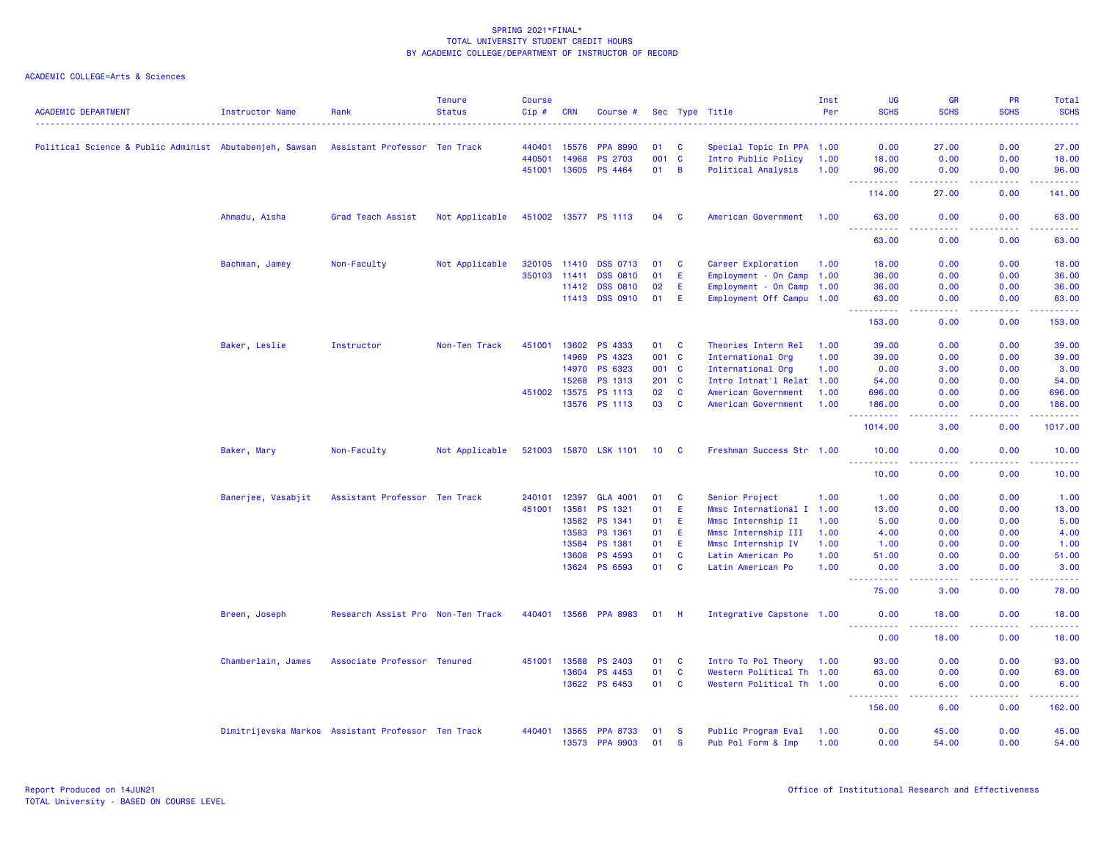| <b>ACADEMIC DEPARTMENT</b>                              | <b>Instructor Name</b>                             | Rank                              | <b>Tenure</b><br><b>Status</b> | <b>Course</b><br>Cip# | <b>CRN</b> | Course #             |                 |              | Sec Type Title            | Inst<br>Per | UG<br><b>SCHS</b>                   | <b>GR</b><br><b>SCHS</b> | <b>PR</b><br><b>SCHS</b>                                                                                                                                     | Total<br><b>SCHS</b>                       |
|---------------------------------------------------------|----------------------------------------------------|-----------------------------------|--------------------------------|-----------------------|------------|----------------------|-----------------|--------------|---------------------------|-------------|-------------------------------------|--------------------------|--------------------------------------------------------------------------------------------------------------------------------------------------------------|--------------------------------------------|
|                                                         |                                                    |                                   |                                | .                     |            |                      |                 |              |                           |             | .                                   | 22222                    |                                                                                                                                                              | .                                          |
| Political Science & Public Administ Abutabenjeh, Sawsan |                                                    | Assistant Professor Ten Track     |                                | 440401                | 15576      | <b>PPA 8990</b>      | 01              | <b>C</b>     | Special Topic In PPA 1.00 |             | 0.00                                | 27.00                    | 0.00                                                                                                                                                         | 27,00                                      |
|                                                         |                                                    |                                   |                                | 440501                | 14968      | <b>PS 2703</b>       | 001 C           |              | Intro Public Policy       | 1.00        | 18.00                               | 0.00                     | 0.00                                                                                                                                                         | 18.00                                      |
|                                                         |                                                    |                                   |                                | 451001                | 13605      | PS 4464              | 01              | B            | Political Analysis        | 1.00        | 96.00<br>.                          | 0.00<br>وعاعاها          | 0.00<br>.                                                                                                                                                    | 96.00<br>.                                 |
|                                                         |                                                    |                                   |                                |                       |            |                      |                 |              |                           |             | 114.00                              | 27.00                    | 0.00                                                                                                                                                         | 141.00                                     |
|                                                         | Ahmadu, Aisha                                      | Grad Teach Assist                 | Not Applicable                 |                       |            | 451002 13577 PS 1113 | 04              | <b>C</b>     | American Government       | 1.00        | 63.00<br><u>.</u>                   | 0.00<br>.                | 0.00<br>.                                                                                                                                                    | 63.00<br>.                                 |
|                                                         |                                                    |                                   |                                |                       |            |                      |                 |              |                           |             | 63.00                               | 0.00                     | 0.00                                                                                                                                                         | 63.00                                      |
|                                                         | Bachman, Jamey                                     | Non-Faculty                       | Not Applicable                 | 320105 11410          |            | <b>DSS 0713</b>      | 01              | <b>C</b>     | Career Exploration        | 1.00        | 18.00                               | 0.00                     | 0.00                                                                                                                                                         | 18.00                                      |
|                                                         |                                                    |                                   |                                | 350103                | 11411      | <b>DSS 0810</b>      | 01              | Ε            | Employment - On Camp      | 1.00        | 36.00                               | 0.00                     | 0.00                                                                                                                                                         | 36.00                                      |
|                                                         |                                                    |                                   |                                |                       | 11412      | <b>DSS 0810</b>      | 02              | Ε            | Employment - On Camp 1.00 |             | 36.00                               | 0.00                     | 0.00                                                                                                                                                         | 36.00                                      |
|                                                         |                                                    |                                   |                                |                       | 11413      | <b>DSS 0910</b>      | 01              | E            | Employment Off Campu 1.00 |             | 63.00<br>.                          | 0.00<br>.                | 0.00<br><b></b>                                                                                                                                              | 63.00<br>.                                 |
|                                                         |                                                    |                                   |                                |                       |            |                      |                 |              |                           |             | 153.00                              | 0.00                     | 0.00                                                                                                                                                         | 153.00                                     |
|                                                         | Baker, Leslie                                      | Instructor                        | Non-Ten Track                  | 451001                | 13602      | PS 4333              | 01              | $\mathbf{C}$ | Theories Intern Rel       | 1.00        | 39.00                               | 0.00                     | 0.00                                                                                                                                                         | 39.00                                      |
|                                                         |                                                    |                                   |                                |                       | 14969      | PS 4323              | 001 C           |              | International Org         | 1.00        | 39.00                               | 0.00                     | 0.00                                                                                                                                                         | 39.00                                      |
|                                                         |                                                    |                                   |                                |                       | 14970      | PS 6323              | 001 C           |              | International Org         | 1.00        | 0.00                                | 3.00                     | 0.00                                                                                                                                                         | 3.00                                       |
|                                                         |                                                    |                                   |                                |                       | 15268      | PS 1313              | 201 C           |              | Intro Intnat'l Relat 1.00 |             | 54.00                               | 0.00                     | 0.00                                                                                                                                                         | 54.00                                      |
|                                                         |                                                    |                                   |                                | 451002                | 13575      | PS 1113              | 02              | <b>C</b>     | American Government       | 1.00        | 696,00                              | 0.00                     | 0.00                                                                                                                                                         | 696.00                                     |
|                                                         |                                                    |                                   |                                |                       |            | 13576 PS 1113        | 03              | $\mathbf{C}$ | American Government       | 1.00        | 186.00<br>----------                | 0.00<br>والمسامين        | 0.00<br>$\frac{1}{2} \left( \frac{1}{2} \right) \left( \frac{1}{2} \right) \left( \frac{1}{2} \right) \left( \frac{1}{2} \right) \left( \frac{1}{2} \right)$ | 186.00<br>.                                |
|                                                         |                                                    |                                   |                                |                       |            |                      |                 |              |                           |             | 1014.00                             | 3.00                     | 0.00                                                                                                                                                         | 1017.00                                    |
|                                                         | Baker, Mary                                        | Non-Faculty                       | Not Applicable                 | 521003 15870          |            | <b>LSK 1101</b>      | 10 <sup>1</sup> | <b>C</b>     | Freshman Success Str 1.00 |             | 10.00<br><u>.</u>                   | 0.00<br>.                | 0.00<br>2.2.2.2.2                                                                                                                                            | 10.00<br><b><i><u><u>AAAAA</u></u></i></b> |
|                                                         |                                                    |                                   |                                |                       |            |                      |                 |              |                           |             | 10.00                               | 0.00                     | 0.00                                                                                                                                                         | 10.00                                      |
|                                                         | Banerjee, Vasabjit                                 | Assistant Professor Ten Track     |                                | 240101                | 12397      | <b>GLA 4001</b>      | 01              | <b>C</b>     | Senior Project            | 1.00        | 1.00                                | 0.00                     | 0.00                                                                                                                                                         | 1.00                                       |
|                                                         |                                                    |                                   |                                | 451001                | 13581      | PS 1321              | 01              | Ε            | Mmsc International I 1.00 |             | 13.00                               | 0.00                     | 0.00                                                                                                                                                         | 13.00                                      |
|                                                         |                                                    |                                   |                                |                       | 13582      | PS 1341              | 01              | Ε            | Mmsc Internship II        | 1.00        | 5.00                                | 0.00                     | 0.00                                                                                                                                                         | 5.00                                       |
|                                                         |                                                    |                                   |                                |                       | 13583      | PS 1361              | 01              | Ε            | Mmsc Internship III       | 1.00        | 4.00                                | 0.00                     | 0.00                                                                                                                                                         | 4.00                                       |
|                                                         |                                                    |                                   |                                |                       | 13584      | PS 1381              | 01              | Ε            | Mmsc Internship IV        | 1.00        | 1.00                                | 0.00                     | 0.00                                                                                                                                                         | 1.00                                       |
|                                                         |                                                    |                                   |                                |                       | 13608      | PS 4593              | 01              | C            | Latin American Po         | 1.00        | 51.00                               | 0.00                     | 0.00                                                                                                                                                         | 51.00                                      |
|                                                         |                                                    |                                   |                                |                       | 13624      | PS 6593              | 01              | <b>C</b>     | Latin American Po         | 1.00        | 0.00<br><u> - - - - - - - - - -</u> | 3.00<br>د د د د          | 0.00                                                                                                                                                         | 3.00<br>.                                  |
|                                                         |                                                    |                                   |                                |                       |            |                      |                 |              |                           |             | 75.00                               | 3.00                     | 0.00                                                                                                                                                         | 78.00                                      |
|                                                         | Breen, Joseph                                      | Research Assist Pro Non-Ten Track |                                | 440401                | 13566      | <b>PPA 8983</b>      | 01              | H.           | Integrative Capstone 1.00 |             | 0.00                                | 18.00                    | 0.00                                                                                                                                                         | 18.00                                      |
|                                                         |                                                    |                                   |                                |                       |            |                      |                 |              |                           |             | 0.00                                | 18.00                    | 0.00                                                                                                                                                         | 18.00                                      |
|                                                         | Chamberlain, James                                 | Associate Professor Tenured       |                                | 451001                | 13588      | <b>PS 2403</b>       | 01              | C            | Intro To Pol Theory 1.00  |             | 93.00                               | 0.00                     | 0.00                                                                                                                                                         | 93.00                                      |
|                                                         |                                                    |                                   |                                |                       | 13604      | PS 4453              | 01              | <b>C</b>     | Western Political Th 1.00 |             | 63.00                               | 0.00                     | 0.00                                                                                                                                                         | 63.00                                      |
|                                                         |                                                    |                                   |                                |                       | 13622      | PS 6453              | 01              | $\mathbf{C}$ | Western Political Th 1.00 |             | 0.00<br>.                           | 6.00<br>.                | 0.00<br>.                                                                                                                                                    | 6.00<br>. <b>.</b>                         |
|                                                         |                                                    |                                   |                                |                       |            |                      |                 |              |                           |             | 156.00                              | 6.00                     | 0.00                                                                                                                                                         | 162.00                                     |
|                                                         | Dimitrijevska Markos Assistant Professor Ten Track |                                   |                                | 440401                | 13565      | <b>PPA 8733</b>      | 01              | <b>S</b>     | Public Program Eval       | 1.00        | 0.00                                | 45.00                    | 0.00                                                                                                                                                         | 45.00                                      |
|                                                         |                                                    |                                   |                                |                       | 13573      | <b>PPA 9903</b>      | 01              | <b>S</b>     | Pub Pol Form & Imp        | 1.00        | 0.00                                | 54.00                    | 0.00                                                                                                                                                         | 54.00                                      |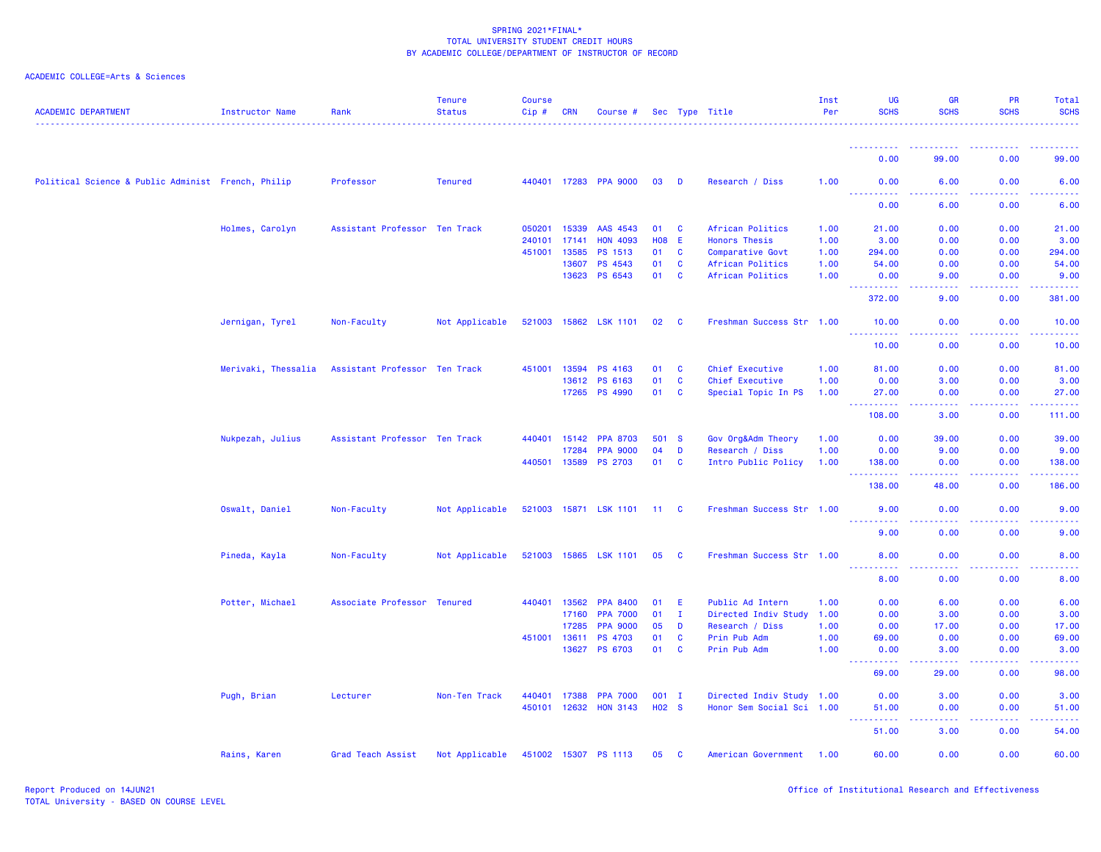| <b>ACADEMIC DEPARTMENT</b>                         | <b>Instructor Name</b> | Rank                          | <b>Tenure</b><br><b>Status</b> | <b>Course</b><br>$Cip$ # | CRN          | Course #              |                   |              | Sec Type Title            | Inst<br>Per | <b>UG</b><br><b>SCHS</b>                                                                                    | <b>GR</b><br><b>SCHS</b>                                                                               | PR<br><b>SCHS</b> | <b>Total</b><br><b>SCHS</b>                                                                                 |
|----------------------------------------------------|------------------------|-------------------------------|--------------------------------|--------------------------|--------------|-----------------------|-------------------|--------------|---------------------------|-------------|-------------------------------------------------------------------------------------------------------------|--------------------------------------------------------------------------------------------------------|-------------------|-------------------------------------------------------------------------------------------------------------|
|                                                    |                        |                               |                                |                          |              |                       |                   |              |                           |             |                                                                                                             |                                                                                                        |                   |                                                                                                             |
|                                                    |                        |                               |                                |                          |              |                       |                   |              |                           |             | 0.00                                                                                                        | 99.00                                                                                                  | 0.00              | 99.00                                                                                                       |
| Political Science & Public Administ French, Philip |                        | Professor                     | <b>Tenured</b>                 |                          |              | 440401 17283 PPA 9000 | 03                | $\mathbf{D}$ | Research / Diss           | 1.00        | 0.00<br><u> - - - - - - - - - -</u>                                                                         | 6.00                                                                                                   | 0.00              | 6.00                                                                                                        |
|                                                    |                        |                               |                                |                          |              |                       |                   |              |                           |             | 0.00                                                                                                        | 6.00                                                                                                   | 0.00              | 6.00                                                                                                        |
|                                                    | Holmes, Carolyn        | Assistant Professor Ten Track |                                | 050201                   | 15339        | AAS 4543              | 01 C              |              | African Politics          | 1.00        | 21.00                                                                                                       | 0.00                                                                                                   | 0.00              | 21.00                                                                                                       |
|                                                    |                        |                               |                                | 240101                   | 17141        | <b>HON 4093</b>       | <b>HO8 E</b>      |              | <b>Honors Thesis</b>      | 1.00        | 3.00                                                                                                        | 0.00                                                                                                   | 0.00              | 3.00                                                                                                        |
|                                                    |                        |                               |                                | 451001                   | 13585        | PS 1513               | 01                | $\mathbf{C}$ | Comparative Govt          | 1.00        | 294.00                                                                                                      | 0.00                                                                                                   | 0.00              | 294.00                                                                                                      |
|                                                    |                        |                               |                                |                          | 13607        | PS 4543               | 01                | <b>C</b>     | African Politics          | 1.00        | 54.00                                                                                                       | 0.00                                                                                                   | 0.00              | 54.00                                                                                                       |
|                                                    |                        |                               |                                |                          | 13623        | PS 6543               | 01 C              |              | African Politics          | 1.00        | 0.00<br><u> - - - - - - - - - -</u>                                                                         | 9.00<br>.                                                                                              | 0.00<br><b></b>   | 9.00<br><b><i><u><u></u></u></i></b>                                                                        |
|                                                    |                        |                               |                                |                          |              |                       |                   |              |                           |             | 372.00                                                                                                      | 9.00                                                                                                   | 0.00              | 381.00                                                                                                      |
|                                                    | Jernigan, Tyrel        | Non-Faculty                   | Not Applicable                 | 521003 15862             |              | <b>LSK 1101</b>       | 02                | $\mathbf{C}$ | Freshman Success Str 1.00 |             | 10.00<br>.                                                                                                  | 0.00<br>.                                                                                              | 0.00<br>.         | 10.00<br>.                                                                                                  |
|                                                    |                        |                               |                                |                          |              |                       |                   |              |                           |             | 10.00                                                                                                       | 0.00                                                                                                   | 0.00              | 10.00                                                                                                       |
|                                                    | Merivaki, Thessalia    | Assistant Professor Ten Track |                                | 451001                   | 13594        | PS 4163               | 01                | <b>C</b>     | Chief Executive           | 1.00        | 81.00                                                                                                       | 0.00                                                                                                   | 0.00              | 81.00                                                                                                       |
|                                                    |                        |                               |                                |                          | 13612        | PS 6163               | 01                | $\mathbf{C}$ | Chief Executive           | 1.00        | 0.00                                                                                                        | 3.00                                                                                                   | 0.00              | 3.00                                                                                                        |
|                                                    |                        |                               |                                |                          | 17265        | PS 4990               | 01                | <b>C</b>     | Special Topic In PS       | 1.00        | 27.00                                                                                                       | 0.00                                                                                                   | 0.00              | 27.00                                                                                                       |
|                                                    |                        |                               |                                |                          |              |                       |                   |              |                           |             | $\begin{array}{cccccccccc} \bullet & \bullet & \bullet & \bullet & \bullet & \bullet & \bullet \end{array}$ | .                                                                                                      | -----             | $\begin{array}{cccccccccc} \bullet & \bullet & \bullet & \bullet & \bullet & \bullet & \bullet \end{array}$ |
|                                                    |                        |                               |                                |                          |              |                       |                   |              |                           |             | 108,00                                                                                                      | 3.00                                                                                                   | 0.00              | 111.00                                                                                                      |
|                                                    | Nukpezah, Julius       | Assistant Professor Ten Track |                                | 440401                   | 15142        | <b>PPA 8703</b>       | 501 S             |              | Gov Org&Adm Theory        | 1.00        | 0.00                                                                                                        | 39.00                                                                                                  | 0.00              | 39.00                                                                                                       |
|                                                    |                        |                               |                                |                          | 17284        | <b>PPA 9000</b>       | 04                | D            | Research / Diss           | 1.00        | 0.00                                                                                                        | 9.00                                                                                                   | 0.00              | 9.00                                                                                                        |
|                                                    |                        |                               |                                | 440501 13589             |              | <b>PS 2703</b>        | 01                | $\mathbf{C}$ | Intro Public Policy       | 1.00        | 138.00<br>.                                                                                                 | 0.00<br>.                                                                                              | 0.00<br>.         | 138.00<br>22222)                                                                                            |
|                                                    |                        |                               |                                |                          |              |                       |                   |              |                           |             | 138.00                                                                                                      | 48.00                                                                                                  | 0.00              | 186.00                                                                                                      |
|                                                    | Oswalt, Daniel         | Non-Faculty                   | Not Applicable                 |                          |              | 521003 15871 LSK 1101 | 11 C              |              | Freshman Success Str 1.00 |             | 9.00<br><u>.</u>                                                                                            | 0.00<br>$\frac{1}{2} \left( \frac{1}{2} \right) \left( \frac{1}{2} \right) \left( \frac{1}{2} \right)$ | 0.00              | 9.00                                                                                                        |
|                                                    |                        |                               |                                |                          |              |                       |                   |              |                           |             | 9.00                                                                                                        | 0.00                                                                                                   | 0.00              | 9.00                                                                                                        |
|                                                    | Pineda, Kayla          | Non-Faculty                   | Not Applicable                 |                          |              | 521003 15865 LSK 1101 | 05                | $\mathbf{C}$ | Freshman Success Str 1.00 |             | 8.00                                                                                                        | 0.00                                                                                                   | 0.00              | 8.00                                                                                                        |
|                                                    |                        |                               |                                |                          |              |                       |                   |              |                           |             | <u> - - - - - - - - - -</u><br>8.00                                                                         | $\frac{1}{2} \left( \frac{1}{2} \right) \left( \frac{1}{2} \right) \left( \frac{1}{2} \right)$<br>0.00 | 0.00              | 8.00                                                                                                        |
|                                                    | Potter, Michael        | Associate Professor Tenured   |                                | 440401 13562             |              | <b>PPA 8400</b>       | 01                | E            | Public Ad Intern          | 1.00        | 0.00                                                                                                        | 6.00                                                                                                   | 0.00              | 6.00                                                                                                        |
|                                                    |                        |                               |                                |                          | 17160        | <b>PPA 7000</b>       | 01                | $\mathbf{I}$ |                           |             | 0.00                                                                                                        | 3.00                                                                                                   | 0.00              | 3.00                                                                                                        |
|                                                    |                        |                               |                                |                          |              | <b>PPA 9000</b>       | 05                | D            | Directed Indiv Study 1.00 |             |                                                                                                             |                                                                                                        | 0.00              |                                                                                                             |
|                                                    |                        |                               |                                |                          | 17285        |                       |                   |              | Research / Diss           | 1.00        | 0.00                                                                                                        | 17.00                                                                                                  |                   | 17.00                                                                                                       |
|                                                    |                        |                               |                                | 451001 13611             |              | <b>PS 4703</b>        | 01                | <b>C</b>     | Prin Pub Adm              | 1.00        | 69.00                                                                                                       | 0.00                                                                                                   | 0.00              | 69.00                                                                                                       |
|                                                    |                        |                               |                                |                          |              | 13627 PS 6703         | 01                | $\mathbf{C}$ | Prin Pub Adm              | 1.00        | 0.00<br><u>.</u>                                                                                            | 3.00<br><u>.</u>                                                                                       | 0.00<br>.         | 3.00<br>.                                                                                                   |
|                                                    |                        |                               |                                |                          |              |                       |                   |              |                           |             | 69.00                                                                                                       | 29.00                                                                                                  | 0.00              | 98.00                                                                                                       |
|                                                    | Pugh, Brian            | Lecturer                      | Non-Ten Track                  | 440401 17388             |              | <b>PPA 7000</b>       | $001$ I           |              | Directed Indiv Study 1.00 |             | 0.00                                                                                                        | 3.00                                                                                                   | 0.00              | 3.00                                                                                                        |
|                                                    |                        |                               |                                |                          | 450101 12632 | <b>HON 3143</b>       | H <sub>02</sub> S |              | Honor Sem Social Sci 1.00 |             | 51.00                                                                                                       | 0.00                                                                                                   | 0.00              | 51.00                                                                                                       |
|                                                    |                        |                               |                                |                          |              |                       |                   |              |                           |             | .<br>$\frac{1}{2} \left( \frac{1}{2} \right) \frac{1}{2} \left( \frac{1}{2} \right)$<br>51.00               | .<br>3.00                                                                                              | 22222<br>0.00     | <u>.</u><br>54.00                                                                                           |
|                                                    | Rains, Karen           | Grad Teach Assist             | Not Applicable                 |                          |              | 451002 15307 PS 1113  | 05                | $\mathbf{C}$ | American Government 1.00  |             | 60.00                                                                                                       | 0.00                                                                                                   | 0.00              | 60.00                                                                                                       |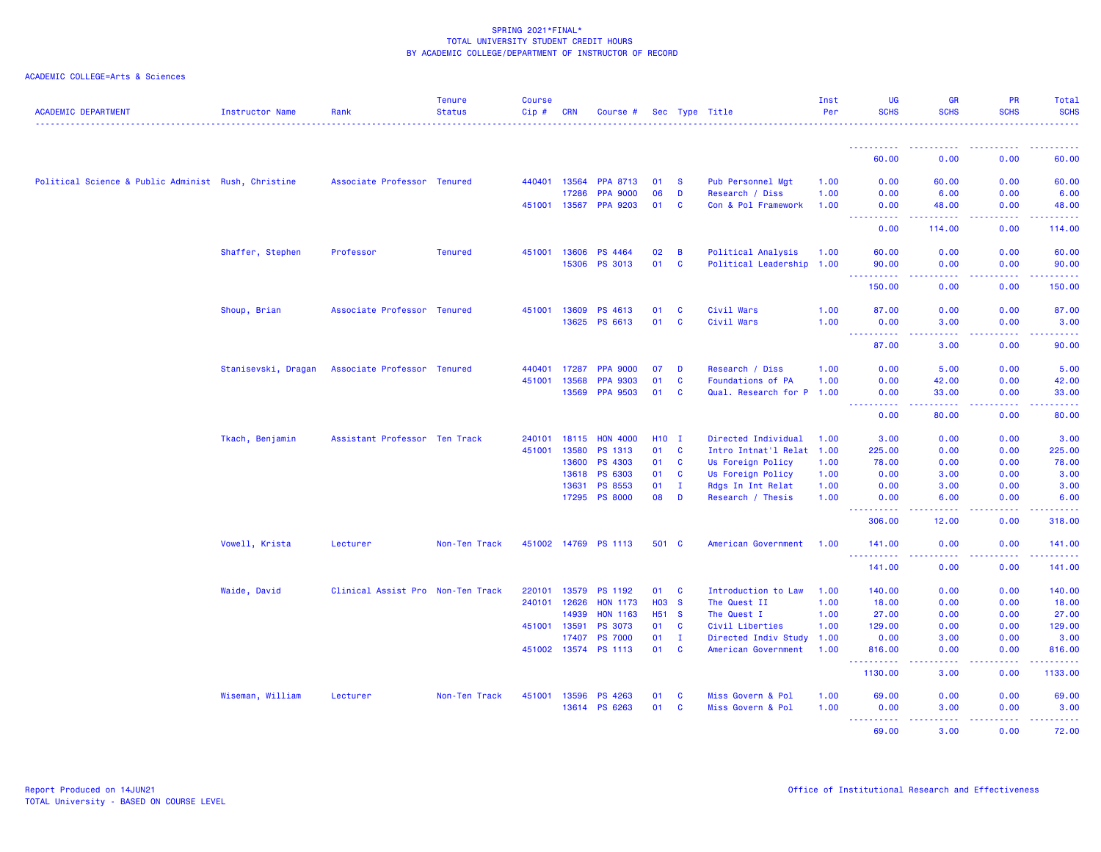| <b>ACADEMIC DEPARTMENT</b>                          | Instructor Name     | Rank                              | <b>Tenure</b><br><b>Status</b> | <b>Course</b><br>Cip# | <b>CRN</b>   | Course #             |            |                | Sec Type Title            | Inst<br>Per | <b>UG</b><br><b>SCHS</b>                   | <b>GR</b><br><b>SCHS</b> | <b>PR</b><br><b>SCHS</b>                                                                                                                                     | Total<br><b>SCHS</b>                                                                                                  |
|-----------------------------------------------------|---------------------|-----------------------------------|--------------------------------|-----------------------|--------------|----------------------|------------|----------------|---------------------------|-------------|--------------------------------------------|--------------------------|--------------------------------------------------------------------------------------------------------------------------------------------------------------|-----------------------------------------------------------------------------------------------------------------------|
|                                                     |                     |                                   |                                |                       |              |                      |            |                |                           |             |                                            |                          |                                                                                                                                                              |                                                                                                                       |
|                                                     |                     |                                   |                                |                       |              |                      |            |                |                           |             | 60.00                                      | 0.00                     | 0.00                                                                                                                                                         | 60.00                                                                                                                 |
| Political Science & Public Administ Rush, Christine |                     | Associate Professor Tenured       |                                |                       | 440401 13564 | <b>PPA 8713</b>      | 01         | - S            | Pub Personnel Mgt         | 1.00        | 0.00                                       | 60.00                    | 0.00                                                                                                                                                         | 60.00                                                                                                                 |
|                                                     |                     |                                   |                                |                       | 17286        | <b>PPA 9000</b>      | 06         | D              | Research / Diss           | 1.00        | 0.00                                       | 6.00                     | 0.00                                                                                                                                                         | 6.00                                                                                                                  |
|                                                     |                     |                                   |                                |                       | 451001 13567 | <b>PPA 9203</b>      | 01         | <b>C</b>       | Con & Pol Framework       | 1.00        | 0.00                                       | 48.00                    | 0.00                                                                                                                                                         | 48.00                                                                                                                 |
|                                                     |                     |                                   |                                |                       |              |                      |            |                |                           |             | . <b>.</b><br>$\sim$ $\sim$ $\sim$<br>0.00 | .<br>114.00              | -----<br>0.00                                                                                                                                                | .<br>114.00                                                                                                           |
|                                                     | Shaffer, Stephen    | Professor                         | <b>Tenured</b>                 |                       | 451001 13606 | <b>PS 4464</b>       | 02         | $\overline{B}$ | Political Analysis        | 1.00        | 60.00                                      | 0.00                     | 0.00                                                                                                                                                         | 60.00                                                                                                                 |
|                                                     |                     |                                   |                                |                       | 15306        | <b>PS 3013</b>       | 01         | $\mathbf{C}$   | Political Leadership 1.00 |             | 90.00                                      | 0.00                     | 0.00                                                                                                                                                         | 90.00                                                                                                                 |
|                                                     |                     |                                   |                                |                       |              |                      |            |                |                           |             | .                                          | .                        | .                                                                                                                                                            | .                                                                                                                     |
|                                                     |                     |                                   |                                |                       |              |                      |            |                |                           |             | 150.00                                     | 0.00                     | 0.00                                                                                                                                                         | 150.00                                                                                                                |
|                                                     | Shoup, Brian        | Associate Professor Tenured       |                                |                       | 451001 13609 | PS 4613              | 01         | C              | Civil Wars                | 1.00        | 87.00                                      | 0.00                     | 0.00                                                                                                                                                         | 87.00                                                                                                                 |
|                                                     |                     |                                   |                                |                       | 13625        | PS 6613              | 01         | C              | Civil Wars                | 1.00        | 0.00                                       | 3.00                     | 0.00                                                                                                                                                         | 3.00                                                                                                                  |
|                                                     |                     |                                   |                                |                       |              |                      |            |                |                           |             | <b><i><u>AAAAAAAAAA</u></i></b><br>87.00   | . <b>.</b><br>3.00       | 22222<br>0.00                                                                                                                                                | .<br>90.00                                                                                                            |
|                                                     | Stanisevski, Dragan | Associate Professor Tenured       |                                | 440401                | 17287        | <b>PPA 9000</b>      | 07         | D              | Research / Diss           | 1.00        | 0.00                                       | 5.00                     | 0.00                                                                                                                                                         | 5.00                                                                                                                  |
|                                                     |                     |                                   |                                |                       | 451001 13568 | <b>PPA 9303</b>      | 01         | <b>C</b>       | Foundations of PA         | 1.00        | 0.00                                       | 42.00                    | 0.00                                                                                                                                                         | 42.00                                                                                                                 |
|                                                     |                     |                                   |                                |                       | 13569        | <b>PPA 9503</b>      | 01         | <b>C</b>       | Qual. Research for P 1.00 |             | 0.00                                       | 33.00                    | 0.00                                                                                                                                                         | 33.00                                                                                                                 |
|                                                     |                     |                                   |                                |                       |              |                      |            |                |                           |             | <b><i><u></u></i></b><br>0.00              | -----<br>80.00           | .<br>0.00                                                                                                                                                    | .<br>80.00                                                                                                            |
|                                                     | Tkach, Benjamin     | Assistant Professor Ten Track     |                                | 240101                | 18115        | <b>HON 4000</b>      | <b>H10</b> | $\mathbf{I}$   | Directed Individual       | 1.00        | 3.00                                       | 0.00                     | 0.00                                                                                                                                                         | 3.00                                                                                                                  |
|                                                     |                     |                                   |                                | 451001                | 13580        | PS 1313              | 01         | $\mathbf{C}$   | Intro Intnat'l Relat 1.00 |             | 225.00                                     | 0.00                     | 0.00                                                                                                                                                         | 225.00                                                                                                                |
|                                                     |                     |                                   |                                |                       | 13600        | <b>PS 4303</b>       | 01         | $\mathbf{C}$   | Us Foreign Policy         | 1.00        | 78.00                                      | 0.00                     | 0.00                                                                                                                                                         | 78.00                                                                                                                 |
|                                                     |                     |                                   |                                |                       | 13618        | PS 6303              | 01         | $\mathbf{C}$   | Us Foreign Policy         | 1.00        | 0.00                                       | 3.00                     | 0.00                                                                                                                                                         | 3.00                                                                                                                  |
|                                                     |                     |                                   |                                |                       | 13631        | <b>PS 8553</b>       | 01         | $\mathbf{I}$   | Rdgs In Int Relat         | 1.00        | 0.00                                       | 3.00                     | 0.00                                                                                                                                                         | 3.00                                                                                                                  |
|                                                     |                     |                                   |                                |                       |              | 17295 PS 8000        | 08         | D              | Research / Thesis         | 1.00        | 0.00                                       | 6.00                     | 0.00                                                                                                                                                         | 6.00                                                                                                                  |
|                                                     |                     |                                   |                                |                       |              |                      |            |                |                           |             | المتمالين<br>306.00                        | .<br>12.00               | .<br>0.00                                                                                                                                                    | 22222<br>318.00                                                                                                       |
|                                                     | Vowell, Krista      | Lecturer                          | Non-Ten Track                  |                       |              | 451002 14769 PS 1113 | 501 C      |                | American Government       | 1.00        | 141.00                                     | 0.00                     | 0.00                                                                                                                                                         | 141.00                                                                                                                |
|                                                     |                     |                                   |                                |                       |              |                      |            |                |                           |             | <b></b><br>141.00                          | .<br>0.00                | $\frac{1}{2} \left( \frac{1}{2} \right) \left( \frac{1}{2} \right) \left( \frac{1}{2} \right) \left( \frac{1}{2} \right) \left( \frac{1}{2} \right)$<br>0.00 | $\begin{array}{cccccccccc} \bullet & \bullet & \bullet & \bullet & \bullet & \bullet & \bullet \end{array}$<br>141.00 |
|                                                     | Waide, David        | Clinical Assist Pro Non-Ten Track |                                | 220101                | 13579        | <b>PS 1192</b>       | 01         | <b>C</b>       | Introduction to Law       | 1.00        | 140.00                                     | 0.00                     | 0.00                                                                                                                                                         | 140.00                                                                                                                |
|                                                     |                     |                                   |                                | 240101                | 12626        | <b>HON 1173</b>      | <b>HO3</b> | $\mathbf{s}$   | The Quest II              | 1.00        | 18.00                                      | 0.00                     | 0.00                                                                                                                                                         | 18.00                                                                                                                 |
|                                                     |                     |                                   |                                |                       | 14939        | <b>HON 1163</b>      | H51 S      |                | The Quest I               | 1.00        | 27.00                                      | 0.00                     | 0.00                                                                                                                                                         | 27.00                                                                                                                 |
|                                                     |                     |                                   |                                | 451001                | 13591        | <b>PS 3073</b>       | 01         | $\mathbf{C}$   | Civil Liberties           | 1.00        | 129.00                                     | 0.00                     | 0.00                                                                                                                                                         | 129.00                                                                                                                |
|                                                     |                     |                                   |                                |                       | 17407        | <b>PS 7000</b>       | 01         | $\mathbf{I}$   | Directed Indiv Study      | 1.00        | 0.00                                       | 3.00                     | 0.00                                                                                                                                                         | 3.00                                                                                                                  |
|                                                     |                     |                                   |                                |                       |              | 451002 13574 PS 1113 | 01         | $\mathbf{C}$   | American Government       | 1.00        | 816.00                                     | 0.00                     | 0.00                                                                                                                                                         | 816.00                                                                                                                |
|                                                     |                     |                                   |                                |                       |              |                      |            |                |                           |             | .<br>1130.00                               | $  -$<br>3.00            | .<br>0.00                                                                                                                                                    | .<br>1133.00                                                                                                          |
|                                                     | Wiseman, William    | Lecturer                          | Non-Ten Track                  | 451001                | 13596        | PS 4263              | 01         | $\mathbf{C}$   | Miss Govern & Pol         | 1.00        | 69.00                                      | 0.00                     | 0.00                                                                                                                                                         | 69.00                                                                                                                 |
|                                                     |                     |                                   |                                |                       | 13614        | PS 6263              | 01 C       |                | Miss Govern & Pol         | 1.00        | 0.00                                       | 3.00                     | 0.00                                                                                                                                                         | 3.00                                                                                                                  |
|                                                     |                     |                                   |                                |                       |              |                      |            |                |                           |             | 69.00                                      | 3.00                     | 0.00                                                                                                                                                         | 72.00                                                                                                                 |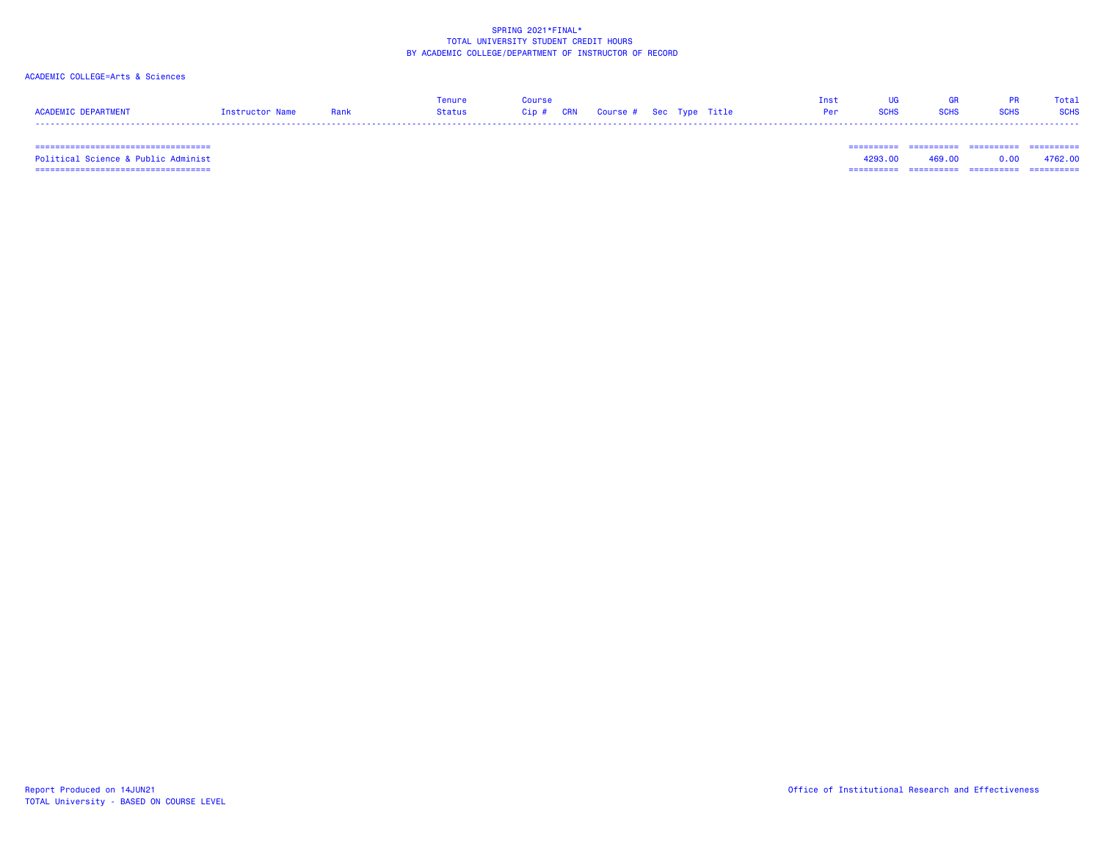# ACADEMIC COLLEGE=Arts & Sciences

|                     |                 |      |        | <b>Course</b>                          |  |  | 69 D | Total       |
|---------------------|-----------------|------|--------|----------------------------------------|--|--|------|-------------|
| ACADEMIC DEPARTMENT | Instructor Name | Rank | Status | Cip # CRN   Course #  Sec  Type  Title |  |  |      | <b>SCHS</b> |
|                     |                 |      |        |                                        |  |  |      |             |

 =================================== ========== ========== ========== ==========Political Science & Public Administ 4293.00 469.00 0.00 4762.00 =================================== ========== ========== ========== ==========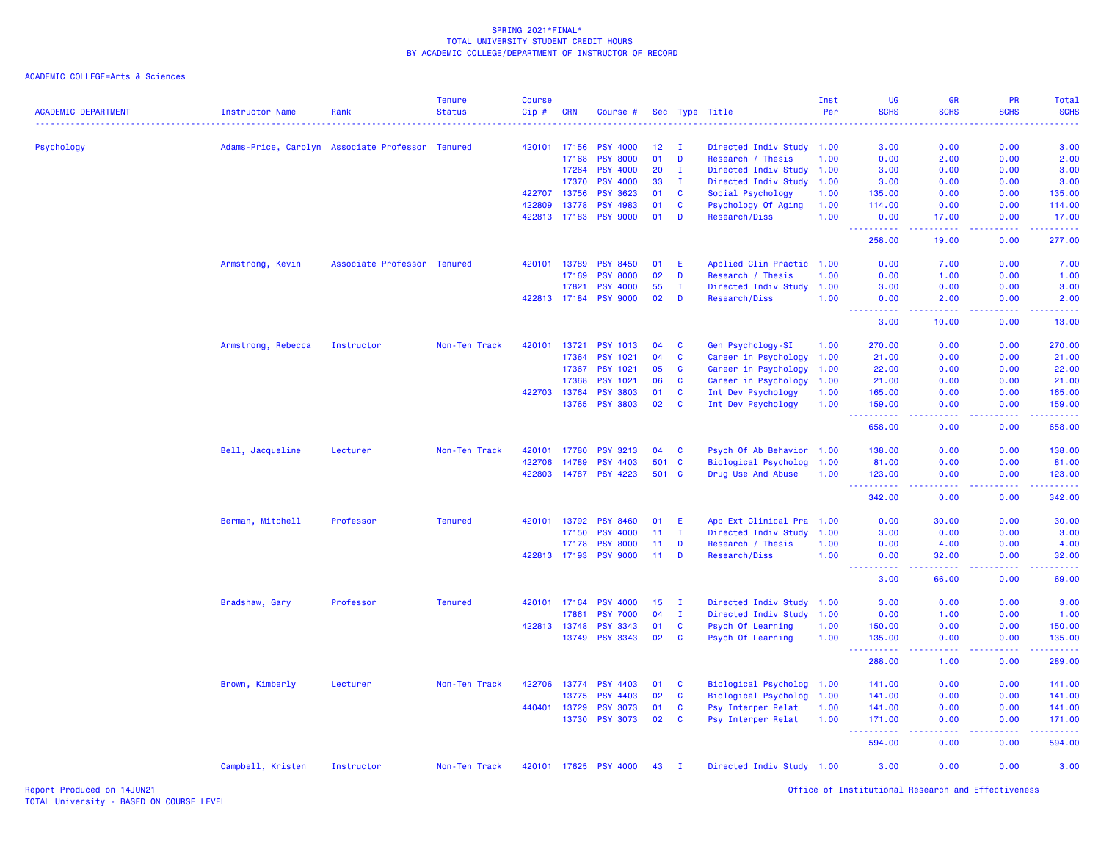| <b>ACADEMIC DEPARTMENT</b> | <b>Instructor Name</b> | Rank                                             | <b>Tenure</b><br><b>Status</b> | <b>Course</b><br>Cip# | <b>CRN</b>   | Course #        |     |              | Sec Type Title            | Inst<br>Per | UG<br><b>SCHS</b>                        | GR<br><b>SCHS</b>                                                                                                                                             | PR<br><b>SCHS</b>                                                                                                                                            | Total<br><b>SCHS</b>                                                                                                                                           |
|----------------------------|------------------------|--------------------------------------------------|--------------------------------|-----------------------|--------------|-----------------|-----|--------------|---------------------------|-------------|------------------------------------------|---------------------------------------------------------------------------------------------------------------------------------------------------------------|--------------------------------------------------------------------------------------------------------------------------------------------------------------|----------------------------------------------------------------------------------------------------------------------------------------------------------------|
| Psychology                 |                        | Adams-Price, Carolyn Associate Professor Tenured |                                | 420101                | 17156        | <b>PSY 4000</b> | 12  | $\mathbf{I}$ | Directed Indiv Study      | 1.00        | 3.00                                     | 0.00                                                                                                                                                          | 0.00                                                                                                                                                         | 3.00                                                                                                                                                           |
|                            |                        |                                                  |                                |                       | 17168        | <b>PSY 8000</b> | 01  | D            | Research / Thesis         | 1.00        | 0.00                                     | 2.00                                                                                                                                                          | 0.00                                                                                                                                                         | 2.00                                                                                                                                                           |
|                            |                        |                                                  |                                |                       | 17264        | <b>PSY 4000</b> | 20  | $\mathbf{I}$ | Directed Indiv Study 1.00 |             | 3.00                                     | 0.00                                                                                                                                                          | 0.00                                                                                                                                                         | 3.00                                                                                                                                                           |
|                            |                        |                                                  |                                |                       | 17370        | <b>PSY 4000</b> | 33  | $\mathbf{I}$ | Directed Indiv Study      | 1.00        | 3.00                                     | 0.00                                                                                                                                                          | 0.00                                                                                                                                                         | 3.00                                                                                                                                                           |
|                            |                        |                                                  |                                | 422707                | 13756        | <b>PSY 3623</b> | 01  | <b>C</b>     | Social Psychology         | 1.00        | 135.00                                   | 0.00                                                                                                                                                          | 0.00                                                                                                                                                         | 135.00                                                                                                                                                         |
|                            |                        |                                                  |                                | 422809                | 13778        | <b>PSY 4983</b> | 01  | C            | Psychology Of Aging       | 1.00        | 114.00                                   | 0.00                                                                                                                                                          | 0.00                                                                                                                                                         | 114.00                                                                                                                                                         |
|                            |                        |                                                  |                                |                       | 422813 17183 | <b>PSY 9000</b> | 01  | D            | Research/Diss             | 1.00        | 0.00<br>.<br>المتحدث                     | 17.00<br>$\frac{1}{2} \left( \frac{1}{2} \right) \left( \frac{1}{2} \right) \left( \frac{1}{2} \right) \left( \frac{1}{2} \right) \left( \frac{1}{2} \right)$ | 0.00<br>$\frac{1}{2} \left( \frac{1}{2} \right) \left( \frac{1}{2} \right) \left( \frac{1}{2} \right) \left( \frac{1}{2} \right) \left( \frac{1}{2} \right)$ | 17.00<br>المتمام والمناور                                                                                                                                      |
|                            |                        |                                                  |                                |                       |              |                 |     |              |                           |             | 258.00                                   | 19.00                                                                                                                                                         | 0.00                                                                                                                                                         | 277.00                                                                                                                                                         |
|                            | Armstrong, Kevin       | Associate Professor Tenured                      |                                | 420101                | 13789        | <b>PSY 8450</b> | 01  | E            | Applied Clin Practic 1.00 |             | 0.00                                     | 7.00                                                                                                                                                          | 0.00                                                                                                                                                         | 7.00                                                                                                                                                           |
|                            |                        |                                                  |                                |                       | 17169        | <b>PSY 8000</b> | 02  | D            | Research / Thesis         | 1.00        | 0.00                                     | 1.00                                                                                                                                                          | 0.00                                                                                                                                                         | 1.00                                                                                                                                                           |
|                            |                        |                                                  |                                |                       | 17821        | <b>PSY 4000</b> | 55  | $\mathbf{I}$ | Directed Indiv Study 1.00 |             | 3.00                                     | 0.00                                                                                                                                                          | 0.00                                                                                                                                                         | 3.00                                                                                                                                                           |
|                            |                        |                                                  |                                |                       | 422813 17184 | <b>PSY 9000</b> | 02  | D            | <b>Research/Diss</b>      | 1.00        | 0.00<br>$\sim$ $\sim$ $\sim$<br>المستملة | 2.00<br>.                                                                                                                                                     | 0.00<br>المستما                                                                                                                                              | 2.00<br>$\frac{1}{2} \left( \frac{1}{2} \right) \left( \frac{1}{2} \right) \left( \frac{1}{2} \right) \left( \frac{1}{2} \right)$                              |
|                            |                        |                                                  |                                |                       |              |                 |     |              |                           |             | 3.00                                     | 10.00                                                                                                                                                         | 0.00                                                                                                                                                         | 13.00                                                                                                                                                          |
|                            | Armstrong, Rebecca     | Instructor                                       | Non-Ten Track                  | 420101                | 13721        | <b>PSY 1013</b> | 04  | <b>C</b>     | Gen Psychology-SI         | 1.00        | 270.00                                   | 0.00                                                                                                                                                          | 0.00                                                                                                                                                         | 270.00                                                                                                                                                         |
|                            |                        |                                                  |                                |                       | 17364        | <b>PSY 1021</b> | 04  | C            | Career in Psychology      | 1.00        | 21.00                                    | 0.00                                                                                                                                                          | 0.00                                                                                                                                                         | 21.00                                                                                                                                                          |
|                            |                        |                                                  |                                |                       | 17367        | <b>PSY 1021</b> | 05  | C            | Career in Psychology      | 1.00        | 22.00                                    | 0.00                                                                                                                                                          | 0.00                                                                                                                                                         | 22.00                                                                                                                                                          |
|                            |                        |                                                  |                                |                       | 17368        | <b>PSY 1021</b> | 06  | C            | Career in Psychology      | 1.00        | 21.00                                    | 0.00                                                                                                                                                          | 0.00                                                                                                                                                         | 21.00                                                                                                                                                          |
|                            |                        |                                                  |                                | 422703 13764          |              | <b>PSY 3803</b> | 01  | C            | Int Dev Psychology        | 1.00        | 165.00                                   | 0.00                                                                                                                                                          | 0.00                                                                                                                                                         | 165.00                                                                                                                                                         |
|                            |                        |                                                  |                                |                       | 13765        | <b>PSY 3803</b> | 02  | <b>C</b>     | Int Dev Psychology        | 1.00        | 159.00                                   | 0.00                                                                                                                                                          | 0.00                                                                                                                                                         | 159.00                                                                                                                                                         |
|                            |                        |                                                  |                                |                       |              |                 |     |              |                           |             | 658.00                                   | .<br>0.00                                                                                                                                                     | 0.00                                                                                                                                                         | .<br>658.00                                                                                                                                                    |
|                            | Bell, Jacqueline       | Lecturer                                         | Non-Ten Track                  | 420101                | 17780        | <b>PSY 3213</b> | 04  | C            | Psych Of Ab Behavior 1.00 |             | 138.00                                   | 0.00                                                                                                                                                          | 0.00                                                                                                                                                         | 138.00                                                                                                                                                         |
|                            |                        |                                                  |                                | 422706                | 14789        | <b>PSY 4403</b> | 501 | <b>C</b>     | Biological Psycholog 1.00 |             | 81.00                                    | 0.00                                                                                                                                                          | 0.00                                                                                                                                                         | 81.00                                                                                                                                                          |
|                            |                        |                                                  |                                | 422803                |              | 14787 PSY 4223  |     | 501 C        | Drug Use And Abuse        | 1.00        | 123.00<br>.                              | 0.00<br>$\omega$ is $\omega$ .                                                                                                                                | 0.00<br>.                                                                                                                                                    | 123.00                                                                                                                                                         |
|                            |                        |                                                  |                                |                       |              |                 |     |              |                           |             | 342.00                                   | 0.00                                                                                                                                                          | 0.00                                                                                                                                                         | 342,00                                                                                                                                                         |
|                            | Berman, Mitchell       | Professor                                        | <b>Tenured</b>                 | 420101                | 13792        | <b>PSY 8460</b> | 01  | E            | App Ext Clinical Pra 1.00 |             | 0.00                                     | 30.00                                                                                                                                                         | 0.00                                                                                                                                                         | 30.00                                                                                                                                                          |
|                            |                        |                                                  |                                |                       | 17150        | <b>PSY 4000</b> | 11  | I.           | Directed Indiv Study      | 1.00        | 3.00                                     | 0.00                                                                                                                                                          | 0.00                                                                                                                                                         | 3.00                                                                                                                                                           |
|                            |                        |                                                  |                                |                       | 17178        | <b>PSY 8000</b> | 11  | D            | Research / Thesis         | 1.00        | 0.00                                     | 4.00                                                                                                                                                          | 0.00                                                                                                                                                         | 4.00                                                                                                                                                           |
|                            |                        |                                                  |                                |                       | 422813 17193 | <b>PSY 9000</b> | 11  | D            | Research/Diss             | 1.00        | 0.00<br>.<br>$\sim$ $\sim$ $\sim$        | 32.00<br>د د د د                                                                                                                                              | 0.00                                                                                                                                                         | 32.00<br>$\sim$ $\sim$ $\sim$ $\sim$                                                                                                                           |
|                            |                        |                                                  |                                |                       |              |                 |     |              |                           |             | 3.00                                     | 66.00                                                                                                                                                         | 0.00                                                                                                                                                         | 69.00                                                                                                                                                          |
|                            | Bradshaw, Gary         | Professor                                        | <b>Tenured</b>                 |                       | 420101 17164 | <b>PSY 4000</b> | 15  | $\mathbf{I}$ | Directed Indiv Study 1.00 |             | 3.00                                     | 0.00                                                                                                                                                          | 0.00                                                                                                                                                         | 3.00                                                                                                                                                           |
|                            |                        |                                                  |                                |                       | 17861        | <b>PSY 7000</b> | 04  | $\mathbf{I}$ | Directed Indiv Study      | 1.00        | 0.00                                     | 1.00                                                                                                                                                          | 0.00                                                                                                                                                         | 1.00                                                                                                                                                           |
|                            |                        |                                                  |                                | 422813                | 13748        | <b>PSY 3343</b> | 01  | C            | Psych Of Learning         | 1.00        | 150.00                                   | 0.00                                                                                                                                                          | 0.00                                                                                                                                                         | 150.00                                                                                                                                                         |
|                            |                        |                                                  |                                |                       | 13749        | <b>PSY 3343</b> | 02  | <b>C</b>     | Psych Of Learning         | 1.00        | 135.00<br>.                              | 0.00<br>ولايات                                                                                                                                                | 0.00<br>.                                                                                                                                                    | 135.00<br>$\frac{1}{2} \left( \frac{1}{2} \right) \left( \frac{1}{2} \right) \left( \frac{1}{2} \right) \left( \frac{1}{2} \right) \left( \frac{1}{2} \right)$ |
|                            |                        |                                                  |                                |                       |              |                 |     |              |                           |             | 288.00                                   | 1.00                                                                                                                                                          | 0.00                                                                                                                                                         | 289.00                                                                                                                                                         |
|                            | Brown, Kimberly        | Lecturer                                         | Non-Ten Track                  |                       | 422706 13774 | <b>PSY 4403</b> | 01  | <b>C</b>     | Biological Psycholog 1.00 |             | 141.00                                   | 0.00                                                                                                                                                          | 0.00                                                                                                                                                         | 141.00                                                                                                                                                         |
|                            |                        |                                                  |                                |                       | 13775        | <b>PSY 4403</b> | 02  | <b>C</b>     | Biological Psycholog      | 1.00        | 141.00                                   | 0.00                                                                                                                                                          | 0.00                                                                                                                                                         | 141.00                                                                                                                                                         |
|                            |                        |                                                  |                                | 440401                | 13729        | <b>PSY 3073</b> | 01  | C            | Psy Interper Relat        | 1.00        | 141.00                                   | 0.00                                                                                                                                                          | 0.00                                                                                                                                                         | 141.00                                                                                                                                                         |
|                            |                        |                                                  |                                |                       | 13730        | <b>PSY 3073</b> | 02  | $\mathbf{C}$ | Psy Interper Relat        | 1.00        | 171.00                                   | 0.00                                                                                                                                                          | 0.00                                                                                                                                                         | 171.00                                                                                                                                                         |
|                            |                        |                                                  |                                |                       |              |                 |     |              |                           |             | $  -$<br>.<br>594.00                     | 0.00                                                                                                                                                          | 0.00                                                                                                                                                         | $\frac{1}{2} \left( \frac{1}{2} \right) \left( \frac{1}{2} \right) \left( \frac{1}{2} \right) \left( \frac{1}{2} \right) \left( \frac{1}{2} \right)$<br>594.00 |
|                            | Campbell, Kristen      | Instructor                                       | Non-Ten Track                  |                       | 420101 17625 | <b>PSY 4000</b> | 43  | $\mathbf{I}$ | Directed Indiv Study 1.00 |             | 3.00                                     | 0.00                                                                                                                                                          | 0.00                                                                                                                                                         | 3.00                                                                                                                                                           |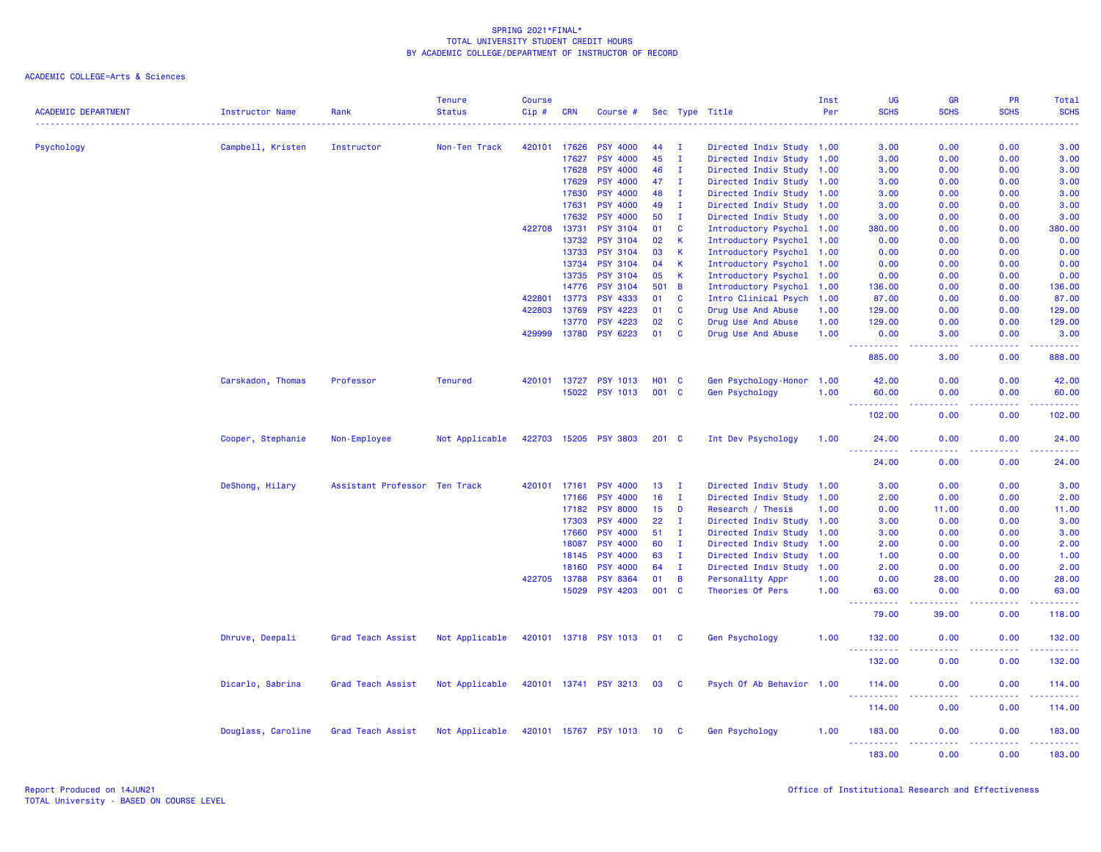| <b>ACADEMIC DEPARTMENT</b> | Instructor Name    | Rank                          | <b>Tenure</b><br><b>Status</b> | <b>Course</b><br>Cip# | <b>CRN</b>   | Course #              |                 |              | Sec Type Title            | Inst<br>Per | <b>UG</b><br><b>SCHS</b>                                                                                                                                      | GR<br><b>SCHS</b> | <b>PR</b><br><b>SCHS</b> | Total<br><b>SCHS</b>                             |
|----------------------------|--------------------|-------------------------------|--------------------------------|-----------------------|--------------|-----------------------|-----------------|--------------|---------------------------|-------------|---------------------------------------------------------------------------------------------------------------------------------------------------------------|-------------------|--------------------------|--------------------------------------------------|
| Psychology                 | Campbell, Kristen  | Instructor                    | Non-Ten Track                  | 420101                | 17626        | <b>PSY 4000</b>       | 44              | <b>I</b>     | Directed Indiv Study      | 1.00        | 3.00                                                                                                                                                          | 0.00              | 0.00                     | 3.00                                             |
|                            |                    |                               |                                |                       | 17627        | <b>PSY 4000</b>       | 45              | $\mathbf I$  | Directed Indiv Study 1.00 |             | 3.00                                                                                                                                                          | 0.00              | 0.00                     | 3.00                                             |
|                            |                    |                               |                                |                       | 17628        | <b>PSY 4000</b>       | 46              | $\mathbf{I}$ | Directed Indiv Study 1.00 |             | 3.00                                                                                                                                                          | 0.00              | 0.00                     | 3.00                                             |
|                            |                    |                               |                                |                       | 17629        | <b>PSY 4000</b>       | 47              | I.           | Directed Indiv Study      | 1.00        | 3.00                                                                                                                                                          | 0.00              | 0.00                     | 3.00                                             |
|                            |                    |                               |                                |                       | 17630        | <b>PSY 4000</b>       | 48              | $\mathbf I$  | Directed Indiv Study 1.00 |             | 3.00                                                                                                                                                          | 0.00              | 0.00                     | 3.00                                             |
|                            |                    |                               |                                |                       | 17631        | <b>PSY 4000</b>       | 49              | $\mathbf{I}$ | Directed Indiv Study 1.00 |             | 3.00                                                                                                                                                          | 0.00              | 0.00                     | 3.00                                             |
|                            |                    |                               |                                |                       | 17632        | <b>PSY 4000</b>       | 50              | $\mathbf{I}$ | Directed Indiv Study 1.00 |             | 3.00                                                                                                                                                          | 0.00              | 0.00                     | 3.00                                             |
|                            |                    |                               |                                | 422708                | 13731        | <b>PSY 3104</b>       | 01              | C            | Introductory Psychol      | 1.00        | 380.00                                                                                                                                                        | 0.00              | 0.00                     | 380.00                                           |
|                            |                    |                               |                                |                       | 13732        | <b>PSY 3104</b>       | 02              | K            | Introductory Psychol      | 1.00        | 0.00                                                                                                                                                          | 0.00              | 0.00                     | 0.00                                             |
|                            |                    |                               |                                |                       | 13733        | <b>PSY 3104</b>       | 03              | К            | Introductory Psychol      | 1.00        | 0.00                                                                                                                                                          | 0.00              | 0.00                     | 0.00                                             |
|                            |                    |                               |                                |                       | 13734        | <b>PSY 3104</b>       | 04              | K            | Introductory Psychol      | 1.00        | 0.00                                                                                                                                                          | 0.00              | 0.00                     | 0.00                                             |
|                            |                    |                               |                                |                       | 13735        | <b>PSY 3104</b>       | 05              | K            | Introductory Psychol      | 1.00        | 0.00                                                                                                                                                          | 0.00              | 0.00                     | 0.00                                             |
|                            |                    |                               |                                |                       | 14776        | <b>PSY 3104</b>       | 501 B           |              | Introductory Psychol      | 1.00        | 136.00                                                                                                                                                        | 0.00              | 0.00                     | 136.00                                           |
|                            |                    |                               |                                | 422801                | 13773        | <b>PSY 4333</b>       | 01              | <b>C</b>     | Intro Clinical Psych      | 1.00        | 87.00                                                                                                                                                         | 0.00              | 0.00                     | 87.00                                            |
|                            |                    |                               |                                | 422803                | 13769        | <b>PSY 4223</b>       | 01              | C            | Drug Use And Abuse        | 1.00        | 129.00                                                                                                                                                        | 0.00              | 0.00                     | 129.00                                           |
|                            |                    |                               |                                |                       | 13770        | <b>PSY 4223</b>       | 02              | C            | Drug Use And Abuse        | 1.00        | 129.00                                                                                                                                                        | 0.00              | 0.00                     | 129.00                                           |
|                            |                    |                               |                                |                       | 429999 13780 | <b>PSY 6223</b>       | 01              | <b>C</b>     | Drug Use And Abuse        | 1.00        | 0.00<br><u> - - - - - - - - - -</u>                                                                                                                           | 3.00              | 0.00                     | 3.00                                             |
|                            |                    |                               |                                |                       |              |                       |                 |              |                           |             | 885.00                                                                                                                                                        | 3.00              | 0.00                     | 888.00                                           |
|                            | Carskadon, Thomas  | Professor                     | <b>Tenured</b>                 | 420101                | 13727        | <b>PSY 1013</b>       | <b>HO1 C</b>    |              | Gen Psychology-Honor      | 1.00        | 42.00                                                                                                                                                         | 0.00              | 0.00                     | 42.00                                            |
|                            |                    |                               |                                |                       |              | 15022 PSY 1013        | 001 C           |              | <b>Gen Psychology</b>     | 1.00        | 60.00                                                                                                                                                         | 0.00              | 0.00                     | 60.00                                            |
|                            |                    |                               |                                |                       |              |                       |                 |              |                           |             | .<br>$\frac{1}{2} \left( \frac{1}{2} \right) \left( \frac{1}{2} \right) \left( \frac{1}{2} \right)$<br>102.00                                                 | .<br>0.00         | -----<br>0.00            | <b><i><u><u> - - - - -</u></u></i></b><br>102.00 |
|                            | Cooper, Stephanie  | Non-Employee                  | Not Applicable                 |                       |              | 422703 15205 PSY 3803 | 201 C           |              | Int Dev Psychology        | 1.00        | 24.00                                                                                                                                                         | 0.00              | 0.00                     | 24.00                                            |
|                            |                    |                               |                                |                       |              |                       |                 |              |                           |             | .<br>24.00                                                                                                                                                    | .<br>0.00         | <u>.</u><br>0.00         | <u>.</u><br>24.00                                |
|                            | DeShong, Hilary    | Assistant Professor Ten Track |                                |                       | 420101 17161 | <b>PSY 4000</b>       | 13              | л.           | Directed Indiv Study      | 1.00        | 3.00                                                                                                                                                          | 0.00              | 0.00                     | 3.00                                             |
|                            |                    |                               |                                |                       | 17166        | <b>PSY 4000</b>       | 16              | $\mathbf{I}$ | Directed Indiv Study      | 1.00        | 2.00                                                                                                                                                          | 0.00              | 0.00                     | 2.00                                             |
|                            |                    |                               |                                |                       | 17182        | <b>PSY 8000</b>       | 15 <sub>1</sub> | D            | Research / Thesis         | 1.00        | 0.00                                                                                                                                                          | 11.00             | 0.00                     | 11.00                                            |
|                            |                    |                               |                                |                       | 17303        | <b>PSY 4000</b>       | 22              | $\mathbf I$  | Directed Indiv Study      | 1.00        | 3.00                                                                                                                                                          | 0.00              | 0.00                     | 3.00                                             |
|                            |                    |                               |                                |                       | 17660        | <b>PSY 4000</b>       | 51              | п            | Directed Indiv Study      | 1.00        | 3.00                                                                                                                                                          | 0.00              | 0.00                     | 3.00                                             |
|                            |                    |                               |                                |                       | 18087        | <b>PSY 4000</b>       | 60              | $\mathbf{I}$ | Directed Indiv Study      | 1.00        | 2.00                                                                                                                                                          | 0.00              | 0.00                     | 2.00                                             |
|                            |                    |                               |                                |                       | 18145        | <b>PSY 4000</b>       | 63              | $\mathbf{I}$ | Directed Indiv Study      | 1.00        | 1.00                                                                                                                                                          | 0.00              | 0.00                     | 1.00                                             |
|                            |                    |                               |                                |                       | 18160        | <b>PSY 4000</b>       | 64              | $\mathbf I$  | Directed Indiv Study      | 1.00        | 2.00                                                                                                                                                          | 0.00              | 0.00                     | 2.00                                             |
|                            |                    |                               |                                |                       | 422705 13788 | <b>PSY 8364</b>       | 01              | B            | Personality Appr          | 1.00        | 0.00                                                                                                                                                          | 28.00             | 0.00                     | 28.00                                            |
|                            |                    |                               |                                |                       | 15029        | <b>PSY 4203</b>       | 001 C           |              | Theories Of Pers          | 1.00        | 63.00                                                                                                                                                         | 0.00<br>.         | 0.00                     | 63.00                                            |
|                            |                    |                               |                                |                       |              |                       |                 |              |                           |             | $\frac{1}{2} \left( \frac{1}{2} \right) \left( \frac{1}{2} \right) \left( \frac{1}{2} \right) \left( \frac{1}{2} \right) \left( \frac{1}{2} \right)$<br>79.00 | 39.00             | .<br>0.00                | .<br>118.00                                      |
|                            | Dhruve, Deepali    | Grad Teach Assist             | Not Applicable                 |                       |              | 420101 13718 PSY 1013 | 01 C            |              | <b>Gen Psychology</b>     | 1.00        | 132.00                                                                                                                                                        | 0.00              | 0.00                     | 132.00                                           |
|                            |                    |                               |                                |                       |              |                       |                 |              |                           |             | 132.00                                                                                                                                                        | 0.00              | 0.00                     | 132.00                                           |
|                            | Dicarlo, Sabrina   | Grad Teach Assist             | Not Applicable                 |                       |              | 420101 13741 PSY 3213 | 03              | <b>C</b>     | Psych Of Ab Behavior 1.00 |             | 114.00<br><b></b>                                                                                                                                             | 0.00              | 0.00                     | 114.00                                           |
|                            |                    |                               |                                |                       |              |                       |                 |              |                           |             | 114.00                                                                                                                                                        | 0.00              | 0.00                     | 114.00                                           |
|                            | Douglass, Caroline | Grad Teach Assist             | Not Applicable                 |                       |              | 420101 15767 PSY 1013 | 10 <sub>c</sub> |              | <b>Gen Psychology</b>     | 1.00        | 183.00<br><u>.</u>                                                                                                                                            | 0.00<br>.         | 0.00<br>$- - - - -$      | 183.00                                           |
|                            |                    |                               |                                |                       |              |                       |                 |              |                           |             | 183.00                                                                                                                                                        | 0.00              | 0.00                     | 183.00                                           |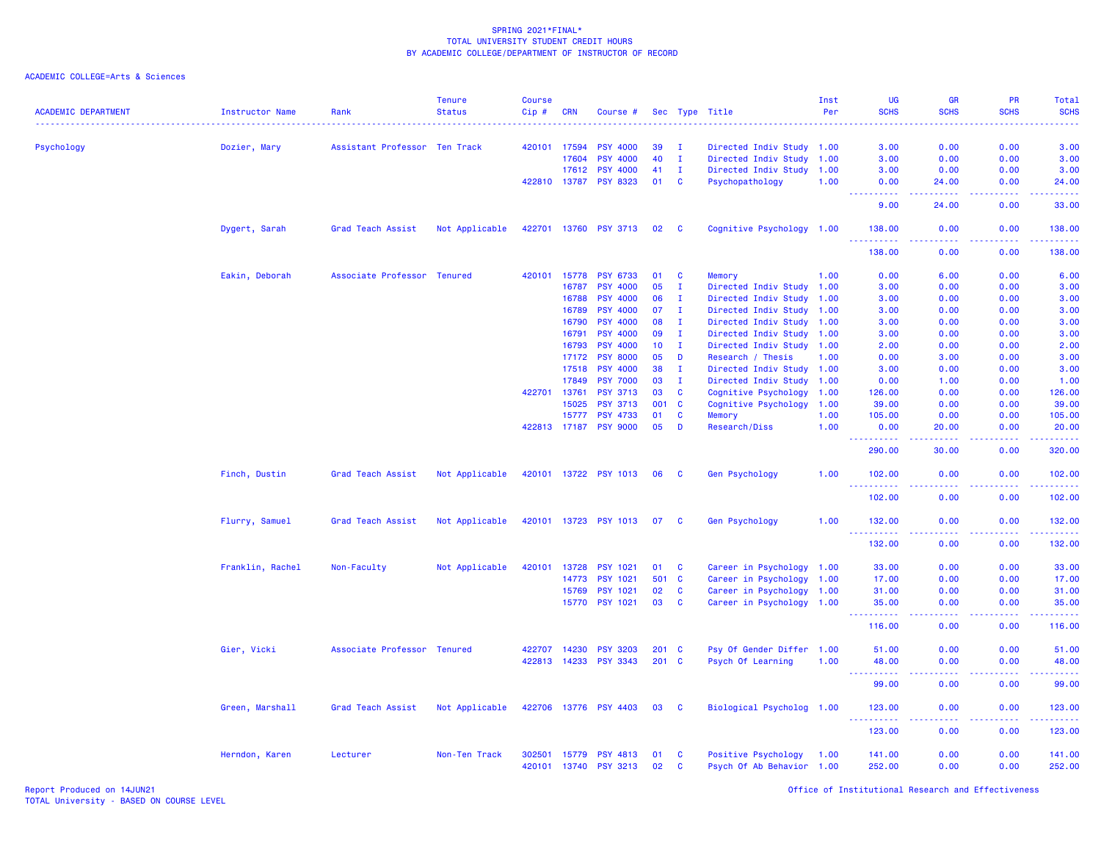| <b>ACADEMIC DEPARTMENT</b> | <b>Instructor Name</b> | Rank                          | Tenure<br><b>Status</b> | <b>Course</b><br>Cip# | <b>CRN</b> | Course #              |       |              | Sec Type Title            | Inst<br>Per | <b>UG</b><br><b>SCHS</b>                                                                                                                               | GR<br><b>SCHS</b>                                                                                                                 | PR<br><b>SCHS</b>                                                                              | <b>Total</b><br><b>SCHS</b>                                                                                                        |
|----------------------------|------------------------|-------------------------------|-------------------------|-----------------------|------------|-----------------------|-------|--------------|---------------------------|-------------|--------------------------------------------------------------------------------------------------------------------------------------------------------|-----------------------------------------------------------------------------------------------------------------------------------|------------------------------------------------------------------------------------------------|------------------------------------------------------------------------------------------------------------------------------------|
| Psychology                 | Dozier, Mary           | Assistant Professor Ten Track |                         | 420101                | 17594      | <b>PSY 4000</b>       | 39    | $\mathbf I$  | Directed Indiv Study 1.00 |             | 3.00                                                                                                                                                   | 0.00                                                                                                                              | 0.00                                                                                           | 3.00                                                                                                                               |
|                            |                        |                               |                         |                       | 17604      | <b>PSY 4000</b>       | 40    | $\mathbf{I}$ | Directed Indiv Study 1.00 |             | 3.00                                                                                                                                                   | 0.00                                                                                                                              | 0.00                                                                                           | 3.00                                                                                                                               |
|                            |                        |                               |                         |                       | 17612      | <b>PSY 4000</b>       | 41    | $\mathbf{I}$ | Directed Indiv Study 1.00 |             | 3.00                                                                                                                                                   | 0.00                                                                                                                              | 0.00                                                                                           | 3.00                                                                                                                               |
|                            |                        |                               |                         | 422810 13787          |            | <b>PSY 8323</b>       | 01    | $\mathbf{C}$ | Psychopathology           | 1.00        | 0.00<br>د د د د                                                                                                                                        | 24.00<br>.                                                                                                                        | 0.00<br>$\sim$ $\sim$ $\sim$ $\sim$                                                            | 24.00<br>$\frac{1}{2} \left( \frac{1}{2} \right) \left( \frac{1}{2} \right) \left( \frac{1}{2} \right) \left( \frac{1}{2} \right)$ |
|                            |                        |                               |                         |                       |            |                       |       |              |                           |             | 9.00                                                                                                                                                   | 24.00                                                                                                                             | 0.00                                                                                           | 33.00                                                                                                                              |
|                            | Dygert, Sarah          | Grad Teach Assist             | Not Applicable          | 422701                | 13760      | <b>PSY 3713</b>       | 02    | <b>C</b>     | Cognitive Psychology 1.00 |             | 138.00                                                                                                                                                 | 0.00                                                                                                                              | 0.00                                                                                           | 138.00                                                                                                                             |
|                            |                        |                               |                         |                       |            |                       |       |              |                           |             | 138.00                                                                                                                                                 | 0.00                                                                                                                              | 0.00                                                                                           | 138.00                                                                                                                             |
|                            | Eakin, Deborah         | Associate Professor Tenured   |                         | 420101                | 15778      | <b>PSY 6733</b>       | 01    | C            | Memory                    | 1.00        | 0.00                                                                                                                                                   | 6.00                                                                                                                              | 0.00                                                                                           | 6.00                                                                                                                               |
|                            |                        |                               |                         |                       | 16787      | <b>PSY 4000</b>       | 05    | $\mathbf I$  | Directed Indiv Study 1.00 |             | 3.00                                                                                                                                                   | 0.00                                                                                                                              | 0.00                                                                                           | 3.00                                                                                                                               |
|                            |                        |                               |                         |                       | 16788      | <b>PSY 4000</b>       | 06    | $\mathbf I$  | Directed Indiv Study 1.00 |             | 3.00                                                                                                                                                   | 0.00                                                                                                                              | 0.00                                                                                           | 3.00                                                                                                                               |
|                            |                        |                               |                         |                       | 16789      | <b>PSY 4000</b>       | 07    | $\mathbf I$  | Directed Indiv Study      | 1.00        | 3.00                                                                                                                                                   | 0.00                                                                                                                              | 0.00                                                                                           | 3.00                                                                                                                               |
|                            |                        |                               |                         |                       | 16790      | <b>PSY 4000</b>       | 08    | $\mathbf I$  | Directed Indiv Study 1.00 |             | 3.00                                                                                                                                                   | 0.00                                                                                                                              | 0.00                                                                                           | 3.00                                                                                                                               |
|                            |                        |                               |                         |                       | 16791      | <b>PSY 4000</b>       | 09    | $\mathbf{I}$ | Directed Indiv Study 1.00 |             | 3.00                                                                                                                                                   | 0.00                                                                                                                              | 0.00                                                                                           | 3.00                                                                                                                               |
|                            |                        |                               |                         |                       | 16793      | <b>PSY 4000</b>       | 10    | $\mathbf{I}$ | Directed Indiv Study 1.00 |             | 2.00                                                                                                                                                   | 0.00                                                                                                                              | 0.00                                                                                           | 2.00                                                                                                                               |
|                            |                        |                               |                         |                       | 17172      | <b>PSY 8000</b>       | 05    | D            | Research / Thesis         | 1.00        | 0.00                                                                                                                                                   | 3.00                                                                                                                              | 0.00                                                                                           | 3.00                                                                                                                               |
|                            |                        |                               |                         |                       | 17518      | PSY 4000              | 38    | T            | Directed Indiv Study 1.00 |             | 3.00                                                                                                                                                   | 0.00                                                                                                                              | 0.00                                                                                           | 3.00                                                                                                                               |
|                            |                        |                               |                         |                       | 17849      | <b>PSY 7000</b>       | 03    | $\mathbf I$  | Directed Indiv Study 1.00 |             | 0.00                                                                                                                                                   | 1.00                                                                                                                              | 0.00                                                                                           | 1.00                                                                                                                               |
|                            |                        |                               |                         | 422701                | 13761      | <b>PSY 3713</b>       | 03    | C            | Cognitive Psychology      | 1.00        | 126.00                                                                                                                                                 | 0.00                                                                                                                              | 0.00                                                                                           | 126.00                                                                                                                             |
|                            |                        |                               |                         |                       | 15025      | <b>PSY 3713</b>       | 001   | C            | Cognitive Psychology      | 1.00        | 39.00                                                                                                                                                  | 0.00                                                                                                                              | 0.00                                                                                           | 39.00                                                                                                                              |
|                            |                        |                               |                         |                       | 15777      | <b>PSY 4733</b>       | 01    | $\mathbf{C}$ | Memory                    | 1.00        | 105.00                                                                                                                                                 | 0.00                                                                                                                              | 0.00                                                                                           | 105.00                                                                                                                             |
|                            |                        |                               |                         | 422813 17187          |            | <b>PSY 9000</b>       | 05    | D            | Research/Diss             | 1.00        | 0.00<br>.                                                                                                                                              | 20.00<br>.                                                                                                                        | 0.00<br>.                                                                                      | 20.00<br>------                                                                                                                    |
|                            |                        |                               |                         |                       |            |                       |       |              |                           |             | 290.00                                                                                                                                                 | 30.00                                                                                                                             | 0.00                                                                                           | 320.00                                                                                                                             |
|                            | Finch, Dustin          | Grad Teach Assist             | Not Applicable          |                       |            | 420101 13722 PSY 1013 | 06    | - C          | <b>Gen Psychology</b>     | 1.00        | 102.00<br>$- - - - - - -$                                                                                                                              | 0.00                                                                                                                              | 0.00<br>$\sim$ $\sim$ $\sim$                                                                   | 102.00<br>22222)                                                                                                                   |
|                            |                        |                               |                         |                       |            |                       |       |              |                           |             | 102.00                                                                                                                                                 | 0.00                                                                                                                              | 0.00                                                                                           | 102.00                                                                                                                             |
|                            | Flurry, Samuel         | Grad Teach Assist             | Not Applicable          |                       |            | 420101 13723 PSY 1013 | 07    | - C          | Gen Psychology            | 1.00        | 132.00                                                                                                                                                 | 0.00                                                                                                                              | 0.00<br>د د د د                                                                                | 132.00<br>والمستوات المنابي                                                                                                        |
|                            |                        |                               |                         |                       |            |                       |       |              |                           |             | 132.00                                                                                                                                                 | 0.00                                                                                                                              | 0.00                                                                                           | 132.00                                                                                                                             |
|                            | Franklin, Rachel       | Non-Faculty                   | Not Applicable          | 420101                | 13728      | <b>PSY 1021</b>       | 01    | C            | Career in Psychology 1.00 |             | 33.00                                                                                                                                                  | 0.00                                                                                                                              | 0.00                                                                                           | 33.00                                                                                                                              |
|                            |                        |                               |                         |                       | 14773      | PSY 1021              | 501   | $\mathbf{C}$ | Career in Psychology 1.00 |             | 17.00                                                                                                                                                  | 0.00                                                                                                                              | 0.00                                                                                           | 17.00                                                                                                                              |
|                            |                        |                               |                         |                       | 15769      | <b>PSY 1021</b>       | 02    | $\mathbf c$  | Career in Psychology 1.00 |             | 31.00                                                                                                                                                  | 0.00                                                                                                                              | 0.00                                                                                           | 31.00                                                                                                                              |
|                            |                        |                               |                         |                       | 15770      | <b>PSY 1021</b>       | 03    | <b>C</b>     | Career in Psychology 1.00 |             | 35.00<br>$\begin{array}{cccccccccc} \bullet & \bullet & \bullet & \bullet & \bullet & \bullet & \bullet & \bullet \end{array}$<br>$\sim$ $\sim$ $\sim$ | 0.00<br>$\frac{1}{2} \left( \frac{1}{2} \right) \left( \frac{1}{2} \right) \left( \frac{1}{2} \right) \left( \frac{1}{2} \right)$ | 0.00<br>.                                                                                      | 35.00<br>.                                                                                                                         |
|                            |                        |                               |                         |                       |            |                       |       |              |                           |             | 116.00                                                                                                                                                 | 0.00                                                                                                                              | 0.00                                                                                           | 116.00                                                                                                                             |
|                            | Gier, Vicki            | Associate Professor Tenured   |                         | 422707                | 14230      | <b>PSY 3203</b>       | 201 C |              | Psy Of Gender Differ 1.00 |             | 51.00                                                                                                                                                  | 0.00                                                                                                                              | 0.00                                                                                           | 51.00                                                                                                                              |
|                            |                        |                               |                         | 422813 14233          |            | <b>PSY 3343</b>       | 201 C |              | Psych Of Learning         | 1.00        | 48.00                                                                                                                                                  | 0.00                                                                                                                              | 0.00                                                                                           | 48.00                                                                                                                              |
|                            |                        |                               |                         |                       |            |                       |       |              |                           |             |                                                                                                                                                        | .                                                                                                                                 | $\frac{1}{2} \left( \frac{1}{2} \right) \left( \frac{1}{2} \right) \left( \frac{1}{2} \right)$ | والمتمام المت                                                                                                                      |
|                            |                        |                               |                         |                       |            |                       |       |              |                           |             | 99.00                                                                                                                                                  | 0.00                                                                                                                              | 0.00                                                                                           | 99.00                                                                                                                              |
|                            | Green, Marshall        | Grad Teach Assist             | Not Applicable          |                       |            | 422706 13776 PSY 4403 | 03    | <b>C</b>     | Biological Psycholog 1.00 |             | 123.00<br><b><i><u><u> - - - - -</u></u></i></b>                                                                                                       | 0.00<br>$\sim$ $\sim$ $\sim$ $\sim$                                                                                               | 0.00<br>-----                                                                                  | 123.00                                                                                                                             |
|                            |                        |                               |                         |                       |            |                       |       |              |                           |             | 123.00                                                                                                                                                 | 0.00                                                                                                                              | 0.00                                                                                           | 123.00                                                                                                                             |
|                            | Herndon, Karen         | Lecturer                      | Non-Ten Track           | 302501                | 15779      | <b>PSY 4813</b>       | 01    | C            | Positive Psychology       | 1.00        | 141.00                                                                                                                                                 | 0.00                                                                                                                              | 0.00                                                                                           | 141.00                                                                                                                             |
|                            |                        |                               |                         | 420101 13740          |            | <b>PSY 3213</b>       | 02    | C            | Psych Of Ab Behavior 1.00 |             | 252.00                                                                                                                                                 | 0.00                                                                                                                              | 0.00                                                                                           | 252.00                                                                                                                             |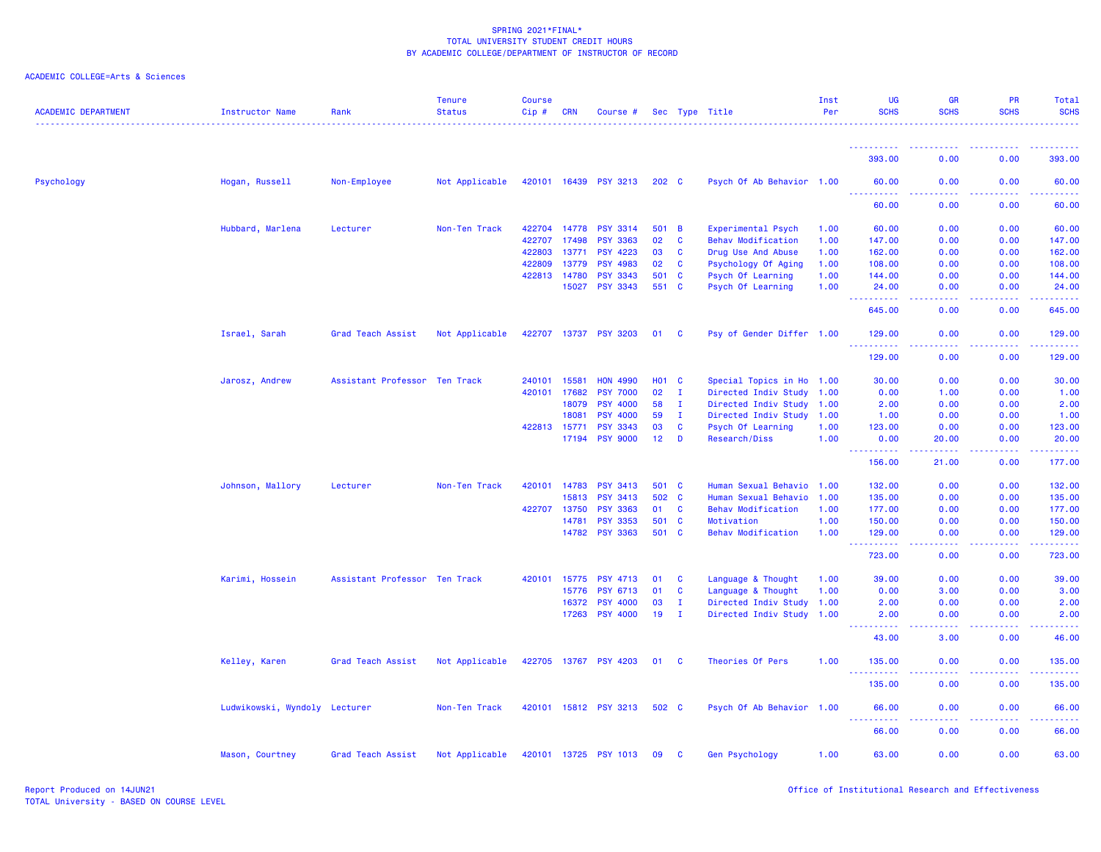| <b>ACADEMIC DEPARTMENT</b> | Instructor Name               | Rank                          | <b>Tenure</b><br><b>Status</b> | <b>Course</b><br>Cip# | <b>CRN</b>   | Course #              |                 |              | Sec Type Title            | Inst<br>Per | <b>UG</b><br><b>SCHS</b>                                                                                                                                      | GR<br><b>SCHS</b>                                                                                      | PR<br><b>SCHS</b> | Total<br><b>SCHS</b>                                                                                                            |
|----------------------------|-------------------------------|-------------------------------|--------------------------------|-----------------------|--------------|-----------------------|-----------------|--------------|---------------------------|-------------|---------------------------------------------------------------------------------------------------------------------------------------------------------------|--------------------------------------------------------------------------------------------------------|-------------------|---------------------------------------------------------------------------------------------------------------------------------|
|                            |                               |                               |                                |                       |              |                       |                 |              |                           |             |                                                                                                                                                               |                                                                                                        |                   |                                                                                                                                 |
|                            |                               |                               |                                |                       |              |                       |                 |              |                           |             | 393.00                                                                                                                                                        | 0.00                                                                                                   | 0.00              | 393.00                                                                                                                          |
| Psychology                 | Hogan, Russell                | Non-Employee                  | Not Applicable                 |                       |              | 420101 16439 PSY 3213 | 202 C           |              | Psych Of Ab Behavior 1.00 |             | 60.00                                                                                                                                                         | 0.00                                                                                                   | 0.00              | 60.00                                                                                                                           |
|                            |                               |                               |                                |                       |              |                       |                 |              |                           |             | 60.00                                                                                                                                                         | 0.00                                                                                                   | 0.00              | 60.00                                                                                                                           |
|                            | Hubbard, Marlena              | Lecturer                      | Non-Ten Track                  |                       | 422704 14778 | <b>PSY 3314</b>       | 501 B           |              | Experimental Psych        | 1.00        | 60.00                                                                                                                                                         | 0.00                                                                                                   | 0.00              | 60.00                                                                                                                           |
|                            |                               |                               |                                | 422707                | 17498        | <b>PSY 3363</b>       | 02              | C            | <b>Behav Modification</b> | 1.00        | 147.00                                                                                                                                                        | 0.00                                                                                                   | 0.00              | 147.00                                                                                                                          |
|                            |                               |                               |                                | 422803                | 13771        | <b>PSY 4223</b>       | 03              | <b>C</b>     | Drug Use And Abuse        | 1.00        | 162.00                                                                                                                                                        | 0.00                                                                                                   | 0.00              | 162.00                                                                                                                          |
|                            |                               |                               |                                | 422809                | 13779        | <b>PSY 4983</b>       | 02              | $\mathbf{C}$ | Psychology Of Aging       | 1.00        | 108.00                                                                                                                                                        | 0.00                                                                                                   | 0.00              | 108.00                                                                                                                          |
|                            |                               |                               |                                | 422813 14780          |              | <b>PSY 3343</b>       | 501 C           |              | Psych Of Learning         | 1.00        | 144.00                                                                                                                                                        | 0.00                                                                                                   | 0.00              | 144.00                                                                                                                          |
|                            |                               |                               |                                |                       | 15027        | <b>PSY 3343</b>       | 551 C           |              | Psych Of Learning         | 1.00        | 24.00                                                                                                                                                         | 0.00<br>والمالمات                                                                                      | 0.00              | 24.00                                                                                                                           |
|                            |                               |                               |                                |                       |              |                       |                 |              |                           |             | 645.00                                                                                                                                                        | 0.00                                                                                                   | 0.00              | 645.00                                                                                                                          |
|                            | Israel, Sarah                 | Grad Teach Assist             | Not Applicable                 |                       | 422707 13737 | <b>PSY 3203</b>       | 01              | <b>C</b>     | Psy of Gender Differ 1.00 |             | 129.00<br><u>.</u>                                                                                                                                            | 0.00                                                                                                   | 0.00              | 129.00<br>$- - - - - -$                                                                                                         |
|                            |                               |                               |                                |                       |              |                       |                 |              |                           |             | 129.00                                                                                                                                                        | 0.00                                                                                                   | 0.00              | 129.00                                                                                                                          |
|                            | Jarosz, Andrew                | Assistant Professor Ten Track |                                | 240101                | 15581        | <b>HON 4990</b>       | <b>HO1 C</b>    |              | Special Topics in Ho 1.00 |             | 30.00                                                                                                                                                         | 0.00                                                                                                   | 0.00              | 30.00                                                                                                                           |
|                            |                               |                               |                                | 420101 17682          |              |                       | 02              | $\mathbf{I}$ |                           |             | 0.00                                                                                                                                                          |                                                                                                        |                   |                                                                                                                                 |
|                            |                               |                               |                                |                       |              | <b>PSY 7000</b>       |                 |              | Directed Indiv Study 1.00 |             |                                                                                                                                                               | 1.00                                                                                                   | 0.00              | 1.00                                                                                                                            |
|                            |                               |                               |                                |                       | 18079        | <b>PSY 4000</b>       | 58              | Ι.           | Directed Indiv Study 1.00 |             | 2.00                                                                                                                                                          | 0.00                                                                                                   | 0.00              | 2.00                                                                                                                            |
|                            |                               |                               |                                |                       | 18081        | <b>PSY 4000</b>       | 59              | $\mathbf{I}$ | Directed Indiv Study 1.00 |             | 1.00                                                                                                                                                          | 0.00                                                                                                   | 0.00              | 1.00                                                                                                                            |
|                            |                               |                               |                                |                       | 422813 15771 | <b>PSY 3343</b>       | 03              | $\mathbf{C}$ | Psych Of Learning         | 1.00        | 123.00                                                                                                                                                        | 0.00                                                                                                   | 0.00              | 123.00                                                                                                                          |
|                            |                               |                               |                                |                       | 17194        | <b>PSY 9000</b>       | 12 <sub>2</sub> | D            | <b>Research/Diss</b>      | 1.00        | 0.00<br>22222                                                                                                                                                 | 20.00<br>.                                                                                             | 0.00<br>.         | 20.00<br><u>.</u>                                                                                                               |
|                            |                               |                               |                                |                       |              |                       |                 |              |                           |             | 156.00                                                                                                                                                        | 21.00                                                                                                  | 0.00              | 177.00                                                                                                                          |
|                            | Johnson, Mallory              | Lecturer                      | Non-Ten Track                  |                       | 420101 14783 | <b>PSY 3413</b>       | 501 C           |              | Human Sexual Behavio      | 1.00        | 132.00                                                                                                                                                        | 0.00                                                                                                   | 0.00              | 132.00                                                                                                                          |
|                            |                               |                               |                                |                       | 15813        | <b>PSY 3413</b>       | 502 C           |              | Human Sexual Behavio      | 1.00        | 135.00                                                                                                                                                        | 0.00                                                                                                   | 0.00              | 135.00                                                                                                                          |
|                            |                               |                               |                                | 422707 13750          |              | <b>PSY 3363</b>       | 01              | $\mathbf{C}$ | <b>Behav Modification</b> | 1.00        | 177.00                                                                                                                                                        | 0.00                                                                                                   | 0.00              | 177.00                                                                                                                          |
|                            |                               |                               |                                |                       | 14781        | <b>PSY 3353</b>       | 501 C           |              | Motivation                | 1.00        | 150.00                                                                                                                                                        | 0.00                                                                                                   | 0.00              | 150.00                                                                                                                          |
|                            |                               |                               |                                |                       |              | 14782 PSY 3363        | 501 C           |              | Behav Modification        | 1.00        | 129.00<br>.                                                                                                                                                   | 0.00<br>.                                                                                              | 0.00<br>.         | 129.00<br>.                                                                                                                     |
|                            |                               |                               |                                |                       |              |                       |                 |              |                           |             | 723.00                                                                                                                                                        | 0.00                                                                                                   | 0.00              | 723.00                                                                                                                          |
|                            | Karimi, Hossein               | Assistant Professor Ten Track |                                | 420101                | 15775        | <b>PSY 4713</b>       | 01              | <b>C</b>     | Language & Thought        | 1.00        | 39.00                                                                                                                                                         | 0.00                                                                                                   | 0.00              | 39.00                                                                                                                           |
|                            |                               |                               |                                |                       | 15776        | <b>PSY 6713</b>       | 01              | C            | Language & Thought        | 1.00        | 0.00                                                                                                                                                          | 3.00                                                                                                   | 0.00              | 3.00                                                                                                                            |
|                            |                               |                               |                                |                       | 16372        | <b>PSY 4000</b>       | 03              | $\mathbf{I}$ | Directed Indiv Study 1.00 |             | 2.00                                                                                                                                                          | 0.00                                                                                                   | 0.00              | 2.00                                                                                                                            |
|                            |                               |                               |                                |                       | 17263        | <b>PSY 4000</b>       | 19              | $\mathbf{I}$ | Directed Indiv Study 1.00 |             | 2.00                                                                                                                                                          | 0.00                                                                                                   | 0.00              | 2.00                                                                                                                            |
|                            |                               |                               |                                |                       |              |                       |                 |              |                           |             | 43.00                                                                                                                                                         | 3.00                                                                                                   | 0.00              | 46.00                                                                                                                           |
|                            | Kelley, Karen                 | Grad Teach Assist             | Not Applicable                 |                       |              | 422705 13767 PSY 4203 | 01 C            |              | Theories Of Pers          | 1.00        | 135.00<br>.                                                                                                                                                   | 0.00<br>ولالات                                                                                         | 0.00<br>.         | 135.00<br>$\begin{array}{cccccccccc} \bullet & \bullet & \bullet & \bullet & \bullet & \bullet & \bullet & \bullet \end{array}$ |
|                            |                               |                               |                                |                       |              |                       |                 |              |                           |             | 135.00                                                                                                                                                        | 0.00                                                                                                   | 0.00              | 135.00                                                                                                                          |
|                            | Ludwikowski, Wyndoly Lecturer |                               | Non-Ten Track                  |                       |              | 420101 15812 PSY 3213 | 502 C           |              | Psych Of Ab Behavior 1.00 |             | 66.00<br>$\frac{1}{2} \left( \frac{1}{2} \right) \left( \frac{1}{2} \right) \left( \frac{1}{2} \right) \left( \frac{1}{2} \right) \left( \frac{1}{2} \right)$ | 0.00<br>$\frac{1}{2} \left( \frac{1}{2} \right) \left( \frac{1}{2} \right) \left( \frac{1}{2} \right)$ | 0.00<br>.         | 66.00<br><u>.</u>                                                                                                               |
|                            |                               |                               |                                |                       |              |                       |                 |              |                           |             | 66.00                                                                                                                                                         | 0.00                                                                                                   | 0.00              | 66.00                                                                                                                           |
|                            | Mason, Courtney               | Grad Teach Assist             | Not Applicable                 |                       |              | 420101 13725 PSY 1013 | 09              | - C          | <b>Gen Psychology</b>     | 1.00        | 63.00                                                                                                                                                         | 0.00                                                                                                   | 0.00              | 63.00                                                                                                                           |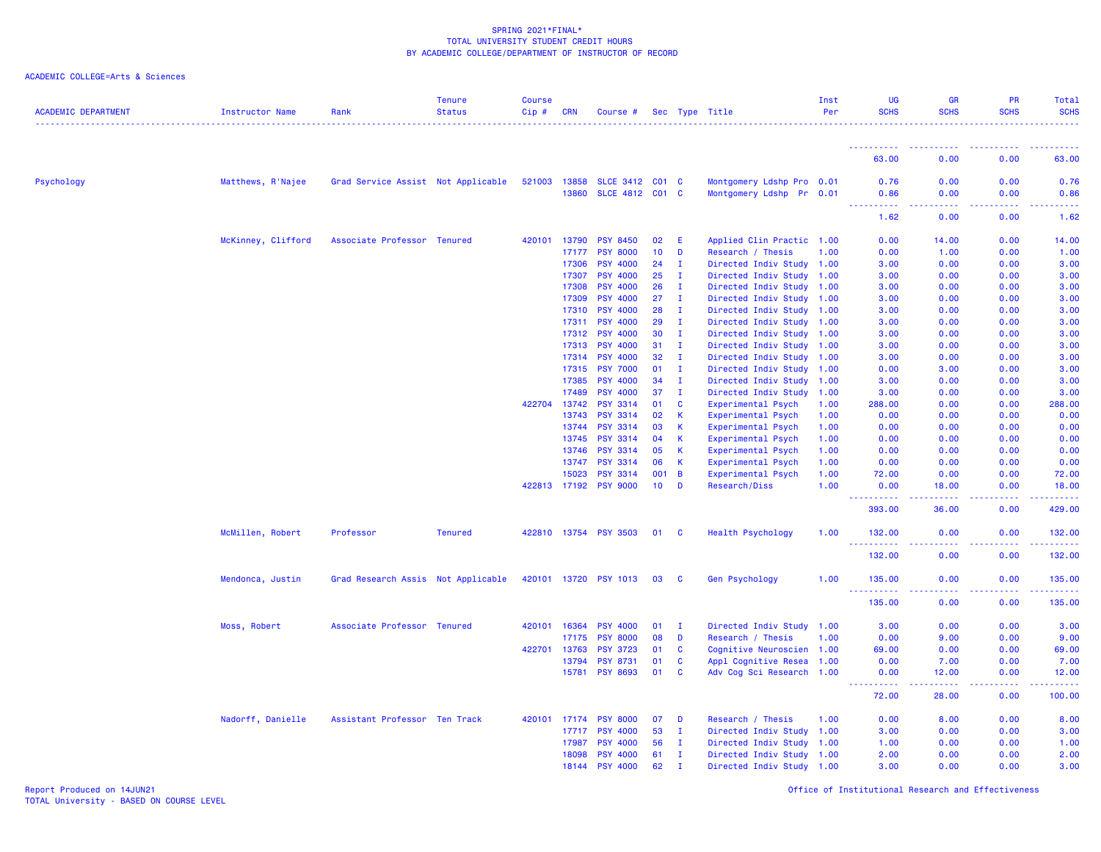ACADEMIC COLLEGE=Arts & Sciences

| <b>ACADEMIC DEPARTMENT</b> | Instructor Name    | Rank                               | <b>Tenure</b><br><b>Status</b> | <b>Course</b><br>Cip# | <b>CRN</b>            | Course #                           |                 |                | Sec Type Title                                   | Inst<br>Per | <b>UG</b><br><b>SCHS</b>                                                                                                          | <b>GR</b><br><b>SCHS</b>    | PR<br><b>SCHS</b>   | Total<br><b>SCHS</b>                                                                                                                                         |
|----------------------------|--------------------|------------------------------------|--------------------------------|-----------------------|-----------------------|------------------------------------|-----------------|----------------|--------------------------------------------------|-------------|-----------------------------------------------------------------------------------------------------------------------------------|-----------------------------|---------------------|--------------------------------------------------------------------------------------------------------------------------------------------------------------|
|                            |                    |                                    |                                |                       |                       |                                    |                 |                |                                                  |             | ----------<br>63.00                                                                                                               | .<br>0.00                   | $- - - - -$<br>0.00 | 63.00                                                                                                                                                        |
| Psychology                 | Matthews, R'Najee  | Grad Service Assist Not Applicable |                                |                       | 521003 13858<br>13860 | SLCE 3412 C01 C<br>SLCE 4812 C01 C |                 |                | Montgomery Ldshp Pro 0.01<br>Montgomery Ldshp Pr | 0.01        | 0.76<br>0.86                                                                                                                      | 0.00<br>0.00                | 0.00<br>0.00        | 0.76<br>0.86                                                                                                                                                 |
|                            |                    |                                    |                                |                       |                       |                                    |                 |                |                                                  |             | $\frac{1}{2} \left( \frac{1}{2} \right) \left( \frac{1}{2} \right) \left( \frac{1}{2} \right) \left( \frac{1}{2} \right)$<br>1.62 | .<br>0.00                   | .<br>0.00           | $\frac{1}{2} \left( \frac{1}{2} \right) \left( \frac{1}{2} \right) \left( \frac{1}{2} \right) \left( \frac{1}{2} \right) \left( \frac{1}{2} \right)$<br>1.62 |
|                            | McKinney, Clifford | Associate Professor Tenured        |                                | 420101                | 13790                 | <b>PSY 8450</b>                    | 02              | E              | Applied Clin Practic 1.00                        |             | 0.00                                                                                                                              | 14.00                       | 0.00                | 14.00                                                                                                                                                        |
|                            |                    |                                    |                                |                       | 17177                 | <b>PSY 8000</b>                    | 10 <sub>1</sub> | D              | Research / Thesis                                | 1.00        | 0.00                                                                                                                              | 1.00                        | 0.00                | 1.00                                                                                                                                                         |
|                            |                    |                                    |                                |                       | 17306                 | <b>PSY 4000</b>                    | 24              | $\mathbf I$    | Directed Indiv Study                             | 1.00        | 3.00                                                                                                                              | 0.00                        | 0.00                | 3.00                                                                                                                                                         |
|                            |                    |                                    |                                |                       | 17307                 | <b>PSY 4000</b>                    | 25              | - 1            | Directed Indiv Study                             | 1.00        | 3.00                                                                                                                              | 0.00                        | 0.00                | 3.00                                                                                                                                                         |
|                            |                    |                                    |                                |                       | 17308                 | <b>PSY 4000</b>                    | 26              | п.             | Directed Indiv Study                             | 1.00        | 3.00                                                                                                                              | 0.00                        | 0.00                | 3.00                                                                                                                                                         |
|                            |                    |                                    |                                |                       | 17309                 | <b>PSY 4000</b>                    | 27              | I.             | Directed Indiv Study                             | 1.00        | 3.00                                                                                                                              | 0.00                        | 0.00                | 3.00                                                                                                                                                         |
|                            |                    |                                    |                                |                       | 17310                 | <b>PSY 4000</b>                    | 28              | $\mathbf{I}$   | Directed Indiv Study                             | 1.00        | 3.00                                                                                                                              | 0.00                        | 0.00                | 3.00                                                                                                                                                         |
|                            |                    |                                    |                                |                       | 17311                 | <b>PSY 4000</b>                    | 29              | $\mathbf I$    | Directed Indiv Study                             | 1.00        | 3.00                                                                                                                              | 0.00                        | 0.00                | 3.00                                                                                                                                                         |
|                            |                    |                                    |                                |                       | 17312                 | <b>PSY 4000</b>                    | 30              | $\mathbf{I}$   | Directed Indiv Study                             | 1.00        | 3.00                                                                                                                              | 0.00                        | 0.00                | 3.00                                                                                                                                                         |
|                            |                    |                                    |                                |                       | 17313                 | <b>PSY 4000</b>                    | 31              | $\mathbf I$    | Directed Indiv Study                             | 1.00        | 3.00                                                                                                                              | 0.00                        | 0.00                | 3.00                                                                                                                                                         |
|                            |                    |                                    |                                |                       | 17314                 | <b>PSY 4000</b>                    | 32              | - 1            | Directed Indiv Study                             | 1.00        | 3.00                                                                                                                              | 0.00                        | 0.00                | 3.00                                                                                                                                                         |
|                            |                    |                                    |                                |                       | 17315                 | <b>PSY 7000</b>                    | 01              | п.             | Directed Indiv Study                             | 1.00        | 0.00                                                                                                                              | 3.00                        | 0.00                | 3.00                                                                                                                                                         |
|                            |                    |                                    |                                |                       | 17385                 | <b>PSY 4000</b>                    | 34              | $\mathbf{I}$   | Directed Indiv Study                             | 1.00        | 3.00                                                                                                                              | 0.00                        | 0.00                | 3.00                                                                                                                                                         |
|                            |                    |                                    |                                |                       | 17489                 | <b>PSY 4000</b>                    | 37              | л.             | Directed Indiv Study                             | 1.00        | 3.00                                                                                                                              | 0.00                        | 0.00                | 3.00                                                                                                                                                         |
|                            |                    |                                    |                                |                       | 422704 13742          | <b>PSY 3314</b>                    | 01              | C              | Experimental Psych                               | 1.00        | 288.00                                                                                                                            | 0.00                        | 0.00                | 288.00                                                                                                                                                       |
|                            |                    |                                    |                                |                       | 13743                 | <b>PSY 3314</b>                    | 02              | К              | Experimental Psych                               | 1.00        | 0.00                                                                                                                              | 0.00                        | 0.00                | 0.00                                                                                                                                                         |
|                            |                    |                                    |                                |                       | 13744                 | <b>PSY 3314</b>                    | 03              | К              | Experimental Psych                               | 1.00        | 0.00                                                                                                                              | 0.00                        | 0.00                | 0.00                                                                                                                                                         |
|                            |                    |                                    |                                |                       | 13745                 | <b>PSY 3314</b>                    | 04              | К              | Experimental Psych                               | 1.00        | 0.00                                                                                                                              | 0.00                        | 0.00                | 0.00                                                                                                                                                         |
|                            |                    |                                    |                                |                       | 13746                 | <b>PSY 3314</b>                    | 05              | $\mathsf K$    | Experimental Psych                               | 1.00        | 0.00                                                                                                                              | 0.00                        | 0.00                | 0.00                                                                                                                                                         |
|                            |                    |                                    |                                |                       | 13747                 | <b>PSY 3314</b>                    | 06              | К              | Experimental Psych                               | 1.00        | 0.00                                                                                                                              | 0.00                        | 0.00                | 0.00                                                                                                                                                         |
|                            |                    |                                    |                                |                       | 15023                 | <b>PSY 3314</b>                    | 001             | $\overline{B}$ | Experimental Psych                               | 1.00        | 72.00                                                                                                                             | 0.00                        | 0.00                | 72.00                                                                                                                                                        |
|                            |                    |                                    |                                |                       |                       | 422813 17192 PSY 9000              | 10 <sub>1</sub> | D              | Research/Diss                                    | 1.00        | 0.00                                                                                                                              | 18.00                       | 0.00                | 18.00                                                                                                                                                        |
|                            |                    |                                    |                                |                       |                       |                                    |                 |                |                                                  |             | .                                                                                                                                 | $\sim$ $\sim$ $\sim$ $\sim$ | $  -$               |                                                                                                                                                              |
|                            |                    |                                    |                                |                       |                       |                                    |                 |                |                                                  |             | 393.00                                                                                                                            | 36.00                       | 0.00                | 429.00                                                                                                                                                       |
|                            | McMillen, Robert   | Professor                          | <b>Tenured</b>                 |                       |                       | 422810 13754 PSY 3503              | 01 C            |                | <b>Health Psychology</b>                         | 1.00        | 132.00<br>$\sim$ $\sim$ $\sim$<br>.                                                                                               | 0.00<br>.                   | 0.00                | 132.00<br><b><i><u><u>.</u></u></i></b>                                                                                                                      |
|                            |                    |                                    |                                |                       |                       |                                    |                 |                |                                                  |             | 132.00                                                                                                                            | 0.00                        | 0.00                | 132.00                                                                                                                                                       |
|                            | Mendonca, Justin   | Grad Research Assis Not Applicable |                                |                       |                       | 420101 13720 PSY 1013              | 03              | - C            | Gen Psychology                                   | 1.00        | 135.00<br>222222                                                                                                                  | 0.00<br>ولالات              | 0.00<br>-----       | 135.00<br>$\begin{array}{cccccccccc} \bullet & \bullet & \bullet & \bullet & \bullet & \bullet & \bullet \end{array}$                                        |
|                            |                    |                                    |                                |                       |                       |                                    |                 |                |                                                  |             | 135.00                                                                                                                            | 0.00                        | 0.00                | 135.00                                                                                                                                                       |
|                            | Moss, Robert       | Associate Professor Tenured        |                                | 420101                | 16364                 | <b>PSY 4000</b>                    | 01              | I.             | Directed Indiv Study 1.00                        |             | 3.00                                                                                                                              | 0.00                        | 0.00                | 3.00                                                                                                                                                         |
|                            |                    |                                    |                                |                       | 17175                 | <b>PSY 8000</b>                    | 08              | D              | Research / Thesis                                | 1.00        | 0.00                                                                                                                              | 9.00                        | 0.00                | 9.00                                                                                                                                                         |
|                            |                    |                                    |                                | 422701                | 13763                 | <b>PSY 3723</b>                    | 01              | C              | Cognitive Neuroscien 1.00                        |             | 69.00                                                                                                                             | 0.00                        | 0.00                | 69.00                                                                                                                                                        |
|                            |                    |                                    |                                |                       | 13794                 | <b>PSY 8731</b>                    | 01              | <b>C</b>       | Appl Cognitive Resea 1.00                        |             | 0.00                                                                                                                              | 7.00                        | 0.00                | 7.00                                                                                                                                                         |
|                            |                    |                                    |                                |                       | 15781                 | <b>PSY 8693</b>                    | 01              | <b>C</b>       | Adv Cog Sci Research 1.00                        |             | 0.00<br>22222                                                                                                                     | 12.00                       | 0.00                | 12.00                                                                                                                                                        |
|                            |                    |                                    |                                |                       |                       |                                    |                 |                |                                                  |             | 72.00                                                                                                                             | 28.00                       | 0.00                | 100.00                                                                                                                                                       |
|                            | Nadorff, Danielle  | Assistant Professor Ten Track      |                                |                       | 420101 17174          | <b>PSY 8000</b>                    | 07              | D              | Research / Thesis                                | 1.00        | 0.00                                                                                                                              | 8.00                        | 0.00                | 8.00                                                                                                                                                         |
|                            |                    |                                    |                                |                       | 17717                 | <b>PSY 4000</b>                    | 53              | T              | Directed Indiv Study                             | 1.00        | 3.00                                                                                                                              | 0.00                        | 0.00                | 3.00                                                                                                                                                         |
|                            |                    |                                    |                                |                       | 17987                 | <b>PSY 4000</b>                    | 56              | <b>I</b>       | Directed Indiv Study                             | 1.00        | 1.00                                                                                                                              | 0.00                        | 0.00                | 1.00                                                                                                                                                         |
|                            |                    |                                    |                                |                       | 18098                 | <b>PSY 4000</b>                    | 61              | $\mathbf I$    | Directed Indiv Study                             | 1.00        | 2.00                                                                                                                              | 0.00                        | 0.00                | 2.00                                                                                                                                                         |
|                            |                    |                                    |                                |                       | 18144                 | <b>PSY 4000</b>                    | 62              | $\mathbf{I}$   | Directed Indiv Study 1.00                        |             | 3.00                                                                                                                              | 0.00                        | 0.00                | 3.00                                                                                                                                                         |

Report Produced on 14JUN21 Office of Institutional Research and Effectiveness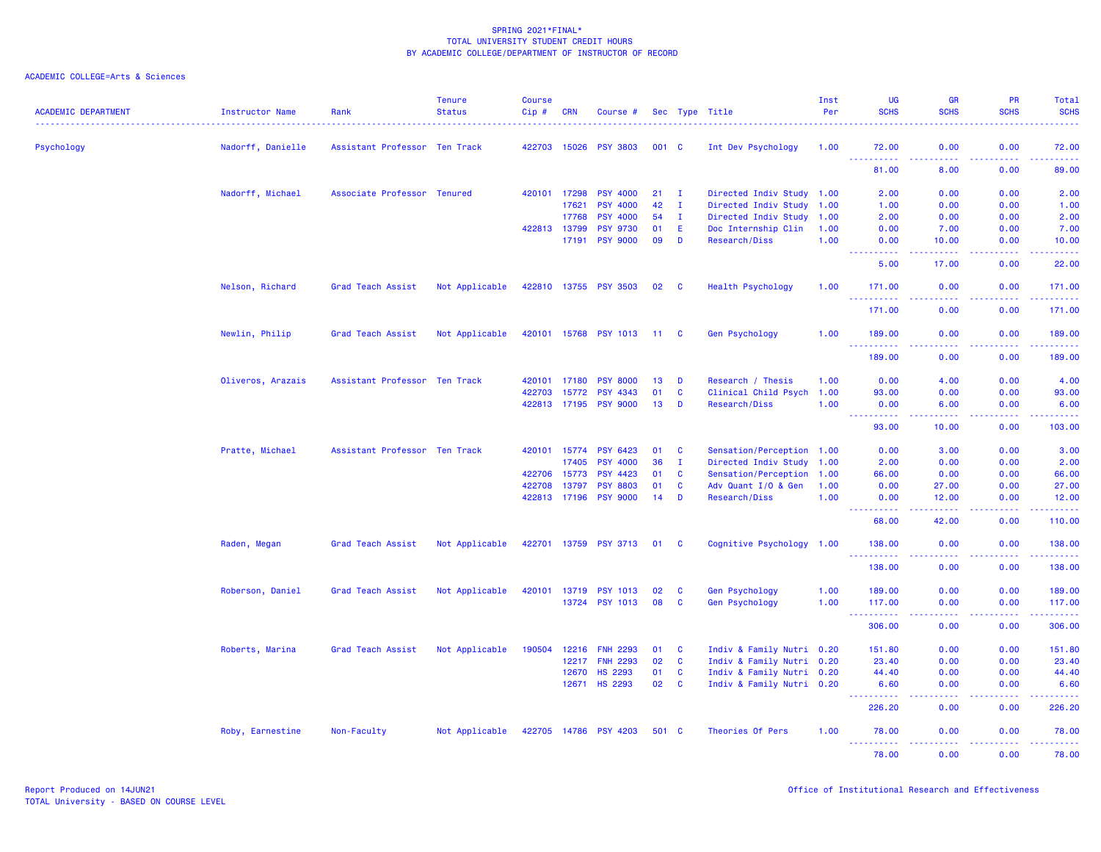| <b>ACADEMIC DEPARTMENT</b> | Instructor Name   | Rank                          | <b>Tenure</b><br><b>Status</b> | <b>Course</b><br>Cip# | <b>CRN</b>            | Course #                                 |          |                   | Sec Type Title                       | Inst<br>Per  | UG<br><b>SCHS</b>                     | <b>GR</b><br><b>SCHS</b>                                                                                                                             | PR<br><b>SCHS</b> | Total<br><b>SCHS</b>                                                                                                                                           |
|----------------------------|-------------------|-------------------------------|--------------------------------|-----------------------|-----------------------|------------------------------------------|----------|-------------------|--------------------------------------|--------------|---------------------------------------|------------------------------------------------------------------------------------------------------------------------------------------------------|-------------------|----------------------------------------------------------------------------------------------------------------------------------------------------------------|
| Psychology                 | Nadorff, Danielle | Assistant Professor Ten Track |                                |                       | 422703 15026          | <b>PSY 3803</b>                          | 001 C    |                   | Int Dev Psychology                   | 1.00         | 72.00                                 | 0.00                                                                                                                                                 | 0.00              | 72.00                                                                                                                                                          |
|                            |                   |                               |                                |                       |                       |                                          |          |                   |                                      |              | وعاعات<br>.<br>81.00                  | .<br>8.00                                                                                                                                            | .<br>0.00         | .<br>89.00                                                                                                                                                     |
|                            | Nadorff, Michael  | Associate Professor Tenured   |                                |                       | 420101 17298          | <b>PSY 4000</b>                          | 21       | $\mathbf{I}$      | Directed Indiv Study 1.00            |              | 2.00                                  | 0.00                                                                                                                                                 | 0.00              | 2.00                                                                                                                                                           |
|                            |                   |                               |                                |                       | 17621                 | <b>PSY 4000</b>                          | 42       | $\mathbf{I}$      | Directed Indiv Study 1.00            |              | 1.00                                  | 0.00                                                                                                                                                 | 0.00              | 1.00                                                                                                                                                           |
|                            |                   |                               |                                |                       | 17768                 | <b>PSY 4000</b>                          | 54       | л.                | Directed Indiv Study                 | 1.00         | 2.00                                  | 0.00                                                                                                                                                 | 0.00              | 2.00                                                                                                                                                           |
|                            |                   |                               |                                |                       | 422813 13799<br>17191 | <b>PSY 9730</b><br><b>PSY 9000</b>       | 01<br>09 | E.<br>D           | Doc Internship Clin<br>Research/Diss | 1.00<br>1.00 | 0.00<br>0.00                          | 7.00<br>10.00                                                                                                                                        | 0.00<br>0.00      | 7.00<br>10.00                                                                                                                                                  |
|                            |                   |                               |                                |                       |                       |                                          |          |                   |                                      |              | <u> - - - - - - - - - -</u>           | $\frac{1}{2} \left( \frac{1}{2} \right) \left( \frac{1}{2} \right) \left( \frac{1}{2} \right) \left( \frac{1}{2} \right) \left( \frac{1}{2} \right)$ | 22222             | .                                                                                                                                                              |
|                            |                   |                               |                                |                       |                       |                                          |          |                   |                                      |              | 5.00                                  | 17.00                                                                                                                                                | 0.00              | 22.00                                                                                                                                                          |
|                            | Nelson, Richard   | Grad Teach Assist             | Not Applicable                 |                       |                       | 422810 13755 PSY 3503                    | 02       | $\mathbf{C}$      | <b>Health Psychology</b>             | 1.00         | 171.00<br><b><i><u>AAAAAA</u></i></b> | 0.00                                                                                                                                                 | 0.00<br>.         | 171.00<br>$\begin{array}{cccccccccc} \bullet & \bullet & \bullet & \bullet & \bullet & \bullet & \bullet \end{array}$                                          |
|                            |                   |                               |                                |                       |                       |                                          |          |                   |                                      |              | 171.00                                | 0.00                                                                                                                                                 | 0.00              | 171.00                                                                                                                                                         |
|                            | Newlin, Philip    | Grad Teach Assist             | Not Applicable                 |                       |                       | 420101 15768 PSY 1013                    | 11 C     |                   | Gen Psychology                       | 1.00         | 189.00<br>.                           | 0.00                                                                                                                                                 | 0.00              | 189.00<br>$\frac{1}{2} \left( \frac{1}{2} \right) \left( \frac{1}{2} \right) \left( \frac{1}{2} \right) \left( \frac{1}{2} \right) \left( \frac{1}{2} \right)$ |
|                            |                   |                               |                                |                       |                       |                                          |          |                   |                                      |              | 189.00                                | 0.00                                                                                                                                                 | 0.00              | 189.00                                                                                                                                                         |
|                            | Oliveros, Arazais | Assistant Professor Ten Track |                                | 420101                | 17180                 | <b>PSY 8000</b>                          | 13       | D                 | Research / Thesis                    | 1.00         | 0.00                                  | 4.00                                                                                                                                                 | 0.00              | 4.00                                                                                                                                                           |
|                            |                   |                               |                                | 422703                | 15772                 | <b>PSY 4343</b>                          | 01       | $\mathbf{C}$      | Clinical Child Psych 1.00            |              | 93.00                                 | 0.00                                                                                                                                                 | 0.00              | 93.00                                                                                                                                                          |
|                            |                   |                               |                                |                       |                       | 422813 17195 PSY 9000                    | 13       | D                 | Research/Diss                        | 1.00         | 0.00                                  | 6.00                                                                                                                                                 | 0.00              | 6.00                                                                                                                                                           |
|                            |                   |                               |                                |                       |                       |                                          |          |                   |                                      |              | 93.00                                 | 10.00                                                                                                                                                | 0.00              | 103.00                                                                                                                                                         |
|                            | Pratte, Michael   | Assistant Professor Ten Track |                                |                       | 420101 15774          | <b>PSY 6423</b>                          | 01       | <b>C</b>          | Sensation/Perception 1.00            |              | 0.00                                  | 3.00                                                                                                                                                 | 0.00              | 3.00                                                                                                                                                           |
|                            |                   |                               |                                |                       | 17405                 | <b>PSY 4000</b>                          | 36       | $\mathbf{I}$      | Directed Indiv Study 1.00            |              | 2.00                                  | 0.00                                                                                                                                                 | 0.00              | 2.00                                                                                                                                                           |
|                            |                   |                               |                                | 422706                | 15773                 | <b>PSY 4423</b>                          | 01       | $\mathbf{C}$      | Sensation/Perception 1.00            |              | 66.00                                 | 0.00                                                                                                                                                 | 0.00              | 66.00                                                                                                                                                          |
|                            |                   |                               |                                | 422708                | 13797                 | <b>PSY 8803</b><br>422813 17196 PSY 9000 | 01<br>14 | $\mathbf{C}$<br>D | Adv Quant I/O & Gen<br>Research/Diss | 1.00<br>1.00 | 0.00                                  | 27.00                                                                                                                                                | 0.00              | 27.00                                                                                                                                                          |
|                            |                   |                               |                                |                       |                       |                                          |          |                   |                                      |              | 0.00<br>22222                         | 12.00<br>.                                                                                                                                           | 0.00<br>المستبد   | 12.00<br>، د د د د د                                                                                                                                           |
|                            |                   |                               |                                |                       |                       |                                          |          |                   |                                      |              | 68.00                                 | 42.00                                                                                                                                                | 0.00              | 110.00                                                                                                                                                         |
|                            | Raden, Megan      | Grad Teach Assist             | Not Applicable                 |                       |                       | 422701 13759 PSY 3713                    | 01 C     |                   | Cognitive Psychology 1.00            |              | 138.00<br><u>.</u>                    | 0.00<br>$\frac{1}{2} \left( \frac{1}{2} \right) \left( \frac{1}{2} \right) \left( \frac{1}{2} \right)$                                               | 0.00<br>22222     | 138.00<br>2.2.2.2.2.2                                                                                                                                          |
|                            |                   |                               |                                |                       |                       |                                          |          |                   |                                      |              | 138.00                                | 0.00                                                                                                                                                 | 0.00              | 138.00                                                                                                                                                         |
|                            | Roberson, Daniel  | Grad Teach Assist             | Not Applicable                 | 420101                | 13719                 | <b>PSY 1013</b>                          | 02       | <b>C</b>          | Gen Psychology                       | 1.00         | 189.00                                | 0.00                                                                                                                                                 | 0.00              | 189.00                                                                                                                                                         |
|                            |                   |                               |                                |                       |                       | 13724 PSY 1013                           | 08       | <b>C</b>          | <b>Gen Psychology</b>                | 1.00         | 117.00                                | 0.00                                                                                                                                                 | 0.00              | 117.00                                                                                                                                                         |
|                            |                   |                               |                                |                       |                       |                                          |          |                   |                                      |              | 306.00                                | والمسامين<br>0.00                                                                                                                                    | .<br>0.00         | 306.00                                                                                                                                                         |
|                            | Roberts, Marina   | Grad Teach Assist             | Not Applicable                 | 190504                | 12216                 | <b>FNH 2293</b>                          | 01       | <b>C</b>          | Indiv & Family Nutri 0.20            |              | 151.80                                | 0.00                                                                                                                                                 | 0.00              | 151.80                                                                                                                                                         |
|                            |                   |                               |                                |                       | 12217                 | <b>FNH 2293</b>                          | 02       | $\mathbf{C}$      | Indiv & Family Nutri 0.20            |              | 23.40                                 | 0.00                                                                                                                                                 | 0.00              | 23.40                                                                                                                                                          |
|                            |                   |                               |                                |                       | 12670                 | <b>HS 2293</b>                           | 01       | $\mathbf{C}$      | Indiv & Family Nutri 0.20            |              | 44.40                                 | 0.00                                                                                                                                                 | 0.00              | 44.40                                                                                                                                                          |
|                            |                   |                               |                                |                       | 12671                 | <b>HS 2293</b>                           | 02       | $\mathbf{C}$      | Indiv & Family Nutri 0.20            |              | 6.60<br>المستمالات                    | 0.00<br>$\sim$ $\sim$ $\sim$ $\sim$                                                                                                                  | 0.00<br>المستملة  | 6.60<br>والمرامي مرامين                                                                                                                                        |
|                            |                   |                               |                                |                       |                       |                                          |          |                   |                                      |              | 226.20                                | 0.00                                                                                                                                                 | 0.00              | 226.20                                                                                                                                                         |
|                            | Roby, Earnestine  | Non-Faculty                   | Not Applicable                 |                       |                       | 422705 14786 PSY 4203                    | 501 C    |                   | Theories Of Pers                     | 1.00         | 78.00                                 | 0.00                                                                                                                                                 | 0.00              | 78.00                                                                                                                                                          |
|                            |                   |                               |                                |                       |                       |                                          |          |                   |                                      |              | 78.00                                 | 0.00                                                                                                                                                 | 0.00              | 78.00                                                                                                                                                          |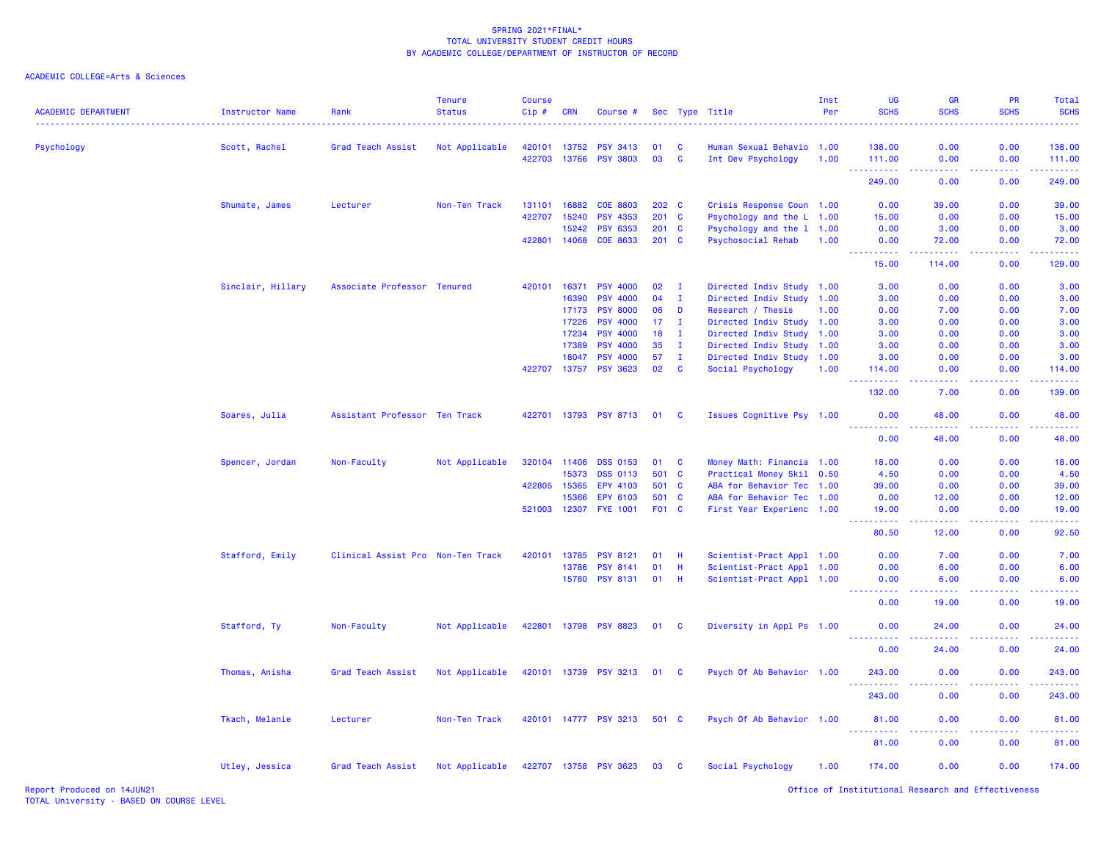| <b>ACADEMIC DEPARTMENT</b> | Instructor Name   | Rank                              | <b>Tenure</b><br><b>Status</b> | <b>Course</b><br>Cip# | <b>CRN</b>   | Course #              |                 |              | Sec Type Title            | Inst<br>Per | UG<br><b>SCHS</b>                                                                                                                          | GR<br><b>SCHS</b>                           | PR<br><b>SCHS</b> | Total<br><b>SCHS</b> |
|----------------------------|-------------------|-----------------------------------|--------------------------------|-----------------------|--------------|-----------------------|-----------------|--------------|---------------------------|-------------|--------------------------------------------------------------------------------------------------------------------------------------------|---------------------------------------------|-------------------|----------------------|
| Psychology                 | Scott, Rachel     | Grad Teach Assist                 | Not Applicable                 |                       | 420101 13752 | <b>PSY 3413</b>       | 01              | <b>C</b>     | Human Sexual Behavio      | 1.00        | 138.00                                                                                                                                     | 0.00                                        | 0.00              | 138.00               |
|                            |                   |                                   |                                |                       | 422703 13766 | <b>PSY 3803</b>       | 03              | <b>C</b>     | Int Dev Psychology        | 1.00        | 111.00<br><u>.</u>                                                                                                                         | 0.00<br>22222                               | 0.00<br>.         | 111.00<br>.          |
|                            |                   |                                   |                                |                       |              |                       |                 |              |                           |             | 249.00                                                                                                                                     | 0.00                                        | 0.00              | 249.00               |
|                            | Shumate, James    | Lecturer                          | Non-Ten Track                  |                       | 131101 16882 | <b>COE 8803</b>       | 202 C           |              | Crisis Response Coun 1.00 |             | 0.00                                                                                                                                       | 39.00                                       | 0.00              | 39.00                |
|                            |                   |                                   |                                |                       | 422707 15240 | <b>PSY 4353</b>       | 201 C           |              | Psychology and the L 1.00 |             | 15.00                                                                                                                                      | 0.00                                        | 0.00              | 15.00                |
|                            |                   |                                   |                                |                       | 15242        | <b>PSY 6353</b>       | 201 C           |              | Psychology and the 1 1.00 |             | 0.00                                                                                                                                       | 3.00                                        | 0.00              | 3.00                 |
|                            |                   |                                   |                                | 422801                | 14068        | COE 8633              | $201$ C         |              | Psychosocial Rehab        | 1.00        | 0.00<br>22222<br>$\frac{1}{2} \left( \frac{1}{2} \right) \left( \frac{1}{2} \right) \left( \frac{1}{2} \right) \left( \frac{1}{2} \right)$ | 72.00                                       | 0.00              | 72.00<br>.           |
|                            |                   |                                   |                                |                       |              |                       |                 |              |                           |             | 15.00                                                                                                                                      | 114.00                                      | 0.00              | 129.00               |
|                            | Sinclair, Hillary | Associate Professor Tenured       |                                |                       | 420101 16371 | <b>PSY 4000</b>       | 02              | $\mathbf{I}$ | Directed Indiv Study 1.00 |             | 3.00                                                                                                                                       | 0.00                                        | 0.00              | 3.00                 |
|                            |                   |                                   |                                |                       | 16390        | <b>PSY 4000</b>       | 04              | $\mathbf I$  | Directed Indiv Study      | 1.00        | 3.00                                                                                                                                       | 0.00                                        | 0.00              | 3.00                 |
|                            |                   |                                   |                                |                       | 17173        | <b>PSY 8000</b>       | 06              | D            | Research / Thesis         | 1.00        | 0.00                                                                                                                                       | 7.00                                        | 0.00              | 7.00                 |
|                            |                   |                                   |                                |                       | 17226        | <b>PSY 4000</b>       | 17 <sub>1</sub> | I.           | Directed Indiv Study      | 1.00        | 3.00                                                                                                                                       | 0.00                                        | 0.00              | 3.00                 |
|                            |                   |                                   |                                |                       | 17234        | <b>PSY 4000</b>       | 18              | $\mathbf{I}$ | Directed Indiv Study      | 1.00        | 3.00                                                                                                                                       | 0.00                                        | 0.00              | 3.00                 |
|                            |                   |                                   |                                |                       | 17389        | <b>PSY 4000</b>       | 35              | $\mathbf{I}$ | Directed Indiv Study      | 1.00        | 3.00                                                                                                                                       | 0.00                                        | 0.00              | 3.00                 |
|                            |                   |                                   |                                |                       | 18047        | <b>PSY 4000</b>       | 57              | $\mathbf{I}$ | Directed Indiv Study 1.00 |             | 3.00                                                                                                                                       | 0.00                                        | 0.00              | 3.00                 |
|                            |                   |                                   |                                |                       | 422707 13757 | <b>PSY 3623</b>       | 02              | <b>C</b>     | Social Psychology         | 1.00        | 114.00                                                                                                                                     | 0.00                                        | 0.00              | 114.00               |
|                            |                   |                                   |                                |                       |              |                       |                 |              |                           |             | 132.00                                                                                                                                     | 7.00                                        | 0.00              | 139.00               |
|                            | Soares, Julia     | Assistant Professor Ten Track     |                                | 422701                |              | 13793 PSY 8713        | 01              | <b>C</b>     | Issues Cognitive Psy 1.00 |             | 0.00                                                                                                                                       | 48.00                                       | 0.00              | 48.00                |
|                            |                   |                                   |                                |                       |              |                       |                 |              |                           |             | .<br>0.00                                                                                                                                  | 48.00                                       | 0.00              | 48.00                |
|                            | Spencer, Jordan   | Non-Faculty                       | Not Applicable                 |                       | 320104 11406 | <b>DSS 0153</b>       | 01              | C            | Money Math: Financia 1.00 |             | 18.00                                                                                                                                      | 0.00                                        | 0.00              | 18.00                |
|                            |                   |                                   |                                |                       | 15373        | <b>DSS 0113</b>       | 501 C           |              | Practical Money Skil 0.50 |             | 4.50                                                                                                                                       | 0.00                                        | 0.00              | 4.50                 |
|                            |                   |                                   |                                |                       | 422805 15365 | EPY 4103              | 501 C           |              | ABA for Behavior Tec 1.00 |             | 39.00                                                                                                                                      | 0.00                                        | 0.00              | 39.00                |
|                            |                   |                                   |                                |                       | 15366        | EPY 6103              | 501 C           |              | ABA for Behavior Tec      | 1.00        | 0.00                                                                                                                                       | 12.00                                       | 0.00              | 12.00                |
|                            |                   |                                   |                                |                       |              | 521003 12307 FYE 1001 | F01 C           |              | First Year Experienc 1.00 |             | 19.00                                                                                                                                      | 0.00                                        | 0.00              | 19.00                |
|                            |                   |                                   |                                |                       |              |                       |                 |              |                           |             | .<br>80.50                                                                                                                                 | .<br>12.00                                  | .<br>0.00         | .<br>92.50           |
|                            | Stafford, Emily   | Clinical Assist Pro Non-Ten Track |                                | 420101                | 13785        | PSY 8121              | 01              | Н            | Scientist-Pract Appl 1.00 |             | 0.00                                                                                                                                       | 7.00                                        | 0.00              | 7.00                 |
|                            |                   |                                   |                                |                       | 13786        | <b>PSY 8141</b>       | 01              | Н            | Scientist-Pract Appl 1.00 |             | 0.00                                                                                                                                       | 6.00                                        | 0.00              | 6.00                 |
|                            |                   |                                   |                                |                       | 15780        | <b>PSY 8131</b>       | 01              | H            | Scientist-Pract Appl 1.00 |             | 0.00<br>.                                                                                                                                  | 6.00<br>$\omega$ $\omega$ $\omega$ $\omega$ | 0.00              | 6.00                 |
|                            |                   |                                   |                                |                       |              |                       |                 |              |                           |             | 0.00                                                                                                                                       | 19.00                                       | 0.00              | 19.00                |
|                            | Stafford, Ty      | Non-Faculty                       | Not Applicable                 |                       |              | 422801 13798 PSY 8823 | 01              | <b>C</b>     | Diversity in Appl Ps 1.00 |             | 0.00                                                                                                                                       | 24.00                                       | 0.00              | 24.00                |
|                            |                   |                                   |                                |                       |              |                       |                 |              |                           |             | 0.00                                                                                                                                       | 24.00                                       | 0.00              | 24.00                |
|                            | Thomas, Anisha    | Grad Teach Assist                 | Not Applicable                 |                       |              | 420101 13739 PSY 3213 | 01 C            |              | Psych Of Ab Behavior 1.00 |             | 243.00                                                                                                                                     | 0.00                                        | 0.00              | 243.00               |
|                            |                   |                                   |                                |                       |              |                       |                 |              |                           |             | .<br>243.00                                                                                                                                | 0.00                                        | 0.00              | 243.00               |
|                            | Tkach, Melanie    | Lecturer                          | Non-Ten Track                  |                       |              | 420101 14777 PSY 3213 | 501 C           |              | Psych Of Ab Behavior 1.00 |             | 81.00                                                                                                                                      | 0.00                                        | 0.00              | 81.00                |
|                            |                   |                                   |                                |                       |              |                       |                 |              |                           |             | <b>.</b> .<br>81.00                                                                                                                        | 0.00                                        | 0.00              | 81.00                |
|                            | Utley, Jessica    | Grad Teach Assist                 | Not Applicable                 |                       |              | 422707 13758 PSY 3623 | 03              | <b>C</b>     | Social Psychology         | 1.00        | 174.00                                                                                                                                     | 0.00                                        | 0.00              | 174.00               |
|                            |                   |                                   |                                |                       |              |                       |                 |              |                           |             |                                                                                                                                            |                                             |                   |                      |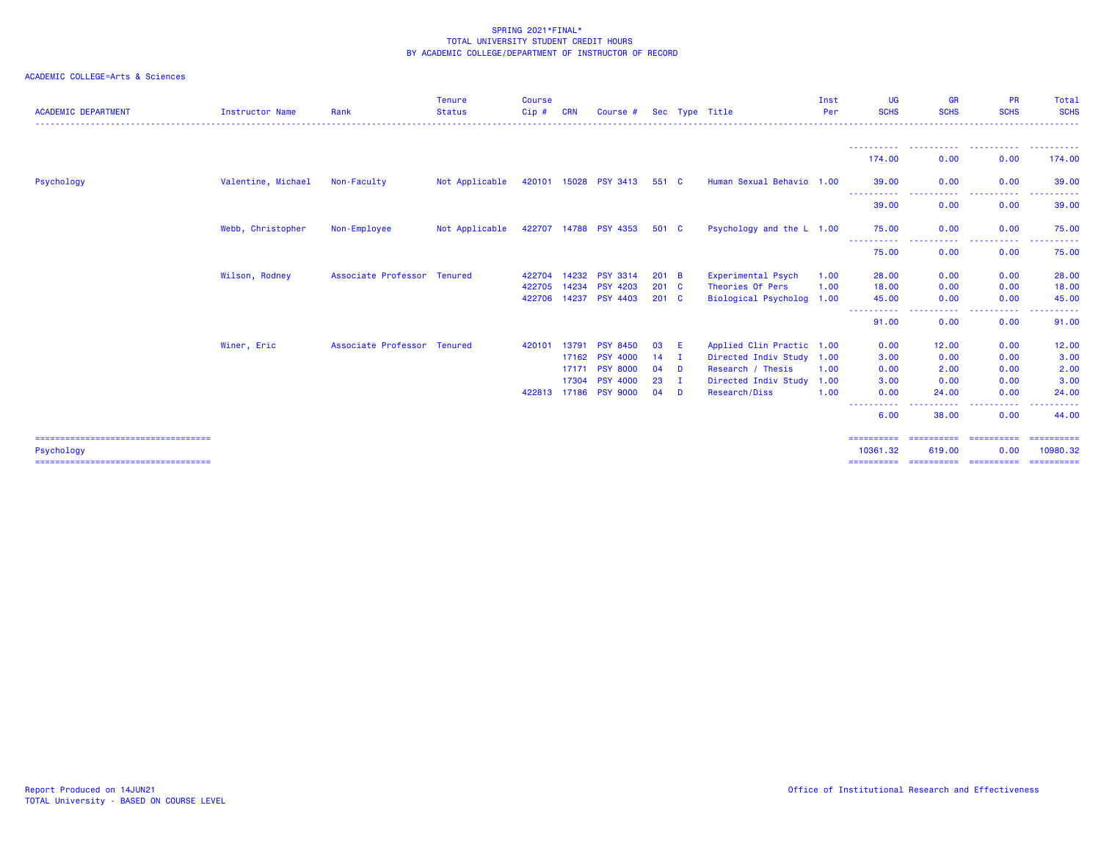| <b>ACADEMIC DEPARTMENT</b>                          | <b>Instructor Name</b> | Rank                        | <b>Tenure</b><br><b>Status</b> | <b>Course</b><br>Cip# | <b>CRN</b> | Course #              |               |                | Sec Type Title            | Inst<br>Per | <b>UG</b><br><b>SCHS</b> | <b>GR</b><br><b>SCHS</b> | <b>PR</b><br><b>SCHS</b> | Total<br><b>SCHS</b>   |
|-----------------------------------------------------|------------------------|-----------------------------|--------------------------------|-----------------------|------------|-----------------------|---------------|----------------|---------------------------|-------------|--------------------------|--------------------------|--------------------------|------------------------|
|                                                     |                        |                             |                                |                       |            |                       |               |                |                           |             | -----------<br>174.00    | 0.00                     | 0.00                     | ----------<br>174.00   |
|                                                     |                        |                             |                                |                       |            |                       |               |                |                           |             |                          |                          |                          |                        |
| Psychology                                          | Valentine, Michael     | Non-Faculty                 | Not Applicable                 |                       |            | 420101 15028 PSY 3413 | 551 C         |                | Human Sexual Behavio 1.00 |             | 39.00<br>-----------     | 0.00<br>-----<br>-----   | 0.00<br>----------       | 39.00<br>----------    |
|                                                     |                        |                             |                                |                       |            |                       |               |                |                           |             | 39.00                    | 0.00                     | 0.00                     | 39.00                  |
|                                                     | Webb, Christopher      | Non-Employee                | Not Applicable                 |                       |            | 422707 14788 PSY 4353 | 501 C         |                | Psychology and the L 1.00 |             | 75.00                    | 0.00                     | 0.00                     | 75.00                  |
|                                                     |                        |                             |                                |                       |            |                       |               |                |                           |             | -----------<br>75.00     | .<br>0.00                | -----<br>0.00            | ------<br>75.00        |
|                                                     | Wilson, Rodney         | Associate Professor Tenured |                                | 422704                | 14232      | <b>PSY 3314</b>       | 201           | $\overline{B}$ | Experimental Psych        | 1.00        | 28.00                    | 0.00                     | 0.00                     | 28.00                  |
|                                                     |                        |                             |                                | 422705                | 14234      | <b>PSY 4203</b>       | $201$ C       |                | Theories Of Pers          | 1.00        | 18.00                    | 0.00                     | 0.00                     | 18.00                  |
|                                                     |                        |                             |                                | 422706 14237          |            | <b>PSY 4403</b>       | $201 \quad C$ |                | Biological Psycholog 1.00 |             | 45.00                    | 0.00                     | 0.00                     | 45.00                  |
|                                                     |                        |                             |                                |                       |            |                       |               |                |                           |             | ----------<br>91.00      | . <b>. .</b><br>0.00     | <b>.</b><br>0.00         | ------<br>91.00        |
|                                                     | Winer, Eric            | Associate Professor Tenured |                                | 420101                | 13791      | <b>PSY 8450</b>       | 03            | -E             | Applied Clin Practic 1.00 |             | 0.00                     | 12.00                    | 0.00                     | 12.00                  |
|                                                     |                        |                             |                                |                       | 17162      | <b>PSY 4000</b>       | 14            | $\mathbf{I}$   | Directed Indiv Study 1.00 |             | 3.00                     | 0.00                     | 0.00                     | 3.00                   |
|                                                     |                        |                             |                                |                       | 17171      | <b>PSY 8000</b>       | 04            | <b>D</b>       | Research / Thesis         | 1.00        | 0.00                     | 2.00                     | 0.00                     | 2.00                   |
|                                                     |                        |                             |                                |                       | 17304      | <b>PSY 4000</b>       | 23            | $\mathbf{I}$   | Directed Indiv Study 1.00 |             | 3.00                     | 0.00                     | 0.00                     | 3.00                   |
|                                                     |                        |                             |                                | 422813 17186          |            | <b>PSY 9000</b>       | 04            | D              | Research/Diss             | 1.00        | 0.00                     | 24.00                    | 0.00                     | 24.00                  |
|                                                     |                        |                             |                                |                       |            |                       |               |                |                           |             | 6.00                     | 38.00                    | 0.00                     | ------<br>44.00        |
| =====================================<br>Psychology |                        |                             |                                |                       |            |                       |               |                |                           |             | ==========<br>10361.32   | -----------<br>619.00    | ==========<br>0.00       | ==========<br>10980.32 |
| ======================================              |                        |                             |                                |                       |            |                       |               |                |                           |             |                          |                          |                          |                        |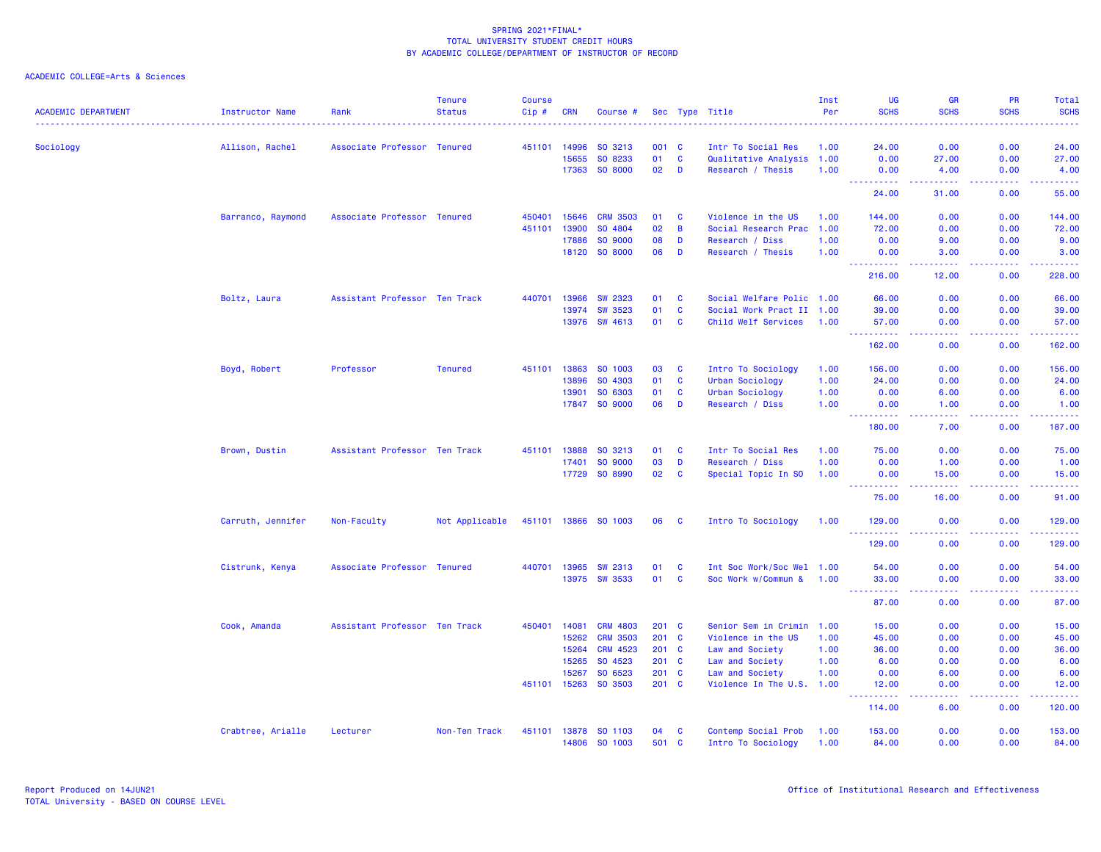| <b>ACADEMIC DEPARTMENT</b> | <b>Instructor Name</b> | Rank                          | <b>Tenure</b><br><b>Status</b> | Course<br>Cip# | <b>CRN</b> | Course #             |       |              | Sec Type Title            | Inst<br>Per | UG<br><b>SCHS</b>                                                                                                                                             | <b>GR</b><br><b>SCHS</b>                                                                                                                                     | PR<br><b>SCHS</b>                            | Total<br><b>SCHS</b>                                                                                                                                               |
|----------------------------|------------------------|-------------------------------|--------------------------------|----------------|------------|----------------------|-------|--------------|---------------------------|-------------|---------------------------------------------------------------------------------------------------------------------------------------------------------------|--------------------------------------------------------------------------------------------------------------------------------------------------------------|----------------------------------------------|--------------------------------------------------------------------------------------------------------------------------------------------------------------------|
|                            |                        |                               |                                |                |            |                      |       |              |                           |             |                                                                                                                                                               |                                                                                                                                                              |                                              |                                                                                                                                                                    |
| Sociology                  | Allison, Rachel        | Associate Professor Tenured   |                                | 451101         | 14996      | SO 3213              | 001   | <b>C</b>     | Intr To Social Res        | 1.00        | 24.00                                                                                                                                                         | 0.00                                                                                                                                                         | 0.00                                         | 24,00                                                                                                                                                              |
|                            |                        |                               |                                |                | 15655      | SO 8233              | 01    | $\mathbf{C}$ | Qualitative Analysis      | 1.00        | 0.00                                                                                                                                                          | 27.00                                                                                                                                                        | 0.00                                         | 27.00                                                                                                                                                              |
|                            |                        |                               |                                |                | 17363      | SO 8000              | 02    | D            | Research / Thesis         | 1.00        | 0.00<br>المتحدث<br>.                                                                                                                                          | 4.00<br>-----                                                                                                                                                | 0.00<br>.                                    | 4.00<br>.                                                                                                                                                          |
|                            |                        |                               |                                |                |            |                      |       |              |                           |             | 24.00                                                                                                                                                         | 31.00                                                                                                                                                        | 0.00                                         | 55.00                                                                                                                                                              |
|                            | Barranco, Raymond      | Associate Professor Tenured   |                                | 450401         | 15646      | <b>CRM 3503</b>      | 01    | C            | Violence in the US        | 1.00        | 144.00                                                                                                                                                        | 0.00                                                                                                                                                         | 0.00                                         | 144.00                                                                                                                                                             |
|                            |                        |                               |                                | 451101         | 13900      | SO 4804              | 02    | B            | Social Research Prac      | 1.00        | 72.00                                                                                                                                                         | 0.00                                                                                                                                                         | 0.00                                         | 72.00                                                                                                                                                              |
|                            |                        |                               |                                |                | 17886      | SO 9000              | 08    | D            | Research / Diss           | 1.00        | 0.00                                                                                                                                                          | 9.00                                                                                                                                                         | 0.00                                         | 9.00                                                                                                                                                               |
|                            |                        |                               |                                |                | 18120      | SO 8000              | 06    | D            | Research / Thesis         | 1.00        | 0.00<br><u> - - - - - - - - - -</u>                                                                                                                           | 3.00<br>$\frac{1}{2} \left( \frac{1}{2} \right) \left( \frac{1}{2} \right) \left( \frac{1}{2} \right) \left( \frac{1}{2} \right) \left( \frac{1}{2} \right)$ | 0.00<br>.                                    | 3.00<br>.                                                                                                                                                          |
|                            |                        |                               |                                |                |            |                      |       |              |                           |             | 216.00                                                                                                                                                        | 12.00                                                                                                                                                        | 0.00                                         | 228.00                                                                                                                                                             |
|                            | Boltz, Laura           | Assistant Professor Ten Track |                                | 440701         | 13966      | <b>SW 2323</b>       | 01    | $\mathbf{C}$ | Social Welfare Polic 1.00 |             | 66.00                                                                                                                                                         | 0.00                                                                                                                                                         | 0.00                                         | 66.00                                                                                                                                                              |
|                            |                        |                               |                                |                | 13974      | <b>SW 3523</b>       | 01    | C            | Social Work Pract II 1.00 |             | 39.00                                                                                                                                                         | 0.00                                                                                                                                                         | 0.00                                         | 39.00                                                                                                                                                              |
|                            |                        |                               |                                |                | 13976      | <b>SW 4613</b>       | 01    | C            | Child Welf Services       | 1.00        | 57.00<br>.                                                                                                                                                    | 0.00<br>.                                                                                                                                                    | 0.00<br>.                                    | 57.00<br>.                                                                                                                                                         |
|                            |                        |                               |                                |                |            |                      |       |              |                           |             | 162.00                                                                                                                                                        | 0.00                                                                                                                                                         | 0.00                                         | 162.00                                                                                                                                                             |
|                            | Boyd, Robert           | Professor                     | <b>Tenured</b>                 | 451101         | 13863      | SO 1003              | 03    | <b>C</b>     | Intro To Sociology        | 1.00        | 156.00                                                                                                                                                        | 0.00                                                                                                                                                         | 0.00                                         | 156.00                                                                                                                                                             |
|                            |                        |                               |                                |                | 13896      | SO 4303              | 01    | $\mathbf{C}$ | <b>Urban Sociology</b>    | 1.00        | 24.00                                                                                                                                                         | 0.00                                                                                                                                                         | 0.00                                         | 24.00                                                                                                                                                              |
|                            |                        |                               |                                |                | 13901      | SO 6303              | 01    | C            | Urban Sociology           | 1.00        | 0.00                                                                                                                                                          | 6.00                                                                                                                                                         | 0.00                                         | 6.00                                                                                                                                                               |
|                            |                        |                               |                                |                | 17847      | SO 9000              | 06    | D            | Research / Diss           | 1.00        | 0.00                                                                                                                                                          | 1.00                                                                                                                                                         | 0.00                                         | 1.00                                                                                                                                                               |
|                            |                        |                               |                                |                |            |                      |       |              |                           |             | ------<br>180.00                                                                                                                                              | والمسامين<br>7.00                                                                                                                                            | <b><i><u><u> - - - -</u></u></i></b><br>0.00 | $\mathcal{L}^{\mathcal{L}}\mathcal{L}^{\mathcal{L}}\mathcal{L}^{\mathcal{L}}\mathcal{L}^{\mathcal{L}}\mathcal{L}^{\mathcal{L}}\mathcal{L}^{\mathcal{L}}$<br>187.00 |
|                            | Brown, Dustin          | Assistant Professor Ten Track |                                | 451101         | 13888      | SO 3213              | 01    | C            | Intr To Social Res        | 1.00        | 75.00                                                                                                                                                         | 0.00                                                                                                                                                         | 0.00                                         | 75.00                                                                                                                                                              |
|                            |                        |                               |                                |                | 17401      | SO 9000              | 03    | D            | Research / Diss           | 1.00        | 0.00                                                                                                                                                          | 1.00                                                                                                                                                         | 0.00                                         | 1.00                                                                                                                                                               |
|                            |                        |                               |                                |                | 17729      | SO 8990              | 02    | C            | Special Topic In SO       | 1.00        | 0.00                                                                                                                                                          | 15.00                                                                                                                                                        | 0.00                                         | 15.00                                                                                                                                                              |
|                            |                        |                               |                                |                |            |                      |       |              |                           |             | 444<br>.<br>75.00                                                                                                                                             | .<br>16.00                                                                                                                                                   | .<br>0.00                                    | .<br>91.00                                                                                                                                                         |
|                            | Carruth, Jennifer      | Non-Faculty                   | Not Applicable                 |                |            | 451101 13866 SO 1003 | 06    | <b>C</b>     | Intro To Sociology        | 1.00        | 129.00                                                                                                                                                        | 0.00                                                                                                                                                         | 0.00                                         | 129.00                                                                                                                                                             |
|                            |                        |                               |                                |                |            |                      |       |              |                           |             | <u>.</u><br>129.00                                                                                                                                            | .<br>0.00                                                                                                                                                    | 2.2.2.2.2<br>0.00                            | .<br>129.00                                                                                                                                                        |
|                            |                        |                               |                                |                |            |                      |       |              |                           |             |                                                                                                                                                               |                                                                                                                                                              |                                              |                                                                                                                                                                    |
|                            | Cistrunk, Kenya        | Associate Professor Tenured   |                                | 440701         | 13965      | <b>SW 2313</b>       | 01    | <b>C</b>     | Int Soc Work/Soc Wel 1.00 |             | 54.00                                                                                                                                                         | 0.00                                                                                                                                                         | 0.00                                         | 54.00                                                                                                                                                              |
|                            |                        |                               |                                |                | 13975      | <b>SW 3533</b>       | 01    | <b>C</b>     | Soc Work w/Commun & 1.00  |             | 33.00<br>$\frac{1}{2} \left( \frac{1}{2} \right) \left( \frac{1}{2} \right) \left( \frac{1}{2} \right) \left( \frac{1}{2} \right) \left( \frac{1}{2} \right)$ | 0.00<br>$\omega$ is $\omega$ .                                                                                                                               | 0.00<br>.                                    | 33.00                                                                                                                                                              |
|                            |                        |                               |                                |                |            |                      |       |              |                           |             | 87.00                                                                                                                                                         | 0.00                                                                                                                                                         | 0.00                                         | 87.00                                                                                                                                                              |
|                            | Cook, Amanda           | Assistant Professor Ten Track |                                | 450401         | 14081      | <b>CRM 4803</b>      | 201 C |              | Senior Sem in Crimin 1.00 |             | 15.00                                                                                                                                                         | 0.00                                                                                                                                                         | 0.00                                         | 15.00                                                                                                                                                              |
|                            |                        |                               |                                |                | 15262      | <b>CRM 3503</b>      | 201 C |              | Violence in the US        | 1.00        | 45.00                                                                                                                                                         | 0.00                                                                                                                                                         | 0.00                                         | 45.00                                                                                                                                                              |
|                            |                        |                               |                                |                | 15264      | <b>CRM 4523</b>      | 201 C |              | Law and Society           | 1.00        | 36.00                                                                                                                                                         | 0.00                                                                                                                                                         | 0.00                                         | 36.00                                                                                                                                                              |
|                            |                        |                               |                                |                | 15265      | SO 4523              | 201 C |              | Law and Society           | 1.00        | 6.00                                                                                                                                                          | 0.00                                                                                                                                                         | 0.00                                         | 6.00                                                                                                                                                               |
|                            |                        |                               |                                |                | 15267      | SO 6523              | 201 C |              | Law and Society           | 1.00        | 0.00                                                                                                                                                          | 6.00                                                                                                                                                         | 0.00                                         | 6.00                                                                                                                                                               |
|                            |                        |                               |                                | 451101         | 15263      | SO 3503              | 201 C |              | Violence In The U.S. 1.00 |             | 12.00<br>.                                                                                                                                                    | 0.00<br>.                                                                                                                                                    | 0.00<br><b><i><u><u>.</u></u></i></b>        | 12.00                                                                                                                                                              |
|                            |                        |                               |                                |                |            |                      |       |              |                           |             | 114.00                                                                                                                                                        | 6.00                                                                                                                                                         | 0.00                                         | 120.00                                                                                                                                                             |
|                            | Crabtree, Arialle      | Lecturer                      | Non-Ten Track                  | 451101         | 13878      | SO 1103              | 04    | C            | Contemp Social Prob       | 1.00        | 153.00                                                                                                                                                        | 0.00                                                                                                                                                         | 0.00                                         | 153.00                                                                                                                                                             |
|                            |                        |                               |                                |                | 14806      | SO 1003              | 501 C |              | Intro To Sociology        | 1.00        | 84.00                                                                                                                                                         | 0.00                                                                                                                                                         | 0.00                                         | 84.00                                                                                                                                                              |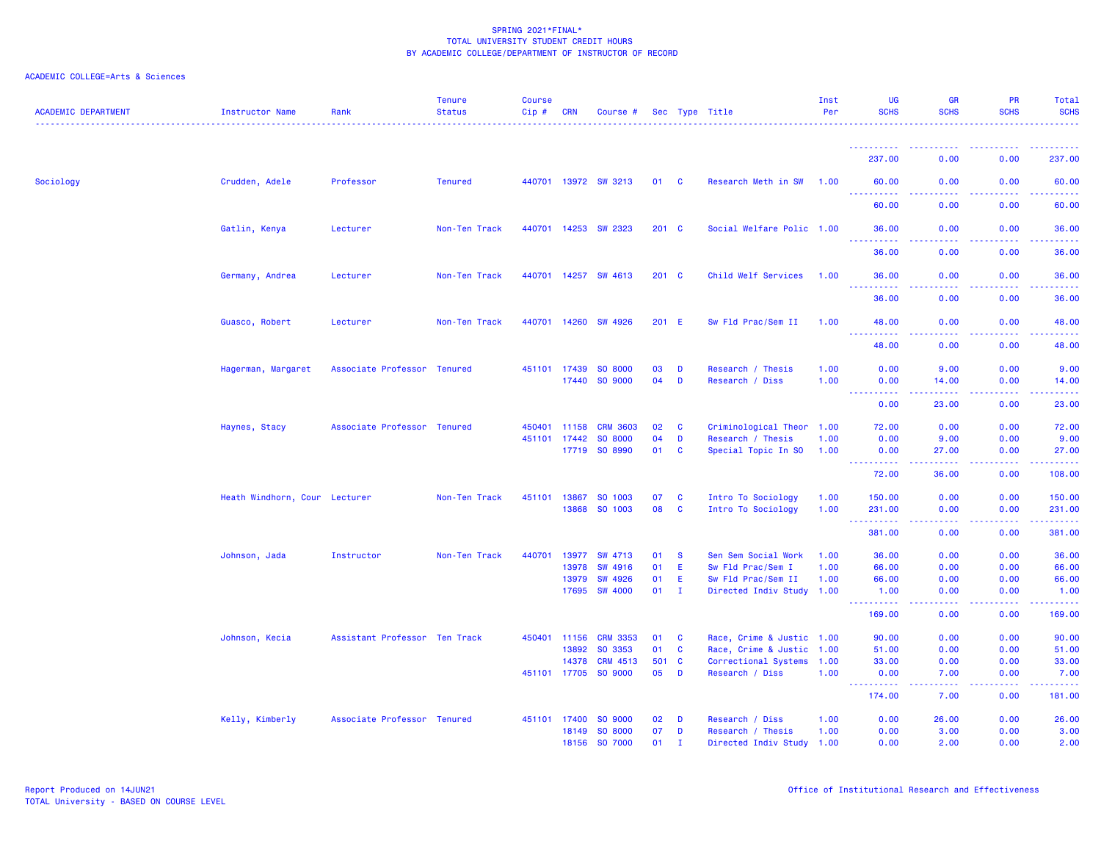| <b>ACADEMIC DEPARTMENT</b> | <b>Instructor Name</b>        | Rank                          | <b>Tenure</b><br><b>Status</b> | <b>Course</b><br>$Cip$ # | <b>CRN</b>   | Course #             |               |              | Sec Type Title            | Inst<br>Per | UG<br><b>SCHS</b>                                                                                                              | <b>GR</b><br><b>SCHS</b>            | <b>PR</b><br><b>SCHS</b>                                                                                                                                     | Total<br><b>SCHS</b>                                 |
|----------------------------|-------------------------------|-------------------------------|--------------------------------|--------------------------|--------------|----------------------|---------------|--------------|---------------------------|-------------|--------------------------------------------------------------------------------------------------------------------------------|-------------------------------------|--------------------------------------------------------------------------------------------------------------------------------------------------------------|------------------------------------------------------|
|                            |                               |                               |                                |                          |              |                      |               |              |                           |             | ----------                                                                                                                     |                                     |                                                                                                                                                              |                                                      |
|                            |                               |                               |                                |                          |              |                      |               |              |                           |             | 237.00                                                                                                                         | 0.00                                | 0.00                                                                                                                                                         | 237.00                                               |
| Sociology                  | Crudden, Adele                | Professor                     | <b>Tenured</b>                 |                          |              | 440701 13972 SW 3213 | 01 C          |              | Research Meth in SW       | 1.00        | 60.00<br><u> - - - - - - - - - -</u>                                                                                           | 0.00<br>$\sim$ $\sim$ $\sim$ $\sim$ | 0.00<br>.                                                                                                                                                    | 60.00<br>$\omega_{\rm{eff}}$ and $\omega_{\rm{eff}}$ |
|                            |                               |                               |                                |                          |              |                      |               |              |                           |             | 60.00                                                                                                                          | 0.00                                | 0.00                                                                                                                                                         | 60.00                                                |
|                            | Gatlin, Kenya                 | Lecturer                      | Non-Ten Track                  | 440701                   | 14253        | <b>SW 2323</b>       | $201$ C       |              | Social Welfare Polic 1.00 |             | 36.00<br>.                                                                                                                     | 0.00<br>المالما لمالية ا            | 0.00<br>.                                                                                                                                                    | 36.00<br>.                                           |
|                            |                               |                               |                                |                          |              |                      |               |              |                           |             | 36.00                                                                                                                          | 0.00                                | 0.00                                                                                                                                                         | 36.00                                                |
|                            | Germany, Andrea               | Lecturer                      | Non-Ten Track                  |                          |              | 440701 14257 SW 4613 | $201 \quad C$ |              | Child Welf Services       | 1.00        | 36.00<br>والمراجات<br>.                                                                                                        | 0.00<br>.                           | 0.00                                                                                                                                                         | 36.00<br>.                                           |
|                            |                               |                               |                                |                          |              |                      |               |              |                           |             | 36.00                                                                                                                          | 0.00                                | 0.00                                                                                                                                                         | 36,00                                                |
|                            | Guasco, Robert                | Lecturer                      | Non-Ten Track                  |                          | 440701 14260 | <b>SW 4926</b>       | 201 E         |              | Sw Fld Prac/Sem II        | 1.00        | 48.00                                                                                                                          | 0.00                                | 0.00                                                                                                                                                         | 48.00                                                |
|                            |                               |                               |                                |                          |              |                      |               |              |                           |             | . <b>.</b><br>48.00                                                                                                            | $\sim 100$<br>0.00                  | 0.00                                                                                                                                                         | 48.00                                                |
|                            | Hagerman, Margaret            | Associate Professor Tenured   |                                |                          | 451101 17439 | SO 8000              | 03            | D            | Research / Thesis         | 1.00        | 0.00                                                                                                                           | 9.00                                | 0.00                                                                                                                                                         | 9.00                                                 |
|                            |                               |                               |                                |                          | 17440        | SO 9000              | 04            | D            | Research / Diss           | 1.00        | 0.00<br>$\frac{1}{2} \left( \frac{1}{2} \right) \left( \frac{1}{2} \right) \left( \frac{1}{2} \right)$<br>$\sim$ $\sim$ $\sim$ | 14.00<br>.                          | 0.00<br><b>.</b>                                                                                                                                             | 14.00<br>.                                           |
|                            |                               |                               |                                |                          |              |                      |               |              |                           |             | 0.00                                                                                                                           | 23.00                               | 0.00                                                                                                                                                         | 23.00                                                |
|                            | Haynes, Stacy                 | Associate Professor Tenured   |                                | 450401                   | 11158        | <b>CRM 3603</b>      | 02            | C            | Criminological Theor 1.00 |             | 72.00                                                                                                                          | 0.00                                | 0.00                                                                                                                                                         | 72.00                                                |
|                            |                               |                               |                                | 451101                   | 17442        | SO 8000              | 04            | D            | Research / Thesis         | 1.00        | 0.00                                                                                                                           | 9.00                                | 0.00                                                                                                                                                         | 9.00                                                 |
|                            |                               |                               |                                |                          | 17719        | SO 8990              | 01            | <b>C</b>     | Special Topic In SO       | 1.00        | 0.00<br><u>.</u>                                                                                                               | 27.00<br><u>.</u>                   | 0.00<br>.                                                                                                                                                    | 27.00<br><b><i><u><u>.</u></u></i></b>               |
|                            |                               |                               |                                |                          |              |                      |               |              |                           |             | 72.00                                                                                                                          | 36.00                               | 0.00                                                                                                                                                         | 108.00                                               |
|                            | Heath Windhorn, Cour Lecturer |                               | Non-Ten Track                  | 451101                   | 13867        | SO 1003              | 07            | C            | Intro To Sociology        | 1.00        | 150.00                                                                                                                         | 0.00                                | 0.00                                                                                                                                                         | 150.00                                               |
|                            |                               |                               |                                |                          | 13868        | SO 1003              | 08            | <b>C</b>     | Intro To Sociology        | 1.00        | 231.00                                                                                                                         | 0.00                                | 0.00                                                                                                                                                         | 231.00                                               |
|                            |                               |                               |                                |                          |              |                      |               |              |                           |             | <u> - - - - - - - - - -</u><br>381.00                                                                                          | .<br>0.00                           | <b><i><u><u> - - - -</u></u></i></b><br>0.00                                                                                                                 | .<br>381.00                                          |
|                            | Johnson, Jada                 | Instructor                    | Non-Ten Track                  | 440701                   | 13977        | SW 4713              | 01            | <b>S</b>     | Sen Sem Social Work       | 1.00        | 36.00                                                                                                                          | 0.00                                | 0.00                                                                                                                                                         | 36.00                                                |
|                            |                               |                               |                                |                          | 13978        | <b>SW 4916</b>       | 01            | Ε            | Sw Fld Prac/Sem I         | 1.00        | 66.00                                                                                                                          | 0.00                                | 0.00                                                                                                                                                         | 66.00                                                |
|                            |                               |                               |                                |                          | 13979        | <b>SW 4926</b>       | 01            | E            | Sw Fld Prac/Sem II        | 1.00        | 66.00                                                                                                                          | 0.00                                | 0.00                                                                                                                                                         | 66.00                                                |
|                            |                               |                               |                                |                          | 17695        | <b>SW 4000</b>       | 01            | $\mathbf{I}$ | Directed Indiv Study 1.00 |             | 1.00<br>.                                                                                                                      | 0.00<br>د د د د                     | 0.00<br>$\frac{1}{2} \left( \frac{1}{2} \right) \left( \frac{1}{2} \right) \left( \frac{1}{2} \right) \left( \frac{1}{2} \right) \left( \frac{1}{2} \right)$ | 1.00<br>والمالم مالماني                              |
|                            |                               |                               |                                |                          |              |                      |               |              |                           |             | 169.00                                                                                                                         | 0.00                                | 0.00                                                                                                                                                         | 169.00                                               |
|                            | Johnson, Kecia                | Assistant Professor Ten Track |                                | 450401                   | 11156        | <b>CRM 3353</b>      | 01            | <b>C</b>     | Race, Crime & Justic 1.00 |             | 90.00                                                                                                                          | 0.00                                | 0.00                                                                                                                                                         | 90.00                                                |
|                            |                               |                               |                                |                          | 13892        | SO 3353              | 01            | <b>C</b>     | Race, Crime & Justic 1.00 |             | 51.00                                                                                                                          | 0.00                                | 0.00                                                                                                                                                         | 51.00                                                |
|                            |                               |                               |                                |                          | 14378        | <b>CRM 4513</b>      | 501           | $\mathbf{C}$ | Correctional Systems 1.00 |             | 33.00                                                                                                                          | 0.00                                | 0.00                                                                                                                                                         | 33.00                                                |
|                            |                               |                               |                                |                          | 451101 17705 | SO 9000              | 05            | D            | Research / Diss           | 1.00        | 0.00<br>$\sim$ $\sim$ .<br>د د د د د                                                                                           | 7.00<br>المتمام                     | 0.00<br>.                                                                                                                                                    | 7.00                                                 |
|                            |                               |                               |                                |                          |              |                      |               |              |                           |             | 174.00                                                                                                                         | 7.00                                | 0.00                                                                                                                                                         | 181.00                                               |
|                            | Kelly, Kimberly               | Associate Professor Tenured   |                                |                          | 451101 17400 | SO 9000              | 02            | D            | Research / Diss           | 1.00        | 0.00                                                                                                                           | 26.00                               | 0.00                                                                                                                                                         | 26.00                                                |
|                            |                               |                               |                                |                          | 18149        | SO 8000              | 07            | D            | Research / Thesis         | 1.00        | 0.00                                                                                                                           | 3.00                                | 0.00                                                                                                                                                         | 3.00                                                 |
|                            |                               |                               |                                |                          | 18156        | SO 7000              | 01            | $\mathbf I$  | Directed Indiv Study 1.00 |             | 0.00                                                                                                                           | 2.00                                | 0.00                                                                                                                                                         | 2.00                                                 |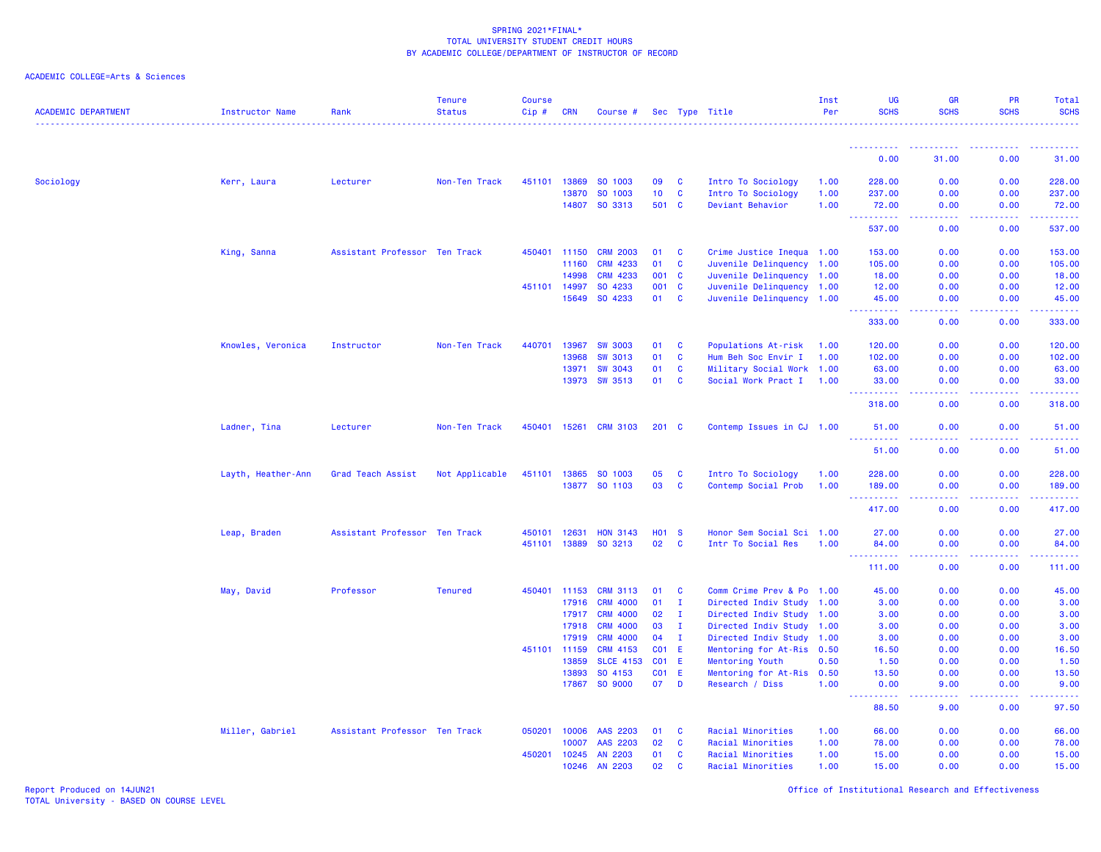# ACADEMIC COLLEGE=Arts & Sciences

| <b>ACADEMIC DEPARTMENT</b> | <b>Instructor Name</b> | Rank                          | <b>Tenure</b><br><b>Status</b> | <b>Course</b><br>Cip# | <b>CRN</b>     | Course #           |                       |                     | Sec Type Title                               | Inst<br>Per | <b>UG</b><br><b>SCHS</b>              | <b>GR</b><br><b>SCHS</b> | PR<br><b>SCHS</b> | Total<br><b>SCHS</b><br>.                                                                                                                                                                |
|----------------------------|------------------------|-------------------------------|--------------------------------|-----------------------|----------------|--------------------|-----------------------|---------------------|----------------------------------------------|-------------|---------------------------------------|--------------------------|-------------------|------------------------------------------------------------------------------------------------------------------------------------------------------------------------------------------|
|                            |                        |                               |                                |                       |                |                    |                       |                     |                                              |             | - - - - - - - - - - -                 | ----------               | .                 | .                                                                                                                                                                                        |
|                            |                        |                               |                                |                       |                |                    |                       |                     |                                              |             | 0.00                                  | 31.00                    | 0.00              | 31.00                                                                                                                                                                                    |
| Sociology                  | Kerr, Laura            | Lecturer                      | Non-Ten Track                  | 451101                | 13869          | SO 1003            | 09                    | C                   | Intro To Sociology                           | 1.00        | 228.00                                | 0.00                     | 0.00              | 228.00                                                                                                                                                                                   |
|                            |                        |                               |                                |                       | 13870          | SO 1003            | 10 <sub>1</sub>       | C                   | Intro To Sociology                           | 1.00        | 237.00                                | 0.00                     | 0.00              | 237.00                                                                                                                                                                                   |
|                            |                        |                               |                                |                       |                | 14807 SO 3313      | 501 C                 |                     | Deviant Behavior                             | 1.00        | 72.00                                 | 0.00                     | 0.00              | 72.00                                                                                                                                                                                    |
|                            |                        |                               |                                |                       |                |                    |                       |                     |                                              |             | <b>.</b> .<br>537.00                  | .<br>0.00                | -----<br>0.00     | <b><i><u><u> - - - - -</u></u></i></b><br>537.00                                                                                                                                         |
|                            | King, Sanna            | Assistant Professor Ten Track |                                |                       | 450401 11150   | <b>CRM 2003</b>    | 01                    | <b>C</b>            | Crime Justice Inequa 1.00                    |             | 153.00                                | 0.00                     | 0.00              | 153.00                                                                                                                                                                                   |
|                            |                        |                               |                                |                       | 11160          | <b>CRM 4233</b>    | 01                    | C                   | Juvenile Delinquency 1.00                    |             | 105.00                                | 0.00                     | 0.00              | 105.00                                                                                                                                                                                   |
|                            |                        |                               |                                |                       | 14998          | <b>CRM 4233</b>    | 001 C                 |                     | Juvenile Delinquency 1.00                    |             | 18.00                                 | 0.00                     | 0.00              | 18.00                                                                                                                                                                                    |
|                            |                        |                               |                                |                       | 451101 14997   | SO 4233            | 001 C                 |                     | Juvenile Delinquency 1.00                    |             | 12.00                                 | 0.00                     | 0.00              | 12.00                                                                                                                                                                                    |
|                            |                        |                               |                                |                       | 15649          | SO 4233            | 01                    | $\mathbf{C}$        | Juvenile Delinquency 1.00                    |             | 45.00<br>----------                   | 0.00<br>.                | 0.00<br>22222     | 45.00<br>$\frac{1}{2} \left( \frac{1}{2} \right) \left( \frac{1}{2} \right) \left( \frac{1}{2} \right) \left( \frac{1}{2} \right) \left( \frac{1}{2} \right) \left( \frac{1}{2} \right)$ |
|                            |                        |                               |                                |                       |                |                    |                       |                     |                                              |             | 333.00                                | 0.00                     | 0.00              | 333.00                                                                                                                                                                                   |
|                            | Knowles, Veronica      | Instructor                    | Non-Ten Track                  | 440701                | 13967          | <b>SW 3003</b>     | 01                    | $\mathbf{C}$        | Populations At-risk                          | 1.00        | 120.00                                | 0.00                     | 0.00              | 120.00                                                                                                                                                                                   |
|                            |                        |                               |                                |                       | 13968          | <b>SW 3013</b>     | 01                    | $\mathbf{C}$        | Hum Beh Soc Envir I                          | 1.00        | 102.00                                | 0.00                     | 0.00              | 102.00                                                                                                                                                                                   |
|                            |                        |                               |                                |                       | 13971          | <b>SW 3043</b>     | 01                    | <b>C</b>            | Military Social Work 1.00                    |             | 63.00                                 | 0.00                     | 0.00              | 63.00                                                                                                                                                                                    |
|                            |                        |                               |                                |                       | 13973          | <b>SW 3513</b>     | 01                    | <b>C</b>            | Social Work Pract I                          | 1.00        | 33.00<br>----------                   | 0.00<br>د د د د          | 0.00<br>.         | 33.00<br>$\frac{1}{2} \left( \frac{1}{2} \right) \left( \frac{1}{2} \right) \left( \frac{1}{2} \right) \left( \frac{1}{2} \right) \left( \frac{1}{2} \right) \left( \frac{1}{2} \right)$ |
|                            |                        |                               |                                |                       |                |                    |                       |                     |                                              |             | 318.00                                | 0.00                     | 0.00              | 318.00                                                                                                                                                                                   |
|                            | Ladner, Tina           | Lecturer                      | Non-Ten Track                  | 450401                | 15261          | <b>CRM 3103</b>    | $201$ C               |                     | Contemp Issues in CJ 1.00                    |             | 51.00                                 | 0.00                     | 0.00              | 51.00                                                                                                                                                                                    |
|                            |                        |                               |                                |                       |                |                    |                       |                     |                                              |             | 51.00                                 | 0.00                     | 0.00              | 51.00                                                                                                                                                                                    |
|                            | Layth, Heather-Ann     | Grad Teach Assist             | Not Applicable                 |                       | 451101 13865   | SO 1003            | 05                    | <b>C</b>            | Intro To Sociology                           | 1.00        | 228.00                                | 0.00                     | 0.00              | 228.00                                                                                                                                                                                   |
|                            |                        |                               |                                |                       | 13877          | SO 1103            | 03                    | C                   | Contemp Social Prob                          | 1.00        | 189.00                                | 0.00                     | 0.00              | 189.00                                                                                                                                                                                   |
|                            |                        |                               |                                |                       |                |                    |                       |                     |                                              |             | <u> - - - - - - - - - -</u>           | .                        | .                 | .                                                                                                                                                                                        |
|                            |                        |                               |                                |                       |                |                    |                       |                     |                                              |             | 417.00                                | 0.00                     | 0.00              | 417.00                                                                                                                                                                                   |
|                            | Leap, Braden           | Assistant Professor Ten Track |                                | 450101 12631          |                | <b>HON 3143</b>    | <b>HO1 S</b>          |                     | Honor Sem Social Sci 1.00                    |             | 27.00                                 | 0.00                     | 0.00              | 27.00                                                                                                                                                                                    |
|                            |                        |                               |                                |                       | 451101 13889   | SO 3213            | 02                    | <b>C</b>            | Intr To Social Res                           | 1.00        | 84.00                                 | 0.00                     | 0.00              | 84.00                                                                                                                                                                                    |
|                            |                        |                               |                                |                       |                |                    |                       |                     |                                              |             | <u> - - - - - - - - - -</u><br>111.00 | .<br>0.00                | .<br>0.00         | .<br>111.00                                                                                                                                                                              |
|                            | May, David             | Professor                     | <b>Tenured</b>                 | 450401                | 11153          | <b>CRM 3113</b>    | 01                    | C                   | Comm Crime Prev & Po                         | 1.00        | 45.00                                 | 0.00                     | 0.00              | 45.00                                                                                                                                                                                    |
|                            |                        |                               |                                |                       | 17916          | <b>CRM 4000</b>    | 01                    | $\mathbf I$         | Directed Indiv Study 1.00                    |             | 3.00                                  | 0.00                     | 0.00              | 3.00                                                                                                                                                                                     |
|                            |                        |                               |                                |                       | 17917          | <b>CRM 4000</b>    | 02                    | $\mathbf{I}$        | Directed Indiv Study 1.00                    |             | 3.00                                  | 0.00                     | 0.00              | 3.00                                                                                                                                                                                     |
|                            |                        |                               |                                |                       | 17918          | <b>CRM 4000</b>    | 03                    | $\mathbf{I}$        | Directed Indiv Study 1.00                    |             | 3.00                                  | 0.00                     | 0.00              | 3.00                                                                                                                                                                                     |
|                            |                        |                               |                                |                       | 17919          | <b>CRM 4000</b>    | 04                    | $\mathbf{I}$        | Directed Indiv Study 1.00                    |             | 3.00                                  | 0.00                     | 0.00              | 3.00                                                                                                                                                                                     |
|                            |                        |                               |                                |                       | 451101 11159   | <b>CRM 4153</b>    | CO <sub>1</sub>       | - E                 | Mentoring for At-Ris 0.50                    |             | 16.50                                 | 0.00                     | 0.00              | 16.50                                                                                                                                                                                    |
|                            |                        |                               |                                |                       | 13859          | <b>SLCE 4153</b>   | CO <sub>1</sub>       | E                   | Mentoring Youth                              | 0.50        | 1.50                                  | 0.00                     | 0.00              | 1.50                                                                                                                                                                                     |
|                            |                        |                               |                                |                       | 13893<br>17867 | SO 4153<br>SO 9000 | CO <sub>1</sub><br>07 | - E<br>$\mathbf{D}$ | Mentoring for At-Ris 0.50<br>Research / Diss | 1.00        | 13.50<br>0.00                         | 0.00<br>9.00             | 0.00<br>0.00      | 13.50<br>9.00                                                                                                                                                                            |
|                            |                        |                               |                                |                       |                |                    |                       |                     |                                              |             | د د د د د                             |                          |                   |                                                                                                                                                                                          |
|                            |                        |                               |                                |                       |                |                    |                       |                     |                                              |             | 88.50                                 | 9.00                     | 0.00              | 97.50                                                                                                                                                                                    |
|                            | Miller, Gabriel        | Assistant Professor Ten Track |                                | 050201                | 10006          | AAS 2203           | 01                    | C                   | Racial Minorities                            | 1.00        | 66.00                                 | 0.00                     | 0.00              | 66.00                                                                                                                                                                                    |
|                            |                        |                               |                                |                       | 10007          | AAS 2203           | 02                    | C                   | Racial Minorities                            | 1.00        | 78.00                                 | 0.00                     | 0.00              | 78.00                                                                                                                                                                                    |
|                            |                        |                               |                                | 450201                | 10245          | <b>AN 2203</b>     | 01                    | C                   | Racial Minorities                            | 1.00        | 15.00                                 | 0.00                     | 0.00              | 15.00                                                                                                                                                                                    |
|                            |                        |                               |                                |                       | 10246          | AN 2203            | 02                    | <b>C</b>            | Racial Minorities                            | 1.00        | 15.00                                 | 0.00                     | 0.00              | 15.00                                                                                                                                                                                    |

Report Produced on 14JUN21 Office of Institutional Research and Effectiveness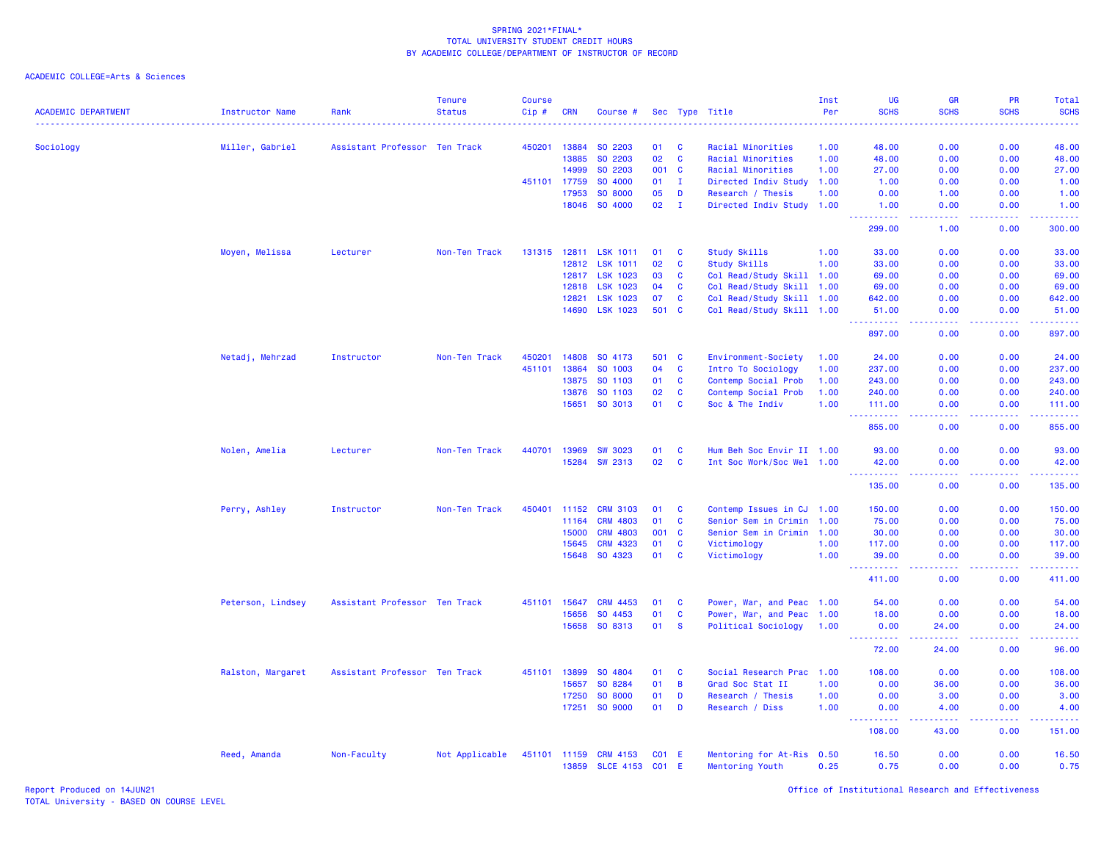ACADEMIC COLLEGE=Arts & Sciences

| <b>ACADEMIC DEPARTMENT</b> | <b>Instructor Name</b> | Rank                          | <b>Tenure</b><br><b>Status</b> | <b>Course</b><br>Cip# | <b>CRN</b> | Course #                           |         |              | Sec Type Title                               | Inst<br>Per | <b>UG</b><br><b>SCHS</b> | GR<br><b>SCHS</b>                                                                                                                                             | PR<br><b>SCHS</b>                                                                                                                                            | Total<br><b>SCHS</b>                                                                                                                                           |
|----------------------------|------------------------|-------------------------------|--------------------------------|-----------------------|------------|------------------------------------|---------|--------------|----------------------------------------------|-------------|--------------------------|---------------------------------------------------------------------------------------------------------------------------------------------------------------|--------------------------------------------------------------------------------------------------------------------------------------------------------------|----------------------------------------------------------------------------------------------------------------------------------------------------------------|
| Sociology                  | Miller, Gabriel        | Assistant Professor Ten Track |                                | 450201                | 13884      | SO 2203                            | 01      | C            | Racial Minorities                            | 1.00        | 48.00                    | 0.00                                                                                                                                                          | 0.00                                                                                                                                                         | 48.00                                                                                                                                                          |
|                            |                        |                               |                                |                       | 13885      | SO 2203                            | 02      | <b>C</b>     | Racial Minorities                            | 1.00        | 48.00                    | 0.00                                                                                                                                                          | 0.00                                                                                                                                                         | 48.00                                                                                                                                                          |
|                            |                        |                               |                                |                       | 14999      | SO 2203                            | 001 C   |              | Racial Minorities                            | 1.00        | 27.00                    | 0.00                                                                                                                                                          | 0.00                                                                                                                                                         | 27.00                                                                                                                                                          |
|                            |                        |                               |                                | 451101                | 17759      | SO 4000                            | 01      | $\mathbf{I}$ | Directed Indiv Study                         | 1.00        | 1.00                     | 0.00                                                                                                                                                          | 0.00                                                                                                                                                         | 1.00                                                                                                                                                           |
|                            |                        |                               |                                |                       | 17953      | SO 8000                            | 05      | D            | Research / Thesis                            | 1.00        | 0.00                     | 1.00                                                                                                                                                          | 0.00                                                                                                                                                         | 1.00                                                                                                                                                           |
|                            |                        |                               |                                |                       | 18046      | SO 4000                            | 02      | $\mathbf{I}$ | Directed Indiv Study 1.00                    |             | 1.00                     | 0.00                                                                                                                                                          | 0.00                                                                                                                                                         | 1.00                                                                                                                                                           |
|                            |                        |                               |                                |                       |            |                                    |         |              |                                              |             | 299.00                   | 1.00                                                                                                                                                          | 0.00                                                                                                                                                         | 300.00                                                                                                                                                         |
|                            | Moyen, Melissa         | Lecturer                      | Non-Ten Track                  | 131315 12811          |            | <b>LSK 1011</b>                    | 01      | <b>C</b>     | <b>Study Skills</b>                          | 1.00        | 33.00                    | 0.00                                                                                                                                                          | 0.00                                                                                                                                                         | 33.00                                                                                                                                                          |
|                            |                        |                               |                                |                       | 12812      | <b>LSK 1011</b>                    | 02      | C            | <b>Study Skills</b>                          | 1.00        | 33.00                    | 0.00                                                                                                                                                          | 0.00                                                                                                                                                         | 33.00                                                                                                                                                          |
|                            |                        |                               |                                |                       | 12817      | <b>LSK 1023</b>                    | 03      | C            | Col Read/Study Skill 1.00                    |             | 69.00                    | 0.00                                                                                                                                                          | 0.00                                                                                                                                                         | 69.00                                                                                                                                                          |
|                            |                        |                               |                                |                       | 12818      | <b>LSK 1023</b>                    | 04      | <b>C</b>     | Col Read/Study Skill 1.00                    |             | 69.00                    | 0.00                                                                                                                                                          | 0.00                                                                                                                                                         | 69.00                                                                                                                                                          |
|                            |                        |                               |                                |                       | 12821      | <b>LSK 1023</b>                    | 07      | C            | Col Read/Study Skill 1.00                    |             | 642.00                   | 0.00                                                                                                                                                          | 0.00                                                                                                                                                         | 642.00                                                                                                                                                         |
|                            |                        |                               |                                |                       | 14690      | <b>LSK 1023</b>                    | 501     | $\mathbf{C}$ | Col Read/Study Skill 1.00                    |             | 51.00<br>.               | 0.00                                                                                                                                                          | 0.00                                                                                                                                                         | 51.00<br>.                                                                                                                                                     |
|                            |                        |                               |                                |                       |            |                                    |         |              |                                              |             | 897.00                   | 0.00                                                                                                                                                          | 0.00                                                                                                                                                         | 897.00                                                                                                                                                         |
|                            | Netadj, Mehrzad        | Instructor                    | Non-Ten Track                  | 450201                | 14808      | SO 4173                            | 501 C   |              | Environment-Society                          | 1.00        | 24.00                    | 0.00                                                                                                                                                          | 0.00                                                                                                                                                         | 24.00                                                                                                                                                          |
|                            |                        |                               |                                | 451101                | 13864      | SO 1003                            | 04      | C            | Intro To Sociology                           | 1.00        | 237.00                   | 0.00                                                                                                                                                          | 0.00                                                                                                                                                         | 237.00                                                                                                                                                         |
|                            |                        |                               |                                |                       | 13875      | SO 1103                            | 01      | C            | Contemp Social Prob                          | 1.00        | 243.00                   | 0.00                                                                                                                                                          | 0.00                                                                                                                                                         | 243.00                                                                                                                                                         |
|                            |                        |                               |                                |                       | 13876      | SO 1103                            | 02      | C            | Contemp Social Prob                          | 1.00        | 240.00                   | 0.00                                                                                                                                                          | 0.00                                                                                                                                                         | 240.00                                                                                                                                                         |
|                            |                        |                               |                                |                       | 15651      | SO 3013                            | 01      | C            | Soc & The Indiv                              | 1.00        | 111.00<br>.              | 0.00<br>ولايات                                                                                                                                                | 0.00<br>.                                                                                                                                                    | 111.00<br>$\frac{1}{2} \left( \frac{1}{2} \right) \left( \frac{1}{2} \right) \left( \frac{1}{2} \right) \left( \frac{1}{2} \right) \left( \frac{1}{2} \right)$ |
|                            |                        |                               |                                |                       |            |                                    |         |              |                                              |             | 855.00                   | 0.00                                                                                                                                                          | 0.00                                                                                                                                                         | 855.00                                                                                                                                                         |
|                            | Nolen, Amelia          | Lecturer                      | Non-Ten Track                  | 440701                | 13969      | <b>SW 3023</b>                     | 01      | C            | Hum Beh Soc Envir II 1.00                    |             | 93.00                    | 0.00                                                                                                                                                          | 0.00                                                                                                                                                         | 93.00                                                                                                                                                          |
|                            |                        |                               |                                |                       | 15284      | SW 2313                            | 02      | $\mathbf{C}$ | Int Soc Work/Soc Wel 1.00                    |             | 42.00<br>.<br>444        | 0.00<br>د د د د                                                                                                                                               | 0.00<br>$\frac{1}{2} \left( \frac{1}{2} \right) \left( \frac{1}{2} \right) \left( \frac{1}{2} \right) \left( \frac{1}{2} \right) \left( \frac{1}{2} \right)$ | 42.00<br>$\frac{1}{2} \left( \frac{1}{2} \right) \left( \frac{1}{2} \right) \left( \frac{1}{2} \right) \left( \frac{1}{2} \right) \left( \frac{1}{2} \right)$  |
|                            |                        |                               |                                |                       |            |                                    |         |              |                                              |             | 135.00                   | 0.00                                                                                                                                                          | 0.00                                                                                                                                                         | 135.00                                                                                                                                                         |
|                            | Perry, Ashley          | Instructor                    | Non-Ten Track                  | 450401                | 11152      | <b>CRM 3103</b>                    | 01      | <b>C</b>     | Contemp Issues in CJ 1.00                    |             | 150.00                   | 0.00                                                                                                                                                          | 0.00                                                                                                                                                         | 150.00                                                                                                                                                         |
|                            |                        |                               |                                |                       | 11164      | <b>CRM 4803</b>                    | 01      | C            | Senior Sem in Crimin 1.00                    |             | 75.00                    | 0.00                                                                                                                                                          | 0.00                                                                                                                                                         | 75.00                                                                                                                                                          |
|                            |                        |                               |                                |                       | 15000      | <b>CRM 4803</b>                    | 001     | <b>C</b>     | Senior Sem in Crimin 1.00                    |             | 30.00                    | 0.00                                                                                                                                                          | 0.00                                                                                                                                                         | 30.00                                                                                                                                                          |
|                            |                        |                               |                                |                       | 15645      | <b>CRM 4323</b>                    | 01      | C            | Victimology                                  | 1.00        | 117.00                   | 0.00                                                                                                                                                          | 0.00                                                                                                                                                         | 117.00                                                                                                                                                         |
|                            |                        |                               |                                |                       | 15648      | SO 4323                            | 01      | C            | Victimology                                  | 1.00        | 39.00<br>444             | 0.00<br>$\frac{1}{2} \left( \frac{1}{2} \right) \left( \frac{1}{2} \right) \left( \frac{1}{2} \right)$                                                        | 0.00<br>22222                                                                                                                                                | 39.00<br>2.2.2.2.1                                                                                                                                             |
|                            |                        |                               |                                |                       |            |                                    |         |              |                                              |             | 411.00                   | 0.00                                                                                                                                                          | 0.00                                                                                                                                                         | 411.00                                                                                                                                                         |
|                            | Peterson, Lindsey      | Assistant Professor Ten Track |                                | 451101                | 15647      | <b>CRM 4453</b>                    | 01      | C            | Power, War, and Peac 1.00                    |             | 54.00                    | 0.00                                                                                                                                                          | 0.00                                                                                                                                                         | 54.00                                                                                                                                                          |
|                            |                        |                               |                                |                       | 15656      | SO 4453                            | 01      | C            | Power, War, and Peac 1.00                    |             | 18.00                    | 0.00                                                                                                                                                          | 0.00                                                                                                                                                         | 18.00                                                                                                                                                          |
|                            |                        |                               |                                |                       | 15658      | SO 8313                            | 01      | <b>S</b>     | Political Sociology                          | 1.00        | 0.00                     | 24.00                                                                                                                                                         | 0.00                                                                                                                                                         | 24.00                                                                                                                                                          |
|                            |                        |                               |                                |                       |            |                                    |         |              |                                              |             | ----------<br>72.00      | $\frac{1}{2} \left( \frac{1}{2} \right) \left( \frac{1}{2} \right) \left( \frac{1}{2} \right) \left( \frac{1}{2} \right) \left( \frac{1}{2} \right)$<br>24.00 | $\frac{1}{2} \left( \frac{1}{2} \right) \left( \frac{1}{2} \right) \left( \frac{1}{2} \right) \left( \frac{1}{2} \right) \left( \frac{1}{2} \right)$<br>0.00 | .<br>96.00                                                                                                                                                     |
|                            | Ralston, Margaret      | Assistant Professor Ten Track |                                | 451101                | 13899      | SO 4804                            | 01      | C            | Social Research Prac 1.00                    |             | 108.00                   | 0.00                                                                                                                                                          | 0.00                                                                                                                                                         | 108.00                                                                                                                                                         |
|                            |                        |                               |                                |                       | 15657      | SO 8284                            | 01      | B            | Grad Soc Stat II                             | 1.00        | 0.00                     | 36.00                                                                                                                                                         | 0.00                                                                                                                                                         | 36.00                                                                                                                                                          |
|                            |                        |                               |                                |                       | 17250      | SO 8000                            | 01      | D            | Research / Thesis                            | 1.00        | 0.00                     | 3.00                                                                                                                                                          | 0.00                                                                                                                                                         | 3.00                                                                                                                                                           |
|                            |                        |                               |                                |                       | 17251      | SO 9000                            | 01      | D            | Research / Diss                              | 1.00        | 0.00<br>----------       | 4.00<br>-----                                                                                                                                                 | 0.00<br><b><i><u><u> - - - -</u></u></i></b>                                                                                                                 | 4.00<br>المتمام والمناور                                                                                                                                       |
|                            |                        |                               |                                |                       |            |                                    |         |              |                                              |             | 108.00                   | 43.00                                                                                                                                                         | 0.00                                                                                                                                                         | 151.00                                                                                                                                                         |
|                            | Reed, Amanda           | Non-Faculty                   | Not Applicable                 | 451101 11159          | 13859      | <b>CRM 4153</b><br>SLCE 4153 C01 E | $CO1$ E |              | Mentoring for At-Ris 0.50<br>Mentoring Youth | 0.25        | 16.50<br>0.75            | 0.00<br>0.00                                                                                                                                                  | 0.00<br>0.00                                                                                                                                                 | 16.50<br>0.75                                                                                                                                                  |
|                            |                        |                               |                                |                       |            |                                    |         |              |                                              |             |                          |                                                                                                                                                               |                                                                                                                                                              |                                                                                                                                                                |

Report Produced on 14JUN21 Office of Institutional Research and Effectiveness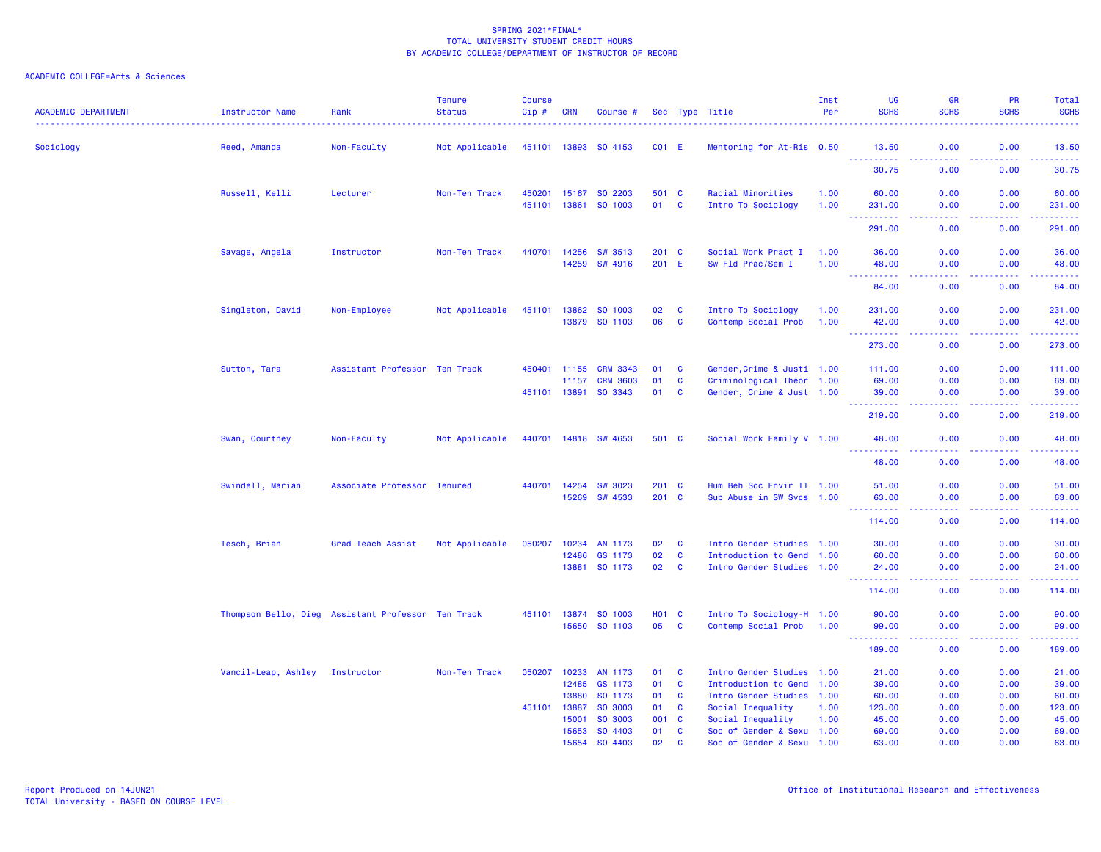| <b>ACADEMIC DEPARTMENT</b> | <b>Instructor Name</b>                             | Rank                          | <b>Tenure</b><br><b>Status</b> | <b>Course</b><br>$Cip \#$ | <b>CRN</b>            | Course #                   |                |                              | Sec Type Title                                         | Inst<br>Per  | UG<br><b>SCHS</b>                  | <b>GR</b><br><b>SCHS</b>                                                                                                          | <b>PR</b><br><b>SCHS</b> | Total<br><b>SCHS</b>     |
|----------------------------|----------------------------------------------------|-------------------------------|--------------------------------|---------------------------|-----------------------|----------------------------|----------------|------------------------------|--------------------------------------------------------|--------------|------------------------------------|-----------------------------------------------------------------------------------------------------------------------------------|--------------------------|--------------------------|
| Sociology                  | Reed, Amanda                                       | Non-Faculty                   | Not Applicable                 |                           |                       | 451101 13893 SO 4153       | $CO1$ E        |                              | Mentoring for At-Ris 0.50                              |              | 13.50                              | 0.00                                                                                                                              | 0.00                     | 13.50                    |
|                            |                                                    |                               |                                |                           |                       |                            |                |                              |                                                        |              | $\sim$ $\sim$ $\sim$<br>.<br>30.75 | $\frac{1}{2} \left( \frac{1}{2} \right) \left( \frac{1}{2} \right) \left( \frac{1}{2} \right) \left( \frac{1}{2} \right)$<br>0.00 | -----<br>0.00            | .<br>30.75               |
|                            | Russell, Kelli                                     | Lecturer                      | Non-Ten Track                  | 450201                    | 15167<br>451101 13861 | SO 2203<br>SO 1003         | 501 C<br>01    | $\mathbf{C}$                 | Racial Minorities<br>Intro To Sociology                | 1.00<br>1.00 | 60.00<br>231.00                    | 0.00<br>0.00                                                                                                                      | 0.00<br>0.00             | 60.00<br>231.00          |
|                            |                                                    |                               |                                |                           |                       |                            |                |                              |                                                        |              | د د د د د<br>291.00                | 0.00                                                                                                                              | 0.00                     | ------<br>291.00         |
|                            | Savage, Angela                                     | Instructor                    | Non-Ten Track                  | 440701                    | 14256                 | <b>SW 3513</b>             | 201 C          |                              | Social Work Pract I                                    | 1.00         | 36.00                              | 0.00                                                                                                                              | 0.00                     | 36.00                    |
|                            |                                                    |                               |                                |                           | 14259                 | <b>SW 4916</b>             | 201 E          |                              | Sw Fld Prac/Sem I                                      | 1.00         | 48.00<br>.                         | 0.00<br>$\sim$ $\sim$ $\sim$ $\sim$                                                                                               | 0.00<br>المالمات         | 48.00<br>.               |
|                            |                                                    |                               |                                |                           |                       |                            |                |                              |                                                        |              | 84.00                              | 0.00                                                                                                                              | 0.00                     | 84.00                    |
|                            | Singleton, David                                   | Non-Employee                  | Not Applicable                 | 451101 13862              |                       | SO 1003<br>13879 SO 1103   | 02<br>06       | $\mathbf{C}$<br>$\mathbf{C}$ | Intro To Sociology<br>Contemp Social Prob              | 1.00<br>1.00 | 231.00<br>42.00                    | 0.00<br>0.00                                                                                                                      | 0.00<br>0.00             | 231.00<br>42.00          |
|                            |                                                    |                               |                                |                           |                       |                            |                |                              |                                                        |              | .<br>273.00                        | $- - - -$<br>0.00                                                                                                                 | .<br>0.00                | .<br>273.00              |
|                            | Sutton, Tara                                       | Assistant Professor Ten Track |                                |                           | 450401 11155          | <b>CRM 3343</b>            | 01             | <b>C</b>                     | Gender, Crime & Justi 1.00                             |              | 111.00                             | 0.00                                                                                                                              | 0.00                     | 111.00                   |
|                            |                                                    |                               |                                | 451101 13891              | 11157                 | <b>CRM 3603</b><br>SO 3343 | 01<br>01       | C<br>$\mathbf{C}$            | Criminological Theor 1.00<br>Gender, Crime & Just 1.00 |              | 69.00<br>39.00                     | 0.00<br>0.00<br>.                                                                                                                 | 0.00<br>0.00<br>بالأباد  | 69.00<br>39.00<br>وعامات |
|                            |                                                    |                               |                                |                           |                       |                            |                |                              |                                                        |              | 219.00                             | 0.00                                                                                                                              | 0.00                     | 219.00                   |
|                            | Swan, Courtney                                     | Non-Faculty                   | Not Applicable                 |                           |                       | 440701 14818 SW 4653       | 501 C          |                              | Social Work Family V 1.00                              |              | 48.00<br><u>.</u>                  | 0.00<br>$\frac{1}{2} \left( \frac{1}{2} \right) \left( \frac{1}{2} \right) \left( \frac{1}{2} \right) \left( \frac{1}{2} \right)$ | 0.00<br>.                | 48.00<br>.               |
|                            |                                                    |                               |                                |                           |                       |                            |                |                              |                                                        |              | 48.00                              | 0.00                                                                                                                              | 0.00                     | 48.00                    |
|                            | Swindell, Marian                                   | Associate Professor Tenured   |                                |                           | 440701 14254<br>15269 | <b>SW 3023</b><br>SW 4533  | 201 C<br>201 C |                              | Hum Beh Soc Envir II 1.00<br>Sub Abuse in SW Svcs 1.00 |              | 51.00<br>63.00                     | 0.00<br>0.00                                                                                                                      | 0.00<br>0.00             | 51.00<br>63.00           |
|                            |                                                    |                               |                                |                           |                       |                            |                |                              |                                                        |              | .                                  | $\sim$ $\sim$ $\sim$ $\sim$                                                                                                       | .                        | .<br>114.00              |
|                            | Tesch, Brian                                       | Grad Teach Assist             | Not Applicable                 | 050207                    | 10234                 | AN 1173                    | 02             | $\mathbf{C}$                 | Intro Gender Studies 1.00                              |              | 114.00<br>30.00                    | 0.00<br>0.00                                                                                                                      | 0.00<br>0.00             | 30.00                    |
|                            |                                                    |                               |                                |                           | 12486                 | GS 1173                    | 02             | $\mathbf{C}$                 | Introduction to Gend 1.00                              |              | 60.00                              | 0.00                                                                                                                              | 0.00                     | 60.00                    |
|                            |                                                    |                               |                                |                           |                       | 13881 SO 1173              | 02             | $\mathbf{C}$                 | Intro Gender Studies 1.00                              |              | 24.00<br>د د د د د                 | 0.00<br>$\frac{1}{2} \left( \frac{1}{2} \right) \left( \frac{1}{2} \right) \left( \frac{1}{2} \right) \left( \frac{1}{2} \right)$ | 0.00<br>د د د د          | 24.00<br>وعامات          |
|                            |                                                    |                               |                                |                           |                       |                            |                |                              |                                                        |              | 114.00                             | 0.00                                                                                                                              | 0.00                     | 114.00                   |
|                            | Thompson Bello, Dieg Assistant Professor Ten Track |                               |                                |                           |                       | 451101 13874 SO 1003       | <b>HO1 C</b>   |                              | Intro To Sociology-H 1.00                              |              | 90.00                              | 0.00                                                                                                                              | 0.00                     | 90.00                    |
|                            |                                                    |                               |                                |                           |                       | 15650 SO 1103              | 05             | $\mathbf{C}$                 | Contemp Social Prob                                    | 1.00         | 99.00<br>-----                     | 0.00<br>$- - - -$                                                                                                                 | 0.00<br>.                | 99.00<br>.               |
|                            |                                                    |                               |                                |                           |                       |                            |                |                              |                                                        |              | 189.00                             | 0.00                                                                                                                              | 0.00                     | 189.00                   |
|                            | Vancil-Leap, Ashley                                | Instructor                    | Non-Ten Track                  | 050207                    | 10233                 | AN 1173                    | 01             | $\mathbf{C}$                 | Intro Gender Studies 1.00                              |              | 21.00                              | 0.00                                                                                                                              | 0.00                     | 21.00                    |
|                            |                                                    |                               |                                |                           | 12485                 | GS 1173                    | 01             | $\mathbf{C}$                 | Introduction to Gend 1.00                              |              | 39.00                              | 0.00                                                                                                                              | 0.00                     | 39.00                    |
|                            |                                                    |                               |                                |                           | 13880                 | SO 1173                    | 01             | $\mathbf{C}$                 | Intro Gender Studies 1.00                              |              | 60.00                              | 0.00                                                                                                                              | 0.00                     | 60.00                    |
|                            |                                                    |                               |                                | 451101                    | 13887                 | SO 3003                    | 01             | $\mathbf{C}$                 | Social Inequality                                      | 1.00         | 123.00                             | 0.00                                                                                                                              | 0.00                     | 123.00                   |
|                            |                                                    |                               |                                |                           | 15001                 | SO 3003                    | 001            | $\mathbf{C}$                 | Social Inequality                                      | 1.00         | 45.00                              | 0.00                                                                                                                              | 0.00                     | 45.00                    |
|                            |                                                    |                               |                                |                           | 15653                 | SO 4403                    | 01             | C                            | Soc of Gender & Sexu 1.00                              |              | 69.00                              | 0.00                                                                                                                              | 0.00                     | 69.00                    |
|                            |                                                    |                               |                                |                           | 15654                 | SO 4403                    | 02             | <b>C</b>                     | Soc of Gender & Sexu 1.00                              |              | 63.00                              | 0.00                                                                                                                              | 0.00                     | 63.00                    |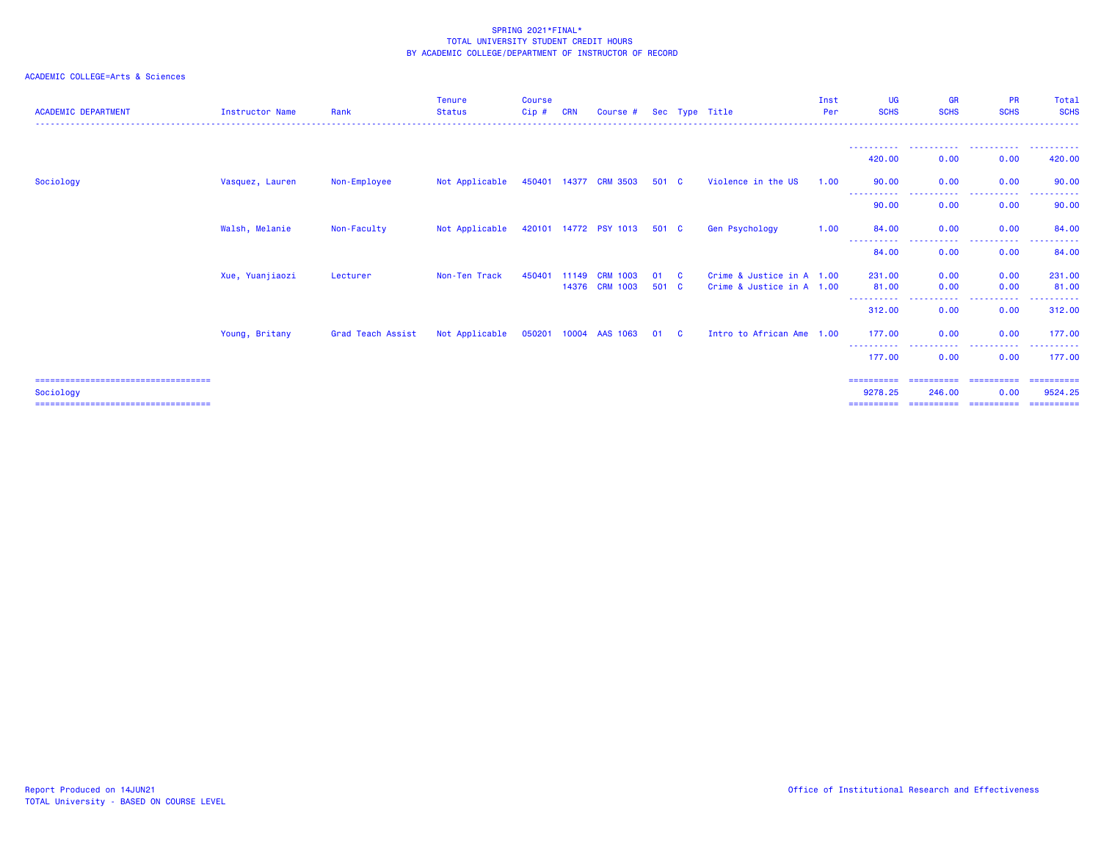| <b>ACADEMIC DEPARTMENT</b>                          | <b>Instructor Name</b> | Rank              | <b>Tenure</b><br><b>Status</b> | <b>Course</b><br>$Cip$ # | <b>CRN</b> | Course #              |       |              | Sec Type Title            | Inst<br>Per | <b>UG</b><br><b>SCHS</b> | <b>GR</b><br><b>SCHS</b>                      | <b>PR</b><br><b>SCHS</b><br>--------------------------------- | Total<br><b>SCHS</b>    |
|-----------------------------------------------------|------------------------|-------------------|--------------------------------|--------------------------|------------|-----------------------|-------|--------------|---------------------------|-------------|--------------------------|-----------------------------------------------|---------------------------------------------------------------|-------------------------|
|                                                     |                        |                   |                                |                          |            |                       |       |              |                           |             |                          |                                               |                                                               |                         |
|                                                     |                        |                   |                                |                          |            |                       |       |              |                           |             | 420,00                   | 0.00                                          | .<br>0.00                                                     | .<br>420.00             |
| Sociology                                           | Vasquez, Lauren        | Non-Employee      | Not Applicable                 |                          |            | 450401 14377 CRM 3503 | 501 C |              | Violence in the US        | 1.00        | 90.00                    | 0.00                                          | 0.00                                                          | 90.00                   |
|                                                     |                        |                   |                                |                          |            |                       |       |              |                           |             | -----------<br>90.00     | .<br>0.00                                     | ----------<br>0.00                                            | ----------<br>90.00     |
|                                                     | Walsh, Melanie         | Non-Faculty       | Not Applicable                 |                          |            | 420101 14772 PSY 1013 | 501 C |              | Gen Psychology            | 1.00        | 84.00                    | 0.00                                          | 0.00                                                          | 84.00                   |
|                                                     |                        |                   |                                |                          |            |                       |       |              |                           |             | ----------<br>84.00      | . <b>.</b> .<br>0.00                          | ----------<br>0.00                                            | ------<br>84.00         |
|                                                     |                        |                   | Non-Ten Track                  | 450401                   | 11149      | <b>CRM 1003</b>       | 01    | $\mathbf{C}$ | Crime & Justice in A 1.00 |             | 231,00                   | 0.00                                          |                                                               | 231.00                  |
|                                                     | Xue, Yuanjiaozi        | Lecturer          |                                |                          | 14376      | <b>CRM 1003</b>       | 501 C |              | Crime & Justice in A 1.00 |             | 81.00                    | 0.00                                          | 0.00<br>0.00                                                  | 81.00                   |
|                                                     |                        |                   |                                |                          |            |                       |       |              |                           |             | <u>.</u><br>312.00       | .<br>0.00                                     | .<br>0.00                                                     | ------<br>312,00        |
|                                                     | Young, Britany         | Grad Teach Assist | Not Applicable                 | 050201 10004             |            | AAS 1063              | 01    | $\mathbf{C}$ | Intro to African Ame 1.00 |             | 177,00                   | 0.00                                          | 0.00                                                          | 177.00                  |
|                                                     |                        |                   |                                |                          |            |                       |       |              |                           |             | ----------<br>177.00     | -----------<br>0.00                           | ----------<br>0.00                                            | ----------<br>177.00    |
| ======================================              |                        |                   |                                |                          |            |                       |       |              |                           |             | ==========               | ==========                                    | ==========                                                    | - ==========            |
| Sociology<br>====================================== |                        |                   |                                |                          |            |                       |       |              |                           |             | 9278.25                  | 246.00<br>=================================== | 0.00                                                          | 9524.25<br>- ========== |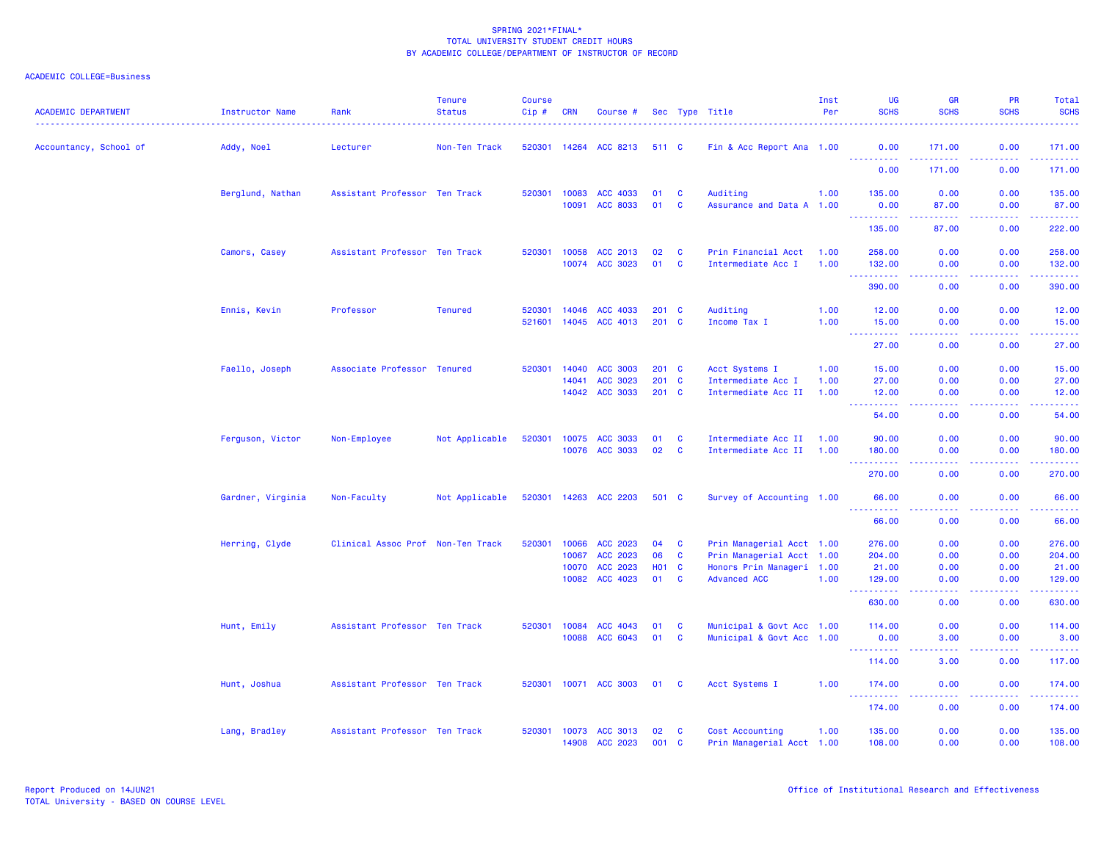| <b>ACADEMIC DEPARTMENT</b> | Instructor Name   | Rank                              | <b>Tenure</b><br><b>Status</b> | <b>Course</b><br>Cip# | <b>CRN</b>                       | Course #                                     |                                |                      | Sec Type Title                                                                                             | Inst<br>Per          | UG<br><b>SCHS</b>                                                                                                                                                                     | <b>GR</b><br><b>SCHS</b>                                                                                                          | <b>PR</b><br><b>SCHS</b>     | Total<br><b>SCHS</b>                                                                                                  |
|----------------------------|-------------------|-----------------------------------|--------------------------------|-----------------------|----------------------------------|----------------------------------------------|--------------------------------|----------------------|------------------------------------------------------------------------------------------------------------|----------------------|---------------------------------------------------------------------------------------------------------------------------------------------------------------------------------------|-----------------------------------------------------------------------------------------------------------------------------------|------------------------------|-----------------------------------------------------------------------------------------------------------------------|
| Accountancy, School of     | Addy, Noel        | Lecturer                          | Non-Ten Track                  | 520301                | 14264                            | ACC 8213                                     | 511 C                          |                      | Fin & Acc Report Ana 1.00                                                                                  |                      | 0.00<br>----------                                                                                                                                                                    | 171.00<br>.                                                                                                                       | 0.00<br>.                    | 171.00<br>$\begin{array}{cccccccccc} \bullet & \bullet & \bullet & \bullet & \bullet & \bullet & \bullet \end{array}$ |
|                            |                   |                                   |                                |                       |                                  |                                              |                                |                      |                                                                                                            |                      | 0.00                                                                                                                                                                                  | 171.00                                                                                                                            | 0.00                         | 171.00                                                                                                                |
|                            | Berglund, Nathan  | Assistant Professor Ten Track     |                                | 520301                | 10083<br>10091                   | ACC 4033<br><b>ACC 8033</b>                  | 01<br>01                       | <b>C</b><br><b>C</b> | Auditing<br>Assurance and Data A 1.00                                                                      | 1.00                 | 135.00<br>0.00                                                                                                                                                                        | 0.00<br>87.00                                                                                                                     | 0.00<br>0.00                 | 135.00<br>87.00                                                                                                       |
|                            |                   |                                   |                                |                       |                                  |                                              |                                |                      |                                                                                                            |                      | <u> - - - - - - - - - -</u><br>135.00                                                                                                                                                 | .<br>87.00                                                                                                                        | .<br>0.00                    | $\begin{array}{cccccccccc} \bullet & \bullet & \bullet & \bullet & \bullet & \bullet & \bullet \end{array}$<br>222.00 |
|                            | Camors, Casey     | Assistant Professor Ten Track     |                                | 520301                | 10058<br>10074                   | ACC 2013<br>ACC 3023                         | 02<br>01                       | C<br><b>C</b>        | Prin Financial Acct<br>Intermediate Acc I                                                                  | 1.00<br>1.00         | 258.00<br>132.00                                                                                                                                                                      | 0.00<br>0.00                                                                                                                      | 0.00<br>0.00                 | 258.00<br>132.00                                                                                                      |
|                            |                   |                                   |                                |                       |                                  |                                              |                                |                      |                                                                                                            |                      | <b></b><br>390.00                                                                                                                                                                     | .<br>0.00                                                                                                                         | .<br>0.00                    | .<br>390.00                                                                                                           |
|                            | Ennis, Kevin      | Professor                         | <b>Tenured</b>                 | 520301<br>521601      | 14046<br>14045                   | ACC 4033<br>ACC 4013                         | $201$ C<br>201 C               |                      | Auditing<br>Income Tax I                                                                                   | 1.00<br>1.00         | 12.00<br>15.00                                                                                                                                                                        | 0.00<br>0.00                                                                                                                      | 0.00<br>0.00                 | 12.00<br>15.00                                                                                                        |
|                            |                   |                                   |                                |                       |                                  |                                              |                                |                      |                                                                                                            |                      | $\sim$ $\sim$ $\sim$<br>$\frac{1}{2} \left( \frac{1}{2} \right) \left( \frac{1}{2} \right) \left( \frac{1}{2} \right) \left( \frac{1}{2} \right) \left( \frac{1}{2} \right)$<br>27.00 | $\frac{1}{2} \left( \frac{1}{2} \right) \left( \frac{1}{2} \right) \left( \frac{1}{2} \right) \left( \frac{1}{2} \right)$<br>0.00 | .<br>0.00                    | والمستحيل<br>27.00                                                                                                    |
|                            | Faello, Joseph    | Associate Professor Tenured       |                                | 520301                | 14040<br>14041<br>14042          | <b>ACC 3003</b><br>ACC 3023<br>ACC 3033      | $201$ C<br>$201$ C<br>201 C    |                      | Acct Systems I<br>Intermediate Acc I<br>Intermediate Acc II                                                | 1.00<br>1.00<br>1.00 | 15.00<br>27.00<br>12.00                                                                                                                                                               | 0.00<br>0.00<br>0.00                                                                                                              | 0.00<br>0.00<br>0.00         | 15.00<br>27.00<br>12.00                                                                                               |
|                            |                   |                                   |                                |                       |                                  |                                              |                                |                      |                                                                                                            |                      | $\sim$ $\sim$ $\sim$<br>د د د د د<br>54.00                                                                                                                                            | $- - - -$<br>0.00                                                                                                                 | د د د د<br>0.00              | والمستحيل<br>54.00                                                                                                    |
|                            | Ferguson, Victor  | Non-Employee                      | Not Applicable                 | 520301                | 10075<br>10076                   | ACC 3033<br>ACC 3033                         | 01<br>02                       | C<br>$\mathbf{C}$    | Intermediate Acc II<br>Intermediate Acc II                                                                 | 1.00<br>1.00         | 90.00<br>180.00                                                                                                                                                                       | 0.00<br>0.00                                                                                                                      | 0.00<br>0.00                 | 90.00<br>180.00                                                                                                       |
|                            |                   |                                   |                                |                       |                                  |                                              |                                |                      |                                                                                                            |                      | .<br>270.00                                                                                                                                                                           | 0.00                                                                                                                              | .<br>0.00                    | .<br>270.00                                                                                                           |
|                            | Gardner, Virginia | Non-Faculty                       | Not Applicable                 | 520301 14263          |                                  | ACC 2203                                     | 501 C                          |                      | Survey of Accounting 1.00                                                                                  |                      | 66.00                                                                                                                                                                                 | 0.00                                                                                                                              | 0.00                         | 66.00                                                                                                                 |
|                            |                   |                                   |                                |                       |                                  |                                              |                                |                      |                                                                                                            |                      | .<br>66.00                                                                                                                                                                            | ----<br>0.00                                                                                                                      | 0.00                         | $- - - - -$<br>66.00                                                                                                  |
|                            | Herring, Clyde    | Clinical Assoc Prof Non-Ten Track |                                | 520301                | 10066<br>10067<br>10070<br>10082 | ACC 2023<br>ACC 2023<br>ACC 2023<br>ACC 4023 | 04<br>06<br><b>HO1 C</b><br>01 | <b>C</b><br>C<br>C   | Prin Managerial Acct 1.00<br>Prin Managerial Acct 1.00<br>Honors Prin Manageri 1.00<br><b>Advanced ACC</b> | 1.00                 | 276.00<br>204.00<br>21.00<br>129.00                                                                                                                                                   | 0.00<br>0.00<br>0.00<br>0.00                                                                                                      | 0.00<br>0.00<br>0.00<br>0.00 | 276.00<br>204.00<br>21.00<br>129.00                                                                                   |
|                            |                   |                                   |                                |                       |                                  |                                              |                                |                      |                                                                                                            |                      | <u>.</u><br>630.00                                                                                                                                                                    | $  -$<br>0.00                                                                                                                     | المتمالين<br>0.00            | <b>.</b><br>630.00                                                                                                    |
|                            | Hunt, Emily       | Assistant Professor Ten Track     |                                | 520301                | 10084<br>10088                   | ACC 4043<br>ACC 6043                         | 01<br>01                       | C<br>C               | Municipal & Govt Acc 1.00<br>Municipal & Govt Acc 1.00                                                     |                      | 114.00<br>0.00<br><b></b>                                                                                                                                                             | 0.00<br>3.00                                                                                                                      | 0.00<br>0.00                 | 114.00<br>3.00<br>.                                                                                                   |
|                            |                   |                                   |                                |                       |                                  |                                              |                                |                      |                                                                                                            |                      | 114.00                                                                                                                                                                                | .<br>3.00                                                                                                                         | .<br>0.00                    | 117.00                                                                                                                |
|                            | Hunt, Joshua      | Assistant Professor Ten Track     |                                |                       |                                  | 520301 10071 ACC 3003                        | 01                             | - C                  | Acct Systems I                                                                                             | 1.00                 | 174.00                                                                                                                                                                                | 0.00                                                                                                                              | 0.00                         | 174.00                                                                                                                |
|                            |                   |                                   |                                |                       |                                  |                                              |                                |                      |                                                                                                            |                      | .<br>174.00                                                                                                                                                                           | $\frac{1}{2} \left( \frac{1}{2} \right) \left( \frac{1}{2} \right) \left( \frac{1}{2} \right)$<br>0.00                            | .<br>0.00                    | .<br>174.00                                                                                                           |
|                            | Lang, Bradley     | Assistant Professor Ten Track     |                                | 520301                | 10073<br>14908                   | ACC 3013<br>ACC 2023                         | 02<br>001 C                    | C                    | Cost Accounting<br>Prin Managerial Acct 1.00                                                               | 1.00                 | 135.00<br>108.00                                                                                                                                                                      | 0.00<br>0.00                                                                                                                      | 0.00<br>0.00                 | 135.00<br>108.00                                                                                                      |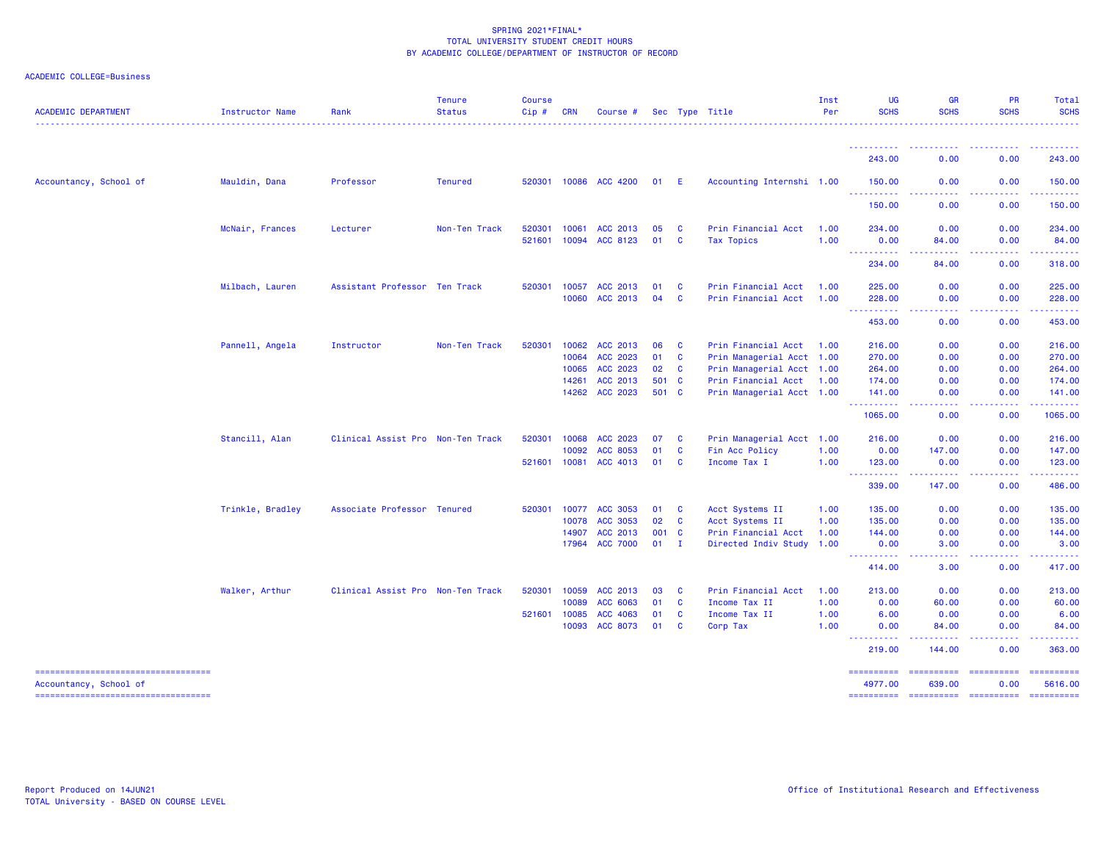| <b>ACADEMIC DEPARTMENT</b>                                      | <b>Instructor Name</b> | Rank                              | <b>Tenure</b><br><b>Status</b> | <b>Course</b><br>Cip# | <b>CRN</b>     | Course #              |          |                          | Sec Type Title                             | Inst<br>Per  | <b>UG</b><br><b>SCHS</b>              | <b>GR</b><br><b>SCHS</b>          | <b>PR</b><br><b>SCHS</b> | Total<br><b>SCHS</b>  |
|-----------------------------------------------------------------|------------------------|-----------------------------------|--------------------------------|-----------------------|----------------|-----------------------|----------|--------------------------|--------------------------------------------|--------------|---------------------------------------|-----------------------------------|--------------------------|-----------------------|
|                                                                 |                        |                                   |                                |                       |                |                       |          |                          |                                            |              | ----------<br>243.00                  | $\sim 100$<br>-----<br>0.00       | 0.00                     | .<br>243.00           |
| Accountancy, School of                                          | Mauldin, Dana          | Professor                         | <b>Tenured</b>                 |                       |                | 520301 10086 ACC 4200 | 01       | - E                      | Accounting Internshi 1.00                  |              | 150.00                                | 0.00                              | 0.00                     | 150.00                |
|                                                                 |                        |                                   |                                |                       |                |                       |          |                          |                                            |              | .<br>150.00                           | 0.00                              | 0.00                     | 150.00                |
|                                                                 | McNair, Frances        | Lecturer                          | Non-Ten Track                  | 520301                | 10061          | ACC 2013              | 05       | <b>C</b>                 | Prin Financial Acct                        | 1.00         | 234.00                                | 0.00                              | 0.00                     | 234.00                |
|                                                                 |                        |                                   |                                |                       |                | 521601 10094 ACC 8123 | 01       | <b>C</b>                 | Tax Topics                                 | 1.00         | 0.00<br>----------                    | 84.00<br>-----                    | 0.00<br>-----            | 84.00<br>------       |
|                                                                 |                        |                                   |                                |                       |                |                       |          |                          |                                            |              | 234.00                                | 84.00                             | 0.00                     | 318.00                |
|                                                                 | Milbach, Lauren        | Assistant Professor Ten Track     |                                | 520301                | 10057<br>10060 | ACC 2013<br>ACC 2013  | 01<br>04 | <b>C</b><br>$\mathbf{C}$ | Prin Financial Acct<br>Prin Financial Acct | 1.00<br>1.00 | 225.00<br>228.00                      | 0.00<br>0.00                      | 0.00<br>0.00             | 225.00<br>228.00      |
|                                                                 |                        |                                   |                                |                       |                |                       |          |                          |                                            |              | <u> - - - - - - - - - -</u><br>453.00 | .<br>0.00                         | .<br>0.00                | .<br>453.00           |
|                                                                 |                        |                                   |                                |                       |                |                       |          |                          |                                            |              |                                       |                                   |                          |                       |
|                                                                 | Pannell, Angela        | Instructor                        | Non-Ten Track                  | 520301                | 10062          | ACC 2013              | 06       | <b>C</b>                 | Prin Financial Acct 1.00                   |              | 216.00                                | 0.00                              | 0.00                     | 216.00                |
|                                                                 |                        |                                   |                                |                       | 10064          | ACC 2023              | 01       | $\mathbf{C}$             | Prin Managerial Acct 1.00                  |              | 270.00                                | 0.00                              | 0.00                     | 270.00                |
|                                                                 |                        |                                   |                                |                       | 10065          | ACC 2023              | 02       | <b>C</b>                 | Prin Managerial Acct 1.00                  |              | 264.00                                | 0.00                              | 0.00                     | 264.00                |
|                                                                 |                        |                                   |                                |                       | 14261          | ACC 2013              | 501 C    |                          | Prin Financial Acct                        | 1.00         | 174.00                                | 0.00                              | 0.00                     | 174.00                |
|                                                                 |                        |                                   |                                |                       |                | 14262 ACC 2023        | 501 C    |                          | Prin Managerial Acct 1.00                  |              | 141.00<br><u>.</u>                    | 0.00<br>.                         | 0.00<br>.                | 141.00<br>.           |
|                                                                 |                        |                                   |                                |                       |                |                       |          |                          |                                            |              | 1065.00                               | 0.00                              | 0.00                     | 1065.00               |
|                                                                 | Stancill, Alan         | Clinical Assist Pro Non-Ten Track |                                | 520301                | 10068          | ACC 2023              | 07       | - C                      | Prin Managerial Acct 1.00                  |              | 216.00                                | 0.00                              | 0.00                     | 216.00                |
|                                                                 |                        |                                   |                                |                       | 10092          | ACC 8053              | 01       | C                        | Fin Acc Policy                             | 1.00         | 0.00                                  | 147.00                            | 0.00                     | 147.00                |
|                                                                 |                        |                                   |                                |                       | 521601 10081   | ACC 4013              | 01       | <b>C</b>                 | Income Tax I                               | 1.00         | 123.00<br><u> - - - - - - - - - -</u> | 0.00                              | 0.00                     | 123.00                |
|                                                                 |                        |                                   |                                |                       |                |                       |          |                          |                                            |              | 339.00                                | 147.00                            | 0.00                     | 486.00                |
|                                                                 | Trinkle, Bradley       | Associate Professor Tenured       |                                |                       |                | 520301 10077 ACC 3053 | 01       | $\mathbf{C}$             | Acct Systems II                            | 1.00         | 135.00                                | 0.00                              | 0.00                     | 135.00                |
|                                                                 |                        |                                   |                                |                       | 10078          | <b>ACC 3053</b>       | 02       | <b>C</b>                 | Acct Systems II                            | 1.00         | 135.00                                | 0.00                              | 0.00                     | 135.00                |
|                                                                 |                        |                                   |                                |                       | 14907          | ACC 2013              | 001 C    |                          | Prin Financial Acct                        | 1.00         | 144.00                                | 0.00                              | 0.00                     | 144.00                |
|                                                                 |                        |                                   |                                |                       | 17964          | <b>ACC 7000</b>       | 01       | $\mathbf{I}$             | Directed Indiv Study                       | 1.00         | 0.00<br><u> - - - - - - - - - -</u>   | 3.00                              | 0.00                     | 3.00                  |
|                                                                 |                        |                                   |                                |                       |                |                       |          |                          |                                            |              | 414.00                                | 3.00                              | 0.00                     | 417.00                |
|                                                                 | Walker, Arthur         | Clinical Assist Pro Non-Ten Track |                                | 520301                | 10059          | ACC 2013              | 03       | <b>C</b>                 | Prin Financial Acct                        | 1.00         | 213.00                                | 0.00                              | 0.00                     | 213.00                |
|                                                                 |                        |                                   |                                |                       | 10089          | ACC 6063              | 01       | <b>C</b>                 | Income Tax II                              | 1.00         | 0.00                                  | 60.00                             | 0.00                     | 60.00                 |
|                                                                 |                        |                                   |                                | 521601 10085          |                | ACC 4063              | 01       | $\mathbf{C}$             | Income Tax II                              | 1.00         | 6.00                                  | 0.00                              | 0.00                     | 6.00                  |
|                                                                 |                        |                                   |                                |                       | 10093          | ACC 8073              | 01       | C                        | Corp Tax                                   | 1.00         | 0.00<br>----------                    | 84.00                             | 0.00                     | 84.00                 |
|                                                                 |                        |                                   |                                |                       |                |                       |          |                          |                                            |              | 219.00                                | 144.00                            | 0.00                     | 363.00                |
| =====================================<br>Accountancy, School of |                        |                                   |                                |                       |                |                       |          |                          |                                            |              | ==========<br>4977.00                 | =======================<br>639.00 | 0.00                     | ==========<br>5616.00 |
| ----------------------------------                              |                        |                                   |                                |                       |                |                       |          |                          |                                            |              |                                       |                                   |                          |                       |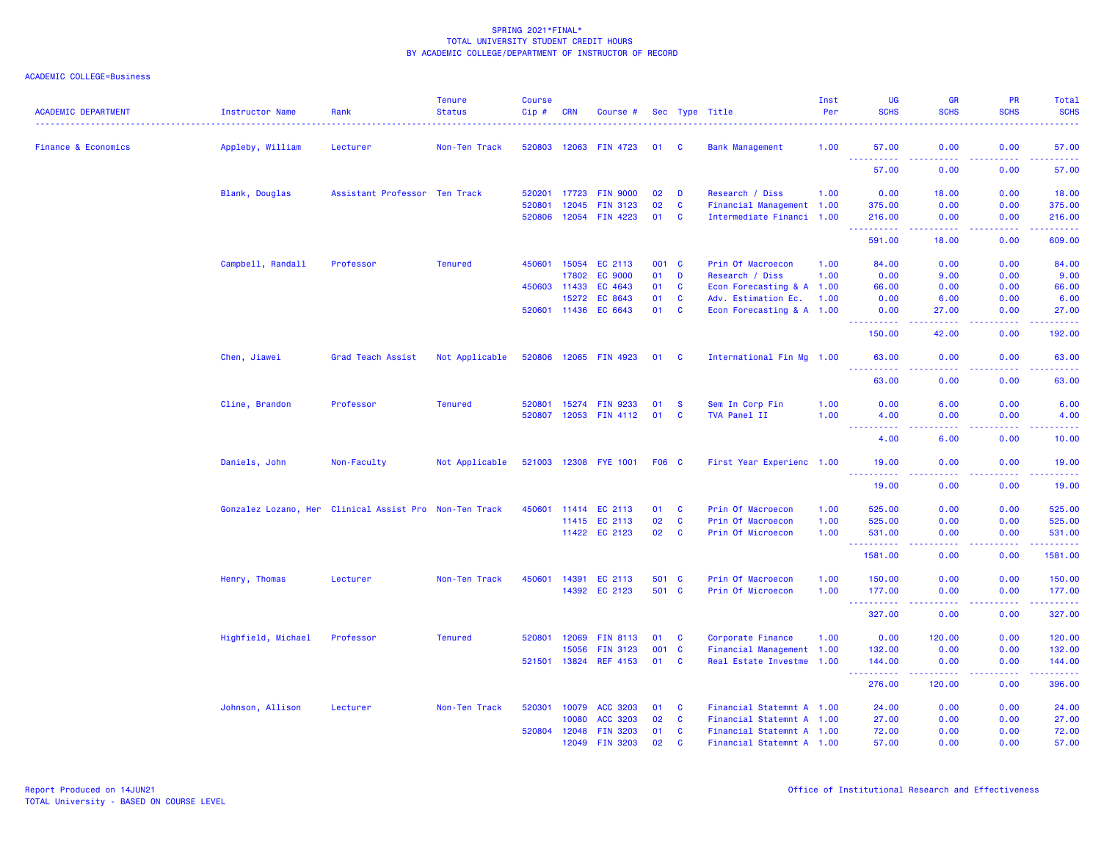| <b>ACADEMIC DEPARTMENT</b>     | Instructor Name                                        | Rank                          | <b>Tenure</b><br><b>Status</b> | <b>Course</b><br>Cip# | <b>CRN</b> | Course #              |              |                         | Sec Type Title            | Inst<br>Per | <b>UG</b><br><b>SCHS</b>                                                                                                                                                                  | <b>GR</b><br><b>SCHS</b>                                                                                                          | PR<br><b>SCHS</b>                                                                                                                 | Total<br><b>SCHS</b> |
|--------------------------------|--------------------------------------------------------|-------------------------------|--------------------------------|-----------------------|------------|-----------------------|--------------|-------------------------|---------------------------|-------------|-------------------------------------------------------------------------------------------------------------------------------------------------------------------------------------------|-----------------------------------------------------------------------------------------------------------------------------------|-----------------------------------------------------------------------------------------------------------------------------------|----------------------|
| <b>Finance &amp; Economics</b> | Appleby, William                                       | Lecturer                      | Non-Ten Track                  | 520803                |            | 12063 FIN 4723        | 01           | - C                     | <b>Bank Management</b>    | 1.00        | 57.00                                                                                                                                                                                     | 0.00                                                                                                                              | 0.00                                                                                                                              | 57.00                |
|                                |                                                        |                               |                                |                       |            |                       |              |                         |                           |             | $\frac{1}{2} \left( \frac{1}{2} \right) \frac{1}{2} \left( \frac{1}{2} \right)$<br>.<br>57.00                                                                                             | $\frac{1}{2} \left( \frac{1}{2} \right) \left( \frac{1}{2} \right) \left( \frac{1}{2} \right) \left( \frac{1}{2} \right)$<br>0.00 | .<br>0.00                                                                                                                         | .<br>57.00           |
|                                | Blank, Douglas                                         | Assistant Professor Ten Track |                                | 520201                | 17723      | <b>FIN 9000</b>       | 02           | D                       | Research / Diss           | 1.00        | 0.00                                                                                                                                                                                      | 18.00                                                                                                                             | 0.00                                                                                                                              | 18.00                |
|                                |                                                        |                               |                                | 520801                | 12045      | <b>FIN 3123</b>       | 02           | C                       | Financial Management 1.00 |             | 375.00                                                                                                                                                                                    | 0.00                                                                                                                              | 0.00                                                                                                                              | 375.00               |
|                                |                                                        |                               |                                | 520806                |            | 12054 FIN 4223        | 01 C         |                         | Intermediate Financi 1.00 |             | 216.00<br>$\frac{1}{2} \left( \frac{1}{2} \right) \left( \frac{1}{2} \right) \left( \frac{1}{2} \right) \left( \frac{1}{2} \right) \left( \frac{1}{2} \right) \left( \frac{1}{2} \right)$ | 0.00<br>-----                                                                                                                     | 0.00<br>.                                                                                                                         | 216.00<br>.          |
|                                |                                                        |                               |                                |                       |            |                       |              |                         |                           |             | 591.00                                                                                                                                                                                    | 18.00                                                                                                                             | 0.00                                                                                                                              | 609.00               |
|                                | Campbell, Randall                                      | Professor                     | <b>Tenured</b>                 | 450601                |            | 15054 EC 2113         | 001 C        |                         | Prin Of Macroecon         | 1.00        | 84.00                                                                                                                                                                                     | 0.00                                                                                                                              | 0.00                                                                                                                              | 84.00                |
|                                |                                                        |                               |                                |                       | 17802      | <b>EC 9000</b>        | 01           | D                       | Research / Diss           | 1.00        | 0.00                                                                                                                                                                                      | 9.00                                                                                                                              | 0.00                                                                                                                              | 9.00                 |
|                                |                                                        |                               |                                | 450603                | 11433      | EC 4643               | 01           | C                       | Econ Forecasting & A 1.00 |             | 66.00                                                                                                                                                                                     | 0.00                                                                                                                              | 0.00                                                                                                                              | 66.00                |
|                                |                                                        |                               |                                |                       | 15272      | EC 8643               | 01           | C                       | Adv. Estimation Ec.       | 1.00        | 0.00                                                                                                                                                                                      | 6.00                                                                                                                              | 0.00                                                                                                                              | 6.00                 |
|                                |                                                        |                               |                                | 520601                | 11436      | EC 6643               | 01           | C                       | Econ Forecasting & A 1.00 |             | 0.00<br>.                                                                                                                                                                                 | 27.00<br>.                                                                                                                        | 0.00<br>د د د د                                                                                                                   | 27.00<br>.           |
|                                |                                                        |                               |                                |                       |            |                       |              |                         |                           |             | 150.00                                                                                                                                                                                    | 42.00                                                                                                                             | 0.00                                                                                                                              | 192.00               |
|                                | Chen, Jiawei                                           | Grad Teach Assist             | Not Applicable                 | 520806                |            | 12065 FIN 4923        | 01 C         |                         | International Fin Mg 1.00 |             | 63.00<br>$\omega_{\rm{eff}}$<br>.                                                                                                                                                         | 0.00<br>د د د د                                                                                                                   | 0.00<br>.                                                                                                                         | 63.00<br>.           |
|                                |                                                        |                               |                                |                       |            |                       |              |                         |                           |             | 63.00                                                                                                                                                                                     | 0.00                                                                                                                              | 0.00                                                                                                                              | 63.00                |
|                                | Cline, Brandon                                         | Professor                     | <b>Tenured</b>                 | 520801                |            | 15274 FIN 9233        | 01           | <b>S</b>                | Sem In Corp Fin           | 1.00        | 0.00                                                                                                                                                                                      | 6.00                                                                                                                              | 0.00                                                                                                                              | 6.00                 |
|                                |                                                        |                               |                                | 520807                |            | 12053 FIN 4112        | 01           | <b>C</b>                | TVA Panel II              | 1.00        | 4.00                                                                                                                                                                                      | 0.00                                                                                                                              | 0.00                                                                                                                              | 4.00                 |
|                                |                                                        |                               |                                |                       |            |                       |              |                         |                           |             | ----<br>4.00                                                                                                                                                                              | .<br>6.00                                                                                                                         | .<br>0.00                                                                                                                         | د د د د د<br>10.00   |
|                                | Daniels, John                                          | Non-Faculty                   | Not Applicable                 |                       |            | 521003 12308 FYE 1001 | <b>F06 C</b> |                         | First Year Experienc 1.00 |             | 19.00                                                                                                                                                                                     | 0.00                                                                                                                              | 0.00                                                                                                                              | 19.00                |
|                                |                                                        |                               |                                |                       |            |                       |              |                         |                           |             | $\frac{1}{2} \left( \frac{1}{2} \right) \left( \frac{1}{2} \right) \left( \frac{1}{2} \right)$<br><b><i><u><u>.</u></u></i></b><br>19.00                                                  | $\frac{1}{2} \left( \frac{1}{2} \right) \left( \frac{1}{2} \right) \left( \frac{1}{2} \right) \left( \frac{1}{2} \right)$<br>0.00 | .<br>0.00                                                                                                                         | .<br>19.00           |
|                                | Gonzalez Lozano, Her Clinical Assist Pro Non-Ten Track |                               |                                | 450601                |            | 11414 EC 2113         | 01           | C                       | Prin Of Macroecon         | 1.00        | 525.00                                                                                                                                                                                    | 0.00                                                                                                                              | 0.00                                                                                                                              | 525.00               |
|                                |                                                        |                               |                                |                       |            | 11415 EC 2113         | 02           | C                       | Prin Of Macroecon         | 1.00        | 525.00                                                                                                                                                                                    | 0.00                                                                                                                              | 0.00                                                                                                                              | 525.00               |
|                                |                                                        |                               |                                |                       |            | 11422 EC 2123         | 02           | $\overline{\mathbf{C}}$ | Prin Of Microecon         | 1.00        | 531.00<br>$\omega$ is a $\omega$                                                                                                                                                          | 0.00                                                                                                                              | 0.00<br>بالأباد                                                                                                                   | 531.00<br>22222.     |
|                                |                                                        |                               |                                |                       |            |                       |              |                         |                           |             | 1581.00                                                                                                                                                                                   | 0.00                                                                                                                              | 0.00                                                                                                                              | 1581.00              |
|                                | Henry, Thomas                                          | Lecturer                      | Non-Ten Track                  | 450601                | 14391      | EC 2113               | 501 C        |                         | Prin Of Macroecon         | 1.00        | 150.00                                                                                                                                                                                    | 0.00                                                                                                                              | 0.00                                                                                                                              | 150.00               |
|                                |                                                        |                               |                                |                       |            | 14392 EC 2123         | 501 C        |                         | Prin Of Microecon         | 1.00        | 177.00<br>----                                                                                                                                                                            | 0.00                                                                                                                              | 0.00<br>$\frac{1}{2} \left( \frac{1}{2} \right) \left( \frac{1}{2} \right) \left( \frac{1}{2} \right) \left( \frac{1}{2} \right)$ | 177.00<br>------     |
|                                |                                                        |                               |                                |                       |            |                       |              |                         |                           |             | 327.00                                                                                                                                                                                    | 0.00                                                                                                                              | 0.00                                                                                                                              | 327.00               |
|                                | Highfield, Michael                                     | Professor                     | <b>Tenured</b>                 | 520801                | 12069      | <b>FIN 8113</b>       | 01           | C                       | Corporate Finance         | 1.00        | 0.00                                                                                                                                                                                      | 120.00                                                                                                                            | 0.00                                                                                                                              | 120.00               |
|                                |                                                        |                               |                                |                       | 15056      | <b>FIN 3123</b>       | 001          | $\mathbf{C}$            | Financial Management 1.00 |             | 132.00                                                                                                                                                                                    | 0.00                                                                                                                              | 0.00                                                                                                                              | 132.00               |
|                                |                                                        |                               |                                | 521501                |            | 13824 REF 4153        | 01           | <b>C</b>                | Real Estate Investme 1.00 |             | 144.00<br>.                                                                                                                                                                               | 0.00                                                                                                                              | 0.00<br>.                                                                                                                         | 144.00<br>.          |
|                                |                                                        |                               |                                |                       |            |                       |              |                         |                           |             | 276.00                                                                                                                                                                                    | 120.00                                                                                                                            | 0.00                                                                                                                              | 396.00               |
|                                | Johnson, Allison                                       | Lecturer                      | Non-Ten Track                  | 520301                | 10079      | ACC 3203              | 01           | C                       | Financial Statemnt A 1.00 |             | 24.00                                                                                                                                                                                     | 0.00                                                                                                                              | 0.00                                                                                                                              | 24.00                |
|                                |                                                        |                               |                                |                       | 10080      | ACC 3203              | 02           | C                       | Financial Statemnt A 1.00 |             | 27.00                                                                                                                                                                                     | 0.00                                                                                                                              | 0.00                                                                                                                              | 27.00                |
|                                |                                                        |                               |                                | 520804                | 12048      | <b>FIN 3203</b>       | 01           | C                       | Financial Statemnt A 1.00 |             | 72.00                                                                                                                                                                                     | 0.00                                                                                                                              | 0.00                                                                                                                              | 72.00                |
|                                |                                                        |                               |                                |                       | 12049      | <b>FIN 3203</b>       | 02           | <b>C</b>                | Financial Statemnt A 1.00 |             | 57.00                                                                                                                                                                                     | 0.00                                                                                                                              | 0.00                                                                                                                              | 57.00                |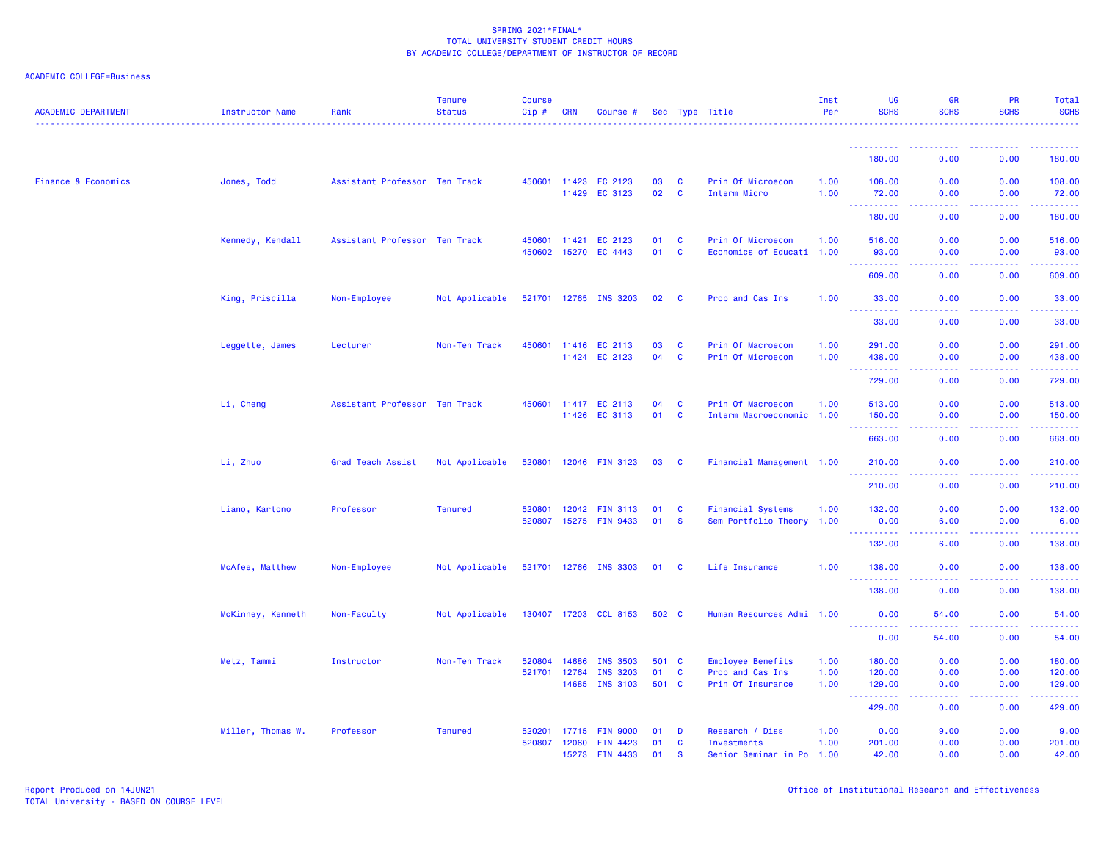| <b>ACADEMIC DEPARTMENT</b>     | Instructor Name   | Rank                          | <b>Tenure</b><br><b>Status</b> | <b>Course</b><br>Cip# | <b>CRN</b>     | Course #              |          |              | Sec Type Title                                 | Inst<br>Per | <b>UG</b><br><b>SCHS</b>                                                                                                                                      | <b>GR</b><br><b>SCHS</b>                                                                               | <b>PR</b><br><b>SCHS</b>                                                                                                                                     | Total<br><b>SCHS</b>                                                                                                                                               |
|--------------------------------|-------------------|-------------------------------|--------------------------------|-----------------------|----------------|-----------------------|----------|--------------|------------------------------------------------|-------------|---------------------------------------------------------------------------------------------------------------------------------------------------------------|--------------------------------------------------------------------------------------------------------|--------------------------------------------------------------------------------------------------------------------------------------------------------------|--------------------------------------------------------------------------------------------------------------------------------------------------------------------|
|                                |                   |                               |                                |                       |                |                       |          |              |                                                |             |                                                                                                                                                               |                                                                                                        |                                                                                                                                                              |                                                                                                                                                                    |
|                                |                   |                               |                                |                       |                |                       |          |              |                                                |             | 180.00                                                                                                                                                        | 0.00                                                                                                   | 0.00                                                                                                                                                         | 180.00                                                                                                                                                             |
| <b>Finance &amp; Economics</b> | Jones, Todd       | Assistant Professor Ten Track |                                | 450601                | 11423          | EC 2123               | 03       | C            | Prin Of Microecon                              | 1.00        | 108.00                                                                                                                                                        | 0.00                                                                                                   | 0.00                                                                                                                                                         | 108.00                                                                                                                                                             |
|                                |                   |                               |                                |                       | 11429          | EC 3123               | 02       | $\mathbf{C}$ | Interm Micro                                   | 1.00        | 72.00<br>$\frac{1}{2} \left( \frac{1}{2} \right) \left( \frac{1}{2} \right) \left( \frac{1}{2} \right) \left( \frac{1}{2} \right) \left( \frac{1}{2} \right)$ | 0.00<br>.                                                                                              | 0.00                                                                                                                                                         | 72.00<br>المستمر                                                                                                                                                   |
|                                |                   |                               |                                |                       |                |                       |          |              |                                                |             | 180.00                                                                                                                                                        | 0.00                                                                                                   | 0.00                                                                                                                                                         | 180.00                                                                                                                                                             |
|                                | Kennedy, Kendall  | Assistant Professor Ten Track |                                | 450601<br>450602      | 11421<br>15270 | EC 2123<br>EC 4443    | 01<br>01 | C<br>C       | Prin Of Microecon<br>Economics of Educati 1.00 | 1.00        | 516.00<br>93.00                                                                                                                                               | 0.00<br>0.00                                                                                           | 0.00<br>0.00                                                                                                                                                 | 516.00<br>93.00                                                                                                                                                    |
|                                |                   |                               |                                |                       |                |                       |          |              |                                                |             |                                                                                                                                                               |                                                                                                        |                                                                                                                                                              |                                                                                                                                                                    |
|                                |                   |                               |                                |                       |                |                       |          |              |                                                |             | 609.00                                                                                                                                                        | 0.00                                                                                                   | 0.00                                                                                                                                                         | 609.00                                                                                                                                                             |
|                                | King, Priscilla   | Non-Employee                  | Not Applicable                 |                       |                | 521701 12765 INS 3203 | 02       | <b>C</b>     | Prop and Cas Ins                               | 1.00        | 33.00<br>$\sim$ $\sim$ $\sim$<br>.                                                                                                                            | 0.00<br>$\sim 100$                                                                                     | 0.00<br>.                                                                                                                                                    | 33.00                                                                                                                                                              |
|                                |                   |                               |                                |                       |                |                       |          |              |                                                |             | 33.00                                                                                                                                                         | 0.00                                                                                                   | 0.00                                                                                                                                                         | 33.00                                                                                                                                                              |
|                                | Leggette, James   | Lecturer                      | Non-Ten Track                  | 450601                | 11416          | EC 2113               | 03       | <b>C</b>     | Prin Of Macroecon                              | 1.00        | 291.00                                                                                                                                                        | 0.00                                                                                                   | 0.00                                                                                                                                                         | 291.00                                                                                                                                                             |
|                                |                   |                               |                                |                       | 11424          | EC 2123               | 04       | <b>C</b>     | Prin Of Microecon                              | 1.00        | 438.00<br>$\sim$ $\sim$ $\sim$<br>.                                                                                                                           | 0.00<br>$\sim 100$                                                                                     | 0.00                                                                                                                                                         | 438.00<br>$\frac{1}{2} \left( \frac{1}{2} \right) \left( \frac{1}{2} \right) \left( \frac{1}{2} \right) \left( \frac{1}{2} \right) \left( \frac{1}{2} \right)$     |
|                                |                   |                               |                                |                       |                |                       |          |              |                                                |             | 729.00                                                                                                                                                        | 0.00                                                                                                   | 0.00                                                                                                                                                         | 729.00                                                                                                                                                             |
|                                | Li, Cheng         | Assistant Professor Ten Track |                                | 450601                | 11417          | EC 2113               | 04       | <b>C</b>     | Prin Of Macroecon                              | 1.00        | 513.00                                                                                                                                                        | 0.00                                                                                                   | 0.00                                                                                                                                                         | 513.00                                                                                                                                                             |
|                                |                   |                               |                                |                       |                | 11426 EC 3113         | 01       | $\mathbf{C}$ | Interm Macroeconomic 1.00                      |             | 150.00<br>.                                                                                                                                                   | 0.00<br>$\frac{1}{2} \left( \frac{1}{2} \right) \left( \frac{1}{2} \right) \left( \frac{1}{2} \right)$ | 0.00<br>.                                                                                                                                                    | 150.00<br>$\frac{1}{2} \left( \frac{1}{2} \right) \left( \frac{1}{2} \right) \left( \frac{1}{2} \right) \left( \frac{1}{2} \right) \left( \frac{1}{2} \right)$     |
|                                |                   |                               |                                |                       |                |                       |          |              |                                                |             | 663.00                                                                                                                                                        | 0.00                                                                                                   | 0.00                                                                                                                                                         | 663.00                                                                                                                                                             |
|                                | Li, Zhuo          | Grad Teach Assist             | Not Applicable                 | 520801                |                | 12046 FIN 3123        | 03       | <b>C</b>     | Financial Management 1.00                      |             | 210.00<br>.                                                                                                                                                   | 0.00<br>د د د د                                                                                        | 0.00<br>.                                                                                                                                                    | 210.00<br>2.22222                                                                                                                                                  |
|                                |                   |                               |                                |                       |                |                       |          |              |                                                |             | 210.00                                                                                                                                                        | 0.00                                                                                                   | 0.00                                                                                                                                                         | 210.00                                                                                                                                                             |
|                                | Liano, Kartono    | Professor                     | <b>Tenured</b>                 | 520801                | 12042          | <b>FIN 3113</b>       | 01       | C            | <b>Financial Systems</b>                       | 1.00        | 132.00                                                                                                                                                        | 0.00                                                                                                   | 0.00                                                                                                                                                         | 132.00                                                                                                                                                             |
|                                |                   |                               |                                | 520807                | 15275          | <b>FIN 9433</b>       | 01       | <b>S</b>     | Sem Portfolio Theory 1.00                      |             | 0.00<br><u> - - - - - - - - - -</u>                                                                                                                           | 6.00<br>والمسامين                                                                                      | 0.00<br>.                                                                                                                                                    | 6.00<br>$\frac{1}{2} \left( \frac{1}{2} \right) \left( \frac{1}{2} \right) \left( \frac{1}{2} \right) \left( \frac{1}{2} \right) \left( \frac{1}{2} \right)$       |
|                                |                   |                               |                                |                       |                |                       |          |              |                                                |             | 132.00                                                                                                                                                        | 6.00                                                                                                   | 0.00                                                                                                                                                         | 138.00                                                                                                                                                             |
|                                | McAfee, Matthew   | Non-Employee                  | Not Applicable                 |                       |                | 521701 12766 INS 3303 | 01 C     |              | Life Insurance                                 | 1.00        | 138.00                                                                                                                                                        | 0.00                                                                                                   | 0.00                                                                                                                                                         | 138.00                                                                                                                                                             |
|                                |                   |                               |                                |                       |                |                       |          |              |                                                |             | 138.00                                                                                                                                                        | 0.00                                                                                                   | .<br>0.00                                                                                                                                                    | 138.00                                                                                                                                                             |
|                                | McKinney, Kenneth | Non-Faculty                   | Not Applicable                 |                       |                | 130407 17203 CCL 8153 | 502 C    |              | Human Resources Admi 1.00                      |             | 0.00                                                                                                                                                          | 54.00                                                                                                  | 0.00                                                                                                                                                         | 54.00                                                                                                                                                              |
|                                |                   |                               |                                |                       |                |                       |          |              |                                                |             | <u> - - - - - - - - - -</u><br>0.00                                                                                                                           | -----<br>54.00                                                                                         | .<br>0.00                                                                                                                                                    | .<br>54.00                                                                                                                                                         |
|                                | Metz, Tammi       | Instructor                    | Non-Ten Track                  | 520804                | 14686          | <b>INS 3503</b>       | 501      | <b>C</b>     | Employee Benefits                              | 1.00        | 180.00                                                                                                                                                        | 0.00                                                                                                   | 0.00                                                                                                                                                         | 180.00                                                                                                                                                             |
|                                |                   |                               |                                | 521701                | 12764          | <b>INS 3203</b>       | 01       | C            | Prop and Cas Ins                               | 1.00        | 120.00                                                                                                                                                        | 0.00                                                                                                   | 0.00                                                                                                                                                         | 120.00                                                                                                                                                             |
|                                |                   |                               |                                |                       | 14685          | <b>INS 3103</b>       | 501 C    |              | Prin Of Insurance                              | 1.00        | 129.00                                                                                                                                                        | 0.00                                                                                                   | 0.00                                                                                                                                                         | 129.00                                                                                                                                                             |
|                                |                   |                               |                                |                       |                |                       |          |              |                                                |             | $\sim$ $\sim$ $\sim$<br>429.00                                                                                                                                | والمسامين<br>0.00                                                                                      | $\frac{1}{2} \left( \frac{1}{2} \right) \left( \frac{1}{2} \right) \left( \frac{1}{2} \right) \left( \frac{1}{2} \right) \left( \frac{1}{2} \right)$<br>0.00 | $\mathcal{L}^{\mathcal{L}}\mathcal{L}^{\mathcal{L}}\mathcal{L}^{\mathcal{L}}\mathcal{L}^{\mathcal{L}}\mathcal{L}^{\mathcal{L}}\mathcal{L}^{\mathcal{L}}$<br>429.00 |
|                                | Miller, Thomas W. | Professor                     | <b>Tenured</b>                 | 520201                | 17715          | <b>FIN 9000</b>       | 01       | D            | Research / Diss                                | 1.00        | 0.00                                                                                                                                                          | 9.00                                                                                                   | 0.00                                                                                                                                                         | 9.00                                                                                                                                                               |
|                                |                   |                               |                                | 520807                | 12060          | <b>FIN 4423</b>       | 01       | C            | <b>Investments</b>                             | 1.00        | 201.00                                                                                                                                                        | 0.00                                                                                                   | 0.00                                                                                                                                                         | 201.00                                                                                                                                                             |
|                                |                   |                               |                                |                       | 15273          | FIN 4433              | 01       | <b>S</b>     | Senior Seminar in Po 1.00                      |             | 42.00                                                                                                                                                         | 0.00                                                                                                   | 0.00                                                                                                                                                         | 42.00                                                                                                                                                              |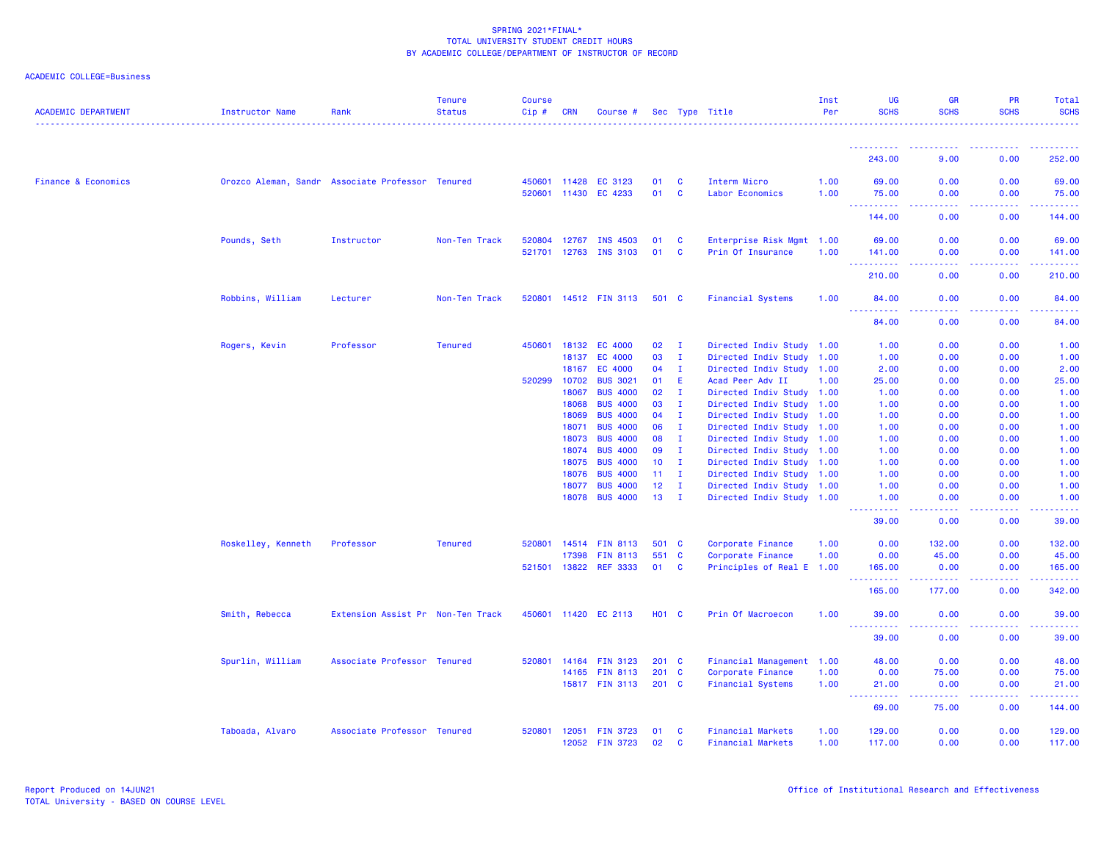| <b>ACADEMIC DEPARTMENT</b>     | <b>Instructor Name</b> | Rank                                             | <b>Tenure</b><br><b>Status</b> | <b>Course</b><br>Cip# | <b>CRN</b> | Course #             |                 |              | Sec Type Title            | Inst<br>Per | UG<br><b>SCHS</b>                                                                                                 | GR<br><b>SCHS</b>                                                                                                       | PR<br><b>SCHS</b>                            | Total<br><b>SCHS</b> |
|--------------------------------|------------------------|--------------------------------------------------|--------------------------------|-----------------------|------------|----------------------|-----------------|--------------|---------------------------|-------------|-------------------------------------------------------------------------------------------------------------------|-------------------------------------------------------------------------------------------------------------------------|----------------------------------------------|----------------------|
|                                |                        |                                                  |                                |                       |            |                      |                 |              |                           |             |                                                                                                                   |                                                                                                                         |                                              |                      |
|                                |                        |                                                  |                                |                       |            |                      |                 |              |                           |             | 243.00                                                                                                            | 9.00                                                                                                                    | 0.00                                         | 252.00               |
| <b>Finance &amp; Economics</b> |                        | Orozco Aleman, Sandr Associate Professor Tenured |                                | 450601                | 11428      | EC 3123              | 01              | C            | Interm Micro              | 1.00        | 69.00                                                                                                             | 0.00                                                                                                                    | 0.00                                         | 69.00                |
|                                |                        |                                                  |                                | 520601                | 11430      | EC 4233              | 01              | C            | Labor Economics           | 1.00        | 75.00                                                                                                             | 0.00                                                                                                                    | 0.00                                         | 75.00                |
|                                |                        |                                                  |                                |                       |            |                      |                 |              |                           |             | ----------<br>144.00                                                                                              | المتمام المالية<br>0.00                                                                                                 | -----<br>0.00                                | .<br>144.00          |
|                                | Pounds, Seth           | Instructor                                       | Non-Ten Track                  | 520804                | 12767      | INS 4503             | 01              | <b>C</b>     | Enterprise Risk Mgmt 1.00 |             | 69.00                                                                                                             | 0.00                                                                                                                    | 0.00                                         | 69.00                |
|                                |                        |                                                  |                                | 521701                | 12763      | <b>INS 3103</b>      | 01              | C            | Prin Of Insurance         | 1.00        | 141.00                                                                                                            | 0.00                                                                                                                    | 0.00                                         | 141.00               |
|                                |                        |                                                  |                                |                       |            |                      |                 |              |                           |             | 210.00                                                                                                            | 0.00                                                                                                                    | 0.00                                         | 210.00               |
|                                | Robbins, William       | Lecturer                                         | Non-Ten Track                  | 520801                |            | 14512 FIN 3113       | 501 C           |              | <b>Financial Systems</b>  | 1.00        | 84.00                                                                                                             | 0.00                                                                                                                    | 0.00                                         | 84.00                |
|                                |                        |                                                  |                                |                       |            |                      |                 |              |                           |             |                                                                                                                   | $\sim$ $\sim$ $\sim$ $\sim$                                                                                             |                                              | .                    |
|                                |                        |                                                  |                                |                       |            |                      |                 |              |                           |             | 84.00                                                                                                             | 0.00                                                                                                                    | 0.00                                         | 84.00                |
|                                | Rogers, Kevin          | Professor                                        | <b>Tenured</b>                 | 450601                | 18132      | EC 4000              | 02              | $\mathbf{I}$ | Directed Indiv Study 1.00 |             | 1.00                                                                                                              | 0.00                                                                                                                    | 0.00                                         | 1.00                 |
|                                |                        |                                                  |                                |                       | 18137      | EC 4000              | 03              | $\mathbf{I}$ | Directed Indiv Study 1.00 |             | 1.00                                                                                                              | 0.00                                                                                                                    | 0.00                                         | 1.00                 |
|                                |                        |                                                  |                                |                       | 18167      | EC 4000              | 04              | $\mathbf{I}$ | Directed Indiv Study 1.00 |             | 2.00                                                                                                              | 0.00                                                                                                                    | 0.00                                         | 2.00                 |
|                                |                        |                                                  |                                | 520299                | 10702      | <b>BUS 3021</b>      | 01              | E            | Acad Peer Adv II          | 1.00        | 25.00                                                                                                             | 0.00                                                                                                                    | 0.00                                         | 25.00                |
|                                |                        |                                                  |                                |                       | 18067      | <b>BUS 4000</b>      | 02              | $\mathbf{I}$ | Directed Indiv Study 1.00 |             | 1.00                                                                                                              | 0.00                                                                                                                    | 0.00                                         | 1.00                 |
|                                |                        |                                                  |                                |                       | 18068      | <b>BUS 4000</b>      | 03              | $\mathbf{I}$ | Directed Indiv Study 1.00 |             | 1.00                                                                                                              | 0.00                                                                                                                    | 0.00                                         | 1.00                 |
|                                |                        |                                                  |                                |                       | 18069      | <b>BUS 4000</b>      | 04              | $\mathbf{I}$ | Directed Indiv Study 1.00 |             | 1.00                                                                                                              | 0.00                                                                                                                    | 0.00                                         | 1.00                 |
|                                |                        |                                                  |                                |                       | 18071      | <b>BUS 4000</b>      | 06              | $\mathbf{I}$ | Directed Indiv Study 1.00 |             | 1.00                                                                                                              | 0.00                                                                                                                    | 0.00                                         | 1.00                 |
|                                |                        |                                                  |                                |                       | 18073      | <b>BUS 4000</b>      | 08              | $\mathbf{I}$ | Directed Indiv Study 1.00 |             | 1.00                                                                                                              | 0.00                                                                                                                    | 0.00                                         | 1.00                 |
|                                |                        |                                                  |                                |                       | 18074      | <b>BUS 4000</b>      | 09              | $\mathbf{I}$ | Directed Indiv Study 1.00 |             | 1.00                                                                                                              | 0.00                                                                                                                    | 0.00                                         | 1.00                 |
|                                |                        |                                                  |                                |                       | 18075      | <b>BUS 4000</b>      | 10 <sub>1</sub> | $\mathbf{I}$ | Directed Indiv Study 1.00 |             | 1.00                                                                                                              | 0.00                                                                                                                    | 0.00                                         | 1.00                 |
|                                |                        |                                                  |                                |                       | 18076      | <b>BUS 4000</b>      | 11              | - I          | Directed Indiv Study 1.00 |             | 1.00                                                                                                              | 0.00                                                                                                                    | 0.00                                         | 1.00                 |
|                                |                        |                                                  |                                |                       | 18077      | <b>BUS 4000</b>      | 12              | - 1          | Directed Indiv Study 1.00 |             | 1.00                                                                                                              | 0.00                                                                                                                    | 0.00                                         | 1.00                 |
|                                |                        |                                                  |                                |                       | 18078      | <b>BUS 4000</b>      | 13              | $\mathbf{I}$ | Directed Indiv Study 1.00 |             | 1.00                                                                                                              | 0.00                                                                                                                    | 0.00                                         | 1.00                 |
|                                |                        |                                                  |                                |                       |            |                      |                 |              |                           |             | <u> - - - - - - - - - -</u><br>39.00                                                                              | .<br>0.00                                                                                                               | .<br>0.00                                    | .<br>39.00           |
|                                | Roskelley, Kenneth     | Professor                                        | <b>Tenured</b>                 | 520801                | 14514      | <b>FIN 8113</b>      | 501 C           |              | Corporate Finance         | 1.00        | 0.00                                                                                                              | 132.00                                                                                                                  | 0.00                                         | 132.00               |
|                                |                        |                                                  |                                |                       | 17398      | <b>FIN 8113</b>      | 551             | <b>C</b>     | Corporate Finance         | 1.00        | 0.00                                                                                                              | 45.00                                                                                                                   | 0.00                                         | 45.00                |
|                                |                        |                                                  |                                | 521501                | 13822      | <b>REF 3333</b>      | 01              | C            | Principles of Real E 1.00 |             | 165.00                                                                                                            | 0.00                                                                                                                    | 0.00                                         | 165.00               |
|                                |                        |                                                  |                                |                       |            |                      |                 |              |                           |             | .<br>165.00                                                                                                       | .<br>177.00                                                                                                             | 0.00                                         | 22222)<br>342.00     |
|                                | Smith, Rebecca         | Extension Assist Pr Non-Ten Track                |                                |                       |            | 450601 11420 EC 2113 | <b>HO1 C</b>    |              | Prin Of Macroecon         | 1.00        | 39.00                                                                                                             | 0.00                                                                                                                    | 0.00                                         | 39.00                |
|                                |                        |                                                  |                                |                       |            |                      |                 |              |                           |             | $\sim$ $\sim$ $\sim$<br>$- - - - - - -$<br>39.00                                                                  | .<br>0.00                                                                                                               | .<br>0.00                                    | .<br>39.00           |
|                                |                        |                                                  |                                |                       |            |                      |                 |              |                           |             |                                                                                                                   |                                                                                                                         |                                              |                      |
|                                | Spurlin, William       | Associate Professor Tenured                      |                                | 520801                | 14164      | <b>FIN 3123</b>      | 201 C           |              | Financial Management      | 1.00        | 48.00                                                                                                             | 0.00                                                                                                                    | 0.00                                         | 48.00                |
|                                |                        |                                                  |                                |                       | 14165      | <b>FIN 8113</b>      | 201 C           |              | Corporate Finance         | 1.00        | 0.00                                                                                                              | 75.00                                                                                                                   | 0.00                                         | 75.00                |
|                                |                        |                                                  |                                |                       |            | 15817 FIN 3113       | $201 \quad C$   |              | <b>Financial Systems</b>  | 1.00        | 21.00<br>$\frac{1}{2} \left( \frac{1}{2} \right) \left( \frac{1}{2} \right) \left( \frac{1}{2} \right)$<br>------ | 0.00<br>$\begin{array}{cccccccccccccc} \bullet & \bullet & \bullet & \bullet & \bullet & \bullet & \bullet \end{array}$ | 0.00<br><b><i><u><u> - - - -</u></u></i></b> | 21.00<br>------      |
|                                |                        |                                                  |                                |                       |            |                      |                 |              |                           |             | 69.00                                                                                                             | 75.00                                                                                                                   | 0.00                                         | 144.00               |
|                                | Taboada, Alvaro        | Associate Professor Tenured                      |                                | 520801                | 12051      | <b>FIN 3723</b>      | 01              | C            | <b>Financial Markets</b>  | 1.00        | 129.00                                                                                                            | 0.00                                                                                                                    | 0.00                                         | 129.00               |
|                                |                        |                                                  |                                |                       | 12052      | <b>FIN 3723</b>      | 02              | C            | <b>Financial Markets</b>  | 1.00        | 117.00                                                                                                            | 0.00                                                                                                                    | 0.00                                         | 117.00               |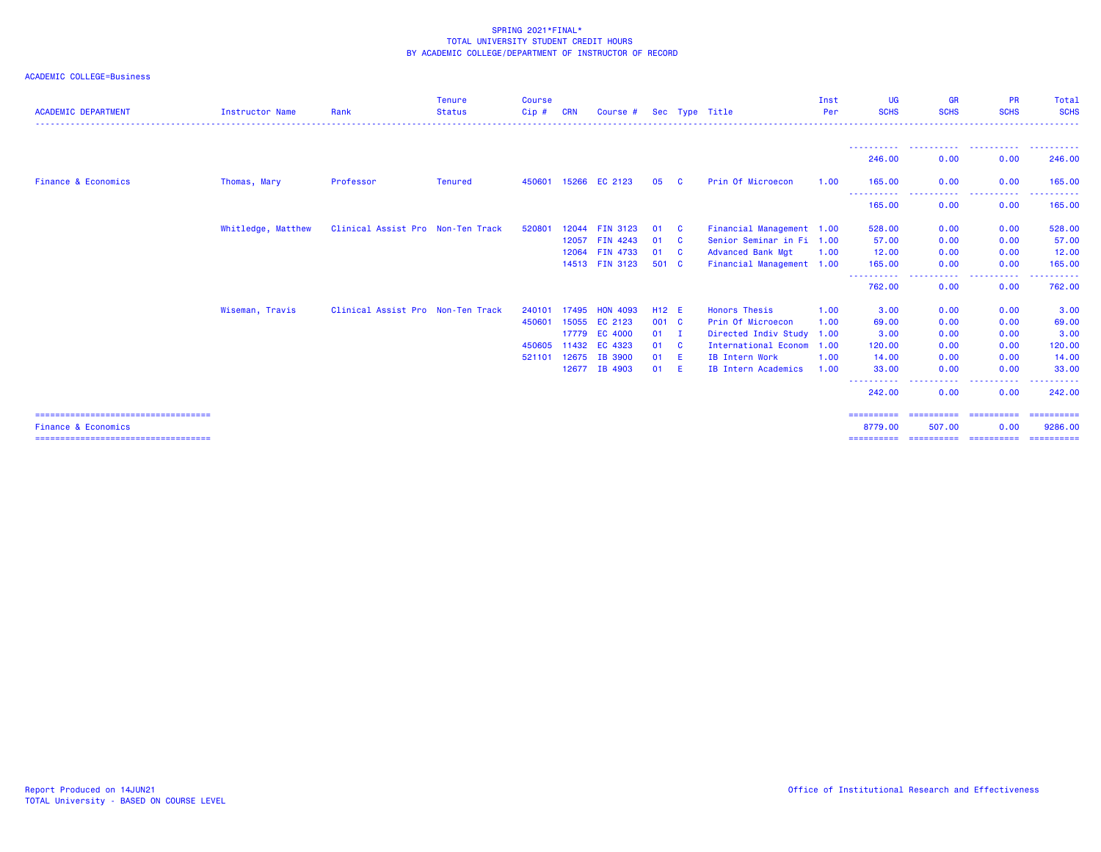| <b>ACADEMIC DEPARTMENT</b>                                               | <b>Instructor Name</b> | Rank                              | <b>Tenure</b><br><b>Status</b> | <b>Course</b><br>Cip# | <b>CRN</b> | Course #             |        |              | Sec Type Title            | Inst<br>Per | <b>UG</b><br><b>SCHS</b> | <b>GR</b><br><b>SCHS</b>                 | <b>PR</b><br><b>SCHS</b> | Total<br><b>SCHS</b>   |
|--------------------------------------------------------------------------|------------------------|-----------------------------------|--------------------------------|-----------------------|------------|----------------------|--------|--------------|---------------------------|-------------|--------------------------|------------------------------------------|--------------------------|------------------------|
|                                                                          |                        |                                   |                                |                       |            |                      |        |              |                           |             | 246.00                   | 0.00                                     | 0.00                     | 246.00                 |
| <b>Finance &amp; Economics</b>                                           | Thomas, Mary           | Professor                         | <b>Tenured</b>                 |                       |            | 450601 15266 EC 2123 | 05     | - C          | Prin Of Microecon         | 1.00        | 165.00                   | 0.00                                     | 0.00                     | 165.00                 |
|                                                                          |                        |                                   |                                |                       |            |                      |        |              |                           |             | -----------<br>165.00    | $\sim$ $\sim$ $\sim$ $\sim$<br>.<br>0.00 | .<br>0.00                | .<br>165.00            |
|                                                                          | Whitledge, Matthew     | Clinical Assist Pro Non-Ten Track |                                | 520801                |            | 12044 FIN 3123       | 01     | - C          | Financial Management 1.00 |             | 528.00                   | 0.00                                     | 0.00                     | 528.00                 |
|                                                                          |                        |                                   |                                |                       | 12057      | <b>FIN 4243</b>      | 01     | $\mathbf{C}$ | Senior Seminar in Fi 1.00 |             | 57.00                    | 0.00                                     | 0.00                     | 57.00                  |
|                                                                          |                        |                                   |                                |                       |            | 12064 FIN 4733       | 01     | $\mathbf{C}$ | <b>Advanced Bank Mgt</b>  | 1.00        | 12.00                    | 0.00                                     | 0.00                     | 12.00                  |
|                                                                          |                        |                                   |                                |                       |            | 14513 FIN 3123       | 501 C  |              | Financial Management 1.00 |             | 165,00                   | 0.00                                     | 0.00                     | 165.00                 |
|                                                                          |                        |                                   |                                |                       |            |                      |        |              |                           |             | -----------<br>762.00    | ----------<br>0.00                       | .<br>0.00                | <b></b><br>762.00      |
|                                                                          | Wiseman, Travis        | Clinical Assist Pro Non-Ten Track |                                | 240101                | 17495      | <b>HON 4093</b>      | H12 E  |              | <b>Honors Thesis</b>      | 1.00        | 3.00                     | 0.00                                     | 0.00                     | 3.00                   |
|                                                                          |                        |                                   |                                | 450601                |            | 15055 EC 2123        | 001 C  |              | Prin Of Microecon         | 1.00        | 69.00                    | 0.00                                     | 0.00                     | 69.00                  |
|                                                                          |                        |                                   |                                |                       | 17779      | <b>EC 4000</b>       | $01$ I |              | Directed Indiv Study 1.00 |             | 3.00                     | 0.00                                     | 0.00                     | 3.00                   |
|                                                                          |                        |                                   |                                | 450605                |            | 11432 EC 4323        | 01     | $\mathbf{C}$ | International Econom 1.00 |             | 120.00                   | 0.00                                     | 0.00                     | 120.00                 |
|                                                                          |                        |                                   |                                | 521101                | 12675      | <b>IB 3900</b>       | 01     | - E          | IB Intern Work            | 1.00        | 14.00                    | 0.00                                     | 0.00                     | 14.00                  |
|                                                                          |                        |                                   |                                |                       |            | 12677 IB 4903        | 01     | -E           | IB Intern Academics       | 1.00        | 33,00                    | 0.00<br>.                                | 0.00<br>.                | 33.00                  |
|                                                                          |                        |                                   |                                |                       |            |                      |        |              |                           |             | ----------<br>242.00     | 0.00                                     | 0.00                     | 242.00                 |
| ======================================                                   |                        |                                   |                                |                       |            |                      |        |              |                           |             | ==========               | ==========                               | ==========               | ==========             |
| <b>Finance &amp; Economics</b><br>====================================== |                        |                                   |                                |                       |            |                      |        |              |                           |             | 8779.00                  | 507.00                                   | 0.00                     | 9286.00<br>----------- |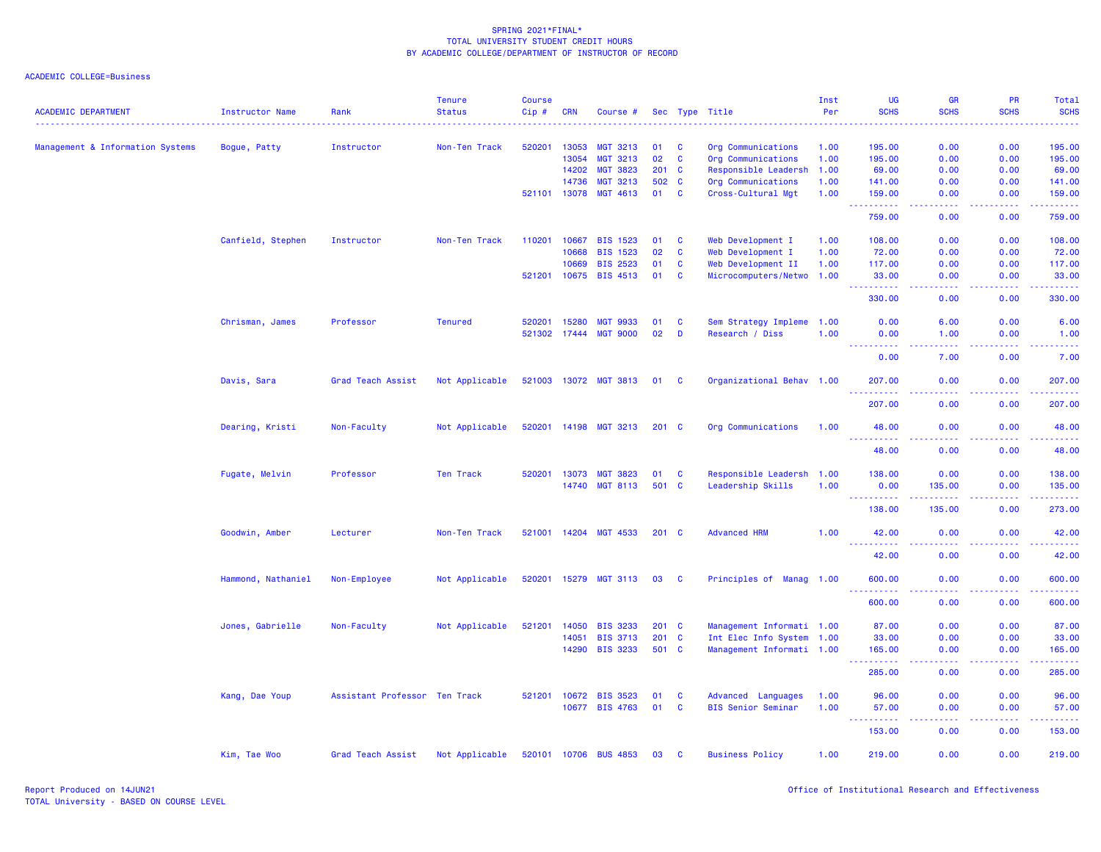| <b>ACADEMIC DEPARTMENT</b>       | Instructor Name    | Rank                          | <b>Tenure</b><br><b>Status</b> | <b>Course</b><br>Cip# | <b>CRN</b>   | Course #              |               |              | Sec Type Title            | Inst<br>Per | UG<br><b>SCHS</b>  | <b>GR</b><br><b>SCHS</b>                                                                               | PR<br><b>SCHS</b> | Total<br><b>SCHS</b>                                                                                                                                           |
|----------------------------------|--------------------|-------------------------------|--------------------------------|-----------------------|--------------|-----------------------|---------------|--------------|---------------------------|-------------|--------------------|--------------------------------------------------------------------------------------------------------|-------------------|----------------------------------------------------------------------------------------------------------------------------------------------------------------|
| Management & Information Systems | Bogue, Patty       | Instructor                    | Non-Ten Track                  | 520201                | 13053        | <b>MGT 3213</b>       | 01            | <b>C</b>     | Org Communications        | 1.00        | 195.00             | 0.00                                                                                                   | 0.00              | 195.00                                                                                                                                                         |
|                                  |                    |                               |                                |                       | 13054        | <b>MGT 3213</b>       | 02            | $\mathbf{C}$ | Org Communications        | 1.00        | 195.00             | 0.00                                                                                                   | 0.00              | 195.00                                                                                                                                                         |
|                                  |                    |                               |                                |                       | 14202        | <b>MGT 3823</b>       | 201           | <b>C</b>     | Responsible Leadersh      | 1.00        | 69.00              | 0.00                                                                                                   | 0.00              | 69.00                                                                                                                                                          |
|                                  |                    |                               |                                |                       | 14736        | <b>MGT 3213</b>       | 502           | <b>C</b>     | Org Communications        | 1.00        | 141.00             | 0.00                                                                                                   | 0.00              | 141.00                                                                                                                                                         |
|                                  |                    |                               |                                |                       | 521101 13078 | MGT 4613              | 01            | <b>C</b>     | Cross-Cultural Mgt        | 1.00        | 159.00<br>.        | 0.00<br>$\sim$ $\sim$ $\sim$ $\sim$                                                                    | 0.00<br>-----     | 159.00<br>$\frac{1}{2} \left( \frac{1}{2} \right) \left( \frac{1}{2} \right) \left( \frac{1}{2} \right) \left( \frac{1}{2} \right) \left( \frac{1}{2} \right)$ |
|                                  |                    |                               |                                |                       |              |                       |               |              |                           |             | 759.00             | 0.00                                                                                                   | 0.00              | 759.00                                                                                                                                                         |
|                                  | Canfield, Stephen  | Instructor                    | Non-Ten Track                  | 110201                | 10667        | <b>BIS 1523</b>       | 01            | <b>C</b>     | Web Development I         | 1.00        | 108.00             | 0.00                                                                                                   | 0.00              | 108.00                                                                                                                                                         |
|                                  |                    |                               |                                |                       | 10668        | <b>BIS 1523</b>       | 02            | <b>C</b>     | Web Development I         | 1.00        | 72.00              | 0.00                                                                                                   | 0.00              | 72.00                                                                                                                                                          |
|                                  |                    |                               |                                |                       | 10669        | <b>BIS 2523</b>       | 01            | $\mathbf{C}$ | Web Development II        | 1.00        | 117.00             | 0.00                                                                                                   | 0.00              | 117.00                                                                                                                                                         |
|                                  |                    |                               |                                |                       | 521201 10675 | <b>BIS 4513</b>       | 01            | $\mathbf{C}$ | Microcomputers/Netwo 1.00 |             | 33.00<br>.         | 0.00<br>$\frac{1}{2} \left( \frac{1}{2} \right) \left( \frac{1}{2} \right) \left( \frac{1}{2} \right)$ | 0.00<br>22222     | 33.00<br>.                                                                                                                                                     |
|                                  |                    |                               |                                |                       |              |                       |               |              |                           |             | 330.00             | 0.00                                                                                                   | 0.00              | 330.00                                                                                                                                                         |
|                                  | Chrisman, James    | Professor                     | <b>Tenured</b>                 | 520201                | 15280        | <b>MGT 9933</b>       | 01            | <b>C</b>     | Sem Strategy Impleme 1.00 |             | 0.00               | 6.00                                                                                                   | 0.00              | 6.00                                                                                                                                                           |
|                                  |                    |                               |                                |                       | 521302 17444 | <b>MGT 9000</b>       | 02            | D            | Research / Diss           | 1.00        | 0.00<br>.          | 1.00<br>$\frac{1}{2} \left( \frac{1}{2} \right) \left( \frac{1}{2} \right) \left( \frac{1}{2} \right)$ | 0.00              | 1.00<br>.                                                                                                                                                      |
|                                  |                    |                               |                                |                       |              |                       |               |              |                           |             | $- - - -$<br>0.00  | 7.00                                                                                                   | .<br>0.00         | 7.00                                                                                                                                                           |
|                                  | Davis, Sara        | Grad Teach Assist             | Not Applicable                 |                       |              | 521003 13072 MGT 3813 | 01            | <b>C</b>     | Organizational Behav 1.00 |             | 207.00<br><u>.</u> | 0.00<br>$\sim$ $\sim$ $\sim$ $\sim$                                                                    | 0.00<br>.         | 207.00<br>2.22222                                                                                                                                              |
|                                  |                    |                               |                                |                       |              |                       |               |              |                           |             | 207.00             | 0.00                                                                                                   | 0.00              | 207.00                                                                                                                                                         |
|                                  | Dearing, Kristi    | Non-Faculty                   | Not Applicable                 |                       |              | 520201 14198 MGT 3213 | $201 \quad C$ |              | Org Communications        | 1.00        | 48.00              | 0.00                                                                                                   | 0.00              | 48.00                                                                                                                                                          |
|                                  |                    |                               |                                |                       |              |                       |               |              |                           |             | 48.00              | 0.00                                                                                                   | 0.00              | 48.00                                                                                                                                                          |
|                                  | Fugate, Melvin     | Professor                     | Ten Track                      | 520201                | 13073        | <b>MGT 3823</b>       | 01            | <b>C</b>     | Responsible Leadersh      | 1.00        | 138.00             | 0.00                                                                                                   | 0.00              | 138.00                                                                                                                                                         |
|                                  |                    |                               |                                |                       | 14740        | <b>MGT 8113</b>       | 501 C         |              | Leadership Skills         | 1.00        | 0.00<br><b>.</b>   | 135.00                                                                                                 | 0.00              | 135.00                                                                                                                                                         |
|                                  |                    |                               |                                |                       |              |                       |               |              |                           |             | 138.00             | 135.00                                                                                                 | 0.00              | 273.00                                                                                                                                                         |
|                                  | Goodwin, Amber     | Lecturer                      | Non-Ten Track                  | 521001 14204          |              | <b>MGT 4533</b>       | $201 \quad C$ |              | <b>Advanced HRM</b>       | 1.00        | 42.00              | 0.00                                                                                                   | 0.00              | 42.00<br>المتمامين                                                                                                                                             |
|                                  |                    |                               |                                |                       |              |                       |               |              |                           |             | .<br>42.00         | 0.00                                                                                                   | 0.00              | 42.00                                                                                                                                                          |
|                                  | Hammond, Nathaniel | Non-Employee                  | Not Applicable                 | 520201                | 15279        | <b>MGT 3113</b>       | 03            | <b>C</b>     | Principles of Manag 1.00  |             | 600.00             | 0.00                                                                                                   | 0.00              | 600.00                                                                                                                                                         |
|                                  |                    |                               |                                |                       |              |                       |               |              |                           |             | 600.00             | 0.00                                                                                                   | 0.00              | 600.00                                                                                                                                                         |
|                                  | Jones, Gabrielle   | Non-Faculty                   | Not Applicable                 | 521201                | 14050        | <b>BIS 3233</b>       | 201 C         |              | Management Informati 1.00 |             | 87.00              | 0.00                                                                                                   | 0.00              | 87.00                                                                                                                                                          |
|                                  |                    |                               |                                |                       | 14051        | <b>BIS 3713</b>       | 201           | <b>C</b>     | Int Elec Info System 1.00 |             | 33.00              | 0.00                                                                                                   | 0.00              | 33.00                                                                                                                                                          |
|                                  |                    |                               |                                |                       | 14290        | <b>BIS 3233</b>       | 501 C         |              | Management Informati 1.00 |             | 165.00             | 0.00                                                                                                   | 0.00              | 165.00<br>.                                                                                                                                                    |
|                                  |                    |                               |                                |                       |              |                       |               |              |                           |             | 285.00             | 0.00                                                                                                   | 0.00              | 285.00                                                                                                                                                         |
|                                  | Kang, Dae Youp     | Assistant Professor Ten Track |                                |                       | 521201 10672 | <b>BIS 3523</b>       | 01            | <b>C</b>     | Advanced Languages        | 1.00        | 96.00              | 0.00                                                                                                   | 0.00              | 96.00                                                                                                                                                          |
|                                  |                    |                               |                                |                       | 10677        | <b>BIS 4763</b>       | 01            | <b>C</b>     | <b>BIS Senior Seminar</b> | 1.00        | 57.00              | 0.00                                                                                                   | 0.00              | 57.00                                                                                                                                                          |
|                                  |                    |                               |                                |                       |              |                       |               |              |                           |             | 153.00             | .<br>0.00                                                                                              | المتمالين<br>0.00 | المتمامين<br>153.00                                                                                                                                            |
|                                  | Kim, Tae Woo       | Grad Teach Assist             | Not Applicable                 |                       | 520101 10706 | <b>BUS 4853</b>       | 03            | C            | <b>Business Policy</b>    | 1.00        | 219.00             | 0.00                                                                                                   | 0.00              | 219.00                                                                                                                                                         |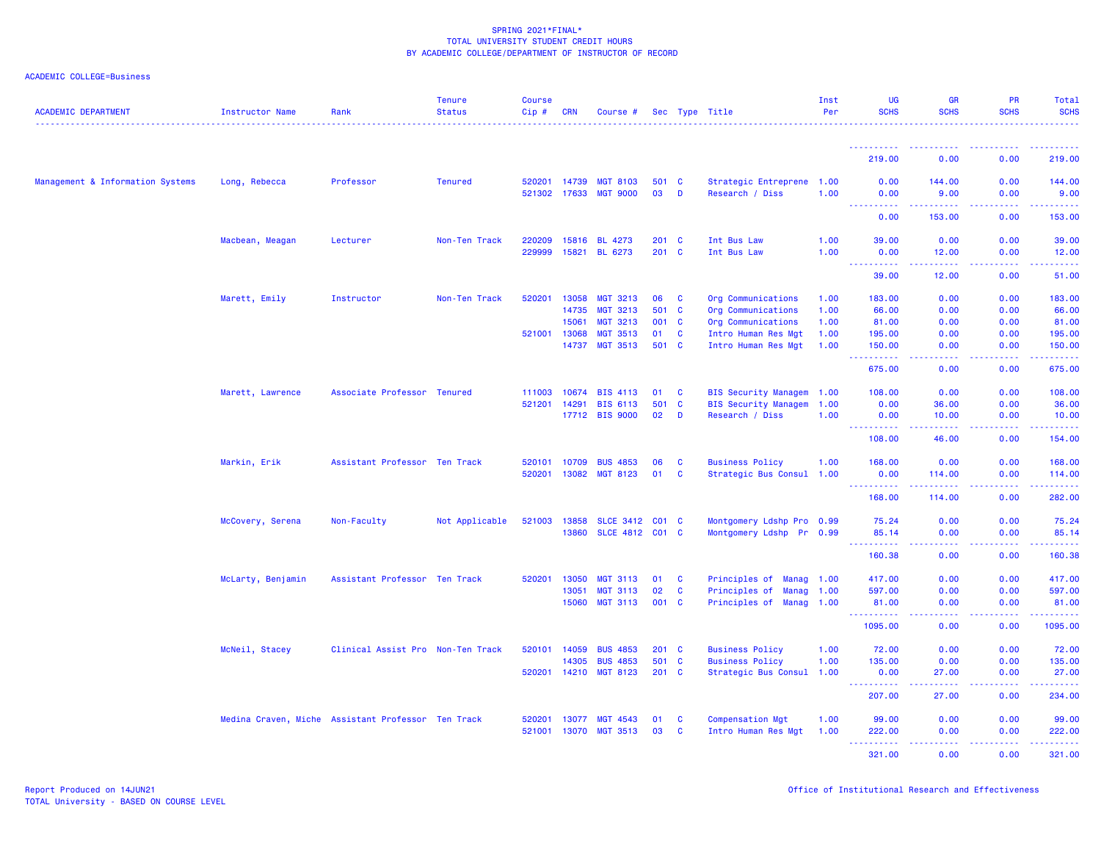| <b>ACADEMIC DEPARTMENT</b>       | Instructor Name                                    | Rank                              | <b>Tenure</b><br><b>Status</b> | <b>Course</b><br>Cip# | <b>CRN</b>     | Course #                           |                      |                      | Sec Type Title                                                           | Inst<br>Per  | <b>UG</b><br><b>SCHS</b>                                   | <b>GR</b><br><b>SCHS</b>                                                                                                                                      | <b>PR</b><br><b>SCHS</b>                                                                                                                                     | Total<br><b>SCHS</b>  |
|----------------------------------|----------------------------------------------------|-----------------------------------|--------------------------------|-----------------------|----------------|------------------------------------|----------------------|----------------------|--------------------------------------------------------------------------|--------------|------------------------------------------------------------|---------------------------------------------------------------------------------------------------------------------------------------------------------------|--------------------------------------------------------------------------------------------------------------------------------------------------------------|-----------------------|
|                                  |                                                    |                                   |                                |                       |                |                                    |                      |                      |                                                                          |              |                                                            |                                                                                                                                                               |                                                                                                                                                              |                       |
|                                  |                                                    |                                   |                                |                       |                |                                    |                      |                      |                                                                          |              | 219.00                                                     | 0.00                                                                                                                                                          | 0.00                                                                                                                                                         | 219.00                |
| Management & Information Systems | Long, Rebecca                                      | Professor                         | <b>Tenured</b>                 | 520201 14739          |                | <b>MGT 8103</b>                    | 501 C                |                      | Strategic Entreprene 1.00                                                |              | 0.00                                                       | 144.00                                                                                                                                                        | 0.00                                                                                                                                                         | 144.00                |
|                                  |                                                    |                                   |                                | 521302 17633          |                | <b>MGT 9000</b>                    | 03                   | D                    | Research / Diss                                                          | 1.00         | 0.00<br>$\sim 10$<br>.                                     | 9.00<br>.                                                                                                                                                     | 0.00<br>.                                                                                                                                                    | 9.00<br>22222         |
|                                  |                                                    |                                   |                                |                       |                |                                    |                      |                      |                                                                          |              | 0.00                                                       | 153.00                                                                                                                                                        | 0.00                                                                                                                                                         | 153.00                |
|                                  | Macbean, Meagan                                    | Lecturer                          | Non-Ten Track                  | 220209                | 15816          | <b>BL 4273</b>                     | $201 \quad C$        |                      | Int Bus Law                                                              | 1.00         | 39,00                                                      | 0.00                                                                                                                                                          | 0.00                                                                                                                                                         | 39.00                 |
|                                  |                                                    |                                   |                                | 229999                | 15821          | <b>BL 6273</b>                     | 201 C                |                      | Int Bus Law                                                              | 1.00         | 0.00<br><u> - - - - - - - - - -</u>                        | 12.00<br>$\frac{1}{2} \left( \frac{1}{2} \right) \left( \frac{1}{2} \right) \left( \frac{1}{2} \right) \left( \frac{1}{2} \right) \left( \frac{1}{2} \right)$ | 0.00<br>.                                                                                                                                                    | 12.00<br>.            |
|                                  |                                                    |                                   |                                |                       |                |                                    |                      |                      |                                                                          |              | 39.00                                                      | 12.00                                                                                                                                                         | 0.00                                                                                                                                                         | 51.00                 |
|                                  | Marett, Emily                                      | Instructor                        | Non-Ten Track                  | 520201                | 13058          | <b>MGT 3213</b>                    | 06                   | <b>C</b>             | Org Communications                                                       | 1.00         | 183.00                                                     | 0.00                                                                                                                                                          | 0.00                                                                                                                                                         | 183.00                |
|                                  |                                                    |                                   |                                |                       | 14735          | <b>MGT 3213</b>                    | 501 C                |                      | Org Communications                                                       | 1.00         | 66.00                                                      | 0.00                                                                                                                                                          | 0.00                                                                                                                                                         | 66.00                 |
|                                  |                                                    |                                   |                                |                       | 15061          | <b>MGT 3213</b>                    | 001                  | $\mathbf{C}$         | Org Communications                                                       | 1.00         | 81.00                                                      | 0.00                                                                                                                                                          | 0.00                                                                                                                                                         | 81.00                 |
|                                  |                                                    |                                   |                                | 521001 13068          |                | <b>MGT 3513</b>                    | 01                   | $\mathbf{C}$         | Intro Human Res Mgt                                                      | 1.00         | 195.00                                                     | 0.00                                                                                                                                                          | 0.00                                                                                                                                                         | 195.00                |
|                                  |                                                    |                                   |                                |                       | 14737          | <b>MGT 3513</b>                    | 501 C                |                      | Intro Human Res Mgt                                                      | 1.00         | 150.00<br><b><i><u><u> - - - - - - - - - -</u></u></i></b> | 0.00<br>.                                                                                                                                                     | 0.00<br>$\frac{1}{2} \left( \frac{1}{2} \right) \left( \frac{1}{2} \right) \left( \frac{1}{2} \right) \left( \frac{1}{2} \right) \left( \frac{1}{2} \right)$ | 150.00<br>2.2.2.2.2.2 |
|                                  |                                                    |                                   |                                |                       |                |                                    |                      |                      |                                                                          |              | 675.00                                                     | 0.00                                                                                                                                                          | 0.00                                                                                                                                                         | 675.00                |
|                                  | Marett, Lawrence                                   | Associate Professor Tenured       |                                | 111003                | 10674          | <b>BIS 4113</b>                    | 01                   | <b>C</b>             | BIS Security Managem 1.00                                                |              | 108.00                                                     | 0.00                                                                                                                                                          | 0.00                                                                                                                                                         | 108.00                |
|                                  |                                                    |                                   |                                | 521201 14291          |                | <b>BIS 6113</b>                    | 501                  | <b>C</b>             | BIS Security Managem 1.00                                                |              | 0.00                                                       | 36.00                                                                                                                                                         | 0.00                                                                                                                                                         | 36.00                 |
|                                  |                                                    |                                   |                                |                       |                | 17712 BIS 9000                     | 02                   | D                    | Research / Diss                                                          | 1.00         | 0.00<br>$\sim$ $\sim$ $\sim$<br>22222                      | 10.00<br>.                                                                                                                                                    | 0.00<br>المالمات                                                                                                                                             | 10.00<br>.            |
|                                  |                                                    |                                   |                                |                       |                |                                    |                      |                      |                                                                          |              | 108.00                                                     | 46.00                                                                                                                                                         | 0.00                                                                                                                                                         | 154.00                |
|                                  | Markin, Erik                                       | Assistant Professor Ten Track     |                                | 520101 10709          |                | <b>BUS 4853</b>                    | 06                   | <b>C</b>             | <b>Business Policy</b>                                                   | 1.00         | 168.00                                                     | 0.00                                                                                                                                                          | 0.00                                                                                                                                                         | 168.00                |
|                                  |                                                    |                                   |                                | 520201 13082          |                | <b>MGT 8123</b>                    | 01                   | $\mathbf{C}$         | Strategic Bus Consul 1.00                                                |              | 0.00                                                       | 114.00                                                                                                                                                        | 0.00                                                                                                                                                         | 114.00                |
|                                  |                                                    |                                   |                                |                       |                |                                    |                      |                      |                                                                          |              | 168.00                                                     | 114.00                                                                                                                                                        | 0.00                                                                                                                                                         | 282.00                |
|                                  | McCovery, Serena                                   | Non-Faculty                       | Not Applicable                 | 521003                | 13858          | <b>SLCE 3412</b>                   | $CO1$ C              |                      | Montgomery Ldshp Pro 0.99                                                |              | 75.24                                                      | 0.00                                                                                                                                                          | 0.00                                                                                                                                                         | 75.24                 |
|                                  |                                                    |                                   |                                |                       | 13860          | SLCE 4812 C01 C                    |                      |                      | Montgomery Ldshp Pr 0.99                                                 |              | 85.14                                                      | 0.00                                                                                                                                                          | 0.00                                                                                                                                                         | 85.14                 |
|                                  |                                                    |                                   |                                |                       |                |                                    |                      |                      |                                                                          |              | <u>.</u><br>160.38                                         | .<br>0.00                                                                                                                                                     | .<br>0.00                                                                                                                                                    | .<br>160.38           |
|                                  |                                                    |                                   |                                |                       |                |                                    |                      |                      |                                                                          |              |                                                            |                                                                                                                                                               |                                                                                                                                                              |                       |
|                                  | McLarty, Benjamin                                  | Assistant Professor Ten Track     |                                | 520201                | 13050<br>13051 | <b>MGT 3113</b><br><b>MGT 3113</b> | 01<br>02             | <b>C</b><br><b>C</b> | Principles of<br><b>Manag 1.00</b><br>Principles of<br><b>Manag 1.00</b> |              | 417.00<br>597.00                                           | 0.00<br>0.00                                                                                                                                                  | 0.00<br>0.00                                                                                                                                                 | 417.00<br>597.00      |
|                                  |                                                    |                                   |                                |                       | 15060          | <b>MGT 3113</b>                    | 001 C                |                      | Principles of Manag 1.00                                                 |              | 81.00                                                      | 0.00                                                                                                                                                          | 0.00                                                                                                                                                         | 81.00                 |
|                                  |                                                    |                                   |                                |                       |                |                                    |                      |                      |                                                                          |              | <u>.</u><br>1095.00                                        | د د د د<br>0.00                                                                                                                                               | 22222<br>0.00                                                                                                                                                | .<br>1095.00          |
|                                  |                                                    |                                   |                                |                       |                |                                    |                      |                      |                                                                          |              |                                                            |                                                                                                                                                               |                                                                                                                                                              |                       |
|                                  | McNeil, Stacey                                     | Clinical Assist Pro Non-Ten Track |                                | 520101 14059          | 14305          | <b>BUS 4853</b><br><b>BUS 4853</b> | $201 \quad C$<br>501 | $\mathbf{C}$         | <b>Business Policy</b><br><b>Business Policy</b>                         | 1.00<br>1.00 | 72.00<br>135.00                                            | 0.00<br>0.00                                                                                                                                                  | 0.00<br>0.00                                                                                                                                                 | 72.00<br>135.00       |
|                                  |                                                    |                                   |                                | 520201 14210          |                | <b>MGT 8123</b>                    | $201$ C              |                      | Strategic Bus Consul 1.00                                                |              | 0.00                                                       | 27.00                                                                                                                                                         | 0.00                                                                                                                                                         | 27.00                 |
|                                  |                                                    |                                   |                                |                       |                |                                    |                      |                      |                                                                          |              | <u>.</u><br>207.00                                         | .<br>27.00                                                                                                                                                    | 22222<br>0.00                                                                                                                                                | 2.2.2.2.1<br>234.00   |
|                                  |                                                    |                                   |                                |                       |                |                                    |                      |                      |                                                                          |              |                                                            |                                                                                                                                                               |                                                                                                                                                              |                       |
|                                  | Medina Craven, Miche Assistant Professor Ten Track |                                   |                                | 520201                | 13077          | <b>MGT 4543</b>                    | 01                   | <b>C</b>             | <b>Compensation Mgt</b>                                                  | 1.00         | 99.00                                                      | 0.00                                                                                                                                                          | 0.00                                                                                                                                                         | 99.00                 |
|                                  |                                                    |                                   |                                | 521001 13070          |                | <b>MGT 3513</b>                    | 03                   | <b>C</b>             | Intro Human Res Mgt                                                      | 1.00         | 222.00<br><u> - - - - - - - - - -</u>                      | 0.00<br>.                                                                                                                                                     | 0.00<br>22222                                                                                                                                                | 222.00<br>.           |
|                                  |                                                    |                                   |                                |                       |                |                                    |                      |                      |                                                                          |              | 321.00                                                     | 0.00                                                                                                                                                          | 0.00                                                                                                                                                         | 321.00                |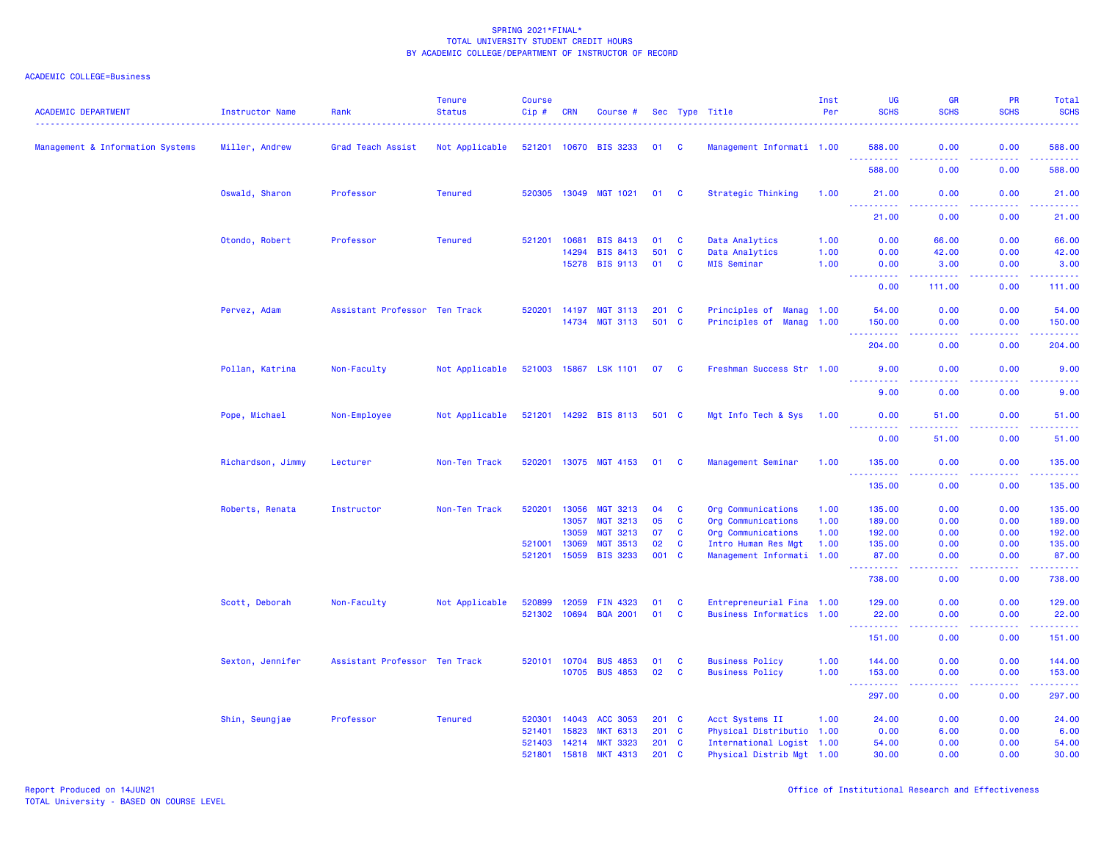| <b>ACADEMIC DEPARTMENT</b>       | Instructor Name   | Rank                          | <b>Tenure</b><br><b>Status</b> | <b>Course</b><br>Cip# | CRN            | Course #                    |            |                   | Sec Type Title                               | Inst<br>Per | <b>UG</b><br><b>SCHS</b>                                                                                              | GR<br><b>SCHS</b>                   | PR<br><b>SCHS</b> | Total<br><b>SCHS</b>  |
|----------------------------------|-------------------|-------------------------------|--------------------------------|-----------------------|----------------|-----------------------------|------------|-------------------|----------------------------------------------|-------------|-----------------------------------------------------------------------------------------------------------------------|-------------------------------------|-------------------|-----------------------|
| Management & Information Systems | Miller, Andrew    | Grad Teach Assist             | Not Applicable                 |                       |                | 521201 10670 BIS 3233       | 01         | C                 | Management Informati 1.00                    |             | 588.00                                                                                                                | 0.00<br>.                           | 0.00<br>$   -$    | 588.00<br>والمالم مال |
|                                  |                   |                               |                                |                       |                |                             |            |                   |                                              |             | 588.00                                                                                                                | 0.00                                | 0.00              | 588.00                |
|                                  | Oswald, Sharon    | Professor                     | <b>Tenured</b>                 |                       |                | 520305 13049 MGT 1021       | 01 C       |                   | Strategic Thinking                           | 1.00        | 21.00                                                                                                                 | 0.00                                | 0.00              | 21.00                 |
|                                  |                   |                               |                                |                       |                |                             |            |                   |                                              |             | .<br>21.00                                                                                                            | $- - - -$<br>0.00                   | .<br>0.00         | .<br>21.00            |
|                                  | Otondo, Robert    | Professor                     | <b>Tenured</b>                 | 521201                | 10681          | <b>BIS 8413</b>             | 01         | $\mathbf{C}$      | Data Analytics                               | 1.00        | 0.00                                                                                                                  | 66.00                               | 0.00              | 66.00                 |
|                                  |                   |                               |                                |                       | 14294          | <b>BIS 8413</b>             | 501        | $\mathbf{C}$      | Data Analytics                               | 1.00        | 0.00                                                                                                                  | 42.00                               | 0.00              | 42.00                 |
|                                  |                   |                               |                                |                       | 15278          | <b>BIS 9113</b>             | 01         | $\mathbf{C}$      | <b>MIS Seminar</b>                           | 1.00        | 0.00                                                                                                                  | 3.00                                | 0.00              | 3.00                  |
|                                  |                   |                               |                                |                       |                |                             |            |                   |                                              |             | 0.00                                                                                                                  | 111.00                              | 0.00              | 111.00                |
|                                  | Pervez, Adam      | Assistant Professor Ten Track |                                | 520201                | 14197          | <b>MGT 3113</b>             | 201        | <b>C</b>          | Principles of<br><b>Manag 1.00</b>           |             | 54.00                                                                                                                 | 0.00                                | 0.00              | 54.00                 |
|                                  |                   |                               |                                |                       | 14734          | <b>MGT 3113</b>             | 501 C      |                   | Principles of<br><b>Manag 1.00</b>           |             | 150.00                                                                                                                | 0.00                                | 0.00              | 150.00                |
|                                  |                   |                               |                                |                       |                |                             |            |                   |                                              |             | 204.00                                                                                                                | 0.00                                | 0.00              | 204.00                |
|                                  | Pollan, Katrina   | Non-Faculty                   | Not Applicable                 | 521003 15867          |                | <b>LSK 1101</b>             | 07         | - C               | Freshman Success Str 1.00                    |             | 9.00                                                                                                                  | 0.00                                | 0.00              | 9.00                  |
|                                  |                   |                               |                                |                       |                |                             |            |                   |                                              |             | د د د د<br>9.00                                                                                                       | 0.00                                | 0.00              | 9.00                  |
|                                  | Pope, Michael     | Non-Employee                  | Not Applicable                 |                       |                | 521201 14292 BIS 8113       | 501 C      |                   | Mgt Info Tech & Sys                          | 1.00        | 0.00                                                                                                                  | 51.00                               | 0.00              | 51.00                 |
|                                  |                   |                               |                                |                       |                |                             |            |                   |                                              |             | والمستناب<br>.<br>0.00                                                                                                | 51.00                               | وعاعات<br>0.00    | المستحب<br>51.00      |
|                                  | Richardson, Jimmy | Lecturer                      | Non-Ten Track                  | 520201                |                | 13075 MGT 4153              | 01         | <b>C</b>          | Management Seminar                           | 1.00        | 135.00                                                                                                                | 0.00                                | 0.00              | 135.00                |
|                                  |                   |                               |                                |                       |                |                             |            |                   |                                              |             | $\begin{array}{cccccccccc} \bullet & \bullet & \bullet & \bullet & \bullet & \bullet & \bullet \end{array}$<br>135.00 | $\sim$ $\sim$ $\sim$ $\sim$<br>0.00 | المستبد<br>0.00   | بالمتمام<br>135.00    |
|                                  | Roberts, Renata   | Instructor                    | Non-Ten Track                  | 520201                | 13056          | <b>MGT 3213</b>             | 04         | $\mathbf{C}$      | Org Communications                           | 1.00        | 135.00                                                                                                                | 0.00                                | 0.00              | 135.00                |
|                                  |                   |                               |                                |                       | 13057          | <b>MGT 3213</b>             | 05         | C                 | Org Communications                           | 1.00        | 189.00                                                                                                                | 0.00                                | 0.00              | 189.00                |
|                                  |                   |                               |                                |                       | 13059          | <b>MGT 3213</b>             | 07         | $\mathbf{C}$      | Org Communications                           | 1.00        | 192.00                                                                                                                | 0.00                                | 0.00              | 192.00                |
|                                  |                   |                               |                                | 521001                | 13069          | <b>MGT 3513</b>             | 02         | C                 | Intro Human Res Mgt                          | 1.00        | 135.00                                                                                                                | 0.00                                | 0.00              | 135.00                |
|                                  |                   |                               |                                | 521201                | 15059          | <b>BIS 3233</b>             | 001        | $\mathbf{C}$      | Management Informati 1.00                    |             | 87.00<br><u>.</u>                                                                                                     | 0.00                                | 0.00              | 87.00<br>22222)       |
|                                  |                   |                               |                                |                       |                |                             |            |                   |                                              |             | 738.00                                                                                                                | 0.00                                | 0.00              | 738.00                |
|                                  | Scott, Deborah    | Non-Faculty                   | Not Applicable                 | 520899                | 12059          | FIN 4323                    | 01         | C                 | Entrepreneurial Fina 1.00                    |             | 129.00                                                                                                                | 0.00                                | 0.00              | 129.00                |
|                                  |                   |                               |                                | 521302 10694          |                | <b>BQA 2001</b>             | 01         | $\mathbf{c}$      | Business Informatics 1.00                    |             | 22.00                                                                                                                 | 0.00                                | 0.00              | 22.00                 |
|                                  |                   |                               |                                |                       |                |                             |            |                   |                                              |             | د د د د د د<br>151.00                                                                                                 | .<br>0.00                           | ولاوياء<br>0.00   | المتمامين<br>151.00   |
|                                  | Sexton, Jennifer  | Assistant Professor Ten Track |                                | 520101                | 10704          | <b>BUS 4853</b>             | 01         | C                 | <b>Business Policy</b>                       | 1.00        | 144.00                                                                                                                | 0.00                                | 0.00              | 144.00                |
|                                  |                   |                               |                                |                       | 10705          | <b>BUS 4853</b>             | 02         | $\mathbf{C}$      | <b>Business Policy</b>                       | 1.00        | 153.00                                                                                                                | 0.00                                | 0.00              | 153.00                |
|                                  |                   |                               |                                |                       |                |                             |            |                   |                                              |             | <b></b><br>297.00                                                                                                     | $\omega$ is a $\omega$<br>0.00      | .<br>0.00         | .<br>297.00           |
|                                  |                   |                               |                                |                       |                |                             |            |                   |                                              |             |                                                                                                                       |                                     |                   |                       |
|                                  | Shin, Seungjae    | Professor                     | <b>Tenured</b>                 | 520301<br>521401      | 14043<br>15823 | ACC 3053<br><b>MKT 6313</b> | 201<br>201 | C<br>$\mathbf{C}$ | Acct Systems II<br>Physical Distributio 1.00 | 1.00        | 24.00<br>0.00                                                                                                         | 0.00<br>6.00                        | 0.00<br>0.00      | 24.00<br>6.00         |
|                                  |                   |                               |                                | 521403                | 14214          | <b>MKT 3323</b>             | 201        | <b>C</b>          | International Logist 1.00                    |             | 54.00                                                                                                                 | 0.00                                | 0.00              | 54.00                 |
|                                  |                   |                               |                                | 521801                | 15818          | <b>MKT 4313</b>             | 201        | C                 | Physical Distrib Mgt 1.00                    |             | 30.00                                                                                                                 | 0.00                                | 0.00              | 30.00                 |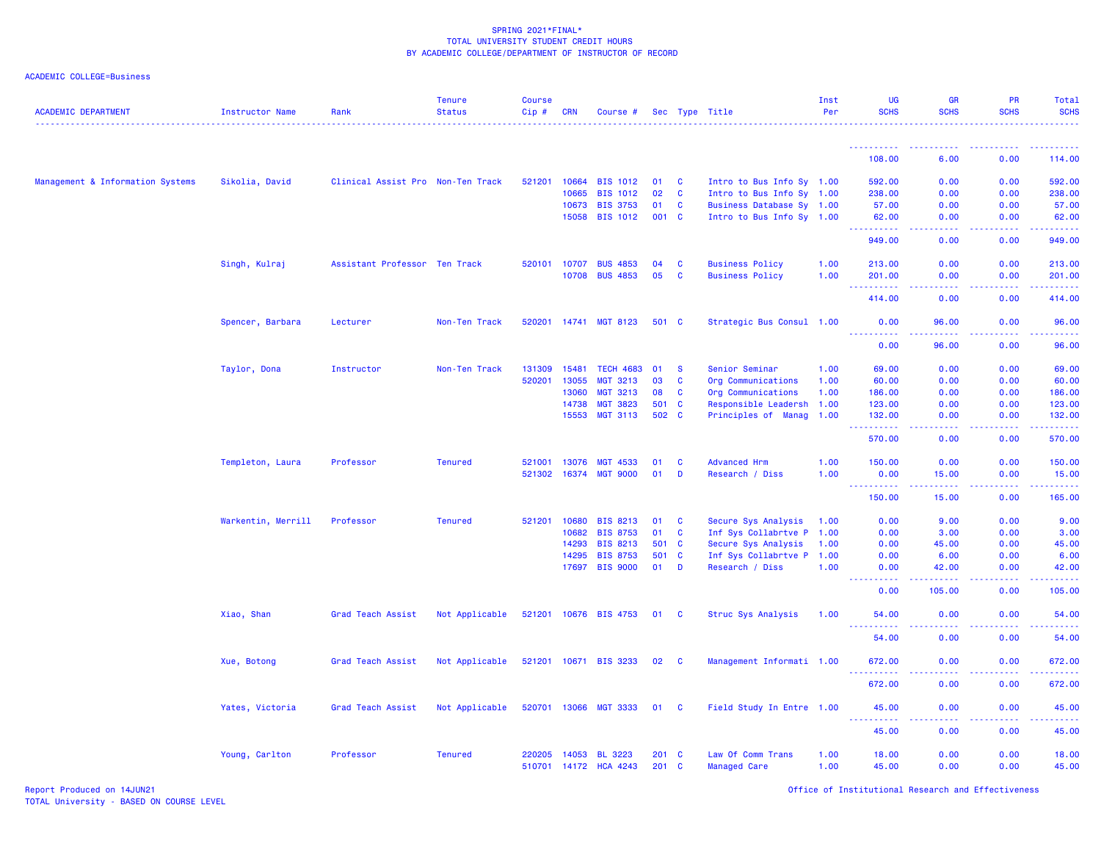| ACADEMIC COLLEGE=Business |  |  |
|---------------------------|--|--|
|                           |  |  |

| <b>ACADEMIC DEPARTMENT</b>       | <b>Instructor Name</b> | Rank                              | <b>Tenure</b><br><b>Status</b> | <b>Course</b><br>Cip# | <b>CRN</b>     | Course #                          |                |              | Sec Type Title                           | Inst<br>Per  | UG<br><b>SCHS</b>                      | <b>GR</b><br><b>SCHS</b>                                                                               | PR<br><b>SCHS</b> | Total<br><b>SCHS</b>                                                                                                                                           |
|----------------------------------|------------------------|-----------------------------------|--------------------------------|-----------------------|----------------|-----------------------------------|----------------|--------------|------------------------------------------|--------------|----------------------------------------|--------------------------------------------------------------------------------------------------------|-------------------|----------------------------------------------------------------------------------------------------------------------------------------------------------------|
|                                  |                        |                                   |                                |                       |                |                                   |                |              |                                          |              | <u>.</u>                               |                                                                                                        |                   |                                                                                                                                                                |
|                                  |                        |                                   |                                |                       |                |                                   |                |              |                                          |              | 108.00                                 | 6.00                                                                                                   | 0.00              | 114.00                                                                                                                                                         |
| Management & Information Systems | Sikolia, David         | Clinical Assist Pro Non-Ten Track |                                | 521201                | 10664          | <b>BIS 1012</b>                   | 01             | <b>C</b>     | Intro to Bus Info Sy 1.00                |              | 592.00                                 | 0.00                                                                                                   | 0.00              | 592.00                                                                                                                                                         |
|                                  |                        |                                   |                                |                       | 10665          | <b>BIS 1012</b>                   | 02             | <b>C</b>     | Intro to Bus Info Sy 1.00                |              | 238.00                                 | 0.00                                                                                                   | 0.00              | 238.00                                                                                                                                                         |
|                                  |                        |                                   |                                |                       | 10673          | <b>BIS 3753</b>                   | 01             | <b>C</b>     | Business Database Sy 1.00                |              | 57.00                                  | 0.00                                                                                                   | 0.00              | 57.00                                                                                                                                                          |
|                                  |                        |                                   |                                |                       | 15058          | <b>BIS 1012</b>                   | 001            | <b>C</b>     | Intro to Bus Info Sy 1.00                |              | 62.00<br><u>.</u>                      | 0.00<br>$\omega$ is a $\omega$                                                                         | 0.00<br>.         | 62.00<br><u>.</u>                                                                                                                                              |
|                                  |                        |                                   |                                |                       |                |                                   |                |              |                                          |              | 949.00                                 | 0.00                                                                                                   | 0.00              | 949.00                                                                                                                                                         |
|                                  | Singh, Kulraj          | Assistant Professor Ten Track     |                                | 520101                | 10707          | <b>BUS 4853</b>                   | 04             | <b>C</b>     | <b>Business Policy</b>                   | 1.00         | 213.00                                 | 0.00                                                                                                   | 0.00              | 213.00                                                                                                                                                         |
|                                  |                        |                                   |                                |                       | 10708          | <b>BUS 4853</b>                   | 05             | C            | <b>Business Policy</b>                   | 1.00         | 201.00<br>.                            | 0.00<br>$\sim$ $\sim$ $\sim$ $\sim$                                                                    | 0.00<br>.         | 201.00<br>$\frac{1}{2} \left( \frac{1}{2} \right) \left( \frac{1}{2} \right) \left( \frac{1}{2} \right) \left( \frac{1}{2} \right) \left( \frac{1}{2} \right)$ |
|                                  |                        |                                   |                                |                       |                |                                   |                |              |                                          |              | 414.00                                 | 0.00                                                                                                   | 0.00              | 414.00                                                                                                                                                         |
|                                  | Spencer, Barbara       | Lecturer                          | Non-Ten Track                  | 520201                |                | 14741 MGT 8123                    | 501 C          |              | Strategic Bus Consul 1.00                |              | 0.00                                   | 96.00                                                                                                  | 0.00              | 96.00                                                                                                                                                          |
|                                  |                        |                                   |                                |                       |                |                                   |                |              |                                          |              | .<br>0.00                              | .<br>96.00                                                                                             | 0.00              | 96.00                                                                                                                                                          |
|                                  | Taylor, Dona           | Instructor                        | Non-Ten Track                  | 131309                | 15481          | <b>TECH 4683</b>                  | 01             | <b>S</b>     | Senior Seminar                           | 1.00         | 69.00                                  | 0.00                                                                                                   | 0.00              | 69.00                                                                                                                                                          |
|                                  |                        |                                   |                                | 520201                | 13055          | <b>MGT 3213</b>                   | 03             | C            | Org Communications                       | 1.00         | 60.00                                  | 0.00                                                                                                   | 0.00              | 60.00                                                                                                                                                          |
|                                  |                        |                                   |                                |                       | 13060          | <b>MGT 3213</b>                   | 08             | C            | Org Communications                       | 1.00         | 186.00                                 | 0.00                                                                                                   | 0.00              | 186.00                                                                                                                                                         |
|                                  |                        |                                   |                                |                       | 14738          | <b>MGT 3823</b>                   | 501            | <b>C</b>     | Responsible Leadersh                     | 1.00         | 123.00                                 | 0.00                                                                                                   | 0.00              | 123.00                                                                                                                                                         |
|                                  |                        |                                   |                                |                       | 15553          | <b>MGT 3113</b>                   | 502 C          |              | Principles of Manag 1.00                 |              | 132.00                                 | 0.00<br>.                                                                                              | 0.00<br><b></b>   | 132.00<br>.                                                                                                                                                    |
|                                  |                        |                                   |                                |                       |                |                                   |                |              |                                          |              | 570.00                                 | 0.00                                                                                                   | 0.00              | 570.00                                                                                                                                                         |
|                                  | Templeton, Laura       | Professor                         | <b>Tenured</b>                 | 521001                | 13076          | <b>MGT 4533</b>                   | 01             | C            | <b>Advanced Hrm</b>                      | 1.00         | 150.00                                 | 0.00                                                                                                   | 0.00              | 150.00                                                                                                                                                         |
|                                  |                        |                                   |                                | 521302                | 16374          | <b>MGT 9000</b>                   | 01             | D            | Research / Diss                          | 1.00         | 0.00                                   | 15.00                                                                                                  | 0.00              | 15.00                                                                                                                                                          |
|                                  |                        |                                   |                                |                       |                |                                   |                |              |                                          |              | 150.00                                 | 15.00                                                                                                  | 0.00              | 165.00                                                                                                                                                         |
|                                  | Warkentin, Merrill     | Professor                         | <b>Tenured</b>                 | 521201                | 10680          | <b>BIS 8213</b>                   | 01             | $\mathbf{C}$ | Secure Sys Analysis                      | 1.00         | 0.00                                   | 9.00                                                                                                   | 0.00              | 9.00                                                                                                                                                           |
|                                  |                        |                                   |                                |                       | 10682          | <b>BIS 8753</b>                   | 01             | C            | Inf Sys Collabrtve P 1.00                |              | 0.00                                   | 3.00                                                                                                   | 0.00              | 3.00                                                                                                                                                           |
|                                  |                        |                                   |                                |                       | 14293          | <b>BIS 8213</b>                   | 501            | $\mathbf{C}$ | Secure Sys Analysis                      | 1.00         | 0.00                                   | 45.00                                                                                                  | 0.00              | 45.00                                                                                                                                                          |
|                                  |                        |                                   |                                |                       | 14295          | <b>BIS 8753</b>                   | 501            | <b>C</b>     | Inf Sys Collabrtve P 1.00                |              | 0.00                                   | 6.00                                                                                                   | 0.00              | 6.00                                                                                                                                                           |
|                                  |                        |                                   |                                |                       | 17697          | <b>BIS 9000</b>                   | 01             | D            | Research / Diss                          | 1.00         | 0.00                                   | 42.00                                                                                                  | 0.00              | 42.00                                                                                                                                                          |
|                                  |                        |                                   |                                |                       |                |                                   |                |              |                                          |              | 0.00                                   | 105.00                                                                                                 | 0.00              | 105.00                                                                                                                                                         |
|                                  | Xiao, Shan             | Grad Teach Assist                 | Not Applicable                 |                       |                | 521201 10676 BIS 4753             | 01             | <b>C</b>     | Struc Sys Analysis                       | 1.00         | 54.00<br>.                             | 0.00<br>---                                                                                            | 0.00              | 54.00<br>$\frac{1}{2} \left( \frac{1}{2} \right) \left( \frac{1}{2} \right) \left( \frac{1}{2} \right) \left( \frac{1}{2} \right)$                             |
|                                  |                        |                                   |                                |                       |                |                                   |                |              |                                          |              | 54.00                                  | 0.00                                                                                                   | 0.00              | 54.00                                                                                                                                                          |
|                                  | Xue, Botong            | Grad Teach Assist                 | Not Applicable                 |                       |                | 521201 10671 BIS 3233             | 02             | <b>C</b>     | Management Informati 1.00                |              | 672.00<br>$\sim$ $\sim$<br>$- - - - -$ | 0.00                                                                                                   | 0.00              | 672.00                                                                                                                                                         |
|                                  |                        |                                   |                                |                       |                |                                   |                |              |                                          |              | 672.00                                 | 0.00                                                                                                   | 0.00              | 672.00                                                                                                                                                         |
|                                  | Yates, Victoria        | Grad Teach Assist                 | Not Applicable                 |                       |                | 520701 13066 MGT 3333             | 01 C           |              | Field Study In Entre 1.00                |              | 45.00                                  | 0.00<br>$\frac{1}{2} \left( \frac{1}{2} \right) \left( \frac{1}{2} \right) \left( \frac{1}{2} \right)$ | 0.00<br>.         | 45.00                                                                                                                                                          |
|                                  |                        |                                   |                                |                       |                |                                   |                |              |                                          |              | 45.00                                  | 0.00                                                                                                   | 0.00              | 45.00                                                                                                                                                          |
|                                  | Young, Carlton         | Professor                         | <b>Tenured</b>                 | 220205<br>510701      | 14053<br>14172 | <b>BL 3223</b><br><b>HCA 4243</b> | 201 C<br>201 C |              | Law Of Comm Trans<br><b>Managed Care</b> | 1.00<br>1.00 | 18.00<br>45.00                         | 0.00<br>0.00                                                                                           | 0.00<br>0.00      | 18.00<br>45.00                                                                                                                                                 |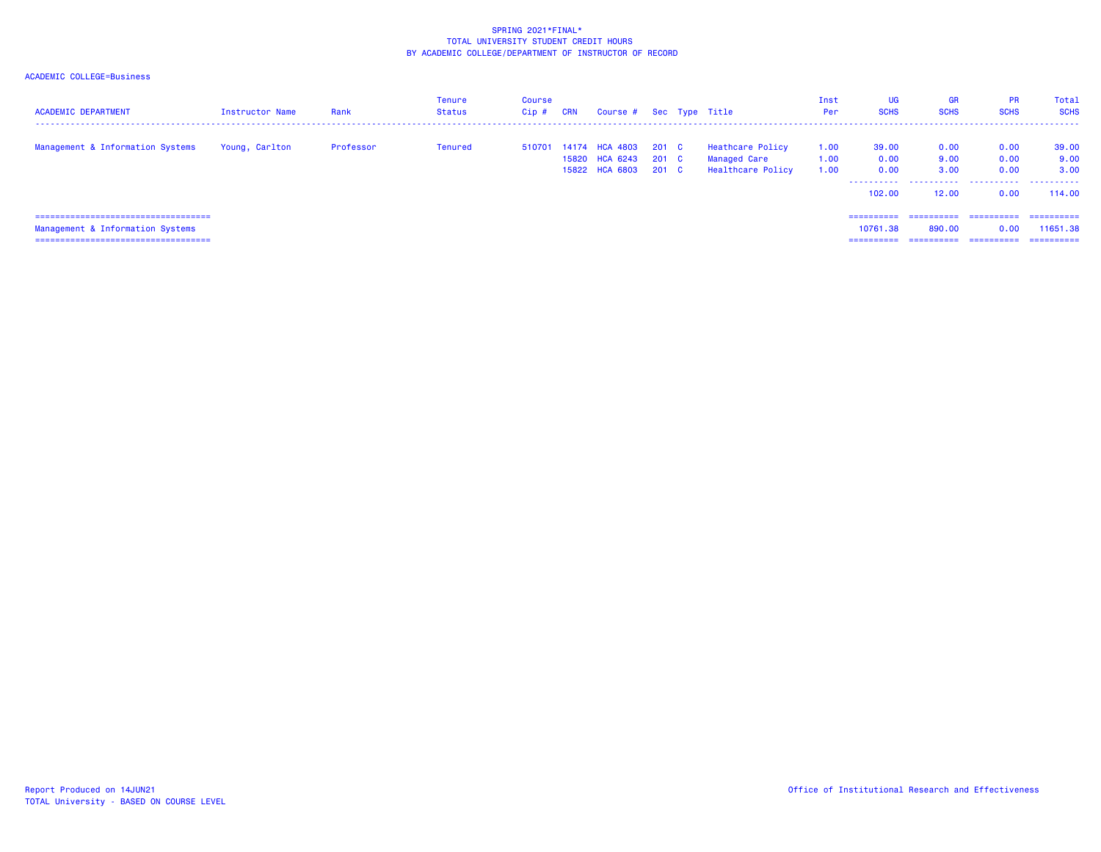| <b>ACADEMIC DEPARTMENT</b>                                                                                           | Instructor Name | Rank      | Tenure<br>Status | Course<br>$Cip$ # | CRN | Course # Sec Type Title                                        |       |                                                              | Inst<br>Per          | UG<br><b>SCHS</b>                              | <b>GR</b><br><b>SCHS</b>           | <b>PR</b><br><b>SCHS</b>         | Total<br><b>SCHS</b>                  |
|----------------------------------------------------------------------------------------------------------------------|-----------------|-----------|------------------|-------------------|-----|----------------------------------------------------------------|-------|--------------------------------------------------------------|----------------------|------------------------------------------------|------------------------------------|----------------------------------|---------------------------------------|
| Management & Information Systems                                                                                     | Young, Carlton  | Professor | Tenured          | 510701            |     | 14174 HCA 4803 201 C<br>15820 HCA 6243<br>15822 HCA 6803 201 C | 201 C | Heathcare Policy<br><b>Managed Care</b><br>Healthcare Policy | 1.00<br>1.00<br>1.00 | 39.00<br>0.00<br>0.00<br>-----------<br>102.00 | 0.00<br>9.00<br>3.00<br>12.00      | 0.00<br>0.00<br>0.00<br>0.00     | 39.00<br>9.00<br>3.00<br>114,00       |
| ======================================<br>Management & Information Systems<br>====================================== |                 |           |                  |                   |     |                                                                |       |                                                              |                      | ==========<br>10761.38<br>==========           | ==========<br>890.00<br>========== | ==========<br>0.00<br>========== | -----------<br>11651.38<br>========== |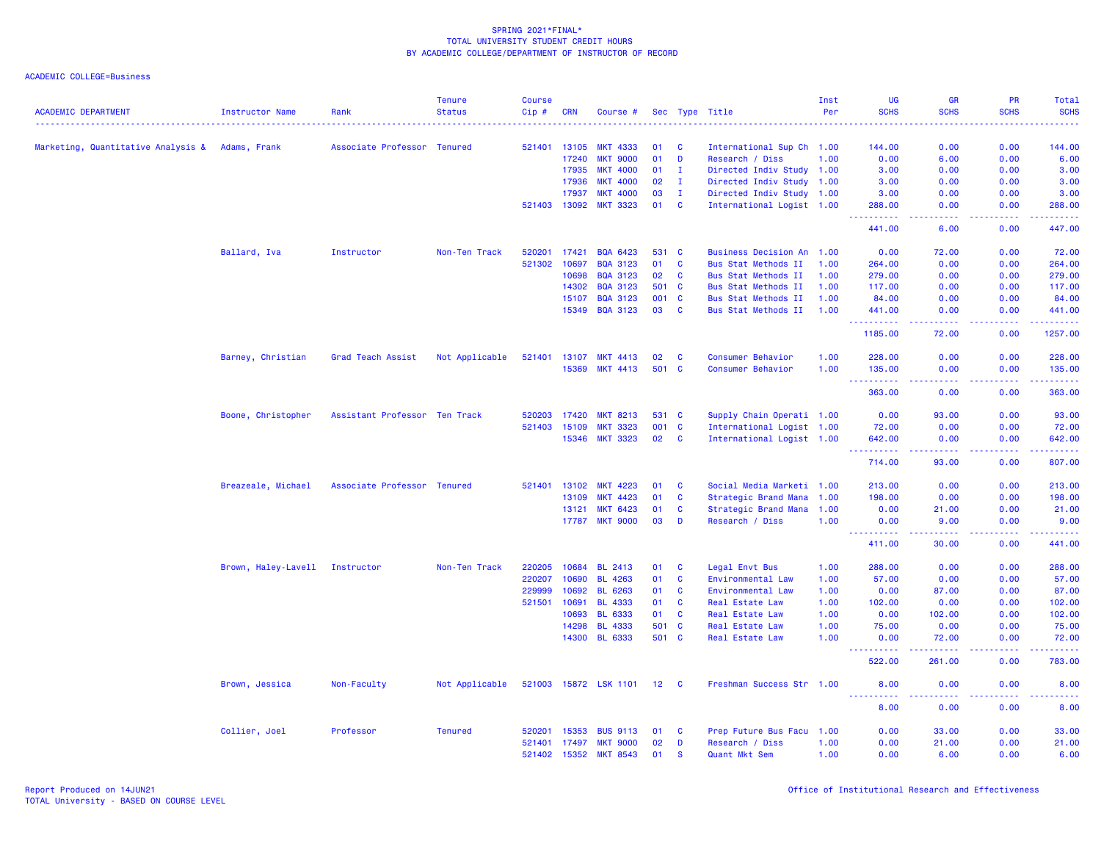| <b>ACADEMIC DEPARTMENT</b>                      | Instructor Name     | Rank                          | <b>Tenure</b><br><b>Status</b> | <b>Course</b><br>Cip# | <b>CRN</b>   | Course #              |             |              | Sec Type Title             | Inst<br>Per | UG<br><b>SCHS</b>                   | <b>GR</b><br><b>SCHS</b>                                                                                                                                      | PR<br><b>SCHS</b> | Total<br><b>SCHS</b>                        |
|-------------------------------------------------|---------------------|-------------------------------|--------------------------------|-----------------------|--------------|-----------------------|-------------|--------------|----------------------------|-------------|-------------------------------------|---------------------------------------------------------------------------------------------------------------------------------------------------------------|-------------------|---------------------------------------------|
|                                                 |                     |                               |                                |                       |              |                       |             |              |                            |             |                                     |                                                                                                                                                               |                   |                                             |
| Marketing, Quantitative Analysis & Adams, Frank |                     | Associate Professor Tenured   |                                | 521401                | 13105        | <b>MKT 4333</b>       | 01          | <b>C</b>     | International Sup Ch 1.00  |             | 144.00                              | 0.00                                                                                                                                                          | 0.00              | 144.00                                      |
|                                                 |                     |                               |                                |                       | 17240        | <b>MKT 9000</b>       | 01          | D            | Research / Diss            | 1.00        | 0.00                                | 6.00                                                                                                                                                          | 0.00              | 6.00                                        |
|                                                 |                     |                               |                                |                       | 17935        | <b>MKT 4000</b>       | 01          | Ι.           | Directed Indiv Study 1.00  |             | 3.00                                | 0.00                                                                                                                                                          | 0.00              | 3.00                                        |
|                                                 |                     |                               |                                |                       | 17936        | <b>MKT 4000</b>       | 02          | $\mathbf{I}$ | Directed Indiv Study 1.00  |             | 3.00                                | 0.00                                                                                                                                                          | 0.00              | 3.00                                        |
|                                                 |                     |                               |                                |                       | 17937        | <b>MKT 4000</b>       | 03          | $\mathbf{I}$ | Directed Indiv Study 1.00  |             | 3.00                                | 0.00                                                                                                                                                          | 0.00              | 3.00                                        |
|                                                 |                     |                               |                                | 521403                | 13092        | <b>MKT 3323</b>       | 01          | $\mathbf{C}$ | International Logist 1.00  |             | 288.00                              | 0.00                                                                                                                                                          | 0.00              | 288.00                                      |
|                                                 |                     |                               |                                |                       |              |                       |             |              |                            |             | <u>.</u><br>441.00                  | الدالد الدالد<br>6.00                                                                                                                                         | .<br>0.00         | 2.2.2.2.2.4<br>447.00                       |
|                                                 | Ballard, Iva        | Instructor                    | Non-Ten Track                  | 520201                | 17421        | <b>BQA 6423</b>       | 531 C       |              | Business Decision An 1.00  |             | 0.00                                | 72.00                                                                                                                                                         | 0.00              | 72.00                                       |
|                                                 |                     |                               |                                | 521302                | 10697        | <b>BQA 3123</b>       | 01          | C            | Bus Stat Methods II        | 1.00        | 264.00                              | 0.00                                                                                                                                                          | 0.00              | 264.00                                      |
|                                                 |                     |                               |                                |                       | 10698        | <b>BQA 3123</b>       | 02          | <b>C</b>     | Bus Stat Methods II        | 1.00        | 279.00                              | 0.00                                                                                                                                                          | 0.00              | 279.00                                      |
|                                                 |                     |                               |                                |                       | 14302        | <b>BQA 3123</b>       | 501         | <b>C</b>     | <b>Bus Stat Methods II</b> | 1.00        | 117.00                              | 0.00                                                                                                                                                          | 0.00              | 117.00                                      |
|                                                 |                     |                               |                                |                       | 15107        | <b>BQA 3123</b>       | 001         | $\mathbf{C}$ | Bus Stat Methods II        | 1.00        | 84.00                               | 0.00                                                                                                                                                          | 0.00              | 84.00                                       |
|                                                 |                     |                               |                                |                       | 15349        | <b>BQA 3123</b>       | 03          | $\mathbf{C}$ | <b>Bus Stat Methods II</b> | 1.00        | 441.00                              | 0.00                                                                                                                                                          | 0.00              | 441.00                                      |
|                                                 |                     |                               |                                |                       |              |                       |             |              |                            |             | <u>.</u><br>1185.00                 | .<br>72.00                                                                                                                                                    | 22222<br>0.00     | .<br>1257.00                                |
|                                                 | Barney, Christian   | Grad Teach Assist             | Not Applicable                 | 521401                | 13107        | <b>MKT 4413</b>       | 02          | <b>C</b>     | Consumer Behavior          | 1.00        | 228.00                              | 0.00                                                                                                                                                          | 0.00              | 228.00                                      |
|                                                 |                     |                               |                                |                       | 15369        | <b>MKT 4413</b>       | 501         | <b>C</b>     | Consumer Behavior          | 1.00        | 135.00                              | 0.00                                                                                                                                                          | 0.00              | 135.00                                      |
|                                                 |                     |                               |                                |                       |              |                       |             |              |                            |             | .<br>363.00                         | .<br>0.00                                                                                                                                                     | 0.00              | وعامام ماما<br>363.00                       |
|                                                 |                     |                               |                                |                       |              |                       |             |              |                            |             |                                     |                                                                                                                                                               |                   |                                             |
|                                                 | Boone, Christopher  | Assistant Professor Ten Track |                                | 520203                | 17420        | <b>MKT 8213</b>       | 531         | $\mathbf{C}$ | Supply Chain Operati 1.00  |             | 0.00                                | 93.00                                                                                                                                                         | 0.00              | 93.00                                       |
|                                                 |                     |                               |                                | 521403                | 15109        | <b>MKT 3323</b>       | 001         | $\mathbf{C}$ | International Logist 1.00  |             | 72.00                               | 0.00                                                                                                                                                          | 0.00              | 72.00                                       |
|                                                 |                     |                               |                                |                       | 15346        | <b>MKT 3323</b>       | 02          | $\mathbf{C}$ | International Logist 1.00  |             | 642.00<br>.                         | 0.00<br>.                                                                                                                                                     | 0.00<br>.         | 642.00<br><b><i><u><u>AAAAA</u></u></i></b> |
|                                                 |                     |                               |                                |                       |              |                       |             |              |                            |             | 714.00                              | 93.00                                                                                                                                                         | 0.00              | 807.00                                      |
|                                                 | Breazeale, Michael  | Associate Professor Tenured   |                                | 521401                | 13102        | <b>MKT 4223</b>       | 01          | <b>C</b>     | Social Media Marketi 1.00  |             | 213.00                              | 0.00                                                                                                                                                          | 0.00              | 213.00                                      |
|                                                 |                     |                               |                                |                       | 13109        | <b>MKT 4423</b>       | 01          | C            | Strategic Brand Mana 1.00  |             | 198.00                              | 0.00                                                                                                                                                          | 0.00              | 198.00                                      |
|                                                 |                     |                               |                                |                       | 13121        | <b>MKT 6423</b>       | 01          | C            | Strategic Brand Mana 1.00  |             | 0.00                                | 21.00                                                                                                                                                         | 0.00              | 21.00                                       |
|                                                 |                     |                               |                                |                       | 17787        | <b>MKT 9000</b>       | 03          | D            | Research / Diss            | 1.00        | 0.00                                | 9.00                                                                                                                                                          | 0.00              | 9.00                                        |
|                                                 |                     |                               |                                |                       |              |                       |             |              |                            |             | المتمامين<br>411.00                 | $\frac{1}{2} \left( \frac{1}{2} \right) \left( \frac{1}{2} \right) \left( \frac{1}{2} \right) \left( \frac{1}{2} \right) \left( \frac{1}{2} \right)$<br>30.00 | 0.00              | .<br>441.00                                 |
|                                                 | Brown, Haley-Lavell | Instructor                    | Non-Ten Track                  | 220205                | 10684        | <b>BL 2413</b>        | 01          | <b>C</b>     | Legal Envt Bus             | 1.00        | 288.00                              | 0.00                                                                                                                                                          | 0.00              | 288.00                                      |
|                                                 |                     |                               |                                | 220207                | 10690        | <b>BL 4263</b>        | 01          | C            | Environmental Law          | 1.00        | 57.00                               | 0.00                                                                                                                                                          | 0.00              | 57.00                                       |
|                                                 |                     |                               |                                | 229999                | 10692        | <b>BL 6263</b>        | 01          | $\mathbf{C}$ | Environmental Law          | 1.00        | 0.00                                | 87.00                                                                                                                                                         | 0.00              | 87.00                                       |
|                                                 |                     |                               |                                | 521501                | 10691        | <b>BL 4333</b>        | 01          | C            | Real Estate Law            | 1.00        | 102.00                              | 0.00                                                                                                                                                          | 0.00              | 102.00                                      |
|                                                 |                     |                               |                                |                       | 10693        | <b>BL 6333</b>        | 01          | $\mathbf{C}$ | Real Estate Law            | 1.00        | 0.00                                | 102.00                                                                                                                                                        | 0.00              | 102.00                                      |
|                                                 |                     |                               |                                |                       | 14298        | <b>BL 4333</b>        | 501         | <b>C</b>     | Real Estate Law            | 1.00        | 75.00                               | 0.00                                                                                                                                                          | 0.00              | 75.00                                       |
|                                                 |                     |                               |                                |                       | 14300        | <b>BL 6333</b>        | 501 C       |              | Real Estate Law            | 1.00        | 0.00                                | 72.00                                                                                                                                                         | 0.00              | 72.00                                       |
|                                                 |                     |                               |                                |                       |              |                       |             |              |                            |             | . <u>.</u> .<br>522.00              | .<br>261.00                                                                                                                                                   | .<br>0.00         | <b>.</b> .<br>783.00                        |
|                                                 | Brown, Jessica      | Non-Faculty                   | Not Applicable                 |                       |              | 521003 15872 LSK 1101 | $12\quad C$ |              | Freshman Success Str 1.00  |             | 8.00                                | 0.00                                                                                                                                                          | 0.00              | 8.00                                        |
|                                                 |                     |                               |                                |                       |              |                       |             |              |                            |             | <u> - - - - - - - - - -</u><br>8.00 | .<br>0.00                                                                                                                                                     | <b></b><br>0.00   | .<br>8.00                                   |
|                                                 |                     |                               |                                |                       |              |                       |             |              |                            |             |                                     |                                                                                                                                                               |                   |                                             |
|                                                 | Collier, Joel       | Professor                     | <b>Tenured</b>                 | 520201                | 15353        | <b>BUS 9113</b>       | 01          | - C          | Prep Future Bus Facu 1.00  |             | 0.00                                | 33.00                                                                                                                                                         | 0.00              | 33.00                                       |
|                                                 |                     |                               |                                |                       | 521401 17497 | <b>MKT 9000</b>       | 02          | D            | Research / Diss            | 1.00        | 0.00                                | 21.00                                                                                                                                                         | 0.00              | 21.00                                       |
|                                                 |                     |                               |                                |                       | 521402 15352 | <b>MKT 8543</b>       | 01          | s            | Quant Mkt Sem              | 1.00        | 0.00                                | 6.00                                                                                                                                                          | 0.00              | 6.00                                        |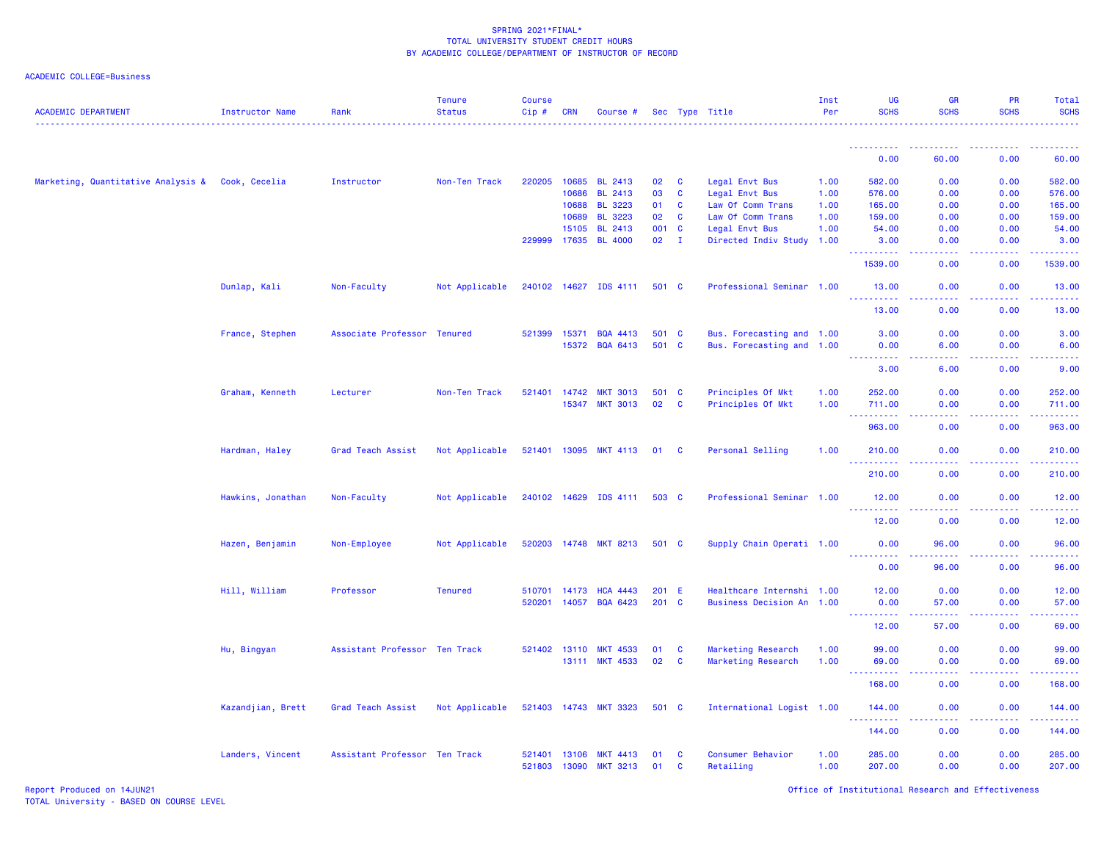| ACADEMIC COLLEGE=Business |  |  |
|---------------------------|--|--|
|---------------------------|--|--|

| <b>ACADEMIC DEPARTMENT</b>         | <b>Instructor Name</b> | Rank                          | <b>Tenure</b><br><b>Status</b> | Course<br>Cip# | <b>CRN</b> | Course #              |       |              | Sec Type Title            | Inst<br>Per | <b>UG</b><br><b>SCHS</b> | <b>GR</b><br><b>SCHS</b> | <b>PR</b><br><b>SCHS</b> | Total<br><b>SCHS</b>                                                                                                      |
|------------------------------------|------------------------|-------------------------------|--------------------------------|----------------|------------|-----------------------|-------|--------------|---------------------------|-------------|--------------------------|--------------------------|--------------------------|---------------------------------------------------------------------------------------------------------------------------|
|                                    |                        |                               |                                |                |            |                       |       |              |                           |             | . <u>.</u><br>0.00       | 60.00                    | 0.00                     | 60.00                                                                                                                     |
|                                    |                        |                               |                                |                |            |                       |       |              |                           |             |                          |                          |                          |                                                                                                                           |
| Marketing, Quantitative Analysis & | Cook, Cecelia          | Instructor                    | Non-Ten Track                  | 220205         | 10685      | BL 2413               | 02    | $\mathbf{C}$ | Legal Envt Bus            | 1.00        | 582.00                   | 0.00                     | 0.00                     | 582.00                                                                                                                    |
|                                    |                        |                               |                                |                | 10686      | <b>BL 2413</b>        | 03    | <b>C</b>     | Legal Envt Bus            | 1.00        | 576.00                   | 0.00                     | 0.00                     | 576.00                                                                                                                    |
|                                    |                        |                               |                                |                | 10688      | <b>BL 3223</b>        | 01    | <b>C</b>     | Law Of Comm Trans         | 1.00        | 165.00                   | 0.00                     | 0.00                     | 165.00                                                                                                                    |
|                                    |                        |                               |                                |                | 10689      | <b>BL 3223</b>        | 02    | <b>C</b>     | Law Of Comm Trans         | 1.00        | 159.00                   | 0.00                     | 0.00                     | 159.00                                                                                                                    |
|                                    |                        |                               |                                |                | 15105      | <b>BL 2413</b>        | 001   | $\mathbf{C}$ | Legal Envt Bus            | 1.00        | 54.00                    | 0.00                     | 0.00                     | 54.00                                                                                                                     |
|                                    |                        |                               |                                | 229999         | 17635      | <b>BL 4000</b>        | 02    | $\mathbf{I}$ | Directed Indiv Study      | 1.00        | 3.00<br>.                | 0.00<br>.                | 0.00<br>.                | 3.00<br>لأعام ماعاما                                                                                                      |
|                                    |                        |                               |                                |                |            |                       |       |              |                           |             | 1539.00                  | 0.00                     | 0.00                     | 1539.00                                                                                                                   |
|                                    | Dunlap, Kali           | Non-Faculty                   | Not Applicable                 | 240102 14627   |            | IDS 4111              | 501 C |              | Professional Seminar 1.00 |             | 13.00                    | 0.00                     | 0.00                     | 13.00                                                                                                                     |
|                                    |                        |                               |                                |                |            |                       |       |              |                           |             | 13.00                    | 0.00                     | 0.00                     | 13.00                                                                                                                     |
|                                    | France, Stephen        | Associate Professor Tenured   |                                | 521399         | 15371      | <b>BQA 4413</b>       | 501 C |              | Bus. Forecasting and 1.00 |             | 3.00                     | 0.00                     | 0.00                     | 3.00                                                                                                                      |
|                                    |                        |                               |                                |                | 15372      | <b>BQA 6413</b>       | 501 C |              | Bus. Forecasting and 1.00 |             | 0.00                     | 6.00                     | 0.00                     | 6.00                                                                                                                      |
|                                    |                        |                               |                                |                |            |                       |       |              |                           |             | $- - - - - - -$          | د د د د                  | .                        | $\frac{1}{2} \left( \frac{1}{2} \right) \left( \frac{1}{2} \right) \left( \frac{1}{2} \right) \left( \frac{1}{2} \right)$ |
|                                    |                        |                               |                                |                |            |                       |       |              |                           |             | 3.00                     | 6.00                     | 0.00                     | 9.00                                                                                                                      |
|                                    | Graham, Kenneth        | Lecturer                      | Non-Ten Track                  | 521401         | 14742      | <b>MKT 3013</b>       | 501   | $\mathbf{C}$ | Principles Of Mkt         | 1.00        | 252.00                   | 0.00                     | 0.00                     | 252.00                                                                                                                    |
|                                    |                        |                               |                                |                | 15347      | <b>MKT 3013</b>       | 02    | $\mathbf{C}$ | Principles Of Mkt         | 1.00        | 711.00                   | 0.00                     | 0.00                     | 711.00                                                                                                                    |
|                                    |                        |                               |                                |                |            |                       |       |              |                           |             | 963.00                   | 0.00                     | 0.00                     | المستملة<br>963.00                                                                                                        |
|                                    | Hardman, Haley         | Grad Teach Assist             | Not Applicable                 | 521401 13095   |            | <b>MKT 4113</b>       | 01    | $\mathbf{C}$ | Personal Selling          | 1.00        | 210.00                   | 0.00                     | 0.00                     | 210.00                                                                                                                    |
|                                    |                        |                               |                                |                |            |                       |       |              |                           |             | 210.00                   | 0.00                     | 0.00                     | 22222<br>210.00                                                                                                           |
|                                    | Hawkins, Jonathan      | Non-Faculty                   | Not Applicable                 | 240102 14629   |            | IDS 4111              | 503 C |              | Professional Seminar 1.00 |             | 12.00                    | 0.00                     | 0.00                     | 12.00                                                                                                                     |
|                                    |                        |                               |                                |                |            |                       |       |              |                           |             | 12.00                    | 0.00                     | 0.00                     | 12.00                                                                                                                     |
|                                    | Hazen, Benjamin        | Non-Employee                  | Not Applicable                 |                |            | 520203 14748 MKT 8213 | 501 C |              | Supply Chain Operati 1.00 |             | 0.00                     | 96.00                    | 0.00                     | 96.00                                                                                                                     |
|                                    |                        |                               |                                |                |            |                       |       |              |                           |             | 0.00                     | 96.00                    | 0.00                     | 96.00                                                                                                                     |
|                                    | Hill, William          | Professor                     | <b>Tenured</b>                 | 510701         | 14173      | <b>HCA 4443</b>       | 201 E |              | Healthcare Internshi 1.00 |             | 12.00                    | 0.00                     | 0.00                     | 12.00                                                                                                                     |
|                                    |                        |                               |                                | 520201         | 14057      | <b>BQA 6423</b>       | 201   | $\mathbf{C}$ | Business Decision An 1.00 |             | 0.00                     | 57.00                    | 0.00                     | 57.00                                                                                                                     |
|                                    |                        |                               |                                |                |            |                       |       |              |                           |             | 2.2.2.2.2.2<br>12.00     | .<br>57.00               | الداعات عاد<br>0.00      | .<br>69.00                                                                                                                |
|                                    |                        |                               |                                |                |            |                       |       |              |                           |             |                          |                          |                          |                                                                                                                           |
|                                    | Hu, Bingyan            | Assistant Professor Ten Track |                                | 521402 13110   |            | <b>MKT 4533</b>       | 01    | $\mathbf{C}$ | Marketing Research        | 1.00        | 99.00                    | 0.00                     | 0.00                     | 99.00                                                                                                                     |
|                                    |                        |                               |                                |                | 13111      | <b>MKT 4533</b>       | 02    | <b>C</b>     | Marketing Research        | 1.00        | 69.00                    | 0.00                     | 0.00                     | 69.00                                                                                                                     |
|                                    |                        |                               |                                |                |            |                       |       |              |                           |             | 168.00                   | 0.00                     | 0.00                     | $\omega$ is $\omega$ in<br>168.00                                                                                         |
|                                    | Kazandjian, Brett      | Grad Teach Assist             | Not Applicable                 | 521403 14743   |            | <b>MKT 3323</b>       | 501 C |              | International Logist 1.00 |             | 144.00                   | 0.00                     | 0.00                     | 144.00                                                                                                                    |
|                                    |                        |                               |                                |                |            |                       |       |              |                           |             |                          | .                        | .                        | .                                                                                                                         |
|                                    |                        |                               |                                |                |            |                       |       |              |                           |             | 144.00                   | 0.00                     | 0.00                     | 144.00                                                                                                                    |
|                                    | Landers, Vincent       | Assistant Professor Ten Track |                                | 521401         | 13106      | <b>MKT 4413</b>       | 01    | C            | Consumer Behavior         | 1.00        | 285.00                   | 0.00                     | 0.00                     | 285.00                                                                                                                    |
|                                    |                        |                               |                                | 521803 13090   |            | <b>MKT 3213</b>       | 01    | C            | Retailing                 | 1.00        | 207.00                   | 0.00                     | 0.00                     | 207.00                                                                                                                    |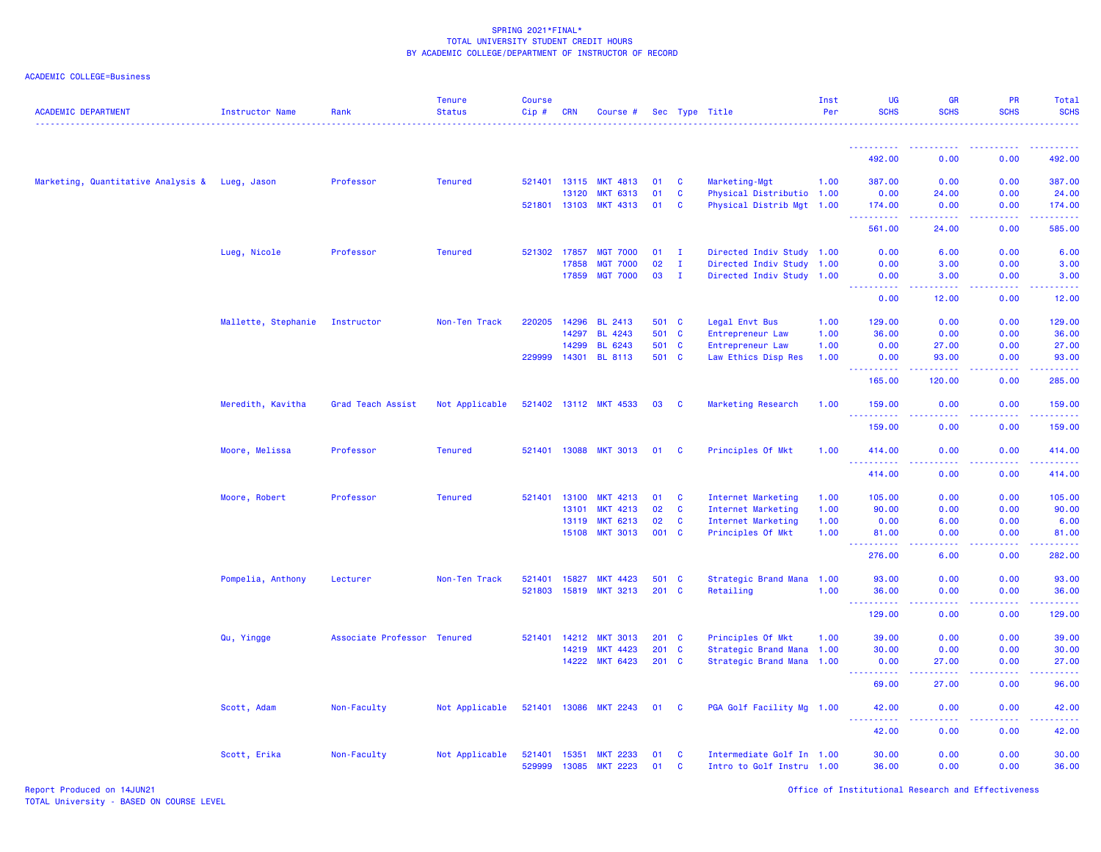# ACADEMIC COLLEGE=Business

| <b>ACADEMIC DEPARTMENT</b>                     | <b>Instructor Name</b> | Rank                        | <b>Tenure</b><br><b>Status</b> | <b>Course</b><br>Cip# | <b>CRN</b>   | Course #              |               |              | Sec Type Title            | Inst<br>Per | UG<br><b>SCHS</b>                                                                                                                                              | <b>GR</b><br><b>SCHS</b>       | PR<br><b>SCHS</b>                   | Total<br><b>SCHS</b>                                                                                                            |
|------------------------------------------------|------------------------|-----------------------------|--------------------------------|-----------------------|--------------|-----------------------|---------------|--------------|---------------------------|-------------|----------------------------------------------------------------------------------------------------------------------------------------------------------------|--------------------------------|-------------------------------------|---------------------------------------------------------------------------------------------------------------------------------|
|                                                |                        |                             |                                |                       |              |                       |               |              |                           |             | ----------                                                                                                                                                     |                                | -----                               | 22222<br>------                                                                                                                 |
|                                                |                        |                             |                                |                       |              |                       |               |              |                           |             | 492.00                                                                                                                                                         | 0.00                           | 0.00                                | 492.00                                                                                                                          |
| Marketing, Quantitative Analysis & Lueg, Jason |                        | Professor                   | <b>Tenured</b>                 |                       | 521401 13115 | <b>MKT 4813</b>       | 01            | <b>C</b>     | Marketing-Mgt             | 1.00        | 387.00                                                                                                                                                         | 0.00                           | 0.00                                | 387.00                                                                                                                          |
|                                                |                        |                             |                                |                       | 13120        | <b>MKT 6313</b>       | 01            | <b>C</b>     | Physical Distributio 1.00 |             | 0.00                                                                                                                                                           | 24.00                          | 0.00                                | 24.00                                                                                                                           |
|                                                |                        |                             |                                |                       | 521801 13103 | <b>MKT 4313</b>       | 01            | <b>C</b>     | Physical Distrib Mgt 1.00 |             | 174.00<br>$\frac{1}{2} \left( \frac{1}{2} \right) \left( \frac{1}{2} \right) \left( \frac{1}{2} \right) \left( \frac{1}{2} \right) \left( \frac{1}{2} \right)$ | 0.00<br>-----                  | 0.00<br>.                           | 174.00<br>.                                                                                                                     |
|                                                |                        |                             |                                |                       |              |                       |               |              |                           |             | 561.00                                                                                                                                                         | 24.00                          | 0.00                                | 585.00                                                                                                                          |
|                                                | Lueg, Nicole           | Professor                   | <b>Tenured</b>                 |                       | 521302 17857 | <b>MGT 7000</b>       | $01 \qquad I$ |              | Directed Indiv Study 1.00 |             | 0.00                                                                                                                                                           | 6.00                           | 0.00                                | 6.00                                                                                                                            |
|                                                |                        |                             |                                |                       | 17858        | <b>MGT 7000</b>       | 02            | $\mathbf{I}$ | Directed Indiv Study 1.00 |             | 0.00                                                                                                                                                           | 3.00                           | 0.00                                | 3.00                                                                                                                            |
|                                                |                        |                             |                                |                       | 17859        | <b>MGT 7000</b>       | 03            | $\mathbf{I}$ | Directed Indiv Study 1.00 |             | 0.00<br>والمالمات<br>22222                                                                                                                                     | 3.00<br>$\omega$ is $\omega$ . | 0.00                                | 3.00                                                                                                                            |
|                                                |                        |                             |                                |                       |              |                       |               |              |                           |             | 0.00                                                                                                                                                           | 12.00                          | 0.00                                | 12.00                                                                                                                           |
|                                                | Mallette, Stephanie    | Instructor                  | Non-Ten Track                  | 220205                | 14296        | <b>BL 2413</b>        | 501 C         |              | Legal Envt Bus            | 1.00        | 129.00                                                                                                                                                         | 0.00                           | 0.00                                | 129.00                                                                                                                          |
|                                                |                        |                             |                                |                       | 14297        | <b>BL 4243</b>        | 501 C         |              | Entrepreneur Law          | 1.00        | 36.00                                                                                                                                                          | 0.00                           | 0.00                                | 36.00                                                                                                                           |
|                                                |                        |                             |                                |                       | 14299        | <b>BL 6243</b>        | 501           | $\mathbf{C}$ | Entrepreneur Law          | 1.00        | 0.00                                                                                                                                                           | 27.00                          | 0.00                                | 27.00                                                                                                                           |
|                                                |                        |                             |                                | 229999                | 14301        | <b>BL 8113</b>        | 501 C         |              | Law Ethics Disp Res       | 1.00        | 0.00                                                                                                                                                           | 93.00                          | 0.00                                | 93.00                                                                                                                           |
|                                                |                        |                             |                                |                       |              |                       |               |              |                           |             | 165.00                                                                                                                                                         | 120.00                         | 0.00                                | 285.00                                                                                                                          |
|                                                | Meredith, Kavitha      | Grad Teach Assist           | Not Applicable                 |                       |              | 521402 13112 MKT 4533 | 03            | <b>C</b>     | Marketing Research        | 1.00        | 159.00<br><u>.</u>                                                                                                                                             | 0.00<br>$- - -$                | 0.00                                | 159.00<br>$\begin{array}{cccccccccc} \bullet & \bullet & \bullet & \bullet & \bullet & \bullet & \bullet & \bullet \end{array}$ |
|                                                |                        |                             |                                |                       |              |                       |               |              |                           |             | 159.00                                                                                                                                                         | 0.00                           | 0.00                                | 159.00                                                                                                                          |
|                                                | Moore, Melissa         | Professor                   | <b>Tenured</b>                 |                       | 521401 13088 | <b>MKT 3013</b>       | 01            | <b>C</b>     | Principles Of Mkt         | 1.00        | 414.00                                                                                                                                                         | 0.00                           | 0.00                                | 414.00                                                                                                                          |
|                                                |                        |                             |                                |                       |              |                       |               |              |                           |             | 414.00                                                                                                                                                         | 0.00                           | 0.00                                | 414.00                                                                                                                          |
|                                                | Moore, Robert          | Professor                   | <b>Tenured</b>                 |                       | 521401 13100 | <b>MKT 4213</b>       | 01            | <b>C</b>     | Internet Marketing        | 1.00        | 105.00                                                                                                                                                         | 0.00                           | 0.00                                | 105.00                                                                                                                          |
|                                                |                        |                             |                                |                       | 13101        | <b>MKT 4213</b>       | 02            | $\mathbf{C}$ | Internet Marketing        | 1.00        | 90.00                                                                                                                                                          | 0.00                           | 0.00                                | 90.00                                                                                                                           |
|                                                |                        |                             |                                |                       | 13119        | <b>MKT 6213</b>       | 02            | $\mathbf{C}$ | Internet Marketing        | 1.00        | 0.00                                                                                                                                                           | 6.00                           | 0.00                                | 6.00                                                                                                                            |
|                                                |                        |                             |                                |                       | 15108        | <b>MKT 3013</b>       | 001 C         |              | Principles Of Mkt         | 1.00        | 81.00<br>$\omega$ in<br>.                                                                                                                                      | 0.00<br>والمالمات              | 0.00<br>بالاناب                     | 81.00<br>.                                                                                                                      |
|                                                |                        |                             |                                |                       |              |                       |               |              |                           |             | 276.00                                                                                                                                                         | 6.00                           | 0.00                                | 282.00                                                                                                                          |
|                                                | Pompelia, Anthony      | Lecturer                    | Non-Ten Track                  | 521401 15827          |              | <b>MKT 4423</b>       | 501 C         |              | Strategic Brand Mana 1.00 |             | 93.00                                                                                                                                                          | 0.00                           | 0.00                                | 93.00                                                                                                                           |
|                                                |                        |                             |                                | 521803                | 15819        | <b>MKT 3213</b>       | 201 C         |              | Retailing                 | 1.00        | 36.00<br>$\sim$ $\sim$ $\sim$ .<br><b><i><u><u>AAAAA</u></u></i></b>                                                                                           | 0.00<br>.                      | 0.00<br>. <b>.</b>                  | 36.00<br>.                                                                                                                      |
|                                                |                        |                             |                                |                       |              |                       |               |              |                           |             | 129.00                                                                                                                                                         | 0.00                           | 0.00                                | 129.00                                                                                                                          |
|                                                | Qu, Yingge             | Associate Professor Tenured |                                | 521401                | 14212        | <b>MKT 3013</b>       | 201           | $\mathbf{C}$ | Principles Of Mkt         | 1.00        | 39.00                                                                                                                                                          | 0.00                           | 0.00                                | 39.00                                                                                                                           |
|                                                |                        |                             |                                |                       | 14219        | <b>MKT 4423</b>       | 201 C         |              | Strategic Brand Mana 1.00 |             | 30.00                                                                                                                                                          | 0.00                           | 0.00                                | 30.00                                                                                                                           |
|                                                |                        |                             |                                |                       |              | 14222 MKT 6423        | $201$ C       |              | Strategic Brand Mana 1.00 |             | 0.00<br>.                                                                                                                                                      | 27.00<br>.                     | 0.00<br>.                           | 27.00<br>المتمام المنا                                                                                                          |
|                                                |                        |                             |                                |                       |              |                       |               |              |                           |             | 69.00                                                                                                                                                          | 27.00                          | 0.00                                | 96.00                                                                                                                           |
|                                                | Scott, Adam            | Non-Faculty                 | Not Applicable                 |                       | 521401 13086 | <b>MKT 2243</b>       | 01            | <b>C</b>     | PGA Golf Facility Mg 1.00 |             | 42.00                                                                                                                                                          | 0.00                           | 0.00<br>$\sim$ $\sim$ $\sim$ $\sim$ | 42.00                                                                                                                           |
|                                                |                        |                             |                                |                       |              |                       |               |              |                           |             | 42.00                                                                                                                                                          | .<br>0.00                      | 0.00                                | .<br>42.00                                                                                                                      |
|                                                | Scott, Erika           | Non-Faculty                 | Not Applicable                 | 521401                | 15351        | <b>MKT 2233</b>       | 01            | <b>C</b>     | Intermediate Golf In 1.00 |             | 30.00                                                                                                                                                          | 0.00                           | 0.00                                | 30.00                                                                                                                           |
|                                                |                        |                             |                                | 529999                | 13085        | <b>MKT 2223</b>       | 01            | $\mathbf{C}$ | Intro to Golf Instru 1.00 |             | 36.00                                                                                                                                                          | 0.00                           | 0.00                                | 36.00                                                                                                                           |

Report Produced on 14JUN21 Office of Institutional Research and Effectiveness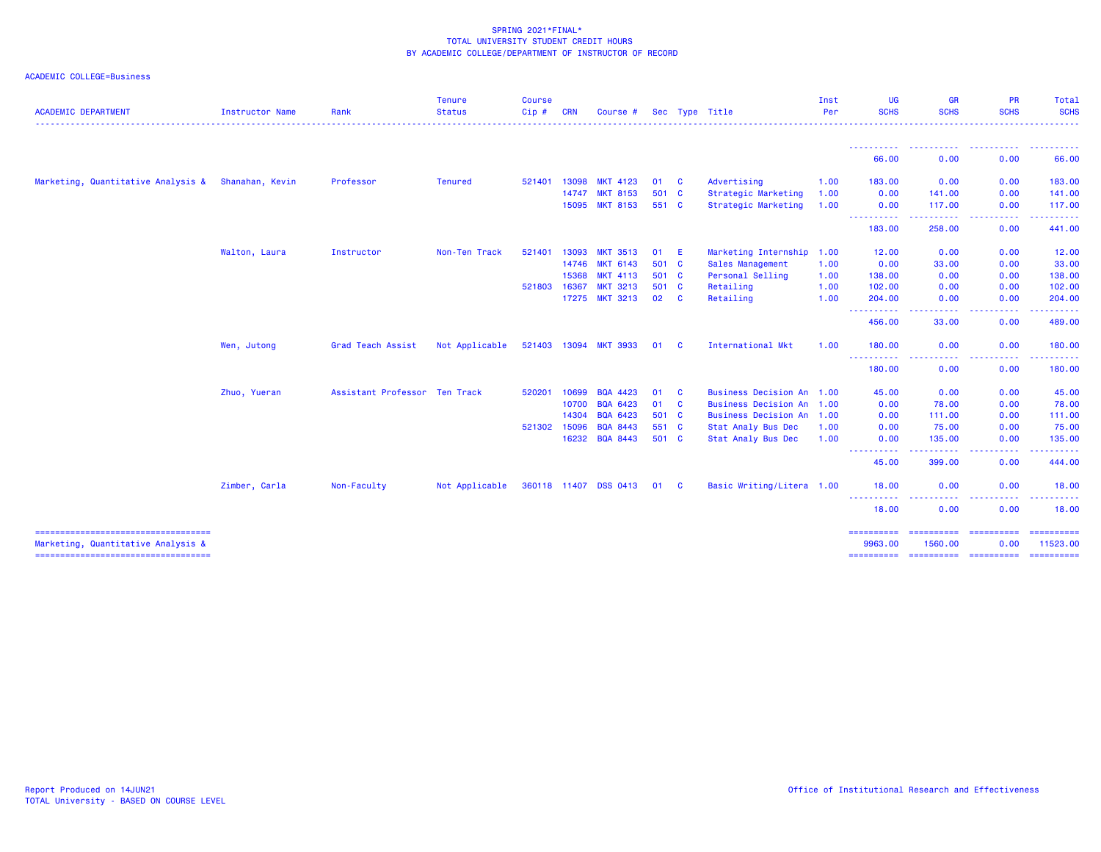| <b>ACADEMIC DEPARTMENT</b>                                                  | Instructor Name | Rank                          | <b>Tenure</b><br><b>Status</b> | <b>Course</b><br>Cip# | <b>CRN</b> | Course #              |       |          | Sec Type Title            | Inst<br>Per | <b>UG</b><br><b>SCHS</b> | <b>GR</b><br><b>SCHS</b>                                                                                                          | <b>PR</b><br><b>SCHS</b>                                                                                                | Total<br><b>SCHS</b>                                                                                                                                                                                                                                                                                                                                                                                                                                                                   |
|-----------------------------------------------------------------------------|-----------------|-------------------------------|--------------------------------|-----------------------|------------|-----------------------|-------|----------|---------------------------|-------------|--------------------------|-----------------------------------------------------------------------------------------------------------------------------------|-------------------------------------------------------------------------------------------------------------------------|----------------------------------------------------------------------------------------------------------------------------------------------------------------------------------------------------------------------------------------------------------------------------------------------------------------------------------------------------------------------------------------------------------------------------------------------------------------------------------------|
|                                                                             |                 |                               |                                |                       |            |                       |       |          |                           |             |                          |                                                                                                                                   |                                                                                                                         |                                                                                                                                                                                                                                                                                                                                                                                                                                                                                        |
|                                                                             |                 |                               |                                |                       |            |                       |       |          |                           |             | 66.00                    | $\frac{1}{2} \left( \frac{1}{2} \right) \left( \frac{1}{2} \right) \left( \frac{1}{2} \right) \left( \frac{1}{2} \right)$<br>0.00 | 0.00                                                                                                                    | .<br>66.00                                                                                                                                                                                                                                                                                                                                                                                                                                                                             |
| Marketing, Quantitative Analysis &                                          | Shanahan, Kevin | Professor                     | <b>Tenured</b>                 | 521401                | 13098      | <b>MKT 4123</b>       | 01    | <b>C</b> | Advertising               | 1.00        | 183.00                   | 0.00                                                                                                                              | 0.00                                                                                                                    | 183.00                                                                                                                                                                                                                                                                                                                                                                                                                                                                                 |
|                                                                             |                 |                               |                                |                       | 14747      | <b>MKT 8153</b>       | 501 C |          | Strategic Marketing       | 1.00        | 0.00                     | 141.00                                                                                                                            | 0.00                                                                                                                    | 141.00                                                                                                                                                                                                                                                                                                                                                                                                                                                                                 |
|                                                                             |                 |                               |                                |                       | 15095      | <b>MKT 8153</b>       | 551 C |          | Strategic Marketing       | 1.00        | 0.00                     | 117.00                                                                                                                            | 0.00                                                                                                                    | 117.00                                                                                                                                                                                                                                                                                                                                                                                                                                                                                 |
|                                                                             |                 |                               |                                |                       |            |                       |       |          |                           |             | -----------<br>183.00    | .<br>258.00                                                                                                                       | المتمام مناسب<br>$\frac{1}{2} \left( \frac{1}{2} \right) \left( \frac{1}{2} \right) \left( \frac{1}{2} \right)$<br>0.00 | . <b>.</b> .<br>441.00                                                                                                                                                                                                                                                                                                                                                                                                                                                                 |
|                                                                             | Walton, Laura   | Instructor                    | Non-Ten Track                  | 521401                | 13093      | <b>MKT 3513</b>       | 01    | -E       | Marketing Internship 1.00 |             | 12.00                    | 0.00                                                                                                                              | 0.00                                                                                                                    | 12.00                                                                                                                                                                                                                                                                                                                                                                                                                                                                                  |
|                                                                             |                 |                               |                                |                       | 14746      | <b>MKT 6143</b>       | 501 C |          | Sales Management          | 1.00        | 0.00                     | 33.00                                                                                                                             | 0.00                                                                                                                    | 33.00                                                                                                                                                                                                                                                                                                                                                                                                                                                                                  |
|                                                                             |                 |                               |                                |                       | 15368      | <b>MKT 4113</b>       | 501 C |          | Personal Selling          | 1.00        | 138.00                   | 0.00                                                                                                                              | 0.00                                                                                                                    | 138.00                                                                                                                                                                                                                                                                                                                                                                                                                                                                                 |
|                                                                             |                 |                               |                                | 521803                | 16367      | <b>MKT 3213</b>       | 501 C |          | Retailing                 | 1.00        | 102.00                   | 0.00                                                                                                                              | 0.00                                                                                                                    | 102.00                                                                                                                                                                                                                                                                                                                                                                                                                                                                                 |
|                                                                             |                 |                               |                                |                       | 17275      | <b>MKT 3213</b>       | 02 C  |          | Retailing                 | 1.00        | 204.00<br>----------     | 0.00<br>$\frac{1}{2} \left( \frac{1}{2} \right) \left( \frac{1}{2} \right) \left( \frac{1}{2} \right) \left( \frac{1}{2} \right)$ | 0.00<br>.                                                                                                               | 204.00                                                                                                                                                                                                                                                                                                                                                                                                                                                                                 |
|                                                                             |                 |                               |                                |                       |            |                       |       |          |                           |             | 456.00                   | 33.00                                                                                                                             | 0.00                                                                                                                    | 489.00                                                                                                                                                                                                                                                                                                                                                                                                                                                                                 |
|                                                                             | Wen, Jutong     | Grad Teach Assist             | Not Applicable                 |                       |            | 521403 13094 MKT 3933 | 01    | <b>C</b> | International Mkt         | 1.00        | 180.00                   | 0.00                                                                                                                              | 0.00                                                                                                                    | 180.00                                                                                                                                                                                                                                                                                                                                                                                                                                                                                 |
|                                                                             |                 |                               |                                |                       |            |                       |       |          |                           |             | <b>.</b> .<br>180.00     | $\sim$ $\sim$ $\sim$ $\sim$<br>$\omega_{\rm{eff}}$ and $\omega_{\rm{eff}}$<br>0.00                                                | . <b>.</b><br>$\sim$ $\sim$ $\sim$<br>0.00                                                                              | .<br>180.00                                                                                                                                                                                                                                                                                                                                                                                                                                                                            |
|                                                                             | Zhuo, Yueran    | Assistant Professor Ten Track |                                | 520201                | 10699      | <b>BQA 4423</b>       | 01    | <b>C</b> | Business Decision An 1.00 |             | 45.00                    | 0.00                                                                                                                              | 0.00                                                                                                                    | 45.00                                                                                                                                                                                                                                                                                                                                                                                                                                                                                  |
|                                                                             |                 |                               |                                |                       | 10700      | <b>BQA 6423</b>       | 01    | <b>C</b> | Business Decision An 1.00 |             | 0.00                     | 78.00                                                                                                                             | 0.00                                                                                                                    | 78.00                                                                                                                                                                                                                                                                                                                                                                                                                                                                                  |
|                                                                             |                 |                               |                                |                       | 14304      | <b>BQA 6423</b>       | 501 C |          | Business Decision An 1.00 |             | 0.00                     | 111.00                                                                                                                            | 0.00                                                                                                                    | 111.00                                                                                                                                                                                                                                                                                                                                                                                                                                                                                 |
|                                                                             |                 |                               |                                | 521302                | 15096      | <b>BQA 8443</b>       | 551 C |          | Stat Analy Bus Dec        | 1.00        | 0.00                     | 75.00                                                                                                                             | 0.00                                                                                                                    | 75.00                                                                                                                                                                                                                                                                                                                                                                                                                                                                                  |
|                                                                             |                 |                               |                                |                       | 16232      | <b>BQA 8443</b>       | 501 C |          | Stat Analy Bus Dec        | 1.00        | 0.00<br>-----------      | 135.00<br>.                                                                                                                       | 0.00<br>-----<br>.                                                                                                      | 135.00<br>$\frac{1}{2} \left( \frac{1}{2} \right) \left( \frac{1}{2} \right) \left( \frac{1}{2} \right) \left( \frac{1}{2} \right) \left( \frac{1}{2} \right) \left( \frac{1}{2} \right)$                                                                                                                                                                                                                                                                                              |
|                                                                             |                 |                               |                                |                       |            |                       |       |          |                           |             | 45.00                    | 399.00                                                                                                                            | 0.00                                                                                                                    | 444.00                                                                                                                                                                                                                                                                                                                                                                                                                                                                                 |
|                                                                             | Zimber, Carla   | Non-Faculty                   | Not Applicable                 |                       |            | 360118 11407 DSS 0413 | 01 C  |          | Basic Writing/Litera 1.00 |             | 18.00                    | 0.00                                                                                                                              | 0.00                                                                                                                    | 18.00                                                                                                                                                                                                                                                                                                                                                                                                                                                                                  |
|                                                                             |                 |                               |                                |                       |            |                       |       |          |                           |             | ----------<br>18.00      | $\frac{1}{2} \left( \frac{1}{2} \right) \left( \frac{1}{2} \right) \left( \frac{1}{2} \right)$<br>0.00                            | 0.00                                                                                                                    | 18.00                                                                                                                                                                                                                                                                                                                                                                                                                                                                                  |
| ======================================                                      |                 |                               |                                |                       |            |                       |       |          |                           |             | ==========               | -----------                                                                                                                       | -----------                                                                                                             | $\begin{array}{cccccccccc} \multicolumn{2}{c}{} & \multicolumn{2}{c}{} & \multicolumn{2}{c}{} & \multicolumn{2}{c}{} & \multicolumn{2}{c}{} & \multicolumn{2}{c}{} & \multicolumn{2}{c}{} & \multicolumn{2}{c}{} & \multicolumn{2}{c}{} & \multicolumn{2}{c}{} & \multicolumn{2}{c}{} & \multicolumn{2}{c}{} & \multicolumn{2}{c}{} & \multicolumn{2}{c}{} & \multicolumn{2}{c}{} & \multicolumn{2}{c}{} & \multicolumn{2}{c}{} & \multicolumn{2}{c}{} & \multicolumn{2}{c}{} & \mult$ |
| Marketing, Quantitative Analysis &<br>===================================== |                 |                               |                                |                       |            |                       |       |          |                           |             | 9963.00<br>==========    | 1560.00                                                                                                                           | 0.00<br>======================                                                                                          | 11523.00<br>-==========                                                                                                                                                                                                                                                                                                                                                                                                                                                                |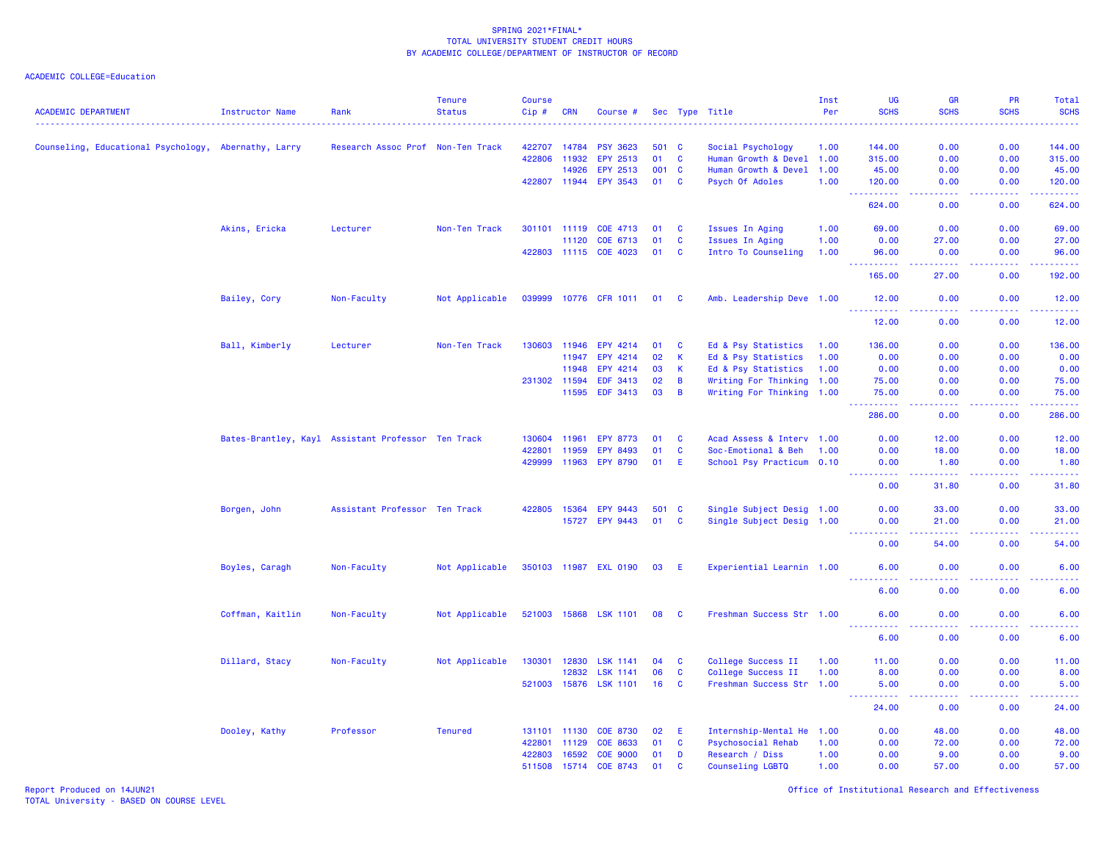| Counseling, Educational Psychology,<br>422707<br><b>PSY 3623</b><br>501 C<br>0.00<br>0.00<br>144.00<br>Abernathy, Larry<br>Research Assoc Prof Non-Ten Track<br>14784<br>Social Psychology<br>1.00<br>144.00<br>422806<br>11932<br>EPY 2513<br>01<br><b>C</b><br>Human Growth & Devel 1.00<br>315.00<br>0.00<br>0.00<br>315.00<br>14926<br>EPY 2513<br>001<br>Human Growth & Devel<br>0.00<br>0.00<br>45.00<br><b>C</b><br>1.00<br>45.00<br>422807 11944<br>EPY 3543<br>01<br><b>C</b><br>Psych Of Adoles<br>0.00<br>0.00<br>120.00<br>1.00<br>120.00<br>2.2.2.2.2.2<br>$\frac{1}{2} \left( \frac{1}{2} \right) \left( \frac{1}{2} \right) \left( \frac{1}{2} \right)$<br>.<br>$\sim$ $\sim$ $\sim$<br>624.00<br>0.00<br>0.00<br>624.00<br>69.00<br>Akins, Ericka<br>Lecturer<br>Non-Ten Track<br>301101 11119<br>COE 4713<br>01<br>C<br>Issues In Aging<br>1.00<br>69.00<br>0.00<br>0.00<br>C<br>Issues In Aging<br>27.00<br>0.00<br>11120<br>COE 6713<br>01<br>1.00<br>0.00<br>27.00<br>422803 11115<br>COE 4023<br>01<br>C<br>Intro To Counseling<br>1.00<br>96.00<br>0.00<br>0.00<br>96.00<br>$\frac{1}{2} \left( \frac{1}{2} \right) \left( \frac{1}{2} \right) \left( \frac{1}{2} \right) \left( \frac{1}{2} \right)$<br>.<br><b><i><u><u> - - - -</u></u></i></b><br>.<br>$\sim$ $\sim$ $\sim$<br>165.00<br>27.00<br>0.00<br>192.00<br>Bailey, Cory<br>Not Applicable<br>039999<br>Amb. Leadership Deve 1.00<br>Non-Faculty<br>10776 CFR 1011<br>01<br><b>C</b><br>12.00<br>0.00<br>0.00<br>12.00<br>222222<br>.<br>.<br>.<br>12.00<br>0.00<br>0.00<br>12.00<br>Ball, Kimberly<br>EPY 4214<br>Ed & Psy Statistics<br>0.00<br>136.00<br>Lecturer<br>Non-Ten Track<br>130603<br>11946<br>01<br>C<br>1.00<br>136.00<br>0.00<br>02<br>К<br>Ed & Psy Statistics<br>0.00<br>0.00<br>0.00<br>0.00<br>11947<br>EPY 4214<br>1.00<br>EPY 4214<br>03<br>Ed & Psy Statistics<br>0.00<br>0.00<br>0.00<br>0.00<br>11948<br>К<br>1.00<br>0.00<br>231302 11594<br><b>EDF 3413</b><br>02<br>B<br>Writing For Thinking<br>1.00<br>75.00<br>0.00<br>75.00<br>EDF 3413<br>11595<br>03<br>В<br>Writing For Thinking<br>0.00<br>0.00<br>75.00<br>1.00<br>75.00<br>.<br>د د د د<br>.<br>.<br>286.00<br>0.00<br>0.00<br>286.00<br>Bates-Brantley, Kayl Assistant Professor Ten Track<br>11961<br>C<br>Acad Assess & Interv 1.00<br>0.00<br>12.00<br>0.00<br>12.00<br>130604<br><b>EPY 8773</b><br>01<br>422801<br>11959<br><b>EPY 8493</b><br>01<br>C<br>Soc-Emotional & Beh<br>1.00<br>0.00<br>18.00<br>0.00<br>18.00<br>429999<br>11963<br><b>EPY 8790</b><br>01<br>School Psy Practicum 0.10<br>0.00<br>Е<br>0.00<br>1.80<br>1.80<br><u>.</u><br>$\frac{1}{2} \left( \frac{1}{2} \right) \left( \frac{1}{2} \right) \left( \frac{1}{2} \right) \left( \frac{1}{2} \right) \left( \frac{1}{2} \right)$<br>.<br>.<br>0.00<br>0.00<br>31.80<br>31.80<br>Single Subject Desig 1.00<br>Borgen, John<br>Assistant Professor Ten Track<br>422805<br>15364<br><b>EPY 9443</b><br>501 C<br>0.00<br>33.00<br>0.00<br>33.00<br>01<br>15727<br><b>EPY 9443</b><br>C<br>Single Subject Desig 1.00<br>0.00<br>21.00<br>0.00<br>21.00<br>المتمامين<br>$\frac{1}{2} \left( \frac{1}{2} \right) \left( \frac{1}{2} \right) \left( \frac{1}{2} \right) \left( \frac{1}{2} \right) \left( \frac{1}{2} \right)$<br>.<br>.<br>0.00<br>54.00<br>0.00<br>54.00<br>350103 11987 EXL 0190<br>Experiential Learnin 1.00<br>6.00<br>0.00<br>0.00<br>6.00<br>Boyles, Caragh<br>Non-Faculty<br>Not Applicable<br>03<br>-E<br><u>.</u><br>$\omega$ $\omega$ $\omega$ $\omega$<br>.<br><u>.</u> .<br>6.00<br>0.00<br>0.00<br>6.00<br>521003 15868<br><b>LSK 1101</b><br>Coffman, Kaitlin<br>Non-Faculty<br>Not Applicable<br>08<br>C<br>Freshman Success Str 1.00<br>6.00<br>0.00<br>0.00<br>6.00<br>والمسامين<br>-----<br>.<br>$\frac{1}{2} \left( \frac{1}{2} \right) \left( \frac{1}{2} \right) \left( \frac{1}{2} \right) \left( \frac{1}{2} \right)$<br>6.00<br>0.00<br>0.00<br>6.00<br>130301<br>College Success II<br>0.00<br>0.00<br>Dillard, Stacy<br>Non-Faculty<br>Not Applicable<br>12830<br><b>LSK 1141</b><br>04<br><b>C</b><br>1.00<br>11.00<br>11.00<br>12832<br><b>LSK 1141</b><br>06<br>C<br>College Success II<br>8.00<br>0.00<br>0.00<br>1.00<br>8.00<br>15876<br><b>LSK 1101</b><br>16<br><b>C</b><br>Freshman Success Str 1.00<br>0.00<br>5.00<br>521003<br>5.00<br>0.00<br>$\omega$ is a $\omega$<br>وبالأباد<br>24.00<br>0.00<br>24.00<br>0.00<br>Professor<br><b>Tenured</b><br>0.00<br>48.00<br>Dooley, Kathy<br>131101<br>11130<br><b>COE 8730</b><br>02<br>Е<br>Internship-Mental He<br>1.00<br>0.00<br>48.00<br>422801<br>11129<br><b>COE 8633</b><br>01<br>C<br><b>Psychosocial Rehab</b><br>0.00<br>72.00<br>0.00<br>72.00<br>1.00<br>422803<br>16592<br><b>COE 9000</b><br>0.00<br>9.00<br>0.00<br>01<br>D<br>Research / Diss<br>1.00<br>9.00<br>511508 15714<br>COE 8743<br>01<br>C<br>0.00<br>57.00<br>0.00<br>57.00<br>Counseling LGBTQ<br>1.00 | <b>ACADEMIC DEPARTMENT</b> | <b>Instructor Name</b> | Rank | <b>Tenure</b><br><b>Status</b> | <b>Course</b><br>$Cip \#$ | <b>CRN</b> | Course # |  | Sec Type Title | Inst<br>Per | UG<br><b>SCHS</b> | <b>GR</b><br><b>SCHS</b> | <b>PR</b><br><b>SCHS</b> | Total<br><b>SCHS</b> |
|---------------------------------------------------------------------------------------------------------------------------------------------------------------------------------------------------------------------------------------------------------------------------------------------------------------------------------------------------------------------------------------------------------------------------------------------------------------------------------------------------------------------------------------------------------------------------------------------------------------------------------------------------------------------------------------------------------------------------------------------------------------------------------------------------------------------------------------------------------------------------------------------------------------------------------------------------------------------------------------------------------------------------------------------------------------------------------------------------------------------------------------------------------------------------------------------------------------------------------------------------------------------------------------------------------------------------------------------------------------------------------------------------------------------------------------------------------------------------------------------------------------------------------------------------------------------------------------------------------------------------------------------------------------------------------------------------------------------------------------------------------------------------------------------------------------------------------------------------------------------------------------------------------------------------------------------------------------------------------------------------------------------------------------------------------------------------------------------------------------------------------------------------------------------------------------------------------------------------------------------------------------------------------------------------------------------------------------------------------------------------------------------------------------------------------------------------------------------------------------------------------------------------------------------------------------------------------------------------------------------------------------------------------------------------------------------------------------------------------------------------------------------------------------------------------------------------------------------------------------------------------------------------------------------------------------------------------------------------------------------------------------------------------------------------------------------------------------------------------------------------------------------------------------------------------------------------------------------------------------------------------------------------------------------------------------------------------------------------------------------------------------------------------------------------------------------------------------------------------------------------------------------------------------------------------------------------------------------------------------------------------------------------------------------------------------------------------------------------------------------------------------------------------------------------------------------------------------------------------------------------------------------------------------------------------------------------------------------------------------------------------------------------------------------------------------------------------------------------------------------------------------------------------------------------------------------------------------------------------------------------------------------------------------------------------------------------------------------------------------------------------------------------------------------------------------------------------------------------------------------------------------------------------------------------------------------------------------------------------------------------------------------------------------------------------------------------------------------------------------------------------------------------------------------------------------------------------------------------------------------------------------------------------------------------------------|----------------------------|------------------------|------|--------------------------------|---------------------------|------------|----------|--|----------------|-------------|-------------------|--------------------------|--------------------------|----------------------|
|                                                                                                                                                                                                                                                                                                                                                                                                                                                                                                                                                                                                                                                                                                                                                                                                                                                                                                                                                                                                                                                                                                                                                                                                                                                                                                                                                                                                                                                                                                                                                                                                                                                                                                                                                                                                                                                                                                                                                                                                                                                                                                                                                                                                                                                                                                                                                                                                                                                                                                                                                                                                                                                                                                                                                                                                                                                                                                                                                                                                                                                                                                                                                                                                                                                                                                                                                                                                                                                                                                                                                                                                                                                                                                                                                                                                                                                                                                                                                                                                                                                                                                                                                                                                                                                                                                                                                                                                                                                                                                                                                                                                                                                                                                                                                                                                                                                                                                                                       |                            |                        |      |                                |                           |            |          |  |                |             |                   |                          |                          |                      |
|                                                                                                                                                                                                                                                                                                                                                                                                                                                                                                                                                                                                                                                                                                                                                                                                                                                                                                                                                                                                                                                                                                                                                                                                                                                                                                                                                                                                                                                                                                                                                                                                                                                                                                                                                                                                                                                                                                                                                                                                                                                                                                                                                                                                                                                                                                                                                                                                                                                                                                                                                                                                                                                                                                                                                                                                                                                                                                                                                                                                                                                                                                                                                                                                                                                                                                                                                                                                                                                                                                                                                                                                                                                                                                                                                                                                                                                                                                                                                                                                                                                                                                                                                                                                                                                                                                                                                                                                                                                                                                                                                                                                                                                                                                                                                                                                                                                                                                                                       |                            |                        |      |                                |                           |            |          |  |                |             |                   |                          |                          |                      |
|                                                                                                                                                                                                                                                                                                                                                                                                                                                                                                                                                                                                                                                                                                                                                                                                                                                                                                                                                                                                                                                                                                                                                                                                                                                                                                                                                                                                                                                                                                                                                                                                                                                                                                                                                                                                                                                                                                                                                                                                                                                                                                                                                                                                                                                                                                                                                                                                                                                                                                                                                                                                                                                                                                                                                                                                                                                                                                                                                                                                                                                                                                                                                                                                                                                                                                                                                                                                                                                                                                                                                                                                                                                                                                                                                                                                                                                                                                                                                                                                                                                                                                                                                                                                                                                                                                                                                                                                                                                                                                                                                                                                                                                                                                                                                                                                                                                                                                                                       |                            |                        |      |                                |                           |            |          |  |                |             |                   |                          |                          |                      |
|                                                                                                                                                                                                                                                                                                                                                                                                                                                                                                                                                                                                                                                                                                                                                                                                                                                                                                                                                                                                                                                                                                                                                                                                                                                                                                                                                                                                                                                                                                                                                                                                                                                                                                                                                                                                                                                                                                                                                                                                                                                                                                                                                                                                                                                                                                                                                                                                                                                                                                                                                                                                                                                                                                                                                                                                                                                                                                                                                                                                                                                                                                                                                                                                                                                                                                                                                                                                                                                                                                                                                                                                                                                                                                                                                                                                                                                                                                                                                                                                                                                                                                                                                                                                                                                                                                                                                                                                                                                                                                                                                                                                                                                                                                                                                                                                                                                                                                                                       |                            |                        |      |                                |                           |            |          |  |                |             |                   |                          |                          |                      |
|                                                                                                                                                                                                                                                                                                                                                                                                                                                                                                                                                                                                                                                                                                                                                                                                                                                                                                                                                                                                                                                                                                                                                                                                                                                                                                                                                                                                                                                                                                                                                                                                                                                                                                                                                                                                                                                                                                                                                                                                                                                                                                                                                                                                                                                                                                                                                                                                                                                                                                                                                                                                                                                                                                                                                                                                                                                                                                                                                                                                                                                                                                                                                                                                                                                                                                                                                                                                                                                                                                                                                                                                                                                                                                                                                                                                                                                                                                                                                                                                                                                                                                                                                                                                                                                                                                                                                                                                                                                                                                                                                                                                                                                                                                                                                                                                                                                                                                                                       |                            |                        |      |                                |                           |            |          |  |                |             |                   |                          |                          |                      |
|                                                                                                                                                                                                                                                                                                                                                                                                                                                                                                                                                                                                                                                                                                                                                                                                                                                                                                                                                                                                                                                                                                                                                                                                                                                                                                                                                                                                                                                                                                                                                                                                                                                                                                                                                                                                                                                                                                                                                                                                                                                                                                                                                                                                                                                                                                                                                                                                                                                                                                                                                                                                                                                                                                                                                                                                                                                                                                                                                                                                                                                                                                                                                                                                                                                                                                                                                                                                                                                                                                                                                                                                                                                                                                                                                                                                                                                                                                                                                                                                                                                                                                                                                                                                                                                                                                                                                                                                                                                                                                                                                                                                                                                                                                                                                                                                                                                                                                                                       |                            |                        |      |                                |                           |            |          |  |                |             |                   |                          |                          |                      |
|                                                                                                                                                                                                                                                                                                                                                                                                                                                                                                                                                                                                                                                                                                                                                                                                                                                                                                                                                                                                                                                                                                                                                                                                                                                                                                                                                                                                                                                                                                                                                                                                                                                                                                                                                                                                                                                                                                                                                                                                                                                                                                                                                                                                                                                                                                                                                                                                                                                                                                                                                                                                                                                                                                                                                                                                                                                                                                                                                                                                                                                                                                                                                                                                                                                                                                                                                                                                                                                                                                                                                                                                                                                                                                                                                                                                                                                                                                                                                                                                                                                                                                                                                                                                                                                                                                                                                                                                                                                                                                                                                                                                                                                                                                                                                                                                                                                                                                                                       |                            |                        |      |                                |                           |            |          |  |                |             |                   |                          |                          |                      |
|                                                                                                                                                                                                                                                                                                                                                                                                                                                                                                                                                                                                                                                                                                                                                                                                                                                                                                                                                                                                                                                                                                                                                                                                                                                                                                                                                                                                                                                                                                                                                                                                                                                                                                                                                                                                                                                                                                                                                                                                                                                                                                                                                                                                                                                                                                                                                                                                                                                                                                                                                                                                                                                                                                                                                                                                                                                                                                                                                                                                                                                                                                                                                                                                                                                                                                                                                                                                                                                                                                                                                                                                                                                                                                                                                                                                                                                                                                                                                                                                                                                                                                                                                                                                                                                                                                                                                                                                                                                                                                                                                                                                                                                                                                                                                                                                                                                                                                                                       |                            |                        |      |                                |                           |            |          |  |                |             |                   |                          |                          |                      |
|                                                                                                                                                                                                                                                                                                                                                                                                                                                                                                                                                                                                                                                                                                                                                                                                                                                                                                                                                                                                                                                                                                                                                                                                                                                                                                                                                                                                                                                                                                                                                                                                                                                                                                                                                                                                                                                                                                                                                                                                                                                                                                                                                                                                                                                                                                                                                                                                                                                                                                                                                                                                                                                                                                                                                                                                                                                                                                                                                                                                                                                                                                                                                                                                                                                                                                                                                                                                                                                                                                                                                                                                                                                                                                                                                                                                                                                                                                                                                                                                                                                                                                                                                                                                                                                                                                                                                                                                                                                                                                                                                                                                                                                                                                                                                                                                                                                                                                                                       |                            |                        |      |                                |                           |            |          |  |                |             |                   |                          |                          |                      |
|                                                                                                                                                                                                                                                                                                                                                                                                                                                                                                                                                                                                                                                                                                                                                                                                                                                                                                                                                                                                                                                                                                                                                                                                                                                                                                                                                                                                                                                                                                                                                                                                                                                                                                                                                                                                                                                                                                                                                                                                                                                                                                                                                                                                                                                                                                                                                                                                                                                                                                                                                                                                                                                                                                                                                                                                                                                                                                                                                                                                                                                                                                                                                                                                                                                                                                                                                                                                                                                                                                                                                                                                                                                                                                                                                                                                                                                                                                                                                                                                                                                                                                                                                                                                                                                                                                                                                                                                                                                                                                                                                                                                                                                                                                                                                                                                                                                                                                                                       |                            |                        |      |                                |                           |            |          |  |                |             |                   |                          |                          |                      |
|                                                                                                                                                                                                                                                                                                                                                                                                                                                                                                                                                                                                                                                                                                                                                                                                                                                                                                                                                                                                                                                                                                                                                                                                                                                                                                                                                                                                                                                                                                                                                                                                                                                                                                                                                                                                                                                                                                                                                                                                                                                                                                                                                                                                                                                                                                                                                                                                                                                                                                                                                                                                                                                                                                                                                                                                                                                                                                                                                                                                                                                                                                                                                                                                                                                                                                                                                                                                                                                                                                                                                                                                                                                                                                                                                                                                                                                                                                                                                                                                                                                                                                                                                                                                                                                                                                                                                                                                                                                                                                                                                                                                                                                                                                                                                                                                                                                                                                                                       |                            |                        |      |                                |                           |            |          |  |                |             |                   |                          |                          |                      |
|                                                                                                                                                                                                                                                                                                                                                                                                                                                                                                                                                                                                                                                                                                                                                                                                                                                                                                                                                                                                                                                                                                                                                                                                                                                                                                                                                                                                                                                                                                                                                                                                                                                                                                                                                                                                                                                                                                                                                                                                                                                                                                                                                                                                                                                                                                                                                                                                                                                                                                                                                                                                                                                                                                                                                                                                                                                                                                                                                                                                                                                                                                                                                                                                                                                                                                                                                                                                                                                                                                                                                                                                                                                                                                                                                                                                                                                                                                                                                                                                                                                                                                                                                                                                                                                                                                                                                                                                                                                                                                                                                                                                                                                                                                                                                                                                                                                                                                                                       |                            |                        |      |                                |                           |            |          |  |                |             |                   |                          |                          |                      |
|                                                                                                                                                                                                                                                                                                                                                                                                                                                                                                                                                                                                                                                                                                                                                                                                                                                                                                                                                                                                                                                                                                                                                                                                                                                                                                                                                                                                                                                                                                                                                                                                                                                                                                                                                                                                                                                                                                                                                                                                                                                                                                                                                                                                                                                                                                                                                                                                                                                                                                                                                                                                                                                                                                                                                                                                                                                                                                                                                                                                                                                                                                                                                                                                                                                                                                                                                                                                                                                                                                                                                                                                                                                                                                                                                                                                                                                                                                                                                                                                                                                                                                                                                                                                                                                                                                                                                                                                                                                                                                                                                                                                                                                                                                                                                                                                                                                                                                                                       |                            |                        |      |                                |                           |            |          |  |                |             |                   |                          |                          |                      |
|                                                                                                                                                                                                                                                                                                                                                                                                                                                                                                                                                                                                                                                                                                                                                                                                                                                                                                                                                                                                                                                                                                                                                                                                                                                                                                                                                                                                                                                                                                                                                                                                                                                                                                                                                                                                                                                                                                                                                                                                                                                                                                                                                                                                                                                                                                                                                                                                                                                                                                                                                                                                                                                                                                                                                                                                                                                                                                                                                                                                                                                                                                                                                                                                                                                                                                                                                                                                                                                                                                                                                                                                                                                                                                                                                                                                                                                                                                                                                                                                                                                                                                                                                                                                                                                                                                                                                                                                                                                                                                                                                                                                                                                                                                                                                                                                                                                                                                                                       |                            |                        |      |                                |                           |            |          |  |                |             |                   |                          |                          |                      |
|                                                                                                                                                                                                                                                                                                                                                                                                                                                                                                                                                                                                                                                                                                                                                                                                                                                                                                                                                                                                                                                                                                                                                                                                                                                                                                                                                                                                                                                                                                                                                                                                                                                                                                                                                                                                                                                                                                                                                                                                                                                                                                                                                                                                                                                                                                                                                                                                                                                                                                                                                                                                                                                                                                                                                                                                                                                                                                                                                                                                                                                                                                                                                                                                                                                                                                                                                                                                                                                                                                                                                                                                                                                                                                                                                                                                                                                                                                                                                                                                                                                                                                                                                                                                                                                                                                                                                                                                                                                                                                                                                                                                                                                                                                                                                                                                                                                                                                                                       |                            |                        |      |                                |                           |            |          |  |                |             |                   |                          |                          |                      |
|                                                                                                                                                                                                                                                                                                                                                                                                                                                                                                                                                                                                                                                                                                                                                                                                                                                                                                                                                                                                                                                                                                                                                                                                                                                                                                                                                                                                                                                                                                                                                                                                                                                                                                                                                                                                                                                                                                                                                                                                                                                                                                                                                                                                                                                                                                                                                                                                                                                                                                                                                                                                                                                                                                                                                                                                                                                                                                                                                                                                                                                                                                                                                                                                                                                                                                                                                                                                                                                                                                                                                                                                                                                                                                                                                                                                                                                                                                                                                                                                                                                                                                                                                                                                                                                                                                                                                                                                                                                                                                                                                                                                                                                                                                                                                                                                                                                                                                                                       |                            |                        |      |                                |                           |            |          |  |                |             |                   |                          |                          |                      |
|                                                                                                                                                                                                                                                                                                                                                                                                                                                                                                                                                                                                                                                                                                                                                                                                                                                                                                                                                                                                                                                                                                                                                                                                                                                                                                                                                                                                                                                                                                                                                                                                                                                                                                                                                                                                                                                                                                                                                                                                                                                                                                                                                                                                                                                                                                                                                                                                                                                                                                                                                                                                                                                                                                                                                                                                                                                                                                                                                                                                                                                                                                                                                                                                                                                                                                                                                                                                                                                                                                                                                                                                                                                                                                                                                                                                                                                                                                                                                                                                                                                                                                                                                                                                                                                                                                                                                                                                                                                                                                                                                                                                                                                                                                                                                                                                                                                                                                                                       |                            |                        |      |                                |                           |            |          |  |                |             |                   |                          |                          |                      |
|                                                                                                                                                                                                                                                                                                                                                                                                                                                                                                                                                                                                                                                                                                                                                                                                                                                                                                                                                                                                                                                                                                                                                                                                                                                                                                                                                                                                                                                                                                                                                                                                                                                                                                                                                                                                                                                                                                                                                                                                                                                                                                                                                                                                                                                                                                                                                                                                                                                                                                                                                                                                                                                                                                                                                                                                                                                                                                                                                                                                                                                                                                                                                                                                                                                                                                                                                                                                                                                                                                                                                                                                                                                                                                                                                                                                                                                                                                                                                                                                                                                                                                                                                                                                                                                                                                                                                                                                                                                                                                                                                                                                                                                                                                                                                                                                                                                                                                                                       |                            |                        |      |                                |                           |            |          |  |                |             |                   |                          |                          |                      |
|                                                                                                                                                                                                                                                                                                                                                                                                                                                                                                                                                                                                                                                                                                                                                                                                                                                                                                                                                                                                                                                                                                                                                                                                                                                                                                                                                                                                                                                                                                                                                                                                                                                                                                                                                                                                                                                                                                                                                                                                                                                                                                                                                                                                                                                                                                                                                                                                                                                                                                                                                                                                                                                                                                                                                                                                                                                                                                                                                                                                                                                                                                                                                                                                                                                                                                                                                                                                                                                                                                                                                                                                                                                                                                                                                                                                                                                                                                                                                                                                                                                                                                                                                                                                                                                                                                                                                                                                                                                                                                                                                                                                                                                                                                                                                                                                                                                                                                                                       |                            |                        |      |                                |                           |            |          |  |                |             |                   |                          |                          |                      |
|                                                                                                                                                                                                                                                                                                                                                                                                                                                                                                                                                                                                                                                                                                                                                                                                                                                                                                                                                                                                                                                                                                                                                                                                                                                                                                                                                                                                                                                                                                                                                                                                                                                                                                                                                                                                                                                                                                                                                                                                                                                                                                                                                                                                                                                                                                                                                                                                                                                                                                                                                                                                                                                                                                                                                                                                                                                                                                                                                                                                                                                                                                                                                                                                                                                                                                                                                                                                                                                                                                                                                                                                                                                                                                                                                                                                                                                                                                                                                                                                                                                                                                                                                                                                                                                                                                                                                                                                                                                                                                                                                                                                                                                                                                                                                                                                                                                                                                                                       |                            |                        |      |                                |                           |            |          |  |                |             |                   |                          |                          |                      |
|                                                                                                                                                                                                                                                                                                                                                                                                                                                                                                                                                                                                                                                                                                                                                                                                                                                                                                                                                                                                                                                                                                                                                                                                                                                                                                                                                                                                                                                                                                                                                                                                                                                                                                                                                                                                                                                                                                                                                                                                                                                                                                                                                                                                                                                                                                                                                                                                                                                                                                                                                                                                                                                                                                                                                                                                                                                                                                                                                                                                                                                                                                                                                                                                                                                                                                                                                                                                                                                                                                                                                                                                                                                                                                                                                                                                                                                                                                                                                                                                                                                                                                                                                                                                                                                                                                                                                                                                                                                                                                                                                                                                                                                                                                                                                                                                                                                                                                                                       |                            |                        |      |                                |                           |            |          |  |                |             |                   |                          |                          |                      |
|                                                                                                                                                                                                                                                                                                                                                                                                                                                                                                                                                                                                                                                                                                                                                                                                                                                                                                                                                                                                                                                                                                                                                                                                                                                                                                                                                                                                                                                                                                                                                                                                                                                                                                                                                                                                                                                                                                                                                                                                                                                                                                                                                                                                                                                                                                                                                                                                                                                                                                                                                                                                                                                                                                                                                                                                                                                                                                                                                                                                                                                                                                                                                                                                                                                                                                                                                                                                                                                                                                                                                                                                                                                                                                                                                                                                                                                                                                                                                                                                                                                                                                                                                                                                                                                                                                                                                                                                                                                                                                                                                                                                                                                                                                                                                                                                                                                                                                                                       |                            |                        |      |                                |                           |            |          |  |                |             |                   |                          |                          |                      |
|                                                                                                                                                                                                                                                                                                                                                                                                                                                                                                                                                                                                                                                                                                                                                                                                                                                                                                                                                                                                                                                                                                                                                                                                                                                                                                                                                                                                                                                                                                                                                                                                                                                                                                                                                                                                                                                                                                                                                                                                                                                                                                                                                                                                                                                                                                                                                                                                                                                                                                                                                                                                                                                                                                                                                                                                                                                                                                                                                                                                                                                                                                                                                                                                                                                                                                                                                                                                                                                                                                                                                                                                                                                                                                                                                                                                                                                                                                                                                                                                                                                                                                                                                                                                                                                                                                                                                                                                                                                                                                                                                                                                                                                                                                                                                                                                                                                                                                                                       |                            |                        |      |                                |                           |            |          |  |                |             |                   |                          |                          |                      |
|                                                                                                                                                                                                                                                                                                                                                                                                                                                                                                                                                                                                                                                                                                                                                                                                                                                                                                                                                                                                                                                                                                                                                                                                                                                                                                                                                                                                                                                                                                                                                                                                                                                                                                                                                                                                                                                                                                                                                                                                                                                                                                                                                                                                                                                                                                                                                                                                                                                                                                                                                                                                                                                                                                                                                                                                                                                                                                                                                                                                                                                                                                                                                                                                                                                                                                                                                                                                                                                                                                                                                                                                                                                                                                                                                                                                                                                                                                                                                                                                                                                                                                                                                                                                                                                                                                                                                                                                                                                                                                                                                                                                                                                                                                                                                                                                                                                                                                                                       |                            |                        |      |                                |                           |            |          |  |                |             |                   |                          |                          |                      |
|                                                                                                                                                                                                                                                                                                                                                                                                                                                                                                                                                                                                                                                                                                                                                                                                                                                                                                                                                                                                                                                                                                                                                                                                                                                                                                                                                                                                                                                                                                                                                                                                                                                                                                                                                                                                                                                                                                                                                                                                                                                                                                                                                                                                                                                                                                                                                                                                                                                                                                                                                                                                                                                                                                                                                                                                                                                                                                                                                                                                                                                                                                                                                                                                                                                                                                                                                                                                                                                                                                                                                                                                                                                                                                                                                                                                                                                                                                                                                                                                                                                                                                                                                                                                                                                                                                                                                                                                                                                                                                                                                                                                                                                                                                                                                                                                                                                                                                                                       |                            |                        |      |                                |                           |            |          |  |                |             |                   |                          |                          |                      |
|                                                                                                                                                                                                                                                                                                                                                                                                                                                                                                                                                                                                                                                                                                                                                                                                                                                                                                                                                                                                                                                                                                                                                                                                                                                                                                                                                                                                                                                                                                                                                                                                                                                                                                                                                                                                                                                                                                                                                                                                                                                                                                                                                                                                                                                                                                                                                                                                                                                                                                                                                                                                                                                                                                                                                                                                                                                                                                                                                                                                                                                                                                                                                                                                                                                                                                                                                                                                                                                                                                                                                                                                                                                                                                                                                                                                                                                                                                                                                                                                                                                                                                                                                                                                                                                                                                                                                                                                                                                                                                                                                                                                                                                                                                                                                                                                                                                                                                                                       |                            |                        |      |                                |                           |            |          |  |                |             |                   |                          |                          |                      |
|                                                                                                                                                                                                                                                                                                                                                                                                                                                                                                                                                                                                                                                                                                                                                                                                                                                                                                                                                                                                                                                                                                                                                                                                                                                                                                                                                                                                                                                                                                                                                                                                                                                                                                                                                                                                                                                                                                                                                                                                                                                                                                                                                                                                                                                                                                                                                                                                                                                                                                                                                                                                                                                                                                                                                                                                                                                                                                                                                                                                                                                                                                                                                                                                                                                                                                                                                                                                                                                                                                                                                                                                                                                                                                                                                                                                                                                                                                                                                                                                                                                                                                                                                                                                                                                                                                                                                                                                                                                                                                                                                                                                                                                                                                                                                                                                                                                                                                                                       |                            |                        |      |                                |                           |            |          |  |                |             |                   |                          |                          |                      |
|                                                                                                                                                                                                                                                                                                                                                                                                                                                                                                                                                                                                                                                                                                                                                                                                                                                                                                                                                                                                                                                                                                                                                                                                                                                                                                                                                                                                                                                                                                                                                                                                                                                                                                                                                                                                                                                                                                                                                                                                                                                                                                                                                                                                                                                                                                                                                                                                                                                                                                                                                                                                                                                                                                                                                                                                                                                                                                                                                                                                                                                                                                                                                                                                                                                                                                                                                                                                                                                                                                                                                                                                                                                                                                                                                                                                                                                                                                                                                                                                                                                                                                                                                                                                                                                                                                                                                                                                                                                                                                                                                                                                                                                                                                                                                                                                                                                                                                                                       |                            |                        |      |                                |                           |            |          |  |                |             |                   |                          |                          |                      |
|                                                                                                                                                                                                                                                                                                                                                                                                                                                                                                                                                                                                                                                                                                                                                                                                                                                                                                                                                                                                                                                                                                                                                                                                                                                                                                                                                                                                                                                                                                                                                                                                                                                                                                                                                                                                                                                                                                                                                                                                                                                                                                                                                                                                                                                                                                                                                                                                                                                                                                                                                                                                                                                                                                                                                                                                                                                                                                                                                                                                                                                                                                                                                                                                                                                                                                                                                                                                                                                                                                                                                                                                                                                                                                                                                                                                                                                                                                                                                                                                                                                                                                                                                                                                                                                                                                                                                                                                                                                                                                                                                                                                                                                                                                                                                                                                                                                                                                                                       |                            |                        |      |                                |                           |            |          |  |                |             |                   |                          |                          |                      |
|                                                                                                                                                                                                                                                                                                                                                                                                                                                                                                                                                                                                                                                                                                                                                                                                                                                                                                                                                                                                                                                                                                                                                                                                                                                                                                                                                                                                                                                                                                                                                                                                                                                                                                                                                                                                                                                                                                                                                                                                                                                                                                                                                                                                                                                                                                                                                                                                                                                                                                                                                                                                                                                                                                                                                                                                                                                                                                                                                                                                                                                                                                                                                                                                                                                                                                                                                                                                                                                                                                                                                                                                                                                                                                                                                                                                                                                                                                                                                                                                                                                                                                                                                                                                                                                                                                                                                                                                                                                                                                                                                                                                                                                                                                                                                                                                                                                                                                                                       |                            |                        |      |                                |                           |            |          |  |                |             |                   |                          |                          |                      |
|                                                                                                                                                                                                                                                                                                                                                                                                                                                                                                                                                                                                                                                                                                                                                                                                                                                                                                                                                                                                                                                                                                                                                                                                                                                                                                                                                                                                                                                                                                                                                                                                                                                                                                                                                                                                                                                                                                                                                                                                                                                                                                                                                                                                                                                                                                                                                                                                                                                                                                                                                                                                                                                                                                                                                                                                                                                                                                                                                                                                                                                                                                                                                                                                                                                                                                                                                                                                                                                                                                                                                                                                                                                                                                                                                                                                                                                                                                                                                                                                                                                                                                                                                                                                                                                                                                                                                                                                                                                                                                                                                                                                                                                                                                                                                                                                                                                                                                                                       |                            |                        |      |                                |                           |            |          |  |                |             |                   |                          |                          |                      |
|                                                                                                                                                                                                                                                                                                                                                                                                                                                                                                                                                                                                                                                                                                                                                                                                                                                                                                                                                                                                                                                                                                                                                                                                                                                                                                                                                                                                                                                                                                                                                                                                                                                                                                                                                                                                                                                                                                                                                                                                                                                                                                                                                                                                                                                                                                                                                                                                                                                                                                                                                                                                                                                                                                                                                                                                                                                                                                                                                                                                                                                                                                                                                                                                                                                                                                                                                                                                                                                                                                                                                                                                                                                                                                                                                                                                                                                                                                                                                                                                                                                                                                                                                                                                                                                                                                                                                                                                                                                                                                                                                                                                                                                                                                                                                                                                                                                                                                                                       |                            |                        |      |                                |                           |            |          |  |                |             |                   |                          |                          |                      |
|                                                                                                                                                                                                                                                                                                                                                                                                                                                                                                                                                                                                                                                                                                                                                                                                                                                                                                                                                                                                                                                                                                                                                                                                                                                                                                                                                                                                                                                                                                                                                                                                                                                                                                                                                                                                                                                                                                                                                                                                                                                                                                                                                                                                                                                                                                                                                                                                                                                                                                                                                                                                                                                                                                                                                                                                                                                                                                                                                                                                                                                                                                                                                                                                                                                                                                                                                                                                                                                                                                                                                                                                                                                                                                                                                                                                                                                                                                                                                                                                                                                                                                                                                                                                                                                                                                                                                                                                                                                                                                                                                                                                                                                                                                                                                                                                                                                                                                                                       |                            |                        |      |                                |                           |            |          |  |                |             |                   |                          |                          |                      |
|                                                                                                                                                                                                                                                                                                                                                                                                                                                                                                                                                                                                                                                                                                                                                                                                                                                                                                                                                                                                                                                                                                                                                                                                                                                                                                                                                                                                                                                                                                                                                                                                                                                                                                                                                                                                                                                                                                                                                                                                                                                                                                                                                                                                                                                                                                                                                                                                                                                                                                                                                                                                                                                                                                                                                                                                                                                                                                                                                                                                                                                                                                                                                                                                                                                                                                                                                                                                                                                                                                                                                                                                                                                                                                                                                                                                                                                                                                                                                                                                                                                                                                                                                                                                                                                                                                                                                                                                                                                                                                                                                                                                                                                                                                                                                                                                                                                                                                                                       |                            |                        |      |                                |                           |            |          |  |                |             |                   |                          |                          |                      |
|                                                                                                                                                                                                                                                                                                                                                                                                                                                                                                                                                                                                                                                                                                                                                                                                                                                                                                                                                                                                                                                                                                                                                                                                                                                                                                                                                                                                                                                                                                                                                                                                                                                                                                                                                                                                                                                                                                                                                                                                                                                                                                                                                                                                                                                                                                                                                                                                                                                                                                                                                                                                                                                                                                                                                                                                                                                                                                                                                                                                                                                                                                                                                                                                                                                                                                                                                                                                                                                                                                                                                                                                                                                                                                                                                                                                                                                                                                                                                                                                                                                                                                                                                                                                                                                                                                                                                                                                                                                                                                                                                                                                                                                                                                                                                                                                                                                                                                                                       |                            |                        |      |                                |                           |            |          |  |                |             |                   |                          |                          |                      |
|                                                                                                                                                                                                                                                                                                                                                                                                                                                                                                                                                                                                                                                                                                                                                                                                                                                                                                                                                                                                                                                                                                                                                                                                                                                                                                                                                                                                                                                                                                                                                                                                                                                                                                                                                                                                                                                                                                                                                                                                                                                                                                                                                                                                                                                                                                                                                                                                                                                                                                                                                                                                                                                                                                                                                                                                                                                                                                                                                                                                                                                                                                                                                                                                                                                                                                                                                                                                                                                                                                                                                                                                                                                                                                                                                                                                                                                                                                                                                                                                                                                                                                                                                                                                                                                                                                                                                                                                                                                                                                                                                                                                                                                                                                                                                                                                                                                                                                                                       |                            |                        |      |                                |                           |            |          |  |                |             |                   |                          |                          |                      |
|                                                                                                                                                                                                                                                                                                                                                                                                                                                                                                                                                                                                                                                                                                                                                                                                                                                                                                                                                                                                                                                                                                                                                                                                                                                                                                                                                                                                                                                                                                                                                                                                                                                                                                                                                                                                                                                                                                                                                                                                                                                                                                                                                                                                                                                                                                                                                                                                                                                                                                                                                                                                                                                                                                                                                                                                                                                                                                                                                                                                                                                                                                                                                                                                                                                                                                                                                                                                                                                                                                                                                                                                                                                                                                                                                                                                                                                                                                                                                                                                                                                                                                                                                                                                                                                                                                                                                                                                                                                                                                                                                                                                                                                                                                                                                                                                                                                                                                                                       |                            |                        |      |                                |                           |            |          |  |                |             |                   |                          |                          |                      |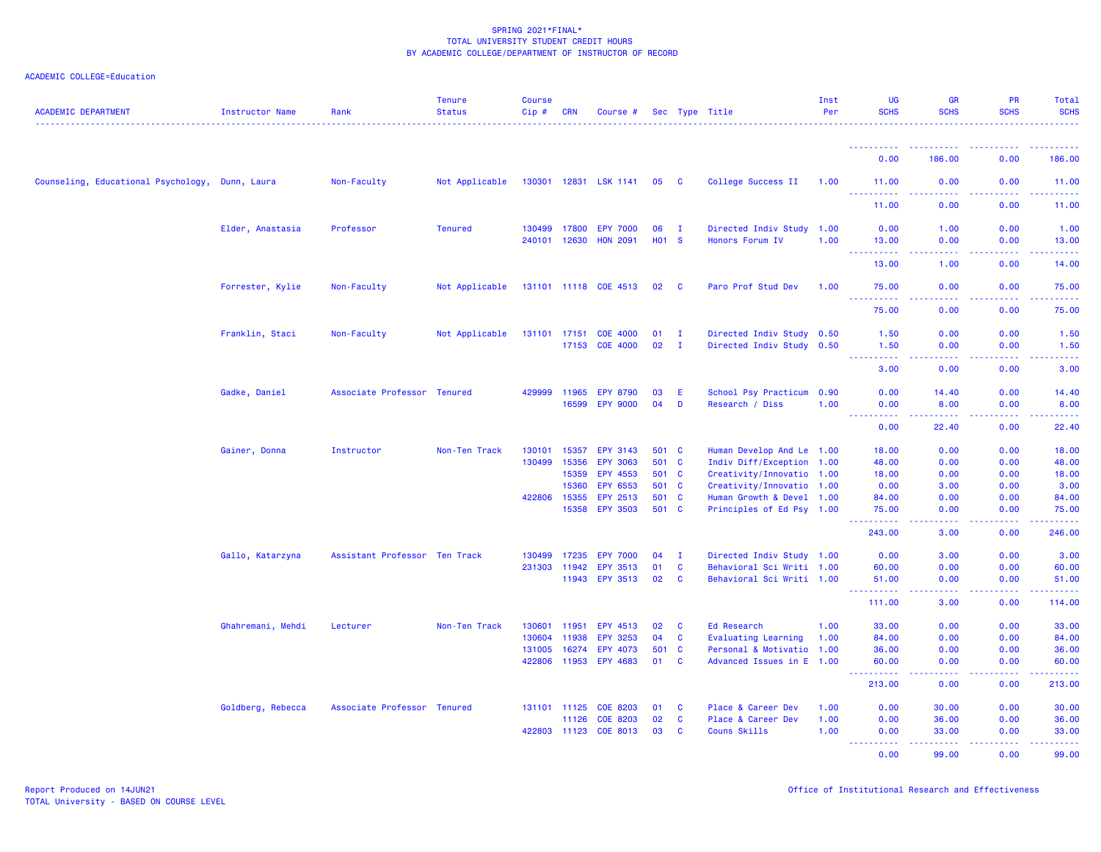| <b>ACADEMIC DEPARTMENT</b>                      | Instructor Name   | Rank                          | <b>Tenure</b><br><b>Status</b> | <b>Course</b><br>Cip# | <b>CRN</b>     | Course #              |                |              | Sec Type Title                                         | Inst<br>Per | <b>UG</b><br><b>SCHS</b>                      | <b>GR</b><br><b>SCHS</b>            | PR<br><b>SCHS</b>                     | Total<br><b>SCHS</b>                                                                                                              |
|-------------------------------------------------|-------------------|-------------------------------|--------------------------------|-----------------------|----------------|-----------------------|----------------|--------------|--------------------------------------------------------|-------------|-----------------------------------------------|-------------------------------------|---------------------------------------|-----------------------------------------------------------------------------------------------------------------------------------|
|                                                 |                   |                               |                                |                       |                |                       |                |              |                                                        |             | ----------                                    |                                     |                                       |                                                                                                                                   |
|                                                 |                   |                               |                                |                       |                |                       |                |              |                                                        |             | 0.00                                          | 186.00                              | 0.00                                  | 186.00                                                                                                                            |
| Counseling, Educational Psychology, Dunn, Laura |                   | Non-Faculty                   | Not Applicable                 |                       |                | 130301 12831 LSK 1141 | 05 C           |              | College Success II                                     | 1.00        | 11.00<br><u>.</u>                             | 0.00<br>.                           | 0.00<br>.                             | 11.00<br>.                                                                                                                        |
|                                                 |                   |                               |                                |                       |                |                       |                |              |                                                        |             | 11.00                                         | 0.00                                | 0.00                                  | 11.00                                                                                                                             |
|                                                 | Elder, Anastasia  | Professor                     | <b>Tenured</b>                 |                       | 130499 17800   | <b>EPY 7000</b>       | 06             | $\mathbf{I}$ | Directed Indiv Study 1.00                              |             | 0.00                                          | 1.00                                | 0.00                                  | 1.00                                                                                                                              |
|                                                 |                   |                               |                                |                       | 240101 12630   | <b>HON 2091</b>       | <b>HO1 S</b>   |              | Honors Forum IV                                        | 1.00        | 13.00<br><u>.</u> .                           | 0.00<br>.                           | 0.00<br><b><i><u><u>.</u></u></i></b> | 13.00<br>.                                                                                                                        |
|                                                 |                   |                               |                                |                       |                |                       |                |              |                                                        |             | 13.00                                         | 1.00                                | 0.00                                  | 14.00                                                                                                                             |
|                                                 | Forrester, Kylie  | Non-Faculty                   | Not Applicable                 |                       |                | 131101 11118 COE 4513 | 02 C           |              | Paro Prof Stud Dev                                     | 1.00        | 75.00<br><u>.</u>                             | 0.00<br>22222                       | 0.00<br>22222                         | 75.00<br><u>.</u>                                                                                                                 |
|                                                 |                   |                               |                                |                       |                |                       |                |              |                                                        |             | 75.00                                         | 0.00                                | 0.00                                  | 75.00                                                                                                                             |
|                                                 | Franklin, Staci   | Non-Faculty                   | Not Applicable                 |                       |                | 131101 17151 COE 4000 | 01             | $\mathbf{I}$ | Directed Indiv Study 0.50                              |             | 1.50                                          | 0.00                                | 0.00                                  | 1.50                                                                                                                              |
|                                                 |                   |                               |                                |                       |                | 17153 COE 4000        | 02             | $\mathbf{I}$ | Directed Indiv Study 0.50                              |             | 1.50<br>المتمالين                             | 0.00<br>د د د د                     | 0.00<br>.                             | 1.50<br>$\frac{1}{2} \left( \frac{1}{2} \right) \left( \frac{1}{2} \right) \left( \frac{1}{2} \right) \left( \frac{1}{2} \right)$ |
|                                                 |                   |                               |                                |                       |                |                       |                |              |                                                        |             | 3.00                                          | 0.00                                | 0.00                                  | 3.00                                                                                                                              |
|                                                 | Gadke, Daniel     | Associate Professor Tenured   |                                | 429999                | 11965          | <b>EPY 8790</b>       | 03             | E            | School Psy Practicum 0.90                              |             | 0.00                                          | 14.40                               | 0.00                                  | 14.40                                                                                                                             |
|                                                 |                   |                               |                                |                       | 16599          | <b>EPY 9000</b>       | 04             | D            | Research / Diss                                        | 1.00        | 0.00<br>. <b>.</b>                            | 8.00<br>.                           | 0.00                                  | 8.00<br>.                                                                                                                         |
|                                                 |                   |                               |                                |                       |                |                       |                |              |                                                        |             | 0.00                                          | 22.40                               | 0.00                                  | 22.40                                                                                                                             |
|                                                 | Gainer, Donna     | Instructor                    | Non-Ten Track                  | 130101                | 15357          | <b>EPY 3143</b>       | 501 C          |              | Human Develop And Le 1.00                              |             | 18.00                                         | 0.00                                | 0.00                                  | 18.00                                                                                                                             |
|                                                 |                   |                               |                                | 130499                | 15356          | <b>EPY 3063</b>       | 501 C          |              | Indiv Diff/Exception 1.00                              |             | 48.00                                         | 0.00                                | 0.00                                  | 48.00                                                                                                                             |
|                                                 |                   |                               |                                |                       | 15359<br>15360 | EPY 4553<br>EPY 6553  | 501 C<br>501 C |              | Creativity/Innovatio 1.00<br>Creativity/Innovatio 1.00 |             | 18.00<br>0.00                                 | 0.00<br>3.00                        | 0.00<br>0.00                          | 18.00<br>3.00                                                                                                                     |
|                                                 |                   |                               |                                |                       | 422806 15355   | EPY 2513              | 501 C          |              | Human Growth & Devel 1.00                              |             | 84.00                                         | 0.00                                | 0.00                                  | 84.00                                                                                                                             |
|                                                 |                   |                               |                                |                       |                | 15358 EPY 3503        | 501 C          |              | Principles of Ed Psy 1.00                              |             | 75.00                                         | 0.00<br>$\sim$ $\sim$ $\sim$ $\sim$ | 0.00                                  | 75.00                                                                                                                             |
|                                                 |                   |                               |                                |                       |                |                       |                |              |                                                        |             | 243.00                                        | 3.00                                | 0.00                                  | 246.00                                                                                                                            |
|                                                 | Gallo, Katarzyna  | Assistant Professor Ten Track |                                | 130499                | 17235          | <b>EPY 7000</b>       | 04             | $\mathbf{I}$ | Directed Indiv Study 1.00                              |             | 0.00                                          | 3.00                                | 0.00                                  | 3.00                                                                                                                              |
|                                                 |                   |                               |                                |                       | 231303 11942   | EPY 3513              | 01             | $\mathbf{C}$ | Behavioral Sci Writi 1.00                              |             | 60.00                                         | 0.00                                | 0.00                                  | 60.00                                                                                                                             |
|                                                 |                   |                               |                                |                       | 11943          | <b>EPY 3513</b>       | 02             | $\mathbf{C}$ | Behavioral Sci Writi 1.00                              |             | 51.00<br>.                                    | 0.00<br>.                           | 0.00<br>.                             | 51.00<br>.                                                                                                                        |
|                                                 |                   |                               |                                |                       |                |                       |                |              |                                                        |             | 111.00                                        | 3.00                                | 0.00                                  | 114.00                                                                                                                            |
|                                                 | Ghahremani, Mehdi | Lecturer                      | Non-Ten Track                  | 130601                | 11951          | EPY 4513              | 02             | <b>C</b>     | Ed Research                                            | 1.00        | 33.00                                         | 0.00                                | 0.00                                  | 33.00                                                                                                                             |
|                                                 |                   |                               |                                | 130604                | 11938          | <b>EPY 3253</b>       | 04             | $\mathbf{C}$ | Evaluating Learning                                    | 1.00        | 84.00                                         | 0.00                                | 0.00                                  | 84.00                                                                                                                             |
|                                                 |                   |                               |                                | 131005                | 16274          | EPY 4073              | 501 C          |              | Personal & Motivatio 1.00                              |             | 36.00                                         | 0.00                                | 0.00                                  | 36.00                                                                                                                             |
|                                                 |                   |                               |                                |                       | 422806 11953   | EPY 4683              | 01             | <b>C</b>     | Advanced Issues in E 1.00                              |             | 60.00<br>$\sim$ $\sim$ $\sim$<br>. <u>.</u> . | 0.00<br>.                           | 0.00                                  | 60.00<br>.                                                                                                                        |
|                                                 |                   |                               |                                |                       |                |                       |                |              |                                                        |             | 213.00                                        | 0.00                                | 0.00                                  | 213.00                                                                                                                            |
|                                                 | Goldberg, Rebecca | Associate Professor Tenured   |                                |                       | 131101 11125   | <b>COE 8203</b>       | 01             | <b>C</b>     | Place & Career Dev                                     | 1.00        | 0.00                                          | 30.00                               | 0.00                                  | 30.00                                                                                                                             |
|                                                 |                   |                               |                                |                       | 11126          | <b>COE 8203</b>       | 02             | $\mathbf{C}$ | Place & Career Dev                                     | 1.00        | 0.00                                          | 36.00                               | 0.00                                  | 36.00                                                                                                                             |
|                                                 |                   |                               |                                |                       | 422803 11123   | COE 8013              | 03             | C            | Couns Skills                                           | 1.00        | 0.00                                          | 33.00                               | 0.00                                  | 33.00                                                                                                                             |
|                                                 |                   |                               |                                |                       |                |                       |                |              |                                                        |             | <u>.</u><br>0.00                              | د د د د د<br>99.00                  | .<br>0.00                             | 99.00                                                                                                                             |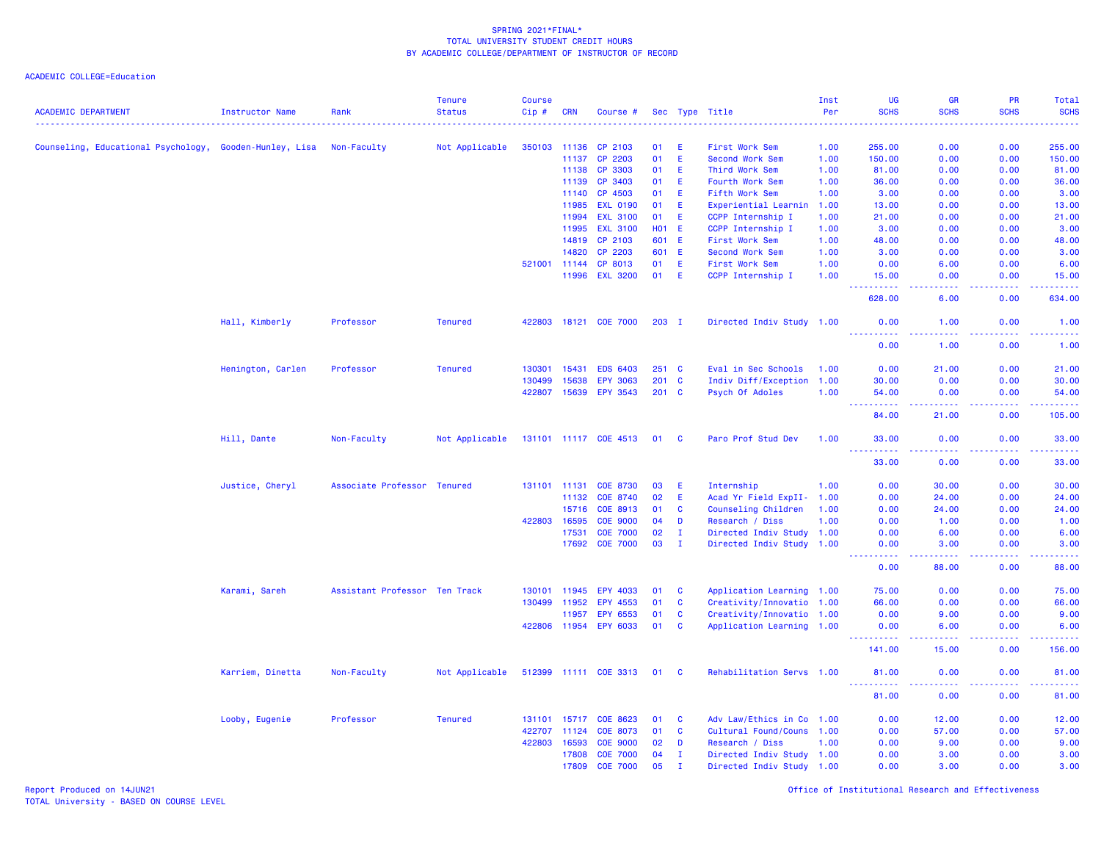ACADEMIC COLLEGE=Education

| <b>ACADEMIC DEPARTMENT</b>                              | <b>Instructor Name</b> | Rank                          | <b>Tenure</b><br><b>Status</b> | Course<br>Cip# | <b>CRN</b>   | Course #              |      |              | Sec Type Title            | Inst<br>Per | UG<br><b>SCHS</b>                                                                                                                                             | GR<br><b>SCHS</b>           | PR<br><b>SCHS</b> | Total<br><b>SCHS</b> |
|---------------------------------------------------------|------------------------|-------------------------------|--------------------------------|----------------|--------------|-----------------------|------|--------------|---------------------------|-------------|---------------------------------------------------------------------------------------------------------------------------------------------------------------|-----------------------------|-------------------|----------------------|
|                                                         |                        |                               |                                |                |              |                       |      |              |                           |             |                                                                                                                                                               |                             |                   |                      |
| Counseling, Educational Psychology, Gooden-Hunley, Lisa |                        | Non-Faculty                   | Not Applicable                 | 350103 11136   |              | CP 2103               | 01   | E            | First Work Sem            | 1.00        | 255.00                                                                                                                                                        | 0.00                        | 0.00              | 255.00               |
|                                                         |                        |                               |                                |                | 11137        | CP 2203               | 01   | E            | Second Work Sem           | 1.00        | 150.00                                                                                                                                                        | 0.00                        | 0.00              | 150.00               |
|                                                         |                        |                               |                                |                | 11138        | CP 3303               | 01   | E            | Third Work Sem            | 1.00        | 81.00                                                                                                                                                         | 0.00                        | 0.00              | 81.00                |
|                                                         |                        |                               |                                |                | 11139        | CP 3403               | 01   | E            | Fourth Work Sem           | 1.00        | 36.00                                                                                                                                                         | 0.00                        | 0.00              | 36.00                |
|                                                         |                        |                               |                                |                | 11140        | CP 4503               | 01   | -E           | Fifth Work Sem            | 1.00        | 3.00                                                                                                                                                          | 0.00                        | 0.00              | 3.00                 |
|                                                         |                        |                               |                                |                | 11985        | <b>EXL 0190</b>       | 01   | E            | Experiential Learnin      | 1.00        | 13.00                                                                                                                                                         | 0.00                        | 0.00              | 13.00                |
|                                                         |                        |                               |                                |                | 11994        | <b>EXL 3100</b>       | 01   | E            | CCPP Internship I         | 1.00        | 21.00                                                                                                                                                         | 0.00                        | 0.00              | 21.00                |
|                                                         |                        |                               |                                |                | 11995        | <b>EXL 3100</b>       |      | $H01$ E      | CCPP Internship I         | 1.00        | 3.00                                                                                                                                                          | 0.00                        | 0.00              | 3.00                 |
|                                                         |                        |                               |                                |                | 14819        | CP 2103               |      | 601 E        | First Work Sem            | 1.00        | 48.00                                                                                                                                                         | 0.00                        | 0.00              | 48.00                |
|                                                         |                        |                               |                                |                | 14820        | CP 2203               |      | 601 E        | Second Work Sem           | 1.00        | 3.00                                                                                                                                                          | 0.00                        | 0.00              | 3.00                 |
|                                                         |                        |                               |                                | 521001         | 11144        | CP 8013               | 01   | E            | First Work Sem            | 1.00        | 0.00                                                                                                                                                          | 6.00                        | 0.00              | 6.00                 |
|                                                         |                        |                               |                                |                | 11996        | <b>EXL 3200</b>       | 01   | E            | CCPP Internship I         | 1.00        | 15.00<br>$\frac{1}{2} \left( \frac{1}{2} \right) \left( \frac{1}{2} \right) \left( \frac{1}{2} \right) \left( \frac{1}{2} \right) \left( \frac{1}{2} \right)$ | 0.00<br>د د د د             | 0.00<br>.         | 15.00<br>.           |
|                                                         |                        |                               |                                |                |              |                       |      |              |                           |             | 628.00                                                                                                                                                        | 6.00                        | 0.00              | 634.00               |
|                                                         | Hall, Kimberly         | Professor                     | <b>Tenured</b>                 |                |              | 422803 18121 COE 7000 |      | $203$ I      | Directed Indiv Study 1.00 |             | 0.00<br>.                                                                                                                                                     | 1.00<br>د عام عام           | 0.00<br>.         | 1.00<br>.            |
|                                                         |                        |                               |                                |                |              |                       |      |              |                           |             | 0.00                                                                                                                                                          | 1.00                        | 0.00              | 1.00                 |
|                                                         | Henington, Carlen      | Professor                     | <b>Tenured</b>                 | 130301         | 15431        | <b>EDS 6403</b>       |      | $251$ C      | Eval in Sec Schools       | 1.00        | 0.00                                                                                                                                                          | 21.00                       | 0.00              | 21.00                |
|                                                         |                        |                               |                                | 130499         | 15638        | <b>EPY 3063</b>       |      | $201$ C      | Indiv Diff/Exception      | 1.00        | 30.00                                                                                                                                                         | 0.00                        | 0.00              | 30.00                |
|                                                         |                        |                               |                                | 422807         | 15639        | <b>EPY 3543</b>       |      | $201$ C      | Psych Of Adoles           | 1.00        | 54.00                                                                                                                                                         | 0.00                        | 0.00              | 54.00                |
|                                                         |                        |                               |                                |                |              |                       |      |              |                           |             | .                                                                                                                                                             | -----                       | .                 | .                    |
|                                                         |                        |                               |                                |                |              |                       |      |              |                           |             | 84.00                                                                                                                                                         | 21.00                       | 0.00              | 105.00               |
|                                                         | Hill, Dante            | Non-Faculty                   | Not Applicable                 |                |              | 131101 11117 COE 4513 | 01 C |              | Paro Prof Stud Dev        | 1.00        | 33.00<br>الدائدات<br>.                                                                                                                                        | 0.00<br>وبالأباد            | 0.00              | 33.00                |
|                                                         |                        |                               |                                |                |              |                       |      |              |                           |             | 33.00                                                                                                                                                         | 0.00                        | 0.00              | 33.00                |
|                                                         | Justice, Cheryl        | Associate Professor Tenured   |                                |                | 131101 11131 | <b>COE 8730</b>       | 03   | -E           | Internship                | 1.00        | 0.00                                                                                                                                                          | 30.00                       | 0.00              | 30.00                |
|                                                         |                        |                               |                                |                | 11132        | COE 8740              | 02   | E            | Acad Yr Field ExpII- 1.00 |             | 0.00                                                                                                                                                          | 24.00                       | 0.00              | 24.00                |
|                                                         |                        |                               |                                |                | 15716        | COE 8913              | 01   | C            | Counseling Children       | 1.00        | 0.00                                                                                                                                                          | 24.00                       | 0.00              | 24.00                |
|                                                         |                        |                               |                                | 422803         | 16595        | <b>COE 9000</b>       | 04   | D            | Research / Diss           | 1.00        | 0.00                                                                                                                                                          | 1.00                        | 0.00              | 1.00                 |
|                                                         |                        |                               |                                |                | 17531        | <b>COE 7000</b>       | 02   | $\mathbf{I}$ | Directed Indiv Study 1.00 |             | 0.00                                                                                                                                                          | 6.00                        | 0.00              | 6.00                 |
|                                                         |                        |                               |                                |                | 17692        | <b>COE 7000</b>       | 03   | $\mathbf I$  | Directed Indiv Study 1.00 |             | 0.00<br>$\begin{array}{cccccccccc} \bullet & \bullet & \bullet & \bullet & \bullet & \bullet \end{array}$                                                     | 3.00<br>د د د د             | 0.00<br>.         | 3.00<br>والمستبدات   |
|                                                         |                        |                               |                                |                |              |                       |      |              |                           |             | 0.00                                                                                                                                                          | 88.00                       | 0.00              | 88.00                |
|                                                         | Karami, Sareh          | Assistant Professor Ten Track |                                | 130101         | 11945        | <b>EPY 4033</b>       | 01   | C            | Application Learning 1.00 |             | 75.00                                                                                                                                                         | 0.00                        | 0.00              | 75.00                |
|                                                         |                        |                               |                                | 130499         | 11952        | EPY 4553              | 01   | C            | Creativity/Innovatio 1.00 |             | 66.00                                                                                                                                                         | 0.00                        | 0.00              | 66.00                |
|                                                         |                        |                               |                                |                | 11957        | <b>EPY 6553</b>       | 01   | C            | Creativity/Innovatio 1.00 |             | 0.00                                                                                                                                                          | 9.00                        | 0.00              | 9.00                 |
|                                                         |                        |                               |                                |                |              | 422806 11954 EPY 6033 | 01   | <b>C</b>     | Application Learning 1.00 |             | 0.00<br>المتمام المتحدث                                                                                                                                       | 6.00<br>$\omega_{\rm{max}}$ | 0.00<br>.         | 6.00                 |
|                                                         |                        |                               |                                |                |              |                       |      |              |                           |             | 141.00                                                                                                                                                        | 15.00                       | 0.00              | 156.00               |
|                                                         | Karriem, Dinetta       | Non-Faculty                   | Not Applicable                 |                |              | 512399 11111 COE 3313 | 01 C |              | Rehabilitation Servs 1.00 |             | 81.00                                                                                                                                                         | 0.00                        | 0.00              | 81.00                |
|                                                         |                        |                               |                                |                |              |                       |      |              |                           |             | د د د د<br>81.00                                                                                                                                              | 0.00                        | 0.00              | 81.00                |
|                                                         | Looby, Eugenie         | Professor                     | <b>Tenured</b>                 |                | 131101 15717 | COE 8623              | 01   | C            | Adv Law/Ethics in Co 1.00 |             | 0.00                                                                                                                                                          | 12.00                       | 0.00              | 12.00                |
|                                                         |                        |                               |                                | 422707         | 11124        | <b>COE 8073</b>       | 01   | C            | Cultural Found/Couns 1.00 |             | 0.00                                                                                                                                                          | 57.00                       | 0.00              | 57.00                |
|                                                         |                        |                               |                                | 422803         | 16593        | <b>COE 9000</b>       | 02   | D            | Research / Diss           | 1.00        | 0.00                                                                                                                                                          | 9.00                        | 0.00              | 9.00                 |
|                                                         |                        |                               |                                |                | 17808        | <b>COE 7000</b>       | 04   | $\mathbf{I}$ | Directed Indiv Study 1.00 |             | 0.00                                                                                                                                                          | 3.00                        | 0.00              | 3.00                 |
|                                                         |                        |                               |                                |                | 17809        | <b>COE 7000</b>       | 05   | $\mathbf{T}$ | Directed Indiv Study 1.00 |             | 0.00                                                                                                                                                          | 3.00                        | 0.00              | 3.00                 |

Report Produced on 14JUN21 Office of Institutional Research and Effectiveness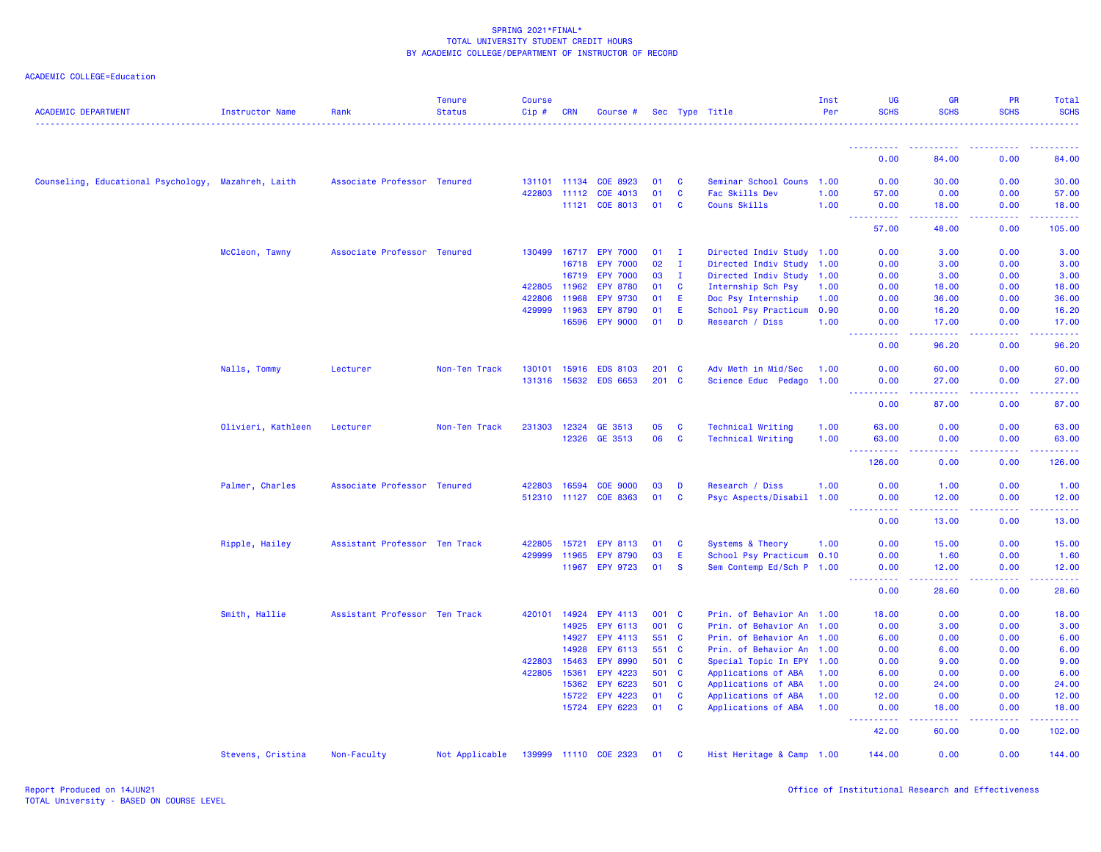| <b>ACADEMIC DEPARTMENT</b>                          | <b>Instructor Name</b> | Rank                          | <b>Tenure</b><br><b>Status</b> | <b>Course</b><br>$Cip \#$ | <b>CRN</b>   | Course #              |       |              | Sec Type Title            | Inst<br>Per | UG<br><b>SCHS</b>                                                                                                                      | <b>GR</b><br><b>SCHS</b> | <b>PR</b><br><b>SCHS</b>                                                                                                                                     | Total<br><b>SCHS</b> |
|-----------------------------------------------------|------------------------|-------------------------------|--------------------------------|---------------------------|--------------|-----------------------|-------|--------------|---------------------------|-------------|----------------------------------------------------------------------------------------------------------------------------------------|--------------------------|--------------------------------------------------------------------------------------------------------------------------------------------------------------|----------------------|
|                                                     |                        |                               |                                |                           |              |                       |       |              |                           |             | <u>.</u>                                                                                                                               |                          |                                                                                                                                                              |                      |
|                                                     |                        |                               |                                |                           |              |                       |       |              |                           |             | 0.00                                                                                                                                   | 84.00                    | 0.00                                                                                                                                                         | 84.00                |
| Counseling, Educational Psychology, Mazahreh, Laith |                        | Associate Professor Tenured   |                                |                           | 131101 11134 | COE 8923              | 01    | <b>C</b>     | Seminar School Couns 1.00 |             | 0.00                                                                                                                                   | 30.00                    | 0.00                                                                                                                                                         | 30.00                |
|                                                     |                        |                               |                                |                           | 422803 11112 | COE 4013              | 01    | C            | Fac Skills Dev            | 1.00        | 57.00                                                                                                                                  | 0.00                     | 0.00                                                                                                                                                         | 57.00                |
|                                                     |                        |                               |                                |                           | 11121        | COE 8013              | 01    | <b>C</b>     | Couns Skills              | 1.00        | 0.00                                                                                                                                   | 18.00                    | 0.00                                                                                                                                                         | 18.00                |
|                                                     |                        |                               |                                |                           |              |                       |       |              |                           |             | <b><i><u><u>AAAAAAAAA</u></u></i></b><br>57.00                                                                                         | .<br>48.00               | a a a a an<br>0.00                                                                                                                                           | 222222<br>105.00     |
|                                                     | McCleon, Tawny         | Associate Professor Tenured   |                                | 130499                    | 16717        | <b>EPY 7000</b>       | 01    | $\mathbf{I}$ | Directed Indiv Study 1.00 |             | 0.00                                                                                                                                   | 3.00                     | 0.00                                                                                                                                                         | 3.00                 |
|                                                     |                        |                               |                                |                           | 16718        | <b>EPY 7000</b>       | 02    | л.           | Directed Indiv Study      | 1.00        | 0.00                                                                                                                                   | 3.00                     | 0.00                                                                                                                                                         | 3.00                 |
|                                                     |                        |                               |                                |                           | 16719        | <b>EPY 7000</b>       | 03    | $\mathbf{I}$ | Directed Indiv Study      | 1.00        | 0.00                                                                                                                                   | 3.00                     | 0.00                                                                                                                                                         | 3.00                 |
|                                                     |                        |                               |                                | 422805 11962              |              | <b>EPY 8780</b>       | 01    | <b>C</b>     | Internship Sch Psy        | 1.00        | 0.00                                                                                                                                   | 18.00                    | 0.00                                                                                                                                                         | 18.00                |
|                                                     |                        |                               |                                | 422806                    | 11968        | <b>EPY 9730</b>       | 01    | E            | Doc Psy Internship        | 1.00        | 0.00                                                                                                                                   | 36.00                    | 0.00                                                                                                                                                         | 36.00                |
|                                                     |                        |                               |                                | 429999 11963              |              | <b>EPY 8790</b>       | 01    | E            | School Psy Practicum      | 0.90        | 0.00                                                                                                                                   | 16.20                    | 0.00                                                                                                                                                         | 16.20                |
|                                                     |                        |                               |                                |                           | 16596        | <b>EPY 9000</b>       | 01    | D            | Research / Diss           | 1.00        | 0.00<br>.                                                                                                                              | 17.00<br>.               | 0.00<br>.                                                                                                                                                    | 17.00<br>.           |
|                                                     |                        |                               |                                |                           |              |                       |       |              |                           |             | 0.00                                                                                                                                   | 96.20                    | 0.00                                                                                                                                                         | 96.20                |
|                                                     | Nalls, Tommy           | Lecturer                      | Non-Ten Track                  | 130101                    | 15916        | <b>EDS 8103</b>       | 201 C |              | Adv Meth in Mid/Sec       | 1.00        | 0.00                                                                                                                                   | 60.00                    | 0.00                                                                                                                                                         | 60.00                |
|                                                     |                        |                               |                                |                           | 131316 15632 | <b>EDS 6653</b>       | 201 C |              | Science Educ Pedago       | 1.00        | 0.00                                                                                                                                   | 27.00                    | 0.00                                                                                                                                                         | 27.00                |
|                                                     |                        |                               |                                |                           |              |                       |       |              |                           |             | <b></b><br>0.00                                                                                                                        | .<br>87.00               | .<br>0.00                                                                                                                                                    | .<br>87.00           |
|                                                     | Olivieri, Kathleen     | Lecturer                      | Non-Ten Track                  |                           | 231303 12324 | GE 3513               | 05    | C            | <b>Technical Writing</b>  | 1.00        | 63.00                                                                                                                                  | 0.00                     | 0.00                                                                                                                                                         | 63.00                |
|                                                     |                        |                               |                                |                           | 12326        | GE 3513               | 06    | C            | Technical Writing         | 1.00        | 63.00                                                                                                                                  | 0.00                     | 0.00                                                                                                                                                         | 63.00                |
|                                                     |                        |                               |                                |                           |              |                       |       |              |                           |             | <b>.</b><br>126.00                                                                                                                     | .<br>0.00                | $\frac{1}{2} \left( \frac{1}{2} \right) \left( \frac{1}{2} \right) \left( \frac{1}{2} \right) \left( \frac{1}{2} \right) \left( \frac{1}{2} \right)$<br>0.00 | 126.00               |
|                                                     | Palmer, Charles        | Associate Professor Tenured   |                                | 422803 16594              |              | <b>COE 9000</b>       | 03    | D            | Research / Diss           | 1.00        | 0.00                                                                                                                                   | 1.00                     | 0.00                                                                                                                                                         | 1.00                 |
|                                                     |                        |                               |                                |                           |              | 512310 11127 COE 8363 | 01    | <b>C</b>     | Psyc Aspects/Disabil 1.00 |             | 0.00                                                                                                                                   | 12.00                    | 0.00                                                                                                                                                         | 12.00                |
|                                                     |                        |                               |                                |                           |              |                       |       |              |                           |             | 22222                                                                                                                                  | .                        | .                                                                                                                                                            | .                    |
|                                                     |                        |                               |                                |                           |              |                       |       |              |                           |             | 0.00                                                                                                                                   | 13.00                    | 0.00                                                                                                                                                         | 13.00                |
|                                                     | Ripple, Hailey         | Assistant Professor Ten Track |                                | 422805 15721              |              | EPY 8113              | 01    | <b>C</b>     | Systems & Theory          | 1.00        | 0.00                                                                                                                                   | 15.00                    | 0.00                                                                                                                                                         | 15.00                |
|                                                     |                        |                               |                                | 429999                    | 11965        | <b>EPY 8790</b>       | 03    | E            | School Psy Practicum 0.10 |             | 0.00                                                                                                                                   | 1.60                     | 0.00                                                                                                                                                         | 1.60                 |
|                                                     |                        |                               |                                |                           |              | 11967 EPY 9723        | 01    | <b>S</b>     | Sem Contemp Ed/Sch P 1.00 |             | 0.00<br>.<br>$\frac{1}{2} \left( \frac{1}{2} \right) \left( \frac{1}{2} \right) \left( \frac{1}{2} \right) \left( \frac{1}{2} \right)$ | 12.00<br>.               | 0.00<br>المتمام منامين                                                                                                                                       | 12.00<br>.           |
|                                                     |                        |                               |                                |                           |              |                       |       |              |                           |             | 0.00                                                                                                                                   | 28.60                    | 0.00                                                                                                                                                         | 28.60                |
|                                                     | Smith, Hallie          | Assistant Professor Ten Track |                                |                           | 420101 14924 | EPY 4113              | 001 C |              | Prin. of Behavior An      | 1.00        | 18.00                                                                                                                                  | 0.00                     | 0.00                                                                                                                                                         | 18.00                |
|                                                     |                        |                               |                                |                           | 14925        | EPY 6113              | 001 C |              | Prin. of Behavior An 1.00 |             | 0.00                                                                                                                                   | 3.00                     | 0.00                                                                                                                                                         | 3.00                 |
|                                                     |                        |                               |                                |                           | 14927        | EPY 4113              | 551 C |              | Prin. of Behavior An      | 1.00        | 6.00                                                                                                                                   | 0.00                     | 0.00                                                                                                                                                         | 6.00                 |
|                                                     |                        |                               |                                |                           | 14928        | EPY 6113              | 551 C |              | Prin. of Behavior An      | 1.00        | 0.00                                                                                                                                   | 6.00                     | 0.00                                                                                                                                                         | 6.00                 |
|                                                     |                        |                               |                                | 422803 15463              |              | <b>EPY 8990</b>       | 501 C |              | Special Topic In EPY 1.00 |             | 0.00                                                                                                                                   | 9.00                     | 0.00                                                                                                                                                         | 9.00                 |
|                                                     |                        |                               |                                | 422805                    | 15361        | <b>EPY 4223</b>       | 501 C |              | Applications of ABA       | 1.00        | 6.00                                                                                                                                   | 0.00                     | 0.00                                                                                                                                                         | 6.00                 |
|                                                     |                        |                               |                                |                           | 15362        | EPY 6223              | 501 C |              | Applications of ABA       | 1.00        | 0.00                                                                                                                                   | 24.00                    | 0.00                                                                                                                                                         | 24.00                |
|                                                     |                        |                               |                                |                           | 15722        | EPY 4223              | 01    | <b>C</b>     | Applications of ABA       | 1.00        | 12.00                                                                                                                                  | 0.00                     | 0.00                                                                                                                                                         | 12.00                |
|                                                     |                        |                               |                                |                           |              | 15724 EPY 6223        | 01    | <b>C</b>     | Applications of ABA       | 1.00        | 0.00<br>22222                                                                                                                          | 18.00<br>.               | 0.00<br>بالمستمال                                                                                                                                            | 18.00<br>.           |
|                                                     |                        |                               |                                |                           |              |                       |       |              |                           |             | 42.00                                                                                                                                  | 60.00                    | 0.00                                                                                                                                                         | 102.00               |
|                                                     | Stevens, Cristina      | Non-Faculty                   | Not Applicable                 |                           |              | 139999 11110 COE 2323 | 01 C  |              | Hist Heritage & Camp 1.00 |             | 144.00                                                                                                                                 | 0.00                     | 0.00                                                                                                                                                         | 144.00               |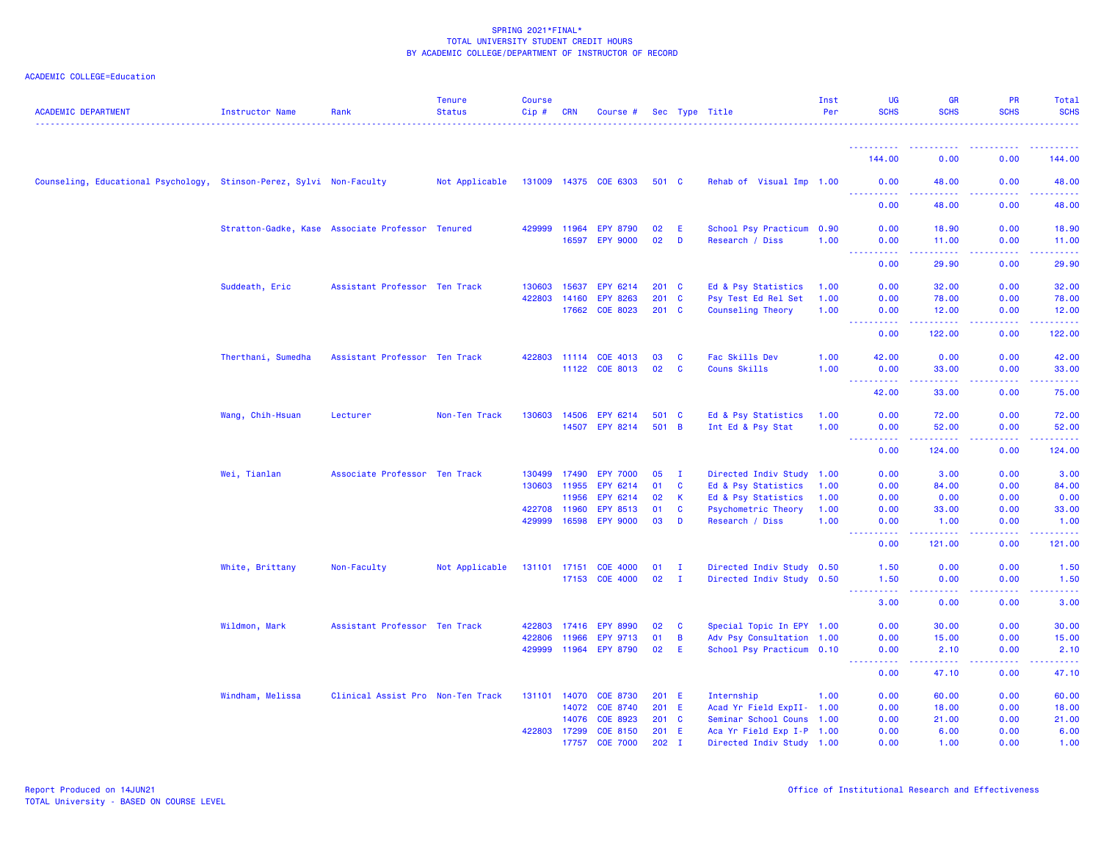| <b>ACADEMIC DEPARTMENT</b>                                           | Instructor Name                                  | Rank                              | <b>Tenure</b><br><b>Status</b> | Course<br>Cip#   | <b>CRN</b>            | Course #                           |                  |              | Sec Type Title                                         | Inst<br>Per  | <b>UG</b><br><b>SCHS</b>                                                                                                                           | <b>GR</b><br><b>SCHS</b>                                                                                                                                      | <b>PR</b><br><b>SCHS</b> | <b>Total</b><br><b>SCHS</b> |
|----------------------------------------------------------------------|--------------------------------------------------|-----------------------------------|--------------------------------|------------------|-----------------------|------------------------------------|------------------|--------------|--------------------------------------------------------|--------------|----------------------------------------------------------------------------------------------------------------------------------------------------|---------------------------------------------------------------------------------------------------------------------------------------------------------------|--------------------------|-----------------------------|
|                                                                      |                                                  |                                   |                                |                  |                       |                                    |                  |              |                                                        |              |                                                                                                                                                    |                                                                                                                                                               |                          |                             |
|                                                                      |                                                  |                                   |                                |                  |                       |                                    |                  |              |                                                        |              | 144.00                                                                                                                                             | 0.00                                                                                                                                                          | 0.00                     | 144.00                      |
| Counseling, Educational Psychology, Stinson-Perez, Sylvi Non-Faculty |                                                  |                                   | Not Applicable                 |                  |                       | 131009 14375 COE 6303              | 501 C            |              | Rehab of Visual Imp 1.00                               |              | 0.00<br><u>.</u>                                                                                                                                   | 48.00                                                                                                                                                         | 0.00                     | 48.00                       |
|                                                                      |                                                  |                                   |                                |                  |                       |                                    |                  |              |                                                        |              | 0.00                                                                                                                                               | $\frac{1}{2} \left( \frac{1}{2} \right) \left( \frac{1}{2} \right) \left( \frac{1}{2} \right) \left( \frac{1}{2} \right) \left( \frac{1}{2} \right)$<br>48.00 | -----<br>0.00            | .<br>48.00                  |
|                                                                      | Stratton-Gadke, Kase Associate Professor Tenured |                                   |                                | 429999           | 11964                 | <b>EPY 8790</b>                    | 02               | - E          | School Psy Practicum 0.90                              |              | 0.00                                                                                                                                               | 18.90                                                                                                                                                         | 0.00                     | 18.90                       |
|                                                                      |                                                  |                                   |                                |                  | 16597                 | <b>EPY 9000</b>                    | 02               | D            | Research / Diss                                        | 1.00         | 0.00<br>$\frac{1}{2} \left( \frac{1}{2} \right) \left( \frac{1}{2} \right) \left( \frac{1}{2} \right) \left( \frac{1}{2} \right)$<br>المتمام مناسب | 11.00<br>.                                                                                                                                                    | 0.00<br>22222            | 11.00<br><u> 22222</u>      |
|                                                                      |                                                  |                                   |                                |                  |                       |                                    |                  |              |                                                        |              | 0.00                                                                                                                                               | 29.90                                                                                                                                                         | 0.00                     | 29.90                       |
|                                                                      | Suddeath, Eric                                   | Assistant Professor Ten Track     |                                | 130603           | 15637                 | EPY 6214                           | $201 \quad C$    |              | Ed & Psy Statistics                                    | 1.00         | 0.00                                                                                                                                               | 32.00                                                                                                                                                         | 0.00                     | 32.00                       |
|                                                                      |                                                  |                                   |                                | 422803           | 14160                 | <b>EPY 8263</b>                    | 201              | $\mathbf{C}$ | Psy Test Ed Rel Set                                    | 1.00         | 0.00                                                                                                                                               | 78.00                                                                                                                                                         | 0.00                     | 78.00                       |
|                                                                      |                                                  |                                   |                                |                  | 17662                 | COE 8023                           | $201$ C          |              | Counseling Theory                                      | 1.00         | 0.00<br>.                                                                                                                                          | 12.00<br>د د د د د                                                                                                                                            | 0.00<br><u>.</u>         | 12.00<br>.                  |
|                                                                      |                                                  |                                   |                                |                  |                       |                                    |                  |              |                                                        |              | 0.00                                                                                                                                               | 122.00                                                                                                                                                        | 0.00                     | 122.00                      |
|                                                                      | Therthani, Sumedha                               | Assistant Professor Ten Track     |                                |                  | 422803 11114          | COE 4013                           | 03               | C            | Fac Skills Dev                                         | 1.00         | 42.00                                                                                                                                              | 0.00                                                                                                                                                          | 0.00                     | 42.00                       |
|                                                                      |                                                  |                                   |                                |                  | 11122                 | COE 8013                           | 02               | <b>C</b>     | Couns Skills                                           | 1.00         | 0.00<br>. <b>.</b>                                                                                                                                 | 33.00<br>$\frac{1}{2} \left( \frac{1}{2} \right) \left( \frac{1}{2} \right) \left( \frac{1}{2} \right) \left( \frac{1}{2} \right) \left( \frac{1}{2} \right)$ | 0.00<br>.                | 33.00<br>.                  |
|                                                                      |                                                  |                                   |                                |                  |                       |                                    |                  |              |                                                        |              | 42.00                                                                                                                                              | 33.00                                                                                                                                                         | 0.00                     | 75.00                       |
|                                                                      | Wang, Chih-Hsuan                                 | Lecturer                          | Non-Ten Track                  | 130603           | 14506                 | EPY 6214                           | 501 C            |              | Ed & Psy Statistics                                    | 1.00         | 0.00                                                                                                                                               | 72.00                                                                                                                                                         | 0.00                     | 72.00                       |
|                                                                      |                                                  |                                   |                                |                  |                       | 14507 EPY 8214                     | 501 B            |              | Int Ed & Psy Stat                                      | 1.00         | 0.00<br>$\sim$ $\sim$ $\sim$<br>المستبدا                                                                                                           | 52.00                                                                                                                                                         | 0.00<br>.                | 52.00                       |
|                                                                      |                                                  |                                   |                                |                  |                       |                                    |                  |              |                                                        |              | 0.00                                                                                                                                               | 124.00                                                                                                                                                        | 0.00                     | 124.00                      |
|                                                                      | Wei, Tianlan                                     | Associate Professor Ten Track     |                                | 130499           | 17490                 | <b>EPY 7000</b>                    | 05               | $\mathbf{I}$ | Directed Indiv Study 1.00                              |              | 0.00                                                                                                                                               | 3.00                                                                                                                                                          | 0.00                     | 3.00                        |
|                                                                      |                                                  |                                   |                                | 130603           | 11955                 | EPY 6214                           | 01               | <b>C</b>     | Ed & Psy Statistics                                    | 1.00         | 0.00                                                                                                                                               | 84.00                                                                                                                                                         | 0.00                     | 84.00                       |
|                                                                      |                                                  |                                   |                                |                  | 11956                 | EPY 6214                           | 02               | K.           | Ed & Psy Statistics                                    | 1.00         | 0.00                                                                                                                                               | 0.00                                                                                                                                                          | 0.00                     | 0.00                        |
|                                                                      |                                                  |                                   |                                | 422708<br>429999 | 11960                 | <b>EPY 8513</b><br>16598 EPY 9000  | 01<br>03         | C<br>D       | Psychometric Theory<br>Research / Diss                 | 1.00<br>1.00 | 0.00<br>0.00                                                                                                                                       | 33.00<br>1.00                                                                                                                                                 | 0.00<br>0.00             | 33.00<br>1.00               |
|                                                                      |                                                  |                                   |                                |                  |                       |                                    |                  |              |                                                        |              | $\frac{1}{2} \left( \frac{1}{2} \right) \left( \frac{1}{2} \right) \left( \frac{1}{2} \right)$<br>0.00                                             | 22222<br>121.00                                                                                                                                               | .<br>0.00                | .<br>121.00                 |
|                                                                      | White, Brittany                                  | Non-Faculty                       | Not Applicable                 | 131101 17151     |                       | <b>COE 4000</b>                    | 01               | $\mathbf{I}$ | Directed Indiv Study 0.50                              |              | 1.50                                                                                                                                               | 0.00                                                                                                                                                          | 0.00                     | 1.50                        |
|                                                                      |                                                  |                                   |                                |                  | 17153                 | <b>COE 4000</b>                    | 02               | $\mathbf{I}$ | Directed Indiv Study 0.50                              |              | 1.50<br>2.2.2.2.2                                                                                                                                  | 0.00<br>.                                                                                                                                                     | 0.00<br>.                | 1.50<br>.                   |
|                                                                      |                                                  |                                   |                                |                  |                       |                                    |                  |              |                                                        |              | 3.00                                                                                                                                               | 0.00                                                                                                                                                          | 0.00                     | 3.00                        |
|                                                                      | Wildmon, Mark                                    | Assistant Professor Ten Track     |                                | 422803           | 17416                 | <b>EPY 8990</b>                    | 02               | $\mathbf{C}$ | Special Topic In EPY 1.00                              |              | 0.00                                                                                                                                               | 30.00                                                                                                                                                         | 0.00                     | 30.00                       |
|                                                                      |                                                  |                                   |                                | 422806           | 11966                 | EPY 9713                           | 01               | B            | Adv Psy Consultation 1.00                              |              | 0.00                                                                                                                                               | 15.00                                                                                                                                                         | 0.00                     | 15.00                       |
|                                                                      |                                                  |                                   |                                | 429999           | 11964                 | <b>EPY 8790</b>                    | 02               | E.           | School Psy Practicum 0.10                              |              | 0.00<br><u>.</u>                                                                                                                                   | 2.10<br>------                                                                                                                                                | 0.00<br>22222            | 2.10<br><u>.</u>            |
|                                                                      |                                                  |                                   |                                |                  |                       |                                    |                  |              |                                                        |              | 0.00                                                                                                                                               | 47.10                                                                                                                                                         | 0.00                     | 47.10                       |
|                                                                      | Windham, Melissa                                 | Clinical Assist Pro Non-Ten Track |                                | 131101           | 14070                 | <b>COE 8730</b>                    | 201 E            |              | Internship                                             | 1.00         | 0.00                                                                                                                                               | 60.00                                                                                                                                                         | 0.00                     | 60.00                       |
|                                                                      |                                                  |                                   |                                |                  | 14072                 | <b>COE 8740</b>                    | 201 E            |              | Acad Yr Field ExpII- 1.00                              |              | 0.00                                                                                                                                               | 18.00                                                                                                                                                         | 0.00                     | 18.00                       |
|                                                                      |                                                  |                                   |                                |                  | 14076                 | COE 8923                           | $201$ C          |              | Seminar School Couns 1.00                              |              | 0.00                                                                                                                                               | 21.00                                                                                                                                                         | 0.00                     | 21.00                       |
|                                                                      |                                                  |                                   |                                |                  | 422803 17299<br>17757 | <b>COE 8150</b><br><b>COE 7000</b> | 201 E<br>$202$ I |              | Aca Yr Field Exp I-P 1.00<br>Directed Indiv Study 1.00 |              | 0.00<br>0.00                                                                                                                                       | 6.00<br>1.00                                                                                                                                                  | 0.00<br>0.00             | 6.00<br>1.00                |
|                                                                      |                                                  |                                   |                                |                  |                       |                                    |                  |              |                                                        |              |                                                                                                                                                    |                                                                                                                                                               |                          |                             |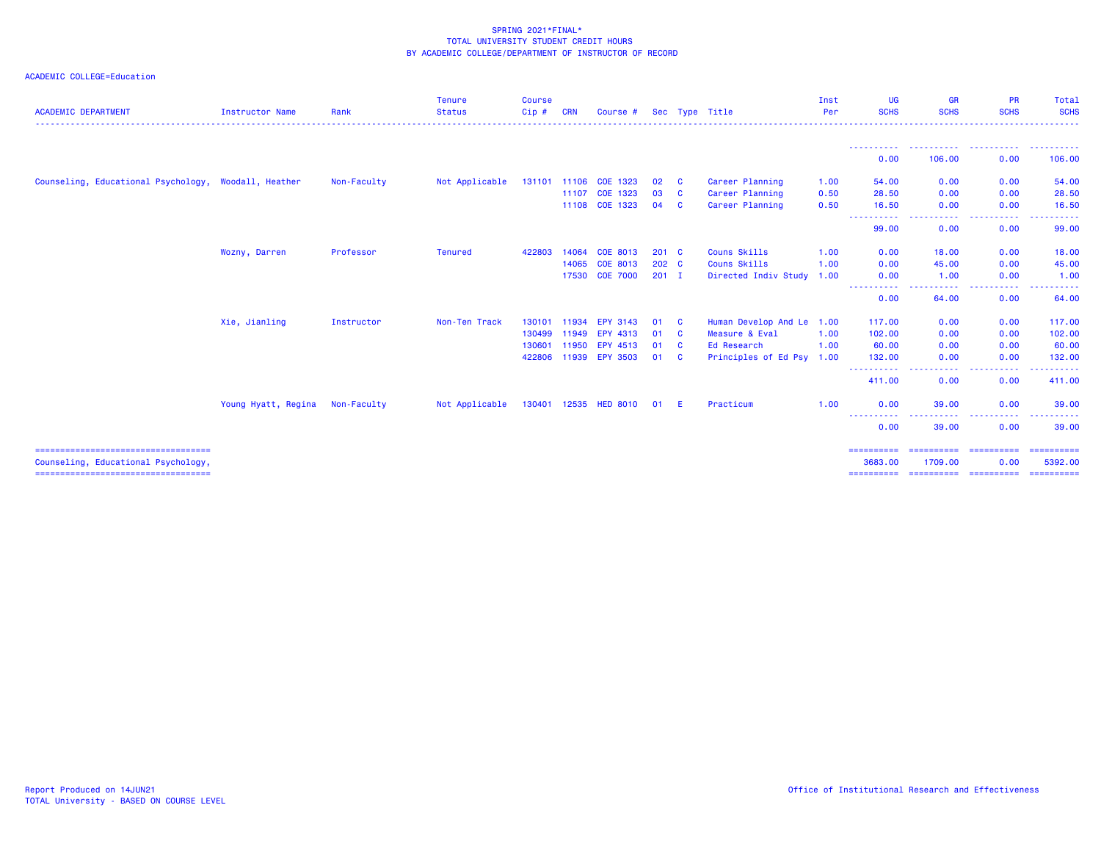| <b>ACADEMIC DEPARTMENT</b>                                                   | <b>Instructor Name</b> | Rank        | <b>Tenure</b><br><b>Status</b> | <b>Course</b><br>Cip# | <b>CRN</b> | Course #              |               |              | Sec Type Title            | Inst<br>Per | UG<br><b>SCHS</b>     | <b>GR</b><br><b>SCHS</b>                                                                               | <b>PR</b><br><b>SCHS</b>               | Total<br><b>SCHS</b>  |
|------------------------------------------------------------------------------|------------------------|-------------|--------------------------------|-----------------------|------------|-----------------------|---------------|--------------|---------------------------|-------------|-----------------------|--------------------------------------------------------------------------------------------------------|----------------------------------------|-----------------------|
|                                                                              |                        |             |                                |                       |            |                       |               |              |                           |             |                       |                                                                                                        |                                        | <u>.</u>              |
|                                                                              |                        |             |                                |                       |            |                       |               |              |                           |             | 0.00                  | 106.00                                                                                                 | 0.00                                   | 106.00                |
| Counseling, Educational Psychology, Woodall, Heather                         |                        | Non-Faculty | Not Applicable                 |                       |            | 131101 11106 COE 1323 | 02            | <b>C</b>     | Career Planning           | 1.00        | 54.00                 | 0.00                                                                                                   | 0.00                                   | 54.00                 |
|                                                                              |                        |             |                                |                       | 11107      | COE 1323              | 03            | $\mathbf{C}$ | Career Planning           | 0.50        | 28.50                 | 0.00                                                                                                   | 0.00                                   | 28.50                 |
|                                                                              |                        |             |                                |                       | 11108      | COE 1323              | 04            | $\mathbf{C}$ | Career Planning           | 0.50        | 16.50                 | 0.00                                                                                                   | 0.00                                   | 16.50                 |
|                                                                              |                        |             |                                |                       |            |                       |               |              |                           |             | ----<br>99.00         | 0.00                                                                                                   | 0.00                                   | 99.00                 |
|                                                                              | Wozny, Darren          | Professor   | <b>Tenured</b>                 | 422803                | 14064      | COE 8013              | $201$ C       |              | Couns Skills              | 1.00        | 0.00                  | 18.00                                                                                                  | 0.00                                   | 18.00                 |
|                                                                              |                        |             |                                |                       | 14065      | COE 8013              | $202 \quad C$ |              | Couns Skills              | 1.00        | 0.00                  | 45.00                                                                                                  | 0.00                                   | 45.00                 |
|                                                                              |                        |             |                                |                       |            | 17530 COE 7000        | $201$ I       |              | Directed Indiv Study      | 1.00        | 0.00                  | 1.00                                                                                                   | 0.00                                   | 1.00                  |
|                                                                              |                        |             |                                |                       |            |                       |               |              |                           |             | ----------<br>0.00    | -----<br>64.00                                                                                         | <b><i><u>A</u></i> A A A A</b><br>0.00 | 64.00                 |
|                                                                              | Xie, Jianling          | Instructor  | Non-Ten Track                  | 130101                | 11934      | <b>EPY 3143</b>       | 01            | $\mathbf{c}$ | Human Develop And Le      | 1.00        | 117.00                | 0.00                                                                                                   | 0.00                                   | 117.00                |
|                                                                              |                        |             |                                | 130499                | 11949      | EPY 4313              | 01            | $\mathbf{C}$ | Measure & Eval            | 1.00        | 102.00                | 0.00                                                                                                   | 0.00                                   | 102.00                |
|                                                                              |                        |             |                                | 130601                | 11950      | EPY 4513              | 01            | $\mathbf{C}$ | Ed Research               | 1.00        | 60.00                 | 0.00                                                                                                   | 0.00                                   | 60.00                 |
|                                                                              |                        |             |                                |                       |            | 422806 11939 EPY 3503 | 01 C          |              | Principles of Ed Psy 1.00 |             | 132.00<br><b>.</b> .  | 0.00<br>$\frac{1}{2} \left( \frac{1}{2} \right) \left( \frac{1}{2} \right) \left( \frac{1}{2} \right)$ | 0.00<br>.                              | 132.00                |
|                                                                              |                        |             |                                |                       |            |                       |               |              |                           |             | 411.00                | 0.00                                                                                                   | 0.00                                   | 411.00                |
|                                                                              | Young Hyatt, Regina    | Non-Faculty | Not Applicable                 |                       |            | 130401 12535 HED 8010 | 01            | -E           | Practicum                 | 1.00        | 0.00                  | 39.00                                                                                                  | 0.00                                   | 39.00                 |
|                                                                              |                        |             |                                |                       |            |                       |               |              |                           |             | ----------<br>0.00    | 39.00                                                                                                  | 0.00                                   | 39,00                 |
| =====================================<br>Counseling, Educational Psychology, |                        |             |                                |                       |            |                       |               |              |                           |             | ==========<br>3683.00 | ========================<br>1709.00                                                                    | 0.00                                   | ==========<br>5392.00 |
| ======================================                                       |                        |             |                                |                       |            |                       |               |              |                           |             | ==========            | =======================                                                                                |                                        | ==========            |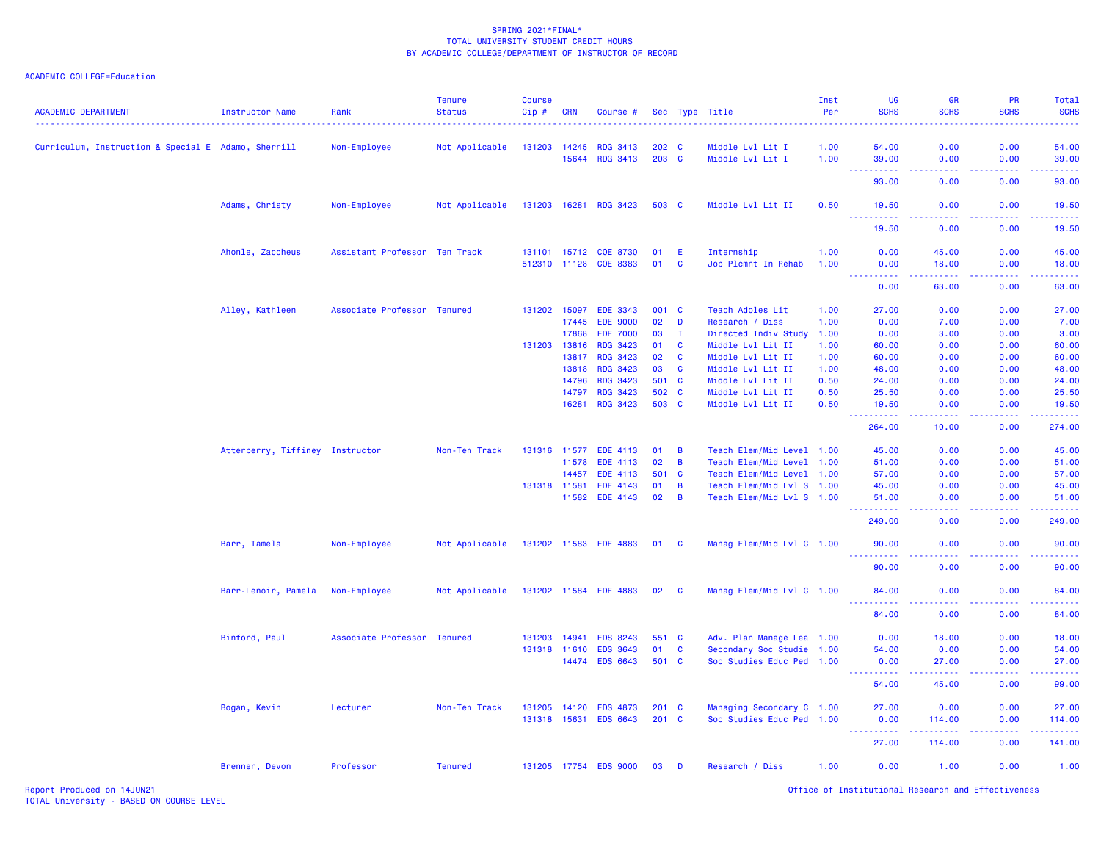## ACADEMIC COLLEGE=Education

| <b>ACADEMIC DEPARTMENT</b>                          | <b>Instructor Name</b>          | Rank                          | <b>Tenure</b><br><b>Status</b> | <b>Course</b><br>Cip# | <b>CRN</b>   | Course #              |               |                | Sec Type Title            | Inst<br>Per | <b>UG</b><br><b>SCHS</b>                  | <b>GR</b><br><b>SCHS</b>                                                                                                                                       | <b>PR</b><br><b>SCHS</b> | Total<br><b>SCHS</b> |
|-----------------------------------------------------|---------------------------------|-------------------------------|--------------------------------|-----------------------|--------------|-----------------------|---------------|----------------|---------------------------|-------------|-------------------------------------------|----------------------------------------------------------------------------------------------------------------------------------------------------------------|--------------------------|----------------------|
| Curriculum, Instruction & Special E Adamo, Sherrill |                                 | Non-Employee                  | Not Applicable                 | 131203                | 14245        | <b>RDG 3413</b>       | 202 C         |                | Middle Lvl Lit I          | 1.00        | 54.00                                     | 0.00                                                                                                                                                           | 0.00                     | 54.00                |
|                                                     |                                 |                               |                                |                       | 15644        | <b>RDG 3413</b>       | 203 C         |                | Middle Lvl Lit I          | 1.00        | 39.00                                     | 0.00                                                                                                                                                           | 0.00                     | 39.00                |
|                                                     |                                 |                               |                                |                       |              |                       |               |                |                           |             | $\sim$ $\sim$ $\sim$<br>.<br>93.00        | والمسامين<br>0.00                                                                                                                                              | -----<br>0.00            | .<br>93.00           |
|                                                     | Adams, Christy                  | Non-Employee                  | Not Applicable                 |                       |              | 131203 16281 RDG 3423 | 503 C         |                | Middle Lvl Lit II         | 0.50        | 19.50                                     | 0.00                                                                                                                                                           | 0.00                     | 19.50                |
|                                                     |                                 |                               |                                |                       |              |                       |               |                |                           |             | .<br>19.50                                | $\sim$ $\sim$ $\sim$ $\sim$<br>0.00                                                                                                                            | .<br>0.00                | .<br>19.50           |
|                                                     | Ahonle, Zaccheus                | Assistant Professor Ten Track |                                |                       |              | 131101 15712 COE 8730 | 01            | -E             | Internship                | 1.00        | 0.00                                      | 45.00                                                                                                                                                          | 0.00                     | 45.00                |
|                                                     |                                 |                               |                                |                       | 512310 11128 | <b>COE 8383</b>       | 01            | <b>C</b>       | Job Plcmnt In Rehab       | 1.00        | 0.00                                      | 18.00                                                                                                                                                          | 0.00                     | 18.00                |
|                                                     |                                 |                               |                                |                       |              |                       |               |                |                           |             | 0.00                                      | 63.00                                                                                                                                                          | 0.00                     | 63.00                |
|                                                     | Alley, Kathleen                 | Associate Professor Tenured   |                                |                       | 131202 15097 | <b>EDE 3343</b>       | 001 C         |                | Teach Adoles Lit          | 1.00        | 27.00                                     | 0.00                                                                                                                                                           | 0.00                     | 27.00                |
|                                                     |                                 |                               |                                |                       | 17445        | <b>EDE 9000</b>       | 02            | D              | Research / Diss           | 1.00        | 0.00                                      | 7.00                                                                                                                                                           | 0.00                     | 7.00                 |
|                                                     |                                 |                               |                                |                       | 17868        | <b>EDE 7000</b>       | 03            | $\mathbf{I}$   | Directed Indiv Study      | 1.00        | 0.00                                      | 3.00                                                                                                                                                           | 0.00                     | 3.00                 |
|                                                     |                                 |                               |                                | 131203                | 13816        | <b>RDG 3423</b>       | 01            | $\mathbf{C}$   | Middle Lvl Lit II         | 1.00        | 60.00                                     | 0.00                                                                                                                                                           | 0.00                     | 60.00                |
|                                                     |                                 |                               |                                |                       | 13817        | <b>RDG 3423</b>       | 02            | <b>C</b>       | Middle Lvl Lit II         | 1.00        | 60.00                                     | 0.00                                                                                                                                                           | 0.00                     | 60.00                |
|                                                     |                                 |                               |                                |                       | 13818        | <b>RDG 3423</b>       | 03            | $\mathbf{C}$   | Middle Lvl Lit II         | 1.00        | 48.00                                     | 0.00                                                                                                                                                           | 0.00                     | 48.00                |
|                                                     |                                 |                               |                                |                       | 14796        | <b>RDG 3423</b>       | 501 C         |                | Middle Lvl Lit II         | 0.50        | 24.00                                     | 0.00                                                                                                                                                           | 0.00                     | 24.00                |
|                                                     |                                 |                               |                                |                       | 14797        | <b>RDG 3423</b>       | 502           | $\mathbf{C}$   | Middle Lvl Lit II         | 0.50        | 25.50                                     | 0.00                                                                                                                                                           | 0.00                     | 25.50                |
|                                                     |                                 |                               |                                |                       | 16281        | <b>RDG 3423</b>       | 503 C         |                | Middle Lvl Lit II         | 0.50        | 19.50                                     | 0.00                                                                                                                                                           | 0.00                     | 19.50                |
|                                                     |                                 |                               |                                |                       |              |                       |               |                |                           |             | 264.00                                    | 10.00                                                                                                                                                          | 0.00                     | 274.00               |
|                                                     | Atterberry, Tiffiney Instructor |                               | Non-Ten Track                  |                       | 131316 11577 | EDE 4113              | 01            | $\overline{B}$ | Teach Elem/Mid Level 1.00 |             | 45.00                                     | 0.00                                                                                                                                                           | 0.00                     | 45.00                |
|                                                     |                                 |                               |                                |                       | 11578        | <b>EDE 4113</b>       | 02            | $\overline{B}$ | Teach Elem/Mid Level 1.00 |             | 51.00                                     | 0.00                                                                                                                                                           | 0.00                     | 51.00                |
|                                                     |                                 |                               |                                |                       | 14457        | EDE 4113              | 501           | $\mathbf{C}$   | Teach Elem/Mid Level 1.00 |             | 57.00                                     | 0.00                                                                                                                                                           | 0.00                     | 57.00                |
|                                                     |                                 |                               |                                | 131318 11581          |              | EDE 4143              | 01            | $\overline{B}$ | Teach Elem/Mid Lvl S 1.00 |             | 45.00                                     | 0.00                                                                                                                                                           | 0.00                     | 45.00                |
|                                                     |                                 |                               |                                |                       | 11582        | EDE 4143              | 02            | $\overline{B}$ | Teach Elem/Mid Lvl S 1.00 |             | 51.00<br>.                                | 0.00<br>.                                                                                                                                                      | 0.00<br>.                | 51.00<br>22222)      |
|                                                     |                                 |                               |                                |                       |              |                       |               |                |                           |             | 249.00                                    | 0.00                                                                                                                                                           | 0.00                     | 249.00               |
|                                                     | Barr, Tamela                    | Non-Employee                  | Not Applicable                 |                       |              | 131202 11583 EDE 4883 | 01            | $\mathbf{C}$   | Manag Elem/Mid Lvl C 1.00 |             | 90.00<br>. <u>.</u> .                     | 0.00<br><b>.</b>                                                                                                                                               | 0.00<br>. <u>.</u> .     | 90.00<br>.           |
|                                                     |                                 |                               |                                |                       |              |                       |               |                |                           |             | 90.00                                     | 0.00                                                                                                                                                           | 0.00                     | 90.00                |
|                                                     | Barr-Lenoir, Pamela             | Non-Employee                  | Not Applicable                 |                       |              | 131202 11584 EDE 4883 | 02            | <b>C</b>       | Manag Elem/Mid Lvl C 1.00 |             | 84.00                                     | 0.00                                                                                                                                                           | 0.00                     | 84.00                |
|                                                     |                                 |                               |                                |                       |              |                       |               |                |                           |             | $\sim$ $\sim$ $\sim$<br><u>.</u><br>84.00 | $\omega$ $\omega$ $\omega$ $\omega$<br>0.00                                                                                                                    | .<br>0.00                | .<br>84.00           |
|                                                     | Binford, Paul                   | Associate Professor Tenured   |                                | 131203 14941          |              | <b>EDS 8243</b>       | 551 C         |                | Adv. Plan Manage Lea 1.00 |             | 0.00                                      | 18.00                                                                                                                                                          | 0.00                     | 18.00                |
|                                                     |                                 |                               |                                |                       | 131318 11610 | <b>EDS 3643</b>       | 01            | $\mathbf{C}$   | Secondary Soc Studie 1.00 |             | 54.00                                     | 0.00                                                                                                                                                           | 0.00                     | 54.00                |
|                                                     |                                 |                               |                                |                       | 14474        | <b>EDS 6643</b>       | 501 C         |                | Soc Studies Educ Ped 1.00 |             | 0.00                                      | 27.00                                                                                                                                                          | 0.00                     | 27.00                |
|                                                     |                                 |                               |                                |                       |              |                       |               |                |                           |             | <u> - - - - - - - - - -</u><br>54.00      | $\frac{1}{2} \left( \frac{1}{2} \right) \left( \frac{1}{2} \right) \left( \frac{1}{2} \right) \left( \frac{1}{2} \right)$<br>45.00                             | .<br>0.00                | .<br>99.00           |
|                                                     |                                 |                               |                                |                       |              |                       |               |                |                           |             |                                           |                                                                                                                                                                |                          |                      |
|                                                     | Bogan, Kevin                    | Lecturer                      | Non-Ten Track                  | 131205 14120          |              | <b>EDS 4873</b>       | $201 \quad C$ |                | Managing Secondary C 1.00 |             | 27.00                                     | 0.00                                                                                                                                                           | 0.00                     | 27.00                |
|                                                     |                                 |                               |                                |                       | 131318 15631 | <b>EDS 6643</b>       | $201$ C       |                | Soc Studies Educ Ped 1.00 |             | 0.00<br>$  -$<br>. <b>.</b>               | 114.00<br>$\frac{1}{2} \left( \frac{1}{2} \right) \left( \frac{1}{2} \right) \left( \frac{1}{2} \right) \left( \frac{1}{2} \right) \left( \frac{1}{2} \right)$ | 0.00<br>.                | 114.00               |
|                                                     |                                 |                               |                                |                       |              |                       |               |                |                           |             | 27.00                                     | 114.00                                                                                                                                                         | 0.00                     | 141.00               |
|                                                     | Brenner, Devon                  | Professor                     | <b>Tenured</b>                 |                       |              | 131205 17754 EDS 9000 | 03            | D              | Research / Diss           | 1.00        | 0.00                                      | 1.00                                                                                                                                                           | 0.00                     | 1.00                 |

Report Produced on 14JUN21 Office of Institutional Research and Effectiveness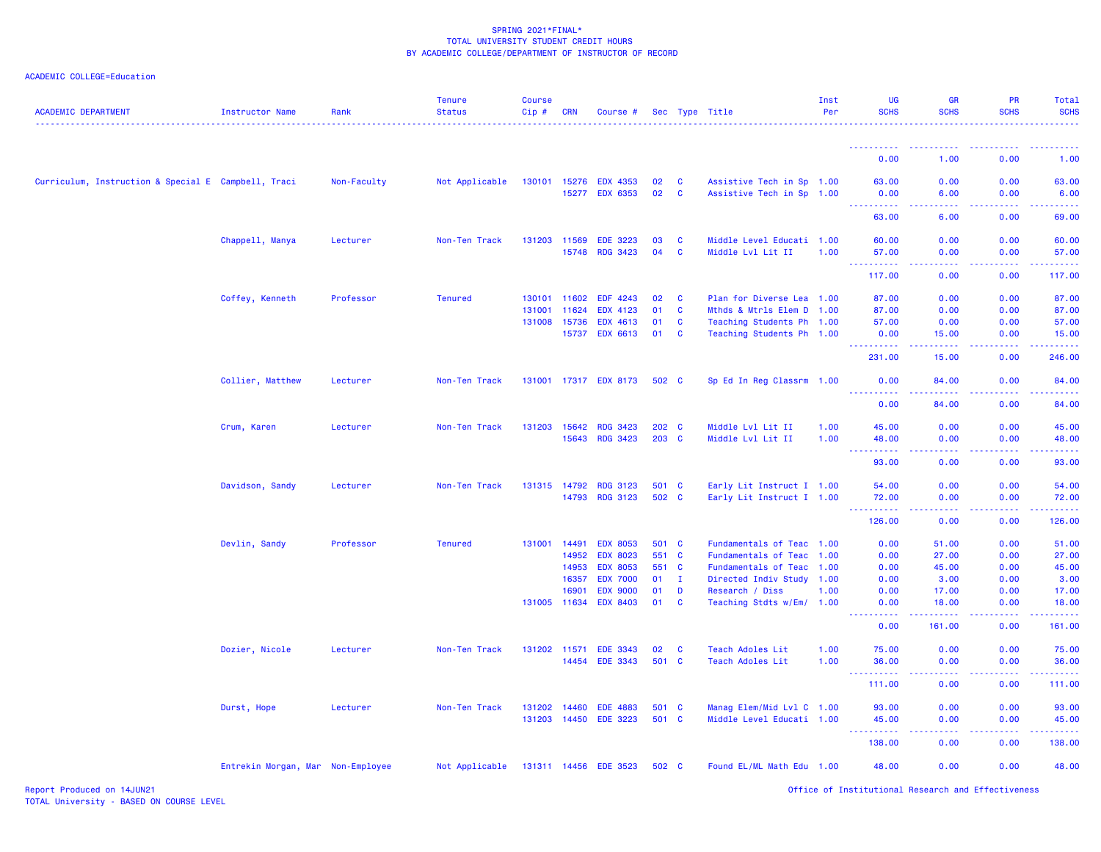| <b>ACADEMIC DEPARTMENT</b>                          | <b>Instructor Name</b>            | Rank        | Tenure<br><b>Status</b> | <b>Course</b><br>$Cip$ # | <b>CRN</b> | Course #                           |                |              | Sec Type Title                                         | Inst<br>Per | UG<br><b>SCHS</b>                                          | GR<br><b>SCHS</b> | PR<br><b>SCHS</b> | Total<br><b>SCHS</b> |
|-----------------------------------------------------|-----------------------------------|-------------|-------------------------|--------------------------|------------|------------------------------------|----------------|--------------|--------------------------------------------------------|-------------|------------------------------------------------------------|-------------------|-------------------|----------------------|
|                                                     |                                   |             |                         |                          |            |                                    |                |              |                                                        |             |                                                            |                   |                   |                      |
|                                                     |                                   |             |                         |                          |            |                                    |                |              |                                                        |             | 0.00                                                       | 1.00              | 0.00              | 1.00                 |
| Curriculum, Instruction & Special E Campbell, Traci |                                   | Non-Faculty | Not Applicable          |                          |            | 130101 15276 EDX 4353              | 02             | <b>C</b>     | Assistive Tech in Sp 1.00                              |             | 63.00                                                      | 0.00              | 0.00              | 63.00                |
|                                                     |                                   |             |                         |                          |            | 15277 EDX 6353                     | 02             | <b>C</b>     | Assistive Tech in Sp 1.00                              |             | 0.00<br>. <u>.</u> .                                       | 6.00              | 0.00              | 6.00                 |
|                                                     |                                   |             |                         |                          |            |                                    |                |              |                                                        |             | 63.00                                                      | 6.00              | 0.00              | 69.00                |
|                                                     | Chappell, Manya                   | Lecturer    | Non-Ten Track           | 131203 11569             |            | <b>EDE 3223</b>                    | 03             | C            | Middle Level Educati 1.00                              |             | 60.00                                                      | 0.00              | 0.00              | 60.00                |
|                                                     |                                   |             |                         |                          | 15748      | <b>RDG 3423</b>                    | 04             | <b>C</b>     | Middle Lvl Lit II                                      | 1.00        | 57.00<br><b>.</b>                                          | 0.00<br>22222     | 0.00<br>.         | 57.00                |
|                                                     |                                   |             |                         |                          |            |                                    |                |              |                                                        |             | 117.00                                                     | 0.00              | 0.00              | 117.00               |
|                                                     | Coffey, Kenneth                   | Professor   | <b>Tenured</b>          | 130101 11602             |            | EDF 4243                           | 02             | C            | Plan for Diverse Lea 1.00                              |             | 87.00                                                      | 0.00              | 0.00              | 87.00                |
|                                                     |                                   |             |                         | 131001                   | 11624      | <b>EDX 4123</b>                    | 01             | <b>C</b>     | Mthds & Mtrls Elem D                                   | 1.00        | 87.00                                                      | 0.00              | 0.00              | 87.00                |
|                                                     |                                   |             |                         | 131008 15736             |            | EDX 4613                           | 01             | <b>C</b>     | Teaching Students Ph 1.00                              |             | 57.00                                                      | 0.00              | 0.00              | 57.00                |
|                                                     |                                   |             |                         |                          | 15737      | EDX 6613                           | 01             | <b>C</b>     | Teaching Students Ph 1.00                              |             | 0.00<br><b><i><u><u> - - - - - - - - - -</u></u></i></b>   | 15.00<br>.        | 0.00<br>.         | 15.00<br>.           |
|                                                     |                                   |             |                         |                          |            |                                    |                |              |                                                        |             | 231.00                                                     | 15.00             | 0.00              | 246.00               |
|                                                     | Collier, Matthew                  | Lecturer    | Non-Ten Track           |                          |            | 131001 17317 EDX 8173              | 502 C          |              | Sp Ed In Reg Classrm 1.00                              |             | 0.00<br><u>.</u>                                           | 84.00             | 0.00              | 84.00                |
|                                                     |                                   |             |                         |                          |            |                                    |                |              |                                                        |             | 0.00                                                       | 84.00             | 0.00              | 84.00                |
|                                                     | Crum, Karen                       | Lecturer    | Non-Ten Track           | 131203 15642             |            | <b>RDG 3423</b>                    | 202 C          |              | Middle Lvl Lit II                                      | 1.00        | 45.00                                                      | 0.00              | 0.00              | 45.00                |
|                                                     |                                   |             |                         |                          | 15643      | <b>RDG 3423</b>                    | 203 C          |              | Middle Lvl Lit II                                      | 1.00        | 48.00<br><b></b>                                           | 0.00<br>.         | 0.00<br>22222     | 48.00<br>.           |
|                                                     |                                   |             |                         |                          |            |                                    |                |              |                                                        |             | 93.00                                                      | 0.00              | 0.00              | 93.00                |
|                                                     | Davidson, Sandy                   | Lecturer    | Non-Ten Track           | 131315 14792             |            | <b>RDG 3123</b>                    | 501 C          |              | Early Lit Instruct I 1.00                              |             | 54.00                                                      | 0.00              | 0.00              | 54.00                |
|                                                     |                                   |             |                         |                          | 14793      | <b>RDG 3123</b>                    | 502 C          |              | Early Lit Instruct I 1.00                              |             | 72.00<br><b>.</b>                                          | 0.00              | 0.00              | 72.00                |
|                                                     |                                   |             |                         |                          |            |                                    |                |              |                                                        |             | 126.00                                                     | 0.00              | 0.00              | 126.00               |
|                                                     | Devlin, Sandy                     | Professor   | <b>Tenured</b>          | 131001 14491             |            | <b>EDX 8053</b>                    | 501 C          |              | Fundamentals of Teac 1.00                              |             | 0.00                                                       | 51.00             | 0.00              | 51.00                |
|                                                     |                                   |             |                         |                          | 14952      | <b>EDX 8023</b>                    | 551 C          |              | Fundamentals of Teac                                   | 1.00        | 0.00                                                       | 27.00             | 0.00              | 27.00                |
|                                                     |                                   |             |                         |                          | 14953      | <b>EDX 8053</b>                    | 551 C          |              | Fundamentals of Teac                                   | 1.00        | 0.00                                                       | 45.00             | 0.00              | 45.00                |
|                                                     |                                   |             |                         |                          | 16357      | <b>EDX 7000</b><br><b>EDX 9000</b> | 01<br>01       | $\mathbf{I}$ | Directed Indiv Study                                   | 1.00        | 0.00                                                       | 3.00              | 0.00              | 3.00                 |
|                                                     |                                   |             |                         | 131005 11634             | 16901      | <b>EDX 8403</b>                    | 01             | D<br>C       | Research / Diss<br>Teaching Stdts w/Em/ 1.00           | 1.00        | 0.00<br>0.00                                               | 17.00<br>18.00    | 0.00<br>0.00      | 17.00<br>18.00       |
|                                                     |                                   |             |                         |                          |            |                                    |                |              |                                                        |             | 0.00                                                       | 161.00            | 0.00              | 161.00               |
|                                                     | Dozier, Nicole                    | Lecturer    | Non-Ten Track           | 131202 11571             |            | <b>EDE 3343</b>                    | 02             | C            | Teach Adoles Lit                                       | 1.00        | 75.00                                                      | 0.00              | 0.00              | 75.00                |
|                                                     |                                   |             |                         |                          | 14454      | <b>EDE 3343</b>                    | 501 C          |              | Teach Adoles Lit                                       | 1.00        | 36.00                                                      | 0.00              | 0.00              | 36.00                |
|                                                     |                                   |             |                         |                          |            |                                    |                |              |                                                        |             | <b><i><u><u> - - - - - - - - - -</u></u></i></b><br>111.00 | .<br>0.00         | .<br>0.00         | .<br>111.00          |
|                                                     |                                   |             |                         |                          |            |                                    |                |              |                                                        |             |                                                            |                   |                   |                      |
|                                                     | Durst, Hope                       | Lecturer    | Non-Ten Track           | 131202<br>131203 14450   | 14460      | <b>EDE 4883</b><br><b>EDE 3223</b> | 501 C<br>501 C |              | Manag Elem/Mid Lvl C 1.00<br>Middle Level Educati 1.00 |             | 93.00<br>45.00                                             | 0.00<br>0.00      | 0.00<br>0.00      | 93.00<br>45.00       |
|                                                     |                                   |             |                         |                          |            |                                    |                |              |                                                        |             | 138.00                                                     | 0.00              | 0.00              | 138.00               |
|                                                     | Entrekin Morgan, Mar Non-Employee |             | Not Applicable          |                          |            | 131311 14456 EDE 3523              | 502 C          |              | Found EL/ML Math Edu 1.00                              |             | 48.00                                                      | 0.00              | 0.00              | 48.00                |
|                                                     |                                   |             |                         |                          |            |                                    |                |              |                                                        |             |                                                            |                   |                   |                      |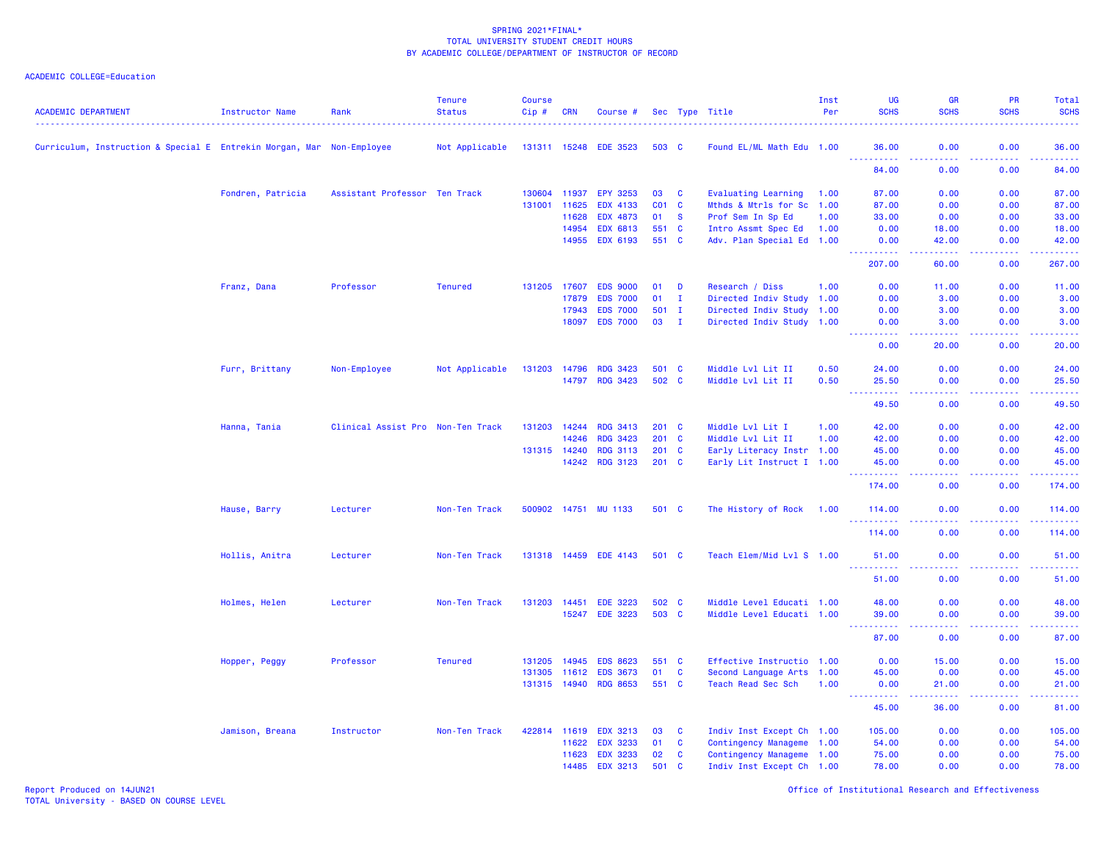| <b>ACADEMIC DEPARTMENT</b>                                            | <b>Instructor Name</b> | Rank                              | <b>Tenure</b><br><b>Status</b> | <b>Course</b><br>Cip# | <b>CRN</b> | Course #             |        |              | Sec Type Title             | Inst<br>Per | <b>UG</b><br><b>SCHS</b>              | <b>GR</b><br><b>SCHS</b>                                                                                                                                      | PR<br><b>SCHS</b>                                                                                                                                    | Total<br><b>SCHS</b> |
|-----------------------------------------------------------------------|------------------------|-----------------------------------|--------------------------------|-----------------------|------------|----------------------|--------|--------------|----------------------------|-------------|---------------------------------------|---------------------------------------------------------------------------------------------------------------------------------------------------------------|------------------------------------------------------------------------------------------------------------------------------------------------------|----------------------|
| Curriculum, Instruction & Special E Entrekin Morgan, Mar Non-Employee |                        |                                   | Not Applicable                 | 131311 15248          |            | <b>EDE 3523</b>      | 503 C  |              | Found EL/ML Math Edu 1.00  |             | 36.00                                 | 0.00                                                                                                                                                          | 0.00                                                                                                                                                 | 36.00                |
|                                                                       |                        |                                   |                                |                       |            |                      |        |              |                            |             | ------<br>84.00                       | وبالمحام<br>0.00                                                                                                                                              | 0.00                                                                                                                                                 | المستما<br>84.00     |
|                                                                       | Fondren, Patricia      | Assistant Professor Ten Track     |                                | 130604                | 11937      | <b>EPY 3253</b>      | 03     | <b>C</b>     | <b>Evaluating Learning</b> | 1.00        | 87.00                                 | 0.00                                                                                                                                                          | 0.00                                                                                                                                                 | 87.00                |
|                                                                       |                        |                                   |                                | 131001                | 11625      | <b>EDX 4133</b>      | C01 C  |              | Mthds & Mtrls for Sc 1.00  |             | 87.00                                 | 0.00                                                                                                                                                          | 0.00                                                                                                                                                 | 87.00                |
|                                                                       |                        |                                   |                                |                       | 11628      | <b>EDX 4873</b>      | 01     | <b>S</b>     | Prof Sem In Sp Ed          | 1.00        | 33.00                                 | 0.00                                                                                                                                                          | 0.00                                                                                                                                                 | 33.00                |
|                                                                       |                        |                                   |                                |                       | 14954      | <b>EDX 6813</b>      | 551 C  |              | Intro Assmt Spec Ed        | 1.00        | 0.00                                  | 18.00                                                                                                                                                         | 0.00                                                                                                                                                 | 18.00                |
|                                                                       |                        |                                   |                                |                       | 14955      | <b>EDX 6193</b>      | 551 C  |              | Adv. Plan Special Ed 1.00  |             | 0.00<br>.                             | 42.00<br>2222.                                                                                                                                                | 0.00<br>.                                                                                                                                            | 42.00<br>.           |
|                                                                       |                        |                                   |                                |                       |            |                      |        |              |                            |             | 207.00                                | 60.00                                                                                                                                                         | 0.00                                                                                                                                                 | 267.00               |
|                                                                       | Franz, Dana            | Professor                         | <b>Tenured</b>                 | 131205 17607          |            | <b>EDS 9000</b>      | 01     | D            | Research / Diss            | 1.00        | 0.00                                  | 11.00                                                                                                                                                         | 0.00                                                                                                                                                 | 11.00                |
|                                                                       |                        |                                   |                                |                       | 17879      | <b>EDS 7000</b>      | 01     | I.           | Directed Indiv Study 1.00  |             | 0.00                                  | 3.00                                                                                                                                                          | 0.00                                                                                                                                                 | 3.00                 |
|                                                                       |                        |                                   |                                |                       | 17943      | <b>EDS 7000</b>      | 501    | $\mathbf{I}$ | Directed Indiv Study 1.00  |             | 0.00                                  | 3.00                                                                                                                                                          | 0.00                                                                                                                                                 | 3.00                 |
|                                                                       |                        |                                   |                                |                       | 18097      | <b>EDS 7000</b>      | $03$ I |              | Directed Indiv Study 1.00  |             | 0.00<br>$\sim$ $\sim$ $\sim$ $\sim$   | 3.00<br>وعاعات                                                                                                                                                | 0.00                                                                                                                                                 | 3.00                 |
|                                                                       |                        |                                   |                                |                       |            |                      |        |              |                            |             | 0.00                                  | 20.00                                                                                                                                                         | 0.00                                                                                                                                                 | 20.00                |
|                                                                       | Furr, Brittany         | Non-Employee                      | Not Applicable                 | 131203                | 14796      | <b>RDG 3423</b>      | 501 C  |              | Middle Lvl Lit II          | 0.50        | 24.00                                 | 0.00                                                                                                                                                          | 0.00                                                                                                                                                 | 24.00                |
|                                                                       |                        |                                   |                                |                       | 14797      | <b>RDG 3423</b>      | 502 C  |              | Middle Lvl Lit II          | 0.50        | 25.50                                 | 0.00                                                                                                                                                          | 0.00                                                                                                                                                 | 25.50                |
|                                                                       |                        |                                   |                                |                       |            |                      |        |              |                            |             | <b><i><u></u></i></b><br>444<br>49.50 | وبالمحام<br>0.00                                                                                                                                              | .<br>0.00                                                                                                                                            | .<br>49.50           |
|                                                                       | Hanna, Tania           | Clinical Assist Pro Non-Ten Track |                                | 131203                | 14244      | <b>RDG 3413</b>      | 201 C  |              | Middle Lvl Lit I           | 1.00        | 42.00                                 | 0.00                                                                                                                                                          | 0.00                                                                                                                                                 | 42.00                |
|                                                                       |                        |                                   |                                |                       | 14246      | <b>RDG 3423</b>      | 201 C  |              | Middle Lvl Lit II          | 1.00        | 42.00                                 | 0.00                                                                                                                                                          | 0.00                                                                                                                                                 | 42.00                |
|                                                                       |                        |                                   |                                | 131315 14240          |            | <b>RDG 3113</b>      | 201 C  |              | Early Literacy Instr 1.00  |             | 45.00                                 | 0.00                                                                                                                                                          | 0.00                                                                                                                                                 | 45.00                |
|                                                                       |                        |                                   |                                |                       | 14242      | <b>RDG 3123</b>      | 201 C  |              | Early Lit Instruct I 1.00  |             | 45.00<br>.                            | 0.00<br>$\omega$ is a $\omega$                                                                                                                                | 0.00<br>22222                                                                                                                                        | 45.00<br>22222)      |
|                                                                       |                        |                                   |                                |                       |            |                      |        |              |                            |             | 174.00                                | 0.00                                                                                                                                                          | 0.00                                                                                                                                                 | 174.00               |
|                                                                       | Hause, Barry           | Lecturer                          | Non-Ten Track                  |                       |            | 500902 14751 MU 1133 | 501 C  |              | The History of Rock        | 1.00        | 114.00                                | 0.00                                                                                                                                                          | 0.00                                                                                                                                                 | 114,00               |
|                                                                       |                        |                                   |                                |                       |            |                      |        |              |                            |             | 114.00                                | 0.00                                                                                                                                                          | 0.00                                                                                                                                                 | 114.00               |
|                                                                       | Hollis, Anitra         | Lecturer                          | Non-Ten Track                  | 131318 14459          |            | <b>EDE 4143</b>      | 501 C  |              | Teach Elem/Mid Lvl S 1.00  |             | 51.00                                 | 0.00                                                                                                                                                          | 0.00                                                                                                                                                 | 51.00                |
|                                                                       |                        |                                   |                                |                       |            |                      |        |              |                            |             | .<br>51.00                            | .<br>0.00                                                                                                                                                     | 0.00                                                                                                                                                 | .<br>51.00           |
|                                                                       | Holmes, Helen          | Lecturer                          | Non-Ten Track                  | 131203                | 14451      | <b>EDE 3223</b>      | 502 C  |              | Middle Level Educati 1.00  |             | 48.00                                 | 0.00                                                                                                                                                          | 0.00                                                                                                                                                 | 48.00                |
|                                                                       |                        |                                   |                                |                       | 15247      | <b>EDE 3223</b>      | 503 C  |              | Middle Level Educati 1.00  |             | 39,00                                 | 0.00                                                                                                                                                          | 0.00                                                                                                                                                 | 39.00                |
|                                                                       |                        |                                   |                                |                       |            |                      |        |              |                            |             | <b>.</b><br>$  -$                     | .                                                                                                                                                             | $\frac{1}{2} \left( \frac{1}{2} \right) \left( \frac{1}{2} \right) \left( \frac{1}{2} \right) \left( \frac{1}{2} \right) \left( \frac{1}{2} \right)$ | .                    |
|                                                                       |                        |                                   |                                |                       |            |                      |        |              |                            |             | 87.00                                 | 0.00                                                                                                                                                          | 0.00                                                                                                                                                 | 87.00                |
|                                                                       | Hopper, Peggy          | Professor                         | <b>Tenured</b>                 | 131205                | 14945      | <b>EDS 8623</b>      | 551 C  |              | Effective Instructio 1.00  |             | 0.00                                  | 15.00                                                                                                                                                         | 0.00                                                                                                                                                 | 15.00                |
|                                                                       |                        |                                   |                                | 131305                | 11612      | <b>EDS 3673</b>      | 01     | C            | Second Language Arts 1.00  |             | 45.00                                 | 0.00                                                                                                                                                          | 0.00                                                                                                                                                 | 45.00                |
|                                                                       |                        |                                   |                                | 131315 14940          |            | <b>RDG 8653</b>      | 551 C  |              | Teach Read Sec Sch         | 1.00        | 0.00<br>.                             | 21.00<br>$\frac{1}{2} \left( \frac{1}{2} \right) \left( \frac{1}{2} \right) \left( \frac{1}{2} \right) \left( \frac{1}{2} \right) \left( \frac{1}{2} \right)$ | 0.00<br>.                                                                                                                                            | 21.00<br>.           |
|                                                                       |                        |                                   |                                |                       |            |                      |        |              |                            |             | 45.00                                 | 36.00                                                                                                                                                         | 0.00                                                                                                                                                 | 81.00                |
|                                                                       | Jamison, Breana        | Instructor                        | Non-Ten Track                  | 422814 11619          |            | <b>EDX 3213</b>      | 03     | <b>C</b>     | Indiv Inst Except Ch 1.00  |             | 105.00                                | 0.00                                                                                                                                                          | 0.00                                                                                                                                                 | 105.00               |
|                                                                       |                        |                                   |                                |                       | 11622      | <b>EDX 3233</b>      | 01     | C            | Contingency Manageme 1.00  |             | 54.00                                 | 0.00                                                                                                                                                          | 0.00                                                                                                                                                 | 54.00                |
|                                                                       |                        |                                   |                                |                       | 11623      | <b>EDX 3233</b>      | 02     | C            | Contingency Manageme 1.00  |             | 75.00                                 | 0.00                                                                                                                                                          | 0.00                                                                                                                                                 | 75.00                |
|                                                                       |                        |                                   |                                |                       | 14485      | <b>EDX 3213</b>      | 501    | <b>C</b>     | Indiv Inst Except Ch 1.00  |             | 78.00                                 | 0.00                                                                                                                                                          | 0.00                                                                                                                                                 | 78.00                |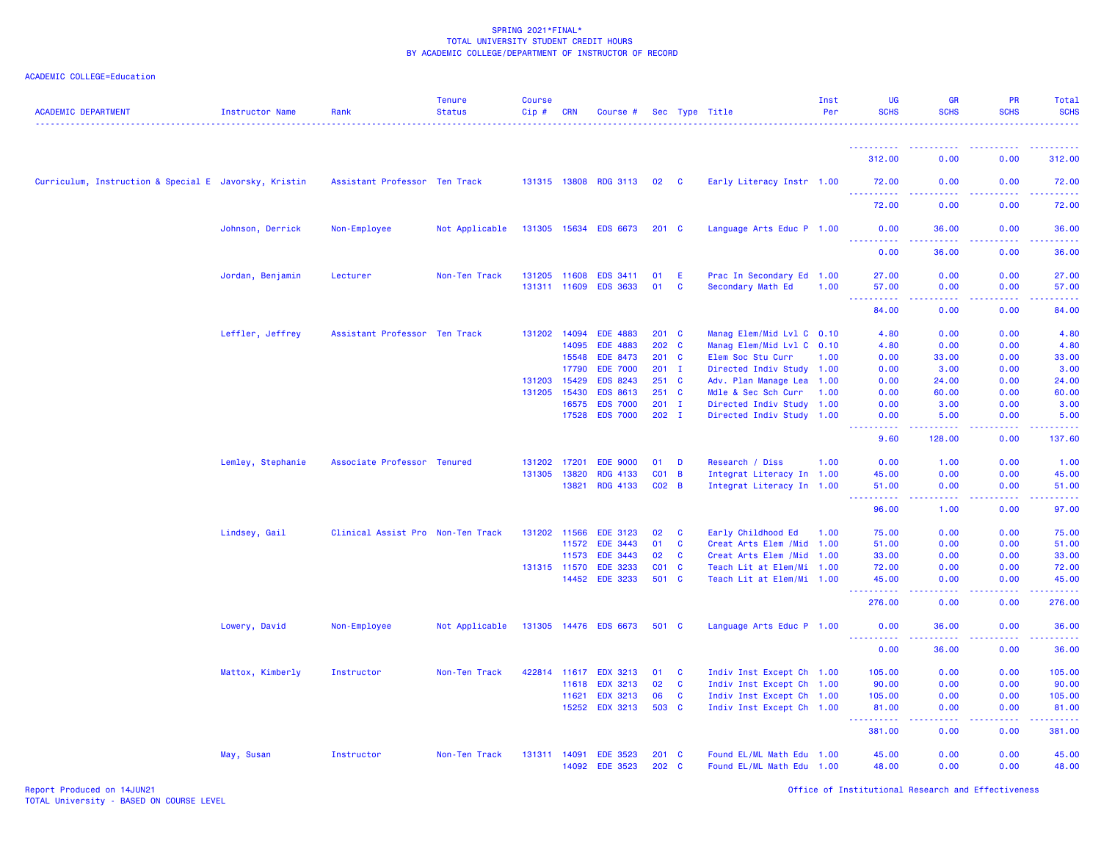# ACADEMIC COLLEGE=Education

| <b>ACADEMIC DEPARTMENT</b>                            | <b>Instructor Name</b> | Rank                              | <b>Tenure</b><br><b>Status</b> | <b>Course</b><br>Cip# | <b>CRN</b> | Course #              |                 |                | Sec Type Title             | Inst<br>Per | UG<br><b>SCHS</b>                                                                                                                                             | <b>GR</b><br><b>SCHS</b>                            | <b>PR</b><br><b>SCHS</b>                                                                                                                                     | Total<br><b>SCHS</b>                                                                                                                                                                      |
|-------------------------------------------------------|------------------------|-----------------------------------|--------------------------------|-----------------------|------------|-----------------------|-----------------|----------------|----------------------------|-------------|---------------------------------------------------------------------------------------------------------------------------------------------------------------|-----------------------------------------------------|--------------------------------------------------------------------------------------------------------------------------------------------------------------|-------------------------------------------------------------------------------------------------------------------------------------------------------------------------------------------|
|                                                       |                        |                                   |                                |                       |            |                       |                 |                |                            |             | 312.00                                                                                                                                                        | 0.00                                                | 0.00                                                                                                                                                         | . <b>.</b><br>312.00                                                                                                                                                                      |
| Curriculum, Instruction & Special E Javorsky, Kristin |                        | Assistant Professor Ten Track     |                                |                       |            | 131315 13808 RDG 3113 | 02 C            |                | Early Literacy Instr 1.00  |             | 72.00                                                                                                                                                         | 0.00                                                | 0.00                                                                                                                                                         | 72.00                                                                                                                                                                                     |
|                                                       |                        |                                   |                                |                       |            |                       |                 |                |                            |             | 72.00                                                                                                                                                         | $\omega_{\rm{eff}}$ and $\omega_{\rm{eff}}$<br>0.00 | 0.00                                                                                                                                                         | 72.00                                                                                                                                                                                     |
|                                                       | Johnson, Derrick       | Non-Employee                      | Not Applicable                 |                       |            | 131305 15634 EDS 6673 | $201$ C         |                | Language Arts Educ P 1.00  |             | 0.00                                                                                                                                                          | 36.00                                               | 0.00                                                                                                                                                         | 36.00                                                                                                                                                                                     |
|                                                       |                        |                                   |                                |                       |            |                       |                 |                |                            |             | <u>.</u><br>0.00                                                                                                                                              | 2222.<br>36.00                                      | $- - - - -$<br>0.00                                                                                                                                          | .<br>36.00                                                                                                                                                                                |
|                                                       | Jordan, Benjamin       | Lecturer                          | Non-Ten Track                  | 131205 11608          |            | EDS 3411              | 01              | Ε              | Prac In Secondary Ed 1.00  |             | 27.00                                                                                                                                                         | 0.00                                                | 0.00                                                                                                                                                         | 27.00                                                                                                                                                                                     |
|                                                       |                        |                                   |                                | 131311 11609          |            | <b>EDS 3633</b>       | 01              | C              | Secondary Math Ed          | 1.00        | 57.00                                                                                                                                                         | 0.00                                                | 0.00                                                                                                                                                         | 57.00                                                                                                                                                                                     |
|                                                       |                        |                                   |                                |                       |            |                       |                 |                |                            |             | $\frac{1}{2} \left( \frac{1}{2} \right) \left( \frac{1}{2} \right) \left( \frac{1}{2} \right) \left( \frac{1}{2} \right) \left( \frac{1}{2} \right)$<br>84.00 | .<br>0.00                                           | .<br>0.00                                                                                                                                                    | .<br>84.00                                                                                                                                                                                |
|                                                       | Leffler, Jeffrey       | Assistant Professor Ten Track     |                                | 131202                | 14094      | <b>EDE 4883</b>       | $201 \quad C$   |                | Manag Elem/Mid Lvl C 0.10  |             | 4.80                                                                                                                                                          | 0.00                                                | 0.00                                                                                                                                                         | 4.80                                                                                                                                                                                      |
|                                                       |                        |                                   |                                |                       | 14095      | <b>EDE 4883</b>       | 202 C           |                | Manag Elem/Mid Lvl C 0.10  |             | 4.80                                                                                                                                                          | 0.00                                                | 0.00                                                                                                                                                         | 4.80                                                                                                                                                                                      |
|                                                       |                        |                                   |                                |                       | 15548      | <b>EDE 8473</b>       | $201$ C         |                | Elem Soc Stu Curr          | 1.00        | 0.00                                                                                                                                                          | 33.00                                               | 0.00                                                                                                                                                         | 33.00                                                                                                                                                                                     |
|                                                       |                        |                                   |                                |                       | 17790      | <b>EDE 7000</b>       | $201$ I         |                | Directed Indiv Study 1.00  |             | 0.00                                                                                                                                                          | 3.00                                                | 0.00                                                                                                                                                         | 3.00                                                                                                                                                                                      |
|                                                       |                        |                                   |                                | 131203                | 15429      | <b>EDS 8243</b>       | 251 C           |                | Adv. Plan Manage Lea 1.00  |             | 0.00                                                                                                                                                          | 24.00                                               | 0.00                                                                                                                                                         | 24.00                                                                                                                                                                                     |
|                                                       |                        |                                   |                                | 131205                | 15430      | <b>EDS 8613</b>       | 251 C           |                | Mdle & Sec Sch Curr        | 1.00        | 0.00                                                                                                                                                          | 60.00                                               | 0.00                                                                                                                                                         | 60.00                                                                                                                                                                                     |
|                                                       |                        |                                   |                                |                       | 16575      | <b>EDS 7000</b>       | $201$ I         |                | Directed Indiv Study 1.00  |             | 0.00                                                                                                                                                          | 3.00                                                | 0.00                                                                                                                                                         | 3.00                                                                                                                                                                                      |
|                                                       |                        |                                   |                                |                       | 17528      | <b>EDS 7000</b>       | $202$ I         |                | Directed Indiv Study 1.00  |             | 0.00<br>22222                                                                                                                                                 | 5.00<br>.                                           | 0.00<br>$\frac{1}{2} \left( \frac{1}{2} \right) \left( \frac{1}{2} \right) \left( \frac{1}{2} \right) \left( \frac{1}{2} \right) \left( \frac{1}{2} \right)$ | 5.00<br>$\mathbf{1} \cdot \mathbf{1} \cdot \mathbf{1} \cdot \mathbf{1} \cdot \mathbf{1}$                                                                                                  |
|                                                       |                        |                                   |                                |                       |            |                       |                 |                |                            |             | 9.60                                                                                                                                                          | 128.00                                              | 0.00                                                                                                                                                         | 137.60                                                                                                                                                                                    |
|                                                       | Lemley, Stephanie      | Associate Professor Tenured       |                                | 131202                | 17201      | <b>EDE 9000</b>       | 01              | D              | Research / Diss            | 1.00        | 0.00                                                                                                                                                          | 1.00                                                | 0.00                                                                                                                                                         | 1.00                                                                                                                                                                                      |
|                                                       |                        |                                   |                                | 131305                | 13820      | <b>RDG 4133</b>       | CO <sub>1</sub> | $\overline{B}$ | Integrat Literacy In 1.00  |             | 45.00                                                                                                                                                         | 0.00                                                | 0.00                                                                                                                                                         | 45.00                                                                                                                                                                                     |
|                                                       |                        |                                   |                                |                       | 13821      | RDG 4133              | $CO2$ B         |                | Integrat Literacy In 1.00  |             | 51.00<br>222222                                                                                                                                               | 0.00<br>.                                           | 0.00<br>22222                                                                                                                                                | 51.00<br>.                                                                                                                                                                                |
|                                                       |                        |                                   |                                |                       |            |                       |                 |                |                            |             | 96.00                                                                                                                                                         | 1.00                                                | 0.00                                                                                                                                                         | 97.00                                                                                                                                                                                     |
|                                                       | Lindsey, Gail          | Clinical Assist Pro Non-Ten Track |                                | 131202 11566          |            | <b>EDE 3123</b>       | 02              | C              | Early Childhood Ed         | 1.00        | 75.00                                                                                                                                                         | 0.00                                                | 0.00                                                                                                                                                         | 75.00                                                                                                                                                                                     |
|                                                       |                        |                                   |                                |                       | 11572      | <b>EDE 3443</b>       | 01              | C              | Creat Arts Elem / Mid 1.00 |             | 51.00                                                                                                                                                         | 0.00                                                | 0.00                                                                                                                                                         | 51.00                                                                                                                                                                                     |
|                                                       |                        |                                   |                                |                       | 11573      | <b>EDE 3443</b>       | 02              | C              | Creat Arts Elem / Mid 1.00 |             | 33.00                                                                                                                                                         | 0.00                                                | 0.00                                                                                                                                                         | 33.00                                                                                                                                                                                     |
|                                                       |                        |                                   |                                | 131315 11570          |            | <b>EDE 3233</b>       | $CO1$ C         |                | Teach Lit at Elem/Mi 1.00  |             | 72.00                                                                                                                                                         | 0.00                                                | 0.00                                                                                                                                                         | 72.00                                                                                                                                                                                     |
|                                                       |                        |                                   |                                |                       | 14452      | EDE 3233              | 501 C           |                | Teach Lit at Elem/Mi 1.00  |             | 45.00                                                                                                                                                         | 0.00                                                | 0.00                                                                                                                                                         | 45.00                                                                                                                                                                                     |
|                                                       |                        |                                   |                                |                       |            |                       |                 |                |                            |             | <u>.</u><br>276.00                                                                                                                                            | .<br>0.00                                           | <b></b><br>0.00                                                                                                                                              | $\frac{1}{2} \left( \frac{1}{2} \right) \left( \frac{1}{2} \right) \left( \frac{1}{2} \right) \left( \frac{1}{2} \right) \left( \frac{1}{2} \right) \left( \frac{1}{2} \right)$<br>276.00 |
|                                                       | Lowery, David          | Non-Employee                      | Not Applicable                 |                       |            | 131305 14476 EDS 6673 | 501 C           |                | Language Arts Educ P 1.00  |             | 0.00<br>.                                                                                                                                                     | 36.00<br>.                                          | 0.00<br>.                                                                                                                                                    | 36.00<br>.                                                                                                                                                                                |
|                                                       |                        |                                   |                                |                       |            |                       |                 |                |                            |             | 0.00                                                                                                                                                          | 36.00                                               | 0.00                                                                                                                                                         | 36.00                                                                                                                                                                                     |
|                                                       | Mattox, Kimberly       | Instructor                        | Non-Ten Track                  | 422814                | 11617      | <b>EDX 3213</b>       | 01              | <b>C</b>       | Indiv Inst Except Ch 1.00  |             | 105.00                                                                                                                                                        | 0.00                                                | 0.00                                                                                                                                                         | 105.00                                                                                                                                                                                    |
|                                                       |                        |                                   |                                |                       | 11618      | EDX 3213              | 02              | $\mathbf{C}$   | Indiv Inst Except Ch 1.00  |             | 90.00                                                                                                                                                         | 0.00                                                | 0.00                                                                                                                                                         | 90.00                                                                                                                                                                                     |
|                                                       |                        |                                   |                                |                       | 11621      | <b>EDX 3213</b>       | 06              | <b>C</b>       | Indiv Inst Except Ch 1.00  |             | 105.00                                                                                                                                                        | 0.00                                                | 0.00                                                                                                                                                         | 105.00                                                                                                                                                                                    |
|                                                       |                        |                                   |                                |                       | 15252      | <b>EDX 3213</b>       | 503 C           |                | Indiv Inst Except Ch 1.00  |             | 81.00<br>.                                                                                                                                                    | 0.00<br>$\omega$ is a $\omega$                      | 0.00<br>.                                                                                                                                                    | 81.00<br>22222)                                                                                                                                                                           |
|                                                       |                        |                                   |                                |                       |            |                       |                 |                |                            |             | 381.00                                                                                                                                                        | 0.00                                                | 0.00                                                                                                                                                         | 381.00                                                                                                                                                                                    |
|                                                       | May, Susan             | Instructor                        | Non-Ten Track                  | 131311                | 14091      | <b>EDE 3523</b>       | 201 C           |                | Found EL/ML Math Edu 1.00  |             | 45.00                                                                                                                                                         | 0.00                                                | 0.00                                                                                                                                                         | 45.00                                                                                                                                                                                     |
|                                                       |                        |                                   |                                |                       | 14092      | <b>EDE 3523</b>       | 202 C           |                | Found EL/ML Math Edu 1.00  |             | 48.00                                                                                                                                                         | 0.00                                                | 0.00                                                                                                                                                         | 48.00                                                                                                                                                                                     |

Report Produced on 14JUN21 Office of Institutional Research and Effectiveness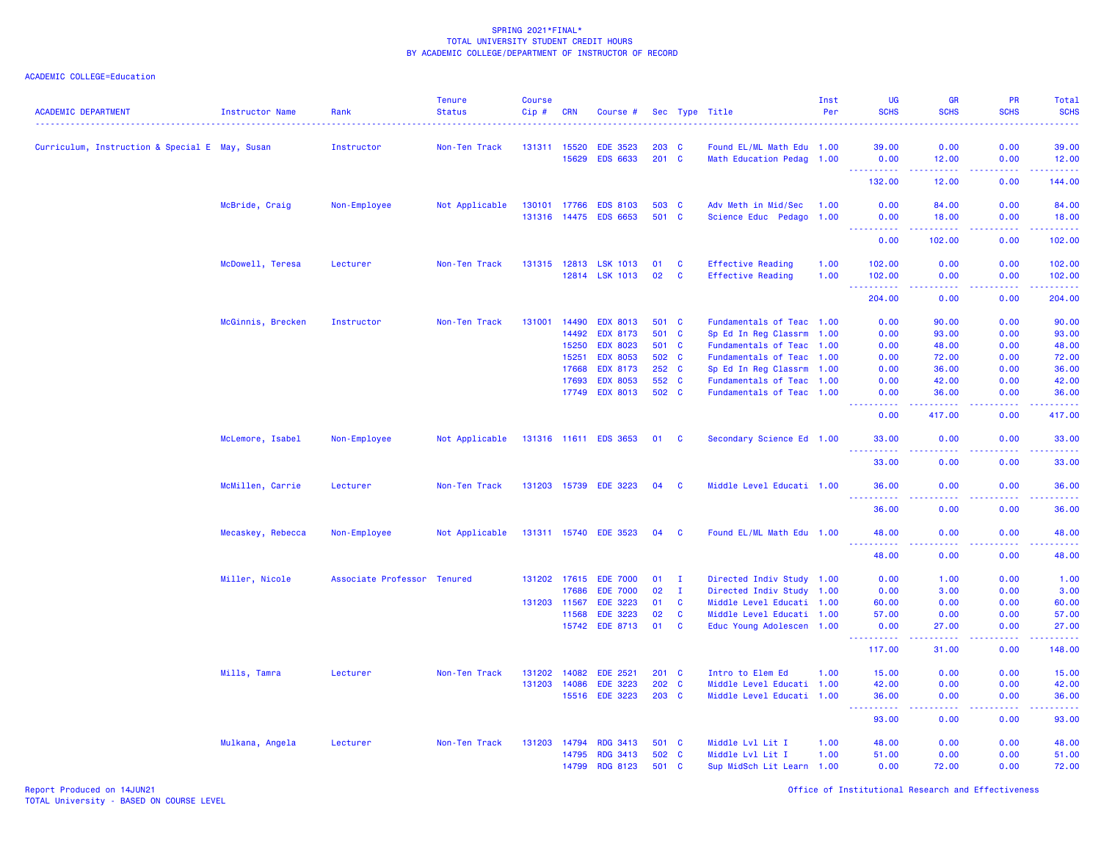| <b>ACADEMIC DEPARTMENT</b>                     | Instructor Name   | Rank                        | <b>Tenure</b><br><b>Status</b> | <b>Course</b><br>Cip#        | <b>CRN</b>     | Course #                           |                |                      | Sec Type Title                                         | Inst<br>Per | <b>UG</b><br><b>SCHS</b>                                                                                                                                     | <b>GR</b><br><b>SCHS</b>                                                                                                  | <b>PR</b><br><b>SCHS</b>                                                                                                          | <b>Total</b><br><b>SCHS</b>                                                                                                     |
|------------------------------------------------|-------------------|-----------------------------|--------------------------------|------------------------------|----------------|------------------------------------|----------------|----------------------|--------------------------------------------------------|-------------|--------------------------------------------------------------------------------------------------------------------------------------------------------------|---------------------------------------------------------------------------------------------------------------------------|-----------------------------------------------------------------------------------------------------------------------------------|---------------------------------------------------------------------------------------------------------------------------------|
| Curriculum, Instruction & Special E May, Susan |                   | Instructor                  | Non-Ten Track                  | 131311 15520                 |                | <b>EDE 3523</b>                    | 203 C          |                      | Found EL/ML Math Edu 1.00                              |             | 39.00                                                                                                                                                        | 0.00                                                                                                                      | 0.00                                                                                                                              | 39.00                                                                                                                           |
|                                                |                   |                             |                                |                              | 15629          | <b>EDS 6633</b>                    | $201$ C        |                      | Math Education Pedag 1.00                              |             | 0.00                                                                                                                                                         | 12.00                                                                                                                     | 0.00                                                                                                                              | 12.00                                                                                                                           |
|                                                |                   |                             |                                |                              |                |                                    |                |                      |                                                        |             | والمستناء<br>132.00                                                                                                                                          | .<br>12.00                                                                                                                | .<br>0.00                                                                                                                         | المتمامين<br>144.00                                                                                                             |
|                                                |                   |                             |                                |                              |                |                                    | 503 C          |                      | Adv Meth in Mid/Sec                                    | 1.00        |                                                                                                                                                              |                                                                                                                           | 0.00                                                                                                                              |                                                                                                                                 |
|                                                | McBride, Craig    | Non-Employee                | Not Applicable                 | 130101 17766<br>131316 14475 |                | <b>EDS 8103</b><br><b>EDS 6653</b> | 501 C          |                      | Science Educ Pedago 1.00                               |             | 0.00<br>0.00                                                                                                                                                 | 84.00<br>18.00                                                                                                            | 0.00                                                                                                                              | 84.00<br>18.00                                                                                                                  |
|                                                |                   |                             |                                |                              |                |                                    |                |                      |                                                        |             | 0.00                                                                                                                                                         | 102.00                                                                                                                    | 0.00                                                                                                                              | .<br>102.00                                                                                                                     |
|                                                |                   |                             |                                |                              |                |                                    |                |                      |                                                        |             |                                                                                                                                                              |                                                                                                                           |                                                                                                                                   |                                                                                                                                 |
|                                                | McDowell, Teresa  | Lecturer                    | Non-Ten Track                  | 131315 12813                 |                | <b>LSK 1013</b>                    | 01             | $\mathbf{C}$         | <b>Effective Reading</b>                               | 1.00        | 102.00                                                                                                                                                       | 0.00                                                                                                                      | 0.00                                                                                                                              | 102.00                                                                                                                          |
|                                                |                   |                             |                                |                              |                | 12814 LSK 1013                     | 02             | $\mathbf{C}$         | <b>Effective Reading</b>                               | 1.00        | 102.00<br>.                                                                                                                                                  | 0.00<br>.                                                                                                                 | 0.00<br>$\frac{1}{2} \left( \frac{1}{2} \right) \left( \frac{1}{2} \right) \left( \frac{1}{2} \right) \left( \frac{1}{2} \right)$ | 102.00<br>$\begin{array}{cccccccccc} \bullet & \bullet & \bullet & \bullet & \bullet & \bullet & \bullet & \bullet \end{array}$ |
|                                                |                   |                             |                                |                              |                |                                    |                |                      |                                                        |             | 204.00                                                                                                                                                       | 0.00                                                                                                                      | 0.00                                                                                                                              | 204.00                                                                                                                          |
|                                                | McGinnis, Brecken | Instructor                  | Non-Ten Track                  | 131001                       | 14490          | <b>EDX 8013</b>                    | 501 C          |                      | Fundamentals of Teac 1.00                              |             | 0.00                                                                                                                                                         | 90.00                                                                                                                     | 0.00                                                                                                                              | 90.00                                                                                                                           |
|                                                |                   |                             |                                |                              | 14492          | <b>EDX 8173</b>                    | 501            | $\mathbf{C}$         | Sp Ed In Reg Classrm 1.00                              |             | 0.00                                                                                                                                                         | 93.00                                                                                                                     | 0.00                                                                                                                              | 93.00                                                                                                                           |
|                                                |                   |                             |                                |                              | 15250          | <b>EDX 8023</b>                    | 501 C          |                      | Fundamentals of Teac 1.00                              |             | 0.00                                                                                                                                                         | 48.00                                                                                                                     | 0.00                                                                                                                              | 48.00                                                                                                                           |
|                                                |                   |                             |                                |                              | 15251          | <b>EDX 8053</b>                    | 502 C          |                      | Fundamentals of Teac 1.00                              |             | 0.00                                                                                                                                                         | 72.00                                                                                                                     | 0.00                                                                                                                              | 72.00                                                                                                                           |
|                                                |                   |                             |                                |                              | 17668<br>17693 | <b>EDX 8173</b>                    | 252 C          |                      | Sp Ed In Reg Classrm 1.00                              |             | 0.00                                                                                                                                                         | 36.00                                                                                                                     | 0.00                                                                                                                              | 36.00                                                                                                                           |
|                                                |                   |                             |                                |                              | 17749          | <b>EDX 8053</b><br><b>EDX 8013</b> | 552 C<br>502 C |                      | Fundamentals of Teac 1.00<br>Fundamentals of Teac 1.00 |             | 0.00<br>0.00                                                                                                                                                 | 42.00<br>36.00                                                                                                            | 0.00<br>0.00                                                                                                                      | 42.00<br>36.00                                                                                                                  |
|                                                |                   |                             |                                |                              |                |                                    |                |                      |                                                        |             | $\frac{1}{2} \left( \frac{1}{2} \right) \left( \frac{1}{2} \right) \left( \frac{1}{2} \right) \left( \frac{1}{2} \right) \left( \frac{1}{2} \right)$<br>0.00 | .<br>417.00                                                                                                               | 0.00                                                                                                                              | .<br>417.00                                                                                                                     |
|                                                | McLemore, Isabel  | Non-Employee                | Not Applicable                 |                              |                | 131316 11611 EDS 3653              | 01 C           |                      | Secondary Science Ed 1.00                              |             | 33.00                                                                                                                                                        | 0.00                                                                                                                      | 0.00                                                                                                                              | 33.00                                                                                                                           |
|                                                |                   |                             |                                |                              |                |                                    |                |                      |                                                        |             | .<br>33.00                                                                                                                                                   | .<br>0.00                                                                                                                 | 0.00                                                                                                                              | .                                                                                                                               |
|                                                |                   |                             |                                |                              |                |                                    |                |                      |                                                        |             |                                                                                                                                                              |                                                                                                                           |                                                                                                                                   | 33.00                                                                                                                           |
|                                                | McMillen, Carrie  | Lecturer                    | Non-Ten Track                  | 131203 15739                 |                | <b>EDE 3223</b>                    | 04             | <b>C</b>             | Middle Level Educati 1.00                              |             | 36.00<br>$- - - - -$                                                                                                                                         | 0.00                                                                                                                      | 0.00                                                                                                                              | 36.00<br>.                                                                                                                      |
|                                                |                   |                             |                                |                              |                |                                    |                |                      |                                                        |             | 36.00                                                                                                                                                        | 0.00                                                                                                                      | 0.00                                                                                                                              | 36.00                                                                                                                           |
|                                                | Mecaskey, Rebecca | Non-Employee                | Not Applicable                 |                              |                | 131311 15740 EDE 3523              | 04 C           |                      | Found EL/ML Math Edu 1.00                              |             | 48.00                                                                                                                                                        | 0.00                                                                                                                      | 0.00                                                                                                                              | 48.00<br>المتمامين                                                                                                              |
|                                                |                   |                             |                                |                              |                |                                    |                |                      |                                                        |             | 48.00                                                                                                                                                        | 0.00                                                                                                                      | 0.00                                                                                                                              | 48.00                                                                                                                           |
|                                                | Miller, Nicole    | Associate Professor Tenured |                                |                              |                | 131202 17615 EDE 7000              | 01             | $\mathbf{I}$         | Directed Indiv Study 1.00                              |             | 0.00                                                                                                                                                         | 1.00                                                                                                                      | 0.00                                                                                                                              | 1.00                                                                                                                            |
|                                                |                   |                             |                                |                              | 17686          | <b>EDE 7000</b>                    | 02             | $\mathbf{I}$         | Directed Indiv Study 1.00                              |             | 0.00                                                                                                                                                         | 3.00                                                                                                                      | 0.00                                                                                                                              | 3.00                                                                                                                            |
|                                                |                   |                             |                                | 131203 11567                 |                | <b>EDE 3223</b>                    | 01             | $\mathbf{C}$         | Middle Level Educati 1.00                              |             | 60.00                                                                                                                                                        | 0.00                                                                                                                      | 0.00                                                                                                                              | 60.00                                                                                                                           |
|                                                |                   |                             |                                |                              | 11568<br>15742 | <b>EDE 3223</b><br>EDE 8713        | 02<br>01       | <b>C</b><br><b>C</b> | Middle Level Educati 1.00<br>Educ Young Adolescen 1.00 |             | 57.00<br>0.00                                                                                                                                                | 0.00<br>27.00                                                                                                             | 0.00<br>0.00                                                                                                                      | 57.00<br>27.00                                                                                                                  |
|                                                |                   |                             |                                |                              |                |                                    |                |                      |                                                        |             | .                                                                                                                                                            | $\frac{1}{2} \left( \frac{1}{2} \right) \left( \frac{1}{2} \right) \left( \frac{1}{2} \right) \left( \frac{1}{2} \right)$ | .                                                                                                                                 | .                                                                                                                               |
|                                                |                   |                             |                                |                              |                |                                    |                |                      |                                                        |             | 117.00                                                                                                                                                       | 31.00                                                                                                                     | 0.00                                                                                                                              | 148.00                                                                                                                          |
|                                                | Mills, Tamra      | Lecturer                    | Non-Ten Track                  | 131202                       | 14082          | <b>EDE 2521</b>                    | 201 C          |                      | Intro to Elem Ed                                       | 1.00        | 15.00                                                                                                                                                        | 0.00                                                                                                                      | 0.00                                                                                                                              | 15.00                                                                                                                           |
|                                                |                   |                             |                                | 131203                       | 14086          | <b>EDE 3223</b>                    | 202 C          |                      | Middle Level Educati 1.00                              |             | 42.00                                                                                                                                                        | 0.00                                                                                                                      | 0.00                                                                                                                              | 42.00                                                                                                                           |
|                                                |                   |                             |                                |                              |                | 15516 EDE 3223                     | 203 C          |                      | Middle Level Educati 1.00                              |             | 36.00<br>.                                                                                                                                                   | 0.00<br>وبالأباد                                                                                                          | 0.00<br>.                                                                                                                         | 36.00<br>المتمامين                                                                                                              |
|                                                |                   |                             |                                |                              |                |                                    |                |                      |                                                        |             | 93.00                                                                                                                                                        | 0.00                                                                                                                      | 0.00                                                                                                                              | 93.00                                                                                                                           |
|                                                | Mulkana, Angela   | Lecturer                    | Non-Ten Track                  | 131203 14794                 |                | <b>RDG 3413</b>                    | 501 C          |                      | Middle Lvl Lit I                                       | 1.00        | 48.00                                                                                                                                                        | 0.00                                                                                                                      | 0.00                                                                                                                              | 48.00                                                                                                                           |
|                                                |                   |                             |                                |                              | 14795          | <b>RDG 3413</b>                    | 502 C          |                      | Middle Lvl Lit I                                       | 1.00        | 51.00                                                                                                                                                        | 0.00                                                                                                                      | 0.00                                                                                                                              | 51.00                                                                                                                           |
|                                                |                   |                             |                                |                              | 14799          | <b>RDG 8123</b>                    | 501 C          |                      | Sup MidSch Lit Learn 1.00                              |             | 0.00                                                                                                                                                         | 72.00                                                                                                                     | 0.00                                                                                                                              | 72.00                                                                                                                           |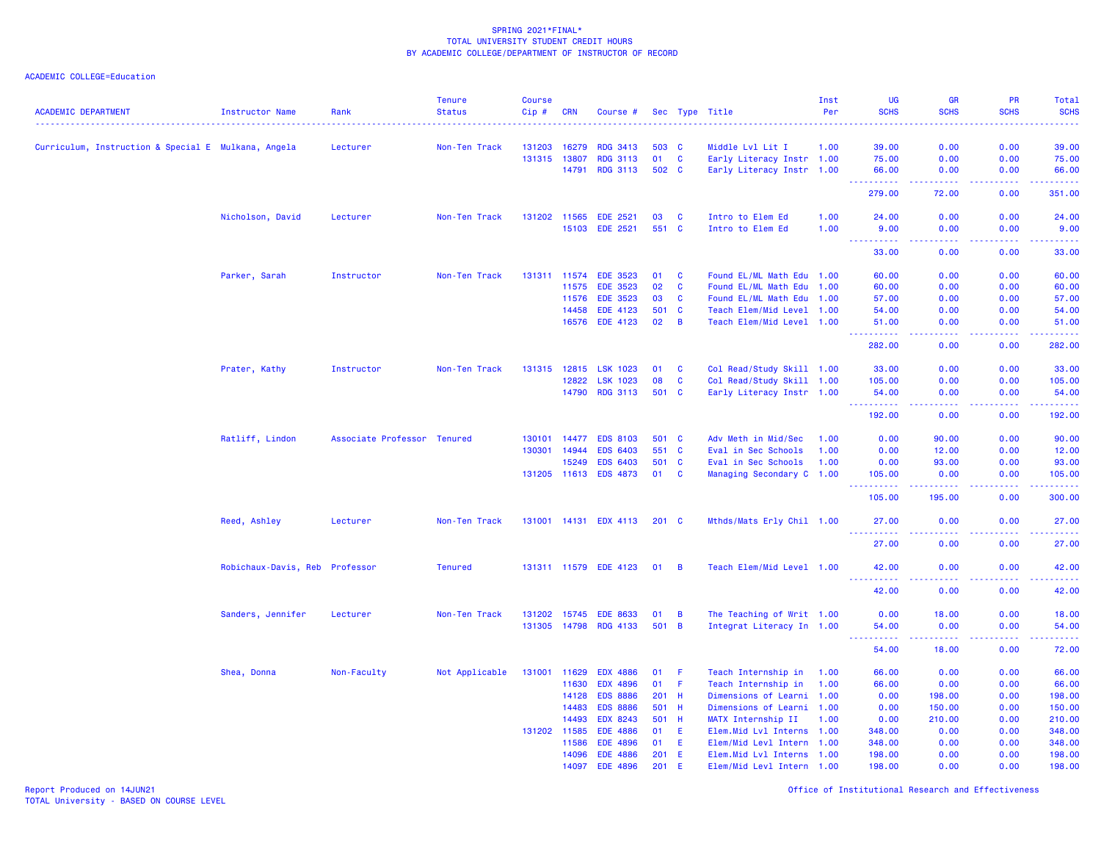ACADEMIC COLLEGE=Education

| <b>ACADEMIC DEPARTMENT</b>                          | <b>Instructor Name</b>         | Rank                        | <b>Tenure</b><br><b>Status</b> | <b>Course</b><br>Cip# | <b>CRN</b> | Course #              |               |                | Sec Type Title             | Inst<br>Per | <b>UG</b><br><b>SCHS</b>                                                                                                                                      | GR<br><b>SCHS</b>                                                                                                                  | PR<br><b>SCHS</b>  | Total<br><b>SCHS</b><br><u>.</u> |
|-----------------------------------------------------|--------------------------------|-----------------------------|--------------------------------|-----------------------|------------|-----------------------|---------------|----------------|----------------------------|-------------|---------------------------------------------------------------------------------------------------------------------------------------------------------------|------------------------------------------------------------------------------------------------------------------------------------|--------------------|----------------------------------|
| Curriculum, Instruction & Special E Mulkana, Angela |                                | Lecturer                    | Non-Ten Track                  | 131203                | 16279      | <b>RDG 3413</b>       | 503           | - C            | Middle Lvl Lit I           | 1.00        | 39.00                                                                                                                                                         | 0.00                                                                                                                               | 0.00               | 39.00                            |
|                                                     |                                |                             |                                | 131315                | 13807      | <b>RDG 3113</b>       | 01            | $\mathbf{C}$   | Early Literacy Instr 1.00  |             | 75.00                                                                                                                                                         | 0.00                                                                                                                               | 0.00               | 75.00                            |
|                                                     |                                |                             |                                |                       | 14791      | <b>RDG 3113</b>       | 502 C         |                | Early Literacy Instr 1.00  |             | 66.00                                                                                                                                                         | 0.00                                                                                                                               | 0.00               | 66.00                            |
|                                                     |                                |                             |                                |                       |            |                       |               |                |                            |             | 222222<br>279.00                                                                                                                                              | $\frac{1}{2} \left( \frac{1}{2} \right) \left( \frac{1}{2} \right) \left( \frac{1}{2} \right) \left( \frac{1}{2} \right)$<br>72.00 | .<br>0.00          | .<br>351.00                      |
|                                                     | Nicholson, David               | Lecturer                    | Non-Ten Track                  | 131202 11565          |            | <b>EDE 2521</b>       | 03            | <b>C</b>       | Intro to Elem Ed           | 1.00        | 24.00                                                                                                                                                         | 0.00                                                                                                                               | 0.00               | 24.00                            |
|                                                     |                                |                             |                                |                       | 15103      | <b>EDE 2521</b>       | 551 C         |                | Intro to Elem Ed           | 1.00        | 9.00                                                                                                                                                          | 0.00                                                                                                                               | 0.00               | 9.00                             |
|                                                     |                                |                             |                                |                       |            |                       |               |                |                            |             | $\frac{1}{2} \left( \frac{1}{2} \right) \left( \frac{1}{2} \right) \left( \frac{1}{2} \right) \left( \frac{1}{2} \right) \left( \frac{1}{2} \right)$<br>33.00 | د د د د<br>0.00                                                                                                                    | .<br>0.00          | .<br>33.00                       |
|                                                     | Parker, Sarah                  | Instructor                  | Non-Ten Track                  | 131311 11574          |            | <b>EDE 3523</b>       | 01            | <b>C</b>       | Found EL/ML Math Edu 1.00  |             | 60.00                                                                                                                                                         | 0.00                                                                                                                               | 0.00               | 60.00                            |
|                                                     |                                |                             |                                |                       | 11575      | <b>EDE 3523</b>       | 02            | $\mathbf{C}$   | Found EL/ML Math Edu 1.00  |             | 60.00                                                                                                                                                         | 0.00                                                                                                                               | 0.00               | 60.00                            |
|                                                     |                                |                             |                                |                       | 11576      | <b>EDE 3523</b>       | 03            | $\mathbf{C}$   | Found EL/ML Math Edu 1.00  |             | 57.00                                                                                                                                                         | 0.00                                                                                                                               | 0.00               | 57.00                            |
|                                                     |                                |                             |                                |                       | 14458      | <b>EDE 4123</b>       | 501           | <b>C</b>       | Teach Elem/Mid Level 1.00  |             | 54.00                                                                                                                                                         | 0.00                                                                                                                               | 0.00               | 54.00                            |
|                                                     |                                |                             |                                |                       | 16576      | EDE 4123              | 02            | $\overline{B}$ | Teach Elem/Mid Level 1.00  |             | 51.00<br>.                                                                                                                                                    | 0.00<br>$   -$                                                                                                                     | 0.00<br>.          | 51.00<br>.                       |
|                                                     |                                |                             |                                |                       |            |                       |               |                |                            |             | 282.00                                                                                                                                                        | 0.00                                                                                                                               | 0.00               | 282.00                           |
|                                                     | Prater, Kathy                  | Instructor                  | Non-Ten Track                  | 131315                | 12815      | <b>LSK 1023</b>       | 01            | <b>C</b>       | Col Read/Study Skill 1.00  |             | 33.00                                                                                                                                                         | 0.00                                                                                                                               | 0.00               | 33.00                            |
|                                                     |                                |                             |                                |                       | 12822      | LSK 1023              | 08            | $\mathbf{C}$   | Col Read/Study Skill 1.00  |             | 105.00                                                                                                                                                        | 0.00                                                                                                                               | 0.00               | 105.00                           |
|                                                     |                                |                             |                                |                       | 14790      | <b>RDG 3113</b>       | 501 C         |                | Early Literacy Instr 1.00  |             | 54.00<br>.                                                                                                                                                    | 0.00<br>.                                                                                                                          | 0.00<br>.          | 54.00<br>.                       |
|                                                     |                                |                             |                                |                       |            |                       |               |                |                            |             | 192.00                                                                                                                                                        | 0.00                                                                                                                               | 0.00               | 192.00                           |
|                                                     | Ratliff, Lindon                | Associate Professor Tenured |                                | 130101                | 14477      | <b>EDS 8103</b>       | 501           | <b>C</b>       | Adv Meth in Mid/Sec        | 1.00        | 0.00                                                                                                                                                          | 90.00                                                                                                                              | 0.00               | 90.00                            |
|                                                     |                                |                             |                                | 130301 14944          |            | <b>EDS 6403</b>       | 551 C         |                | Eval in Sec Schools        | 1.00        | 0.00                                                                                                                                                          | 12.00                                                                                                                              | 0.00               | 12.00                            |
|                                                     |                                |                             |                                |                       | 15249      | <b>EDS 6403</b>       | 501           | $\mathbf{C}$   | Eval in Sec Schools        | 1.00        | 0.00                                                                                                                                                          | 93.00                                                                                                                              | 0.00               | 93.00                            |
|                                                     |                                |                             |                                | 131205 11613          |            | <b>EDS 4873</b>       | 01            | $\mathbf{C}$   | Managing Secondary C 1.00  |             | 105.00                                                                                                                                                        | 0.00                                                                                                                               | 0.00               | 105.00                           |
|                                                     |                                |                             |                                |                       |            |                       |               |                |                            |             | .<br>$\sim$ $\sim$ $\sim$<br>105.00                                                                                                                           | <u>.</u><br>195.00                                                                                                                 | .<br>0.00          | .<br>300.00                      |
|                                                     | Reed, Ashley                   | Lecturer                    | Non-Ten Track                  |                       |            | 131001 14131 EDX 4113 | $201 \quad C$ |                | Mthds/Mats Erly Chil 1.00  |             | 27.00                                                                                                                                                         | 0.00                                                                                                                               | 0.00               | 27.00                            |
|                                                     |                                |                             |                                |                       |            |                       |               |                |                            |             | .<br>27.00                                                                                                                                                    | $\frac{1}{2} \left( \frac{1}{2} \right) \left( \frac{1}{2} \right) \left( \frac{1}{2} \right) \left( \frac{1}{2} \right)$<br>0.00  | 0.00               | .<br>27.00                       |
|                                                     | Robichaux-Davis, Reb Professor |                             | <b>Tenured</b>                 |                       |            | 131311 11579 EDE 4123 | 01            | $\overline{B}$ | Teach Elem/Mid Level 1.00  |             | 42.00                                                                                                                                                         | 0.00                                                                                                                               | 0.00               | 42.00                            |
|                                                     |                                |                             |                                |                       |            |                       |               |                |                            |             | $\sim$ $\sim$ $\sim$<br>. <u>.</u><br>42.00                                                                                                                   | $   -$<br>0.00                                                                                                                     | 0.00               | .<br>42.00                       |
|                                                     | Sanders, Jennifer              | Lecturer                    | Non-Ten Track                  | 131202 15745          |            | <b>EDE 8633</b>       | 01            | $\overline{B}$ | The Teaching of Writ 1.00  |             | 0.00                                                                                                                                                          | 18.00                                                                                                                              | 0.00               | 18.00                            |
|                                                     |                                |                             |                                | 131305 14798          |            | <b>RDG 4133</b>       | 501 B         |                | Integrat Literacy In 1.00  |             | 54.00                                                                                                                                                         | 0.00                                                                                                                               | 0.00               | 54.00                            |
|                                                     |                                |                             |                                |                       |            |                       |               |                |                            |             | .<br>54.00                                                                                                                                                    | $- - - - -$<br>18.00                                                                                                               | . <b>.</b><br>0.00 | .<br>72.00                       |
|                                                     | Shea, Donna                    | Non-Faculty                 | Not Applicable                 | 131001                | 11629      | <b>EDX 4886</b>       | 01            | - F            | Teach Internship in        | 1.00        | 66.00                                                                                                                                                         | 0.00                                                                                                                               | 0.00               | 66.00                            |
|                                                     |                                |                             |                                |                       | 11630      | <b>EDX 4896</b>       | 01            | - F            | Teach Internship in        | 1.00        | 66.00                                                                                                                                                         | 0.00                                                                                                                               | 0.00               | 66.00                            |
|                                                     |                                |                             |                                |                       | 14128      | <b>EDS 8886</b>       | 201 H         |                | Dimensions of Learni 1.00  |             | 0.00                                                                                                                                                          | 198.00                                                                                                                             | 0.00               | 198.00                           |
|                                                     |                                |                             |                                |                       | 14483      | <b>EDS 8886</b>       | 501 H         |                | Dimensions of Learni 1.00  |             | 0.00                                                                                                                                                          | 150.00                                                                                                                             | 0.00               | 150.00                           |
|                                                     |                                |                             |                                |                       | 14493      | EDX 8243              | 501 H         |                | MATX Internship II         | 1.00        | 0.00                                                                                                                                                          | 210.00                                                                                                                             | 0.00               | 210.00                           |
|                                                     |                                |                             |                                | 131202 11585          |            | <b>EDE 4886</b>       | 01            | E.             | Elem.Mid Lvl Interns 1.00  |             | 348.00                                                                                                                                                        | 0.00                                                                                                                               | 0.00               | 348.00                           |
|                                                     |                                |                             |                                |                       | 11586      | <b>EDE 4896</b>       | 01            | E              | Elem/Mid Levl Intern 1.00  |             | 348.00                                                                                                                                                        | 0.00                                                                                                                               | 0.00               | 348.00                           |
|                                                     |                                |                             |                                |                       | 14096      | <b>EDE 4886</b>       | 201           | E.             | Elem. Mid Lvl Interns 1.00 |             | 198.00                                                                                                                                                        | 0.00                                                                                                                               | 0.00               | 198.00                           |
|                                                     |                                |                             |                                |                       | 14097      | <b>EDE 4896</b>       | 201           | E              | Elem/Mid Levl Intern 1.00  |             | 198.00                                                                                                                                                        | 0.00                                                                                                                               | 0.00               | 198.00                           |

Report Produced on 14JUN21 Office of Institutional Research and Effectiveness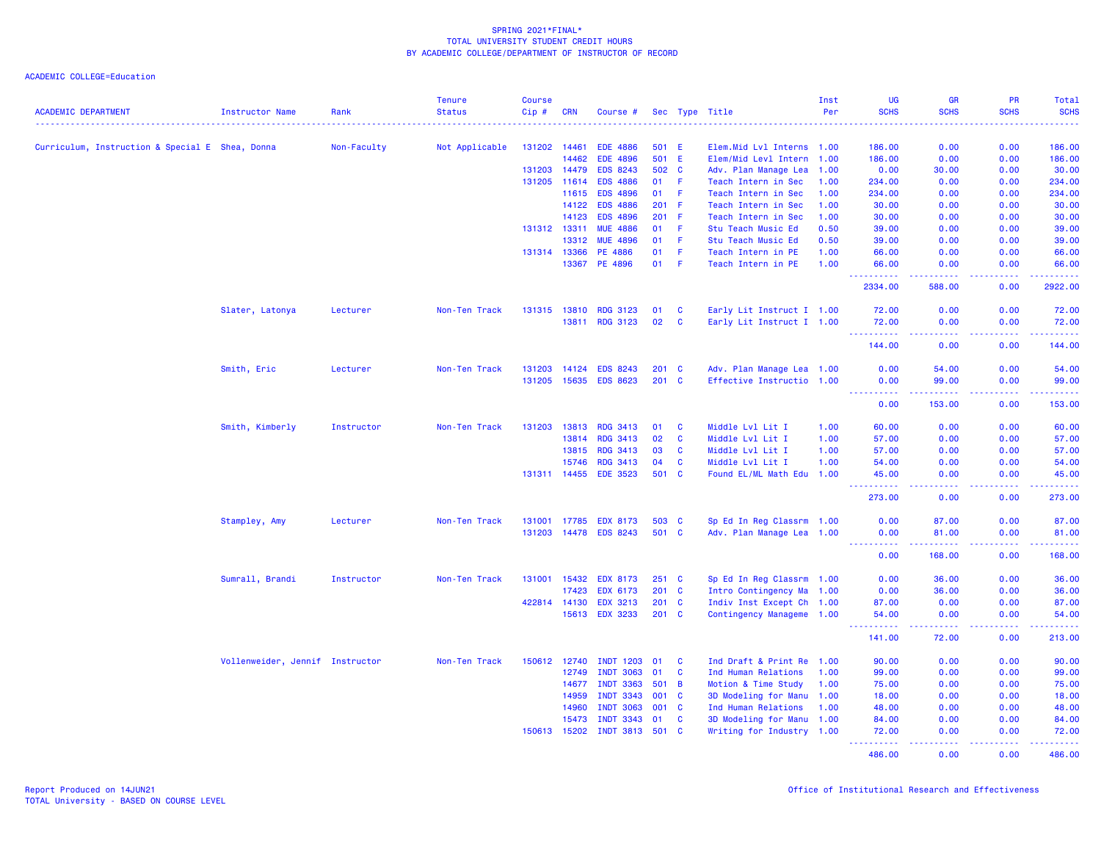| <b>ACADEMIC DEPARTMENT</b>                      | <b>Instructor Name</b>          | Rank        | <b>Tenure</b><br><b>Status</b> | <b>Course</b><br>Cip# | <b>CRN</b>   | Course #         |       |               | Sec Type Title            | Inst<br>Per | <b>UG</b><br><b>SCHS</b>    | <b>GR</b><br><b>SCHS</b>                    | PR<br><b>SCHS</b> | Total<br><b>SCHS</b>                  |
|-------------------------------------------------|---------------------------------|-------------|--------------------------------|-----------------------|--------------|------------------|-------|---------------|---------------------------|-------------|-----------------------------|---------------------------------------------|-------------------|---------------------------------------|
|                                                 |                                 |             |                                |                       |              |                  |       |               |                           |             |                             |                                             |                   |                                       |
| Curriculum, Instruction & Special E Shea, Donna |                                 | Non-Faculty | Not Applicable                 | 131202 14461          |              | <b>EDE 4886</b>  |       | 501 E         | Elem.Mid Lvl Interns 1.00 |             | 186.00                      | 0.00                                        | 0.00              | 186.00                                |
|                                                 |                                 |             |                                |                       | 14462        | <b>EDE 4896</b>  |       | 501 E         | Elem/Mid Levl Intern 1.00 |             | 186.00                      | 0.00                                        | 0.00              | 186.00                                |
|                                                 |                                 |             |                                | 131203 14479          |              | <b>EDS 8243</b>  |       | 502 C         | Adv. Plan Manage Lea      | 1.00        | 0.00                        | 30.00                                       | 0.00              | 30.00                                 |
|                                                 |                                 |             |                                |                       | 131205 11614 | <b>EDS 4886</b>  | 01    | -F            | Teach Intern in Sec       | 1.00        | 234.00                      | 0.00                                        | 0.00              | 234.00                                |
|                                                 |                                 |             |                                |                       | 11615        | <b>EDS 4896</b>  | 01    | - F           | Teach Intern in Sec       | 1.00        | 234.00                      | 0.00                                        | 0.00              | 234.00                                |
|                                                 |                                 |             |                                |                       | 14122        | <b>EDS 4886</b>  | 201 F |               | Teach Intern in Sec       | 1.00        | 30.00                       | 0.00                                        | 0.00              | 30.00                                 |
|                                                 |                                 |             |                                |                       | 14123        | <b>EDS 4896</b>  | 201   | -F            | Teach Intern in Sec       | 1.00        | 30.00                       | 0.00                                        | 0.00              | 30.00                                 |
|                                                 |                                 |             |                                | 131312 13311          |              | <b>MUE 4886</b>  | 01    | -F            | Stu Teach Music Ed        | 0.50        | 39,00                       | 0.00                                        | 0.00              | 39.00                                 |
|                                                 |                                 |             |                                |                       | 13312        | <b>MUE 4896</b>  | 01    | F.            | Stu Teach Music Ed        | 0.50        | 39.00                       | 0.00                                        | 0.00              | 39.00                                 |
|                                                 |                                 |             |                                | 131314 13366          |              | PE 4886          | 01    | F.            | Teach Intern in PE        | 1.00        | 66.00                       | 0.00                                        | 0.00              | 66.00                                 |
|                                                 |                                 |             |                                |                       | 13367        | PE 4896          | 01    | -F            | Teach Intern in PE        | 1.00        | 66.00<br>.                  | 0.00<br>.                                   | 0.00<br>.         | 66.00                                 |
|                                                 |                                 |             |                                |                       |              |                  |       |               |                           |             | 2334.00                     | 588.00                                      | 0.00              | 2922.00                               |
|                                                 | Slater, Latonya                 | Lecturer    | Non-Ten Track                  | 131315 13810          |              | <b>RDG 3123</b>  | 01    | C             | Early Lit Instruct I 1.00 |             | 72.00                       | 0.00                                        | 0.00              | 72.00                                 |
|                                                 |                                 |             |                                |                       | 13811        | <b>RDG 3123</b>  | 02    | C             | Early Lit Instruct I 1.00 |             | 72.00<br><u>.</u>           | 0.00<br>.                                   | 0.00              | 72.00                                 |
|                                                 |                                 |             |                                |                       |              |                  |       |               |                           |             | 144.00                      | 0.00                                        | 0.00              | 144.00                                |
|                                                 | Smith, Eric                     | Lecturer    | Non-Ten Track                  | 131203                | 14124        | <b>EDS 8243</b>  |       | 201 C         | Adv. Plan Manage Lea 1.00 |             | 0.00                        | 54.00                                       | 0.00              | 54.00                                 |
|                                                 |                                 |             |                                |                       | 131205 15635 | <b>EDS 8623</b>  |       | $201$ C       | Effective Instructio 1.00 |             | 0.00                        | 99.00                                       | 0.00              | 99.00                                 |
|                                                 |                                 |             |                                |                       |              |                  |       |               |                           |             | <u> - - - - - - - - - -</u> | .                                           | 2.2.2.2.2         | 2.2.2.2.2.4                           |
|                                                 |                                 |             |                                |                       |              |                  |       |               |                           |             | 0.00                        | 153.00                                      | 0.00              | 153.00                                |
|                                                 | Smith, Kimberly                 | Instructor  | Non-Ten Track                  | 131203                | 13813        | <b>RDG 3413</b>  | 01    | $\mathbf{C}$  | Middle Lvl Lit I          | 1.00        | 60.00                       | 0.00                                        | 0.00              | 60.00                                 |
|                                                 |                                 |             |                                |                       | 13814        | <b>RDG 3413</b>  | 02    | <b>C</b>      | Middle Lvl Lit I          | 1.00        | 57.00                       | 0.00                                        | 0.00              | 57.00                                 |
|                                                 |                                 |             |                                |                       | 13815        | <b>RDG 3413</b>  | 03    | C             | Middle Lvl Lit I          | 1.00        | 57.00                       | 0.00                                        | 0.00              | 57.00                                 |
|                                                 |                                 |             |                                |                       | 15746        | <b>RDG 3413</b>  | 04    | <b>C</b>      | Middle Lvl Lit I          | 1.00        | 54.00                       | 0.00                                        | 0.00              | 54.00                                 |
|                                                 |                                 |             |                                |                       | 131311 14455 | <b>EDE 3523</b>  |       | 501 C         | Found EL/ML Math Edu 1.00 |             | 45.00<br>.                  | 0.00<br>.                                   | 0.00<br>.         | 45.00<br><b><i><u><u></u></u></i></b> |
|                                                 |                                 |             |                                |                       |              |                  |       |               |                           |             | 273.00                      | 0.00                                        | 0.00              | 273.00                                |
|                                                 | Stampley, Amy                   | Lecturer    | Non-Ten Track                  | 131001                | 17785        | <b>EDX 8173</b>  | 503   | <b>C</b>      | Sp Ed In Reg Classrm 1.00 |             | 0.00                        | 87.00                                       | 0.00              | 87.00                                 |
|                                                 |                                 |             |                                | 131203                | 14478        | <b>EDS 8243</b>  |       | 501 C         | Adv. Plan Manage Lea 1.00 |             | 0.00                        | 81.00                                       | 0.00              | 81.00                                 |
|                                                 |                                 |             |                                |                       |              |                  |       |               |                           |             | ----------                  | .                                           | -----             | ------                                |
|                                                 |                                 |             |                                |                       |              |                  |       |               |                           |             | 0.00                        | 168.00                                      | 0.00              | 168.00                                |
|                                                 | Sumrall, Brandi                 | Instructor  | Non-Ten Track                  | 131001                | 15432        | <b>EDX 8173</b>  |       | $251$ C       | Sp Ed In Reg Classrm 1.00 |             | 0.00                        | 36.00                                       | 0.00              | 36.00                                 |
|                                                 |                                 |             |                                |                       | 17423        | EDX 6173         |       | $201 \quad C$ | Intro Contingency Ma 1.00 |             | 0.00                        | 36.00                                       | 0.00              | 36.00                                 |
|                                                 |                                 |             |                                |                       | 422814 14130 | <b>EDX 3213</b>  |       | $201$ C       | Indiv Inst Except Ch 1.00 |             | 87.00                       | 0.00                                        | 0.00              | 87.00                                 |
|                                                 |                                 |             |                                |                       | 15613        | <b>EDX 3233</b>  |       | 201 C         | Contingency Manageme 1.00 |             | 54.00<br>2.2.2.2.2.2        | 0.00<br>22222                               | 0.00<br>22222     | 54.00<br>2.2.2.2.2.4                  |
|                                                 |                                 |             |                                |                       |              |                  |       |               |                           |             | 141.00                      | 72.00                                       | 0.00              | 213.00                                |
|                                                 | Vollenweider, Jennif Instructor |             | Non-Ten Track                  |                       | 150612 12740 | <b>INDT 1203</b> | 01    | - C           | Ind Draft & Print Re 1.00 |             | 90.00                       | 0.00                                        | 0.00              | 90.00                                 |
|                                                 |                                 |             |                                |                       | 12749        | <b>INDT 3063</b> | 01    | <b>C</b>      | Ind Human Relations       | 1.00        | 99.00                       | 0.00                                        | 0.00              | 99.00                                 |
|                                                 |                                 |             |                                |                       | 14677        | <b>INDT 3363</b> | 501 B |               | Motion & Time Study       | 1.00        | 75.00                       | 0.00                                        | 0.00              | 75.00                                 |
|                                                 |                                 |             |                                |                       | 14959        | <b>INDT 3343</b> | 001   | <b>C</b>      | 3D Modeling for Manu 1.00 |             | 18.00                       | 0.00                                        | 0.00              | 18.00                                 |
|                                                 |                                 |             |                                |                       | 14960        | <b>INDT 3063</b> | 001   | <b>C</b>      | Ind Human Relations       | 1.00        | 48.00                       | 0.00                                        | 0.00              | 48.00                                 |
|                                                 |                                 |             |                                |                       | 15473        | <b>INDT 3343</b> | 01    | $\mathbf{C}$  | 3D Modeling for Manu 1.00 |             | 84.00                       | 0.00                                        | 0.00              | 84.00                                 |
|                                                 |                                 |             |                                | 150613                | 15202        | <b>INDT 3813</b> | 501   | <b>C</b>      | Writing for Industry 1.00 |             | 72.00<br>.                  | 0.00<br>$\omega$ $\omega$ $\omega$ $\omega$ | 0.00              | 72.00                                 |
|                                                 |                                 |             |                                |                       |              |                  |       |               |                           |             | 486.00                      | 0.00                                        | 0.00              | 486.00                                |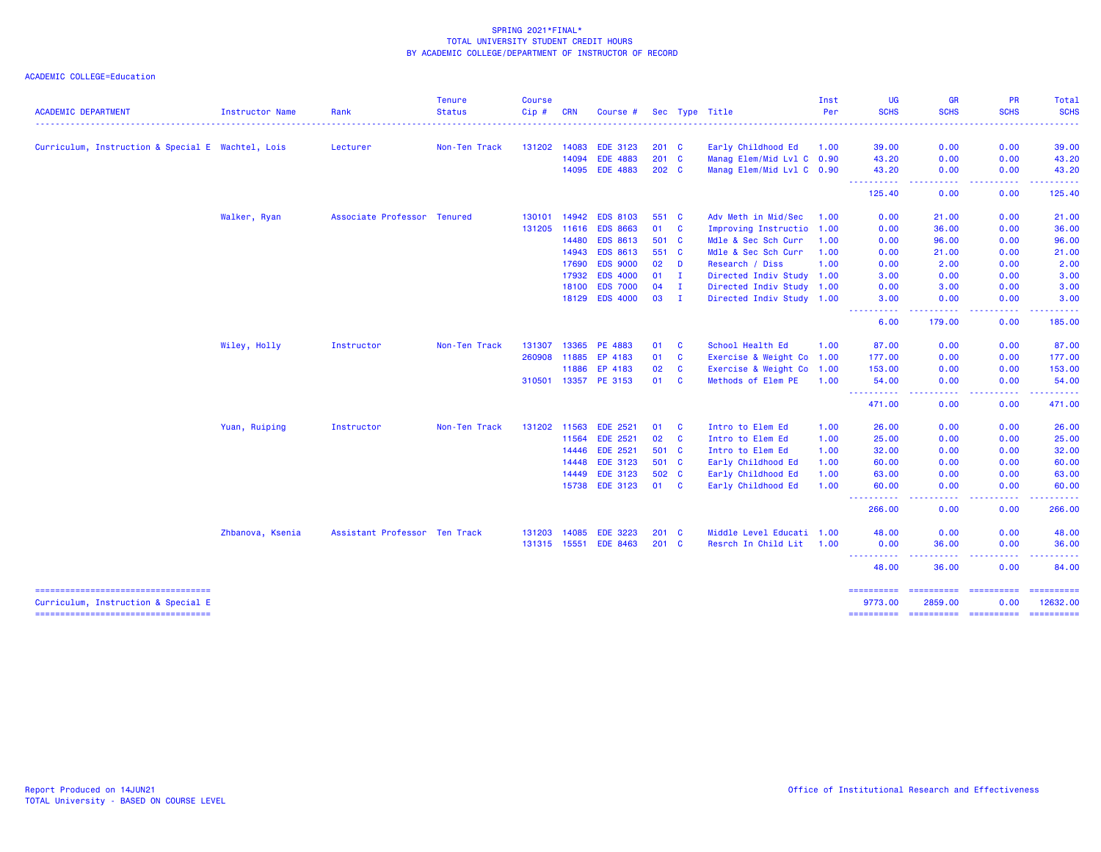|                                                                              |                        |                               | <b>Tenure</b> | <b>Course</b> |            |                 |               |              |                           | Inst | UG                                                                                                                                            | <b>GR</b>                                                                                                                                                    | <b>PR</b>          | Total       |
|------------------------------------------------------------------------------|------------------------|-------------------------------|---------------|---------------|------------|-----------------|---------------|--------------|---------------------------|------|-----------------------------------------------------------------------------------------------------------------------------------------------|--------------------------------------------------------------------------------------------------------------------------------------------------------------|--------------------|-------------|
| <b>ACADEMIC DEPARTMENT</b>                                                   | <b>Instructor Name</b> | Rank                          | <b>Status</b> | $Cip \#$      | <b>CRN</b> | Course #        |               |              | Sec Type Title            | Per  | <b>SCHS</b>                                                                                                                                   | <b>SCHS</b>                                                                                                                                                  | <b>SCHS</b>        | <b>SCHS</b> |
| Curriculum, Instruction & Special E Wachtel, Lois                            |                        | Lecturer                      | Non-Ten Track | 131202        | 14083      | <b>EDE 3123</b> | $201 \quad C$ |              | Early Childhood Ed        | 1.00 | 39.00                                                                                                                                         | 0.00                                                                                                                                                         | 0.00               | 39.00       |
|                                                                              |                        |                               |               |               | 14094      | <b>EDE 4883</b> | 201 C         |              | Manag Elem/Mid Lvl C 0.90 |      | 43.20                                                                                                                                         | 0.00                                                                                                                                                         | 0.00               | 43.20       |
|                                                                              |                        |                               |               |               |            | 14095 EDE 4883  | 202 C         |              | Manag Elem/Mid Lvl C 0.90 |      | 43.20                                                                                                                                         | 0.00                                                                                                                                                         | 0.00               | 43.20       |
|                                                                              |                        |                               |               |               |            |                 |               |              |                           |      | ----------<br>125.40                                                                                                                          | .<br>0.00                                                                                                                                                    | -----<br>0.00      | .<br>125.40 |
|                                                                              | Walker, Ryan           | Associate Professor Tenured   |               | 130101        | 14942      | <b>EDS 8103</b> | 551 C         |              | Adv Meth in Mid/Sec       | 1.00 | 0.00                                                                                                                                          | 21.00                                                                                                                                                        | 0.00               | 21.00       |
|                                                                              |                        |                               |               | 131205 11616  |            | <b>EDS 8663</b> | 01 C          |              | Improving Instructio 1.00 |      | 0.00                                                                                                                                          | 36.00                                                                                                                                                        | 0.00               | 36.00       |
|                                                                              |                        |                               |               |               | 14480      | <b>EDS 8613</b> | 501 C         |              | Mdle & Sec Sch Curr       | 1.00 | 0.00                                                                                                                                          | 96.00                                                                                                                                                        | 0.00               | 96.00       |
|                                                                              |                        |                               |               |               | 14943      | <b>EDS 8613</b> | 551 C         |              | Mdle & Sec Sch Curr       | 1.00 | 0.00                                                                                                                                          | 21.00                                                                                                                                                        | 0.00               | 21.00       |
|                                                                              |                        |                               |               |               | 17690      | <b>EDS 9000</b> | 02            | <b>D</b>     | Research / Diss           | 1.00 | 0.00                                                                                                                                          | 2.00                                                                                                                                                         | 0.00               | 2.00        |
|                                                                              |                        |                               |               |               | 17932      | <b>EDS 4000</b> | 01            | $\mathbf{I}$ | Directed Indiv Study 1.00 |      | 3.00                                                                                                                                          | 0.00                                                                                                                                                         | 0.00               | 3.00        |
|                                                                              |                        |                               |               |               | 18100      | <b>EDS 7000</b> | $04$ I        |              | Directed Indiv Study 1.00 |      | 0.00                                                                                                                                          | 3.00                                                                                                                                                         | 0.00               | 3.00        |
|                                                                              |                        |                               |               |               | 18129      | <b>EDS 4000</b> | 03            | - I          | Directed Indiv Study 1.00 |      | 3.00<br>$\frac{1}{2} \left( \frac{1}{2} \right) \left( \frac{1}{2} \right) \left( \frac{1}{2} \right) \left( \frac{1}{2} \right)$<br>$\cdots$ | 0.00<br>$\frac{1}{2} \left( \frac{1}{2} \right) \left( \frac{1}{2} \right) \left( \frac{1}{2} \right) \left( \frac{1}{2} \right) \left( \frac{1}{2} \right)$ | 0.00<br>-----      | 3.00<br>.   |
|                                                                              |                        |                               |               |               |            |                 |               |              |                           |      | 6.00                                                                                                                                          | 179.00                                                                                                                                                       | 0.00               | 185.00      |
|                                                                              | Wiley, Holly           | Instructor                    | Non-Ten Track | 131307        | 13365      | PE 4883         | 01            | <b>C</b>     | School Health Ed          | 1.00 | 87.00                                                                                                                                         | 0.00                                                                                                                                                         | 0.00               | 87.00       |
|                                                                              |                        |                               |               | 260908 11885  |            | EP 4183         | 01            | $\mathbf{C}$ | Exercise & Weight Co 1.00 |      | 177.00                                                                                                                                        | 0.00                                                                                                                                                         | 0.00               | 177.00      |
|                                                                              |                        |                               |               |               | 11886      | EP 4183         | 02            | $\mathbf{C}$ | Exercise & Weight Co 1.00 |      | 153.00                                                                                                                                        | 0.00                                                                                                                                                         | 0.00               | 153.00      |
|                                                                              |                        |                               |               | 310501        | 13357      | PE 3153         | 01            | <b>C</b>     | Methods of Elem PE        | 1.00 | 54.00                                                                                                                                         | 0.00                                                                                                                                                         | 0.00               | 54.00       |
|                                                                              |                        |                               |               |               |            |                 |               |              |                           |      | .<br>471.00                                                                                                                                   | .<br>0.00                                                                                                                                                    | -----<br>0.00      | 471.00      |
|                                                                              | Yuan, Ruiping          | Instructor                    | Non-Ten Track | 131202 11563  |            | <b>EDE 2521</b> | 01            | <b>C</b>     | Intro to Elem Ed          | 1.00 | 26.00                                                                                                                                         | 0.00                                                                                                                                                         | 0.00               | 26.00       |
|                                                                              |                        |                               |               |               | 11564      | <b>EDE 2521</b> | 02            | $\mathbf{C}$ | Intro to Elem Ed          | 1.00 | 25.00                                                                                                                                         | 0.00                                                                                                                                                         | 0.00               | 25.00       |
|                                                                              |                        |                               |               |               | 14446      | <b>EDE 2521</b> | 501 C         |              | Intro to Elem Ed          | 1.00 | 32.00                                                                                                                                         | 0.00                                                                                                                                                         | 0.00               | 32.00       |
|                                                                              |                        |                               |               |               | 14448      | <b>EDE 3123</b> | 501 C         |              | Early Childhood Ed        | 1.00 | 60.00                                                                                                                                         | 0.00                                                                                                                                                         | 0.00               | 60.00       |
|                                                                              |                        |                               |               |               | 14449      | <b>EDE 3123</b> | 502 C         |              | Early Childhood Ed        | 1.00 | 63.00                                                                                                                                         | 0.00                                                                                                                                                         | 0.00               | 63.00       |
|                                                                              |                        |                               |               |               |            | 15738 EDE 3123  | 01 C          |              | Early Childhood Ed        | 1.00 | 60.00<br>----------                                                                                                                           | 0.00<br>.                                                                                                                                                    | 0.00<br>.          | 60.00<br>.  |
|                                                                              |                        |                               |               |               |            |                 |               |              |                           |      | 266.00                                                                                                                                        | 0.00                                                                                                                                                         | 0.00               | 266.00      |
|                                                                              | Zhbanova, Ksenia       | Assistant Professor Ten Track |               | 131203 14085  |            | <b>EDE 3223</b> | $201 \quad C$ |              | Middle Level Educati 1.00 |      | 48.00                                                                                                                                         | 0.00                                                                                                                                                         | 0.00               | 48.00       |
|                                                                              |                        |                               |               | 131315 15551  |            | <b>EDE 8463</b> | $201$ C       |              | Resrch In Child Lit 1.00  |      | 0.00                                                                                                                                          | 36.00                                                                                                                                                        | 0.00               | 36.00       |
|                                                                              |                        |                               |               |               |            |                 |               |              |                           |      | ----------<br>48.00                                                                                                                           | 36.00                                                                                                                                                        | 0.00               | 84.00       |
| =====================================<br>Curriculum, Instruction & Special E |                        |                               |               |               |            |                 |               |              |                           |      | ==========<br>9773.00                                                                                                                         | ==========<br>2859.00                                                                                                                                        | essessesse<br>0.00 | 12632.00    |
| =====================================                                        |                        |                               |               |               |            |                 |               |              |                           |      |                                                                                                                                               |                                                                                                                                                              |                    |             |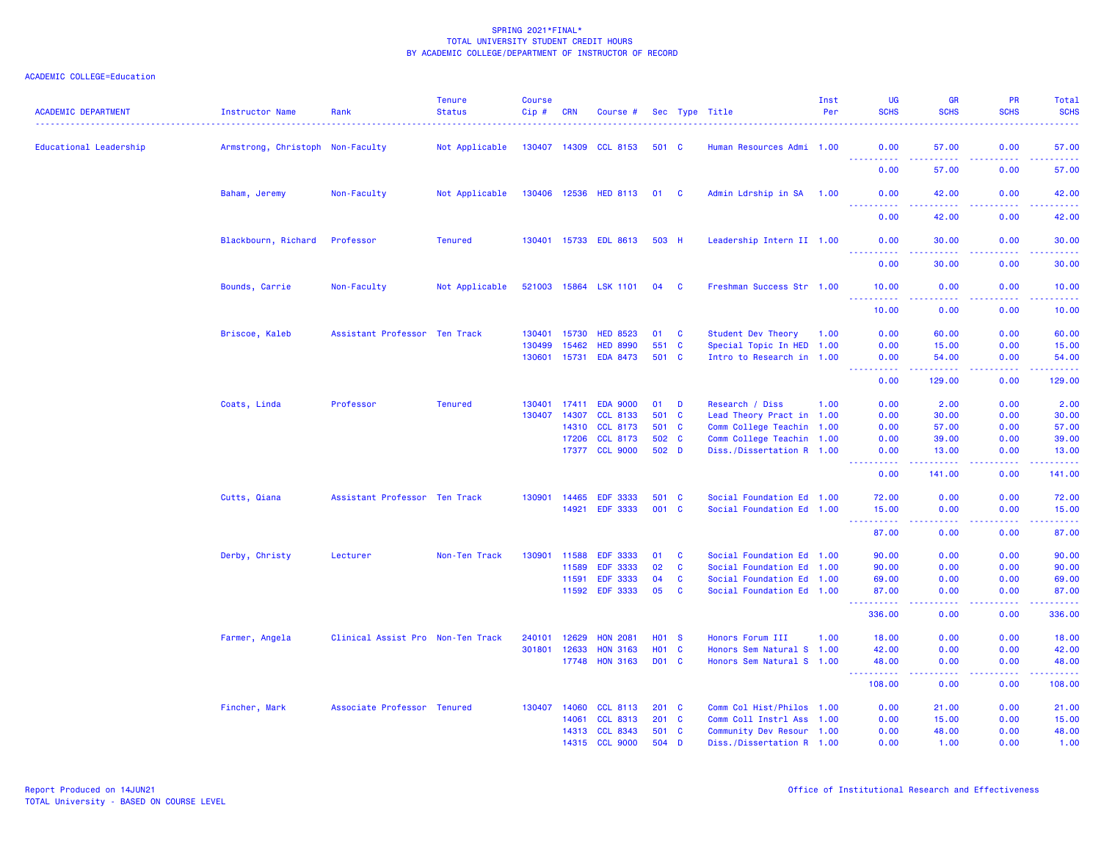| <b>ACADEMIC DEPARTMENT</b> | <b>Instructor Name</b>           | Rank                              | <b>Tenure</b><br><b>Status</b> | <b>Course</b><br>Cip# | <b>CRN</b> | Course #              |               |              | Sec Type Title            | Inst<br>Per | UG<br><b>SCHS</b>                    | <b>GR</b><br><b>SCHS</b> | <b>PR</b><br><b>SCHS</b>                     | <b>Total</b><br><b>SCHS</b> |
|----------------------------|----------------------------------|-----------------------------------|--------------------------------|-----------------------|------------|-----------------------|---------------|--------------|---------------------------|-------------|--------------------------------------|--------------------------|----------------------------------------------|-----------------------------|
| Educational Leadership     | Armstrong, Christoph Non-Faculty |                                   | Not Applicable                 |                       |            | 130407 14309 CCL 8153 | 501 C         |              | Human Resources Admi 1.00 |             | 0.00                                 | 57.00                    | 0.00                                         | 57.00                       |
|                            |                                  |                                   |                                |                       |            |                       |               |              |                           |             | ----------<br>0.00                   | <u>.</u><br>57.00        | .<br>0.00                                    | .<br>57.00                  |
|                            | Baham, Jeremy                    | Non-Faculty                       | Not Applicable                 | 130406 12536          |            | <b>HED 8113</b>       | 01 C          |              | Admin Ldrship in SA       | 1.00        | 0.00<br><u>.</u>                     | 42.00<br>.               | 0.00<br>.                                    | 42.00<br>.                  |
|                            |                                  |                                   |                                |                       |            |                       |               |              |                           |             | 0.00                                 | 42.00                    | 0.00                                         | 42.00                       |
|                            | Blackbourn, Richard              | Professor                         | <b>Tenured</b>                 |                       |            | 130401 15733 EDL 8613 | 503 H         |              | Leadership Intern II 1.00 |             | 0.00<br><u>.</u>                     | 30.00<br>وبالرباب        | 0.00                                         | 30.00<br>.                  |
|                            |                                  |                                   |                                |                       |            |                       |               |              |                           |             | 0.00                                 | 30.00                    | 0.00                                         | 30.00                       |
|                            | Bounds, Carrie                   | Non-Faculty                       | Not Applicable                 |                       |            | 521003 15864 LSK 1101 | 04 C          |              | Freshman Success Str 1.00 |             | 10.00<br><b></b>                     | 0.00<br>-----            | 0.00<br><b><i><u><u> - - - -</u></u></i></b> | 10.00<br>.                  |
|                            |                                  |                                   |                                |                       |            |                       |               |              |                           |             | 10.00                                | 0.00                     | 0.00                                         | 10.00                       |
|                            | Briscoe, Kaleb                   | Assistant Professor Ten Track     |                                | 130401                | 15730      | <b>HED 8523</b>       | 01            | $\mathbf{C}$ | Student Dev Theory        | 1.00        | 0.00                                 | 60.00                    | 0.00                                         | 60.00                       |
|                            |                                  |                                   |                                | 130499                | 15462      | <b>HED 8990</b>       | 551 C         |              | Special Topic In HED 1.00 |             | 0.00                                 | 15.00                    | 0.00                                         | 15.00                       |
|                            |                                  |                                   |                                | 130601                | 15731      | <b>EDA 8473</b>       | 501 C         |              | Intro to Research in 1.00 |             | 0.00<br>$- - - - -$                  | 54.00<br>.               | 0.00<br>.                                    | 54.00<br>.                  |
|                            |                                  |                                   |                                |                       |            |                       |               |              |                           |             | 0.00                                 | 129.00                   | 0.00                                         | 129.00                      |
|                            | Coats, Linda                     | Professor                         | <b>Tenured</b>                 | 130401                | 17411      | <b>EDA 9000</b>       | 01            | D            | Research / Diss           | 1.00        | 0.00                                 | 2.00                     | 0.00                                         | 2.00                        |
|                            |                                  |                                   |                                | 130407                | 14307      | <b>CCL 8133</b>       | 501 C         |              | Lead Theory Pract in 1.00 |             | 0.00                                 | 30.00                    | 0.00                                         | 30.00                       |
|                            |                                  |                                   |                                |                       | 14310      | <b>CCL 8173</b>       | 501 C         |              | Comm College Teachin 1.00 |             | 0.00                                 | 57.00                    | 0.00                                         | 57.00                       |
|                            |                                  |                                   |                                |                       | 17206      | <b>CCL 8173</b>       | 502 C         |              | Comm College Teachin 1.00 |             | 0.00                                 | 39.00                    | 0.00                                         | 39.00                       |
|                            |                                  |                                   |                                |                       |            | 17377 CCL 9000        | 502 D         |              | Diss./Dissertation R 1.00 |             | 0.00<br>.                            | 13.00<br>وعاويات         | 0.00<br>بالأباب                              | 13.00<br>.                  |
|                            |                                  |                                   |                                |                       |            |                       |               |              |                           |             | 0.00                                 | 141.00                   | 0.00                                         | 141.00                      |
|                            | Cutts, Qiana                     | Assistant Professor Ten Track     |                                | 130901                | 14465      | <b>EDF 3333</b>       | 501 C         |              | Social Foundation Ed 1.00 |             | 72.00                                | 0.00                     | 0.00                                         | 72.00                       |
|                            |                                  |                                   |                                |                       | 14921      | <b>EDF 3333</b>       | 001 C         |              | Social Foundation Ed 1.00 |             | 15.00<br><u> - - - - - - - - - -</u> | 0.00<br>.                | 0.00<br>.                                    | 15.00<br>.                  |
|                            |                                  |                                   |                                |                       |            |                       |               |              |                           |             | 87.00                                | 0.00                     | 0.00                                         | 87.00                       |
|                            | Derby, Christy                   | Lecturer                          | Non-Ten Track                  | 130901                | 11588      | <b>EDF 3333</b>       | 01            | <b>C</b>     | Social Foundation Ed 1.00 |             | 90.00                                | 0.00                     | 0.00                                         | 90.00                       |
|                            |                                  |                                   |                                |                       | 11589      | <b>EDF 3333</b>       | 02            | <b>C</b>     | Social Foundation Ed 1.00 |             | 90.00                                | 0.00                     | 0.00                                         | 90.00                       |
|                            |                                  |                                   |                                |                       | 11591      | <b>EDF 3333</b>       | 04            | C            | Social Foundation Ed 1.00 |             | 69.00                                | 0.00                     | 0.00                                         | 69.00                       |
|                            |                                  |                                   |                                |                       | 11592      | <b>EDF 3333</b>       | 05            | $\mathbf{C}$ | Social Foundation Ed 1.00 |             | 87.00<br>. <b>.</b>                  | 0.00<br>وبالمحام         | 0.00<br>.                                    | 87.00<br>.                  |
|                            |                                  |                                   |                                |                       |            |                       |               |              |                           |             | 336.00                               | 0.00                     | 0.00                                         | 336.00                      |
|                            | Farmer, Angela                   | Clinical Assist Pro Non-Ten Track |                                | 240101                | 12629      | <b>HON 2081</b>       | <b>HO1 S</b>  |              | Honors Forum III          | 1.00        | 18.00                                | 0.00                     | 0.00                                         | 18.00                       |
|                            |                                  |                                   |                                | 301801                | 12633      | <b>HON 3163</b>       | <b>HO1</b>    | $\mathbf{C}$ | Honors Sem Natural S 1.00 |             | 42.00                                | 0.00                     | 0.00                                         | 42.00                       |
|                            |                                  |                                   |                                |                       | 17748      | <b>HON 3163</b>       | D01 C         |              | Honors Sem Natural S 1.00 |             | 48.00<br>المستمالات                  | 0.00<br>.                | 0.00<br>بالأباب                              | 48.00<br>.                  |
|                            |                                  |                                   |                                |                       |            |                       |               |              |                           |             | 108.00                               | 0.00                     | 0.00                                         | 108.00                      |
|                            | Fincher, Mark                    | Associate Professor Tenured       |                                | 130407                | 14060      | <b>CCL 8113</b>       | $201 \quad C$ |              | Comm Col Hist/Philos 1.00 |             | 0.00                                 | 21.00                    | 0.00                                         | 21.00                       |
|                            |                                  |                                   |                                |                       | 14061      | <b>CCL 8313</b>       | 201           | <b>C</b>     | Comm Coll Instrl Ass 1.00 |             | 0.00                                 | 15.00                    | 0.00                                         | 15.00                       |
|                            |                                  |                                   |                                |                       |            | 14313 CCL 8343        | 501 C         |              | Community Dev Resour 1.00 |             | 0.00                                 | 48.00                    | 0.00                                         | 48.00                       |
|                            |                                  |                                   |                                |                       | 14315      | <b>CCL 9000</b>       | 504 D         |              | Diss./Dissertation R 1.00 |             | 0.00                                 | 1.00                     | 0.00                                         | 1.00                        |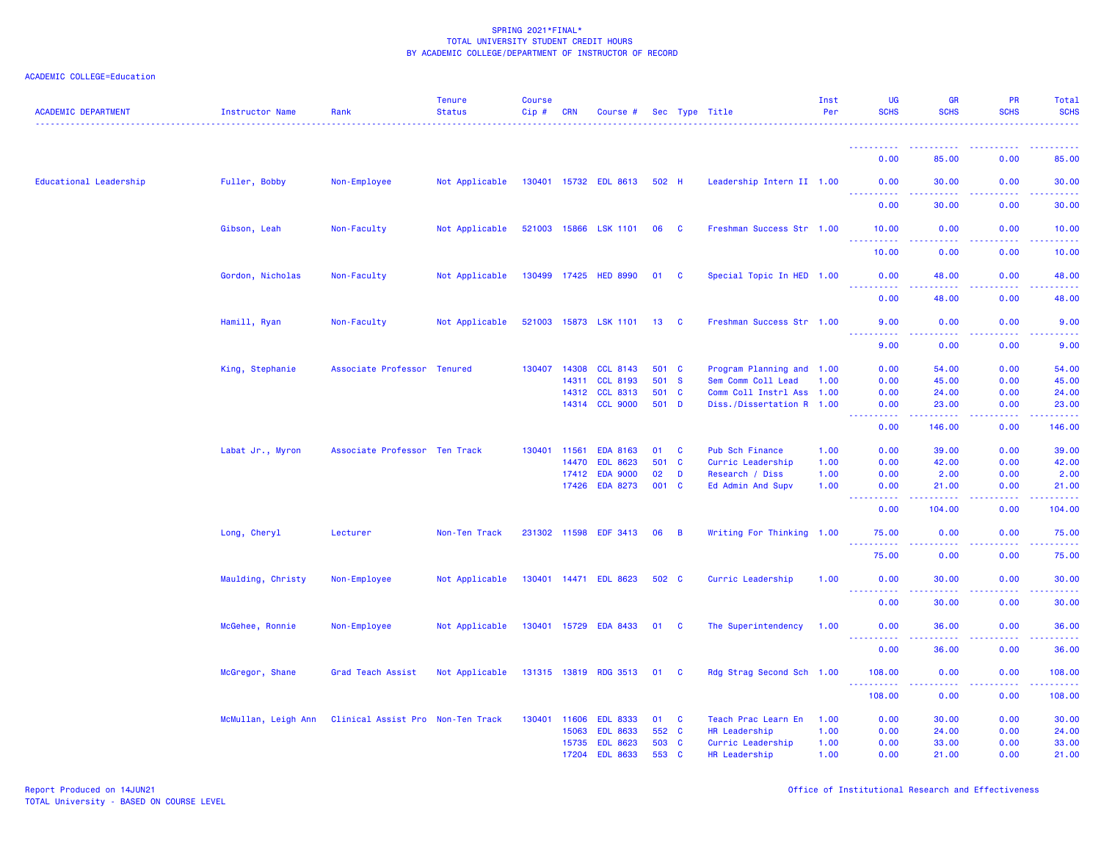| <b>ACADEMIC DEPARTMENT</b> | Instructor Name     | Rank                              | <b>Tenure</b><br><b>Status</b> | <b>Course</b><br>Cip# | <b>CRN</b>                       | Course #                                                                 |                           |                                      | Sec Type Title                                                               | Inst<br>Per                  | <b>UG</b><br><b>SCHS</b>                                                                               | <b>GR</b><br><b>SCHS</b>         | PR<br><b>SCHS</b>            | Total<br><b>SCHS</b>               |
|----------------------------|---------------------|-----------------------------------|--------------------------------|-----------------------|----------------------------------|--------------------------------------------------------------------------|---------------------------|--------------------------------------|------------------------------------------------------------------------------|------------------------------|--------------------------------------------------------------------------------------------------------|----------------------------------|------------------------------|------------------------------------|
|                            |                     |                                   |                                |                       |                                  |                                                                          |                           |                                      |                                                                              |                              |                                                                                                        |                                  |                              |                                    |
|                            |                     |                                   |                                |                       |                                  |                                                                          |                           |                                      |                                                                              |                              | 0.00                                                                                                   | 85.00                            | 0.00                         | 85.00                              |
| Educational Leadership     | Fuller, Bobby       | Non-Employee                      | Not Applicable                 |                       |                                  | 130401 15732 EDL 8613                                                    | 502 H                     |                                      | Leadership Intern II 1.00                                                    |                              | 0.00<br><u>.</u>                                                                                       | 30.00<br>.                       | 0.00<br>.                    | 30.00<br>.                         |
|                            |                     |                                   |                                |                       |                                  |                                                                          |                           |                                      |                                                                              |                              | 0.00                                                                                                   | 30.00                            | 0.00                         | 30.00                              |
|                            | Gibson, Leah        | Non-Faculty                       | Not Applicable                 |                       |                                  | 521003 15866 LSK 1101                                                    | 06                        | $\mathbf{C}$                         | Freshman Success Str 1.00                                                    |                              | 10.00<br>.                                                                                             | 0.00                             | 0.00                         | 10.00                              |
|                            |                     |                                   |                                |                       |                                  |                                                                          |                           |                                      |                                                                              |                              | 10.00                                                                                                  | المتمام<br>0.00                  | -----<br>0.00                | د د د د<br>10.00                   |
|                            | Gordon, Nicholas    | Non-Faculty                       | Not Applicable                 |                       | 130499 17425                     | <b>HED 8990</b>                                                          | 01 C                      |                                      | Special Topic In HED 1.00                                                    |                              | 0.00                                                                                                   | 48.00<br>وبالأباد                | 0.00<br>.                    | 48.00<br>$\omega$ is $\omega$ in . |
|                            |                     |                                   |                                |                       |                                  |                                                                          |                           |                                      |                                                                              |                              | 0.00                                                                                                   | 48.00                            | 0.00                         | 48.00                              |
|                            | Hamill, Ryan        | Non-Faculty                       | Not Applicable                 | 521003                | 15873                            | <b>LSK 1101</b>                                                          | 13                        | <b>C</b>                             | Freshman Success Str 1.00                                                    |                              | 9.00                                                                                                   | 0.00                             | 0.00                         | 9.00                               |
|                            |                     |                                   |                                |                       |                                  |                                                                          |                           |                                      |                                                                              |                              | 9.00                                                                                                   | 0.00                             | 0.00                         | 9.00                               |
|                            | King, Stephanie     | Associate Professor               | <b>Tenured</b>                 | 130407                | 14308<br>14311<br>14312          | <b>CCL 8143</b><br><b>CCL 8193</b><br><b>CCL 8313</b>                    | 501 C<br>501 S<br>501     | $\mathbf{C}$                         | Program Planning and 1.00<br>Sem Comm Coll Lead<br>Comm Coll Instrl Ass 1.00 | 1.00                         | 0.00<br>0.00<br>0.00                                                                                   | 54.00<br>45.00<br>24.00          | 0.00<br>0.00<br>0.00         | 54.00<br>45.00<br>24.00            |
|                            |                     |                                   |                                |                       |                                  | 14314 CCL 9000                                                           | 501 D                     |                                      | Diss./Dissertation R 1.00                                                    |                              | 0.00<br>$\frac{1}{2} \left( \frac{1}{2} \right) \left( \frac{1}{2} \right) \left( \frac{1}{2} \right)$ | 23.00<br>.                       | 0.00                         | 23.00<br>المالم عامان              |
|                            |                     |                                   |                                |                       |                                  |                                                                          |                           |                                      |                                                                              |                              | 0.00                                                                                                   | 146.00                           | 0.00                         | 146.00                             |
|                            | Labat Jr., Myron    | Associate Professor Ten Track     |                                | 130401                | 11561<br>14470<br>17412<br>17426 | <b>EDA 8163</b><br><b>EDL 8623</b><br><b>EDA 9000</b><br><b>EDA 8273</b> | 01<br>501<br>02<br>001 C  | C<br>$\mathbf{C}$<br>D               | Pub Sch Finance<br>Curric Leadership<br>Research / Diss<br>Ed Admin And Supv | 1.00<br>1.00<br>1.00<br>1.00 | 0.00<br>0.00<br>0.00<br>0.00                                                                           | 39.00<br>42.00<br>2.00<br>21.00  | 0.00<br>0.00<br>0.00<br>0.00 | 39.00<br>42.00<br>2.00<br>21.00    |
|                            |                     |                                   |                                |                       |                                  |                                                                          |                           |                                      |                                                                              |                              | 0.00                                                                                                   | 104.00                           | 0.00                         | 104.00                             |
|                            | Long, Cheryl        | Lecturer                          | Non-Ten Track                  |                       | 231302 11598                     | <b>EDF 3413</b>                                                          | 06                        | B                                    | Writing For Thinking 1.00                                                    |                              | 75.00<br>75.00                                                                                         | 0.00<br>0.00                     | 0.00<br>0.00                 | 75.00<br>75.00                     |
|                            | Maulding, Christy   | Non-Employee                      | Not Applicable                 |                       |                                  | 130401 14471 EDL 8623                                                    | 502 C                     |                                      | Curric Leadership                                                            | 1.00                         | 0.00                                                                                                   | 30.00                            | 0.00                         | 30.00                              |
|                            |                     |                                   |                                |                       |                                  |                                                                          |                           |                                      |                                                                              |                              | ----------<br>0.00                                                                                     | .<br>30.00                       | 22222<br>0.00                | .<br>30.00                         |
|                            | McGehee, Ronnie     | Non-Employee                      | Not Applicable                 | 130401                | 15729                            | <b>EDA 8433</b>                                                          | 01                        | - C                                  | The Superintendency                                                          | 1.00                         | 0.00                                                                                                   | 36.00                            | 0.00                         | 36.00                              |
|                            |                     |                                   |                                |                       |                                  |                                                                          |                           |                                      |                                                                              |                              | <u>.</u><br>0.00                                                                                       | .<br>36.00                       | .<br>0.00                    | .<br>36.00                         |
|                            | McGregor, Shane     | Grad Teach Assist                 | Not Applicable                 |                       | 131315 13819                     | <b>RDG 3513</b>                                                          | 01                        | <b>C</b>                             | Rdg Strag Second Sch 1.00                                                    |                              | 108.00                                                                                                 | 0.00                             | 0.00                         | 108.00                             |
|                            |                     |                                   |                                |                       |                                  |                                                                          |                           |                                      |                                                                              |                              | .<br>108.00                                                                                            | 0.00                             | .<br>0.00                    | . <b>.</b><br>108.00               |
|                            | McMullan, Leigh Ann | Clinical Assist Pro Non-Ten Track |                                | 130401                | 11606<br>15063<br>15735<br>17204 | <b>EDL 8333</b><br><b>EDL 8633</b><br><b>EDL 8623</b><br><b>EDL 8633</b> | 01<br>552 C<br>503<br>553 | <b>C</b><br><b>C</b><br>$\mathbf{C}$ | Teach Prac Learn En<br>HR Leadership<br>Curric Leadership<br>HR Leadership   | 1.00<br>1.00<br>1.00<br>1.00 | 0.00<br>0.00<br>0.00<br>0.00                                                                           | 30.00<br>24.00<br>33.00<br>21.00 | 0.00<br>0.00<br>0.00<br>0.00 | 30.00<br>24.00<br>33.00<br>21.00   |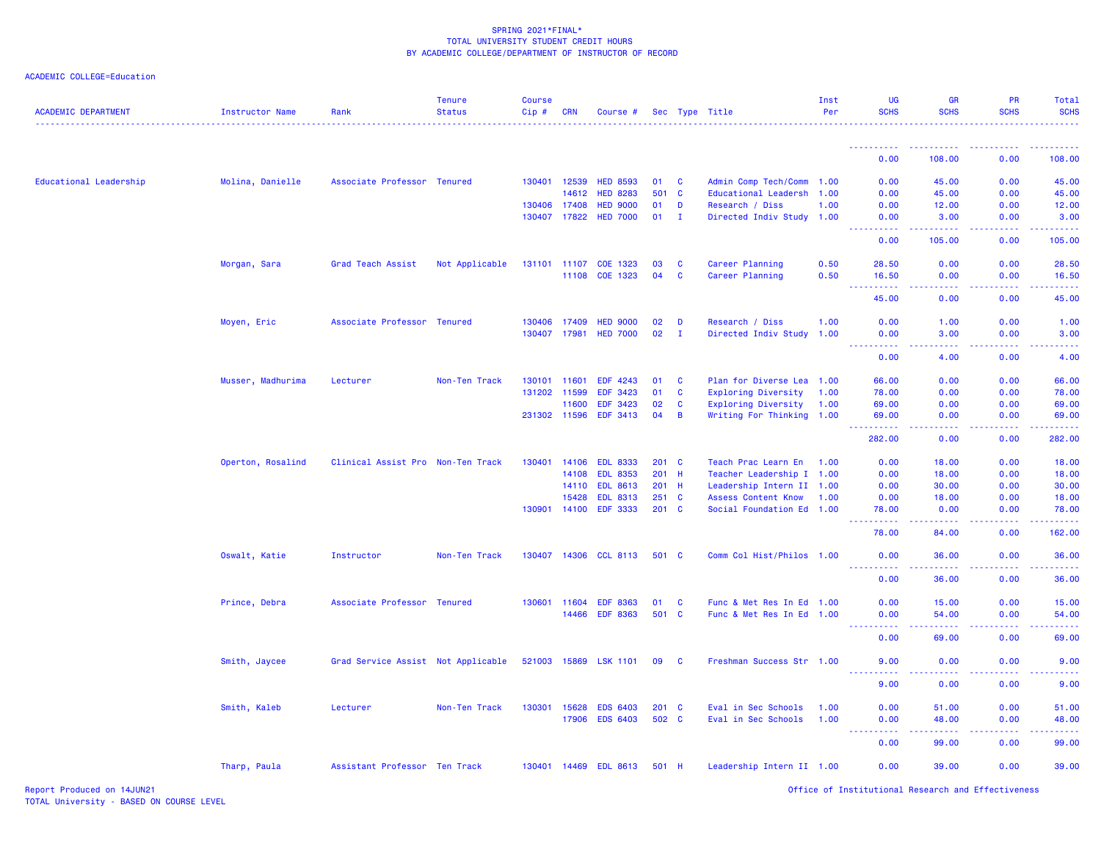| <b>ACADEMIC DEPARTMENT</b> | Instructor Name   | Rank                               | <b>Tenure</b><br><b>Status</b> | <b>Course</b><br>Cip# | CRN          | Course #              |               |              | Sec Type Title             | Inst<br>Per | <b>UG</b><br><b>SCHS</b>                                                                      | <b>GR</b><br><b>SCHS</b>                            | PR<br><b>SCHS</b>                            | Total<br><b>SCHS</b>                             |
|----------------------------|-------------------|------------------------------------|--------------------------------|-----------------------|--------------|-----------------------|---------------|--------------|----------------------------|-------------|-----------------------------------------------------------------------------------------------|-----------------------------------------------------|----------------------------------------------|--------------------------------------------------|
|                            |                   |                                    |                                |                       |              |                       |               |              |                            |             | <u>.</u>                                                                                      | <u>.</u>                                            | .                                            | .                                                |
|                            |                   |                                    |                                |                       |              |                       |               |              |                            |             | 0.00                                                                                          | 108.00                                              | 0.00                                         | 108.00                                           |
| Educational Leadership     | Molina, Danielle  | Associate Professor Tenured        |                                |                       | 130401 12539 | <b>HED 8593</b>       | 01            | $\mathbf{C}$ | Admin Comp Tech/Comm       | 1.00        | 0.00                                                                                          | 45.00                                               | 0.00                                         | 45.00                                            |
|                            |                   |                                    |                                |                       | 14612        | <b>HED 8283</b>       | 501           | $\mathbf{C}$ | Educational Leadersh       | 1.00        | 0.00                                                                                          | 45.00                                               | 0.00                                         | 45.00                                            |
|                            |                   |                                    |                                |                       | 130406 17408 | <b>HED 9000</b>       | 01            | D            | Research / Diss            | 1.00        | 0.00                                                                                          | 12.00                                               | 0.00                                         | 12.00                                            |
|                            |                   |                                    |                                |                       | 130407 17822 | <b>HED 7000</b>       | 01            | п.           | Directed Indiv Study 1.00  |             | 0.00                                                                                          | 3.00                                                | 0.00                                         | 3.00                                             |
|                            |                   |                                    |                                |                       |              |                       |               |              |                            |             | .<br>0.00                                                                                     | .<br>105.00                                         | المتمامين<br>0.00                            | د د د د د د<br>105.00                            |
|                            | Morgan, Sara      | Grad Teach Assist                  | Not Applicable                 |                       | 131101 11107 | COE 1323              | 03            | $\mathbf{C}$ | Career Planning            | 0.50        | 28.50                                                                                         | 0.00                                                | 0.00                                         | 28.50                                            |
|                            |                   |                                    |                                |                       | 11108        | COE 1323              | 04            | <b>C</b>     | Career Planning            | 0.50        | 16.50                                                                                         | 0.00                                                | 0.00                                         | 16.50                                            |
|                            |                   |                                    |                                |                       |              |                       |               |              |                            |             | .<br>$\frac{1}{2} \left( \frac{1}{2} \right) \frac{1}{2} \left( \frac{1}{2} \right)$<br>45.00 | .<br>0.00                                           | 0.00                                         | .<br>45.00                                       |
|                            | Moyen, Eric       | Associate Professor Tenured        |                                |                       | 130406 17409 | <b>HED 9000</b>       | 02            | D            | Research / Diss            | 1.00        | 0.00                                                                                          | 1.00                                                | 0.00                                         | 1.00                                             |
|                            |                   |                                    |                                |                       | 130407 17981 | <b>HED 7000</b>       | 02            | T            | Directed Indiv Study 1.00  |             | 0.00                                                                                          | 3.00                                                | 0.00                                         | 3.00                                             |
|                            |                   |                                    |                                |                       |              |                       |               |              |                            |             | 0.00                                                                                          | 4.00                                                | 0.00                                         | 4.00                                             |
|                            | Musser, Madhurima | Lecturer                           | Non-Ten Track                  |                       | 130101 11601 | EDF 4243              | 01            | $\mathbf{C}$ | Plan for Diverse Lea 1.00  |             | 66.00                                                                                         | 0.00                                                | 0.00                                         | 66.00                                            |
|                            |                   |                                    |                                |                       | 131202 11599 | EDF 3423              | 01            | <b>C</b>     | <b>Exploring Diversity</b> | 1.00        | 78.00                                                                                         | 0.00                                                | 0.00                                         | 78.00                                            |
|                            |                   |                                    |                                |                       | 11600        | EDF 3423              | 02            | <b>C</b>     | <b>Exploring Diversity</b> | 1.00        | 69.00                                                                                         | 0.00                                                | 0.00                                         | 69.00                                            |
|                            |                   |                                    |                                |                       | 231302 11596 | EDF 3413              | 04            | B            | Writing For Thinking 1.00  |             | 69.00                                                                                         | 0.00                                                | 0.00                                         | 69.00                                            |
|                            |                   |                                    |                                |                       |              |                       |               |              |                            |             | <u>.</u><br>282.00                                                                            | .<br>0.00                                           | . <b>.</b><br>0.00                           | <b><i><u><u> - - - - -</u></u></i></b><br>282.00 |
|                            | Operton, Rosalind | Clinical Assist Pro Non-Ten Track  |                                | 130401                | 14106        | <b>EDL 8333</b>       | $201$ C       |              | Teach Prac Learn En        | 1.00        | 0.00                                                                                          | 18.00                                               | 0.00                                         | 18.00                                            |
|                            |                   |                                    |                                |                       | 14108        | <b>EDL 8353</b>       | 201 H         |              | Teacher Leadership I 1.00  |             | 0.00                                                                                          | 18.00                                               | 0.00                                         | 18.00                                            |
|                            |                   |                                    |                                |                       | 14110        | <b>EDL 8613</b>       | $201$ H       |              | Leadership Intern II 1.00  |             | 0.00                                                                                          | 30.00                                               | 0.00                                         | 30.00                                            |
|                            |                   |                                    |                                |                       | 15428        | <b>EDL 8313</b>       | $251\quad C$  |              | <b>Assess Content Know</b> | 1.00        | 0.00                                                                                          | 18.00                                               | 0.00                                         | 18.00                                            |
|                            |                   |                                    |                                |                       |              | 130901 14100 EDF 3333 | $201 \quad C$ |              | Social Foundation Ed 1.00  |             | 78.00                                                                                         | 0.00                                                | 0.00                                         | 78.00                                            |
|                            |                   |                                    |                                |                       |              |                       |               |              |                            |             | 78.00                                                                                         | 84.00                                               | 0.00                                         | 162.00                                           |
|                            | Oswalt, Katie     | Instructor                         | Non-Ten Track                  |                       |              | 130407 14306 CCL 8113 | 501 C         |              | Comm Col Hist/Philos 1.00  |             | 0.00                                                                                          | 36.00                                               | 0.00                                         | 36.00                                            |
|                            |                   |                                    |                                |                       |              |                       |               |              |                            |             | ----------<br>0.00                                                                            | .<br>36.00                                          | <b><i><u><u> - - - -</u></u></i></b><br>0.00 | .<br>36.00                                       |
|                            | Prince, Debra     | Associate Professor Tenured        |                                |                       | 130601 11604 | <b>EDF 8363</b>       | 01            | $\mathbf{C}$ | Func & Met Res In Ed 1.00  |             | 0.00                                                                                          | 15.00                                               | 0.00                                         | 15.00                                            |
|                            |                   |                                    |                                |                       | 14466        | <b>EDF 8363</b>       | 501 C         |              | Func & Met Res In Ed 1.00  |             | 0.00<br><u> - - - - - - - - - -</u>                                                           | 54.00<br>22222                                      | 0.00<br>22222                                | 54.00<br>.                                       |
|                            |                   |                                    |                                |                       |              |                       |               |              |                            |             | 0.00                                                                                          | 69.00                                               | 0.00                                         | 69.00                                            |
|                            | Smith, Jaycee     | Grad Service Assist Not Applicable |                                | 521003 15869          |              | <b>LSK 1101</b>       | 09            | $\mathbf{C}$ | Freshman Success Str 1.00  |             | 9.00<br><u>.</u>                                                                              | 0.00<br>$\omega_{\rm{eff}}$ and $\omega_{\rm{eff}}$ | 0.00                                         | 9.00                                             |
|                            |                   |                                    |                                |                       |              |                       |               |              |                            |             | 9.00                                                                                          | 0.00                                                | 0.00                                         | 9.00                                             |
|                            | Smith, Kaleb      | Lecturer                           | Non-Ten Track                  |                       | 130301 15628 | <b>EDS 6403</b>       | $201$ C       |              | Eval in Sec Schools        | 1.00        | 0.00                                                                                          | 51.00                                               | 0.00                                         | 51.00                                            |
|                            |                   |                                    |                                |                       | 17906        | <b>EDS 6403</b>       | 502 C         |              | Eval in Sec Schools        | 1.00        | 0.00                                                                                          | 48.00                                               | 0.00                                         | 48.00                                            |
|                            |                   |                                    |                                |                       |              |                       |               |              |                            |             | <u> - - - - - - - - - -</u><br>0.00                                                           | .<br>99.00                                          | <b></b><br>0.00                              | .<br>99.00                                       |
|                            | Tharp, Paula      | Assistant Professor Ten Track      |                                |                       |              | 130401 14469 EDL 8613 | 501 H         |              | Leadership Intern II 1.00  |             | 0.00                                                                                          | 39.00                                               | 0.00                                         | 39.00                                            |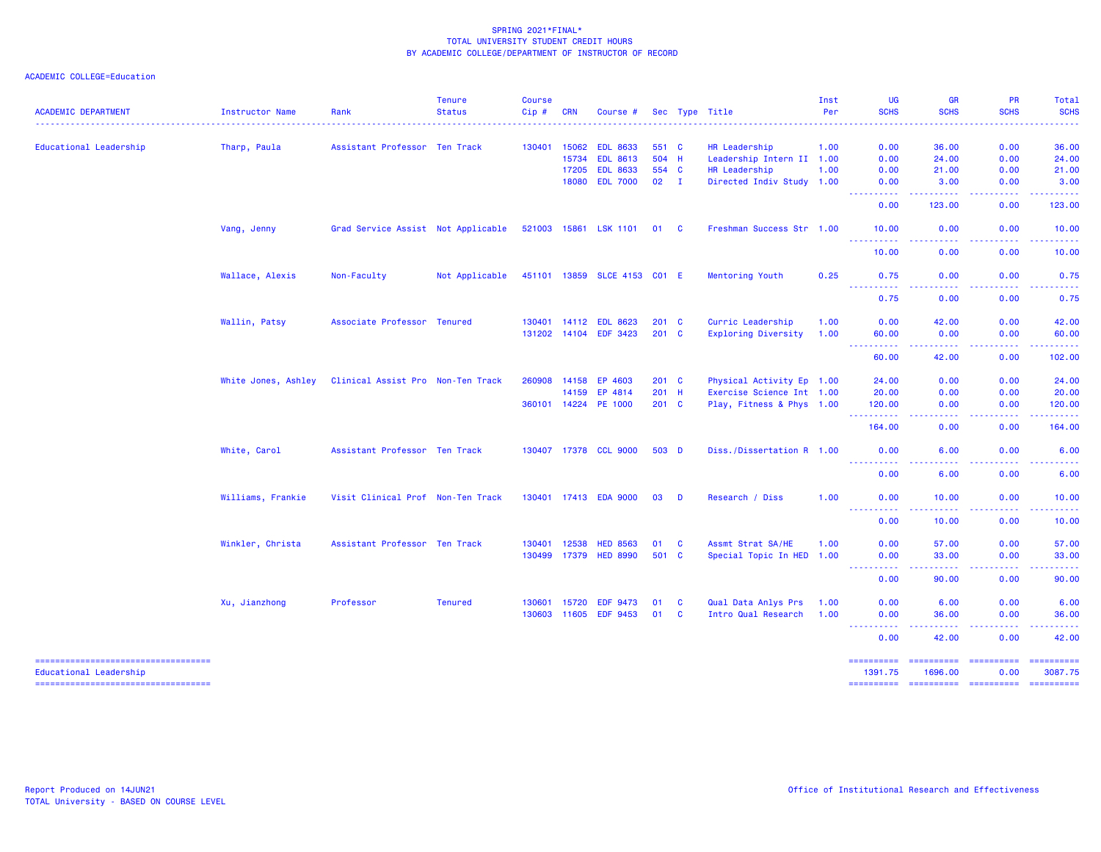## ACADEMIC COLLEGE=Education

|                                                              |                        |                                    | <b>Tenure</b>  | <b>Course</b> |              |                              |               |              |                            | Inst | UG                                    | <b>GR</b>                                                                                                                                                     | PR                                                                                                    | Total                 |
|--------------------------------------------------------------|------------------------|------------------------------------|----------------|---------------|--------------|------------------------------|---------------|--------------|----------------------------|------|---------------------------------------|---------------------------------------------------------------------------------------------------------------------------------------------------------------|-------------------------------------------------------------------------------------------------------|-----------------------|
| <b>ACADEMIC DEPARTMENT</b>                                   | <b>Instructor Name</b> | Rank                               | <b>Status</b>  | Cip#          | <b>CRN</b>   | Course #                     |               |              | Sec Type Title             | Per  | <b>SCHS</b>                           | <b>SCHS</b>                                                                                                                                                   | <b>SCHS</b>                                                                                           | <b>SCHS</b>           |
| Educational Leadership                                       | Tharp, Paula           | Assistant Professor Ten Track      |                |               | 130401 15062 | <b>EDL 8633</b>              | 551 C         |              | HR Leadership              | 1.00 | 0.00                                  | 36.00                                                                                                                                                         | 0.00                                                                                                  | 36.00                 |
|                                                              |                        |                                    |                |               | 15734        | <b>EDL 8613</b>              | 504 H         |              | Leadership Intern II 1.00  |      | 0.00                                  | 24.00                                                                                                                                                         | 0.00                                                                                                  | 24.00                 |
|                                                              |                        |                                    |                |               | 17205        | <b>EDL 8633</b>              | 554 C         |              | HR Leadership              | 1.00 | 0.00                                  | 21.00                                                                                                                                                         | 0.00                                                                                                  | 21.00                 |
|                                                              |                        |                                    |                |               | 18080        | <b>EDL 7000</b>              | $02 \qquad I$ |              | Directed Indiv Study 1.00  |      | 0.00<br><b></b>                       | 3.00<br>.                                                                                                                                                     | 0.00<br>.                                                                                             | 3.00<br>.             |
|                                                              |                        |                                    |                |               |              |                              |               |              |                            |      | 0.00                                  | 123.00                                                                                                                                                        | 0.00                                                                                                  | 123.00                |
|                                                              | Vang, Jenny            | Grad Service Assist Not Applicable |                |               |              | 521003 15861 LSK 1101 01 C   |               |              | Freshman Success Str 1.00  |      | 10.00<br><u> - - - - - - - - - -</u>  | 0.00<br>.                                                                                                                                                     | 0.00<br>.                                                                                             | 10.00<br>.            |
|                                                              |                        |                                    |                |               |              |                              |               |              |                            |      | 10.00                                 | 0.00                                                                                                                                                          | 0.00                                                                                                  | 10.00                 |
|                                                              | Wallace, Alexis        | Non-Faculty                        | Not Applicable |               |              | 451101 13859 SLCE 4153 CO1 E |               |              | Mentoring Youth            | 0.25 | 0.75<br>----------                    | 0.00<br>وعاويا                                                                                                                                                | 0.00<br>.                                                                                             | 0.75<br>.             |
|                                                              |                        |                                    |                |               |              |                              |               |              |                            |      | 0.75                                  | 0.00                                                                                                                                                          | 0.00                                                                                                  | 0.75                  |
|                                                              | Wallin, Patsy          | Associate Professor Tenured        |                |               |              | 130401 14112 EDL 8623        | $201$ C       |              | Curric Leadership          | 1.00 | 0.00                                  | 42.00                                                                                                                                                         | 0.00                                                                                                  | 42.00                 |
|                                                              |                        |                                    |                |               |              | 131202 14104 EDF 3423        | $201$ C       |              | <b>Exploring Diversity</b> | 1.00 | 60.00                                 | 0.00                                                                                                                                                          | 0.00                                                                                                  | 60.00                 |
|                                                              |                        |                                    |                |               |              |                              |               |              |                            |      | ----------<br>60.00                   | $\frac{1}{2} \left( \frac{1}{2} \right) \left( \frac{1}{2} \right) \left( \frac{1}{2} \right) \left( \frac{1}{2} \right)$<br>42.00                            | . <b>.</b><br>0.00                                                                                    | 102.00                |
|                                                              | White Jones, Ashley    | Clinical Assist Pro Non-Ten Track  |                | 260908        | 14158        | EP 4603                      | $201 \quad C$ |              | Physical Activity Ep 1.00  |      | 24.00                                 | 0.00                                                                                                                                                          | 0.00                                                                                                  | 24.00                 |
|                                                              |                        |                                    |                |               | 14159        | EP 4814                      | $201$ H       |              | Exercise Science Int 1.00  |      | 20.00                                 | 0.00                                                                                                                                                          | 0.00                                                                                                  | 20.00                 |
|                                                              |                        |                                    |                |               |              | 360101 14224 PE 1000         | $201$ C       |              | Play, Fitness & Phys 1.00  |      | 120.00                                | 0.00                                                                                                                                                          | 0.00                                                                                                  | 120.00                |
|                                                              |                        |                                    |                |               |              |                              |               |              |                            |      | <u> - - - - - - - - - -</u><br>164.00 | 0.00                                                                                                                                                          | 0.00                                                                                                  | 164.00                |
|                                                              | White, Carol           | Assistant Professor Ten Track      |                |               |              | 130407 17378 CCL 9000        | 503 D         |              | Diss./Dissertation R 1.00  |      | 0.00<br><u>.</u>                      | 6.00                                                                                                                                                          | 0.00                                                                                                  | 6.00                  |
|                                                              |                        |                                    |                |               |              |                              |               |              |                            |      | 0.00                                  | 6.00                                                                                                                                                          | 0.00                                                                                                  | 6.00                  |
|                                                              | Williams, Frankie      | Visit Clinical Prof Non-Ten Track  |                |               |              | 130401 17413 EDA 9000        | 03            | <b>D</b>     | Research / Diss            | 1.00 | 0.00<br><u> - - - - - - - - - -</u>   | 10.00<br>$\frac{1}{2} \left( \frac{1}{2} \right) \left( \frac{1}{2} \right) \left( \frac{1}{2} \right) \left( \frac{1}{2} \right) \left( \frac{1}{2} \right)$ | 0.00<br>.                                                                                             | 10.00<br>. <u>.</u>   |
|                                                              |                        |                                    |                |               |              |                              |               |              |                            |      | 0.00                                  | 10.00                                                                                                                                                         | 0.00                                                                                                  | 10.00                 |
|                                                              | Winkler, Christa       | Assistant Professor Ten Track      |                | 130401 12538  |              | <b>HED 8563</b>              | 01 C          |              | Assmt Strat SA/HE          | 1.00 | 0.00                                  | 57.00                                                                                                                                                         | 0.00                                                                                                  | 57.00                 |
|                                                              |                        |                                    |                |               |              | 130499 17379 HED 8990        | 501 C         |              | Special Topic In HED 1.00  |      | 0.00                                  | 33.00                                                                                                                                                         | 0.00                                                                                                  | 33.00                 |
|                                                              |                        |                                    |                |               |              |                              |               |              |                            |      | ----------<br>0.00                    | 90.00                                                                                                                                                         | -----<br>0.00                                                                                         | .<br>90.00            |
|                                                              | Xu, Jianzhong          | Professor                          | <b>Tenured</b> | 130601        | 15720        | <b>EDF 9473</b>              | 01            | <b>C</b>     | Qual Data Anlys Prs        | 1.00 | 0.00                                  | 6.00                                                                                                                                                          | 0.00                                                                                                  | 6.00                  |
|                                                              |                        |                                    |                |               |              | 130603 11605 EDF 9453        | 01            | $\mathbf{C}$ | Intro Qual Research        | 1.00 | 0.00                                  | 36.00                                                                                                                                                         | 0.00                                                                                                  | 36.00                 |
|                                                              |                        |                                    |                |               |              |                              |               |              |                            |      | ----------<br>0.00                    | .<br>42.00                                                                                                                                                    | <b></b><br>0.00                                                                                       | .<br>42.00            |
| ----------------------------------<br>Educational Leadership |                        |                                    |                |               |              |                              |               |              |                            |      | ==========<br>1391.75                 | ==========<br>1696.00                                                                                                                                         | $\begin{array}{c} \texttt{m} = \texttt{m} = \texttt{m} = \texttt{m} = \texttt{m} \end{array}$<br>0.00 | ==========<br>3087.75 |

=================================== ========== ========== ========== ==========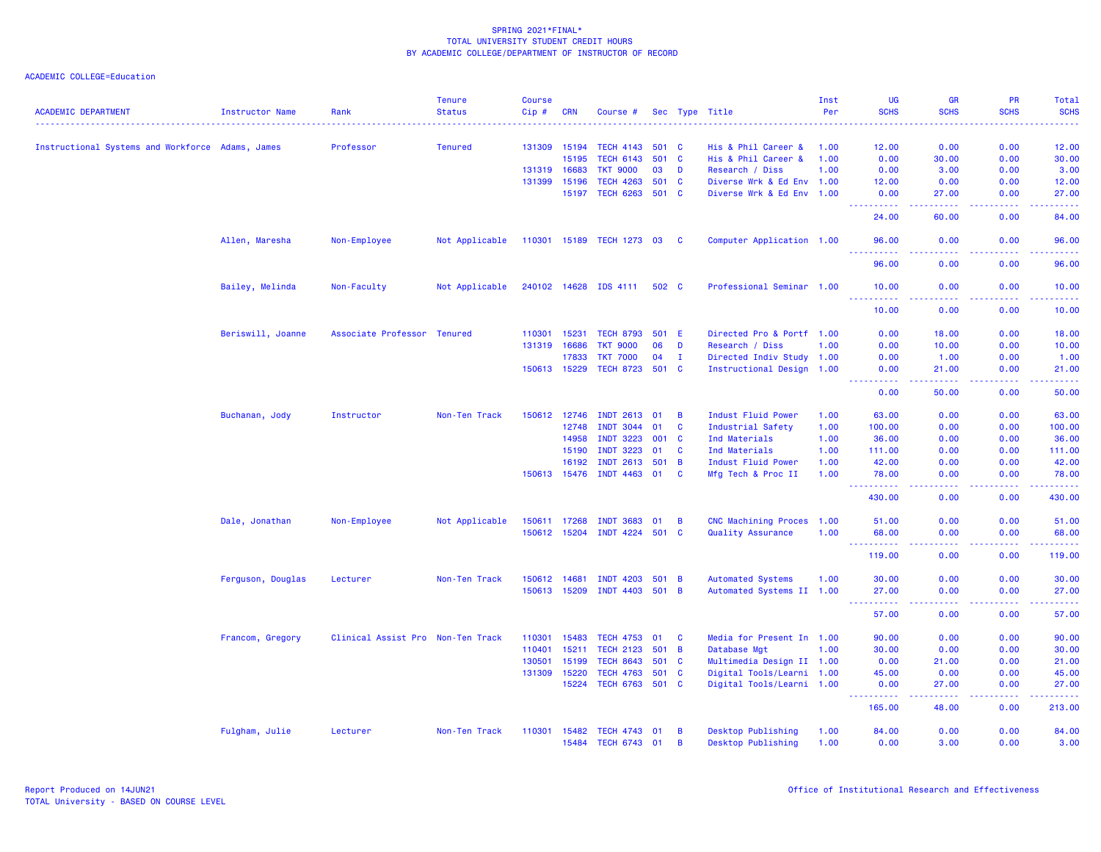| <b>ACADEMIC DEPARTMENT</b>                       | <b>Instructor Name</b> | Rank                              | <b>Tenure</b><br><b>Status</b> | <b>Course</b><br>Cip# | <b>CRN</b> | Course #                    |       |                         | Sec Type Title            | Inst<br>Per | UG<br><b>SCHS</b>                                                                                                                                            | <b>GR</b><br><b>SCHS</b>             | <b>PR</b><br><b>SCHS</b>                     | Total<br><b>SCHS</b> |
|--------------------------------------------------|------------------------|-----------------------------------|--------------------------------|-----------------------|------------|-----------------------------|-------|-------------------------|---------------------------|-------------|--------------------------------------------------------------------------------------------------------------------------------------------------------------|--------------------------------------|----------------------------------------------|----------------------|
|                                                  |                        |                                   |                                |                       |            |                             |       |                         |                           |             | $\frac{1}{2} \left( \frac{1}{2} \right) \left( \frac{1}{2} \right) \left( \frac{1}{2} \right) \left( \frac{1}{2} \right) \left( \frac{1}{2} \right)$         | $- - - - -$                          |                                              | .                    |
| Instructional Systems and Workforce Adams, James |                        | Professor                         | <b>Tenured</b>                 | 131309 15194          |            | <b>TECH 4143</b>            | 501 C |                         | His & Phil Career &       | 1.00        | 12.00                                                                                                                                                        | 0.00                                 | 0.00                                         | 12.00                |
|                                                  |                        |                                   |                                |                       | 15195      | <b>TECH 6143</b>            | 501 C |                         | His & Phil Career &       | 1.00        | 0.00                                                                                                                                                         | 30.00                                | 0.00                                         | 30.00                |
|                                                  |                        |                                   |                                | 131319 16683          |            | <b>TKT 9000</b>             | 03    | D                       | Research / Diss           | 1.00        | 0.00                                                                                                                                                         | 3.00                                 | 0.00                                         | 3.00                 |
|                                                  |                        |                                   |                                | 131399                | 15196      | <b>TECH 4263</b>            | 501 C |                         | Diverse Wrk & Ed Env 1.00 |             | 12.00                                                                                                                                                        | 0.00                                 | 0.00                                         | 12.00                |
|                                                  |                        |                                   |                                |                       | 15197      | <b>TECH 6263</b>            | 501 C |                         | Diverse Wrk & Ed Env 1.00 |             | 0.00<br>.                                                                                                                                                    | 27.00<br>.                           | 0.00<br>22222                                | 27.00<br>.           |
|                                                  |                        |                                   |                                |                       |            |                             |       |                         |                           |             | 24.00                                                                                                                                                        | 60.00                                | 0.00                                         | 84.00                |
|                                                  | Allen, Maresha         | Non-Employee                      | Not Applicable                 |                       |            | 110301 15189 TECH 1273 03 C |       |                         | Computer Application 1.00 |             | 96.00                                                                                                                                                        | 0.00                                 | 0.00                                         | 96.00                |
|                                                  |                        |                                   |                                |                       |            |                             |       |                         |                           |             | 96.00                                                                                                                                                        | 0.00                                 | 0.00                                         | 96.00                |
|                                                  | Bailey, Melinda        | Non-Faculty                       | Not Applicable                 |                       |            | 240102 14628 IDS 4111       | 502 C |                         | Professional Seminar 1.00 |             | 10.00<br>2.2.2.2.2.2                                                                                                                                         | 0.00<br>.                            | 0.00                                         | 10.00<br>.           |
|                                                  |                        |                                   |                                |                       |            |                             |       |                         |                           |             | 10.00                                                                                                                                                        | 0.00                                 | 0.00                                         | 10.00                |
|                                                  | Beriswill, Joanne      | Associate Professor Tenured       |                                | 110301                | 15231      | <b>TECH 8793</b>            | 501 E |                         | Directed Pro & Portf 1.00 |             | 0.00                                                                                                                                                         | 18.00                                | 0.00                                         | 18.00                |
|                                                  |                        |                                   |                                | 131319                | 16686      | <b>TKT 9000</b>             | 06    | D                       | Research / Diss           | 1.00        | 0.00                                                                                                                                                         | 10.00                                | 0.00                                         | 10.00                |
|                                                  |                        |                                   |                                |                       | 17833      | <b>TKT 7000</b>             | 04    | $\mathbf{I}$            | Directed Indiv Study 1.00 |             | 0.00                                                                                                                                                         | 1.00                                 | 0.00                                         | 1.00                 |
|                                                  |                        |                                   |                                | 150613 15229          |            | TECH 8723 501 C             |       |                         | Instructional Design 1.00 |             | 0.00                                                                                                                                                         | 21.00                                | 0.00                                         | 21.00                |
|                                                  |                        |                                   |                                |                       |            |                             |       |                         |                           |             | $ -$<br>.<br>0.00                                                                                                                                            | -----<br>50.00                       | <b><i><u><u> - - - -</u></u></i></b><br>0.00 | .<br>50.00           |
|                                                  | Buchanan, Jody         | Instructor                        | Non-Ten Track                  | 150612                | 12746      | <b>INDT 2613</b>            | 01    | $\overline{\mathbf{B}}$ | Indust Fluid Power        | 1.00        | 63.00                                                                                                                                                        | 0.00                                 | 0.00                                         | 63.00                |
|                                                  |                        |                                   |                                |                       | 12748      | <b>INDT 3044</b>            | 01    | <b>C</b>                | Industrial Safety         | 1.00        | 100.00                                                                                                                                                       | 0.00                                 | 0.00                                         | 100.00               |
|                                                  |                        |                                   |                                |                       | 14958      | <b>INDT 3223</b>            | 001 C |                         | Ind Materials             | 1.00        | 36.00                                                                                                                                                        | 0.00                                 | 0.00                                         | 36.00                |
|                                                  |                        |                                   |                                |                       | 15190      | <b>INDT 3223</b>            | 01    | <b>C</b>                | Ind Materials             | 1.00        | 111.00                                                                                                                                                       | 0.00                                 | 0.00                                         | 111.00               |
|                                                  |                        |                                   |                                |                       | 16192      | <b>INDT 2613</b>            | 501   | $\overline{B}$          | Indust Fluid Power        | 1.00        | 42.00                                                                                                                                                        | 0.00                                 | 0.00                                         | 42.00                |
|                                                  |                        |                                   |                                | 150613 15476          |            | INDT 4463 01                |       | <b>C</b>                | Mfg Tech & Proc II        | 1.00        | 78.00<br>.                                                                                                                                                   | 0.00<br>$\sim$ $\sim$ $\sim$ $\sim$  | 0.00<br>.                                    | 78.00<br>.           |
|                                                  |                        |                                   |                                |                       |            |                             |       |                         |                           |             | 430.00                                                                                                                                                       | 0.00                                 | 0.00                                         | 430.00               |
|                                                  | Dale, Jonathan         | Non-Employee                      | Not Applicable                 | 150611                | 17268      | <b>INDT 3683</b>            | 01    | $\overline{B}$          | CNC Machining Proces      | 1.00        | 51.00                                                                                                                                                        | 0.00                                 | 0.00                                         | 51.00                |
|                                                  |                        |                                   |                                | 150612 15204          |            | <b>INDT 4224</b>            | 501 C |                         | Quality Assurance         | 1.00        | 68.00                                                                                                                                                        | 0.00                                 | 0.00                                         | 68.00                |
|                                                  |                        |                                   |                                |                       |            |                             |       |                         |                           |             | 119.00                                                                                                                                                       | 0.00                                 | 0.00                                         | 119.00               |
|                                                  | Ferguson, Douglas      | Lecturer                          | Non-Ten Track                  | 150612 14681          |            | <b>INDT 4203</b>            | 501   | $\overline{B}$          | <b>Automated Systems</b>  | 1.00        | 30.00                                                                                                                                                        | 0.00                                 | 0.00                                         | 30.00                |
|                                                  |                        |                                   |                                | 150613 15209          |            | <b>INDT 4403</b>            | 501   | $\overline{B}$          | Automated Systems II 1.00 |             | 27.00<br><b>.</b> .<br>$\frac{1}{2} \left( \frac{1}{2} \right) \left( \frac{1}{2} \right) \left( \frac{1}{2} \right)$                                        | 0.00<br>.                            | 0.00<br><b><i><u><u> - - - -</u></u></i></b> | 27.00<br>.           |
|                                                  |                        |                                   |                                |                       |            |                             |       |                         |                           |             | 57.00                                                                                                                                                        | 0.00                                 | 0.00                                         | 57.00                |
|                                                  | Francom, Gregory       | Clinical Assist Pro Non-Ten Track |                                | 110301                | 15483      | <b>TECH 4753</b>            | 01    | C                       | Media for Present In 1.00 |             | 90.00                                                                                                                                                        | 0.00                                 | 0.00                                         | 90.00                |
|                                                  |                        |                                   |                                | 110401                | 15211      | <b>TECH 2123</b>            | 501   | $\overline{B}$          | Database Mgt              | 1.00        | 30.00                                                                                                                                                        | 0.00                                 | 0.00                                         | 30.00                |
|                                                  |                        |                                   |                                | 130501                | 15199      | <b>TECH 8643</b>            | 501 C |                         | Multimedia Design II 1.00 |             | 0.00                                                                                                                                                         | 21.00                                | 0.00                                         | 21.00                |
|                                                  |                        |                                   |                                | 131309                | 15220      | <b>TECH 4763</b>            | 501 C |                         | Digital Tools/Learni 1.00 |             | 45.00                                                                                                                                                        | 0.00                                 | 0.00                                         | 45.00                |
|                                                  |                        |                                   |                                |                       | 15224      | TECH 6763 501 C             |       |                         | Digital Tools/Learni 1.00 |             | 0.00<br>$\frac{1}{2} \left( \frac{1}{2} \right) \left( \frac{1}{2} \right) \left( \frac{1}{2} \right) \left( \frac{1}{2} \right) \left( \frac{1}{2} \right)$ | 27.00<br>$\sim$ $\sim$ $\sim$ $\sim$ | 0.00<br>.                                    | 27.00                |
|                                                  |                        |                                   |                                |                       |            |                             |       |                         |                           |             | 165.00                                                                                                                                                       | 48.00                                | 0.00                                         | 213.00               |
|                                                  | Fulgham, Julie         | Lecturer                          | Non-Ten Track                  | 110301                | 15482      | <b>TECH 4743</b>            | 01    | B                       | Desktop Publishing        | 1.00        | 84.00                                                                                                                                                        | 0.00                                 | 0.00                                         | 84.00                |
|                                                  |                        |                                   |                                |                       | 15484      | TECH 6743 01                |       | B                       | Desktop Publishing        | 1.00        | 0.00                                                                                                                                                         | 3.00                                 | 0.00                                         | 3.00                 |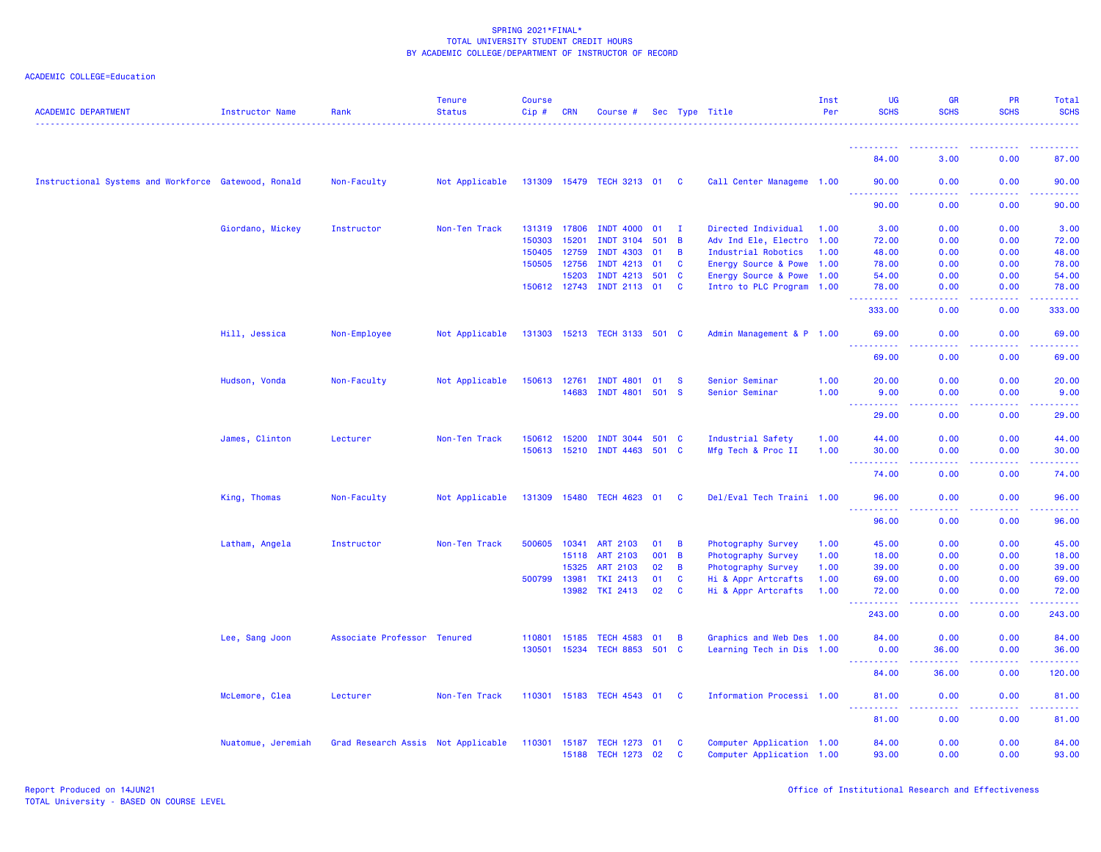| <b>ACADEMIC DEPARTMENT</b>                           | Instructor Name    | Rank                               | <b>Tenure</b><br><b>Status</b> | <b>Course</b><br>Cip# | <b>CRN</b> | Course #                           |       |                | Sec Type Title                                         | Inst<br>Per | UG<br><b>SCHS</b>                                                                         | GR<br><b>SCHS</b> | PR<br><b>SCHS</b> | <b>Total</b><br><b>SCHS</b> |
|------------------------------------------------------|--------------------|------------------------------------|--------------------------------|-----------------------|------------|------------------------------------|-------|----------------|--------------------------------------------------------|-------------|-------------------------------------------------------------------------------------------|-------------------|-------------------|-----------------------------|
|                                                      |                    |                                    |                                |                       |            |                                    |       |                |                                                        |             | ----------                                                                                |                   |                   |                             |
|                                                      |                    |                                    |                                |                       |            |                                    |       |                |                                                        |             | 84.00                                                                                     | 3.00              | 0.00              | 87.00                       |
| Instructional Systems and Workforce Gatewood, Ronald |                    | Non-Faculty                        | Not Applicable                 |                       |            | 131309 15479 TECH 3213 01          |       | $\mathbf{C}$   | Call Center Manageme 1.00                              |             | 90.00                                                                                     | 0.00              | 0.00              | 90.00                       |
|                                                      |                    |                                    |                                |                       |            |                                    |       |                |                                                        |             | 90.00                                                                                     | 0.00              | 0.00              | 90.00                       |
|                                                      | Giordano, Mickey   | Instructor                         | Non-Ten Track                  | 131319 17806          |            | <b>INDT 4000</b>                   | 01    | $\mathbf{I}$   | Directed Individual                                    | 1.00        | 3.00                                                                                      | 0.00              | 0.00              | 3.00                        |
|                                                      |                    |                                    |                                | 150303                | 15201      | <b>INDT 3104</b>                   | 501 B |                | Adv Ind Ele, Electro                                   | 1.00        | 72.00                                                                                     | 0.00              | 0.00              | 72.00                       |
|                                                      |                    |                                    |                                | 150405 12759          |            | <b>INDT 4303</b>                   | 01    | $\overline{B}$ | Industrial Robotics                                    | 1.00        | 48.00                                                                                     | 0.00              | 0.00              | 48.00                       |
|                                                      |                    |                                    |                                | 150505 12756          |            | <b>INDT 4213</b>                   | 01    | C              | Energy Source & Powe                                   | 1.00        | 78.00                                                                                     | 0.00              | 0.00              | 78.00                       |
|                                                      |                    |                                    |                                |                       | 15203      | <b>INDT 4213</b>                   | 501 C |                | Energy Source & Powe 1.00                              |             | 54.00                                                                                     | 0.00              | 0.00              | 54.00                       |
|                                                      |                    |                                    |                                |                       |            | 150612 12743 INDT 2113 01          |       | <b>C</b>       | Intro to PLC Program 1.00                              |             | 78.00<br>د د د د د<br>$\frac{1}{2} \left( \frac{1}{2} \right) \left( \frac{1}{2} \right)$ | 0.00              | 0.00              | 78.00                       |
|                                                      |                    |                                    |                                |                       |            |                                    |       |                |                                                        |             | 333.00                                                                                    | 0.00              | 0.00              | 333.00                      |
|                                                      | Hill, Jessica      | Non-Employee                       | Not Applicable                 |                       |            | 131303 15213 TECH 3133 501 C       |       |                | Admin Management & P 1.00                              |             | 69.00                                                                                     | 0.00              | 0.00              | 69.00                       |
|                                                      |                    |                                    |                                |                       |            |                                    |       |                |                                                        |             | 69.00                                                                                     | 0.00              | 0.00              | 69.00                       |
|                                                      | Hudson, Vonda      | Non-Faculty                        | Not Applicable                 | 150613 12761          |            | <b>INDT 4801</b>                   | 01    | <b>S</b>       | Senior Seminar                                         | 1.00        | 20.00                                                                                     | 0.00              | 0.00              | 20.00                       |
|                                                      |                    |                                    |                                |                       | 14683      | <b>INDT 4801</b>                   | 501 S |                | Senior Seminar                                         | 1.00        | 9.00                                                                                      | 0.00              | 0.00              | 9.00                        |
|                                                      |                    |                                    |                                |                       |            |                                    |       |                |                                                        |             | <b>.</b>                                                                                  | د د د د           | .                 | .                           |
|                                                      |                    |                                    |                                |                       |            |                                    |       |                |                                                        |             | 29.00                                                                                     | 0.00              | 0.00              | 29.00                       |
|                                                      | James, Clinton     | Lecturer                           | Non-Ten Track                  | 150612                | 15200      | <b>INDT 3044</b>                   | 501 C |                | Industrial Safety                                      | 1.00        | 44.00                                                                                     | 0.00              | 0.00              | 44.00                       |
|                                                      |                    |                                    |                                |                       |            | 150613 15210 INDT 4463 501 C       |       |                | Mfg Tech & Proc II                                     | 1.00        | 30.00                                                                                     | 0.00              | 0.00              | 30.00                       |
|                                                      |                    |                                    |                                |                       |            |                                    |       |                |                                                        |             | 74.00                                                                                     | 0.00              | 0.00              | 74.00                       |
|                                                      | King, Thomas       | Non-Faculty                        | Not Applicable                 |                       |            | 131309 15480 TECH 4623 01 C        |       |                | Del/Eval Tech Traini 1.00                              |             | 96.00                                                                                     | 0.00              | 0.00              | 96.00                       |
|                                                      |                    |                                    |                                |                       |            |                                    |       |                |                                                        |             | 96.00                                                                                     | 0.00              | 0.00              | 96.00                       |
|                                                      | Latham, Angela     | Instructor                         | Non-Ten Track                  | 500605                | 10341      | <b>ART 2103</b>                    | 01    | $\overline{B}$ | Photography Survey                                     | 1.00        | 45.00                                                                                     | 0.00              | 0.00              | 45.00                       |
|                                                      |                    |                                    |                                |                       | 15118      | <b>ART 2103</b>                    | 001 B |                | Photography Survey                                     | 1.00        | 18.00                                                                                     | 0.00              | 0.00              | 18.00                       |
|                                                      |                    |                                    |                                |                       | 15325      | <b>ART 2103</b>                    | 02    | B              | Photography Survey                                     | 1.00        | 39.00                                                                                     | 0.00              | 0.00              | 39.00                       |
|                                                      |                    |                                    |                                | 500799 13981          |            | <b>TKI 2413</b>                    | 01    | $\mathbf{C}$   | Hi & Appr Artcrafts                                    | 1.00        | 69.00                                                                                     | 0.00              | 0.00              | 69.00                       |
|                                                      |                    |                                    |                                |                       | 13982      | <b>TKI 2413</b>                    | 02    | <b>C</b>       | Hi & Appr Artcrafts                                    | 1.00        | 72.00                                                                                     | 0.00              | 0.00              | 72.00                       |
|                                                      |                    |                                    |                                |                       |            |                                    |       |                |                                                        |             | 243.00                                                                                    | 0.00              | 0.00              | 243.00                      |
|                                                      | Lee, Sang Joon     | Associate Professor Tenured        |                                | 110801 15185          |            | <b>TECH 4583</b>                   | 01    | B              | Graphics and Web Des 1.00                              |             | 84.00                                                                                     | 0.00              | 0.00              | 84.00                       |
|                                                      |                    |                                    |                                |                       |            | 130501 15234 TECH 8853 501 C       |       |                | Learning Tech in Dis 1.00                              |             | 0.00<br>$\sim$ $\sim$ $\sim$<br>بالأباليات                                                | 36.00             | 0.00              | 36.00                       |
|                                                      |                    |                                    |                                |                       |            |                                    |       |                |                                                        |             | 84.00                                                                                     | 36.00             | 0.00              | 120.00                      |
|                                                      | McLemore, Clea     | Lecturer                           | Non-Ten Track                  |                       |            | 110301 15183 TECH 4543 01 C        |       |                | Information Processi 1.00                              |             | 81.00                                                                                     | 0.00              | 0.00              | 81.00                       |
|                                                      |                    |                                    |                                |                       |            |                                    |       |                |                                                        |             | .<br>81.00                                                                                | 0.00              | 0.00              | 81.00                       |
|                                                      | Nuatomue, Jeremiah | Grad Research Assis Not Applicable |                                | 110301                | 15187      | TECH 1273 01<br>15188 TECH 1273 02 |       | C<br>C         | Computer Application 1.00<br>Computer Application 1.00 |             | 84.00<br>93.00                                                                            | 0.00<br>0.00      | 0.00<br>0.00      | 84.00<br>93.00              |
|                                                      |                    |                                    |                                |                       |            |                                    |       |                |                                                        |             |                                                                                           |                   |                   |                             |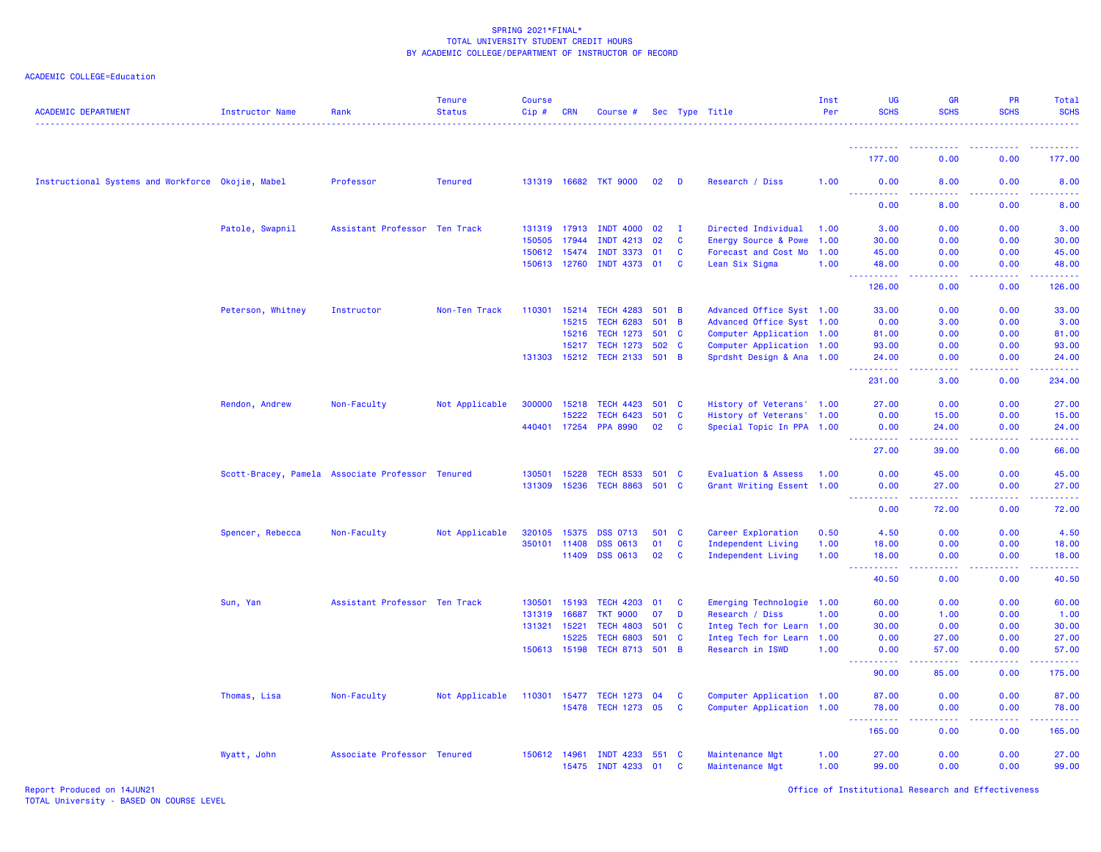| <b>ACADEMIC DEPARTMENT</b>                        | Instructor Name                                  | Rank                          | <b>Tenure</b><br><b>Status</b> | <b>Course</b><br>Cip# | <b>CRN</b> | Course #                     |         |              | Sec Type Title                 | Inst<br>Per | UG<br><b>SCHS</b>            | <b>GR</b><br><b>SCHS</b>       | <b>PR</b><br><b>SCHS</b>              | Total<br><b>SCHS</b>                                                                                                 |
|---------------------------------------------------|--------------------------------------------------|-------------------------------|--------------------------------|-----------------------|------------|------------------------------|---------|--------------|--------------------------------|-------------|------------------------------|--------------------------------|---------------------------------------|----------------------------------------------------------------------------------------------------------------------|
|                                                   |                                                  |                               |                                |                       |            |                              |         |              |                                |             | <u>.</u>                     |                                |                                       |                                                                                                                      |
|                                                   |                                                  |                               |                                |                       |            |                              |         |              |                                |             | 177.00                       | 0.00                           | 0.00                                  | 177.00                                                                                                               |
| Instructional Systems and Workforce Okojie, Mabel |                                                  | Professor                     | <b>Tenured</b>                 |                       |            | 131319 16682 TKT 9000        | 02      | $\mathbf{D}$ | Research / Diss                | 1.00        | 0.00<br><u>.</u>             | 8.00<br>.                      | 0.00<br>.                             | 8.00                                                                                                                 |
|                                                   |                                                  |                               |                                |                       |            |                              |         |              |                                |             | 0.00                         | 8.00                           | 0.00                                  | 8.00                                                                                                                 |
|                                                   | Patole, Swapnil                                  | Assistant Professor Ten Track |                                | 131319 17913          |            | <b>INDT 4000</b>             | 02      | $\mathbf{I}$ | Directed Individual            | 1.00        | 3.00                         | 0.00                           | 0.00                                  | 3.00                                                                                                                 |
|                                                   |                                                  |                               |                                | 150505                | 17944      | <b>INDT 4213</b>             | 02      | C            | Energy Source & Powe           | 1.00        | 30.00                        | 0.00                           | 0.00                                  | 30.00                                                                                                                |
|                                                   |                                                  |                               |                                | 150612                | 15474      | <b>INDT 3373</b>             | 01      | C            | Forecast and Cost Mo           | 1.00        | 45.00                        | 0.00                           | 0.00                                  | 45.00                                                                                                                |
|                                                   |                                                  |                               |                                | 150613 12760          |            | INDT 4373 01                 |         | <b>C</b>     | Lean Six Sigma                 | 1.00        | 48.00<br>444                 | 0.00<br>المتمالين              | 0.00<br>22222                         | 48.00<br>والمتمام مالما                                                                                              |
|                                                   |                                                  |                               |                                |                       |            |                              |         |              |                                |             | 126.00                       | 0.00                           | 0.00                                  | 126.00                                                                                                               |
|                                                   | Peterson, Whitney                                | Instructor                    | Non-Ten Track                  | 110301                | 15214      | <b>TECH 4283</b>             | $501$ B |              | Advanced Office Syst 1.00      |             | 33.00                        | 0.00                           | 0.00                                  | 33.00                                                                                                                |
|                                                   |                                                  |                               |                                |                       | 15215      | <b>TECH 6283</b>             | 501 B   |              | Advanced Office Syst 1.00      |             | 0.00                         | 3.00                           | 0.00                                  | 3.00                                                                                                                 |
|                                                   |                                                  |                               |                                |                       | 15216      | <b>TECH 1273</b>             | 501 C   |              | Computer Application 1.00      |             | 81.00                        | 0.00                           | 0.00                                  | 81.00                                                                                                                |
|                                                   |                                                  |                               |                                |                       | 15217      | <b>TECH 1273</b>             | 502 C   |              | Computer Application 1.00      |             | 93.00                        | 0.00                           | 0.00                                  | 93.00                                                                                                                |
|                                                   |                                                  |                               |                                |                       |            | 131303 15212 TECH 2133 501 B |         |              | Sprdsht Design & Ana 1.00      |             | 24.00<br>المتمامين           | 0.00<br>.                      | 0.00<br>22222                         | 24.00<br>$\begin{array}{cccccccccc} \bullet & \bullet & \bullet & \bullet & \bullet & \bullet & \bullet \end{array}$ |
|                                                   |                                                  |                               |                                |                       |            |                              |         |              |                                |             | 231.00                       | 3.00                           | 0.00                                  | 234.00                                                                                                               |
|                                                   | Rendon, Andrew                                   | Non-Faculty                   | Not Applicable                 | 300000                | 15218      | <b>TECH 4423</b>             | 501 C   |              | History of Veterans' 1.00      |             | 27.00                        | 0.00                           | 0.00                                  | 27.00                                                                                                                |
|                                                   |                                                  |                               |                                |                       | 15222      | <b>TECH 6423</b>             | 501 C   |              | History of Veterans' 1.00      |             | 0.00                         | 15.00                          | 0.00                                  | 15.00                                                                                                                |
|                                                   |                                                  |                               |                                | 440401 17254          |            | <b>PPA 8990</b>              | 02      | C            | Special Topic In PPA 1.00      |             | 0.00<br>الداعات عامان        | 24.00<br>22222                 | 0.00<br>.                             | 24.00<br>.                                                                                                           |
|                                                   |                                                  |                               |                                |                       |            |                              |         |              |                                |             | 27.00                        | 39.00                          | 0.00                                  | 66.00                                                                                                                |
|                                                   | Scott-Bracey, Pamela Associate Professor Tenured |                               |                                | 130501                | 15228      | <b>TECH 8533</b>             | 501 C   |              | <b>Evaluation &amp; Assess</b> | 1.00        | 0.00                         | 45.00                          | 0.00                                  | 45.00                                                                                                                |
|                                                   |                                                  |                               |                                | 131309                | 15236      | <b>TECH 8863</b>             | 501 C   |              | Grant Writing Essent 1.00      |             | 0.00                         | 27.00                          | 0.00                                  | 27.00                                                                                                                |
|                                                   |                                                  |                               |                                |                       |            |                              |         |              |                                |             | .<br>---                     | .                              | . <b>.</b>                            | .                                                                                                                    |
|                                                   |                                                  |                               |                                |                       |            |                              |         |              |                                |             | 0.00                         | 72.00                          | 0.00                                  | 72.00                                                                                                                |
|                                                   | Spencer, Rebecca                                 | Non-Faculty                   | Not Applicable                 | 320105                | 15375      | <b>DSS 0713</b>              | 501     | $\mathbf{C}$ | Career Exploration             | 0.50        | 4.50                         | 0.00                           | 0.00                                  | 4.50                                                                                                                 |
|                                                   |                                                  |                               |                                | 350101                | 11408      | <b>DSS 0613</b>              | 01      | $\mathbf{C}$ | Independent Living             | 1.00        | 18.00                        | 0.00                           | 0.00                                  | 18.00                                                                                                                |
|                                                   |                                                  |                               |                                |                       | 11409      | <b>DSS 0613</b>              | 02      | <b>C</b>     | Independent Living             | 1.00        | 18.00<br>.                   | 0.00<br>$\omega$ is a $\omega$ | 0.00<br>.                             | 18.00                                                                                                                |
|                                                   |                                                  |                               |                                |                       |            |                              |         |              |                                |             | 40.50                        | 0.00                           | 0.00                                  | 40.50                                                                                                                |
|                                                   | Sun, Yan                                         | Assistant Professor Ten Track |                                | 130501                | 15193      | <b>TECH 4203</b>             | 01      | <b>C</b>     | Emerging Technologie 1.00      |             | 60.00                        | 0.00                           | 0.00                                  | 60.00                                                                                                                |
|                                                   |                                                  |                               |                                | 131319                | 16687      | <b>TKT 9000</b>              | 07      | D            | Research / Diss                | 1.00        | 0.00                         | 1.00                           | 0.00                                  | 1.00                                                                                                                 |
|                                                   |                                                  |                               |                                | 131321                | 15221      | <b>TECH 4803</b>             | 501 C   |              | Integ Tech for Learn 1.00      |             | 30.00                        | 0.00                           | 0.00                                  | 30.00                                                                                                                |
|                                                   |                                                  |                               |                                |                       | 15225      | <b>TECH 6803</b>             | 501     | $\mathbf{C}$ | Integ Tech for Learn 1.00      |             | 0.00                         | 27.00                          | 0.00                                  | 27.00                                                                                                                |
|                                                   |                                                  |                               |                                | 150613 15198          |            | TECH 8713 501 B              |         |              | Research in ISWD               | 1.00        | 0.00<br>$\sim$ $\sim$ $\sim$ | 57.00<br>بالأباد               | 0.00                                  | 57.00<br>.                                                                                                           |
|                                                   |                                                  |                               |                                |                       |            |                              |         |              |                                |             | 90.00                        | 85.00                          | 0.00                                  | 175.00                                                                                                               |
|                                                   | Thomas, Lisa                                     | Non-Faculty                   | Not Applicable                 | 110301 15477          |            | <b>TECH 1273</b>             | 04      | <b>C</b>     | Computer Application 1.00      |             | 87.00                        | 0.00                           | 0.00                                  | 87.00                                                                                                                |
|                                                   |                                                  |                               |                                |                       |            | 15478 TECH 1273 05           |         | $\mathbf{C}$ | Computer Application 1.00      |             | 78.00<br>$  -$<br>. <u>.</u> | 0.00<br>.                      | 0.00<br><b><i><u><u>.</u></u></i></b> | 78.00<br>$- - - - - - -$                                                                                             |
|                                                   |                                                  |                               |                                |                       |            |                              |         |              |                                |             | 165.00                       | 0.00                           | 0.00                                  | 165.00                                                                                                               |
|                                                   | Wyatt, John                                      | Associate Professor Tenured   |                                | 150612 14961          |            | <b>INDT 4233</b>             | 551 C   |              | Maintenance Mgt                | 1.00        | 27.00                        | 0.00                           | 0.00                                  | 27.00                                                                                                                |
|                                                   |                                                  |                               |                                |                       |            | 15475 INDT 4233              | 01      | C            | Maintenance Mgt                | 1.00        | 99.00                        | 0.00                           | 0.00                                  | 99.00                                                                                                                |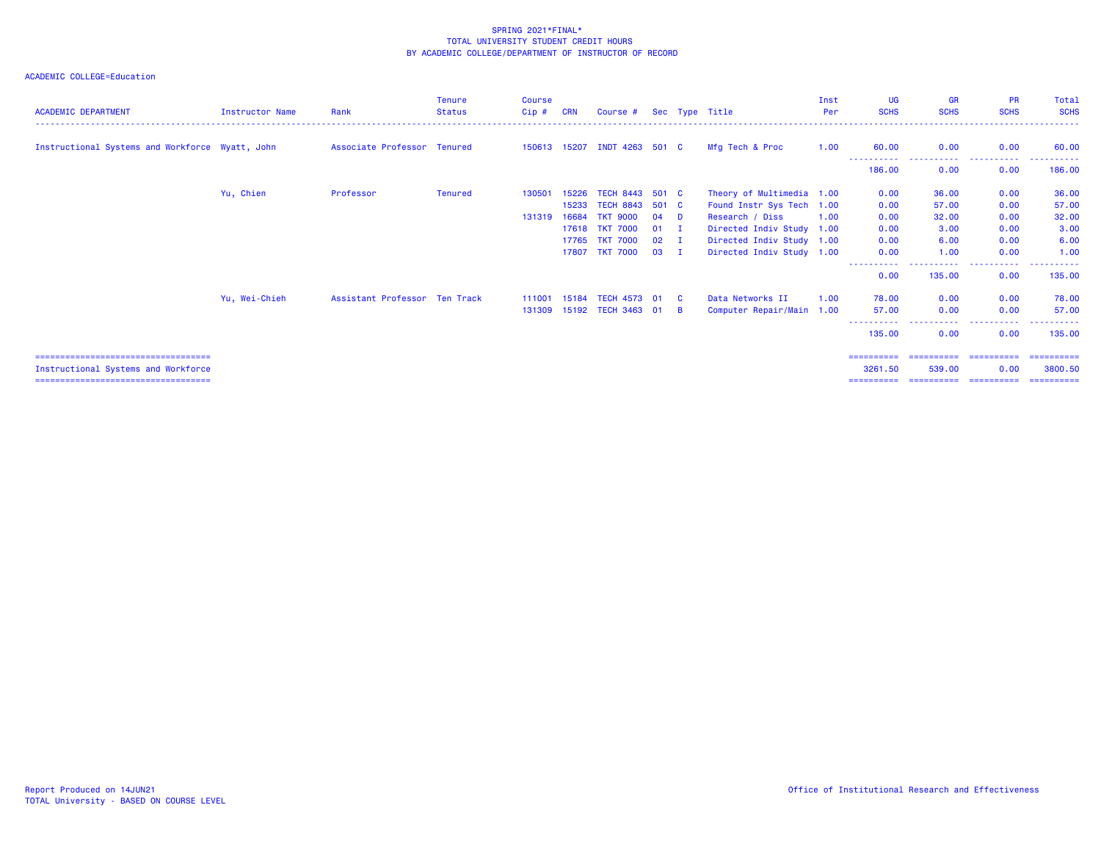| <b>ACADEMIC DEPARTMENT</b>                      | <b>Instructor Name</b> | Rank                          | <b>Tenure</b><br><b>Status</b> | <b>Course</b><br>Cip# | <b>CRN</b> | Course #                     |        |              | Sec Type Title            | Inst<br>Per | <b>UG</b><br><b>SCHS</b> | <b>GR</b><br><b>SCHS</b> | <b>PR</b><br><b>SCHS</b> | Total<br><b>SCHS</b> |
|-------------------------------------------------|------------------------|-------------------------------|--------------------------------|-----------------------|------------|------------------------------|--------|--------------|---------------------------|-------------|--------------------------|--------------------------|--------------------------|----------------------|
| Instructional Systems and Workforce Wyatt, John |                        | Associate Professor Tenured   |                                |                       |            | 150613 15207 INDT 4263 501 C |        |              | Mfg Tech & Proc           | 1.00        | 60.00                    | 0.00                     | 0.00                     | 60.00                |
|                                                 |                        |                               |                                |                       |            |                              |        |              |                           |             | 186,00                   | -----<br>0.00            | 0.00                     | 186,00               |
|                                                 | Yu, Chien              | Professor                     | <b>Tenured</b>                 | 130501                | 15226      | <b>TECH 8443</b>             | 501 C  |              | Theory of Multimedia 1.00 |             | 0.00                     | 36.00                    | 0.00                     | 36.00                |
|                                                 |                        |                               |                                |                       | 15233      | <b>TECH 8843</b>             | 501 C  |              | Found Instr Sys Tech 1.00 |             | 0.00                     | 57.00                    | 0.00                     | 57.00                |
|                                                 |                        |                               |                                | 131319                | 16684      | <b>TKT 9000</b>              | $04$ D |              | Research / Diss           | 1.00        | 0.00                     | 32.00                    | 0.00                     | 32.00                |
|                                                 |                        |                               |                                |                       | 17618      | <b>TKT 7000</b>              | $01$ I |              | Directed Indiv Study 1.00 |             | 0.00                     | 3.00                     | 0.00                     | 3.00                 |
|                                                 |                        |                               |                                |                       | 17765      | <b>TKT 7000</b>              | 02     | . т          | Directed Indiv Study 1.00 |             | 0.00                     | 6.00                     | 0.00                     | 6.00                 |
|                                                 |                        |                               |                                |                       | 17807      | <b>TKT 7000</b>              | 03     | $\mathbf{I}$ | Directed Indiv Study 1.00 |             | 0.00<br>-----------      | 1.00<br>-----------      | 0.00<br>.                | 1.00<br>----------   |
|                                                 |                        |                               |                                |                       |            |                              |        |              |                           |             | 0.00                     | 135.00                   | 0.00                     | 135.00               |
|                                                 | Yu, Wei-Chieh          | Assistant Professor Ten Track |                                |                       |            | 111001 15184 TECH 4573 01 C  |        |              | Data Networks II          | 1.00        | 78.00                    | 0.00                     | 0.00                     | 78.00                |
|                                                 |                        |                               |                                |                       |            | 131309 15192 TECH 3463 01 B  |        |              | Computer Repair/Main 1.00 |             | 57.00                    | 0.00                     | 0.00                     | 57.00                |
|                                                 |                        |                               |                                |                       |            |                              |        |              |                           |             | 135,00                   | 0.00                     | .<br>0.00                | 135,00               |
| ====================================            |                        |                               |                                |                       |            |                              |        |              |                           |             | ==========               |                          |                          | ==========           |
| Instructional Systems and Workforce             |                        |                               |                                |                       |            |                              |        |              |                           |             | 3261.50                  | 539.00                   | 0.00                     | 3800.50              |
| =====================================           |                        |                               |                                |                       |            |                              |        |              |                           |             |                          |                          |                          |                      |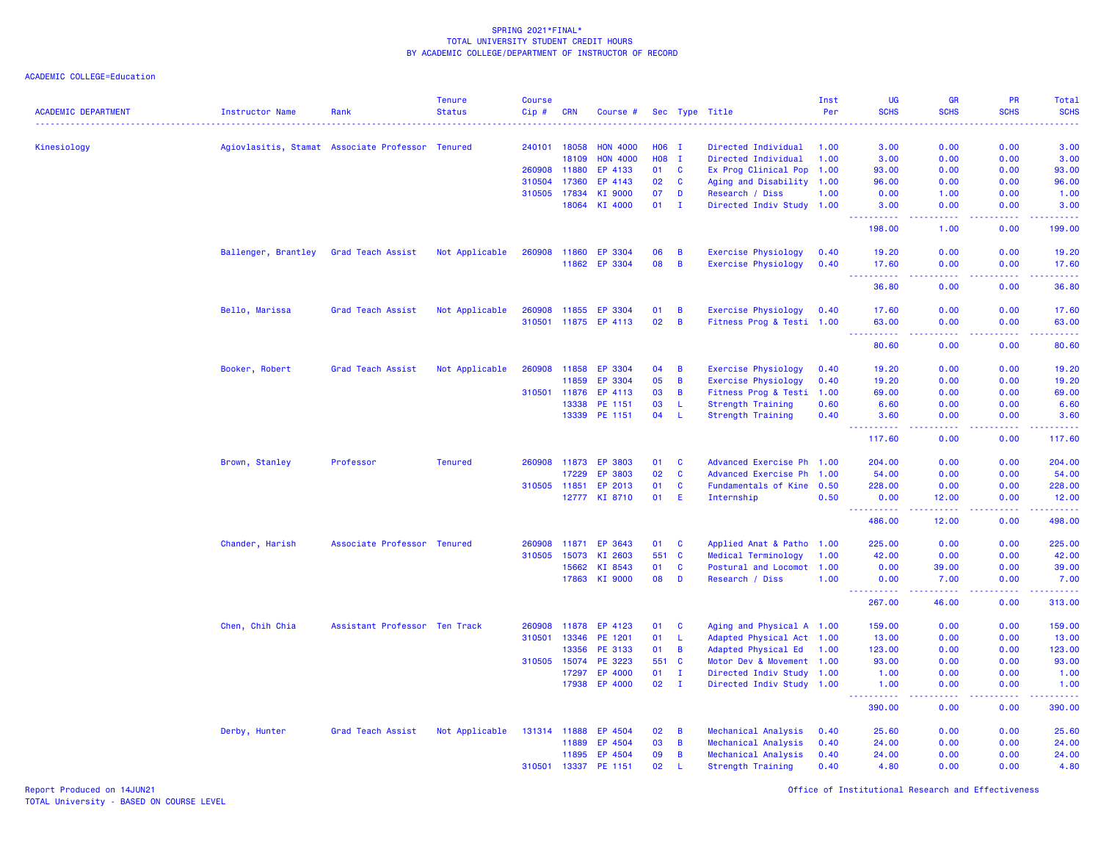| <b>SCHS</b><br><b>SCHS</b><br><b>SCHS</b><br><b>SCHS</b><br><b>ACADEMIC DEPARTMENT</b><br>Cip#<br>Per<br><b>Instructor Name</b><br>Rank<br><b>Status</b><br><b>CRN</b><br>Sec Type Title<br>Course #<br>Kinesiology<br>Agiovlasitis, Stamat Associate Professor Tenured<br>240101<br>18058<br><b>HON 4000</b><br>H06 I<br>Directed Individual<br>1.00<br>3.00<br>0.00<br>0.00<br>H08 I<br>18109<br><b>HON 4000</b><br>Directed Individual<br>1.00<br>3.00<br>0.00<br>0.00<br>260908<br>11880<br>EP 4133<br>01<br><b>C</b><br>Ex Prog Clinical Pop<br>0.00<br>0.00<br>1.00<br>93.00<br>310504<br>17360<br>EP 4143<br>02<br><b>C</b><br>Aging and Disability 1.00<br>0.00<br>0.00<br>96.00<br>310505 17834<br>KI 9000<br>07<br>Research / Diss<br>0.00<br>D<br>1.00<br>0.00<br>1.00<br>KI 4000<br>01<br>Directed Indiv Study 1.00<br>18064<br>$\mathbf{I}$<br>3.00<br>0.00<br>0.00<br>.<br>د د د د<br>22222<br>.<br>198.00<br>1.00<br>0.00<br>Ballenger, Brantley<br>Grad Teach Assist<br>Not Applicable<br>260908<br>11860<br>EP 3304<br>06<br>B<br><b>Exercise Physiology</b><br>19.20<br>0.00<br>0.00<br>0.40<br>11862 EP 3304<br>08<br>B<br>Exercise Physiology<br>17.60<br>0.00<br>0.00<br>0.40<br>.<br>.<br><b><i><u><u> - - - -</u></u></i></b><br>.<br>0.00<br>36.80<br>0.00<br>Exercise Physiology<br>Bello, Marissa<br>Grad Teach Assist<br>Not Applicable<br>260908<br>11855<br>EP 3304<br>01<br>В<br>17.60<br>0.00<br>0.00<br>0.40<br>11875 EP 4113<br>02<br>B<br>310501<br>Fitness Prog & Testi 1.00<br>63.00<br>0.00<br>0.00<br>63.00<br>وبالأباد<br>.<br>.<br>.<br>80.60<br>0.00<br>0.00<br>Booker, Robert<br>Grad Teach Assist<br>Not Applicable<br>260908<br>11858<br>EP 3304<br>04<br>B<br>Exercise Physiology<br>19.20<br>0.00<br>0.00<br>0.40<br>11859<br>EP 3304<br>05<br>B<br>Exercise Physiology<br>19.20<br>0.00<br>0.00<br>0.40<br>19.20<br>EP 4113<br>03<br>B<br>Fitness Prog & Testi 1.00<br>0.00<br>0.00<br>69.00<br>310501<br>11876<br>69.00<br>13338<br>03<br>0.00<br>PE 1151<br>-L<br><b>Strength Training</b><br>0.60<br>6.60<br>0.00<br>6.60<br>04<br>13339<br>PE 1151<br>L<br><b>Strength Training</b><br>0.40<br>3.60<br>0.00<br>0.00<br>3.60<br>.<br>وبالمحام<br>-----<br>$\frac{1}{2} \left( \frac{1}{2} \right) \left( \frac{1}{2} \right) \left( \frac{1}{2} \right) \left( \frac{1}{2} \right) \left( \frac{1}{2} \right)$<br>44<br>117.60<br>0.00<br>0.00<br>Brown, Stanley<br>Professor<br><b>Tenured</b><br>260908<br>11873<br>EP 3803<br>01<br>$\mathbf{C}$<br>Advanced Exercise Ph 1.00<br>204.00<br>0.00<br>0.00<br>02<br>$\mathbf{C}$<br>17229<br>EP 3803<br>Advanced Exercise Ph<br>54.00<br>0.00<br>0.00<br>1.00<br>310505 11851<br>EP 2013<br>01<br>C<br>Fundamentals of Kine<br>228.00<br>0.00<br>0.00<br>0.50<br>KI 8710<br>01<br>Ε<br>0.50<br>12777<br>Internship<br>0.00<br>12.00<br>0.00<br><b></b><br>.<br>.<br>22222.<br>486.00<br>12.00<br>0.00<br>Chander, Harish<br>0.00<br>Associate Professor Tenured<br>260908<br>11871<br>EP 3643<br>01<br><b>C</b><br>Applied Anat & Patho 1.00<br>225.00<br>0.00<br>551<br>310505<br>15073<br>KI 2603<br><b>C</b><br>Medical Terminology<br>1.00<br>42.00<br>0.00<br>0.00<br>42.00<br>15662<br>KI 8543<br>01<br>C<br>Postural and Locomot 1.00<br>0.00<br>39.00<br>0.00<br>39.00<br>KI 9000<br>08<br>D<br>17863<br>Research / Diss<br>1.00<br>0.00<br>0.00<br>7.00<br>7.00<br>22222<br>.<br>.<br>.<br>267.00<br>46.00<br>0.00<br>Chen, Chih Chia<br>Assistant Professor Ten Track<br>Aging and Physical A 1.00<br>0.00<br>0.00<br>260908<br>11878<br>EP 4123<br>01<br><b>C</b><br>159.00<br>13346<br>Adapted Physical Act 1.00<br>310501<br>PE 1201<br>01<br>L<br>13.00<br>0.00<br>0.00<br>13.00<br>PE 3133<br>01<br>B<br>Adapted Physical Ed<br>123.00<br>0.00<br>0.00<br>123.00<br>13356<br>1.00<br>310505 15074<br>PE 3223<br>551<br>$\mathbf{C}$<br>93.00<br>0.00<br>0.00<br>93.00<br>Motor Dev & Movement 1.00<br>EP 4000<br>17297<br>01<br>$\mathbf{I}$<br>Directed Indiv Study 1.00<br>1.00<br>0.00<br>0.00<br>1.00<br>EP 4000<br>02<br>$\mathbf{I}$<br>17938<br>Directed Indiv Study 1.00<br>0.00<br>1.00<br>0.00<br>.<br>د د د د<br>22222<br>.<br>390.00<br>0.00<br>0.00<br>Derby, Hunter<br>Mechanical Analysis<br>0.00<br>Grad Teach Assist<br>Not Applicable<br>131314 11888<br>EP 4504<br>02<br>B<br>0.40<br>25.60<br>0.00<br>11889<br>EP 4504<br>03<br>B<br>Mechanical Analysis<br>0.40<br>24.00<br>0.00<br>0.00<br>24.00<br>EP 4504<br>09<br>Mechanical Analysis<br>0.00<br>0.00<br>11895<br>B<br>0.40<br>24.00<br>310501<br>PE 1151<br>02<br>Strength Training<br>0.40<br>0.00<br>0.00<br>13337<br>L<br>4.80 |  | <b>Tenure</b> | <b>Course</b> |  |  | Inst | UG | <b>GR</b> | PR | Total  |
|------------------------------------------------------------------------------------------------------------------------------------------------------------------------------------------------------------------------------------------------------------------------------------------------------------------------------------------------------------------------------------------------------------------------------------------------------------------------------------------------------------------------------------------------------------------------------------------------------------------------------------------------------------------------------------------------------------------------------------------------------------------------------------------------------------------------------------------------------------------------------------------------------------------------------------------------------------------------------------------------------------------------------------------------------------------------------------------------------------------------------------------------------------------------------------------------------------------------------------------------------------------------------------------------------------------------------------------------------------------------------------------------------------------------------------------------------------------------------------------------------------------------------------------------------------------------------------------------------------------------------------------------------------------------------------------------------------------------------------------------------------------------------------------------------------------------------------------------------------------------------------------------------------------------------------------------------------------------------------------------------------------------------------------------------------------------------------------------------------------------------------------------------------------------------------------------------------------------------------------------------------------------------------------------------------------------------------------------------------------------------------------------------------------------------------------------------------------------------------------------------------------------------------------------------------------------------------------------------------------------------------------------------------------------------------------------------------------------------------------------------------------------------------------------------------------------------------------------------------------------------------------------------------------------------------------------------------------------------------------------------------------------------------------------------------------------------------------------------------------------------------------------------------------------------------------------------------------------------------------------------------------------------------------------------------------------------------------------------------------------------------------------------------------------------------------------------------------------------------------------------------------------------------------------------------------------------------------------------------------------------------------------------------------------------------------------------------------------------------------------------------------------------------------------------------------------------------------------------------------------------------------------------------------------------------------------------------------------------------------------------------------------------------------------------------------------------------------------------------------------------------------------------------------------------------------------------------------------------------------------------------------------------------------------------------------------------------------------------------------------------------------------------------------------------------------------------------------------------------------------------------------------------------------------------------------------------------------------------------------------------|--|---------------|---------------|--|--|------|----|-----------|----|--------|
|                                                                                                                                                                                                                                                                                                                                                                                                                                                                                                                                                                                                                                                                                                                                                                                                                                                                                                                                                                                                                                                                                                                                                                                                                                                                                                                                                                                                                                                                                                                                                                                                                                                                                                                                                                                                                                                                                                                                                                                                                                                                                                                                                                                                                                                                                                                                                                                                                                                                                                                                                                                                                                                                                                                                                                                                                                                                                                                                                                                                                                                                                                                                                                                                                                                                                                                                                                                                                                                                                                                                                                                                                                                                                                                                                                                                                                                                                                                                                                                                                                                                                                                                                                                                                                                                                                                                                                                                                                                                                                                                                                                                                              |  |               |               |  |  |      |    |           |    |        |
|                                                                                                                                                                                                                                                                                                                                                                                                                                                                                                                                                                                                                                                                                                                                                                                                                                                                                                                                                                                                                                                                                                                                                                                                                                                                                                                                                                                                                                                                                                                                                                                                                                                                                                                                                                                                                                                                                                                                                                                                                                                                                                                                                                                                                                                                                                                                                                                                                                                                                                                                                                                                                                                                                                                                                                                                                                                                                                                                                                                                                                                                                                                                                                                                                                                                                                                                                                                                                                                                                                                                                                                                                                                                                                                                                                                                                                                                                                                                                                                                                                                                                                                                                                                                                                                                                                                                                                                                                                                                                                                                                                                                                              |  |               |               |  |  |      |    |           |    | 3.00   |
|                                                                                                                                                                                                                                                                                                                                                                                                                                                                                                                                                                                                                                                                                                                                                                                                                                                                                                                                                                                                                                                                                                                                                                                                                                                                                                                                                                                                                                                                                                                                                                                                                                                                                                                                                                                                                                                                                                                                                                                                                                                                                                                                                                                                                                                                                                                                                                                                                                                                                                                                                                                                                                                                                                                                                                                                                                                                                                                                                                                                                                                                                                                                                                                                                                                                                                                                                                                                                                                                                                                                                                                                                                                                                                                                                                                                                                                                                                                                                                                                                                                                                                                                                                                                                                                                                                                                                                                                                                                                                                                                                                                                                              |  |               |               |  |  |      |    |           |    | 3.00   |
|                                                                                                                                                                                                                                                                                                                                                                                                                                                                                                                                                                                                                                                                                                                                                                                                                                                                                                                                                                                                                                                                                                                                                                                                                                                                                                                                                                                                                                                                                                                                                                                                                                                                                                                                                                                                                                                                                                                                                                                                                                                                                                                                                                                                                                                                                                                                                                                                                                                                                                                                                                                                                                                                                                                                                                                                                                                                                                                                                                                                                                                                                                                                                                                                                                                                                                                                                                                                                                                                                                                                                                                                                                                                                                                                                                                                                                                                                                                                                                                                                                                                                                                                                                                                                                                                                                                                                                                                                                                                                                                                                                                                                              |  |               |               |  |  |      |    |           |    | 93.00  |
|                                                                                                                                                                                                                                                                                                                                                                                                                                                                                                                                                                                                                                                                                                                                                                                                                                                                                                                                                                                                                                                                                                                                                                                                                                                                                                                                                                                                                                                                                                                                                                                                                                                                                                                                                                                                                                                                                                                                                                                                                                                                                                                                                                                                                                                                                                                                                                                                                                                                                                                                                                                                                                                                                                                                                                                                                                                                                                                                                                                                                                                                                                                                                                                                                                                                                                                                                                                                                                                                                                                                                                                                                                                                                                                                                                                                                                                                                                                                                                                                                                                                                                                                                                                                                                                                                                                                                                                                                                                                                                                                                                                                                              |  |               |               |  |  |      |    |           |    | 96.00  |
|                                                                                                                                                                                                                                                                                                                                                                                                                                                                                                                                                                                                                                                                                                                                                                                                                                                                                                                                                                                                                                                                                                                                                                                                                                                                                                                                                                                                                                                                                                                                                                                                                                                                                                                                                                                                                                                                                                                                                                                                                                                                                                                                                                                                                                                                                                                                                                                                                                                                                                                                                                                                                                                                                                                                                                                                                                                                                                                                                                                                                                                                                                                                                                                                                                                                                                                                                                                                                                                                                                                                                                                                                                                                                                                                                                                                                                                                                                                                                                                                                                                                                                                                                                                                                                                                                                                                                                                                                                                                                                                                                                                                                              |  |               |               |  |  |      |    |           |    | 1.00   |
|                                                                                                                                                                                                                                                                                                                                                                                                                                                                                                                                                                                                                                                                                                                                                                                                                                                                                                                                                                                                                                                                                                                                                                                                                                                                                                                                                                                                                                                                                                                                                                                                                                                                                                                                                                                                                                                                                                                                                                                                                                                                                                                                                                                                                                                                                                                                                                                                                                                                                                                                                                                                                                                                                                                                                                                                                                                                                                                                                                                                                                                                                                                                                                                                                                                                                                                                                                                                                                                                                                                                                                                                                                                                                                                                                                                                                                                                                                                                                                                                                                                                                                                                                                                                                                                                                                                                                                                                                                                                                                                                                                                                                              |  |               |               |  |  |      |    |           |    | 3.00   |
|                                                                                                                                                                                                                                                                                                                                                                                                                                                                                                                                                                                                                                                                                                                                                                                                                                                                                                                                                                                                                                                                                                                                                                                                                                                                                                                                                                                                                                                                                                                                                                                                                                                                                                                                                                                                                                                                                                                                                                                                                                                                                                                                                                                                                                                                                                                                                                                                                                                                                                                                                                                                                                                                                                                                                                                                                                                                                                                                                                                                                                                                                                                                                                                                                                                                                                                                                                                                                                                                                                                                                                                                                                                                                                                                                                                                                                                                                                                                                                                                                                                                                                                                                                                                                                                                                                                                                                                                                                                                                                                                                                                                                              |  |               |               |  |  |      |    |           |    | 199.00 |
|                                                                                                                                                                                                                                                                                                                                                                                                                                                                                                                                                                                                                                                                                                                                                                                                                                                                                                                                                                                                                                                                                                                                                                                                                                                                                                                                                                                                                                                                                                                                                                                                                                                                                                                                                                                                                                                                                                                                                                                                                                                                                                                                                                                                                                                                                                                                                                                                                                                                                                                                                                                                                                                                                                                                                                                                                                                                                                                                                                                                                                                                                                                                                                                                                                                                                                                                                                                                                                                                                                                                                                                                                                                                                                                                                                                                                                                                                                                                                                                                                                                                                                                                                                                                                                                                                                                                                                                                                                                                                                                                                                                                                              |  |               |               |  |  |      |    |           |    | 19.20  |
|                                                                                                                                                                                                                                                                                                                                                                                                                                                                                                                                                                                                                                                                                                                                                                                                                                                                                                                                                                                                                                                                                                                                                                                                                                                                                                                                                                                                                                                                                                                                                                                                                                                                                                                                                                                                                                                                                                                                                                                                                                                                                                                                                                                                                                                                                                                                                                                                                                                                                                                                                                                                                                                                                                                                                                                                                                                                                                                                                                                                                                                                                                                                                                                                                                                                                                                                                                                                                                                                                                                                                                                                                                                                                                                                                                                                                                                                                                                                                                                                                                                                                                                                                                                                                                                                                                                                                                                                                                                                                                                                                                                                                              |  |               |               |  |  |      |    |           |    | 17.60  |
|                                                                                                                                                                                                                                                                                                                                                                                                                                                                                                                                                                                                                                                                                                                                                                                                                                                                                                                                                                                                                                                                                                                                                                                                                                                                                                                                                                                                                                                                                                                                                                                                                                                                                                                                                                                                                                                                                                                                                                                                                                                                                                                                                                                                                                                                                                                                                                                                                                                                                                                                                                                                                                                                                                                                                                                                                                                                                                                                                                                                                                                                                                                                                                                                                                                                                                                                                                                                                                                                                                                                                                                                                                                                                                                                                                                                                                                                                                                                                                                                                                                                                                                                                                                                                                                                                                                                                                                                                                                                                                                                                                                                                              |  |               |               |  |  |      |    |           |    | 36.80  |
|                                                                                                                                                                                                                                                                                                                                                                                                                                                                                                                                                                                                                                                                                                                                                                                                                                                                                                                                                                                                                                                                                                                                                                                                                                                                                                                                                                                                                                                                                                                                                                                                                                                                                                                                                                                                                                                                                                                                                                                                                                                                                                                                                                                                                                                                                                                                                                                                                                                                                                                                                                                                                                                                                                                                                                                                                                                                                                                                                                                                                                                                                                                                                                                                                                                                                                                                                                                                                                                                                                                                                                                                                                                                                                                                                                                                                                                                                                                                                                                                                                                                                                                                                                                                                                                                                                                                                                                                                                                                                                                                                                                                                              |  |               |               |  |  |      |    |           |    | 17.60  |
|                                                                                                                                                                                                                                                                                                                                                                                                                                                                                                                                                                                                                                                                                                                                                                                                                                                                                                                                                                                                                                                                                                                                                                                                                                                                                                                                                                                                                                                                                                                                                                                                                                                                                                                                                                                                                                                                                                                                                                                                                                                                                                                                                                                                                                                                                                                                                                                                                                                                                                                                                                                                                                                                                                                                                                                                                                                                                                                                                                                                                                                                                                                                                                                                                                                                                                                                                                                                                                                                                                                                                                                                                                                                                                                                                                                                                                                                                                                                                                                                                                                                                                                                                                                                                                                                                                                                                                                                                                                                                                                                                                                                                              |  |               |               |  |  |      |    |           |    |        |
|                                                                                                                                                                                                                                                                                                                                                                                                                                                                                                                                                                                                                                                                                                                                                                                                                                                                                                                                                                                                                                                                                                                                                                                                                                                                                                                                                                                                                                                                                                                                                                                                                                                                                                                                                                                                                                                                                                                                                                                                                                                                                                                                                                                                                                                                                                                                                                                                                                                                                                                                                                                                                                                                                                                                                                                                                                                                                                                                                                                                                                                                                                                                                                                                                                                                                                                                                                                                                                                                                                                                                                                                                                                                                                                                                                                                                                                                                                                                                                                                                                                                                                                                                                                                                                                                                                                                                                                                                                                                                                                                                                                                                              |  |               |               |  |  |      |    |           |    | 80.60  |
|                                                                                                                                                                                                                                                                                                                                                                                                                                                                                                                                                                                                                                                                                                                                                                                                                                                                                                                                                                                                                                                                                                                                                                                                                                                                                                                                                                                                                                                                                                                                                                                                                                                                                                                                                                                                                                                                                                                                                                                                                                                                                                                                                                                                                                                                                                                                                                                                                                                                                                                                                                                                                                                                                                                                                                                                                                                                                                                                                                                                                                                                                                                                                                                                                                                                                                                                                                                                                                                                                                                                                                                                                                                                                                                                                                                                                                                                                                                                                                                                                                                                                                                                                                                                                                                                                                                                                                                                                                                                                                                                                                                                                              |  |               |               |  |  |      |    |           |    | 19.20  |
|                                                                                                                                                                                                                                                                                                                                                                                                                                                                                                                                                                                                                                                                                                                                                                                                                                                                                                                                                                                                                                                                                                                                                                                                                                                                                                                                                                                                                                                                                                                                                                                                                                                                                                                                                                                                                                                                                                                                                                                                                                                                                                                                                                                                                                                                                                                                                                                                                                                                                                                                                                                                                                                                                                                                                                                                                                                                                                                                                                                                                                                                                                                                                                                                                                                                                                                                                                                                                                                                                                                                                                                                                                                                                                                                                                                                                                                                                                                                                                                                                                                                                                                                                                                                                                                                                                                                                                                                                                                                                                                                                                                                                              |  |               |               |  |  |      |    |           |    |        |
|                                                                                                                                                                                                                                                                                                                                                                                                                                                                                                                                                                                                                                                                                                                                                                                                                                                                                                                                                                                                                                                                                                                                                                                                                                                                                                                                                                                                                                                                                                                                                                                                                                                                                                                                                                                                                                                                                                                                                                                                                                                                                                                                                                                                                                                                                                                                                                                                                                                                                                                                                                                                                                                                                                                                                                                                                                                                                                                                                                                                                                                                                                                                                                                                                                                                                                                                                                                                                                                                                                                                                                                                                                                                                                                                                                                                                                                                                                                                                                                                                                                                                                                                                                                                                                                                                                                                                                                                                                                                                                                                                                                                                              |  |               |               |  |  |      |    |           |    |        |
|                                                                                                                                                                                                                                                                                                                                                                                                                                                                                                                                                                                                                                                                                                                                                                                                                                                                                                                                                                                                                                                                                                                                                                                                                                                                                                                                                                                                                                                                                                                                                                                                                                                                                                                                                                                                                                                                                                                                                                                                                                                                                                                                                                                                                                                                                                                                                                                                                                                                                                                                                                                                                                                                                                                                                                                                                                                                                                                                                                                                                                                                                                                                                                                                                                                                                                                                                                                                                                                                                                                                                                                                                                                                                                                                                                                                                                                                                                                                                                                                                                                                                                                                                                                                                                                                                                                                                                                                                                                                                                                                                                                                                              |  |               |               |  |  |      |    |           |    |        |
|                                                                                                                                                                                                                                                                                                                                                                                                                                                                                                                                                                                                                                                                                                                                                                                                                                                                                                                                                                                                                                                                                                                                                                                                                                                                                                                                                                                                                                                                                                                                                                                                                                                                                                                                                                                                                                                                                                                                                                                                                                                                                                                                                                                                                                                                                                                                                                                                                                                                                                                                                                                                                                                                                                                                                                                                                                                                                                                                                                                                                                                                                                                                                                                                                                                                                                                                                                                                                                                                                                                                                                                                                                                                                                                                                                                                                                                                                                                                                                                                                                                                                                                                                                                                                                                                                                                                                                                                                                                                                                                                                                                                                              |  |               |               |  |  |      |    |           |    |        |
|                                                                                                                                                                                                                                                                                                                                                                                                                                                                                                                                                                                                                                                                                                                                                                                                                                                                                                                                                                                                                                                                                                                                                                                                                                                                                                                                                                                                                                                                                                                                                                                                                                                                                                                                                                                                                                                                                                                                                                                                                                                                                                                                                                                                                                                                                                                                                                                                                                                                                                                                                                                                                                                                                                                                                                                                                                                                                                                                                                                                                                                                                                                                                                                                                                                                                                                                                                                                                                                                                                                                                                                                                                                                                                                                                                                                                                                                                                                                                                                                                                                                                                                                                                                                                                                                                                                                                                                                                                                                                                                                                                                                                              |  |               |               |  |  |      |    |           |    | 117.60 |
|                                                                                                                                                                                                                                                                                                                                                                                                                                                                                                                                                                                                                                                                                                                                                                                                                                                                                                                                                                                                                                                                                                                                                                                                                                                                                                                                                                                                                                                                                                                                                                                                                                                                                                                                                                                                                                                                                                                                                                                                                                                                                                                                                                                                                                                                                                                                                                                                                                                                                                                                                                                                                                                                                                                                                                                                                                                                                                                                                                                                                                                                                                                                                                                                                                                                                                                                                                                                                                                                                                                                                                                                                                                                                                                                                                                                                                                                                                                                                                                                                                                                                                                                                                                                                                                                                                                                                                                                                                                                                                                                                                                                                              |  |               |               |  |  |      |    |           |    | 204.00 |
|                                                                                                                                                                                                                                                                                                                                                                                                                                                                                                                                                                                                                                                                                                                                                                                                                                                                                                                                                                                                                                                                                                                                                                                                                                                                                                                                                                                                                                                                                                                                                                                                                                                                                                                                                                                                                                                                                                                                                                                                                                                                                                                                                                                                                                                                                                                                                                                                                                                                                                                                                                                                                                                                                                                                                                                                                                                                                                                                                                                                                                                                                                                                                                                                                                                                                                                                                                                                                                                                                                                                                                                                                                                                                                                                                                                                                                                                                                                                                                                                                                                                                                                                                                                                                                                                                                                                                                                                                                                                                                                                                                                                                              |  |               |               |  |  |      |    |           |    | 54.00  |
|                                                                                                                                                                                                                                                                                                                                                                                                                                                                                                                                                                                                                                                                                                                                                                                                                                                                                                                                                                                                                                                                                                                                                                                                                                                                                                                                                                                                                                                                                                                                                                                                                                                                                                                                                                                                                                                                                                                                                                                                                                                                                                                                                                                                                                                                                                                                                                                                                                                                                                                                                                                                                                                                                                                                                                                                                                                                                                                                                                                                                                                                                                                                                                                                                                                                                                                                                                                                                                                                                                                                                                                                                                                                                                                                                                                                                                                                                                                                                                                                                                                                                                                                                                                                                                                                                                                                                                                                                                                                                                                                                                                                                              |  |               |               |  |  |      |    |           |    | 228.00 |
|                                                                                                                                                                                                                                                                                                                                                                                                                                                                                                                                                                                                                                                                                                                                                                                                                                                                                                                                                                                                                                                                                                                                                                                                                                                                                                                                                                                                                                                                                                                                                                                                                                                                                                                                                                                                                                                                                                                                                                                                                                                                                                                                                                                                                                                                                                                                                                                                                                                                                                                                                                                                                                                                                                                                                                                                                                                                                                                                                                                                                                                                                                                                                                                                                                                                                                                                                                                                                                                                                                                                                                                                                                                                                                                                                                                                                                                                                                                                                                                                                                                                                                                                                                                                                                                                                                                                                                                                                                                                                                                                                                                                                              |  |               |               |  |  |      |    |           |    | 12.00  |
|                                                                                                                                                                                                                                                                                                                                                                                                                                                                                                                                                                                                                                                                                                                                                                                                                                                                                                                                                                                                                                                                                                                                                                                                                                                                                                                                                                                                                                                                                                                                                                                                                                                                                                                                                                                                                                                                                                                                                                                                                                                                                                                                                                                                                                                                                                                                                                                                                                                                                                                                                                                                                                                                                                                                                                                                                                                                                                                                                                                                                                                                                                                                                                                                                                                                                                                                                                                                                                                                                                                                                                                                                                                                                                                                                                                                                                                                                                                                                                                                                                                                                                                                                                                                                                                                                                                                                                                                                                                                                                                                                                                                                              |  |               |               |  |  |      |    |           |    | 498.00 |
|                                                                                                                                                                                                                                                                                                                                                                                                                                                                                                                                                                                                                                                                                                                                                                                                                                                                                                                                                                                                                                                                                                                                                                                                                                                                                                                                                                                                                                                                                                                                                                                                                                                                                                                                                                                                                                                                                                                                                                                                                                                                                                                                                                                                                                                                                                                                                                                                                                                                                                                                                                                                                                                                                                                                                                                                                                                                                                                                                                                                                                                                                                                                                                                                                                                                                                                                                                                                                                                                                                                                                                                                                                                                                                                                                                                                                                                                                                                                                                                                                                                                                                                                                                                                                                                                                                                                                                                                                                                                                                                                                                                                                              |  |               |               |  |  |      |    |           |    | 225.00 |
|                                                                                                                                                                                                                                                                                                                                                                                                                                                                                                                                                                                                                                                                                                                                                                                                                                                                                                                                                                                                                                                                                                                                                                                                                                                                                                                                                                                                                                                                                                                                                                                                                                                                                                                                                                                                                                                                                                                                                                                                                                                                                                                                                                                                                                                                                                                                                                                                                                                                                                                                                                                                                                                                                                                                                                                                                                                                                                                                                                                                                                                                                                                                                                                                                                                                                                                                                                                                                                                                                                                                                                                                                                                                                                                                                                                                                                                                                                                                                                                                                                                                                                                                                                                                                                                                                                                                                                                                                                                                                                                                                                                                                              |  |               |               |  |  |      |    |           |    |        |
|                                                                                                                                                                                                                                                                                                                                                                                                                                                                                                                                                                                                                                                                                                                                                                                                                                                                                                                                                                                                                                                                                                                                                                                                                                                                                                                                                                                                                                                                                                                                                                                                                                                                                                                                                                                                                                                                                                                                                                                                                                                                                                                                                                                                                                                                                                                                                                                                                                                                                                                                                                                                                                                                                                                                                                                                                                                                                                                                                                                                                                                                                                                                                                                                                                                                                                                                                                                                                                                                                                                                                                                                                                                                                                                                                                                                                                                                                                                                                                                                                                                                                                                                                                                                                                                                                                                                                                                                                                                                                                                                                                                                                              |  |               |               |  |  |      |    |           |    |        |
|                                                                                                                                                                                                                                                                                                                                                                                                                                                                                                                                                                                                                                                                                                                                                                                                                                                                                                                                                                                                                                                                                                                                                                                                                                                                                                                                                                                                                                                                                                                                                                                                                                                                                                                                                                                                                                                                                                                                                                                                                                                                                                                                                                                                                                                                                                                                                                                                                                                                                                                                                                                                                                                                                                                                                                                                                                                                                                                                                                                                                                                                                                                                                                                                                                                                                                                                                                                                                                                                                                                                                                                                                                                                                                                                                                                                                                                                                                                                                                                                                                                                                                                                                                                                                                                                                                                                                                                                                                                                                                                                                                                                                              |  |               |               |  |  |      |    |           |    |        |
|                                                                                                                                                                                                                                                                                                                                                                                                                                                                                                                                                                                                                                                                                                                                                                                                                                                                                                                                                                                                                                                                                                                                                                                                                                                                                                                                                                                                                                                                                                                                                                                                                                                                                                                                                                                                                                                                                                                                                                                                                                                                                                                                                                                                                                                                                                                                                                                                                                                                                                                                                                                                                                                                                                                                                                                                                                                                                                                                                                                                                                                                                                                                                                                                                                                                                                                                                                                                                                                                                                                                                                                                                                                                                                                                                                                                                                                                                                                                                                                                                                                                                                                                                                                                                                                                                                                                                                                                                                                                                                                                                                                                                              |  |               |               |  |  |      |    |           |    | 313.00 |
|                                                                                                                                                                                                                                                                                                                                                                                                                                                                                                                                                                                                                                                                                                                                                                                                                                                                                                                                                                                                                                                                                                                                                                                                                                                                                                                                                                                                                                                                                                                                                                                                                                                                                                                                                                                                                                                                                                                                                                                                                                                                                                                                                                                                                                                                                                                                                                                                                                                                                                                                                                                                                                                                                                                                                                                                                                                                                                                                                                                                                                                                                                                                                                                                                                                                                                                                                                                                                                                                                                                                                                                                                                                                                                                                                                                                                                                                                                                                                                                                                                                                                                                                                                                                                                                                                                                                                                                                                                                                                                                                                                                                                              |  |               |               |  |  |      |    |           |    | 159.00 |
|                                                                                                                                                                                                                                                                                                                                                                                                                                                                                                                                                                                                                                                                                                                                                                                                                                                                                                                                                                                                                                                                                                                                                                                                                                                                                                                                                                                                                                                                                                                                                                                                                                                                                                                                                                                                                                                                                                                                                                                                                                                                                                                                                                                                                                                                                                                                                                                                                                                                                                                                                                                                                                                                                                                                                                                                                                                                                                                                                                                                                                                                                                                                                                                                                                                                                                                                                                                                                                                                                                                                                                                                                                                                                                                                                                                                                                                                                                                                                                                                                                                                                                                                                                                                                                                                                                                                                                                                                                                                                                                                                                                                                              |  |               |               |  |  |      |    |           |    |        |
|                                                                                                                                                                                                                                                                                                                                                                                                                                                                                                                                                                                                                                                                                                                                                                                                                                                                                                                                                                                                                                                                                                                                                                                                                                                                                                                                                                                                                                                                                                                                                                                                                                                                                                                                                                                                                                                                                                                                                                                                                                                                                                                                                                                                                                                                                                                                                                                                                                                                                                                                                                                                                                                                                                                                                                                                                                                                                                                                                                                                                                                                                                                                                                                                                                                                                                                                                                                                                                                                                                                                                                                                                                                                                                                                                                                                                                                                                                                                                                                                                                                                                                                                                                                                                                                                                                                                                                                                                                                                                                                                                                                                                              |  |               |               |  |  |      |    |           |    |        |
|                                                                                                                                                                                                                                                                                                                                                                                                                                                                                                                                                                                                                                                                                                                                                                                                                                                                                                                                                                                                                                                                                                                                                                                                                                                                                                                                                                                                                                                                                                                                                                                                                                                                                                                                                                                                                                                                                                                                                                                                                                                                                                                                                                                                                                                                                                                                                                                                                                                                                                                                                                                                                                                                                                                                                                                                                                                                                                                                                                                                                                                                                                                                                                                                                                                                                                                                                                                                                                                                                                                                                                                                                                                                                                                                                                                                                                                                                                                                                                                                                                                                                                                                                                                                                                                                                                                                                                                                                                                                                                                                                                                                                              |  |               |               |  |  |      |    |           |    |        |
|                                                                                                                                                                                                                                                                                                                                                                                                                                                                                                                                                                                                                                                                                                                                                                                                                                                                                                                                                                                                                                                                                                                                                                                                                                                                                                                                                                                                                                                                                                                                                                                                                                                                                                                                                                                                                                                                                                                                                                                                                                                                                                                                                                                                                                                                                                                                                                                                                                                                                                                                                                                                                                                                                                                                                                                                                                                                                                                                                                                                                                                                                                                                                                                                                                                                                                                                                                                                                                                                                                                                                                                                                                                                                                                                                                                                                                                                                                                                                                                                                                                                                                                                                                                                                                                                                                                                                                                                                                                                                                                                                                                                                              |  |               |               |  |  |      |    |           |    | 1.00   |
|                                                                                                                                                                                                                                                                                                                                                                                                                                                                                                                                                                                                                                                                                                                                                                                                                                                                                                                                                                                                                                                                                                                                                                                                                                                                                                                                                                                                                                                                                                                                                                                                                                                                                                                                                                                                                                                                                                                                                                                                                                                                                                                                                                                                                                                                                                                                                                                                                                                                                                                                                                                                                                                                                                                                                                                                                                                                                                                                                                                                                                                                                                                                                                                                                                                                                                                                                                                                                                                                                                                                                                                                                                                                                                                                                                                                                                                                                                                                                                                                                                                                                                                                                                                                                                                                                                                                                                                                                                                                                                                                                                                                                              |  |               |               |  |  |      |    |           |    | 390.00 |
|                                                                                                                                                                                                                                                                                                                                                                                                                                                                                                                                                                                                                                                                                                                                                                                                                                                                                                                                                                                                                                                                                                                                                                                                                                                                                                                                                                                                                                                                                                                                                                                                                                                                                                                                                                                                                                                                                                                                                                                                                                                                                                                                                                                                                                                                                                                                                                                                                                                                                                                                                                                                                                                                                                                                                                                                                                                                                                                                                                                                                                                                                                                                                                                                                                                                                                                                                                                                                                                                                                                                                                                                                                                                                                                                                                                                                                                                                                                                                                                                                                                                                                                                                                                                                                                                                                                                                                                                                                                                                                                                                                                                                              |  |               |               |  |  |      |    |           |    | 25.60  |
|                                                                                                                                                                                                                                                                                                                                                                                                                                                                                                                                                                                                                                                                                                                                                                                                                                                                                                                                                                                                                                                                                                                                                                                                                                                                                                                                                                                                                                                                                                                                                                                                                                                                                                                                                                                                                                                                                                                                                                                                                                                                                                                                                                                                                                                                                                                                                                                                                                                                                                                                                                                                                                                                                                                                                                                                                                                                                                                                                                                                                                                                                                                                                                                                                                                                                                                                                                                                                                                                                                                                                                                                                                                                                                                                                                                                                                                                                                                                                                                                                                                                                                                                                                                                                                                                                                                                                                                                                                                                                                                                                                                                                              |  |               |               |  |  |      |    |           |    |        |
|                                                                                                                                                                                                                                                                                                                                                                                                                                                                                                                                                                                                                                                                                                                                                                                                                                                                                                                                                                                                                                                                                                                                                                                                                                                                                                                                                                                                                                                                                                                                                                                                                                                                                                                                                                                                                                                                                                                                                                                                                                                                                                                                                                                                                                                                                                                                                                                                                                                                                                                                                                                                                                                                                                                                                                                                                                                                                                                                                                                                                                                                                                                                                                                                                                                                                                                                                                                                                                                                                                                                                                                                                                                                                                                                                                                                                                                                                                                                                                                                                                                                                                                                                                                                                                                                                                                                                                                                                                                                                                                                                                                                                              |  |               |               |  |  |      |    |           |    | 24.00  |
|                                                                                                                                                                                                                                                                                                                                                                                                                                                                                                                                                                                                                                                                                                                                                                                                                                                                                                                                                                                                                                                                                                                                                                                                                                                                                                                                                                                                                                                                                                                                                                                                                                                                                                                                                                                                                                                                                                                                                                                                                                                                                                                                                                                                                                                                                                                                                                                                                                                                                                                                                                                                                                                                                                                                                                                                                                                                                                                                                                                                                                                                                                                                                                                                                                                                                                                                                                                                                                                                                                                                                                                                                                                                                                                                                                                                                                                                                                                                                                                                                                                                                                                                                                                                                                                                                                                                                                                                                                                                                                                                                                                                                              |  |               |               |  |  |      |    |           |    | 4.80   |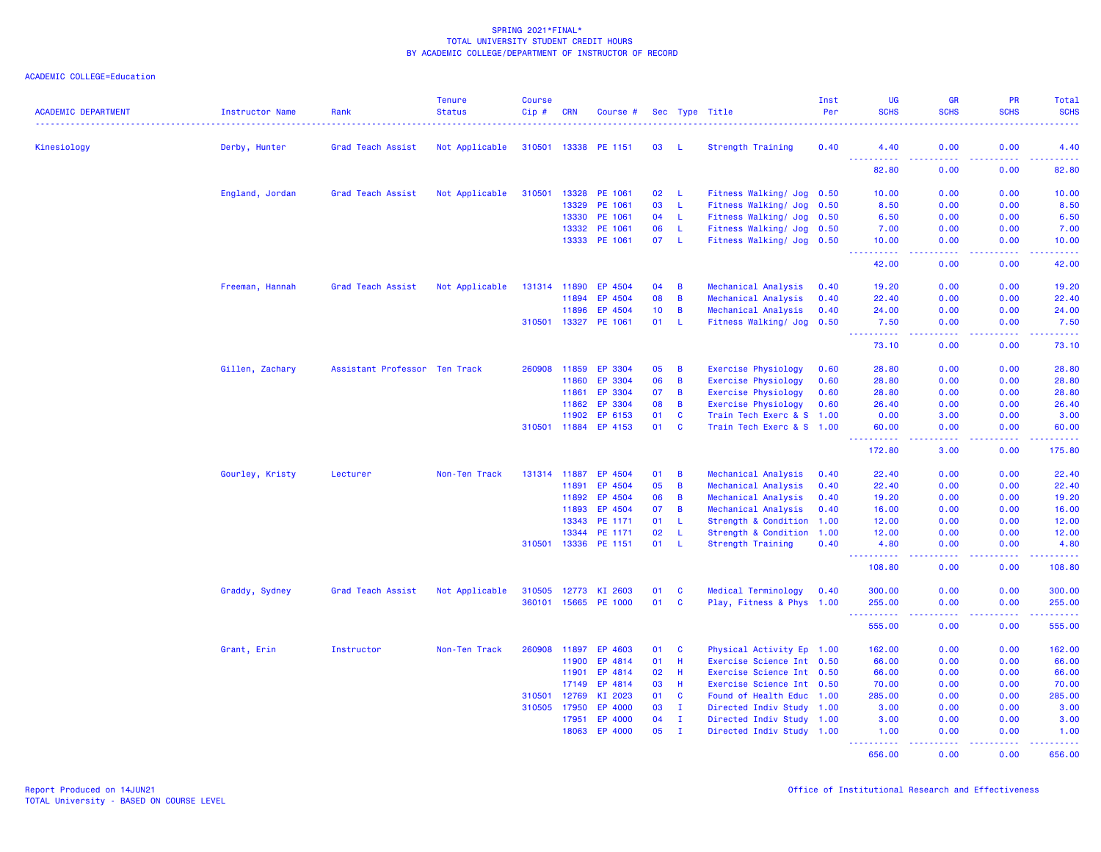| <b>ACADEMIC DEPARTMENT</b> | Instructor Name | Rank                          | <b>Tenure</b><br><b>Status</b> | <b>Course</b><br>Cip# | <b>CRN</b>   | Course #             |    |                | Sec Type Title             | Inst<br>Per | <b>UG</b><br><b>SCHS</b>          | <b>GR</b><br><b>SCHS</b>                      | PR<br><b>SCHS</b>  | Total<br><b>SCHS</b> |
|----------------------------|-----------------|-------------------------------|--------------------------------|-----------------------|--------------|----------------------|----|----------------|----------------------------|-------------|-----------------------------------|-----------------------------------------------|--------------------|----------------------|
| Kinesiology                | Derby, Hunter   | Grad Teach Assist             | Not Applicable                 |                       |              | 310501 13338 PE 1151 | 03 | - L            | Strength Training          | 0.40        | 4.40                              | 0.00                                          | 0.00               | 4.40                 |
|                            |                 |                               |                                |                       |              |                      |    |                |                            |             | <u>.</u><br>82.80                 | .<br>0.00                                     | .<br>0.00          | .<br>82.80           |
|                            | England, Jordan | Grad Teach Assist             | Not Applicable                 | 310501                | 13328        | PE 1061              | 02 | - L            | Fitness Walking/ Jog 0.50  |             | 10.00                             | 0.00                                          | 0.00               | 10.00                |
|                            |                 |                               |                                |                       | 13329        | PE 1061              | 03 | -L             | Fitness Walking/ Jog       | 0.50        | 8.50                              | 0.00                                          | 0.00               | 8.50                 |
|                            |                 |                               |                                |                       | 13330        | PE 1061              | 04 | -L             | Fitness Walking/ Jog 0.50  |             | 6.50                              | 0.00                                          | 0.00               | 6.50                 |
|                            |                 |                               |                                |                       | 13332        | PE 1061              | 06 | -L             | Fitness Walking/ Jog 0.50  |             | 7.00                              | 0.00                                          | 0.00               | 7.00                 |
|                            |                 |                               |                                |                       | 13333        | PE 1061              | 07 | - L            | Fitness Walking/ Jog 0.50  |             | 10.00<br>.                        | 0.00<br>.                                     | 0.00<br>. <b>.</b> | 10.00<br>.           |
|                            |                 |                               |                                |                       |              |                      |    |                |                            |             | 42.00                             | 0.00                                          | 0.00               | 42.00                |
|                            | Freeman, Hannah | Grad Teach Assist             | Not Applicable                 |                       | 131314 11890 | EP 4504              | 04 | B              | Mechanical Analysis        | 0.40        | 19.20                             | 0.00                                          | 0.00               | 19.20                |
|                            |                 |                               |                                |                       | 11894        | EP 4504              | 80 | B              | Mechanical Analysis        | 0.40        | 22.40                             | 0.00                                          | 0.00               | 22.40                |
|                            |                 |                               |                                |                       | 11896        | EP 4504              | 10 | B              | Mechanical Analysis        | 0.40        | 24.00                             | 0.00                                          | 0.00               | 24.00                |
|                            |                 |                               |                                | 310501                | 13327        | PE 1061              | 01 | L              | Fitness Walking/ Jog 0.50  |             | 7.50<br>$\sim$ $\sim$ $\sim$<br>. | 0.00<br>$\sim$ $\sim$ $\sim$ $\sim$           | 0.00<br>.          | 7.50<br>.            |
|                            |                 |                               |                                |                       |              |                      |    |                |                            |             | 73.10                             | 0.00                                          | 0.00               | 73.10                |
|                            | Gillen, Zachary | Assistant Professor Ten Track |                                | 260908                | 11859        | EP 3304              | 05 | B              | <b>Exercise Physiology</b> | 0.60        | 28.80                             | 0.00                                          | 0.00               | 28.80                |
|                            |                 |                               |                                |                       | 11860        | EP 3304              | 06 | B              | <b>Exercise Physiology</b> | 0.60        | 28.80                             | 0.00                                          | 0.00               | 28.80                |
|                            |                 |                               |                                |                       | 11861        | EP 3304              | 07 | B              | <b>Exercise Physiology</b> | 0.60        | 28.80                             | 0.00                                          | 0.00               | 28.80                |
|                            |                 |                               |                                |                       | 11862        | EP 3304              | 08 | B              | <b>Exercise Physiology</b> | 0.60        | 26.40                             | 0.00                                          | 0.00               | 26.40                |
|                            |                 |                               |                                |                       | 11902        | EP 6153              | 01 | $\mathbf c$    | Train Tech Exerc & S 1.00  |             | 0.00                              | 3.00                                          | 0.00               | 3.00                 |
|                            |                 |                               |                                | 310501 11884          |              | EP 4153              | 01 | $\mathbf{c}$   | Train Tech Exerc & S 1.00  |             | 60.00<br>.                        | 0.00<br>.                                     | 0.00<br>. <b>.</b> | 60.00<br>------      |
|                            |                 |                               |                                |                       |              |                      |    |                |                            |             | 172.80                            | 3.00                                          | 0.00               | 175.80               |
|                            | Gourley, Kristy | Lecturer                      | Non-Ten Track                  |                       | 131314 11887 | EP 4504              | 01 | B              | Mechanical Analysis        | 0.40        | 22.40                             | 0.00                                          | 0.00               | 22.40                |
|                            |                 |                               |                                |                       | 11891        | EP 4504              | 05 | B              | Mechanical Analysis        | 0.40        | 22.40                             | 0.00                                          | 0.00               | 22.40                |
|                            |                 |                               |                                |                       | 11892        | EP 4504              | 06 | B              | Mechanical Analysis        | 0.40        | 19.20                             | 0.00                                          | 0.00               | 19.20                |
|                            |                 |                               |                                |                       | 11893        | EP 4504              | 07 | $\overline{B}$ | Mechanical Analysis        | 0.40        | 16.00                             | 0.00                                          | 0.00               | 16.00                |
|                            |                 |                               |                                |                       | 13343        | PE 1171              | 01 | L              | Strength & Condition 1.00  |             | 12.00                             | 0.00                                          | 0.00               | 12.00                |
|                            |                 |                               |                                |                       | 13344        | PE 1171              | 02 | L              | Strength & Condition 1.00  |             | 12.00                             | 0.00                                          | 0.00               | 12.00                |
|                            |                 |                               |                                | 310501                | 13336        | PE 1151              | 01 | -L             | Strength Training          | 0.40        | 4.80<br><b></b>                   | 0.00<br>$\omega_{\rm c}$ and $\omega_{\rm c}$ | 0.00<br>. <b>.</b> | 4.80<br><u>.</u>     |
|                            |                 |                               |                                |                       |              |                      |    |                |                            |             | 108.80                            | 0.00                                          | 0.00               | 108.80               |
|                            | Graddy, Sydney  | Grad Teach Assist             | Not Applicable                 | 310505                | 12773        | KI 2603              | 01 | $\mathbf c$    | Medical Terminology        | 0.40        | 300.00                            | 0.00                                          | 0.00               | 300.00               |
|                            |                 |                               |                                |                       |              | 360101 15665 PE 1000 | 01 | $\mathbf{C}$   | Play, Fitness & Phys 1.00  |             | 255.00<br>.                       | 0.00<br>2222                                  | 0.00<br>والمحامر   | 255.00<br>22222)     |
|                            |                 |                               |                                |                       |              |                      |    |                |                            |             | 555.00                            | 0.00                                          | 0.00               | 555.00               |
|                            | Grant, Erin     | Instructor                    | Non-Ten Track                  | 260908                | 11897        | EP 4603              | 01 | C              | Physical Activity Ep 1.00  |             | 162.00                            | 0.00                                          | 0.00               | 162.00               |
|                            |                 |                               |                                |                       | 11900        | EP 4814              | 01 | Н              | Exercise Science Int 0.50  |             | 66.00                             | 0.00                                          | 0.00               | 66.00                |
|                            |                 |                               |                                |                       | 11901        | EP 4814              | 02 | H              | Exercise Science Int 0.50  |             | 66.00                             | 0.00                                          | 0.00               | 66.00                |
|                            |                 |                               |                                |                       | 17149        | EP 4814              | 03 | H              | Exercise Science Int 0.50  |             | 70.00                             | 0.00                                          | 0.00               | 70.00                |
|                            |                 |                               |                                | 310501                | 12769        | KI 2023              | 01 | $\mathbf{C}$   | Found of Health Educ 1.00  |             | 285.00                            | 0.00                                          | 0.00               | 285.00               |
|                            |                 |                               |                                | 310505                | 17950        | EP 4000              | 03 | $\mathbf I$    | Directed Indiv Study 1.00  |             | 3.00                              | 0.00                                          | 0.00               | 3.00                 |
|                            |                 |                               |                                |                       | 17951        | EP 4000              | 04 | $\mathbf I$    | Directed Indiv Study 1.00  |             | 3.00                              | 0.00                                          | 0.00               | 3.00                 |
|                            |                 |                               |                                |                       | 18063        | EP 4000              | 05 | $\mathbf I$    | Directed Indiv Study 1.00  |             | 1.00<br><u>.</u>                  | 0.00<br>.                                     | 0.00<br>22222      | 1.00<br><u>.</u>     |
|                            |                 |                               |                                |                       |              |                      |    |                |                            |             | 656.00                            | 0.00                                          | 0.00               | 656.00               |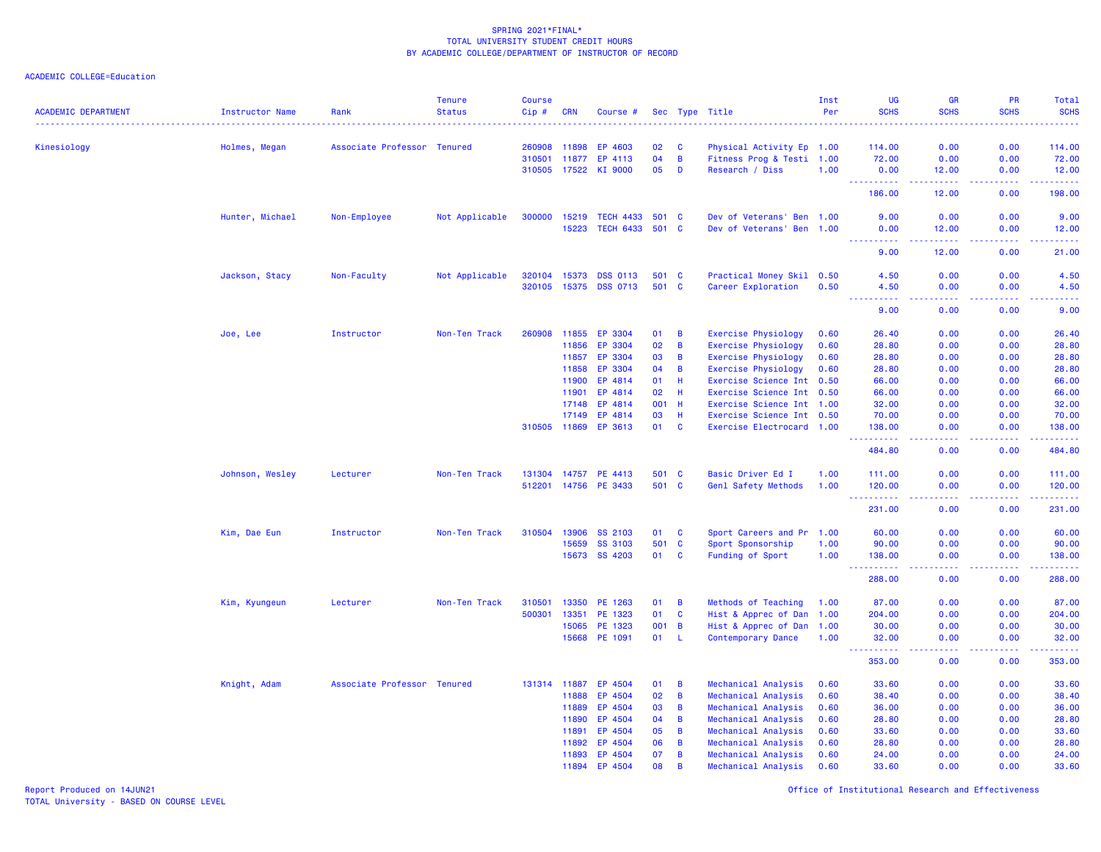| <b>ACADEMIC DEPARTMENT</b> | Instructor Name | Rank                        | <b>Tenure</b><br><b>Status</b> | <b>Course</b><br>Cip# | <b>CRN</b>   | Course #              |       |                | Sec Type Title             | Inst<br>Per | UG<br><b>SCHS</b>                                                                                                                   | <b>GR</b><br><b>SCHS</b>                                                                                                          | <b>PR</b><br><b>SCHS</b> | <b>Total</b><br><b>SCHS</b>                                                                                                                                    |
|----------------------------|-----------------|-----------------------------|--------------------------------|-----------------------|--------------|-----------------------|-------|----------------|----------------------------|-------------|-------------------------------------------------------------------------------------------------------------------------------------|-----------------------------------------------------------------------------------------------------------------------------------|--------------------------|----------------------------------------------------------------------------------------------------------------------------------------------------------------|
| Kinesiology                | Holmes, Megan   | Associate Professor Tenured |                                | 260908                | 11898        | EP 4603               | 02    | C              | Physical Activity Ep 1.00  |             | 114.00                                                                                                                              | 0.00                                                                                                                              | 0.00                     | 114.00                                                                                                                                                         |
|                            |                 |                             |                                | 310501                | 11877        | EP 4113               | 04    | $\overline{B}$ | Fitness Prog & Testi 1.00  |             | 72.00                                                                                                                               | 0.00                                                                                                                              | 0.00                     | 72.00                                                                                                                                                          |
|                            |                 |                             |                                | 310505 17522          |              | KI 9000               | 05    | D              | Research / Diss            | 1.00        | 0.00                                                                                                                                | 12.00                                                                                                                             | 0.00                     | 12.00                                                                                                                                                          |
|                            |                 |                             |                                |                       |              |                       |       |                |                            |             | <u> - - - - - - - - - -</u><br>186.00                                                                                               | المتمامين<br>12.00                                                                                                                | 22222<br>0.00            | $\frac{1}{2} \left( \frac{1}{2} \right) \left( \frac{1}{2} \right) \left( \frac{1}{2} \right) \left( \frac{1}{2} \right) \left( \frac{1}{2} \right)$<br>198.00 |
|                            | Hunter, Michael | Non-Employee                | Not Applicable                 | 300000                | 15219        | <b>TECH 4433</b>      | 501   | - C            | Dev of Veterans' Ben 1.00  |             | 9.00                                                                                                                                | 0.00                                                                                                                              | 0.00                     | 9.00                                                                                                                                                           |
|                            |                 |                             |                                |                       | 15223        | <b>TECH 6433</b>      | 501 C |                | Dev of Veterans' Ben 1.00  |             | 0.00                                                                                                                                | 12.00                                                                                                                             | 0.00                     | 12.00                                                                                                                                                          |
|                            |                 |                             |                                |                       |              |                       |       |                |                            |             | .<br>9.00                                                                                                                           | والمرابط والمرابط<br>12.00                                                                                                        | بالأباب<br>0.00          | .<br>21.00                                                                                                                                                     |
|                            | Jackson, Stacy  | Non-Faculty                 | Not Applicable                 | 320104                | 15373        | <b>DSS 0113</b>       | 501 C |                | Practical Money Skil 0.50  |             | 4.50                                                                                                                                | 0.00                                                                                                                              | 0.00                     | 4.50                                                                                                                                                           |
|                            |                 |                             |                                |                       |              | 320105 15375 DSS 0713 | 501 C |                | Career Exploration         | 0.50        | 4.50<br>.                                                                                                                           | 0.00<br>د د د د                                                                                                                   | 0.00<br>.                | 4.50<br>.                                                                                                                                                      |
|                            |                 |                             |                                |                       |              |                       |       |                |                            |             | 9.00                                                                                                                                | 0.00                                                                                                                              | 0.00                     | 9.00                                                                                                                                                           |
|                            | Joe, Lee        | Instructor                  | Non-Ten Track                  | 260908                | 11855        | EP 3304               | 01    | B              | Exercise Physiology        | 0.60        | 26.40                                                                                                                               | 0.00                                                                                                                              | 0.00                     | 26.40                                                                                                                                                          |
|                            |                 |                             |                                |                       | 11856        | EP 3304               | 02    | B              | Exercise Physiology        | 0.60        | 28.80                                                                                                                               | 0.00                                                                                                                              | 0.00                     | 28.80                                                                                                                                                          |
|                            |                 |                             |                                |                       | 11857        | EP 3304               | 03    | B              | <b>Exercise Physiology</b> | 0.60        | 28.80                                                                                                                               | 0.00                                                                                                                              | 0.00                     | 28.80                                                                                                                                                          |
|                            |                 |                             |                                |                       | 11858        | EP 3304               | 04    | B              | Exercise Physiology        | 0.60        | 28.80                                                                                                                               | 0.00                                                                                                                              | 0.00                     | 28.80                                                                                                                                                          |
|                            |                 |                             |                                |                       | 11900        | EP 4814               | 01    | H              | Exercise Science Int 0.50  |             | 66.00                                                                                                                               | 0.00                                                                                                                              | 0.00                     | 66.00                                                                                                                                                          |
|                            |                 |                             |                                |                       | 11901        | EP 4814               | 02    | H              | Exercise Science Int 0.50  |             | 66.00                                                                                                                               | 0.00                                                                                                                              | 0.00                     | 66.00                                                                                                                                                          |
|                            |                 |                             |                                |                       | 17148        | EP 4814               | 001   | H              | Exercise Science Int 1.00  |             | 32.00                                                                                                                               | 0.00                                                                                                                              | 0.00                     | 32.00                                                                                                                                                          |
|                            |                 |                             |                                |                       | 17149        | EP 4814               | 03    | H              | Exercise Science Int 0.50  |             | 70.00                                                                                                                               | 0.00                                                                                                                              | 0.00                     | 70.00                                                                                                                                                          |
|                            |                 |                             |                                | 310505 11869          |              | EP 3613               | 01    | <b>C</b>       | Exercise Electrocard 1.00  |             | 138.00<br>$\frac{1}{2} \left( \frac{1}{2} \right) \left( \frac{1}{2} \right) \left( \frac{1}{2} \right) \left( \frac{1}{2} \right)$ | 0.00                                                                                                                              | 0.00                     | 138.00<br>وعاماما                                                                                                                                              |
|                            |                 |                             |                                |                       |              |                       |       |                |                            |             | 484.80                                                                                                                              | 0.00                                                                                                                              | 0.00                     | 484.80                                                                                                                                                         |
|                            | Johnson, Wesley | Lecturer                    | Non-Ten Track                  | 131304                | 14757        | PE 4413               | 501 C |                | Basic Driver Ed I          | 1.00        | 111.00                                                                                                                              | 0.00                                                                                                                              | 0.00                     | 111.00                                                                                                                                                         |
|                            |                 |                             |                                | 512201                |              | 14756 PE 3433         | 501 C |                | Genl Safety Methods        | 1.00        | 120.00                                                                                                                              | 0.00                                                                                                                              | 0.00                     | 120.00                                                                                                                                                         |
|                            |                 |                             |                                |                       |              |                       |       |                |                            |             | <u> - - - - - - - - - -</u><br>231.00                                                                                               | .<br>0.00                                                                                                                         | .<br>0.00                | . <u>.</u> .<br>231.00                                                                                                                                         |
|                            | Kim, Dae Eun    | Instructor                  | Non-Ten Track                  | 310504                | 13906        | SS 2103               | 01    | $\mathbf{C}$   | Sport Careers and Pr 1.00  |             | 60.00                                                                                                                               | 0.00                                                                                                                              | 0.00                     | 60.00                                                                                                                                                          |
|                            |                 |                             |                                |                       | 15659        | SS 3103               | 501   | $\mathbf{C}$   | Sport Sponsorship          | 1.00        | 90.00                                                                                                                               | 0.00                                                                                                                              | 0.00                     | 90.00                                                                                                                                                          |
|                            |                 |                             |                                |                       | 15673        | SS 4203               | 01    | $\mathbf{C}$   | Funding of Sport           | 1.00        | 138.00                                                                                                                              | 0.00                                                                                                                              | 0.00                     | 138.00                                                                                                                                                         |
|                            |                 |                             |                                |                       |              |                       |       |                |                            |             | $- - - - -$<br>288.00                                                                                                               | .<br>0.00                                                                                                                         | .<br>0.00                | .<br>288.00                                                                                                                                                    |
|                            | Kim, Kyungeun   | Lecturer                    | Non-Ten Track                  | 310501                | 13350        | PE 1263               | 01    | B              | Methods of Teaching        | 1.00        | 87.00                                                                                                                               | 0.00                                                                                                                              | 0.00                     | 87.00                                                                                                                                                          |
|                            |                 |                             |                                | 500301                | 13351        | PE 1323               | 01    | $\mathbf{C}$   | Hist & Apprec of Dan 1.00  |             | 204.00                                                                                                                              | 0.00                                                                                                                              | 0.00                     | 204.00                                                                                                                                                         |
|                            |                 |                             |                                |                       | 15065        | PE 1323               | 001   | $\overline{B}$ | Hist & Apprec of Dan 1.00  |             | 30.00                                                                                                                               | 0.00                                                                                                                              | 0.00                     | 30.00                                                                                                                                                          |
|                            |                 |                             |                                |                       | 15668        | PE 1091               | 01    | -L             | Contemporary Dance         | 1.00        | 32.00                                                                                                                               | 0.00                                                                                                                              | 0.00                     | 32.00                                                                                                                                                          |
|                            |                 |                             |                                |                       |              |                       |       |                |                            |             | .<br>353.00                                                                                                                         | $\frac{1}{2} \left( \frac{1}{2} \right) \left( \frac{1}{2} \right) \left( \frac{1}{2} \right) \left( \frac{1}{2} \right)$<br>0.00 | . <u>.</u> .<br>0.00     | .<br>353.00                                                                                                                                                    |
|                            | Knight, Adam    | Associate Professor Tenured |                                |                       | 131314 11887 | EP 4504               | 01    | B              | Mechanical Analysis        | 0.60        | 33.60                                                                                                                               | 0.00                                                                                                                              | 0.00                     | 33.60                                                                                                                                                          |
|                            |                 |                             |                                |                       | 11888        | EP 4504               | 02    | B              | Mechanical Analysis        | 0.60        | 38.40                                                                                                                               | 0.00                                                                                                                              | 0.00                     | 38.40                                                                                                                                                          |
|                            |                 |                             |                                |                       | 11889        | EP 4504               | 03    | B              | Mechanical Analysis        | 0.60        | 36.00                                                                                                                               | 0.00                                                                                                                              | 0.00                     | 36.00                                                                                                                                                          |
|                            |                 |                             |                                |                       | 11890        | EP 4504               | 04    | B              | Mechanical Analysis        | 0.60        | 28.80                                                                                                                               | 0.00                                                                                                                              | 0.00                     | 28.80                                                                                                                                                          |
|                            |                 |                             |                                |                       | 11891        | EP 4504               | 05    | B              | Mechanical Analysis        | 0.60        | 33.60                                                                                                                               | 0.00                                                                                                                              | 0.00                     | 33.60                                                                                                                                                          |
|                            |                 |                             |                                |                       | 11892        | EP 4504               | 06    | B              | Mechanical Analysis        | 0.60        | 28.80                                                                                                                               | 0.00                                                                                                                              | 0.00                     | 28.80                                                                                                                                                          |
|                            |                 |                             |                                |                       | 11893        | EP 4504               | 07    | B              | Mechanical Analysis        | 0.60        | 24.00                                                                                                                               | 0.00                                                                                                                              | 0.00                     | 24.00                                                                                                                                                          |
|                            |                 |                             |                                |                       | 11894        | EP 4504               | 08    | B              | Mechanical Analysis        | 0.60        | 33.60                                                                                                                               | 0.00                                                                                                                              | 0.00                     | 33.60                                                                                                                                                          |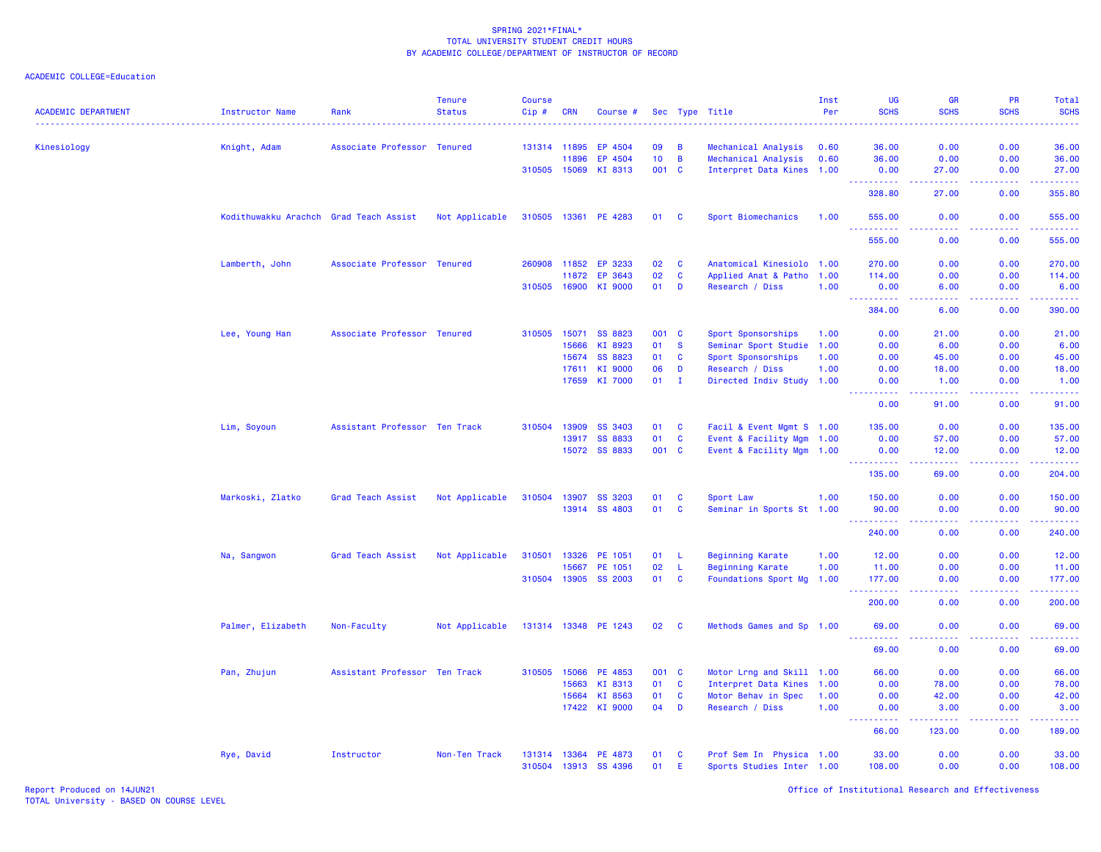| <b>ACADEMIC DEPARTMENT</b> | <b>Instructor Name</b>                 | Rank                          | <b>Tenure</b><br><b>Status</b> | Course<br>Cip# | <b>CRN</b>   | Course #             |                 |              | Sec Type Title            | Inst<br>Per | <b>UG</b><br><b>SCHS</b>       | GR<br><b>SCHS</b><br>.                                                                                 | PR<br><b>SCHS</b>                            | Total<br><b>SCHS</b><br>.                                                                                                                                      |
|----------------------------|----------------------------------------|-------------------------------|--------------------------------|----------------|--------------|----------------------|-----------------|--------------|---------------------------|-------------|--------------------------------|--------------------------------------------------------------------------------------------------------|----------------------------------------------|----------------------------------------------------------------------------------------------------------------------------------------------------------------|
| Kinesiology                | Knight, Adam                           | Associate Professor Tenured   |                                |                | 131314 11895 | EP 4504              | 09              | B            | Mechanical Analysis       | 0.60        | 36.00                          | 0.00                                                                                                   | 0.00                                         | 36.00                                                                                                                                                          |
|                            |                                        |                               |                                |                | 11896        | EP 4504              | 10 <sub>1</sub> | $\mathbf B$  | Mechanical Analysis       | 0.60        | 36.00                          | 0.00                                                                                                   | 0.00                                         | 36.00                                                                                                                                                          |
|                            |                                        |                               |                                | 310505 15069   |              | KI 8313              | 001 C           |              | Interpret Data Kines 1.00 |             | 0.00<br>.                      | 27.00<br>.                                                                                             | 0.00<br>د د د د .                            | 27.00<br>22222                                                                                                                                                 |
|                            |                                        |                               |                                |                |              |                      |                 |              |                           |             | 328.80                         | 27.00                                                                                                  | 0.00                                         | 355.80                                                                                                                                                         |
|                            | Kodithuwakku Arachch Grad Teach Assist |                               | Not Applicable                 | 310505 13361   |              | PE 4283              | 01              | <b>C</b>     | Sport Biomechanics        | 1.00        | 555.00<br>.                    | 0.00<br>د د د د                                                                                        | 0.00<br>22222                                | 555.00<br>.                                                                                                                                                    |
|                            |                                        |                               |                                |                |              |                      |                 |              |                           |             | 555.00                         | 0.00                                                                                                   | 0.00                                         | 555.00                                                                                                                                                         |
|                            | Lamberth, John                         | Associate Professor           | <b>Tenured</b>                 | 260908         | 11852        | EP 3233              | 02              | $\mathbf{C}$ | Anatomical Kinesiolo 1.00 |             | 270.00                         | 0.00                                                                                                   | 0.00                                         | 270.00                                                                                                                                                         |
|                            |                                        |                               |                                |                | 11872        | EP 3643              | 02              | C            | Applied Anat & Patho 1.00 |             | 114.00                         | 0.00                                                                                                   | 0.00                                         | 114.00                                                                                                                                                         |
|                            |                                        |                               |                                | 310505         | 16900        | KI 9000              | 01              | D            | Research / Diss           | 1.00        | 0.00<br>223<br><b>.</b>        | 6.00<br>ولايات                                                                                         | 0.00<br>.                                    | 6.00<br>المتمامين                                                                                                                                              |
|                            |                                        |                               |                                |                |              |                      |                 |              |                           |             | 384.00                         | 6.00                                                                                                   | 0.00                                         | 390.00                                                                                                                                                         |
|                            | Lee, Young Han                         | Associate Professor Tenured   |                                | 310505         | 15071        | SS 8823              | 001 C           |              | Sport Sponsorships        | 1.00        | 0.00                           | 21.00                                                                                                  | 0.00                                         | 21.00                                                                                                                                                          |
|                            |                                        |                               |                                |                | 15666        | KI 8923              | 01              | S            | Seminar Sport Studie 1.00 |             | 0.00                           | 6.00                                                                                                   | 0.00                                         | 6.00                                                                                                                                                           |
|                            |                                        |                               |                                |                | 15674        | SS 8823              | 01              | C            | Sport Sponsorships        | 1.00        | 0.00                           | 45.00                                                                                                  | 0.00                                         | 45.00                                                                                                                                                          |
|                            |                                        |                               |                                |                | 17611        | KI 9000              | 06              | D            | Research / Diss           | 1.00        | 0.00                           | 18.00                                                                                                  | 0.00                                         | 18.00                                                                                                                                                          |
|                            |                                        |                               |                                |                | 17659        | KI 7000              | 01              | $\mathbf{I}$ | Directed Indiv Study 1.00 |             | 0.00<br>$\omega$ is a $\omega$ | 1.00<br>.                                                                                              | 0.00<br>.                                    | 1.00<br>المستما                                                                                                                                                |
|                            |                                        |                               |                                |                |              |                      |                 |              |                           |             | 0.00                           | 91.00                                                                                                  | 0.00                                         | 91.00                                                                                                                                                          |
|                            | Lim, Soyoun                            | Assistant Professor Ten Track |                                | 310504         | 13909        | SS 3403              | 01              | <b>C</b>     | Facil & Event Mgmt S 1.00 |             | 135.00                         | 0.00                                                                                                   | 0.00                                         | 135.00                                                                                                                                                         |
|                            |                                        |                               |                                |                | 13917        | <b>SS 8833</b>       | 01              | C            | Event & Facility Mgm 1.00 |             | 0.00                           | 57.00                                                                                                  | 0.00                                         | 57.00                                                                                                                                                          |
|                            |                                        |                               |                                |                | 15072        | <b>SS 8833</b>       | 001 C           |              | Event & Facility Mgm 1.00 |             | 0.00<br>----------             | 12.00<br>.                                                                                             | 0.00<br><b><i><u><u> - - - -</u></u></i></b> | 12.00<br>.                                                                                                                                                     |
|                            |                                        |                               |                                |                |              |                      |                 |              |                           |             | 135.00                         | 69.00                                                                                                  | 0.00                                         | 204.00                                                                                                                                                         |
|                            | Markoski, Zlatko                       | Grad Teach Assist             | Not Applicable                 | 310504         | 13907        | SS 3203              | 01              | C            | Sport Law                 | 1.00        | 150.00                         | 0.00                                                                                                   | 0.00                                         | 150.00                                                                                                                                                         |
|                            |                                        |                               |                                |                | 13914        | <b>SS 4803</b>       | 01              | C            | Seminar in Sports St 1.00 |             | 90.00                          | 0.00                                                                                                   | 0.00                                         | 90.00                                                                                                                                                          |
|                            |                                        |                               |                                |                |              |                      |                 |              |                           |             | $\sim$ $\sim$ .<br>240.00      | المتمالين<br>0.00                                                                                      | -----<br>0.00                                | والمالم مالماني<br>240.00                                                                                                                                      |
|                            | Na, Sangwon                            | Grad Teach Assist             | Not Applicable                 | 310501         | 13326        | PE 1051              | 01              | - L          | <b>Beginning Karate</b>   | 1.00        | 12.00                          | 0.00                                                                                                   | 0.00                                         | 12.00                                                                                                                                                          |
|                            |                                        |                               |                                |                | 15667        | PE 1051              | 02              | $\mathsf L$  | <b>Beginning Karate</b>   | 1.00        | 11.00                          | 0.00                                                                                                   | 0.00                                         | 11.00                                                                                                                                                          |
|                            |                                        |                               |                                | 310504 13905   |              | SS 2003              | 01              | $\mathbf{C}$ | Foundations Sport Mg 1.00 |             | 177.00                         | 0.00<br>$\frac{1}{2} \left( \frac{1}{2} \right) \left( \frac{1}{2} \right) \left( \frac{1}{2} \right)$ | 0.00<br>22222                                | 177.00<br>$\frac{1}{2} \left( \frac{1}{2} \right) \left( \frac{1}{2} \right) \left( \frac{1}{2} \right) \left( \frac{1}{2} \right) \left( \frac{1}{2} \right)$ |
|                            |                                        |                               |                                |                |              |                      |                 |              |                           |             | 200.00                         | 0.00                                                                                                   | 0.00                                         | 200.00                                                                                                                                                         |
|                            | Palmer, Elizabeth                      | Non-Faculty                   | Not Applicable                 |                |              | 131314 13348 PE 1243 | 02              | $\mathbf{C}$ | Methods Games and Sp 1.00 |             | 69.00                          | 0.00                                                                                                   | 0.00                                         | 69.00                                                                                                                                                          |
|                            |                                        |                               |                                |                |              |                      |                 |              |                           |             | 69.00                          | 0.00                                                                                                   | 0.00                                         | 69.00                                                                                                                                                          |
|                            | Pan, Zhujun                            | Assistant Professor Ten Track |                                | 310505 15066   |              | PE 4853              | 001 C           |              | Motor Lrng and Skill 1.00 |             | 66.00                          | 0.00                                                                                                   | 0.00                                         | 66.00                                                                                                                                                          |
|                            |                                        |                               |                                |                | 15663        | KI 8313              | 01              | $\mathbf{C}$ | Interpret Data Kines      | 1.00        | 0.00                           | 78.00                                                                                                  | 0.00                                         | 78.00                                                                                                                                                          |
|                            |                                        |                               |                                |                | 15664        | KI 8563              | 01              | C            | Motor Behav in Spec       | 1.00        | 0.00                           | 42.00                                                                                                  | 0.00                                         | 42.00                                                                                                                                                          |
|                            |                                        |                               |                                |                | 17422        | KI 9000              | 04              | D            | Research / Diss           | 1.00        | 0.00                           | 3.00                                                                                                   | 0.00                                         | 3.00                                                                                                                                                           |
|                            |                                        |                               |                                |                |              |                      |                 |              |                           |             | 66.00                          | 123.00                                                                                                 | 0.00                                         | 189.00                                                                                                                                                         |
|                            | Rye, David                             | Instructor                    | Non-Ten Track                  | 131314         | 13364        | PE 4873              | 01              | <b>C</b>     | Prof Sem In Physica 1.00  |             | 33.00                          | 0.00                                                                                                   | 0.00                                         | 33.00                                                                                                                                                          |
|                            |                                        |                               |                                | 310504         | 13913        | SS 4396              | 01              | Е            | Sports Studies Inter 1.00 |             | 108.00                         | 0.00                                                                                                   | 0.00                                         | 108.00                                                                                                                                                         |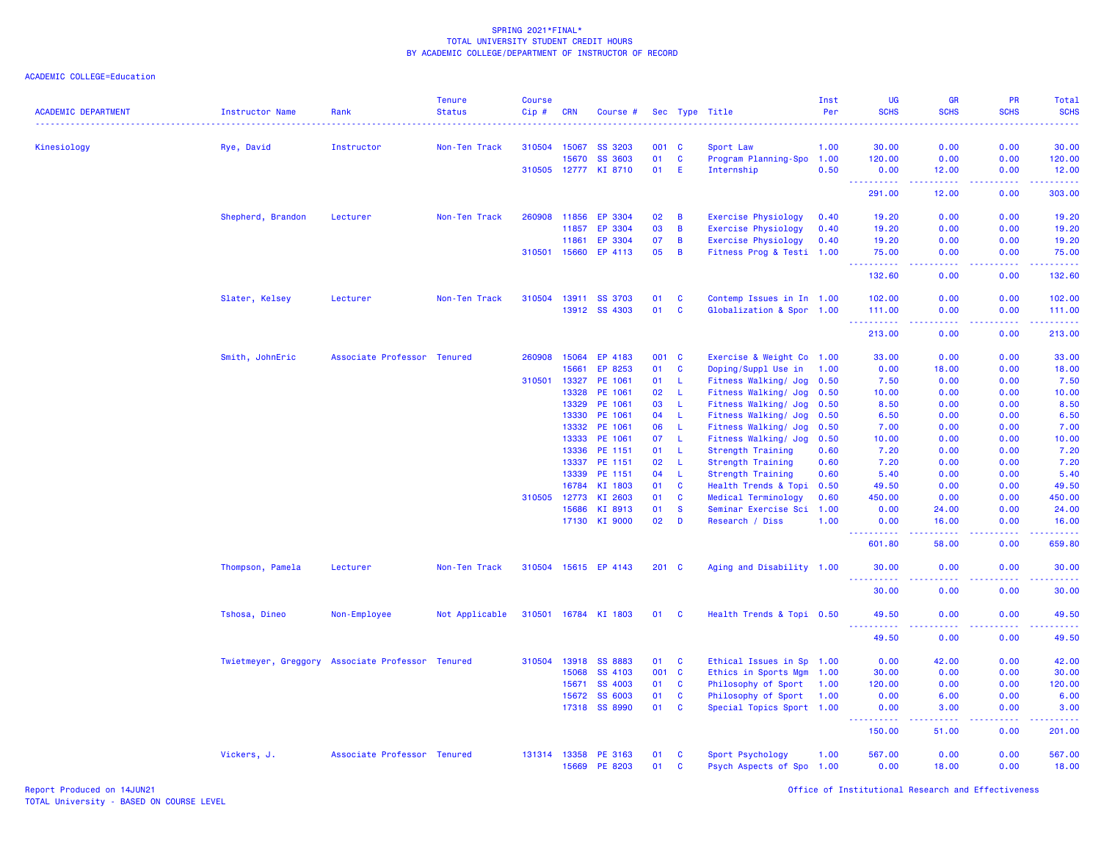| <b>ACADEMIC DEPARTMENT</b> | Instructor Name                                  | Rank                        | <b>Tenure</b><br><b>Status</b> | <b>Course</b><br>Cip# | <b>CRN</b> | Course #             |         |              | Sec Type Title            | Inst<br>Per | UG<br><b>SCHS</b>                   | <b>GR</b><br><b>SCHS</b>                     | PR<br><b>SCHS</b> | Total<br><b>SCHS</b><br>$\frac{1}{2} \left( \frac{1}{2} \right) \left( \frac{1}{2} \right) \left( \frac{1}{2} \right) \left( \frac{1}{2} \right)$              |
|----------------------------|--------------------------------------------------|-----------------------------|--------------------------------|-----------------------|------------|----------------------|---------|--------------|---------------------------|-------------|-------------------------------------|----------------------------------------------|-------------------|----------------------------------------------------------------------------------------------------------------------------------------------------------------|
| Kinesiology                | Rye, David                                       | Instructor                  | Non-Ten Track                  | 310504 15067          |            | SS 3203              | 001 C   |              | Sport Law                 | 1.00        | 30.00                               | 0.00                                         | 0.00              | 30.00                                                                                                                                                          |
|                            |                                                  |                             |                                |                       | 15670      | <b>SS 3603</b>       | 01      | C            | Program Planning-Spo 1.00 |             | 120.00                              | 0.00                                         | 0.00              | 120.00                                                                                                                                                         |
|                            |                                                  |                             |                                | 310505 12777          |            | KI 8710              | 01      | Е            | Internship                | 0.50        | 0.00                                | 12.00                                        | 0.00              | 12.00                                                                                                                                                          |
|                            |                                                  |                             |                                |                       |            |                      |         |              |                           |             | ----------<br>291.00                | د د د د د<br>12.00                           | المستملة<br>0.00  | والمرامي مراميات<br>303.00                                                                                                                                     |
|                            | Shepherd, Brandon                                | Lecturer                    | Non-Ten Track                  | 260908                | 11856      | EP 3304              | 02      | B            | Exercise Physiology       | 0.40        | 19.20                               | 0.00                                         | 0.00              | 19.20                                                                                                                                                          |
|                            |                                                  |                             |                                |                       | 11857      | EP 3304              | 03      | B            | Exercise Physiology       | 0.40        | 19.20                               | 0.00                                         | 0.00              | 19.20                                                                                                                                                          |
|                            |                                                  |                             |                                |                       | 11861      | EP 3304              | 07      | B            | Exercise Physiology       | 0.40        | 19.20                               | 0.00                                         | 0.00              | 19.20                                                                                                                                                          |
|                            |                                                  |                             |                                | 310501                | 15660      | EP 4113              | 05      | B            | Fitness Prog & Testi 1.00 |             | 75.00<br>222222                     | 0.00<br>د د د د                              | 0.00<br>22222     | 75.00<br>.                                                                                                                                                     |
|                            |                                                  |                             |                                |                       |            |                      |         |              |                           |             | 132.60                              | 0.00                                         | 0.00              | 132.60                                                                                                                                                         |
|                            | Slater, Kelsey                                   | Lecturer                    | Non-Ten Track                  | 310504                | 13911      | <b>SS 3703</b>       | 01      | C            | Contemp Issues in In 1.00 |             | 102.00                              | 0.00                                         | 0.00              | 102.00                                                                                                                                                         |
|                            |                                                  |                             |                                |                       | 13912      | SS 4303              | 01      | C            | Globalization & Spor 1.00 |             | 111.00                              | 0.00                                         | 0.00              | 111.00                                                                                                                                                         |
|                            |                                                  |                             |                                |                       |            |                      |         |              |                           |             | <u>.</u><br>213.00                  | 0.00                                         | 0.00              | $\frac{1}{2} \left( \frac{1}{2} \right) \left( \frac{1}{2} \right) \left( \frac{1}{2} \right) \left( \frac{1}{2} \right) \left( \frac{1}{2} \right)$<br>213.00 |
|                            | Smith, JohnEric                                  | Associate Professor Tenured |                                | 260908                | 15064      | EP 4183              | 001     | $\mathbf{C}$ | Exercise & Weight Co 1.00 |             | 33.00                               | 0.00                                         | 0.00              | 33.00                                                                                                                                                          |
|                            |                                                  |                             |                                |                       | 15661      | EP 8253              | 01      | C            | Doping/Suppl Use in       | 1.00        | 0.00                                | 18.00                                        | 0.00              | 18.00                                                                                                                                                          |
|                            |                                                  |                             |                                | 310501                | 13327      | PE 1061              | 01      | L            | Fitness Walking/ Jog      | 0.50        | 7.50                                | 0.00                                         | 0.00              | 7.50                                                                                                                                                           |
|                            |                                                  |                             |                                |                       | 13328      | PE 1061              | 02      | L            | Fitness Walking/ Jog      | 0.50        | 10.00                               | 0.00                                         | 0.00              | 10.00                                                                                                                                                          |
|                            |                                                  |                             |                                |                       | 13329      | PE 1061              | 03      | L            | Fitness Walking/ Jog      | 0.50        | 8.50                                | 0.00                                         | 0.00              | 8.50                                                                                                                                                           |
|                            |                                                  |                             |                                |                       | 13330      | PE 1061              | 04      | L            | Fitness Walking/ Jog      | 0.50        | 6.50                                | 0.00                                         | 0.00              | 6.50                                                                                                                                                           |
|                            |                                                  |                             |                                |                       | 13332      | PE 1061              | 06      | L            | Fitness Walking/ Jog      | 0.50        | 7.00                                | 0.00                                         | 0.00              | 7.00                                                                                                                                                           |
|                            |                                                  |                             |                                |                       | 13333      | PE 1061              | 07      | L            | Fitness Walking/ Jog      | 0.50        | 10.00                               | 0.00                                         | 0.00              | 10.00                                                                                                                                                          |
|                            |                                                  |                             |                                |                       | 13336      | PE 1151              | 01      | L            | Strength Training         | 0.60        | 7.20                                | 0.00                                         | 0.00              | 7.20                                                                                                                                                           |
|                            |                                                  |                             |                                |                       | 13337      | PE 1151              | 02      | L            | <b>Strength Training</b>  | 0.60        | 7.20                                | 0.00                                         | 0.00              | 7.20                                                                                                                                                           |
|                            |                                                  |                             |                                |                       | 13339      | PE 1151              | 04      | L.           | Strength Training         | 0.60        | 5.40                                | 0.00                                         | 0.00              | 5.40                                                                                                                                                           |
|                            |                                                  |                             |                                |                       | 16784      | KI 1803              | 01      | <b>C</b>     | Health Trends & Topi 0.50 |             | 49.50                               | 0.00                                         | 0.00              | 49.50                                                                                                                                                          |
|                            |                                                  |                             |                                | 310505 12773          |            | KI 2603              | 01      | C            | Medical Terminology       | 0.60        | 450.00                              | 0.00                                         | 0.00              | 450.00                                                                                                                                                         |
|                            |                                                  |                             |                                |                       | 15686      | KI 8913              | 01      | <b>S</b>     | Seminar Exercise Sci      | 1.00        | 0.00                                | 24.00                                        | 0.00              | 24.00                                                                                                                                                          |
|                            |                                                  |                             |                                |                       |            | 17130 KI 9000        | 02      | D            | Research / Diss           | 1.00        | 0.00<br>$\sim$ $\sim$ $\sim$ $\sim$ | 16.00<br>$\omega$ $\omega$ $\omega$ $\omega$ | 0.00              | 16.00                                                                                                                                                          |
|                            |                                                  |                             |                                |                       |            |                      |         |              |                           |             | 601.80                              | 58.00                                        | 0.00              | 659.80                                                                                                                                                         |
|                            | Thompson, Pamela                                 | Lecturer                    | Non-Ten Track                  |                       |            | 310504 15615 EP 4143 | $201$ C |              | Aging and Disability 1.00 |             | 30.00<br><u>.</u>                   | 0.00<br>.                                    | 0.00<br>.         | 30.00<br>.                                                                                                                                                     |
|                            |                                                  |                             |                                |                       |            |                      |         |              |                           |             | 30.00                               | 0.00                                         | 0.00              | 30.00                                                                                                                                                          |
|                            | Tshosa, Dineo                                    | Non-Employee                | Not Applicable                 | 310501                |            | 16784 KI 1803        | 01      | <b>C</b>     | Health Trends & Topi 0.50 |             | 49.50                               | 0.00                                         | 0.00              | 49.50                                                                                                                                                          |
|                            |                                                  |                             |                                |                       |            |                      |         |              |                           |             | 49.50                               | 0.00                                         | 0.00              | 49.50                                                                                                                                                          |
|                            | Twietmeyer, Greggory Associate Professor Tenured |                             |                                | 310504                | 13918      | <b>SS 8883</b>       | 01      | <b>C</b>     | Ethical Issues in Sp 1.00 |             | 0.00                                | 42.00                                        | 0.00              | 42.00                                                                                                                                                          |
|                            |                                                  |                             |                                |                       | 15068      | SS 4103              | 001     | $\mathbf{C}$ | Ethics in Sports Mgm 1.00 |             | 30.00                               | 0.00                                         | 0.00              | 30.00                                                                                                                                                          |
|                            |                                                  |                             |                                |                       | 15671      | SS 4003              | 01      | $\mathbf{C}$ | Philosophy of Sport 1.00  |             | 120.00                              | 0.00                                         | 0.00              | 120.00                                                                                                                                                         |
|                            |                                                  |                             |                                |                       | 15672      | SS 6003              | 01      | C            | Philosophy of Sport       | 1.00        | 0.00                                | 6.00                                         | 0.00              | 6.00                                                                                                                                                           |
|                            |                                                  |                             |                                |                       | 17318      | SS 8990              | 01      | $\mathbf{C}$ | Special Topics Sport 1.00 |             | 0.00<br>.                           | 3.00<br>د د د د                              | 0.00<br>.         | 3.00<br>$\mathbf{L}^{\prime} = \mathbf{L}^{\prime} + \mathbf{L}^{\prime} + \mathbf{L}^{\prime}$                                                                |
|                            |                                                  |                             |                                |                       |            |                      |         |              |                           |             | 150.00                              | 51.00                                        | 0.00              | 201.00                                                                                                                                                         |
|                            | Vickers, J.                                      | Associate Professor Tenured |                                | 131314 13358          |            | PE 3163              | 01      | C            | Sport Psychology          | 1.00        | 567.00                              | 0.00                                         | 0.00              | 567.00                                                                                                                                                         |
|                            |                                                  |                             |                                |                       | 15669      | PE 8203              | 01      | C            | Psych Aspects of Spo 1.00 |             | 0.00                                | 18.00                                        | 0.00              | 18.00                                                                                                                                                          |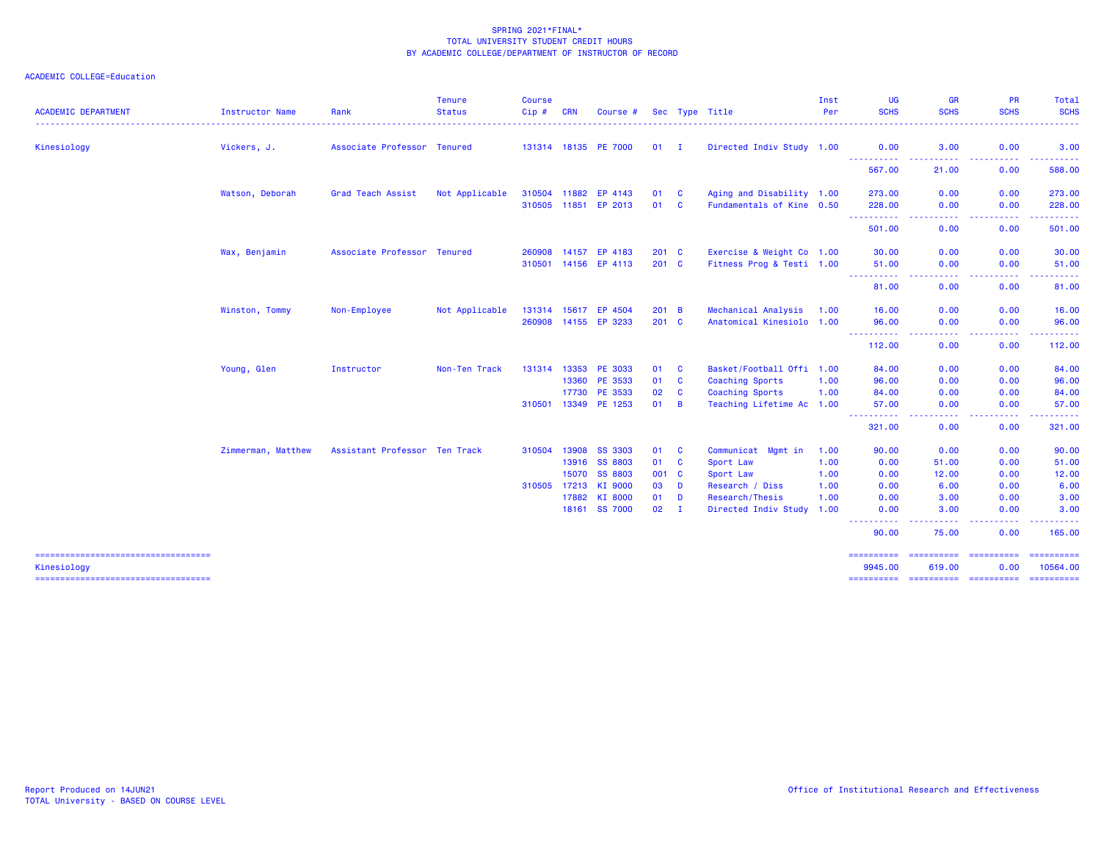| 0.00<br>Kinesiology<br>Associate Professor Tenured<br>131314 18135 PE 7000<br>$01$ I<br>Directed Indiv Study 1.00<br>3.00<br>3.00<br>Vickers, J.<br>0.00<br><b>.</b> .<br><b><i><u><u> - - - - - - - - - -</u></u></i></b><br><b><i><u><u> - - - - - - - - - -</u></u></i></b><br>----------<br>567.00<br>0.00<br>21.00<br>588.00<br>Watson, Deborah<br>Grad Teach Assist<br>Not Applicable<br>Aging and Disability 1.00<br>273.00<br>0.00<br>310504 11882<br>EP 4143<br>01<br>- C<br>0.00<br>273.00<br>Fundamentals of Kine 0.50<br>310505 11851 EP 2013<br>228.00<br>0.00<br>0.00<br>01<br><b>C</b><br>228.00<br>-----------<br>.<br>$\frac{1}{2} \left( \frac{1}{2} \right) \left( \frac{1}{2} \right) \left( \frac{1}{2} \right) \left( \frac{1}{2} \right) \left( \frac{1}{2} \right)$<br>. <b>.</b><br>501.00<br>0.00<br>0.00<br>501.00<br>Exercise & Weight Co 1.00<br>Wax, Benjamin<br>Associate Professor Tenured<br>EP 4183<br>0.00<br>30.00<br>260908 14157<br>$201 \quad C$<br>30.00<br>0.00<br>Fitness Prog & Testi 1.00<br>0.00<br>0.00<br>310501 14156 EP 4113<br>$201 \quad C$<br>51.00<br>51.00<br><b>.</b><br>$\frac{1}{2} \left( \frac{1}{2} \right) \left( \frac{1}{2} \right) \left( \frac{1}{2} \right)$<br>.<br>.<br>81.00<br>0.00<br>0.00<br>81.00<br>Mechanical Analysis<br>Not Applicable<br>EP 4504<br>0.00<br>0.00<br>16.00<br>Winston, Tommy<br>Non-Employee<br>131314 15617<br>201 B<br>1.00<br>16.00<br>Anatomical Kinesiolo 1.00<br>0.00<br>260908 14155 EP 3233<br>$201 \quad C$<br>96.00<br>0.00<br>96.00<br><u>.</u><br>.<br>.<br><b><i><u><u>.</u></u></i></b><br>112.00<br>0.00<br>0.00<br>112.00<br>Young, Glen<br>13353<br>PE 3033<br>Basket/Football Offi 1.00<br>84.00<br>Instructor<br>Non-Ten Track<br>131314<br>01<br><b>C</b><br>84.00<br>0.00<br>0.00<br>PE 3533<br>$\mathbf{C}$<br>96.00<br>13360<br>01<br>Coaching Sports<br>96.00<br>0.00<br>0.00<br>1.00<br>PE 3533<br>$\mathbf{C}$<br>Coaching Sports<br>84.00<br>17730<br>02<br>1.00<br>0.00<br>0.00<br>84.00<br>310501 13349<br>PE 1253<br>01<br>$\overline{B}$<br>Teaching Lifetime Ac 1.00<br>0.00<br>57.00<br>0.00<br>57.00<br>.<br>.<br>-----<br>0.00<br>321.00<br>0.00<br>321.00<br>Assistant Professor Ten Track<br>Zimmerman, Matthew<br>13908<br><b>SS 3303</b><br>C<br>Communicat Mgmt in<br>90.00<br>0.00<br>0.00<br>90.00<br>310504<br>01<br>1.00<br><b>SS 8803</b><br>$\mathbf{C}$<br>13916<br>01<br>Sport Law<br>1.00<br>0.00<br>51.00<br>0.00<br>51.00<br>15070<br><b>SS 8803</b><br>001 C<br>0.00<br>12.00<br>Sport Law<br>1.00<br>0.00<br>12.00<br>310505 17213<br>KI 9000<br>03<br>D<br>Research / Diss<br>6.00<br>0.00<br>6.00<br>1.00<br>0.00<br>17882<br>KI 8000<br>D<br>3.00<br>0.00<br>3.00<br>01<br>Research/Thesis<br>1.00<br>0.00<br>18161 SS 7000<br>02<br>0.00<br>$\mathbf{I}$<br>Directed Indiv Study 1.00<br>0.00<br>3.00<br>3.00<br>والمسامين<br>.<br>.<br>----------<br>90.00<br>75.00<br>0.00<br>165.00<br>==========<br>====================================<br>$\begin{array}{cccccccccc} \multicolumn{2}{c}{} & \multicolumn{2}{c}{} & \multicolumn{2}{c}{} & \multicolumn{2}{c}{} & \multicolumn{2}{c}{} & \multicolumn{2}{c}{} & \multicolumn{2}{c}{} & \multicolumn{2}{c}{} & \multicolumn{2}{c}{} & \multicolumn{2}{c}{} & \multicolumn{2}{c}{} & \multicolumn{2}{c}{} & \multicolumn{2}{c}{} & \multicolumn{2}{c}{} & \multicolumn{2}{c}{} & \multicolumn{2}{c}{} & \multicolumn{2}{c}{} & \multicolumn{2}{c}{} & \multicolumn{2}{c}{} & \mult$<br><b>COORDINGS</b><br>10564.00<br>9945.00<br>619.00<br>0.00<br>Kinesiology | <b>ACADEMIC DEPARTMENT</b>            | Instructor Name | Rank | <b>Tenure</b><br><b>Status</b> | <b>Course</b><br>Cip# | <b>CRN</b> | Course # |  | Sec Type Title | Inst<br>Per | UG<br><b>SCHS</b> | <b>GR</b><br><b>SCHS</b> | PR<br><b>SCHS</b> | Total<br><b>SCHS</b> |
|--------------------------------------------------------------------------------------------------------------------------------------------------------------------------------------------------------------------------------------------------------------------------------------------------------------------------------------------------------------------------------------------------------------------------------------------------------------------------------------------------------------------------------------------------------------------------------------------------------------------------------------------------------------------------------------------------------------------------------------------------------------------------------------------------------------------------------------------------------------------------------------------------------------------------------------------------------------------------------------------------------------------------------------------------------------------------------------------------------------------------------------------------------------------------------------------------------------------------------------------------------------------------------------------------------------------------------------------------------------------------------------------------------------------------------------------------------------------------------------------------------------------------------------------------------------------------------------------------------------------------------------------------------------------------------------------------------------------------------------------------------------------------------------------------------------------------------------------------------------------------------------------------------------------------------------------------------------------------------------------------------------------------------------------------------------------------------------------------------------------------------------------------------------------------------------------------------------------------------------------------------------------------------------------------------------------------------------------------------------------------------------------------------------------------------------------------------------------------------------------------------------------------------------------------------------------------------------------------------------------------------------------------------------------------------------------------------------------------------------------------------------------------------------------------------------------------------------------------------------------------------------------------------------------------------------------------------------------------------------------------------------------------------------------------------------------------------------------------------------------------------------------------------------------------------------------------------------------------------------------------------------------------------------------------------------------------------------------------------------------------------------------------------------------------------------------------------------------------------------------------------------------------------------------------------------------------|---------------------------------------|-----------------|------|--------------------------------|-----------------------|------------|----------|--|----------------|-------------|-------------------|--------------------------|-------------------|----------------------|
|                                                                                                                                                                                                                                                                                                                                                                                                                                                                                                                                                                                                                                                                                                                                                                                                                                                                                                                                                                                                                                                                                                                                                                                                                                                                                                                                                                                                                                                                                                                                                                                                                                                                                                                                                                                                                                                                                                                                                                                                                                                                                                                                                                                                                                                                                                                                                                                                                                                                                                                                                                                                                                                                                                                                                                                                                                                                                                                                                                                                                                                                                                                                                                                                                                                                                                                                                                                                                                                                                                                                                                          |                                       |                 |      |                                |                       |            |          |  |                |             |                   |                          |                   |                      |
|                                                                                                                                                                                                                                                                                                                                                                                                                                                                                                                                                                                                                                                                                                                                                                                                                                                                                                                                                                                                                                                                                                                                                                                                                                                                                                                                                                                                                                                                                                                                                                                                                                                                                                                                                                                                                                                                                                                                                                                                                                                                                                                                                                                                                                                                                                                                                                                                                                                                                                                                                                                                                                                                                                                                                                                                                                                                                                                                                                                                                                                                                                                                                                                                                                                                                                                                                                                                                                                                                                                                                                          |                                       |                 |      |                                |                       |            |          |  |                |             |                   |                          |                   |                      |
|                                                                                                                                                                                                                                                                                                                                                                                                                                                                                                                                                                                                                                                                                                                                                                                                                                                                                                                                                                                                                                                                                                                                                                                                                                                                                                                                                                                                                                                                                                                                                                                                                                                                                                                                                                                                                                                                                                                                                                                                                                                                                                                                                                                                                                                                                                                                                                                                                                                                                                                                                                                                                                                                                                                                                                                                                                                                                                                                                                                                                                                                                                                                                                                                                                                                                                                                                                                                                                                                                                                                                                          |                                       |                 |      |                                |                       |            |          |  |                |             |                   |                          |                   |                      |
|                                                                                                                                                                                                                                                                                                                                                                                                                                                                                                                                                                                                                                                                                                                                                                                                                                                                                                                                                                                                                                                                                                                                                                                                                                                                                                                                                                                                                                                                                                                                                                                                                                                                                                                                                                                                                                                                                                                                                                                                                                                                                                                                                                                                                                                                                                                                                                                                                                                                                                                                                                                                                                                                                                                                                                                                                                                                                                                                                                                                                                                                                                                                                                                                                                                                                                                                                                                                                                                                                                                                                                          |                                       |                 |      |                                |                       |            |          |  |                |             |                   |                          |                   |                      |
|                                                                                                                                                                                                                                                                                                                                                                                                                                                                                                                                                                                                                                                                                                                                                                                                                                                                                                                                                                                                                                                                                                                                                                                                                                                                                                                                                                                                                                                                                                                                                                                                                                                                                                                                                                                                                                                                                                                                                                                                                                                                                                                                                                                                                                                                                                                                                                                                                                                                                                                                                                                                                                                                                                                                                                                                                                                                                                                                                                                                                                                                                                                                                                                                                                                                                                                                                                                                                                                                                                                                                                          |                                       |                 |      |                                |                       |            |          |  |                |             |                   |                          |                   |                      |
|                                                                                                                                                                                                                                                                                                                                                                                                                                                                                                                                                                                                                                                                                                                                                                                                                                                                                                                                                                                                                                                                                                                                                                                                                                                                                                                                                                                                                                                                                                                                                                                                                                                                                                                                                                                                                                                                                                                                                                                                                                                                                                                                                                                                                                                                                                                                                                                                                                                                                                                                                                                                                                                                                                                                                                                                                                                                                                                                                                                                                                                                                                                                                                                                                                                                                                                                                                                                                                                                                                                                                                          |                                       |                 |      |                                |                       |            |          |  |                |             |                   |                          |                   |                      |
|                                                                                                                                                                                                                                                                                                                                                                                                                                                                                                                                                                                                                                                                                                                                                                                                                                                                                                                                                                                                                                                                                                                                                                                                                                                                                                                                                                                                                                                                                                                                                                                                                                                                                                                                                                                                                                                                                                                                                                                                                                                                                                                                                                                                                                                                                                                                                                                                                                                                                                                                                                                                                                                                                                                                                                                                                                                                                                                                                                                                                                                                                                                                                                                                                                                                                                                                                                                                                                                                                                                                                                          |                                       |                 |      |                                |                       |            |          |  |                |             |                   |                          |                   |                      |
|                                                                                                                                                                                                                                                                                                                                                                                                                                                                                                                                                                                                                                                                                                                                                                                                                                                                                                                                                                                                                                                                                                                                                                                                                                                                                                                                                                                                                                                                                                                                                                                                                                                                                                                                                                                                                                                                                                                                                                                                                                                                                                                                                                                                                                                                                                                                                                                                                                                                                                                                                                                                                                                                                                                                                                                                                                                                                                                                                                                                                                                                                                                                                                                                                                                                                                                                                                                                                                                                                                                                                                          |                                       |                 |      |                                |                       |            |          |  |                |             |                   |                          |                   |                      |
|                                                                                                                                                                                                                                                                                                                                                                                                                                                                                                                                                                                                                                                                                                                                                                                                                                                                                                                                                                                                                                                                                                                                                                                                                                                                                                                                                                                                                                                                                                                                                                                                                                                                                                                                                                                                                                                                                                                                                                                                                                                                                                                                                                                                                                                                                                                                                                                                                                                                                                                                                                                                                                                                                                                                                                                                                                                                                                                                                                                                                                                                                                                                                                                                                                                                                                                                                                                                                                                                                                                                                                          |                                       |                 |      |                                |                       |            |          |  |                |             |                   |                          |                   |                      |
|                                                                                                                                                                                                                                                                                                                                                                                                                                                                                                                                                                                                                                                                                                                                                                                                                                                                                                                                                                                                                                                                                                                                                                                                                                                                                                                                                                                                                                                                                                                                                                                                                                                                                                                                                                                                                                                                                                                                                                                                                                                                                                                                                                                                                                                                                                                                                                                                                                                                                                                                                                                                                                                                                                                                                                                                                                                                                                                                                                                                                                                                                                                                                                                                                                                                                                                                                                                                                                                                                                                                                                          |                                       |                 |      |                                |                       |            |          |  |                |             |                   |                          |                   |                      |
|                                                                                                                                                                                                                                                                                                                                                                                                                                                                                                                                                                                                                                                                                                                                                                                                                                                                                                                                                                                                                                                                                                                                                                                                                                                                                                                                                                                                                                                                                                                                                                                                                                                                                                                                                                                                                                                                                                                                                                                                                                                                                                                                                                                                                                                                                                                                                                                                                                                                                                                                                                                                                                                                                                                                                                                                                                                                                                                                                                                                                                                                                                                                                                                                                                                                                                                                                                                                                                                                                                                                                                          |                                       |                 |      |                                |                       |            |          |  |                |             |                   |                          |                   |                      |
|                                                                                                                                                                                                                                                                                                                                                                                                                                                                                                                                                                                                                                                                                                                                                                                                                                                                                                                                                                                                                                                                                                                                                                                                                                                                                                                                                                                                                                                                                                                                                                                                                                                                                                                                                                                                                                                                                                                                                                                                                                                                                                                                                                                                                                                                                                                                                                                                                                                                                                                                                                                                                                                                                                                                                                                                                                                                                                                                                                                                                                                                                                                                                                                                                                                                                                                                                                                                                                                                                                                                                                          |                                       |                 |      |                                |                       |            |          |  |                |             |                   |                          |                   |                      |
|                                                                                                                                                                                                                                                                                                                                                                                                                                                                                                                                                                                                                                                                                                                                                                                                                                                                                                                                                                                                                                                                                                                                                                                                                                                                                                                                                                                                                                                                                                                                                                                                                                                                                                                                                                                                                                                                                                                                                                                                                                                                                                                                                                                                                                                                                                                                                                                                                                                                                                                                                                                                                                                                                                                                                                                                                                                                                                                                                                                                                                                                                                                                                                                                                                                                                                                                                                                                                                                                                                                                                                          |                                       |                 |      |                                |                       |            |          |  |                |             |                   |                          |                   |                      |
|                                                                                                                                                                                                                                                                                                                                                                                                                                                                                                                                                                                                                                                                                                                                                                                                                                                                                                                                                                                                                                                                                                                                                                                                                                                                                                                                                                                                                                                                                                                                                                                                                                                                                                                                                                                                                                                                                                                                                                                                                                                                                                                                                                                                                                                                                                                                                                                                                                                                                                                                                                                                                                                                                                                                                                                                                                                                                                                                                                                                                                                                                                                                                                                                                                                                                                                                                                                                                                                                                                                                                                          |                                       |                 |      |                                |                       |            |          |  |                |             |                   |                          |                   |                      |
|                                                                                                                                                                                                                                                                                                                                                                                                                                                                                                                                                                                                                                                                                                                                                                                                                                                                                                                                                                                                                                                                                                                                                                                                                                                                                                                                                                                                                                                                                                                                                                                                                                                                                                                                                                                                                                                                                                                                                                                                                                                                                                                                                                                                                                                                                                                                                                                                                                                                                                                                                                                                                                                                                                                                                                                                                                                                                                                                                                                                                                                                                                                                                                                                                                                                                                                                                                                                                                                                                                                                                                          |                                       |                 |      |                                |                       |            |          |  |                |             |                   |                          |                   |                      |
|                                                                                                                                                                                                                                                                                                                                                                                                                                                                                                                                                                                                                                                                                                                                                                                                                                                                                                                                                                                                                                                                                                                                                                                                                                                                                                                                                                                                                                                                                                                                                                                                                                                                                                                                                                                                                                                                                                                                                                                                                                                                                                                                                                                                                                                                                                                                                                                                                                                                                                                                                                                                                                                                                                                                                                                                                                                                                                                                                                                                                                                                                                                                                                                                                                                                                                                                                                                                                                                                                                                                                                          |                                       |                 |      |                                |                       |            |          |  |                |             |                   |                          |                   |                      |
|                                                                                                                                                                                                                                                                                                                                                                                                                                                                                                                                                                                                                                                                                                                                                                                                                                                                                                                                                                                                                                                                                                                                                                                                                                                                                                                                                                                                                                                                                                                                                                                                                                                                                                                                                                                                                                                                                                                                                                                                                                                                                                                                                                                                                                                                                                                                                                                                                                                                                                                                                                                                                                                                                                                                                                                                                                                                                                                                                                                                                                                                                                                                                                                                                                                                                                                                                                                                                                                                                                                                                                          |                                       |                 |      |                                |                       |            |          |  |                |             |                   |                          |                   |                      |
|                                                                                                                                                                                                                                                                                                                                                                                                                                                                                                                                                                                                                                                                                                                                                                                                                                                                                                                                                                                                                                                                                                                                                                                                                                                                                                                                                                                                                                                                                                                                                                                                                                                                                                                                                                                                                                                                                                                                                                                                                                                                                                                                                                                                                                                                                                                                                                                                                                                                                                                                                                                                                                                                                                                                                                                                                                                                                                                                                                                                                                                                                                                                                                                                                                                                                                                                                                                                                                                                                                                                                                          |                                       |                 |      |                                |                       |            |          |  |                |             |                   |                          |                   |                      |
|                                                                                                                                                                                                                                                                                                                                                                                                                                                                                                                                                                                                                                                                                                                                                                                                                                                                                                                                                                                                                                                                                                                                                                                                                                                                                                                                                                                                                                                                                                                                                                                                                                                                                                                                                                                                                                                                                                                                                                                                                                                                                                                                                                                                                                                                                                                                                                                                                                                                                                                                                                                                                                                                                                                                                                                                                                                                                                                                                                                                                                                                                                                                                                                                                                                                                                                                                                                                                                                                                                                                                                          |                                       |                 |      |                                |                       |            |          |  |                |             |                   |                          |                   |                      |
|                                                                                                                                                                                                                                                                                                                                                                                                                                                                                                                                                                                                                                                                                                                                                                                                                                                                                                                                                                                                                                                                                                                                                                                                                                                                                                                                                                                                                                                                                                                                                                                                                                                                                                                                                                                                                                                                                                                                                                                                                                                                                                                                                                                                                                                                                                                                                                                                                                                                                                                                                                                                                                                                                                                                                                                                                                                                                                                                                                                                                                                                                                                                                                                                                                                                                                                                                                                                                                                                                                                                                                          |                                       |                 |      |                                |                       |            |          |  |                |             |                   |                          |                   |                      |
|                                                                                                                                                                                                                                                                                                                                                                                                                                                                                                                                                                                                                                                                                                                                                                                                                                                                                                                                                                                                                                                                                                                                                                                                                                                                                                                                                                                                                                                                                                                                                                                                                                                                                                                                                                                                                                                                                                                                                                                                                                                                                                                                                                                                                                                                                                                                                                                                                                                                                                                                                                                                                                                                                                                                                                                                                                                                                                                                                                                                                                                                                                                                                                                                                                                                                                                                                                                                                                                                                                                                                                          |                                       |                 |      |                                |                       |            |          |  |                |             |                   |                          |                   |                      |
|                                                                                                                                                                                                                                                                                                                                                                                                                                                                                                                                                                                                                                                                                                                                                                                                                                                                                                                                                                                                                                                                                                                                                                                                                                                                                                                                                                                                                                                                                                                                                                                                                                                                                                                                                                                                                                                                                                                                                                                                                                                                                                                                                                                                                                                                                                                                                                                                                                                                                                                                                                                                                                                                                                                                                                                                                                                                                                                                                                                                                                                                                                                                                                                                                                                                                                                                                                                                                                                                                                                                                                          |                                       |                 |      |                                |                       |            |          |  |                |             |                   |                          |                   |                      |
|                                                                                                                                                                                                                                                                                                                                                                                                                                                                                                                                                                                                                                                                                                                                                                                                                                                                                                                                                                                                                                                                                                                                                                                                                                                                                                                                                                                                                                                                                                                                                                                                                                                                                                                                                                                                                                                                                                                                                                                                                                                                                                                                                                                                                                                                                                                                                                                                                                                                                                                                                                                                                                                                                                                                                                                                                                                                                                                                                                                                                                                                                                                                                                                                                                                                                                                                                                                                                                                                                                                                                                          |                                       |                 |      |                                |                       |            |          |  |                |             |                   |                          |                   |                      |
|                                                                                                                                                                                                                                                                                                                                                                                                                                                                                                                                                                                                                                                                                                                                                                                                                                                                                                                                                                                                                                                                                                                                                                                                                                                                                                                                                                                                                                                                                                                                                                                                                                                                                                                                                                                                                                                                                                                                                                                                                                                                                                                                                                                                                                                                                                                                                                                                                                                                                                                                                                                                                                                                                                                                                                                                                                                                                                                                                                                                                                                                                                                                                                                                                                                                                                                                                                                                                                                                                                                                                                          |                                       |                 |      |                                |                       |            |          |  |                |             |                   |                          |                   |                      |
|                                                                                                                                                                                                                                                                                                                                                                                                                                                                                                                                                                                                                                                                                                                                                                                                                                                                                                                                                                                                                                                                                                                                                                                                                                                                                                                                                                                                                                                                                                                                                                                                                                                                                                                                                                                                                                                                                                                                                                                                                                                                                                                                                                                                                                                                                                                                                                                                                                                                                                                                                                                                                                                                                                                                                                                                                                                                                                                                                                                                                                                                                                                                                                                                                                                                                                                                                                                                                                                                                                                                                                          |                                       |                 |      |                                |                       |            |          |  |                |             |                   |                          |                   |                      |
|                                                                                                                                                                                                                                                                                                                                                                                                                                                                                                                                                                                                                                                                                                                                                                                                                                                                                                                                                                                                                                                                                                                                                                                                                                                                                                                                                                                                                                                                                                                                                                                                                                                                                                                                                                                                                                                                                                                                                                                                                                                                                                                                                                                                                                                                                                                                                                                                                                                                                                                                                                                                                                                                                                                                                                                                                                                                                                                                                                                                                                                                                                                                                                                                                                                                                                                                                                                                                                                                                                                                                                          | ===================================== |                 |      |                                |                       |            |          |  |                |             |                   |                          |                   |                      |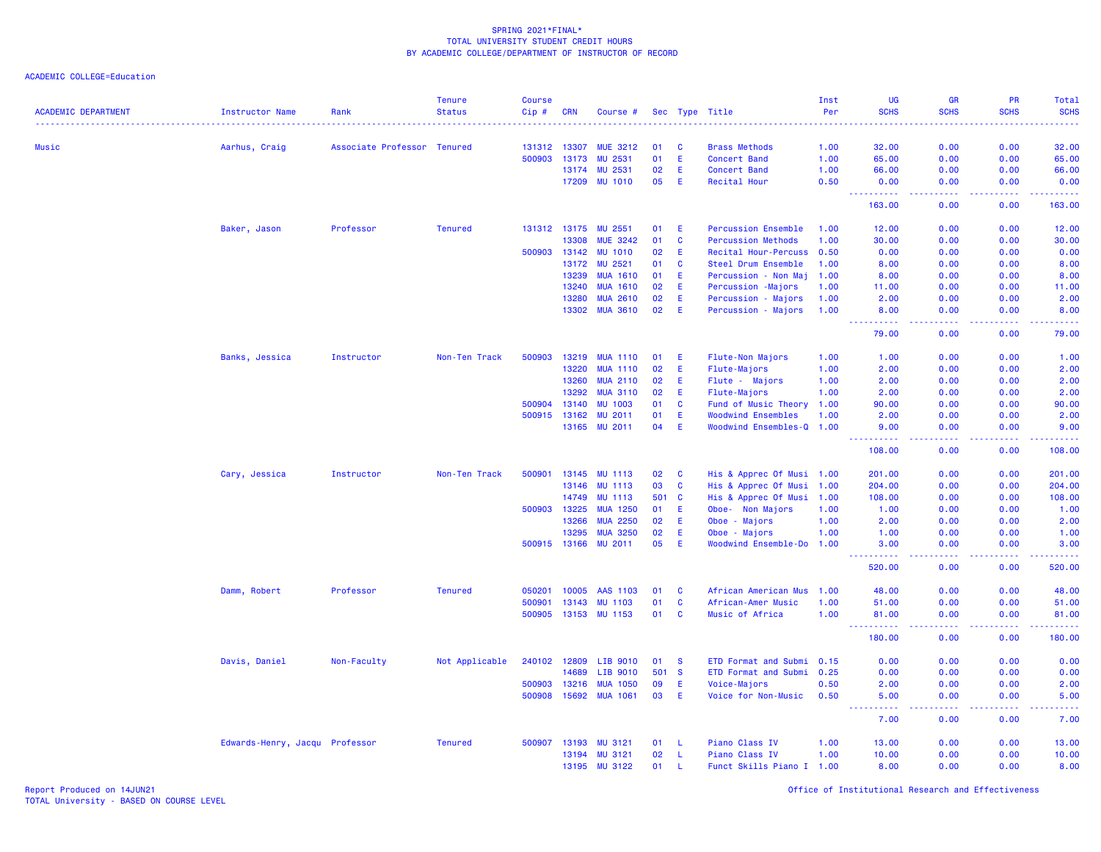ACADEMIC COLLEGE=Education

| <b>ACADEMIC DEPARTMENT</b> | <b>Instructor Name</b>         | Rank                        | <b>Tenure</b><br><b>Status</b> | <b>Course</b><br>Cip# | <b>CRN</b>   | Course #        |       |              | Sec Type Title              | Inst<br>Per | <b>UG</b><br><b>SCHS</b>                                                                                                                                       | <b>GR</b><br><b>SCHS</b> | PR<br><b>SCHS</b> | Total<br><b>SCHS</b>    |
|----------------------------|--------------------------------|-----------------------------|--------------------------------|-----------------------|--------------|-----------------|-------|--------------|-----------------------------|-------------|----------------------------------------------------------------------------------------------------------------------------------------------------------------|--------------------------|-------------------|-------------------------|
|                            |                                |                             |                                |                       |              |                 |       |              |                             | .           |                                                                                                                                                                |                          |                   | والمتمام المار          |
| Music                      | Aarhus, Craig                  | Associate Professor Tenured |                                | 131312 13307          |              | <b>MUE 3212</b> | 01    | <b>C</b>     | <b>Brass Methods</b>        | 1.00        | 32.00                                                                                                                                                          | 0.00                     | 0.00              | 32.00                   |
|                            |                                |                             |                                | 500903                | 13173        | MU 2531         | 01    | E            | <b>Concert Band</b>         | 1.00        | 65.00                                                                                                                                                          | 0.00                     | 0.00              | 65.00                   |
|                            |                                |                             |                                |                       | 13174        | MU 2531         | 02    | E            | <b>Concert Band</b>         | 1.00        | 66.00                                                                                                                                                          | 0.00                     | 0.00              | 66.00                   |
|                            |                                |                             |                                |                       | 17209        | <b>MU 1010</b>  | 05    | E            | Recital Hour                | 0.50        | 0.00<br>د د د د                                                                                                                                                | 0.00                     | 0.00              | 0.00                    |
|                            |                                |                             |                                |                       |              |                 |       |              |                             |             | 163.00                                                                                                                                                         | 0.00                     | 0.00              | 163.00                  |
|                            | Baker, Jason                   | Professor                   | <b>Tenured</b>                 |                       | 131312 13175 | MU 2551         | 01    | E            | <b>Percussion Ensemble</b>  | 1.00        | 12.00                                                                                                                                                          | 0.00                     | 0.00              | 12.00                   |
|                            |                                |                             |                                |                       | 13308        | <b>MUE 3242</b> | 01    | C            | <b>Percussion Methods</b>   | 1.00        | 30.00                                                                                                                                                          | 0.00                     | 0.00              | 30.00                   |
|                            |                                |                             |                                |                       | 500903 13142 | <b>MU 1010</b>  | 02    | E            | Recital Hour-Percuss 0.50   |             | 0.00                                                                                                                                                           | 0.00                     | 0.00              | 0.00                    |
|                            |                                |                             |                                |                       | 13172        | MU 2521         | 01    | C            | Steel Drum Ensemble         | 1.00        | 8.00                                                                                                                                                           | 0.00                     | 0.00              | 8.00                    |
|                            |                                |                             |                                |                       | 13239        | <b>MUA 1610</b> | 01    | E            | Percussion<br>- Non Maj     | 1.00        | 8.00                                                                                                                                                           | 0.00                     | 0.00              | 8.00                    |
|                            |                                |                             |                                |                       | 13240        | <b>MUA 1610</b> | 02    | Ε            | Percussion<br>-Majors       | 1.00        | 11.00                                                                                                                                                          | 0.00                     | 0.00              | 11.00                   |
|                            |                                |                             |                                |                       | 13280        | <b>MUA 2610</b> | 02    | E            | Percussion<br>- Majors      | 1.00        | 2.00                                                                                                                                                           | 0.00                     | 0.00              | 2.00                    |
|                            |                                |                             |                                |                       | 13302        | <b>MUA 3610</b> | 02    | E            | Percussion - Majors         | 1.00        | 8.00<br>----------                                                                                                                                             | 0.00<br>.                | 0.00              | 8.00                    |
|                            |                                |                             |                                |                       |              |                 |       |              |                             |             | 79.00                                                                                                                                                          | 0.00                     | 0.00              | 79.00                   |
|                            | Banks, Jessica                 | Instructor                  | Non-Ten Track                  | 500903                | 13219        | <b>MUA 1110</b> | 01    | E            | <b>Flute-Non Majors</b>     | 1.00        | 1.00                                                                                                                                                           | 0.00                     | 0.00              | 1.00                    |
|                            |                                |                             |                                |                       | 13220        | <b>MUA 1110</b> | 02    | Ε            | Flute-Majors                | 1.00        | 2.00                                                                                                                                                           | 0.00                     | 0.00              | 2.00                    |
|                            |                                |                             |                                |                       | 13260        | <b>MUA 2110</b> | 02    | E            | Flute - Majors              | 1.00        | 2.00                                                                                                                                                           | 0.00                     | 0.00              | 2.00                    |
|                            |                                |                             |                                |                       | 13292        | <b>MUA 3110</b> | 02    | Ε            | Flute-Majors                | 1.00        | 2.00                                                                                                                                                           | 0.00                     | 0.00              | 2.00                    |
|                            |                                |                             |                                | 500904                | 13140        | <b>MU 1003</b>  | 01    | <b>C</b>     | Fund of Music Theory        | 1.00        | 90.00                                                                                                                                                          | 0.00                     | 0.00              | 90.00                   |
|                            |                                |                             |                                |                       | 500915 13162 | MU 2011         | 01    | E            | <b>Woodwind Ensembles</b>   | 1.00        | 2.00                                                                                                                                                           | 0.00                     | 0.00              | 2.00                    |
|                            |                                |                             |                                |                       | 13165        | <b>MU 2011</b>  | 04    | E            | <b>Woodwind Ensembles-Q</b> | 1.00        | 9.00                                                                                                                                                           | 0.00                     | 0.00              | 9.00                    |
|                            |                                |                             |                                |                       |              |                 |       |              |                             |             | $\frac{1}{2} \left( \frac{1}{2} \right) \left( \frac{1}{2} \right) \left( \frac{1}{2} \right) \left( \frac{1}{2} \right) \left( \frac{1}{2} \right)$<br>108.00 | د د د د<br>0.00          | .<br>0.00         | <u>.</u><br>108.00      |
|                            | Cary, Jessica                  | Instructor                  | Non-Ten Track                  | 500901                | 13145        | <b>MU 1113</b>  | 02    | <b>C</b>     | His & Apprec Of Musi 1.00   |             | 201.00                                                                                                                                                         | 0.00                     | 0.00              | 201.00                  |
|                            |                                |                             |                                |                       | 13146        | <b>MU 1113</b>  | 03    | <b>C</b>     | His & Apprec Of Musi        | 1.00        | 204.00                                                                                                                                                         | 0.00                     | 0.00              | 204.00                  |
|                            |                                |                             |                                |                       | 14749        | <b>MU 1113</b>  | 501 C |              | His & Apprec Of Musi 1.00   |             | 108.00                                                                                                                                                         | 0.00                     | 0.00              | 108.00                  |
|                            |                                |                             |                                | 500903                | 13225        | <b>MUA 1250</b> | 01    | E            | Non Majors<br>Oboe-         | 1.00        | 1.00                                                                                                                                                           | 0.00                     | 0.00              | 1.00                    |
|                            |                                |                             |                                |                       | 13266        | <b>MUA 2250</b> | 02    | E            | Oboe - Majors               | 1.00        | 2.00                                                                                                                                                           | 0.00                     | 0.00              | 2.00                    |
|                            |                                |                             |                                |                       | 13295        | <b>MUA 3250</b> | 02    | Ε            | Oboe - Majors               | 1.00        | 1.00                                                                                                                                                           | 0.00                     | 0.00              | 1.00                    |
|                            |                                |                             |                                |                       | 500915 13166 | <b>MU 2011</b>  | 05    | E            | Woodwind Ensemble-Do 1.00   |             | 3.00                                                                                                                                                           | 0.00                     | 0.00              | 3.00                    |
|                            |                                |                             |                                |                       |              |                 |       |              |                             |             | .<br>520.00                                                                                                                                                    | د د د د<br>0.00          | 22222<br>0.00     | المتمام مالما<br>520.00 |
|                            | Damm, Robert                   | Professor                   | <b>Tenured</b>                 | 050201                | 10005        | AAS 1103        | 01    | C            | African American Mus        | 1.00        | 48.00                                                                                                                                                          | 0.00                     | 0.00              | 48.00                   |
|                            |                                |                             |                                | 500901                | 13143        | <b>MU 1103</b>  | 01    | $\mathbf{C}$ | African-Amer Music          | 1.00        | 51.00                                                                                                                                                          | 0.00                     | 0.00              | 51.00                   |
|                            |                                |                             |                                |                       | 500905 13153 | <b>MU 1153</b>  | 01    | C            | Music of Africa             | 1.00        | 81.00<br>.<br>$\sim$ $\sim$ $\sim$                                                                                                                             | 0.00<br>.                | 0.00<br>.         | 81.00                   |
|                            |                                |                             |                                |                       |              |                 |       |              |                             |             | 180.00                                                                                                                                                         | 0.00                     | 0.00              | 180.00                  |
|                            | Davis, Daniel                  | Non-Faculty                 | Not Applicable                 | 240102 12809          |              | LIB 9010        | 01    | <b>S</b>     | ETD Format and Submi 0.15   |             | 0.00                                                                                                                                                           | 0.00                     | 0.00              | 0.00                    |
|                            |                                |                             |                                |                       | 14689        | LIB 9010        | 501   | <b>S</b>     | ETD Format and Submi        | 0.25        | 0.00                                                                                                                                                           | 0.00                     | 0.00              | 0.00                    |
|                            |                                |                             |                                | 500903                | 13216        | <b>MUA 1050</b> | 09    | E            | Voice-Majors                | 0.50        | 2.00                                                                                                                                                           | 0.00                     | 0.00              | 2.00                    |
|                            |                                |                             |                                |                       | 500908 15692 | <b>MUA 1061</b> | 03    | E            | Voice for Non-Music         | 0.50        | 5.00                                                                                                                                                           | 0.00                     | 0.00              | 5.00                    |
|                            |                                |                             |                                |                       |              |                 |       |              |                             |             | $\sim$ $\sim$ $\sim$ $\sim$<br>7.00                                                                                                                            | وعاعات<br>0.00           | 0.00              | 7.00                    |
|                            | Edwards-Henry, Jacqu Professor |                             | <b>Tenured</b>                 |                       | 500907 13193 | <b>MU 3121</b>  | 01    | - Li         | Piano Class IV              | 1.00        | 13.00                                                                                                                                                          | 0.00                     | 0.00              | 13.00                   |
|                            |                                |                             |                                |                       | 13194        | MU 3121         | 02    | -L           | Piano Class IV              | 1.00        | 10.00                                                                                                                                                          | 0.00                     | 0.00              | 10.00                   |
|                            |                                |                             |                                |                       | 13195        | <b>MU 3122</b>  | 01    | -L           | Funct Skills Piano I 1.00   |             | 8.00                                                                                                                                                           | 0.00                     | 0.00              | 8.00                    |
|                            |                                |                             |                                |                       |              |                 |       |              |                             |             |                                                                                                                                                                |                          |                   |                         |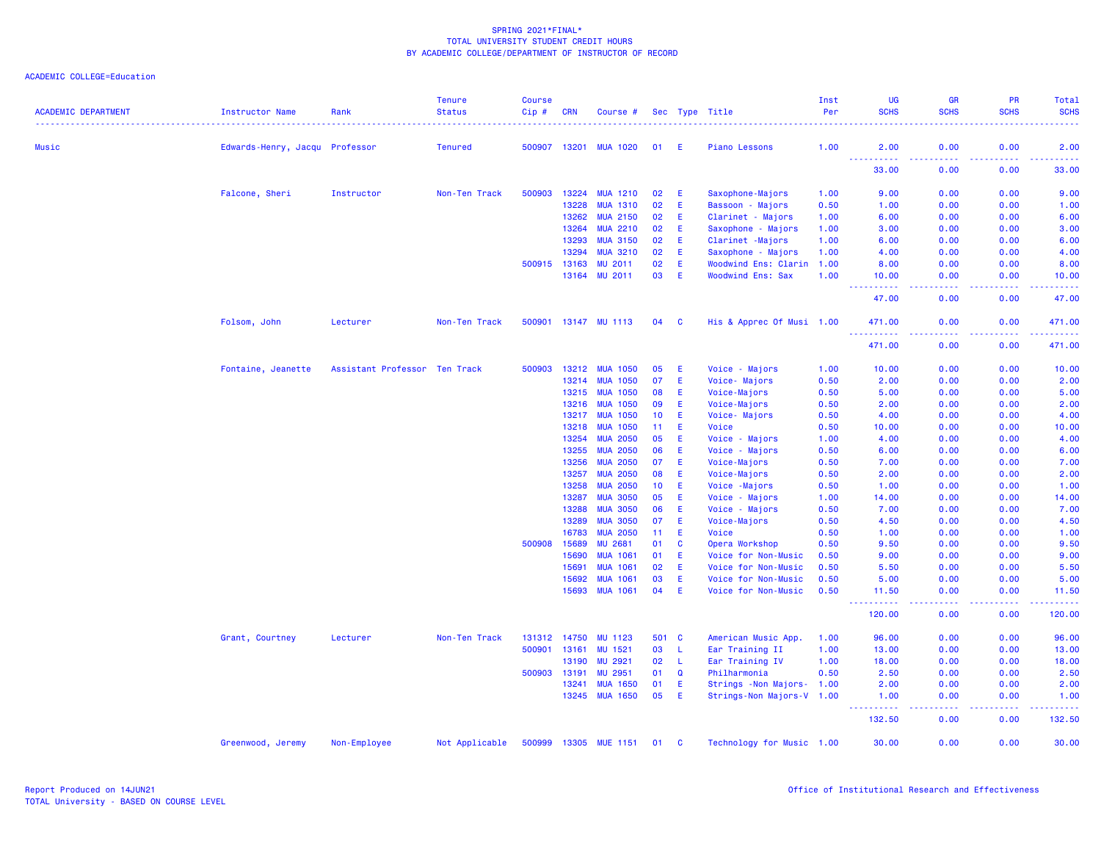| <b>ACADEMIC DEPARTMENT</b> | <b>Instructor Name</b>         | Rank                          | <b>Tenure</b><br><b>Status</b> | <b>Course</b><br>Cip# | <b>CRN</b>     | Course #                  |          |          | Sec Type Title                                   | Inst<br>Per  | UG<br><b>SCHS</b>                         | <b>GR</b><br><b>SCHS</b> | PR<br><b>SCHS</b>                                                                                                                                            | Total<br><b>SCHS</b>                                                                                                                                          |
|----------------------------|--------------------------------|-------------------------------|--------------------------------|-----------------------|----------------|---------------------------|----------|----------|--------------------------------------------------|--------------|-------------------------------------------|--------------------------|--------------------------------------------------------------------------------------------------------------------------------------------------------------|---------------------------------------------------------------------------------------------------------------------------------------------------------------|
|                            |                                |                               |                                |                       |                |                           |          |          |                                                  |              |                                           |                          |                                                                                                                                                              |                                                                                                                                                               |
| Music                      | Edwards-Henry, Jacqu Professor |                               | <b>Tenured</b>                 | 500907                | 13201          | <b>MUA 1020</b>           | 01       | E        | <b>Piano Lessons</b>                             | 1.00         | 2.00<br>الماليات<br>222222                | 0.00                     | 0.00                                                                                                                                                         | 2.00                                                                                                                                                          |
|                            |                                |                               |                                |                       |                |                           |          |          |                                                  |              | 33.00                                     | 0.00                     | 0.00                                                                                                                                                         | 33.00                                                                                                                                                         |
|                            | Falcone, Sheri                 | Instructor                    | Non-Ten Track                  | 500903                | 13224          | <b>MUA 1210</b>           | 02       | E.       | Saxophone-Majors                                 | 1.00         | 9.00                                      | 0.00                     | 0.00                                                                                                                                                         | 9.00                                                                                                                                                          |
|                            |                                |                               |                                |                       | 13228          | <b>MUA 1310</b>           | 02       | E        | Bassoon - Majors                                 | 0.50         | 1.00                                      | 0.00                     | 0.00                                                                                                                                                         | 1.00                                                                                                                                                          |
|                            |                                |                               |                                |                       | 13262          | <b>MUA 2150</b>           | 02       | Ε        | Clarinet - Majors                                | 1.00         | 6.00                                      | 0.00                     | 0.00                                                                                                                                                         | 6.00                                                                                                                                                          |
|                            |                                |                               |                                |                       | 13264          | <b>MUA 2210</b>           | 02       | Ε        | Saxophone - Majors                               | 1.00         | 3.00                                      | 0.00                     | 0.00                                                                                                                                                         | 3.00                                                                                                                                                          |
|                            |                                |                               |                                |                       | 13293          | <b>MUA 3150</b>           | 02       | Ε        | Clarinet -Majors                                 | 1.00         | 6.00                                      | 0.00                     | 0.00                                                                                                                                                         | 6.00                                                                                                                                                          |
|                            |                                |                               |                                |                       | 13294          | <b>MUA 3210</b>           | 02       | Ε<br>E   | Saxophone - Majors                               | 1.00         | 4.00                                      | 0.00                     | 0.00                                                                                                                                                         | 4.00                                                                                                                                                          |
|                            |                                |                               |                                | 500915                | 13163<br>13164 | <b>MU 2011</b><br>MU 2011 | 02<br>03 | E        | Woodwind Ens: Clarin<br><b>Woodwind Ens: Sax</b> | 1.00<br>1.00 | 8.00<br>10.00                             | 0.00<br>0.00             | 0.00<br>0.00                                                                                                                                                 | 8.00<br>10.00                                                                                                                                                 |
|                            |                                |                               |                                |                       |                |                           |          |          |                                                  |              | ----------                                | د د د د                  | 2.2.2.2.2                                                                                                                                                    | .                                                                                                                                                             |
|                            |                                |                               |                                |                       |                |                           |          |          |                                                  |              | 47.00                                     | 0.00                     | 0.00                                                                                                                                                         | 47.00                                                                                                                                                         |
|                            | Folsom, John                   | Lecturer                      | Non-Ten Track                  | 500901                |                | 13147 MU 1113             | 04       | <b>C</b> | His & Apprec Of Musi 1.00                        |              | 471.00<br>.                               | 0.00                     | 0.00                                                                                                                                                         | 471.00<br>$\mathbf{1} \cdot \mathbf{1} \cdot \mathbf{1} \cdot \mathbf{1} \cdot \mathbf{1}$                                                                    |
|                            |                                |                               |                                |                       |                |                           |          |          |                                                  |              | 471.00                                    | 0.00                     | 0.00                                                                                                                                                         | 471.00                                                                                                                                                        |
|                            | Fontaine, Jeanette             | Assistant Professor Ten Track |                                | 500903                | 13212          | <b>MUA 1050</b>           | 05       | Ε        | Voice - Majors                                   | 1.00         | 10.00                                     | 0.00                     | 0.00                                                                                                                                                         | 10.00                                                                                                                                                         |
|                            |                                |                               |                                |                       | 13214          | <b>MUA 1050</b>           | 07       | Ε        | Voice-Majors                                     | 0.50         | 2.00                                      | 0.00                     | 0.00                                                                                                                                                         | 2.00                                                                                                                                                          |
|                            |                                |                               |                                |                       | 13215          | <b>MUA 1050</b>           | 08       | E        | Voice-Majors                                     | 0.50         | 5.00                                      | 0.00                     | 0.00                                                                                                                                                         | 5.00                                                                                                                                                          |
|                            |                                |                               |                                |                       | 13216          | <b>MUA 1050</b>           | 09       | E        | Voice-Majors                                     | 0.50         | 2.00                                      | 0.00                     | 0.00                                                                                                                                                         | 2.00                                                                                                                                                          |
|                            |                                |                               |                                |                       | 13217          | <b>MUA 1050</b>           | 10       | E        | Voice- Majors                                    | 0.50         | 4.00                                      | 0.00                     | 0.00                                                                                                                                                         | 4.00                                                                                                                                                          |
|                            |                                |                               |                                |                       | 13218          | <b>MUA 1050</b>           | 11       | E        | Voice                                            | 0.50         | 10.00                                     | 0.00                     | 0.00                                                                                                                                                         | 10.00                                                                                                                                                         |
|                            |                                |                               |                                |                       | 13254          | <b>MUA 2050</b>           | 05       | Ε        | Voice - Majors                                   | 1.00         | 4.00                                      | 0.00                     | 0.00                                                                                                                                                         | 4.00                                                                                                                                                          |
|                            |                                |                               |                                |                       | 13255          | <b>MUA 2050</b>           | 06       | Ε        | Voice - Majors                                   | 0.50         | 6.00                                      | 0.00                     | 0.00                                                                                                                                                         | 6.00                                                                                                                                                          |
|                            |                                |                               |                                |                       | 13256          | <b>MUA 2050</b>           | 07       | Ε        | Voice-Majors                                     | 0.50         | 7.00                                      | 0.00                     | 0.00                                                                                                                                                         | 7.00                                                                                                                                                          |
|                            |                                |                               |                                |                       | 13257          | <b>MUA 2050</b>           | 08       | Ε        | Voice-Majors                                     | 0.50         | 2.00                                      | 0.00                     | 0.00                                                                                                                                                         | 2.00                                                                                                                                                          |
|                            |                                |                               |                                |                       | 13258          | <b>MUA 2050</b>           | 10       | Ε        | Voice - Majors                                   | 0.50         | 1.00                                      | 0.00                     | 0.00                                                                                                                                                         | 1.00                                                                                                                                                          |
|                            |                                |                               |                                |                       | 13287          | <b>MUA 3050</b>           | 05       | Ε        | Voice - Majors                                   | 1.00         | 14.00                                     | 0.00                     | 0.00                                                                                                                                                         | 14.00                                                                                                                                                         |
|                            |                                |                               |                                |                       | 13288          | <b>MUA 3050</b>           | 06       | E        | Voice - Majors                                   | 0.50         | 7.00                                      | 0.00                     | 0.00                                                                                                                                                         | 7.00                                                                                                                                                          |
|                            |                                |                               |                                |                       | 13289          | <b>MUA 3050</b>           | 07       | E        | Voice-Majors                                     | 0.50         | 4.50                                      | 0.00                     | 0.00                                                                                                                                                         | 4.50                                                                                                                                                          |
|                            |                                |                               |                                |                       | 16783          | <b>MUA 2050</b>           | 11       | E        | Voice                                            | 0.50         | 1.00                                      | 0.00                     | 0.00                                                                                                                                                         | 1.00                                                                                                                                                          |
|                            |                                |                               |                                | 500908                | 15689          | <b>MU 2681</b>            | 01       | C        | Opera Workshop                                   | 0.50         | 9.50                                      | 0.00                     | 0.00                                                                                                                                                         | 9.50                                                                                                                                                          |
|                            |                                |                               |                                |                       | 15690          | <b>MUA 1061</b>           | 01       | E        | Voice for Non-Music                              | 0.50         | 9.00                                      | 0.00                     | 0.00                                                                                                                                                         | 9.00                                                                                                                                                          |
|                            |                                |                               |                                |                       | 15691          | <b>MUA 1061</b>           | 02       | E        | Voice for Non-Music                              | 0.50         | 5.50                                      | 0.00                     | 0.00                                                                                                                                                         | 5.50                                                                                                                                                          |
|                            |                                |                               |                                |                       | 15692          | <b>MUA 1061</b>           | 03       | E        | Voice for Non-Music                              | 0.50         | 5.00                                      | 0.00                     | 0.00                                                                                                                                                         | 5.00                                                                                                                                                          |
|                            |                                |                               |                                |                       | 15693          | <b>MUA 1061</b>           | 04       | E        | Voice for Non-Music                              | 0.50         | 11.50<br><b>.</b><br>$\sim$ $\sim$ $\sim$ | 0.00<br>.                | 0.00<br>$\frac{1}{2} \left( \frac{1}{2} \right) \left( \frac{1}{2} \right) \left( \frac{1}{2} \right) \left( \frac{1}{2} \right) \left( \frac{1}{2} \right)$ | 11.50<br>$\frac{1}{2} \left( \frac{1}{2} \right) \left( \frac{1}{2} \right) \left( \frac{1}{2} \right) \left( \frac{1}{2} \right) \left( \frac{1}{2} \right)$ |
|                            |                                |                               |                                |                       |                |                           |          |          |                                                  |              | 120.00                                    | 0.00                     | 0.00                                                                                                                                                         | 120.00                                                                                                                                                        |
|                            | Grant, Courtney                | Lecturer                      | Non-Ten Track                  | 131312                | 14750          | <b>MU 1123</b>            | 501 C    |          | American Music App.                              | 1.00         | 96.00                                     | 0.00                     | 0.00                                                                                                                                                         | 96.00                                                                                                                                                         |
|                            |                                |                               |                                | 500901                | 13161          | MU 1521                   | 03       | -L       | Ear Training II                                  | 1.00         | 13.00                                     | 0.00                     | 0.00                                                                                                                                                         | 13.00                                                                                                                                                         |
|                            |                                |                               |                                |                       | 13190          | <b>MU 2921</b>            | 02       | L        | Ear Training IV                                  | 1.00         | 18.00                                     | 0.00                     | 0.00                                                                                                                                                         | 18.00                                                                                                                                                         |
|                            |                                |                               |                                | 500903                | 13191          | MU 2951                   | 01       | Q        | Philharmonia                                     | 0.50         | 2.50                                      | 0.00                     | 0.00                                                                                                                                                         | 2.50                                                                                                                                                          |
|                            |                                |                               |                                |                       | 13241          | <b>MUA 1650</b>           | 01       | E        | Strings - Non Majors- 1.00                       |              | 2.00                                      | 0.00                     | 0.00                                                                                                                                                         | 2.00                                                                                                                                                          |
|                            |                                |                               |                                |                       |                | 13245 MUA 1650            | 05       | E        | Strings-Non Majors-V 1.00                        |              | 1.00<br>----------                        | 0.00<br>.                | 0.00<br>$\frac{1}{2} \left( \frac{1}{2} \right) \left( \frac{1}{2} \right) \left( \frac{1}{2} \right) \left( \frac{1}{2} \right) \left( \frac{1}{2} \right)$ | 1.00<br>.                                                                                                                                                     |
|                            |                                |                               |                                |                       |                |                           |          |          |                                                  |              | 132.50                                    | 0.00                     | 0.00                                                                                                                                                         | 132.50                                                                                                                                                        |
|                            | Greenwood, Jeremy              | Non-Employee                  | Not Applicable                 |                       |                | 500999 13305 MUE 1151     | 01 C     |          | Technology for Music 1.00                        |              | 30.00                                     | 0.00                     | 0.00                                                                                                                                                         | 30.00                                                                                                                                                         |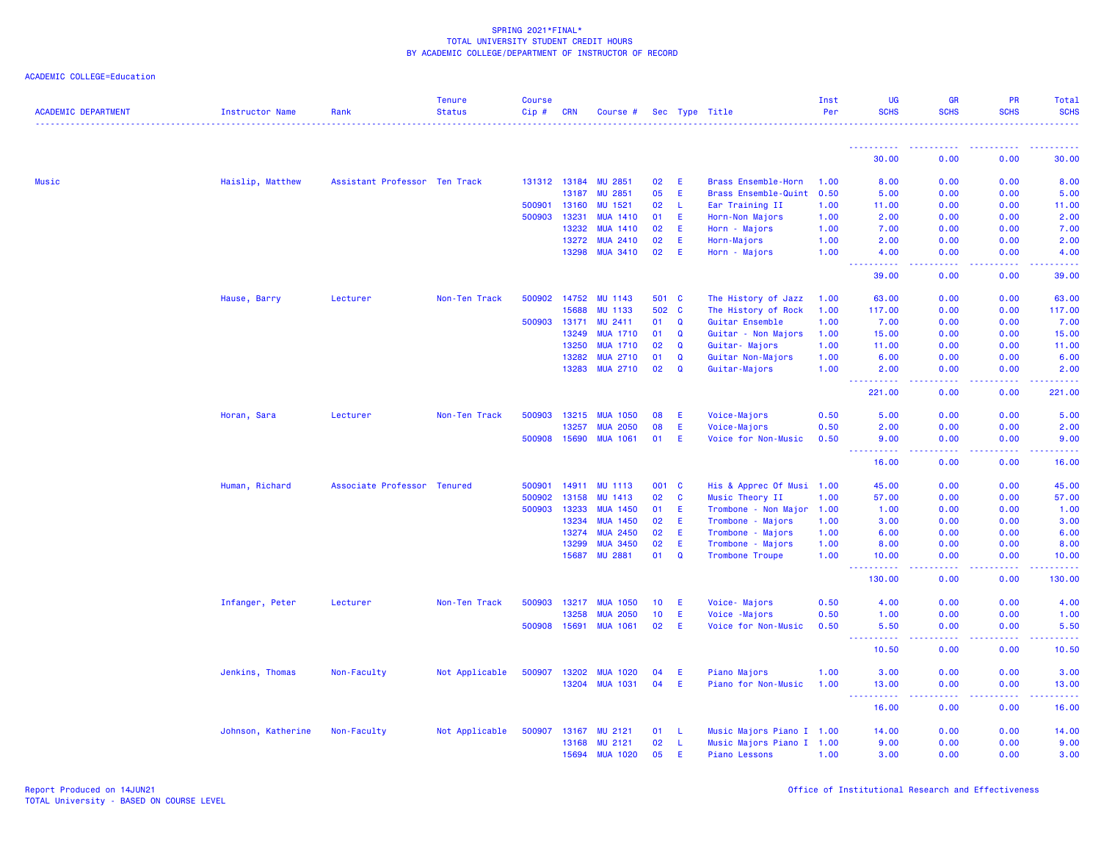| <b>ACADEMIC DEPARTMENT</b> | Instructor Name    | Rank                          | <b>Tenure</b><br><b>Status</b> | <b>Course</b><br>Cip# | <b>CRN</b>   | Course #        |                 |              | Sec Type Title             | Inst<br>Per | <b>UG</b><br><b>SCHS</b>            | GR<br><b>SCHS</b> | PR<br><b>SCHS</b>                                                                                                                                            | Total<br><b>SCHS</b> |
|----------------------------|--------------------|-------------------------------|--------------------------------|-----------------------|--------------|-----------------|-----------------|--------------|----------------------------|-------------|-------------------------------------|-------------------|--------------------------------------------------------------------------------------------------------------------------------------------------------------|----------------------|
|                            |                    |                               |                                |                       |              |                 |                 |              |                            |             |                                     |                   |                                                                                                                                                              |                      |
|                            |                    |                               |                                |                       |              |                 |                 |              |                            |             | ----------<br>30.00                 | 0.00              | 0.00                                                                                                                                                         | 30.00                |
| Music                      | Haislip, Matthew   | Assistant Professor Ten Track |                                |                       | 131312 13184 | <b>MU 2851</b>  | 02              | E            | <b>Brass Ensemble-Horn</b> | 1.00        | 8.00                                | 0.00              | 0.00                                                                                                                                                         | 8.00                 |
|                            |                    |                               |                                |                       | 13187        | <b>MU 2851</b>  | 05              | E            | Brass Ensemble-Quint       | 0.50        | 5.00                                | 0.00              | 0.00                                                                                                                                                         | 5.00                 |
|                            |                    |                               |                                | 500901                | 13160        | MU 1521         | 02              | -L           | Ear Training II            | 1.00        | 11.00                               | 0.00              | 0.00                                                                                                                                                         | 11.00                |
|                            |                    |                               |                                | 500903                | 13231        | <b>MUA 1410</b> | 01              | E            | Horn-Non Majors            | 1.00        | 2.00                                | 0.00              | 0.00                                                                                                                                                         | 2.00                 |
|                            |                    |                               |                                |                       | 13232        | <b>MUA 1410</b> | 02              | E            | Horn - Majors              | 1.00        | 7.00                                | 0.00              | 0.00                                                                                                                                                         | 7.00                 |
|                            |                    |                               |                                |                       | 13272        | <b>MUA 2410</b> | 02              | E            | Horn-Majors                | 1.00        | 2.00                                | 0.00              | 0.00                                                                                                                                                         | 2.00                 |
|                            |                    |                               |                                |                       | 13298        | <b>MUA 3410</b> | 02              | E            | Horn - Majors              | 1.00        | 4.00<br>222 L                       | 0.00              | 0.00                                                                                                                                                         | 4.00                 |
|                            |                    |                               |                                |                       |              |                 |                 |              |                            |             | 39.00                               | 0.00              | 0.00                                                                                                                                                         | 39.00                |
|                            | Hause, Barry       | Lecturer                      | Non-Ten Track                  |                       | 500902 14752 | <b>MU 1143</b>  | 501 C           |              | The History of Jazz        | 1.00        | 63.00                               | 0.00              | 0.00                                                                                                                                                         | 63.00                |
|                            |                    |                               |                                |                       | 15688        | <b>MU 1133</b>  | 502 C           |              | The History of Rock        | 1.00        | 117.00                              | 0.00              | 0.00                                                                                                                                                         | 117.00               |
|                            |                    |                               |                                | 500903                | 13171        | MU 2411         | 01              | Q            | Guitar Ensemble            | 1.00        | 7.00                                | 0.00              | 0.00                                                                                                                                                         | 7.00                 |
|                            |                    |                               |                                |                       | 13249        | <b>MUA 1710</b> | 01              | Q            | Guitar - Non Majors        | 1.00        | 15.00                               | 0.00              | 0.00                                                                                                                                                         | 15.00                |
|                            |                    |                               |                                |                       | 13250        | <b>MUA 1710</b> | 02              | $\mathbf Q$  | Guitar- Majors             | 1.00        | 11.00                               | 0.00              | 0.00                                                                                                                                                         | 11.00                |
|                            |                    |                               |                                |                       | 13282        | <b>MUA 2710</b> | 01              | Q            | Guitar Non-Majors          | 1.00        | 6.00                                | 0.00              | 0.00                                                                                                                                                         | 6.00                 |
|                            |                    |                               |                                |                       | 13283        | <b>MUA 2710</b> | 02              | Q            | Guitar-Majors              | 1.00        | 2.00<br><u> - - - - - - - - - -</u> | 0.00<br>.         | 0.00<br>.                                                                                                                                                    | 2.00<br>.            |
|                            |                    |                               |                                |                       |              |                 |                 |              |                            |             | 221.00                              | 0.00              | 0.00                                                                                                                                                         | 221.00               |
|                            | Horan, Sara        | Lecturer                      | Non-Ten Track                  | 500903                | 13215        | <b>MUA 1050</b> | 08              | Ε            | Voice-Majors               | 0.50        | 5.00                                | 0.00              | 0.00                                                                                                                                                         | 5.00                 |
|                            |                    |                               |                                |                       | 13257        | <b>MUA 2050</b> | 08              | E            | Voice-Majors               | 0.50        | 2.00                                | 0.00              | 0.00                                                                                                                                                         | 2.00                 |
|                            |                    |                               |                                |                       | 500908 15690 | <b>MUA 1061</b> | 01              | E            | Voice for Non-Music        | 0.50        | 9.00<br><u>.</u>                    | 0.00<br>.         | 0.00<br>الداعات عامان                                                                                                                                        | 9.00<br>.            |
|                            |                    |                               |                                |                       |              |                 |                 |              |                            |             | 16.00                               | 0.00              | 0.00                                                                                                                                                         | 16.00                |
|                            | Human, Richard     | Associate Professor Tenured   |                                | 500901                | 14911        | <b>MU 1113</b>  | 001             | $\mathbf{C}$ | His & Apprec Of Musi       | 1.00        | 45.00                               | 0.00              | 0.00                                                                                                                                                         | 45.00                |
|                            |                    |                               |                                | 500902                | 13158        | <b>MU 1413</b>  | 02              | $\mathbf{C}$ | Music Theory II            | 1.00        | 57.00                               | 0.00              | 0.00                                                                                                                                                         | 57.00                |
|                            |                    |                               |                                | 500903                | 13233        | <b>MUA 1450</b> | 01              | E.           | Trombone - Non Major       | 1.00        | 1.00                                | 0.00              | 0.00                                                                                                                                                         | 1.00                 |
|                            |                    |                               |                                |                       | 13234        | <b>MUA 1450</b> | 02              | E            | Trombone - Majors          | 1.00        | 3.00                                | 0.00              | 0.00                                                                                                                                                         | 3.00                 |
|                            |                    |                               |                                |                       | 13274        | <b>MUA 2450</b> | 02              | E.           | Trombone - Majors          | 1.00        | 6.00                                | 0.00              | 0.00                                                                                                                                                         | 6.00                 |
|                            |                    |                               |                                |                       | 13299        | <b>MUA 3450</b> | 02              | E            | Trombone - Majors          | 1.00        | 8.00                                | 0.00              | 0.00                                                                                                                                                         | 8.00                 |
|                            |                    |                               |                                |                       | 15687        | <b>MU 2881</b>  | 01              | $\mathbf Q$  | <b>Trombone Troupe</b>     | 1.00        | 10.00<br>.                          | 0.00              | 0.00                                                                                                                                                         | 10.00                |
|                            |                    |                               |                                |                       |              |                 |                 |              |                            |             | 130.00                              | 0.00              | 0.00                                                                                                                                                         | 130.00               |
|                            | Infanger, Peter    | Lecturer                      | Non-Ten Track                  | 500903                | 13217        | <b>MUA 1050</b> | 10 <sup>°</sup> | E            | Voice- Majors              | 0.50        | 4.00                                | 0.00              | 0.00                                                                                                                                                         | 4.00                 |
|                            |                    |                               |                                |                       | 13258        | <b>MUA 2050</b> | 10 <sub>1</sub> | E            | Voice - Majors             | 0.50        | 1.00                                | 0.00              | 0.00                                                                                                                                                         | 1.00                 |
|                            |                    |                               |                                | 500908                | 15691        | <b>MUA 1061</b> | 02              | E            | Voice for Non-Music        | 0.50        | 5.50<br><u> - - - - - - - - - -</u> | 0.00              | 0.00                                                                                                                                                         | 5.50                 |
|                            |                    |                               |                                |                       |              |                 |                 |              |                            |             | 10.50                               | 0.00              | 0.00                                                                                                                                                         | 10.50                |
|                            | Jenkins, Thomas    | Non-Faculty                   | Not Applicable                 | 500907                | 13202        | <b>MUA 1020</b> | 04              | Ε            | Piano Majors               | 1.00        | 3.00                                | 0.00              | 0.00                                                                                                                                                         | 3.00                 |
|                            |                    |                               |                                |                       |              | 13204 MUA 1031  | 04              | E            | Piano for Non-Music        | 1.00        | 13,00<br>----------                 | 0.00<br>.         | 0.00<br>$\frac{1}{2} \left( \frac{1}{2} \right) \left( \frac{1}{2} \right) \left( \frac{1}{2} \right) \left( \frac{1}{2} \right) \left( \frac{1}{2} \right)$ | 13.00<br>.           |
|                            |                    |                               |                                |                       |              |                 |                 |              |                            |             | 16.00                               | 0.00              | 0.00                                                                                                                                                         | 16.00                |
|                            | Johnson, Katherine | Non-Faculty                   | Not Applicable                 | 500907                | 13167        | MU 2121         | 01              | -L.          | Music Majors Piano I 1.00  |             | 14.00                               | 0.00              | 0.00                                                                                                                                                         | 14.00                |
|                            |                    |                               |                                |                       | 13168        | MU 2121         | 02              | $\mathsf{L}$ | Music Majors Piano I 1.00  |             | 9.00                                | 0.00              | 0.00                                                                                                                                                         | 9.00                 |
|                            |                    |                               |                                |                       | 15694        | <b>MUA 1020</b> | 05              | E            | <b>Piano Lessons</b>       | 1.00        | 3.00                                | 0.00              | 0.00                                                                                                                                                         | 3.00                 |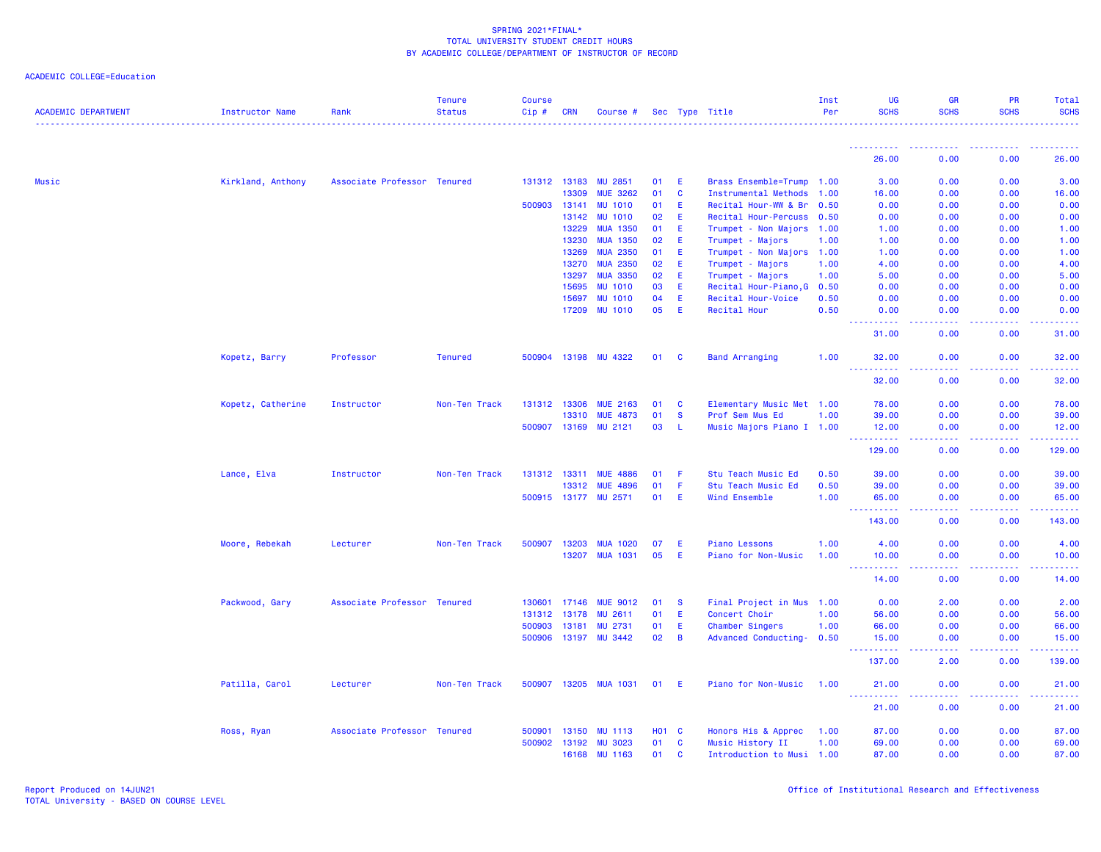| <b>ACADEMIC DEPARTMENT</b> | Instructor Name   | Rank                        | <b>Tenure</b><br><b>Status</b> | Course<br>Cip# | CRN          | Course #              |            |              | Sec Type Title             | Inst<br>Per | <b>UG</b><br><b>SCHS</b>             | GR<br><b>SCHS</b>                   | PR<br><b>SCHS</b>                     | Total<br><b>SCHS</b> |
|----------------------------|-------------------|-----------------------------|--------------------------------|----------------|--------------|-----------------------|------------|--------------|----------------------------|-------------|--------------------------------------|-------------------------------------|---------------------------------------|----------------------|
|                            |                   |                             |                                |                |              |                       |            |              |                            |             |                                      |                                     |                                       |                      |
|                            |                   |                             |                                |                |              |                       |            |              |                            |             | 26.00                                | 0.00                                | 0.00                                  | 26.00                |
| Music                      | Kirkland, Anthony | Associate Professor Tenured |                                |                | 131312 13183 | <b>MU 2851</b>        | 01         | E            | Brass Ensemble=Trump 1.00  |             | 3.00                                 | 0.00                                | 0.00                                  | 3.00                 |
|                            |                   |                             |                                |                | 13309        | <b>MUE 3262</b>       | 01         | <b>C</b>     | Instrumental Methods 1.00  |             | 16.00                                | 0.00                                | 0.00                                  | 16.00                |
|                            |                   |                             |                                | 500903         | 13141        | <b>MU 1010</b>        | 01         | Ε            | Recital Hour-WW & Br       | 0.50        | 0.00                                 | 0.00                                | 0.00                                  | 0.00                 |
|                            |                   |                             |                                |                | 13142        | <b>MU 1010</b>        | 02         | E            | Recital Hour-Percuss 0.50  |             | 0.00                                 | 0.00                                | 0.00                                  | 0.00                 |
|                            |                   |                             |                                |                | 13229        | <b>MUA 1350</b>       | 01         | E.           | Trumpet - Non Majors 1.00  |             | 1.00                                 | 0.00                                | 0.00                                  | 1.00                 |
|                            |                   |                             |                                |                | 13230        | <b>MUA 1350</b>       | 02         | E            | Trumpet - Majors           | 1.00        | 1.00                                 | 0.00                                | 0.00                                  | 1.00                 |
|                            |                   |                             |                                |                | 13269        | <b>MUA 2350</b>       | 01         | Ε            | Trumpet - Non Majors 1.00  |             | 1.00                                 | 0.00                                | 0.00                                  | 1.00                 |
|                            |                   |                             |                                |                | 13270        | <b>MUA 2350</b>       | 02         | E            | Trumpet - Majors           | 1.00        | 4.00                                 | 0.00                                | 0.00                                  | 4.00                 |
|                            |                   |                             |                                |                | 13297        | <b>MUA 3350</b>       | 02         | E            | Trumpet - Majors           | 1.00        | 5.00                                 | 0.00                                | 0.00                                  | 5.00                 |
|                            |                   |                             |                                |                | 15695        | <b>MU 1010</b>        | 03         | E            | Recital Hour-Piano, G 0.50 |             | 0.00                                 | 0.00                                | 0.00                                  | 0.00                 |
|                            |                   |                             |                                |                | 15697        | <b>MU 1010</b>        | 04         | Ε            | Recital Hour-Voice         | 0.50        | 0.00                                 | 0.00                                | 0.00                                  | 0.00                 |
|                            |                   |                             |                                |                | 17209        | <b>MU 1010</b>        | 05         | E            | <b>Recital Hour</b>        | 0.50        | 0.00<br>د د د د د                    | 0.00<br>$\sim$ $\sim$ $\sim$ $\sim$ | 0.00<br>المستما                       | 0.00<br>المستحب      |
|                            |                   |                             |                                |                |              |                       |            |              |                            |             | 31.00                                | 0.00                                | 0.00                                  | 31.00                |
|                            | Kopetz, Barry     | Professor                   | <b>Tenured</b>                 |                | 500904 13198 | MU 4322               | 01         | $\mathbf{C}$ | <b>Band Arranging</b>      | 1.00        | 32.00                                | 0.00                                | 0.00                                  | 32.00                |
|                            |                   |                             |                                |                |              |                       |            |              |                            |             | 32.00                                | 0.00                                | 0.00                                  | 32.00                |
|                            | Kopetz, Catherine | Instructor                  | Non-Ten Track                  |                | 131312 13306 | <b>MUE 2163</b>       | 01         | <b>C</b>     | Elementary Music Met 1.00  |             | 78.00                                | 0.00                                | 0.00                                  | 78.00                |
|                            |                   |                             |                                |                | 13310        | <b>MUE 4873</b>       | 01         | $\mathbf{s}$ | Prof Sem Mus Ed            | 1.00        | 39.00                                | 0.00                                | 0.00                                  | 39.00                |
|                            |                   |                             |                                |                | 500907 13169 | MU 2121               | 03         | -L.          | Music Majors Piano I 1.00  |             | 12.00<br><u>.</u>                    | 0.00<br>.                           | 0.00<br><b><i><u><u>.</u></u></i></b> | 12.00<br>2.2.2.2.2.2 |
|                            |                   |                             |                                |                |              |                       |            |              |                            |             | 129.00                               | 0.00                                | 0.00                                  | 129.00               |
|                            | Lance, Elva       | Instructor                  | Non-Ten Track                  |                | 131312 13311 | <b>MUE 4886</b>       | 01         | -F           | Stu Teach Music Ed         | 0.50        | 39.00                                | 0.00                                | 0.00                                  | 39.00                |
|                            |                   |                             |                                |                | 13312        | <b>MUE 4896</b>       | 01         | F            | Stu Teach Music Ed         | 0.50        | 39.00                                | 0.00                                | 0.00                                  | 39.00                |
|                            |                   |                             |                                |                |              | 500915 13177 MU 2571  | 01         | E            | Wind Ensemble              | 1.00        | 65.00<br>.                           | 0.00<br>.                           | 0.00<br><b>.</b>                      | 65.00<br>بالمحامية   |
|                            |                   |                             |                                |                |              |                       |            |              |                            |             | 143.00                               | 0.00                                | 0.00                                  | 143.00               |
|                            | Moore, Rebekah    | Lecturer                    | Non-Ten Track                  | 500907         | 13203        | <b>MUA 1020</b>       | 07         | Ε            | <b>Piano Lessons</b>       | 1.00        | 4.00                                 | 0.00                                | 0.00                                  | 4.00                 |
|                            |                   |                             |                                |                | 13207        | <b>MUA 1031</b>       | 05         | E            | Piano for Non-Music        | 1.00        | 10.00<br><u> - - - - - - - - - -</u> | 0.00<br>.                           | 0.00<br>.                             | 10.00<br>د د د د د   |
|                            |                   |                             |                                |                |              |                       |            |              |                            |             | 14.00                                | 0.00                                | 0.00                                  | 14.00                |
|                            | Packwood, Gary    | Associate Professor Tenured |                                |                | 130601 17146 | <b>MUE 9012</b>       | 01         | - S          | Final Project in Mus 1.00  |             | 0.00                                 | 2.00                                | 0.00                                  | 2.00                 |
|                            |                   |                             |                                |                | 131312 13178 | <b>MU 2611</b>        | 01         | E            | Concert Choir              | 1.00        | 56.00                                | 0.00                                | 0.00                                  | 56.00                |
|                            |                   |                             |                                | 500903         | 13181        | <b>MU 2731</b>        | 01         | E            | Chamber Singers            | 1.00        | 66.00                                | 0.00                                | 0.00                                  | 66.00                |
|                            |                   |                             |                                |                | 500906 13197 | <b>MU 3442</b>        | 02         | <b>B</b>     | Advanced Conducting- 0.50  |             | 15.00<br>------                      | 0.00<br>.                           | 0.00<br>.                             | 15.00<br>.           |
|                            |                   |                             |                                |                |              |                       |            |              |                            |             | 137.00                               | 2.00                                | 0.00                                  | 139.00               |
|                            | Patilla, Carol    | Lecturer                    | Non-Ten Track                  |                |              | 500907 13205 MUA 1031 | 01         | - E          | Piano for Non-Music        | 1.00        | 21.00                                | 0.00                                | 0.00                                  | 21.00                |
|                            |                   |                             |                                |                |              |                       |            |              |                            |             | <u> - - - - - - - - - -</u><br>21.00 | .<br>0.00                           | 22222<br>0.00                         | .<br>21.00           |
|                            | Ross, Ryan        | Associate Professor Tenured |                                | 500901         | 13150        | <b>MU 1113</b>        | <b>HO1</b> | <b>C</b>     | Honors His & Apprec        | 1.00        | 87.00                                | 0.00                                | 0.00                                  | 87.00                |
|                            |                   |                             |                                |                |              | 500902 13192 MU 3023  | 01         | $\mathbf{C}$ | Music History II           | 1.00        | 69.00                                | 0.00                                | 0.00                                  | 69.00                |
|                            |                   |                             |                                |                | 16168        | <b>MU 1163</b>        | 01         | C            | Introduction to Musi 1.00  |             | 87.00                                | 0.00                                | 0.00                                  | 87.00                |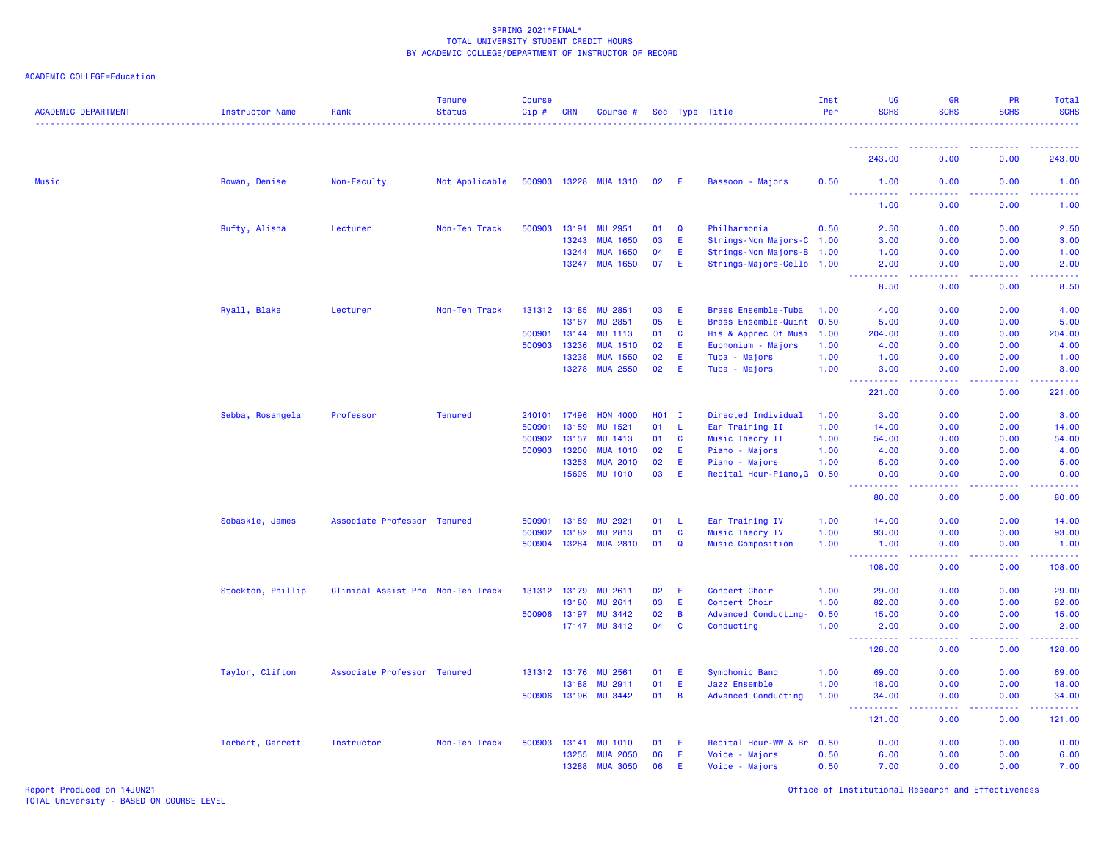| ACADEMIC COLLEGE=Education |  |  |
|----------------------------|--|--|
|----------------------------|--|--|

| <b>ACADEMIC DEPARTMENT</b> | <b>Instructor Name</b> | Rank                              | <b>Tenure</b><br><b>Status</b> | <b>Course</b><br>Cip# | <b>CRN</b>   | Course #              |         |                | Sec Type Title             | Inst<br>Per | <b>UG</b><br><b>SCHS</b>                                                                                                          | <b>GR</b><br><b>SCHS</b> | PR<br><b>SCHS</b>                            | Total<br><b>SCHS</b>                                                                                                              |
|----------------------------|------------------------|-----------------------------------|--------------------------------|-----------------------|--------------|-----------------------|---------|----------------|----------------------------|-------------|-----------------------------------------------------------------------------------------------------------------------------------|--------------------------|----------------------------------------------|-----------------------------------------------------------------------------------------------------------------------------------|
|                            |                        |                                   |                                |                       |              |                       |         |                |                            |             |                                                                                                                                   |                          |                                              |                                                                                                                                   |
|                            |                        |                                   |                                |                       |              |                       |         |                |                            |             | 243.00                                                                                                                            | 0.00                     | 0.00                                         | 243.00                                                                                                                            |
| <b>Music</b>               | Rowan, Denise          | Non-Faculty                       | Not Applicable                 |                       |              | 500903 13228 MUA 1310 | 02      | - E            | Bassoon - Majors           | 0.50        | 1.00<br>$\frac{1}{2} \left( \frac{1}{2} \right) \left( \frac{1}{2} \right) \left( \frac{1}{2} \right) \left( \frac{1}{2} \right)$ | 0.00                     | 0.00                                         | 1.00<br>$\frac{1}{2} \left( \frac{1}{2} \right) \left( \frac{1}{2} \right) \left( \frac{1}{2} \right) \left( \frac{1}{2} \right)$ |
|                            |                        |                                   |                                |                       |              |                       |         |                |                            |             | 1.00                                                                                                                              | 0.00                     | 0.00                                         | 1.00                                                                                                                              |
|                            | Rufty, Alisha          | Lecturer                          | Non-Ten Track                  | 500903                | 13191        | MU 2951               | 01      | $\mathbf Q$    | Philharmonia               | 0.50        | 2.50                                                                                                                              | 0.00                     | 0.00                                         | 2.50                                                                                                                              |
|                            |                        |                                   |                                |                       | 13243        | <b>MUA 1650</b>       | 03      | E              | Strings-Non Majors-C 1.00  |             | 3.00                                                                                                                              | 0.00                     | 0.00                                         | 3.00                                                                                                                              |
|                            |                        |                                   |                                |                       | 13244        | <b>MUA 1650</b>       | 04      | E              | Strings-Non Majors-B 1.00  |             | 1.00                                                                                                                              | 0.00                     | 0.00                                         | 1.00                                                                                                                              |
|                            |                        |                                   |                                |                       | 13247        | <b>MUA 1650</b>       | 07      | E              | Strings-Majors-Cello 1.00  |             | 2.00<br>د د د د                                                                                                                   | 0.00<br>ولالات           | 0.00                                         | 2.00                                                                                                                              |
|                            |                        |                                   |                                |                       |              |                       |         |                |                            |             | 8.50                                                                                                                              | 0.00                     | 0.00                                         | 8.50                                                                                                                              |
|                            | Ryall, Blake           | Lecturer                          | Non-Ten Track                  |                       | 131312 13185 | <b>MU 2851</b>        | 03      | Ε              | <b>Brass Ensemble-Tuba</b> | 1.00        | 4.00                                                                                                                              | 0.00                     | 0.00                                         | 4.00                                                                                                                              |
|                            |                        |                                   |                                |                       | 13187        | MU 2851               | 05      | E              | Brass Ensemble-Quint 0.50  |             | 5.00                                                                                                                              | 0.00                     | 0.00                                         | 5.00                                                                                                                              |
|                            |                        |                                   |                                | 500901                | 13144        | <b>MU 1113</b>        | 01      | $\mathbf{C}$   | His & Apprec Of Musi       | 1.00        | 204.00                                                                                                                            | 0.00                     | 0.00                                         | 204.00                                                                                                                            |
|                            |                        |                                   |                                | 500903                | 13236        | <b>MUA 1510</b>       | 02      | E              | Euphonium - Majors         | 1.00        | 4.00                                                                                                                              | 0.00                     | 0.00                                         | 4.00                                                                                                                              |
|                            |                        |                                   |                                |                       | 13238        | <b>MUA 1550</b>       | 02      | E              | Tuba - Majors              | 1.00        | 1.00                                                                                                                              | 0.00                     | 0.00                                         | 1.00                                                                                                                              |
|                            |                        |                                   |                                |                       |              | 13278 MUA 2550        | 02      | E              | Tuba - Majors              | 1.00        | 3.00<br>----------                                                                                                                | 0.00<br>.                | 0.00<br><b><i><u><u> - - - -</u></u></i></b> | 3.00                                                                                                                              |
|                            |                        |                                   |                                |                       |              |                       |         |                |                            |             | 221.00                                                                                                                            | 0.00                     | 0.00                                         | 221.00                                                                                                                            |
|                            | Sebba, Rosangela       | Professor                         | <b>Tenured</b>                 | 240101                | 17496        | <b>HON 4000</b>       | $H01$ I |                | Directed Individual        | 1.00        | 3.00                                                                                                                              | 0.00                     | 0.00                                         | 3.00                                                                                                                              |
|                            |                        |                                   |                                | 500901                | 13159        | MU 1521               | 01      | <b>L</b>       | Ear Training II            | 1.00        | 14.00                                                                                                                             | 0.00                     | 0.00                                         | 14.00                                                                                                                             |
|                            |                        |                                   |                                | 500902                | 13157        | <b>MU 1413</b>        | 01      | $\mathbf{C}$   | Music Theory II            | 1.00        | 54.00                                                                                                                             | 0.00                     | 0.00                                         | 54.00                                                                                                                             |
|                            |                        |                                   |                                | 500903                | 13200        | <b>MUA 1010</b>       | 02      | Ε              | Piano - Majors             | 1.00        | 4.00                                                                                                                              | 0.00                     | 0.00                                         | 4.00                                                                                                                              |
|                            |                        |                                   |                                |                       | 13253        | <b>MUA 2010</b>       | 02      | E.             | Piano - Majors             | 1.00        | 5.00                                                                                                                              | 0.00                     | 0.00                                         | 5.00                                                                                                                              |
|                            |                        |                                   |                                |                       | 15695        | <b>MU 1010</b>        | 03      | E              | Recital Hour-Piano, G 0.50 |             | 0.00<br><u> - - - - - - - - - -</u>                                                                                               | 0.00<br>.                | 0.00                                         | 0.00                                                                                                                              |
|                            |                        |                                   |                                |                       |              |                       |         |                |                            |             | 80.00                                                                                                                             | 0.00                     | 0.00                                         | 80.00                                                                                                                             |
|                            | Sobaskie, James        | Associate Professor Tenured       |                                | 500901                | 13189        | MU 2921               | 01      | -L             | Ear Training IV            | 1.00        | 14.00                                                                                                                             | 0.00                     | 0.00                                         | 14.00                                                                                                                             |
|                            |                        |                                   |                                | 500902                | 13182        | <b>MU 2813</b>        | 01      | <b>C</b>       | Music Theory IV            | 1.00        | 93.00                                                                                                                             | 0.00                     | 0.00                                         | 93.00                                                                                                                             |
|                            |                        |                                   |                                | 500904                | 13284        | <b>MUA 2810</b>       | 01      | $\mathbf Q$    | Music Composition          | 1.00        | 1.00                                                                                                                              | 0.00                     | 0.00                                         | 1.00                                                                                                                              |
|                            |                        |                                   |                                |                       |              |                       |         |                |                            |             | .                                                                                                                                 | .                        | .                                            | <u>.</u>                                                                                                                          |
|                            |                        |                                   |                                |                       |              |                       |         |                |                            |             | 108.00                                                                                                                            | 0.00                     | 0.00                                         | 108.00                                                                                                                            |
|                            | Stockton, Phillip      | Clinical Assist Pro Non-Ten Track |                                | 131312 13179          |              | <b>MU 2611</b>        | 02      | E              | Concert Choir              | 1.00        | 29.00                                                                                                                             | 0.00                     | 0.00                                         | 29.00                                                                                                                             |
|                            |                        |                                   |                                |                       | 13180        | <b>MU 2611</b>        | 03      | E.             | Concert Choir              | 1.00        | 82.00                                                                                                                             | 0.00                     | 0.00                                         | 82.00                                                                                                                             |
|                            |                        |                                   |                                | 500906 13197          |              | <b>MU 3442</b>        | 02      | B              | Advanced Conducting-       | 0.50        | 15.00                                                                                                                             | 0.00                     | 0.00                                         | 15.00                                                                                                                             |
|                            |                        |                                   |                                |                       |              | 17147 MU 3412         | 04      | $\mathbf{C}$   | Conducting                 | 1.00        | 2.00<br><u> - - - - - - - - - -</u>                                                                                               | 0.00<br>.                | 0.00<br><b></b>                              | 2.00<br>.                                                                                                                         |
|                            |                        |                                   |                                |                       |              |                       |         |                |                            |             | 128.00                                                                                                                            | 0.00                     | 0.00                                         | 128.00                                                                                                                            |
|                            | Taylor, Clifton        | Associate Professor Tenured       |                                |                       | 131312 13176 | MU 2561               | 01      | E              | Symphonic Band             | 1.00        | 69.00                                                                                                                             | 0.00                     | 0.00                                         | 69.00                                                                                                                             |
|                            |                        |                                   |                                |                       | 13188        | MU 2911               | 01      | E              | Jazz Ensemble              | 1.00        | 18.00                                                                                                                             | 0.00                     | 0.00                                         | 18.00                                                                                                                             |
|                            |                        |                                   |                                |                       | 500906 13196 | <b>MU 3442</b>        | 01      | $\overline{B}$ | <b>Advanced Conducting</b> | 1.00        | 34.00<br>د د د د د د                                                                                                              | 0.00                     | 0.00                                         | 34.00                                                                                                                             |
|                            |                        |                                   |                                |                       |              |                       |         |                |                            |             | 121.00                                                                                                                            | 0.00                     | 0.00                                         | 121.00                                                                                                                            |
|                            | Torbert, Garrett       | Instructor                        | Non-Ten Track                  | 500903                | 13141        | <b>MU 1010</b>        | 01      | E              | Recital Hour-WW & Br       | 0.50        | 0.00                                                                                                                              | 0.00                     | 0.00                                         | 0.00                                                                                                                              |
|                            |                        |                                   |                                |                       | 13255        | <b>MUA 2050</b>       | 06      | E              | Voice - Majors             | 0.50        | 6.00                                                                                                                              | 0.00                     | 0.00                                         | 6.00                                                                                                                              |
|                            |                        |                                   |                                |                       | 13288        | <b>MUA 3050</b>       | 06      | E              | Voice - Majors             | 0.50        | 7.00                                                                                                                              | 0.00                     | 0.00                                         | 7.00                                                                                                                              |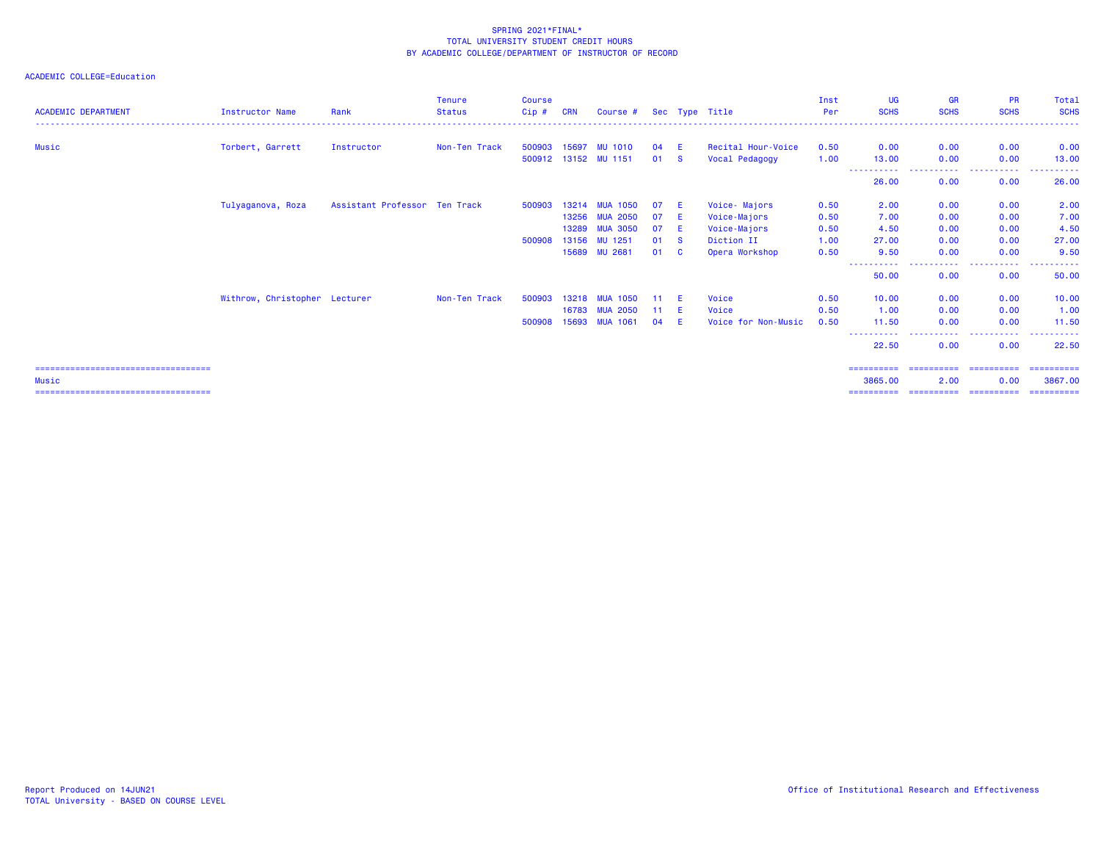## ACADEMIC COLLEGE=Education

| <b>ACADEMIC DEPARTMENT</b> | <b>Instructor Name</b>        | Rank                          | <b>Tenure</b><br><b>Status</b> | <b>Course</b><br>$Cip$ # | <b>CRN</b> | Course #             |     |          | Sec Type Title      | Inst<br>Per | <b>UG</b><br><b>SCHS</b> | <b>GR</b><br><b>SCHS</b> | <b>PR</b><br><b>SCHS</b>        | Total<br><b>SCHS</b>  |
|----------------------------|-------------------------------|-------------------------------|--------------------------------|--------------------------|------------|----------------------|-----|----------|---------------------|-------------|--------------------------|--------------------------|---------------------------------|-----------------------|
|                            |                               |                               |                                |                          |            |                      |     |          |                     |             |                          |                          | ------------------------------- |                       |
| Music                      | Torbert, Garrett              | Instructor                    | Non-Ten Track                  | 500903                   | 15697      | <b>MU 1010</b>       | 04  | E.       | Recital Hour-Voice  | 0.50        | 0.00                     | 0.00                     | 0.00                            | 0.00                  |
|                            |                               |                               |                                |                          |            | 500912 13152 MU 1151 | 01  | <b>S</b> | Vocal Pedagogy      | 1.00        | 13,00                    | 0.00                     | 0.00                            | 13.00                 |
|                            |                               |                               |                                |                          |            |                      |     |          |                     |             | 26.00                    | -----<br>0.00            | ------<br>----<br>0.00          | 26.00                 |
|                            | Tulyaganova, Roza             | Assistant Professor Ten Track |                                | 500903                   | 13214      | <b>MUA 1050</b>      | 07  | E.       | Voice- Majors       | 0.50        | 2.00                     | 0.00                     | 0.00                            | 2.00                  |
|                            |                               |                               |                                |                          | 13256      | <b>MUA 2050</b>      | 07  | E        | Voice-Majors        | 0.50        | 7.00                     | 0.00                     | 0.00                            | 7.00                  |
|                            |                               |                               |                                |                          | 13289      | <b>MUA 3050</b>      | 07  | E        | Voice-Majors        | 0.50        | 4.50                     | 0.00                     | 0.00                            | 4.50                  |
|                            |                               |                               |                                | 500908                   | 13156      | MU 1251              | 01  | - S      | Diction II          | 1.00        | 27.00                    | 0.00                     | 0.00                            | 27.00                 |
|                            |                               |                               |                                |                          | 15689      | <b>MU 2681</b>       | 01  | - C      | Opera Workshop      | 0.50        | 9.50                     | 0.00                     | 0.00                            | 9.50                  |
|                            |                               |                               |                                |                          |            |                      |     |          |                     |             | -----------<br>50.00     | -----------<br>0.00      | .<br>0.00                       | .<br>50.00            |
|                            | Withrow, Christopher Lecturer |                               | Non-Ten Track                  | 500903                   | 13218      | <b>MUA 1050</b>      |     |          | Voice               | 0.50        | 10.00                    | 0.00                     | 0.00                            | 10.00                 |
|                            |                               |                               |                                |                          | 16783      | <b>MUA 2050</b>      | -11 | E        | Voice               | 0.50        | 1.00                     | 0.00                     | 0.00                            | 1.00                  |
|                            |                               |                               |                                | 500908                   | 15693      | <b>MUA 1061</b>      | 04  | E        | Voice for Non-Music | 0.50        | 11.50                    | 0.00                     | 0.00                            | 11.50                 |
|                            |                               |                               |                                |                          |            |                      |     |          |                     |             | 22.50                    | 0.00                     | . <u>.</u> .<br>0.00            | 22.50                 |
| Music                      |                               |                               |                                |                          |            |                      |     |          |                     |             | ==========<br>3865.00    | -----------<br>2.00      | -----------<br>0.00             | ==========<br>3867.00 |

=================================== ========== ========== ========== ==========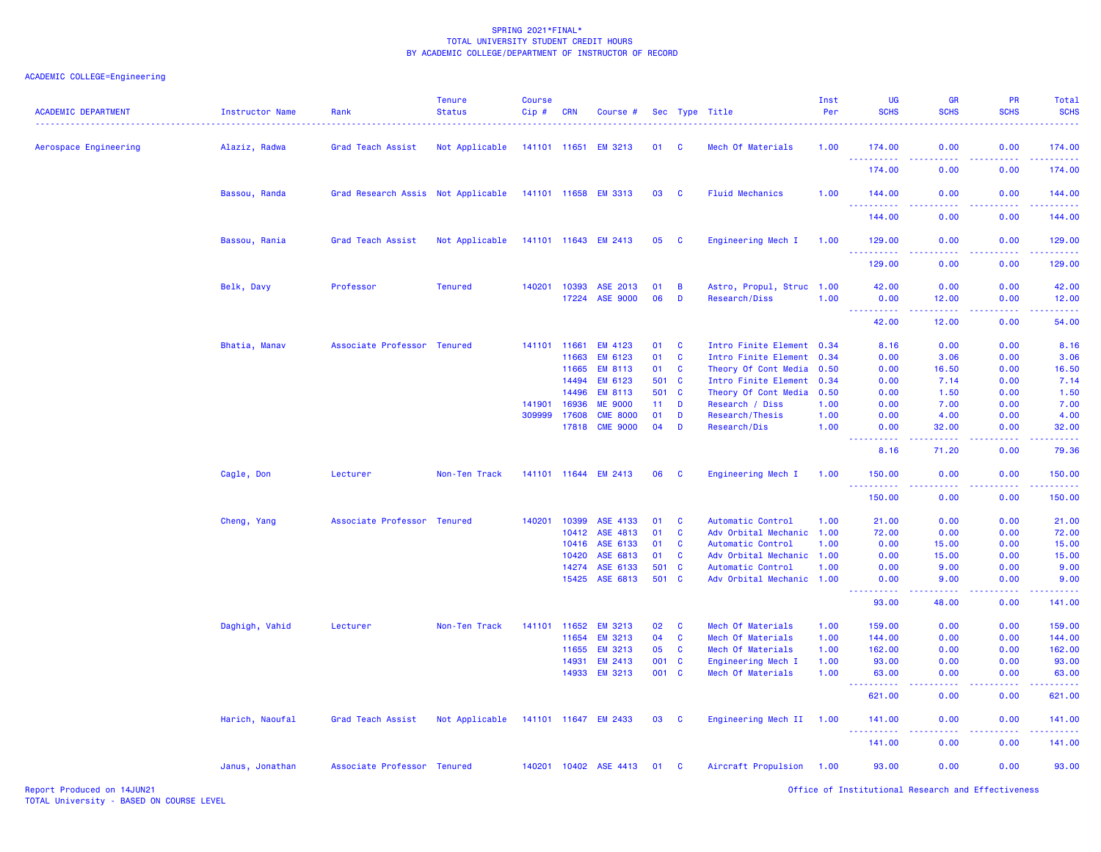# ACADEMIC COLLEGE=Engineering

| <b>ACADEMIC DEPARTMENT</b> | Instructor Name | Rank                               | <b>Tenure</b><br><b>Status</b> | <b>Course</b><br>Cip# | <b>CRN</b>     | Course #                           |              |                | Sec Type Title                          | Inst<br>Per  | UG<br><b>SCHS</b>                                                                                                                                            | <b>GR</b><br><b>SCHS</b> | PR<br><b>SCHS</b> | Total<br><b>SCHS</b>                                                                                                                                           |
|----------------------------|-----------------|------------------------------------|--------------------------------|-----------------------|----------------|------------------------------------|--------------|----------------|-----------------------------------------|--------------|--------------------------------------------------------------------------------------------------------------------------------------------------------------|--------------------------|-------------------|----------------------------------------------------------------------------------------------------------------------------------------------------------------|
| Aerospace Engineering      | Alaziz, Radwa   | Grad Teach Assist                  | Not Applicable                 |                       | 141101 11651   | <b>EM 3213</b>                     | 01           | <b>C</b>       | Mech Of Materials                       | 1.00         | 174.00                                                                                                                                                       | 0.00                     | 0.00              | 174.00                                                                                                                                                         |
|                            |                 |                                    |                                |                       |                |                                    |              |                |                                         |              | $\sim$ $\sim$ $\sim$<br>174.00                                                                                                                               | 0.00                     | 0.00              | 174.00                                                                                                                                                         |
|                            | Bassou, Randa   | Grad Research Assis Not Applicable |                                |                       |                | 141101 11658 EM 3313               | 03           | <b>C</b>       | <b>Fluid Mechanics</b>                  | 1.00         | 144.00<br><u> - - - - - - - - - -</u>                                                                                                                        | 0.00                     | 0.00              | 144.00<br>$\frac{1}{2} \left( \frac{1}{2} \right) \left( \frac{1}{2} \right) \left( \frac{1}{2} \right) \left( \frac{1}{2} \right) \left( \frac{1}{2} \right)$ |
|                            |                 |                                    |                                |                       |                |                                    |              |                |                                         |              | 144.00                                                                                                                                                       | 0.00                     | 0.00              | 144.00                                                                                                                                                         |
|                            | Bassou, Rania   | Grad Teach Assist                  | Not Applicable                 |                       |                | 141101 11643 EM 2413               | 05           | <b>C</b>       | Engineering Mech I                      | 1.00         | 129.00<br><u>.</u>                                                                                                                                           | 0.00<br>د د د د .        | 0.00<br>.         | 129.00<br>2.2.2.2.2.                                                                                                                                           |
|                            |                 |                                    |                                |                       |                |                                    |              |                |                                         |              | 129.00                                                                                                                                                       | 0.00                     | 0.00              | 129.00                                                                                                                                                         |
|                            | Belk, Davy      | Professor                          | <b>Tenured</b>                 | 140201                | 10393          | ASE 2013                           | 01           | $\overline{B}$ | Astro, Propul, Struc 1.00               |              | 42.00                                                                                                                                                        | 0.00                     | 0.00              | 42.00                                                                                                                                                          |
|                            |                 |                                    |                                |                       | 17224          | ASE 9000                           | 06           | D              | Research/Diss                           | 1.00         | 0.00<br>$\frac{1}{2} \left( \frac{1}{2} \right) \left( \frac{1}{2} \right) \left( \frac{1}{2} \right) \left( \frac{1}{2} \right) \left( \frac{1}{2} \right)$ | 12.00<br>22222           | 0.00<br>.         | 12.00<br>وعاعات                                                                                                                                                |
|                            |                 |                                    |                                |                       |                |                                    |              |                |                                         |              | 42.00                                                                                                                                                        | 12.00                    | 0.00              | 54.00                                                                                                                                                          |
|                            | Bhatia, Manav   | Associate Professor Tenured        |                                | 141101                | 11661          | EM 4123                            | 01           | $\mathbf{C}$   | Intro Finite Element 0.34               |              | 8.16                                                                                                                                                         | 0.00                     | 0.00              | 8.16                                                                                                                                                           |
|                            |                 |                                    |                                |                       | 11663          | EM 6123                            | 01           | $\mathbf{C}$   | Intro Finite Element 0.34               |              | 0.00                                                                                                                                                         | 3.06                     | 0.00              | 3.06                                                                                                                                                           |
|                            |                 |                                    |                                |                       | 11665          | <b>EM 8113</b>                     | 01           | C              | Theory Of Cont Media 0.50               |              | 0.00                                                                                                                                                         | 16.50                    | 0.00              | 16.50                                                                                                                                                          |
|                            |                 |                                    |                                |                       | 14494          | EM 6123                            | 501 C        |                | Intro Finite Element 0.34               |              | 0.00                                                                                                                                                         | 7.14                     | 0.00              | 7.14                                                                                                                                                           |
|                            |                 |                                    |                                |                       | 14496          | <b>EM 8113</b>                     | 501          | <b>C</b>       | Theory Of Cont Media                    | 0.50         | 0.00                                                                                                                                                         | 1.50                     | 0.00              | 1.50                                                                                                                                                           |
|                            |                 |                                    |                                | 141901                | 16936          | <b>ME 9000</b>                     | 11           | D              | Research / Diss                         | 1.00         | 0.00                                                                                                                                                         | 7.00                     | 0.00              | 7.00                                                                                                                                                           |
|                            |                 |                                    |                                | 309999                | 17608<br>17818 | <b>CME 8000</b><br><b>CME 9000</b> | 01<br>04     | D<br>D         | Research/Thesis<br>Research/Dis         | 1.00<br>1.00 | 0.00<br>0.00                                                                                                                                                 | 4.00<br>32.00            | 0.00<br>0.00      | 4.00<br>32.00                                                                                                                                                  |
|                            |                 |                                    |                                |                       |                |                                    |              |                |                                         |              | المتمالين                                                                                                                                                    | .                        | د د د د           | المستحب                                                                                                                                                        |
|                            |                 |                                    |                                |                       |                |                                    |              |                |                                         |              | 8.16                                                                                                                                                         | 71.20                    | 0.00              | 79.36                                                                                                                                                          |
|                            | Cagle, Don      | Lecturer                           | Non-Ten Track                  |                       |                | 141101 11644 EM 2413               | 06           | <b>C</b>       | Engineering Mech I                      | 1.00         | 150.00<br><b><i><u><u><b>a</b></u></u> a a a a a</i></b>                                                                                                     | 0.00<br>.                | 0.00<br>.         | 150.00<br><u>.</u>                                                                                                                                             |
|                            |                 |                                    |                                |                       |                |                                    |              |                |                                         |              | 150.00                                                                                                                                                       | 0.00                     | 0.00              | 150.00                                                                                                                                                         |
|                            | Cheng, Yang     | Associate Professor                | <b>Tenured</b>                 | 140201                | 10399          | ASE 4133                           | 01           | C              | Automatic Control                       | 1.00         | 21.00                                                                                                                                                        | 0.00                     | 0.00              | 21.00                                                                                                                                                          |
|                            |                 |                                    |                                |                       | 10412          | ASE 4813                           | 01           | $\mathbf{C}$   | Adv Orbital Mechanic 1.00               |              | 72.00                                                                                                                                                        | 0.00                     | 0.00              | 72.00                                                                                                                                                          |
|                            |                 |                                    |                                |                       | 10416          | ASE 6133                           | 01           | C              | Automatic Control                       | 1.00         | 0.00                                                                                                                                                         | 15.00                    | 0.00              | 15.00                                                                                                                                                          |
|                            |                 |                                    |                                |                       | 10420          | ASE 6813                           | 01           | C              | Adv Orbital Mechanic 1.00               |              | 0.00                                                                                                                                                         | 15.00                    | 0.00              | 15.00                                                                                                                                                          |
|                            |                 |                                    |                                |                       | 14274          | ASE 6133                           | 501          | <b>C</b>       | Automatic Control                       | 1.00         | 0.00                                                                                                                                                         | 9.00                     | 0.00              | 9.00                                                                                                                                                           |
|                            |                 |                                    |                                |                       | 15425          | ASE 6813                           | 501 C        |                | Adv Orbital Mechanic 1.00               |              | 0.00<br>.                                                                                                                                                    | 9.00<br>22222            | 0.00<br>.         | 9.00<br>$\begin{array}{cccccccccc} \bullet & \bullet & \bullet & \bullet & \bullet & \bullet & \bullet & \bullet \end{array}$                                  |
|                            |                 |                                    |                                |                       |                |                                    |              |                |                                         |              | 93.00                                                                                                                                                        | 48.00                    | 0.00              | 141.00                                                                                                                                                         |
|                            | Daghigh, Vahid  | Lecturer                           | Non-Ten Track                  | 141101                | 11652          | <b>EM 3213</b>                     | 02           | $\mathbf{C}$   | Mech Of Materials                       | 1.00         | 159.00                                                                                                                                                       | 0.00                     | 0.00              | 159.00                                                                                                                                                         |
|                            |                 |                                    |                                |                       | 11654          | <b>EM 3213</b>                     | 04           | $\mathbf{C}$   | Mech Of Materials                       | 1.00         | 144.00                                                                                                                                                       | 0.00                     | 0.00              | 144.00                                                                                                                                                         |
|                            |                 |                                    |                                |                       | 11655          | <b>EM 3213</b>                     | 05           | $\mathbf{C}$   | Mech Of Materials                       | 1.00         | 162.00                                                                                                                                                       | 0.00                     | 0.00              | 162.00                                                                                                                                                         |
|                            |                 |                                    |                                |                       | 14931          | <b>EM 2413</b><br>14933 EM 3213    | 001<br>001 C | $\mathbf{C}$   | Engineering Mech I<br>Mech Of Materials | 1.00<br>1.00 | 93.00<br>63.00                                                                                                                                               | 0.00<br>0.00             | 0.00<br>0.00      | 93.00<br>63.00                                                                                                                                                 |
|                            |                 |                                    |                                |                       |                |                                    |              |                |                                         |              | ------                                                                                                                                                       | وعاعات                   | .                 | -----                                                                                                                                                          |
|                            |                 |                                    |                                |                       |                |                                    |              |                |                                         |              | 621.00                                                                                                                                                       | 0.00                     | 0.00              | 621.00                                                                                                                                                         |
|                            | Harich, Naoufal | Grad Teach Assist                  | Not Applicable                 |                       |                | 141101 11647 EM 2433               | 03 C         |                | Engineering Mech II 1.00                |              | 141.00<br>.                                                                                                                                                  | 0.00                     | 0.00<br>.         | 141.00<br><b><i><u><u> - - - -</u></u></i></b>                                                                                                                 |
|                            |                 |                                    |                                |                       |                |                                    |              |                |                                         |              | 141.00                                                                                                                                                       | 0.00                     | 0.00              | 141.00                                                                                                                                                         |
|                            | Janus, Jonathan | Associate Professor Tenured        |                                |                       |                | 140201 10402 ASE 4413              | 01 C         |                | Aircraft Propulsion 1.00                |              | 93.00                                                                                                                                                        | 0.00                     | 0.00              | 93.00                                                                                                                                                          |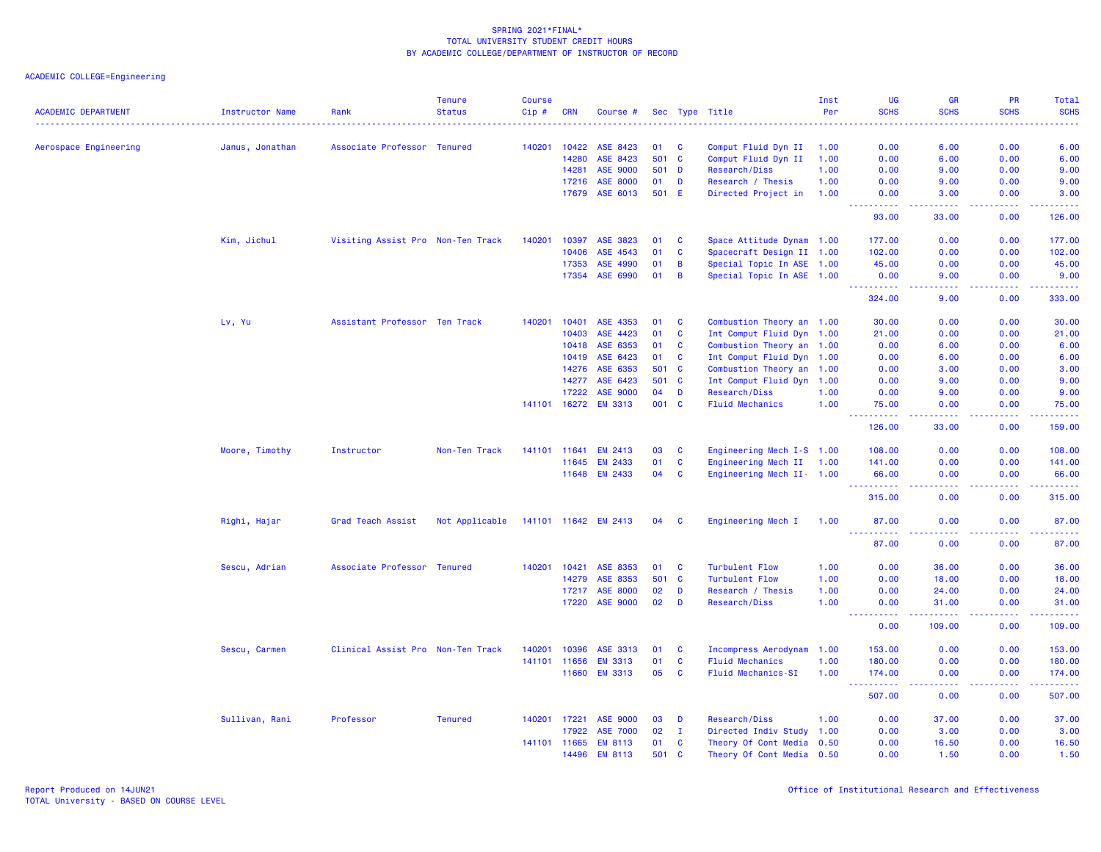| <b>ACADEMIC DEPARTMENT</b> | <b>Instructor Name</b> | Rank                              | <b>Tenure</b><br><b>Status</b> | <b>Course</b><br>$Cip$ # | <b>CRN</b> | Course #             |     |                | Sec Type Title            | Inst<br>Per | <b>UG</b><br><b>SCHS</b>                                                                                                                                       | <b>GR</b><br><b>SCHS</b>  | PR<br><b>SCHS</b>                                                                                                         | Total<br><b>SCHS</b>                                                                                                  |
|----------------------------|------------------------|-----------------------------------|--------------------------------|--------------------------|------------|----------------------|-----|----------------|---------------------------|-------------|----------------------------------------------------------------------------------------------------------------------------------------------------------------|---------------------------|---------------------------------------------------------------------------------------------------------------------------|-----------------------------------------------------------------------------------------------------------------------|
|                            |                        |                                   |                                |                          |            |                      |     |                |                           |             |                                                                                                                                                                |                           | $\frac{1}{2} \left( \frac{1}{2} \right) \left( \frac{1}{2} \right) \left( \frac{1}{2} \right) \left( \frac{1}{2} \right)$ | -----                                                                                                                 |
| Aerospace Engineering      | Janus, Jonathan        | Associate Professor Tenured       |                                | 140201                   | 10422      | ASE 8423             | 01  | <b>C</b>       | Comput Fluid Dyn II       | 1.00        | 0.00                                                                                                                                                           | 6.00                      | 0.00                                                                                                                      | 6.00                                                                                                                  |
|                            |                        |                                   |                                |                          | 14280      | ASE 8423             |     | 501 C          | Comput Fluid Dyn II       | 1.00        | 0.00                                                                                                                                                           | 6.00                      | 0.00                                                                                                                      | 6.00                                                                                                                  |
|                            |                        |                                   |                                |                          | 14281      | <b>ASE 9000</b>      | 501 | D              | Research/Diss             | 1.00        | 0.00                                                                                                                                                           | 9.00                      | 0.00                                                                                                                      | 9.00                                                                                                                  |
|                            |                        |                                   |                                |                          | 17216      | <b>ASE 8000</b>      | 01  | D              | Research / Thesis         | 1.00        | 0.00                                                                                                                                                           | 9.00                      | 0.00                                                                                                                      | 9.00                                                                                                                  |
|                            |                        |                                   |                                |                          | 17679      | ASE 6013             |     | 501 E          | Directed Project in       | 1.00        | 0.00<br>.                                                                                                                                                      | 3.00                      | 0.00<br>ولايت                                                                                                             | 3.00<br>المستما                                                                                                       |
|                            |                        |                                   |                                |                          |            |                      |     |                |                           |             | 93.00                                                                                                                                                          | 33.00                     | 0.00                                                                                                                      | 126.00                                                                                                                |
|                            | Kim, Jichul            | Visiting Assist Pro Non-Ten Track |                                | 140201                   | 10397      | ASE 3823             | 01  | C              | Space Attitude Dynam 1.00 |             | 177.00                                                                                                                                                         | 0.00                      | 0.00                                                                                                                      | 177.00                                                                                                                |
|                            |                        |                                   |                                |                          | 10406      | ASE 4543             | 01  | C              | Spacecraft Design II 1.00 |             | 102.00                                                                                                                                                         | 0.00                      | 0.00                                                                                                                      | 102.00                                                                                                                |
|                            |                        |                                   |                                |                          | 17353      | ASE 4990             | 01  | B              | Special Topic In ASE 1.00 |             | 45.00                                                                                                                                                          | 0.00                      | 0.00                                                                                                                      | 45.00                                                                                                                 |
|                            |                        |                                   |                                |                          | 17354      | ASE 6990             | 01  | $\overline{B}$ | Special Topic In ASE 1.00 |             | 0.00                                                                                                                                                           | 9.00                      | 0.00                                                                                                                      | 9.00                                                                                                                  |
|                            |                        |                                   |                                |                          |            |                      |     |                |                           |             | 2.2.2.2.2.2<br>324.00                                                                                                                                          | $  -$<br>9.00             | .<br>0.00                                                                                                                 | .<br>333.00                                                                                                           |
|                            | Lv, Yu                 | Assistant Professor Ten Track     |                                | 140201                   | 10401      | ASE 4353             | 01  | C              | Combustion Theory an 1.00 |             | 30.00                                                                                                                                                          | 0.00                      | 0.00                                                                                                                      | 30.00                                                                                                                 |
|                            |                        |                                   |                                |                          | 10403      | ASE 4423             | 01  | <b>C</b>       | Int Comput Fluid Dyn 1.00 |             | 21.00                                                                                                                                                          | 0.00                      | 0.00                                                                                                                      | 21.00                                                                                                                 |
|                            |                        |                                   |                                |                          | 10418      | ASE 6353             | 01  | C              | Combustion Theory an 1.00 |             | 0.00                                                                                                                                                           | 6.00                      | 0.00                                                                                                                      | 6.00                                                                                                                  |
|                            |                        |                                   |                                |                          | 10419      | ASE 6423             | 01  | $\mathbf{C}$   | Int Comput Fluid Dyn 1.00 |             | 0.00                                                                                                                                                           | 6.00                      | 0.00                                                                                                                      | 6.00                                                                                                                  |
|                            |                        |                                   |                                |                          | 14276      | ASE 6353             | 501 | C              | Combustion Theory an 1.00 |             | 0.00                                                                                                                                                           | 3.00                      | 0.00                                                                                                                      | 3.00                                                                                                                  |
|                            |                        |                                   |                                |                          | 14277      | ASE 6423             | 501 | $\mathbf{C}$   | Int Comput Fluid Dyn 1.00 |             | 0.00                                                                                                                                                           | 9.00                      | 0.00                                                                                                                      | 9.00                                                                                                                  |
|                            |                        |                                   |                                |                          | 17222      | <b>ASE 9000</b>      | 04  | D              | Research/Diss             | 1.00        | 0.00                                                                                                                                                           | 9.00                      | 0.00                                                                                                                      | 9.00                                                                                                                  |
|                            |                        |                                   |                                |                          |            | 141101 16272 EM 3313 |     | 001 C          | <b>Fluid Mechanics</b>    | 1.00        | 75.00                                                                                                                                                          | 0.00                      | 0.00                                                                                                                      | 75.00                                                                                                                 |
|                            |                        |                                   |                                |                          |            |                      |     |                |                           |             | .<br>126.00                                                                                                                                                    | .<br>33.00                | .<br>0.00                                                                                                                 | .<br>159.00                                                                                                           |
|                            | Moore, Timothy         | Instructor                        | Non-Ten Track                  | 141101 11641             |            | <b>EM 2413</b>       | 03  | C              | Engineering Mech I-S 1.00 |             | 108.00                                                                                                                                                         | 0.00                      | 0.00                                                                                                                      | 108.00                                                                                                                |
|                            |                        |                                   |                                |                          | 11645      | <b>EM 2433</b>       | 01  | $\mathbf{C}$   | Engineering Mech II 1.00  |             | 141.00                                                                                                                                                         | 0.00                      | 0.00                                                                                                                      | 141.00                                                                                                                |
|                            |                        |                                   |                                |                          |            | 11648 EM 2433        | 04  | C              | Engineering Mech II- 1.00 |             | 66.00                                                                                                                                                          | 0.00                      | 0.00                                                                                                                      | 66.00                                                                                                                 |
|                            |                        |                                   |                                |                          |            |                      |     |                |                           |             | $\frac{1}{2} \left( \frac{1}{2} \right) \left( \frac{1}{2} \right) \left( \frac{1}{2} \right) \left( \frac{1}{2} \right) \left( \frac{1}{2} \right)$<br>315.00 | 0.00                      | ولايت<br>0.00                                                                                                             | .<br>315.00                                                                                                           |
|                            | Righi, Hajar           | Grad Teach Assist                 | Not Applicable                 |                          |            | 141101 11642 EM 2413 | 04  | <b>C</b>       | Engineering Mech I        | 1.00        | 87.00                                                                                                                                                          | 0.00                      | 0.00                                                                                                                      | 87.00                                                                                                                 |
|                            |                        |                                   |                                |                          |            |                      |     |                |                           |             | <u>.</u><br>87.00                                                                                                                                              | 0.00                      | د د د د<br>0.00                                                                                                           | .<br>87.00                                                                                                            |
|                            | Sescu, Adrian          | Associate Professor Tenured       |                                | 140201                   | 10421      | ASE 8353             | 01  | C              | <b>Turbulent Flow</b>     | 1.00        | 0.00                                                                                                                                                           | 36.00                     | 0.00                                                                                                                      | 36.00                                                                                                                 |
|                            |                        |                                   |                                |                          | 14279      | ASE 8353             | 501 | $\mathbf{C}$   | <b>Turbulent Flow</b>     | 1.00        | 0.00                                                                                                                                                           | 18.00                     | 0.00                                                                                                                      | 18.00                                                                                                                 |
|                            |                        |                                   |                                |                          | 17217      | <b>ASE 8000</b>      | 02  | D              | Research / Thesis         | 1.00        | 0.00                                                                                                                                                           | 24.00                     | 0.00                                                                                                                      | 24.00                                                                                                                 |
|                            |                        |                                   |                                |                          | 17220      | <b>ASE 9000</b>      | 02  | D              | Research/Diss             | 1.00        | 0.00<br>----------                                                                                                                                             | 31.00<br>$-1 - 1 - 1 = 0$ | 0.00<br>.                                                                                                                 | 31.00<br>.                                                                                                            |
|                            |                        |                                   |                                |                          |            |                      |     |                |                           |             | 0.00                                                                                                                                                           | 109.00                    | 0.00                                                                                                                      | 109.00                                                                                                                |
|                            | Sescu, Carmen          | Clinical Assist Pro Non-Ten Track |                                | 140201                   | 10396      | ASE 3313             | 01  | C              | Incompress Aerodynam      | 1.00        | 153.00                                                                                                                                                         | 0.00                      | 0.00                                                                                                                      | 153.00                                                                                                                |
|                            |                        |                                   |                                | 141101                   | 11656      | <b>EM 3313</b>       | 01  | C              | <b>Fluid Mechanics</b>    | 1.00        | 180.00                                                                                                                                                         | 0.00                      | 0.00                                                                                                                      | 180.00                                                                                                                |
|                            |                        |                                   |                                |                          | 11660      | <b>EM 3313</b>       | 05  | <b>C</b>       | <b>Fluid Mechanics-SI</b> | 1.00        | 174.00                                                                                                                                                         | 0.00                      | 0.00                                                                                                                      | 174.00<br>$\begin{array}{cccccccccc} \bullet & \bullet & \bullet & \bullet & \bullet & \bullet & \bullet \end{array}$ |
|                            |                        |                                   |                                |                          |            |                      |     |                |                           |             | .<br>507.00                                                                                                                                                    | .<br>0.00                 | .<br>0.00                                                                                                                 | 507.00                                                                                                                |
|                            | Sullivan, Rani         | Professor                         | <b>Tenured</b>                 | 140201                   | 17221      | <b>ASE 9000</b>      | 03  | D              | Research/Diss             | 1.00        | 0.00                                                                                                                                                           | 37.00                     | 0.00                                                                                                                      | 37.00                                                                                                                 |
|                            |                        |                                   |                                |                          | 17922      | <b>ASE 7000</b>      | 02  | л.             | Directed Indiv Study 1.00 |             | 0.00                                                                                                                                                           | 3.00                      | 0.00                                                                                                                      | 3.00                                                                                                                  |
|                            |                        |                                   |                                | 141101 11665             |            | <b>EM 8113</b>       | 01  | C              | Theory Of Cont Media 0.50 |             | 0.00                                                                                                                                                           | 16.50                     | 0.00                                                                                                                      | 16.50                                                                                                                 |
|                            |                        |                                   |                                |                          | 14496      | <b>EM 8113</b>       | 501 | $\mathbf{C}$   | Theory Of Cont Media 0.50 |             | 0.00                                                                                                                                                           | 1.50                      | 0.00                                                                                                                      | 1.50                                                                                                                  |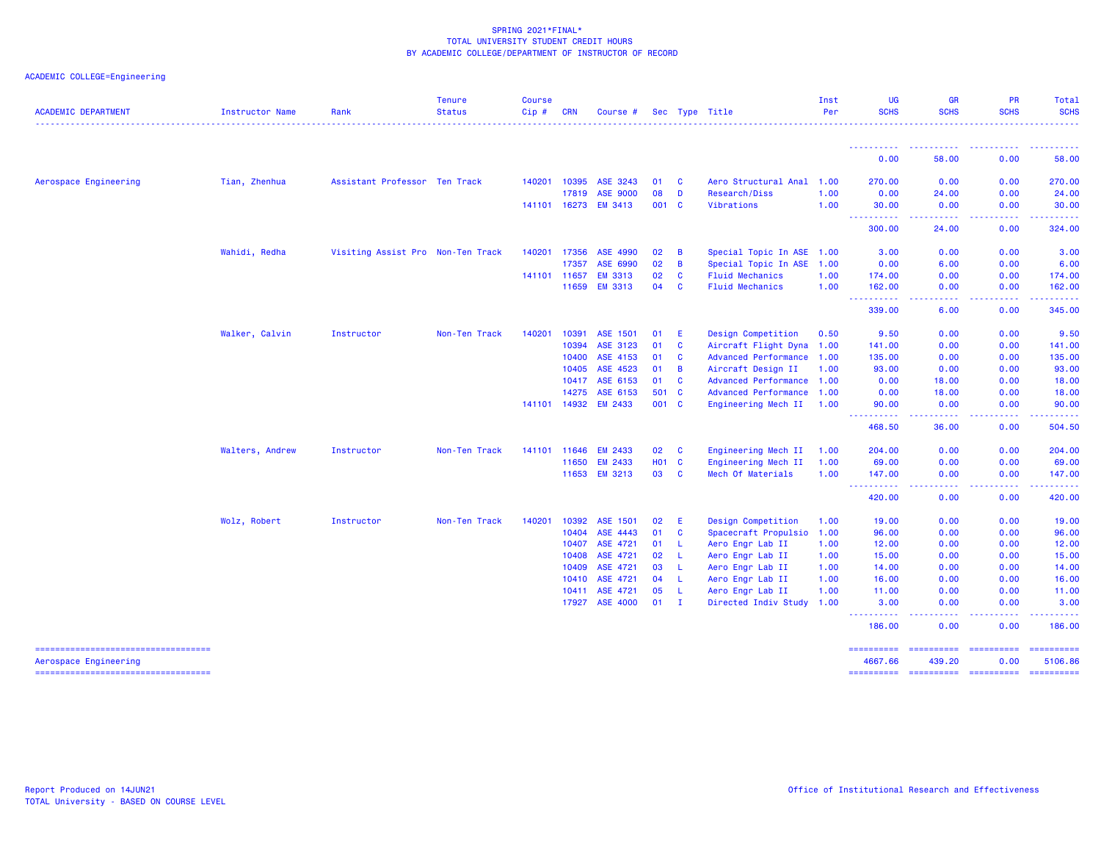| ACADEMIC COLLEGE=Engineering |  |
|------------------------------|--|
|                              |  |

| <b>ACADEMIC DEPARTMENT</b>                                      | <b>Instructor Name</b> | Rank                              | <b>Tenure</b><br><b>Status</b> | <b>Course</b><br>Cip# | <b>CRN</b>   | Course #        |       |          | Sec Type Title              | Inst<br>Per | UG<br><b>SCHS</b>                          | GR<br><b>SCHS</b>      | <b>PR</b><br><b>SCHS</b>                                                                                                | Total<br><b>SCHS</b>                                                                                                  |
|-----------------------------------------------------------------|------------------------|-----------------------------------|--------------------------------|-----------------------|--------------|-----------------|-------|----------|-----------------------------|-------------|--------------------------------------------|------------------------|-------------------------------------------------------------------------------------------------------------------------|-----------------------------------------------------------------------------------------------------------------------|
|                                                                 |                        |                                   |                                |                       |              |                 |       |          |                             |             |                                            |                        |                                                                                                                         |                                                                                                                       |
|                                                                 |                        |                                   |                                |                       |              |                 |       |          |                             |             | ----------<br>0.00                         | 58.00                  | 0.00                                                                                                                    | 58.00                                                                                                                 |
| Aerospace Engineering                                           | Tian, Zhenhua          | Assistant Professor Ten Track     |                                | 140201                | 10395        | ASE 3243        | 01    | C        | Aero Structural Anal        | 1.00        | 270.00                                     | 0.00                   | 0.00                                                                                                                    | 270.00                                                                                                                |
|                                                                 |                        |                                   |                                |                       | 17819        | <b>ASE 9000</b> | 08    | D        | Research/Diss               | 1.00        | 0.00                                       | 24.00                  | 0.00                                                                                                                    | 24.00                                                                                                                 |
|                                                                 |                        |                                   |                                |                       | 141101 16273 | <b>EM 3413</b>  | 001 C |          | Vibrations                  | 1.00        | 30.00<br><b>.</b>                          | 0.00                   | 0.00                                                                                                                    | 30.00                                                                                                                 |
|                                                                 |                        |                                   |                                |                       |              |                 |       |          |                             |             | 300.00                                     | 24.00                  | 0.00                                                                                                                    | 324.00                                                                                                                |
|                                                                 | Wahidi, Redha          | Visiting Assist Pro Non-Ten Track |                                | 140201                | 17356        | ASE 4990        | 02    | B        | Special Topic In ASE        | 1.00        | 3.00                                       | 0.00                   | 0.00                                                                                                                    | 3.00                                                                                                                  |
|                                                                 |                        |                                   |                                |                       | 17357        | ASE 6990        | 02    | B        | Special Topic In ASE 1.00   |             | 0.00                                       | 6.00                   | 0.00                                                                                                                    | 6.00                                                                                                                  |
|                                                                 |                        |                                   |                                |                       | 141101 11657 | <b>EM 3313</b>  | 02    | <b>C</b> | <b>Fluid Mechanics</b>      | 1.00        | 174,00                                     | 0.00                   | 0.00                                                                                                                    | 174.00                                                                                                                |
|                                                                 |                        |                                   |                                |                       | 11659        | <b>EM 3313</b>  | 04    | C        | <b>Fluid Mechanics</b>      | 1.00        | 162.00<br>$\sim$ $\sim$ $\sim$ $\sim$      | 0.00                   | 0.00<br>والمحامر                                                                                                        | 162.00                                                                                                                |
|                                                                 |                        |                                   |                                |                       |              |                 |       |          |                             |             | 339.00                                     | 6.00                   | 0.00                                                                                                                    | 345.00                                                                                                                |
|                                                                 | Walker, Calvin         | Instructor                        | Non-Ten Track                  | 140201                | 10391        | ASE 1501        | 01    | E        | Design Competition          | 0.50        | 9.50                                       | 0.00                   | 0.00                                                                                                                    | 9.50                                                                                                                  |
|                                                                 |                        |                                   |                                |                       | 10394        | ASE 3123        | 01    | C        | Aircraft Flight Dyna 1.00   |             | 141.00                                     | 0.00                   | 0.00                                                                                                                    | 141.00                                                                                                                |
|                                                                 |                        |                                   |                                |                       | 10400        | ASE 4153        | 01    | <b>C</b> | <b>Advanced Performance</b> | 1.00        | 135.00                                     | 0.00                   | 0.00                                                                                                                    | 135.00                                                                                                                |
|                                                                 |                        |                                   |                                |                       | 10405        | ASE 4523        | 01    | B        | Aircraft Design II          | 1.00        | 93.00                                      | 0.00                   | 0.00                                                                                                                    | 93.00                                                                                                                 |
|                                                                 |                        |                                   |                                |                       | 10417        | ASE 6153        | 01    | <b>C</b> | Advanced Performance 1.00   |             | 0.00                                       | 18.00                  | 0.00                                                                                                                    | 18.00                                                                                                                 |
|                                                                 |                        |                                   |                                |                       | 14275        | ASE 6153        | 501 C |          | <b>Advanced Performance</b> | 1.00        | 0.00                                       | 18.00                  | 0.00                                                                                                                    | 18.00                                                                                                                 |
|                                                                 |                        |                                   |                                |                       | 141101 14932 | <b>EM 2433</b>  | 001 C |          | Engineering Mech II         | 1.00        | 90.00                                      | 0.00                   | 0.00                                                                                                                    | 90.00                                                                                                                 |
|                                                                 |                        |                                   |                                |                       |              |                 |       |          |                             |             | .<br>$\sim$ $\sim$ $\sim$ $\sim$<br>468.50 | 36.00                  | 0.00                                                                                                                    | 504.50                                                                                                                |
|                                                                 | Walters, Andrew        | Instructor                        | Non-Ten Track                  |                       | 141101 11646 | <b>EM 2433</b>  | 02    | C        | Engineering Mech II         | 1.00        | 204.00                                     | 0.00                   | 0.00                                                                                                                    | 204.00                                                                                                                |
|                                                                 |                        |                                   |                                |                       | 11650        | <b>EM 2433</b>  | H01 C |          | Engineering Mech II         | 1.00        | 69.00                                      | 0.00                   | 0.00                                                                                                                    | 69.00                                                                                                                 |
|                                                                 |                        |                                   |                                |                       |              | 11653 EM 3213   | 03    | <b>C</b> | Mech Of Materials           | 1.00        | 147.00                                     | 0.00                   | 0.00                                                                                                                    | 147.00                                                                                                                |
|                                                                 |                        |                                   |                                |                       |              |                 |       |          |                             |             | <b>.</b><br>420.00                         | .<br>0.00              | .<br>0.00                                                                                                               | $\begin{array}{cccccccccc} \bullet & \bullet & \bullet & \bullet & \bullet & \bullet & \bullet \end{array}$<br>420.00 |
|                                                                 | Wolz, Robert           | Instructor                        | Non-Ten Track                  | 140201                | 10392        | ASE 1501        | 02    | E        | Design Competition          | 1.00        | 19.00                                      | 0.00                   | 0.00                                                                                                                    | 19.00                                                                                                                 |
|                                                                 |                        |                                   |                                |                       | 10404        | ASE 4443        | 01    | <b>C</b> | Spacecraft Propulsio        | 1.00        | 96.00                                      | 0.00                   | 0.00                                                                                                                    | 96.00                                                                                                                 |
|                                                                 |                        |                                   |                                |                       | 10407        | ASE 4721        | 01    | -L.      | Aero Engr Lab II            | 1.00        | 12.00                                      | 0.00                   | 0.00                                                                                                                    | 12.00                                                                                                                 |
|                                                                 |                        |                                   |                                |                       | 10408        | ASE 4721        | 02    | -L       | Aero Engr Lab II            | 1.00        | 15.00                                      | 0.00                   | 0.00                                                                                                                    | 15.00                                                                                                                 |
|                                                                 |                        |                                   |                                |                       | 10409        | ASE 4721        | 03    | L        | Aero Engr Lab II            | 1.00        | 14.00                                      | 0.00                   | 0.00                                                                                                                    | 14.00                                                                                                                 |
|                                                                 |                        |                                   |                                |                       | 10410        | ASE 4721        | 04    | -L       | Aero Engr Lab II            | 1.00        | 16.00                                      | 0.00                   | 0.00                                                                                                                    | 16.00                                                                                                                 |
|                                                                 |                        |                                   |                                |                       | 10411        | ASE 4721        | 05    | -L       | Aero Engr Lab II            | 1.00        | 11.00                                      | 0.00                   | 0.00                                                                                                                    | 11.00                                                                                                                 |
|                                                                 |                        |                                   |                                |                       | 17927        | <b>ASE 4000</b> | 01    | - I      | Directed Indiv Study 1.00   |             | 3.00                                       | 0.00                   | 0.00                                                                                                                    | 3.00                                                                                                                  |
|                                                                 |                        |                                   |                                |                       |              |                 |       |          |                             |             | ----------<br>186.00                       | -----<br>0.00          | $\begin{array}{cccccccccccccc} \bullet & \bullet & \bullet & \bullet & \bullet & \bullet & \bullet \end{array}$<br>0.00 | .<br>186.00                                                                                                           |
| ======================================<br>Aerospace Engineering |                        |                                   |                                |                       |              |                 |       |          |                             |             | ==========<br>4667.66                      | 439.20                 | 0.00                                                                                                                    | ==========<br>5106.86                                                                                                 |
| ===================================                             |                        |                                   |                                |                       |              |                 |       |          |                             |             | ==========                                 | ====================== |                                                                                                                         | $=$ ==========                                                                                                        |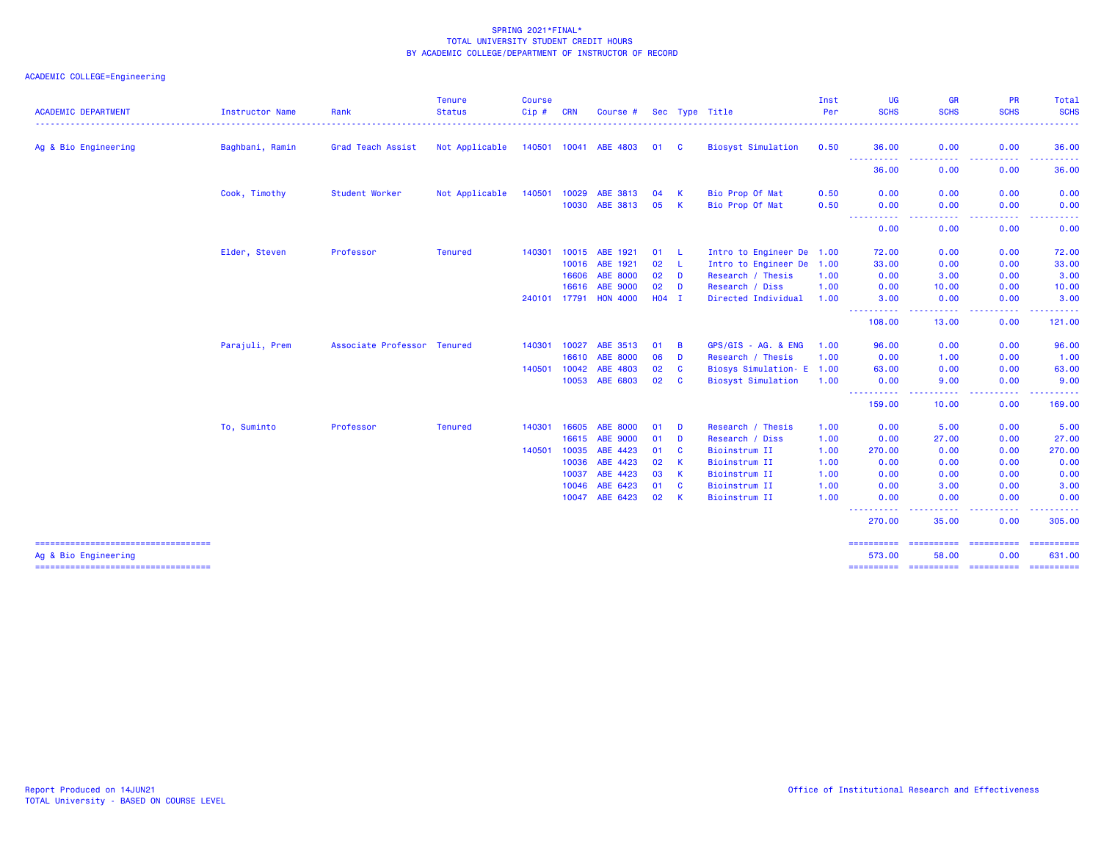| <b>ACADEMIC DEPARTMENT</b>                                  | <b>Instructor Name</b> | Rank                        | <b>Tenure</b><br><b>Status</b> | <b>Course</b><br>Cip# | <b>CRN</b> | Course #              |         |              | Sec Type Title            | Inst<br>Per | UG<br><b>SCHS</b>                                                                                                                                                                           | <b>GR</b><br><b>SCHS</b>                                                                                                           | <b>PR</b><br><b>SCHS</b>                                                                                                          | Total<br><b>SCHS</b> |
|-------------------------------------------------------------|------------------------|-----------------------------|--------------------------------|-----------------------|------------|-----------------------|---------|--------------|---------------------------|-------------|---------------------------------------------------------------------------------------------------------------------------------------------------------------------------------------------|------------------------------------------------------------------------------------------------------------------------------------|-----------------------------------------------------------------------------------------------------------------------------------|----------------------|
|                                                             |                        |                             |                                |                       |            |                       |         |              |                           |             |                                                                                                                                                                                             |                                                                                                                                    |                                                                                                                                   |                      |
| Ag & Bio Engineering                                        | Baghbani, Ramin        | Grad Teach Assist           | Not Applicable                 |                       |            | 140501 10041 ABE 4803 | 01 C    |              | <b>Biosyst Simulation</b> | 0.50        | 36.00                                                                                                                                                                                       | 0.00                                                                                                                               | 0.00                                                                                                                              | 36.00                |
|                                                             |                        |                             |                                |                       |            |                       |         |              |                           |             | $\frac{1}{2} \left( \frac{1}{2} \right) \left( \frac{1}{2} \right) \left( \frac{1}{2} \right)$<br>$\mathbf{1} \cdot \mathbf{1} \cdot \mathbf{1} \cdot \mathbf{1} \cdot \mathbf{1}$<br>36.00 | 0.00                                                                                                                               | 0.00                                                                                                                              | 36.00                |
|                                                             | Cook, Timothy          | Student Worker              | Not Applicable                 | 140501                | 10029      | ABE 3813              | 04      | -K           | Bio Prop Of Mat           | 0.50        | 0.00                                                                                                                                                                                        | 0.00                                                                                                                               | 0.00                                                                                                                              | 0.00                 |
|                                                             |                        |                             |                                |                       | 10030      | ABE 3813              | 05      | <b>K</b>     | Bio Prop Of Mat           | 0.50        | 0.00<br>$\frac{1}{2} \left( \frac{1}{2} \right) \left( \frac{1}{2} \right) \left( \frac{1}{2} \right) \left( \frac{1}{2} \right)$<br>.                                                      | 0.00                                                                                                                               | 0.00                                                                                                                              | 0.00                 |
|                                                             |                        |                             |                                |                       |            |                       |         |              |                           |             | 0.00                                                                                                                                                                                        | 0.00                                                                                                                               | 0.00                                                                                                                              | 0.00                 |
|                                                             | Elder, Steven          | Professor                   | <b>Tenured</b>                 | 140301                | 10015      | ABE 1921              | 01      | - L          | Intro to Engineer De 1.00 |             | 72.00                                                                                                                                                                                       | 0.00                                                                                                                               | 0.00                                                                                                                              | 72.00                |
|                                                             |                        |                             |                                |                       | 10016      | ABE 1921              | 02      | - L          | Intro to Engineer De 1.00 |             | 33.00                                                                                                                                                                                       | 0.00                                                                                                                               | 0.00                                                                                                                              | 33.00                |
|                                                             |                        |                             |                                |                       | 16606      | <b>ABE 8000</b>       | 02      | D            | Research / Thesis         | 1.00        | 0.00                                                                                                                                                                                        | 3.00                                                                                                                               | 0.00                                                                                                                              | 3.00                 |
|                                                             |                        |                             |                                |                       | 16616      | <b>ABE 9000</b>       | 02      | D            | Research / Diss           | 1.00        | 0.00                                                                                                                                                                                        | 10.00                                                                                                                              | 0.00                                                                                                                              | 10.00                |
|                                                             |                        |                             |                                | 240101 17791          |            | <b>HON 4000</b>       | $H04$ I |              | Directed Individual       | 1.00        | 3.00<br><u> - - - - - - - - - -</u>                                                                                                                                                         | 0.00<br>$\frac{1}{2} \left( \frac{1}{2} \right) \left( \frac{1}{2} \right) \left( \frac{1}{2} \right)$                             | 0.00<br>$\frac{1}{2} \left( \frac{1}{2} \right) \left( \frac{1}{2} \right) \left( \frac{1}{2} \right) \left( \frac{1}{2} \right)$ | 3.00<br>.            |
|                                                             |                        |                             |                                |                       |            |                       |         |              |                           |             | 108.00                                                                                                                                                                                      | 13.00                                                                                                                              | 0.00                                                                                                                              | 121.00               |
|                                                             | Parajuli, Prem         | Associate Professor Tenured |                                | 140301                | 10027      | ABE 3513              | 01      | B            | GPS/GIS - AG. & ENG       | 1.00        | 96.00                                                                                                                                                                                       | 0.00                                                                                                                               | 0.00                                                                                                                              | 96.00                |
|                                                             |                        |                             |                                |                       | 16610      | <b>ABE 8000</b>       | 06      | D            | Research / Thesis         | 1.00        | 0.00                                                                                                                                                                                        | 1.00                                                                                                                               | 0.00                                                                                                                              | 1.00                 |
|                                                             |                        |                             |                                | 140501                | 10042      | ABE 4803              | 02      | <b>C</b>     | Biosys Simulation- E 1.00 |             | 63.00                                                                                                                                                                                       | 0.00                                                                                                                               | 0.00                                                                                                                              | 63.00                |
|                                                             |                        |                             |                                |                       |            | 10053 ABE 6803        | 02      | <b>C</b>     | <b>Biosyst Simulation</b> | 1.00        | 0.00                                                                                                                                                                                        | 9.00                                                                                                                               | 0.00                                                                                                                              | 9.00                 |
|                                                             |                        |                             |                                |                       |            |                       |         |              |                           |             | ----------<br>159.00                                                                                                                                                                        | $\frac{1}{2} \left( \frac{1}{2} \right) \left( \frac{1}{2} \right) \left( \frac{1}{2} \right) \left( \frac{1}{2} \right)$<br>10.00 | .<br>0.00                                                                                                                         | ------<br>169.00     |
|                                                             | To, Suminto            | Professor                   | <b>Tenured</b>                 | 140301                | 16605      | <b>ABE 8000</b>       | 01      | D            | Research / Thesis         | 1.00        | 0.00                                                                                                                                                                                        | 5.00                                                                                                                               | 0.00                                                                                                                              | 5.00                 |
|                                                             |                        |                             |                                |                       | 16615      | <b>ABE 9000</b>       | 01      | D            | Research / Diss           | 1.00        | 0.00                                                                                                                                                                                        | 27,00                                                                                                                              | 0.00                                                                                                                              | 27.00                |
|                                                             |                        |                             |                                | 140501                | 10035      | ABE 4423              | 01      | <b>C</b>     | Bioinstrum II             | 1.00        | 270.00                                                                                                                                                                                      | 0.00                                                                                                                               | 0.00                                                                                                                              | 270.00               |
|                                                             |                        |                             |                                |                       | 10036      | ABE 4423              | 02      | <b>K</b>     | Bioinstrum II             | 1.00        | 0.00                                                                                                                                                                                        | 0.00                                                                                                                               | 0.00                                                                                                                              | 0.00                 |
|                                                             |                        |                             |                                |                       | 10037      | ABE 4423              | 03      | $\mathsf{K}$ | Bioinstrum II             | 1.00        | 0.00                                                                                                                                                                                        | 0.00                                                                                                                               | 0.00                                                                                                                              | 0.00                 |
|                                                             |                        |                             |                                |                       | 10046      | ABE 6423              | 01      | $\mathbf{C}$ | Bioinstrum II             | 1.00        | 0.00                                                                                                                                                                                        | 3.00                                                                                                                               | 0.00                                                                                                                              | 3.00                 |
|                                                             |                        |                             |                                |                       | 10047      | ABE 6423              | 02      | $\mathsf{K}$ | Bioinstrum II             | 1.00        | 0.00                                                                                                                                                                                        | 0.00                                                                                                                               | 0.00                                                                                                                              | 0.00                 |
|                                                             |                        |                             |                                |                       |            |                       |         |              |                           |             | ----------<br>270.00                                                                                                                                                                        | . <b>. .</b><br>35.00                                                                                                              | .<br>0.00                                                                                                                         | .<br>305.00          |
| =====================================                       |                        |                             |                                |                       |            |                       |         |              |                           |             | ==========                                                                                                                                                                                  | ==========<br>58.00                                                                                                                | ==========<br>0.00                                                                                                                | ==========<br>631.00 |
| Ag & Bio Engineering<br>----------------------------------- |                        |                             |                                |                       |            |                       |         |              |                           |             | 573.00                                                                                                                                                                                      |                                                                                                                                    |                                                                                                                                   |                      |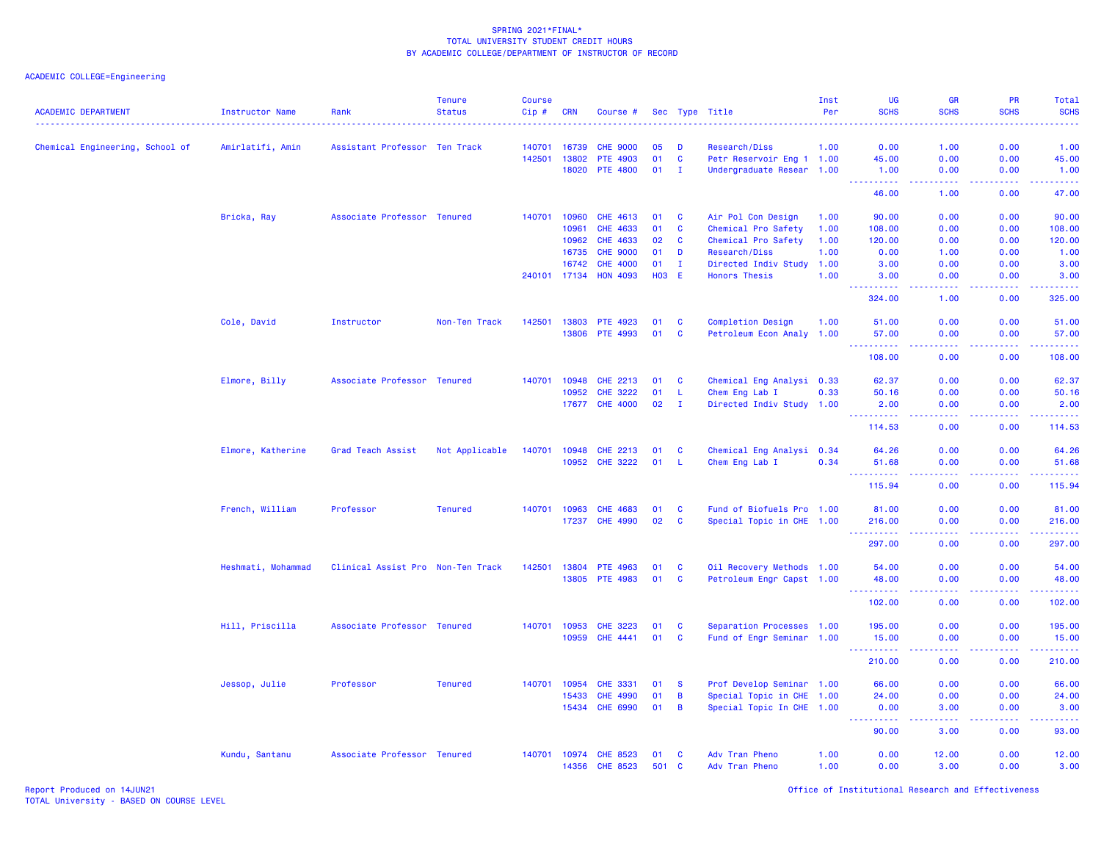| <b>ACADEMIC DEPARTMENT</b>      | <b>Instructor Name</b> | Rank                              | <b>Tenure</b><br><b>Status</b> | <b>Course</b><br>Cip# | <b>CRN</b>   | Course #        |            |                | Sec Type Title                                         | Inst<br>Per | UG<br><b>SCHS</b>    | GR<br><b>SCHS</b>                                                                                      | <b>PR</b><br><b>SCHS</b> | Total<br><b>SCHS</b><br>----                             |
|---------------------------------|------------------------|-----------------------------------|--------------------------------|-----------------------|--------------|-----------------|------------|----------------|--------------------------------------------------------|-------------|----------------------|--------------------------------------------------------------------------------------------------------|--------------------------|----------------------------------------------------------|
| Chemical Engineering, School of | Amirlatifi, Amin       | Assistant Professor Ten Track     |                                | 140701                | 16739        | <b>CHE 9000</b> | 05         | n              | Research/Diss                                          | 1.00        | 0.00                 | 1.00                                                                                                   | 0.00                     | 1.00                                                     |
|                                 |                        |                                   |                                | 142501                | 13802        | PTE 4903        | 01         | $\mathbf{C}$   | Petr Reservoir Eng 1 1.00                              |             | 45.00                | 0.00                                                                                                   | 0.00                     | 45.00                                                    |
|                                 |                        |                                   |                                |                       | 18020        | <b>PTE 4800</b> | 01         | $\mathbf{I}$   | Undergraduate Resear 1.00                              |             | 1.00                 | 0.00                                                                                                   | 0.00                     | 1.00                                                     |
|                                 |                        |                                   |                                |                       |              |                 |            |                |                                                        |             | 222222<br>46.00      | د د د د<br>1.00                                                                                        | 22222<br>0.00            | .<br>47.00                                               |
|                                 | Bricka, Ray            | Associate Professor Tenured       |                                | 140701                | 10960        | CHE 4613        | 01         | <b>C</b>       | Air Pol Con Design                                     | 1.00        | 90.00                | 0.00                                                                                                   | 0.00                     | 90.00                                                    |
|                                 |                        |                                   |                                |                       | 10961        | <b>CHE 4633</b> | 01         | <b>C</b>       | Chemical Pro Safety                                    | 1.00        | 108.00               | 0.00                                                                                                   | 0.00                     | 108.00                                                   |
|                                 |                        |                                   |                                |                       | 10962        | <b>CHE 4633</b> | 02         | $\mathbf{C}$   | Chemical Pro Safety                                    | 1.00        | 120.00               | 0.00                                                                                                   | 0.00                     | 120.00                                                   |
|                                 |                        |                                   |                                |                       | 16735        | <b>CHE 9000</b> | 01         | D              | Research/Diss                                          | 1.00        | 0.00                 | 1.00                                                                                                   | 0.00                     | 1.00                                                     |
|                                 |                        |                                   |                                |                       | 16742        | <b>CHE 4000</b> | 01         | $\mathbf{I}$   | Directed Indiv Study                                   | 1.00        | 3.00                 | 0.00                                                                                                   | 0.00                     | 3.00                                                     |
|                                 |                        |                                   |                                |                       | 240101 17134 | <b>HON 4093</b> | <b>HO3</b> | E              | <b>Honors Thesis</b>                                   | 1.00        | 3.00                 | 0.00                                                                                                   | 0.00                     | 3.00                                                     |
|                                 |                        |                                   |                                |                       |              |                 |            |                |                                                        |             | 22222<br>324.00      | $\frac{1}{2} \left( \frac{1}{2} \right) \left( \frac{1}{2} \right) \left( \frac{1}{2} \right)$<br>1.00 | 0.00                     | .<br>325.00                                              |
|                                 | Cole, David            | Instructor                        | Non-Ten Track                  | 142501                | 13803        | <b>PTE 4923</b> | 01         | <b>C</b>       | <b>Completion Design</b>                               | 1.00        | 51.00                | 0.00                                                                                                   | 0.00                     | 51.00                                                    |
|                                 |                        |                                   |                                |                       | 13806        | PTE 4993        | 01         | <b>C</b>       | Petroleum Econ Analy 1.00                              |             | 57.00                | 0.00                                                                                                   | 0.00                     | 57.00                                                    |
|                                 |                        |                                   |                                |                       |              |                 |            |                |                                                        |             | .<br>108.00          | وعاعاها<br>0.00                                                                                        | .<br>0.00                | .<br>108.00                                              |
|                                 | Elmore, Billy          | Associate Professor Tenured       |                                |                       | 140701 10948 | CHE 2213        | 01         | <b>C</b>       | Chemical Eng Analysi 0.33                              |             | 62.37                | 0.00                                                                                                   | 0.00                     | 62.37                                                    |
|                                 |                        |                                   |                                |                       | 10952        | <b>CHE 3222</b> | 01         | -L             | Chem Eng Lab I                                         | 0.33        | 50.16                | 0.00                                                                                                   | 0.00                     | 50.16                                                    |
|                                 |                        |                                   |                                |                       | 17677        | <b>CHE 4000</b> | 02         | $\mathbf{I}$   | Directed Indiv Study 1.00                              |             | 2.00                 | 0.00                                                                                                   | 0.00                     | 2.00                                                     |
|                                 |                        |                                   |                                |                       |              |                 |            |                |                                                        |             | 222<br>.<br>114.53   | 0.00                                                                                                   | 0.00                     | المتمامين<br>114.53                                      |
|                                 | Elmore, Katherine      | Grad Teach Assist                 | Not Applicable                 | 140701 10948          |              | CHE 2213        | 01         | C              | Chemical Eng Analysi 0.34                              |             | 64.26                | 0.00                                                                                                   | 0.00                     | 64.26                                                    |
|                                 |                        |                                   |                                |                       |              | 10952 CHE 3222  | 01         | -L.            | Chem Eng Lab I                                         | 0.34        | 51.68                | 0.00                                                                                                   | 0.00                     | 51.68                                                    |
|                                 |                        |                                   |                                |                       |              |                 |            |                |                                                        |             | $\sim$ $\sim$ $\sim$ | .                                                                                                      | .                        | .                                                        |
|                                 |                        |                                   |                                |                       |              |                 |            |                |                                                        |             | 115.94               | 0.00                                                                                                   | 0.00                     | 115.94                                                   |
|                                 | French, William        | Professor                         | <b>Tenured</b>                 |                       | 140701 10963 | <b>CHE 4683</b> | 01         | <b>C</b>       | Fund of Biofuels Pro 1.00                              |             | 81.00                | 0.00                                                                                                   | 0.00                     | 81.00                                                    |
|                                 |                        |                                   |                                |                       | 17237        | <b>CHE 4990</b> | 02         | C              | Special Topic in CHE 1.00                              |             | 216.00               | 0.00                                                                                                   | 0.00                     | 216.00                                                   |
|                                 |                        |                                   |                                |                       |              |                 |            |                |                                                        |             | <b></b><br>297.00    | $\sim$ $\sim$ $\sim$ $\sim$<br>0.00                                                                    | المستما<br>0.00          | $\omega = \omega \left( \omega \right) \omega$<br>297.00 |
|                                 | Heshmati, Mohammad     | Clinical Assist Pro Non-Ten Track |                                | 142501                | 13804        | PTE 4963        | 01         | $\mathbf{C}$   | Oil Recovery Methods 1.00                              |             | 54.00                | 0.00                                                                                                   | 0.00                     | 54.00                                                    |
|                                 |                        |                                   |                                |                       |              | 13805 PTE 4983  | 01         | $\mathbf{C}$   | Petroleum Engr Capst 1.00                              |             | 48.00                | 0.00                                                                                                   | 0.00                     | 48.00                                                    |
|                                 |                        |                                   |                                |                       |              |                 |            |                |                                                        |             | .<br>102.00          | .<br>0.00                                                                                              | .<br>0.00                | .<br>102.00                                              |
|                                 | Hill, Priscilla        | Associate Professor Tenured       |                                | 140701                | 10953        | <b>CHE 3223</b> | 01         | C              | Separation Processes 1.00                              |             | 195.00               | 0.00                                                                                                   | 0.00                     | 195.00                                                   |
|                                 |                        |                                   |                                |                       | 10959        | CHE 4441        | 01         | C              | Fund of Engr Seminar 1.00                              |             | 15.00                | 0.00                                                                                                   | 0.00                     | 15.00                                                    |
|                                 |                        |                                   |                                |                       |              |                 |            |                |                                                        |             | .<br>210.00          | $\omega$ $\omega$ $\omega$ $\omega$<br>0.00                                                            | الأعامات<br>0.00         | 22222<br>210.00                                          |
|                                 |                        | Professor                         | <b>Tenured</b>                 | 140701                | 10954        | <b>CHE 3331</b> | 01         | <b>S</b>       | Prof Develop Seminar 1.00                              |             | 66.00                | 0.00                                                                                                   | 0.00                     |                                                          |
|                                 | Jessop, Julie          |                                   |                                |                       | 15433        | <b>CHE 4990</b> | 01         | $\overline{B}$ |                                                        |             | 24.00                | 0.00                                                                                                   | 0.00                     | 66.00                                                    |
|                                 |                        |                                   |                                |                       | 15434        | <b>CHE 6990</b> | 01         | $\overline{B}$ | Special Topic in CHE 1.00<br>Special Topic In CHE 1.00 |             | 0.00                 | 3.00                                                                                                   | 0.00                     | 24.00<br>3.00                                            |
|                                 |                        |                                   |                                |                       |              |                 |            |                |                                                        |             | .                    | د د د د                                                                                                | .                        | .                                                        |
|                                 |                        |                                   |                                |                       |              |                 |            |                |                                                        |             | 90.00                | 3.00                                                                                                   | 0.00                     | 93.00                                                    |
|                                 | Kundu, Santanu         | Associate Professor Tenured       |                                |                       | 140701 10974 | <b>CHE 8523</b> | 01         | <b>C</b>       | Adv Tran Pheno                                         | 1.00        | 0.00                 | 12.00                                                                                                  | 0.00                     | 12.00                                                    |
|                                 |                        |                                   |                                |                       | 14356        | <b>CHE 8523</b> | 501        | $\mathbf{C}$   | Adv Tran Pheno                                         | 1.00        | 0.00                 | 3.00                                                                                                   | 0.00                     | 3.00                                                     |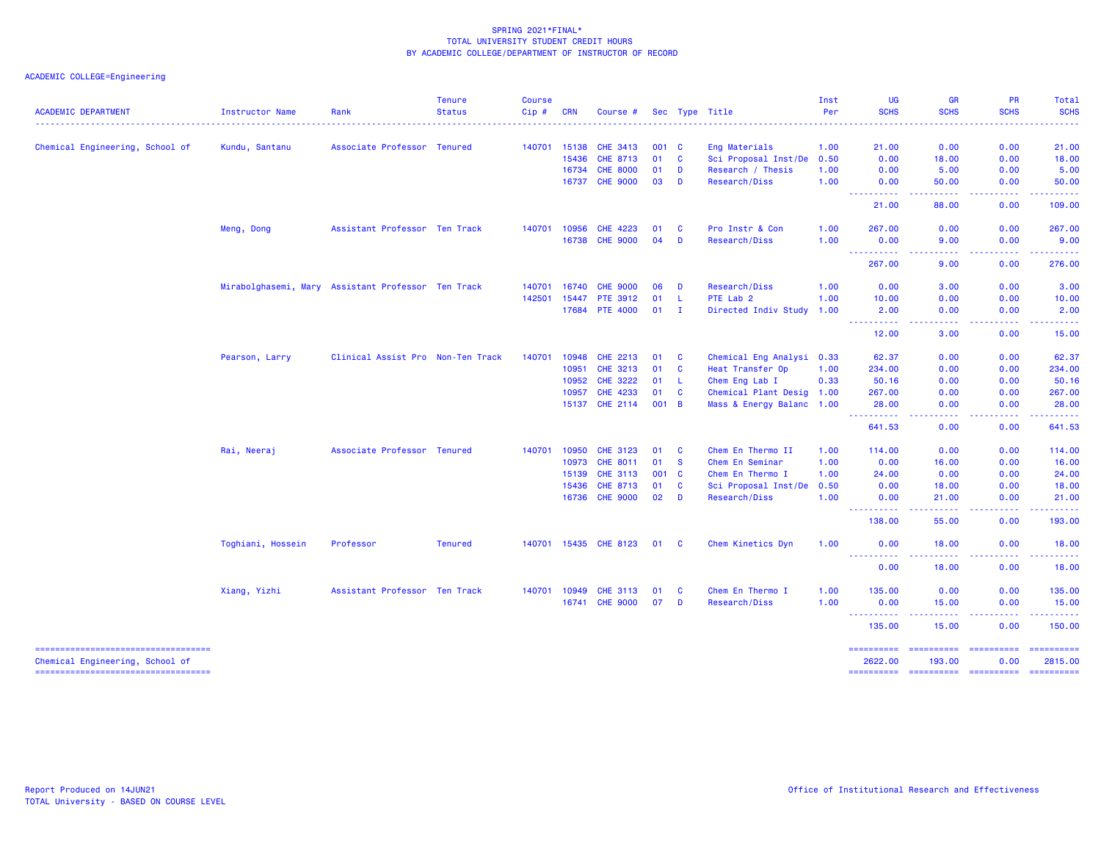| <b>ACADEMIC DEPARTMENT</b>                                                | Instructor Name                                    | Rank                              | <b>Tenure</b><br><b>Status</b> | <b>Course</b><br>Cip# | <b>CRN</b> | Course #              |       |              | Sec Type Title            | Inst<br>Per | <b>UG</b><br><b>SCHS</b>            | <b>GR</b><br><b>SCHS</b>               | <b>PR</b><br><b>SCHS</b>                                                                                                                                     | Total<br><b>SCHS</b>                  |
|---------------------------------------------------------------------------|----------------------------------------------------|-----------------------------------|--------------------------------|-----------------------|------------|-----------------------|-------|--------------|---------------------------|-------------|-------------------------------------|----------------------------------------|--------------------------------------------------------------------------------------------------------------------------------------------------------------|---------------------------------------|
|                                                                           |                                                    |                                   |                                |                       |            |                       |       |              |                           |             |                                     |                                        |                                                                                                                                                              |                                       |
| Chemical Engineering, School of                                           | Kundu, Santanu                                     | Associate Professor Tenured       |                                | 140701 15138          |            | <b>CHE 3413</b>       | 001 C |              | Eng Materials             | 1.00        | 21.00                               | 0.00                                   | 0.00                                                                                                                                                         | 21.00                                 |
|                                                                           |                                                    |                                   |                                |                       | 15436      | CHE 8713              | 01    | <b>C</b>     | Sci Proposal Inst/De      | 0.50        | 0.00                                | 18.00                                  | 0.00                                                                                                                                                         | 18.00                                 |
|                                                                           |                                                    |                                   |                                |                       | 16734      | <b>CHE 8000</b>       | 01    | D            | Research / Thesis         | 1.00        | 0.00                                | 5.00                                   | 0.00                                                                                                                                                         | 5.00                                  |
|                                                                           |                                                    |                                   |                                |                       | 16737      | <b>CHE 9000</b>       | 03    | D            | Research/Diss             | 1.00        | 0.00                                | 50.00                                  | 0.00                                                                                                                                                         | 50.00                                 |
|                                                                           |                                                    |                                   |                                |                       |            |                       |       |              |                           |             | ----------<br>21.00                 | -----<br>88.00                         | .<br>0.00                                                                                                                                                    | .<br>109.00                           |
|                                                                           | Meng, Dong                                         | Assistant Professor Ten Track     |                                | 140701 10956          |            | <b>CHE 4223</b>       | 01    | <b>C</b>     | Pro Instr & Con           | 1.00        | 267,00                              | 0.00                                   | 0.00                                                                                                                                                         | 267.00                                |
|                                                                           |                                                    |                                   |                                |                       | 16738      | <b>CHE 9000</b>       | 04    | D            | Research/Diss             | 1.00        | 0.00<br><u> - - - - - - - - - -</u> | 9.00<br>.                              | 0.00<br>$\frac{1}{2} \left( \frac{1}{2} \right) \left( \frac{1}{2} \right) \left( \frac{1}{2} \right) \left( \frac{1}{2} \right) \left( \frac{1}{2} \right)$ | 9.00<br>لاستشفاها                     |
|                                                                           |                                                    |                                   |                                |                       |            |                       |       |              |                           |             | 267.00                              | 9.00                                   | 0.00                                                                                                                                                         | 276.00                                |
|                                                                           | Mirabolghasemi, Mary Assistant Professor Ten Track |                                   |                                | 140701                | 16740      | <b>CHE 9000</b>       | 06    | D            | Research/Diss             | 1.00        | 0.00                                | 3.00                                   | 0.00                                                                                                                                                         | 3.00                                  |
|                                                                           |                                                    |                                   |                                | 142501                | 15447      | PTE 3912              | 01    | - L          | PTE Lab 2                 | 1.00        | 10.00                               | 0.00                                   | 0.00                                                                                                                                                         | 10.00                                 |
|                                                                           |                                                    |                                   |                                |                       | 17684      | <b>PTE 4000</b>       | 01    | $\mathbf{I}$ | Directed Indiv Study      | 1.00        | 2.00<br>----------                  | 0.00<br>.                              | 0.00<br>$\frac{1}{2} \left( \frac{1}{2} \right) \left( \frac{1}{2} \right) \left( \frac{1}{2} \right) \left( \frac{1}{2} \right) \left( \frac{1}{2} \right)$ | 2.00<br>.                             |
|                                                                           |                                                    |                                   |                                |                       |            |                       |       |              |                           |             | 12.00                               | 3.00                                   | 0.00                                                                                                                                                         | 15.00                                 |
|                                                                           | Pearson, Larry                                     | Clinical Assist Pro Non-Ten Track |                                | 140701                | 10948      | <b>CHE 2213</b>       | 01    | <b>C</b>     | Chemical Eng Analysi 0.33 |             | 62.37                               | 0.00                                   | 0.00                                                                                                                                                         | 62.37                                 |
|                                                                           |                                                    |                                   |                                |                       | 10951      | CHE 3213              | 01    | <b>C</b>     | Heat Transfer Op          | 1.00        | 234.00                              | 0.00                                   | 0.00                                                                                                                                                         | 234.00                                |
|                                                                           |                                                    |                                   |                                |                       | 10952      | <b>CHE 3222</b>       | 01    | - Li         | Chem Eng Lab I            | 0.33        | 50.16                               | 0.00                                   | 0.00                                                                                                                                                         | 50.16                                 |
|                                                                           |                                                    |                                   |                                |                       | 10957      | <b>CHE 4233</b>       | 01    | <b>C</b>     | Chemical Plant Desig 1.00 |             | 267.00                              | 0.00                                   | 0.00                                                                                                                                                         | 267.00                                |
|                                                                           |                                                    |                                   |                                |                       | 15137      | CHE 2114              | 001 B |              | Mass & Energy Balanc 1.00 |             | 28.00<br>.                          | 0.00                                   | 0.00                                                                                                                                                         | 28.00                                 |
|                                                                           |                                                    |                                   |                                |                       |            |                       |       |              |                           |             | 641.53                              | 0.00                                   | 0.00                                                                                                                                                         | 641.53                                |
|                                                                           | Rai, Neeraj                                        | Associate Professor Tenured       |                                | 140701                | 10950      | <b>CHE 3123</b>       | 01    | <b>C</b>     | Chem En Thermo II         | 1.00        | 114,00                              | 0.00                                   | 0.00                                                                                                                                                         | 114.00                                |
|                                                                           |                                                    |                                   |                                |                       | 10973      | CHE 8011              | 01    | <b>S</b>     | Chem En Seminar           | 1.00        | 0.00                                | 16.00                                  | 0.00                                                                                                                                                         | 16.00                                 |
|                                                                           |                                                    |                                   |                                |                       | 15139      | <b>CHE 3113</b>       | 001 C |              | Chem En Thermo I          | 1.00        | 24.00                               | 0.00                                   | 0.00                                                                                                                                                         | 24.00                                 |
|                                                                           |                                                    |                                   |                                |                       | 15436      | CHE 8713              | 01    | <b>C</b>     | Sci Proposal Inst/De      | 0.50        | 0.00                                | 18.00                                  | 0.00                                                                                                                                                         | 18.00                                 |
|                                                                           |                                                    |                                   |                                |                       |            | 16736 CHE 9000        | 02    | D            | Research/Diss             | 1.00        | 0.00<br><u> - - - - - - - - - -</u> | 21.00<br><b><i><u><u>.</u></u></i></b> | 0.00<br><b><i><u><u>.</u></u></i></b>                                                                                                                        | 21.00<br><b><i><u><u></u></u></i></b> |
|                                                                           |                                                    |                                   |                                |                       |            |                       |       |              |                           |             | 138.00                              | 55.00                                  | 0.00                                                                                                                                                         | 193.00                                |
|                                                                           | Toghiani, Hossein                                  | Professor                         | <b>Tenured</b>                 |                       |            | 140701 15435 CHE 8123 | 01    | <b>C</b>     | Chem Kinetics Dyn         | 1.00        | 0.00<br><u> - - - - - - - - - -</u> | 18.00<br>.                             | 0.00                                                                                                                                                         | 18.00                                 |
|                                                                           |                                                    |                                   |                                |                       |            |                       |       |              |                           |             | 0.00                                | 18.00                                  | المتمامين<br>0.00                                                                                                                                            | ------<br>18.00                       |
|                                                                           | Xiang, Yizhi                                       | Assistant Professor Ten Track     |                                | 140701 10949          |            | <b>CHE 3113</b>       | 01    | <b>C</b>     | Chem En Thermo I          | 1.00        | 135.00                              | 0.00                                   | 0.00                                                                                                                                                         | 135.00                                |
|                                                                           |                                                    |                                   |                                |                       | 16741      | <b>CHE 9000</b>       | 07    | D            | Research/Diss             | 1.00        | 0.00<br>.                           | 15.00<br>المتمالين                     | 0.00<br>----------                                                                                                                                           | 15.00<br>.                            |
|                                                                           |                                                    |                                   |                                |                       |            |                       |       |              |                           |             | 135.00                              | 15.00                                  | 0.00                                                                                                                                                         | 150,00                                |
| ======================================                                    |                                                    |                                   |                                |                       |            |                       |       |              |                           |             | ==========                          | ==========                             | <b>Concoccocc</b>                                                                                                                                            | ==========                            |
| Chemical Engineering, School of<br>====================================== |                                                    |                                   |                                |                       |            |                       |       |              |                           |             | 2622.00<br>==========               | 193,00                                 | 0.00<br>---------- ---------- --------                                                                                                                       | 2815,00                               |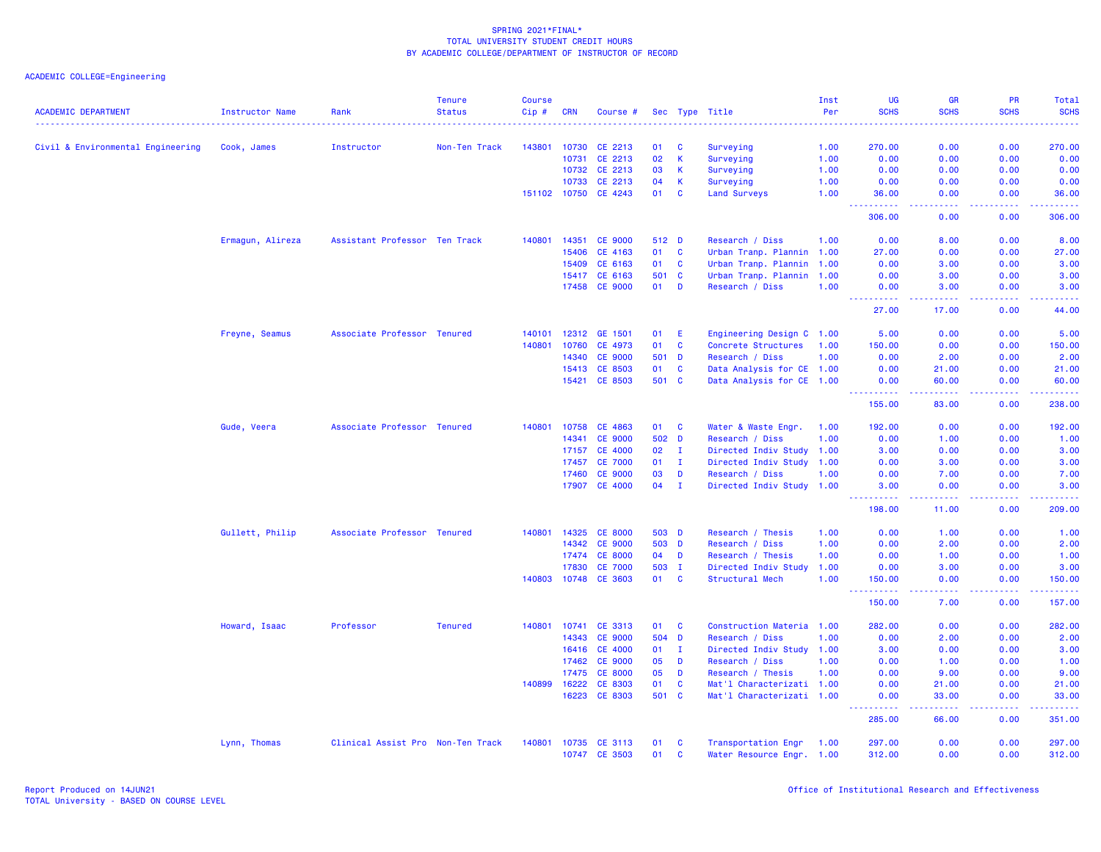| <b>ACADEMIC DEPARTMENT</b>        | <b>Instructor Name</b><br><u>.</u> | Rank                              | <b>Tenure</b><br><b>Status</b> | <b>Course</b><br>Cip# | <b>CRN</b>   | Course #                 |          |                   | Sec Type Title                                   | Inst<br>Per | <b>UG</b><br><b>SCHS</b>            | <b>GR</b><br><b>SCHS</b> | <b>PR</b><br><b>SCHS</b> | <b>Total</b><br><b>SCHS</b> |
|-----------------------------------|------------------------------------|-----------------------------------|--------------------------------|-----------------------|--------------|--------------------------|----------|-------------------|--------------------------------------------------|-------------|-------------------------------------|--------------------------|--------------------------|-----------------------------|
| Civil & Environmental Engineering | Cook, James                        | Instructor                        | Non-Ten Track                  | 143801                | 10730        | CE 2213                  | 01       | C                 | Surveying                                        | 1.00        | 270.00                              | 0.00                     | 0.00                     | 270.00                      |
|                                   |                                    |                                   |                                |                       | 10731        | CE 2213                  | 02       | K                 | Surveying                                        | 1.00        | 0.00                                | 0.00                     | 0.00                     | 0.00                        |
|                                   |                                    |                                   |                                |                       | 10732        | CE 2213                  | 03       | K                 | Surveying                                        | 1.00        | 0.00                                | 0.00                     | 0.00                     | 0.00                        |
|                                   |                                    |                                   |                                |                       | 10733        | CE 2213                  | 04       | $\mathsf K$       | Surveying                                        | 1.00        | 0.00                                | 0.00                     | 0.00                     | 0.00                        |
|                                   |                                    |                                   |                                |                       |              | 151102 10750 CE 4243     | 01       | $\mathbf{C}$      | <b>Land Surveys</b>                              | 1.00        | 36.00                               | 0.00                     | 0.00                     | 36.00                       |
|                                   |                                    |                                   |                                |                       |              |                          |          |                   |                                                  |             | -----<br>306.00                     | 0.00                     | والمحامر<br>0.00         | المتمامين<br>306.00         |
|                                   | Ermagun, Alireza                   | Assistant Professor Ten Track     |                                | 140801                | 14351        | <b>CE 9000</b>           | 512 D    |                   | Research / Diss                                  | 1.00        | 0.00                                | 8.00                     | 0.00                     | 8.00                        |
|                                   |                                    |                                   |                                |                       | 15406        | CE 4163                  | 01       | $\mathbf{C}$      | Urban Tranp. Plannin 1.00                        |             | 27.00                               | 0.00                     | 0.00                     | 27.00                       |
|                                   |                                    |                                   |                                |                       | 15409        | CE 6163                  | 01       | $\mathbf{C}$      | Urban Tranp. Plannin 1.00                        |             | 0.00                                | 3.00                     | 0.00                     | 3.00                        |
|                                   |                                    |                                   |                                |                       | 15417        | CE 6163                  | 501      | $\mathbf{C}$      | Urban Tranp. Plannin 1.00                        |             | 0.00                                | 3.00                     | 0.00                     | 3.00                        |
|                                   |                                    |                                   |                                |                       | 17458        | <b>CE 9000</b>           | 01       | D                 | Research / Diss                                  | 1.00        | 0.00                                | 3.00                     | 0.00                     | 3.00                        |
|                                   |                                    |                                   |                                |                       |              |                          |          |                   |                                                  |             | <u>.</u><br>27.00                   | .<br>17.00               | .<br>0.00                | المتمامي<br>44.00           |
|                                   | Freyne, Seamus                     | Associate Professor Tenured       |                                | 140101                | 12312        | GE 1501                  | 01       | E                 | Engineering Design C 1.00                        |             | 5.00                                | 0.00                     | 0.00                     | 5.00                        |
|                                   |                                    |                                   |                                | 140801                | 10760        | CE 4973                  | 01       | $\mathbf{C}$      | Concrete Structures                              | 1.00        | 150.00                              | 0.00                     | 0.00                     | 150.00                      |
|                                   |                                    |                                   |                                |                       | 14340        | <b>CE 9000</b>           | 501      | $\mathbf{D}$      | Research / Diss                                  | 1.00        | 0.00                                | 2.00                     | 0.00                     | 2.00                        |
|                                   |                                    |                                   |                                |                       | 15413        | CE 8503                  | 01       | <b>C</b>          | Data Analysis for CE 1.00                        |             | 0.00                                | 21.00                    | 0.00                     | 21.00                       |
|                                   |                                    |                                   |                                |                       | 15421        | CE 8503                  | 501 C    |                   | Data Analysis for CE 1.00                        |             | 0.00                                | 60.00                    | 0.00                     | 60.00                       |
|                                   |                                    |                                   |                                |                       |              |                          |          |                   |                                                  |             | <u>.</u><br>155.00                  | .<br>83.00               | . <b>.</b><br>0.00       | <u>.</u><br>238.00          |
|                                   | Gude, Veera                        | Associate Professor Tenured       |                                | 140801                | 10758        | CE 4863                  | 01       | $\mathbf{C}$      | Water & Waste Engr.                              | 1.00        | 192.00                              | 0.00                     | 0.00                     | 192.00                      |
|                                   |                                    |                                   |                                |                       | 14341        | <b>CE 9000</b>           | 502 D    |                   | Research / Diss                                  | 1.00        | 0.00                                | 1.00                     | 0.00                     | 1.00                        |
|                                   |                                    |                                   |                                |                       | 17157        | <b>CE 4000</b>           | 02       | $\mathbf{I}$      | Directed Indiv Study 1.00                        |             | 3.00                                | 0.00                     | 0.00                     | 3.00                        |
|                                   |                                    |                                   |                                |                       | 17457        | <b>CE 7000</b>           | 01       | $\mathbf{I}$      | Directed Indiv Study 1.00                        |             | 0.00                                | 3.00                     | 0.00                     | 3.00                        |
|                                   |                                    |                                   |                                |                       | 17460        | <b>CE 9000</b>           | 03       | D                 | Research / Diss                                  | 1.00        | 0.00                                | 7.00                     | 0.00                     | 7.00                        |
|                                   |                                    |                                   |                                |                       | 17907        | <b>CE 4000</b>           | 04       | $\mathbf{I}$      | Directed Indiv Study 1.00                        |             | 3.00                                | 0.00                     | 0.00                     | 3.00                        |
|                                   |                                    |                                   |                                |                       |              |                          |          |                   |                                                  |             | 2.2.2.2.2<br>198.00                 | 11.00                    | 0.00                     | الداعات عاد<br>209.00       |
|                                   | Gullett, Philip                    | Associate Professor Tenured       |                                |                       | 140801 14325 | <b>CE 8000</b>           | 503 D    |                   | Research / Thesis                                | 1.00        | 0.00                                | 1.00                     | 0.00                     | 1.00                        |
|                                   |                                    |                                   |                                |                       | 14342        | <b>CE 9000</b>           | 503 D    |                   | Research / Diss                                  | 1.00        | 0.00                                | 2.00                     | 0.00                     | 2.00                        |
|                                   |                                    |                                   |                                |                       | 17474        | <b>CE 8000</b>           | 04       | D                 | Research / Thesis                                | 1.00        | 0.00                                | 1.00                     | 0.00                     | 1.00                        |
|                                   |                                    |                                   |                                |                       | 17830        | <b>CE 7000</b>           | 503 I    |                   | Directed Indiv Study                             | 1.00        | 0.00                                | 3.00                     | 0.00                     | 3.00                        |
|                                   |                                    |                                   |                                | 140803                | 10748        | <b>CE 3603</b>           | 01       | $\mathbf{C}$      | Structural Mech                                  | 1.00        | 150.00                              | 0.00                     | 0.00                     | 150.00                      |
|                                   |                                    |                                   |                                |                       |              |                          |          |                   |                                                  |             | $\sim$ $\sim$ $\sim$<br>.<br>150.00 | .<br>7.00                | -----<br>0.00            | والمالمات مالما<br>157.00   |
|                                   | Howard, Isaac                      | Professor                         | <b>Tenured</b>                 | 140801                | 10741        | CE 3313                  | 01       | $\mathbf{C}$      | Construction Materia 1.00                        |             | 282.00                              | 0.00                     | 0.00                     | 282.00                      |
|                                   |                                    |                                   |                                |                       | 14343        | <b>CE 9000</b>           | 504      | D                 | Research / Diss                                  | 1.00        | 0.00                                | 2.00                     | 0.00                     | 2.00                        |
|                                   |                                    |                                   |                                |                       | 16416        | <b>CE 4000</b>           | 01       | $\mathbf{I}$      | Directed Indiv Study 1.00                        |             | 3.00                                | 0.00                     | 0.00                     | 3.00                        |
|                                   |                                    |                                   |                                |                       | 17462        | <b>CE 9000</b>           | 05       | D                 | Research / Diss                                  | 1.00        | 0.00                                | 1.00                     | 0.00                     | 1.00                        |
|                                   |                                    |                                   |                                |                       | 17475        | <b>CE 8000</b>           | 05       | D                 | Research / Thesis                                | 1.00        | 0.00                                | 9.00                     | 0.00                     | 9.00                        |
|                                   |                                    |                                   |                                | 140899                | 16222        | CE 8303                  | 01       | $\mathbf{C}$      | Mat'l Characterizati 1.00                        |             | 0.00                                | 21.00                    | 0.00                     | 21.00                       |
|                                   |                                    |                                   |                                |                       | 16223        | CE 8303                  | 501 C    |                   | Mat'l Characterizati 1.00                        |             | 0.00                                | 33.00                    | 0.00                     | 33,00                       |
|                                   |                                    |                                   |                                |                       |              |                          |          |                   |                                                  |             | .<br>285.00                         | د د د د د<br>66.00       | . <b>.</b><br>0.00       | والمناصبات<br>351.00        |
|                                   | Lynn, Thomas                       | Clinical Assist Pro Non-Ten Track |                                | 140801                | 10735        | CE 3113<br>10747 CE 3503 | 01<br>01 | C<br>$\mathbf{C}$ | Transportation Engr<br>Water Resource Engr. 1.00 | 1.00        | 297.00<br>312.00                    | 0.00<br>0.00             | 0.00<br>0.00             | 297.00<br>312.00            |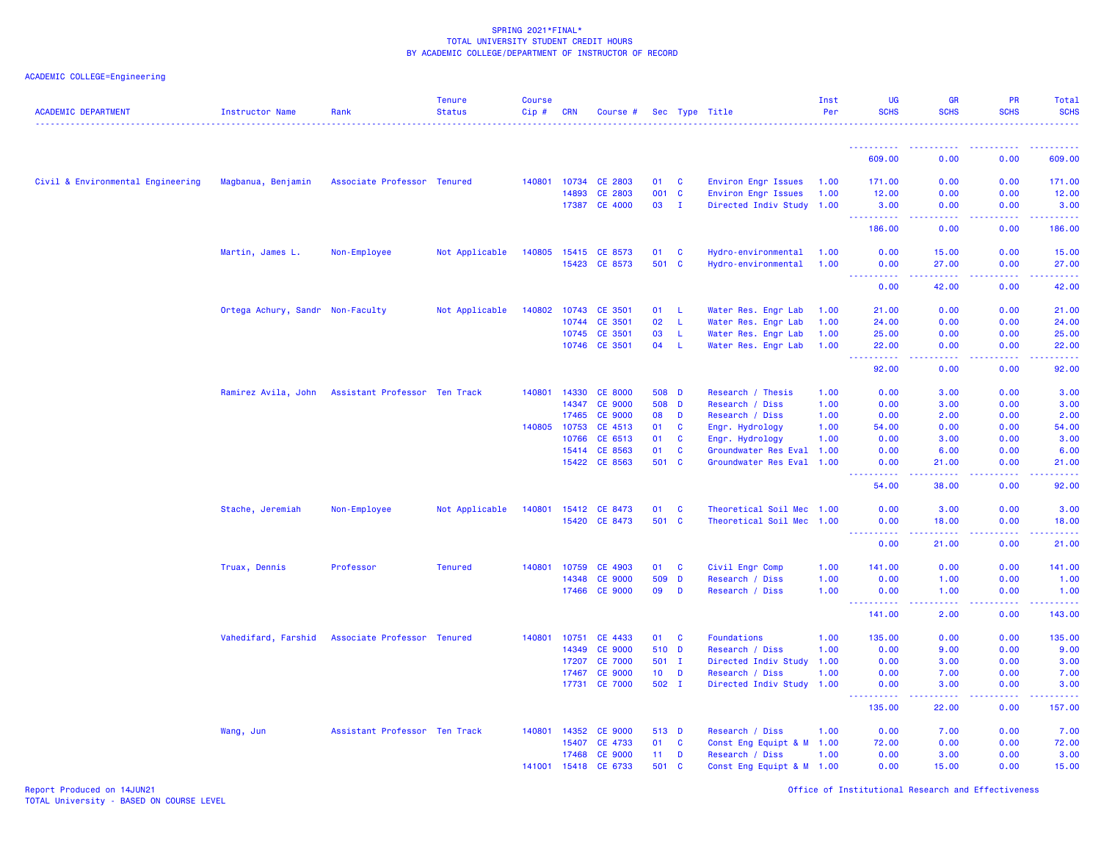# ACADEMIC COLLEGE=Engineering

| <b>ACADEMIC DEPARTMENT</b>        | <b>Instructor Name</b>           | Rank                          | <b>Tenure</b><br><b>Status</b> | <b>Course</b><br>Cip# | <b>CRN</b> | Course #             |                 |              | Sec Type Title            | Inst<br>Per | <b>UG</b><br><b>SCHS</b>          | <b>GR</b><br><b>SCHS</b>                                                                                                                             | <b>PR</b><br><b>SCHS</b>                                                                                                                                     | Total<br><b>SCHS</b><br>.                                                                                                                                    |
|-----------------------------------|----------------------------------|-------------------------------|--------------------------------|-----------------------|------------|----------------------|-----------------|--------------|---------------------------|-------------|-----------------------------------|------------------------------------------------------------------------------------------------------------------------------------------------------|--------------------------------------------------------------------------------------------------------------------------------------------------------------|--------------------------------------------------------------------------------------------------------------------------------------------------------------|
|                                   |                                  |                               |                                |                       |            |                      |                 |              |                           |             | -----------                       | $\frac{1}{2} \left( \frac{1}{2} \right) \left( \frac{1}{2} \right) \left( \frac{1}{2} \right) \left( \frac{1}{2} \right) \left( \frac{1}{2} \right)$ | ----------                                                                                                                                                   | .                                                                                                                                                            |
|                                   |                                  |                               |                                |                       |            |                      |                 |              |                           |             | 609.00                            | 0.00                                                                                                                                                 | 0.00                                                                                                                                                         | 609.00                                                                                                                                                       |
| Civil & Environmental Engineering | Magbanua, Benjamin               | Associate Professor Tenured   |                                | 140801                | 10734      | CE 2803              | 01              | <b>C</b>     | Environ Engr Issues       | 1.00        | 171.00                            | 0.00                                                                                                                                                 | 0.00                                                                                                                                                         | 171.00                                                                                                                                                       |
|                                   |                                  |                               |                                |                       | 14893      | CE 2803              | 001 C           |              | Environ Engr Issues       | 1.00        | 12.00                             | 0.00                                                                                                                                                 | 0.00                                                                                                                                                         | 12.00                                                                                                                                                        |
|                                   |                                  |                               |                                |                       |            | 17387 CE 4000        | 03 I            |              | Directed Indiv Study 1.00 |             | 3.00<br>.                         | 0.00<br>.                                                                                                                                            | 0.00<br>$\omega = \omega = \omega$                                                                                                                           | 3.00<br>والمرامي مرامين                                                                                                                                      |
|                                   |                                  |                               |                                |                       |            |                      |                 |              |                           |             | 186.00                            | 0.00                                                                                                                                                 | 0.00                                                                                                                                                         | 186.00                                                                                                                                                       |
|                                   | Martin, James L.                 | Non-Employee                  | Not Applicable                 |                       |            | 140805 15415 CE 8573 | 01              | $\mathbf{C}$ | Hydro-environmental       | 1.00        | 0.00                              | 15.00                                                                                                                                                | 0.00                                                                                                                                                         | 15.00                                                                                                                                                        |
|                                   |                                  |                               |                                |                       |            | 15423 CE 8573        | 501 C           |              | Hydro-environmental       | 1.00        | 0.00                              | 27.00                                                                                                                                                | 0.00                                                                                                                                                         | 27.00                                                                                                                                                        |
|                                   |                                  |                               |                                |                       |            |                      |                 |              |                           |             | .<br>0.00                         | بالأباب<br>42.00                                                                                                                                     | -----<br>0.00                                                                                                                                                | المتمام<br>42.00                                                                                                                                             |
|                                   | Ortega Achury, Sandr Non-Faculty |                               | Not Applicable                 | 140802                |            | 10743 CE 3501        | 01              | -L           | Water Res. Engr Lab       | 1.00        | 21,00                             | 0.00                                                                                                                                                 | 0.00                                                                                                                                                         | 21.00                                                                                                                                                        |
|                                   |                                  |                               |                                |                       | 10744      | CE 3501              | 02              | $\mathsf{L}$ | Water Res. Engr Lab       | 1.00        | 24.00                             | 0.00                                                                                                                                                 | 0.00                                                                                                                                                         | 24.00                                                                                                                                                        |
|                                   |                                  |                               |                                |                       | 10745      | <b>CE 3501</b>       | 03              | L            | Water Res. Engr Lab       | 1.00        | 25.00                             | 0.00                                                                                                                                                 | 0.00                                                                                                                                                         | 25.00                                                                                                                                                        |
|                                   |                                  |                               |                                |                       | 10746      | CE 3501              | 04              | L.           | Water Res. Engr Lab       | 1.00        | 22.00<br>المستمالات               | 0.00<br>وبالمحام                                                                                                                                     | 0.00<br>-----                                                                                                                                                | 22.00<br>المتمام                                                                                                                                             |
|                                   |                                  |                               |                                |                       |            |                      |                 |              |                           |             | 92.00                             | 0.00                                                                                                                                                 | 0.00                                                                                                                                                         | 92.00                                                                                                                                                        |
|                                   | Ramirez Avila, John              | Assistant Professor Ten Track |                                | 140801                | 14330      | <b>CE 8000</b>       | 508 D           |              | Research / Thesis         | 1.00        | 0.00                              | 3.00                                                                                                                                                 | 0.00                                                                                                                                                         | 3.00                                                                                                                                                         |
|                                   |                                  |                               |                                |                       | 14347      | <b>CE 9000</b>       | 508 D           |              | Research / Diss           | 1.00        | 0.00                              | 3.00                                                                                                                                                 | 0.00                                                                                                                                                         | 3.00                                                                                                                                                         |
|                                   |                                  |                               |                                |                       | 17465      | <b>CE 9000</b>       | 08              | D            | Research / Diss           | 1.00        | 0.00                              | 2.00                                                                                                                                                 | 0.00                                                                                                                                                         | 2.00                                                                                                                                                         |
|                                   |                                  |                               |                                | 140805                | 10753      | CE 4513              | 01              | C            | Engr. Hydrology           | 1.00        | 54.00                             | 0.00                                                                                                                                                 | 0.00                                                                                                                                                         | 54.00                                                                                                                                                        |
|                                   |                                  |                               |                                |                       | 10766      | CE 6513              | 01              | C            | Engr. Hydrology           | 1.00        | 0.00                              | 3.00                                                                                                                                                 | 0.00                                                                                                                                                         | 3.00                                                                                                                                                         |
|                                   |                                  |                               |                                |                       | 15414      | CE 8563              | 01              | C            | Groundwater Res Eval 1.00 |             | 0.00                              | 6.00                                                                                                                                                 | 0.00                                                                                                                                                         | 6.00                                                                                                                                                         |
|                                   |                                  |                               |                                |                       |            | 15422 CE 8563        | 501             | <b>C</b>     | Groundwater Res Eval 1.00 |             | 0.00<br>.<br>$\sim$ $\sim$ $\sim$ | 21.00<br>$\frac{1}{2} \left( \frac{1}{2} \right) \left( \frac{1}{2} \right) \left( \frac{1}{2} \right) \left( \frac{1}{2} \right)$                   | 0.00<br>22222                                                                                                                                                | 21.00<br>.                                                                                                                                                   |
|                                   |                                  |                               |                                |                       |            |                      |                 |              |                           |             | 54.00                             | 38.00                                                                                                                                                | 0.00                                                                                                                                                         | 92.00                                                                                                                                                        |
|                                   | Stache, Jeremiah                 | Non-Employee                  | Not Applicable                 | 140801                | 15412      | CE 8473              | 01              | <b>C</b>     | Theoretical Soil Mec 1.00 |             | 0.00                              | 3.00                                                                                                                                                 | 0.00                                                                                                                                                         | 3.00                                                                                                                                                         |
|                                   |                                  |                               |                                |                       |            | 15420 CE 8473        | 501 C           |              | Theoretical Soil Mec 1.00 |             | 0.00<br><u>.</u>                  | 18.00<br>.                                                                                                                                           | 0.00<br>$\frac{1}{2} \left( \frac{1}{2} \right) \left( \frac{1}{2} \right) \left( \frac{1}{2} \right) \left( \frac{1}{2} \right)$                            | 18.00<br>.                                                                                                                                                   |
|                                   |                                  |                               |                                |                       |            |                      |                 |              |                           |             | 0.00                              | 21.00                                                                                                                                                | 0.00                                                                                                                                                         | 21.00                                                                                                                                                        |
|                                   | Truax, Dennis                    | Professor                     | <b>Tenured</b>                 | 140801                | 10759      | CE 4903              | 01              | <b>C</b>     | Civil Engr Comp           | 1.00        | 141.00                            | 0.00                                                                                                                                                 | 0.00                                                                                                                                                         | 141.00                                                                                                                                                       |
|                                   |                                  |                               |                                |                       | 14348      | <b>CE 9000</b>       | 509             | $\mathbf{D}$ | Research / Diss           | 1.00        | 0.00                              | 1.00                                                                                                                                                 | 0.00                                                                                                                                                         | 1.00                                                                                                                                                         |
|                                   |                                  |                               |                                |                       | 17466      | <b>CE 9000</b>       | 09              | D            | Research / Diss           | 1.00        | 0.00                              | 1.00<br>د د د د                                                                                                                                      | 0.00<br>$\frac{1}{2} \left( \frac{1}{2} \right) \left( \frac{1}{2} \right) \left( \frac{1}{2} \right) \left( \frac{1}{2} \right) \left( \frac{1}{2} \right)$ | 1.00<br>$\frac{1}{2} \left( \frac{1}{2} \right) \left( \frac{1}{2} \right) \left( \frac{1}{2} \right) \left( \frac{1}{2} \right) \left( \frac{1}{2} \right)$ |
|                                   |                                  |                               |                                |                       |            |                      |                 |              |                           |             | ----------<br>141.00              | 2.00                                                                                                                                                 | 0.00                                                                                                                                                         | 143.00                                                                                                                                                       |
|                                   | Vahedifard, Farshid              | Associate Professor Tenured   |                                | 140801                | 10751      | CE 4433              | 01              | <b>C</b>     | Foundations               | 1.00        | 135.00                            | 0.00                                                                                                                                                 | 0.00                                                                                                                                                         | 135.00                                                                                                                                                       |
|                                   |                                  |                               |                                |                       | 14349      | <b>CE 9000</b>       | 510 D           |              | Research / Diss           | 1.00        | 0.00                              | 9.00                                                                                                                                                 | 0.00                                                                                                                                                         | 9.00                                                                                                                                                         |
|                                   |                                  |                               |                                |                       | 17207      | <b>CE 7000</b>       | 501 I           |              | Directed Indiv Study      | 1.00        | 0.00                              | 3.00                                                                                                                                                 | 0.00                                                                                                                                                         | 3.00                                                                                                                                                         |
|                                   |                                  |                               |                                |                       | 17467      | <b>CE 9000</b>       | 10 <sub>1</sub> | D            | Research / Diss           | 1.00        | 0.00                              | 7.00                                                                                                                                                 | 0.00                                                                                                                                                         | 7.00                                                                                                                                                         |
|                                   |                                  |                               |                                |                       |            | 17731 CE 7000        | 502 I           |              | Directed Indiv Study 1.00 |             | 0.00                              | 3.00                                                                                                                                                 | 0.00                                                                                                                                                         | 3.00                                                                                                                                                         |
|                                   |                                  |                               |                                |                       |            |                      |                 |              |                           |             | 135.00                            | والمسامات<br>22.00                                                                                                                                   | بالمستمال<br>0.00                                                                                                                                            | والمرامي مرامين<br>157.00                                                                                                                                    |
|                                   | Wang, Jun                        | Assistant Professor Ten Track |                                | 140801                | 14352      | <b>CE 9000</b>       | 513 D           |              | Research / Diss           | 1.00        | 0.00                              | 7.00                                                                                                                                                 | 0.00                                                                                                                                                         | 7.00                                                                                                                                                         |
|                                   |                                  |                               |                                |                       | 15407      | CE 4733              | 01              | $\mathbf{C}$ | Const Eng Equipt & M 1.00 |             | 72.00                             | 0.00                                                                                                                                                 | 0.00                                                                                                                                                         | 72.00                                                                                                                                                        |
|                                   |                                  |                               |                                |                       | 17468      | <b>CE 9000</b>       | 11              | D            | Research / Diss           | 1.00        | 0.00                              | 3.00                                                                                                                                                 | 0.00                                                                                                                                                         | 3.00                                                                                                                                                         |
|                                   |                                  |                               |                                | 141001                | 15418      | CE 6733              | 501             | <b>C</b>     | Const Eng Equipt & M 1.00 |             | 0.00                              | 15.00                                                                                                                                                | 0.00                                                                                                                                                         | 15.00                                                                                                                                                        |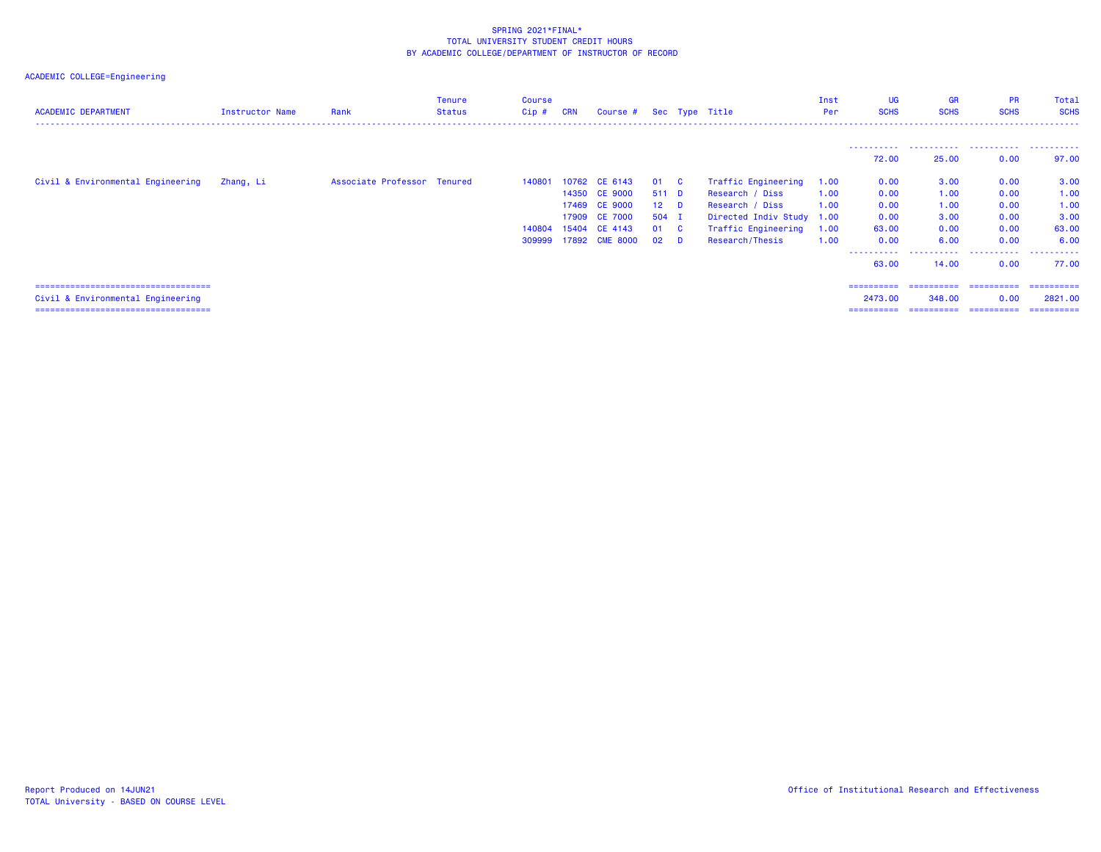| <b>ACADEMIC DEPARTMENT</b>             | <b>Instructor Name</b> | Rank                        | <b>Tenure</b><br>Status | <b>Course</b><br>$Cip$ # | <b>CRN</b> | Course # Sec Type Title |        |          |                           | Inst<br>Per | <b>UG</b><br><b>SCHS</b> | <b>GR</b><br><b>SCHS</b> | <b>PR</b><br><b>SCHS</b> | Total<br><b>SCHS</b> |
|----------------------------------------|------------------------|-----------------------------|-------------------------|--------------------------|------------|-------------------------|--------|----------|---------------------------|-------------|--------------------------|--------------------------|--------------------------|----------------------|
|                                        |                        |                             |                         |                          |            |                         |        |          |                           |             |                          |                          |                          |                      |
|                                        |                        |                             |                         |                          |            |                         |        |          |                           |             | 72.00                    | 25.00                    | 0.00                     | 97.00                |
| Civil & Environmental Engineering      | Zhang, Li              | Associate Professor Tenured |                         | 140801                   |            | 10762 CE 6143           | 01 C   |          | Traffic Engineering       | 1.00        | 0.00                     | 3.00                     | 0.00                     | 3.00                 |
|                                        |                        |                             |                         |                          |            | 14350 CE 9000           | 511 D  |          | Research / Diss           | 1.00        | 0.00                     | 1.00                     | 0.00                     | 1.00                 |
|                                        |                        |                             |                         |                          | 17469      | <b>CE 9000</b>          | $12$ D |          | Research / Diss           | 1.00        | 0.00                     | 1.00                     | 0.00                     | 1.00                 |
|                                        |                        |                             |                         |                          | 17909      | <b>CE 7000</b>          | 504 I  |          | Directed Indiv Study 1.00 |             | 0.00                     | 3.00                     | 0.00                     | 3.00                 |
|                                        |                        |                             |                         | 140804                   | 15404      | CE 4143                 | 01 C   |          | Traffic Engineering       | 1.00        | 63.00                    | 0.00                     | 0.00                     | 63.00                |
|                                        |                        |                             |                         | 309999                   |            | 17892 CME 8000          | 02     | <b>D</b> | Research/Thesis           | 1.00        | 0.00                     | 6.00                     | 0.00                     | 6.00                 |
|                                        |                        |                             |                         |                          |            |                         |        |          |                           |             | -----------<br>63.00     | -----------<br>14.00     | .<br>0.00                | .<br>77.00           |
| ====================================== |                        |                             |                         |                          |            |                         |        |          |                           |             | ==========               | ==========               | -----------              | ==========           |
| Civil & Environmental Engineering      |                        |                             |                         |                          |            |                         |        |          |                           |             | 2473.00                  | 348,00                   | 0.00                     | 2821,00              |
| =====================================  |                        |                             |                         |                          |            |                         |        |          |                           |             | ==========               | ==========               | ==========               | ==========           |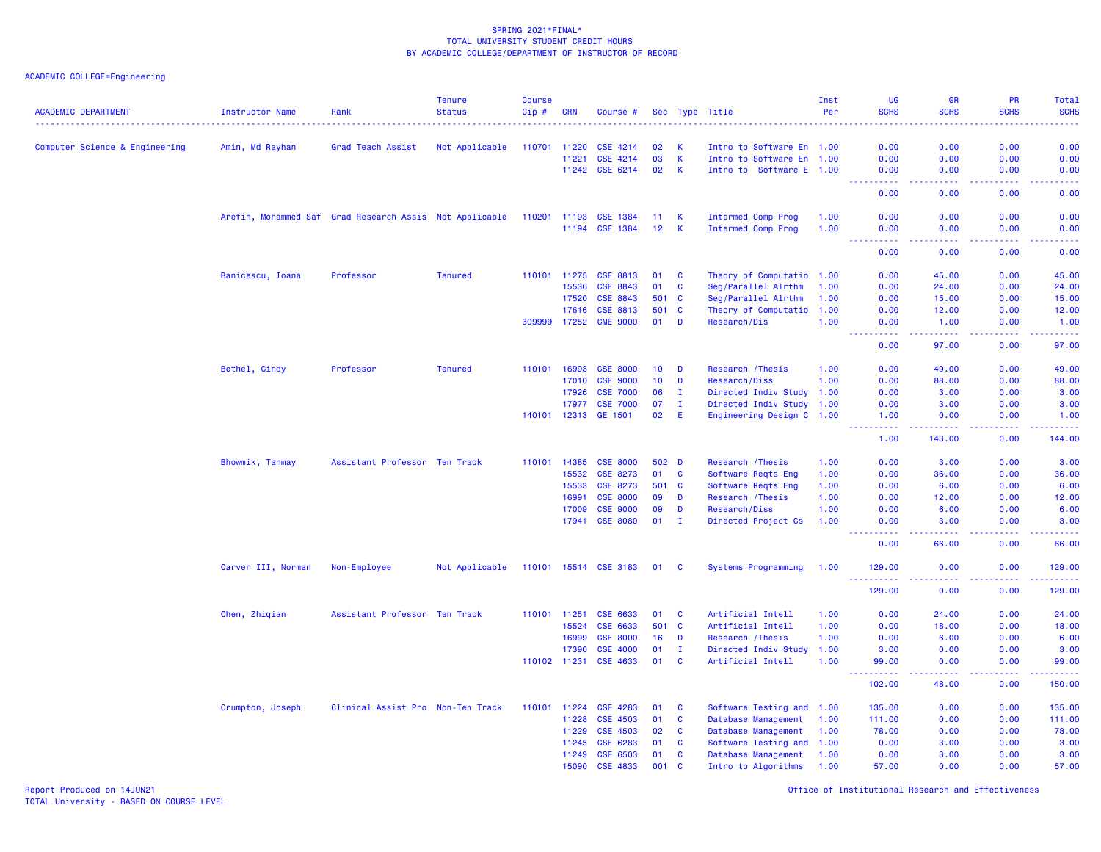ACADEMIC COLLEGE=Engineering

| <b>ACADEMIC DEPARTMENT</b>     | <b>Instructor Name</b> | Rank                                                    | <b>Tenure</b><br><b>Status</b> | <b>Course</b><br>$Cip \#$ | <b>CRN</b> | Course #              |                 |              | Sec Type Title            | Inst<br>Per | <b>UG</b><br><b>SCHS</b>                                                                                                                                     | <b>GR</b><br><b>SCHS</b><br>.                                                                                                                                | <b>PR</b><br><b>SCHS</b><br>$   -$ | Total<br><b>SCHS</b><br>$\frac{1}{2} \left( \frac{1}{2} \right) \left( \frac{1}{2} \right) \left( \frac{1}{2} \right) \left( \frac{1}{2} \right)$            |
|--------------------------------|------------------------|---------------------------------------------------------|--------------------------------|---------------------------|------------|-----------------------|-----------------|--------------|---------------------------|-------------|--------------------------------------------------------------------------------------------------------------------------------------------------------------|--------------------------------------------------------------------------------------------------------------------------------------------------------------|------------------------------------|--------------------------------------------------------------------------------------------------------------------------------------------------------------|
| Computer Science & Engineering | Amin, Md Rayhan        | Grad Teach Assist                                       | Not Applicable                 | 110701                    | 11220      | CSE 4214              | 02              | K            | Intro to Software En 1.00 |             | 0.00                                                                                                                                                         | 0.00                                                                                                                                                         | 0.00                               | 0.00                                                                                                                                                         |
|                                |                        |                                                         |                                |                           | 11221      | CSE 4214              | 03              | K.           | Intro to Software En 1.00 |             | 0.00                                                                                                                                                         | 0.00                                                                                                                                                         | 0.00                               | 0.00                                                                                                                                                         |
|                                |                        |                                                         |                                |                           |            | 11242 CSE 6214        | 02              | К            | Intro to Software E 1.00  |             | 0.00                                                                                                                                                         | 0.00                                                                                                                                                         | 0.00                               | 0.00                                                                                                                                                         |
|                                |                        |                                                         |                                |                           |            |                       |                 |              |                           |             | .<br>0.00                                                                                                                                                    | .<br>0.00                                                                                                                                                    | . <b>.</b><br>0.00                 | $\frac{1}{2} \left( \frac{1}{2} \right) \left( \frac{1}{2} \right) \left( \frac{1}{2} \right) \left( \frac{1}{2} \right) \left( \frac{1}{2} \right)$<br>0.00 |
|                                |                        | Arefin, Mohammed Saf Grad Research Assis Not Applicable |                                | 110201 11193              |            | <b>CSE 1384</b>       | 11              | K            | Intermed Comp Prog        | 1.00        | 0.00                                                                                                                                                         | 0.00                                                                                                                                                         | 0.00                               | 0.00                                                                                                                                                         |
|                                |                        |                                                         |                                |                           | 11194      | <b>CSE 1384</b>       | 12 <sup>2</sup> | $\mathsf{K}$ | Intermed Comp Prog        | 1.00        | 0.00                                                                                                                                                         | 0.00                                                                                                                                                         | 0.00                               | 0.00                                                                                                                                                         |
|                                |                        |                                                         |                                |                           |            |                       |                 |              |                           |             | 0.00                                                                                                                                                         | $\sim$ $\sim$ $\sim$ $\sim$<br>0.00                                                                                                                          | بالمحامي<br>0.00                   | وبالرباب<br>0.00                                                                                                                                             |
|                                | Banicescu, Ioana       | Professor                                               | <b>Tenured</b>                 | 110101 11275              |            | <b>CSE 8813</b>       | 01              | C            | Theory of Computatio 1.00 |             | 0.00                                                                                                                                                         | 45.00                                                                                                                                                        | 0.00                               | 45.00                                                                                                                                                        |
|                                |                        |                                                         |                                |                           | 15536      | <b>CSE 8843</b>       | 01              | $\mathbf{C}$ | Seg/Parallel Alrthm       | 1.00        | 0.00                                                                                                                                                         | 24.00                                                                                                                                                        | 0.00                               | 24.00                                                                                                                                                        |
|                                |                        |                                                         |                                |                           | 17520      | <b>CSE 8843</b>       | 501             | $\mathbf{C}$ | Seg/Parallel Alrthm       | 1.00        | 0.00                                                                                                                                                         | 15.00                                                                                                                                                        | 0.00                               | 15.00                                                                                                                                                        |
|                                |                        |                                                         |                                |                           | 17616      | CSE 8813              | 501             | C            | Theory of Computatio 1.00 |             | 0.00                                                                                                                                                         | 12.00                                                                                                                                                        | 0.00                               | 12.00                                                                                                                                                        |
|                                |                        |                                                         |                                | 309999                    | 17252      | <b>CME 9000</b>       | 01              | D            | Research/Dis              | 1.00        | 0.00<br>$\sim$ $\sim$ $\sim$ $\sim$                                                                                                                          | 1.00<br>$\frac{1}{2} \left( \frac{1}{2} \right) \left( \frac{1}{2} \right) \left( \frac{1}{2} \right) \left( \frac{1}{2} \right) \left( \frac{1}{2} \right)$ | 0.00<br>.                          | 1.00<br>.                                                                                                                                                    |
|                                |                        |                                                         |                                |                           |            |                       |                 |              |                           |             | 0.00                                                                                                                                                         | 97.00                                                                                                                                                        | 0.00                               | 97.00                                                                                                                                                        |
|                                | Bethel, Cindy          | Professor                                               | <b>Tenured</b>                 | 110101 16993              |            | <b>CSE 8000</b>       | 10 <sub>1</sub> | D            | Research / Thesis         | 1.00        | 0.00                                                                                                                                                         | 49.00                                                                                                                                                        | 0.00                               | 49.00                                                                                                                                                        |
|                                |                        |                                                         |                                |                           | 17010      | <b>CSE 9000</b>       | 10              | D            | Research/Diss             | 1.00        | 0.00                                                                                                                                                         | 88.00                                                                                                                                                        | 0.00                               | 88.00                                                                                                                                                        |
|                                |                        |                                                         |                                |                           | 17926      | <b>CSE 7000</b>       | 06              | $\mathbf I$  | Directed Indiv Study 1.00 |             | 0.00                                                                                                                                                         | 3.00                                                                                                                                                         | 0.00                               | 3.00                                                                                                                                                         |
|                                |                        |                                                         |                                |                           | 17977      | <b>CSE 7000</b>       | 07              | $\mathbf{I}$ | Directed Indiv Study 1.00 |             | 0.00                                                                                                                                                         | 3.00                                                                                                                                                         | 0.00                               | 3.00                                                                                                                                                         |
|                                |                        |                                                         |                                | 140101 12313              |            | GE 1501               | 02              | E            | Engineering Design C 1.00 |             | 1.00<br>.                                                                                                                                                    | 0.00<br>.                                                                                                                                                    | 0.00<br>الدعاعات                   | 1.00<br>.                                                                                                                                                    |
|                                |                        |                                                         |                                |                           |            |                       |                 |              |                           |             | 1.00                                                                                                                                                         | 143.00                                                                                                                                                       | 0.00                               | 144.00                                                                                                                                                       |
|                                | Bhowmik, Tanmay        | Assistant Professor Ten Track                           |                                | 110101                    | 14385      | <b>CSE 8000</b>       | 502 D           |              | Research / Thesis         | 1.00        | 0.00                                                                                                                                                         | 3.00                                                                                                                                                         | 0.00                               | 3.00                                                                                                                                                         |
|                                |                        |                                                         |                                |                           | 15532      | CSE 8273              | 01              | $\mathbf{C}$ | Software Reqts Eng        | 1.00        | 0.00                                                                                                                                                         | 36.00                                                                                                                                                        | 0.00                               | 36.00                                                                                                                                                        |
|                                |                        |                                                         |                                |                           | 15533      | CSE 8273              | 501             | <b>C</b>     | Software Reqts Eng        | 1.00        | 0.00                                                                                                                                                         | 6.00                                                                                                                                                         | 0.00                               | 6.00                                                                                                                                                         |
|                                |                        |                                                         |                                |                           | 16991      | <b>CSE 8000</b>       | 09              | D            | Research / Thesis         | 1.00        | 0.00                                                                                                                                                         | 12.00                                                                                                                                                        | 0.00                               | 12.00                                                                                                                                                        |
|                                |                        |                                                         |                                |                           | 17009      | <b>CSE 9000</b>       | 09              | D            | Research/Diss             | 1.00        | 0.00                                                                                                                                                         | 6.00                                                                                                                                                         | 0.00                               | 6.00                                                                                                                                                         |
|                                |                        |                                                         |                                |                           | 17941      | <b>CSE 8080</b>       | 01              | $\mathbf I$  | Directed Project Cs       | 1.00        | 0.00<br>$\frac{1}{2} \left( \frac{1}{2} \right) \left( \frac{1}{2} \right) \left( \frac{1}{2} \right) \left( \frac{1}{2} \right) \left( \frac{1}{2} \right)$ | 3.00<br>-----                                                                                                                                                | 0.00<br>. <b>.</b>                 | 3.00<br>.                                                                                                                                                    |
|                                |                        |                                                         |                                |                           |            |                       |                 |              |                           |             | 0.00                                                                                                                                                         | 66.00                                                                                                                                                        | 0.00                               | 66.00                                                                                                                                                        |
|                                | Carver III, Norman     | Non-Employee                                            | Not Applicable                 |                           |            | 110101 15514 CSE 3183 | 01 C            |              | Systems Programming       | 1.00        | 129.00                                                                                                                                                       | 0.00                                                                                                                                                         | 0.00                               | 129.00<br>والمالم مال                                                                                                                                        |
|                                |                        |                                                         |                                |                           |            |                       |                 |              |                           |             | 129.00                                                                                                                                                       | 0.00                                                                                                                                                         | 0.00                               | 129.00                                                                                                                                                       |
|                                | Chen, Zhiqian          | Assistant Professor Ten Track                           |                                | 110101 11251              |            | <b>CSE 6633</b>       | 01              | <b>C</b>     | Artificial Intell         | 1.00        | 0.00                                                                                                                                                         | 24.00                                                                                                                                                        | 0.00                               | 24.00                                                                                                                                                        |
|                                |                        |                                                         |                                |                           | 15524      | CSE 6633              | 501             | $\mathbf{C}$ | Artificial Intell         | 1.00        | 0.00                                                                                                                                                         | 18.00                                                                                                                                                        | 0.00                               | 18.00                                                                                                                                                        |
|                                |                        |                                                         |                                |                           | 16999      | <b>CSE 8000</b>       | 16              | D            | Research / Thesis         | 1.00        | 0.00                                                                                                                                                         | 6.00                                                                                                                                                         | 0.00                               | 6.00                                                                                                                                                         |
|                                |                        |                                                         |                                |                           | 17390      | <b>CSE 4000</b>       | 01              | $\mathbf I$  | Directed Indiv Study      | 1.00        | 3.00                                                                                                                                                         | 0.00                                                                                                                                                         | 0.00                               | 3.00                                                                                                                                                         |
|                                |                        |                                                         |                                | 110102 11231              |            | <b>CSE 4633</b>       | 01              | C            | Artificial Intell         | 1.00        | 99.00<br>المستملة                                                                                                                                            | 0.00<br>بالأباب                                                                                                                                              | 0.00<br>.                          | 99.00<br>.                                                                                                                                                   |
|                                |                        |                                                         |                                |                           |            |                       |                 |              |                           |             | 102.00                                                                                                                                                       | 48.00                                                                                                                                                        | 0.00                               | 150.00                                                                                                                                                       |
|                                | Crumpton, Joseph       | Clinical Assist Pro Non-Ten Track                       |                                | 110101                    | 11224      | <b>CSE 4283</b>       | 01              | <b>C</b>     | Software Testing and 1.00 |             | 135.00                                                                                                                                                       | 0.00                                                                                                                                                         | 0.00                               | 135.00                                                                                                                                                       |
|                                |                        |                                                         |                                |                           | 11228      | CSE 4503              | 01              | $\mathbf{C}$ | Database Management 1.00  |             | 111.00                                                                                                                                                       | 0.00                                                                                                                                                         | 0.00                               | 111.00                                                                                                                                                       |
|                                |                        |                                                         |                                |                           | 11229      | <b>CSE 4503</b>       | 02              | $\mathbf{C}$ | Database Management       | 1.00        | 78.00                                                                                                                                                        | 0.00                                                                                                                                                         | 0.00                               | 78.00                                                                                                                                                        |
|                                |                        |                                                         |                                |                           | 11245      | CSE 6283              | 01              | $\mathbf c$  | Software Testing and 1.00 |             | 0.00                                                                                                                                                         | 3.00                                                                                                                                                         | 0.00                               | 3.00                                                                                                                                                         |
|                                |                        |                                                         |                                |                           | 11249      | <b>CSE 6503</b>       | 01              | C            | Database Management 1.00  |             | 0.00                                                                                                                                                         | 3.00                                                                                                                                                         | 0.00                               | 3.00                                                                                                                                                         |
|                                |                        |                                                         |                                |                           | 15090      | <b>CSE 4833</b>       | 001             | C            | Intro to Algorithms       | 1.00        | 57.00                                                                                                                                                        | 0.00                                                                                                                                                         | 0.00                               | 57.00                                                                                                                                                        |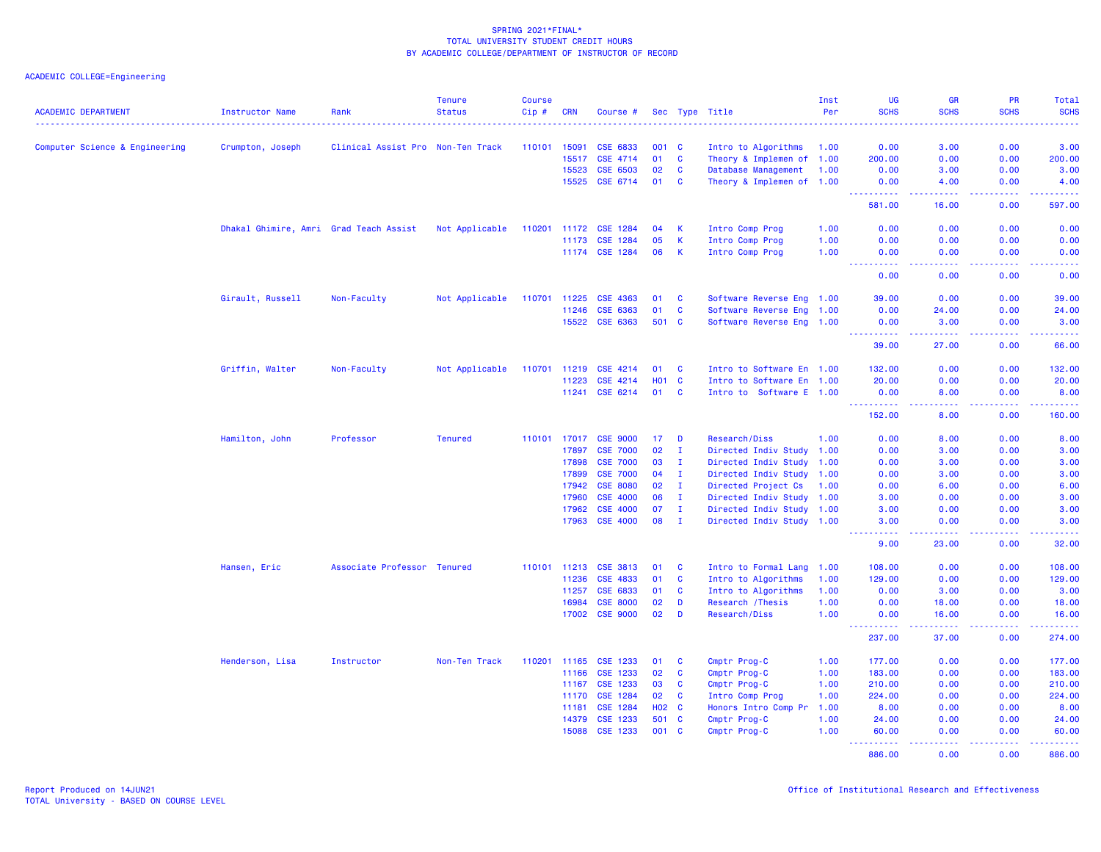| <b>ACADEMIC DEPARTMENT</b>     | Instructor Name                        | Rank                              | <b>Tenure</b><br><b>Status</b> | <b>Course</b><br>Cip# | <b>CRN</b>     | Course #              |                   |              | Sec Type Title               | Inst<br>Per  | UG<br><b>SCHS</b>  | <b>GR</b><br><b>SCHS</b>                                                                                                          | <b>PR</b><br><b>SCHS</b> | Total<br><b>SCHS</b> |
|--------------------------------|----------------------------------------|-----------------------------------|--------------------------------|-----------------------|----------------|-----------------------|-------------------|--------------|------------------------------|--------------|--------------------|-----------------------------------------------------------------------------------------------------------------------------------|--------------------------|----------------------|
|                                |                                        |                                   |                                |                       |                |                       |                   |              |                              |              |                    |                                                                                                                                   |                          |                      |
| Computer Science & Engineering | Crumpton, Joseph                       | Clinical Assist Pro Non-Ten Track |                                | 110101                | 15091          | CSE 6833              | 001 C             |              | Intro to Algorithms          | 1.00         | 0.00               | 3.00                                                                                                                              | 0.00                     | 3.00                 |
|                                |                                        |                                   |                                |                       | 15517          | CSE 4714              | 01                | $\mathbf{C}$ | Theory & Implemen of 1.00    |              | 200.00             | 0.00                                                                                                                              | 0.00                     | 200.00               |
|                                |                                        |                                   |                                |                       | 15523          | CSE 6503              | 02                | $\mathbf{C}$ | Database Management          | 1.00         | 0.00               | 3.00                                                                                                                              | 0.00                     | 3.00                 |
|                                |                                        |                                   |                                |                       | 15525          | CSE 6714              | 01                | <b>C</b>     | Theory & Implemen of 1.00    |              | 0.00<br>.          | 4.00<br>$\frac{1}{2} \left( \frac{1}{2} \right) \left( \frac{1}{2} \right) \left( \frac{1}{2} \right) \left( \frac{1}{2} \right)$ | 0.00<br>.                | 4.00<br>.            |
|                                |                                        |                                   |                                |                       |                |                       |                   |              |                              |              | 581.00             | 16.00                                                                                                                             | 0.00                     | 597.00               |
|                                | Dhakal Ghimire, Amri Grad Teach Assist |                                   | Not Applicable                 |                       |                | 110201 11172 CSE 1284 | 04                | -K           | Intro Comp Prog              | 1.00         | 0.00               | 0.00                                                                                                                              | 0.00                     | 0.00                 |
|                                |                                        |                                   |                                |                       | 11173          | <b>CSE 1284</b>       | 05                | <b>K</b>     | Intro Comp Prog              | 1.00         | 0.00               | 0.00                                                                                                                              | 0.00                     | 0.00                 |
|                                |                                        |                                   |                                |                       |                | 11174 CSE 1284        | 06                | <b>K</b>     | Intro Comp Prog              | 1.00         | 0.00<br><u>.</u>   | 0.00<br>.                                                                                                                         | 0.00<br>.                | 0.00<br>.            |
|                                |                                        |                                   |                                |                       |                |                       |                   |              |                              |              | 0.00               | 0.00                                                                                                                              | 0.00                     | 0.00                 |
|                                | Girault, Russell                       | Non-Faculty                       | Not Applicable                 | 110701 11225          |                | <b>CSE 4363</b>       | 01                | C            | Software Reverse Eng 1.00    |              | 39.00              | 0.00                                                                                                                              | 0.00                     | 39.00                |
|                                |                                        |                                   |                                |                       | 11246          | CSE 6363              | 01                | $\mathbf{C}$ | Software Reverse Eng 1.00    |              | 0.00               | 24.00                                                                                                                             | 0.00                     | 24.00                |
|                                |                                        |                                   |                                |                       | 15522          | CSE 6363              | 501 C             |              | Software Reverse Eng 1.00    |              | 0.00<br>.          | 3.00<br>$\frac{1}{2} \left( \frac{1}{2} \right) \left( \frac{1}{2} \right) \left( \frac{1}{2} \right) \left( \frac{1}{2} \right)$ | 0.00                     | 3.00<br>.            |
|                                |                                        |                                   |                                |                       |                |                       |                   |              |                              |              | 39.00              | 27.00                                                                                                                             | 0.00                     | 66.00                |
|                                | Griffin, Walter                        | Non-Faculty                       | Not Applicable                 | 110701 11219          |                | CSE 4214              | 01                | <b>C</b>     | Intro to Software En 1.00    |              | 132.00             | 0.00                                                                                                                              | 0.00                     | 132.00               |
|                                |                                        |                                   |                                |                       | 11223          | CSE 4214              | <b>HO1</b>        | $\mathbf{C}$ | Intro to Software En 1.00    |              | 20.00              | 0.00                                                                                                                              | 0.00                     | 20.00                |
|                                |                                        |                                   |                                |                       | 11241          | CSE 6214              | 01                | C            | Intro to Software E 1.00     |              | 0.00               | 8.00                                                                                                                              | 0.00                     | 8.00                 |
|                                |                                        |                                   |                                |                       |                |                       |                   |              |                              |              | <u>.</u><br>152.00 | المتمالين<br>8.00                                                                                                                 | 22222<br>0.00            | <u>.</u><br>160.00   |
|                                | Hamilton, John                         | Professor                         | <b>Tenured</b>                 |                       | 110101 17017   | <b>CSE 9000</b>       | 17                | D            | Research/Diss                | 1.00         | 0.00               | 8.00                                                                                                                              | 0.00                     | 8.00                 |
|                                |                                        |                                   |                                |                       | 17897          | <b>CSE 7000</b>       | 02                | л.           | Directed Indiv Study 1.00    |              | 0.00               | 3.00                                                                                                                              | 0.00                     | 3.00                 |
|                                |                                        |                                   |                                |                       | 17898          | <b>CSE 7000</b>       | 03                | $\mathbf{I}$ | Directed Indiv Study 1.00    |              | 0.00               | 3.00                                                                                                                              | 0.00                     | 3.00                 |
|                                |                                        |                                   |                                |                       | 17899          | <b>CSE 7000</b>       | 04                | $\mathbf{I}$ | Directed Indiv Study 1.00    |              | 0.00               | 3.00                                                                                                                              | 0.00                     | 3.00                 |
|                                |                                        |                                   |                                |                       | 17942          | <b>CSE 8080</b>       | 02                | $\mathbf{I}$ | Directed Project Cs          | 1.00         | 0.00               | 6.00                                                                                                                              | 0.00                     | 6.00                 |
|                                |                                        |                                   |                                |                       | 17960          | <b>CSE 4000</b>       | 06                | $\mathbf{I}$ | Directed Indiv Study 1.00    |              | 3.00               | 0.00                                                                                                                              | 0.00                     | 3.00                 |
|                                |                                        |                                   |                                |                       | 17962          | <b>CSE 4000</b>       | 07                | $\mathbf{I}$ | Directed Indiv Study 1.00    |              | 3.00               | 0.00                                                                                                                              | 0.00                     | 3.00                 |
|                                |                                        |                                   |                                |                       | 17963          | <b>CSE 4000</b>       | 08                | $\mathbf{I}$ | Directed Indiv Study 1.00    |              | 3.00<br><u>.</u>   | 0.00<br>.                                                                                                                         | 0.00<br>.                | 3.00<br>.            |
|                                |                                        |                                   |                                |                       |                |                       |                   |              |                              |              | 9.00               | 23.00                                                                                                                             | 0.00                     | 32.00                |
|                                | Hansen, Eric                           | Associate Professor Tenured       |                                |                       | 110101 11213   | <b>CSE 3813</b>       | 01                | <b>C</b>     | Intro to Formal Lang 1.00    |              | 108.00             | 0.00                                                                                                                              | 0.00                     | 108.00               |
|                                |                                        |                                   |                                |                       | 11236          | CSE 4833              | 01                | C            | Intro to Algorithms          | 1.00         | 129.00             | 0.00                                                                                                                              | 0.00                     | 129.00               |
|                                |                                        |                                   |                                |                       | 11257          | CSE 6833              | 01                | $\mathbf{C}$ | Intro to Algorithms          | 1.00         | 0.00               | 3.00                                                                                                                              | 0.00                     | 3.00                 |
|                                |                                        |                                   |                                |                       | 16984          | <b>CSE 8000</b>       | 02                | D            | Research / Thesis            | 1.00         | 0.00               | 18.00                                                                                                                             | 0.00                     | 18.00                |
|                                |                                        |                                   |                                |                       | 17002          | <b>CSE 9000</b>       | 02                | D            | <b>Research/Diss</b>         | 1.00         | 0.00<br><u>.</u> . | 16.00<br>.                                                                                                                        | 0.00<br>. <b>.</b>       | 16.00<br>.           |
|                                |                                        |                                   |                                |                       |                |                       |                   |              |                              |              | 237.00             | 37.00                                                                                                                             | 0.00                     | 274.00               |
|                                | Henderson, Lisa                        | Instructor                        | Non-Ten Track                  | 110201                | 11165          | CSE 1233              | 01                | <b>C</b>     | Cmptr Prog-C                 | 1.00         | 177.00             | 0.00                                                                                                                              | 0.00                     | 177.00               |
|                                |                                        |                                   |                                |                       | 11166          | CSE 1233              | 02                | $\mathbf{C}$ | Cmptr Prog-C                 | 1.00         | 183.00             | 0.00                                                                                                                              | 0.00                     | 183.00               |
|                                |                                        |                                   |                                |                       | 11167          | <b>CSE 1233</b>       | 03                | $\mathbf{C}$ | Cmptr Prog-C                 | 1.00         | 210.00             | 0.00                                                                                                                              | 0.00                     | 210.00               |
|                                |                                        |                                   |                                |                       | 11170          | <b>CSE 1284</b>       | 02                | <b>C</b>     | Intro Comp Prog              | 1.00         | 224.00             | 0.00                                                                                                                              | 0.00                     | 224.00               |
|                                |                                        |                                   |                                |                       | 11181          | CSE 1284              | H <sub>02</sub> C |              | Honors Intro Comp Pr         | 1.00         | 8.00               | 0.00                                                                                                                              | 0.00                     | 8.00                 |
|                                |                                        |                                   |                                |                       | 14379<br>15088 | CSE 1233<br>CSE 1233  | 501 C<br>001      | $\mathbf{C}$ | Cmptr Prog-C<br>Cmptr Prog-C | 1.00<br>1.00 | 24.00<br>60.00     | 0.00<br>0.00                                                                                                                      | 0.00<br>0.00             | 24.00<br>60.00       |
|                                |                                        |                                   |                                |                       |                |                       |                   |              |                              |              | .                  | د د د د                                                                                                                           |                          |                      |
|                                |                                        |                                   |                                |                       |                |                       |                   |              |                              |              | 886.00             | 0.00                                                                                                                              | 0.00                     | 886.00               |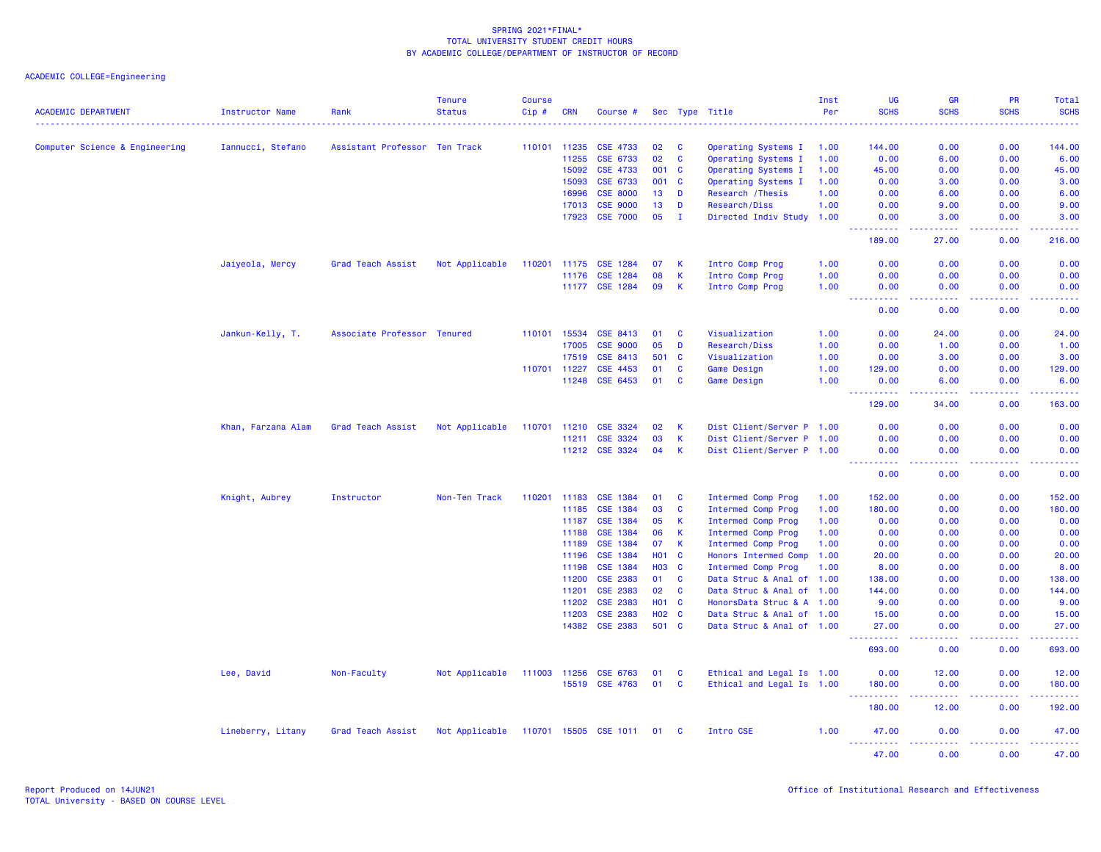| <b>ACADEMIC DEPARTMENT</b>     | <b>Instructor Name</b> | Rank                          | <b>Tenure</b><br><b>Status</b> | <b>Course</b><br>Cip# | <b>CRN</b> | Course #              |              |              | Sec Type Title            | Inst<br>Per | UG<br><b>SCHS</b>                                                                                                                                              | <b>GR</b><br><b>SCHS</b> | PR<br><b>SCHS</b> | Total<br><b>SCHS</b>                                                                                                           |
|--------------------------------|------------------------|-------------------------------|--------------------------------|-----------------------|------------|-----------------------|--------------|--------------|---------------------------|-------------|----------------------------------------------------------------------------------------------------------------------------------------------------------------|--------------------------|-------------------|--------------------------------------------------------------------------------------------------------------------------------|
| Computer Science & Engineering | Iannucci, Stefano      | Assistant Professor Ten Track |                                | 110101 11235          |            | CSE 4733              | 02           | C            | Operating Systems I       | 1.00        | 144.00                                                                                                                                                         | 0.00                     | 0.00              | 144.00                                                                                                                         |
|                                |                        |                               |                                |                       | 11255      | CSE 6733              | 02           | C            | Operating Systems I       | 1.00        | 0.00                                                                                                                                                           | 6.00                     | 0.00              | 6.00                                                                                                                           |
|                                |                        |                               |                                |                       | 15092      | <b>CSE 4733</b>       | 001          | <b>C</b>     | Operating Systems I       | 1.00        | 45.00                                                                                                                                                          | 0.00                     | 0.00              | 45.00                                                                                                                          |
|                                |                        |                               |                                |                       | 15093      | CSE 6733              | 001          | <b>C</b>     | Operating Systems I       | 1.00        | 0.00                                                                                                                                                           | 3.00                     | 0.00              | 3.00                                                                                                                           |
|                                |                        |                               |                                |                       | 16996      | <b>CSE 8000</b>       | 13           | D            | Research / Thesis         | 1.00        | 0.00                                                                                                                                                           | 6.00                     | 0.00              | 6.00                                                                                                                           |
|                                |                        |                               |                                |                       | 17013      | <b>CSE 9000</b>       | 13           | D            | <b>Research/Diss</b>      | 1.00        | 0.00                                                                                                                                                           | 9.00                     | 0.00              | 9.00                                                                                                                           |
|                                |                        |                               |                                |                       | 17923      | <b>CSE 7000</b>       | 05           | $\mathbf{I}$ | Directed Indiv Study 1.00 |             | 0.00<br>.                                                                                                                                                      | 3.00                     | 0.00              | 3.00                                                                                                                           |
|                                |                        |                               |                                |                       |            |                       |              |              |                           |             | 189.00                                                                                                                                                         | 27.00                    | 0.00              | 216.00                                                                                                                         |
|                                | Jaiyeola, Mercy        | Grad Teach Assist             | Not Applicable                 | 110201                | 11175      | <b>CSE 1284</b>       | 07           | К            | Intro Comp Prog           | 1.00        | 0.00                                                                                                                                                           | 0.00                     | 0.00              | 0.00                                                                                                                           |
|                                |                        |                               |                                |                       | 11176      | <b>CSE 1284</b>       | 08           | K            | Intro Comp Prog           | 1.00        | 0.00                                                                                                                                                           | 0.00                     | 0.00              | 0.00                                                                                                                           |
|                                |                        |                               |                                |                       | 11177      | <b>CSE 1284</b>       | 09           | К            | Intro Comp Prog           | 1.00        | 0.00                                                                                                                                                           | 0.00                     | 0.00              | 0.00                                                                                                                           |
|                                |                        |                               |                                |                       |            |                       |              |              |                           |             | 0.00                                                                                                                                                           | 0.00                     | 0.00              | 0.00                                                                                                                           |
|                                | Jankun-Kelly, T.       | Associate Professor Tenured   |                                | 110101                | 15534      | CSE 8413              | 01           | C            | Visualization             | 1.00        | 0.00                                                                                                                                                           | 24.00                    | 0.00              | 24.00                                                                                                                          |
|                                |                        |                               |                                |                       | 17005      | <b>CSE 9000</b>       | 05           | D            | <b>Research/Diss</b>      | 1.00        | 0.00                                                                                                                                                           | 1.00                     | 0.00              | 1.00                                                                                                                           |
|                                |                        |                               |                                |                       | 17519      | CSE 8413              | 501          | <b>C</b>     | Visualization             | 1.00        | 0.00                                                                                                                                                           | 3.00                     | 0.00              | 3.00                                                                                                                           |
|                                |                        |                               |                                | 110701 11227          |            | CSE 4453              | 01           | <b>C</b>     | Game Design               | 1.00        | 129.00                                                                                                                                                         | 0.00                     | 0.00              | 129.00                                                                                                                         |
|                                |                        |                               |                                |                       | 11248      | <b>CSE 6453</b>       | 01           | C            | Game Design               | 1.00        | 0.00<br><u> - - - - - - - - - -</u>                                                                                                                            | 6.00                     | 0.00              | 6.00                                                                                                                           |
|                                |                        |                               |                                |                       |            |                       |              |              |                           |             | 129.00                                                                                                                                                         | 34.00                    | 0.00              | 163.00                                                                                                                         |
|                                | Khan, Farzana Alam     | Grad Teach Assist             | Not Applicable                 | 110701 11210          |            | <b>CSE 3324</b>       | 02           | К            | Dist Client/Server P 1.00 |             | 0.00                                                                                                                                                           | 0.00                     | 0.00              | 0.00                                                                                                                           |
|                                |                        |                               |                                |                       | 11211      | CSE 3324              | 03           | К            | Dist Client/Server P 1.00 |             | 0.00                                                                                                                                                           | 0.00                     | 0.00              | 0.00                                                                                                                           |
|                                |                        |                               |                                |                       | 11212      | <b>CSE 3324</b>       | 04           | $\mathsf{K}$ | Dist Client/Server P 1.00 |             | 0.00<br>$\frac{1}{2} \left( \frac{1}{2} \right) \left( \frac{1}{2} \right) \left( \frac{1}{2} \right) \left( \frac{1}{2} \right) \left( \frac{1}{2} \right)$   | 0.00                     | 0.00              | 0.00<br>----                                                                                                                   |
|                                |                        |                               |                                |                       |            |                       |              |              |                           |             | 0.00                                                                                                                                                           | 0.00                     | 0.00              | 0.00                                                                                                                           |
|                                | Knight, Aubrey         | Instructor                    | Non-Ten Track                  | 110201                | 11183      | <b>CSE 1384</b>       | 01           | <b>C</b>     | <b>Intermed Comp Prog</b> | 1.00        | 152.00                                                                                                                                                         | 0.00                     | 0.00              | 152.00                                                                                                                         |
|                                |                        |                               |                                |                       | 11185      | CSE 1384              | 03           | C            | <b>Intermed Comp Prog</b> | 1.00        | 180.00                                                                                                                                                         | 0.00                     | 0.00              | 180.00                                                                                                                         |
|                                |                        |                               |                                |                       | 11187      | CSE 1384              | 05           | K            | <b>Intermed Comp Prog</b> | 1.00        | 0.00                                                                                                                                                           | 0.00                     | 0.00              | 0.00                                                                                                                           |
|                                |                        |                               |                                |                       | 11188      | <b>CSE 1384</b>       | 06           | $\mathsf K$  | Intermed Comp Prog        | 1.00        | 0.00                                                                                                                                                           | 0.00                     | 0.00              | 0.00                                                                                                                           |
|                                |                        |                               |                                |                       | 11189      | <b>CSE 1384</b>       | 07           | K            | <b>Intermed Comp Prog</b> | 1.00        | 0.00                                                                                                                                                           | 0.00                     | 0.00              | 0.00                                                                                                                           |
|                                |                        |                               |                                |                       | 11196      | <b>CSE 1384</b>       | <b>HO1</b>   | <b>C</b>     | Honors Intermed Comp      | 1.00        | 20.00                                                                                                                                                          | 0.00                     | 0.00              | 20.00                                                                                                                          |
|                                |                        |                               |                                |                       | 11198      | <b>CSE 1384</b>       | <b>HO3</b>   | <b>C</b>     | <b>Intermed Comp Prog</b> | 1.00        | 8.00                                                                                                                                                           | 0.00                     | 0.00              | 8.00                                                                                                                           |
|                                |                        |                               |                                |                       | 11200      | <b>CSE 2383</b>       | 01           | <b>C</b>     | Data Struc & Anal of 1.00 |             | 138.00                                                                                                                                                         | 0.00                     | 0.00              | 138.00                                                                                                                         |
|                                |                        |                               |                                |                       | 11201      | <b>CSE 2383</b>       | 02           | <b>C</b>     | Data Struc & Anal of 1.00 |             | 144,00                                                                                                                                                         | 0.00                     | 0.00              | 144.00                                                                                                                         |
|                                |                        |                               |                                |                       | 11202      | <b>CSE 2383</b>       | <b>HO1 C</b> |              | HonorsData Struc & A 1.00 |             | 9.00                                                                                                                                                           | 0.00                     | 0.00              | 9.00                                                                                                                           |
|                                |                        |                               |                                |                       | 11203      | <b>CSE 2383</b>       | H02 C        |              | Data Struc & Anal of 1.00 |             | 15.00                                                                                                                                                          | 0.00                     | 0.00              | 15.00                                                                                                                          |
|                                |                        |                               |                                |                       | 14382      | <b>CSE 2383</b>       | 501          | $\mathbf{C}$ | Data Struc & Anal of 1.00 |             | 27.00                                                                                                                                                          | 0.00                     | 0.00              | 27.00                                                                                                                          |
|                                |                        |                               |                                |                       |            |                       |              |              |                           |             | 693.00                                                                                                                                                         | 0.00                     | 0.00              | 693.00                                                                                                                         |
|                                | Lee, David             | Non-Faculty                   | Not Applicable                 | 111003 11256          |            | <b>CSE 6763</b>       | 01           | C            | Ethical and Legal Is 1.00 |             | 0.00                                                                                                                                                           | 12.00                    | 0.00              | 12.00                                                                                                                          |
|                                |                        |                               |                                |                       | 15519      | <b>CSE 4763</b>       | 01           | C            | Ethical and Legal Is 1.00 |             | 180.00<br>$\frac{1}{2} \left( \frac{1}{2} \right) \left( \frac{1}{2} \right) \left( \frac{1}{2} \right) \left( \frac{1}{2} \right) \left( \frac{1}{2} \right)$ | 0.00                     | 0.00              | 180.00<br>.                                                                                                                    |
|                                |                        |                               |                                |                       |            |                       |              |              |                           |             | 180.00                                                                                                                                                         | 12.00                    | 0.00              | 192.00                                                                                                                         |
|                                | Lineberry, Litany      | Grad Teach Assist             | Not Applicable                 |                       |            | 110701 15505 CSE 1011 | 01           | - C          | Intro CSE                 | 1.00        | 47.00<br><u> - - - - - - - - - -</u>                                                                                                                           | 0.00<br>.                | 0.00<br>.         | 47.00<br>$\begin{array}{cccccccccc} \bullet & \bullet & \bullet & \bullet & \bullet & \bullet & \bullet & \bullet \end{array}$ |
|                                |                        |                               |                                |                       |            |                       |              |              |                           |             | 47.00                                                                                                                                                          | 0.00                     | 0.00              | 47.00                                                                                                                          |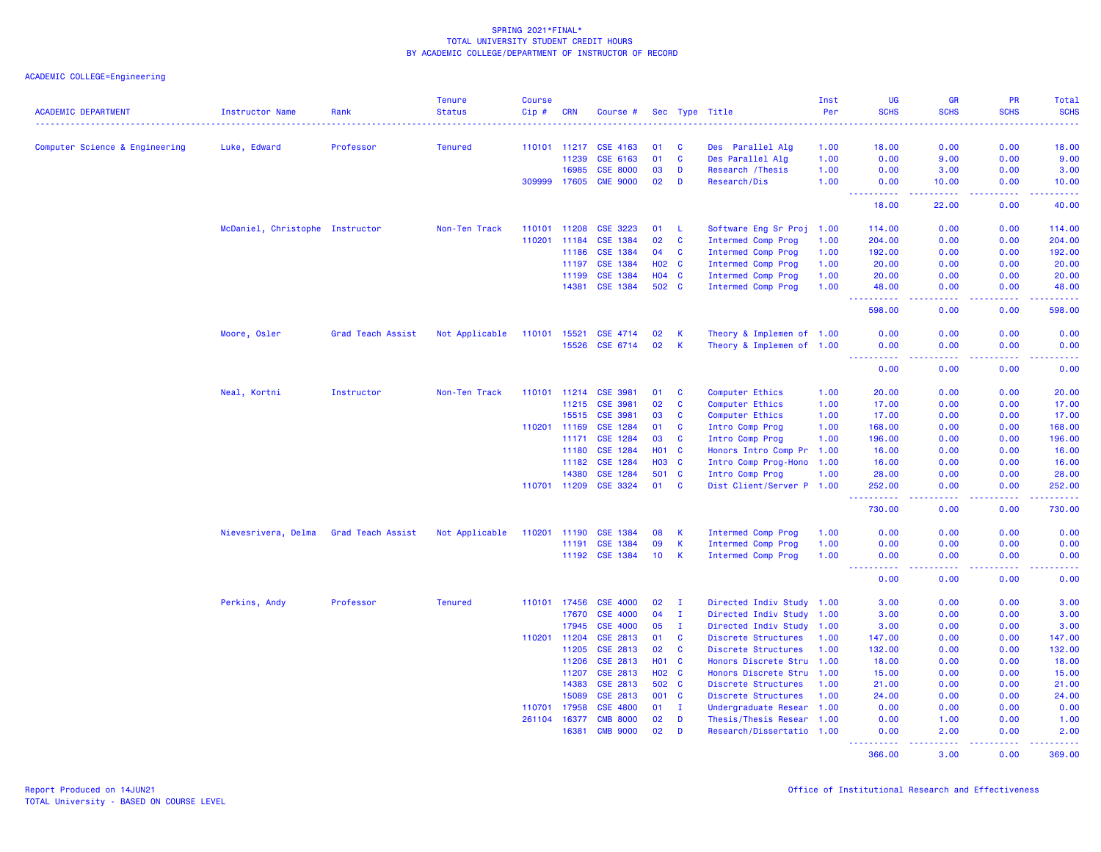|                                |                                 |                   | <b>Tenure</b>  | <b>Course</b> |              |                 |              |              |                           | Inst | <b>UG</b>                             | <b>GR</b>            | <b>PR</b>        | Total                                                                                                                                                          |
|--------------------------------|---------------------------------|-------------------|----------------|---------------|--------------|-----------------|--------------|--------------|---------------------------|------|---------------------------------------|----------------------|------------------|----------------------------------------------------------------------------------------------------------------------------------------------------------------|
| <b>ACADEMIC DEPARTMENT</b>     | Instructor Name                 | Rank              | <b>Status</b>  | $Cip \#$      | <b>CRN</b>   | Course #        |              |              | Sec Type Title            | Per  | <b>SCHS</b>                           | <b>SCHS</b>          | <b>SCHS</b>      | <b>SCHS</b>                                                                                                                                                    |
| Computer Science & Engineering | Luke, Edward                    | Professor         | <b>Tenured</b> |               | 110101 11217 | <b>CSE 4163</b> | 01           | <b>C</b>     | Des Parallel Alg          | 1.00 | 18.00                                 | 0.00                 | 0.00             | 18.00                                                                                                                                                          |
|                                |                                 |                   |                |               | 11239        | CSE 6163        | 01           | $\mathbf{C}$ | Des Parallel Alg          | 1.00 | 0.00                                  | 9.00                 | 0.00             | 9.00                                                                                                                                                           |
|                                |                                 |                   |                |               | 16985        | <b>CSE 8000</b> | 03           | D            | Research / Thesis         | 1.00 | 0.00                                  | 3.00                 | 0.00             | 3.00                                                                                                                                                           |
|                                |                                 |                   |                |               | 309999 17605 | <b>CME 9000</b> | 02           | D            | Research/Dis              | 1.00 | 0.00                                  | 10.00                | 0.00             | 10.00                                                                                                                                                          |
|                                |                                 |                   |                |               |              |                 |              |              |                           |      | .<br>18.00                            | $- - - - -$<br>22.00 | 22222<br>0.00    | .<br>40.00                                                                                                                                                     |
|                                | McDaniel, Christophe Instructor |                   | Non-Ten Track  |               | 110101 11208 | <b>CSE 3223</b> | 01           | - L          | Software Eng Sr Proj      | 1.00 | 114.00                                | 0.00                 | 0.00             | 114.00                                                                                                                                                         |
|                                |                                 |                   |                | 110201        | 11184        | CSE 1384        | 02           | $\mathbf{C}$ | Intermed Comp Prog        | 1.00 | 204.00                                | 0.00                 | 0.00             | 204.00                                                                                                                                                         |
|                                |                                 |                   |                |               | 11186        | CSE 1384        | 04           | $\mathbf{C}$ | Intermed Comp Prog        | 1.00 | 192.00                                | 0.00                 | 0.00             | 192.00                                                                                                                                                         |
|                                |                                 |                   |                |               | 11197        | CSE 1384        | <b>HO2 C</b> |              | Intermed Comp Prog        | 1.00 | 20.00                                 | 0.00                 | 0.00             | 20.00                                                                                                                                                          |
|                                |                                 |                   |                |               | 11199        | <b>CSE 1384</b> | $H04$ C      |              | <b>Intermed Comp Prog</b> | 1.00 | 20.00                                 | 0.00                 | 0.00             | 20.00                                                                                                                                                          |
|                                |                                 |                   |                |               | 14381        | CSE 1384        | 502 C        |              | Intermed Comp Prog        | 1.00 | 48.00<br><u>.</u>                     | 0.00<br>.            | 0.00<br><u>.</u> | 48.00<br>.                                                                                                                                                     |
|                                |                                 |                   |                |               |              |                 |              |              |                           |      | 598.00                                | 0.00                 | 0.00             | 598.00                                                                                                                                                         |
|                                | Moore, Osler                    | Grad Teach Assist | Not Applicable | 110101 15521  |              | CSE 4714        | 02           | -K           | Theory & Implemen of 1.00 |      | 0.00                                  | 0.00                 | 0.00             | 0.00                                                                                                                                                           |
|                                |                                 |                   |                |               | 15526        | CSE 6714        | 02           | $\mathsf{K}$ | Theory & Implemen of 1.00 |      | 0.00<br><u>.</u>                      | 0.00<br>د د د د      | 0.00<br>22222    | 0.00<br>.                                                                                                                                                      |
|                                |                                 |                   |                |               |              |                 |              |              |                           |      | 0.00                                  | 0.00                 | 0.00             | 0.00                                                                                                                                                           |
|                                | Neal, Kortni                    | Instructor        | Non-Ten Track  |               | 110101 11214 | <b>CSE 3981</b> | 01           | <b>C</b>     | Computer Ethics           | 1.00 | 20.00                                 | 0.00                 | 0.00             | 20.00                                                                                                                                                          |
|                                |                                 |                   |                |               | 11215        | <b>CSE 3981</b> | 02           | $\mathbf{C}$ | Computer Ethics           | 1.00 | 17.00                                 | 0.00                 | 0.00             | 17.00                                                                                                                                                          |
|                                |                                 |                   |                |               | 15515        | <b>CSE 3981</b> | 03           | <b>C</b>     | Computer Ethics           | 1.00 | 17.00                                 | 0.00                 | 0.00             | 17.00                                                                                                                                                          |
|                                |                                 |                   |                | 110201 11169  |              | CSE 1284        | 01           | $\mathbf{C}$ | Intro Comp Prog           | 1.00 | 168.00                                | 0.00                 | 0.00             | 168.00                                                                                                                                                         |
|                                |                                 |                   |                |               | 11171        | CSE 1284        | 03           | C            | Intro Comp Prog           | 1.00 | 196.00                                | 0.00                 | 0.00             | 196.00                                                                                                                                                         |
|                                |                                 |                   |                |               | 11180        | CSE 1284        | <b>HO1 C</b> |              | Honors Intro Comp Pr 1.00 |      | 16.00                                 | 0.00                 | 0.00             | 16.00                                                                                                                                                          |
|                                |                                 |                   |                |               | 11182        | <b>CSE 1284</b> | <b>HO3</b>   | $\mathbf{C}$ | Intro Comp Prog-Hono 1.00 |      | 16.00                                 | 0.00                 | 0.00             | 16.00                                                                                                                                                          |
|                                |                                 |                   |                |               | 14380        | CSE 1284        | 501          | $\mathbf{C}$ | Intro Comp Prog           | 1.00 | 28.00                                 | 0.00                 | 0.00             | 28.00                                                                                                                                                          |
|                                |                                 |                   |                |               | 110701 11209 | CSE 3324        | 01           | $\mathbf{C}$ | Dist Client/Server P 1.00 |      | 252.00<br><u> - - - - - - - - - -</u> | 0.00<br>.            | 0.00<br><b>.</b> | 252.00<br>$\frac{1}{2} \left( \frac{1}{2} \right) \left( \frac{1}{2} \right) \left( \frac{1}{2} \right) \left( \frac{1}{2} \right) \left( \frac{1}{2} \right)$ |
|                                |                                 |                   |                |               |              |                 |              |              |                           |      | 730.00                                | 0.00                 | 0.00             | 730.00                                                                                                                                                         |
|                                | Nievesrivera, Delma             | Grad Teach Assist | Not Applicable | 110201 11190  |              | <b>CSE 1384</b> | 08           | $\mathsf{K}$ | Intermed Comp Prog        | 1.00 | 0.00                                  | 0.00                 | 0.00             | 0.00                                                                                                                                                           |
|                                |                                 |                   |                |               | 11191        | CSE 1384        | 09           | $\mathsf{K}$ | Intermed Comp Prog        | 1.00 | 0.00                                  | 0.00                 | 0.00             | 0.00                                                                                                                                                           |
|                                |                                 |                   |                |               | 11192        | <b>CSE 1384</b> | 10           | $\mathsf{K}$ | Intermed Comp Prog        | 1.00 | 0.00<br>د د د د                       | 0.00<br>وعاعات       | 0.00             | 0.00                                                                                                                                                           |
|                                |                                 |                   |                |               |              |                 |              |              |                           |      | 0.00                                  | 0.00                 | 0.00             | 0.00                                                                                                                                                           |
|                                | Perkins, Andy                   | Professor         | <b>Tenured</b> |               | 110101 17456 | <b>CSE 4000</b> | 02           | $\mathbf{I}$ | Directed Indiv Study 1.00 |      | 3.00                                  | 0.00                 | 0.00             | 3.00                                                                                                                                                           |
|                                |                                 |                   |                |               | 17670        | <b>CSE 4000</b> | 04           | $\mathbf{I}$ | Directed Indiv Study 1.00 |      | 3.00                                  | 0.00                 | 0.00             | 3.00                                                                                                                                                           |
|                                |                                 |                   |                |               | 17945        | <b>CSE 4000</b> | 05           | $\mathbf{I}$ | Directed Indiv Study 1.00 |      | 3.00                                  | 0.00                 | 0.00             | 3.00                                                                                                                                                           |
|                                |                                 |                   |                |               | 110201 11204 | <b>CSE 2813</b> | 01           | $\mathbf{C}$ | Discrete Structures       | 1.00 | 147.00                                | 0.00                 | 0.00             | 147.00                                                                                                                                                         |
|                                |                                 |                   |                |               | 11205        | CSE 2813        | 02           | <b>C</b>     | Discrete Structures       | 1.00 | 132.00                                | 0.00                 | 0.00             | 132.00                                                                                                                                                         |
|                                |                                 |                   |                |               | 11206        | CSE 2813        | <b>HO1</b>   | <b>C</b>     | Honors Discrete Stru      | 1.00 | 18.00                                 | 0.00                 | 0.00             | 18.00                                                                                                                                                          |
|                                |                                 |                   |                |               | 11207        | CSE 2813        | $H02$ C      |              | Honors Discrete Stru 1.00 |      | 15.00                                 | 0.00                 | 0.00             | 15.00                                                                                                                                                          |
|                                |                                 |                   |                |               | 14383        | <b>CSE 2813</b> | 502 C        |              | Discrete Structures       | 1.00 | 21.00                                 | 0.00                 | 0.00             | 21.00                                                                                                                                                          |
|                                |                                 |                   |                |               | 15089        | <b>CSE 2813</b> | 001          | $\mathbf{C}$ | Discrete Structures       | 1.00 | 24.00                                 | 0.00                 | 0.00             | 24.00                                                                                                                                                          |
|                                |                                 |                   |                | 110701        | 17958        | <b>CSE 4800</b> | 01           | $\mathbf{I}$ | Undergraduate Resear 1.00 |      | 0.00                                  | 0.00                 | 0.00             | 0.00                                                                                                                                                           |
|                                |                                 |                   |                |               | 261104 16377 | <b>CMB 8000</b> | 02           | D            | Thesis/Thesis Resear 1.00 |      | 0.00                                  | 1.00                 | 0.00             | 1.00                                                                                                                                                           |
|                                |                                 |                   |                |               | 16381        | <b>CMB 9000</b> | 02           | D            | Research/Dissertatio 1.00 |      | 0.00<br><u>.</u>                      | 2.00<br>22222        | 0.00<br>22222    | 2.00<br>2.2.2.2.2.2                                                                                                                                            |
|                                |                                 |                   |                |               |              |                 |              |              |                           |      | 366,00                                | 3.00                 | 0.00             | 369.00                                                                                                                                                         |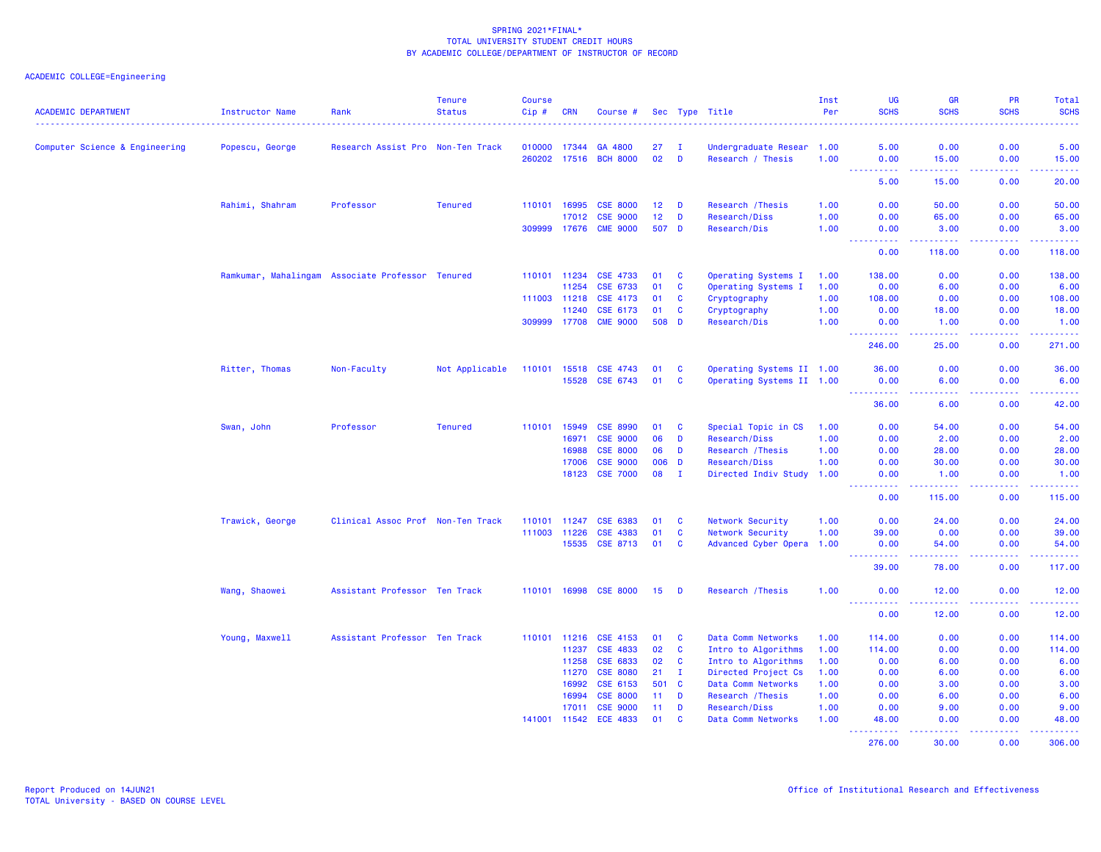| <b>ACADEMIC DEPARTMENT</b>     | Instructor Name | Rank                                             | <b>Tenure</b><br><b>Status</b> | <b>Course</b><br>$Cip$ # | <b>CRN</b> | Course #        |                 |              | Sec Type Title            | Inst<br>Per | UG<br><b>SCHS</b>                     | <b>GR</b><br><b>SCHS</b>                                                                                                  | PR<br><b>SCHS</b>                                                                                                                 | Total<br><b>SCHS</b>                                                                                                            |
|--------------------------------|-----------------|--------------------------------------------------|--------------------------------|--------------------------|------------|-----------------|-----------------|--------------|---------------------------|-------------|---------------------------------------|---------------------------------------------------------------------------------------------------------------------------|-----------------------------------------------------------------------------------------------------------------------------------|---------------------------------------------------------------------------------------------------------------------------------|
|                                |                 |                                                  |                                |                          |            |                 |                 |              |                           |             |                                       |                                                                                                                           |                                                                                                                                   | $\frac{1}{2} \left( \frac{1}{2} \right) \left( \frac{1}{2} \right) \left( \frac{1}{2} \right) \left( \frac{1}{2} \right)$       |
| Computer Science & Engineering | Popescu, George | Research Assist Pro Non-Ten Track                |                                | 010000                   | 17344      | GA 4800         | 27              | л.           | Undergraduate Resear 1.00 |             | 5.00                                  | 0.00                                                                                                                      | 0.00                                                                                                                              | 5.00                                                                                                                            |
|                                |                 |                                                  |                                | 260202                   | 17516      | <b>BCH 8000</b> | 02              | D            | Research / Thesis         | 1.00        | 0.00<br>$\sim 100$<br>المتمام المتحدة | 15.00<br><u>.</u>                                                                                                         | 0.00<br>الدائد الدائد                                                                                                             | 15.00<br>د د د د د                                                                                                              |
|                                |                 |                                                  |                                |                          |            |                 |                 |              |                           |             | 5.00                                  | 15.00                                                                                                                     | 0.00                                                                                                                              | 20.00                                                                                                                           |
|                                | Rahimi, Shahram | Professor                                        | <b>Tenured</b>                 | 110101                   | 16995      | <b>CSE 8000</b> | 12 <sub>2</sub> | D            | Research / Thesis         | 1.00        | 0.00                                  | 50.00                                                                                                                     | 0.00                                                                                                                              | 50.00                                                                                                                           |
|                                |                 |                                                  |                                |                          | 17012      | <b>CSE 9000</b> | 12 <sub>2</sub> | D            | Research/Diss             | 1.00        | 0.00                                  | 65.00                                                                                                                     | 0.00                                                                                                                              | 65.00                                                                                                                           |
|                                |                 |                                                  |                                | 309999                   | 17676      | <b>CME 9000</b> | 507 D           |              | Research/Dis              | 1.00        | 0.00                                  | 3.00                                                                                                                      | 0.00                                                                                                                              | 3.00                                                                                                                            |
|                                |                 |                                                  |                                |                          |            |                 |                 |              |                           |             | $\sim$ $\sim$ $\sim$ $\sim$<br>0.00   | 118.00                                                                                                                    | $\frac{1}{2} \left( \frac{1}{2} \right) \left( \frac{1}{2} \right) \left( \frac{1}{2} \right) \left( \frac{1}{2} \right)$<br>0.00 | .<br>118.00                                                                                                                     |
|                                |                 | Ramkumar, Mahalingam Associate Professor Tenured |                                | 110101                   | 11234      | <b>CSE 4733</b> | 01              | C            | Operating Systems I       | 1.00        | 138.00                                | 0.00                                                                                                                      | 0.00                                                                                                                              | 138.00                                                                                                                          |
|                                |                 |                                                  |                                |                          | 11254      | CSE 6733        | 01              | C            | Operating Systems I       | 1.00        | 0.00                                  | 6.00                                                                                                                      | 0.00                                                                                                                              | 6.00                                                                                                                            |
|                                |                 |                                                  |                                | 111003 11218             |            | CSE 4173        | 01              | C            | Cryptography              | 1.00        | 108.00                                | 0.00                                                                                                                      | 0.00                                                                                                                              | 108.00                                                                                                                          |
|                                |                 |                                                  |                                |                          | 11240      | CSE 6173        | 01              | C            | Cryptography              | 1.00        | 0.00                                  | 18.00                                                                                                                     | 0.00                                                                                                                              | 18.00                                                                                                                           |
|                                |                 |                                                  |                                | 309999 17708             |            | <b>CME 9000</b> | 508 D           |              | Research/Dis              | 1.00        | 0.00                                  | 1.00                                                                                                                      | 0.00                                                                                                                              | 1.00                                                                                                                            |
|                                |                 |                                                  |                                |                          |            |                 |                 |              |                           |             | ----------<br>246.00                  | المستمر المسار<br>25.00                                                                                                   | .<br>0.00                                                                                                                         | .<br>271.00                                                                                                                     |
|                                | Ritter, Thomas  | Non-Faculty                                      | Not Applicable                 | 110101                   | 15518      | CSE 4743        | 01              | C            | Operating Systems II 1.00 |             | 36.00                                 | 0.00                                                                                                                      | 0.00                                                                                                                              | 36.00                                                                                                                           |
|                                |                 |                                                  |                                |                          | 15528      | CSE 6743        | 01              | <b>C</b>     | Operating Systems II 1.00 |             | 0.00                                  | 6.00                                                                                                                      | 0.00                                                                                                                              | 6.00                                                                                                                            |
|                                |                 |                                                  |                                |                          |            |                 |                 |              |                           |             | <u> - - - - - - - - - -</u>           | $\frac{1}{2} \left( \frac{1}{2} \right) \left( \frac{1}{2} \right) \left( \frac{1}{2} \right) \left( \frac{1}{2} \right)$ | .                                                                                                                                 | .                                                                                                                               |
|                                |                 |                                                  |                                |                          |            |                 |                 |              |                           |             | 36.00                                 | 6.00                                                                                                                      | 0.00                                                                                                                              | 42.00                                                                                                                           |
|                                | Swan, John      | Professor                                        | <b>Tenured</b>                 | 110101                   | 15949      | <b>CSE 8990</b> | 01              | C            | Special Topic in CS       | 1.00        | 0.00                                  | 54.00                                                                                                                     | 0.00                                                                                                                              | 54.00                                                                                                                           |
|                                |                 |                                                  |                                |                          | 16971      | <b>CSE 9000</b> | 06              | D            | Research/Diss             | 1.00        | 0.00                                  | 2.00                                                                                                                      | 0.00                                                                                                                              | 2.00                                                                                                                            |
|                                |                 |                                                  |                                |                          | 16988      | <b>CSE 8000</b> | 06              | D            | Research / Thesis         | 1.00        | 0.00                                  | 28.00                                                                                                                     | 0.00                                                                                                                              | 28.00                                                                                                                           |
|                                |                 |                                                  |                                |                          | 17006      | <b>CSE 9000</b> | 006 D           |              | Research/Diss             | 1.00        | 0.00                                  | 30.00                                                                                                                     | 0.00                                                                                                                              | 30.00                                                                                                                           |
|                                |                 |                                                  |                                |                          | 18123      | <b>CSE 7000</b> | 08              | $\mathbf{I}$ | Directed Indiv Study      | 1.00        | 0.00                                  | 1.00                                                                                                                      | 0.00                                                                                                                              | 1.00                                                                                                                            |
|                                |                 |                                                  |                                |                          |            |                 |                 |              |                           |             | 2.2.2.2.2<br>0.00                     | .<br>115.00                                                                                                               | .<br>0.00                                                                                                                         | <b><i><u><u></u></u></i></b><br>115.00                                                                                          |
|                                | Trawick, George | Clinical Assoc Prof Non-Ten Track                |                                | 110101                   | 11247      | CSE 6383        | 01              | <b>C</b>     | Network Security          | 1.00        | 0.00                                  | 24.00                                                                                                                     | 0.00                                                                                                                              | 24.00                                                                                                                           |
|                                |                 |                                                  |                                | 111003                   | 11226      | <b>CSE 4383</b> | 01              | C            | Network Security          | 1.00        | 39.00                                 | 0.00                                                                                                                      | 0.00                                                                                                                              | 39.00                                                                                                                           |
|                                |                 |                                                  |                                |                          | 15535      | <b>CSE 8713</b> | 01              | C            | Advanced Cyber Opera      | 1.00        | 0.00                                  | 54.00                                                                                                                     | 0.00                                                                                                                              | 54.00                                                                                                                           |
|                                |                 |                                                  |                                |                          |            |                 |                 |              |                           |             | ----------<br>39.00                   | .<br>78.00                                                                                                                | .<br>0.00                                                                                                                         | $\begin{array}{cccccccccc} \bullet & \bullet & \bullet & \bullet & \bullet & \bullet & \bullet & \bullet \end{array}$<br>117.00 |
|                                | Wang, Shaowei   | Assistant Professor Ten Track                    |                                | 110101 16998             |            | <b>CSE 8000</b> | 15              | D            | Research / Thesis         | 1.00        | 0.00                                  | 12.00                                                                                                                     | 0.00                                                                                                                              | 12.00                                                                                                                           |
|                                |                 |                                                  |                                |                          |            |                 |                 |              |                           |             | 0.00                                  | 12.00                                                                                                                     | 0.00                                                                                                                              | .<br>12.00                                                                                                                      |
|                                |                 | Assistant Professor Ten Track                    |                                | 110101                   | 11216      | <b>CSE 4153</b> | 01              | C            | Data Comm Networks        | 1.00        | 114.00                                | 0.00                                                                                                                      | 0.00                                                                                                                              | 114.00                                                                                                                          |
|                                | Young, Maxwell  |                                                  |                                |                          | 11237      | <b>CSE 4833</b> | 02              | C            | Intro to Algorithms       | 1.00        | 114.00                                | 0.00                                                                                                                      | 0.00                                                                                                                              | 114.00                                                                                                                          |
|                                |                 |                                                  |                                |                          | 11258      | CSE 6833        | 02              | C            | Intro to Algorithms       | 1.00        | 0.00                                  | 6.00                                                                                                                      | 0.00                                                                                                                              | 6.00                                                                                                                            |
|                                |                 |                                                  |                                |                          | 11270      | <b>CSE 8080</b> | 21              | $\mathbf I$  | Directed Project Cs       | 1.00        | 0.00                                  | 6.00                                                                                                                      | 0.00                                                                                                                              | 6.00                                                                                                                            |
|                                |                 |                                                  |                                |                          | 16992      | CSE 6153        | 501             | $\mathbf{C}$ | Data Comm Networks        | 1.00        | 0.00                                  | 3.00                                                                                                                      | 0.00                                                                                                                              | 3.00                                                                                                                            |
|                                |                 |                                                  |                                |                          | 16994      | <b>CSE 8000</b> | 11 <sub>1</sub> | D            | Research / Thesis         | 1.00        | 0.00                                  | 6.00                                                                                                                      | 0.00                                                                                                                              | 6.00                                                                                                                            |
|                                |                 |                                                  |                                |                          | 17011      | <b>CSE 9000</b> | 11              | D            | Research/Diss             | 1.00        | 0.00                                  | 9.00                                                                                                                      | 0.00                                                                                                                              | 9.00                                                                                                                            |
|                                |                 |                                                  |                                | 141001                   | 11542      | <b>ECE 4833</b> | 01              | C            | Data Comm Networks        | 1.00        | 48.00                                 | 0.00                                                                                                                      | 0.00                                                                                                                              | 48.00<br>.                                                                                                                      |
|                                |                 |                                                  |                                |                          |            |                 |                 |              |                           |             | .<br>276.00                           | .<br>30.00                                                                                                                | .<br>0.00                                                                                                                         | 306.00                                                                                                                          |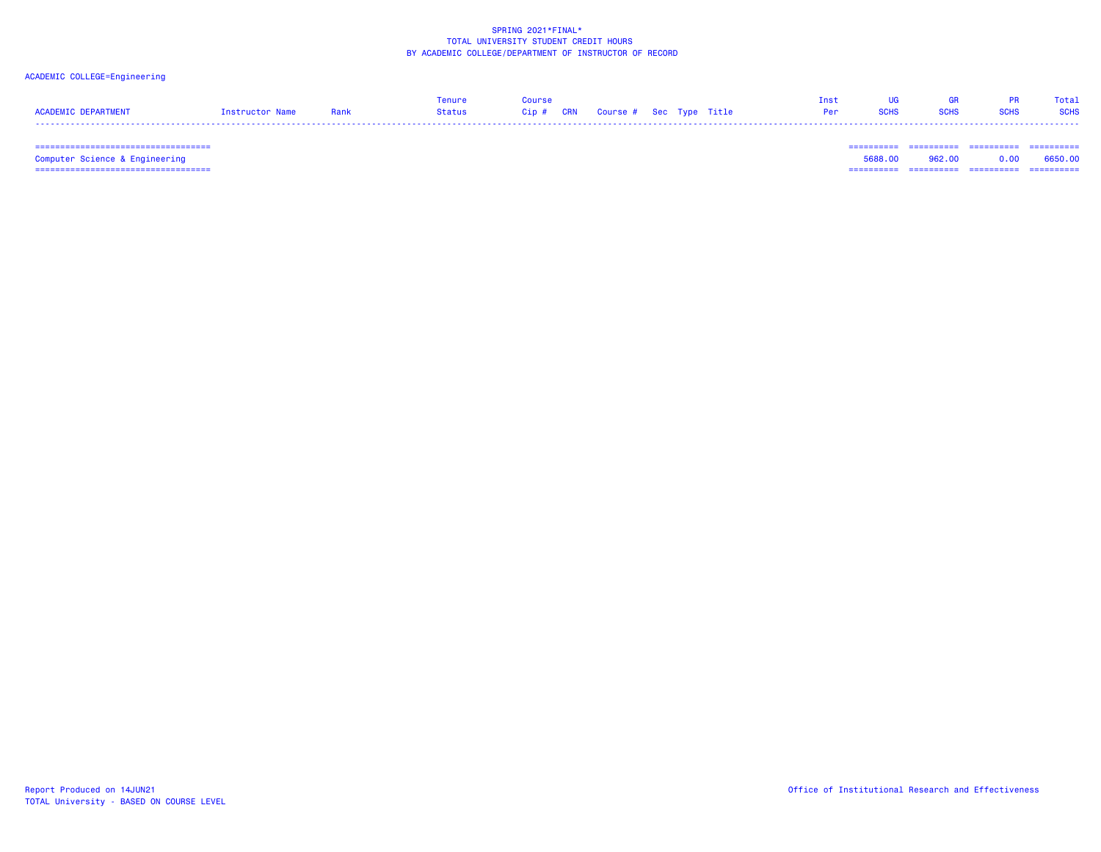# ACADEMIC COLLEGE=Engineering

|                     |                 |      |        | <b>Course</b>                     |  |  | GR.         | Total       |
|---------------------|-----------------|------|--------|-----------------------------------|--|--|-------------|-------------|
| ACADEMIC DEDADTMENT | Instructor Name | Rank | Status | Cip # CRN Course # Sec Type Title |  |  | <b>SCHS</b> | <b>SCHS</b> |
|                     |                 |      |        |                                   |  |  |             |             |

 =================================== ========== ========== ========== ==========Computer Science & Engineering 5688.00 962.00 0.00 6650.00 =================================== ========== ========== ========== ==========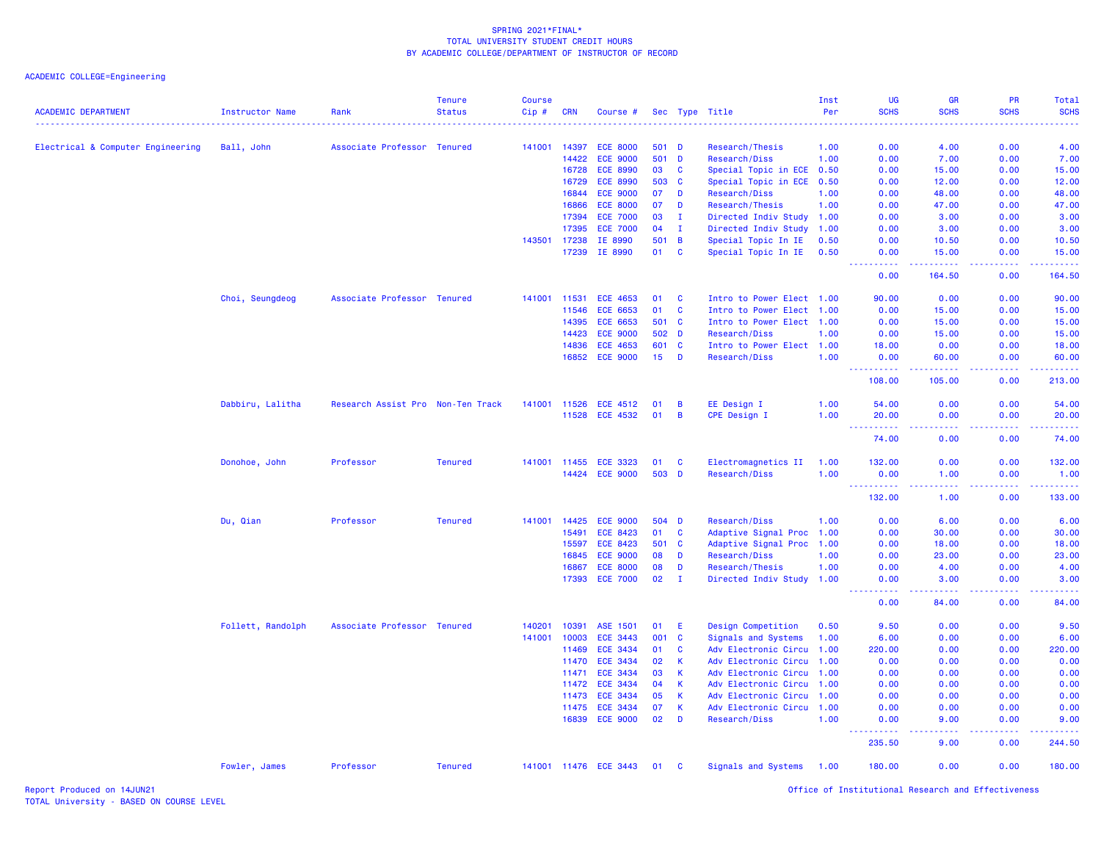| <b>ACADEMIC DEPARTMENT</b>        | <b>Instructor Name</b> | Rank                              | <b>Tenure</b><br><b>Status</b> | Course<br>Cip# | <b>CRN</b> | Course #              |                 |                | Sec Type Title            | Inst<br>Per | UG<br><b>SCHS</b>                           | GR<br><b>SCHS</b>            | <b>PR</b><br><b>SCHS</b> | Total<br><b>SCHS</b> |
|-----------------------------------|------------------------|-----------------------------------|--------------------------------|----------------|------------|-----------------------|-----------------|----------------|---------------------------|-------------|---------------------------------------------|------------------------------|--------------------------|----------------------|
| Electrical & Computer Engineering | Ball, John             | Associate Professor Tenured       |                                | 141001         | 14397      | <b>ECE 8000</b>       | 501 D           |                | Research/Thesis           | 1.00        | 0.00                                        | 4.00                         | 0.00                     | 4.00                 |
|                                   |                        |                                   |                                |                | 14422      | <b>ECE 9000</b>       | 501             | $\mathbf{D}$   | Research/Diss             | 1.00        | 0.00                                        | 7.00                         | 0.00                     | 7.00                 |
|                                   |                        |                                   |                                |                | 16728      | <b>ECE 8990</b>       | 03              | C              | Special Topic in ECE      | 0.50        | 0.00                                        | 15.00                        | 0.00                     | 15.00                |
|                                   |                        |                                   |                                |                | 16729      | <b>ECE 8990</b>       | 503             | $\mathbf{C}$   | Special Topic in ECE      | 0.50        | 0.00                                        | 12.00                        | 0.00                     | 12.00                |
|                                   |                        |                                   |                                |                | 16844      | <b>ECE 9000</b>       | 07              | D              | Research/Diss             | 1.00        | 0.00                                        | 48.00                        | 0.00                     | 48.00                |
|                                   |                        |                                   |                                |                | 16866      | <b>ECE 8000</b>       | 07              | D              | Research/Thesis           | 1.00        | 0.00                                        | 47.00                        | 0.00                     | 47.00                |
|                                   |                        |                                   |                                |                | 17394      | <b>ECE 7000</b>       | 03              | $\mathbf{I}$   | Directed Indiv Study 1.00 |             | 0.00                                        | 3.00                         | 0.00                     | 3.00                 |
|                                   |                        |                                   |                                |                | 17395      | <b>ECE 7000</b>       | 04              | $\mathbf I$    | Directed Indiv Study      | 1.00        | 0.00                                        | 3.00                         | 0.00                     | 3.00                 |
|                                   |                        |                                   |                                | 143501         | 17238      | IE 8990               | 501             | $\overline{B}$ | Special Topic In IE       | 0.50        | 0.00                                        | 10.50                        | 0.00                     | 10.50                |
|                                   |                        |                                   |                                |                | 17239      | IE 8990               | 01              | <b>C</b>       | Special Topic In IE       | 0.50        | 0.00                                        | 15.00                        | 0.00                     | 15.00                |
|                                   |                        |                                   |                                |                |            |                       |                 |                |                           |             | $\omega_{\rm{eff}}$ and $\omega_{\rm{eff}}$ | .                            | .                        |                      |
|                                   |                        |                                   |                                |                |            |                       |                 |                |                           |             | 0.00                                        | 164.50                       | 0.00                     | 164.50               |
|                                   | Choi, Seungdeog        | Associate Professor Tenured       |                                | 141001         | 11531      | <b>ECE 4653</b>       | 01              | $\mathbf{C}$   | Intro to Power Elect 1.00 |             | 90.00                                       | 0.00                         | 0.00                     | 90.00                |
|                                   |                        |                                   |                                |                | 11546      | <b>ECE 6653</b>       | 01              | C              | Intro to Power Elect 1.00 |             | 0.00                                        | 15.00                        | 0.00                     | 15.00                |
|                                   |                        |                                   |                                |                | 14395      | <b>ECE 6653</b>       | 501             | $\mathbf{C}$   | Intro to Power Elect 1.00 |             | 0.00                                        | 15.00                        | 0.00                     | 15.00                |
|                                   |                        |                                   |                                |                | 14423      | <b>ECE 9000</b>       | 502 D           |                | Research/Diss             | 1.00        | 0.00                                        | 15.00                        | 0.00                     | 15.00                |
|                                   |                        |                                   |                                |                | 14836      | <b>ECE 4653</b>       | 601 C           |                | Intro to Power Elect 1.00 |             | 18.00                                       | 0.00                         | 0.00                     | 18.00                |
|                                   |                        |                                   |                                |                | 16852      | <b>ECE 9000</b>       | 15 <sub>1</sub> | D              | Research/Diss             | 1.00        | 0.00                                        | 60.00                        | 0.00                     | 60.00                |
|                                   |                        |                                   |                                |                |            |                       |                 |                |                           |             | .<br>108.00                                 | 105.00                       | 0.00                     | 213.00               |
|                                   | Dabbiru, Lalitha       | Research Assist Pro Non-Ten Track |                                | 141001         | 11526      | ECE 4512              | 01              | B              | EE Design I               | 1.00        | 54.00                                       | 0.00                         | 0.00                     | 54.00                |
|                                   |                        |                                   |                                |                | 11528      | <b>ECE 4532</b>       | 01              | B              | <b>CPE Design I</b>       | 1.00        | 20.00                                       | 0.00                         | 0.00                     | 20.00                |
|                                   |                        |                                   |                                |                |            |                       |                 |                |                           |             | <u>.</u><br>74.00                           | .<br>0.00                    | .<br>0.00                | .<br>74.00           |
|                                   |                        |                                   |                                |                |            |                       |                 |                |                           |             |                                             |                              |                          |                      |
|                                   | Donohoe, John          | Professor                         | <b>Tenured</b>                 | 141001         | 11455      | <b>ECE 3323</b>       | 01              | C              | Electromagnetics II       | 1.00        | 132.00                                      | 0.00                         | 0.00                     | 132.00               |
|                                   |                        |                                   |                                |                | 14424      | <b>ECE 9000</b>       | 503             | $\mathbf{D}$   | Research/Diss             | 1.00        | 0.00<br>بالمستنا                            | 1.00<br>$\sim$ $\sim$ $\sim$ | 0.00                     | 1.00<br>المستما      |
|                                   |                        |                                   |                                |                |            |                       |                 |                |                           |             | 132.00                                      | 1.00                         | 0.00                     | 133.00               |
|                                   | Du, Qian               | Professor                         | <b>Tenured</b>                 | 141001         | 14425      | <b>ECE 9000</b>       | 504 D           |                | Research/Diss             | 1.00        | 0.00                                        | 6.00                         | 0.00                     | 6.00                 |
|                                   |                        |                                   |                                |                | 15491      | <b>ECE 8423</b>       | 01              | C              | Adaptive Signal Proc      | 1.00        | 0.00                                        | 30.00                        | 0.00                     | 30.00                |
|                                   |                        |                                   |                                |                | 15597      | <b>ECE 8423</b>       | 501             | $\mathbf{C}$   | Adaptive Signal Proc 1.00 |             | 0.00                                        | 18.00                        | 0.00                     | 18.00                |
|                                   |                        |                                   |                                |                | 16845      | <b>ECE 9000</b>       | 08              | D              | Research/Diss             | 1.00        | 0.00                                        | 23.00                        | 0.00                     | 23.00                |
|                                   |                        |                                   |                                |                | 16867      | <b>ECE 8000</b>       | 08              | D              | Research/Thesis           | 1.00        | 0.00                                        | 4.00                         | 0.00                     | 4.00                 |
|                                   |                        |                                   |                                |                | 17393      | <b>ECE 7000</b>       | 02              | $\mathbf{I}$   | Directed Indiv Study 1.00 |             | 0.00                                        | 3.00                         | 0.00                     | 3.00                 |
|                                   |                        |                                   |                                |                |            |                       |                 |                |                           |             | .<br>0.00                                   | 84.00                        | 0.00                     | 84.00                |
|                                   | Follett, Randolph      | Associate Professor Tenured       |                                | 140201         | 10391      | ASE 1501              | 01              | Ε              | Design Competition        | 0.50        | 9.50                                        | 0.00                         | 0.00                     | 9.50                 |
|                                   |                        |                                   |                                | 141001         | 10003      | <b>ECE 3443</b>       | 001             | $\mathbf{C}$   | Signals and Systems       | 1.00        | 6.00                                        | 0.00                         | 0.00                     | 6.00                 |
|                                   |                        |                                   |                                |                | 11469      | <b>ECE 3434</b>       | 01              | C              | Adv Electronic Circu      | 1.00        | 220.00                                      | 0.00                         | 0.00                     | 220.00               |
|                                   |                        |                                   |                                |                | 11470      | <b>ECE 3434</b>       | 02              | K              | Adv Electronic Circu      | 1.00        | 0.00                                        | 0.00                         | 0.00                     | 0.00                 |
|                                   |                        |                                   |                                |                | 11471      | <b>ECE 3434</b>       | 03              | K              | Adv Electronic Circu 1.00 |             | 0.00                                        | 0.00                         | 0.00                     | 0.00                 |
|                                   |                        |                                   |                                |                | 11472      | <b>ECE 3434</b>       | 04              | $\mathsf K$    | Adv Electronic Circu      | 1.00        | 0.00                                        | 0.00                         | 0.00                     | 0.00                 |
|                                   |                        |                                   |                                |                | 11473      | <b>ECE 3434</b>       | 05              | K              | Adv Electronic Circu      | 1.00        | 0.00                                        | 0.00                         | 0.00                     | 0.00                 |
|                                   |                        |                                   |                                |                | 11475      | <b>ECE 3434</b>       | 07              | $\mathsf K$    | Adv Electronic Circu 1.00 |             | 0.00                                        | 0.00                         | 0.00                     | 0.00                 |
|                                   |                        |                                   |                                |                | 16839      | <b>ECE 9000</b>       | 02              | D              | Research/Diss             | 1.00        | 0.00                                        | 9.00                         | 0.00                     | 9.00                 |
|                                   |                        |                                   |                                |                |            |                       |                 |                |                           |             | 235.50                                      | 9.00                         | 0.00                     | 244.50               |
|                                   | Fowler, James          | Professor                         | <b>Tenured</b>                 |                |            | 141001 11476 ECE 3443 | 01              | <b>C</b>       | Signals and Systems 1.00  |             | 180.00                                      | 0.00                         | 0.00                     | 180.00               |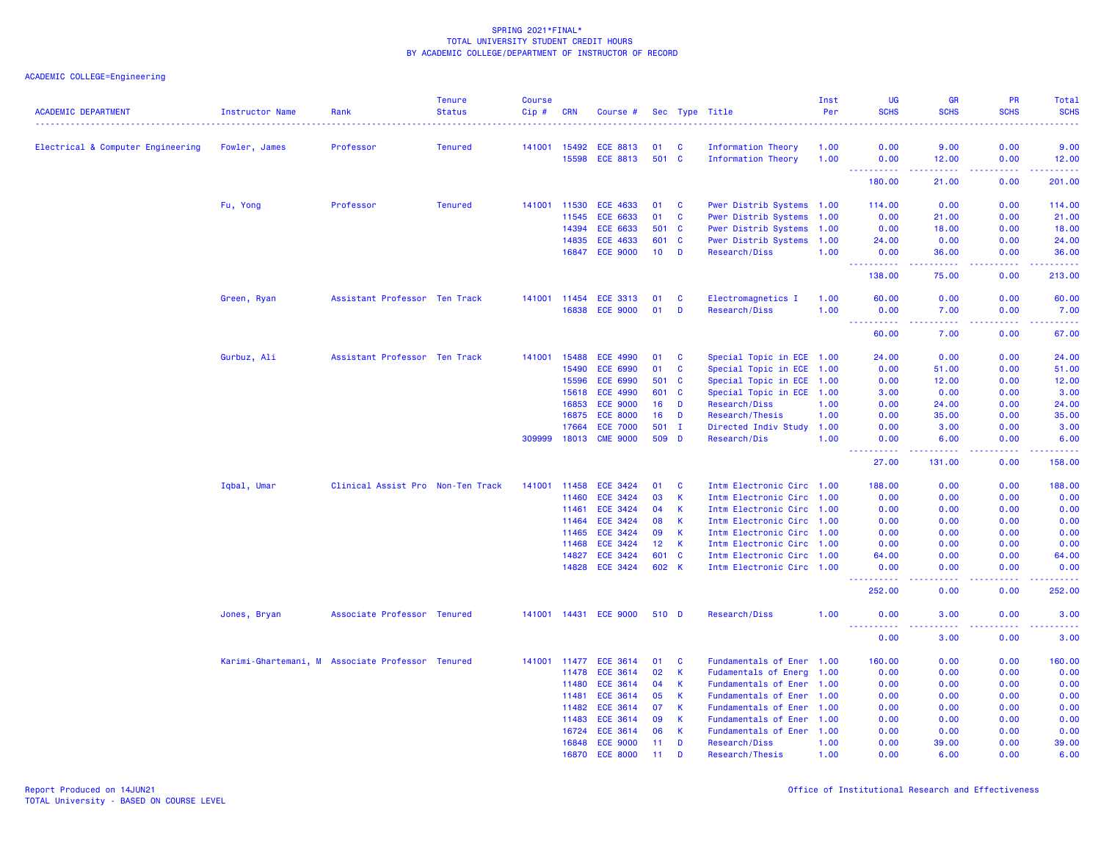| <b>ACADEMIC DEPARTMENT</b>        | Instructor Name<br><u>.</u>                      | Rank                              | <b>Tenure</b><br><b>Status</b> | <b>Course</b><br>Cip# | <b>CRN</b>     | Course #                           |                 |              | Sec Type Title                       | Inst<br>Per  | UG<br><b>SCHS</b> | <b>GR</b><br><b>SCHS</b>                                                                                                                                      | <b>PR</b><br><b>SCHS</b> | Total<br><b>SCHS</b><br>22223 |
|-----------------------------------|--------------------------------------------------|-----------------------------------|--------------------------------|-----------------------|----------------|------------------------------------|-----------------|--------------|--------------------------------------|--------------|-------------------|---------------------------------------------------------------------------------------------------------------------------------------------------------------|--------------------------|-------------------------------|
| Electrical & Computer Engineering | Fowler, James                                    | Professor                         | <b>Tenured</b>                 | 141001 15492          |                | <b>ECE 8813</b>                    | 01              | - C          | <b>Information Theory</b>            | 1.00         | 0.00              | 9.00                                                                                                                                                          | 0.00                     | 9.00                          |
|                                   |                                                  |                                   |                                |                       | 15598          | <b>ECE 8813</b>                    | 501 C           |              | Information Theory                   | 1.00         | 0.00              | 12.00                                                                                                                                                         | 0.00                     | 12.00                         |
|                                   |                                                  |                                   |                                |                       |                |                                    |                 |              |                                      |              | .<br>180.00       | $\frac{1}{2} \left( \frac{1}{2} \right) \left( \frac{1}{2} \right) \left( \frac{1}{2} \right) \left( \frac{1}{2} \right) \left( \frac{1}{2} \right)$<br>21.00 | .<br>0.00                | والمتمام مالما<br>201.00      |
|                                   | Fu, Yong                                         | Professor                         | <b>Tenured</b>                 | 141001 11530          |                | <b>ECE 4633</b>                    | 01              | C            | Pwer Distrib Systems 1.00            |              | 114.00            | 0.00                                                                                                                                                          | 0.00                     | 114.00                        |
|                                   |                                                  |                                   |                                |                       | 11545          | <b>ECE 6633</b>                    | 01              | <b>C</b>     | Pwer Distrib Systems 1.00            |              | 0.00              | 21.00                                                                                                                                                         | 0.00                     | 21.00                         |
|                                   |                                                  |                                   |                                |                       | 14394          | <b>ECE 6633</b>                    | 501 C           |              | Pwer Distrib Systems 1.00            |              | 0.00              | 18.00                                                                                                                                                         | 0.00                     | 18.00                         |
|                                   |                                                  |                                   |                                |                       | 14835          | ECE 4633                           | 601             | $\mathbf{C}$ | Pwer Distrib Systems 1.00            |              | 24.00             | 0.00                                                                                                                                                          | 0.00                     | 24.00                         |
|                                   |                                                  |                                   |                                |                       | 16847          | <b>ECE 9000</b>                    | 10 <sup>°</sup> | D            | Research/Diss                        | 1.00         | 0.00              | 36.00                                                                                                                                                         | 0.00                     | 36.00                         |
|                                   |                                                  |                                   |                                |                       |                |                                    |                 |              |                                      |              | .<br>138.00       | 75.00                                                                                                                                                         | 0.00                     | .<br>213.00                   |
|                                   | Green, Ryan                                      | Assistant Professor Ten Track     |                                |                       |                | 141001 11454 ECE 3313              | 01              | C            | Electromagnetics I                   | 1.00         | 60.00             | 0.00                                                                                                                                                          | 0.00                     | 60.00                         |
|                                   |                                                  |                                   |                                |                       | 16838          | <b>ECE 9000</b>                    | 01              | D            | Research/Diss                        | 1.00         | 0.00              | 7.00                                                                                                                                                          | 0.00                     | 7.00                          |
|                                   |                                                  |                                   |                                |                       |                |                                    |                 |              |                                      |              | .<br>60.00        | .<br>7.00                                                                                                                                                     | 22222<br>0.00            | .<br>67.00                    |
|                                   |                                                  |                                   |                                |                       |                |                                    |                 |              |                                      |              |                   |                                                                                                                                                               |                          |                               |
|                                   | Gurbuz, Ali                                      | Assistant Professor Ten Track     |                                | 141001                | 15488          | <b>ECE 4990</b>                    | 01              | $\mathbf{C}$ | Special Topic in ECE 1.00            |              | 24.00             | 0.00                                                                                                                                                          | 0.00                     | 24.00                         |
|                                   |                                                  |                                   |                                |                       | 15490          | <b>ECE 6990</b>                    | 01              | $\mathbf{C}$ | Special Topic in ECE 1.00            |              | 0.00              | 51.00                                                                                                                                                         | 0.00                     | 51.00                         |
|                                   |                                                  |                                   |                                |                       | 15596          | <b>ECE 6990</b>                    | 501             | <b>C</b>     | Special Topic in ECE 1.00            |              | 0.00              | 12.00                                                                                                                                                         | 0.00                     | 12.00                         |
|                                   |                                                  |                                   |                                |                       | 15618          | <b>ECE 4990</b>                    | 601             | C            | Special Topic in ECE 1.00            |              | 3.00              | 0.00                                                                                                                                                          | 0.00                     | 3.00                          |
|                                   |                                                  |                                   |                                |                       | 16853          | <b>ECE 9000</b>                    | 16              | D            | Research/Diss                        | 1.00         | 0.00              | 24.00                                                                                                                                                         | 0.00                     | 24.00                         |
|                                   |                                                  |                                   |                                |                       | 16875          | <b>ECE 8000</b>                    | 16              | D            | Research/Thesis                      | 1.00         | 0.00              | 35.00                                                                                                                                                         | 0.00                     | 35.00                         |
|                                   |                                                  |                                   |                                | 309999                | 17664<br>18013 | <b>ECE 7000</b><br><b>CME 9000</b> | 501<br>509 D    | $\mathbf{I}$ | Directed Indiv Study<br>Research/Dis | 1.00<br>1.00 | 0.00<br>0.00      | 3.00<br>6.00                                                                                                                                                  | 0.00<br>0.00             | 3.00<br>6.00                  |
|                                   |                                                  |                                   |                                |                       |                |                                    |                 |              |                                      |              | .                 | $\frac{1}{2} \left( \frac{1}{2} \right) \left( \frac{1}{2} \right) \left( \frac{1}{2} \right) \left( \frac{1}{2} \right) \left( \frac{1}{2} \right)$          | -----                    | والمستوات المنابي             |
|                                   |                                                  |                                   |                                |                       |                |                                    |                 |              |                                      |              | 27.00             | 131.00                                                                                                                                                        | 0.00                     | 158.00                        |
|                                   | Iqbal, Umar                                      | Clinical Assist Pro Non-Ten Track |                                | 141001 11458          |                | <b>ECE 3424</b>                    | 01              | C            | Intm Electronic Circ 1.00            |              | 188.00            | 0.00                                                                                                                                                          | 0.00                     | 188.00                        |
|                                   |                                                  |                                   |                                |                       | 11460          | <b>ECE 3424</b>                    | 03              | $\mathbf{K}$ | Intm Electronic Circ 1.00            |              | 0.00              | 0.00                                                                                                                                                          | 0.00                     | 0.00                          |
|                                   |                                                  |                                   |                                |                       | 11461          | <b>ECE 3424</b>                    | 04              | K            | Intm Electronic Circ 1.00            |              | 0.00              | 0.00                                                                                                                                                          | 0.00                     | 0.00                          |
|                                   |                                                  |                                   |                                |                       | 11464          | <b>ECE 3424</b>                    | 08              | $\mathsf{K}$ | Intm Electronic Circ 1.00            |              | 0.00              | 0.00                                                                                                                                                          | 0.00                     | 0.00                          |
|                                   |                                                  |                                   |                                |                       | 11465          | <b>ECE 3424</b>                    | 09              | $\mathsf{K}$ | Intm Electronic Circ 1.00            |              | 0.00              | 0.00                                                                                                                                                          | 0.00                     | 0.00                          |
|                                   |                                                  |                                   |                                |                       | 11468          | <b>ECE 3424</b>                    | 12              | $\mathsf{K}$ | Intm Electronic Circ 1.00            |              | 0.00              | 0.00                                                                                                                                                          | 0.00                     | 0.00                          |
|                                   |                                                  |                                   |                                |                       | 14827          | <b>ECE 3424</b>                    | 601 C           |              | Intm Electronic Circ 1.00            |              | 64.00             | 0.00                                                                                                                                                          | 0.00                     | 64.00                         |
|                                   |                                                  |                                   |                                |                       |                | 14828 ECE 3424                     | 602 K           |              | Intm Electronic Circ 1.00            |              | 0.00<br>د د د د د | 0.00<br>$\frac{1}{2} \left( \frac{1}{2} \right) \left( \frac{1}{2} \right) \left( \frac{1}{2} \right) \left( \frac{1}{2} \right)$                             | 0.00<br>.                | 0.00<br>المتمامي              |
|                                   |                                                  |                                   |                                |                       |                |                                    |                 |              |                                      |              | 252.00            | 0.00                                                                                                                                                          | 0.00                     | 252.00                        |
|                                   | Jones, Bryan                                     | Associate Professor Tenured       |                                |                       |                | 141001 14431 ECE 9000              | 510 D           |              | Research/Diss                        | 1.00         | 0.00<br>.         | 3.00<br>.                                                                                                                                                     | 0.00<br>.                | 3.00<br>.                     |
|                                   |                                                  |                                   |                                |                       |                |                                    |                 |              |                                      |              | 0.00              | 3.00                                                                                                                                                          | 0.00                     | 3.00                          |
|                                   | Karimi-Ghartemani, M Associate Professor Tenured |                                   |                                | 141001                | 11477          | <b>ECE 3614</b>                    | 01              | - C          | Fundamentals of Ener 1.00            |              | 160.00            | 0.00                                                                                                                                                          | 0.00                     | 160.00                        |
|                                   |                                                  |                                   |                                |                       | 11478          | <b>ECE 3614</b>                    | 02              | $\mathsf K$  | Fudamentals of Energ 1.00            |              | 0.00              | 0.00                                                                                                                                                          | 0.00                     | 0.00                          |
|                                   |                                                  |                                   |                                |                       | 11480          | <b>ECE 3614</b>                    | 04              | $\mathbf{K}$ | Fundamentals of Ener 1.00            |              | 0.00              | 0.00                                                                                                                                                          | 0.00                     | 0.00                          |
|                                   |                                                  |                                   |                                |                       | 11481          | <b>ECE 3614</b>                    | 05              | $\mathsf K$  | Fundamentals of Ener 1.00            |              | 0.00              | 0.00                                                                                                                                                          | 0.00                     | 0.00                          |
|                                   |                                                  |                                   |                                |                       | 11482          | <b>ECE 3614</b>                    | 07              | K            | Fundamentals of Ener 1.00            |              | 0.00              | 0.00                                                                                                                                                          | 0.00                     | 0.00                          |
|                                   |                                                  |                                   |                                |                       | 11483          | ECE 3614                           | 09              | K            | Fundamentals of Ener 1.00            |              | 0.00              | 0.00                                                                                                                                                          | 0.00                     | 0.00                          |
|                                   |                                                  |                                   |                                |                       | 16724          | <b>ECE 3614</b>                    | 06              | К            | Fundamentals of Ener 1.00            |              | 0.00              | 0.00                                                                                                                                                          | 0.00                     | 0.00                          |
|                                   |                                                  |                                   |                                |                       | 16848          | <b>ECE 9000</b>                    | 11              | D            | Research/Diss                        | 1.00         | 0.00              | 39.00                                                                                                                                                         | 0.00                     | 39.00                         |
|                                   |                                                  |                                   |                                |                       | 16870          | <b>ECE 8000</b>                    | 11              | Ð            | Research/Thesis                      | 1.00         | 0.00              | 6.00                                                                                                                                                          | 0.00                     | 6.00                          |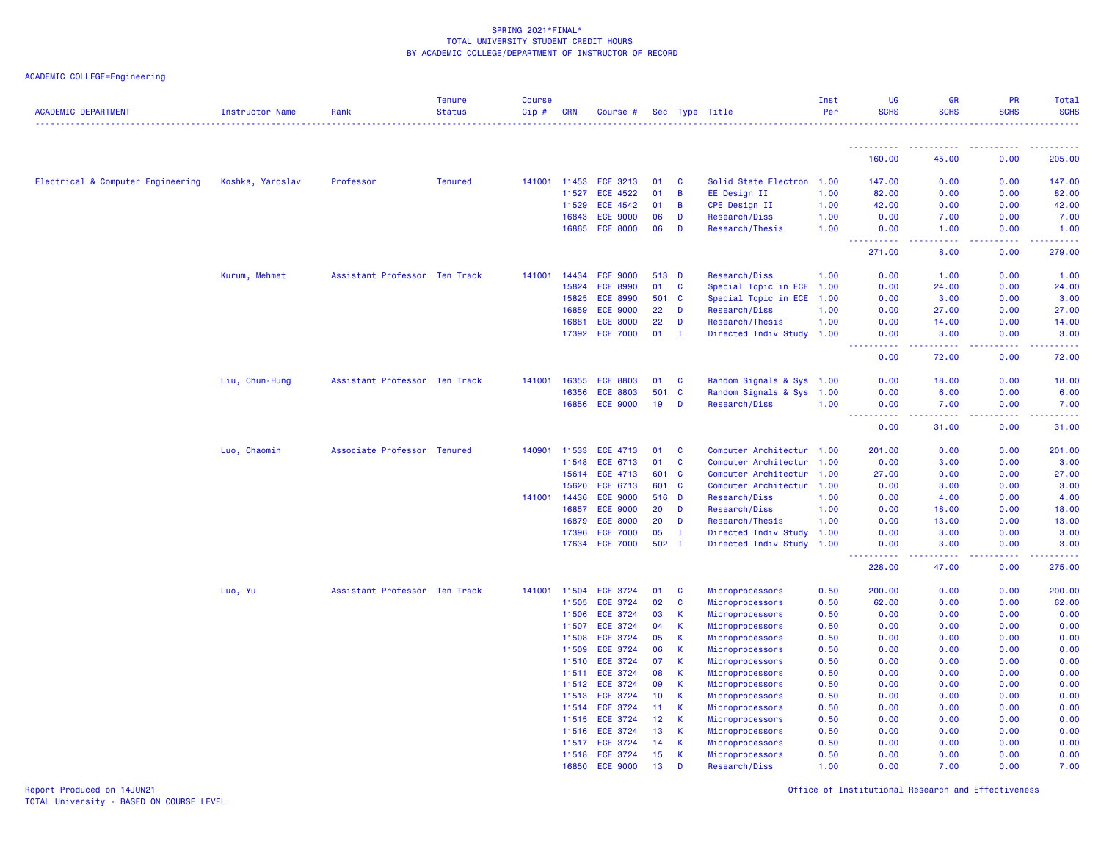| <b>ACADEMIC DEPARTMENT</b>        | <b>Instructor Name</b> | Rank                          | <b>Tenure</b><br><b>Status</b> | <b>Course</b><br>Cip# | <b>CRN</b> | Course #        |                 |              | Sec Type Title            | Inst<br>Per | UG<br><b>SCHS</b>                     | <b>GR</b><br><b>SCHS</b>                                                                                                                                     | PR<br><b>SCHS</b> | Total<br><b>SCHS</b><br>----------------- |
|-----------------------------------|------------------------|-------------------------------|--------------------------------|-----------------------|------------|-----------------|-----------------|--------------|---------------------------|-------------|---------------------------------------|--------------------------------------------------------------------------------------------------------------------------------------------------------------|-------------------|-------------------------------------------|
|                                   |                        |                               |                                |                       |            |                 |                 |              |                           |             | <b>.</b>                              | ----------                                                                                                                                                   | .                 | <u>.</u>                                  |
|                                   |                        |                               |                                |                       |            |                 |                 |              |                           |             | 160.00                                | 45.00                                                                                                                                                        | 0.00              | 205.00                                    |
| Electrical & Computer Engineering | Koshka, Yaroslav       | Professor                     | <b>Tenured</b>                 | 141001                | 11453      | ECE 3213        | 01              | C            | Solid State Electron      | 1.00        | 147.00                                | 0.00                                                                                                                                                         | 0.00              | 147.00                                    |
|                                   |                        |                               |                                |                       | 11527      | <b>ECE 4522</b> | 01              | B            | EE Design II              | 1.00        | 82.00                                 | 0.00                                                                                                                                                         | 0.00              | 82.00                                     |
|                                   |                        |                               |                                |                       | 11529      | <b>ECE 4542</b> | 01              | B            | <b>CPE Design II</b>      | 1.00        | 42.00                                 | 0.00                                                                                                                                                         | 0.00              | 42.00                                     |
|                                   |                        |                               |                                |                       | 16843      | <b>ECE 9000</b> | 06              | D            | Research/Diss             | 1.00        | 0.00                                  | 7.00                                                                                                                                                         | 0.00              | 7.00                                      |
|                                   |                        |                               |                                |                       | 16865      | <b>ECE 8000</b> | 06              | D            | Research/Thesis           | 1.00        | 0.00                                  | 1.00                                                                                                                                                         | 0.00              | 1.00                                      |
|                                   |                        |                               |                                |                       |            |                 |                 |              |                           |             | <u> - - - - - - - - - -</u><br>271.00 | $- - - - -$<br>$\sim 100$<br>8.00                                                                                                                            | 2.2.2.2.2<br>0.00 | .<br>279.00                               |
|                                   | Kurum, Mehmet          | Assistant Professor Ten Track |                                | 141001                | 14434      | <b>ECE 9000</b> | 513 D           |              | Research/Diss             | 1.00        | 0.00                                  | 1.00                                                                                                                                                         | 0.00              | 1.00                                      |
|                                   |                        |                               |                                |                       | 15824      | <b>ECE 8990</b> | 01              | <b>C</b>     | Special Topic in ECE      | 1.00        | 0.00                                  | 24.00                                                                                                                                                        | 0.00              | 24.00                                     |
|                                   |                        |                               |                                |                       | 15825      | <b>ECE 8990</b> | 501 C           |              | Special Topic in ECE      | 1.00        | 0.00                                  | 3.00                                                                                                                                                         | 0.00              | 3.00                                      |
|                                   |                        |                               |                                |                       | 16859      | <b>ECE 9000</b> | 22              | D            | Research/Diss             | 1.00        | 0.00                                  | 27.00                                                                                                                                                        | 0.00              | 27.00                                     |
|                                   |                        |                               |                                |                       | 16881      | <b>ECE 8000</b> | 22              | D            | Research/Thesis           | 1.00        | 0.00                                  | 14.00                                                                                                                                                        | 0.00              | 14.00                                     |
|                                   |                        |                               |                                |                       |            | 17392 ECE 7000  | 01              | $\mathbf{I}$ | Directed Indiv Study 1.00 |             | 0.00<br>د د د د                       | 3.00<br>$\frac{1}{2} \left( \frac{1}{2} \right) \left( \frac{1}{2} \right) \left( \frac{1}{2} \right) \left( \frac{1}{2} \right) \left( \frac{1}{2} \right)$ | 0.00<br>.         | 3.00<br>.                                 |
|                                   |                        |                               |                                |                       |            |                 |                 |              |                           |             | 0.00                                  | 72.00                                                                                                                                                        | 0.00              | 72.00                                     |
|                                   | Liu, Chun-Hung         | Assistant Professor Ten Track |                                | 141001                | 16355      | <b>ECE 8803</b> | 01              | C            | Random Signals & Sys 1.00 |             | 0.00                                  | 18.00                                                                                                                                                        | 0.00              | 18.00                                     |
|                                   |                        |                               |                                |                       | 16356      | <b>ECE 8803</b> | 501             | <b>C</b>     | Random Signals & Sys      | 1.00        | 0.00                                  | 6.00                                                                                                                                                         | 0.00              | 6.00                                      |
|                                   |                        |                               |                                |                       | 16856      | <b>ECE 9000</b> | 19              | D            | Research/Diss             | 1.00        | 0.00                                  | 7.00                                                                                                                                                         | 0.00              | 7.00                                      |
|                                   |                        |                               |                                |                       |            |                 |                 |              |                           |             | $\omega_{\rm{eff}}$<br>.<br>0.00      | 31.00                                                                                                                                                        | 0.00              | 31.00                                     |
|                                   | Luo, Chaomin           | Associate Professor Tenured   |                                | 140901 11533          |            | <b>ECE 4713</b> | 01              | C            | Computer Architectur 1.00 |             | 201.00                                | 0.00                                                                                                                                                         | 0.00              | 201.00                                    |
|                                   |                        |                               |                                |                       | 11548      | ECE 6713        | 01              | $\mathbf{C}$ | Computer Architectur      | 1.00        | 0.00                                  | 3.00                                                                                                                                                         | 0.00              | 3.00                                      |
|                                   |                        |                               |                                |                       | 15614      | <b>ECE 4713</b> | 601 C           |              | Computer Architectur      | 1.00        | 27.00                                 | 0.00                                                                                                                                                         | 0.00              | 27.00                                     |
|                                   |                        |                               |                                |                       | 15620      | ECE 6713        | 601             | <b>C</b>     | Computer Architectur      | 1.00        | 0.00                                  | 3.00                                                                                                                                                         | 0.00              | 3.00                                      |
|                                   |                        |                               |                                | 141001                | 14436      | <b>ECE 9000</b> | 516 D           |              | Research/Diss             | 1.00        | 0.00                                  | 4.00                                                                                                                                                         | 0.00              | 4.00                                      |
|                                   |                        |                               |                                |                       | 16857      | <b>ECE 9000</b> | 20              | D            | Research/Diss             | 1.00        | 0.00                                  | 18.00                                                                                                                                                        | 0.00              | 18.00                                     |
|                                   |                        |                               |                                |                       | 16879      | <b>ECE 8000</b> | 20              | D            | Research/Thesis           | 1.00        | 0.00                                  | 13.00                                                                                                                                                        | 0.00              | 13.00                                     |
|                                   |                        |                               |                                |                       | 17396      | <b>ECE 7000</b> | 05              | $\mathbf I$  | Directed Indiv Study      | 1.00        | 0.00                                  | 3.00                                                                                                                                                         | 0.00              | 3.00                                      |
|                                   |                        |                               |                                |                       | 17634      | <b>ECE 7000</b> | 502 I           |              | Directed Indiv Study      | 1.00        | 0.00<br><b>.</b>                      | 3.00<br><u>.</u>                                                                                                                                             | 0.00<br>.         | 3.00<br>.                                 |
|                                   |                        |                               |                                |                       |            |                 |                 |              |                           |             | 228.00                                | 47.00                                                                                                                                                        | 0.00              | 275.00                                    |
|                                   | Luo, Yu                | Assistant Professor Ten Track |                                | 141001                | 11504      | <b>ECE 3724</b> | 01              | <b>C</b>     | Microprocessors           | 0.50        | 200.00                                | 0.00                                                                                                                                                         | 0.00              | 200.00                                    |
|                                   |                        |                               |                                |                       | 11505      | <b>ECE 3724</b> | 02              | C            | Microprocessors           | 0.50        | 62.00                                 | 0.00                                                                                                                                                         | 0.00              | 62.00                                     |
|                                   |                        |                               |                                |                       | 11506      | <b>ECE 3724</b> | 03              | К            | Microprocessors           | 0.50        | 0.00                                  | 0.00                                                                                                                                                         | 0.00              | 0.00                                      |
|                                   |                        |                               |                                |                       | 11507      | <b>ECE 3724</b> | 04              | $\,$ K       | Microprocessors           | 0.50        | 0.00                                  | 0.00                                                                                                                                                         | 0.00              | 0.00                                      |
|                                   |                        |                               |                                |                       | 11508      | <b>ECE 3724</b> | 05              | K            | Microprocessors           | 0.50        | 0.00                                  | 0.00                                                                                                                                                         | 0.00              | 0.00                                      |
|                                   |                        |                               |                                |                       | 11509      | <b>ECE 3724</b> | 06              | K            | Microprocessors           | 0.50        | 0.00                                  | 0.00                                                                                                                                                         | 0.00              | 0.00                                      |
|                                   |                        |                               |                                |                       | 11510      | <b>ECE 3724</b> | 07              | K.           | Microprocessors           | 0.50        | 0.00                                  | 0.00                                                                                                                                                         | 0.00              | 0.00                                      |
|                                   |                        |                               |                                |                       | 11511      | <b>ECE 3724</b> | 08              | K.           | Microprocessors           | 0.50        | 0.00                                  | 0.00                                                                                                                                                         | 0.00              | 0.00                                      |
|                                   |                        |                               |                                |                       | 11512      | <b>ECE 3724</b> | 09              | $\mathsf K$  | Microprocessors           | 0.50        | 0.00                                  | 0.00                                                                                                                                                         | 0.00              | 0.00                                      |
|                                   |                        |                               |                                |                       |            | 11513 ECE 3724  | 10 <sup>°</sup> | $\mathsf K$  | Microprocessors           | 0.50        | 0.00                                  | 0.00                                                                                                                                                         | 0.00              | 0.00                                      |
|                                   |                        |                               |                                |                       | 11514      | <b>ECE 3724</b> | 11              | K            | Microprocessors           | 0.50        | 0.00                                  | 0.00                                                                                                                                                         | 0.00              | 0.00                                      |
|                                   |                        |                               |                                |                       | 11515      | <b>ECE 3724</b> | 12              | K            | Microprocessors           | 0.50        | 0.00                                  | 0.00                                                                                                                                                         | 0.00              | 0.00                                      |
|                                   |                        |                               |                                |                       | 11516      | <b>ECE 3724</b> | 13              | K.           | Microprocessors           | 0.50        | 0.00                                  | 0.00                                                                                                                                                         | 0.00              | 0.00                                      |
|                                   |                        |                               |                                |                       | 11517      | <b>ECE 3724</b> | 14              | <b>K</b>     | Microprocessors           | 0.50        | 0.00                                  | 0.00                                                                                                                                                         | 0.00              | 0.00                                      |
|                                   |                        |                               |                                |                       | 11518      | <b>ECE 3724</b> | 15              | <b>K</b>     | Microprocessors           | 0.50        | 0.00                                  | 0.00                                                                                                                                                         | 0.00              | 0.00                                      |
|                                   |                        |                               |                                |                       | 16850      | <b>ECE 9000</b> | 13              | D            | Research/Diss             | 1.00        | 0.00                                  | 7.00                                                                                                                                                         | 0.00              | 7.00                                      |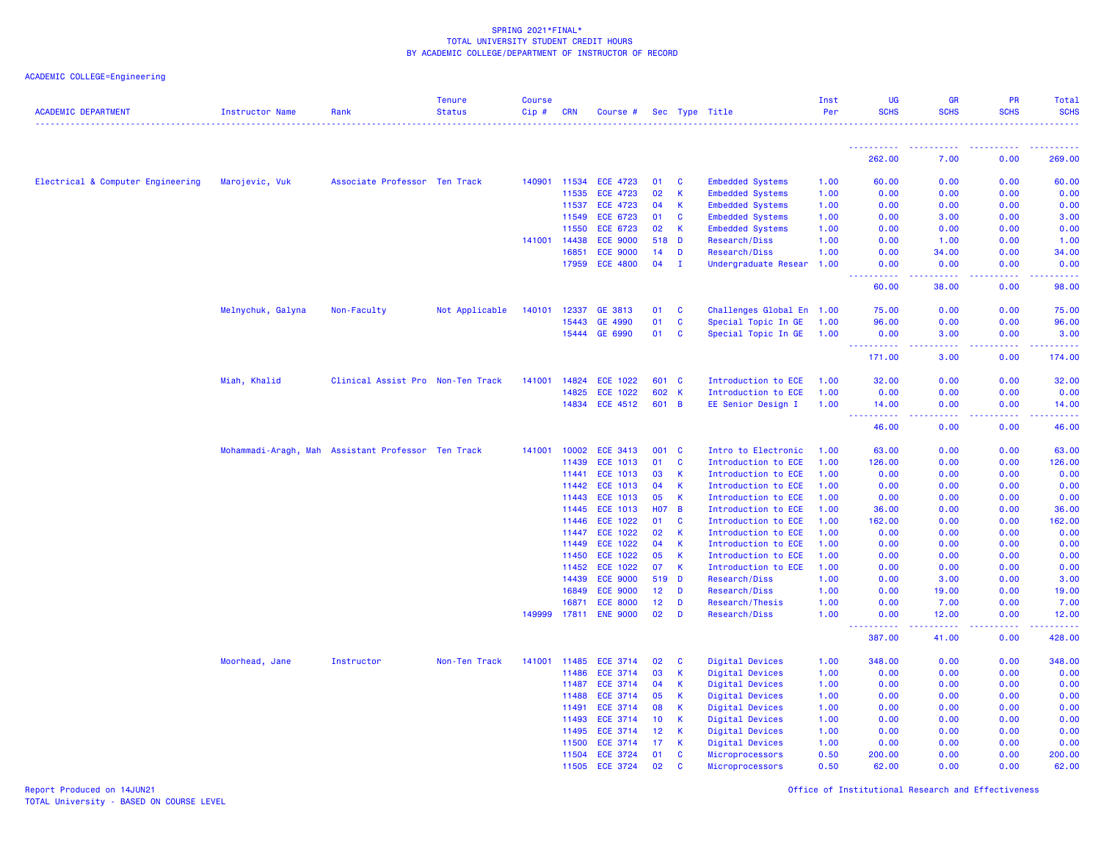# ACADEMIC COLLEGE=Engineering

| <b>ACADEMIC DEPARTMENT</b>        | <b>Instructor Name</b> | Rank                                               | <b>Tenure</b><br><b>Status</b> | Course<br>$Cip$ # | <b>CRN</b>     | Course #                           |                 |                | Sec Type Title                       | Inst<br>Per  | UG<br><b>SCHS</b>                                                                                               | <b>GR</b><br><b>SCHS</b>                                                                                                           | PR<br><b>SCHS</b> | <b>Total</b><br><b>SCHS</b> |
|-----------------------------------|------------------------|----------------------------------------------------|--------------------------------|-------------------|----------------|------------------------------------|-----------------|----------------|--------------------------------------|--------------|-----------------------------------------------------------------------------------------------------------------|------------------------------------------------------------------------------------------------------------------------------------|-------------------|-----------------------------|
|                                   |                        |                                                    |                                |                   |                |                                    |                 |                |                                      |              |                                                                                                                 |                                                                                                                                    |                   |                             |
|                                   |                        |                                                    |                                |                   |                |                                    |                 |                |                                      |              | <u>.</u><br>262.00                                                                                              | 7.00                                                                                                                               | 0.00              | 269.00                      |
| Electrical & Computer Engineering | Marojevic, Vuk         | Associate Professor Ten Track                      |                                | 140901 11534      |                | <b>ECE 4723</b>                    | 01              | C              | <b>Embedded Systems</b>              | 1.00         | 60.00                                                                                                           | 0.00                                                                                                                               | 0.00              | 60.00                       |
|                                   |                        |                                                    |                                |                   | 11535          | <b>ECE 4723</b>                    | 02              | K              | <b>Embedded Systems</b>              | 1.00         | 0.00                                                                                                            | 0.00                                                                                                                               | 0.00              | 0.00                        |
|                                   |                        |                                                    |                                |                   | 11537          | <b>ECE 4723</b>                    | 04              | $\mathsf K$    | <b>Embedded Systems</b>              | 1.00         | 0.00                                                                                                            | 0.00                                                                                                                               | 0.00              | 0.00                        |
|                                   |                        |                                                    |                                |                   | 11549          | <b>ECE 6723</b>                    | 01              | C              | <b>Embedded Systems</b>              | 1.00         | 0.00                                                                                                            | 3.00                                                                                                                               | 0.00              | 3.00                        |
|                                   |                        |                                                    |                                |                   | 11550          | <b>ECE 6723</b>                    | 02              | К              | <b>Embedded Systems</b>              | 1.00         | 0.00                                                                                                            | 0.00                                                                                                                               | 0.00              | 0.00                        |
|                                   |                        |                                                    |                                | 141001            | 14438          | <b>ECE 9000</b>                    | 518             | D              | Research/Diss                        | 1.00         | 0.00                                                                                                            | 1.00                                                                                                                               | 0.00              | 1.00                        |
|                                   |                        |                                                    |                                |                   | 16851          | <b>ECE 9000</b>                    | 14              | D              | Research/Diss                        | 1.00         | 0.00                                                                                                            | 34.00                                                                                                                              | 0.00              | 34.00                       |
|                                   |                        |                                                    |                                |                   | 17959          | <b>ECE 4800</b>                    | 04              | $\mathbf{I}$   | Undergraduate Resear                 | 1.00         | 0.00<br>-----<br>$\frac{1}{2} \left( \frac{1}{2} \right) \left( \frac{1}{2} \right) \left( \frac{1}{2} \right)$ | 0.00<br>.                                                                                                                          | 0.00              | 0.00                        |
|                                   |                        |                                                    |                                |                   |                |                                    |                 |                |                                      |              | 60.00                                                                                                           | 38.00                                                                                                                              | 0.00              | 98.00                       |
|                                   | Melnychuk, Galyna      | Non-Faculty                                        | Not Applicable                 | 140101            | 12337          | GE 3813                            | 01              | C              | Challenges Global En 1.00            |              | 75.00                                                                                                           | 0.00                                                                                                                               | 0.00              | 75.00                       |
|                                   |                        |                                                    |                                |                   | 15443          | GE 4990                            | 01              | C              | Special Topic In GE                  | 1.00         | 96.00                                                                                                           | 0.00                                                                                                                               | 0.00              | 96.00                       |
|                                   |                        |                                                    |                                |                   | 15444          | GE 6990                            | 01              | C              | Special Topic In GE                  | 1.00         | 0.00<br><b>.</b>                                                                                                | 3.00<br>.                                                                                                                          | 0.00<br>.         | 3.00<br>222222              |
|                                   |                        |                                                    |                                |                   |                |                                    |                 |                |                                      |              | 171.00                                                                                                          | 3.00                                                                                                                               | 0.00              | 174.00                      |
|                                   | Miah, Khalid           | Clinical Assist Pro Non-Ten Track                  |                                | 141001            | 14824          | <b>ECE 1022</b>                    | 601 C           |                | Introduction to ECE                  | 1.00         | 32.00                                                                                                           | 0.00                                                                                                                               | 0.00              | 32.00                       |
|                                   |                        |                                                    |                                |                   | 14825          | ECE 1022                           | 602             | $\mathsf{K}$   | Introduction to ECE                  | 1.00         | 0.00                                                                                                            | 0.00                                                                                                                               | 0.00              | 0.00                        |
|                                   |                        |                                                    |                                |                   |                | 14834 ECE 4512                     | 601 B           |                | EE Senior Design I                   | 1.00         | 14.00<br>-----                                                                                                  | 0.00                                                                                                                               | 0.00              | 14.00                       |
|                                   |                        |                                                    |                                |                   |                |                                    |                 |                |                                      |              | 46.00                                                                                                           | 0.00                                                                                                                               | 0.00              | 46.00                       |
|                                   |                        | Mohammadi-Aragh, Mah Assistant Professor Ten Track |                                | 141001 10002      |                | ECE 3413                           | 001 C           |                | Intro to Electronic                  | 1.00         | 63.00                                                                                                           | 0.00                                                                                                                               | 0.00              | 63.00                       |
|                                   |                        |                                                    |                                |                   | 11439          | <b>ECE 1013</b>                    | 01              | C              | Introduction to ECE                  | 1.00         | 126.00                                                                                                          | 0.00                                                                                                                               | 0.00              | 126.00                      |
|                                   |                        |                                                    |                                |                   | 11441          | <b>ECE 1013</b>                    | 03              | К              | Introduction to ECE                  | 1.00         | 0.00                                                                                                            | 0.00                                                                                                                               | 0.00              | 0.00                        |
|                                   |                        |                                                    |                                |                   | 11442          | <b>ECE 1013</b>                    | 04              | K.             | Introduction to ECE                  | 1.00         | 0.00                                                                                                            | 0.00                                                                                                                               | 0.00              | 0.00                        |
|                                   |                        |                                                    |                                |                   | 11443          | <b>ECE 1013</b>                    | 05              | K.             | Introduction to ECE                  | 1.00         | 0.00                                                                                                            | 0.00                                                                                                                               | 0.00              | 0.00                        |
|                                   |                        |                                                    |                                |                   | 11445          | <b>ECE 1013</b>                    | <b>HO7</b>      | $\overline{B}$ | Introduction to ECE                  | 1.00         | 36.00                                                                                                           | 0.00                                                                                                                               | 0.00              | 36.00                       |
|                                   |                        |                                                    |                                |                   | 11446          | ECE 1022                           | 01              | C              | Introduction to ECE                  | 1.00         | 162.00                                                                                                          | 0.00                                                                                                                               | 0.00              | 162.00                      |
|                                   |                        |                                                    |                                |                   | 11447          | <b>ECE 1022</b>                    | 02              | $\mathsf{K}$   | Introduction to ECE                  | 1.00         | 0.00                                                                                                            | 0.00                                                                                                                               | 0.00              | 0.00                        |
|                                   |                        |                                                    |                                |                   | 11449          | <b>ECE 1022</b><br>ECE 1022        | 04<br>05        | K<br>K         | Introduction to ECE                  | 1.00         | 0.00                                                                                                            | 0.00                                                                                                                               | 0.00              | 0.00                        |
|                                   |                        |                                                    |                                |                   | 11450<br>11452 |                                    | 07              | K              | Introduction to ECE                  | 1.00<br>1.00 | 0.00<br>0.00                                                                                                    | 0.00<br>0.00                                                                                                                       | 0.00<br>0.00      | 0.00<br>0.00                |
|                                   |                        |                                                    |                                |                   | 14439          | <b>ECE 1022</b><br><b>ECE 9000</b> | 519             | <b>D</b>       | Introduction to ECE<br>Research/Diss | 1.00         | 0.00                                                                                                            | 3.00                                                                                                                               | 0.00              | 3.00                        |
|                                   |                        |                                                    |                                |                   | 16849          | <b>ECE 9000</b>                    | 12 <sub>2</sub> | D              | Research/Diss                        | 1.00         | 0.00                                                                                                            | 19.00                                                                                                                              | 0.00              | 19.00                       |
|                                   |                        |                                                    |                                |                   | 16871          | <b>ECE 8000</b>                    | 12              | D              | Research/Thesis                      | 1.00         | 0.00                                                                                                            | 7.00                                                                                                                               | 0.00              | 7.00                        |
|                                   |                        |                                                    |                                | 149999 17811      |                | <b>ENE 9000</b>                    | 02              | D              | Research/Diss                        | 1.00         | 0.00                                                                                                            | 12.00                                                                                                                              | 0.00              | 12.00                       |
|                                   |                        |                                                    |                                |                   |                |                                    |                 |                |                                      |              | .<br>387.00                                                                                                     | $\frac{1}{2} \left( \frac{1}{2} \right) \left( \frac{1}{2} \right) \left( \frac{1}{2} \right) \left( \frac{1}{2} \right)$<br>41.00 | .<br>0.00         | .<br>428.00                 |
|                                   | Moorhead, Jane         | Instructor                                         | Non-Ten Track                  | 141001            | 11485          | <b>ECE 3714</b>                    | 02              | C              | <b>Digital Devices</b>               | 1.00         | 348.00                                                                                                          | 0.00                                                                                                                               | 0.00              | 348.00                      |
|                                   |                        |                                                    |                                |                   | 11486          | <b>ECE 3714</b>                    | 03              | K.             | Digital Devices                      | 1.00         | 0.00                                                                                                            | 0.00                                                                                                                               | 0.00              | 0.00                        |
|                                   |                        |                                                    |                                |                   | 11487          | <b>ECE 3714</b>                    | 04              | K              | Digital Devices                      | 1.00         | 0.00                                                                                                            | 0.00                                                                                                                               | 0.00              | 0.00                        |
|                                   |                        |                                                    |                                |                   | 11488          | ECE 3714                           | 05              | $\mathsf K$    | Digital Devices                      | 1.00         | 0.00                                                                                                            | 0.00                                                                                                                               | 0.00              | 0.00                        |
|                                   |                        |                                                    |                                |                   | 11491          | <b>ECE 3714</b>                    | 08              | K.             | Digital Devices                      | 1.00         | 0.00                                                                                                            | 0.00                                                                                                                               | 0.00              | 0.00                        |
|                                   |                        |                                                    |                                |                   | 11493          | <b>ECE 3714</b>                    | 10              | К              | Digital Devices                      | 1.00         | 0.00                                                                                                            | 0.00                                                                                                                               | 0.00              | 0.00                        |
|                                   |                        |                                                    |                                |                   | 11495          | <b>ECE 3714</b>                    | 12              | K              | Digital Devices                      | 1.00         | 0.00                                                                                                            | 0.00                                                                                                                               | 0.00              | 0.00                        |
|                                   |                        |                                                    |                                |                   | 11500          | <b>ECE 3714</b>                    | 17              | <b>K</b>       | Digital Devices                      | 1.00         | 0.00                                                                                                            | 0.00                                                                                                                               | 0.00              | 0.00                        |
|                                   |                        |                                                    |                                |                   | 11504          | <b>ECE 3724</b>                    | 01              | <b>C</b>       | Microprocessors                      | 0.50         | 200.00                                                                                                          | 0.00                                                                                                                               | 0.00              | 200.00                      |
|                                   |                        |                                                    |                                |                   | 11505          | <b>ECE 3724</b>                    | 02              | $\mathbf{c}$   | Microprocessors                      | 0.50         | 62.00                                                                                                           | 0.00                                                                                                                               | 0.00              | 62.00                       |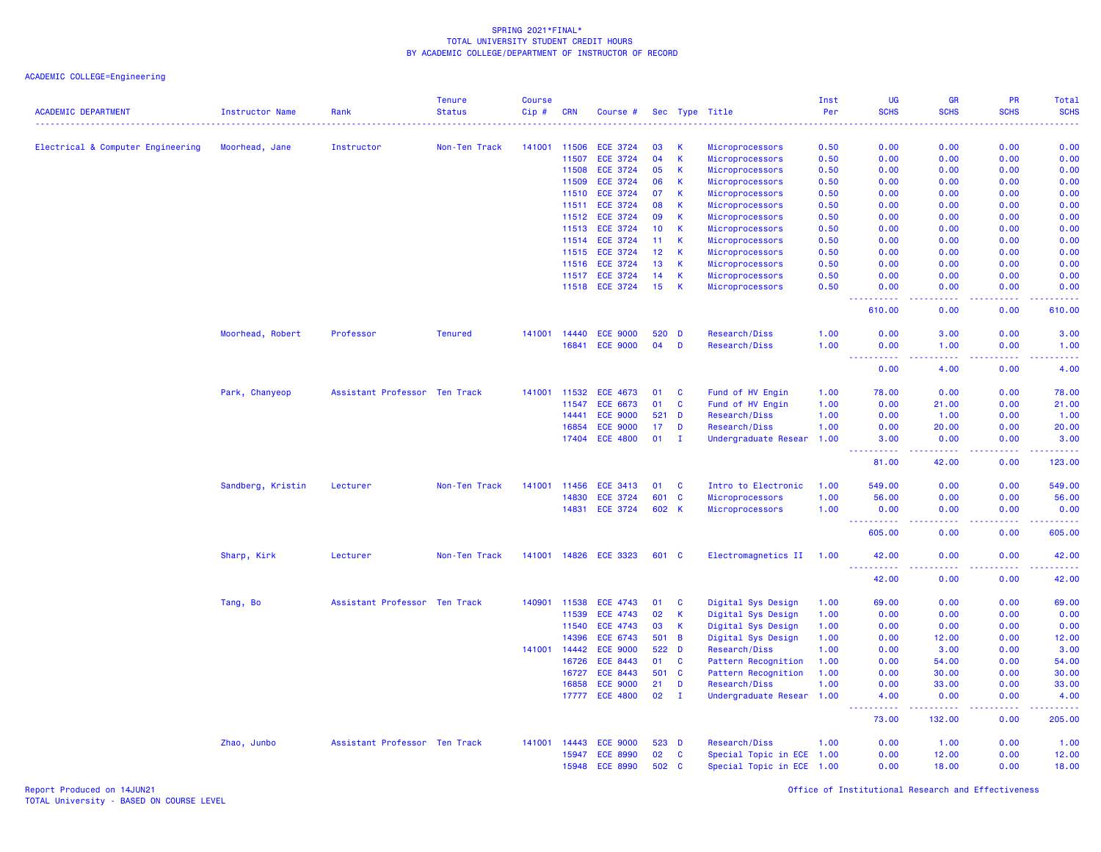ACADEMIC COLLEGE=Engineering

| <b>ACADEMIC DEPARTMENT</b>        | Instructor Name   | Rank                          | <b>Tenure</b><br><b>Status</b> | <b>Course</b><br>Cip# | <b>CRN</b>   | Course #        |       |                | Sec Type Title            | Inst<br>Per<br>$\frac{1}{2} \left( \frac{1}{2} \right) \left( \frac{1}{2} \right) \left( \frac{1}{2} \right) \left( \frac{1}{2} \right) \left( \frac{1}{2} \right)$ | <b>UG</b><br><b>SCHS</b>                                                                                                                                                             | <b>GR</b><br><b>SCHS</b> | <b>PR</b><br><b>SCHS</b> | Total<br><b>SCHS</b><br>----                                                                                                                                 |
|-----------------------------------|-------------------|-------------------------------|--------------------------------|-----------------------|--------------|-----------------|-------|----------------|---------------------------|---------------------------------------------------------------------------------------------------------------------------------------------------------------------|--------------------------------------------------------------------------------------------------------------------------------------------------------------------------------------|--------------------------|--------------------------|--------------------------------------------------------------------------------------------------------------------------------------------------------------|
| Electrical & Computer Engineering | Moorhead, Jane    | Instructor                    | Non-Ten Track                  | 141001                | 11506        | <b>ECE 3724</b> | 03    | К              | Microprocessors           | 0.50                                                                                                                                                                | 0.00                                                                                                                                                                                 | 0.00                     | 0.00                     | 0.00                                                                                                                                                         |
|                                   |                   |                               |                                |                       | 11507        | <b>ECE 3724</b> | 04    | $\mathbf{K}$   | Microprocessors           | 0.50                                                                                                                                                                | 0.00                                                                                                                                                                                 | 0.00                     | 0.00                     | 0.00                                                                                                                                                         |
|                                   |                   |                               |                                |                       | 11508        | <b>ECE 3724</b> | 05    | $\mathbf{K}$   | Microprocessors           | 0.50                                                                                                                                                                | 0.00                                                                                                                                                                                 | 0.00                     | 0.00                     | 0.00                                                                                                                                                         |
|                                   |                   |                               |                                |                       | 11509        | <b>ECE 3724</b> | 06    | <b>K</b>       | Microprocessors           | 0.50                                                                                                                                                                | 0.00                                                                                                                                                                                 | 0.00                     | 0.00                     | 0.00                                                                                                                                                         |
|                                   |                   |                               |                                |                       | 11510        | <b>ECE 3724</b> | 07    | <b>K</b>       | Microprocessors           | 0.50                                                                                                                                                                | 0.00                                                                                                                                                                                 | 0.00                     | 0.00                     | 0.00                                                                                                                                                         |
|                                   |                   |                               |                                |                       | 11511        | <b>ECE 3724</b> | 08    | <b>K</b>       | Microprocessors           | 0.50                                                                                                                                                                | 0.00                                                                                                                                                                                 | 0.00                     | 0.00                     | 0.00                                                                                                                                                         |
|                                   |                   |                               |                                |                       | 11512        | <b>ECE 3724</b> | 09    | $\mathsf K$    | Microprocessors           | 0.50                                                                                                                                                                | 0.00                                                                                                                                                                                 | 0.00                     | 0.00                     | 0.00                                                                                                                                                         |
|                                   |                   |                               |                                |                       | 11513        | <b>ECE 3724</b> | 10    | K              | Microprocessors           | 0.50                                                                                                                                                                | 0.00                                                                                                                                                                                 | 0.00                     | 0.00                     | 0.00                                                                                                                                                         |
|                                   |                   |                               |                                |                       | 11514        | <b>ECE 3724</b> | 11    | $\mathsf{K}$   | Microprocessors           | 0.50                                                                                                                                                                | 0.00                                                                                                                                                                                 | 0.00                     | 0.00                     | 0.00                                                                                                                                                         |
|                                   |                   |                               |                                |                       | 11515        | <b>ECE 3724</b> | 12    | $\mathsf{K}$   | Microprocessors           | 0.50                                                                                                                                                                | 0.00                                                                                                                                                                                 | 0.00                     | 0.00                     | 0.00                                                                                                                                                         |
|                                   |                   |                               |                                |                       | 11516        | <b>ECE 3724</b> | 13    | $\mathsf K$    | Microprocessors           | 0.50                                                                                                                                                                | 0.00                                                                                                                                                                                 | 0.00                     | 0.00                     | 0.00                                                                                                                                                         |
|                                   |                   |                               |                                |                       | 11517        | <b>ECE 3724</b> | 14    | $\mathsf{K}$   | Microprocessors           | 0.50                                                                                                                                                                | 0.00                                                                                                                                                                                 | 0.00                     | 0.00                     | 0.00                                                                                                                                                         |
|                                   |                   |                               |                                |                       |              | 11518 ECE 3724  | 15    | $\mathsf{K}$   | Microprocessors           | 0.50                                                                                                                                                                | 0.00<br>$\frac{1}{2} \left( \frac{1}{2} \right) \left( \frac{1}{2} \right) \left( \frac{1}{2} \right) \left( \frac{1}{2} \right) \left( \frac{1}{2} \right)$<br>$\sim$ $\sim$ $\sim$ | 0.00<br>والمسامين        | 0.00<br>.                | 0.00<br>$\frac{1}{2} \left( \frac{1}{2} \right) \left( \frac{1}{2} \right) \left( \frac{1}{2} \right) \left( \frac{1}{2} \right) \left( \frac{1}{2} \right)$ |
|                                   |                   |                               |                                |                       |              |                 |       |                |                           |                                                                                                                                                                     | 610.00                                                                                                                                                                               | 0.00                     | 0.00                     | 610.00                                                                                                                                                       |
|                                   | Moorhead, Robert  | Professor                     | <b>Tenured</b>                 | 141001                | 14440        | <b>ECE 9000</b> | 520   | D              | Research/Diss             | 1.00                                                                                                                                                                | 0.00                                                                                                                                                                                 | 3.00                     | 0.00                     | 3.00                                                                                                                                                         |
|                                   |                   |                               |                                |                       | 16841        | <b>ECE 9000</b> | 04    | D              | Research/Diss             | 1.00                                                                                                                                                                | 0.00                                                                                                                                                                                 | 1.00                     | 0.00                     | 1.00                                                                                                                                                         |
|                                   |                   |                               |                                |                       |              |                 |       |                |                           |                                                                                                                                                                     | 444<br>.<br>0.00                                                                                                                                                                     | والمالمات<br>4.00        | 0.00                     | 4.00                                                                                                                                                         |
|                                   | Park, Chanyeop    | Assistant Professor Ten Track |                                | 141001                | 11532        | <b>ECE 4673</b> | 01    | $\mathbf{C}$   | Fund of HV Engin          | 1.00                                                                                                                                                                | 78.00                                                                                                                                                                                | 0.00                     | 0.00                     | 78.00                                                                                                                                                        |
|                                   |                   |                               |                                |                       | 11547        | ECE 6673        | 01    | C              | Fund of HV Engin          | 1.00                                                                                                                                                                | 0.00                                                                                                                                                                                 | 21.00                    | 0.00                     | 21.00                                                                                                                                                        |
|                                   |                   |                               |                                |                       | 14441        | <b>ECE 9000</b> | 521   | D              | Research/Diss             | 1.00                                                                                                                                                                | 0.00                                                                                                                                                                                 | 1.00                     | 0.00                     | 1.00                                                                                                                                                         |
|                                   |                   |                               |                                |                       | 16854        | <b>ECE 9000</b> | 17    | D              | Research/Diss             | 1.00                                                                                                                                                                | 0.00                                                                                                                                                                                 | 20.00                    | 0.00                     | 20.00                                                                                                                                                        |
|                                   |                   |                               |                                |                       | 17404        | <b>ECE 4800</b> | 01    | $\mathbf{I}$   | Undergraduate Resear      | 1.00                                                                                                                                                                | 3.00<br>22222                                                                                                                                                                        | 0.00<br>-----            | 0.00                     | 3.00<br>22222)                                                                                                                                               |
|                                   |                   |                               |                                |                       |              |                 |       |                |                           |                                                                                                                                                                     | 81.00                                                                                                                                                                                | 42.00                    | 0.00                     | 123.00                                                                                                                                                       |
|                                   | Sandberg, Kristin | Lecturer                      | Non-Ten Track                  |                       | 141001 11456 | <b>ECE 3413</b> | 01    | $\mathbf{C}$   | Intro to Electronic       | 1.00                                                                                                                                                                | 549.00                                                                                                                                                                               | 0.00                     | 0.00                     | 549.00                                                                                                                                                       |
|                                   |                   |                               |                                |                       | 14830        | <b>ECE 3724</b> | 601   | $\mathbf{C}$   | Microprocessors           | 1.00                                                                                                                                                                | 56.00                                                                                                                                                                                | 0.00                     | 0.00                     | 56.00                                                                                                                                                        |
|                                   |                   |                               |                                |                       | 14831        | <b>ECE 3724</b> | 602 K |                | Microprocessors           | 1.00                                                                                                                                                                | 0.00<br><u> - - - - - - - - - -</u>                                                                                                                                                  | 0.00<br>$   -$           | 0.00<br>.                | 0.00<br>.                                                                                                                                                    |
|                                   |                   |                               |                                |                       |              |                 |       |                |                           |                                                                                                                                                                     | 605.00                                                                                                                                                                               | 0.00                     | 0.00                     | 605.00                                                                                                                                                       |
|                                   | Sharp, Kirk       | Lecturer                      | Non-Ten Track                  |                       | 141001 14826 | <b>ECE 3323</b> |       | 601 C          | Electromagnetics II       | 1.00                                                                                                                                                                | 42.00<br>$\frac{1}{2} \left( \frac{1}{2} \right) \left( \frac{1}{2} \right) \left( \frac{1}{2} \right)$<br>$- - - - - - -$                                                           | 0.00<br>.                | 0.00<br>.                | 42.00<br>.                                                                                                                                                   |
|                                   |                   |                               |                                |                       |              |                 |       |                |                           |                                                                                                                                                                     | 42.00                                                                                                                                                                                | 0.00                     | 0.00                     | 42.00                                                                                                                                                        |
|                                   | Tang, Bo          | Assistant Professor           | Ten Track                      | 140901                | 11538        | <b>ECE 4743</b> | 01    | <b>C</b>       | Digital Sys Design        | 1.00                                                                                                                                                                | 69.00                                                                                                                                                                                | 0.00                     | 0.00                     | 69.00                                                                                                                                                        |
|                                   |                   |                               |                                |                       | 11539        | ECE 4743        | 02    | $\mathbf K$    | Digital Sys Design        | 1.00                                                                                                                                                                | 0.00                                                                                                                                                                                 | 0.00                     | 0.00                     | 0.00                                                                                                                                                         |
|                                   |                   |                               |                                |                       | 11540        | <b>ECE 4743</b> | 03    | <b>K</b>       | Digital Sys Design        | 1.00                                                                                                                                                                | 0.00                                                                                                                                                                                 | 0.00                     | 0.00                     | 0.00                                                                                                                                                         |
|                                   |                   |                               |                                |                       | 14396        | ECE 6743        | 501   | $\overline{B}$ | Digital Sys Design        | 1.00                                                                                                                                                                | 0.00                                                                                                                                                                                 | 12.00                    | 0.00                     | 12.00                                                                                                                                                        |
|                                   |                   |                               |                                | 141001                | 14442        | <b>ECE 9000</b> |       | 522 D          | Research/Diss             | 1.00                                                                                                                                                                | 0.00                                                                                                                                                                                 | 3.00                     | 0.00                     | 3.00                                                                                                                                                         |
|                                   |                   |                               |                                |                       | 16726        | <b>ECE 8443</b> | 01    | $\mathbf{C}$   | Pattern Recognition       | 1.00                                                                                                                                                                | 0.00                                                                                                                                                                                 | 54.00                    | 0.00                     | 54.00                                                                                                                                                        |
|                                   |                   |                               |                                |                       | 16727        | <b>ECE 8443</b> | 501   | $\mathbf{C}$   | Pattern Recognition       | 1.00                                                                                                                                                                | 0.00                                                                                                                                                                                 | 30.00                    | 0.00                     | 30.00                                                                                                                                                        |
|                                   |                   |                               |                                |                       | 16858        | <b>ECE 9000</b> | 21    | D              | Research/Diss             | 1.00                                                                                                                                                                | 0.00                                                                                                                                                                                 | 33.00                    | 0.00                     | 33.00                                                                                                                                                        |
|                                   |                   |                               |                                |                       |              | 17777 ECE 4800  | 02    | $\mathbf{I}$   | Undergraduate Resear 1.00 |                                                                                                                                                                     | 4.00<br>$\omega_{\rm{eff}}$<br>المالما مالما                                                                                                                                         | 0.00<br>.                | 0.00<br>.                | 4.00<br>.                                                                                                                                                    |
|                                   |                   |                               |                                |                       |              |                 |       |                |                           |                                                                                                                                                                     | 73.00                                                                                                                                                                                | 132.00                   | 0.00                     | 205.00                                                                                                                                                       |
|                                   | Zhao, Junbo       | Assistant Professor Ten Track |                                |                       | 141001 14443 | <b>ECE 9000</b> | 523   | <b>D</b>       | Research/Diss             | 1.00                                                                                                                                                                | 0.00                                                                                                                                                                                 | 1.00                     | 0.00                     | 1.00                                                                                                                                                         |
|                                   |                   |                               |                                |                       | 15947        | <b>ECE 8990</b> | 02    | $\mathbf{C}$   | Special Topic in ECE 1.00 |                                                                                                                                                                     | 0.00                                                                                                                                                                                 | 12.00                    | 0.00                     | 12.00                                                                                                                                                        |
|                                   |                   |                               |                                |                       | 15948        | <b>ECE 8990</b> | 502   | $\mathbf{C}$   | Special Topic in ECE 1.00 |                                                                                                                                                                     | 0.00                                                                                                                                                                                 | 18.00                    | 0.00                     | 18.00                                                                                                                                                        |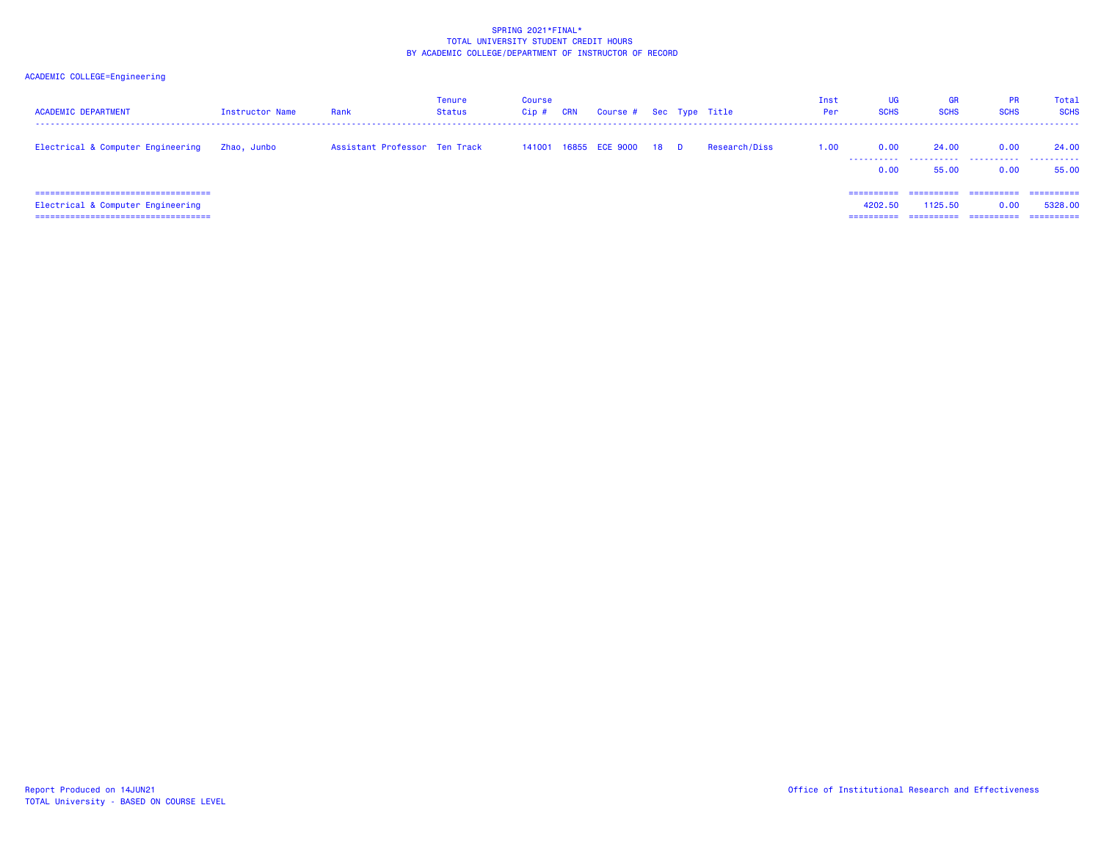| <b>ACADEMIC DEPARTMENT</b>                                                                                            | Instructor Name | Rank                          | <b>Tenure</b><br>Status | Course<br>$C$ ip $#$ | CRN | Course # Sec Type Title    |  |               | Inst<br>Per | UG<br><b>SCHS</b>                   | <b>GR</b><br><b>SCHS</b> | <b>PR</b><br><b>SCHS</b> | Total<br><b>SCHS</b>   |
|-----------------------------------------------------------------------------------------------------------------------|-----------------|-------------------------------|-------------------------|----------------------|-----|----------------------------|--|---------------|-------------|-------------------------------------|--------------------------|--------------------------|------------------------|
| Electrical & Computer Engineering                                                                                     | Zhao, Junbo     | Assistant Professor Ten Track |                         |                      |     | 141001 16855 ECE 9000 18 D |  | Research/Diss | 1.00        | 0.00<br>.<br>0.00                   | 24.00<br>.<br>55.00      | 0.00<br>.<br>0.00        | 24.00<br>.<br>55.00    |
| ======================================<br>Electrical & Computer Engineering<br>====================================== |                 |                               |                         |                      |     |                            |  |               |             | -----------<br>4202.50<br>========= | ==========<br>1125.50    | -----------<br>0.00      | -----------<br>5328,00 |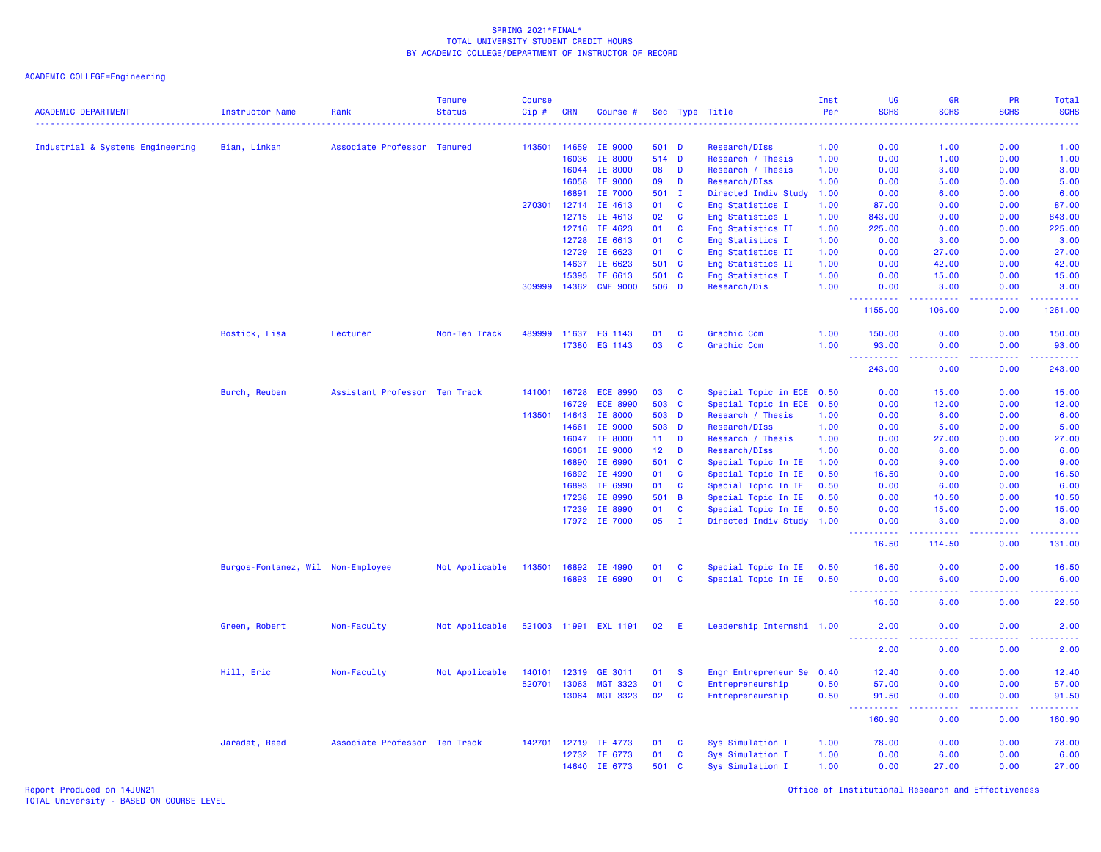ACADEMIC COLLEGE=Engineering

| <b>ACADEMIC DEPARTMENT</b>       | <b>Instructor Name</b>            | Rank                          | <b>Tenure</b><br><b>Status</b> | <b>Course</b><br>Cip# | <b>CRN</b>     | Course #                   |                 |                | Sec Type Title                         | Inst<br>Per  | <b>UG</b><br><b>SCHS</b>               | GR<br><b>SCHS</b> | <b>PR</b><br><b>SCHS</b> | Total<br><b>SCHS</b>                         |
|----------------------------------|-----------------------------------|-------------------------------|--------------------------------|-----------------------|----------------|----------------------------|-----------------|----------------|----------------------------------------|--------------|----------------------------------------|-------------------|--------------------------|----------------------------------------------|
|                                  | .                                 |                               |                                |                       | 14659          | IE 9000                    |                 |                |                                        |              |                                        | 1.00              | 0.00                     | ----                                         |
| Industrial & Systems Engineering | Bian, Linkan                      | Associate Professor Tenured   |                                | 143501                | 16036          | IE 8000                    |                 | 501 D<br>514 D | Research/DIss                          | 1.00         | 0.00                                   |                   |                          | 1.00                                         |
|                                  |                                   |                               |                                |                       | 16044          | IE 8000                    | 08              | D              | Research / Thesis<br>Research / Thesis | 1.00<br>1.00 | 0.00<br>0.00                           | 1.00<br>3.00      | 0.00<br>0.00             | 1.00<br>3.00                                 |
|                                  |                                   |                               |                                |                       | 16058          | IE 9000                    | 09              | D              | Research/DIss                          | 1.00         | 0.00                                   | 5.00              | 0.00                     | 5.00                                         |
|                                  |                                   |                               |                                |                       | 16891          | IE 7000                    | 501             | $\mathbf{I}$   | Directed Indiv Study                   | 1.00         | 0.00                                   | 6.00              | 0.00                     | 6.00                                         |
|                                  |                                   |                               |                                | 270301                | 12714          | IE 4613                    | 01              | <b>C</b>       | Eng Statistics I                       | 1.00         | 87.00                                  | 0.00              | 0.00                     | 87.00                                        |
|                                  |                                   |                               |                                |                       | 12715          | IE 4613                    | 02              | $\mathbf{C}$   | Eng Statistics I                       | 1.00         | 843.00                                 | 0.00              | 0.00                     | 843.00                                       |
|                                  |                                   |                               |                                |                       | 12716          | IE 4623                    | 01              | <b>C</b>       | Eng Statistics II                      | 1.00         | 225.00                                 | 0.00              | 0.00                     | 225.00                                       |
|                                  |                                   |                               |                                |                       | 12728          | IE 6613                    | 01              | C              | Eng Statistics I                       | 1.00         | 0.00                                   | 3.00              | 0.00                     | 3.00                                         |
|                                  |                                   |                               |                                |                       | 12729          | IE 6623                    | 01              | <b>C</b>       | Eng Statistics II                      | 1.00         | 0.00                                   | 27.00             | 0.00                     | 27.00                                        |
|                                  |                                   |                               |                                |                       |                |                            |                 |                |                                        |              |                                        |                   |                          |                                              |
|                                  |                                   |                               |                                |                       | 14637          | IE 6623                    | 501             | <b>C</b>       | Eng Statistics II                      | 1.00         | 0.00                                   | 42.00             | 0.00                     | 42.00                                        |
|                                  |                                   |                               |                                | 309999                | 15395<br>14362 | IE 6613<br><b>CME 9000</b> | 501<br>506 D    | <b>C</b>       | Eng Statistics I<br>Research/Dis       | 1.00<br>1.00 | 0.00<br>0.00                           | 15.00<br>3.00     | 0.00<br>0.00             | 15.00<br>3.00                                |
|                                  |                                   |                               |                                |                       |                |                            |                 |                |                                        |              | <u> - - - - - - - - - -</u><br>1155.00 | .<br>106.00       | -----<br>0.00            | <b><i><u><u>AAAAA</u></u></i></b><br>1261.00 |
|                                  | Bostick, Lisa                     | Lecturer                      | Non-Ten Track                  | 489999                | 11637          | EG 1143                    | 01              | C              | Graphic Com                            | 1.00         | 150.00                                 | 0.00              | 0.00                     | 150.00                                       |
|                                  |                                   |                               |                                |                       | 17380          | EG 1143                    | 03              | C              | Graphic Com                            | 1.00         | 93.00                                  | 0.00              | 0.00                     | 93.00                                        |
|                                  |                                   |                               |                                |                       |                |                            |                 |                |                                        |              | 243.00                                 | 0.00              | 0.00                     | 243.00                                       |
|                                  | Burch, Reuben                     | Assistant Professor Ten Track |                                | 141001                | 16728          | <b>ECE 8990</b>            | 03              | $\mathbf{C}$   | Special Topic in ECE 0.50              |              | 0.00                                   | 15.00             | 0.00                     | 15.00                                        |
|                                  |                                   |                               |                                |                       | 16729          | <b>ECE 8990</b>            | 503             | $\mathbf{C}$   | Special Topic in ECE 0.50              |              | 0.00                                   | 12.00             | 0.00                     | 12.00                                        |
|                                  |                                   |                               |                                | 143501                | 14643          | IE 8000                    | 503             | D              | Research / Thesis                      | 1.00         | 0.00                                   | 6.00              | 0.00                     | 6.00                                         |
|                                  |                                   |                               |                                |                       | 14661          | IE 9000                    | 503             | D              | Research/DIss                          | 1.00         | 0.00                                   | 5.00              | 0.00                     | 5.00                                         |
|                                  |                                   |                               |                                |                       | 16047          | IE 8000                    | 11              | D              | Research / Thesis                      | 1.00         | 0.00                                   | 27.00             | 0.00                     | 27.00                                        |
|                                  |                                   |                               |                                |                       | 16061          | IE 9000                    | 12 <sub>2</sub> | D              | Research/DIss                          | 1.00         | 0.00                                   | 6.00              | 0.00                     | 6.00                                         |
|                                  |                                   |                               |                                |                       | 16890          | IE 6990                    | 501             | <b>C</b>       | Special Topic In IE                    | 1.00         | 0.00                                   | 9.00              | 0.00                     | 9.00                                         |
|                                  |                                   |                               |                                |                       | 16892          | IE 4990                    | 01              | $\mathbf{C}$   | Special Topic In IE                    | 0.50         | 16.50                                  | 0.00              | 0.00                     | 16.50                                        |
|                                  |                                   |                               |                                |                       | 16893          | IE 6990                    | 01              | $\mathbf{C}$   | Special Topic In IE                    | 0.50         | 0.00                                   | 6.00              | 0.00                     | 6.00                                         |
|                                  |                                   |                               |                                |                       | 17238          | IE 8990                    | 501             | $\overline{B}$ | Special Topic In IE                    | 0.50         | 0.00                                   | 10.50             | 0.00                     | 10.50                                        |
|                                  |                                   |                               |                                |                       | 17239          | IE 8990                    | 01              | <b>C</b>       | Special Topic In IE                    | 0.50         | 0.00                                   | 15.00             | 0.00                     | 15.00                                        |
|                                  |                                   |                               |                                |                       |                | 17972 IE 7000              | 05              | $\mathbf{I}$   | Directed Indiv Study 1.00              |              | 0.00                                   | 3.00              | 0.00                     | 3.00                                         |
|                                  |                                   |                               |                                |                       |                |                            |                 |                |                                        |              | .<br>16.50                             | 2222.<br>114.50   | .<br>0.00                | المستملة<br>131.00                           |
|                                  | Burgos-Fontanez, Wil Non-Employee |                               | Not Applicable                 | 143501                | 16892          | IE 4990                    | 01              | <b>C</b>       | Special Topic In IE                    | 0.50         | 16.50                                  | 0.00              | 0.00                     | 16.50                                        |
|                                  |                                   |                               |                                |                       | 16893          | IE 6990                    | 01              | $\mathbf{C}$   | Special Topic In IE 0.50               |              | 0.00<br><u>.</u>                       | 6.00<br>.         | 0.00<br>.                | 6.00<br>.                                    |
|                                  |                                   |                               |                                |                       |                |                            |                 |                |                                        |              | 16.50                                  | 6.00              | 0.00                     | 22.50                                        |
|                                  | Green, Robert                     | Non-Faculty                   | Not Applicable                 |                       |                | 521003 11991 EXL 1191      | 02              | - E            | Leadership Internshi 1.00              |              | 2.00<br>22222                          | 0.00<br>.         | 0.00<br>.                | 2.00<br>2222                                 |
|                                  |                                   |                               |                                |                       |                |                            |                 |                |                                        |              | 2.00                                   | 0.00              | 0.00                     | 2.00                                         |
|                                  | Hill, Eric                        | Non-Faculty                   | Not Applicable                 | 140101                | 12319          | GE 3011                    | 01              | <b>S</b>       | Engr Entrepreneur Se                   | 0.40         | 12.40                                  | 0.00              | 0.00                     | 12.40                                        |
|                                  |                                   |                               |                                | 520701                | 13063          | <b>MGT 3323</b>            | 01              | $\mathbf{C}$   | Entrepreneurship                       | 0.50         | 57.00                                  | 0.00              | 0.00                     | 57.00                                        |
|                                  |                                   |                               |                                |                       | 13064          | <b>MGT 3323</b>            | 02              | <b>C</b>       | Entrepreneurship                       | 0.50         | 91.50                                  | 0.00              | 0.00                     | 91.50                                        |
|                                  |                                   |                               |                                |                       |                |                            |                 |                |                                        |              | 160.90                                 | 0.00              | 0.00                     | 160.90                                       |
|                                  | Jaradat, Raed                     | Associate Professor Ten Track |                                | 142701                | 12719          | IE 4773                    | 01              | <b>C</b>       | Sys Simulation I                       | 1.00         | 78.00                                  | 0.00              | 0.00                     | 78.00                                        |
|                                  |                                   |                               |                                |                       | 12732          | IE 6773                    | 01              | C              | Sys Simulation I                       | 1.00         | 0.00                                   | 6.00              | 0.00                     | 6.00                                         |
|                                  |                                   |                               |                                |                       | 14640          | IE 6773                    |                 | 501 C          | Sys Simulation I                       | 1.00         | 0.00                                   | 27.00             | 0.00                     | 27.00                                        |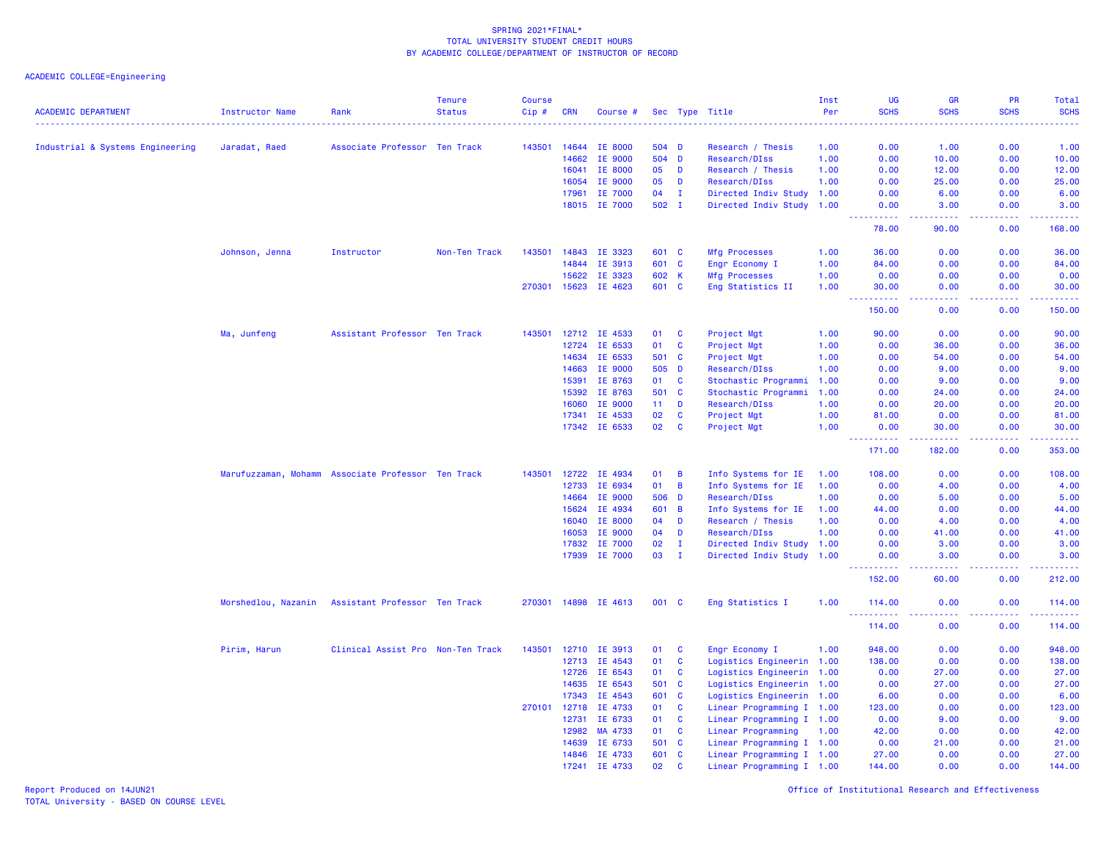ACADEMIC COLLEGE=Engineering

| <b>ACADEMIC DEPARTMENT</b>       | <b>Instructor Name</b> | Rank                                               | <b>Tenure</b><br><b>Status</b> | <b>Course</b><br>Cip# | <b>CRN</b>     | Course #                        |                 |                              | Sec Type Title                                         | Inst<br>Per | <b>UG</b><br><b>SCHS</b> | <b>GR</b><br><b>SCHS</b>                                                                               | <b>PR</b><br><b>SCHS</b> | Total<br><b>SCHS</b>                                                                                                            |
|----------------------------------|------------------------|----------------------------------------------------|--------------------------------|-----------------------|----------------|---------------------------------|-----------------|------------------------------|--------------------------------------------------------|-------------|--------------------------|--------------------------------------------------------------------------------------------------------|--------------------------|---------------------------------------------------------------------------------------------------------------------------------|
|                                  |                        |                                                    |                                | . <u>.</u> .          |                |                                 |                 |                              |                                                        | . <u>.</u>  | <u>.</u>                 | .                                                                                                      | . <b>.</b>               | .                                                                                                                               |
| Industrial & Systems Engineering | Jaradat, Raed          | Associate Professor Ten Track                      |                                | 143501                | 14644          | <b>IE 8000</b>                  | 504 D           |                              | Research / Thesis                                      | 1.00        | 0.00                     | 1.00                                                                                                   | 0.00                     | 1.00                                                                                                                            |
|                                  |                        |                                                    |                                |                       | 14662          | IE 9000                         |                 | 504 D                        | Research/DIss                                          | 1.00        | 0.00                     | 10.00                                                                                                  | 0.00                     | 10.00                                                                                                                           |
|                                  |                        |                                                    |                                |                       | 16041          | IE 8000                         | 05              | D                            | Research / Thesis                                      | 1.00        | 0.00                     | 12.00                                                                                                  | 0.00                     | 12.00                                                                                                                           |
|                                  |                        |                                                    |                                |                       | 16054          | <b>IE 9000</b>                  | 05<br>04        | D                            | Research/DIss                                          | 1.00        | 0.00                     | 25.00                                                                                                  | 0.00                     | 25.00                                                                                                                           |
|                                  |                        |                                                    |                                |                       | 17961          | <b>IE 7000</b><br>18015 IE 7000 | 502 I           | $\mathbf{I}$                 | Directed Indiv Study<br>Directed Indiv Study 1.00      | 1.00        | 0.00<br>0.00             | 6.00<br>3.00                                                                                           | 0.00<br>0.00             | 6.00<br>3.00                                                                                                                    |
|                                  |                        |                                                    |                                |                       |                |                                 |                 |                              |                                                        |             | الداعات عامان<br>78.00   | 22222<br>90.00                                                                                         | 22222<br>0.00            | .<br>168.00                                                                                                                     |
|                                  | Johnson, Jenna         | Instructor                                         | Non-Ten Track                  | 143501                | 14843          | IE 3323                         | 601 C           |                              | Mfg Processes                                          | 1.00        | 36.00                    | 0.00                                                                                                   | 0.00                     | 36.00                                                                                                                           |
|                                  |                        |                                                    |                                |                       | 14844          | IE 3913                         | 601 C           |                              | Engr Economy I                                         | 1.00        | 84.00                    | 0.00                                                                                                   | 0.00                     | 84.00                                                                                                                           |
|                                  |                        |                                                    |                                |                       | 15622          | IE 3323                         | 602 K           |                              | Mfg Processes                                          | 1.00        | 0.00                     | 0.00                                                                                                   | 0.00                     | 0.00                                                                                                                            |
|                                  |                        |                                                    |                                | 270301 15623          |                | IE 4623                         | 601 C           |                              | Eng Statistics II                                      | 1.00        | 30.00                    | 0.00                                                                                                   | 0.00                     | 30.00                                                                                                                           |
|                                  |                        |                                                    |                                |                       |                |                                 |                 |                              |                                                        |             | 22222<br>150.00          | $\frac{1}{2} \left( \frac{1}{2} \right) \left( \frac{1}{2} \right) \left( \frac{1}{2} \right)$<br>0.00 | .<br>0.00                | .<br>150.00                                                                                                                     |
|                                  | Ma, Junfeng            | Assistant Professor Ten Track                      |                                | 143501                | 12712          | IE 4533                         | 01              | C                            | Project Mgt                                            | 1.00        | 90.00                    | 0.00                                                                                                   | 0.00                     | 90.00                                                                                                                           |
|                                  |                        |                                                    |                                |                       | 12724          | IE 6533                         | 01              | $\mathbf{C}$                 | Project Mgt                                            | 1.00        | 0.00                     | 36.00                                                                                                  | 0.00                     | 36.00                                                                                                                           |
|                                  |                        |                                                    |                                |                       | 14634          | IE 6533                         | 501 C           |                              | Project Mgt                                            | 1.00        | 0.00                     | 54.00                                                                                                  | 0.00                     | 54.00                                                                                                                           |
|                                  |                        |                                                    |                                |                       | 14663          | IE 9000                         | 505             | D                            | Research/DIss                                          | 1.00        | 0.00                     | 9.00                                                                                                   | 0.00                     | 9.00                                                                                                                            |
|                                  |                        |                                                    |                                |                       | 15391          | IE 8763                         | 01              | $\mathbf{C}$                 | Stochastic Programmi                                   | 1.00        | 0.00                     | 9.00                                                                                                   | 0.00                     | 9.00                                                                                                                            |
|                                  |                        |                                                    |                                |                       | 15392          | IE 8763                         | 501             | C                            | Stochastic Programmi                                   | 1.00        | 0.00                     | 24.00                                                                                                  | 0.00                     | 24.00                                                                                                                           |
|                                  |                        |                                                    |                                |                       | 16060          | IE 9000                         | 11 <sub>1</sub> | D                            | Research/DIss                                          | 1.00        | 0.00                     | 20.00                                                                                                  | 0.00                     | 20.00                                                                                                                           |
|                                  |                        |                                                    |                                |                       | 17341          | IE 4533                         | 02              | $\mathbf c$                  | Project Mgt                                            | 1.00        | 81.00                    | 0.00                                                                                                   | 0.00                     | 81.00                                                                                                                           |
|                                  |                        |                                                    |                                |                       |                | 17342 IE 6533                   | 02              | <b>C</b>                     | Project Mgt                                            | 1.00        | 0.00<br>22222            | 30.00                                                                                                  | 0.00<br>.                | 30,00<br>المتمامين                                                                                                              |
|                                  |                        |                                                    |                                |                       |                |                                 |                 |                              |                                                        |             | 171.00                   | 182.00                                                                                                 | 0.00                     | 353.00                                                                                                                          |
|                                  |                        | Marufuzzaman, Mohamm Associate Professor Ten Track |                                | 143501                | 12722          | IE 4934                         | 01              | B                            | Info Systems for IE                                    | 1.00        | 108.00                   | 0.00                                                                                                   | 0.00                     | 108.00                                                                                                                          |
|                                  |                        |                                                    |                                |                       | 12733          | IE 6934                         | 01              | $\overline{B}$               | Info Systems for IE                                    | 1.00        | 0.00                     | 4.00                                                                                                   | 0.00                     | 4.00                                                                                                                            |
|                                  |                        |                                                    |                                |                       | 14664          | IE 9000                         | 506             | D                            | Research/DIss                                          | 1.00        | 0.00                     | 5.00                                                                                                   | 0.00                     | 5.00                                                                                                                            |
|                                  |                        |                                                    |                                |                       | 15624          | IE 4934                         | 601             | $\overline{B}$               | Info Systems for IE                                    | 1.00        | 44.00                    | 0.00                                                                                                   | 0.00                     | 44.00                                                                                                                           |
|                                  |                        |                                                    |                                |                       | 16040          | <b>IE 8000</b>                  | 04              | D                            | Research / Thesis                                      | 1.00        | 0.00                     | 4.00                                                                                                   | 0.00                     | 4.00                                                                                                                            |
|                                  |                        |                                                    |                                |                       | 16053          | IE 9000                         | 04              | D                            | Research/DIss                                          | 1.00        | 0.00                     | 41.00                                                                                                  | 0.00                     | 41.00                                                                                                                           |
|                                  |                        |                                                    |                                |                       | 17832          | IE 7000                         | 02              | п                            | Directed Indiv Study                                   | 1.00        | 0.00                     | 3.00                                                                                                   | 0.00                     | 3.00                                                                                                                            |
|                                  |                        |                                                    |                                |                       | 17939          | IE 7000                         | 03              | $\mathbf I$                  | Directed Indiv Study 1.00                              |             | 0.00                     | 3.00<br>$  -$                                                                                          | 0.00                     | 3.00                                                                                                                            |
|                                  |                        |                                                    |                                |                       |                |                                 |                 |                              |                                                        |             | 152.00                   | 60.00                                                                                                  | 0.00                     | 212.00                                                                                                                          |
|                                  | Morshedlou, Nazanin    | Assistant Professor Ten Track                      |                                |                       |                | 270301 14898 IE 4613            | 001 C           |                              | Eng Statistics I                                       | 1.00        | 114.00<br><u>.</u>       | 0.00<br>.                                                                                              | 0.00<br>.                | 114.00<br>$\begin{array}{cccccccccc} \bullet & \bullet & \bullet & \bullet & \bullet & \bullet & \bullet & \bullet \end{array}$ |
|                                  |                        |                                                    |                                |                       |                |                                 |                 |                              |                                                        |             | 114.00                   | 0.00                                                                                                   | 0.00                     | 114.00                                                                                                                          |
|                                  | Pirim, Harun           | Clinical Assist Pro Non-Ten Track                  |                                | 143501                | 12710          | IE 3913                         | 01              | $\mathbf{C}$                 | Engr Economy I                                         | 1.00        | 948.00                   | 0.00                                                                                                   | 0.00                     | 948.00                                                                                                                          |
|                                  |                        |                                                    |                                |                       | 12713          | IE 4543                         | 01              | $\mathbf{C}$                 | Logistics Engineerin 1.00                              |             | 138.00                   | 0.00                                                                                                   | 0.00                     | 138.00                                                                                                                          |
|                                  |                        |                                                    |                                |                       | 12726          | IE 6543                         | 01              | $\mathbf{C}$                 | Logistics Engineerin 1.00                              |             | 0.00                     | 27.00                                                                                                  | 0.00                     | 27.00                                                                                                                           |
|                                  |                        |                                                    |                                |                       | 14635          | IE 6543                         | 501             | <b>C</b>                     | Logistics Engineerin 1.00                              |             | 0.00                     | 27,00                                                                                                  | 0.00                     | 27.00                                                                                                                           |
|                                  |                        |                                                    |                                |                       | 17343          | IE 4543                         | 601             | <b>C</b>                     | Logistics Engineerin 1.00                              |             | 6.00                     | 0.00                                                                                                   | 0.00                     | 6.00                                                                                                                            |
|                                  |                        |                                                    |                                | 270101                | 12718          | IE 4733                         | 01              | $\mathbf{C}$                 | Linear Programming I 1.00                              |             | 123.00                   | 0.00                                                                                                   | 0.00                     | 123.00                                                                                                                          |
|                                  |                        |                                                    |                                |                       | 12731<br>12982 | IE 6733<br>MA 4733              | 01<br>01        | $\mathbf{C}$<br>$\mathbf{C}$ | Linear Programming I 1.00                              |             | 0.00<br>42.00            | 9.00<br>0.00                                                                                           | 0.00<br>0.00             | 9.00<br>42.00                                                                                                                   |
|                                  |                        |                                                    |                                |                       |                | IE 6733                         | 501             | C                            | Linear Programming                                     | 1.00        | 0.00                     |                                                                                                        | 0.00                     |                                                                                                                                 |
|                                  |                        |                                                    |                                |                       | 14639<br>14846 | IE 4733                         | 601             | $\mathbf{C}$                 | Linear Programming I 1.00<br>Linear Programming I 1.00 |             | 27.00                    | 21.00<br>0.00                                                                                          | 0.00                     | 21.00<br>27.00                                                                                                                  |
|                                  |                        |                                                    |                                |                       | 17241          | IE 4733                         | 02              | $\mathbf{c}$                 | Linear Programming I 1.00                              |             | 144.00                   | 0.00                                                                                                   | 0.00                     | 144.00                                                                                                                          |
|                                  |                        |                                                    |                                |                       |                |                                 |                 |                              |                                                        |             |                          |                                                                                                        |                          |                                                                                                                                 |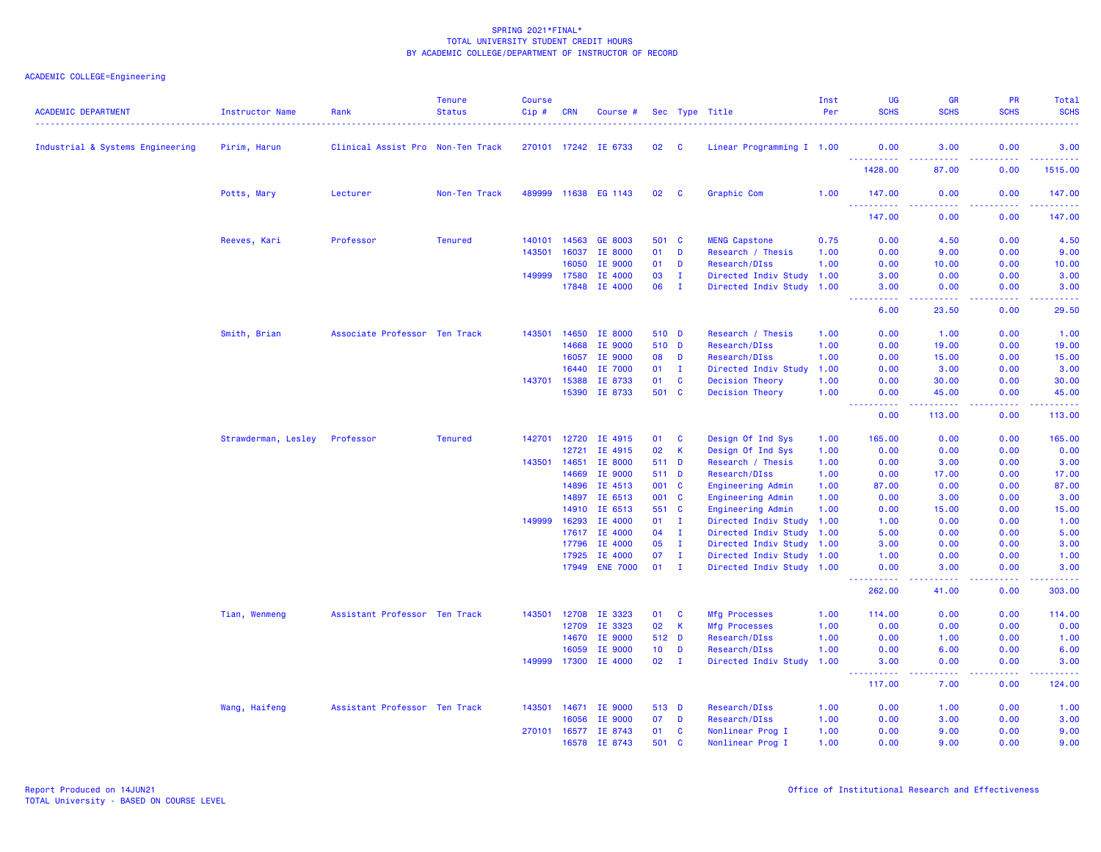| <b>ACADEMIC DEPARTMENT</b>       | Instructor Name     | Rank                              | <b>Tenure</b><br><b>Status</b> | <b>Course</b><br>Cip# | <b>CRN</b> | Course #             |                 |              | Sec Type Title            | Inst<br>Per | <b>UG</b><br><b>SCHS</b>          | GR<br><b>SCHS</b>                   | <b>PR</b><br><b>SCHS</b>            | Total<br><b>SCHS</b>                                                                                                                                         |
|----------------------------------|---------------------|-----------------------------------|--------------------------------|-----------------------|------------|----------------------|-----------------|--------------|---------------------------|-------------|-----------------------------------|-------------------------------------|-------------------------------------|--------------------------------------------------------------------------------------------------------------------------------------------------------------|
| Industrial & Systems Engineering | Pirim, Harun        | Clinical Assist Pro Non-Ten Track |                                |                       |            | 270101 17242 IE 6733 | 02              | C            | Linear Programming I 1.00 |             | 0.00                              | 3.00                                | 0.00                                | 3.00                                                                                                                                                         |
|                                  |                     |                                   |                                |                       |            |                      |                 |              |                           |             | 1428.00                           | .<br>87.00                          | 0.00                                | 1515.00                                                                                                                                                      |
|                                  | Potts, Mary         | Lecturer                          | Non-Ten Track                  |                       |            | 489999 11638 EG 1143 | 02              | C            | Graphic Com               | 1.00        | 147.00                            | 0.00                                | 0.00                                | 147.00                                                                                                                                                       |
|                                  |                     |                                   |                                |                       |            |                      |                 |              |                           |             | .<br>147.00                       | $\sim$ $\sim$ $\sim$ $\sim$<br>0.00 | $\sim$ $\sim$ $\sim$ $\sim$<br>0.00 | د د د د د د د<br>147.00                                                                                                                                      |
|                                  | Reeves, Kari        | Professor                         | <b>Tenured</b>                 | 140101                | 14563      | <b>GE 8003</b>       | 501             | C            | <b>MENG Capstone</b>      | 0.75        | 0.00                              | 4.50                                | 0.00                                | 4.50                                                                                                                                                         |
|                                  |                     |                                   |                                | 143501                | 16037      | IE 8000              | 01              | D            | Research / Thesis         | 1.00        | 0.00                              | 9.00                                | 0.00                                | 9.00                                                                                                                                                         |
|                                  |                     |                                   |                                |                       | 16050      | IE 9000              | 01              | D            | Research/DIss             | 1.00        | 0.00                              | 10.00                               | 0.00                                | 10.00                                                                                                                                                        |
|                                  |                     |                                   |                                | 149999                | 17580      | IE 4000              | 03              | $\mathbf{I}$ | Directed Indiv Study      | 1.00        | 3.00                              | 0.00                                | 0.00                                | 3.00                                                                                                                                                         |
|                                  |                     |                                   |                                |                       | 17848      | IE 4000              | 06              | $\mathbf{I}$ | Directed Indiv Study 1.00 |             | 3.00<br>.<br>$\sim$ $\sim$ $\sim$ | 0.00<br>.                           | 0.00<br>$\sim$ $\sim$ $\sim$ $\sim$ | 3.00<br>$\frac{1}{2} \left( \frac{1}{2} \right) \left( \frac{1}{2} \right) \left( \frac{1}{2} \right) \left( \frac{1}{2} \right) \left( \frac{1}{2} \right)$ |
|                                  |                     |                                   |                                |                       |            |                      |                 |              |                           |             | 6.00                              | 23.50                               | 0.00                                | 29.50                                                                                                                                                        |
|                                  | Smith, Brian        | Associate Professor Ten Track     |                                | 143501                | 14650      | <b>IE 8000</b>       | 510 D           |              | Research / Thesis         | 1.00        | 0.00                              | 1.00                                | 0.00                                | 1.00                                                                                                                                                         |
|                                  |                     |                                   |                                |                       | 14668      | IE 9000              | 510 D           |              | Research/DIss             | 1.00        | 0.00                              | 19.00                               | 0.00                                | 19.00                                                                                                                                                        |
|                                  |                     |                                   |                                |                       | 16057      | <b>IE 9000</b>       | 08              | D            | Research/DIss             | 1.00        | 0.00                              | 15.00                               | 0.00                                | 15.00                                                                                                                                                        |
|                                  |                     |                                   |                                |                       | 16440      | IE 7000              | 01              | $\mathbf I$  | Directed Indiv Study      | 1.00        | 0.00                              | 3.00                                | 0.00                                | 3.00                                                                                                                                                         |
|                                  |                     |                                   |                                | 143701                | 15388      | IE 8733              | 01              | <b>C</b>     | Decision Theory           | 1.00        | 0.00                              | 30.00                               | 0.00                                | 30.00                                                                                                                                                        |
|                                  |                     |                                   |                                |                       | 15390      | IE 8733              | 501 C           |              | <b>Decision Theory</b>    | 1.00        | 0.00<br>.<br>$\sim$ $\sim$ $\sim$ | 45.00<br>.                          | 0.00                                | 45.00<br>.                                                                                                                                                   |
|                                  |                     |                                   |                                |                       |            |                      |                 |              |                           |             | 0.00                              | 113.00                              | 0.00                                | 113.00                                                                                                                                                       |
|                                  | Strawderman, Lesley | Professor                         | <b>Tenured</b>                 | 142701                | 12720      | IE 4915              | 01              | C            | Design Of Ind Sys         | 1.00        | 165.00                            | 0.00                                | 0.00                                | 165.00                                                                                                                                                       |
|                                  |                     |                                   |                                |                       | 12721      | IE 4915              | 02              | К            | Design Of Ind Sys         | 1.00        | 0.00                              | 0.00                                | 0.00                                | 0.00                                                                                                                                                         |
|                                  |                     |                                   |                                | 143501                | 14651      | <b>IE 8000</b>       | 511 D           |              | Research / Thesis         | 1.00        | 0.00                              | 3.00                                | 0.00                                | 3.00                                                                                                                                                         |
|                                  |                     |                                   |                                |                       | 14669      | IE 9000              | 511             | D            | Research/DIss             | 1.00        | 0.00                              | 17.00                               | 0.00                                | 17.00                                                                                                                                                        |
|                                  |                     |                                   |                                |                       | 14896      | IE 4513              | 001             | C            | Engineering Admin         | 1.00        | 87.00                             | 0.00                                | 0.00                                | 87.00                                                                                                                                                        |
|                                  |                     |                                   |                                |                       | 14897      | IE 6513              | 001             | <b>C</b>     | Engineering Admin         | 1.00        | 0.00                              | 3.00                                | 0.00                                | 3.00                                                                                                                                                         |
|                                  |                     |                                   |                                |                       | 14910      | IE 6513              | 551             | <b>C</b>     | <b>Engineering Admin</b>  | 1.00        | 0.00                              | 15.00                               | 0.00                                | 15.00                                                                                                                                                        |
|                                  |                     |                                   |                                | 149999                | 16293      | IE 4000              | 01              | $\mathbf{I}$ | Directed Indiv Study      | 1.00        | 1.00                              | 0.00                                | 0.00                                | 1.00                                                                                                                                                         |
|                                  |                     |                                   |                                |                       | 17617      | IE 4000              | 04              | $\mathbf{I}$ | Directed Indiv Study      | 1.00        | 5.00                              | 0.00                                | 0.00                                | 5.00                                                                                                                                                         |
|                                  |                     |                                   |                                |                       | 17796      | IE 4000              | 05              | $\mathbf I$  | Directed Indiv Study      | 1.00        | 3.00                              | 0.00                                | 0.00                                | 3.00                                                                                                                                                         |
|                                  |                     |                                   |                                |                       | 17925      | IE 4000              | 07              | $\mathbf I$  | Directed Indiv Study 1.00 |             | 1.00                              | 0.00                                | 0.00                                | 1.00                                                                                                                                                         |
|                                  |                     |                                   |                                |                       |            | 17949 ENE 7000       | 01              | $\mathbf{I}$ | Directed Indiv Study 1.00 |             | 0.00<br>.                         | 3.00<br>بالأباد                     | 0.00                                | 3.00<br>$\frac{1}{2} \left( \frac{1}{2} \right) \left( \frac{1}{2} \right) \left( \frac{1}{2} \right) \left( \frac{1}{2} \right)$                            |
|                                  |                     |                                   |                                |                       |            |                      |                 |              |                           |             | 262.00                            | 41.00                               | 0.00                                | 303.00                                                                                                                                                       |
|                                  | Tian, Wenmeng       | Assistant Professor Ten Track     |                                | 143501                | 12708      | IE 3323              | 01              | C            | Mfg Processes             | 1.00        | 114.00                            | 0.00                                | 0.00                                | 114.00                                                                                                                                                       |
|                                  |                     |                                   |                                |                       | 12709      | IE 3323              | 02              | К            | Mfg Processes             | 1.00        | 0.00                              | 0.00                                | 0.00                                | 0.00                                                                                                                                                         |
|                                  |                     |                                   |                                |                       | 14670      | IE 9000              | 512 D           |              | Research/DIss             | 1.00        | 0.00                              | 1.00                                | 0.00                                | 1.00                                                                                                                                                         |
|                                  |                     |                                   |                                |                       | 16059      | IE 9000              | 10 <sup>°</sup> | D            | Research/DIss             | 1.00        | 0.00                              | 6.00                                | 0.00                                | 6.00                                                                                                                                                         |
|                                  |                     |                                   |                                | 149999                | 17300      | IE 4000              | 02              | л.           | Directed Indiv Study      | 1.00        | 3.00<br>.                         | 0.00<br>.                           | 0.00<br>.                           | 3.00<br>.                                                                                                                                                    |
|                                  |                     |                                   |                                |                       |            |                      |                 |              |                           |             | 117.00                            | 7.00                                | 0.00                                | 124.00                                                                                                                                                       |
|                                  | Wang, Haifeng       | Assistant Professor Ten Track     |                                | 143501                | 14671      | IE 9000              | 513             | D            | Research/DIss             | 1.00        | 0.00                              | 1.00                                | 0.00                                | 1.00                                                                                                                                                         |
|                                  |                     |                                   |                                |                       | 16056      | IE 9000              | 07              | D            | Research/DIss             | 1.00        | 0.00                              | 3.00                                | 0.00                                | 3.00                                                                                                                                                         |
|                                  |                     |                                   |                                |                       |            | 270101 16577 IE 8743 | 01              | <b>C</b>     | Nonlinear Prog I          | 1.00        | 0.00                              | 9.00                                | 0.00                                | 9.00                                                                                                                                                         |
|                                  |                     |                                   |                                |                       | 16578      | IE 8743              | 501             | C            | Nonlinear Prog I          | 1.00        | 0.00                              | 9.00                                | 0.00                                | 9.00                                                                                                                                                         |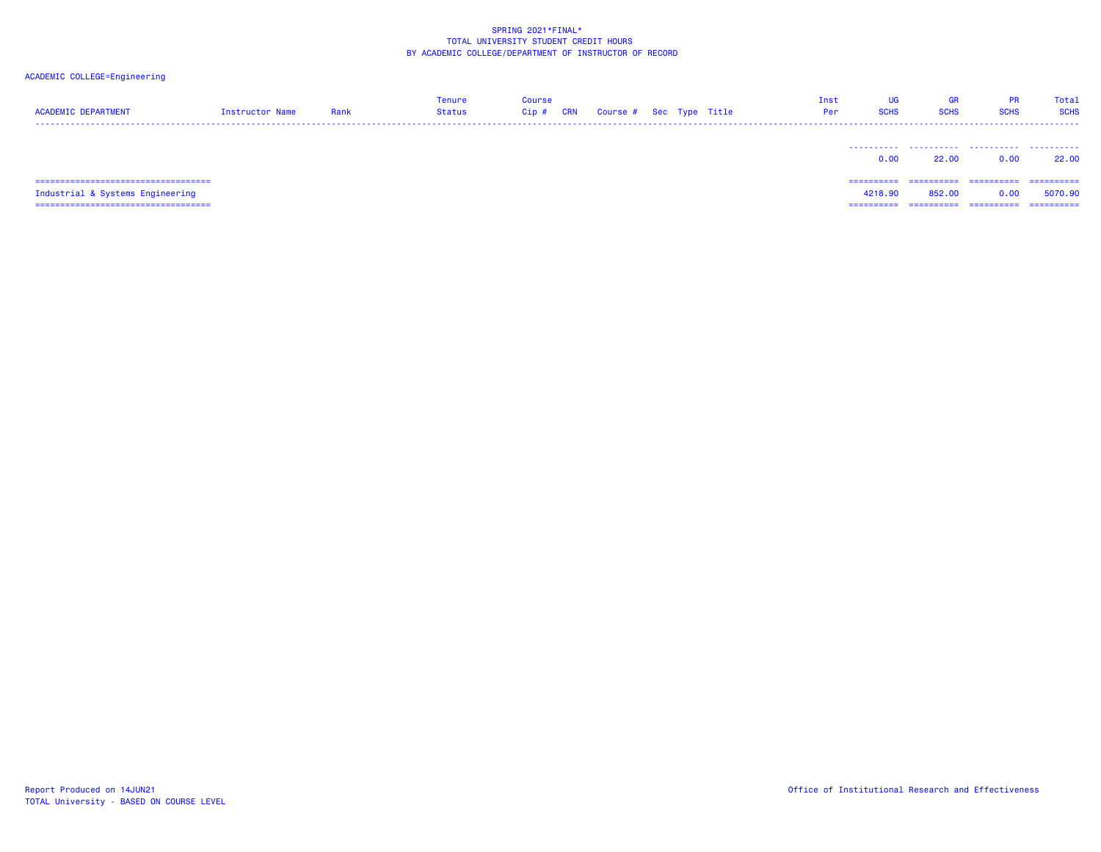| <b>ACADEMIC DEPARTMENT</b>                                                 | Instructor Name | Rank | <b>Tenure</b><br>Status | <b>Course</b><br>Cip# | <b>CRN</b> | Course # Sec Type Title |  | Inst<br>Per | UG<br><b>SCHS</b>     | <b>GR</b><br><b>SCHS</b> | <b>PR</b><br><b>SCHS</b> | Total<br><b>SCHS</b>  |
|----------------------------------------------------------------------------|-----------------|------|-------------------------|-----------------------|------------|-------------------------|--|-------------|-----------------------|--------------------------|--------------------------|-----------------------|
|                                                                            |                 |      |                         |                       |            |                         |  |             | 0.00                  | 22,00                    | 0.00                     | 22.00                 |
| =====================================                                      |                 |      |                         |                       |            |                         |  |             | ==========            | ==========               | -----------              | ==========            |
| Industrial & Systems Engineering<br>====================================== |                 |      |                         |                       |            |                         |  |             | 4218,90<br>========== | 852.00<br>==========     | 0.00<br>==========       | 5070.90<br>========== |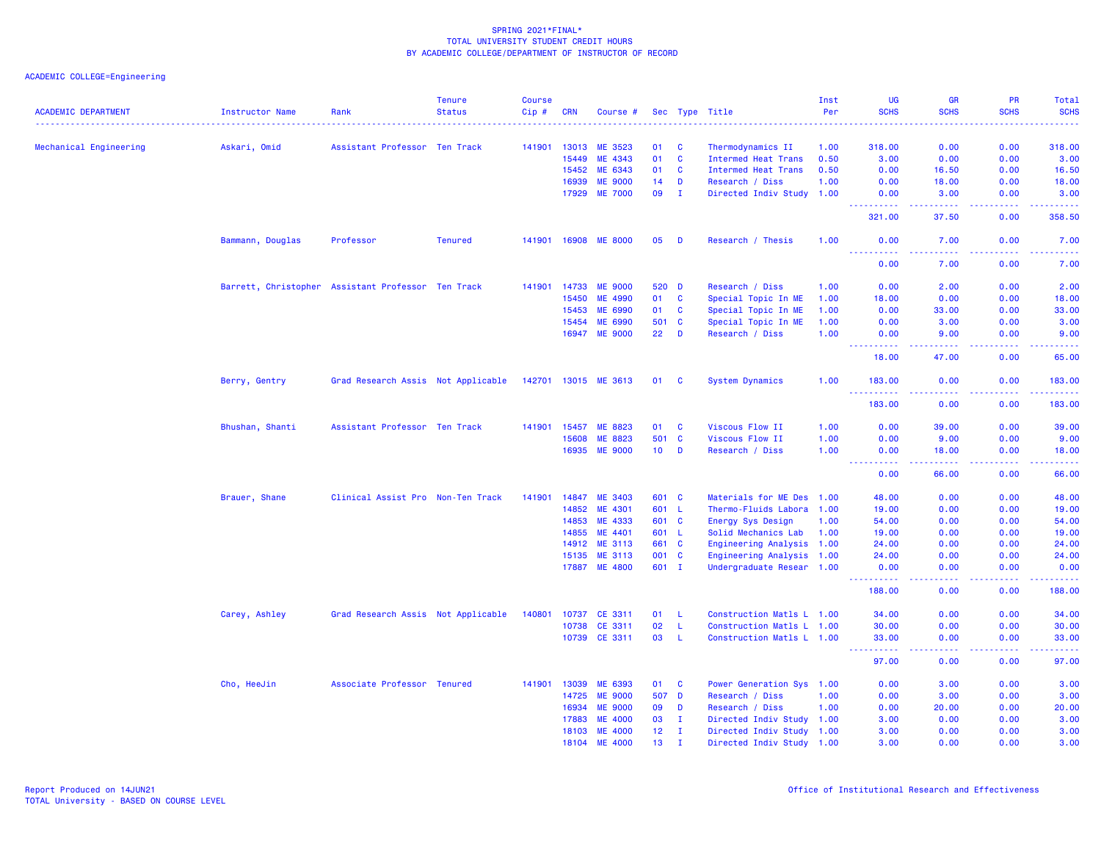| <b>ACADEMIC DEPARTMENT</b> | <b>Instructor Name</b>                             | Rank                               | <b>Tenure</b><br><b>Status</b> | <b>Course</b><br>Cip# | <b>CRN</b>   | Course #             |                 |              | Sec Type Title<br>.        | Inst<br>Per | UG<br><b>SCHS</b>                                                                                                                                              | <b>GR</b><br><b>SCHS</b>                                                                                                          | PR<br><b>SCHS</b> | Total<br><b>SCHS</b><br>.                                                                                                         |
|----------------------------|----------------------------------------------------|------------------------------------|--------------------------------|-----------------------|--------------|----------------------|-----------------|--------------|----------------------------|-------------|----------------------------------------------------------------------------------------------------------------------------------------------------------------|-----------------------------------------------------------------------------------------------------------------------------------|-------------------|-----------------------------------------------------------------------------------------------------------------------------------|
|                            | Askari, Omid                                       | Assistant Professor Ten Track      |                                | 141901                | 13013        | ME 3523              | 01              | C            | Thermodynamics II          | 1.00        | 318.00                                                                                                                                                         | 0.00                                                                                                                              | 0.00              | 318.00                                                                                                                            |
| Mechanical Engineering     |                                                    |                                    |                                |                       | 15449        | ME 4343              | 01              | C            | <b>Intermed Heat Trans</b> | 0.50        | 3.00                                                                                                                                                           | 0.00                                                                                                                              | 0.00              | 3.00                                                                                                                              |
|                            |                                                    |                                    |                                |                       | 15452        | ME 6343              | 01              | C            | <b>Intermed Heat Trans</b> | 0.50        | 0.00                                                                                                                                                           | 16.50                                                                                                                             | 0.00              | 16.50                                                                                                                             |
|                            |                                                    |                                    |                                |                       | 16939        | <b>ME 9000</b>       | 14              | D            | Research / Diss            | 1.00        | 0.00                                                                                                                                                           | 18.00                                                                                                                             | 0.00              | 18.00                                                                                                                             |
|                            |                                                    |                                    |                                |                       | 17929        | <b>ME 7000</b>       | 09              | $\mathbf{I}$ | Directed Indiv Study 1.00  |             | 0.00                                                                                                                                                           | 3.00                                                                                                                              | 0.00              | 3.00                                                                                                                              |
|                            |                                                    |                                    |                                |                       |              |                      |                 |              |                            |             | $\frac{1}{2} \left( \frac{1}{2} \right) \left( \frac{1}{2} \right) \left( \frac{1}{2} \right) \left( \frac{1}{2} \right) \left( \frac{1}{2} \right)$<br>321.00 | -----<br>37.50                                                                                                                    | د د د د .<br>0.00 | وبالمناب<br>358.50                                                                                                                |
|                            | Bammann, Douglas                                   | Professor                          | <b>Tenured</b>                 |                       |              | 141901 16908 ME 8000 | 05              | D            | Research / Thesis          | 1.00        | 0.00                                                                                                                                                           | 7.00                                                                                                                              | 0.00              | 7.00<br>$\frac{1}{2} \left( \frac{1}{2} \right) \left( \frac{1}{2} \right) \left( \frac{1}{2} \right) \left( \frac{1}{2} \right)$ |
|                            |                                                    |                                    |                                |                       |              |                      |                 |              |                            |             | 0.00                                                                                                                                                           | 7.00                                                                                                                              | 0.00              | 7.00                                                                                                                              |
|                            | Barrett, Christopher Assistant Professor Ten Track |                                    |                                |                       | 141901 14733 | <b>ME 9000</b>       | 520 D           |              | Research / Diss            | 1.00        | 0.00                                                                                                                                                           | 2.00                                                                                                                              | 0.00              | 2.00                                                                                                                              |
|                            |                                                    |                                    |                                |                       | 15450        | ME 4990              | 01              | $\mathbf{C}$ | Special Topic In ME        | 1.00        | 18.00                                                                                                                                                          | 0.00                                                                                                                              | 0.00              | 18.00                                                                                                                             |
|                            |                                                    |                                    |                                |                       | 15453        | ME 6990              | 01              | C            | Special Topic In ME        | 1.00        | 0.00                                                                                                                                                           | 33.00                                                                                                                             | 0.00              | 33.00                                                                                                                             |
|                            |                                                    |                                    |                                |                       | 15454        | ME 6990              | 501             | $\mathbf{C}$ | Special Topic In ME        | 1.00        | 0.00                                                                                                                                                           | 3.00                                                                                                                              | 0.00              | 3.00                                                                                                                              |
|                            |                                                    |                                    |                                |                       | 16947        | <b>ME 9000</b>       | 22              | D            | Research / Diss            | 1.00        | 0.00<br>المستمال<br>الماليات                                                                                                                                   | 9.00<br>د د د د د                                                                                                                 | 0.00<br>بالأباد   | 9.00<br>وبالمستريب                                                                                                                |
|                            |                                                    |                                    |                                |                       |              |                      |                 |              |                            |             | 18.00                                                                                                                                                          | 47.00                                                                                                                             | 0.00              | 65.00                                                                                                                             |
|                            | Berry, Gentry                                      | Grad Research Assis Not Applicable |                                |                       |              | 142701 13015 ME 3613 | 01 C            |              | System Dynamics            | 1.00        | 183.00<br>.                                                                                                                                                    | 0.00<br>.                                                                                                                         | 0.00<br>.         | 183.00<br><u>.</u>                                                                                                                |
|                            |                                                    |                                    |                                |                       |              |                      |                 |              |                            |             | 183.00                                                                                                                                                         | 0.00                                                                                                                              | 0.00              | 183.00                                                                                                                            |
|                            | Bhushan, Shanti                                    | Assistant Professor Ten Track      |                                | 141901                | 15457        | ME 8823              | 01              | C            | Viscous Flow II            | 1.00        | 0.00                                                                                                                                                           | 39.00                                                                                                                             | 0.00              | 39.00                                                                                                                             |
|                            |                                                    |                                    |                                |                       | 15608        | ME 8823              | 501 C           |              | Viscous Flow II            | 1.00        | 0.00                                                                                                                                                           | 9.00                                                                                                                              | 0.00              | 9.00                                                                                                                              |
|                            |                                                    |                                    |                                |                       |              | 16935 ME 9000        | $10$ D          |              | Research / Diss            | 1.00        | 0.00<br>$\frac{1}{2} \left( \frac{1}{2} \right) \frac{1}{2} \left( \frac{1}{2} \right)$<br>-----                                                               | 18.00<br>-----                                                                                                                    | 0.00<br>.         | 18.00<br>.                                                                                                                        |
|                            |                                                    |                                    |                                |                       |              |                      |                 |              |                            |             | 0.00                                                                                                                                                           | 66.00                                                                                                                             | 0.00              | 66.00                                                                                                                             |
|                            | Brauer, Shane                                      | Clinical Assist Pro Non-Ten Track  |                                | 141901                | 14847        | <b>ME 3403</b>       | 601 C           |              | Materials for ME Des 1.00  |             | 48.00                                                                                                                                                          | 0.00                                                                                                                              | 0.00              | 48.00                                                                                                                             |
|                            |                                                    |                                    |                                |                       | 14852        | ME 4301              | 601 L           |              | Thermo-Fluids Labora 1.00  |             | 19.00                                                                                                                                                          | 0.00                                                                                                                              | 0.00              | 19.00                                                                                                                             |
|                            |                                                    |                                    |                                |                       | 14853        | ME 4333              | 601 C           |              | Energy Sys Design          | 1.00        | 54.00                                                                                                                                                          | 0.00                                                                                                                              | 0.00              | 54.00                                                                                                                             |
|                            |                                                    |                                    |                                |                       | 14855        | ME 4401              | 601 L           |              | Solid Mechanics Lab        | 1.00        | 19.00                                                                                                                                                          | 0.00                                                                                                                              | 0.00              | 19.00                                                                                                                             |
|                            |                                                    |                                    |                                |                       | 14912        | <b>ME 3113</b>       | 661             | $\mathbf{C}$ | Engineering Analysis 1.00  |             | 24.00                                                                                                                                                          | 0.00                                                                                                                              | 0.00              | 24.00                                                                                                                             |
|                            |                                                    |                                    |                                |                       | 15135        | ME 3113              | 001 C           |              | Engineering Analysis 1.00  |             | 24.00                                                                                                                                                          | 0.00                                                                                                                              | 0.00              | 24.00                                                                                                                             |
|                            |                                                    |                                    |                                |                       |              | 17887 ME 4800        | 601 I           |              | Undergraduate Resear 1.00  |             | 0.00<br>.                                                                                                                                                      | 0.00<br>$\frac{1}{2} \left( \frac{1}{2} \right) \left( \frac{1}{2} \right) \left( \frac{1}{2} \right) \left( \frac{1}{2} \right)$ | 0.00<br>د د د د   | 0.00<br>.                                                                                                                         |
|                            |                                                    |                                    |                                |                       |              |                      |                 |              |                            |             | 188.00                                                                                                                                                         | 0.00                                                                                                                              | 0.00              | 188.00                                                                                                                            |
|                            | Carey, Ashley                                      | Grad Research Assis Not Applicable |                                | 140801                | 10737        | CE 3311              | 01              | -L           | Construction Matls L 1.00  |             | 34.00                                                                                                                                                          | 0.00                                                                                                                              | 0.00              | 34.00                                                                                                                             |
|                            |                                                    |                                    |                                |                       | 10738        | CE 3311              | 02              | L.           | Construction Matls L 1.00  |             | 30.00                                                                                                                                                          | 0.00                                                                                                                              | 0.00              | 30.00                                                                                                                             |
|                            |                                                    |                                    |                                |                       |              | 10739 CE 3311        | 03              | L.           | Construction Matls L 1.00  |             | 33.00                                                                                                                                                          | 0.00                                                                                                                              | 0.00              | 33.00                                                                                                                             |
|                            |                                                    |                                    |                                |                       |              |                      |                 |              |                            |             | 97.00                                                                                                                                                          | 0.00                                                                                                                              | 0.00              | 97.00                                                                                                                             |
|                            | Cho, HeeJin                                        | Associate Professor Tenured        |                                | 141901                | 13039        | ME 6393              | 01              | C            | Power Generation Sys 1.00  |             | 0.00                                                                                                                                                           | 3.00                                                                                                                              | 0.00              | 3.00                                                                                                                              |
|                            |                                                    |                                    |                                |                       | 14725        | <b>ME 9000</b>       | 507 D           |              | Research / Diss            | 1.00        | 0.00                                                                                                                                                           | 3.00                                                                                                                              | 0.00              | 3.00                                                                                                                              |
|                            |                                                    |                                    |                                |                       | 16934        | <b>ME 9000</b>       | 09              | D            | Research / Diss            | 1.00        | 0.00                                                                                                                                                           | 20.00                                                                                                                             | 0.00              | 20.00                                                                                                                             |
|                            |                                                    |                                    |                                |                       | 17883        | <b>ME 4000</b>       | 03              | п.           | Directed Indiv Study 1.00  |             | 3.00                                                                                                                                                           | 0.00                                                                                                                              | 0.00              | 3.00                                                                                                                              |
|                            |                                                    |                                    |                                |                       | 18103        | <b>ME 4000</b>       | 12              | п.           | Directed Indiv Study 1.00  |             | 3.00                                                                                                                                                           | 0.00                                                                                                                              | 0.00              | 3.00                                                                                                                              |
|                            |                                                    |                                    |                                |                       | 18104        | <b>ME 4000</b>       | 13 <sub>1</sub> | $\mathbf I$  | Directed Indiv Study 1.00  |             | 3.00                                                                                                                                                           | 0.00                                                                                                                              | 0.00              | 3.00                                                                                                                              |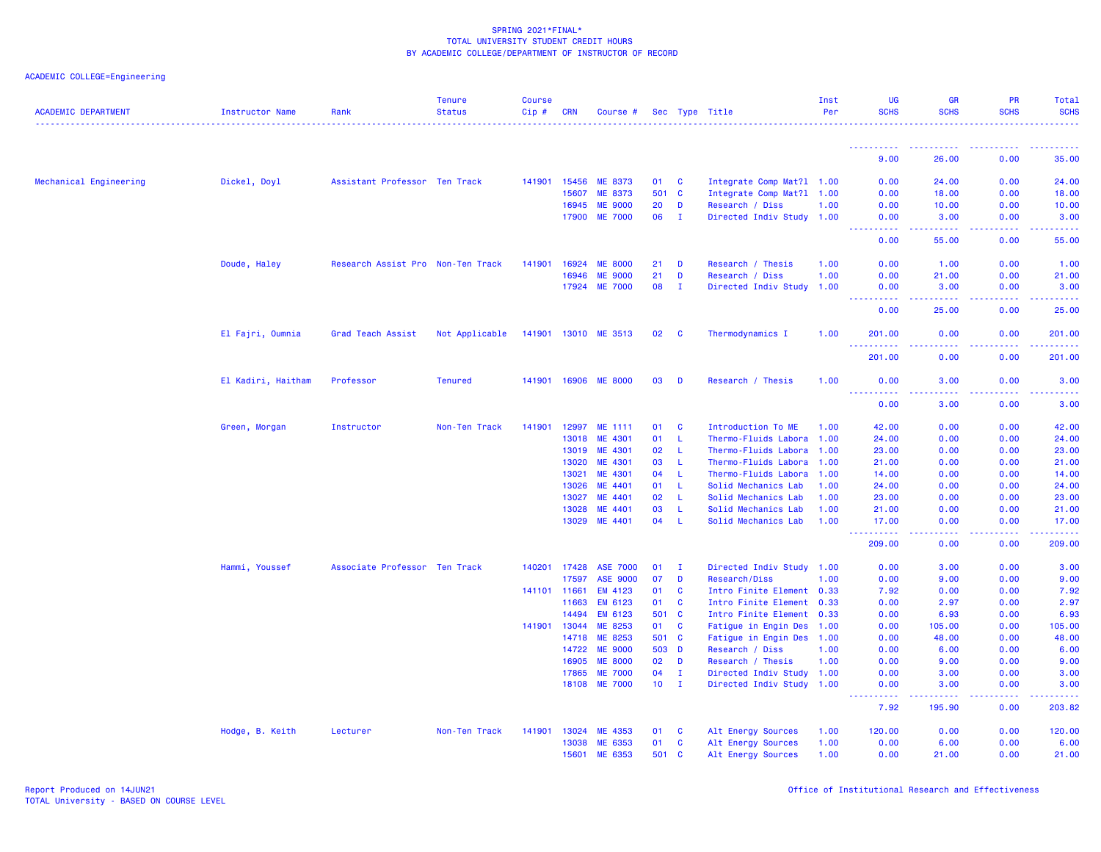| ACADEMIC COLLEGE=Engineering |  |
|------------------------------|--|
|                              |  |

| <b>ACADEMIC DEPARTMENT</b> | Instructor Name    | Rank                              | <b>Tenure</b><br><b>Status</b> | <b>Course</b><br>Cip# | <b>CRN</b>            | Course #                        |              |              | Sec Type Title                                         | Inst<br>Per  | <b>UG</b><br><b>SCHS</b> | <b>GR</b><br><b>SCHS</b> | <b>PR</b><br><b>SCHS</b> | Total<br><b>SCHS</b>                                                                                                                                                                                                                                                                                                                                                                                                                                                                             |
|----------------------------|--------------------|-----------------------------------|--------------------------------|-----------------------|-----------------------|---------------------------------|--------------|--------------|--------------------------------------------------------|--------------|--------------------------|--------------------------|--------------------------|--------------------------------------------------------------------------------------------------------------------------------------------------------------------------------------------------------------------------------------------------------------------------------------------------------------------------------------------------------------------------------------------------------------------------------------------------------------------------------------------------|
|                            |                    |                                   |                                |                       |                       |                                 |              |              |                                                        |              | .                        |                          |                          | .                                                                                                                                                                                                                                                                                                                                                                                                                                                                                                |
|                            |                    |                                   |                                |                       |                       |                                 |              |              |                                                        |              | <u>.</u><br>9.00         | 26.00                    | 0.00                     | 35.00                                                                                                                                                                                                                                                                                                                                                                                                                                                                                            |
| Mechanical Engineering     | Dickel, Doyl       | Assistant Professor Ten Track     |                                |                       | 141901 15456          | ME 8373                         | 01           | C            | Integrate Comp Mat?1 1.00                              |              | 0.00                     | 24.00                    | 0.00                     | 24.00                                                                                                                                                                                                                                                                                                                                                                                                                                                                                            |
|                            |                    |                                   |                                |                       | 15607                 | ME 8373                         | 501 C        |              | Integrate Comp Mat?1                                   | 1.00         | 0.00                     | 18.00                    | 0.00                     | 18.00                                                                                                                                                                                                                                                                                                                                                                                                                                                                                            |
|                            |                    |                                   |                                |                       | 16945                 | <b>ME 9000</b>                  | 20           | D            | Research / Diss                                        | 1.00         | 0.00                     | 10.00                    | 0.00                     | 10.00                                                                                                                                                                                                                                                                                                                                                                                                                                                                                            |
|                            |                    |                                   |                                |                       | 17900                 | <b>ME 7000</b>                  | 06           | $\mathbf{I}$ | Directed Indiv Study 1.00                              |              | 0.00<br>.                | 3.00<br>.                | 0.00<br>.                | 3.00<br>.                                                                                                                                                                                                                                                                                                                                                                                                                                                                                        |
|                            |                    |                                   |                                |                       |                       |                                 |              |              |                                                        |              | 0.00                     | 55.00                    | 0.00                     | 55.00                                                                                                                                                                                                                                                                                                                                                                                                                                                                                            |
|                            | Doude, Haley       | Research Assist Pro Non-Ten Track |                                | 141901                | 16924                 | <b>ME 8000</b>                  | 21           | D            | Research / Thesis                                      | 1.00         | 0.00                     | 1.00                     | 0.00                     | 1.00                                                                                                                                                                                                                                                                                                                                                                                                                                                                                             |
|                            |                    |                                   |                                |                       | 16946                 | <b>ME 9000</b>                  | 21           | D            | Research / Diss                                        | 1.00         | 0.00                     | 21.00                    | 0.00                     | 21.00                                                                                                                                                                                                                                                                                                                                                                                                                                                                                            |
|                            |                    |                                   |                                |                       | 17924                 | <b>ME 7000</b>                  | 08           | - I          | Directed Indiv Study                                   | 1.00         | 0.00<br>د د د د          | 3.00                     | 0.00                     | 3.00                                                                                                                                                                                                                                                                                                                                                                                                                                                                                             |
|                            |                    |                                   |                                |                       |                       |                                 |              |              |                                                        |              | 0.00                     | 25.00                    | 0.00                     | 25.00                                                                                                                                                                                                                                                                                                                                                                                                                                                                                            |
|                            | El Fajri, Oumnia   | Grad Teach Assist                 | Not Applicable                 |                       |                       | 141901 13010 ME 3513            | 02           | <b>C</b>     | Thermodynamics I                                       | 1.00         | 201.00<br><u>.</u>       | 0.00<br>.                | 0.00                     | 201.00<br>$\begin{array}{cccccccccccccc} \multicolumn{2}{c}{} & \multicolumn{2}{c}{} & \multicolumn{2}{c}{} & \multicolumn{2}{c}{} & \multicolumn{2}{c}{} & \multicolumn{2}{c}{} & \multicolumn{2}{c}{} & \multicolumn{2}{c}{} & \multicolumn{2}{c}{} & \multicolumn{2}{c}{} & \multicolumn{2}{c}{} & \multicolumn{2}{c}{} & \multicolumn{2}{c}{} & \multicolumn{2}{c}{} & \multicolumn{2}{c}{} & \multicolumn{2}{c}{} & \multicolumn{2}{c}{} & \multicolumn{2}{c}{} & \multicolumn{2}{c}{} & \$ |
|                            |                    |                                   |                                |                       |                       |                                 |              |              |                                                        |              | 201.00                   | 0.00                     | 0.00                     | 201.00                                                                                                                                                                                                                                                                                                                                                                                                                                                                                           |
|                            | El Kadiri, Haitham | Professor                         | <b>Tenured</b>                 |                       |                       | 141901 16906 ME 8000            | 03           | D            | Research / Thesis                                      | 1.00         | 0.00                     | 3.00                     | 0.00                     | 3.00                                                                                                                                                                                                                                                                                                                                                                                                                                                                                             |
|                            |                    |                                   |                                |                       |                       |                                 |              |              |                                                        |              | <u>.</u><br>0.00         | .<br>3.00                | $- - - - -$<br>0.00      | .<br>3.00                                                                                                                                                                                                                                                                                                                                                                                                                                                                                        |
|                            | Green, Morgan      | Instructor                        | Non-Ten Track                  | 141901                | 12997                 | ME 1111                         | 01           | <b>C</b>     | Introduction To ME                                     | 1.00         | 42.00                    | 0.00                     | 0.00                     | 42.00                                                                                                                                                                                                                                                                                                                                                                                                                                                                                            |
|                            |                    |                                   |                                |                       | 13018                 | ME 4301                         | 01           | L.           | Thermo-Fluids Labora                                   | 1.00         | 24.00                    | 0.00                     | 0.00                     | 24.00                                                                                                                                                                                                                                                                                                                                                                                                                                                                                            |
|                            |                    |                                   |                                |                       | 13019                 | ME 4301                         | 02           | L.           | Thermo-Fluids Labora                                   | 1.00         | 23.00                    | 0.00                     | 0.00                     | 23.00                                                                                                                                                                                                                                                                                                                                                                                                                                                                                            |
|                            |                    |                                   |                                |                       | 13020                 | ME 4301                         | 03           | -L           | Thermo-Fluids Labora                                   | 1.00         | 21.00                    | 0.00                     | 0.00                     | 21.00                                                                                                                                                                                                                                                                                                                                                                                                                                                                                            |
|                            |                    |                                   |                                |                       | 13021                 | ME 4301                         | 04           | L.           | Thermo-Fluids Labora                                   | 1.00         | 14.00                    | 0.00                     | 0.00                     | 14.00                                                                                                                                                                                                                                                                                                                                                                                                                                                                                            |
|                            |                    |                                   |                                |                       | 13026                 | ME 4401                         | 01           | L.           | Solid Mechanics Lab                                    | 1.00         | 24.00                    | 0.00                     | 0.00                     | 24.00                                                                                                                                                                                                                                                                                                                                                                                                                                                                                            |
|                            |                    |                                   |                                |                       | 13027                 | ME 4401                         | 02           | L.           | Solid Mechanics Lab                                    | 1.00         | 23.00                    | 0.00                     | 0.00                     | 23.00                                                                                                                                                                                                                                                                                                                                                                                                                                                                                            |
|                            |                    |                                   |                                |                       | 13028                 | ME 4401                         | 03           | L.           | Solid Mechanics Lab                                    | 1.00         | 21.00                    | 0.00                     | 0.00                     | 21.00                                                                                                                                                                                                                                                                                                                                                                                                                                                                                            |
|                            |                    |                                   |                                |                       | 13029                 | ME 4401                         | 04           | <b>L</b>     | Solid Mechanics Lab                                    | 1.00         | 17.00<br><u>.</u>        | 0.00<br>.                | 0.00<br>22222            | 17.00<br>.                                                                                                                                                                                                                                                                                                                                                                                                                                                                                       |
|                            |                    |                                   |                                |                       |                       |                                 |              |              |                                                        |              | 209.00                   | 0.00                     | 0.00                     | 209.00                                                                                                                                                                                                                                                                                                                                                                                                                                                                                           |
|                            | Hammi, Youssef     | Associate Professor Ten Track     |                                |                       | 140201 17428          | <b>ASE 7000</b>                 | 01           | $\mathbf I$  | Directed Indiv Study 1.00                              |              | 0.00                     | 3.00                     | 0.00                     | 3.00                                                                                                                                                                                                                                                                                                                                                                                                                                                                                             |
|                            |                    |                                   |                                |                       | 17597                 | <b>ASE 9000</b>                 | 07           | D            | Research/Diss                                          | 1.00         | 0.00                     | 9.00                     | 0.00                     | 9.00                                                                                                                                                                                                                                                                                                                                                                                                                                                                                             |
|                            |                    |                                   |                                |                       | 141101 11661          | EM 4123                         | 01           | C            | Intro Finite Element 0.33                              |              | 7.92                     | 0.00                     | 0.00                     | 7.92                                                                                                                                                                                                                                                                                                                                                                                                                                                                                             |
|                            |                    |                                   |                                |                       | 11663                 | EM 6123                         | 01           | C            | Intro Finite Element 0.33                              |              | 0.00                     | 2.97                     | 0.00                     | 2.97                                                                                                                                                                                                                                                                                                                                                                                                                                                                                             |
|                            |                    |                                   |                                |                       | 14494                 | EM 6123                         | 501 C        |              | Intro Finite Element 0.33                              |              | 0.00                     | 6.93                     | 0.00                     | 6.93                                                                                                                                                                                                                                                                                                                                                                                                                                                                                             |
|                            |                    |                                   |                                | 141901                | 13044                 | ME 8253                         | 01           | C            | Fatigue in Engin Des                                   | 1.00         | 0.00                     | 105.00                   | 0.00                     | 105.00                                                                                                                                                                                                                                                                                                                                                                                                                                                                                           |
|                            |                    |                                   |                                |                       | 14718                 | ME 8253                         | 501 C        |              | Fatigue in Engin Des 1.00                              |              | 0.00                     | 48.00                    | 0.00                     | 48.00                                                                                                                                                                                                                                                                                                                                                                                                                                                                                            |
|                            |                    |                                   |                                |                       | 14722                 | <b>ME 9000</b>                  | 503 D        |              | Research / Diss                                        | 1.00         | 0.00                     | 6.00                     | 0.00                     | 6.00                                                                                                                                                                                                                                                                                                                                                                                                                                                                                             |
|                            |                    |                                   |                                |                       | 16905                 | <b>ME 8000</b>                  | 02           | D            | Research / Thesis                                      | 1.00         | 0.00                     | 9.00                     | 0.00                     | 9.00<br>3.00                                                                                                                                                                                                                                                                                                                                                                                                                                                                                     |
|                            |                    |                                   |                                |                       | 17865                 | <b>ME 7000</b><br>18108 ME 7000 | 04<br>$10$ I | $\mathbf{I}$ | Directed Indiv Study 1.00<br>Directed Indiv Study 1.00 |              | 0.00<br>0.00             | 3.00<br>3.00             | 0.00<br>0.00             | 3.00                                                                                                                                                                                                                                                                                                                                                                                                                                                                                             |
|                            |                    |                                   |                                |                       |                       |                                 |              |              |                                                        |              | .<br>$\sim 100$<br>7.92  | 195.90                   | .<br>0.00                | 203.82                                                                                                                                                                                                                                                                                                                                                                                                                                                                                           |
|                            |                    | Lecturer                          |                                |                       |                       | ME 4353                         |              |              |                                                        |              | 120.00                   | 0.00                     | 0.00                     | 120.00                                                                                                                                                                                                                                                                                                                                                                                                                                                                                           |
|                            | Hodge, B. Keith    |                                   | Non-Ten Track                  |                       | 141901 13024<br>13038 | ME 6353                         | 01<br>01     | C<br>C       | Alt Energy Sources                                     | 1.00<br>1.00 | 0.00                     | 6.00                     | 0.00                     |                                                                                                                                                                                                                                                                                                                                                                                                                                                                                                  |
|                            |                    |                                   |                                |                       | 15601                 | ME 6353                         | 501 C        |              | Alt Energy Sources<br>Alt Energy Sources               | 1.00         | 0.00                     | 21.00                    | 0.00                     | 6.00<br>21.00                                                                                                                                                                                                                                                                                                                                                                                                                                                                                    |
|                            |                    |                                   |                                |                       |                       |                                 |              |              |                                                        |              |                          |                          |                          |                                                                                                                                                                                                                                                                                                                                                                                                                                                                                                  |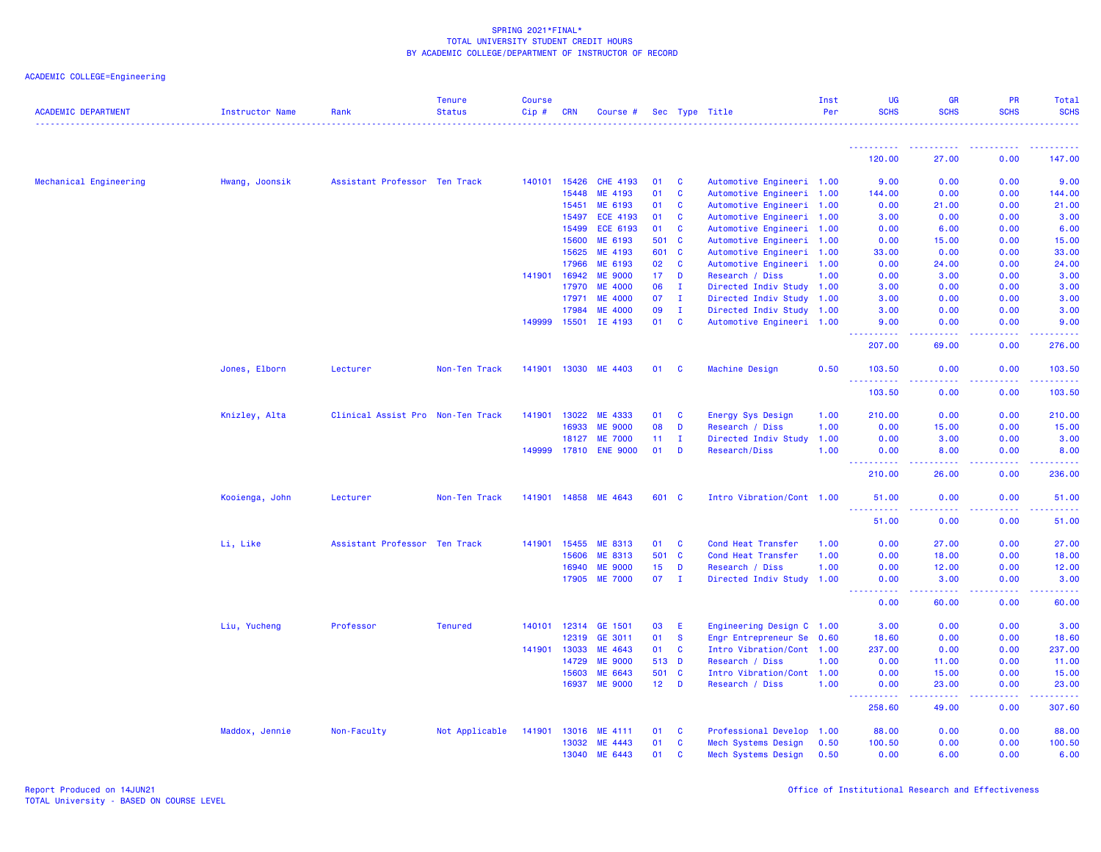# ACADEMIC COLLEGE=Engineering

| <b>ACADEMIC DEPARTMENT</b> | Instructor Name | Rank                              | <b>Tenure</b><br><b>Status</b> | <b>Course</b><br>Cip# | <b>CRN</b>   | Course #              |                 |              | Sec Type Title            | Inst<br>Per | <b>UG</b><br><b>SCHS</b>                                                                                                                   | <b>GR</b><br><b>SCHS</b>                                                                                                                                     | <b>PR</b><br><b>SCHS</b> | Total<br><b>SCHS</b>                                                                                                                                                                                                                                                                                                                                                                                                                                                                             |
|----------------------------|-----------------|-----------------------------------|--------------------------------|-----------------------|--------------|-----------------------|-----------------|--------------|---------------------------|-------------|--------------------------------------------------------------------------------------------------------------------------------------------|--------------------------------------------------------------------------------------------------------------------------------------------------------------|--------------------------|--------------------------------------------------------------------------------------------------------------------------------------------------------------------------------------------------------------------------------------------------------------------------------------------------------------------------------------------------------------------------------------------------------------------------------------------------------------------------------------------------|
|                            |                 |                                   | <u>.</u>                       |                       |              |                       |                 |              |                           |             |                                                                                                                                            |                                                                                                                                                              |                          |                                                                                                                                                                                                                                                                                                                                                                                                                                                                                                  |
|                            |                 |                                   |                                |                       |              |                       |                 |              |                           |             | ----------<br>120.00                                                                                                                       | 27.00                                                                                                                                                        | 0.00                     | 147.00                                                                                                                                                                                                                                                                                                                                                                                                                                                                                           |
| Mechanical Engineering     | Hwang, Joonsik  | Assistant Professor Ten Track     |                                |                       | 140101 15426 | <b>CHE 4193</b>       | 01              | C            | Automotive Engineeri 1.00 |             | 9.00                                                                                                                                       | 0.00                                                                                                                                                         | 0.00                     | 9.00                                                                                                                                                                                                                                                                                                                                                                                                                                                                                             |
|                            |                 |                                   |                                |                       | 15448        | ME 4193               | 01              | C            | Automotive Engineeri 1.00 |             | 144.00                                                                                                                                     | 0.00                                                                                                                                                         | 0.00                     | 144.00                                                                                                                                                                                                                                                                                                                                                                                                                                                                                           |
|                            |                 |                                   |                                |                       | 15451        | ME 6193               | 01              | C            | Automotive Engineeri 1.00 |             | 0.00                                                                                                                                       | 21.00                                                                                                                                                        | 0.00                     | 21.00                                                                                                                                                                                                                                                                                                                                                                                                                                                                                            |
|                            |                 |                                   |                                |                       | 15497        | <b>ECE 4193</b>       | 01              | C            | Automotive Engineeri 1.00 |             | 3.00                                                                                                                                       | 0.00                                                                                                                                                         | 0.00                     | 3.00                                                                                                                                                                                                                                                                                                                                                                                                                                                                                             |
|                            |                 |                                   |                                |                       | 15499        | ECE 6193              | 01              | C            | Automotive Engineeri 1.00 |             | 0.00                                                                                                                                       | 6.00                                                                                                                                                         | 0.00                     | 6.00                                                                                                                                                                                                                                                                                                                                                                                                                                                                                             |
|                            |                 |                                   |                                |                       | 15600        | ME 6193               | 501             | $\mathbf{C}$ | Automotive Engineeri 1.00 |             | 0.00                                                                                                                                       | 15.00                                                                                                                                                        | 0.00                     | 15.00                                                                                                                                                                                                                                                                                                                                                                                                                                                                                            |
|                            |                 |                                   |                                |                       | 15625        | ME 4193               | 601             | $\mathbf{C}$ | Automotive Engineeri 1.00 |             | 33,00                                                                                                                                      | 0.00                                                                                                                                                         | 0.00                     | 33.00                                                                                                                                                                                                                                                                                                                                                                                                                                                                                            |
|                            |                 |                                   |                                |                       | 17966        | ME 6193               | 02              | $\mathbf{C}$ | Automotive Engineeri 1.00 |             | 0.00                                                                                                                                       | 24.00                                                                                                                                                        | 0.00                     | 24.00                                                                                                                                                                                                                                                                                                                                                                                                                                                                                            |
|                            |                 |                                   |                                |                       | 141901 16942 | <b>ME 9000</b>        | 17              | D            | Research / Diss           | 1.00        | 0.00                                                                                                                                       | 3.00                                                                                                                                                         | 0.00                     | 3.00                                                                                                                                                                                                                                                                                                                                                                                                                                                                                             |
|                            |                 |                                   |                                |                       | 17970        | <b>ME 4000</b>        | 06              | - I          | Directed Indiv Study 1.00 |             | 3.00                                                                                                                                       | 0.00                                                                                                                                                         | 0.00                     | 3.00                                                                                                                                                                                                                                                                                                                                                                                                                                                                                             |
|                            |                 |                                   |                                |                       | 17971        | <b>ME 4000</b>        | 07              | $\mathbf{I}$ | Directed Indiv Study 1.00 |             | 3.00                                                                                                                                       | 0.00                                                                                                                                                         | 0.00                     | 3.00                                                                                                                                                                                                                                                                                                                                                                                                                                                                                             |
|                            |                 |                                   |                                |                       | 17984        | <b>ME 4000</b>        | 09              | $\mathbf{I}$ | Directed Indiv Study 1.00 |             | 3.00                                                                                                                                       | 0.00                                                                                                                                                         | 0.00                     | 3.00                                                                                                                                                                                                                                                                                                                                                                                                                                                                                             |
|                            |                 |                                   |                                |                       | 149999 15501 | IE 4193               | 01              | $\mathbf{C}$ | Automotive Engineeri 1.00 |             | 9.00<br>.                                                                                                                                  | 0.00                                                                                                                                                         | 0.00                     | 9.00                                                                                                                                                                                                                                                                                                                                                                                                                                                                                             |
|                            |                 |                                   |                                |                       |              |                       |                 |              |                           |             | 207.00                                                                                                                                     | 69.00                                                                                                                                                        | 0.00                     | 276.00                                                                                                                                                                                                                                                                                                                                                                                                                                                                                           |
|                            | Jones, Elborn   | Lecturer                          | Non-Ten Track                  |                       | 141901 13030 | ME 4403               | 01              | <b>C</b>     | <b>Machine Design</b>     | 0.50        | 103.50<br><b></b>                                                                                                                          | 0.00<br><u>.</u>                                                                                                                                             | 0.00<br>.                | 103.50<br>$\begin{array}{cccccccccccccc} \multicolumn{2}{c}{} & \multicolumn{2}{c}{} & \multicolumn{2}{c}{} & \multicolumn{2}{c}{} & \multicolumn{2}{c}{} & \multicolumn{2}{c}{} & \multicolumn{2}{c}{} & \multicolumn{2}{c}{} & \multicolumn{2}{c}{} & \multicolumn{2}{c}{} & \multicolumn{2}{c}{} & \multicolumn{2}{c}{} & \multicolumn{2}{c}{} & \multicolumn{2}{c}{} & \multicolumn{2}{c}{} & \multicolumn{2}{c}{} & \multicolumn{2}{c}{} & \multicolumn{2}{c}{} & \multicolumn{2}{c}{} & \$ |
|                            |                 |                                   |                                |                       |              |                       |                 |              |                           |             | 103.50                                                                                                                                     | 0.00                                                                                                                                                         | 0.00                     | 103.50                                                                                                                                                                                                                                                                                                                                                                                                                                                                                           |
|                            | Knizley, Alta   | Clinical Assist Pro Non-Ten Track |                                | 141901                | 13022        | ME 4333               | 01              | C            | Energy Sys Design         | 1.00        | 210.00                                                                                                                                     | 0.00                                                                                                                                                         | 0.00                     | 210.00                                                                                                                                                                                                                                                                                                                                                                                                                                                                                           |
|                            |                 |                                   |                                |                       | 16933        | <b>ME 9000</b>        | 08              | D            | Research / Diss           | 1.00        | 0.00                                                                                                                                       | 15.00                                                                                                                                                        | 0.00                     | 15.00                                                                                                                                                                                                                                                                                                                                                                                                                                                                                            |
|                            |                 |                                   |                                |                       | 18127        | <b>ME 7000</b>        | 11              | $\mathbf{I}$ | Directed Indiv Study      | 1.00        | 0.00                                                                                                                                       | 3.00                                                                                                                                                         | 0.00                     | 3.00                                                                                                                                                                                                                                                                                                                                                                                                                                                                                             |
|                            |                 |                                   |                                |                       |              | 149999 17810 ENE 9000 | 01              | D            | Research/Diss             | 1.00        | 0.00                                                                                                                                       | 8.00                                                                                                                                                         | 0.00                     | 8.00                                                                                                                                                                                                                                                                                                                                                                                                                                                                                             |
|                            |                 |                                   |                                |                       |              |                       |                 |              |                           |             | 210.00                                                                                                                                     | 26.00                                                                                                                                                        | 0.00                     | 236.00                                                                                                                                                                                                                                                                                                                                                                                                                                                                                           |
|                            | Kooienga, John  | Lecturer                          | Non-Ten Track                  |                       | 141901 14858 | ME 4643               | 601 C           |              | Intro Vibration/Cont 1.00 |             | 51.00                                                                                                                                      | 0.00                                                                                                                                                         | 0.00                     | 51.00                                                                                                                                                                                                                                                                                                                                                                                                                                                                                            |
|                            |                 |                                   |                                |                       |              |                       |                 |              |                           |             | .<br>51.00                                                                                                                                 | بالأباد<br>0.00                                                                                                                                              | -----<br>0.00            | .<br>51.00                                                                                                                                                                                                                                                                                                                                                                                                                                                                                       |
|                            | Li, Like        | Assistant Professor Ten Track     |                                | 141901                | 15455        | ME 8313               | 01              | C            | Cond Heat Transfer        | 1.00        | 0.00                                                                                                                                       | 27.00                                                                                                                                                        | 0.00                     | 27.00                                                                                                                                                                                                                                                                                                                                                                                                                                                                                            |
|                            |                 |                                   |                                |                       | 15606        | ME 8313               | 501 C           |              | Cond Heat Transfer        | 1.00        | 0.00                                                                                                                                       | 18.00                                                                                                                                                        | 0.00                     | 18.00                                                                                                                                                                                                                                                                                                                                                                                                                                                                                            |
|                            |                 |                                   |                                |                       | 16940        | <b>ME 9000</b>        | 15 <sub>1</sub> | D            | Research / Diss           | 1.00        | 0.00                                                                                                                                       | 12.00                                                                                                                                                        | 0.00                     | 12.00                                                                                                                                                                                                                                                                                                                                                                                                                                                                                            |
|                            |                 |                                   |                                |                       | 17905        | <b>ME 7000</b>        | 07              | $\mathbf{I}$ | Directed Indiv Study 1.00 |             | 0.00<br>22222<br>$\frac{1}{2} \left( \frac{1}{2} \right) \left( \frac{1}{2} \right) \left( \frac{1}{2} \right) \left( \frac{1}{2} \right)$ | 3.00<br>$\frac{1}{2} \left( \frac{1}{2} \right) \left( \frac{1}{2} \right) \left( \frac{1}{2} \right) \left( \frac{1}{2} \right) \left( \frac{1}{2} \right)$ | 0.00<br>الداعات عامان    | 3.00<br>2.2.2.2.2.2                                                                                                                                                                                                                                                                                                                                                                                                                                                                              |
|                            |                 |                                   |                                |                       |              |                       |                 |              |                           |             | 0.00                                                                                                                                       | 60.00                                                                                                                                                        | 0.00                     | 60.00                                                                                                                                                                                                                                                                                                                                                                                                                                                                                            |
|                            | Liu, Yucheng    | Professor                         | <b>Tenured</b>                 |                       | 140101 12314 | GE 1501               | 03              | E            | Engineering Design C 1.00 |             | 3.00                                                                                                                                       | 0.00                                                                                                                                                         | 0.00                     | 3.00                                                                                                                                                                                                                                                                                                                                                                                                                                                                                             |
|                            |                 |                                   |                                |                       | 12319        | GE 3011               | 01              | $\mathbf{s}$ | Engr Entrepreneur Se 0.60 |             | 18.60                                                                                                                                      | 0.00                                                                                                                                                         | 0.00                     | 18.60                                                                                                                                                                                                                                                                                                                                                                                                                                                                                            |
|                            |                 |                                   |                                |                       | 141901 13033 | ME 4643               | 01              | C            | Intro Vibration/Cont 1.00 |             | 237.00                                                                                                                                     | 0.00                                                                                                                                                         | 0.00                     | 237.00                                                                                                                                                                                                                                                                                                                                                                                                                                                                                           |
|                            |                 |                                   |                                |                       | 14729        | <b>ME 9000</b>        | 513 D           |              | Research / Diss           | 1.00        | 0.00                                                                                                                                       | 11.00                                                                                                                                                        | 0.00                     | 11.00                                                                                                                                                                                                                                                                                                                                                                                                                                                                                            |
|                            |                 |                                   |                                |                       | 15603        | ME 6643               | 501 C           |              | Intro Vibration/Cont 1.00 |             | 0.00                                                                                                                                       | 15.00                                                                                                                                                        | 0.00                     | 15.00                                                                                                                                                                                                                                                                                                                                                                                                                                                                                            |
|                            |                 |                                   |                                |                       |              | 16937 ME 9000         | $12$ D          |              | Research / Diss           | 1.00        | 0.00<br><u>.</u>                                                                                                                           | 23.00<br>.                                                                                                                                                   | 0.00<br>.                | 23.00<br>$\begin{array}{cccccccccccccc} \multicolumn{2}{c}{} & \multicolumn{2}{c}{} & \multicolumn{2}{c}{} & \multicolumn{2}{c}{} & \multicolumn{2}{c}{} & \multicolumn{2}{c}{} & \multicolumn{2}{c}{} & \multicolumn{2}{c}{} & \multicolumn{2}{c}{} & \multicolumn{2}{c}{} & \multicolumn{2}{c}{} & \multicolumn{2}{c}{} & \multicolumn{2}{c}{} & \multicolumn{2}{c}{} & \multicolumn{2}{c}{} & \multicolumn{2}{c}{} & \multicolumn{2}{c}{} & \multicolumn{2}{c}{} & \multicolumn{2}{c}{} & \$  |
|                            |                 |                                   |                                |                       |              |                       |                 |              |                           |             | 258.60                                                                                                                                     | 49.00                                                                                                                                                        | 0.00                     | 307.60                                                                                                                                                                                                                                                                                                                                                                                                                                                                                           |
|                            | Maddox, Jennie  | Non-Faculty                       | Not Applicable                 | 141901                | 13016        | ME 4111               | 01              | C            | Professional Develop 1.00 |             | 88.00                                                                                                                                      | 0.00                                                                                                                                                         | 0.00                     | 88.00                                                                                                                                                                                                                                                                                                                                                                                                                                                                                            |
|                            |                 |                                   |                                |                       | 13032        | ME 4443               | 01              | <b>C</b>     | Mech Systems Design       | 0.50        | 100.50                                                                                                                                     | 0.00                                                                                                                                                         | 0.00                     | 100.50                                                                                                                                                                                                                                                                                                                                                                                                                                                                                           |
|                            |                 |                                   |                                |                       | 13040        | ME 6443               | 01              | C            | Mech Systems Design       | 0.50        | 0.00                                                                                                                                       | 6.00                                                                                                                                                         | 0.00                     | 6.00                                                                                                                                                                                                                                                                                                                                                                                                                                                                                             |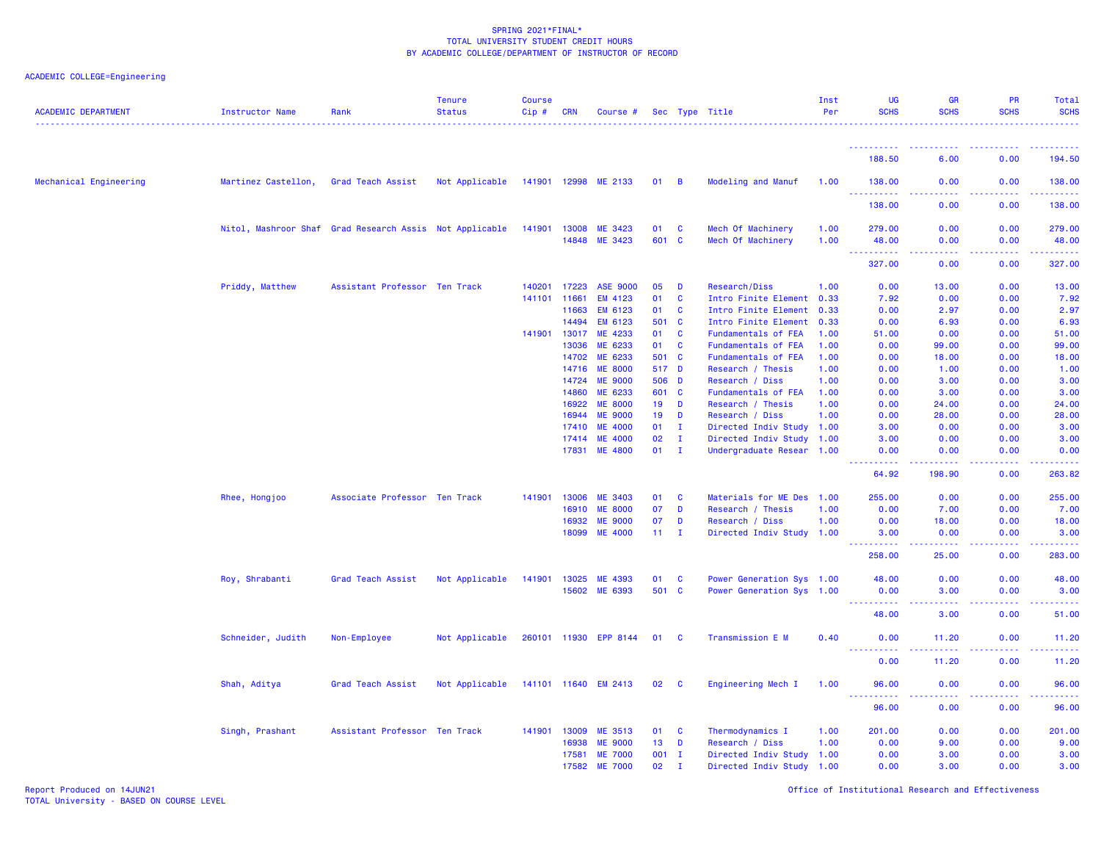# ACADEMIC COLLEGE=Engineering

| <b>ACADEMIC DEPARTMENT</b> | Instructor Name     | Rank                                                    | <b>Tenure</b><br><b>Status</b> | Course<br>Cip# | <b>CRN</b>   | Course #                         |                 |                   | Sec Type Title            | Inst<br>Per | UG<br><b>SCHS</b>                     | <b>GR</b><br><b>SCHS</b> | <b>PR</b><br><b>SCHS</b> | Total<br><b>SCHS</b>     |
|----------------------------|---------------------|---------------------------------------------------------|--------------------------------|----------------|--------------|----------------------------------|-----------------|-------------------|---------------------------|-------------|---------------------------------------|--------------------------|--------------------------|--------------------------|
|                            |                     |                                                         |                                |                |              |                                  |                 |                   |                           |             | <u>.</u>                              |                          |                          |                          |
|                            |                     |                                                         |                                |                |              |                                  |                 |                   |                           |             | 188.50                                | 6.00                     | 0.00                     | 194.50                   |
| Mechanical Engineering     | Martinez Castellon, | Grad Teach Assist                                       | Not Applicable                 |                |              | 141901 12998 ME 2133             | 01              | $\overline{B}$    | Modeling and Manuf        | 1.00        | 138.00                                | 0.00                     | 0.00                     | 138.00                   |
|                            |                     |                                                         |                                |                |              |                                  |                 |                   |                           |             | <u> - - - - - - - - - -</u><br>138.00 | 0.00                     | 0.00                     | المالم مالم ما<br>138.00 |
|                            |                     | Nitol, Mashroor Shaf Grad Research Assis Not Applicable |                                | 141901         | 13008        | ME 3423                          | 01              | $\mathbf{C}$      | Mech Of Machinery         | 1.00        | 279.00                                | 0.00                     | 0.00                     | 279.00                   |
|                            |                     |                                                         |                                |                |              | 14848 ME 3423                    | 601 C           |                   | Mech Of Machinery         | 1.00        | 48.00<br>.<br>$\sim$ $\sim$ .         | 0.00<br>د د د د          | 0.00<br>22222            | 48.00<br>22222           |
|                            |                     |                                                         |                                |                |              |                                  |                 |                   |                           |             | 327.00                                | 0.00                     | 0.00                     | 327.00                   |
|                            | Priddy, Matthew     | Assistant Professor Ten Track                           |                                | 140201         | 17223        | <b>ASE 9000</b>                  | 05              | D                 | Research/Diss             | 1.00        | 0.00                                  | 13.00                    | 0.00                     | 13.00                    |
|                            |                     |                                                         |                                | 141101         | 11661        | EM 4123                          | 01              | C                 | Intro Finite Element      | 0.33        | 7.92                                  | 0.00                     | 0.00                     | 7.92                     |
|                            |                     |                                                         |                                |                | 11663        | <b>EM 6123</b>                   | 01              | C                 | Intro Finite Element      | 0.33        | 0.00                                  | 2.97                     | 0.00                     | 2.97                     |
|                            |                     |                                                         |                                |                | 14494        | EM 6123                          | 501 C           |                   | Intro Finite Element      | 0.33        | 0.00                                  | 6.93                     | 0.00                     | 6.93                     |
|                            |                     |                                                         |                                | 141901         | 13017        | ME 4233                          | 01              | C                 | Fundamentals of FEA       | 1.00        | 51.00                                 | 0.00                     | 0.00                     | 51.00                    |
|                            |                     |                                                         |                                |                | 13036        | ME 6233                          | 01              | <b>C</b>          | Fundamentals of FEA       | 1.00        | 0.00                                  | 99.00                    | 0.00                     | 99.00                    |
|                            |                     |                                                         |                                |                | 14702        | ME 6233                          | 501 C           |                   | Fundamentals of FEA       | 1.00        | 0.00                                  | 18.00                    | 0.00                     | 18.00                    |
|                            |                     |                                                         |                                |                | 14716        | <b>ME 8000</b>                   | 517 D           |                   | Research / Thesis         | 1.00        | 0.00                                  | 1.00                     | 0.00                     | 1.00                     |
|                            |                     |                                                         |                                |                | 14724        | <b>ME 9000</b>                   | 506             | D                 | Research / Diss           | 1.00        | 0.00                                  | 3.00                     | 0.00                     | 3.00                     |
|                            |                     |                                                         |                                |                | 14860        | ME 6233                          | 601             | <b>C</b>          | Fundamentals of FEA       | 1.00        | 0.00                                  | 3.00                     | 0.00                     | 3.00                     |
|                            |                     |                                                         |                                |                | 16922        | <b>ME 8000</b>                   | 19              | D                 | Research / Thesis         | 1.00        | 0.00                                  | 24.00                    | 0.00                     | 24.00                    |
|                            |                     |                                                         |                                |                | 16944        | <b>ME 9000</b>                   | 19              | D<br>$\mathbf{I}$ | Research / Diss           | 1.00        | 0.00                                  | 28.00                    | 0.00                     | 28.00                    |
|                            |                     |                                                         |                                |                | 17410        | <b>ME 4000</b><br><b>ME 4000</b> | 01<br>02        |                   | Directed Indiv Study 1.00 |             | 3.00                                  | 0.00                     | 0.00                     | 3.00                     |
|                            |                     |                                                         |                                |                | 17414        |                                  |                 | $\mathbf{I}$      | Directed Indiv Study 1.00 |             | 3.00                                  | 0.00                     | 0.00                     | 3.00                     |
|                            |                     |                                                         |                                |                | 17831        | <b>ME 4800</b>                   | 01              | $\mathbf{I}$      | Undergraduate Resear 1.00 |             | 0.00<br>بالأباليات                    | 0.00<br>وبالرباب         | 0.00<br>المستبد          | 0.00<br>المالم مالم ما   |
|                            |                     |                                                         |                                |                |              |                                  |                 |                   |                           |             | 64.92                                 | 198.90                   | 0.00                     | 263.82                   |
|                            | Rhee, Hongjoo       | Associate Professor Ten Track                           |                                | 141901         | 13006        | <b>ME 3403</b>                   | 01              | <b>C</b>          | Materials for ME Des      | 1.00        | 255.00                                | 0.00                     | 0.00                     | 255.00                   |
|                            |                     |                                                         |                                |                | 16910        | <b>ME 8000</b>                   | 07              | D                 | Research / Thesis         | 1.00        | 0.00                                  | 7.00                     | 0.00                     | 7.00                     |
|                            |                     |                                                         |                                |                | 16932        | <b>ME 9000</b>                   | 07              | D                 | Research / Diss           | 1.00        | 0.00                                  | 18.00                    | 0.00                     | 18.00                    |
|                            |                     |                                                         |                                |                | 18099        | <b>ME 4000</b>                   | 11 <sub>1</sub> | $\mathbf{I}$      | Directed Indiv Study 1.00 |             | 3.00<br>.                             | 0.00<br>.                | 0.00<br>.                | 3.00<br>.                |
|                            |                     |                                                         |                                |                |              |                                  |                 |                   |                           |             | 258.00                                | 25.00                    | 0.00                     | 283.00                   |
|                            | Roy, Shrabanti      | Grad Teach Assist                                       | Not Applicable                 | 141901         | 13025        | ME 4393                          | 01              | <b>C</b>          | Power Generation Sys 1.00 |             | 48.00                                 | 0.00                     | 0.00                     | 48.00                    |
|                            |                     |                                                         |                                |                |              | 15602 ME 6393                    | 501 C           |                   | Power Generation Sys 1.00 |             | 0.00                                  | 3.00                     | 0.00                     | 3.00                     |
|                            |                     |                                                         |                                |                |              |                                  |                 |                   |                           |             | <u>.</u><br>48.00                     | .<br>3.00                | <b></b><br>0.00          | .<br>51.00               |
|                            | Schneider, Judith   | Non-Employee                                            | Not Applicable                 |                | 260101 11930 | <b>EPP 8144</b>                  | 01              | <b>C</b>          | Transmission E M          | 0.40        | 0.00                                  | 11.20                    | 0.00                     | 11.20                    |
|                            |                     |                                                         |                                |                |              |                                  |                 |                   |                           |             | 0.00                                  | 11.20                    | 0.00                     | المتمامين<br>11.20       |
|                            |                     |                                                         |                                |                |              |                                  |                 |                   |                           |             |                                       |                          |                          |                          |
|                            | Shah, Aditya        | Grad Teach Assist                                       | Not Applicable                 |                |              | 141101 11640 EM 2413             | 02              | C                 | Engineering Mech I        | 1.00        | 96.00<br><u>.</u>                     | 0.00<br>.                | 0.00<br><b></b>          | 96.00<br>.               |
|                            |                     |                                                         |                                |                |              |                                  |                 |                   |                           |             | 96.00                                 | 0.00                     | 0.00                     | 96.00                    |
|                            | Singh, Prashant     | Assistant Professor Ten Track                           |                                | 141901         | 13009        | ME 3513                          | 01              | <b>C</b>          | Thermodynamics I          | 1.00        | 201.00                                | 0.00                     | 0.00                     | 201.00                   |
|                            |                     |                                                         |                                |                | 16938        | <b>ME 9000</b>                   | 13              | D                 | Research / Diss           | 1.00        | 0.00                                  | 9.00                     | 0.00                     | 9.00                     |
|                            |                     |                                                         |                                |                | 17581        | <b>ME 7000</b>                   | $001$ I         |                   | Directed Indiv Study 1.00 |             | 0.00                                  | 3.00                     | 0.00                     | 3.00                     |
|                            |                     |                                                         |                                |                | 17582        | <b>ME 7000</b>                   | 02              | $\mathbf{I}$      | Directed Indiv Study 1.00 |             | 0.00                                  | 3.00                     | 0.00                     | 3.00                     |

Report Produced on 14JUN21 Office of Institutional Research and Effectiveness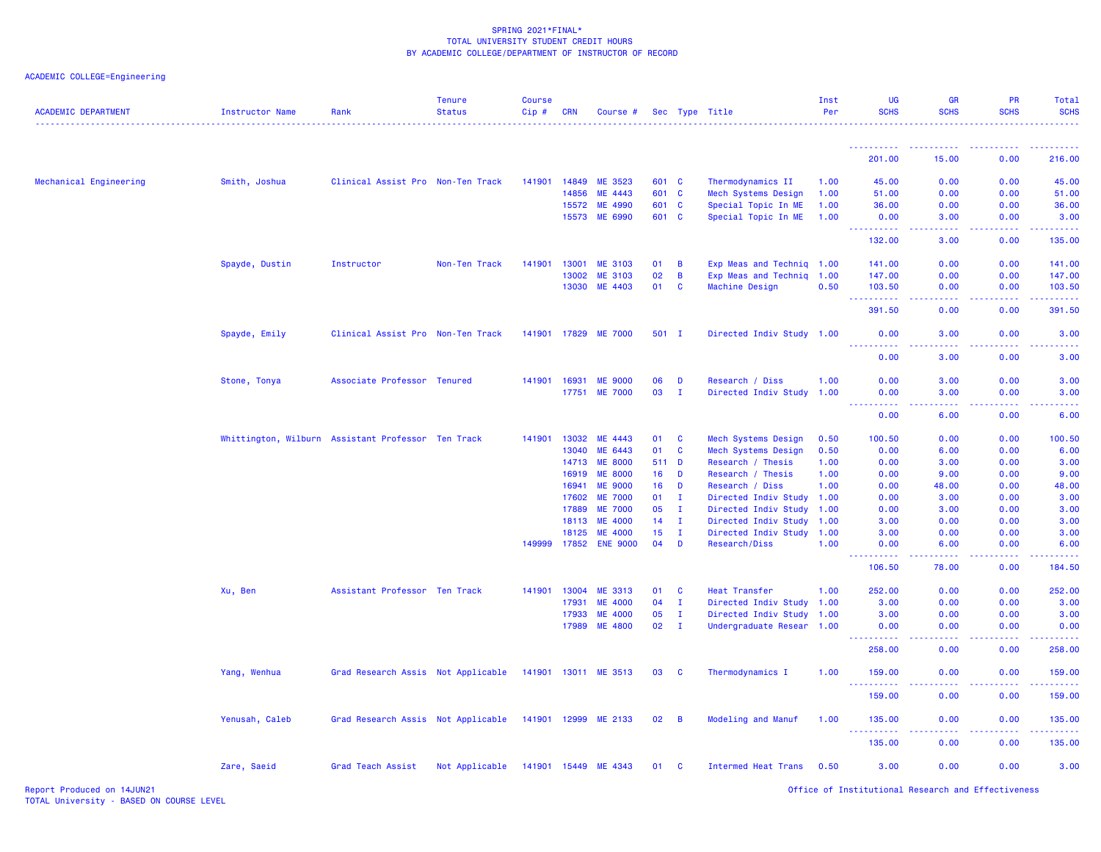| <b>ACADEMIC DEPARTMENT</b> | <b>Instructor Name</b>                             | Rank                               | <b>Tenure</b><br><b>Status</b> | <b>Course</b><br>Cip# | <b>CRN</b>     | Course #                         |          |                              | Sec Type Title                               | Inst<br>Per  | <b>UG</b><br><b>SCHS</b>            | <b>GR</b><br><b>SCHS</b>                                                                                                          | <b>PR</b><br><b>SCHS</b>                                                                                                                                     | Total<br><b>SCHS</b><br>. |
|----------------------------|----------------------------------------------------|------------------------------------|--------------------------------|-----------------------|----------------|----------------------------------|----------|------------------------------|----------------------------------------------|--------------|-------------------------------------|-----------------------------------------------------------------------------------------------------------------------------------|--------------------------------------------------------------------------------------------------------------------------------------------------------------|---------------------------|
|                            |                                                    |                                    |                                |                       |                |                                  |          |                              |                                              |              | <u> - - - - - - - - - -</u>         | . <b>.</b> .                                                                                                                      | . <b>.</b> .                                                                                                                                                 | <u>.</u>                  |
|                            |                                                    |                                    |                                |                       |                |                                  |          |                              |                                              |              | 201.00                              | 15.00                                                                                                                             | 0.00                                                                                                                                                         | 216.00                    |
| Mechanical Engineering     | Smith, Joshua                                      | Clinical Assist Pro Non-Ten Track  |                                | 141901                | 14849          | ME 3523                          | 601 C    |                              | Thermodynamics II                            | 1.00         | 45.00                               | 0.00                                                                                                                              | 0.00                                                                                                                                                         | 45.00                     |
|                            |                                                    |                                    |                                |                       | 14856          | ME 4443                          | 601 C    |                              | Mech Systems Design                          | 1.00         | 51.00                               | 0.00                                                                                                                              | 0.00                                                                                                                                                         | 51.00                     |
|                            |                                                    |                                    |                                |                       | 15572          | ME 4990                          | 601 C    |                              | Special Topic In ME                          | 1.00         | 36.00                               | 0.00                                                                                                                              | 0.00                                                                                                                                                         | 36.00                     |
|                            |                                                    |                                    |                                |                       | 15573          | ME 6990                          | 601 C    |                              | Special Topic In ME                          | 1.00         | 0.00<br>.                           | 3.00<br>.                                                                                                                         | 0.00<br>$\frac{1}{2} \left( \frac{1}{2} \right) \left( \frac{1}{2} \right) \left( \frac{1}{2} \right) \left( \frac{1}{2} \right) \left( \frac{1}{2} \right)$ | 3.00<br>.                 |
|                            |                                                    |                                    |                                |                       |                |                                  |          |                              |                                              |              | 132.00                              | 3.00                                                                                                                              | 0.00                                                                                                                                                         | 135.00                    |
|                            | Spayde, Dustin                                     | Instructor                         | Non-Ten Track                  | 141901                | 13001          | <b>ME 3103</b>                   | 01       | B                            | Exp Meas and Techniq 1.00                    |              | 141.00                              | 0.00                                                                                                                              | 0.00                                                                                                                                                         | 141.00                    |
|                            |                                                    |                                    |                                |                       | 13002          | <b>ME 3103</b>                   | 02       | B                            | Exp Meas and Techniq 1.00                    |              | 147.00                              | 0.00                                                                                                                              | 0.00                                                                                                                                                         | 147.00                    |
|                            |                                                    |                                    |                                |                       | 13030          | ME 4403                          | 01       | $\mathbf{C}$                 | Machine Design                               | 0.50         | 103.50                              | 0.00                                                                                                                              | 0.00                                                                                                                                                         | 103.50                    |
|                            |                                                    |                                    |                                |                       |                |                                  |          |                              |                                              |              | .<br>391.50                         | .<br>0.00                                                                                                                         | -----<br>0.00                                                                                                                                                | .<br>391.50               |
|                            | Spayde, Emily                                      | Clinical Assist Pro Non-Ten Track  |                                |                       |                | 141901 17829 ME 7000             | $501$ I  |                              | Directed Indiv Study 1.00                    |              | 0.00                                | 3.00                                                                                                                              | 0.00                                                                                                                                                         | 3.00                      |
|                            |                                                    |                                    |                                |                       |                |                                  |          |                              |                                              |              | <u>.</u><br>0.00                    | .<br>3.00                                                                                                                         | .<br>0.00                                                                                                                                                    | .<br>3.00                 |
|                            | Stone, Tonya                                       | Associate Professor Tenured        |                                | 141901                | 16931          | <b>ME 9000</b>                   | 06       | D                            | Research / Diss                              | 1.00         | 0.00                                | 3.00                                                                                                                              | 0.00                                                                                                                                                         | 3.00                      |
|                            |                                                    |                                    |                                |                       |                | 17751 ME 7000                    | 03       | $\mathbf{I}$                 | Directed Indiv Study 1.00                    |              | 0.00                                | 3.00                                                                                                                              | 0.00                                                                                                                                                         | 3.00                      |
|                            |                                                    |                                    |                                |                       |                |                                  |          |                              |                                              |              | <u>.</u><br>0.00                    | $\frac{1}{2} \left( \frac{1}{2} \right) \left( \frac{1}{2} \right) \left( \frac{1}{2} \right) \left( \frac{1}{2} \right)$<br>6.00 | $\frac{1}{2} \left( \frac{1}{2} \right) \left( \frac{1}{2} \right) \left( \frac{1}{2} \right) \left( \frac{1}{2} \right) \left( \frac{1}{2} \right)$<br>0.00 | .<br>6.00                 |
|                            | Whittington, Wilburn Assistant Professor Ten Track |                                    |                                |                       | 141901 13032   | ME 4443                          | 01       | $\mathbf{C}$                 | Mech Systems Design                          | 0.50         | 100.50                              | 0.00                                                                                                                              | 0.00                                                                                                                                                         | 100.50                    |
|                            |                                                    |                                    |                                |                       | 13040          | ME 6443                          | 01       | $\mathbf{C}$                 | Mech Systems Design                          | 0.50         | 0.00                                | 6.00                                                                                                                              | 0.00                                                                                                                                                         | 6.00                      |
|                            |                                                    |                                    |                                |                       | 14713          | <b>ME 8000</b>                   | 511 D    |                              | Research / Thesis                            | 1.00         | 0.00                                | 3.00                                                                                                                              | 0.00                                                                                                                                                         | 3.00                      |
|                            |                                                    |                                    |                                |                       | 16919          | <b>ME 8000</b>                   | 16       | <b>D</b>                     | Research / Thesis                            | 1.00         | 0.00                                | 9.00                                                                                                                              | 0.00                                                                                                                                                         | 9.00                      |
|                            |                                                    |                                    |                                |                       | 16941          | <b>ME 9000</b>                   | 16       | $\mathbf{D}$                 | Research / Diss                              | 1.00         | 0.00                                | 48.00                                                                                                                             | 0.00                                                                                                                                                         | 48.00                     |
|                            |                                                    |                                    |                                |                       | 17602          | <b>ME 7000</b>                   | 01       | $\mathbf{I}$                 | Directed Indiv Study 1.00                    |              | 0.00                                | 3.00                                                                                                                              | 0.00                                                                                                                                                         | 3.00                      |
|                            |                                                    |                                    |                                |                       | 17889          | <b>ME 7000</b><br><b>ME 4000</b> | 05<br>14 | $\mathbf{I}$                 | Directed Indiv Study                         | 1.00         | 0.00<br>3.00                        | 3.00<br>0.00                                                                                                                      | 0.00<br>0.00                                                                                                                                                 | 3.00<br>3.00              |
|                            |                                                    |                                    |                                |                       | 18113<br>18125 | <b>ME 4000</b>                   | 15       | $\mathbf{I}$<br>$\mathbf{I}$ | Directed Indiv Study<br>Directed Indiv Study | 1.00<br>1.00 | 3.00                                | 0.00                                                                                                                              | 0.00                                                                                                                                                         | 3.00                      |
|                            |                                                    |                                    |                                | 149999                |                | 17852 ENE 9000                   | 04       | D                            | Research/Diss                                | 1.00         | 0.00                                | 6.00                                                                                                                              | 0.00                                                                                                                                                         | 6.00                      |
|                            |                                                    |                                    |                                |                       |                |                                  |          |                              |                                              |              | .<br>106.50                         | 78.00                                                                                                                             | 0.00                                                                                                                                                         | 184.50                    |
|                            | Xu, Ben                                            | Assistant Professor Ten Track      |                                | 141901                | 13004          | <b>ME 3313</b>                   | 01       | <b>C</b>                     | Heat Transfer                                | 1.00         | 252.00                              | 0.00                                                                                                                              | 0.00                                                                                                                                                         | 252.00                    |
|                            |                                                    |                                    |                                |                       | 17931          | <b>ME 4000</b>                   | 04       | $\mathbf{I}$                 | Directed Indiv Study                         | 1.00         | 3.00                                | 0.00                                                                                                                              | 0.00                                                                                                                                                         | 3.00                      |
|                            |                                                    |                                    |                                |                       | 17933          | <b>ME 4000</b>                   | 05       | $\mathbf{I}$                 | Directed Indiv Study 1.00                    |              | 3.00                                | 0.00                                                                                                                              | 0.00                                                                                                                                                         | 3.00                      |
|                            |                                                    |                                    |                                |                       | 17989          | <b>ME 4800</b>                   | 02       | $\blacksquare$               | Undergraduate Resear 1.00                    |              | 0.00<br><u> - - - - - - - - - -</u> | 0.00<br>.                                                                                                                         | 0.00<br>-----                                                                                                                                                | 0.00<br>.                 |
|                            |                                                    |                                    |                                |                       |                |                                  |          |                              |                                              |              | 258.00                              | 0.00                                                                                                                              | 0.00                                                                                                                                                         | 258.00                    |
|                            | Yang, Wenhua                                       | Grad Research Assis Not Applicable |                                |                       |                | 141901 13011 ME 3513             | 03       | $\mathbf{C}$                 | Thermodynamics I                             | 1.00         | 159.00                              | 0.00                                                                                                                              | 0.00                                                                                                                                                         | 159.00                    |
|                            |                                                    |                                    |                                |                       |                |                                  |          |                              |                                              |              | <u>.</u><br>159.00                  | 0.00                                                                                                                              | 0.00                                                                                                                                                         | 159.00                    |
|                            | Yenusah, Caleb                                     | Grad Research Assis Not Applicable |                                |                       |                | 141901 12999 ME 2133             | 02       | $\blacksquare$               | Modeling and Manuf                           | 1.00         | 135.00                              | 0.00                                                                                                                              | 0.00                                                                                                                                                         | 135.00                    |
|                            |                                                    |                                    |                                |                       |                |                                  |          |                              |                                              |              | ----------<br>135.00                | <b>.</b><br>0.00                                                                                                                  | .<br>0.00                                                                                                                                                    | .<br>135.00               |
|                            | Zare, Saeid                                        | Grad Teach Assist                  | Not Applicable                 | 141901                | 15449          | ME 4343                          | 01       | <b>C</b>                     | <b>Intermed Heat Trans</b>                   | 0.50         | 3.00                                | 0.00                                                                                                                              | 0.00                                                                                                                                                         | 3.00                      |

ACADEMIC COLLEGE=Engineering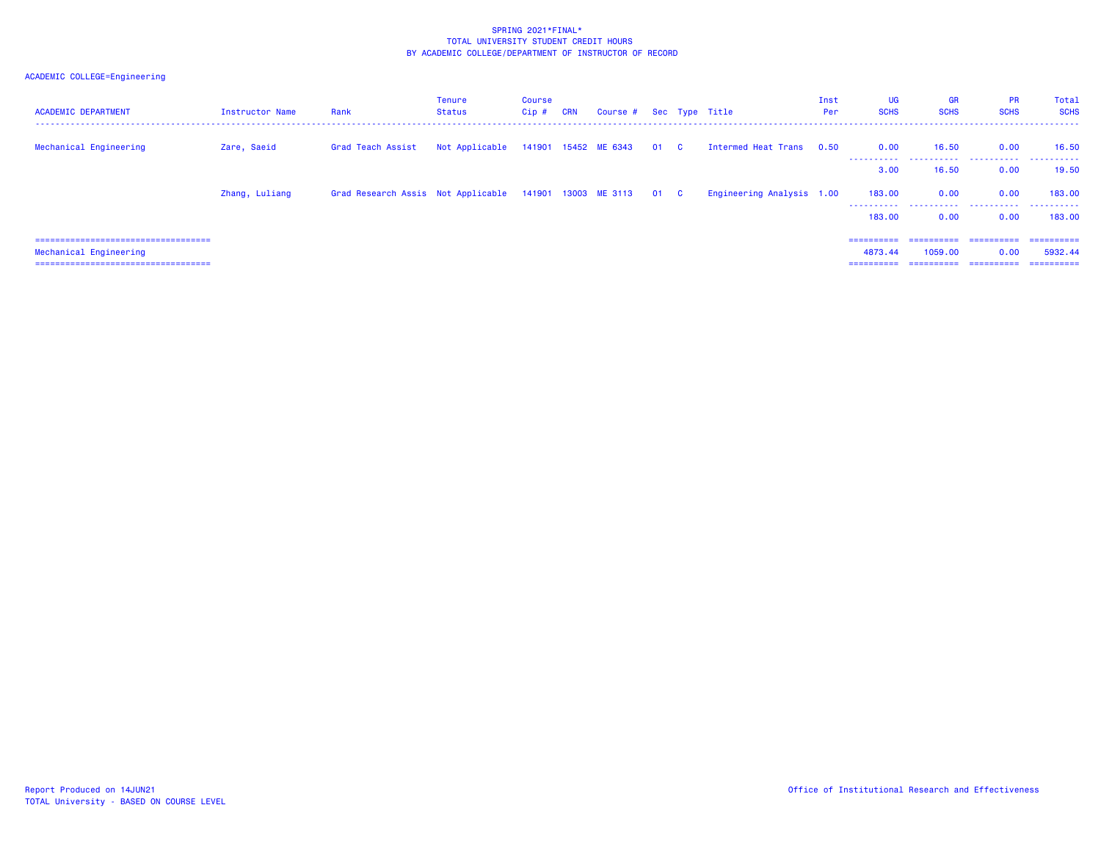# ACADEMIC COLLEGE=Engineering

| <b>ACADEMIC DEPARTMENT</b>             | Instructor Name | Rank                                                         | Tenure<br><b>Status</b>                  | Course<br>$Cip$ # | CRN | Course # Sec Type Title |  |                           | Inst<br>Per | UG<br><b>SCHS</b>  | <b>GR</b><br><b>SCHS</b> | <b>PR</b><br><b>SCHS</b>       | Total<br><b>SCHS</b> |
|----------------------------------------|-----------------|--------------------------------------------------------------|------------------------------------------|-------------------|-----|-------------------------|--|---------------------------|-------------|--------------------|--------------------------|--------------------------------|----------------------|
| Mechanical Engineering                 | Zare, Saeid     | Grad Teach Assist                                            | Not Applicable 141901 15452 ME 6343 01 C |                   |     |                         |  | Intermed Heat Trans       | 0.50        | 0.00<br>---------- | 16.50                    | 0.00<br>                       | 16.50                |
|                                        |                 |                                                              |                                          |                   |     |                         |  |                           |             | 3.00               | 16.50                    | 0.00                           | 19.50                |
|                                        | Zhang, Luliang  | Grad Research Assis Not Applicable 141901 13003 ME 3113 01 C |                                          |                   |     |                         |  | Engineering Analysis 1.00 |             | 183,00<br>.        | 0.00                     | 0.00<br>----------- ---------- | 183,00<br>.          |
|                                        |                 |                                                              |                                          |                   |     |                         |  |                           |             | 183.00             | 0.00                     | 0.00                           | 183,00               |
| ====================================   |                 |                                                              |                                          |                   |     |                         |  |                           |             | ==========         | ==========               | ==========                     | ==========           |
| Mechanical Engineering                 |                 |                                                              |                                          |                   |     |                         |  |                           |             | 4873.44            | 1059.00                  | 0.00                           | 5932.44              |
| ====================================== |                 |                                                              |                                          |                   |     |                         |  |                           |             | ==========         | ==========               | ==========                     | ==========           |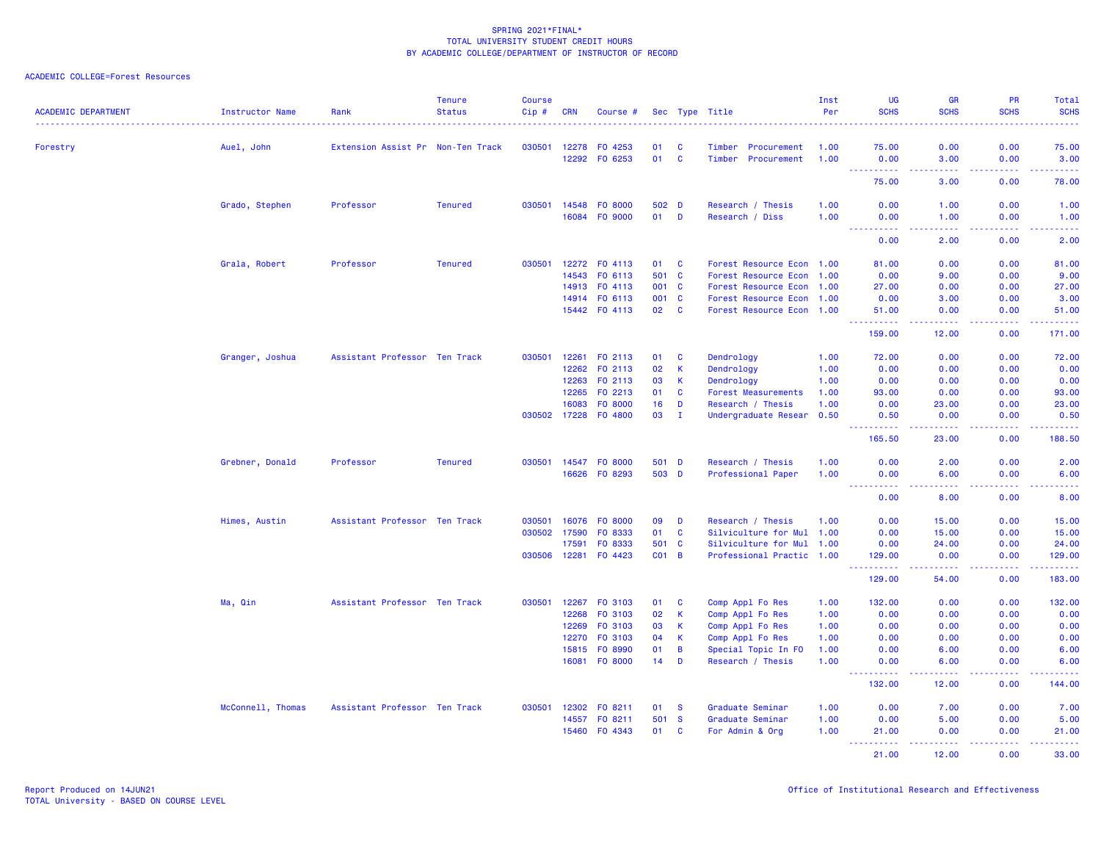| <b>ACADEMIC DEPARTMENT</b> | Instructor Name   | Rank                              | <b>Tenure</b><br><b>Status</b> | <b>Course</b><br>Cip # | CRN            | Course #             |                 |                   | Sec Type Title                              | Inst<br>Per  | <b>UG</b><br><b>SCHS</b>                                                                                                                                             | <b>GR</b><br><b>SCHS</b> | PR<br><b>SCHS</b> | Total<br><b>SCHS</b>                                                                                                      |
|----------------------------|-------------------|-----------------------------------|--------------------------------|------------------------|----------------|----------------------|-----------------|-------------------|---------------------------------------------|--------------|----------------------------------------------------------------------------------------------------------------------------------------------------------------------|--------------------------|-------------------|---------------------------------------------------------------------------------------------------------------------------|
|                            |                   |                                   |                                |                        |                |                      |                 |                   |                                             |              |                                                                                                                                                                      |                          |                   | $\frac{1}{2} \left( \frac{1}{2} \right) \left( \frac{1}{2} \right) \left( \frac{1}{2} \right) \left( \frac{1}{2} \right)$ |
| Forestry                   | Auel, John        | Extension Assist Pr Non-Ten Track |                                | 030501                 | 12278<br>12292 | FO 4253<br>FO 6253   | 01<br>01        | C<br>$\mathbf{C}$ | Timber<br>Procurement<br>Timber Procurement | 1.00<br>1.00 | 75.00<br>0.00                                                                                                                                                        | 0.00<br>3.00             | 0.00<br>0.00      | 75.00<br>3.00                                                                                                             |
|                            |                   |                                   |                                |                        |                |                      |                 |                   |                                             |              | بالأبالات                                                                                                                                                            | $  -$                    | د د د د           | $\frac{1}{2} \left( \frac{1}{2} \right) \left( \frac{1}{2} \right) \left( \frac{1}{2} \right) \left( \frac{1}{2} \right)$ |
|                            |                   |                                   |                                |                        |                |                      |                 |                   |                                             |              | 75.00                                                                                                                                                                | 3.00                     | 0.00              | 78.00                                                                                                                     |
|                            | Grado, Stephen    | Professor                         | <b>Tenured</b>                 | 030501                 | 14548          | F0 8000              | 502 D           |                   | Research / Thesis                           | 1.00         | 0.00                                                                                                                                                                 | 1.00                     | 0.00              | 1.00                                                                                                                      |
|                            |                   |                                   |                                |                        |                | 16084 FO 9000        | 01              | D                 | Research / Diss                             | 1.00         | 0.00<br>.                                                                                                                                                            | 1.00                     | 0.00              | 1.00<br>.                                                                                                                 |
|                            |                   |                                   |                                |                        |                |                      |                 |                   |                                             |              | 0.00                                                                                                                                                                 | 2.00                     | 0.00              | 2.00                                                                                                                      |
|                            | Grala, Robert     | Professor                         | <b>Tenured</b>                 | 030501                 |                | 12272 FO 4113        | 01              | C                 | Forest Resource Econ 1.00                   |              | 81.00                                                                                                                                                                | 0.00                     | 0.00              | 81.00                                                                                                                     |
|                            |                   |                                   |                                |                        | 14543          | FO 6113              | 501             | $\mathbf{C}$      | Forest Resource Econ 1.00                   |              | 0.00                                                                                                                                                                 | 9.00                     | 0.00              | 9.00                                                                                                                      |
|                            |                   |                                   |                                |                        |                | 14913 FO 4113        | 001             | $\mathbf{C}$      | Forest Resource Econ 1.00                   |              | 27.00                                                                                                                                                                | 0.00                     | 0.00              | 27.00                                                                                                                     |
|                            |                   |                                   |                                |                        | 14914          | FO 6113              | 001             | <b>C</b>          | Forest Resource Econ 1.00                   |              | 0.00                                                                                                                                                                 | 3.00                     | 0.00              | 3.00                                                                                                                      |
|                            |                   |                                   |                                |                        |                | 15442 FO 4113        | 02              | $\mathbf{C}$      | Forest Resource Econ 1.00                   |              | 51.00<br>.<br>$\omega_{\rm{eff}}$ and $\omega_{\rm{eff}}$                                                                                                            | 0.00<br>المتمام لمالم    | 0.00<br>المستبد   | 51.00<br><u> - - - - - -</u>                                                                                              |
|                            |                   |                                   |                                |                        |                |                      |                 |                   |                                             |              | 159.00                                                                                                                                                               | 12.00                    | 0.00              | 171.00                                                                                                                    |
|                            | Granger, Joshua   | Assistant Professor Ten Track     |                                | 030501                 | 12261          | FO 2113              | 01              | C                 | Dendrology                                  | 1.00         | 72.00                                                                                                                                                                | 0.00                     | 0.00              | 72.00                                                                                                                     |
|                            |                   |                                   |                                |                        | 12262          | FO 2113              | 02              | $\mathsf K$       | Dendrology                                  | 1.00         | 0.00                                                                                                                                                                 | 0.00                     | 0.00              | 0.00                                                                                                                      |
|                            |                   |                                   |                                |                        | 12263          | FO 2113              | 03              | К                 | Dendrology                                  | 1.00         | 0.00                                                                                                                                                                 | 0.00                     | 0.00              | 0.00                                                                                                                      |
|                            |                   |                                   |                                |                        | 12265          | FO 2213              | 01              | $\mathbf{C}$      | <b>Forest Measurements</b>                  | 1.00         | 93.00                                                                                                                                                                | 0.00                     | 0.00              | 93.00                                                                                                                     |
|                            |                   |                                   |                                |                        | 16083          | FO 8000              | 16              | D                 | Research / Thesis                           | 1.00         | 0.00                                                                                                                                                                 | 23.00                    | 0.00              | 23.00                                                                                                                     |
|                            |                   |                                   |                                |                        |                | 030502 17228 F0 4800 | 03              | $\mathbf{I}$      | Undergraduate Resear                        | 0.50         | 0.50<br><b></b>                                                                                                                                                      | 0.00<br>-----            | 0.00<br>.         | 0.50                                                                                                                      |
|                            |                   |                                   |                                |                        |                |                      |                 |                   |                                             |              | 165.50                                                                                                                                                               | 23.00                    | 0.00              | 188.50                                                                                                                    |
|                            | Grebner, Donald   | Professor                         | <b>Tenured</b>                 | 030501                 |                | 14547 FO 8000        | 501 D           |                   | Research / Thesis                           | 1.00         | 0.00                                                                                                                                                                 | 2.00                     | 0.00              | 2.00                                                                                                                      |
|                            |                   |                                   |                                |                        |                | 16626 FO 8293        | 503 D           |                   | Professional Paper                          | 1.00         | 0.00<br>$\frac{1}{2} \left( \frac{1}{2} \right) \left( \frac{1}{2} \right) \left( \frac{1}{2} \right) \left( \frac{1}{2} \right) \left( \frac{1}{2} \right)$<br>---- | 6.00<br>.                | 0.00<br>.         | 6.00<br>.                                                                                                                 |
|                            |                   |                                   |                                |                        |                |                      |                 |                   |                                             |              | 0.00                                                                                                                                                                 | 8.00                     | 0.00              | 8.00                                                                                                                      |
|                            | Himes, Austin     | Assistant Professor Ten Track     |                                | 030501                 | 16076          | FO 8000              | 09              | D                 | Research / Thesis                           | 1.00         | 0.00                                                                                                                                                                 | 15.00                    | 0.00              | 15.00                                                                                                                     |
|                            |                   |                                   |                                | 030502                 | 17590          | FO 8333              | 01              | $\mathbf{C}$      | Silviculture for Mul 1.00                   |              | 0.00                                                                                                                                                                 | 15.00                    | 0.00              | 15.00                                                                                                                     |
|                            |                   |                                   |                                |                        | 17591          | FO 8333              | 501             | $\mathbf{C}$      | Silviculture for Mul 1.00                   |              | 0.00                                                                                                                                                                 | 24.00                    | 0.00              | 24.00                                                                                                                     |
|                            |                   |                                   |                                | 030506                 | 12281          | F0 4423              | CO <sub>1</sub> | $\overline{B}$    | Professional Practic 1.00                   |              | 129.00<br>.                                                                                                                                                          | 0.00<br>.                | 0.00<br>.         | 129.00<br>222222                                                                                                          |
|                            |                   |                                   |                                |                        |                |                      |                 |                   |                                             |              | 129.00                                                                                                                                                               | 54.00                    | 0.00              | 183.00                                                                                                                    |
|                            | Ma, Qin           | Assistant Professor Ten Track     |                                | 030501                 |                | 12267 FO 3103        | 01              | <b>C</b>          | Comp Appl Fo Res                            | 1.00         | 132.00                                                                                                                                                               | 0.00                     | 0.00              | 132.00                                                                                                                    |
|                            |                   |                                   |                                |                        | 12268          | F0 3103              | 02              | К                 | Comp Appl Fo Res                            | 1.00         | 0.00                                                                                                                                                                 | 0.00                     | 0.00              | 0.00                                                                                                                      |
|                            |                   |                                   |                                |                        | 12269          | FO 3103              | 03              | К                 | Comp Appl Fo Res                            | 1.00         | 0.00                                                                                                                                                                 | 0.00                     | 0.00              | 0.00                                                                                                                      |
|                            |                   |                                   |                                |                        | 12270          | F0 3103              | 04              | $\mathsf K$       | Comp Appl Fo Res                            | 1.00         | 0.00                                                                                                                                                                 | 0.00                     | 0.00              | 0.00                                                                                                                      |
|                            |                   |                                   |                                |                        | 15815          | FO 8990              | 01              | B                 | Special Topic In FO                         | 1.00         | 0.00                                                                                                                                                                 | 6.00                     | 0.00              | 6.00                                                                                                                      |
|                            |                   |                                   |                                |                        | 16081          | FO 8000              | 14              | D                 | Research / Thesis                           | 1.00         | 0.00<br><u>.</u>                                                                                                                                                     | 6.00<br>.                | 0.00<br>.         | 6.00<br>.                                                                                                                 |
|                            |                   |                                   |                                |                        |                |                      |                 |                   |                                             |              | 132.00                                                                                                                                                               | 12.00                    | 0.00              | 144.00                                                                                                                    |
|                            | McConnell, Thomas | Assistant Professor Ten Track     |                                | 030501                 | 12302          | FO 8211              | 01              | <b>S</b>          | Graduate Seminar                            | 1.00         | 0.00                                                                                                                                                                 | 7.00                     | 0.00              | 7.00                                                                                                                      |
|                            |                   |                                   |                                |                        | 14557          | FO 8211              | 501             | $\mathbf{s}$      | Graduate Seminar                            | 1.00         | 0.00                                                                                                                                                                 | 5.00                     | 0.00              | 5.00                                                                                                                      |
|                            |                   |                                   |                                |                        | 15460          | FO 4343              | 01              | C                 | For Admin & Org                             | 1.00         | 21.00<br>وعاعات                                                                                                                                                      | 0.00                     | 0.00<br>د د د د   | 21.00<br>.                                                                                                                |
|                            |                   |                                   |                                |                        |                |                      |                 |                   |                                             |              | 21.00                                                                                                                                                                | 12.00                    | 0.00              | 33.00                                                                                                                     |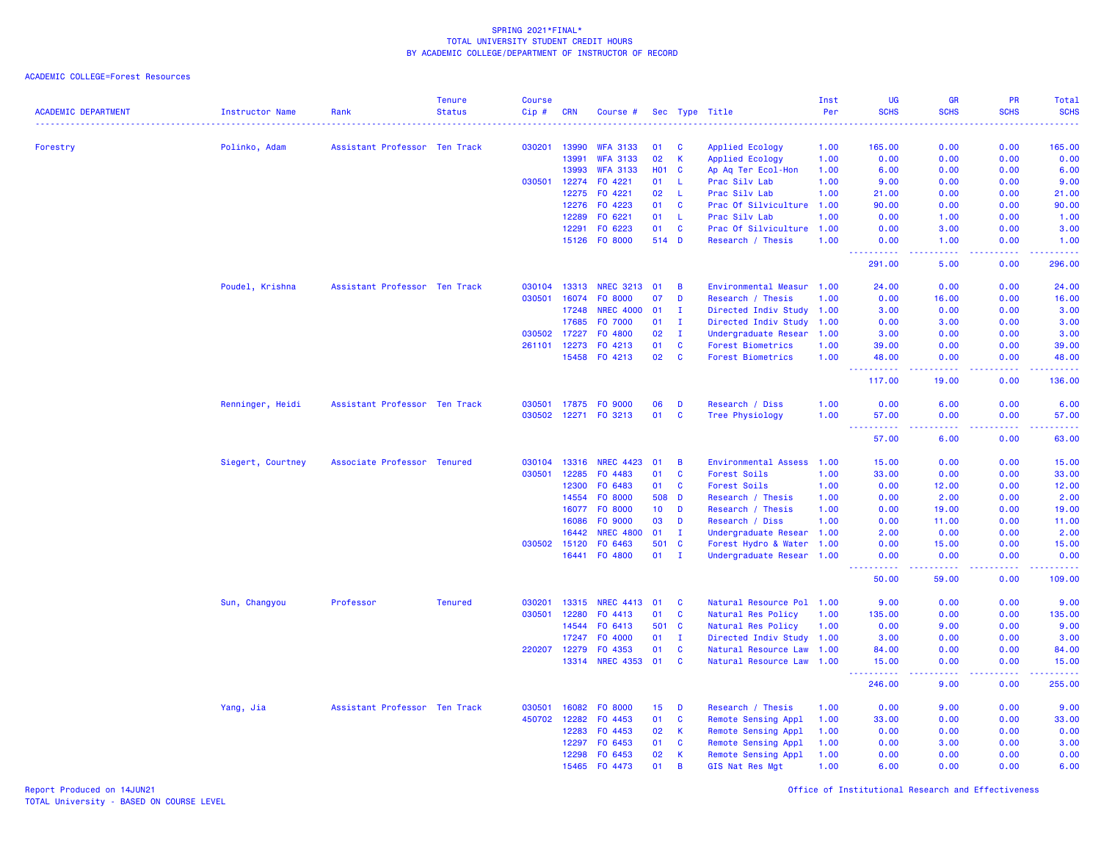ACADEMIC COLLEGE=Forest Resources

| <b>ACADEMIC DEPARTMENT</b> | <b>Instructor Name</b> | Rank                          | <b>Tenure</b><br><b>Status</b> | <b>Course</b><br>Cip# | <b>CRN</b>     | Course #                           |                  |                | Sec Type Title                        | Inst<br>Per<br>. | <b>UG</b><br><b>SCHS</b>                                                                                                           | <b>GR</b><br><b>SCHS</b><br>.   | <b>PR</b><br><b>SCHS</b><br>$   -$ | Total<br><b>SCHS</b><br><u>.</u> |
|----------------------------|------------------------|-------------------------------|--------------------------------|-----------------------|----------------|------------------------------------|------------------|----------------|---------------------------------------|------------------|------------------------------------------------------------------------------------------------------------------------------------|---------------------------------|------------------------------------|----------------------------------|
|                            |                        |                               |                                |                       |                |                                    |                  |                |                                       |                  |                                                                                                                                    |                                 |                                    |                                  |
| Forestry                   | Polinko, Adam          | Assistant Professor Ten Track |                                | 030201                | 13990          | <b>WFA 3133</b>                    | 01               | C<br>K.        | Applied Ecology                       | 1.00             | 165.00                                                                                                                             | 0.00                            | 0.00                               | 165.00                           |
|                            |                        |                               |                                |                       | 13991<br>13993 | <b>WFA 3133</b><br><b>WFA 3133</b> | 02<br><b>HO1</b> | $\mathbf{C}$   | Applied Ecology<br>Ap Aq Ter Ecol-Hon | 1.00<br>1.00     | 0.00<br>6.00                                                                                                                       | 0.00<br>0.00                    | 0.00<br>0.00                       | 0.00<br>6.00                     |
|                            |                        |                               |                                | 030501                | 12274          | F0 4221                            | 01               | $\mathbf{L}$   | Prac Silv Lab                         | 1.00             | 9.00                                                                                                                               | 0.00                            | 0.00                               | 9.00                             |
|                            |                        |                               |                                |                       | 12275          | F0 4221                            | 02               | -L             | Prac Silv Lab                         | 1.00             | 21.00                                                                                                                              | 0.00                            | 0.00                               | 21.00                            |
|                            |                        |                               |                                |                       | 12276          | FO 4223                            | 01               | $\mathbf{C}$   | Prac Of Silviculture                  | 1.00             | 90.00                                                                                                                              | 0.00                            | 0.00                               | 90.00                            |
|                            |                        |                               |                                |                       | 12289          | F0 6221                            | 01               | -L             | Prac Silv Lab                         | 1.00             | 0.00                                                                                                                               | 1.00                            | 0.00                               | 1.00                             |
|                            |                        |                               |                                |                       | 12291          | FO 6223                            | 01               | $\mathbf{C}$   | Prac Of Silviculture                  | 1.00             | 0.00                                                                                                                               | 3.00                            | 0.00                               | 3.00                             |
|                            |                        |                               |                                |                       |                | 15126 F0 8000                      | 514 D            |                | Research / Thesis                     | 1.00             | 0.00                                                                                                                               | 1.00                            | 0.00                               | 1.00                             |
|                            |                        |                               |                                |                       |                |                                    |                  |                |                                       |                  | 291.00                                                                                                                             | د د د د<br>5.00                 | .<br>0.00                          | $\omega$ is a $\omega$<br>296.00 |
|                            | Poudel, Krishna        | Assistant Professor Ten Track |                                | 030104                | 13313          | <b>NREC 3213</b>                   | 01               | $\overline{B}$ | Environmental Measur 1.00             |                  | 24.00                                                                                                                              | 0.00                            | 0.00                               | 24.00                            |
|                            |                        |                               |                                | 030501                | 16074          | F0 8000                            | 07               | D              | Research / Thesis                     | 1.00             | 0.00                                                                                                                               | 16.00                           | 0.00                               | 16.00                            |
|                            |                        |                               |                                |                       | 17248          | <b>NREC 4000</b>                   | 01               | $\mathbf I$    | Directed Indiv Study 1.00             |                  | 3.00                                                                                                                               | 0.00                            | 0.00                               | 3.00                             |
|                            |                        |                               |                                |                       | 17685          | F0 7000                            | 01               | $\mathbf{I}$   | Directed Indiv Study                  | 1.00             | 0.00                                                                                                                               | 3.00                            | 0.00                               | 3.00                             |
|                            |                        |                               |                                | 030502                | 17227          | F0 4800                            | 02               | $\mathbf{I}$   | Undergraduate Resear                  | 1.00             | 3.00                                                                                                                               | 0.00                            | 0.00                               | 3.00                             |
|                            |                        |                               |                                | 261101                | 12273          | FO 4213                            | 01               | $\mathbf{C}$   | <b>Forest Biometrics</b>              | 1.00             | 39.00                                                                                                                              | 0.00                            | 0.00                               | 39.00                            |
|                            |                        |                               |                                |                       | 15458          | FO 4213                            | 02               | $\mathbf{C}$   | <b>Forest Biometrics</b>              | 1.00             | 48.00<br>.                                                                                                                         | 0.00<br>-----                   | 0.00<br>.                          | 48.00<br>.                       |
|                            |                        |                               |                                |                       |                |                                    |                  |                |                                       |                  | 117.00                                                                                                                             | 19.00                           | 0.00                               | 136.00                           |
|                            | Renninger, Heidi       | Assistant Professor Ten Track |                                | 030501                | 17875          | FO 9000                            | 06               | D              | Research / Diss                       | 1.00             | 0.00                                                                                                                               | 6.00                            | 0.00                               | 6.00                             |
|                            |                        |                               |                                | 030502                | 12271          | FO 3213                            | 01               | C              | <b>Tree Physiology</b>                | 1.00             | 57.00<br>22222                                                                                                                     | 0.00<br>د د د د                 | 0.00<br>المتمالين                  | 57.00<br>والانتاب                |
|                            |                        |                               |                                |                       |                |                                    |                  |                |                                       |                  | 57.00                                                                                                                              | 6.00                            | 0.00                               | 63.00                            |
|                            | Siegert, Courtney      | Associate Professor Tenured   |                                | 030104                | 13316          | <b>NREC 4423</b>                   | 01               | B              | Environmental Assess                  | 1.00             | 15.00                                                                                                                              | 0.00                            | 0.00                               | 15.00                            |
|                            |                        |                               |                                | 030501                | 12285          | F0 4483                            | 01               | $\mathbf c$    | <b>Forest Soils</b>                   | 1.00             | 33.00                                                                                                                              | 0.00                            | 0.00                               | 33.00                            |
|                            |                        |                               |                                |                       | 12300          | F0 6483                            | 01               | $\mathbf{C}$   | Forest Soils                          | 1.00             | 0.00                                                                                                                               | 12.00                           | 0.00                               | 12.00                            |
|                            |                        |                               |                                |                       | 14554          | F0 8000                            | 508              | D              | Research / Thesis                     | 1.00             | 0.00                                                                                                                               | 2.00                            | 0.00                               | 2.00                             |
|                            |                        |                               |                                |                       | 16077          | F0 8000                            | 10 <sub>1</sub>  | D              | Research / Thesis                     | 1.00             | 0.00                                                                                                                               | 19.00                           | 0.00                               | 19.00                            |
|                            |                        |                               |                                |                       | 16086          | F0 9000                            | 03               | D              | Research / Diss                       | 1.00             | 0.00                                                                                                                               | 11.00                           | 0.00                               | 11.00                            |
|                            |                        |                               |                                |                       | 16442          | <b>NREC 4800</b>                   | 01               | $\mathbf I$    | Undergraduate Resear 1.00             |                  | 2.00                                                                                                                               | 0.00                            | 0.00                               | 2.00                             |
|                            |                        |                               |                                | 030502                | 15120          | FO 6463                            | 501              | $\mathbf{C}$   | Forest Hydro & Water 1.00             |                  | 0.00                                                                                                                               | 15.00                           | 0.00                               | 15.00                            |
|                            |                        |                               |                                |                       | 16441          | F0 4800                            | 01               | $\mathbf I$    | Undergraduate Resear 1.00             |                  | 0.00<br>المستملة                                                                                                                   | 0.00<br>والمستوات               | 0.00<br>بالأباب                    | 0.00<br>22222                    |
|                            |                        |                               |                                |                       |                |                                    |                  |                |                                       |                  | 50.00                                                                                                                              | 59.00                           | 0.00                               | 109.00                           |
|                            | Sun, Changyou          | Professor                     | <b>Tenured</b>                 | 030201                | 13315          | <b>NREC 4413</b>                   | 01               | C              | Natural Resource Pol 1.00             |                  | 9.00                                                                                                                               | 0.00                            | 0.00                               | 9.00                             |
|                            |                        |                               |                                | 030501                | 12280          | FO 4413                            | 01               | $\mathbf{C}$   | Natural Res Policy                    | 1.00             | 135.00                                                                                                                             | 0.00                            | 0.00                               | 135.00                           |
|                            |                        |                               |                                |                       | 14544          | FO 6413                            | 501              | $\mathbf{C}$   | Natural Res Policy                    | 1.00             | 0.00                                                                                                                               | 9.00                            | 0.00                               | 9.00                             |
|                            |                        |                               |                                |                       | 17247          | F0 4000                            | 01               | $\mathbf I$    | Directed Indiv Study 1.00             |                  | 3.00                                                                                                                               | 0.00                            | 0.00                               | 3.00                             |
|                            |                        |                               |                                | 220207                | 12279          | F0 4353                            | 01               | $\mathbf{C}$   | Natural Resource Law 1.00             |                  | 84.00                                                                                                                              | 0.00                            | 0.00                               | 84.00                            |
|                            |                        |                               |                                |                       | 13314          | <b>NREC 4353</b>                   | 01               | $\mathbf c$    | Natural Resource Law 1.00             |                  | 15.00<br>$\frac{1}{2} \left( \frac{1}{2} \right) \left( \frac{1}{2} \right) \left( \frac{1}{2} \right) \left( \frac{1}{2} \right)$ | 0.00<br>$\omega$ is $\omega$ in | 0.00<br>.                          | 15.00<br>.                       |
|                            |                        |                               |                                |                       |                |                                    |                  |                |                                       |                  | 246.00                                                                                                                             | 9.00                            | 0.00                               | 255.00                           |
|                            | Yang, Jia              | Assistant Professor Ten Track |                                | 030501                | 16082          | F0 8000                            | 15               | D              | Research / Thesis                     | 1.00             | 0.00                                                                                                                               | 9.00                            | 0.00                               | 9.00                             |
|                            |                        |                               |                                | 450702                | 12282          | FO 4453                            | 01               | C              | Remote Sensing Appl                   | 1.00             | 33.00                                                                                                                              | 0.00                            | 0.00                               | 33.00                            |
|                            |                        |                               |                                |                       | 12283          | F0 4453                            | 02               | K              | Remote Sensing Appl                   | 1.00             | 0.00                                                                                                                               | 0.00                            | 0.00                               | 0.00                             |
|                            |                        |                               |                                |                       | 12297          | FO 6453                            | 01               | C              | Remote Sensing Appl                   | 1.00             | 0.00                                                                                                                               | 3.00                            | 0.00                               | 3.00                             |
|                            |                        |                               |                                |                       | 12298          | F0 6453                            | 02               | K              | Remote Sensing Appl                   | 1.00             | 0.00                                                                                                                               | 0.00                            | 0.00                               | 0.00                             |
|                            |                        |                               |                                |                       | 15465          | FO 4473                            | 01               | B              | GIS Nat Res Mgt                       | 1.00             | 6.00                                                                                                                               | 0.00                            | 0.00                               | 6.00                             |

Report Produced on 14JUN21 Office of Institutional Research and Effectiveness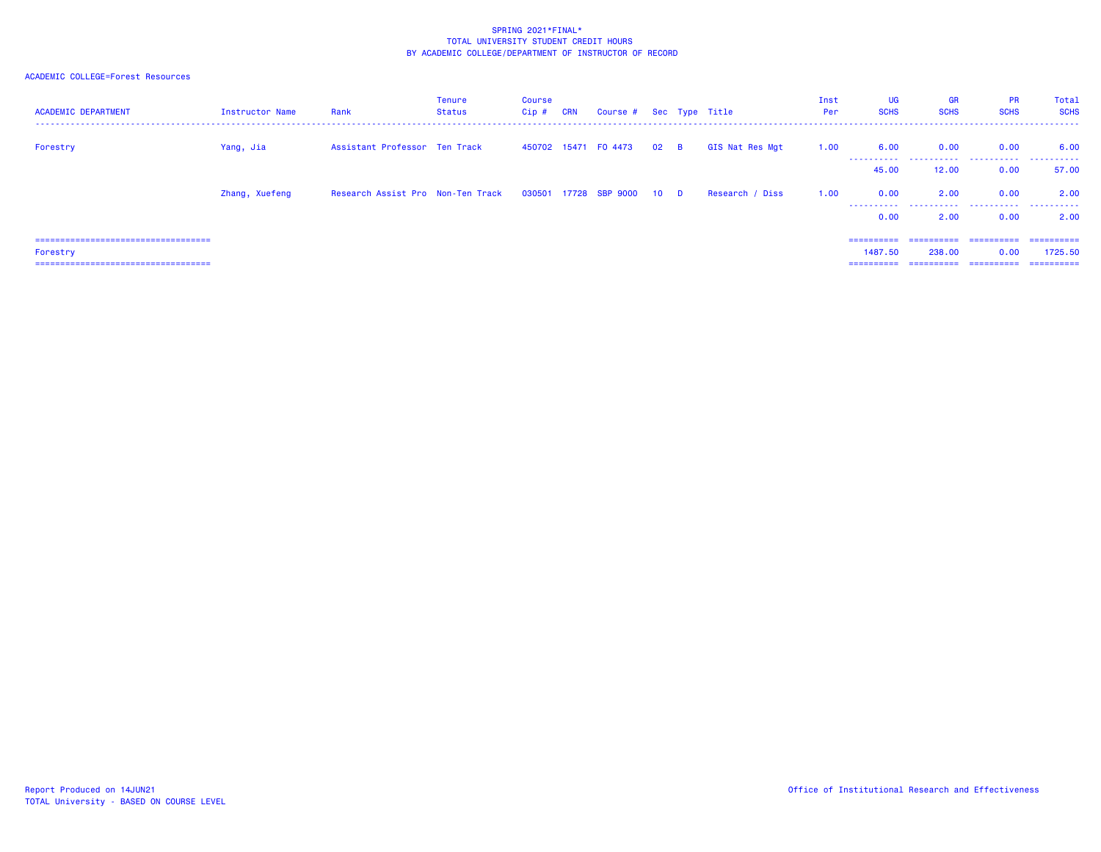| <b>ACADEMIC DEPARTMENT</b>                                                                   | Instructor Name | Rank                              | <b>Tenure</b><br><b>Status</b> | Course<br>$Cip$ # | <b>CRN</b> | Course # Sec Type Title    |              |                 | Inst<br>Per | UG<br><b>SCHS</b>     | <b>GR</b><br><b>SCHS</b>            | <b>PR</b><br><b>SCHS</b>          | Total<br><b>SCHS</b>                 |
|----------------------------------------------------------------------------------------------|-----------------|-----------------------------------|--------------------------------|-------------------|------------|----------------------------|--------------|-----------------|-------------|-----------------------|-------------------------------------|-----------------------------------|--------------------------------------|
| Forestry                                                                                     | Yang, Jia       | Assistant Professor Ten Track     |                                |                   |            | 450702 15471 F0 4473       | $02 \quad B$ | GIS Nat Res Mgt | 1.00        | 6.00<br>.             | 0.00                                | 0.00<br>                          | 6.00                                 |
|                                                                                              |                 |                                   |                                |                   |            |                            |              |                 |             | 45.00                 | 12.00                               | 0.00                              | 57.00                                |
|                                                                                              | Zhang, Xuefeng  | Research Assist Pro Non-Ten Track |                                |                   |            | 030501 17728 SBP 9000 10 D |              | Research / Diss | 1.00        | 0.00<br>.             | 2.00                                | 0.00                              | 2.00                                 |
|                                                                                              |                 |                                   |                                |                   |            |                            |              |                 |             | 0.00                  | 2.00                                | 0.00                              | 2.00                                 |
| ======================================<br>Forestry<br>====================================== |                 |                                   |                                |                   |            |                            |              |                 |             | ==========<br>1487.50 | -----------<br>238,00<br>---------- | -----------<br>0.00<br>========== | -----------<br>1725.50<br>========== |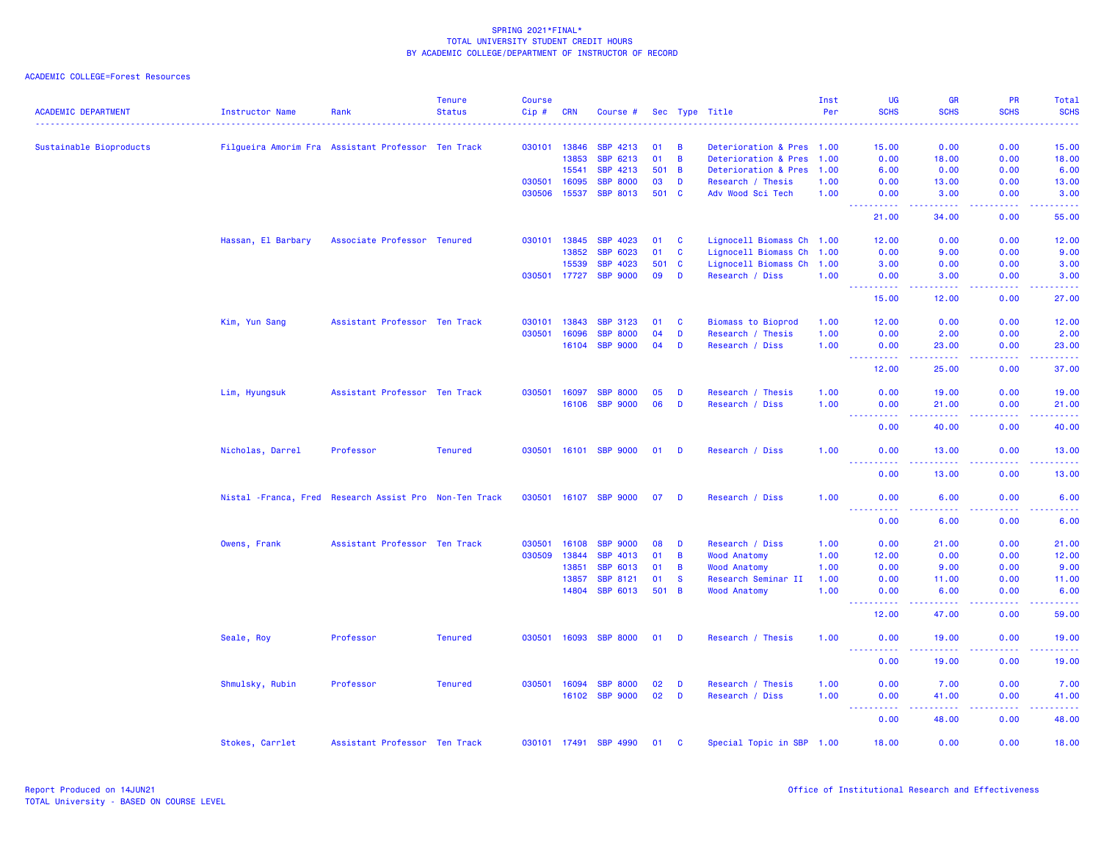| <b>ACADEMIC DEPARTMENT</b> | Instructor Name                                         | Rank                          | <b>Tenure</b><br><b>Status</b> | <b>Course</b><br>Cip# | <b>CRN</b> |                       |        |                |                           | Inst<br>Per | UG<br><b>SCHS</b>                          | <b>GR</b><br><b>SCHS</b>                                                                                                           | <b>PR</b><br><b>SCHS</b>             | <b>Total</b><br><b>SCHS</b> |
|----------------------------|---------------------------------------------------------|-------------------------------|--------------------------------|-----------------------|------------|-----------------------|--------|----------------|---------------------------|-------------|--------------------------------------------|------------------------------------------------------------------------------------------------------------------------------------|--------------------------------------|-----------------------------|
|                            |                                                         |                               |                                |                       |            | Course #              |        |                | Sec Type Title            |             | .                                          | الداعات عامات                                                                                                                      | والمالمات مالما                      | .                           |
| Sustainable Bioproducts    | Filgueira Amorim Fra Assistant Professor Ten Track      |                               |                                | 030101 13846          |            | <b>SBP 4213</b>       | 01     | $\overline{B}$ | Deterioration & Pres 1.00 |             | 15.00                                      | 0.00                                                                                                                               | 0.00                                 | 15.00                       |
|                            |                                                         |                               |                                |                       | 13853      | SBP 6213              | 01     | $\overline{B}$ | Deterioration & Pres 1.00 |             | 0.00                                       | 18.00                                                                                                                              | 0.00                                 | 18.00                       |
|                            |                                                         |                               |                                |                       | 15541      | SBP 4213              | 501    | $\overline{B}$ | Deterioration & Pres 1.00 |             | 6.00                                       | 0.00                                                                                                                               | 0.00                                 | 6.00                        |
|                            |                                                         |                               |                                | 030501                | 16095      | <b>SBP 8000</b>       | 03     | D              | Research / Thesis         | 1.00        | 0.00                                       | 13.00                                                                                                                              | 0.00                                 | 13.00                       |
|                            |                                                         |                               |                                | 030506                | 15537      | <b>SBP 8013</b>       | 501 C  |                | Adv Wood Sci Tech         | 1.00        | 0.00                                       | 3.00                                                                                                                               | 0.00                                 | 3.00                        |
|                            |                                                         |                               |                                |                       |            |                       |        |                |                           |             | .<br>21.00                                 | .<br>34.00                                                                                                                         | .<br>0.00                            | .<br>55.00                  |
|                            | Hassan, El Barbary                                      | Associate Professor Tenured   |                                | 030101                | 13845      | SBP 4023              | 01     | $\mathbf{C}$   | Lignocell Biomass Ch 1.00 |             | 12.00                                      | 0.00                                                                                                                               | 0.00                                 | 12.00                       |
|                            |                                                         |                               |                                |                       | 13852      | <b>SBP 6023</b>       | 01     | $\mathbf{C}$   | Lignocell Biomass Ch 1.00 |             | 0.00                                       | 9.00                                                                                                                               | 0.00                                 | 9.00                        |
|                            |                                                         |                               |                                |                       | 15539      | <b>SBP 4023</b>       | 501 C  |                | Lignocell Biomass Ch 1.00 |             | 3.00                                       | 0.00                                                                                                                               | 0.00                                 | 3.00                        |
|                            |                                                         |                               |                                | 030501 17727          |            | <b>SBP 9000</b>       | 09     | D              | Research / Diss           | 1.00        | 0.00                                       | 3.00                                                                                                                               | 0.00                                 | 3.00                        |
|                            |                                                         |                               |                                |                       |            |                       |        |                |                           |             | <b>_________</b><br>15.00                  | 22222<br>12.00                                                                                                                     | .<br>0.00                            | .<br>27.00                  |
|                            | Kim, Yun Sang                                           | Assistant Professor Ten Track |                                | 030101                | 13843      | <b>SBP 3123</b>       | 01     | $\mathbf{C}$   | <b>Biomass to Bioprod</b> | 1.00        | 12.00                                      | 0.00                                                                                                                               | 0.00                                 | 12.00                       |
|                            |                                                         |                               |                                | 030501                | 16096      | <b>SBP 8000</b>       | 04     | D              | Research / Thesis         | 1.00        | 0.00                                       | 2.00                                                                                                                               | 0.00                                 | 2.00                        |
|                            |                                                         |                               |                                |                       | 16104      | <b>SBP 9000</b>       | 04     | D              | Research / Diss           | 1.00        | 0.00                                       | 23.00                                                                                                                              | 0.00                                 | 23.00                       |
|                            |                                                         |                               |                                |                       |            |                       |        |                |                           |             | <u>.</u><br>12.00                          | 22222<br>25.00                                                                                                                     | .<br>0.00                            | .<br>37.00                  |
|                            | Lim, Hyungsuk                                           | Assistant Professor Ten Track |                                | 030501                | 16097      | <b>SBP 8000</b>       | 05     | D              | Research / Thesis         | 1.00        | 0.00                                       | 19.00                                                                                                                              | 0.00                                 | 19.00                       |
|                            |                                                         |                               |                                |                       | 16106      | <b>SBP 9000</b>       | 06     | D              | Research / Diss           | 1.00        | 0.00                                       | 21.00                                                                                                                              | 0.00                                 | 21.00                       |
|                            |                                                         |                               |                                |                       |            |                       |        |                |                           |             | <b><i><u><u> Listen Listen</u></u></i></b> | .                                                                                                                                  | <b><i><u><u> - - - -</u></u></i></b> | .                           |
|                            |                                                         |                               |                                |                       |            |                       |        |                |                           |             | 0.00                                       | 40.00                                                                                                                              | 0.00                                 | 40.00                       |
|                            | Nicholas, Darrel                                        | Professor                     | <b>Tenured</b>                 |                       |            | 030501 16101 SBP 9000 | $01$ D |                | Research / Diss           | 1.00        | 0.00<br><u>.</u>                           | 13.00<br>.                                                                                                                         | 0.00<br>.                            | 13.00<br>.                  |
|                            |                                                         |                               |                                |                       |            |                       |        |                |                           |             | 0.00                                       | 13.00                                                                                                                              | 0.00                                 | 13.00                       |
|                            | Nistal - Franca, Fred Research Assist Pro Non-Ten Track |                               |                                |                       |            | 030501 16107 SBP 9000 | $07$ D |                | Research / Diss           | 1.00        | 0.00<br>.                                  | 6.00                                                                                                                               | 0.00                                 | 6.00                        |
|                            |                                                         |                               |                                |                       |            |                       |        |                |                           |             | 0.00                                       | .<br>6.00                                                                                                                          | 0.00                                 | 6.00                        |
|                            | Owens, Frank                                            | Assistant Professor Ten Track |                                | 030501                | 16108      | <b>SBP 9000</b>       | 08     | D              | Research / Diss           | 1.00        | 0.00                                       | 21.00                                                                                                                              | 0.00                                 | 21.00                       |
|                            |                                                         |                               |                                | 030509                | 13844      | <b>SBP 4013</b>       | 01     | B              | <b>Wood Anatomy</b>       | 1.00        | 12.00                                      | 0.00                                                                                                                               | 0.00                                 | 12.00                       |
|                            |                                                         |                               |                                |                       | 13851      | <b>SBP 6013</b>       | 01     | $\overline{B}$ | <b>Wood Anatomy</b>       | 1.00        | 0.00                                       | 9.00                                                                                                                               | 0.00                                 | 9.00                        |
|                            |                                                         |                               |                                |                       | 13857      | <b>SBP 8121</b>       | 01     | <b>S</b>       | Research Seminar II       | 1.00        | 0.00                                       | 11.00                                                                                                                              | 0.00                                 | 11.00                       |
|                            |                                                         |                               |                                |                       | 14804      | <b>SBP 6013</b>       | 501 B  |                | <b>Wood Anatomy</b>       | 1.00        | 0.00                                       | 6.00                                                                                                                               | 0.00                                 | 6.00                        |
|                            |                                                         |                               |                                |                       |            |                       |        |                |                           |             | .<br>$\sim 100$<br>12.00                   | $\frac{1}{2} \left( \frac{1}{2} \right) \left( \frac{1}{2} \right) \left( \frac{1}{2} \right) \left( \frac{1}{2} \right)$<br>47.00 | .<br>0.00                            | .<br>59.00                  |
|                            | Seale, Roy                                              | Professor                     | <b>Tenured</b>                 | 030501 16093          |            | <b>SBP 8000</b>       | 01     | - D            | Research / Thesis         | 1.00        | 0.00                                       | 19.00                                                                                                                              | 0.00                                 | 19.00                       |
|                            |                                                         |                               |                                |                       |            |                       |        |                |                           |             | <u> - - - - - - - - - -</u><br>0.00        | 19.00                                                                                                                              | 0.00                                 | .<br>19.00                  |
|                            | Shmulsky, Rubin                                         | Professor                     | <b>Tenured</b>                 | 030501 16094          |            | <b>SBP 8000</b>       | 02     | D              | Research / Thesis         | 1.00        | 0.00                                       | 7.00                                                                                                                               | 0.00                                 | 7.00                        |
|                            |                                                         |                               |                                |                       |            | 16102 SBP 9000        | 02     | D              | Research / Diss           | 1.00        | 0.00                                       | 41.00                                                                                                                              | 0.00                                 | 41.00                       |
|                            |                                                         |                               |                                |                       |            |                       |        |                |                           |             | <b><i><u>AAAAAAAAAA</u></i></b>            | المستمرين                                                                                                                          | 22222                                | .                           |
|                            |                                                         |                               |                                |                       |            |                       |        |                |                           |             | 0.00                                       | 48.00                                                                                                                              | 0.00                                 | 48.00                       |
|                            | Stokes, Carrlet                                         | Assistant Professor Ten Track |                                |                       |            | 030101 17491 SBP 4990 | 01 C   |                | Special Topic in SBP 1.00 |             | 18.00                                      | 0.00                                                                                                                               | 0.00                                 | 18.00                       |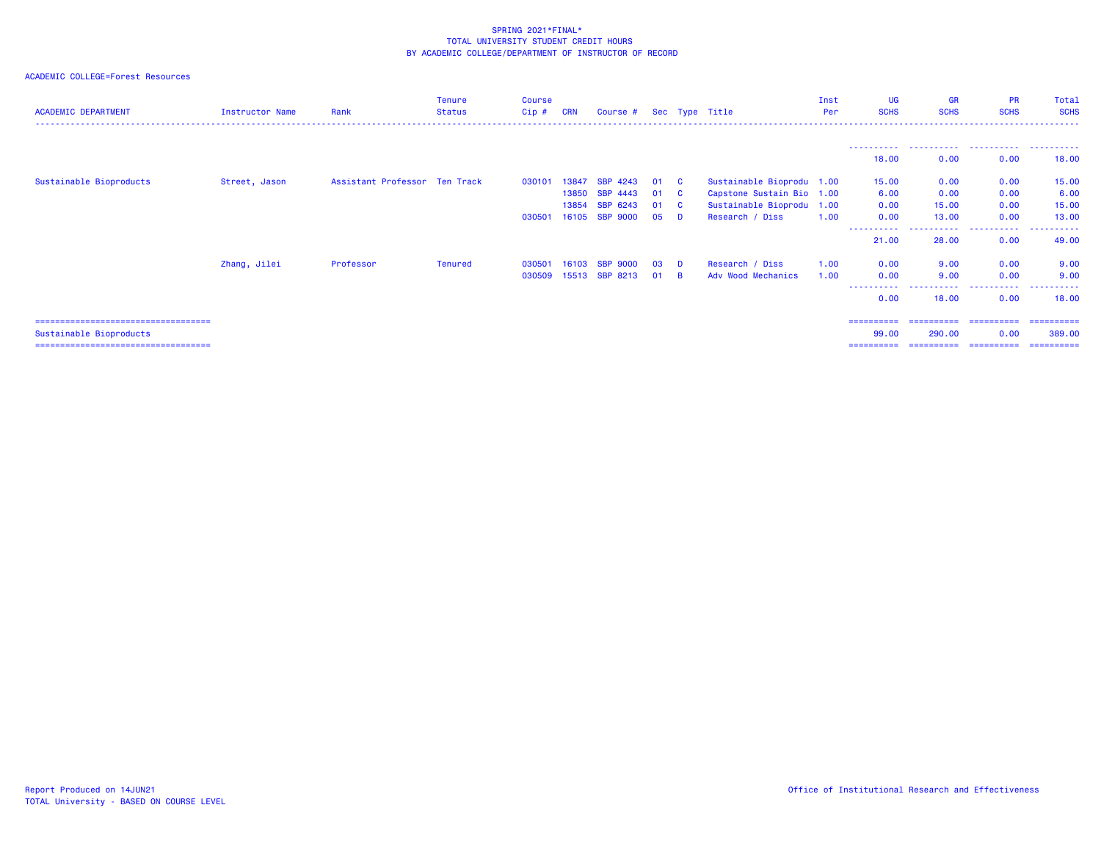| <b>ACADEMIC DEPARTMENT</b>                                       | Instructor Name | Rank                          | <b>Tenure</b><br>Status | <b>Course</b><br>$Cip$ # | <b>CRN</b>     | Course #                           |          |                 | Sec Type Title                                         | Inst<br>Per | <b>UG</b><br><b>SCHS</b>    | <b>GR</b><br><b>SCHS</b> | <b>PR</b><br><b>SCHS</b> | Total<br><b>SCHS</b> |
|------------------------------------------------------------------|-----------------|-------------------------------|-------------------------|--------------------------|----------------|------------------------------------|----------|-----------------|--------------------------------------------------------|-------------|-----------------------------|--------------------------|--------------------------|----------------------|
|                                                                  |                 |                               |                         |                          |                |                                    |          |                 |                                                        |             | 18.00                       | 0.00                     | 0.00                     | .<br>18,00           |
| Sustainable Bioproducts                                          | Street, Jason   | Assistant Professor Ten Track |                         | 030101                   | 13847<br>13850 | <b>SBP 4243</b><br><b>SBP 4443</b> | 01<br>01 | <b>C</b><br>- C | Sustainable Bioprodu 1.00<br>Capstone Sustain Bio 1.00 |             | 15.00<br>6.00               | 0.00<br>0.00             | 0.00<br>0.00             | 15.00<br>6.00        |
|                                                                  |                 |                               |                         | 030501                   | 13854<br>16105 | SBP 6243<br><b>SBP 9000</b>        | 01<br>05 | - C<br>D        | Sustainable Bioprodu 1.00<br>Research / Diss           | 1.00        | 0.00<br>0.00<br>----------- | 15.00<br>13.00<br>.      | 0.00<br>0.00<br>.        | 15.00<br>13.00<br>.  |
|                                                                  | Zhang, Jilei    | Professor                     | <b>Tenured</b>          | 030501                   | 16103          | <b>SBP 9000</b>                    | 03       | D               | Research / Diss                                        | 1.00        | 21.00<br>0.00               | 28.00<br>9.00            | 0.00<br>0.00             | 49.00<br>9.00        |
|                                                                  |                 |                               |                         | 030509                   | 15513          | SBP 8213                           | 01       | <b>B</b>        | Adv Wood Mechanics                                     | 1.00        | 0.00<br>-----------<br>0.00 | 9.00<br>.<br>18.00       | 0.00<br>.<br>0.00        | 9.00<br>.<br>18,00   |
| ======================================                           |                 |                               |                         |                          |                |                                    |          |                 |                                                        |             | ==========                  | -----------              | ==========               | -----------          |
| Sustainable Bioproducts<br>===================================== |                 |                               |                         |                          |                |                                    |          |                 |                                                        |             | 99.00<br>==========         | 290,00<br>==========     | 0.00<br>==========       | 389,00<br>========== |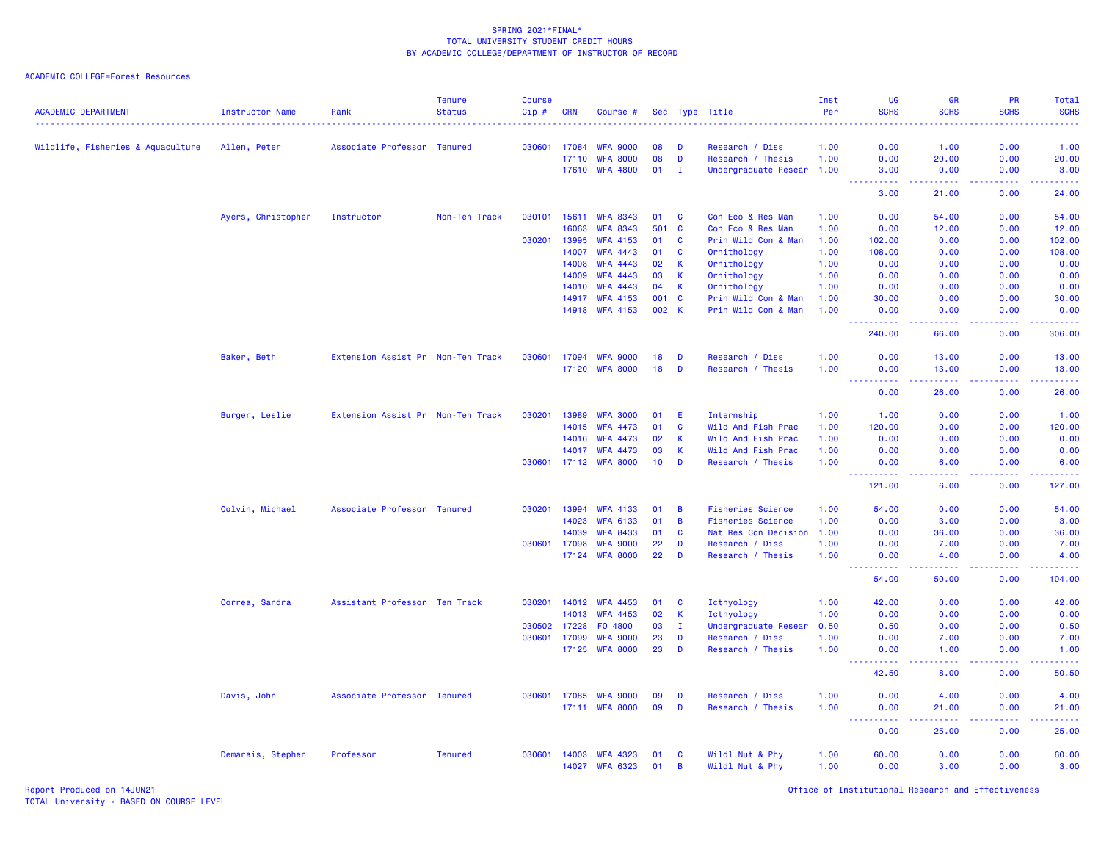| <b>ACADEMIC DEPARTMENT</b>        | Instructor Name    | Rank                              | <b>Tenure</b><br><b>Status</b> | <b>Course</b><br>Cip#<br>. | <b>CRN</b>     | Course #                           |              |              | Sec Type Title                             | Inst<br>Per  | <b>UG</b><br><b>SCHS</b><br>.                                                                                                                                                                                                                   | <b>GR</b><br><b>SCHS</b><br>.                                                                                                                                 | PR<br><b>SCHS</b><br>$- - - - -$ | Total<br><b>SCHS</b><br>. |
|-----------------------------------|--------------------|-----------------------------------|--------------------------------|----------------------------|----------------|------------------------------------|--------------|--------------|--------------------------------------------|--------------|-------------------------------------------------------------------------------------------------------------------------------------------------------------------------------------------------------------------------------------------------|---------------------------------------------------------------------------------------------------------------------------------------------------------------|----------------------------------|---------------------------|
| Wildlife, Fisheries & Aquaculture | Allen, Peter       | Associate Professor Tenured       |                                | 030601                     | 17084          | <b>WFA 9000</b>                    | 08           | D            | Research / Diss                            | 1.00         | 0.00                                                                                                                                                                                                                                            | 1.00                                                                                                                                                          | 0.00                             | 1.00                      |
|                                   |                    |                                   |                                |                            | 17110          | <b>WFA 8000</b>                    | 08           | D            | Research / Thesis                          | 1.00         | 0.00                                                                                                                                                                                                                                            | 20.00                                                                                                                                                         | 0.00                             | 20.00                     |
|                                   |                    |                                   |                                |                            | 17610          | <b>WFA 4800</b>                    | 01           | $\mathbf I$  | Undergraduate Resear                       | 1.00         | 3.00                                                                                                                                                                                                                                            | 0.00                                                                                                                                                          | 0.00                             | 3.00                      |
|                                   |                    |                                   |                                |                            |                |                                    |              |              |                                            |              | .<br>$\sim$ $\sim$ $\sim$ $\sim$                                                                                                                                                                                                                | لالالالالا                                                                                                                                                    | .                                | .                         |
|                                   |                    |                                   |                                |                            |                |                                    |              |              |                                            |              | 3.00                                                                                                                                                                                                                                            | 21.00                                                                                                                                                         | 0.00                             | 24.00                     |
|                                   | Ayers, Christopher | Instructor                        | Non-Ten Track                  | 030101                     | 15611          | <b>WFA 8343</b>                    | 01           | C            | Con Eco & Res Man                          | 1.00         | 0.00                                                                                                                                                                                                                                            | 54.00                                                                                                                                                         | 0.00                             | 54.00                     |
|                                   |                    |                                   |                                |                            | 16063          | <b>WFA 8343</b>                    | 501          | $\mathbf{C}$ | Con Eco & Res Man                          | 1.00         | 0.00                                                                                                                                                                                                                                            | 12.00                                                                                                                                                         | 0.00                             | 12.00                     |
|                                   |                    |                                   |                                | 030201                     | 13995          | <b>WFA 4153</b>                    | 01           | C            | Prin Wild Con & Man                        | 1.00         | 102.00                                                                                                                                                                                                                                          | 0.00                                                                                                                                                          | 0.00                             | 102.00                    |
|                                   |                    |                                   |                                |                            | 14007          | <b>WFA 4443</b>                    | 01           | C            | Ornithology                                | 1.00         | 108.00                                                                                                                                                                                                                                          | 0.00                                                                                                                                                          | 0.00                             | 108.00                    |
|                                   |                    |                                   |                                |                            | 14008          | <b>WFA 4443</b>                    | 02           | K            | Ornithology                                | 1.00         | 0.00                                                                                                                                                                                                                                            | 0.00                                                                                                                                                          | 0.00                             | 0.00                      |
|                                   |                    |                                   |                                |                            | 14009          | <b>WFA 4443</b>                    | 03           | $\mathsf{K}$ | Ornithology                                | 1.00         | 0.00                                                                                                                                                                                                                                            | 0.00                                                                                                                                                          | 0.00                             | 0.00                      |
|                                   |                    |                                   |                                |                            | 14010          | <b>WFA 4443</b>                    | 04           | K            | Ornithology                                | 1.00         | 0.00                                                                                                                                                                                                                                            | 0.00                                                                                                                                                          | 0.00                             | 0.00                      |
|                                   |                    |                                   |                                |                            | 14917<br>14918 | <b>WFA 4153</b><br><b>WFA 4153</b> | 001<br>002 K | C            | Prin Wild Con & Man<br>Prin Wild Con & Man | 1.00<br>1.00 | 30.00<br>0.00                                                                                                                                                                                                                                   | 0.00<br>0.00                                                                                                                                                  | 0.00<br>0.00                     | 30.00<br>0.00             |
|                                   |                    |                                   |                                |                            |                |                                    |              |              |                                            |              | <u>.</u>                                                                                                                                                                                                                                        | .                                                                                                                                                             | .                                | .                         |
|                                   |                    |                                   |                                |                            |                |                                    |              |              |                                            |              | 240.00                                                                                                                                                                                                                                          | 66.00                                                                                                                                                         | 0.00                             | 306.00                    |
|                                   | Baker, Beth        | Extension Assist Pr Non-Ten Track |                                | 030601                     | 17094          | <b>WFA 9000</b>                    | 18           | D            | Research / Diss                            | 1.00         | 0.00                                                                                                                                                                                                                                            | 13.00                                                                                                                                                         | 0.00                             | 13.00                     |
|                                   |                    |                                   |                                |                            |                | 17120 WFA 8000                     | 18           | D            | Research / Thesis                          | 1.00         | 0.00                                                                                                                                                                                                                                            | 13.00                                                                                                                                                         | 0.00                             | 13.00                     |
|                                   |                    |                                   |                                |                            |                |                                    |              |              |                                            |              | $\omega_{\rm{eff}}$<br>المتمام المتحدث<br>0.00                                                                                                                                                                                                  | $\frac{1}{2} \left( \frac{1}{2} \right) \left( \frac{1}{2} \right) \left( \frac{1}{2} \right) \left( \frac{1}{2} \right) \left( \frac{1}{2} \right)$<br>26.00 | .<br>0.00                        | وعاعاها<br>26.00          |
|                                   | Burger, Leslie     | Extension Assist Pr Non-Ten Track |                                | 030201                     | 13989          | <b>WFA 3000</b>                    | 01           | E            | Internship                                 | 1.00         | 1.00                                                                                                                                                                                                                                            | 0.00                                                                                                                                                          | 0.00                             | 1.00                      |
|                                   |                    |                                   |                                |                            | 14015          | <b>WFA 4473</b>                    | 01           | C            | Wild And Fish Prac                         | 1.00         | 120.00                                                                                                                                                                                                                                          | 0.00                                                                                                                                                          | 0.00                             | 120.00                    |
|                                   |                    |                                   |                                |                            | 14016          | <b>WFA 4473</b>                    | 02           | $\mathbf k$  | Wild And Fish Prac                         | 1.00         | 0.00                                                                                                                                                                                                                                            | 0.00                                                                                                                                                          | 0.00                             | 0.00                      |
|                                   |                    |                                   |                                |                            | 14017          | <b>WFA 4473</b>                    | 03           | $\mathsf{K}$ | Wild And Fish Prac                         | 1.00         | 0.00                                                                                                                                                                                                                                            | 0.00                                                                                                                                                          | 0.00                             | 0.00                      |
|                                   |                    |                                   |                                | 030601                     | 17112          | <b>WFA 8000</b>                    | 10           | D            | Research / Thesis                          | 1.00         | 0.00                                                                                                                                                                                                                                            | 6.00                                                                                                                                                          | 0.00                             | 6.00                      |
|                                   |                    |                                   |                                |                            |                |                                    |              |              |                                            |              | <u> - - - - - - - - - -</u><br>121.00                                                                                                                                                                                                           | .<br>6.00                                                                                                                                                     | .<br>0.00                        | .<br>127.00               |
|                                   | Colvin, Michael    | Associate Professor Tenured       |                                | 030201                     | 13994          | <b>WFA 4133</b>                    | 01           | B            | <b>Fisheries Science</b>                   | 1.00         | 54.00                                                                                                                                                                                                                                           | 0.00                                                                                                                                                          | 0.00                             | 54.00                     |
|                                   |                    |                                   |                                |                            | 14023          | <b>WFA 6133</b>                    | 01           | B            | <b>Fisheries Science</b>                   | 1.00         | 0.00                                                                                                                                                                                                                                            | 3.00                                                                                                                                                          | 0.00                             | 3.00                      |
|                                   |                    |                                   |                                |                            | 14039          | <b>WFA 8433</b>                    | 01           | C            | Nat Res Con Decision                       | 1.00         | 0.00                                                                                                                                                                                                                                            | 36.00                                                                                                                                                         | 0.00                             | 36.00                     |
|                                   |                    |                                   |                                | 030601                     | 17098          | <b>WFA 9000</b>                    | 22           | D            | Research / Diss                            | 1.00         | 0.00                                                                                                                                                                                                                                            | 7.00                                                                                                                                                          | 0.00                             | 7.00                      |
|                                   |                    |                                   |                                |                            | 17124          | <b>WFA 8000</b>                    | 22           | D            | Research / Thesis                          | 1.00         | 0.00<br>$\frac{1}{2} \left( \frac{1}{2} \right) \frac{1}{2} \left( \frac{1}{2} \right)$<br>$\frac{1}{2} \left( \frac{1}{2} \right) \left( \frac{1}{2} \right) \left( \frac{1}{2} \right) \left( \frac{1}{2} \right) \left( \frac{1}{2} \right)$ | 4.00<br>-----                                                                                                                                                 | 0.00<br>.                        | 4.00<br>.                 |
|                                   |                    |                                   |                                |                            |                |                                    |              |              |                                            |              | 54.00                                                                                                                                                                                                                                           | 50.00                                                                                                                                                         | 0.00                             | 104.00                    |
|                                   | Correa, Sandra     | Assistant Professor Ten Track     |                                | 030201                     | 14012          | <b>WFA 4453</b>                    | 01           | C            | Icthyology                                 | 1.00         | 42.00                                                                                                                                                                                                                                           | 0.00                                                                                                                                                          | 0.00                             | 42.00                     |
|                                   |                    |                                   |                                |                            | 14013          | <b>WFA 4453</b>                    | 02           | $\mathbf k$  | Icthyology                                 | 1.00         | 0.00                                                                                                                                                                                                                                            | 0.00                                                                                                                                                          | 0.00                             | 0.00                      |
|                                   |                    |                                   |                                | 030502                     | 17228          | F0 4800                            | 03           | $\mathbf I$  | Undergraduate Resear                       | 0.50         | 0.50                                                                                                                                                                                                                                            | 0.00                                                                                                                                                          | 0.00                             | 0.50                      |
|                                   |                    |                                   |                                | 030601                     | 17099          | <b>WFA 9000</b>                    | 23           | D            | Research / Diss                            | 1.00         | 0.00                                                                                                                                                                                                                                            | 7.00                                                                                                                                                          | 0.00                             | 7.00                      |
|                                   |                    |                                   |                                |                            | 17125          | <b>WFA 8000</b>                    | 23           | D            | Research / Thesis                          | 1.00         | 0.00<br>.                                                                                                                                                                                                                                       | 1.00<br>.                                                                                                                                                     | 0.00<br>.                        | 1.00<br>د د د د د         |
|                                   |                    |                                   |                                |                            |                |                                    |              |              |                                            |              | 42.50                                                                                                                                                                                                                                           | 8.00                                                                                                                                                          | 0.00                             | 50.50                     |
|                                   | Davis, John        | Associate Professor Tenured       |                                | 030601                     | 17085          | <b>WFA 9000</b>                    | 09           | D            | Research / Diss                            | 1.00         | 0.00                                                                                                                                                                                                                                            | 4.00                                                                                                                                                          | 0.00                             | 4.00                      |
|                                   |                    |                                   |                                |                            |                | 17111 WFA 8000                     | 09           | D            | Research / Thesis                          | 1.00         | 0.00                                                                                                                                                                                                                                            | 21.00<br>22222                                                                                                                                                | 0.00<br>$\sim$ $\sim$ $\sim$     | 21.00<br>وعاماما          |
|                                   |                    |                                   |                                |                            |                |                                    |              |              |                                            |              | 0.00                                                                                                                                                                                                                                            | 25.00                                                                                                                                                         | 0.00                             | 25.00                     |
|                                   | Demarais, Stephen  | Professor                         | <b>Tenured</b>                 | 030601                     | 14003          | <b>WFA 4323</b>                    | 01           | C            | Wildl Nut & Phy                            | 1.00         | 60.00                                                                                                                                                                                                                                           | 0.00                                                                                                                                                          | 0.00                             | 60.00                     |
|                                   |                    |                                   |                                |                            | 14027          | <b>WFA 6323</b>                    | 01           | B            | Wildl Nut & Phy                            | 1.00         | 0.00                                                                                                                                                                                                                                            | 3.00                                                                                                                                                          | 0.00                             | 3.00                      |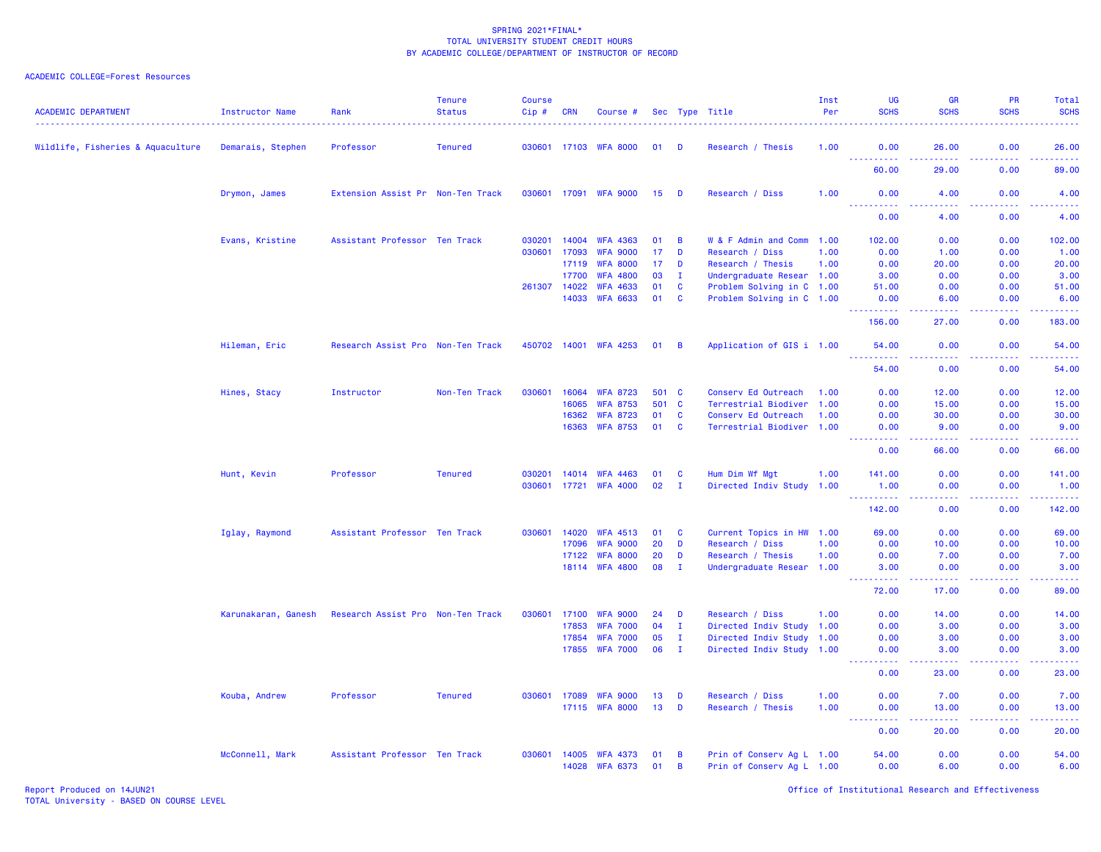| <b>ACADEMIC DEPARTMENT</b>        | Instructor Name     | Rank                              | <b>Tenure</b><br><b>Status</b> | <b>Course</b><br>Cip# | <b>CRN</b> | Course #              |       |                | Sec Type Title            | Inst<br>Per | UG<br><b>SCHS</b>                     | <b>GR</b><br><b>SCHS</b>                                                                                                                                     | <b>PR</b><br><b>SCHS</b> | Total<br><b>SCHS</b> |
|-----------------------------------|---------------------|-----------------------------------|--------------------------------|-----------------------|------------|-----------------------|-------|----------------|---------------------------|-------------|---------------------------------------|--------------------------------------------------------------------------------------------------------------------------------------------------------------|--------------------------|----------------------|
| Wildlife, Fisheries & Aquaculture | Demarais, Stephen   | Professor                         | <b>Tenured</b>                 | 030601 17103          |            | <b>WFA 8000</b>       | 01    | D              | Research / Thesis         | 1.00        | 0.00                                  | 26.00                                                                                                                                                        | 0.00                     | 26.00                |
|                                   |                     |                                   |                                |                       |            |                       |       |                |                           |             | .<br>60.00                            | 22222<br>29,00                                                                                                                                               | د د د د<br>0.00          | .<br>89.00           |
|                                   | Drymon, James       | Extension Assist Pr Non-Ten Track |                                |                       |            | 030601 17091 WFA 9000 | 15    | D              | Research / Diss           | 1.00        | 0.00<br>.                             | 4.00<br>.                                                                                                                                                    | 0.00<br>.                | 4.00<br>والمستناب    |
|                                   |                     |                                   |                                |                       |            |                       |       |                |                           |             | 0.00                                  | 4.00                                                                                                                                                         | 0.00                     | 4.00                 |
|                                   | Evans, Kristine     | Assistant Professor Ten Track     |                                | 030201                | 14004      | <b>WFA 4363</b>       | 01    | B              | W & F Admin and Comm      | 1.00        | 102.00                                | 0.00                                                                                                                                                         | 0.00                     | 102.00               |
|                                   |                     |                                   |                                | 030601                | 17093      | <b>WFA 9000</b>       | 17    | D              | Research / Diss           | 1.00        | 0.00                                  | 1.00                                                                                                                                                         | 0.00                     | 1.00                 |
|                                   |                     |                                   |                                |                       | 17119      | <b>WFA 8000</b>       | 17    | D              | Research / Thesis         | 1.00        | 0.00                                  | 20.00                                                                                                                                                        | 0.00                     | 20.00                |
|                                   |                     |                                   |                                |                       | 17700      | <b>WFA 4800</b>       | 03    | $\mathbf{I}$   | Undergraduate Resear 1.00 |             | 3.00                                  | 0.00                                                                                                                                                         | 0.00                     | 3.00                 |
|                                   |                     |                                   |                                | 261307 14022          |            | <b>WFA 4633</b>       | 01    | $\mathbf{C}$   | Problem Solving in C 1.00 |             | 51.00                                 | 0.00                                                                                                                                                         | 0.00                     | 51.00                |
|                                   |                     |                                   |                                |                       | 14033      | <b>WFA 6633</b>       | 01    | $\mathbf{C}$   | Problem Solving in C 1.00 |             | 0.00<br><u>.</u>                      | 6.00<br>.                                                                                                                                                    | 0.00<br>. <b>.</b>       | 6.00<br>.            |
|                                   |                     |                                   |                                |                       |            |                       |       |                |                           |             | 156.00                                | 27.00                                                                                                                                                        | 0.00                     | 183.00               |
|                                   | Hileman, Eric       | Research Assist Pro Non-Ten Track |                                |                       |            | 450702 14001 WFA 4253 | 01    | $\overline{B}$ | Application of GIS i 1.00 |             | 54.00                                 | 0.00<br>.                                                                                                                                                    | 0.00<br>-----            | 54.00<br>.           |
|                                   |                     |                                   |                                |                       |            |                       |       |                |                           |             | 54.00                                 | 0.00                                                                                                                                                         | 0.00                     | 54.00                |
|                                   | Hines, Stacy        | Instructor                        | Non-Ten Track                  | 030601                | 16064      | <b>WFA 8723</b>       | 501 C |                | Conserv Ed Outreach       | 1.00        | 0.00                                  | 12.00                                                                                                                                                        | 0.00                     | 12.00                |
|                                   |                     |                                   |                                |                       | 16065      | <b>WFA 8753</b>       | 501   | $\mathbf{C}$   | Terrestrial Biodiver      | 1.00        | 0.00                                  | 15.00                                                                                                                                                        | 0.00                     | 15.00                |
|                                   |                     |                                   |                                |                       | 16362      | <b>WFA 8723</b>       | 01    | C              | Conserv Ed Outreach       | 1.00        | 0.00                                  | 30.00                                                                                                                                                        | 0.00                     | 30.00                |
|                                   |                     |                                   |                                |                       | 16363      | <b>WFA 8753</b>       | 01    | C              | Terrestrial Biodiver 1.00 |             | 0.00                                  | 9.00                                                                                                                                                         | 0.00                     | 9.00                 |
|                                   |                     |                                   |                                |                       |            |                       |       |                |                           |             | 22222<br>0.00                         | .<br>66.00                                                                                                                                                   | بالمحامي<br>0.00         | وبالمستريب<br>66.00  |
|                                   | Hunt, Kevin         | Professor                         | <b>Tenured</b>                 | 030201                | 14014      | <b>WFA 4463</b>       | 01    | C              | Hum Dim Wf Mgt            | 1.00        | 141.00                                | 0.00                                                                                                                                                         | 0.00                     | 141.00               |
|                                   |                     |                                   |                                | 030601 17721          |            | <b>WFA 4000</b>       | 02    | I.             | Directed Indiv Study 1.00 |             | 1.00                                  | 0.00                                                                                                                                                         | 0.00                     | 1.00                 |
|                                   |                     |                                   |                                |                       |            |                       |       |                |                           |             | <u> - - - - - - - - - -</u><br>142.00 | .<br>0.00                                                                                                                                                    | . <b>.</b><br>0.00       | .<br>142.00          |
|                                   |                     |                                   |                                |                       |            |                       |       |                |                           |             |                                       |                                                                                                                                                              |                          |                      |
|                                   | Iglay, Raymond      | Assistant Professor Ten Track     |                                | 030601                | 14020      | <b>WFA 4513</b>       | 01    | <b>C</b>       | Current Topics in HW 1.00 |             | 69.00                                 | 0.00                                                                                                                                                         | 0.00                     | 69.00                |
|                                   |                     |                                   |                                |                       | 17096      | <b>WFA 9000</b>       | 20    | D              | Research / Diss           | 1.00        | 0.00                                  | 10.00                                                                                                                                                        | 0.00                     | 10.00                |
|                                   |                     |                                   |                                |                       | 17122      | <b>WFA 8000</b>       | 20    | D              | Research / Thesis         | 1.00        | 0.00                                  | 7.00                                                                                                                                                         | 0.00                     | 7.00                 |
|                                   |                     |                                   |                                |                       |            | 18114 WFA 4800        | 08    | $\mathbf{I}$   | Undergraduate Resear 1.00 |             | 3.00<br>22222                         | 0.00<br>$\frac{1}{2} \left( \frac{1}{2} \right) \left( \frac{1}{2} \right) \left( \frac{1}{2} \right) \left( \frac{1}{2} \right) \left( \frac{1}{2} \right)$ | 0.00<br>المستملة         | 3.00<br>والمستناب    |
|                                   |                     |                                   |                                |                       |            |                       |       |                |                           |             | 72.00                                 | 17.00                                                                                                                                                        | 0.00                     | 89.00                |
|                                   | Karunakaran, Ganesh | Research Assist Pro Non-Ten Track |                                | 030601                | 17100      | <b>WFA 9000</b>       | 24    | D              | Research / Diss           | 1.00        | 0.00                                  | 14.00                                                                                                                                                        | 0.00                     | 14.00                |
|                                   |                     |                                   |                                |                       | 17853      | <b>WFA 7000</b>       | 04    | $\mathbf I$    | Directed Indiv Study 1.00 |             | 0.00                                  | 3.00                                                                                                                                                         | 0.00                     | 3.00                 |
|                                   |                     |                                   |                                |                       | 17854      | <b>WFA 7000</b>       | 05    | Ι.             | Directed Indiv Study      | 1.00        | 0.00                                  | 3.00                                                                                                                                                         | 0.00                     | 3.00                 |
|                                   |                     |                                   |                                |                       | 17855      | <b>WFA 7000</b>       | 06    | $\mathbf{I}$   | Directed Indiv Study 1.00 |             | 0.00                                  | 3.00                                                                                                                                                         | 0.00                     | 3.00                 |
|                                   |                     |                                   |                                |                       |            |                       |       |                |                           |             | .<br>0.00                             | <u>.</u><br>23.00                                                                                                                                            | .<br>0.00                | والمستناب<br>23.00   |
|                                   | Kouba, Andrew       | Professor                         | <b>Tenured</b>                 | 030601                | 17089      | <b>WFA 9000</b>       | 13    | D              | Research / Diss           | 1.00        | 0.00                                  | 7.00                                                                                                                                                         | 0.00                     | 7.00                 |
|                                   |                     |                                   |                                |                       |            | 17115 WFA 8000        | 13    | D              | Research / Thesis         | 1.00        | 0.00                                  | 13.00                                                                                                                                                        | 0.00                     | 13.00                |
|                                   |                     |                                   |                                |                       |            |                       |       |                |                           |             | 0.00                                  | 22222<br>20.00                                                                                                                                               | المتمالين<br>0.00        | وساعات<br>20.00      |
|                                   | McConnell, Mark     | Assistant Professor Ten Track     |                                | 030601                | 14005      | <b>WFA 4373</b>       | 01    | B              | Prin of Conserv Ag L 1.00 |             | 54.00                                 | 0.00                                                                                                                                                         | 0.00                     | 54.00                |
|                                   |                     |                                   |                                |                       | 14028      | <b>WFA 6373</b>       | 01    | B              | Prin of Conserv Ag L 1.00 |             | 0.00                                  | 6.00                                                                                                                                                         | 0.00                     | 6.00                 |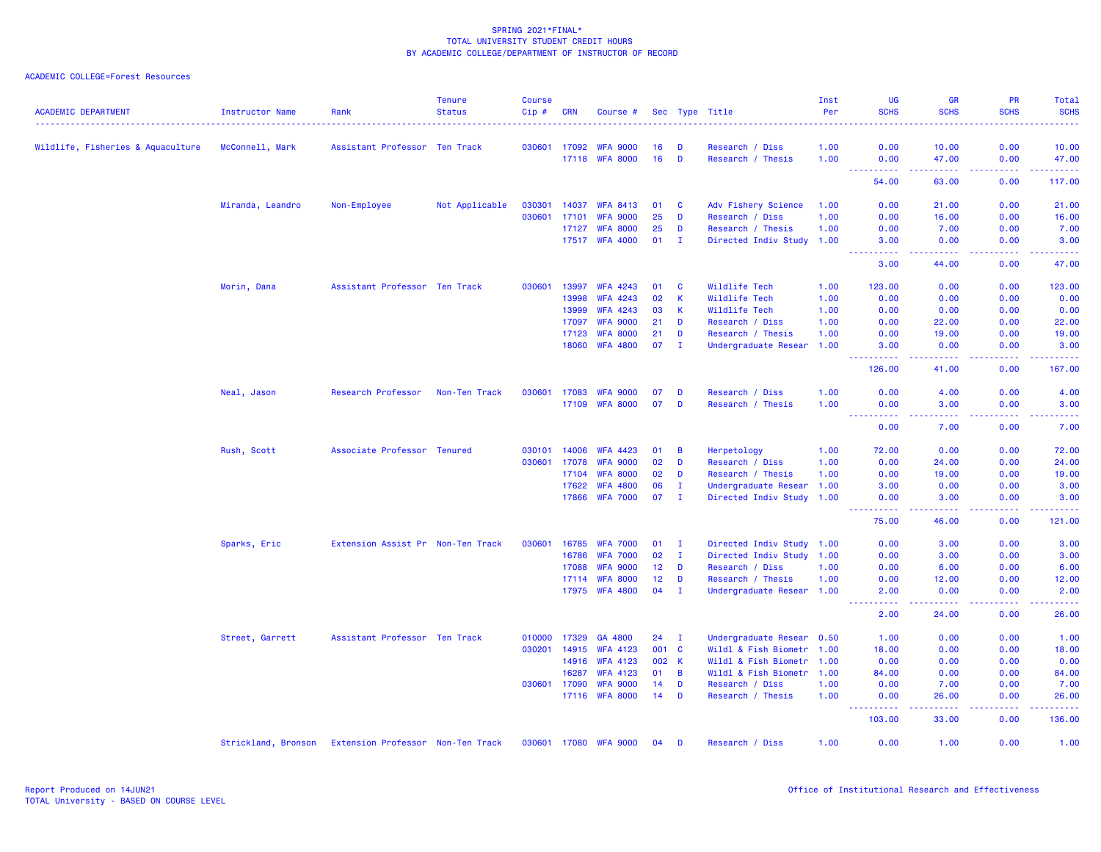| <b>ACADEMIC DEPARTMENT</b>        | Instructor Name     | Rank                              | <b>Tenure</b><br><b>Status</b> | <b>Course</b><br>Cip# | <b>CRN</b> | Course #              |       |                | Sec Type Title            | Inst<br>Per | UG<br><b>SCHS</b>                                                                                                                                                                                                                                                                                                    | <b>GR</b><br><b>SCHS</b> | <b>PR</b><br><b>SCHS</b>                                                                               | Total<br><b>SCHS</b> |
|-----------------------------------|---------------------|-----------------------------------|--------------------------------|-----------------------|------------|-----------------------|-------|----------------|---------------------------|-------------|----------------------------------------------------------------------------------------------------------------------------------------------------------------------------------------------------------------------------------------------------------------------------------------------------------------------|--------------------------|--------------------------------------------------------------------------------------------------------|----------------------|
|                                   |                     |                                   |                                |                       |            |                       |       |                |                           |             |                                                                                                                                                                                                                                                                                                                      |                          |                                                                                                        | .                    |
| Wildlife, Fisheries & Aquaculture | McConnell, Mark     | Assistant Professor Ten Track     |                                | 030601                | 17092      | <b>WFA 9000</b>       | 16    | D              | Research / Diss           | 1.00        | 0.00                                                                                                                                                                                                                                                                                                                 | 10.00                    | 0.00                                                                                                   | 10.00                |
|                                   |                     |                                   |                                |                       | 17118      | <b>WFA 8000</b>       | 16    | D              | Research / Thesis         | 1.00        | 0.00<br>$\frac{1}{2} \left( \frac{1}{2} \right) \left( \frac{1}{2} \right) \left( \frac{1}{2} \right) \left( \frac{1}{2} \right)$<br>$\frac{1}{2} \left( \frac{1}{2} \right) \left( \frac{1}{2} \right) \left( \frac{1}{2} \right) \left( \frac{1}{2} \right) \left( \frac{1}{2} \right) \left( \frac{1}{2} \right)$ | 47.00<br>المستمرين       | 0.00<br>.                                                                                              | 47.00<br>.           |
|                                   |                     |                                   |                                |                       |            |                       |       |                |                           |             | 54.00                                                                                                                                                                                                                                                                                                                | 63.00                    | 0.00                                                                                                   | 117.00               |
|                                   | Miranda, Leandro    | Non-Employee                      | Not Applicable                 | 030301                | 14037      | <b>WFA 8413</b>       | 01    | C              | Adv Fishery Science       | 1.00        | 0.00                                                                                                                                                                                                                                                                                                                 | 21.00                    | 0.00                                                                                                   | 21.00                |
|                                   |                     |                                   |                                | 030601                | 17101      | <b>WFA 9000</b>       | 25    | D              | Research / Diss           | 1.00        | 0.00                                                                                                                                                                                                                                                                                                                 | 16.00                    | 0.00                                                                                                   | 16.00                |
|                                   |                     |                                   |                                |                       | 17127      | <b>WFA 8000</b>       | 25    | D              | Research / Thesis         | 1.00        | 0.00                                                                                                                                                                                                                                                                                                                 | 7.00                     | 0.00                                                                                                   | 7.00                 |
|                                   |                     |                                   |                                |                       |            | 17517 WFA 4000        | 01    | $\blacksquare$ | Directed Indiv Study      | 1.00        | 3.00<br>22222                                                                                                                                                                                                                                                                                                        | 0.00<br>22222            | 0.00<br>.                                                                                              | 3.00<br>.            |
|                                   |                     |                                   |                                |                       |            |                       |       |                |                           |             | 3.00                                                                                                                                                                                                                                                                                                                 | 44.00                    | 0.00                                                                                                   | 47.00                |
|                                   | Morin, Dana         | Assistant Professor Ten Track     |                                | 030601                | 13997      | <b>WFA 4243</b>       | 01    | C              | Wildlife Tech             | 1.00        | 123.00                                                                                                                                                                                                                                                                                                               | 0.00                     | 0.00                                                                                                   | 123.00               |
|                                   |                     |                                   |                                |                       | 13998      | <b>WFA 4243</b>       | 02    | $\mathsf{K}$   | Wildlife Tech             | 1.00        | 0.00                                                                                                                                                                                                                                                                                                                 | 0.00                     | 0.00                                                                                                   | 0.00                 |
|                                   |                     |                                   |                                |                       | 13999      | <b>WFA 4243</b>       | 03    | К              | Wildlife Tech             | 1.00        | 0.00                                                                                                                                                                                                                                                                                                                 | 0.00                     | 0.00                                                                                                   | 0.00                 |
|                                   |                     |                                   |                                |                       | 17097      | <b>WFA 9000</b>       | 21    | D              | Research / Diss           | 1.00        | 0.00                                                                                                                                                                                                                                                                                                                 | 22.00                    | 0.00                                                                                                   | 22.00                |
|                                   |                     |                                   |                                |                       | 17123      | <b>WFA 8000</b>       | 21    | D              | Research / Thesis         | 1.00        | 0.00                                                                                                                                                                                                                                                                                                                 | 19.00                    | 0.00                                                                                                   | 19.00                |
|                                   |                     |                                   |                                |                       | 18060      | <b>WFA 4800</b>       | 07    | л.             | Undergraduate Resear      | 1.00        | 3.00<br><u> - - - - - - - - - -</u>                                                                                                                                                                                                                                                                                  | 0.00<br>$- - - - - -$    | 0.00<br>.                                                                                              | 3.00<br><u>.</u>     |
|                                   |                     |                                   |                                |                       |            |                       |       |                |                           |             | 126.00                                                                                                                                                                                                                                                                                                               | 41.00                    | 0.00                                                                                                   | 167.00               |
|                                   | Neal, Jason         | Research Professor                | Non-Ten Track                  | 030601                | 17083      | <b>WFA 9000</b>       | 07    | D              | Research / Diss           | 1.00        | 0.00                                                                                                                                                                                                                                                                                                                 | 4.00                     | 0.00                                                                                                   | 4.00                 |
|                                   |                     |                                   |                                |                       | 17109      | <b>WFA 8000</b>       | 07    | D              | Research / Thesis         | 1.00        | 0.00                                                                                                                                                                                                                                                                                                                 | 3.00                     | 0.00                                                                                                   | 3.00                 |
|                                   |                     |                                   |                                |                       |            |                       |       |                |                           |             | $\frac{1}{2} \left( \frac{1}{2} \right) \left( \frac{1}{2} \right) \left( \frac{1}{2} \right) \left( \frac{1}{2} \right)$<br>0.00                                                                                                                                                                                    | .<br>7.00                | .<br>0.00                                                                                              | وتوتون<br>7.00       |
|                                   | Rush, Scott         | Associate Professor Tenured       |                                | 030101                | 14006      | <b>WFA 4423</b>       | 01    | B              | Herpetology               | 1.00        | 72.00                                                                                                                                                                                                                                                                                                                | 0.00                     | 0.00                                                                                                   | 72.00                |
|                                   |                     |                                   |                                | 030601                | 17078      | <b>WFA 9000</b>       | 02    | D              | Research / Diss           | 1.00        | 0.00                                                                                                                                                                                                                                                                                                                 | 24.00                    | 0.00                                                                                                   | 24.00                |
|                                   |                     |                                   |                                |                       | 17104      | <b>WFA 8000</b>       | 02    | D              | Research / Thesis         | 1.00        | 0.00                                                                                                                                                                                                                                                                                                                 | 19.00                    | 0.00                                                                                                   | 19.00                |
|                                   |                     |                                   |                                |                       | 17622      | <b>WFA 4800</b>       | 06    | $\mathbf I$    | Undergraduate Resear      | 1.00        | 3.00                                                                                                                                                                                                                                                                                                                 | 0.00                     | 0.00                                                                                                   | 3.00                 |
|                                   |                     |                                   |                                |                       | 17866      | <b>WFA 7000</b>       | 07    | $\mathbf I$    | Directed Indiv Study      | 1.00        | 0.00                                                                                                                                                                                                                                                                                                                 | 3.00                     | 0.00                                                                                                   | 3.00                 |
|                                   |                     |                                   |                                |                       |            |                       |       |                |                           |             | .<br>75.00                                                                                                                                                                                                                                                                                                           | -----<br>46.00           | .<br>0.00                                                                                              | .<br>121.00          |
|                                   | Sparks, Eric        | Extension Assist Pr Non-Ten Track |                                | 030601                | 16785      | <b>WFA 7000</b>       | 01    | $\mathbf{I}$   | Directed Indiv Study 1.00 |             | 0.00                                                                                                                                                                                                                                                                                                                 | 3.00                     | 0.00                                                                                                   | 3.00                 |
|                                   |                     |                                   |                                |                       | 16786      | <b>WFA 7000</b>       | 02    | $\mathbf{I}$   | Directed Indiv Study 1.00 |             | 0.00                                                                                                                                                                                                                                                                                                                 | 3.00                     | 0.00                                                                                                   | 3.00                 |
|                                   |                     |                                   |                                |                       | 17088      | <b>WFA 9000</b>       | 12    | D              | Research / Diss           | 1.00        | 0.00                                                                                                                                                                                                                                                                                                                 | 6.00                     | 0.00                                                                                                   | 6.00                 |
|                                   |                     |                                   |                                |                       | 17114      | <b>WFA 8000</b>       | 12    | D              | Research / Thesis         | 1.00        | 0.00                                                                                                                                                                                                                                                                                                                 | 12.00                    | 0.00                                                                                                   | 12.00                |
|                                   |                     |                                   |                                |                       | 17975      | <b>WFA 4800</b>       | 04    | $\mathbf I$    | Undergraduate Resear 1.00 |             | 2.00                                                                                                                                                                                                                                                                                                                 | 0.00                     | 0.00<br>$\frac{1}{2} \left( \frac{1}{2} \right) \left( \frac{1}{2} \right) \left( \frac{1}{2} \right)$ | 2.00<br>2222.        |
|                                   |                     |                                   |                                |                       |            |                       |       |                |                           |             | 2.00                                                                                                                                                                                                                                                                                                                 | 24,00                    | 0.00                                                                                                   | 26.00                |
|                                   | Street, Garrett     | Assistant Professor Ten Track     |                                | 010000                | 17329      | GA 4800               | 24    | $\mathbf{I}$   | Undergraduate Resear      | 0.50        | 1.00                                                                                                                                                                                                                                                                                                                 | 0.00                     | 0.00                                                                                                   | 1.00                 |
|                                   |                     |                                   |                                | 030201                | 14915      | <b>WFA 4123</b>       | 001 C |                | Wildl & Fish Biometr 1.00 |             | 18.00                                                                                                                                                                                                                                                                                                                | 0.00                     | 0.00                                                                                                   | 18.00                |
|                                   |                     |                                   |                                |                       | 14916      | <b>WFA 4123</b>       | 002   | K              | Wildl & Fish Biometr      | 1.00        | 0.00                                                                                                                                                                                                                                                                                                                 | 0.00                     | 0.00                                                                                                   | 0.00                 |
|                                   |                     |                                   |                                |                       | 16287      | <b>WFA 4123</b>       | 01    | B              | Wildl & Fish Biometr      | 1.00        | 84.00                                                                                                                                                                                                                                                                                                                | 0.00                     | 0.00                                                                                                   | 84.00                |
|                                   |                     |                                   |                                | 030601                | 17090      | <b>WFA 9000</b>       | 14    | D              | Research / Diss           | 1.00        | 0.00                                                                                                                                                                                                                                                                                                                 | 7.00                     | 0.00                                                                                                   | 7.00                 |
|                                   |                     |                                   |                                |                       | 17116      | <b>WFA 8000</b>       | 14    | D              | Research / Thesis         | 1.00        | 0.00<br>.                                                                                                                                                                                                                                                                                                            | 26.00<br>.               | 0.00<br>.                                                                                              | 26.00<br>.           |
|                                   |                     |                                   |                                |                       |            |                       |       |                |                           |             | 103.00                                                                                                                                                                                                                                                                                                               | 33.00                    | 0.00                                                                                                   | 136.00               |
|                                   | Strickland, Bronson | Extension Professor Non-Ten Track |                                |                       |            | 030601 17080 WFA 9000 | 04    | D              | Research / Diss           | 1.00        | 0.00                                                                                                                                                                                                                                                                                                                 | 1.00                     | 0.00                                                                                                   | 1.00                 |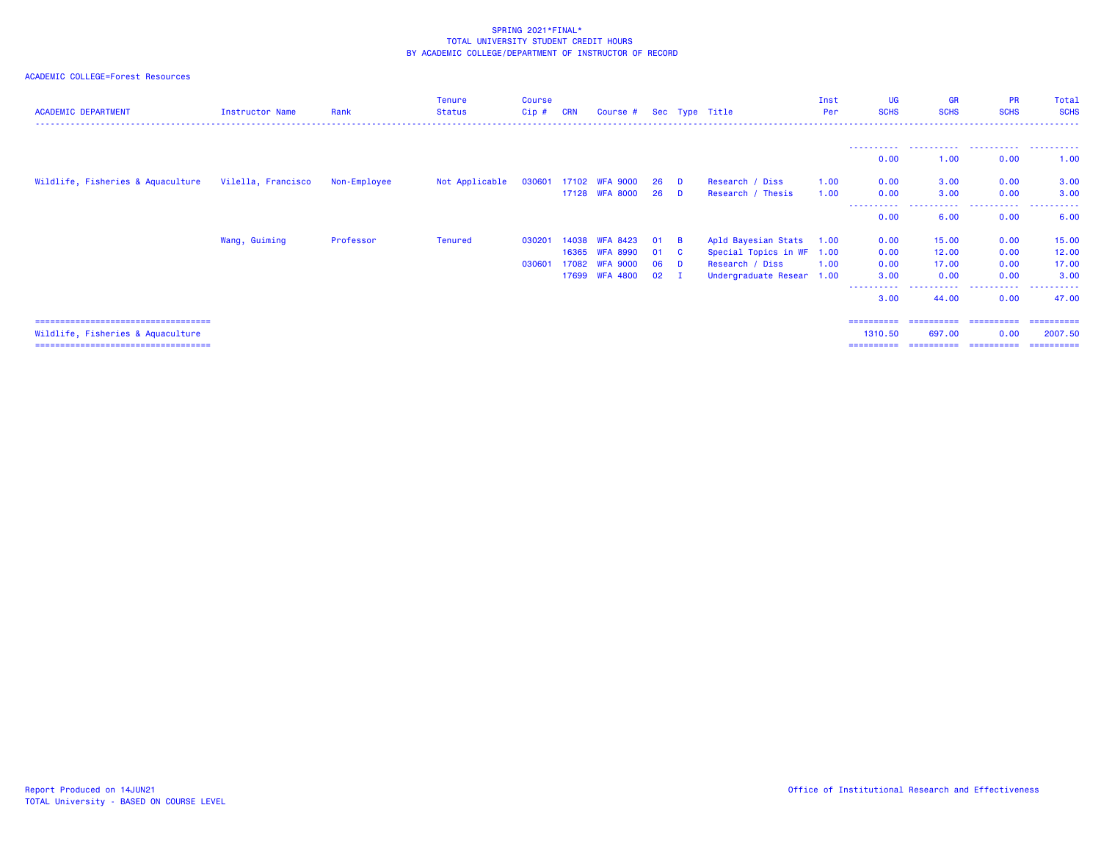| <b>ACADEMIC DEPARTMENT</b>            | Instructor Name    | Rank         | <b>Tenure</b><br>Status | <b>Course</b><br>Cip# | <b>CRN</b> | Course #              |              |              | Sec Type Title            | Inst<br>Per | <b>UG</b><br><b>SCHS</b> | <b>GR</b><br><b>SCHS</b>      | <b>PR</b><br><b>SCHS</b> | Total<br><b>SCHS</b> |
|---------------------------------------|--------------------|--------------|-------------------------|-----------------------|------------|-----------------------|--------------|--------------|---------------------------|-------------|--------------------------|-------------------------------|--------------------------|----------------------|
|                                       |                    |              |                         |                       |            |                       |              |              |                           |             |                          |                               |                          |                      |
|                                       |                    |              |                         |                       |            |                       |              |              |                           |             | 0.00                     | 1.00                          | 0.00                     | 1.00                 |
| Wildlife, Fisheries & Aquaculture     | Vilella, Francisco | Non-Employee | Not Applicable          |                       |            | 030601 17102 WFA 9000 | 26 D         |              | Research / Diss           | 1.00        | 0.00                     | 3.00                          | 0.00                     | 3.00                 |
|                                       |                    |              |                         |                       |            | 17128 WFA 8000        | 26 D         |              | Research / Thesis         | 1.00        | 0.00                     | 3.00                          | 0.00                     | 3.00                 |
|                                       |                    |              |                         |                       |            |                       |              |              |                           |             | 0.00                     | 6.00                          | 0.00                     | 6.00                 |
|                                       | Wang, Guiming      | Professor    | Tenured                 | 030201                | 14038      | <b>WFA 8423</b>       | 01           | <b>B</b>     | Apld Bayesian Stats 1.00  |             | 0.00                     | 15.00                         | 0.00                     | 15.00                |
|                                       |                    |              |                         |                       | 16365      | <b>WFA 8990</b>       | 01           | $\mathbf{C}$ | Special Topics in WF 1.00 |             | 0.00                     | 12.00                         | 0.00                     | 12.00                |
|                                       |                    |              |                         | 030601                | 17082      | <b>WFA 9000</b>       | 06           | <b>D</b>     | Research / Diss           | 1.00        | 0.00                     | 17.00                         | 0.00                     | 17.00                |
|                                       |                    |              |                         |                       | 17699      | <b>WFA 4800</b>       | $02 \quad I$ |              | Undergraduate Resear 1.00 |             | 3.00                     | 0.00                          | 0.00                     | 3.00                 |
|                                       |                    |              |                         |                       |            |                       |              |              |                           |             | ----------<br>3.00       | - - - - - - <b>-</b><br>44.00 | .<br>0.00                | .<br>47.00           |
| ===================================== |                    |              |                         |                       |            |                       |              |              |                           |             | ==========               | -----------                   | ------------             | -----------          |
| Wildlife, Fisheries & Aquaculture     |                    |              |                         |                       |            |                       |              |              |                           |             | 1310.50                  | 697.00                        | 0.00                     | 2007.50              |
| ====================================  |                    |              |                         |                       |            |                       |              |              |                           |             | ==========               | ==========                    | ==========               | ==========           |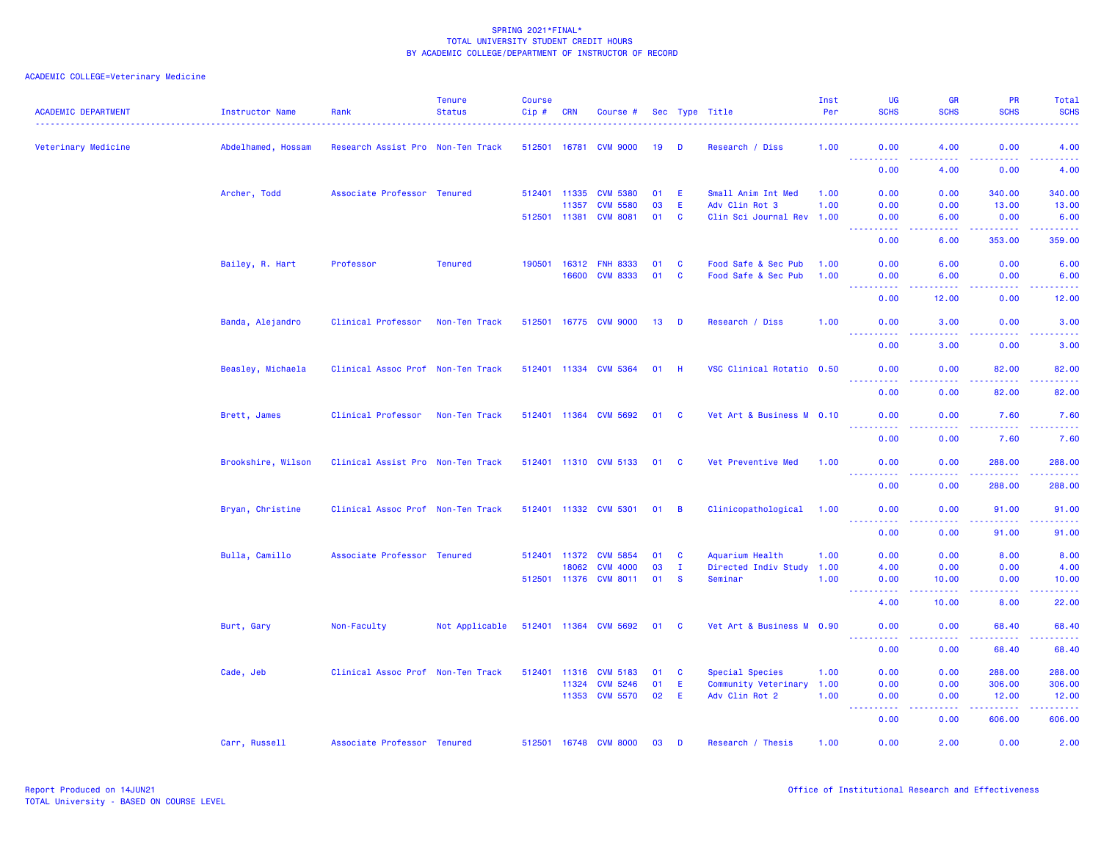| <b>ACADEMIC DEPARTMENT</b> | Instructor Name    | Rank                              | <b>Tenure</b><br><b>Status</b> | <b>Course</b><br>$Cip$ # | <b>CRN</b> | Course #              |        |                         | Sec Type Title            | Inst<br>Per | <b>UG</b><br><b>SCHS</b> | <b>GR</b><br><b>SCHS</b>                     | <b>PR</b><br><b>SCHS</b>                                                                                                           | Total<br><b>SCHS</b>                                                                                                               |
|----------------------------|--------------------|-----------------------------------|--------------------------------|--------------------------|------------|-----------------------|--------|-------------------------|---------------------------|-------------|--------------------------|----------------------------------------------|------------------------------------------------------------------------------------------------------------------------------------|------------------------------------------------------------------------------------------------------------------------------------|
| Veterinary Medicine        | Abdelhamed, Hossam | Research Assist Pro Non-Ten Track |                                | 512501 16781             |            | <b>CVM 9000</b>       | 19     | - D                     | Research / Diss           | 1.00        | 0.00                     | 4.00<br>.                                    | 0.00<br>22222                                                                                                                      | 4.00<br>.                                                                                                                          |
|                            |                    |                                   |                                |                          |            |                       |        |                         |                           |             | <b></b><br>0.00          | 4.00                                         | 0.00                                                                                                                               | 4.00                                                                                                                               |
|                            | Archer, Todd       | Associate Professor Tenured       |                                | 512401 11335             |            | <b>CVM 5380</b>       | 01     | E                       | Small Anim Int Med        | 1.00        | 0.00                     | 0.00                                         | 340.00                                                                                                                             | 340.00                                                                                                                             |
|                            |                    |                                   |                                |                          | 11357      | <b>CVM 5580</b>       | 03     | E                       | Adv Clin Rot 3            | 1.00        | 0.00                     | 0.00                                         | 13.00                                                                                                                              | 13.00                                                                                                                              |
|                            |                    |                                   |                                | 512501 11381             |            | <b>CVM 8081</b>       | 01     | <b>C</b>                | Clin Sci Journal Rev 1.00 |             | 0.00<br>$\sim 100$<br>.  | 6.00<br><b><i><u><u> - - - -</u></u></i></b> | 0.00<br>.                                                                                                                          | 6.00<br>.                                                                                                                          |
|                            |                    |                                   |                                |                          |            |                       |        |                         |                           |             | 0.00                     | 6.00                                         | 353.00                                                                                                                             | 359.00                                                                                                                             |
|                            | Bailey, R. Hart    | Professor                         | <b>Tenured</b>                 | 190501                   | 16312      | <b>FNH 8333</b>       | 01     | C                       | Food Safe & Sec Pub       | 1.00        | 0.00                     | 6.00                                         | 0.00                                                                                                                               | 6.00                                                                                                                               |
|                            |                    |                                   |                                |                          | 16600      | <b>CVM 8333</b>       | 01     | $\mathbf{C}$            | Food Safe & Sec Pub       | 1.00        | 0.00                     | 6.00                                         | 0.00                                                                                                                               | 6.00                                                                                                                               |
|                            |                    |                                   |                                |                          |            |                       |        |                         |                           |             | .<br>0.00                | .<br>12.00                                   | .<br>0.00                                                                                                                          | والمستحيل<br>12.00                                                                                                                 |
|                            | Banda, Alejandro   | Clinical Professor                | Non-Ten Track                  | 512501 16775             |            | <b>CVM 9000</b>       | 13     | D                       | Research / Diss           | 1.00        | 0.00                     | 3.00                                         | 0.00                                                                                                                               | 3.00                                                                                                                               |
|                            |                    |                                   |                                |                          |            |                       |        |                         |                           |             | <u>.</u><br>0.00         | .<br>3.00                                    | .<br>0.00                                                                                                                          | د د د د د<br>3.00                                                                                                                  |
|                            | Beasley, Michaela  | Clinical Assoc Prof Non-Ten Track |                                |                          |            | 512401 11334 CVM 5364 | $01$ H |                         | VSC Clinical Rotatio 0.50 |             | 0.00                     | 0.00                                         | 82.00                                                                                                                              | 82.00                                                                                                                              |
|                            |                    |                                   |                                |                          |            |                       |        |                         |                           |             | 0.00                     | 0.00                                         | 82.00                                                                                                                              | 82.00                                                                                                                              |
|                            | Brett, James       | Clinical Professor                | Non-Ten Track                  |                          |            | 512401 11364 CVM 5692 | 01     | $\overline{\mathbf{C}}$ | Vet Art & Business M 0.10 |             | 0.00                     | 0.00                                         | 7.60                                                                                                                               | 7.60                                                                                                                               |
|                            |                    |                                   |                                |                          |            |                       |        |                         |                           |             | .<br>0.00                | الداعات عا<br>0.00                           | 22222<br>7.60                                                                                                                      | .<br>7.60                                                                                                                          |
|                            | Brookshire, Wilson | Clinical Assist Pro Non-Ten Track |                                |                          |            | 512401 11310 CVM 5133 | 01     | <b>C</b>                | Vet Preventive Med        | 1.00        | 0.00                     | 0.00                                         | 288.00                                                                                                                             | 288.00                                                                                                                             |
|                            |                    |                                   |                                |                          |            |                       |        |                         |                           |             | <u>.</u>                 |                                              | .                                                                                                                                  | .                                                                                                                                  |
|                            |                    |                                   |                                |                          |            |                       |        |                         |                           |             | 0.00                     | 0.00                                         | 288.00                                                                                                                             | 288.00                                                                                                                             |
|                            | Bryan, Christine   | Clinical Assoc Prof Non-Ten Track |                                |                          |            | 512401 11332 CVM 5301 | 01     | B                       | Clinicopathological       | 1.00        | 0.00<br>.<br>$- - -$     | 0.00<br>$\sim$ $\sim$ $\sim$ $\sim$          | 91.00<br>$\frac{1}{2} \left( \frac{1}{2} \right) \left( \frac{1}{2} \right) \left( \frac{1}{2} \right) \left( \frac{1}{2} \right)$ | 91.00<br>.                                                                                                                         |
|                            |                    |                                   |                                |                          |            |                       |        |                         |                           |             | 0.00                     | 0.00                                         | 91.00                                                                                                                              | 91.00                                                                                                                              |
|                            | Bulla, Camillo     | Associate Professor Tenured       |                                | 512401 11372             |            | <b>CVM 5854</b>       | 01     | <b>C</b>                | Aquarium Health           | 1.00        | 0.00                     | 0.00                                         | 8.00                                                                                                                               | 8.00                                                                                                                               |
|                            |                    |                                   |                                |                          | 18062      | <b>CVM 4000</b>       | 03     | Ι.                      | Directed Indiv Study      | 1.00        | 4.00                     | 0.00                                         | 0.00                                                                                                                               | 4.00                                                                                                                               |
|                            |                    |                                   |                                |                          |            | 512501 11376 CVM 8011 | 01     | $\mathbf{s}$            | Seminar                   | 1.00        | 0.00<br>د د د د          | 10.00<br>.                                   | 0.00<br>.                                                                                                                          | 10.00<br>$\frac{1}{2} \left( \frac{1}{2} \right) \left( \frac{1}{2} \right) \left( \frac{1}{2} \right) \left( \frac{1}{2} \right)$ |
|                            |                    |                                   |                                |                          |            |                       |        |                         |                           |             | 4.00                     | 10.00                                        | 8.00                                                                                                                               | 22.00                                                                                                                              |
|                            | Burt, Gary         | Non-Faculty                       | Not Applicable                 |                          |            | 512401 11364 CVM 5692 | 01 C   |                         | Vet Art & Business M 0.90 |             | 0.00<br><u>.</u>         | 0.00<br>.                                    | 68.40<br>.                                                                                                                         | 68.40<br>.                                                                                                                         |
|                            |                    |                                   |                                |                          |            |                       |        |                         |                           |             | 0.00                     | 0.00                                         | 68.40                                                                                                                              | 68.40                                                                                                                              |
|                            | Cade, Jeb          | Clinical Assoc Prof Non-Ten Track |                                | 512401                   | 11316      | <b>CVM 5183</b>       | 01     | C                       | Special Species           | 1.00        | 0.00                     | 0.00                                         | 288.00                                                                                                                             | 288.00                                                                                                                             |
|                            |                    |                                   |                                |                          | 11324      | <b>CVM 5246</b>       | 01     | E                       | Community Veterinary      | 1.00        | 0.00                     | 0.00                                         | 306.00                                                                                                                             | 306.00                                                                                                                             |
|                            |                    |                                   |                                |                          |            | 11353 CVM 5570        | 02     | E                       | Adv Clin Rot 2            | 1.00        | 0.00<br>.                | 0.00<br>.                                    | 12.00<br>.                                                                                                                         | 12.00<br><u>.</u>                                                                                                                  |
|                            |                    |                                   |                                |                          |            |                       |        |                         |                           |             | 0.00                     | 0.00                                         | 606.00                                                                                                                             | 606.00                                                                                                                             |
|                            | Carr, Russell      | Associate Professor Tenured       |                                |                          |            | 512501 16748 CVM 8000 | 03     | D                       | Research / Thesis         | 1.00        | 0.00                     | 2.00                                         | 0.00                                                                                                                               | 2.00                                                                                                                               |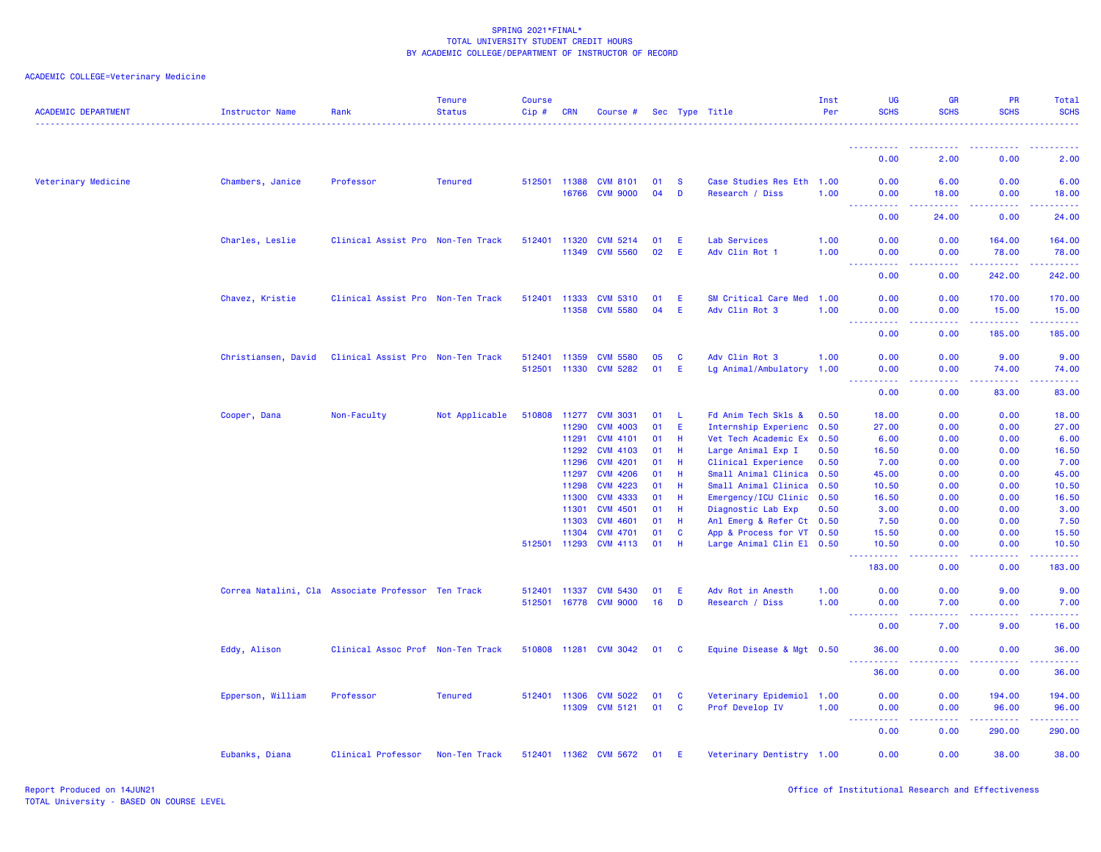| <b>ACADEMIC DEPARTMENT</b> | <b>Instructor Name</b>                             | Rank                              | <b>Tenure</b><br><b>Status</b> | Course<br>Cip# | CRN            | Course #                           |          |              | Sec Type Title                                    | Inst<br>Per  | UG<br><b>SCHS</b>                                                                                      | GR<br><b>SCHS</b>                   | PR<br><b>SCHS</b>     | Total<br><b>SCHS</b><br>$- - - - - - -$ |
|----------------------------|----------------------------------------------------|-----------------------------------|--------------------------------|----------------|----------------|------------------------------------|----------|--------------|---------------------------------------------------|--------------|--------------------------------------------------------------------------------------------------------|-------------------------------------|-----------------------|-----------------------------------------|
|                            |                                                    |                                   |                                |                |                |                                    |          |              |                                                   |              | <u>.</u>                                                                                               | .                                   | $- - - - -$           | . <u>.</u> .                            |
|                            |                                                    |                                   |                                |                |                |                                    |          |              |                                                   |              | 0.00                                                                                                   | 2.00                                | 0.00                  | 2.00                                    |
| Veterinary Medicine        | Chambers, Janice                                   | Professor                         | <b>Tenured</b>                 | 512501 11388   |                | <b>CVM 8101</b>                    | 01<br>04 | - S          | Case Studies Res Eth 1.00                         |              | 0.00                                                                                                   | 6.00                                | 0.00                  | 6.00                                    |
|                            |                                                    |                                   |                                |                | 16766          | <b>CVM 9000</b>                    |          | D            | Research / Diss                                   | 1.00         | 0.00<br>$\frac{1}{2} \left( \frac{1}{2} \right) \left( \frac{1}{2} \right) \left( \frac{1}{2} \right)$ | 18.00<br>.                          | 0.00<br>.             | 18.00<br>. <u>.</u> .                   |
|                            |                                                    |                                   |                                |                |                |                                    |          |              |                                                   |              | 0.00                                                                                                   | 24.00                               | 0.00                  | 24.00                                   |
|                            | Charles, Leslie                                    | Clinical Assist Pro Non-Ten Track |                                | 512401 11320   | 11349          | <b>CVM 5214</b><br><b>CVM 5560</b> | 01<br>02 | E<br>E       | Lab Services<br>Adv Clin Rot 1                    | 1.00<br>1.00 | 0.00<br>0.00                                                                                           | 0.00<br>0.00                        | 164.00<br>78.00       | 164.00<br>78.00                         |
|                            |                                                    |                                   |                                |                |                |                                    |          |              |                                                   |              | المتمالي<br>0.00                                                                                       | بالأباد<br>0.00                     | .<br>242.00           | .<br>242.00                             |
|                            |                                                    |                                   |                                |                |                |                                    |          |              |                                                   |              |                                                                                                        |                                     |                       |                                         |
|                            | Chavez, Kristie                                    | Clinical Assist Pro Non-Ten Track |                                | 512401         | 11333<br>11358 | <b>CVM 5310</b><br><b>CVM 5580</b> | 01<br>04 | E<br>E       | SM Critical Care Med<br>Adv Clin Rot 3            | 1.00<br>1.00 | 0.00<br>0.00                                                                                           | 0.00<br>0.00                        | 170.00<br>15.00       | 170.00<br>15.00                         |
|                            |                                                    |                                   |                                |                |                |                                    |          |              |                                                   |              | $\sim$ $\sim$ $\sim$<br>ولاوياء<br>0.00                                                                | وبالمحام<br>0.00                    | د د د د د د<br>185.00 | وعاعاته عاجات<br>185.00                 |
|                            | Christiansen, David                                | Clinical Assist Pro Non-Ten Track |                                | 512401         | 11359          | <b>CVM 5580</b>                    | 05       | <b>C</b>     | Adv Clin Rot 3                                    | 1.00         | 0.00                                                                                                   | 0.00                                | 9.00                  | 9.00                                    |
|                            |                                                    |                                   |                                |                | 512501 11330   | <b>CVM 5282</b>                    | 01       | E            | Lg Animal/Ambulatory 1.00                         |              | 0.00                                                                                                   | 0.00<br>$\sim$ $\sim$ $\sim$ $\sim$ | 74.00                 | 74.00                                   |
|                            |                                                    |                                   |                                |                |                |                                    |          |              |                                                   |              | 0.00                                                                                                   | 0.00                                | 83.00                 | 83.00                                   |
|                            | Cooper, Dana                                       | Non-Faculty                       | Not Applicable                 | 510808         | 11277          | <b>CVM 3031</b>                    | 01       | $\mathbf{L}$ | Fd Anim Tech Skls &                               | 0.50         | 18.00                                                                                                  | 0.00                                | 0.00                  | 18.00                                   |
|                            |                                                    |                                   |                                |                | 11290          | <b>CVM 4003</b>                    | 01       | -E           | Internship Experienc 0.50                         |              | 27.00                                                                                                  | 0.00                                | 0.00                  | 27.00                                   |
|                            |                                                    |                                   |                                |                | 11291          | <b>CVM 4101</b>                    | 01       | -H           | Vet Tech Academic Ex 0.50                         |              | 6.00                                                                                                   | 0.00                                | 0.00                  | 6.00                                    |
|                            |                                                    |                                   |                                |                | 11292          | <b>CVM 4103</b>                    | 01       | H.           | Large Animal Exp I                                | 0.50         | 16.50                                                                                                  | 0.00                                | 0.00                  | 16.50                                   |
|                            |                                                    |                                   |                                |                | 11296          | <b>CVM 4201</b>                    | 01       | Н            | Clinical Experience                               | 0.50         | 7.00                                                                                                   | 0.00                                | 0.00                  | 7.00                                    |
|                            |                                                    |                                   |                                |                | 11297<br>11298 | <b>CVM 4206</b><br><b>CVM 4223</b> | 01<br>01 | Н<br>H.      | Small Animal Clinica 0.50<br>Small Animal Clinica | 0.50         | 45.00<br>10.50                                                                                         | 0.00<br>0.00                        | 0.00<br>0.00          | 45.00<br>10.50                          |
|                            |                                                    |                                   |                                |                | 11300          | <b>CVM 4333</b>                    | 01       | Н            | Emergency/ICU Clinic 0.50                         |              | 16.50                                                                                                  | 0.00                                | 0.00                  | 16.50                                   |
|                            |                                                    |                                   |                                |                | 11301          | <b>CVM 4501</b>                    | 01       | H            | Diagnostic Lab Exp                                | 0.50         | 3.00                                                                                                   | 0.00                                | 0.00                  | 3.00                                    |
|                            |                                                    |                                   |                                |                | 11303          | <b>CVM 4601</b>                    | 01       | Н            | Anl Emerg & Refer Ct 0.50                         |              | 7.50                                                                                                   | 0.00                                | 0.00                  | 7.50                                    |
|                            |                                                    |                                   |                                |                | 11304          | <b>CVM 4701</b>                    | 01       | <b>C</b>     | App & Process for VT 0.50                         |              | 15.50                                                                                                  | 0.00                                | 0.00                  | 15.50                                   |
|                            |                                                    |                                   |                                | 512501 11293   |                | <b>CVM 4113</b>                    | 01       | H.           | Large Animal Clin El 0.50                         |              | 10.50<br><b><i><u><u>AAAAA</u></u></i></b>                                                             | 0.00<br>بالأباد                     | 0.00<br>-----         | 10.50<br>.                              |
|                            |                                                    |                                   |                                |                |                |                                    |          |              |                                                   |              | 183.00                                                                                                 | 0.00                                | 0.00                  | 183.00                                  |
|                            | Correa Natalini, Cla Associate Professor Ten Track |                                   |                                | 512401 11337   |                | <b>CVM 5430</b>                    | 01       | E            | Adv Rot in Anesth                                 | 1.00         | 0.00                                                                                                   | 0.00                                | 9.00                  | 9.00                                    |
|                            |                                                    |                                   |                                |                |                | 512501 16778 CVM 9000              | 16       | D            | Research / Diss                                   | 1.00         | 0.00<br><b><i><u>AAAAA</u></i></b><br><u>.</u>                                                         | 7.00<br>.                           | 0.00<br><u>.</u>      | 7.00<br>.                               |
|                            |                                                    |                                   |                                |                |                |                                    |          |              |                                                   |              | 0.00                                                                                                   | 7.00                                | 9.00                  | 16.00                                   |
|                            | Eddy, Alison                                       | Clinical Assoc Prof Non-Ten Track |                                | 510808 11281   |                | <b>CVM 3042</b>                    | 01       | <b>C</b>     | Equine Disease & Mgt 0.50                         |              | 36.00<br>----------                                                                                    | 0.00<br>.                           | 0.00<br><u>.</u>      | 36.00<br>.                              |
|                            |                                                    |                                   |                                |                |                |                                    |          |              |                                                   |              | 36.00                                                                                                  | 0.00                                | 0.00                  | 36.00                                   |
|                            | Epperson, William                                  | Professor                         | <b>Tenured</b>                 |                | 512401 11306   | <b>CVM 5022</b>                    | 01       | <b>C</b>     | Veterinary Epidemiol 1.00                         |              | 0.00                                                                                                   | 0.00                                | 194.00                | 194.00                                  |
|                            |                                                    |                                   |                                |                | 11309          | <b>CVM 5121</b>                    | 01       | $\mathbf{C}$ | Prof Develop IV                                   | 1.00         | 0.00<br><u>.</u>                                                                                       | 0.00<br>.                           | 96.00<br>.            | 96.00<br>.                              |
|                            |                                                    |                                   |                                |                |                |                                    |          |              |                                                   |              | 0.00                                                                                                   | 0.00                                | 290.00                | 290.00                                  |
|                            | Eubanks, Diana                                     | Clinical Professor                | Non-Ten Track                  |                |                | 512401 11362 CVM 5672              | 01 E     |              | Veterinary Dentistry 1.00                         |              | 0.00                                                                                                   | 0.00                                | 38.00                 | 38.00                                   |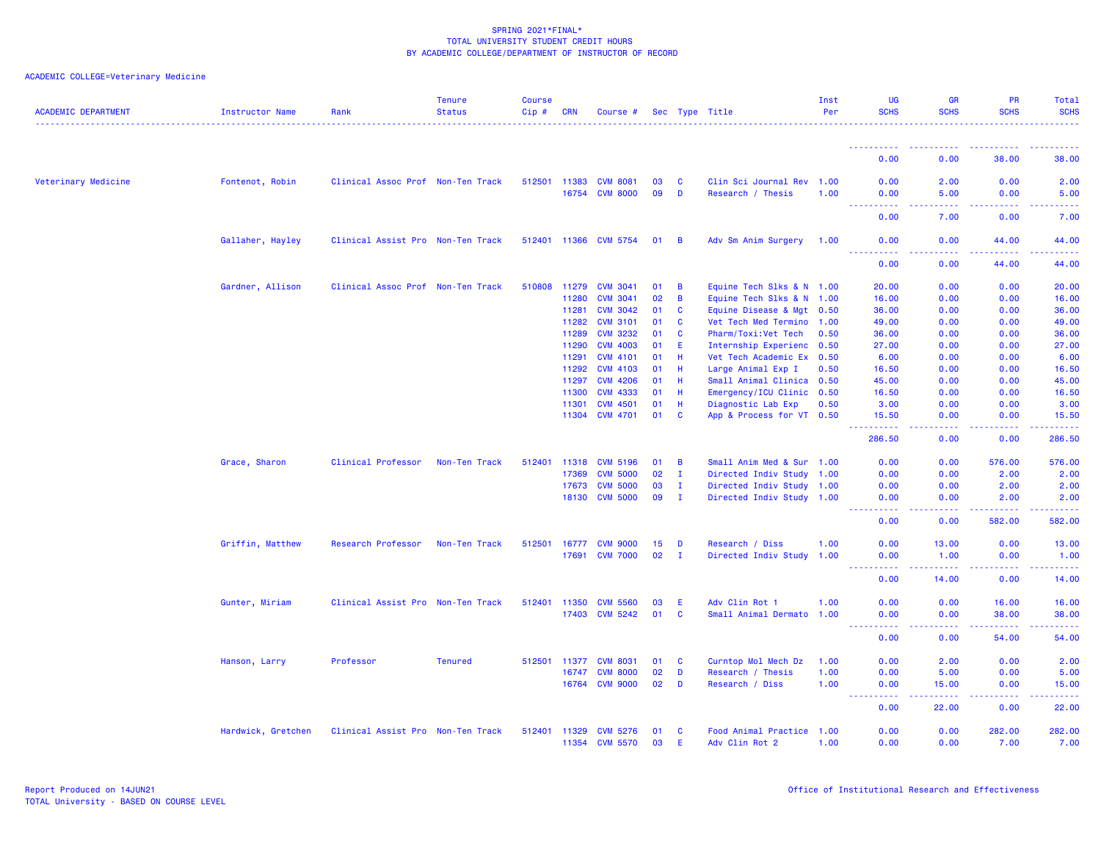| <b>ACADEMIC DEPARTMENT</b> | <b>Instructor Name</b> | Rank                              | <b>Tenure</b><br><b>Status</b> | Course<br>Cip# | <b>CRN</b> | Course #        |    |                | Sec Type Title            | Inst<br>Per | UG<br><b>SCHS</b>                                                                                                                 | <b>GR</b><br><b>SCHS</b> | PR<br><b>SCHS</b> | Total<br><b>SCHS</b> |
|----------------------------|------------------------|-----------------------------------|--------------------------------|----------------|------------|-----------------|----|----------------|---------------------------|-------------|-----------------------------------------------------------------------------------------------------------------------------------|--------------------------|-------------------|----------------------|
|                            |                        |                                   |                                |                |            |                 |    |                |                           |             |                                                                                                                                   |                          |                   |                      |
|                            |                        |                                   |                                |                |            |                 |    |                |                           |             | 0.00                                                                                                                              | 0.00                     | 38.00             | 38.00                |
| Veterinary Medicine        | Fontenot, Robin        | Clinical Assoc Prof Non-Ten Track |                                | 512501         | 11383      | <b>CVM 8081</b> | 03 | <b>C</b>       | Clin Sci Journal Rev 1.00 |             | 0.00                                                                                                                              | 2.00                     | 0.00              | 2.00                 |
|                            |                        |                                   |                                |                | 16754      | <b>CVM 8000</b> | 09 | D              | Research / Thesis         | 1.00        | 0.00<br>2.2.2.2.2<br><u>.</u>                                                                                                     | 5.00<br>المتمالين        | 0.00<br>.         | 5.00<br>.            |
|                            |                        |                                   |                                |                |            |                 |    |                |                           |             | 0.00                                                                                                                              | 7.00                     | 0.00              | 7.00                 |
|                            | Gallaher, Hayley       | Clinical Assist Pro Non-Ten Track |                                | 512401 11366   |            | <b>CVM 5754</b> | 01 | $\overline{B}$ | Adv Sm Anim Surgery       | 1.00        | 0.00<br>.                                                                                                                         | 0.00                     | 44.00             | 44.00                |
|                            |                        |                                   |                                |                |            |                 |    |                |                           |             | 0.00                                                                                                                              | 0.00                     | 44.00             | 44.00                |
|                            | Gardner, Allison       | Clinical Assoc Prof Non-Ten Track |                                | 510808         | 11279      | <b>CVM 3041</b> | 01 | B              | Equine Tech Slks & N 1.00 |             | 20.00                                                                                                                             | 0.00                     | 0.00              | 20.00                |
|                            |                        |                                   |                                |                | 11280      | <b>CVM 3041</b> | 02 | B              | Equine Tech Slks & N 1.00 |             | 16.00                                                                                                                             | 0.00                     | 0.00              | 16.00                |
|                            |                        |                                   |                                |                | 11281      | <b>CVM 3042</b> | 01 | C              | Equine Disease & Mgt 0.50 |             | 36.00                                                                                                                             | 0.00                     | 0.00              | 36.00                |
|                            |                        |                                   |                                |                | 11282      | <b>CVM 3101</b> | 01 | <b>C</b>       | Vet Tech Med Termino 1.00 |             | 49.00                                                                                                                             | 0.00                     | 0.00              | 49.00                |
|                            |                        |                                   |                                |                | 11289      | <b>CVM 3232</b> | 01 | C              | Pharm/Toxi:Vet Tech       | 0.50        | 36.00                                                                                                                             | 0.00                     | 0.00              | 36.00                |
|                            |                        |                                   |                                |                | 11290      | <b>CVM 4003</b> | 01 | Ε              | Internship Experienc 0.50 |             | 27.00                                                                                                                             | 0.00                     | 0.00              | 27.00                |
|                            |                        |                                   |                                |                | 11291      | <b>CVM 4101</b> | 01 | Н              | Vet Tech Academic Ex 0.50 |             | 6.00                                                                                                                              | 0.00                     | 0.00              | 6.00                 |
|                            |                        |                                   |                                |                | 11292      | <b>CVM 4103</b> | 01 | H              | Large Animal Exp I        | 0.50        | 16.50                                                                                                                             | 0.00                     | 0.00              | 16.50                |
|                            |                        |                                   |                                |                | 11297      | <b>CVM 4206</b> | 01 | н              | Small Animal Clinica 0.50 |             | 45.00                                                                                                                             | 0.00                     | 0.00              | 45.00                |
|                            |                        |                                   |                                |                | 11300      | <b>CVM 4333</b> | 01 | H.             | Emergency/ICU Clinic 0.50 |             | 16.50                                                                                                                             | 0.00                     | 0.00              | 16.50                |
|                            |                        |                                   |                                |                | 11301      | <b>CVM 4501</b> | 01 | Н              | Diagnostic Lab Exp        | 0.50        | 3.00                                                                                                                              | 0.00                     | 0.00              | 3.00                 |
|                            |                        |                                   |                                |                | 11304      | <b>CVM 4701</b> | 01 | <b>C</b>       | App & Process for VT 0.50 |             | 15.50                                                                                                                             | 0.00                     | 0.00              | 15.50                |
|                            |                        |                                   |                                |                |            |                 |    |                |                           |             | 286.50                                                                                                                            | 0.00                     | 0.00              | 286.50               |
|                            | Grace, Sharon          | Clinical Professor                | Non-Ten Track                  | 512401         | 11318      | <b>CVM 5196</b> | 01 | B              | Small Anim Med & Sur 1.00 |             | 0.00                                                                                                                              | 0.00                     | 576.00            | 576.00               |
|                            |                        |                                   |                                |                | 17369      | <b>CVM 5000</b> | 02 | $\mathbf{I}$   | Directed Indiv Study 1.00 |             | 0.00                                                                                                                              | 0.00                     | 2.00              | 2.00                 |
|                            |                        |                                   |                                |                | 17673      | <b>CVM 5000</b> | 03 | $\mathbf{I}$   | Directed Indiv Study 1.00 |             | 0.00                                                                                                                              | 0.00                     | 2.00              | 2.00                 |
|                            |                        |                                   |                                |                | 18130      | <b>CVM 5000</b> | 09 | $\mathbf{I}$   | Directed Indiv Study 1.00 |             | 0.00                                                                                                                              | 0.00                     | 2.00              | 2.00                 |
|                            |                        |                                   |                                |                |            |                 |    |                |                           |             | .<br>0.00                                                                                                                         | .<br>0.00                | <b></b><br>582.00 | .<br>582.00          |
|                            | Griffin, Matthew       | Research Professor                | Non-Ten Track                  | 512501         | 16777      | <b>CVM 9000</b> | 15 | D              | Research / Diss           | 1.00        | 0.00                                                                                                                              | 13.00                    | 0.00              | 13.00                |
|                            |                        |                                   |                                |                | 17691      | <b>CVM 7000</b> | 02 | $\mathbf{I}$   | Directed Indiv Study 1.00 |             | 0.00<br>$\frac{1}{2} \left( \frac{1}{2} \right) \left( \frac{1}{2} \right) \left( \frac{1}{2} \right) \left( \frac{1}{2} \right)$ | 1.00<br>.                | 0.00<br>.         | 1.00<br>. <u>.</u> . |
|                            |                        |                                   |                                |                |            |                 |    |                |                           |             | 0.00                                                                                                                              | 14.00                    | 0.00              | 14.00                |
|                            | Gunter, Miriam         | Clinical Assist Pro Non-Ten Track |                                | 512401         | 11350      | <b>CVM 5560</b> | 03 | E              | Adv Clin Rot 1            | 1.00        | 0.00                                                                                                                              | 0.00                     | 16.00             | 16.00                |
|                            |                        |                                   |                                |                | 17403      | <b>CVM 5242</b> | 01 | C              | Small Animal Dermato 1.00 |             | 0.00<br>----<br>.                                                                                                                 | 0.00<br>.                | 38.00<br>.        | 38.00<br>.           |
|                            |                        |                                   |                                |                |            |                 |    |                |                           |             | 0.00                                                                                                                              | 0.00                     | 54.00             | 54.00                |
|                            | Hanson, Larry          | Professor                         | <b>Tenured</b>                 | 512501         | 11377      | <b>CVM 8031</b> | 01 | <b>C</b>       | Curntop Mol Mech Dz       | 1.00        | 0.00                                                                                                                              | 2.00                     | 0.00              | 2.00                 |
|                            |                        |                                   |                                |                | 16747      | <b>CVM 8000</b> | 02 | D              | Research / Thesis         | 1.00        | 0.00                                                                                                                              | 5.00                     | 0.00              | 5.00                 |
|                            |                        |                                   |                                |                | 16764      | <b>CVM 9000</b> | 02 | D              | Research / Diss           | 1.00        | 0.00<br>$\sim$ $\sim$ $\sim$ $\sim$                                                                                               | 15.00<br>.               | 0.00<br>-----     | 15.00<br>.           |
|                            |                        |                                   |                                |                |            |                 |    |                |                           |             | 0.00                                                                                                                              | 22.00                    | 0.00              | 22.00                |
|                            | Hardwick, Gretchen     | Clinical Assist Pro Non-Ten Track |                                | 512401         | 11329      | <b>CVM 5276</b> | 01 | C              | Food Animal Practice 1.00 |             | 0.00                                                                                                                              | 0.00                     | 282.00            | 282.00               |
|                            |                        |                                   |                                |                | 11354      | <b>CVM 5570</b> | 03 | E              | Adv Clin Rot 2            | 1.00        | 0.00                                                                                                                              | 0.00                     | 7.00              | 7.00                 |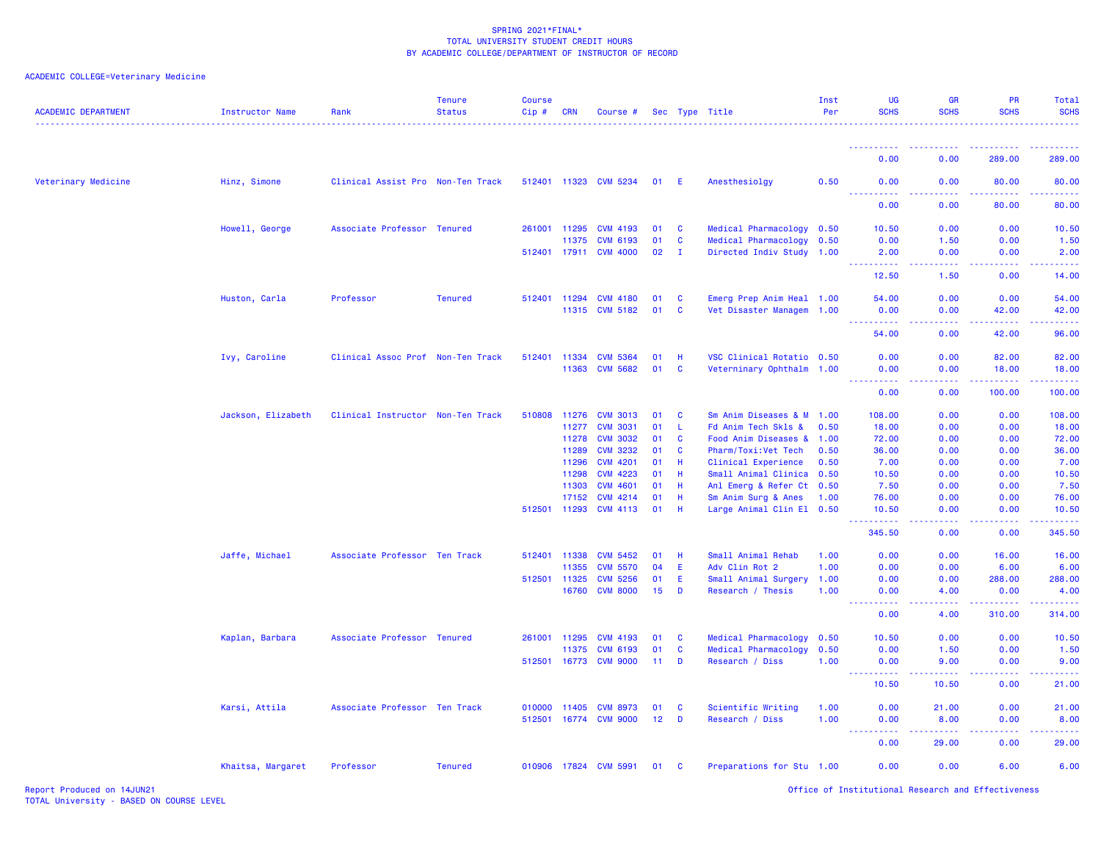| <b>ACADEMIC DEPARTMENT</b> | <b>Instructor Name</b> | Rank                              | <b>Tenure</b><br><b>Status</b> | Course<br>Cip# | CRN            | Course #                           |                 |              | Sec Type Title<br>--------------------------------- | Inst<br>Per | <b>UG</b><br><b>SCHS</b>            | <b>GR</b><br><b>SCHS</b>                                                                                                                             | <b>PR</b><br><b>SCHS</b>      | Total<br><b>SCHS</b><br>. |
|----------------------------|------------------------|-----------------------------------|--------------------------------|----------------|----------------|------------------------------------|-----------------|--------------|-----------------------------------------------------|-------------|-------------------------------------|------------------------------------------------------------------------------------------------------------------------------------------------------|-------------------------------|---------------------------|
|                            |                        |                                   |                                |                |                |                                    |                 |              |                                                     |             | <u>.</u>                            | .                                                                                                                                                    | <b><i><u><u>.</u></u></i></b> | .                         |
|                            |                        |                                   |                                |                |                |                                    |                 |              |                                                     |             | 0.00                                | 0.00                                                                                                                                                 | 289.00                        | 289.00                    |
| Veterinary Medicine        | Hinz, Simone           | Clinical Assist Pro Non-Ten Track |                                |                |                | 512401 11323 CVM 5234              | 01 E            |              | Anesthesiolgy                                       | 0.50        | 0.00                                | 0.00<br>222 L                                                                                                                                        | 80.00                         | 80.00                     |
|                            |                        |                                   |                                |                |                |                                    |                 |              |                                                     |             | 0.00                                | 0.00                                                                                                                                                 | 80.00                         | 80.00                     |
|                            | Howell, George         | Associate Professor Tenured       |                                | 261001         | 11295          | <b>CVM 4193</b>                    | 01              | <b>C</b>     | Medical Pharmacology                                | 0.50        | 10.50                               | 0.00                                                                                                                                                 | 0.00                          | 10.50                     |
|                            |                        |                                   |                                |                | 11375          | <b>CVM 6193</b>                    | 01              | <b>C</b>     | Medical Pharmacology 0.50                           |             | 0.00                                | 1.50                                                                                                                                                 | 0.00                          | 1.50                      |
|                            |                        |                                   |                                |                |                | 512401 17911 CVM 4000              | 02              | $\mathbf{I}$ | Directed Indiv Study 1.00                           |             | 2.00<br>المتمام المتحدة             | 0.00<br>ولايات                                                                                                                                       | 0.00<br>.                     | 2.00<br>.                 |
|                            |                        |                                   |                                |                |                |                                    |                 |              |                                                     |             | 12.50                               | 1.50                                                                                                                                                 | 0.00                          | 14.00                     |
|                            | Huston, Carla          | Professor                         | <b>Tenured</b>                 |                | 512401 11294   | <b>CVM 4180</b>                    | 01              | C            | Emerg Prep Anim Heal 1.00                           |             | 54.00                               | 0.00                                                                                                                                                 | 0.00                          | 54.00                     |
|                            |                        |                                   |                                |                | 11315          | <b>CVM 5182</b>                    | 01              | C            | Vet Disaster Managem 1.00                           |             | 0.00                                | 0.00                                                                                                                                                 | 42.00                         | 42.00                     |
|                            |                        |                                   |                                |                |                |                                    |                 |              |                                                     |             | <u>.</u><br>54.00                   | .<br>0.00                                                                                                                                            | .<br>42.00                    | .<br>96.00                |
|                            |                        |                                   |                                |                |                |                                    |                 |              | VSC Clinical Rotatio 0.50                           |             |                                     |                                                                                                                                                      |                               |                           |
|                            | Ivy, Caroline          | Clinical Assoc Prof Non-Ten Track |                                | 512401         | 11334<br>11363 | <b>CVM 5364</b><br><b>CVM 5682</b> | 01<br>01        | -H<br>C      | Veterninary Ophthalm 1.00                           |             | 0.00<br>0.00                        | 0.00<br>0.00                                                                                                                                         | 82.00<br>18.00                | 82.00<br>18.00            |
|                            |                        |                                   |                                |                |                |                                    |                 |              |                                                     |             | <u> - - - - - - - - - -</u><br>0.00 | بالأباد                                                                                                                                              | 100.00                        | .                         |
|                            |                        |                                   |                                |                |                |                                    |                 |              |                                                     |             |                                     | 0.00                                                                                                                                                 |                               | 100.00                    |
|                            | Jackson, Elizabeth     | Clinical Instructor Non-Ten Track |                                |                | 510808 11276   | <b>CVM 3013</b>                    | 01              | C            | Sm Anim Diseases & M 1.00                           |             | 108.00                              | 0.00                                                                                                                                                 | 0.00                          | 108.00                    |
|                            |                        |                                   |                                |                | 11277          | <b>CVM 3031</b>                    | 01              | L.           | Fd Anim Tech Skls &                                 | 0.50        | 18.00                               | 0.00                                                                                                                                                 | 0.00                          | 18.00                     |
|                            |                        |                                   |                                |                | 11278          | <b>CVM 3032</b>                    | 01              | $\mathbf{C}$ | Food Anim Diseases & 1.00                           |             | 72.00                               | 0.00                                                                                                                                                 | 0.00                          | 72.00                     |
|                            |                        |                                   |                                |                | 11289          | <b>CVM 3232</b>                    | 01              | C            | Pharm/Toxi: Vet Tech                                | 0.50        | 36.00                               | 0.00                                                                                                                                                 | 0.00                          | 36.00                     |
|                            |                        |                                   |                                |                | 11296          | <b>CVM 4201</b>                    | 01              | Н            | Clinical Experience                                 | 0.50        | 7.00                                | 0.00                                                                                                                                                 | 0.00                          | 7.00                      |
|                            |                        |                                   |                                |                | 11298          | <b>CVM 4223</b>                    | 01              | Н            | Small Animal Clinica 0.50                           |             | 10.50                               | 0.00                                                                                                                                                 | 0.00                          | 10.50                     |
|                            |                        |                                   |                                |                | 11303          | <b>CVM 4601</b><br><b>CVM 4214</b> | 01<br>01        | Н<br>Н       | Anl Emerg & Refer Ct 0.50                           |             | 7.50                                | 0.00<br>0.00                                                                                                                                         | 0.00<br>0.00                  | 7.50                      |
|                            |                        |                                   |                                | 512501         | 17152<br>11293 | <b>CVM 4113</b>                    | 01              | H            | Sm Anim Surg & Anes<br>Large Animal Clin El 0.50    | 1.00        | 76.00<br>10.50                      | 0.00                                                                                                                                                 | 0.00                          | 76.00<br>10.50            |
|                            |                        |                                   |                                |                |                |                                    |                 |              |                                                     |             |                                     | $\sim$ $\sim$ $\sim$ $\sim$                                                                                                                          |                               | .                         |
|                            |                        |                                   |                                |                |                |                                    |                 |              |                                                     |             | 345.50                              | 0.00                                                                                                                                                 | 0.00                          | 345.50                    |
|                            | Jaffe, Michael         | Associate Professor Ten Track     |                                | 512401         | 11338          | <b>CVM 5452</b>                    | 01              | H            | Small Animal Rehab                                  | 1.00        | 0.00                                | 0.00                                                                                                                                                 | 16.00                         | 16.00                     |
|                            |                        |                                   |                                |                | 11355          | <b>CVM 5570</b>                    | 04              | E            | Adv Clin Rot 2                                      | 1.00        | 0.00                                | 0.00                                                                                                                                                 | 6.00                          | 6.00                      |
|                            |                        |                                   |                                |                | 512501 11325   | <b>CVM 5256</b>                    | 01              | E            | Small Animal Surgery                                | 1.00        | 0.00                                | 0.00                                                                                                                                                 | 288.00                        | 288.00                    |
|                            |                        |                                   |                                |                | 16760          | <b>CVM 8000</b>                    | 15              | D            | Research / Thesis                                   | 1.00        | 0.00<br><u>.</u>                    | 4.00<br>.                                                                                                                                            | 0.00<br>.                     | 4.00<br>.                 |
|                            |                        |                                   |                                |                |                |                                    |                 |              |                                                     |             | 0.00                                | 4.00                                                                                                                                                 | 310.00                        | 314.00                    |
|                            | Kaplan, Barbara        | Associate Professor Tenured       |                                |                | 261001 11295   | <b>CVM 4193</b>                    | 01              | C            | Medical Pharmacology 0.50                           |             | 10.50                               | 0.00                                                                                                                                                 | 0.00                          | 10.50                     |
|                            |                        |                                   |                                |                | 11375          | <b>CVM 6193</b>                    | 01              | $\mathbf{C}$ | Medical Pharmacology                                | 0.50        | 0.00                                | 1.50                                                                                                                                                 | 0.00                          | 1.50                      |
|                            |                        |                                   |                                | 512501         | 16773          | <b>CVM 9000</b>                    | 11              | D            | Research / Diss                                     | 1.00        | 0.00                                | 9.00                                                                                                                                                 | 0.00                          | 9.00                      |
|                            |                        |                                   |                                |                |                |                                    |                 |              |                                                     |             | .<br>10.50                          | $\frac{1}{2} \left( \frac{1}{2} \right) \left( \frac{1}{2} \right) \left( \frac{1}{2} \right) \left( \frac{1}{2} \right)$<br>10.50                   | 0.00                          | 21.00                     |
|                            | Karsi, Attila          | Associate Professor Ten Track     |                                | 010000         | 11405          | <b>CVM 8973</b>                    | 01              | $\mathbf{C}$ | Scientific Writing                                  | 1.00        | 0.00                                | 21.00                                                                                                                                                | 0.00                          | 21.00                     |
|                            |                        |                                   |                                |                | 512501 16774   | <b>CVM 9000</b>                    | 12 <sub>2</sub> | D            | Research / Diss                                     | 1.00        | 0.00                                | 8.00                                                                                                                                                 | 0.00                          | 8.00                      |
|                            |                        |                                   |                                |                |                |                                    |                 |              |                                                     |             | .                                   | $\frac{1}{2} \left( \frac{1}{2} \right) \left( \frac{1}{2} \right) \left( \frac{1}{2} \right) \left( \frac{1}{2} \right) \left( \frac{1}{2} \right)$ |                               | والمستحيل                 |
|                            |                        |                                   |                                |                |                |                                    |                 |              |                                                     |             | 0.00                                | 29.00                                                                                                                                                | 0.00                          | 29.00                     |
|                            | Khaitsa, Margaret      | Professor                         | <b>Tenured</b>                 |                |                | 010906 17824 CVM 5991              | 01              | C            | Preparations for Stu 1.00                           |             | 0.00                                | 0.00                                                                                                                                                 | 6.00                          | 6.00                      |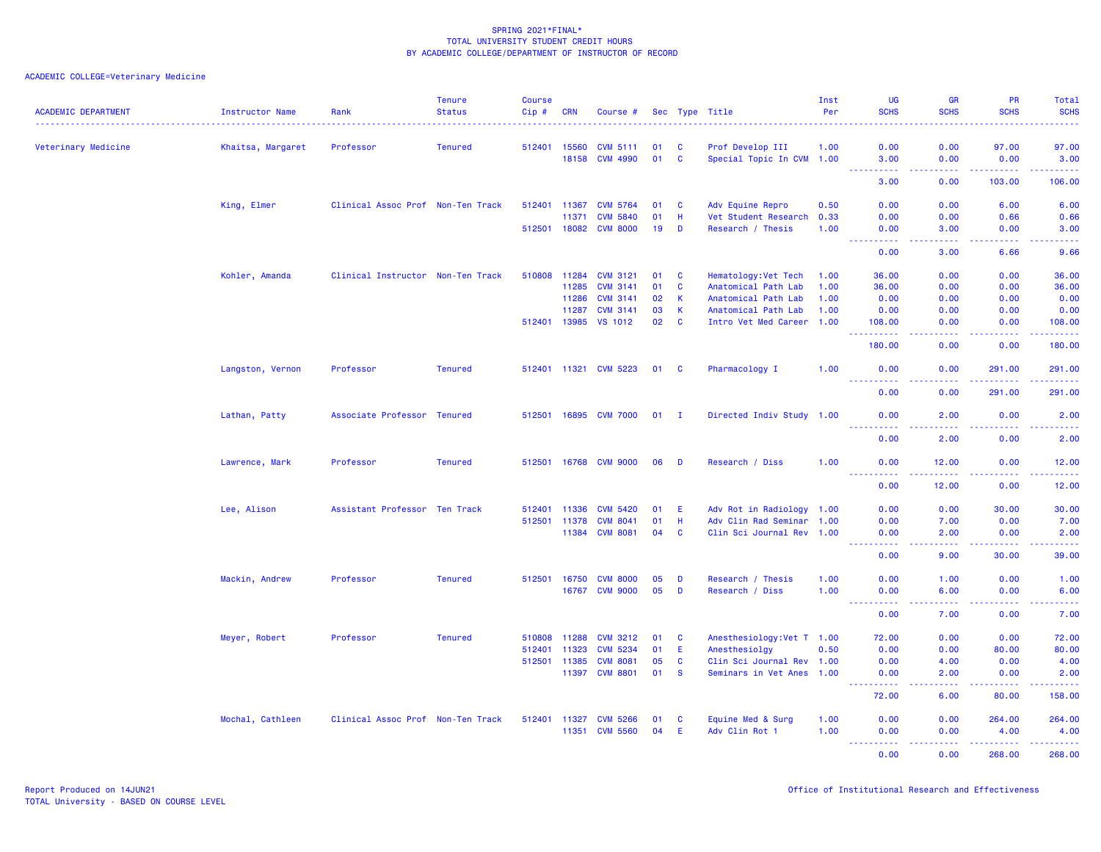| <b>ACADEMIC DEPARTMENT</b> | Instructor Name   | Rank                              | <b>Tenure</b><br><b>Status</b> | <b>Course</b><br>Cip # | <b>CRN</b>   | Course #              |        |              | Sec Type Title             | Inst<br>Per | <b>UG</b><br><b>SCHS</b>                                                                                                                                     | <b>GR</b><br><b>SCHS</b> | PR<br><b>SCHS</b> | Total<br><b>SCHS</b>                                                                                                                                         |
|----------------------------|-------------------|-----------------------------------|--------------------------------|------------------------|--------------|-----------------------|--------|--------------|----------------------------|-------------|--------------------------------------------------------------------------------------------------------------------------------------------------------------|--------------------------|-------------------|--------------------------------------------------------------------------------------------------------------------------------------------------------------|
| Veterinary Medicine        | Khaitsa, Margaret | Professor                         | <b>Tenured</b>                 | 512401 15560           |              | <b>CVM 5111</b>       | 01     | <b>C</b>     | Prof Develop III           | 1.00        | 0.00                                                                                                                                                         | 0.00                     | 97.00             | 97.00                                                                                                                                                        |
|                            |                   |                                   |                                |                        | 18158        | <b>CVM 4990</b>       | 01 C   |              | Special Topic In CVM 1.00  |             | 3.00                                                                                                                                                         | 0.00                     | 0.00              | 3.00                                                                                                                                                         |
|                            |                   |                                   |                                |                        |              |                       |        |              |                            |             | .<br>$\frac{1}{2} \left( \frac{1}{2} \right) \frac{1}{2} \left( \frac{1}{2} \right)$<br>3.00                                                                 | .<br>0.00                | .<br>103.00       | $\begin{array}{cccccccccc} \bullet & \bullet & \bullet & \bullet & \bullet & \bullet & \bullet & \bullet \end{array}$<br>106.00                              |
|                            | King, Elmer       | Clinical Assoc Prof Non-Ten Track |                                | 512401                 | 11367        | <b>CVM 5764</b>       | 01     | <b>C</b>     | Adv Equine Repro           | 0.50        | 0.00                                                                                                                                                         | 0.00                     | 6.00              | 6.00                                                                                                                                                         |
|                            |                   |                                   |                                |                        | 11371        | <b>CVM 5840</b>       | 01     | H            | Vet Student Research       | 0.33        | 0.00                                                                                                                                                         | 0.00                     | 0.66              | 0.66                                                                                                                                                         |
|                            |                   |                                   |                                | 512501                 | 18082        | <b>CVM 8000</b>       | 19     | D            | Research / Thesis          | 1.00        | 0.00<br>.                                                                                                                                                    | 3.00<br>.                | 0.00<br>.         | 3.00<br>$\frac{1}{2} \left( \frac{1}{2} \right) \left( \frac{1}{2} \right) \left( \frac{1}{2} \right) \left( \frac{1}{2} \right)$                            |
|                            |                   |                                   |                                |                        |              |                       |        |              |                            |             | 0.00                                                                                                                                                         | 3.00                     | 6.66              | 9.66                                                                                                                                                         |
|                            | Kohler, Amanda    | Clinical Instructor Non-Ten Track |                                | 510808                 | 11284        | <b>CVM 3121</b>       | 01     | C            | Hematology: Vet Tech       | 1.00        | 36.00                                                                                                                                                        | 0.00                     | 0.00              | 36.00                                                                                                                                                        |
|                            |                   |                                   |                                |                        | 11285        | <b>CVM 3141</b>       | 01     | C            | Anatomical Path Lab        | 1.00        | 36.00                                                                                                                                                        | 0.00                     | 0.00              | 36.00                                                                                                                                                        |
|                            |                   |                                   |                                |                        | 11286        | <b>CVM 3141</b>       | 02     | K            | Anatomical Path Lab        | 1.00        | 0.00                                                                                                                                                         | 0.00                     | 0.00              | 0.00                                                                                                                                                         |
|                            |                   |                                   |                                |                        | 11287        | <b>CVM 3141</b>       | 03     | $\mathsf K$  | Anatomical Path Lab        | 1.00        | 0.00                                                                                                                                                         | 0.00                     | 0.00              | 0.00                                                                                                                                                         |
|                            |                   |                                   |                                | 512401                 | 13985        | <b>VS 1012</b>        | 02     | $\mathbf{C}$ | Intro Vet Med Career 1.00  |             | 108.00<br>.                                                                                                                                                  | 0.00<br>.                | 0.00<br>بالأباب   | 108.00<br>بالمستعب                                                                                                                                           |
|                            |                   |                                   |                                |                        |              |                       |        |              |                            |             | 180.00                                                                                                                                                       | 0.00                     | 0.00              | 180.00                                                                                                                                                       |
|                            | Langston, Vernon  | Professor                         | <b>Tenured</b>                 |                        |              | 512401 11321 CVM 5223 | 01 C   |              | Pharmacology I             | 1.00        | 0.00<br>22222                                                                                                                                                | 0.00                     | 291.00            | 291.00<br>$\begin{array}{cccccccccc} \bullet & \bullet & \bullet & \bullet & \bullet & \bullet & \bullet \end{array}$                                        |
|                            |                   |                                   |                                |                        |              |                       |        |              |                            |             | 0.00                                                                                                                                                         | 0.00                     | 291.00            | 291.00                                                                                                                                                       |
|                            | Lathan, Patty     | Associate Professor Tenured       |                                |                        |              | 512501 16895 CVM 7000 | $01$ I |              | Directed Indiv Study 1.00  |             | 0.00                                                                                                                                                         | 2.00                     | 0.00              | 2.00                                                                                                                                                         |
|                            |                   |                                   |                                |                        |              |                       |        |              |                            |             | .<br>0.00                                                                                                                                                    | 2.00                     | .<br>0.00         | والمستحيل<br>2.00                                                                                                                                            |
|                            | Lawrence, Mark    | Professor                         | <b>Tenured</b>                 |                        | 512501 16768 | <b>CVM 9000</b>       | 06     | D            | Research / Diss            | 1.00        | 0.00                                                                                                                                                         | 12.00                    | 0.00              | 12.00                                                                                                                                                        |
|                            |                   |                                   |                                |                        |              |                       |        |              |                            |             | .<br>0.00                                                                                                                                                    | .<br>12.00               | 22222<br>0.00     | .<br>12.00                                                                                                                                                   |
|                            | Lee, Alison       | Assistant Professor Ten Track     |                                | 512401                 | 11336        | <b>CVM 5420</b>       | 01     | E.           | Adv Rot in Radiology 1.00  |             | 0.00                                                                                                                                                         | 0.00                     | 30.00             | 30.00                                                                                                                                                        |
|                            |                   |                                   |                                | 512501 11378           |              | <b>CVM 8041</b>       | 01     | H            | Adv Clin Rad Seminar 1.00  |             | 0.00                                                                                                                                                         | 7.00                     | 0.00              | 7.00                                                                                                                                                         |
|                            |                   |                                   |                                |                        | 11384        | <b>CVM 8081</b>       | 04     | $\mathbf{C}$ | Clin Sci Journal Rev 1.00  |             | 0.00<br>$\frac{1}{2} \left( \frac{1}{2} \right) \left( \frac{1}{2} \right) \left( \frac{1}{2} \right) \left( \frac{1}{2} \right) \left( \frac{1}{2} \right)$ | 2.00<br>.                | 0.00<br>2.2.2.2.2 | 2.00<br>$- - - - -$                                                                                                                                          |
|                            |                   |                                   |                                |                        |              |                       |        |              |                            |             | 0.00                                                                                                                                                         | 9.00                     | 30.00             | 39.00                                                                                                                                                        |
|                            | Mackin, Andrew    | Professor                         | <b>Tenured</b>                 | 512501                 | 16750        | <b>CVM 8000</b>       | 05     | D            | Research / Thesis          | 1.00        | 0.00                                                                                                                                                         | 1.00                     | 0.00              | 1.00                                                                                                                                                         |
|                            |                   |                                   |                                |                        | 16767        | <b>CVM 9000</b>       | 05     | D            | Research / Diss            | 1.00        | 0.00                                                                                                                                                         | 6.00                     | 0.00              | 6.00                                                                                                                                                         |
|                            |                   |                                   |                                |                        |              |                       |        |              |                            |             | 22222<br>0.00                                                                                                                                                | .<br>7.00                | 0.00              | $\frac{1}{2} \left( \frac{1}{2} \right) \left( \frac{1}{2} \right) \left( \frac{1}{2} \right) \left( \frac{1}{2} \right) \left( \frac{1}{2} \right)$<br>7.00 |
|                            | Meyer, Robert     | Professor                         | <b>Tenured</b>                 | 510808                 | 11288        | <b>CVM 3212</b>       | 01     | C            | Anesthesiology: Vet T 1.00 |             | 72.00                                                                                                                                                        | 0.00                     | 0.00              | 72.00                                                                                                                                                        |
|                            |                   |                                   |                                | 512401                 | 11323        | <b>CVM 5234</b>       | 01     | E            | Anesthesiolgy              | 0.50        | 0.00                                                                                                                                                         | 0.00                     | 80.00             | 80.00                                                                                                                                                        |
|                            |                   |                                   |                                | 512501 11385           |              | <b>CVM 8081</b>       | 05     | <b>C</b>     | Clin Sci Journal Rev 1.00  |             | 0.00                                                                                                                                                         | 4.00                     | 0.00              | 4.00                                                                                                                                                         |
|                            |                   |                                   |                                |                        | 11397        | <b>CVM 8801</b>       | 01     | $\mathbf{s}$ | Seminars in Vet Anes 1.00  |             | 0.00                                                                                                                                                         | 2.00                     | 0.00<br>.         | 2.00<br>.                                                                                                                                                    |
|                            |                   |                                   |                                |                        |              |                       |        |              |                            |             | 72.00                                                                                                                                                        | 6.00                     | 80.00             | 158.00                                                                                                                                                       |
|                            | Mochal, Cathleen  | Clinical Assoc Prof Non-Ten Track |                                | 512401 11327           |              | <b>CVM 5266</b>       | 01     | <b>C</b>     | Equine Med & Surg          | 1.00        | 0.00                                                                                                                                                         | 0.00                     | 264.00            | 264.00                                                                                                                                                       |
|                            |                   |                                   |                                |                        | 11351        | <b>CVM 5560</b>       | 04     | Ε            | Adv Clin Rot 1             | 1.00        | 0.00                                                                                                                                                         | 0.00                     | 4.00              | 4.00<br>.                                                                                                                                                    |
|                            |                   |                                   |                                |                        |              |                       |        |              |                            |             | 0.00                                                                                                                                                         | 0.00                     | 268.00            | 268.00                                                                                                                                                       |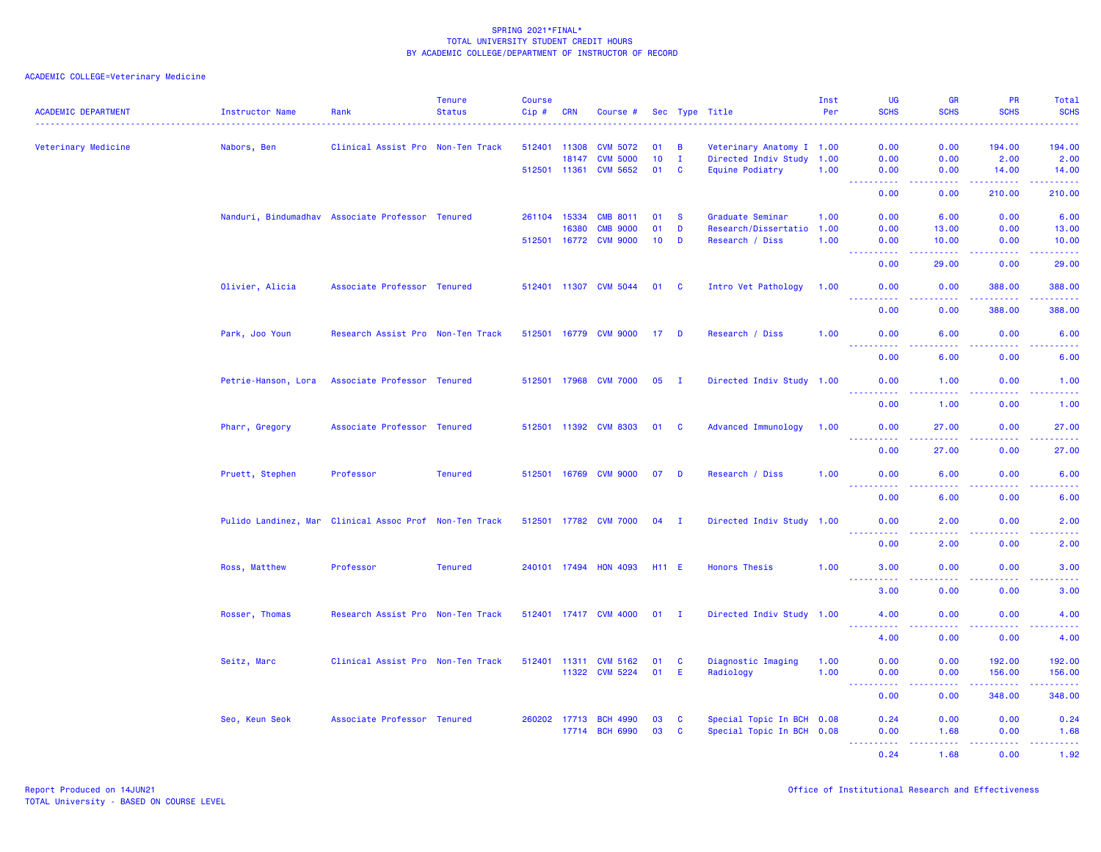| <b>ACADEMIC DEPARTMENT</b> | Instructor Name                                        | Rank                              | <b>Tenure</b><br><b>Status</b> | <b>Course</b><br>Cip# | CRN   | Course #              |                 |              | Sec Type Title            | Inst<br>Per | <b>UG</b><br><b>SCHS</b>            | <b>GR</b><br><b>SCHS</b> | <b>PR</b><br><b>SCHS</b>                                                                                                                                     | Total<br><b>SCHS</b>                                                                                                                                           |
|----------------------------|--------------------------------------------------------|-----------------------------------|--------------------------------|-----------------------|-------|-----------------------|-----------------|--------------|---------------------------|-------------|-------------------------------------|--------------------------|--------------------------------------------------------------------------------------------------------------------------------------------------------------|----------------------------------------------------------------------------------------------------------------------------------------------------------------|
| Veterinary Medicine        | Nabors, Ben                                            | Clinical Assist Pro Non-Ten Track |                                | 512401 11308          |       | <b>CVM 5072</b>       | 01              | B            | Veterinary Anatomy I 1.00 |             | 0.00                                | 0.00                     | 194,00                                                                                                                                                       | 194.00                                                                                                                                                         |
|                            |                                                        |                                   |                                |                       | 18147 | <b>CVM 5000</b>       | 10 <sub>1</sub> | $\mathbf{I}$ | Directed Indiv Study 1.00 |             | 0.00                                | 0.00                     | 2.00                                                                                                                                                         | 2.00                                                                                                                                                           |
|                            |                                                        |                                   |                                | 512501 11361          |       | <b>CVM 5652</b>       | 01              | $\mathbf{C}$ | Equine Podiatry           | 1.00        | 0.00                                | 0.00                     | 14.00<br>.                                                                                                                                                   | 14.00                                                                                                                                                          |
|                            |                                                        |                                   |                                |                       |       |                       |                 |              |                           |             | 0.00                                | 0.00                     | 210.00                                                                                                                                                       | .<br>210.00                                                                                                                                                    |
|                            | Nanduri, Bindumadhav Associate Professor Tenured       |                                   |                                | 261104 15334          |       | <b>CMB 8011</b>       | 01              | <b>S</b>     | Graduate Seminar          | 1.00        | 0.00                                | 6.00                     | 0.00                                                                                                                                                         | 6.00                                                                                                                                                           |
|                            |                                                        |                                   |                                |                       | 16380 | <b>CMB 9000</b>       | 01              | D            | Research/Dissertatio      | 1.00        | 0.00                                | 13.00                    | 0.00                                                                                                                                                         | 13.00                                                                                                                                                          |
|                            |                                                        |                                   |                                |                       |       | 512501 16772 CVM 9000 | $10$ D          |              | Research / Diss           | 1.00        | 0.00<br><u> - - - - - - - - - -</u> | 10.00<br>الداعات عامان   | 0.00<br>المتمامين                                                                                                                                            | 10.00<br>222222                                                                                                                                                |
|                            |                                                        |                                   |                                |                       |       |                       |                 |              |                           |             | 0.00                                | 29.00                    | 0.00                                                                                                                                                         | 29.00                                                                                                                                                          |
|                            | Olivier, Alicia                                        | Associate Professor Tenured       |                                |                       |       | 512401 11307 CVM 5044 | 01 C            |              | Intro Vet Pathology       | 1.00        | 0.00<br><u>.</u>                    | 0.00<br>.                | 388,00<br>.                                                                                                                                                  | 388.00<br>2.2.2.2.2.2                                                                                                                                          |
|                            |                                                        |                                   |                                |                       |       |                       |                 |              |                           |             | 0.00                                | 0.00                     | 388.00                                                                                                                                                       | 388.00                                                                                                                                                         |
|                            | Park, Joo Youn                                         | Research Assist Pro Non-Ten Track |                                |                       |       | 512501 16779 CVM 9000 | $17$ D          |              | Research / Diss           | 1.00        | 0.00<br><u> - - - - - - - - - -</u> | 6.00<br>.                | 0.00<br>.                                                                                                                                                    | 6.00<br>.                                                                                                                                                      |
|                            |                                                        |                                   |                                |                       |       |                       |                 |              |                           |             | 0.00                                | 6.00                     | 0.00                                                                                                                                                         | 6.00                                                                                                                                                           |
|                            | Petrie-Hanson, Lora                                    | Associate Professor Tenured       |                                |                       |       | 512501 17968 CVM 7000 | $05 \quad I$    |              | Directed Indiv Study 1.00 |             | 0.00                                | 1.00                     | 0.00                                                                                                                                                         | 1.00                                                                                                                                                           |
|                            |                                                        |                                   |                                |                       |       |                       |                 |              |                           |             | <b>.</b> .<br>0.00                  | <u>.</u><br>1.00         | .<br>0.00                                                                                                                                                    | <b></b><br>1.00                                                                                                                                                |
|                            | Pharr, Gregory                                         | Associate Professor Tenured       |                                |                       |       | 512501 11392 CVM 8303 | 01              | $\mathbf{C}$ | Advanced Immunology       | 1.00        | 0.00                                | 27.00                    | 0.00                                                                                                                                                         | 27.00                                                                                                                                                          |
|                            |                                                        |                                   |                                |                       |       |                       |                 |              |                           |             | <u>.</u><br>0.00                    | .<br>27.00               | .<br>0.00                                                                                                                                                    | 222222<br>27.00                                                                                                                                                |
|                            | Pruett, Stephen                                        | Professor                         | <b>Tenured</b>                 |                       |       | 512501 16769 CVM 9000 | $07$ D          |              | Research / Diss           | 1.00        | 0.00                                | 6.00                     | 0.00                                                                                                                                                         | 6.00                                                                                                                                                           |
|                            |                                                        |                                   |                                |                       |       |                       |                 |              |                           |             | <u>.</u><br>0.00                    | .<br>6.00                | .<br>0.00                                                                                                                                                    | .<br>6.00                                                                                                                                                      |
|                            | Pulido Landinez, Mar Clinical Assoc Prof Non-Ten Track |                                   |                                |                       |       | 512501 17782 CVM 7000 | $04$ I          |              | Directed Indiv Study 1.00 |             | 0.00                                | 2.00                     | 0.00                                                                                                                                                         | 2.00                                                                                                                                                           |
|                            |                                                        |                                   |                                |                       |       |                       |                 |              |                           |             | <u> - - - - - - - - - -</u><br>0.00 | <b>.</b><br>2.00         | $\frac{1}{2} \left( \frac{1}{2} \right) \left( \frac{1}{2} \right) \left( \frac{1}{2} \right) \left( \frac{1}{2} \right) \left( \frac{1}{2} \right)$<br>0.00 | .<br>2.00                                                                                                                                                      |
|                            | Ross, Matthew                                          | Professor                         | <b>Tenured</b>                 |                       |       | 240101 17494 HON 4093 | <b>H11 E</b>    |              | <b>Honors Thesis</b>      | 1.00        | 3.00                                | 0.00                     | 0.00                                                                                                                                                         | 3.00                                                                                                                                                           |
|                            |                                                        |                                   |                                |                       |       |                       |                 |              |                           |             | <u>.</u><br>3.00                    | .<br>0.00                | $\frac{1}{2} \left( \frac{1}{2} \right) \left( \frac{1}{2} \right) \left( \frac{1}{2} \right) \left( \frac{1}{2} \right) \left( \frac{1}{2} \right)$<br>0.00 | .<br>3.00                                                                                                                                                      |
|                            | Rosser, Thomas                                         | Research Assist Pro Non-Ten Track |                                |                       |       | 512401 17417 CVM 4000 | $01$ I          |              | Directed Indiv Study 1.00 |             | 4.00                                | 0.00                     | 0.00                                                                                                                                                         | 4.00                                                                                                                                                           |
|                            |                                                        |                                   |                                |                       |       |                       |                 |              |                           |             | <b>.</b><br>4.00                    | <b>.</b><br>0.00         | $\frac{1}{2} \left( \frac{1}{2} \right) \left( \frac{1}{2} \right) \left( \frac{1}{2} \right) \left( \frac{1}{2} \right) \left( \frac{1}{2} \right)$<br>0.00 | <b></b><br>4.00                                                                                                                                                |
|                            | Seitz, Marc                                            | Clinical Assist Pro Non-Ten Track |                                |                       |       | 512401 11311 CVM 5162 | 01              | - C          | Diagnostic Imaging        | 1.00        | 0.00                                | 0.00                     | 192.00                                                                                                                                                       | 192.00                                                                                                                                                         |
|                            |                                                        |                                   |                                |                       |       | 11322 CVM 5224        | 01 E            |              | Radiology                 | 1.00        | 0.00                                | 0.00                     | 156.00                                                                                                                                                       | 156.00                                                                                                                                                         |
|                            |                                                        |                                   |                                |                       |       |                       |                 |              |                           |             | .<br>0.00                           | المتمالين<br>0.00        | .<br>348.00                                                                                                                                                  | $\frac{1}{2} \left( \frac{1}{2} \right) \left( \frac{1}{2} \right) \left( \frac{1}{2} \right) \left( \frac{1}{2} \right) \left( \frac{1}{2} \right)$<br>348.00 |
|                            | Seo, Keun Seok                                         | Associate Professor Tenured       |                                |                       |       | 260202 17713 BCH 4990 | 03              | C            | Special Topic In BCH 0.08 |             | 0.24                                | 0.00                     | 0.00                                                                                                                                                         | 0.24                                                                                                                                                           |
|                            |                                                        |                                   |                                |                       |       | 17714 BCH 6990        | 03              | C            | Special Topic In BCH 0.08 |             | 0.00<br><u>.</u>                    | 1.68                     | 0.00<br>22222                                                                                                                                                | 1.68<br>222222                                                                                                                                                 |
|                            |                                                        |                                   |                                |                       |       |                       |                 |              |                           |             | 0.24                                | 1.68                     | 0.00                                                                                                                                                         | 1.92                                                                                                                                                           |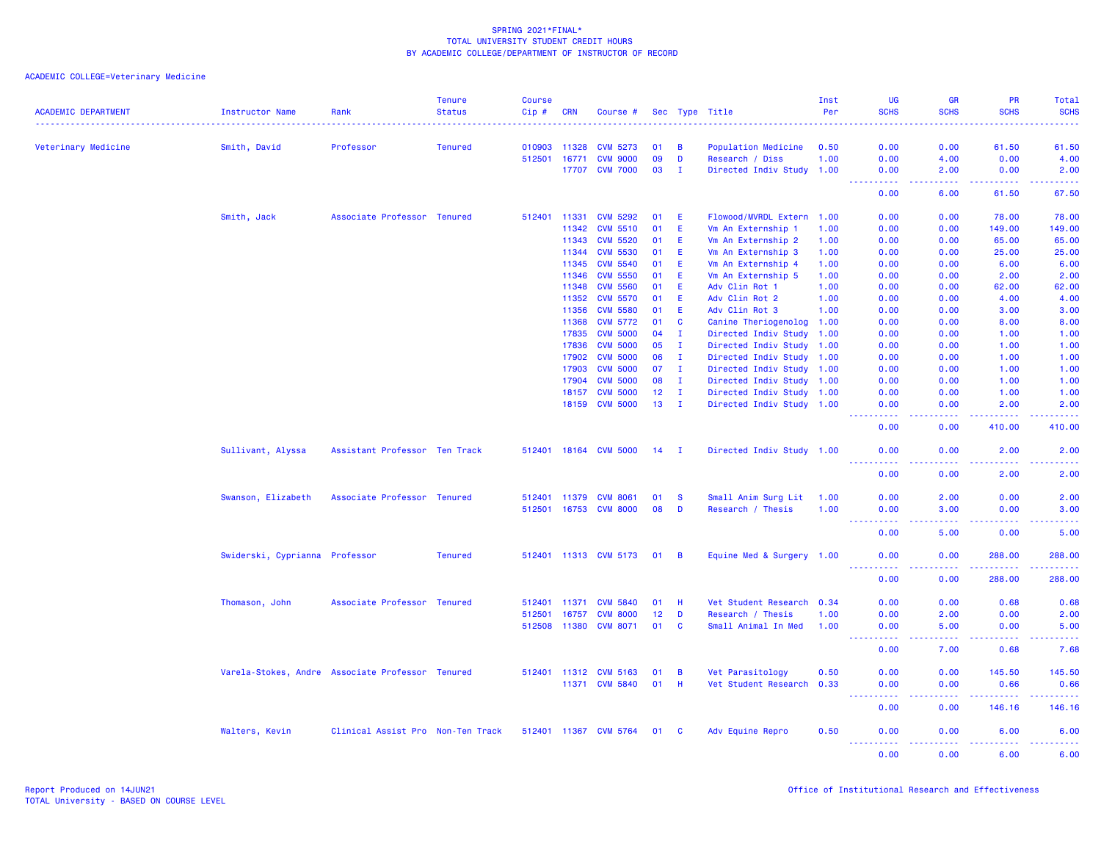| <b>ACADEMIC DEPARTMENT</b> | <b>Instructor Name</b>         | Rank                                             | <b>Tenure</b><br><b>Status</b> | <b>Course</b><br>$Cip \#$ | <b>CRN</b> | Course #              |                 |              | Sec Type Title            | Inst<br>Per | UG<br><b>SCHS</b>                                                                                                                                  | <b>GR</b><br><b>SCHS</b>                                                                                                                                     | <b>PR</b><br><b>SCHS</b>                                                                                                                                     | Total<br><b>SCHS</b><br>2222.                                                                                                     |
|----------------------------|--------------------------------|--------------------------------------------------|--------------------------------|---------------------------|------------|-----------------------|-----------------|--------------|---------------------------|-------------|----------------------------------------------------------------------------------------------------------------------------------------------------|--------------------------------------------------------------------------------------------------------------------------------------------------------------|--------------------------------------------------------------------------------------------------------------------------------------------------------------|-----------------------------------------------------------------------------------------------------------------------------------|
| Veterinary Medicine        | Smith, David                   | Professor                                        | <b>Tenured</b>                 | 010903                    | 11328      | <b>CVM 5273</b>       | 01              | B            | Population Medicine       | 0.50        | 0.00                                                                                                                                               | 0.00                                                                                                                                                         | 61.50                                                                                                                                                        | 61.50                                                                                                                             |
|                            |                                |                                                  |                                | 512501                    | 16771      | <b>CVM 9000</b>       | 09              | D            | Research / Diss           | 1.00        | 0.00                                                                                                                                               | 4.00                                                                                                                                                         | 0.00                                                                                                                                                         | 4.00                                                                                                                              |
|                            |                                |                                                  |                                |                           |            | 17707 CVM 7000        | 03              | $\mathbf{I}$ | Directed Indiv Study 1.00 |             | 0.00                                                                                                                                               | 2.00                                                                                                                                                         | 0.00                                                                                                                                                         | 2.00                                                                                                                              |
|                            |                                |                                                  |                                |                           |            |                       |                 |              |                           |             | $  -$<br><b><i><u><u> - - - - -</u></u></i></b><br>0.00                                                                                            | .<br>6.00                                                                                                                                                    | المتمامين<br>61.50                                                                                                                                           | .<br>67.50                                                                                                                        |
|                            | Smith, Jack                    | Associate Professor Tenured                      |                                | 512401                    | 11331      | <b>CVM 5292</b>       | 01              | E.           | Flowood/MVRDL Extern 1.00 |             | 0.00                                                                                                                                               | 0.00                                                                                                                                                         | 78.00                                                                                                                                                        | 78.00                                                                                                                             |
|                            |                                |                                                  |                                |                           | 11342      | <b>CVM 5510</b>       | 01              | E.           | Vm An Externship 1        | 1.00        | 0.00                                                                                                                                               | 0.00                                                                                                                                                         | 149.00                                                                                                                                                       | 149.00                                                                                                                            |
|                            |                                |                                                  |                                |                           | 11343      | <b>CVM 5520</b>       | 01              | E            | Vm An Externship 2        | 1.00        | 0.00                                                                                                                                               | 0.00                                                                                                                                                         | 65.00                                                                                                                                                        | 65.00                                                                                                                             |
|                            |                                |                                                  |                                |                           | 11344      | <b>CVM 5530</b>       | 01              | E            | Vm An Externship 3        | 1.00        | 0.00                                                                                                                                               | 0.00                                                                                                                                                         | 25.00                                                                                                                                                        | 25.00                                                                                                                             |
|                            |                                |                                                  |                                |                           | 11345      | <b>CVM 5540</b>       | 01              | E.           | Vm An Externship 4        | 1.00        | 0.00                                                                                                                                               | 0.00                                                                                                                                                         | 6.00                                                                                                                                                         | 6.00                                                                                                                              |
|                            |                                |                                                  |                                |                           | 11346      | <b>CVM 5550</b>       | 01              | E.           | Vm An Externship 5        | 1.00        | 0.00                                                                                                                                               | 0.00                                                                                                                                                         | 2.00                                                                                                                                                         | 2.00                                                                                                                              |
|                            |                                |                                                  |                                |                           | 11348      | <b>CVM 5560</b>       | 01              | E            | Adv Clin Rot 1            | 1.00        | 0.00                                                                                                                                               | 0.00                                                                                                                                                         | 62.00                                                                                                                                                        | 62.00                                                                                                                             |
|                            |                                |                                                  |                                |                           | 11352      | <b>CVM 5570</b>       | 01              | E            | Adv Clin Rot 2            | 1.00        | 0.00                                                                                                                                               | 0.00                                                                                                                                                         | 4.00                                                                                                                                                         | 4.00                                                                                                                              |
|                            |                                |                                                  |                                |                           | 11356      | <b>CVM 5580</b>       | 01              | E.           | Adv Clin Rot 3            | 1.00        | 0.00                                                                                                                                               | 0.00                                                                                                                                                         | 3.00                                                                                                                                                         | 3.00                                                                                                                              |
|                            |                                |                                                  |                                |                           | 11368      | <b>CVM 5772</b>       | 01              | C            | Canine Theriogenolog 1.00 |             | 0.00                                                                                                                                               | 0.00                                                                                                                                                         | 8.00                                                                                                                                                         | 8.00                                                                                                                              |
|                            |                                |                                                  |                                |                           | 17835      | <b>CVM 5000</b>       | 04              | $\mathbf I$  | Directed Indiv Study 1.00 |             | 0.00                                                                                                                                               | 0.00                                                                                                                                                         | 1.00                                                                                                                                                         | 1.00                                                                                                                              |
|                            |                                |                                                  |                                |                           | 17836      | <b>CVM 5000</b>       | 05              | $\mathbf{I}$ | Directed Indiv Study 1.00 |             | 0.00                                                                                                                                               | 0.00                                                                                                                                                         | 1.00                                                                                                                                                         | 1.00                                                                                                                              |
|                            |                                |                                                  |                                |                           | 17902      | <b>CVM 5000</b>       | 06              | $\mathbf{I}$ | Directed Indiv Study 1.00 |             | 0.00                                                                                                                                               | 0.00                                                                                                                                                         | 1.00                                                                                                                                                         | 1.00                                                                                                                              |
|                            |                                |                                                  |                                |                           | 17903      | <b>CVM 5000</b>       | 07              | $\mathbf{I}$ | Directed Indiv Study 1.00 |             | 0.00                                                                                                                                               | 0.00                                                                                                                                                         | 1.00                                                                                                                                                         | 1.00                                                                                                                              |
|                            |                                |                                                  |                                |                           | 17904      | <b>CVM 5000</b>       | 08              | $\mathbf{I}$ | Directed Indiv Study 1.00 |             | 0.00                                                                                                                                               | 0.00                                                                                                                                                         | 1.00                                                                                                                                                         | 1.00                                                                                                                              |
|                            |                                |                                                  |                                |                           | 18157      | <b>CVM 5000</b>       | 12 <sub>2</sub> | $\mathbf{I}$ | Directed Indiv Study 1.00 |             | 0.00                                                                                                                                               | 0.00                                                                                                                                                         | 1.00                                                                                                                                                         | 1.00                                                                                                                              |
|                            |                                |                                                  |                                |                           | 18159      | <b>CVM 5000</b>       | 13              | $\mathbf{I}$ | Directed Indiv Study 1.00 |             | 0.00<br>.                                                                                                                                          | 0.00<br>.                                                                                                                                                    | 2.00<br>.                                                                                                                                                    | 2.00<br>$\begin{array}{cccccccccc} \bullet & \bullet & \bullet & \bullet & \bullet & \bullet & \bullet & \bullet \end{array}$     |
|                            |                                |                                                  |                                |                           |            |                       |                 |              |                           |             | 0.00                                                                                                                                               | 0.00                                                                                                                                                         | 410.00                                                                                                                                                       | 410.00                                                                                                                            |
|                            | Sullivant, Alyssa              | Assistant Professor Ten Track                    |                                |                           |            | 512401 18164 CVM 5000 | $14$ I          |              | Directed Indiv Study 1.00 |             | 0.00<br>.                                                                                                                                          | 0.00<br>.                                                                                                                                                    | 2.00<br><u>.</u>                                                                                                                                             | 2.00<br>$\frac{1}{2} \left( \frac{1}{2} \right) \left( \frac{1}{2} \right) \left( \frac{1}{2} \right) \left( \frac{1}{2} \right)$ |
|                            |                                |                                                  |                                |                           |            |                       |                 |              |                           |             | 0.00                                                                                                                                               | 0.00                                                                                                                                                         | 2.00                                                                                                                                                         | 2.00                                                                                                                              |
|                            | Swanson, Elizabeth             | Associate Professor Tenured                      |                                |                           |            | 512401 11379 CVM 8061 | 01              | - S          | Small Anim Surg Lit       | 1.00        | 0.00                                                                                                                                               | 2.00                                                                                                                                                         | 0.00                                                                                                                                                         | 2.00                                                                                                                              |
|                            |                                |                                                  |                                | 512501 16753              |            | <b>CVM 8000</b>       | 08              | D            | Research / Thesis         | 1.00        | 0.00                                                                                                                                               | 3.00                                                                                                                                                         | 0.00                                                                                                                                                         | 3.00                                                                                                                              |
|                            |                                |                                                  |                                |                           |            |                       |                 |              |                           |             | <u> - - - - - - - - - -</u><br>0.00                                                                                                                | .<br>5.00                                                                                                                                                    | $\frac{1}{2} \left( \frac{1}{2} \right) \left( \frac{1}{2} \right) \left( \frac{1}{2} \right) \left( \frac{1}{2} \right) \left( \frac{1}{2} \right)$<br>0.00 | .<br>5.00                                                                                                                         |
|                            | Swiderski, Cyprianna Professor |                                                  | <b>Tenured</b>                 |                           |            | 512401 11313 CVM 5173 | 01              | - B          | Equine Med & Surgery 1.00 |             | 0.00                                                                                                                                               | 0.00                                                                                                                                                         | 288,00                                                                                                                                                       | 288.00                                                                                                                            |
|                            |                                |                                                  |                                |                           |            |                       |                 |              |                           |             | <b></b><br>0.00                                                                                                                                    | 22222<br>0.00                                                                                                                                                | .<br>288.00                                                                                                                                                  | .<br>288.00                                                                                                                       |
|                            |                                |                                                  |                                |                           |            |                       |                 |              |                           |             |                                                                                                                                                    |                                                                                                                                                              |                                                                                                                                                              |                                                                                                                                   |
|                            | Thomason, John                 | Associate Professor Tenured                      |                                | 512401 11371              |            | <b>CVM 5840</b>       | 01              | <b>H</b>     | Vet Student Research 0.34 |             | 0.00                                                                                                                                               | 0.00                                                                                                                                                         | 0.68                                                                                                                                                         | 0.68                                                                                                                              |
|                            |                                |                                                  |                                | 512501                    | 16757      | <b>CVM 8000</b>       | 12 <sup>°</sup> | D            | Research / Thesis         | 1.00        | 0.00                                                                                                                                               | 2.00                                                                                                                                                         | 0.00                                                                                                                                                         | 2.00                                                                                                                              |
|                            |                                |                                                  |                                | 512508 11380              |            | <b>CVM 8071</b>       | 01              | C            | Small Animal In Med       | 1.00        | 0.00<br>----------                                                                                                                                 | 5.00<br>.                                                                                                                                                    | 0.00<br>.                                                                                                                                                    | 5.00<br>والمستناط الما                                                                                                            |
|                            |                                |                                                  |                                |                           |            |                       |                 |              |                           |             | 0.00                                                                                                                                               | 7.00                                                                                                                                                         | 0.68                                                                                                                                                         | 7.68                                                                                                                              |
|                            |                                | Varela-Stokes, Andre Associate Professor Tenured |                                |                           |            | 512401 11312 CVM 5163 | 01              | B            | Vet Parasitology          | 0.50        | 0.00                                                                                                                                               | 0.00                                                                                                                                                         | 145.50                                                                                                                                                       | 145.50                                                                                                                            |
|                            |                                |                                                  |                                |                           |            | 11371 CVM 5840        |                 | 01 H         | Vet Student Research 0.33 |             | 0.00                                                                                                                                               | 0.00                                                                                                                                                         | 0.66                                                                                                                                                         | 0.66                                                                                                                              |
|                            |                                |                                                  |                                |                           |            |                       |                 |              |                           |             | $\frac{1}{2}$<br>$\frac{1}{2} \left( \frac{1}{2} \right) \left( \frac{1}{2} \right) \left( \frac{1}{2} \right) \left( \frac{1}{2} \right)$<br>0.00 | .<br>0.00                                                                                                                                                    | .<br>146.16                                                                                                                                                  | 146.16                                                                                                                            |
|                            | Walters, Kevin                 | Clinical Assist Pro Non-Ten Track                |                                |                           |            | 512401 11367 CVM 5764 | 01              | - C          | Adv Equine Repro          | 0.50        | 0.00<br><u> - - - - - - - - - -</u>                                                                                                                | 0.00<br>$\frac{1}{2} \left( \frac{1}{2} \right) \left( \frac{1}{2} \right) \left( \frac{1}{2} \right) \left( \frac{1}{2} \right) \left( \frac{1}{2} \right)$ | 6.00<br>المتمام والمناور                                                                                                                                     | 6.00<br>.                                                                                                                         |
|                            |                                |                                                  |                                |                           |            |                       |                 |              |                           |             | 0.00                                                                                                                                               | 0.00                                                                                                                                                         | 6.00                                                                                                                                                         | 6.00                                                                                                                              |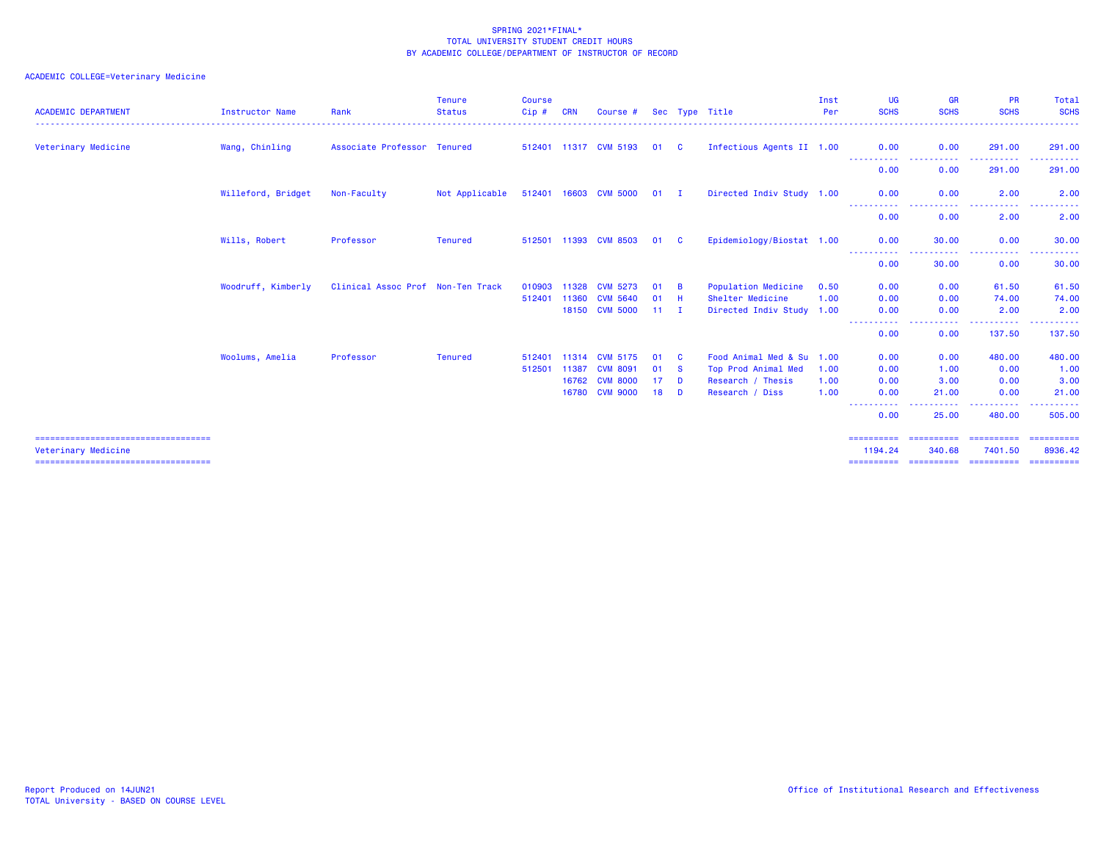| <b>ACADEMIC DEPARTMENT</b>                                                                           | Instructor Name    | Rank                              | <b>Tenure</b><br><b>Status</b> | <b>Course</b><br>$Cip$ # | <b>CRN</b> | Course #              |              |          | Sec Type Title            | Inst<br>Per | <b>UG</b><br><b>SCHS</b>            | <b>GR</b><br><b>SCHS</b>           | <b>PR</b><br><b>SCHS</b>                                                                                                               | Total<br><b>SCHS</b>                |
|------------------------------------------------------------------------------------------------------|--------------------|-----------------------------------|--------------------------------|--------------------------|------------|-----------------------|--------------|----------|---------------------------|-------------|-------------------------------------|------------------------------------|----------------------------------------------------------------------------------------------------------------------------------------|-------------------------------------|
| Veterinary Medicine                                                                                  | Wang, Chinling     | Associate Professor Tenured       |                                |                          |            | 512401 11317 CVM 5193 | 01           | <b>C</b> | Infectious Agents II 1.00 |             | 0.00<br>-----------                 | 0.00<br>.                          | 291.00<br>-------                                                                                                                      | 291,00<br>-------                   |
|                                                                                                      |                    |                                   |                                |                          |            |                       |              |          |                           |             | 0.00                                | 0.00                               | 291.00                                                                                                                                 | 291.00                              |
|                                                                                                      | Willeford, Bridget | Non-Faculty                       | Not Applicable                 |                          |            | 512401 16603 CVM 5000 | $01$ I       |          | Directed Indiv Study 1.00 |             | 0.00<br>-----------                 | 0.00<br>.                          | 2.00<br>.                                                                                                                              | 2.00                                |
|                                                                                                      |                    |                                   |                                |                          |            |                       |              |          |                           |             | 0.00                                | 0.00                               | 2.00                                                                                                                                   | 2.00                                |
|                                                                                                      | Wills, Robert      | Professor                         | <b>Tenured</b>                 |                          |            | 512501 11393 CVM 8503 | 01           | - C      | Epidemiology/Biostat 1.00 |             | 0.00<br>-----------                 | 30.00<br>.                         | 0.00<br>$\frac{1}{2} \left( \frac{1}{2} \right) \left( \frac{1}{2} \right) \left( \frac{1}{2} \right) \left( \frac{1}{2} \right)$<br>. | 30.00                               |
|                                                                                                      |                    |                                   |                                |                          |            |                       |              |          |                           |             | 0.00                                | 30.00                              | 0.00                                                                                                                                   | 30.00                               |
|                                                                                                      | Woodruff, Kimberly | Clinical Assoc Prof Non-Ten Track |                                | 010903                   | 11328      | <b>CVM 5273</b>       | 01           | <b>B</b> | Population Medicine       | 0.50        | 0.00                                | 0.00                               | 61.50                                                                                                                                  | 61.50                               |
|                                                                                                      |                    |                                   |                                | 512401                   | 11360      | <b>CVM 5640</b>       | 01           | -H       | Shelter Medicine          | 1.00        | 0.00                                | 0.00                               | 74.00                                                                                                                                  | 74.00                               |
|                                                                                                      |                    |                                   |                                |                          |            | 18150 CVM 5000        | $11 \quad I$ |          | Directed Indiv Study 1.00 |             | 0.00<br>-----------                 | 0.00<br>. <b>.</b>                 | 2.00<br>-----------                                                                                                                    | 2.00<br><u> - - - - - - - - - -</u> |
|                                                                                                      |                    |                                   |                                |                          |            |                       |              |          |                           |             | 0.00                                | 0.00                               | 137.50                                                                                                                                 | 137.50                              |
|                                                                                                      | Woolums, Amelia    | Professor                         | <b>Tenured</b>                 | 512401 11314             |            | <b>CVM 5175</b>       | 01           | - C      | Food Animal Med & Su 1.00 |             | 0.00                                | 0.00                               | 480.00                                                                                                                                 | 480.00                              |
|                                                                                                      |                    |                                   |                                | 512501                   | 11387      | <b>CVM 8091</b>       | 01           | <b>S</b> | Top Prod Animal Med       | 1.00        | 0.00                                | 1.00                               | 0.00                                                                                                                                   | 1.00                                |
|                                                                                                      |                    |                                   |                                |                          | 16762      | <b>CVM 8000</b>       | 17           | <b>D</b> | Research / Thesis         | 1.00        | 0.00                                | 3,00                               | 0.00                                                                                                                                   | 3.00                                |
|                                                                                                      |                    |                                   |                                |                          | 16780      | <b>CVM 9000</b>       | 18           | D        | Research / Diss           | 1.00        | 0.00<br>----                        | 21.00<br>-----                     | 0.00<br>----------                                                                                                                     | 21.00<br>-------                    |
|                                                                                                      |                    |                                   |                                |                          |            |                       |              |          |                           |             | 0.00                                | 25.00                              | 480.00                                                                                                                                 | 505,00                              |
| ====================================<br>Veterinary Medicine<br>===================================== |                    |                                   |                                |                          |            |                       |              |          |                           |             | ==========<br>1194.24<br>========== | ==========<br>340.68<br>========== | ==========<br>7401.50<br>==========                                                                                                    | ==========<br>8936.42<br>========== |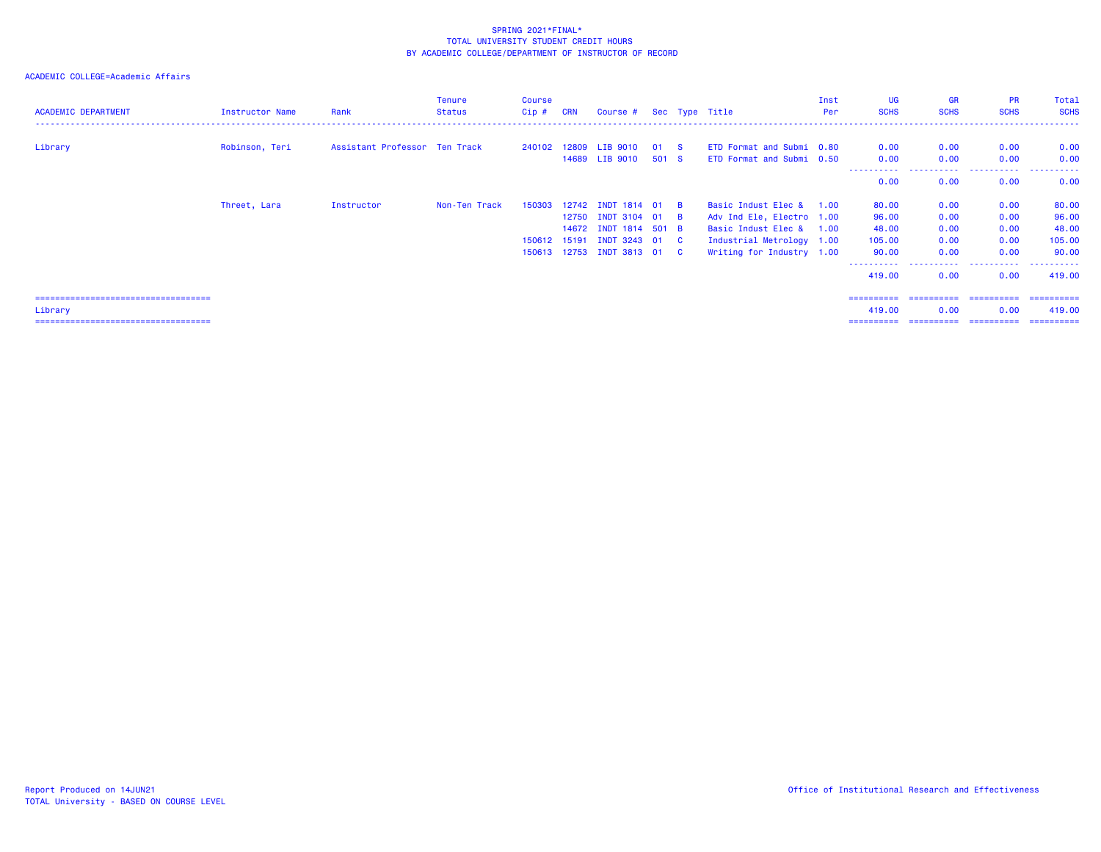## ACADEMIC COLLEGE=Academic Affairs

| <b>ACADEMIC DEPARTMENT</b>             | Instructor Name | Rank                          | <b>Tenure</b><br><b>Status</b> | <b>Course</b><br>$Cip$ # | <b>CRN</b> | Course # Sec Type Title                 |               |                           | Inst<br>Per | UG<br><b>SCHS</b> | <b>GR</b><br><b>SCHS</b> | <b>PR</b><br><b>SCHS</b> | Total<br><b>SCHS</b> |
|----------------------------------------|-----------------|-------------------------------|--------------------------------|--------------------------|------------|-----------------------------------------|---------------|---------------------------|-------------|-------------------|--------------------------|--------------------------|----------------------|
|                                        |                 |                               |                                |                          |            |                                         |               | ETD Format and Submi 0.80 |             |                   | 0.00                     | 0.00                     |                      |
| Library                                | Robinson, Teri  | Assistant Professor Ten Track |                                |                          |            | 240102 12809 LIB 9010<br>14689 LIB 9010 | 01 S<br>501 S | ETD Format and Submi 0.50 |             | 0.00<br>0.00      | 0.00                     | 0.00                     | 0.00<br>0.00         |
|                                        |                 |                               |                                |                          |            |                                         |               |                           |             | .                 |                          | .                        | .                    |
|                                        |                 |                               |                                |                          |            |                                         |               |                           |             | 0.00              | 0.00                     | 0.00                     | 0.00                 |
|                                        | Threet, Lara    | Instructor                    | Non-Ten Track                  | 150303                   |            | 12742 INDT 1814 01 B                    |               | Basic Indust Elec &       | 1.00        | 80.00             | 0.00                     | 0.00                     | 80.00                |
|                                        |                 |                               |                                |                          |            | 12750 INDT 3104 01 B                    |               | Adv Ind Ele, Electro 1.00 |             | 96.00             | 0.00                     | 0.00                     | 96.00                |
|                                        |                 |                               |                                |                          |            | 14672 INDT 1814 501 B                   |               | Basic Indust Elec & 1.00  |             | 48.00             | 0.00                     | 0.00                     | 48.00                |
|                                        |                 |                               |                                | 150612 15191             |            | INDT 3243 01 C                          |               | Industrial Metrology 1.00 |             | 105.00            | 0.00                     | 0.00                     | 105.00               |
|                                        |                 |                               |                                |                          |            | 150613 12753 INDT 3813 01 C             |               | Writing for Industry 1.00 |             | 90.00             | 0.00                     | 0.00                     | 90.00                |
|                                        |                 |                               |                                |                          |            |                                         |               |                           |             | 419.00            | 0.00                     | .<br>0.00                | -------<br>419.00    |
|                                        |                 |                               |                                |                          |            |                                         |               |                           |             | ==========        | -----------              | -----------              | -----------          |
| Library                                |                 |                               |                                |                          |            |                                         |               |                           |             | 419.00            | 0.00                     | 0.00                     | 419,00               |
| ====================================== |                 |                               |                                |                          |            |                                         |               |                           |             | ==========        |                          |                          |                      |